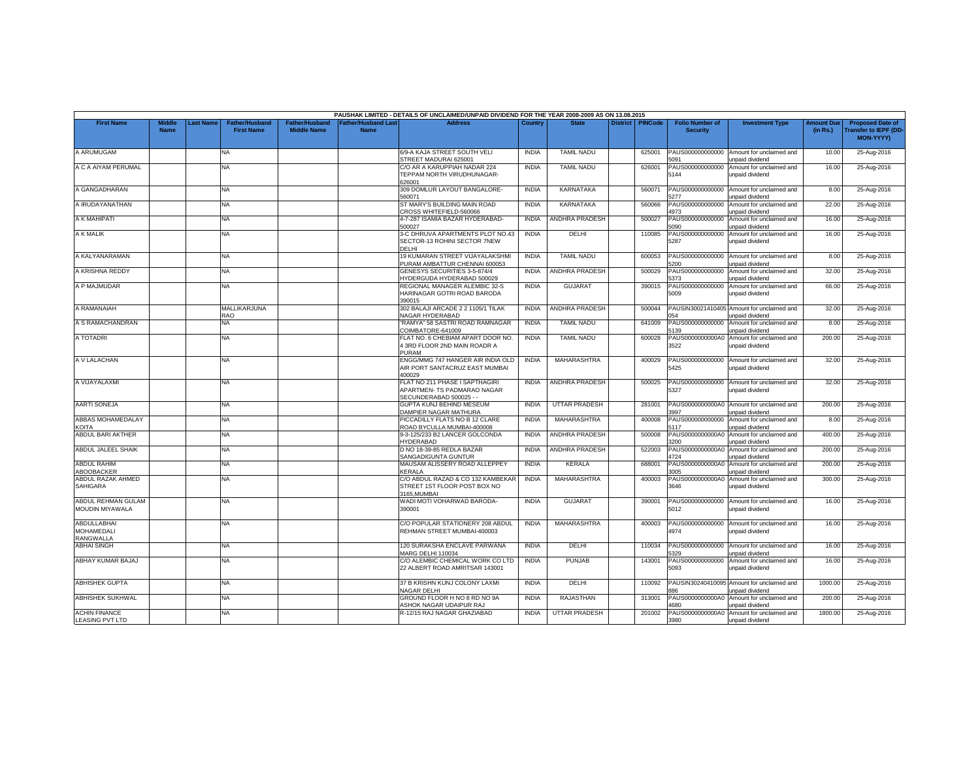|                                                      |                       |                  |                                            |                                      |                                         | PAUSHAK LIMITED - DETAILS OF UNCLAIMED/UNPAID DIVIDEND FOR THE YEAR 2008-2009 AS ON 13.08.2015 |              |                       |                    |                                           |                                                               |                               |                                                                            |
|------------------------------------------------------|-----------------------|------------------|--------------------------------------------|--------------------------------------|-----------------------------------------|------------------------------------------------------------------------------------------------|--------------|-----------------------|--------------------|-------------------------------------------|---------------------------------------------------------------|-------------------------------|----------------------------------------------------------------------------|
| <b>First Name</b>                                    | Middle<br><b>Name</b> | <b>Last Name</b> | <b>Father/Husband</b><br><b>First Name</b> | Father/Husband<br><b>Middle Name</b> | ather/Husband Last <sup>-</sup><br>Name | <b>Address</b>                                                                                 | Country      | <b>State</b>          | District   PINCode | <b>Folio Number of</b><br><b>Security</b> | <b>Investment Type</b>                                        | <b>Amount Due</b><br>(in Rs.) | <b>Proposed Date of</b><br><b>Transfer to IEPF (DD</b><br><b>MON-YYYYY</b> |
| A ARUMUGAM                                           |                       |                  | NA                                         |                                      |                                         | 6/9-A KAJA STREET SOUTH VELI<br>STREET MADURAI 625001                                          | <b>INDIA</b> | <b>TAMIL NADU</b>     | 625001             | PAUS000000000000<br>5091                  | Amount for unclaimed and<br>unpaid dividend                   | 10.00                         | 25-Aug-2016                                                                |
| A C A AIYAM PERUMAL                                  |                       |                  | <b>NA</b>                                  |                                      |                                         | C/O AR A KARUPPIAH NADAR 224<br>TEPPAM NORTH VIRUDHUNAGAR-<br>626001                           | <b>INDIA</b> | <b>TAMIL NADU</b>     | 626001             | PAUS000000000000<br>5144                  | Amount for unclaimed and<br>unpaid dividend                   | 16.00                         | 25-Aug-2016                                                                |
| A GANGADHARAN                                        |                       |                  | <b>NA</b>                                  |                                      |                                         | 309 DOMLUR LAYOUT BANGALORE-<br>560071                                                         | <b>INDIA</b> | <b>KARNATAKA</b>      | 560071             | PAUS000000000000<br>5277                  | Amount for unclaimed and<br>unpaid dividend                   | 8.00                          | 25-Aug-2016                                                                |
| A IRUDAYANATHAN                                      |                       |                  | <b>NA</b>                                  |                                      |                                         | ST MARY'S BUILDING MAIN ROAD<br>CROSS WHITEFIELD-560066                                        | <b>INDIA</b> | <b>KARNATAKA</b>      | 560066             | PAUS000000000000<br>4973                  | Amount for unclaimed and<br>inpaid dividend                   | 22.00                         | 25-Aug-2016                                                                |
| A K MAHIPATI                                         |                       |                  | NA                                         |                                      |                                         | 4-7-287 ISAMIA BAZAR HYDERABAD-<br>500027                                                      | <b>INDIA</b> | <b>ANDHRA PRADESH</b> | 500027             | PAUS000000000000<br>5090                  | Amount for unclaimed and<br>unpaid dividend                   | 16.00                         | 25-Aug-2016                                                                |
| A K MALIK                                            |                       |                  | <b>NA</b>                                  |                                      |                                         | 3-C DHRUVA APARTMENTS PLOT NO.43<br>SECTOR-13 ROHINI SECTOR 7NEW<br>DELHI                      | <b>INDIA</b> | DELHI                 | 110085             | PAUS000000000000<br>5287                  | Amount for unclaimed and<br>unpaid dividend                   | 16.00                         | 25-Aug-2016                                                                |
| A KALYANARAMAN                                       |                       |                  | <b>NA</b>                                  |                                      |                                         | 19 KUMARAN STREET VIJAYALAKSHM<br>PURAM AMBATTUR CHENNAI 600053                                | <b>INDIA</b> | <b>TAMIL NADU</b>     | 600053             | PAUS000000000000<br>5200                  | Amount for unclaimed and<br>unpaid dividend                   | 8.00                          | 25-Aug-2016                                                                |
| A KRISHNA REDDY                                      |                       |                  | <b>NA</b>                                  |                                      |                                         | GENESYS SECURITIES 3-5-874/4<br>HYDERGUDA HYDERABAD 500029                                     | <b>INDIA</b> | <b>ANDHRA PRADESH</b> | 500029             | PAUS000000000000<br>5373                  | Amount for unclaimed and<br>unpaid dividend                   | 32.00                         | 25-Aug-2016                                                                |
| A P MAJMUDAR                                         |                       |                  | NA                                         |                                      |                                         | REGIONAL MANAGER ALEMBIC 32-S<br>HARINAGAR GOTRI ROAD BARODA<br>390015                         | <b>INDIA</b> | <b>GUJARAT</b>        | 390015             | PAUS000000000000<br>5009                  | Amount for unclaimed and<br>unpaid dividend                   | 66.00                         | 25-Aug-2016                                                                |
| A RAMANAIAH                                          |                       |                  | MALLIKARJUNA<br>RAO                        |                                      |                                         | 302 BALAJI ARCADE 2 2 1105/1 TILAK<br>NAGAR HYDERABAD                                          | <b>INDIA</b> | <b>ANDHRA PRADESH</b> | 500044             | 054                                       | PAUSIN30021410405 Amount for unclaimed and<br>unpaid dividend | 32.00                         | 25-Aug-2016                                                                |
| A S RAMACHANDRAN                                     |                       |                  | NA                                         |                                      |                                         | 'RAMYA" 58 SASTRI ROAD RAMNAGAR<br>COIMBATORE-641009                                           | <b>INDIA</b> | <b>TAMIL NADU</b>     | 641009             | PAUS000000000000<br>5139                  | Amount for unclaimed and<br>unpaid dividend                   | 8.00                          | 25-Aug-2016                                                                |
| A TOTADRI                                            |                       |                  | ΝA                                         |                                      |                                         | FLAT NO. 6 CHEBIAM APART DOOR NO.<br>13RD FLOOR 2ND MAIN ROADR A<br>PURAM                      | <b>INDIA</b> | <b>TAMIL NADU</b>     | 600028             | PAUS0000000000A0<br>3522                  | Amount for unclaimed and<br>unpaid dividend                   | 200.00                        | 25-Aug-2016                                                                |
| A V LALACHAN                                         |                       |                  | NA                                         |                                      |                                         | ENGG/MMG 747 HANGER AIR INDIA OLD<br>AIR PORT SANTACRUZ EAST MUMBAI<br>400029                  | <b>INDIA</b> | MAHARASHTRA           | 400029             | 5425                                      | PAUS000000000000 Amount for unclaimed and<br>unpaid dividend  | 32.00                         | 25-Aug-2016                                                                |
| A VIJAYALAXMI                                        |                       |                  | NA                                         |                                      |                                         | FLAT NO 211 PHASE I SAPTHAGIRI<br>APARTMEN- TS PADMARAO NAGAR<br>SECUNDERABAD 500025 - -       | <b>INDIA</b> | ANDHRA PRADESH        | 500025             | 5327                                      | PAUS000000000000 Amount for unclaimed and<br>unpaid dividend  | 32.00                         | 25-Aug-2016                                                                |
| <b>AARTI SONEJA</b>                                  |                       |                  | NA.                                        |                                      |                                         | GUPTA KUNJ BEHIND MESEUM<br>DAMPIER NAGAR MATHURA                                              | <b>INDIA</b> | <b>UTTAR PRADESH</b>  | 281001             | PAUS0000000000A0<br>3997                  | Amount for unclaimed and<br>unpaid dividend                   | 200.00                        | 25-Aug-2016                                                                |
| <b>ABBAS MOHAMEDALAY</b><br><b>KOITA</b>             |                       |                  | NA                                         |                                      |                                         | PICCADILLY FLATS NO B 12 CLARE<br>ROAD BYCULLA MUMBAI-400008                                   | <b>INDIA</b> | MAHARASHTRA           | 400008             | PAUS000000000000<br>5117                  | Amount for unclaimed and<br><b>Inpaid dividend</b>            | 8.00                          | 25-Aug-2016                                                                |
| <b>ABDUL BARI AKTHER</b>                             |                       |                  | NA                                         |                                      |                                         | 9-3-125/233 B2 LANCER GOLCONDA<br>HYDERABAD                                                    | <b>INDIA</b> | <b>ANDHRA PRADESH</b> | 500008             | PAUS0000000000A0<br>3200                  | Amount for unclaimed and<br>unpaid dividend                   | 400.00                        | 25-Aug-2016                                                                |
| <b>ABDUL JALEEL SHAIK</b>                            |                       |                  | NA.                                        |                                      |                                         | D NO 18-39-85 REDLA BAZAR<br>SANGADIGUNTA GUNTUR                                               | <b>INDIA</b> | <b>ANDHRA PRADESH</b> | 522003             | PAUS0000000000A0<br>4724                  | Amount for unclaimed and<br>unpaid dividend                   | 200.00                        | 25-Aug-2016                                                                |
| <b>ABDUL RAHIM</b><br><b>ABOOBACKER</b>              |                       |                  | NA                                         |                                      |                                         | MAUSAM ALISSERY ROAD ALLEPPEY<br>KERALA                                                        | <b>INDIA</b> | KERALA                | 688001             | PAUS0000000000A0<br>3005                  | Amount for unclaimed and<br><b>Inpaid dividend</b>            | 200.00                        | 25-Aug-2016                                                                |
| ABDUL RAZAK AHMED<br><b>SAHIGARA</b>                 |                       |                  | NA                                         |                                      |                                         | C/O ABDUL RAZAD & CO 132 KAMBEKAR<br>STREET 1ST FLOOR POST BOX NO<br>3165.MUMBAI               | <b>INDIA</b> | <b>MAHARASHTRA</b>    | 400003             | PAUS0000000000A0<br>3646                  | Amount for unclaimed and<br>unpaid dividend                   | 300.00                        | 25-Aug-2016                                                                |
| ABDUL REHMAN GULAM<br>MOUDIN MIYAWALA                |                       |                  | NA                                         |                                      |                                         | WADI MOTI VOHARWAD BARODA-<br>390001                                                           | <b>INDIA</b> | GUJARAT               | 390001             | PAUS000000000000<br>5012                  | Amount for unclaimed and<br>Inpaid dividend                   | 16.00                         | 25-Aug-2016                                                                |
| ABDULLABHAI<br><b>MOHAMEDALI</b><br><b>RANGWALLA</b> |                       |                  | NA                                         |                                      |                                         | C/O POPULAR STATIONERY 208 ABDUL<br>REHMAN STREET MUMBAI-400003                                | <b>INDIA</b> | <b>MAHARASHTRA</b>    | 400003             | PAUS000000000000<br>4974                  | Amount for unclaimed and<br>unpaid dividend                   | 16.00                         | 25-Aug-2016                                                                |
| <b>ABHAI SINGH</b>                                   |                       |                  | NA                                         |                                      |                                         | 120 SURAKSHA ENCLAVE PARWANA<br><b>MARG DELHI 110034</b>                                       | <b>INDIA</b> | DELHI                 | 110034             | PAUS000000000000<br>5329                  | Amount for unclaimed and<br><b>Inpaid dividend</b>            | 16.00                         | 25-Aug-2016                                                                |
| <b>ABHAY KUMAR BAJAJ</b>                             |                       |                  | NA                                         |                                      |                                         | C/O ALEMBIC CHEMICAL WORK CO LTD<br>22 ALBERT ROAD AMRITSAR 143001                             | <b>INDIA</b> | <b>PUNJAB</b>         | 143001             | PAUS000000000000<br>5093                  | Amount for unclaimed and<br>unpaid dividend                   | 16.00                         | 25-Aug-2016                                                                |
| <b>ABHISHEK GUPTA</b>                                |                       |                  | <b>NA</b>                                  |                                      |                                         | 37 B KRISHN KUNJ COLONY LAXMI<br>NAGAR DELHI                                                   | <b>INDIA</b> | DELHI                 | 110092             | 886                                       | PAUSIN30240410095 Amount for unclaimed and<br>unpaid dividend | 1000.00                       | 25-Aug-2016                                                                |
| <b>ABHISHEK SUKHWAL</b>                              |                       |                  | NA                                         |                                      |                                         | GROUND FLOOR H NO 8 RD NO 9A<br>ASHOK NAGAR UDAIPUR RAJ                                        | <b>INDIA</b> | RAJASTHAN             | 313001             | PAUS0000000000A0<br>1680                  | Amount for unclaimed and<br>inpaid dividend                   | 200.00                        | 25-Aug-2016                                                                |
| <b>ACHIN FINANCE</b><br>LEASING PVT LTD              |                       |                  | NA.                                        |                                      |                                         | R-12/15 RAJ NAGAR GHAZIABAD                                                                    | <b>INDIA</b> | <b>UTTAR PRADESH</b>  | 201002             | PAUS0000000000A0<br>3980                  | Amount for unclaimed and<br>unpaid dividend                   | 1800.00                       | 25-Aug-2016                                                                |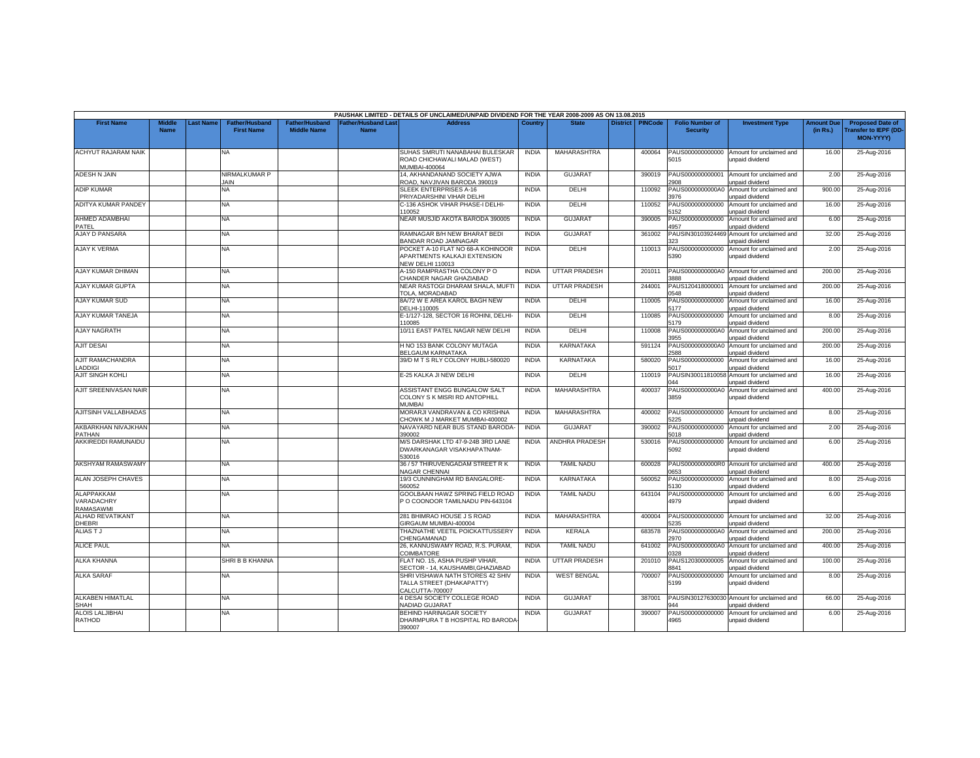|                                              |                              |           |                                            |                                             |                                           | PAUSHAK LIMITED - DETAILS OF UNCLAIMED/UNPAID DIVIDEND FOR THE YEAR 2008-2009 AS ON 13.08.2015 |              |                       |                 |                |                                           |                                                               |                               |                                                                            |
|----------------------------------------------|------------------------------|-----------|--------------------------------------------|---------------------------------------------|-------------------------------------------|------------------------------------------------------------------------------------------------|--------------|-----------------------|-----------------|----------------|-------------------------------------------|---------------------------------------------------------------|-------------------------------|----------------------------------------------------------------------------|
| <b>First Name</b>                            | <b>Middle</b><br><b>Name</b> | Last Name | <b>Father/Husband</b><br><b>First Name</b> | <b>Father/Husband</b><br><b>Middle Name</b> | <b>Father/Husband Last</b><br><b>Name</b> | <b>Address</b>                                                                                 | Country      | <b>State</b>          | <b>District</b> | <b>PINCode</b> | <b>Folio Number of</b><br><b>Security</b> | <b>Investment Type</b>                                        | <b>Amount Due</b><br>(in Rs.) | <b>Proposed Date of</b><br><b>Transfer to IEPF (DD</b><br><b>MON-YYYYY</b> |
| ACHYUT RAJARAM NAIK                          |                              |           | NA                                         |                                             |                                           | SUHAS SMRUTI NANABAHAI BULESKAR<br>ROAD CHICHAWALI MALAD (WEST)<br><b>JUMBAI-400064</b>        | <b>INDIA</b> | MAHARASHTRA           |                 | 400064         | PAUS000000000000<br>5015                  | Amount for unclaimed and<br>unpaid dividend                   | 16.00                         | 25-Aug-2016                                                                |
| <b>ADESH N JAIN</b>                          |                              |           | NIRMALKUMAR P<br><b>AIN</b>                |                                             |                                           | 14. AKHANDANAND SOCIETY AJWA<br>ROAD, NAVJIVAN BARODA 390019                                   | <b>INDIA</b> | <b>GUJARAT</b>        |                 | 390019         | PAUS000000000001<br>2908                  | Amount for unclaimed and<br>unpaid dividend                   | 2.00                          | 25-Aug-2016                                                                |
| <b>ADIP KUMAR</b>                            |                              |           | NA                                         |                                             |                                           | SLEEK ENTERPRISES A-16<br>PRIYADARSHINI VIHAR DELHI                                            | <b>INDIA</b> | <b>DELHI</b>          |                 | 110092         | PAUS0000000000A0<br>3976                  | Amount for unclaimed and<br>unpaid dividend                   | 900.00                        | 25-Aug-2016                                                                |
| ADITYA KUMAR PANDEY                          |                              |           | NA                                         |                                             |                                           | 2-136 ASHOK VIHAR PHASE-I DELHI-<br>110052                                                     | <b>INDIA</b> | <b>DELHI</b>          |                 | 110052         | PAUS000000000000<br>5152                  | Amount for unclaimed and<br>unpaid dividend                   | 16.00                         | 25-Aug-2016                                                                |
| AHMED ADAMBHAI<br>PATEL                      |                              |           | NA.                                        |                                             |                                           | NEAR MUSJID AKOTA BARODA 390005                                                                | <b>INDIA</b> | <b>GUJARAT</b>        |                 | 390005         | PAUS000000000000<br>1957                  | Amount for unclaimed and<br>inpaid dividend                   | 6.00                          | 25-Aug-2016                                                                |
| <b>AJAY D PANSARA</b>                        |                              |           | NA                                         |                                             |                                           | RAMNAGAR B/H NEW BHARAT BEDI<br>BANDAR ROAD JAMNAGAR                                           | <b>INDIA</b> | <b>GUJARAT</b>        |                 | 361002         | PAUSIN30103924469<br>323                  | Amount for unclaimed and<br>unpaid dividend                   | 32.00                         | 25-Aug-2016                                                                |
| AJAY K VERMA                                 |                              |           | NA                                         |                                             |                                           | POCKET A-10 FLAT NO 68-A KOHINOOR<br>APARTMENTS KALKAJI EXTENSION<br><b>NEW DELHI 110013</b>   | <b>INDIA</b> | DELHI                 |                 | 110013         | PAUS000000000000<br>5390                  | Amount for unclaimed and<br>unpaid dividend                   | 2.00                          | 25-Aug-2016                                                                |
| AJAY KUMAR DHIMAN                            |                              |           | <b>NA</b>                                  |                                             |                                           | A-150 RAMPRASTHA COLONY PO<br>CHANDER NAGAR GHAZIABAD                                          | <b>INDIA</b> | <b>UTTAR PRADESH</b>  |                 | 201011         | PAUS0000000000A0<br>888                   | Amount for unclaimed and<br><b>Inpaid dividend</b>            | 200.00                        | 25-Aug-2016                                                                |
| AJAY KUMAR GUPTA                             |                              |           | NA                                         |                                             |                                           | NEAR RASTOGI DHARAM SHALA, MUFTI<br>TOLA, MORADABAD                                            | <b>INDIA</b> | <b>UTTAR PRADESH</b>  |                 | 244001         | PAUS120418000001<br>0548                  | Amount for unclaimed and<br>unpaid dividend                   | 200.00                        | 25-Aug-2016                                                                |
| <b>AJAY KUMAR SUD</b>                        |                              |           | NA                                         |                                             |                                           | 8A/72 W E AREA KAROL BAGH NEW<br>DELHI-110005                                                  | <b>INDIA</b> | DELHI                 |                 | 110005         | PAUS000000000000<br>5177                  | Amount for unclaimed and<br>unpaid dividend                   | 16.00                         | 25-Aug-2016                                                                |
| AJAY KUMAR TANEJA                            |                              |           | NA                                         |                                             |                                           | E-1/127-128, SECTOR 16 ROHINI, DELHI<br>110085                                                 | <b>INDIA</b> | DELHI                 |                 | 110085         | PAUS000000000000<br>5179                  | Amount for unclaimed and<br>unpaid dividend                   | 8.00                          | 25-Aug-2016                                                                |
| <b>AJAY NAGRATH</b>                          |                              |           | NA.                                        |                                             |                                           | 10/11 EAST PATEL NAGAR NEW DELHI                                                               | <b>INDIA</b> | <b>DELHI</b>          |                 | 110008         | PAUS0000000000A0<br>955                   | Amount for unclaimed and<br>unpaid dividend                   | 200.00                        | 25-Aug-2016                                                                |
| <b>AJIT DESAI</b>                            |                              |           | NA                                         |                                             |                                           | H NO 153 BANK COLONY MUTAGA<br>BELGAUM KARNATAKA                                               | <b>INDIA</b> | KARNATAKA             |                 | 591124         | PAUS0000000000A0<br>2588                  | Amount for unclaimed and<br>unpaid dividend                   | 200.00                        | 25-Aug-2016                                                                |
| <b>AJIT RAMACHANDRA</b><br>LADDIGI           |                              |           | NA.                                        |                                             |                                           | 39/D M T S RLY COLONY HUBLI-580020                                                             | <b>INDIA</b> | <b>KARNATAKA</b>      |                 | 580020         | PAUS000000000000<br>5017                  | Amount for unclaimed and<br>unpaid dividend                   | 16.00                         | 25-Aug-2016                                                                |
| <b>AJIT SINGH KOHLI</b>                      |                              |           | NA                                         |                                             |                                           | E-25 KALKA JI NEW DELHI                                                                        | <b>INDIA</b> | DELHI                 |                 | 110019         | PAUSIN30011810058<br>044                  | Amount for unclaimed and<br><b>Inpaid dividend</b>            | 16.00                         | 25-Aug-2016                                                                |
| AJIT SREENIVASAN NAIR                        |                              |           | NA.                                        |                                             |                                           | ASSISTANT ENGG BUNGALOW SALT<br>COLONY S K MISRI RD ANTOPHILL<br>MUMBAI                        | <b>INDIA</b> | MAHARASHTRA           |                 | 400037         | PAUS0000000000A0<br>3859                  | Amount for unclaimed and<br>unpaid dividend                   | 400.00                        | 25-Aug-2016                                                                |
| AJITSINH VALLABHADAS                         |                              |           | NA.                                        |                                             |                                           | MORARJI VANDRAVAN & CO KRISHNA<br>CHOWK M J MARKET MUMBAI-400002                               | <b>INDIA</b> | <b>MAHARASHTRA</b>    |                 | 400002         | PAUS000000000000<br>5225                  | Amount for unclaimed and<br>unpaid dividend                   | 8.00                          | 25-Aug-2016                                                                |
| AKBARKHAN NIVAJKHAN<br>PATHAN                |                              |           | NA                                         |                                             |                                           | NAVAYARD NEAR BUS STAND BARODA<br>390002                                                       | <b>INDIA</b> | <b>GUJARAT</b>        |                 | 390002         | PAUS000000000000<br>5018                  | Amount for unclaimed and<br><b>Inpaid dividend</b>            | 2.00                          | 25-Aug-2016                                                                |
| AKKIREDDI RAMUNAIDU                          |                              |           | NA                                         |                                             |                                           | M/S DARSHAK LTD 47-9-24B 3RD LANE<br>DWARKANAGAR VISAKHAPATNAM-<br>530016                      | <b>INDIA</b> | <b>ANDHRA PRADESH</b> |                 | 530016         | PAUS000000000000<br>5092                  | Amount for unclaimed and<br>unpaid dividend                   | 6.00                          | 25-Aug-2016                                                                |
| <b>AKSHYAM RAMASWAMY</b>                     |                              |           | NA.                                        |                                             |                                           | 36 / 57 THIRUVENGADAM STREET R K<br><b>NAGAR CHENNAI</b>                                       | <b>INDIA</b> | <b>TAMIL NADU</b>     |                 | 600028         | 0653                                      | PAUS0000000000R0 Amount for unclaimed and<br>unpaid dividend  | 400.00                        | 25-Aug-2016                                                                |
| <b>ALAN JOSEPH CHAVES</b>                    |                              |           | NA                                         |                                             |                                           | 19/3 CUNNINGHAM RD BANGALORE-<br>560052                                                        | <b>INDIA</b> | KARNATAKA             |                 | 560052         | PAUS000000000000<br>130                   | Amount for unclaimed and<br>inpaid dividend                   | 8.00                          | 25-Aug-2016                                                                |
| <b>ALAPPAKKAM</b><br>VARADACHRY<br>RAMASAWMI |                              |           | NA.                                        |                                             |                                           | GOOLBAAN HAWZ SPRING FIELD ROAD<br>P O COONOOR TAMILNADU PIN-643104                            | <b>INDIA</b> | <b>TAMIL NADU</b>     |                 | 643104         | PAUS000000000000<br>4979                  | Amount for unclaimed and<br>unpaid dividend                   | 6.00                          | 25-Aug-2016                                                                |
| <b>ALHAD REVATIKANT</b><br>DHEBRI            |                              |           | NA                                         |                                             |                                           | 281 BHIMRAO HOUSE J S ROAD<br>GIRGAUM MUMBAI-400004                                            | <b>INDIA</b> | <b>MAHARASHTRA</b>    |                 | 400004         | PAUS000000000000<br>5235                  | Amount for unclaimed and<br>unpaid dividend                   | 32.00                         | 25-Aug-2016                                                                |
| <b>ALIASTJ</b>                               |                              |           | NA.                                        |                                             |                                           | THAZNATHE VEETIL POICKATTUSSERY<br>CHENGAMANAD                                                 | <b>INDIA</b> | <b>KERALA</b>         |                 | 683578         | PAUS0000000000A0<br>2970                  | Amount for unclaimed and<br>unpaid dividend                   | 200.00                        | 25-Aug-2016                                                                |
| <b>ALICE PAUL</b>                            |                              |           | NA.                                        |                                             |                                           | 26, KANNUSWAMY ROAD, R.S. PURAM.<br>COIMBATORE                                                 | <b>INDIA</b> | <b>TAMIL NADU</b>     |                 | 641002         | PAUS0000000000A0<br>0328                  | Amount for unclaimed and<br>unpaid dividend                   | 400.00                        | 25-Aug-2016                                                                |
| <b>ALKA KHANNA</b>                           |                              |           | SHRI B B KHANNA                            |                                             |                                           | FLAT NO. 15, ASHA PUSHP VIHAR.<br>SECTOR - 14, KAUSHAMBI,GHAZIABAD                             | <b>INDIA</b> | <b>UTTAR PRADESH</b>  |                 | 201010         | PAUS120300000005<br>8841                  | Amount for unclaimed and<br>unpaid dividend                   | 100.00                        | 25-Aug-2016                                                                |
| <b>ALKA SARAF</b>                            |                              |           | NA.                                        |                                             |                                           | SHRI VISHAWA NATH STORES 42 SHIV<br>TALLA STREET (DHAKAPATTY)<br>CALCUTTA-700007               | <b>INDIA</b> | <b>WEST BENGAL</b>    |                 | 700007         | PAUS000000000000<br>5199                  | Amount for unclaimed and<br>unpaid dividend                   | 8.00                          | 25-Aug-2016                                                                |
| <b>ALKABEN HIMATLAL</b><br><b>SHAH</b>       |                              |           | NA.                                        |                                             |                                           | 4 DESAI SOCIETY COLLEGE ROAD<br><b>JADIAD GUJARAT</b>                                          | <b>INDIA</b> | <b>GUJARAT</b>        |                 | 387001         | MА                                        | PAUSIN30127630030 Amount for unclaimed and<br>unpaid dividend | 66.00                         | 25-Aug-2016                                                                |
| <b>ALOIS LALJIBHA</b><br>RATHOD              |                              |           | ΝA                                         |                                             |                                           | BEHIND HARINAGAR SOCIETY<br>DHARMPURA T B HOSPITAL RD BARODA<br>390007                         | <b>INDIA</b> | <b>GUJARA1</b>        |                 | 390007         | PAUS000000000000<br>4965                  | Amount for unclaimed and<br>unpaid dividend                   | 6.00                          | 25-Aug-2016                                                                |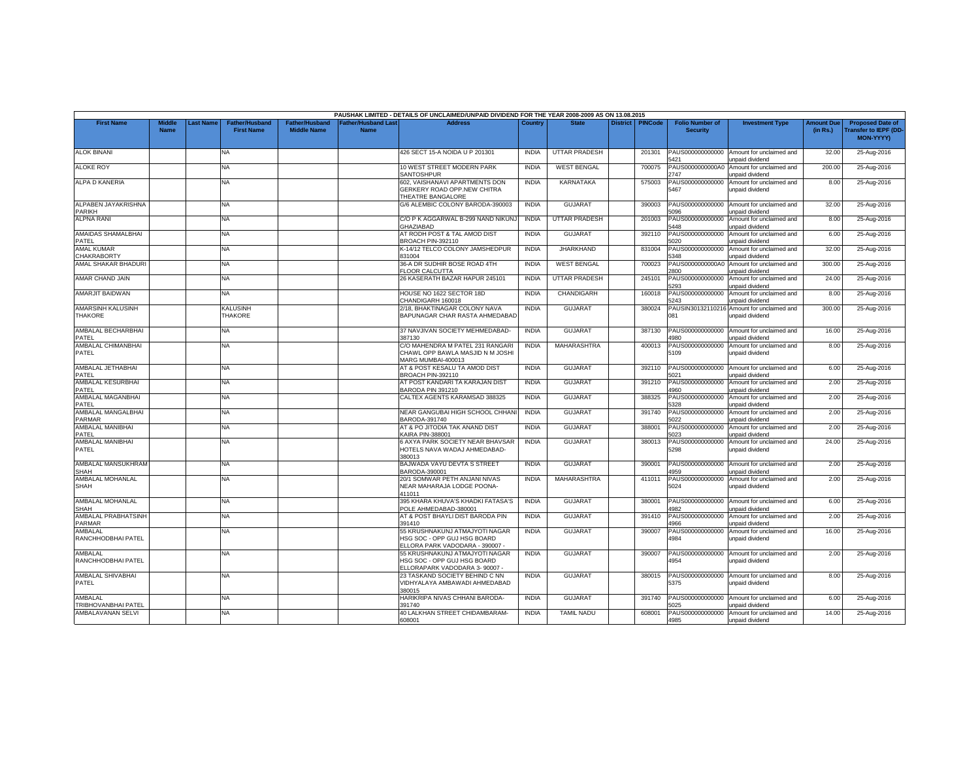|                                            |                              |           |                                            |                                             |                                           | PAUSHAK LIMITED - DETAILS OF UNCLAIMED/UNPAID DIVIDEND FOR THE YEAR 2008-2009 AS ON 13.08.2015          |              |                      |                 |                |                                           |                                                    |                               |                                                              |
|--------------------------------------------|------------------------------|-----------|--------------------------------------------|---------------------------------------------|-------------------------------------------|---------------------------------------------------------------------------------------------------------|--------------|----------------------|-----------------|----------------|-------------------------------------------|----------------------------------------------------|-------------------------------|--------------------------------------------------------------|
| <b>First Name</b>                          | <b>Middle</b><br><b>Name</b> | Last Name | <b>Father/Husband</b><br><b>First Name</b> | <b>Father/Husband</b><br><b>Middle Name</b> | <b>Father/Husband Last</b><br><b>Name</b> | <b>Address</b>                                                                                          | Country      | <b>State</b>         | <b>District</b> | <b>PINCode</b> | <b>Folio Number of</b><br><b>Security</b> | <b>Investment Type</b>                             | <b>Amount Due</b><br>(in Rs.) | <b>Proposed Date of</b><br>Transfer to IEPF (DD<br>MON-YYYY) |
| <b>ALOK BINANI</b>                         |                              |           | NA                                         |                                             |                                           | 426 SECT 15-A NOIDA U P 201301                                                                          | <b>INDIA</b> | UTTAR PRADESH        |                 | 201301         | PAUS000000000000<br>5421                  | Amount for unclaimed and<br><b>Inpaid dividend</b> | 32.00                         | 25-Aug-2016                                                  |
| <b>ALOKE ROY</b>                           |                              |           | NA                                         |                                             |                                           | 10 WEST STREET MODERN PARK<br>SANTOSHPUR                                                                | <b>INDIA</b> | <b>WEST BENGAL</b>   |                 | 700075         | PAUS0000000000A0<br>2747                  | Amount for unclaimed and<br>unpaid dividend        | 200.00                        | 25-Aug-2016                                                  |
| <b>ALPA D KANERIA</b>                      |                              |           | NA.                                        |                                             |                                           | 602. VAISHANAVI APARTMENTS DON<br>GERKERY ROAD OPP.NEW CHITRA<br>THEATRE BANGALORE                      | <b>INDIA</b> | <b>KARNATAKA</b>     |                 | 575003         | PAUS000000000000<br>5467                  | Amount for unclaimed and<br>unpaid dividend        | 8.00                          | 25-Aug-2016                                                  |
| ALPABEN JAYAKRISHNA<br>PARIKH              |                              |           | NA                                         |                                             |                                           | G/6 ALEMBIC COLONY BARODA-390003                                                                        | <b>INDIA</b> | <b>GUJARAT</b>       |                 | 390003         | PAUS000000000000<br>5096                  | Amount for unclaimed and<br>unpaid dividend        | 32.00                         | 25-Aug-2016                                                  |
| <b>ALPNA RANI</b>                          |                              |           | NA                                         |                                             |                                           | C/O P K AGGARWAL B-299 NAND NIKUNJ<br><b>GHAZIABAD</b>                                                  | <b>INDIA</b> | <b>UTTAR PRADESH</b> |                 | 201003         | PAUS000000000000<br>5448                  | Amount for unclaimed and<br>unpaid dividend        | 8.00                          | 25-Aug-2016                                                  |
| AMAIDAS SHAMALBHAI<br>PATEL                |                              |           | NA                                         |                                             |                                           | AT RODH POST & TAL AMOD DIST<br>BROACH PIN-392110                                                       | <b>INDIA</b> | <b>GUJARAT</b>       |                 | 392110         | PAUS000000000000<br>5020                  | Amount for unclaimed and<br>unpaid dividend        | 6.00                          | 25-Aug-2016                                                  |
| <b>AMAL KUMAR</b><br><b>CHAKRABORTY</b>    |                              |           | NA                                         |                                             |                                           | K-14/12 TELCO COLONY JAMSHEDPUR<br>331004                                                               | <b>INDIA</b> | <b>JHARKHAND</b>     |                 | 831004         | PAUS000000000000<br>348                   | Amount for unclaimed and<br>unpaid dividend        | 32.00                         | 25-Aug-2016                                                  |
| AMAL SHAKAR BHADURI                        |                              |           | NA                                         |                                             |                                           | 36-A DR SUDHIR BOSE ROAD 4TH<br>LOOR CALCUTTA                                                           | <b>INDIA</b> | <b>WEST BENGAL</b>   |                 | 700023         | PAUS0000000000A0<br>2800                  | Amount for unclaimed and<br>unpaid dividend        | 300.00                        | 25-Aug-2016                                                  |
| AMAR CHAND JAIN                            |                              |           | NA                                         |                                             |                                           | 26 KASERATH BAZAR HAPUR 245101                                                                          | <b>INDIA</b> | <b>UTTAR PRADESH</b> |                 | 245101         | PAUS000000000000<br>5293                  | Amount for unclaimed and<br>unpaid dividend        | 24.00                         | 25-Aug-2016                                                  |
| <b>AMARJIT BAIDWAN</b>                     |                              |           | NA                                         |                                             |                                           | HOUSE NO 1622 SECTOR 18D<br>CHANDIGARH 160018                                                           | <b>INDIA</b> | CHANDIGARH           |                 | 160018         | PAUS000000000000<br>5243                  | Amount for unclaimed and<br>unpaid dividend        | 8.00                          | 25-Aug-2016                                                  |
| <b>AMARSINH KALUSINH</b><br><b>THAKORE</b> |                              |           | KALUSINH<br><b>THAKORE</b>                 |                                             |                                           | 2/18, BHAKTINAGAR COLONY NAVA<br>BAPUNAGAR CHAR RASTA AHMEDABAD                                         | <b>INDIA</b> | <b>GUJARAT</b>       |                 | 380024         | PAUSIN30132110216<br>081                  | Amount for unclaimed and<br>inpaid dividend        | 300.00                        | 25-Aug-2016                                                  |
| AMBALAL BECHARBHAI<br>PATEL                |                              |           | NA                                         |                                             |                                           | 37 NAVJIVAN SOCIETY MEHMEDABAD-<br>387130                                                               | <b>INDIA</b> | <b>GUJARAT</b>       |                 | 387130         | PAUS000000000000<br>980                   | Amount for unclaimed and<br><b>Inpaid dividend</b> | 16.00                         | 25-Aug-2016                                                  |
| AMBALAL CHIMANBHAI<br>PATEL                |                              |           | NA                                         |                                             |                                           | C/O MAHENDRA M PATEL 231 RANGARI<br>CHAWL OPP BAWLA MASJID N M JOSHI<br>MARG MUMBAI-400013              | <b>INDIA</b> | <b>MAHARASHTRA</b>   |                 | 400013         | PAUS000000000000<br>5109                  | Amount for unclaimed and<br>unpaid dividend        | 8.00                          | 25-Aug-2016                                                  |
| AMBALAL JETHABHAI<br>PATEL                 |                              |           | NA                                         |                                             |                                           | AT & POST KESALU TA AMOD DIST<br>BROACH PIN-392110                                                      | <b>INDIA</b> | <b>GUJARAT</b>       |                 | 392110         | PAUS000000000000<br>5021                  | Amount for unclaimed and<br>inpaid dividend        | 6.00                          | 25-Aug-2016                                                  |
| AMBALAL KESURBHAI<br>PATEL                 |                              |           | NA                                         |                                             |                                           | AT POST KANDARI TA KARAJAN DIST<br>BARODA PIN 391210                                                    | <b>INDIA</b> | <b>GUJARAT</b>       |                 | 391210         | PAUS000000000000<br>4960                  | Amount for unclaimed and<br>unpaid dividend        | 2.00                          | 25-Aug-2016                                                  |
| AMBALAL MAGANBHAI<br>PATEL                 |                              |           | NA.                                        |                                             |                                           | CALTEX AGENTS KARAMSAD 388325                                                                           | <b>INDIA</b> | <b>GUJARAT</b>       |                 | 388325         | PAUS000000000000<br>5328                  | Amount for unclaimed and<br>unpaid dividend        | 2.00                          | 25-Aug-2016                                                  |
| AMBALAL MANGALBHAI<br><b>PARMAR</b>        |                              |           | NA                                         |                                             |                                           | NEAR GANGUBAI HIGH SCHOOL CHHAN<br>BARODA-391740                                                        | <b>INDIA</b> | <b>GUJARAT</b>       |                 | 391740         | PAUS000000000000<br>5022                  | Amount for unclaimed and<br>inpaid dividend        | 2.00                          | 25-Aug-2016                                                  |
| AMBALAL MANIBHAI<br>PATEL                  |                              |           | NA                                         |                                             |                                           | AT & PO JITODIA TAK ANAND DIST<br><b>KAIRA PIN-388001</b>                                               | <b>INDIA</b> | <b>GUJARAT</b>       |                 | 388001         | PAUS000000000000<br>5023                  | Amount for unclaimed and<br>unpaid dividend        | 2.00                          | 25-Aug-2016                                                  |
| AMBALAL MANIBHAI<br>PATEL                  |                              |           | <b>NA</b>                                  |                                             |                                           | 6 AXYA PARK SOCIETY NEAR BHAVSAR<br>HOTELS NAVA WADAJ AHMEDABAD-<br>380013                              | <b>INDIA</b> | <b>GUJARAT</b>       |                 | 380013         | PAUS000000000000<br>5298                  | Amount for unclaimed and<br>unpaid dividend        | 24.00                         | 25-Aug-2016                                                  |
| AMBALAL MANSUKHRAM<br><b>SHAH</b>          |                              |           | NA                                         |                                             |                                           | BAJWADA VAYU DEVTA S STREET<br>BARODA-390001                                                            | <b>INDIA</b> | <b>GUJARAT</b>       |                 | 390001         | PAUS000000000000<br>4959                  | Amount for unclaimed and<br><b>inpaid dividend</b> | 2.00                          | 25-Aug-2016                                                  |
| AMBALAL MOHANLAL<br>SHAH                   |                              |           | NA                                         |                                             |                                           | 20/1 SOMWAR PETH ANJANI NIVAS<br>NEAR MAHARAJA LODGE POONA-<br>411011                                   | <b>INDIA</b> | MAHARASHTRA          |                 | 411011         | PAUS000000000000<br>5024                  | Amount for unclaimed and<br>unpaid dividend        | 2.00                          | 25-Aug-2016                                                  |
| AMBALAL MOHANLAL<br>SHAH                   |                              |           | NA                                         |                                             |                                           | 395 KHARA KHUVA'S KHADKI FATASA'S<br>POLE AHMEDABAD-380001                                              | <b>INDIA</b> | <b>GUJARAT</b>       |                 | 380001         | PAUS000000000000<br>1982                  | Amount for unclaimed and<br>inpaid dividend        | 6.00                          | 25-Aug-2016                                                  |
| AMBALAL PRABHATSINH<br><b>PARMAR</b>       |                              |           | NA.                                        |                                             |                                           | AT & POST BHAYLI DIST BARODA PIN<br>391410                                                              | <b>INDIA</b> | <b>GUJARAT</b>       |                 | 391410         | PAUS000000000000<br>1966                  | Amount for unclaimed and<br>unpaid dividend        | 2.00                          | 25-Aug-2016                                                  |
| AMBALAL<br>RANCHHODBHAI PATEL              |                              |           | <b>NA</b>                                  |                                             |                                           | 55 KRUSHNAKUNJ ATMAJYOTI NAGAR<br><b>HSG SOC - OPP GUJ HSG BOARD</b><br>ELLORA PARK VADODARA - 390007 - | <b>INDIA</b> | <b>GUJARAT</b>       |                 | 390007         | PAUS000000000000<br>4984                  | Amount for unclaimed and<br>unpaid dividend        | 16.00                         | 25-Aug-2016                                                  |
| AMBALAL<br>RANCHHODBHAI PATEL              |                              |           | <b>NA</b>                                  |                                             |                                           | 55 KRUSHNAKUNJ ATMAJYOTI NAGAR<br>HSG SOC - OPP GUJ HSG BOARD<br>ELLORAPARK VADODARA 3-90007 -          | <b>INDIA</b> | <b>GUJARAT</b>       |                 | 390007         | PAUS000000000000<br>4954                  | Amount for unclaimed and<br>unpaid dividend        | 2.00                          | 25-Aug-2016                                                  |
| AMBALAL SHIVABHAI<br>PATEL                 |                              |           | NA                                         |                                             |                                           | 23 TASKAND SOCIETY BEHIND C NN<br>VIDHYALAYA AMBAWADI AHMEDABAD<br>380015                               | <b>INDIA</b> | <b>GUJARAT</b>       |                 | 380015         | PAUS000000000000<br>5375                  | Amount for unclaimed and<br>unpaid dividend        | 8.00                          | 25-Aug-2016                                                  |
| AMBALAL<br><b>TRIBHOVANBHAI PATEL</b>      |                              |           | <b>NA</b>                                  |                                             |                                           | HARIKRIPA NIVAS CHHANI BARODA-<br>391740                                                                | <b>INDIA</b> | GUJARAT              |                 | 391740         | PAUS000000000000<br>025                   | Amount for unclaimed and<br>inpaid dividend        | 6.00                          | 25-Aug-2016                                                  |
| AMBALAVANAN SELVI                          |                              |           | NA                                         |                                             |                                           | 40 LALKHAN STREET CHIDAMBARAM-<br>608001                                                                | <b>INDIA</b> | <b>TAMIL NADU</b>    |                 | 608001         | PAUS000000000000<br>4985                  | Amount for unclaimed and<br>unpaid dividend        | 14.00                         | 25-Aug-2016                                                  |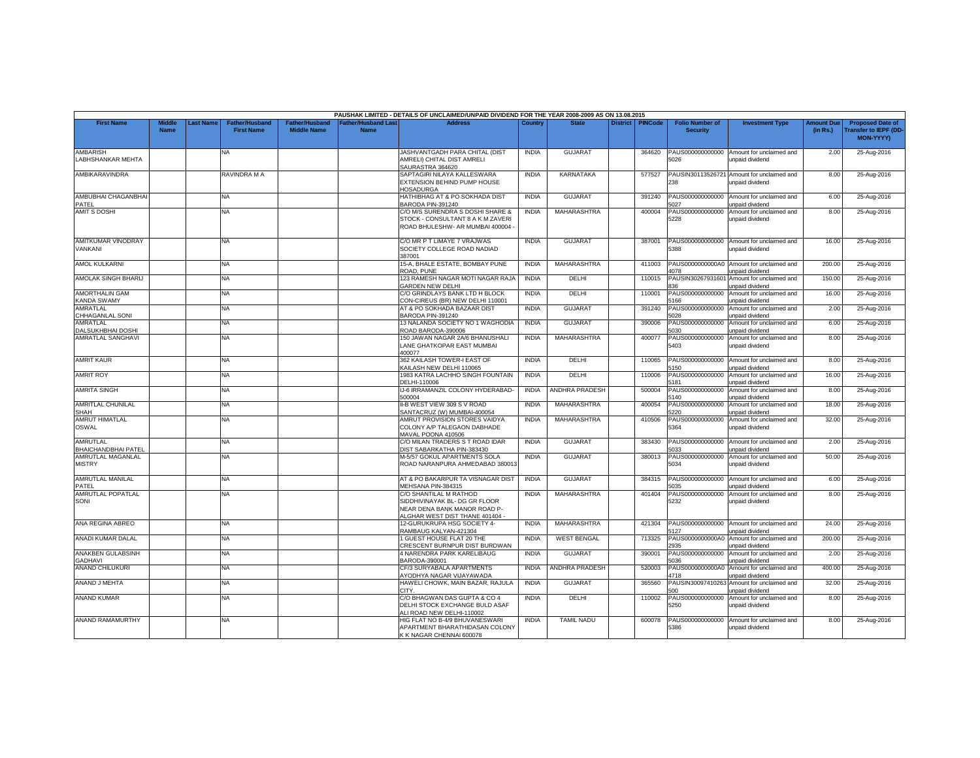|                                             |                              |                 |                                            |                                             |                                          | PAUSHAK LIMITED - DETAILS OF UNCLAIMED/UNPAID DIVIDEND FOR THE YEAR 2008-2009 AS ON 13.08.2015                             |              |                       |                 |                |                                           |                                                              |                               |                                                                     |
|---------------------------------------------|------------------------------|-----------------|--------------------------------------------|---------------------------------------------|------------------------------------------|----------------------------------------------------------------------------------------------------------------------------|--------------|-----------------------|-----------------|----------------|-------------------------------------------|--------------------------------------------------------------|-------------------------------|---------------------------------------------------------------------|
| <b>First Name</b>                           | <b>Middle</b><br><b>Name</b> | <b>ast Name</b> | <b>Father/Husband</b><br><b>First Name</b> | <b>Father/Husband</b><br><b>Middle Name</b> | <b>Father/Husband Las</b><br><b>Name</b> | <b>Address</b>                                                                                                             | Country      | <b>State</b>          | <b>District</b> | <b>PINCode</b> | <b>Folio Number of</b><br><b>Security</b> | <b>Investment Type</b>                                       | <b>Amount Due</b><br>(in Rs.) | <b>Proposed Date of</b><br><b>Transfer to IEPF (DD</b><br>MON-YYYY) |
| <b>AMBARISH</b><br><b>LABHSHANKAR MEHTA</b> |                              |                 | <b>NA</b>                                  |                                             |                                          | JASHVANTGADH PARA CHITAL (DIST<br>AMRELI) CHITAL DIST AMRELI<br>SAURASTRA 364620                                           | <b>INDIA</b> | <b>GUJARAT</b>        |                 | 364620         | PAUS000000000000<br>5026                  | Amount for unclaimed and<br>unpaid dividend                  | 2.00                          | 25-Aug-2016                                                         |
| AMBIKARAVINDRA                              |                              |                 | RAVINDRA M A                               |                                             |                                          | SAPTAGIRI NILAYA KALLESWARA<br>EXTENSION BEHIND PUMP HOUSE<br><b>IOSADURGA</b>                                             | <b>INDIA</b> | <b>KARNATAKA</b>      |                 | 577527         | PAUSIN30113526721<br>238                  | Amount for unclaimed and<br>unpaid dividend                  | 8.00                          | 25-Aug-2016                                                         |
| AMBUBHAI CHAGANBHAI<br>PATFL                |                              |                 | NA.                                        |                                             |                                          | HATHIBHAG AT & PO SOKHADA DIST<br>BARODA PIN-391240                                                                        | <b>INDIA</b> | <b>GUJARAT</b>        |                 | 391240         | PAUS000000000000<br>027                   | Amount for unclaimed and<br>unpaid dividend                  | 6.00                          | 25-Aug-2016                                                         |
| <b>AMIT S DOSHI</b>                         |                              |                 | <b>NA</b>                                  |                                             |                                          | C/O M/S SURENDRA S DOSHI SHARE &<br>STOCK - CONSULTANT 8 A K M ZAVERI<br>ROAD BHULESHW- AR MUMBAI 400004                   | <b>INDIA</b> | MAHARASHTRA           |                 | 400004         | PAUS000000000000<br>5228                  | Amount for unclaimed and<br>unpaid dividend                  | 8.00                          | 25-Aug-2016                                                         |
| AMITKUMAR VINODRAY<br>VANKANI               |                              |                 | <b>NA</b>                                  |                                             |                                          | C/O MR P T LIMAYE 7 VRAJWAS<br>SOCIETY COLLEGE ROAD NADIAD<br>387001                                                       | <b>INDIA</b> | <b>GUJARAT</b>        |                 | 387001         | 388                                       | PAUS000000000000 Amount for unclaimed and<br>unpaid dividend | 16.00                         | 25-Aug-2016                                                         |
| AMOL KULKARNI                               |                              |                 | NA.                                        |                                             |                                          | 15-A. BHALE ESTATE. BOMBAY PUNE<br>ROAD, PUNE                                                                              | <b>INDIA</b> | MAHARASHTRA           |                 | 411003         | PAUS0000000000A0<br>1078                  | Amount for unclaimed and<br>unpaid dividend                  | 200.00                        | 25-Aug-2016                                                         |
| AMOLAK SINGH BHARIJ                         |                              |                 | NA                                         |                                             |                                          | 123 RAMESH NAGAR MOTI NAGAR RAJA<br><b>GARDEN NEW DELHI</b>                                                                | <b>INDIA</b> | DELHI                 |                 | 110015         | PAUSIN30267931601<br>836                  | Amount for unclaimed and<br>unpaid dividend                  | 150.00                        | 25-Aug-2016                                                         |
| <b>AMORTHALIN GAM</b><br>KANDA SWAMY        |                              |                 | <b>NA</b>                                  |                                             |                                          | C/O GRINDLAYS BANK LTD H BLOCK<br>CON-CIREUS (BR) NEW DELHI 110001                                                         | <b>INDIA</b> | DELHI                 |                 | 110001         | PAUS000000000000<br>166                   | Amount for unclaimed and<br>unpaid dividend                  | 16.00                         | 25-Aug-2016                                                         |
| AMRATLAL<br>CHHAGANLAL SONI                 |                              |                 | <b>NA</b>                                  |                                             |                                          | AT & PO SOKHADA BAZAAR DIST<br>BARODA PIN-391240                                                                           | <b>INDIA</b> | <b>GUJARAT</b>        |                 | 391240         | PAUS000000000000<br>028                   | Amount for unclaimed and<br>unpaid dividend                  | 2.00                          | 25-Aug-2016                                                         |
| <b>AMRATLAL</b><br>DALSUKHBHAI DOSHI        |                              |                 | <b>NA</b>                                  |                                             |                                          | 13 NALANDA SOCIETY NO 1 WAGHODIA<br>ROAD BARODA-390006                                                                     | <b>INDIA</b> | <b>GUJARAT</b>        |                 | 390006         | PAUS000000000000<br>030                   | Amount for unclaimed and<br>unpaid dividend                  | 6.00                          | 25-Aug-2016                                                         |
| <b>AMRATLAL SANGHAVI</b>                    |                              |                 | NA                                         |                                             |                                          | 150 JAWAN NAGAR 2A/6 BHANUSHALI<br>LANE GHATKOPAR EAST MUMBAI<br>400077                                                    | <b>INDIA</b> | MAHARASHTRA           |                 | 400077         | PAUS000000000000<br>5403                  | Amount for unclaimed and<br>unpaid dividend                  | 8.00                          | 25-Aug-2016                                                         |
| <b>AMRIT KAUR</b>                           |                              |                 | <b>NA</b>                                  |                                             |                                          | 362 KAILASH TOWER-I EAST OF<br>KAILASH NEW DELHI 110065                                                                    | <b>INDIA</b> | DELHI                 |                 | 110065         | PAUS000000000000<br>150                   | Amount for unclaimed and<br>unpaid dividend                  | 8.00                          | 25-Aug-2016                                                         |
| <b>AMRIT ROY</b>                            |                              |                 | <b>NA</b>                                  |                                             |                                          | 1983 KATRA LACHHO SINGH FOUNTAIN<br>DELHI-110006                                                                           | <b>INDIA</b> | DELHI                 |                 | 110006         | PAUS000000000000<br>181                   | Amount for unclaimed and<br>unpaid dividend                  | 16.00                         | 25-Aug-2016                                                         |
| <b>AMRITA SINGH</b>                         |                              |                 | <b>NA</b>                                  |                                             |                                          | IJ-6 IRRAMANZIL COLONY HYDERABAD-<br>500004                                                                                | <b>INDIA</b> | ANDHRA PRADESH        |                 | 500004         | PAUS000000000000<br>5140                  | Amount for unclaimed and<br>unpaid dividend                  | 8.00                          | 25-Aug-2016                                                         |
| AMRITLAL CHUNILAL<br>SHAH                   |                              |                 | <b>NA</b>                                  |                                             |                                          | II-B WEST VIEW 309 S V ROAD<br>SANTACRUZ (W) MUMBAI-400054                                                                 | <b>INDIA</b> | MAHARASHTRA           |                 | 400054         | PAUS000000000000<br>5220                  | Amount for unclaimed and<br>unpaid dividend                  | 18.00                         | 25-Aug-2016                                                         |
| <b>AMRUT HIMATLAL</b><br>OSWAL              |                              |                 | <b>NA</b>                                  |                                             |                                          | AMRUT PROVISION STORES VAIDYA<br>COLONY A/P TALEGAON DABHADE<br>MAVAL POONA 410506                                         | <b>INDIA</b> | MAHARASHTRA           |                 | 410506         | PAUS000000000000<br>5364                  | Amount for unclaimed and<br>unpaid dividend                  | 32.00                         | 25-Aug-2016                                                         |
| <b>AMRUTLAL</b><br>BHAICHANDBHAI PATEL      |                              |                 | <b>NA</b>                                  |                                             |                                          | C/O MILAN TRADERS S T ROAD IDAR<br>DIST SABARKATHA PIN-383430                                                              | <b>INDIA</b> | <b>GUJARAT</b>        |                 | 383430         | PAUS000000000000<br>033                   | Amount for unclaimed and<br>unpaid dividend                  | 2.00                          | 25-Aug-2016                                                         |
| AMRUTLAL MAGANLAL<br><b>MISTRY</b>          |                              |                 | <b>NA</b>                                  |                                             |                                          | M-5/57 GOKUL APARTMENTS SOLA<br>ROAD NARANPURA AHMEDABAD 380013                                                            | <b>INDIA</b> | <b>GUJARAT</b>        |                 | 380013         | PAUS000000000000<br>5034                  | Amount for unclaimed and<br>unpaid dividend                  | 50.00                         | 25-Aug-2016                                                         |
| AMRUTLAL MANILAL<br>PATEL                   |                              |                 | <b>NA</b>                                  |                                             |                                          | AT & PO BAKARPUR TA VISNAGAR DIST<br>MEHSANA PIN-384315                                                                    | <b>INDIA</b> | GUJARAT               |                 | 384315         | PAUS000000000000<br>035                   | Amount for unclaimed and<br>unpaid dividend                  | 6.00                          | 25-Aug-2016                                                         |
| <b>AMRUTLAL POPATLAL</b><br>SONI            |                              |                 | <b>NA</b>                                  |                                             |                                          | C/O SHANTILAL M RATHOD<br>SIDDHIVINAYAK BL- DG GR FLOOR<br>NEAR DENA BANK MANOR ROAD P-<br>ALGHAR WEST DIST THANE 401404 - | <b>INDIA</b> | MAHARASHTRA           |                 | 401404         | PAUS000000000000<br>5232                  | Amount for unclaimed and<br>unpaid dividend                  | 8.00                          | 25-Aug-2016                                                         |
| ANA REGINA ABREO                            |                              |                 | <b>NA</b>                                  |                                             |                                          | 12-GURUKRUPA HSG SOCIETY 4-<br>RAMBAUG KALYAN-421304                                                                       | <b>INDIA</b> | <b>MAHARASHTRA</b>    |                 | 421304         | PAUS000000000000<br>5127                  | Amount for unclaimed and<br>unpaid dividend                  | 24.00                         | 25-Aug-2016                                                         |
| ANADI KUMAR DALAL                           |                              |                 | <b>NA</b>                                  |                                             |                                          | 1 GUEST HOUSE FLAT 20 THE<br>CRESCENT BURNPUR DIST BURDWAN                                                                 | <b>INDIA</b> | <b>WEST BENGAL</b>    |                 | 713325         | PAUS0000000000A0<br>2935                  | Amount for unclaimed and<br>unpaid dividend                  | 200.00                        | 25-Aug-2016                                                         |
| ANAKBEN GULABSINH<br><b>GADHAVI</b>         |                              |                 | <b>NA</b>                                  |                                             |                                          | 4 NARENDRA PARK KARELIBAUG<br>BARODA-390001                                                                                | <b>INDIA</b> | GUJARAT               |                 | 390001         | PAUS000000000000<br>5036                  | Amount for unclaimed and<br>unpaid dividend                  | 2.00                          | 25-Aug-2016                                                         |
| <b>ANAND CHILUKURI</b>                      |                              |                 | NA                                         |                                             |                                          | CF/3 SURYABALA APARTMENTS<br>AYODHYA NAGAR VIJAYAWADA                                                                      | <b>INDIA</b> | <b>ANDHRA PRADESH</b> |                 | 520003         | PAUS0000000000A<br>4718                   | Amount for unclaimed and<br>unpaid dividend                  | 400.00                        | 25-Aug-2016                                                         |
| ANAND J MEHTA                               |                              |                 | NA                                         |                                             |                                          | HAWELI CHOWK, MAIN BAZAR, RAJULA<br>CITY.                                                                                  | <b>INDIA</b> | <b>GUJARAT</b>        |                 | 365560         | PAUSIN3009741026<br>nn                    | Amount for unclaimed and<br>inpaid dividend                  | 32.00                         | 25-Aug-2016                                                         |
| <b>ANAND KUMAR</b>                          |                              |                 | <b>NA</b>                                  |                                             |                                          | C/O BHAGWAN DAS GUPTA & CO 4<br>DELHI STOCK EXCHANGE BULD ASAF<br>ALI ROAD NEW DELHI-110002                                | <b>INDIA</b> | DELHI                 |                 | 110002         | PAUS000000000000<br>5250                  | Amount for unclaimed and<br>unpaid dividend                  | 8.00                          | 25-Aug-2016                                                         |
| ANAND RAMAMURTHY                            |                              |                 | <b>NA</b>                                  |                                             |                                          | HIG FLAT NO B-4/9 BHUVANESWARI<br>APARTMENT BHARATHIDASAN COLONY<br>K K NAGAR CHENNAI 600078                               | <b>INDIA</b> | <b>TAMIL NADU</b>     |                 | 600078         | PAUS000000000000<br>5386                  | Amount for unclaimed and<br>unpaid dividend                  | 8.00                          | 25-Aug-2016                                                         |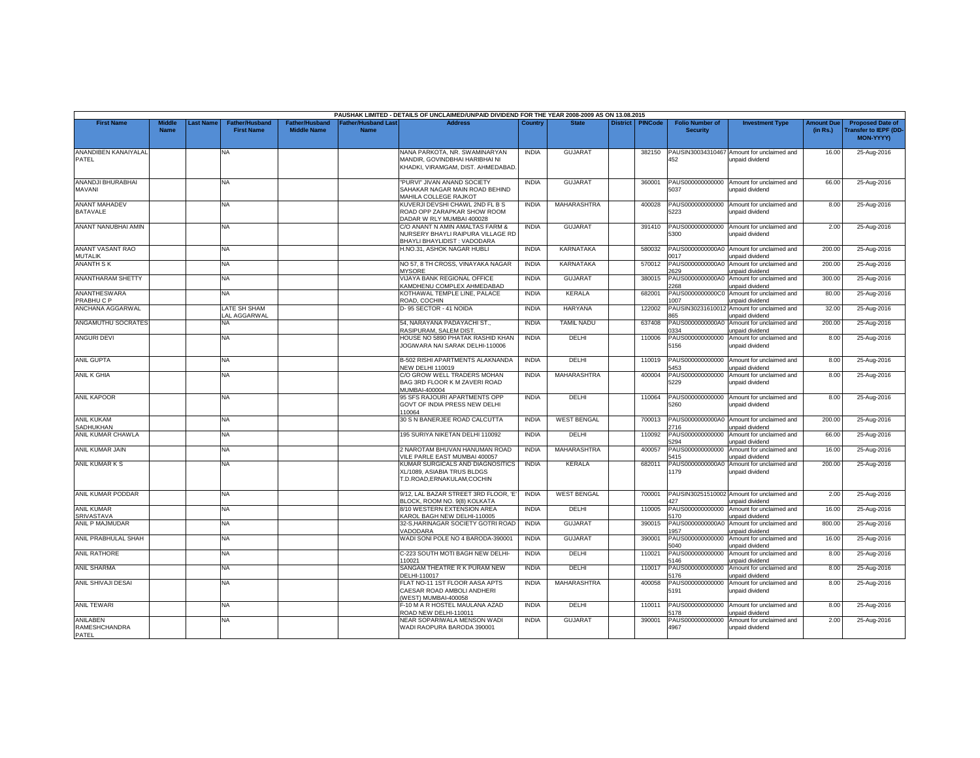|                                                     |                              |                 |                                            |                                             |                                                | PAUSHAK LIMITED - DETAILS OF UNCLAIMED/UNPAID DIVIDEND FOR THE YEAR 2008-2009 AS ON 13.08.2015        |                              |                              |                 |                  |                                              |                                                                         |                               |                                                              |
|-----------------------------------------------------|------------------------------|-----------------|--------------------------------------------|---------------------------------------------|------------------------------------------------|-------------------------------------------------------------------------------------------------------|------------------------------|------------------------------|-----------------|------------------|----------------------------------------------|-------------------------------------------------------------------------|-------------------------------|--------------------------------------------------------------|
| <b>First Name</b>                                   | <b>Middle</b><br><b>Name</b> | <b>ast Name</b> | <b>Father/Husband</b><br><b>First Name</b> | <b>Father/Husband</b><br><b>Middle Name</b> | ather/Husband Last <sup>-</sup><br><b>Name</b> | <b>Address</b>                                                                                        | Country                      | <b>State</b>                 | <b>District</b> | <b>PINCode</b>   | <b>Folio Number of</b><br><b>Security</b>    | <b>Investment Type</b>                                                  | <b>Amount Due</b><br>(in Rs.) | <b>Proposed Date of</b><br>ransfer to IEPF (DD-<br>MON-YYYY) |
| ANANDIBEN KANAIYALAL<br>PATEL                       |                              |                 | <b>NA</b>                                  |                                             |                                                | NANA PARKOTA, NR. SWAMINARYAN<br>MANDIR. GOVINDBHAI HARIBHAI NI<br>KHADKI, VIRAMGAM, DIST. AHMEDABAD. | <b>INDIA</b>                 | <b>GUJARAT</b>               |                 | 382150           | PAUSIN30034310467<br>452                     | Amount for unclaimed and<br>unpaid dividend                             | 16.00                         | 25-Aug-2016                                                  |
| ANANDJI BHURABHAI<br>MAVANI                         |                              |                 | <b>NA</b>                                  |                                             |                                                | "PURVI" JIVAN ANAND SOCIETY<br>SAHAKAR NAGAR MAIN ROAD BEHIND<br>MAHILA COLLEGE RAJKOT                | <b>INDIA</b>                 | <b>GUJARAT</b>               |                 | 360001           | 5037                                         | PAUS000000000000 Amount for unclaimed and<br>unpaid dividend            | 66.00                         | 25-Aug-2016                                                  |
| <b>ANANT MAHADEV</b><br><b>BATAVALE</b>             |                              |                 | <b>NA</b>                                  |                                             |                                                | KUVERJI DEVSHI CHAWL 2ND FL B S<br>ROAD OPP ZARAPKAR SHOW ROOM<br>DADAR W RLY MUMBAI 400028           | <b>INDIA</b>                 | MAHARASHTRA                  |                 | 400028           | 5223                                         | PAUS000000000000 Amount for unclaimed and<br>unpaid dividend            | 8.00                          | 25-Aug-2016                                                  |
| ANANT NANUBHAI AMIN                                 |                              |                 | NA.                                        |                                             |                                                | C/O ANANT N AMIN AMALTAS FARM &<br>NURSERY BHAYLI RAIPURA VILLAGE RD<br>BHAYLI BHAYLIDIST: VADODARA   | <b>INDIA</b>                 | <b>GUJARAT</b>               |                 | 391410           | 5300                                         | PAUS000000000000 Amount for unclaimed and<br>unpaid dividend            | 2.00                          | 25-Aug-2016                                                  |
| ANANT VASANT RAO<br><b>MUTALIK</b>                  |                              |                 | <b>NA</b>                                  |                                             |                                                | H.NO.31, ASHOK NAGAR HUBLI                                                                            | <b>INDIA</b>                 | KARNATAKA                    |                 | 580032           | 0017                                         | PAUS0000000000A0 Amount for unclaimed and<br>unpaid dividend            | 200.00                        | 25-Aug-2016                                                  |
| <b>ANANTH SK</b>                                    |                              |                 | NA.                                        |                                             |                                                | NO 57, 8 TH CROSS, VINAYAKA NAGAR<br><b>MYSORE</b>                                                    | <b>INDIA</b>                 | KARNATAKA                    |                 | 570012           | 629                                          | PAUS0000000000A0 Amount for unclaimed and<br>unpaid dividend            | 200.00                        | 25-Aug-2016                                                  |
| <b>ANANTHARAM SHETTY</b>                            |                              |                 | NA                                         |                                             |                                                | VIJAYA BANK REGIONAL OFFICE<br>KAMDHENU COMPLEX AHMEDABAD                                             | <b>INDIA</b>                 | <b>GUJARAT</b>               |                 | 380015           | PAUS0000000000A0<br>268                      | Amount for unclaimed and<br>unpaid dividend                             | 300.00                        | 25-Aug-2016                                                  |
| <b>ANANTHESWARA</b><br>PRABHUCP<br>ANCHANA AGGARWAL |                              |                 | NA.<br>LATE SH SHAM                        |                                             |                                                | KOTHAWAL TEMPLE LINE. PALACE<br>ROAD, COCHIN<br>D-95 SECTOR - 41 NOIDA                                | <b>INDIA</b><br><b>INDIA</b> | KERALA<br><b>HARYANA</b>     |                 | 682001<br>122002 | PAUS0000000000C<br>007<br>PAUSIN30231610012  | Amount for unclaimed and<br>unpaid dividend<br>Amount for unclaimed and | 80.00<br>32.00                | 25-Aug-2016<br>25-Aug-2016                                   |
| ANGAMUTHU SOCRATES                                  |                              |                 | AL AGGARWAL<br>NΑ                          |                                             |                                                | 54. NARAYANA PADAYACHI ST.,                                                                           | <b>INDIA</b>                 | <b>TAMIL NADU</b>            |                 | 637408           | 65<br>PAUS0000000000A0                       | Inpaid dividend<br>Amount for unclaimed and                             | 200.00                        | 25-Aug-2016                                                  |
| <b>ANGURI DEVI</b>                                  |                              |                 | NA                                         |                                             |                                                | RASIPURAM, SALEM DIST<br>HOUSE NO 5890 PHATAK RASHID KHAN<br>JOGIWARA NAI SARAK DELHI-110006          | <b>INDIA</b>                 | DELHI                        |                 | 110006           | 334<br>PAUS000000000000<br>5156              | unpaid dividend<br>Amount for unclaimed and<br>unpaid dividend          | 8.00                          | 25-Aug-2016                                                  |
| <b>ANIL GUPTA</b>                                   |                              |                 | <b>NA</b>                                  |                                             |                                                | <b>B-502 RISHI APARTMENTS ALAKNANDA</b><br><b>NEW DELHI 110019</b>                                    | <b>INDIA</b>                 | DELHI                        |                 | 110019           | 5453                                         | PAUS000000000000 Amount for unclaimed and<br>unpaid dividend            | 8.00                          | 25-Aug-2016                                                  |
| ANIL K GHIA                                         |                              |                 | <b>NA</b>                                  |                                             |                                                | C/O GROW WELL TRADERS MOHAN<br>BAG 3RD FLOOR K M ZAVERI ROAD<br>MUMBAI-400004                         | <b>INDIA</b>                 | MAHARASHTRA                  |                 | 400004           | 229                                          | PAUS000000000000 Amount for unclaimed and<br>unpaid dividend            | 8.00                          | 25-Aug-2016                                                  |
| <b>ANIL KAPOOR</b>                                  |                              |                 | NA                                         |                                             |                                                | 95 SFS RAJOURI APARTMENTS OPP<br>GOVT OF INDIA PRESS NEW DELHI<br>110064                              | <b>INDIA</b>                 | DELHI                        |                 | 110064           | 5260                                         | PAUS000000000000 Amount for unclaimed and<br>unpaid dividend            | 8.00                          | 25-Aug-2016                                                  |
| <b>ANIL KUKAM</b><br><b>SADHUKHAN</b>               |                              |                 | <b>NA</b>                                  |                                             |                                                | 30 S N BANERJEE ROAD CALCUTTA                                                                         | <b>INDIA</b>                 | <b>WEST BENGAL</b>           |                 | 700013           | 2716                                         | PAUS0000000000A0 Amount for unclaimed and<br>unpaid dividend            | 200.00                        | 25-Aug-2016                                                  |
| ANIL KUMAR CHAWLA                                   |                              |                 | NA.                                        |                                             |                                                | 195 SURIYA NIKETAN DELHI 110092                                                                       | <b>INDIA</b>                 | DELHI                        |                 | 110092           | PAUS000000000000<br>1294                     | Amount for unclaimed and<br>unpaid dividend                             | 66.00                         | 25-Aug-2016                                                  |
| ANIL KUMAR JAIN                                     |                              |                 | NA                                         |                                             |                                                | 2 NAROTAM BHUVAN HANUMAN ROAD<br>/ILE PARLE EAST MUMBAI 400057                                        | <b>INDIA</b><br><b>INDIA</b> | MAHARASHTRA<br><b>KERALA</b> |                 | 400057           | 5415                                         | PAUS000000000000 Amount for unclaimed and<br>inpaid dividend            | 16.00                         | 25-Aug-2016                                                  |
| ANIL KUMAR K S                                      |                              |                 | NA.                                        |                                             |                                                | KUMAR SURGICALS AND DIAGNOSITICS<br>XL/1089, ASIABIA TRUS BLDGS<br>T.D.ROAD.ERNAKULAM.COCHIN          |                              |                              |                 | 682011           | 179                                          | PAUS0000000000A0 Amount for unclaimed and<br>unpaid dividend            | 200.00                        | 25-Aug-2016                                                  |
| ANIL KUMAR PODDAR                                   |                              |                 | <b>NA</b>                                  |                                             |                                                | 9/12. LAL BAZAR STREET 3RD FLOOR. 'E'<br>BLOCK, ROOM NO, 9(8) KOLKATA                                 | <b>INDIA</b>                 | <b>WEST BENGAL</b>           |                 | 700001           | 427                                          | PAUSIN30251510002 Amount for unclaimed and<br>unpaid dividend           | 2.00                          | 25-Aug-2016                                                  |
| <b>ANIL KUMAR</b><br><b>SRIVASTAVA</b>              |                              |                 | NA.                                        |                                             |                                                | 8/10 WESTERN EXTENSION AREA<br>KAROL BAGH NEW DELHI-110005                                            | <b>INDIA</b>                 | DELHI                        |                 | 110005           | PAUS000000000000<br>5170                     | Amount for unclaimed and<br>unpaid dividend                             | 16.00                         | 25-Aug-2016                                                  |
| ANIL P MAJMUDAR                                     |                              |                 | NA.                                        |                                             |                                                | 32-S,HARINAGAR SOCIETY GOTRI ROAD<br>VADODARA                                                         | <b>INDIA</b>                 | <b>GUJARAT</b>               |                 | 390015           | 957                                          | PAUS0000000000A0 Amount for unclaimed and<br>inpaid dividend            | 800.00                        | 25-Aug-2016                                                  |
| ANIL PRABHULAL SHAH<br><b>ANIL RATHORE</b>          |                              |                 | <b>NA</b>                                  |                                             |                                                | WADI SONI POLE NO 4 BARODA-390001                                                                     | <b>INDIA</b><br><b>INDIA</b> | <b>GUJARAT</b><br>DELHI      |                 | 390001           | PAUS000000000000<br>5040<br>PAUS000000000000 | Amount for unclaimed and<br>unpaid dividend<br>Amount for unclaimed and | 16.00<br>8.00                 | 25-Aug-2016                                                  |
| <b>ANIL SHARMA</b>                                  |                              |                 | <b>NA</b><br>NA.                           |                                             |                                                | C-223 SOUTH MOTI BAGH NEW DELHI-<br>10021<br>SANGAM THEATRE R K PURAM NEW                             | <b>INDIA</b>                 | DELHI                        |                 | 110021<br>110017 | 5146<br>PAUS000000000000                     | unpaid dividend<br>Amount for unclaimed and                             | 8.00                          | 25-Aug-2016                                                  |
| ANIL SHIVAJI DESAI                                  |                              |                 | NA                                         |                                             |                                                | DELHI-110017<br>FLAT NO-11 1ST FLOOR AASA APTS                                                        | <b>INDIA</b>                 | MAHARASHTRA                  |                 | 400058           | 5176<br>PAUS000000000000                     | unpaid dividend<br>Amount for unclaimed and                             | 8.00                          | 25-Aug-2016                                                  |
|                                                     |                              |                 |                                            |                                             |                                                | CAESAR ROAD AMBOLI ANDHERI<br>WEST) MUMBAI-400058                                                     |                              |                              |                 |                  | 5191                                         | unpaid dividend                                                         |                               | 25-Aug-2016                                                  |
| <b>ANIL TEWARI</b>                                  |                              |                 | NA.                                        |                                             |                                                | -10 M A R HOSTEL MAULANA AZAD<br>ROAD NEW DELHI-110011                                                | <b>INDIA</b>                 | DELHI                        |                 | 110011           | PAUS000000000000<br>178                      | Amount for unclaimed and<br>unpaid dividend                             | 8.00                          | 25-Aug-2016                                                  |
| ANILABEN<br>RAMESHCHANDRA<br>PATEL                  |                              |                 | NA                                         |                                             |                                                | NEAR SOPARIWALA MENSON WADI<br>WADI RAOPURA BARODA 390001                                             | <b>INDIA</b>                 | <b>GUJARAT</b>               |                 | 390001           | PAUS000000000000<br>4967                     | Amount for unclaimed and<br>unpaid dividend                             | 2.00                          | 25-Aug-2016                                                  |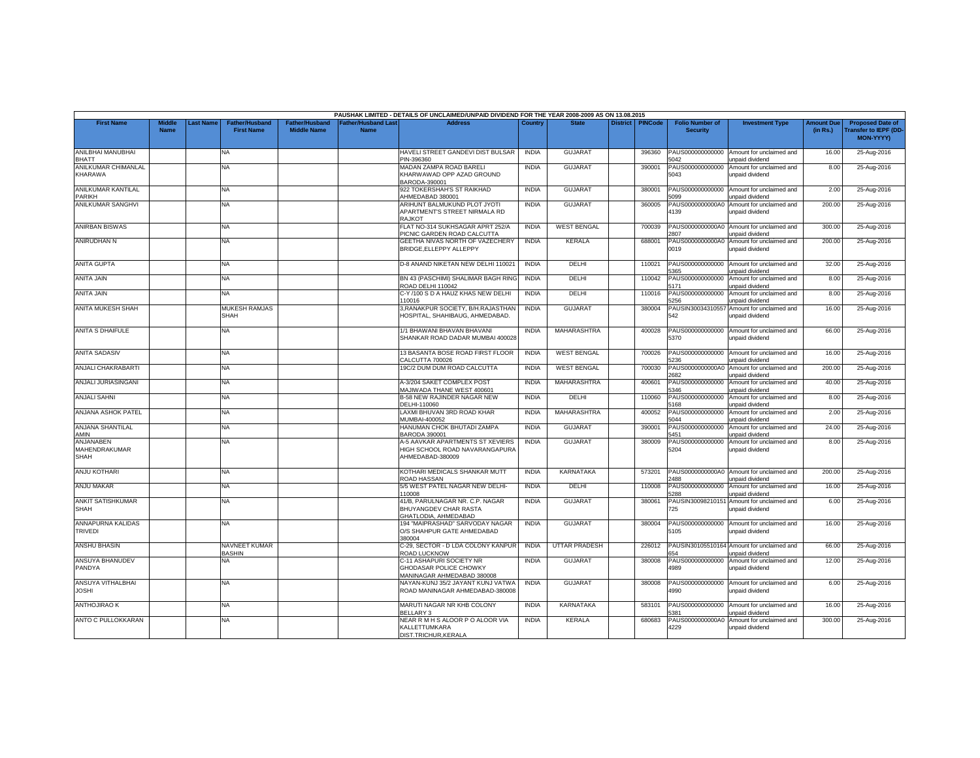|                                         |                              |                 |                                            |                                             |                                          | PAUSHAK LIMITED - DETAILS OF UNCLAIMED/UNPAID DIVIDEND FOR THE YEAR 2008-2009 AS ON 13.08.2015 |              |                      |                 |                |                                           |                                                               |                               |                                                                     |
|-----------------------------------------|------------------------------|-----------------|--------------------------------------------|---------------------------------------------|------------------------------------------|------------------------------------------------------------------------------------------------|--------------|----------------------|-----------------|----------------|-------------------------------------------|---------------------------------------------------------------|-------------------------------|---------------------------------------------------------------------|
| <b>First Name</b>                       | <b>Middle</b><br><b>Name</b> | <b>ast Name</b> | <b>Father/Husband</b><br><b>First Name</b> | <b>Father/Husband</b><br><b>Middle Name</b> | <b>Father/Husband Las</b><br><b>Name</b> | <b>Address</b>                                                                                 | Country      | <b>State</b>         | <b>District</b> | <b>PINCode</b> | <b>Folio Number of</b><br><b>Security</b> | <b>Investment Type</b>                                        | <b>Amount Due</b><br>(in Rs.) | <b>Proposed Date of</b><br><b>Transfer to IEPF (DD</b><br>MON-YYYY) |
| ANILBHAI MANUBHAI<br><b>BHATT</b>       |                              |                 | <b>NA</b>                                  |                                             |                                          | HAVELI STREET GANDEVI DIST BULSAR<br>PIN-396360                                                | <b>INDIA</b> | <b>GUJARA1</b>       |                 | 396360         | PAUS000000000000<br>5042                  | Amount for unclaimed and<br>unpaid dividend                   | 16.00                         | 25-Aug-2016                                                         |
| ANILKUMAR CHIMANLAL<br>KHARAWA          |                              |                 | NA                                         |                                             |                                          | MADAN ZAMPA ROAD BARELI<br>KHARWAWAD OPP AZAD GROUND<br>BARODA-390001                          | <b>INDIA</b> | <b>GUJARAT</b>       |                 | 390001         | AUS000000000000<br>5043                   | Amount for unclaimed and<br>unpaid dividend                   | 8.00                          | 25-Aug-2016                                                         |
| <b>ANILKUMAR KANTILAL</b><br>PARIKH     |                              |                 | <b>NA</b>                                  |                                             |                                          | 922 TOKERSHAH'S ST RAIKHAD<br>HMEDABAD 380001                                                  | <b>INDIA</b> | <b>GUJARAT</b>       |                 | 380001         | PAUS000000000000<br>099                   | Amount for unclaimed and<br>unpaid dividend                   | 2.00                          | 25-Aug-2016                                                         |
| <b>ANILKUMAR SANGHVI</b>                |                              |                 | <b>NA</b>                                  |                                             |                                          | ARIHUNT BALMUKUND PLOT JYOTI<br>APARTMENT'S STREET NIRMALA RD<br>RAJKOT                        | <b>INDIA</b> | <b>GUJARAT</b>       |                 | 360005         | PAUS0000000000A0<br>4139                  | Amount for unclaimed and<br>unpaid dividend                   | 200.00                        | 25-Aug-2016                                                         |
| <b>ANIRBAN BISWAS</b>                   |                              |                 | NA.                                        |                                             |                                          | FLAT NO-314 SUKHSAGAR APRT 252/A<br>PICNIC GARDEN ROAD CALCUTTA                                | <b>INDIA</b> | <b>WEST BENGAL</b>   |                 | 700039         | PAUS0000000000A0<br>807                   | Amount for unclaimed and<br>unpaid dividend                   | 300.00                        | 25-Aug-2016                                                         |
| ANIRUDHAN N                             |                              |                 | <b>NA</b>                                  |                                             |                                          | GEETHA NIVAS NORTH OF VAZECHERY<br>BRIDGE, ELLEPPY ALLEPPY                                     | <b>INDIA</b> | KERALA               |                 | 688001         | PAUS0000000000A0<br>0019                  | Amount for unclaimed and<br>unpaid dividend                   | 200.00                        | 25-Aug-2016                                                         |
| <b>ANITA GUPTA</b>                      |                              |                 | NA.                                        |                                             |                                          | D-8 ANAND NIKETAN NEW DELHI 110021                                                             | <b>INDIA</b> | <b>DELHI</b>         |                 | 110021         | PAUS000000000000<br>365                   | Amount for unclaimed and<br>unpaid dividend                   | 32.00                         | 25-Aug-2016                                                         |
| <b>ANITA JAIN</b>                       |                              |                 | NA                                         |                                             |                                          | BN 43 (PASCHIMI) SHALIMAR BAGH RING<br>ROAD DELHI 110042                                       | <b>INDIA</b> | DELHI                |                 | 110042         | PAUS000000000000<br>5171                  | Amount for unclaimed and<br>unpaid dividend                   | 8.00                          | 25-Aug-2016                                                         |
| <b>ANITA JAIN</b>                       |                              |                 | NA.                                        |                                             |                                          | C-Y /100 S D A HAUZ KHAS NEW DELH<br>110016                                                    | <b>INDIA</b> | DELHI                |                 | 110016         | PAUS000000000000<br>256                   | Amount for unclaimed and<br>unpaid dividend                   | 8.00                          | 25-Aug-2016                                                         |
| ANITA MUKESH SHAH                       |                              |                 | <b>MUKESH RAMJAS</b><br><b>SHAH</b>        |                                             |                                          | 3, RANAKPUR SOCIETY, B/H.RAJASTHAN<br>HOSPITAL, SHAHIBAUG, AHMEDABAD.                          | <b>INDIA</b> | <b>GUJARAT</b>       |                 | 380004         | PAUSIN30034310557<br>542                  | Amount for unclaimed and<br>unpaid dividend                   | 16.00                         | 25-Aug-2016                                                         |
| <b>ANITA S DHAIFULE</b>                 |                              |                 | NA                                         |                                             |                                          | 1/1 BHAWANI BHAVAN BHAVANI<br>SHANKAR ROAD DADAR MUMBAI 400028                                 | <b>INDIA</b> | <b>MAHARASHTRA</b>   |                 | 400028         | PAUS000000000000<br>5370                  | Amount for unclaimed and<br>unpaid dividend                   | 66.00                         | 25-Aug-2016                                                         |
| <b>ANITA SADASIV</b>                    |                              |                 | <b>NA</b>                                  |                                             |                                          | 13 BASANTA BOSE ROAD FIRST FLOOR<br>CALCUTTA 700026                                            | <b>INDIA</b> | <b>WEST BENGAL</b>   |                 | 700026         | PAUS000000000000<br>5236                  | Amount for unclaimed and<br>unpaid dividend                   | 16.00                         | 25-Aug-2016                                                         |
| ANJALI CHAKRABARTI                      |                              |                 | NA.                                        |                                             |                                          | 19C/2 DUM DUM ROAD CALCUTTA                                                                    | <b>INDIA</b> | <b>WEST BENGAL</b>   |                 | 700030         | PAUS0000000000A0<br>2682                  | Amount for unclaimed and<br>unpaid dividend                   | 200.00                        | 25-Aug-2016                                                         |
| ANJALI JURIASINGANI                     |                              |                 | <b>NA</b>                                  |                                             |                                          | A-3/204 SAKET COMPLEX POST<br>MAJIWADA THANE WEST 400601                                       | <b>INDIA</b> | MAHARASHTRA          |                 | 400601         | PAUS000000000000<br>5346                  | Amount for unclaimed and<br><b>Inpaid dividend</b>            | 40.00                         | 25-Aug-2016                                                         |
| <b>ANJALI SAHNI</b>                     |                              |                 | NA.                                        |                                             |                                          | <b>B-58 NEW RAJINDER NAGAR NEW</b><br>DELHI-110060                                             | <b>INDIA</b> | <b>DELHI</b>         |                 | 110060         | PAUS000000000000<br>168                   | Amount for unclaimed and<br>unpaid dividend                   | 8.00                          | 25-Aug-2016                                                         |
| ANJANA ASHOK PATEL                      |                              |                 | <b>NA</b>                                  |                                             |                                          | LAXMI BHUVAN 3RD ROAD KHAR<br>MUMBAI-400052                                                    | <b>INDIA</b> | MAHARASHTRA          |                 | 400052         | PAUS000000000000<br>5044                  | Amount for unclaimed and<br>unpaid dividend                   | 2.00                          | 25-Aug-2016                                                         |
| <b>ANJANA SHANTILAL</b><br>AMIN         |                              |                 | <b>NA</b>                                  |                                             |                                          | HANUMAN CHOK BHUTADI ZAMPA<br><b>BARODA 390001</b>                                             | <b>INDIA</b> | <b>GUJARAT</b>       |                 | 390001         | PAUS00000000000<br>5451                   | Amount for unclaimed and<br>unpaid dividend                   | 24.00                         | 25-Aug-2016                                                         |
| ANJANABEN<br>MAHENDRAKUMAR<br>SHAH      |                              |                 | <b>NA</b>                                  |                                             |                                          | A-5 AAVKAR APARTMENTS ST XEVIERS<br>HIGH SCHOOL ROAD NAVARANGAPURA<br>AHMEDABAD-380009         | <b>INDIA</b> | <b>GUJARAT</b>       |                 | 380009         | PAUS000000000000<br>5204                  | Amount for unclaimed and<br>unpaid dividend                   | 8.00                          | 25-Aug-2016                                                         |
| <b>ANJU KOTHARI</b>                     |                              |                 | NA                                         |                                             |                                          | KOTHARI MEDICALS SHANKAR MUTT<br>ROAD HASSAN                                                   | <b>INDIA</b> | KARNATAKA            |                 | 573201         | PAUS0000000000A0<br>2488                  | Amount for unclaimed and<br>unpaid dividend                   | 200.00                        | 25-Aug-2016                                                         |
| ANJU MAKAR                              |                              |                 | <b>NA</b>                                  |                                             |                                          | 5/5 WEST PATEL NAGAR NEW DELHI-<br>10008                                                       | <b>INDIA</b> | DELHI                |                 | 110008         | PAUS000000000000<br>5288                  | Amount for unclaimed and<br>unpaid dividend                   | 16.00                         | 25-Aug-2016                                                         |
| <b>ANKIT SATISHKUMAR</b><br><b>SHAH</b> |                              |                 | NA.                                        |                                             |                                          | 41/B. PARULNAGAR NR. C.P. NAGAR<br>BHUYANGDEV CHAR RASTA<br>GHATLODIA, AHMEDABAD               | <b>INDIA</b> | <b>GUJARAT</b>       |                 | 380061         | PAUSIN30098210151<br>725                  | Amount for unclaimed and<br>unpaid dividend                   | 6.00                          | 25-Aug-2016                                                         |
| ANNAPURNA KALIDAS<br><b>TRIVEDI</b>     |                              |                 | NA.                                        |                                             |                                          | 194 "MAIPRASHAD" SARVODAY NAGAR<br>O/S SHAHPUR GATE AHMEDABAD<br>380004                        | <b>INDIA</b> | <b>GUJARAT</b>       |                 | 380004         | PAUS000000000000<br>5105                  | Amount for unclaimed and<br>unpaid dividend                   | 16.00                         | 25-Aug-2016                                                         |
| <b>ANSHU BHASIN</b>                     |                              |                 | NAVNEET KUMAR<br><b>BASHIN</b>             |                                             |                                          | C-29, SECTOR - D LDA COLONY KANPUR<br>ROAD LUCKNOW                                             | <b>INDIA</b> | <b>UTTAR PRADESH</b> |                 | 226012         | 654                                       | PAUSIN30105510164 Amount for unclaimed and<br>unpaid dividend | 66.00                         | 25-Aug-2016                                                         |
| <b>ANSUYA BHANUDEV</b><br>PANDYA        |                              |                 | <b>NA</b>                                  |                                             |                                          | C-11 ASHAPURI SOCIETY NR<br>GHODASAR POLICE CHOWKY<br>MANINAGAR AHMEDABAD 380008               | <b>INDIA</b> | <b>GUJARAT</b>       |                 | 380008         | PAUS000000000000<br>4989                  | Amount for unclaimed and<br>unpaid dividend                   | 12.00                         | 25-Aug-2016                                                         |
| ANSUYA VITHALBHAI<br>JOSHI              |                              |                 | NA                                         |                                             |                                          | NAYAN-KUNJ 35/2 JAYANT KUNJ VATWA<br>ROAD MANINAGAR AHMEDABAD-380008                           | <b>INDIA</b> | <b>GUJARAT</b>       |                 | 380008         | PAUS000000000000<br>1990                  | Amount for unclaimed and<br>unpaid dividend                   | 6.00                          | 25-Aug-2016                                                         |
| <b>ANTHOJIRAO K</b>                     |                              |                 | NA.                                        |                                             |                                          | MARUTI NAGAR NR KHB COLONY<br>BELLARY 3                                                        | <b>INDIA</b> | <b>KARNATAKA</b>     |                 | 583101         | PAUS000000000000<br>381                   | Amount for unclaimed and<br>unpaid dividend                   | 16.00                         | 25-Aug-2016                                                         |
| ANTO C PULLOKKARAN                      |                              |                 | <b>NA</b>                                  |                                             |                                          | NEAR R M H S ALOOR P O ALOOR VIA<br>KALLETTUMKARA<br>DIST.TRICHUR.KERALA                       | <b>INDIA</b> | KERALA               |                 | 680683         | PAUS0000000000A0<br>4229                  | Amount for unclaimed and<br>unpaid dividend                   | 300.00                        | 25-Aug-2016                                                         |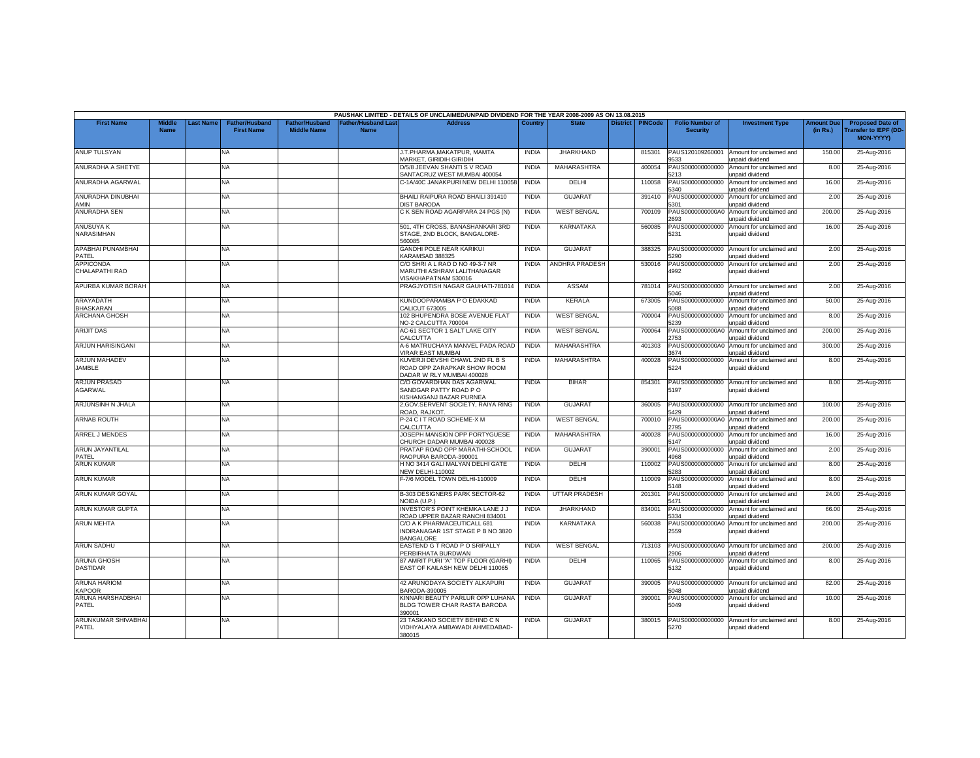|                                       |                              |                  |                                     |                                             |                                           | PAUSHAK LIMITED - DETAILS OF UNCLAIMED/UNPAID DIVIDEND FOR THE YEAR 2008-2009 AS ON 13.08.2015 |              |                       |                    |                                           |                                                              |                               |                                                                     |
|---------------------------------------|------------------------------|------------------|-------------------------------------|---------------------------------------------|-------------------------------------------|------------------------------------------------------------------------------------------------|--------------|-----------------------|--------------------|-------------------------------------------|--------------------------------------------------------------|-------------------------------|---------------------------------------------------------------------|
| <b>First Name</b>                     | <b>Middle</b><br><b>Name</b> | <b>Last Name</b> | Father/Husband<br><b>First Name</b> | <b>Father/Husband</b><br><b>Middle Name</b> | <b>Father/Husband Last</b><br><b>Name</b> | Address                                                                                        | Country      | <b>State</b>          | District   PINCode | <b>Folio Number of</b><br><b>Security</b> | <b>Investment Type</b>                                       | <b>Amount Due</b><br>(in Rs.) | <b>Proposed Date of</b><br><b>Transfer to IEPF (DD</b><br>MON-YYYY) |
| <b>ANUP TULSYAN</b>                   |                              |                  | <b>NA</b>                           |                                             |                                           | J.T.PHARMA.MAKATPUR. MAMTA<br>MARKET, GIRIDIH GIRIDIH                                          | <b>INDIA</b> | <b>JHARKHAND</b>      | 815301             | PAUS120109260001<br>9533                  | Amount for unclaimed and<br>unpaid dividend                  | 150.00                        | 25-Aug-2016                                                         |
| ANURADHA A SHETYE                     |                              |                  | NA.                                 |                                             |                                           | D/5/8 JEEVAN SHANTI S V ROAD<br>SANTACRUZ WEST MUMBAI 400054                                   | <b>INDIA</b> | <b>MAHARASHTRA</b>    | 400054             | PAUS000000000000<br>5213                  | Amount for unclaimed and<br>unpaid dividend                  | 8.00                          | 25-Aug-2016                                                         |
| ANURADHA AGARWAL                      |                              |                  | NA                                  |                                             |                                           | C-1A/40C JANAKPURI NEW DELHI 110058                                                            | <b>INDIA</b> | DELHI                 | 110058             | PAUS000000000000<br>340                   | Amount for unclaimed and<br>inpaid dividend                  | 16.00                         | 25-Aug-2016                                                         |
| ANURADHA DINUBHAI<br>AMIN             |                              |                  | NA                                  |                                             |                                           | BHAILI RAIPURA ROAD BHAILI 391410<br><b>JIST BARODA</b>                                        | <b>INDIA</b> | <b>GUJARAT</b>        | 391410             | PAUS000000000000<br>301                   | Amount for unclaimed and<br>unpaid dividend                  | 2.00                          | 25-Aug-2016                                                         |
| <b>ANURADHA SEN</b>                   |                              |                  | NA                                  |                                             |                                           | C K SEN ROAD AGARPARA 24 PGS (N)                                                               | <b>INDIA</b> | <b>WEST BENGAL</b>    | 700109             | PAUS0000000000A0<br>'693                  | Amount for unclaimed and<br>unpaid dividend                  | 200.00                        | 25-Aug-2016                                                         |
| <b>ANUSUYA K</b><br>NARASIMHAN        |                              |                  | NA                                  |                                             |                                           | 501, 4TH CROSS, BANASHANKARI 3RD<br>STAGE, 2ND BLOCK, BANGALORE-<br>560085                     | <b>INDIA</b> | KARNATAKA             | 560085             | PAUS000000000000<br>5231                  | Amount for unclaimed and<br>unpaid dividend                  | 16.00                         | 25-Aug-2016                                                         |
| APABHAI PUNAMBHAI<br>PATEL            |                              |                  | NA                                  |                                             |                                           | <b>GANDHI POLE NEAR KARIKUI</b><br><b>KARAMSAD 388325</b>                                      | <b>INDIA</b> | <b>GUJARAT</b>        | 388325             | PAUS000000000000<br>290                   | Amount for unclaimed and<br><b>Inpaid dividend</b>           | 2.00                          | 25-Aug-2016                                                         |
| <b>APPICONDA</b><br>CHALAPATHI RAO    |                              |                  | NA                                  |                                             |                                           | C/O SHRI A L RAO D NO 49-3-7 NR<br>MARUTHI ASHRAM LALITHANAGAR<br>VISAKHAPATNAM 530016         | <b>INDIA</b> | <b>ANDHRA PRADESH</b> | 530016             | PAUS000000000000<br>4992                  | Amount for unclaimed and<br>unpaid dividend                  | 2.00                          | 25-Aug-2016                                                         |
| APURBA KUMAR BORAH                    |                              |                  | NA.                                 |                                             |                                           | PRAGJYOTISH NAGAR GAUHATI-781014                                                               | <b>INDIA</b> | <b>ASSAM</b>          | 781014             | PAUS000000000000<br>5046                  | Amount for unclaimed and<br>unpaid dividend                  | 2.00                          | 25-Aug-2016                                                         |
| ARAYADATH<br><b>BHASKARAN</b>         |                              |                  | NA.                                 |                                             |                                           | KUNDOOPARAMBA P O EDAKKAD<br>CALICUT 673005                                                    | <b>INDIA</b> | <b>KERALA</b>         | 673005             | PAUS000000000000<br>5088                  | Amount for unclaimed and<br>unpaid dividend                  | 50.00                         | 25-Aug-2016                                                         |
| <b>ARCHANA GHOSH</b>                  |                              |                  | NA                                  |                                             |                                           | 102 BHUPENDRA BOSE AVENUE FLAT<br>VO-2 CALCUTTA 700004                                         | <b>INDIA</b> | <b>WEST BENGAL</b>    | 700004             | PAUS000000000000<br>239                   | Amount for unclaimed and<br>inpaid dividend                  | 8.00                          | 25-Aug-2016                                                         |
| <b>ARIJIT DAS</b>                     |                              |                  | NA.                                 |                                             |                                           | AC-61 SECTOR 1 SALT LAKE CITY<br>ALCUTTA                                                       | <b>INDIA</b> | <b>WEST BENGAL</b>    | 700064             | PAUS0000000000A0<br>753                   | Amount for unclaimed and<br>unpaid dividend                  | 200.00                        | 25-Aug-2016                                                         |
| ARJUN HARISINGANI                     |                              |                  | NA                                  |                                             |                                           | A-6 MATRUCHAYA MANVEL PADA ROAD<br><b>IRAR EAST MUMBAI</b>                                     | <b>INDIA</b> | <b>MAHARASHTRA</b>    | 401303             | PAUS0000000000A0<br>3674                  | Amount for unclaimed and<br>unpaid dividend                  | 300.00                        | 25-Aug-2016                                                         |
| ARJUN MAHADEV<br><b>JAMBLE</b>        |                              |                  | NA                                  |                                             |                                           | KUVERJI DEVSHI CHAWL 2ND FL B S<br>ROAD OPP ZARAPKAR SHOW ROOM<br>DADAR W RLY MUMBAI 400028    | <b>INDIA</b> | MAHARASHTRA           | 400028             | PAUS000000000000<br>5224                  | Amount for unclaimed and<br>unpaid dividend                  | 8.00                          | 25-Aug-2016                                                         |
| <b>ARJUN PRASAD</b><br>AGARWAL        |                              |                  | NA                                  |                                             |                                           | C/O GOVARDHAN DAS AGARWAL<br>SANDGAR PATTY ROAD PO<br><b>(ISHANGANJ BAZAR PURNEA</b>           | <b>INDIA</b> | <b>BIHAR</b>          | 854301             | 5197                                      | PAUS000000000000 Amount for unclaimed and<br>unpaid dividend | 8.00                          | 25-Aug-2016                                                         |
| ARJUNSINH N JHALA                     |                              |                  | NA                                  |                                             |                                           | 2, GOV. SERVENT SOCIETY, RAIYA RING<br>ROAD, RAJKOT.                                           | <b>INDIA</b> | <b>GUJARAT</b>        | 360005             | PAUS000000000000<br>5429                  | Amount for unclaimed and<br>unpaid dividend                  | 100.00                        | 25-Aug-2016                                                         |
| <b>ARNAB ROUTH</b>                    |                              |                  | NA.                                 |                                             |                                           | P-24 C I T ROAD SCHEME-X M<br>CALCUTTA                                                         | <b>INDIA</b> | <b>WEST BENGAL</b>    | 700010             | PAUS0000000000A0<br>2795                  | Amount for unclaimed and<br>unpaid dividend                  | 200.00                        | 25-Aug-2016                                                         |
| <b>ARREL J MENDES</b>                 |                              |                  | NA.                                 |                                             |                                           | JOSEPH MANSION OPP PORTYGUESE<br>CHURCH DADAR MUMBAI 400028                                    | <b>INDIA</b> | <b>MAHARASHTRA</b>    | 400028             | PAUS000000000000<br>5147                  | Amount for unclaimed and<br>unpaid dividend                  | 16.00                         | 25-Aug-2016                                                         |
| <b>ARUN JAYANTILAL</b><br>PATEL       |                              |                  | NA                                  |                                             |                                           | PRATAP ROAD OPP MARATHI-SCHOOL<br>RAOPURA BARODA-390001                                        | <b>INDIA</b> | GUJARAT               | 390001             | PAUS000000000000<br>968                   | Amount for unclaimed and<br>inpaid dividend                  | 2.00                          | 25-Aug-2016                                                         |
| <b>ARUN KUMAR</b>                     |                              |                  | NA                                  |                                             |                                           | H NO 3414 GALI MALYAN DELHI GATE<br>JFW DFLHI-110002                                           | <b>INDIA</b> | DELHI                 | 110002             | PAUS000000000000<br>283                   | Amount for unclaimed and<br>unpaid dividend                  | 8.00                          | 25-Aug-2016                                                         |
| <b>ARUN KUMAR</b>                     |                              |                  | NA                                  |                                             |                                           | -7/6 MODEL TOWN DELHI-110009                                                                   | <b>INDIA</b> | DELHI                 | 110009             | PAUS000000000000<br>5148                  | Amount for unclaimed and<br>unpaid dividend                  | 8.00                          | 25-Aug-2016                                                         |
| ARUN KUMAR GOYAL                      |                              |                  | NA                                  |                                             |                                           | B-303 DESIGNERS PARK SECTOR-62<br><b>JOIDA (U.P.)</b>                                          | <b>INDIA</b> | <b>UTTAR PRADESH</b>  | 201301             | PAUS000000000000<br>5471                  | Amount for unclaimed and<br>unpaid dividend                  | 24.00                         | 25-Aug-2016                                                         |
| ARUN KUMAR GUPTA                      |                              |                  | NA                                  |                                             |                                           | <b>INVESTOR'S POINT KHEMKA LANE J J</b><br>ROAD UPPER BAZAR RANCHI 834001                      | <b>INDIA</b> | <b>JHARKHAND</b>      | 834001             | PAUS000000000000<br>5334                  | Amount for unclaimed and<br>unpaid dividend                  | 66.00                         | 25-Aug-2016                                                         |
| <b>ARUN MEHTA</b>                     |                              |                  | <b>NA</b>                           |                                             |                                           | C/O A K PHARMACEUTICALL 681<br>INDIRANAGAR 1ST STAGE P B NO 3820<br>BANGALORE                  | <b>INDIA</b> | KARNATAKA             | 560038             | PAUS0000000000A0<br>2559                  | Amount for unclaimed and<br>unpaid dividend                  | 200.00                        | 25-Aug-2016                                                         |
| <b>ARUN SADHU</b>                     |                              |                  | NA                                  |                                             |                                           | EASTEND G T ROAD P O SRIPALLY<br>PERBIRHATA BURDWAN                                            | <b>INDIA</b> | <b>WEST BENGAL</b>    | 713103             | PAUS0000000000A0<br>2906                  | Amount for unclaimed and<br>unpaid dividend                  | 200.00                        | 25-Aug-2016                                                         |
| <b>ARUNA GHOSH</b><br><b>DASTIDAR</b> |                              |                  | NA                                  |                                             |                                           | 87 AMRIT PURI "A" TOP FLOOR (GARHI)<br>EAST OF KAILASH NEW DELHI 110065                        | <b>INDIA</b> | DELHI                 | 110065             | PAUS000000000000<br>5132                  | Amount for unclaimed and<br>unpaid dividend                  | 8.00                          | 25-Aug-2016                                                         |
| <b>ARUNA HARIOM</b><br><b>KAPOOR</b>  |                              |                  | <b>NA</b>                           |                                             |                                           | 42 ARUNODAYA SOCIETY ALKAPURI<br>BARODA-390005                                                 | <b>INDIA</b> | <b>GUJARAT</b>        | 390005             | PAUS000000000000<br>5048                  | Amount for unclaimed and<br>inpaid dividend                  | 82.00                         | 25-Aug-2016                                                         |
| ARUNA HARSHADBHAI<br>PATEL            |                              |                  | <b>NA</b>                           |                                             |                                           | KINNARI BEAUTY PARLUR OPP LUHANA<br>BLDG TOWER CHAR RASTA BARODA<br>390001                     | <b>INDIA</b> | GUJARAT               | 390001             | PAUS000000000000<br>5049                  | Amount for unclaimed and<br>unpaid dividend                  | 10.00                         | 25-Aug-2016                                                         |
| ARUNKUMAR SHIVABHAI<br>PATEL          |                              |                  | NA                                  |                                             |                                           | 23 TASKAND SOCIETY BEHIND C N<br>/IDHYALAYA AMBAWADI AHMEDABAD-<br>380015                      | <b>INDIA</b> | <b>GUJARAT</b>        | 380015             | PAUS000000000000<br>5270                  | Amount for unclaimed and<br>unpaid dividend                  | 8.00                          | 25-Aug-2016                                                         |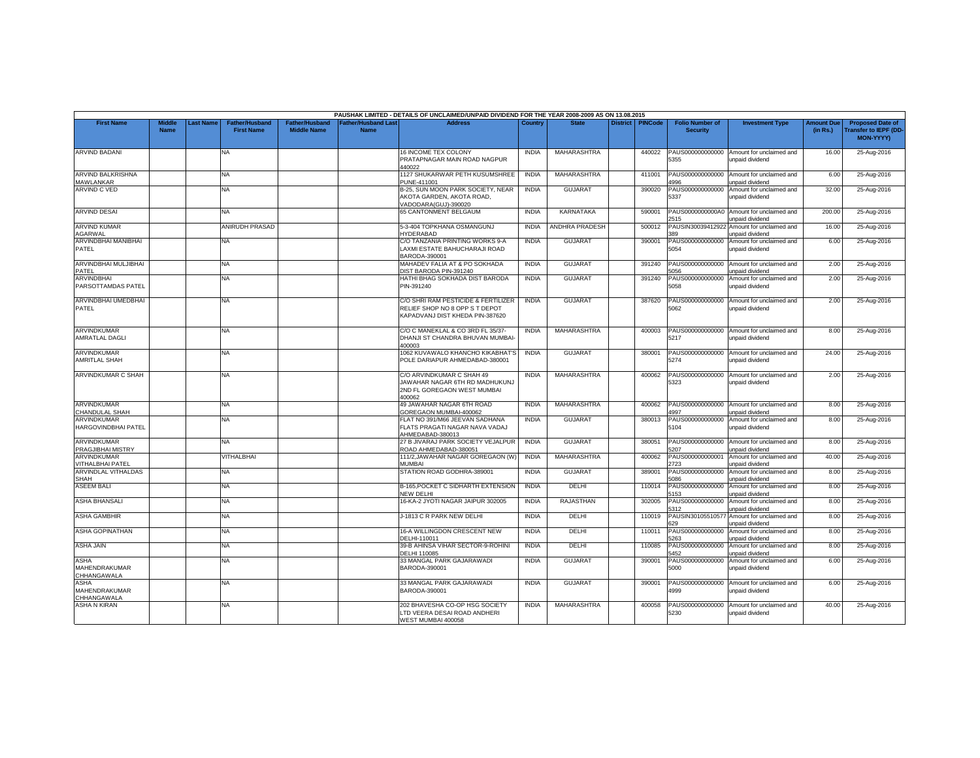|                                             |                              |                  |                                            |                                             |                                          | PAUSHAK LIMITED - DETAILS OF UNCLAIMED/UNPAID DIVIDEND FOR THE YEAR 2008-2009 AS ON 13.08.2015           |              |                       |                 |                |                                           |                                             |                               |                                                                     |
|---------------------------------------------|------------------------------|------------------|--------------------------------------------|---------------------------------------------|------------------------------------------|----------------------------------------------------------------------------------------------------------|--------------|-----------------------|-----------------|----------------|-------------------------------------------|---------------------------------------------|-------------------------------|---------------------------------------------------------------------|
| <b>First Name</b>                           | <b>Middle</b><br><b>Name</b> | <b>Last Name</b> | <b>Father/Husband</b><br><b>First Name</b> | <b>Father/Husband</b><br><b>Middle Name</b> | <b>Father/Husband Las</b><br><b>Name</b> | <b>Address</b>                                                                                           | Country      | <b>State</b>          | <b>District</b> | <b>PINCode</b> | <b>Folio Number of</b><br><b>Security</b> | <b>Investment Type</b>                      | <b>Amount Due</b><br>(in Rs.) | <b>Proposed Date of</b><br><b>Transfer to IEPF (DD</b><br>MON-YYYY) |
| <b>ARVIND BADANI</b>                        |                              |                  | <b>NA</b>                                  |                                             |                                          | 16 INCOME TEX COLONY<br>PRATAPNAGAR MAIN ROAD NAGPUR<br>440022                                           | <b>INDIA</b> | MAHARASHTRA           |                 | 440022         | PAUS000000000000<br>5355                  | Amount for unclaimed and<br>unpaid dividend | 16.00                         | 25-Aug-2016                                                         |
| ARVIND BALKRISHNA<br><b>MAWLANKAR</b>       |                              |                  | <b>NA</b>                                  |                                             |                                          | 1127 SHUKARWAR PETH KUSUMSHREE<br>PUNE-411001                                                            | <b>INDIA</b> | MAHARASHTRA           |                 | 411001         | PAUS000000000000<br>4996                  | Amount for unclaimed and<br>unpaid dividend | 6.00                          | 25-Aug-2016                                                         |
| ARVIND C VED                                |                              |                  | <b>NA</b>                                  |                                             |                                          | B-25, SUN MOON PARK SOCIETY, NEAR<br>AKOTA GARDEN, AKOTA ROAD,<br>VADODARA(GUJ)-390020                   | <b>INDIA</b> | <b>GUJARAT</b>        |                 | 390020         | PAUS000000000000<br>5337                  | Amount for unclaimed and<br>unpaid dividend | 32.00                         | 25-Aug-2016                                                         |
| <b>ARVIND DESAI</b>                         |                              |                  | <b>NA</b>                                  |                                             |                                          | <b>65 CANTONMENT BELGAUM</b>                                                                             | <b>INDIA</b> | <b>KARNATAKA</b>      |                 | 590001         | PAUS0000000000A0<br>2515                  | Amount for unclaimed and<br>unpaid dividend | 200.00                        | 25-Aug-2016                                                         |
| <b>ARVIND KUMAR</b><br>AGARWAL              |                              |                  | <b>ANIRUDH PRASAD</b>                      |                                             |                                          | 5-3-404 TOPKHANA OSMANGUNJ<br><b>IYDERABAD</b>                                                           | <b>INDIA</b> | <b>ANDHRA PRADESH</b> |                 | 500012         | PAUSIN3003941292<br>389                   | Amount for unclaimed and<br>unpaid dividend | 16.00                         | 25-Aug-2016                                                         |
| ARVINDBHAI MANIBHAI<br>PATEL                |                              |                  | <b>NA</b>                                  |                                             |                                          | C/O TANZANIA PRINTING WORKS 9-A<br>LAXMI ESTATE BAHUCHARAJI ROAD<br>BARODA-390001                        | <b>INDIA</b> | <b>GUJARAT</b>        |                 | 390001         | PAUS000000000000<br>5054                  | Amount for unclaimed and<br>unpaid dividend | 6.00                          | 25-Aug-2016                                                         |
| ARVINDBHAI MULJIBHAI<br>PATEL               |                              |                  | <b>NA</b>                                  |                                             |                                          | MAHADEV FALIA AT & PO SOKHADA<br>DIST BARODA PIN-391240                                                  | <b>INDIA</b> | <b>GUJARAT</b>        |                 | 391240         | PAUS000000000000<br>5056                  | Amount for unclaimed and<br>unpaid dividend | 2.00                          | 25-Aug-2016                                                         |
| <b>ARVINDBHAI</b><br>PARSOTTAMDAS PATEL     |                              |                  | NA.                                        |                                             |                                          | HATHI BHAG SOKHADA DIST BARODA<br>PIN-391240                                                             | <b>INDIA</b> | <b>GUJARAT</b>        |                 | 391240         | PAUS000000000000<br>5058                  | Amount for unclaimed and<br>unpaid dividend | 2.00                          | 25-Aug-2016                                                         |
| ARVINDBHAI UMEDBHAI<br>PATEL                |                              |                  | NA.                                        |                                             |                                          | C/O SHRI RAM PESTICIDE & FERTILIZER<br>RELIEF SHOP NO 8 OPP S T DEPOT<br>KAPADVANJ DIST KHEDA PIN-387620 | <b>INDIA</b> | <b>GUJARAT</b>        |                 | 387620         | PAUS000000000000<br>5062                  | Amount for unclaimed and<br>unpaid dividend | 2.00                          | 25-Aug-2016                                                         |
| <b>ARVINDKUMAR</b><br>AMRATLAL DAGLI        |                              |                  | <b>NA</b>                                  |                                             |                                          | C/O C MANEKLAL & CO 3RD FL 35/37-<br>DHANJI ST CHANDRA BHUVAN MUMBAI-<br>400003                          | <b>INDIA</b> | MAHARASHTRA           |                 | 400003         | PAUS000000000000<br>5217                  | Amount for unclaimed and<br>unpaid dividend | 8.00                          | 25-Aug-2016                                                         |
| <b>ARVINDKUMAR</b><br>AMRITLAL SHAH         |                              |                  | <b>NA</b>                                  |                                             |                                          | 1062 KUVAWALO KHANCHO KIKABHAT'S<br>POLE DARIAPUR AHMEDABAD-380001                                       | <b>INDIA</b> | <b>GUJARAT</b>        |                 | 380001         | PAUS000000000000<br>5274                  | Amount for unclaimed and<br>unpaid dividend | 24.00                         | 25-Aug-2016                                                         |
| ARVINDKUMAR C SHAH                          |                              |                  | <b>NA</b>                                  |                                             |                                          | C/O ARVINDKUMAR C SHAH 49<br>JAWAHAR NAGAR 6TH RD MADHUKUNJ<br>2ND FL GOREGAON WEST MUMBAI<br>400062     | <b>INDIA</b> | MAHARASHTRA           |                 | 400062         | PAUS000000000000<br>5323                  | Amount for unclaimed and<br>unpaid dividend | 2.00                          | 25-Aug-2016                                                         |
| <b>ARVINDKUMAR</b><br>CHANDULAL SHAH        |                              |                  | NA.                                        |                                             |                                          | 49 JAWAHAR NAGAR 6TH ROAD<br>GOREGAON MUMBAI-400062                                                      | <b>INDIA</b> | MAHARASHTRA           |                 | 400062         | PAUS000000000000<br>1997                  | Amount for unclaimed and<br>unpaid dividend | 8.00                          | 25-Aug-2016                                                         |
| ARVINDKUMAR<br>HARGOVINDBHAI PATEL          |                              |                  | <b>NA</b>                                  |                                             |                                          | FLAT NO 391/M66 JEEVAN SADHANA<br>FLATS PRAGATI NAGAR NAVA VADAJ<br>AHMEDABAD-380013                     | <b>INDIA</b> | GUJARAT               |                 | 380013         | PAUS000000000000<br>5104                  | Amount for unclaimed and<br>unpaid dividend | 8.00                          | 25-Aug-2016                                                         |
| ARVINDKUMAR<br>PRAGJIBHAI MISTRY            |                              |                  | NA                                         |                                             |                                          | 27 B JIVARAJ PARK SOCIETY VEJALPUR<br>ROAD AHMEDABAD-380051                                              | <b>INDIA</b> | <b>GUJARAT</b>        |                 | 380051         | PAUS000000000000<br>5207                  | Amount for unclaimed and<br>unpaid dividend | 8.00                          | 25-Aug-2016                                                         |
| ARVINDKUMAR<br>VITHALBHAI PATEL             |                              |                  | VITHALBHAI                                 |                                             |                                          | 111/2, JAWAHAR NAGAR GOREGAON (W)<br>MUMBAI                                                              | <b>INDIA</b> | <b>MAHARASHTRA</b>    |                 | 400062         | PAUS000000000001<br>2723                  | Amount for unclaimed and<br>unpaid dividend | 40.00                         | 25-Aug-2016                                                         |
| <b>ARVINDLAL VITHALDAS</b><br>SHAH          |                              |                  | NA                                         |                                             |                                          | STATION ROAD GODHRA-389001                                                                               | <b>INDIA</b> | <b>GUJARAT</b>        |                 | 389001         | PAUS000000000000<br>5086                  | Amount for unclaimed and<br>unpaid dividend | 8.00                          | 25-Aug-2016                                                         |
| <b>ASEEM BALI</b>                           |                              |                  | <b>NA</b>                                  |                                             |                                          | B-165, POCKET C SIDHARTH EXTENSION<br>NEW DELHI                                                          | <b>INDIA</b> | DELHI                 |                 | 110014         | PAUS000000000000<br>5153                  | Amount for unclaimed and<br>unpaid dividend | 8.00                          | 25-Aug-2016                                                         |
| <b>ASHA BHANSALI</b>                        |                              |                  | <b>NA</b>                                  |                                             |                                          | 16-KA-2 JYOTI NAGAR JAIPUR 302005                                                                        | <b>INDIA</b> | RAJASTHAN             |                 | 302005         | PAUS000000000000<br>312                   | Amount for unclaimed and<br>unpaid dividend | 8.00                          | 25-Aug-2016                                                         |
| <b>ASHA GAMBHIR</b>                         |                              |                  | <b>NA</b>                                  |                                             |                                          | J-1813 C R PARK NEW DELHI                                                                                | <b>INDIA</b> | DELHI                 |                 | 110019         | PAUSIN3010551057<br>529                   | Amount for unclaimed and<br>unpaid dividend | 8.00                          | 25-Aug-2016                                                         |
| <b>ASHA GOPINATHAN</b>                      |                              |                  | <b>NA</b>                                  |                                             |                                          | 16-A WILLINGDON CRESCENT NEW<br>DELHI-110011                                                             | <b>INDIA</b> | DELHI                 |                 | 110011         | PAUS000000000000<br>5263                  | Amount for unclaimed and<br>unpaid dividend | 8.00                          | 25-Aug-2016                                                         |
| <b>ASHA JAIN</b>                            |                              |                  | NA                                         |                                             |                                          | 39-B AHINSA VIHAR SECTOR-9-ROHINI<br>DELHI 110085                                                        | <b>INDIA</b> | DELHI                 |                 | 110085         | PAUS000000000000<br>5452                  | Amount for unclaimed and<br>unpaid dividend | 8.00                          | 25-Aug-2016                                                         |
| <b>ASHA</b><br>MAHENDRAKUMAR<br>CHHANGAWALA |                              |                  | NA                                         |                                             |                                          | 33 MANGAL PARK GAJARAWADI<br>BARODA-390001                                                               | <b>INDIA</b> | <b>GUJARA1</b>        |                 | 390001         | PAUS000000000000<br>5000                  | Amount for unclaimed and<br>unpaid dividend | 6.00                          | 25-Aug-2016                                                         |
| <b>ASHA</b><br>MAHENDRAKUMAR<br>CHHANGAWALA |                              |                  | <b>NA</b>                                  |                                             |                                          | 33 MANGAL PARK GAJARAWADI<br>BARODA-390001                                                               | <b>INDIA</b> | <b>GUJARAT</b>        |                 | 390001         | PAUS000000000000<br>4999                  | Amount for unclaimed and<br>unpaid dividend | 6.00                          | 25-Aug-2016                                                         |
| <b>ASHA N KIRAN</b>                         |                              |                  | NA                                         |                                             |                                          | 202 BHAVESHA CO-OP HSG SOCIETY<br>LTD VEERA DESAI ROAD ANDHERI<br>WEST MUMBAI 400058                     | <b>INDIA</b> | MAHARASHTRA           |                 | 400058         | PAUS000000000000<br>5230                  | Amount for unclaimed and<br>unpaid dividend | 40.00                         | 25-Aug-2016                                                         |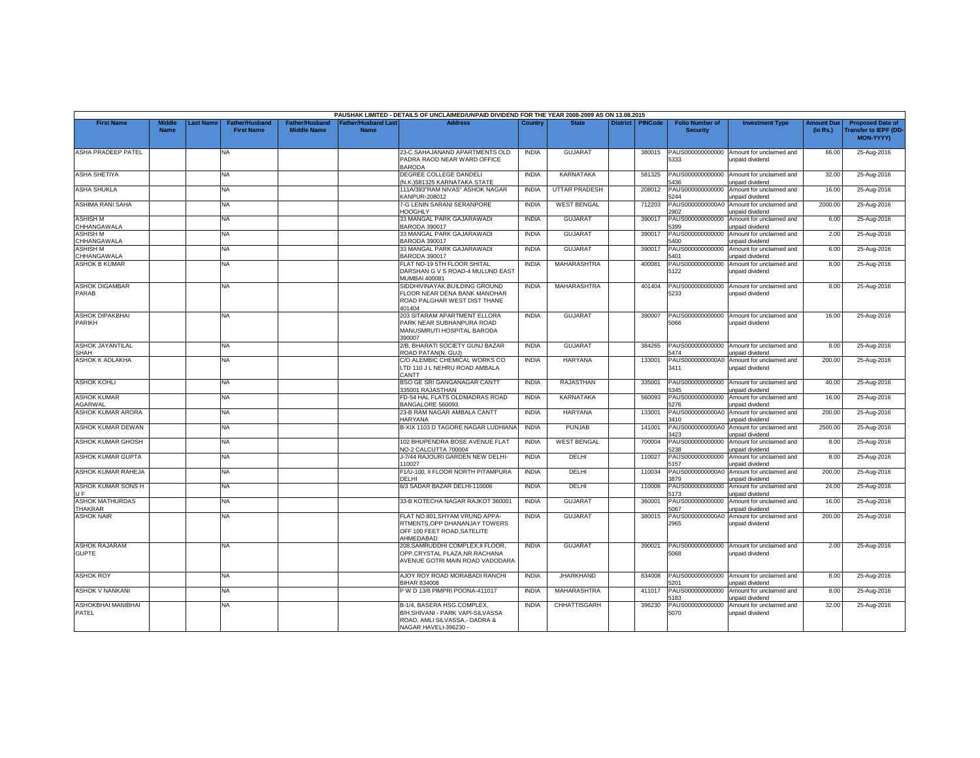|                                          |                              |          |                                            |                                             |                                          | PAUSHAK LIMITED - DETAILS OF UNCLAIMED/UNPAID DIVIDEND FOR THE YEAR 2008-2009 AS ON 13.08.2015                           |                |                      |                 |                |                                           |                                                              |                               |                                                                     |
|------------------------------------------|------------------------------|----------|--------------------------------------------|---------------------------------------------|------------------------------------------|--------------------------------------------------------------------------------------------------------------------------|----------------|----------------------|-----------------|----------------|-------------------------------------------|--------------------------------------------------------------|-------------------------------|---------------------------------------------------------------------|
| <b>First Name</b>                        | <b>Middle</b><br><b>Name</b> | ast Name | <b>Father/Husband</b><br><b>First Name</b> | <b>Father/Husband</b><br><b>Middle Name</b> | <b>Father/Husband Las</b><br><b>Name</b> | <b>Address</b>                                                                                                           | <b>Country</b> | <b>State</b>         | <b>District</b> | <b>PINCode</b> | <b>Folio Number of</b><br><b>Security</b> | <b>Investment Type</b>                                       | <b>Amount Due</b><br>(in Rs.) | <b>Proposed Date of</b><br>ransfer to IEPF (DD-<br><b>MON-YYYY)</b> |
| <b>ASHA PRADEEP PATEL</b>                |                              |          | NA                                         |                                             |                                          | 23-C SAHAJANAND APARTMENTS OLD<br>PADRA RAOD NEAR WARD OFFICE<br><b>BARODA</b>                                           | <b>INDIA</b>   | <b>GUJARAT</b>       |                 | 380015         | PAUS000000000000<br>5333                  | Amount for unclaimed and<br>unpaid dividend                  | 66.00                         | 25-Aug-2016                                                         |
| <b>ASHA SHETIYA</b>                      |                              |          | NA.                                        |                                             |                                          | DEGREE COLLEGE DANDELI<br>N.K.)581325 KARNATAKA STATE                                                                    | <b>INDIA</b>   | <b>KARNATAKA</b>     |                 | 581325         | PAUS000000000000<br>436                   | Amount for unclaimed and<br>unpaid dividend                  | 32.00                         | 25-Aug-2016                                                         |
| <b>ASHA SHUKLA</b>                       |                              |          | ΝA                                         |                                             |                                          | 111A/393"RAM NIVAS" ASHOK NAGAR<br><b>CANPUR-208012</b>                                                                  | <b>INDIA</b>   | <b>UTTAR PRADESH</b> |                 | 208012         | PAUS000000000000<br>5244                  | Amount for unclaimed and<br>unpaid dividend                  | 16.00                         | 25-Aug-2016                                                         |
| ASHIMA RANI SAHA                         |                              |          | NA                                         |                                             |                                          | 7-G LENIN SARANI SERANPORE<br><b>HOOGHLY</b>                                                                             | <b>INDIA</b>   | <b>WEST BENGAL</b>   |                 | 712203         | PAUS0000000000A0<br>2902                  | Amount for unclaimed and<br>unpaid dividend                  | 2000.00                       | 25-Aug-2016                                                         |
| <b>ASHISH M</b><br>CHHANGAWALA           |                              |          | NA                                         |                                             |                                          | 33 MANGAL PARK GAJARAWADI<br><b>BARODA 390017</b>                                                                        | <b>INDIA</b>   | <b>GUJARAT</b>       |                 | 390017         | PAUS000000000000<br>5399                  | Amount for unclaimed and<br>unpaid dividend                  | 6.00                          | 25-Aug-2016                                                         |
| <b>ASHISH M</b><br>CHHANGAWALA           |                              |          | NA                                         |                                             |                                          | 33 MANGAL PARK GAJARAWADI<br><b>BARODA 390017</b>                                                                        | <b>INDIA</b>   | <b>GUJARAT</b>       |                 | 390017         | PAUS000000000000<br>5400                  | Amount for unclaimed and<br>unpaid dividend                  | 2.00                          | 25-Aug-2016                                                         |
| <b>ASHISH M</b><br>CHHANGAWALA           |                              |          | <b>NA</b>                                  |                                             |                                          | 33 MANGAL PARK GAJARAWADI<br><b>BARODA 390017</b>                                                                        | <b>INDIA</b>   | <b>GUJARAT</b>       |                 | 390017         | PAUS000000000000<br>5401                  | Amount for unclaimed and<br>unpaid dividend                  | 6.00                          | 25-Aug-2016                                                         |
| <b>ASHOK B KUMAR</b>                     |                              |          | NA                                         |                                             |                                          | FLAT NO-19 5TH FLOOR SHITAL<br>DARSHAN G V S ROAD-4 MULUND EAST<br><b>MUMBAI 400081</b>                                  | <b>INDIA</b>   | MAHARASHTRA          |                 | 400081         | PAUS000000000000<br>5122                  | Amount for unclaimed and<br>unpaid dividend                  | 8.00                          | 25-Aug-2016                                                         |
| <b>ASHOK DIGAMBAR</b><br><b>PARAB</b>    |                              |          | NA.                                        |                                             |                                          | SIDDHIVINAYAK BUILDING GROUND<br>FLOOR NEAR DENA BANK MANOHAR<br>ROAD PALGHAR WEST DIST THANE<br>401404                  | <b>INDIA</b>   | MAHARASHTRA          |                 | 401404         | PAUS000000000000<br>5233                  | Amount for unclaimed and<br>unpaid dividend                  | 8.00                          | 25-Aug-2016                                                         |
| <b>ASHOK DIPAKBHAI</b><br>PARIKH         |                              |          | NA                                         |                                             |                                          | 203 SITARAM APARTMENT ELLORA<br>PARK NEAR SUBHANPURA ROAD<br>MANUSMRUTI HOSPITAL BARODA<br>390007                        | <b>INDIA</b>   | <b>GUJARAT</b>       |                 | 390007         | 5066                                      | PAUS000000000000 Amount for unclaimed and<br>unpaid dividend | 16.00                         | 25-Aug-2016                                                         |
| <b>ASHOK JAYANTILAL</b><br><b>SHAH</b>   |                              |          | NA                                         |                                             |                                          | 2/B, BHARATI SOCIETY GUNJ BAZAR<br>ROAD PATAN(N. GUJ)                                                                    | <b>INDIA</b>   | <b>GUJARAT</b>       |                 | 384265         | 5474                                      | PAUS000000000000 Amount for unclaimed and<br>unpaid dividend | 8.00                          | 25-Aug-2016                                                         |
| <b>ASHOK K ADLAKHA</b>                   |                              |          | <b>NA</b>                                  |                                             |                                          | C/O ALEMBIC CHEMICAL WORKS CO<br>LTD 110 J L NEHRU ROAD AMBALA<br>CANTT                                                  | <b>INDIA</b>   | <b>HARYANA</b>       |                 | 133001         | PAUS0000000000A0<br>3411                  | Amount for unclaimed and<br>unpaid dividend                  | 200.00                        | 25-Aug-2016                                                         |
| <b>ASHOK KOHLI</b>                       |                              |          | NA                                         |                                             |                                          | <b>BSO GE SRI GANGANAGAR CANTT</b><br>335001 RAJASTHAN                                                                   | <b>INDIA</b>   | RAJASTHAN            |                 | 335001         | PAUS000000000000<br>5345                  | Amount for unclaimed and<br>unpaid dividend                  | 40.00                         | 25-Aug-2016                                                         |
| <b>ASHOK KUMAR</b><br>AGARWAL            |                              |          | NA.                                        |                                             |                                          | <b>D-54 HAL FLATS OLDMADRAS ROAD</b><br>BANGALORE 560093                                                                 | <b>INDIA</b>   | KARNATAKA            |                 | 560093         | PAUS000000000000<br>5276                  | Amount for unclaimed and<br>unpaid dividend                  | 16.00                         | 25-Aug-2016                                                         |
| <b>ASHOK KUMAR ARORA</b>                 |                              |          | <b>NA</b>                                  |                                             |                                          | 23-B RAM NAGAR AMBALA CANTT<br><b>HARYANA</b>                                                                            | <b>INDIA</b>   | HARYANA              |                 | 133001         | PAUS0000000000A0<br>3410                  | Amount for unclaimed and<br>unpaid dividend                  | 200.00                        | 25-Aug-2016                                                         |
| ASHOK KUMAR DEWAN                        |                              |          | NA                                         |                                             |                                          | B-XIX 1103 D TAGORE NAGAR LUDHIANA                                                                                       | <b>INDIA</b>   | <b>PUNJAB</b>        |                 | 141001         | PAUS0000000000A0<br>3423                  | Amount for unclaimed and<br>unpaid dividend                  | 2500.00                       | 25-Aug-2016                                                         |
| <b>ASHOK KUMAR GHOSH</b>                 |                              |          | NA                                         |                                             |                                          | 102 BHUPENDRA BOSE AVENUE FLAT<br>VO-2 CALCUTTA 700004                                                                   | <b>INDIA</b>   | <b>WEST BENGAL</b>   |                 | 700004         | PAUS000000000000<br>238                   | Amount for unclaimed and<br>unpaid dividend                  | 8.00                          | 25-Aug-2016                                                         |
| <b>ASHOK KUMAR GUPTA</b>                 |                              |          | NA                                         |                                             |                                          | J-7/44 RAJOURI GARDEN NEW DELHI-<br>10027                                                                                | <b>INDIA</b>   | DELHI                |                 | 110027         | PAUS000000000000<br>5157                  | Amount for unclaimed and<br>unpaid dividend                  | 8.00                          | 25-Aug-2016                                                         |
| ASHOK KUMAR RAHEJA                       |                              |          | <b>NA</b>                                  |                                             |                                          | F1/U-100, II FLOOR NORTH PITAMPURA<br>DELHI                                                                              | <b>INDIA</b>   | DELHI                |                 | 110034         | PAUS0000000000A0<br>3879                  | Amount for unclaimed and<br>unpaid dividend                  | 200.00                        | 25-Aug-2016                                                         |
| ASHOK KUMAR SONS H<br>UE                 |                              |          | NA                                         |                                             |                                          | 6/3 SADAR BAZAR DELHI-110006                                                                                             | <b>INDIA</b>   | DELHI                |                 | 110006         | PAUS000000000000<br>5173                  | Amount for unclaimed and<br>unpaid dividend                  | 24.00                         | 25-Aug-2016                                                         |
| <b>ASHOK MATHURDAS</b><br><b>THAKRAR</b> |                              |          | <b>NA</b>                                  |                                             |                                          | 33-B KOTECHA NAGAR RAJKOT 360001                                                                                         | <b>INDIA</b>   | <b>GUJARAT</b>       |                 | 360001         | PAUS000000000000<br>6067                  | Amount for unclaimed and<br>unpaid dividend                  | 16.00                         | 25-Aug-2016                                                         |
| <b>ASHOK NAIR</b>                        |                              |          | ΝA                                         |                                             |                                          | FLAT NO.801, SHYAM VRUND APPA-<br>RTMENTS, OPP DHANANJAY TOWERS<br>OFF 100 FEET ROAD, SATELITE<br>AHMEDABAD              | <b>INDIA</b>   | <b>GUJARAT</b>       |                 | 380015         | PAUS0000000000A0<br>2965                  | Amount for unclaimed and<br>unpaid dividend                  | 200.00                        | 25-Aug-2016                                                         |
| <b>ASHOK RAJARAM</b><br><b>GUPTE</b>     |                              |          | NA                                         |                                             |                                          | 208, SAMRUDDHI COMPLEX, II FLOOR,<br>OPP.CRYSTAL PLAZA, NR. RACHANA<br>AVENUE GOTRI MAIN ROAD VADODARA                   | <b>INDIA</b>   | <b>GUJARAT</b>       |                 | 390021         | PAUS000000000000<br>5068                  | Amount for unclaimed and<br>unpaid dividend                  | 2.00                          | 25-Aug-2016                                                         |
| <b>ASHOK ROY</b>                         |                              |          | NA                                         |                                             |                                          | AJOY ROY ROAD MORABADI RANCHI<br><b>BIHAR 834008</b>                                                                     | <b>INDIA</b>   | <b>JHARKHAND</b>     |                 | 834008         | PAUS000000000000<br>201                   | Amount for unclaimed and<br>unpaid dividend                  | 8.00                          | 25-Aug-2016                                                         |
| <b>ASHOK V NANKANI</b>                   |                              |          | <b>NA</b>                                  |                                             |                                          | P W D 13/8 PIMPRI POONA-411017                                                                                           | <b>INDIA</b>   | MAHARASHTRA          |                 | 411017         | PAUS000000000000<br>5183                  | Amount for unclaimed and<br>unpaid dividend                  | 8.00                          | 25-Aug-2016                                                         |
| ASHOKBHAI MANIBHAI<br>PATEL              |                              |          | <b>NA</b>                                  |                                             |                                          | B-1/4, BASERA HSG.COMPLEX,<br>B/H.SHIVANI - PARK VAPI-SILVASSA<br>ROAD, AMLI SILVASSA.- DADRA &<br>NAGAR HAVELI-396230 - | <b>INDIA</b>   | <b>CHHATTISGARH</b>  |                 | 396230         | PAUS000000000000<br>5070                  | Amount for unclaimed and<br>unpaid dividend                  | 32.00                         | 25-Aug-2016                                                         |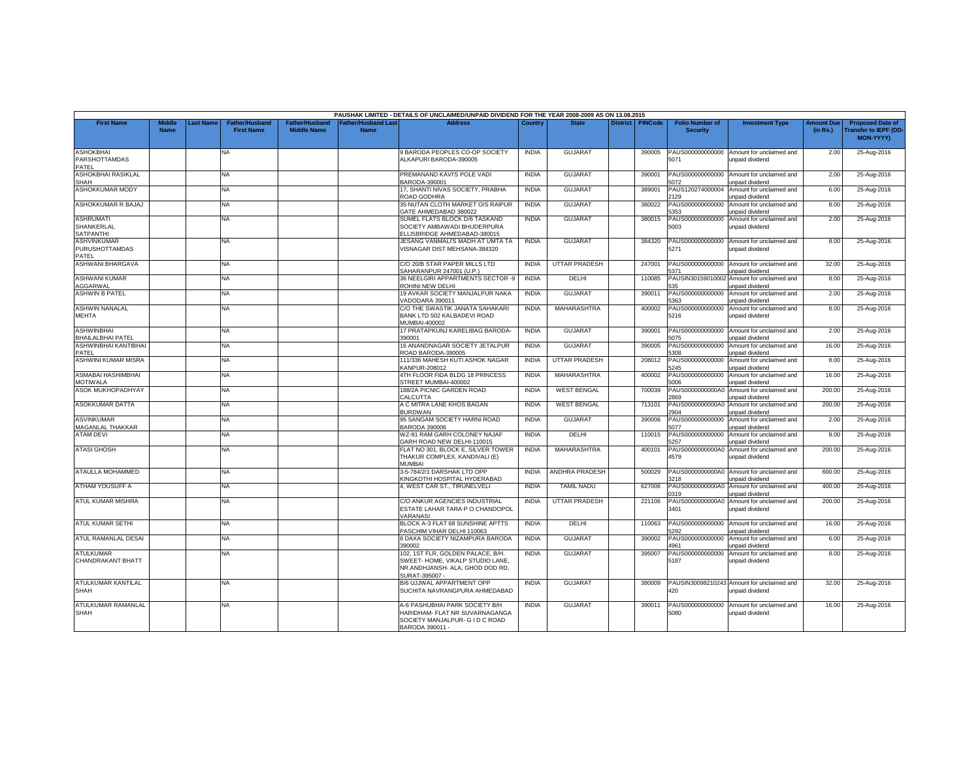|                                                      |                              |                  |                                            |                                             |                                           | PAUSHAK LIMITED - DETAILS OF UNCLAIMED/UNPAID DIVIDEND FOR THE YEAR 2008-2009 AS ON 13.08.2015                             |              |                      |                 |                |                                           |                                                               |                               |                                                                     |
|------------------------------------------------------|------------------------------|------------------|--------------------------------------------|---------------------------------------------|-------------------------------------------|----------------------------------------------------------------------------------------------------------------------------|--------------|----------------------|-----------------|----------------|-------------------------------------------|---------------------------------------------------------------|-------------------------------|---------------------------------------------------------------------|
| <b>First Name</b>                                    | <b>Middle</b><br><b>Name</b> | <b>Last Name</b> | <b>Father/Husband</b><br><b>First Name</b> | <b>Father/Husband</b><br><b>Middle Name</b> | <b>Father/Husband Last</b><br><b>Name</b> | <b>Address</b>                                                                                                             | Country      | <b>State</b>         | <b>District</b> | <b>PINCode</b> | <b>Folio Number of</b><br><b>Security</b> | <b>Investment Type</b>                                        | <b>Amount Due</b><br>(in Rs.) | <b>Proposed Date of</b><br>ransfer to IEPF (DD-<br><b>MON-YYYY)</b> |
| <b>ASHOKBHAI</b>                                     |                              |                  | NA                                         |                                             |                                           | 9 BARODA PEOPLES CO-OP SOCIETY                                                                                             | <b>INDIA</b> | <b>GUJARAT</b>       |                 | 390005         | PAUS000000000000                          | Amount for unclaimed and                                      | 2.00                          | 25-Aug-2016                                                         |
| <b>PARSHOTTAMDAS</b><br>PATEL                        |                              |                  |                                            |                                             |                                           | ALKAPURI BARODA-390005                                                                                                     |              |                      |                 |                | 5071                                      | unpaid dividend                                               |                               |                                                                     |
| ASHOKBHAI RASIKLAL<br><b>SHAH</b>                    |                              |                  | <b>NA</b>                                  |                                             |                                           | PREMANAND KAVI'S POLE VADI<br>BARODA-390001                                                                                | <b>INDIA</b> | <b>GUJARAT</b>       |                 | 390001         | PAUS000000000000<br>5072                  | Amount for unclaimed and<br>unpaid dividend                   | 2.00                          | 25-Aug-2016                                                         |
| <b>ASHOKKUMAR MODY</b>                               |                              |                  | NA                                         |                                             |                                           | 17, SHANTI NIVAS SOCIETY, PRABHA<br>ROAD GODHRA                                                                            | <b>INDIA</b> | GUJARAT              |                 | 389001         | PAUS120274000004<br>129                   | Amount for unclaimed and<br>unpaid dividend                   | 6.00                          | 25-Aug-2016                                                         |
| ASHOKKUMAR R BAJAJ                                   |                              |                  | NA.                                        |                                             |                                           | 35 NUTAN CLOTH MARKET O/S RAIPUR<br>GATE AHMEDABAD 380022                                                                  | <b>INDIA</b> | <b>GUJARAT</b>       |                 | 380022         | PAUS000000000000<br>5353                  | Amount for unclaimed and<br>unpaid dividend                   | 8.00                          | 25-Aug-2016                                                         |
| <b>ASHRUMATI</b><br>SHANKERLAL<br><b>SATPANTHI</b>   |                              |                  | <b>NA</b>                                  |                                             |                                           | SUMEL FLATS BLOCK D/6 TASKAND<br>SOCIETY AMBAWADI BHUDERPURA<br>ELLISBRIDGE AHMEDABAD-380015                               | <b>INDIA</b> | <b>GUJARAT</b>       |                 | 380015         | PAUS000000000000<br>5003                  | Amount for unclaimed and<br>unpaid dividend                   | 2.00                          | 25-Aug-2016                                                         |
| <b>ASHVINKUMAR</b><br><b>PURUSHOTTAMDAS</b><br>PATEL |                              |                  | NA                                         |                                             |                                           | JESANG VANMALI'S MADH AT UMTA TA<br>VISNAGAR DIST MEHSANA-384320                                                           | <b>INDIA</b> | <b>GUJARAT</b>       |                 | 384320         | PAUS000000000000<br>5271                  | Amount for unclaimed and<br>unpaid dividend                   | 8.00                          | 25-Aug-2016                                                         |
| <b>ASHWANI BHARGAVA</b>                              |                              |                  | <b>NA</b>                                  |                                             |                                           | C/O 20/B STAR PAPER MILLS LTD<br>SAHARANPUR 247001 (U.P.)                                                                  | <b>INDIA</b> | <b>UTTAR PRADESH</b> |                 | 247001         | PAUS000000000000<br>371                   | Amount for unclaimed and<br>unpaid dividend                   | 32.00                         | 25-Aug-2016                                                         |
| <b>ASHWANI KUMAR</b><br>AGGARWAL                     |                              |                  | NA                                         |                                             |                                           | 36 NEELGIRI APPARTMENTS SECTOR -9<br>ROHINI NEW DELHI                                                                      | <b>INDIA</b> | DELHI                |                 | 110085         | PAUSIN3015901000<br>35                    | Amount for unclaimed and<br>unpaid dividend                   | 8.00                          | 25-Aug-2016                                                         |
| <b>ASHWIN B PATEL</b>                                |                              |                  | NA                                         |                                             |                                           | 19 AVKAR SOCIETY MANJALPUR NAKA<br>VADODARA 390011                                                                         | <b>INDIA</b> | <b>GUJARAT</b>       |                 | 390011         | PAUS000000000000<br>363                   | Amount for unclaimed and<br>unpaid dividend                   | 2.00                          | 25-Aug-2016                                                         |
| <b>ASHWIN NANALAL</b><br><b>MEHTA</b>                |                              |                  | NA.                                        |                                             |                                           | C/O THE SWASTIK JANATA SAHAKARI<br>BANK LTD 502 KALBADEVI ROAD<br>MUMBAI-400002                                            | <b>INDIA</b> | MAHARASHTRA          |                 | 400002         | PAUS000000000000<br>5216                  | Amount for unclaimed and<br>unpaid dividend                   | 8.00                          | 25-Aug-2016                                                         |
| <b>ASHWINBHAI</b><br><b>BHAILALBHAI PATEL</b>        |                              |                  | NA                                         |                                             |                                           | 17 PRATAPKUNJ KARELIBAG BARODA-<br>390001                                                                                  | <b>INDIA</b> | <b>GUJARAT</b>       |                 | 390001         | PAUS000000000000<br>5075                  | Amount for unclaimed and<br>unpaid dividend                   | 2.00                          | 25-Aug-2016                                                         |
| <b>ASHWINBHAI KANTIBHAI</b><br>PATEL                 |                              |                  | NA                                         |                                             |                                           | 16 ANANDNAGAR SOCIETY JETALPUR<br>ROAD BARODA-390005                                                                       | <b>INDIA</b> | GUJARAT              |                 | 390005         | PAUS000000000000<br>308                   | Amount for unclaimed and<br>unpaid dividend                   | 16.00                         | 25-Aug-2016                                                         |
| ASHWINI KUMAR MISRA                                  |                              |                  | NA                                         |                                             |                                           | 111/336 MAHESH KUTI ASHOK NAGAR<br>KANPUR-208012                                                                           | <b>INDIA</b> | <b>UTTAR PRADESH</b> |                 | 208012         | PAUS000000000000<br>5245                  | Amount for unclaimed and<br>unpaid dividend                   | 8.00                          | 25-Aug-2016                                                         |
| ASMABAI HASHIMBHAI<br><b>MOTIWALA</b>                |                              |                  | NA                                         |                                             |                                           | 4TH FLOOR FIDA BLDG 18 PRINCESS<br>STREET MUMBAI-400002                                                                    | <b>INDIA</b> | <b>MAHARASHTRA</b>   |                 | 400002         | PAUS000000000000<br>006                   | Amount for unclaimed and<br>unpaid dividend                   | 16.00                         | 25-Aug-2016                                                         |
| <b>ASOK MUKHOPADHYAY</b>                             |                              |                  | NA                                         |                                             |                                           | 188/2A PICNIC GARDEN ROAD<br>CALCUTTA                                                                                      | <b>INDIA</b> | <b>WEST BENGAL</b>   |                 | 700039         | PAUS0000000000A0<br>869                   | Amount for unclaimed and<br>unpaid dividend                   | 200.00                        | 25-Aug-2016                                                         |
| <b>ASOKKUMAR DATTA</b>                               |                              |                  | NA                                         |                                             |                                           | A C MITRA LANE KHOS BAGAN<br><b>BURDWAN</b>                                                                                | <b>INDIA</b> | <b>WEST BENGAL</b>   |                 | 713101         | PAUS0000000000A0<br>904                   | Amount for unclaimed and<br>unpaid dividend                   | 200.00                        | 25-Aug-2016                                                         |
| <b>ASVINKUMAR</b><br>MAGANLAL THAKKAR                |                              |                  | NA.                                        |                                             |                                           | 95 SANGAM SOCIETY HARNI ROAD<br><b>BARODA 390006</b>                                                                       | <b>INDIA</b> | GUJARAT              |                 | 390006         | PAUS000000000000<br>5077                  | Amount for unclaimed and<br>unpaid dividend                   | 2.00                          | 25-Aug-2016                                                         |
| <b>ATAM DEVI</b>                                     |                              |                  | NA                                         |                                             |                                           | WZ-91 RAM GARH COLONEY NAJAF<br>GARH ROAD NEW DELHI-110015                                                                 | <b>INDIA</b> | DELHI                |                 | 110015         | PAUS000000000000<br>257                   | Amount for unclaimed and<br>unpaid dividend                   | 8.00                          | 25-Aug-2016                                                         |
| <b>ATASI GHOSH</b>                                   |                              |                  | NA                                         |                                             |                                           | FLAT NO 301, BLOCK E, SILVER TOWER<br>THAKUR COMPLEX, KANDIVALI (E)<br><b>MUMBAI</b>                                       | <b>INDIA</b> | MAHARASHTRA          |                 | 400101         | PAUS0000000000A0<br>4579                  | Amount for unclaimed and<br>unpaid dividend                   | 200.00                        | 25-Aug-2016                                                         |
| ATAULLA MOHAMMED                                     |                              |                  | NA                                         |                                             |                                           | 3-5-784/2/1 DARSHAK LTD OPP<br>KINGKOTHI HOSPITAL HYDERABAD                                                                | <b>INDIA</b> | ANDHRA PRADESH       |                 | 500029         | 3218                                      | PAUS0000000000A0 Amount for unclaimed and<br>unpaid dividend  | 600.00                        | 25-Aug-2016                                                         |
| ATHAM YOUSUFF A                                      |                              |                  | NA                                         |                                             |                                           | 4, WEST CAR ST., TIRUNELVELI                                                                                               | <b>INDIA</b> | <b>TAMIL NADU</b>    |                 | 627006         | PAUS0000000000AC<br>319                   | Amount for unclaimed and<br>unpaid dividend                   | 400.00                        | 25-Aug-2016                                                         |
| <b>ATUL KUMAR MISHRA</b>                             |                              |                  | NA.                                        |                                             |                                           | C/O ANKUR AGENCIES INDUSTRIAL<br>ESTATE LAHAR TARA P O CHANDOPOL<br>VARANASI                                               | <b>INDIA</b> | <b>UTTAR PRADESH</b> |                 | 221106         | PAUS0000000000A0<br>3401                  | Amount for unclaimed and<br>unpaid dividend                   | 200.00                        | 25-Aug-2016                                                         |
| ATUL KUMAR SETHI                                     |                              |                  | <b>NA</b>                                  |                                             |                                           | BLOCK A-3 FLAT 68 SUNSHINE APTTS<br>PASCHIM VIHAR DELHI 110063                                                             | <b>INDIA</b> | DELHI                |                 | 110063         | PAUS000000000000<br>292                   | Amount for unclaimed and<br>unpaid dividend                   | 16.00                         | 25-Aug-2016                                                         |
| ATUL RAMANLAL DESAI                                  |                              |                  | NA                                         |                                             |                                           | <b>8 DAXA SOCIETY NIZAMPURA BARODA</b><br>390002                                                                           | <b>INDIA</b> | <b>GUJARAT</b>       |                 | 390002         | PAUS000000000000<br>1961                  | Amount for unclaimed and<br>unpaid dividend                   | 6.00                          | 25-Aug-2016                                                         |
| <b>ATULKUMAR</b><br>CHANDRAKANT BHATT                |                              |                  | NA                                         |                                             |                                           | 102, 1ST FLR, GOLDEN PALACE, B/H.<br>SWEET- HOME, VIKALP STUDIO LANE,<br>NR.ANDHJANSH- ALA, GHOD DOD RD,<br>SURAT-395007 - | <b>INDIA</b> | <b>GUJARAT</b>       |                 | 395007         | PAUS000000000000<br>5187                  | Amount for unclaimed and<br>unpaid dividend                   | 8.00                          | 25-Aug-2016                                                         |
| <b>ATULKUMAR KANTILAL</b><br><b>SHAH</b>             |                              |                  | NA.                                        |                                             |                                           | B/6 UJJWAL APPARTMENT OPP<br>SUCHITA NAVRANGPURA AHMEDABAD                                                                 | <b>INDIA</b> | GUJARAT              |                 | 380009         | 420                                       | PAUSIN30098210243 Amount for unclaimed and<br>unpaid dividend | 32.00                         | 25-Aug-2016                                                         |
| ATULKUMAR RAMANLAL<br><b>SHAH</b>                    |                              |                  | <b>NA</b>                                  |                                             |                                           | A-6 PASHUBHAI PARK SOCIETY B/H<br>HARIDHAM- FLAT NR SUVARNAGANGA<br>SOCIETY MANJALPUR- G I D C ROAD<br>BARODA 390011 -     | <b>INDIA</b> | <b>GUJARAT</b>       |                 | 390011         | PAUS000000000000<br>5080                  | Amount for unclaimed and<br>unpaid dividend                   | 16.00                         | 25-Aug-2016                                                         |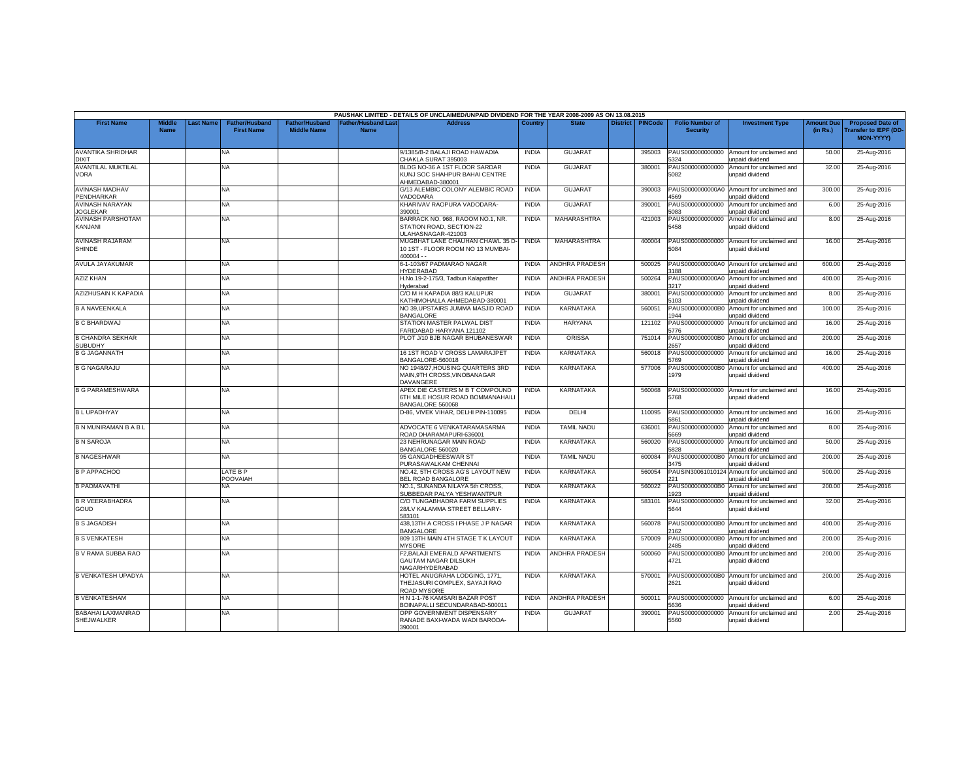|                                           |                              |          |                                            |                                             |                                   | PAUSHAK LIMITED - DETAILS OF UNCLAIMED/UNPAID DIVIDEND FOR THE YEAR 2008-2009 AS ON 13.08.2015 |              |                       |                 |                |                                           |                                             |                               |                                                                            |
|-------------------------------------------|------------------------------|----------|--------------------------------------------|---------------------------------------------|-----------------------------------|------------------------------------------------------------------------------------------------|--------------|-----------------------|-----------------|----------------|-------------------------------------------|---------------------------------------------|-------------------------------|----------------------------------------------------------------------------|
| <b>First Name</b>                         | <b>Middle</b><br><b>Name</b> | ast Name | <b>Father/Husband</b><br><b>First Name</b> | <b>Father/Husband</b><br><b>Middle Name</b> | Father/Husband Las<br><b>Name</b> | <b>Address</b>                                                                                 | Country      | <b>State</b>          | <b>District</b> | <b>PINCode</b> | <b>Folio Number of</b><br><b>Security</b> | <b>Investment Type</b>                      | <b>Amount Due</b><br>(in Rs.) | <b>Proposed Date of</b><br><b>Transfer to IEPF (DD</b><br><b>MON-YYYY)</b> |
| <b>AVANTIKA SHRIDHAR</b><br><b>DIXIT</b>  |                              |          | <b>NA</b>                                  |                                             |                                   | 9/1385/B-2 BALAJI ROAD HAWADIA<br>CHAKLA SURAT 395003                                          | <b>INDIA</b> | <b>GUJARAT</b>        |                 | 395003         | PAUS000000000000<br>324                   | Amount for unclaimed and<br>unpaid dividend | 50.00                         | 25-Aug-2016                                                                |
| AVANTILAL MUKTILAL<br>VORA                |                              |          | <b>NA</b>                                  |                                             |                                   | BLDG NO-36 A 1ST FLOOR SARDAR<br>KUNJ SOC SHAHPUR BAHAI CENTRE<br>HMEDABAD-380001              | <b>INDIA</b> | <b>GUJARAT</b>        |                 | 380001         | PAUS000000000000<br>5082                  | Amount for unclaimed and<br>unpaid dividend | 32.00                         | 25-Aug-2016                                                                |
| <b>AVINASH MADHAV</b><br>PENDHARKAR       |                              |          | <b>NA</b>                                  |                                             |                                   | G/13 ALEMBIC COLONY ALEMBIC ROAD<br>/ADODARA                                                   | <b>INDIA</b> | <b>GUJARAT</b>        |                 | 390003         | PAUS0000000000A0<br>4569                  | Amount for unclaimed and<br>unpaid dividend | 300.00                        | 25-Aug-2016                                                                |
| <b>AVINASH NARAYAN</b><br><b>JOGLEKAR</b> |                              |          | NA.                                        |                                             |                                   | KHARIVAV RAOPURA VADODARA-<br>390001                                                           | <b>INDIA</b> | <b>GUJARAT</b>        |                 | 390001         | PAUS000000000000<br>5083                  | Amount for unclaimed and<br>unpaid dividend | 6.00                          | 25-Aug-2016                                                                |
| AVINASH PARSHOTAM<br>KANJANI              |                              |          | <b>NA</b>                                  |                                             |                                   | BARRACK NO. 968, RAOOM NO.1, NR.<br>STATION ROAD, SECTION-22<br>JLAHASNAGAR-421003             | <b>INDIA</b> | MAHARASHTRA           |                 | 421003         | PAUS000000000000<br>5458                  | Amount for unclaimed and<br>unpaid dividend | 8.00                          | 25-Aug-2016                                                                |
| AVINASH RAJARAM<br><b>SHINDE</b>          |                              |          | NA                                         |                                             |                                   | MUGBHAT LANE CHAUHAN CHAWL 35 D-<br>10 1ST - FLOOR ROOM NO 13 MUMBAI-<br>$400004 -$            | <b>INDIA</b> | MAHARASHTRA           |                 | 400004         | PAUS000000000000<br>5084                  | Amount for unclaimed and<br>unpaid dividend | 16.00                         | 25-Aug-2016                                                                |
| AVULA JAYAKUMAR                           |                              |          | <b>NA</b>                                  |                                             |                                   | 6-1-103/67 PADMARAO NAGAR<br><b>IYDERABAD</b>                                                  | <b>INDIA</b> | <b>ANDHRA PRADESH</b> |                 | 500025         | PAUS0000000000A0<br>188                   | Amount for unclaimed and<br>unpaid dividend | 600.00                        | 25-Aug-2016                                                                |
| <b>AZIZ KHAN</b>                          |                              |          | <b>NA</b>                                  |                                             |                                   | H.No.19-2-175/3. Tadbun Kalapatther<br>Hyderabad                                               | <b>INDIA</b> | <b>ANDHRA PRADESH</b> |                 | 500264         | PAUS0000000000A0<br>217                   | Amount for unclaimed and<br>unpaid dividend | 400.00                        | 25-Aug-2016                                                                |
| <b>AZIZHUSAIN K KAPADIA</b>               |                              |          | NA                                         |                                             |                                   | C/O M H KAPADIA 88/3 KALUPUR<br>KATHIMOHALLA AHMEDABAD-380001                                  | <b>INDIA</b> | <b>GUJARAT</b>        |                 | 380001         | PAUS000000000000<br>5103                  | Amount for unclaimed and<br>unpaid dividend | 8.00                          | 25-Aug-2016                                                                |
| <b>B A NAVEENKALA</b>                     |                              |          | NA.                                        |                                             |                                   | NO 39,UPSTAIRS JUMMA MASJID ROAD<br><b>BANGALORE</b>                                           | <b>INDIA</b> | KARNATAKA             |                 | 560051         | PAUS0000000000B0<br>1944                  | Amount for unclaimed and<br>unpaid dividend | 100.00                        | 25-Aug-2016                                                                |
| <b>B C BHARDWAJ</b>                       |                              |          | <b>NA</b>                                  |                                             |                                   | STATION MASTER PALWAL DIST<br>FARIDABAD HARYANA 121102                                         | <b>INDIA</b> | <b>HARYANA</b>        |                 | 121102         | PAUS000000000000<br>5776                  | Amount for unclaimed and<br>unpaid dividend | 16.00                         | 25-Aug-2016                                                                |
| <b>B CHANDRA SEKHAR</b><br><b>SUBUDHY</b> |                              |          | NA.                                        |                                             |                                   | PLOT J/10 BJB NAGAR BHUBANESWAR                                                                | <b>INDIA</b> | ORISSA                |                 | 751014         | PAUS0000000000B0<br>2657                  | Amount for unclaimed and<br>unpaid dividend | 200.00                        | 25-Aug-2016                                                                |
| <b>B G JAGANNATH</b>                      |                              |          | <b>NA</b>                                  |                                             |                                   | 16 1ST ROAD V CROSS LAMARAJPET<br>BANGALORE-560018                                             | <b>INDIA</b> | <b>KARNATAKA</b>      |                 | 560018         | PAUS000000000000<br>5769                  | Amount for unclaimed and<br>unpaid dividend | 16.00                         | 25-Aug-2016                                                                |
| <b>B G NAGARAJU</b>                       |                              |          | <b>NA</b>                                  |                                             |                                   | NO 1948/27, HOUSING QUARTERS 3RD<br>MAIN, 9TH CROSS, VINOBANAGAR<br>DAVANGERE                  | <b>INDIA</b> | KARNATAKA             |                 | 577006         | PAUS0000000000B0<br>1979                  | Amount for unclaimed and<br>unpaid dividend | 400.00                        | 25-Aug-2016                                                                |
| <b>B G PARAMESHWARA</b>                   |                              |          | NA.                                        |                                             |                                   | APEX DIE CASTERS M B T COMPOUND<br>6TH MILE HOSUR ROAD BOMMANAHAILI<br>BANGALORE 560068        | <b>INDIA</b> | <b>KARNATAKA</b>      |                 | 560068         | PAUS000000000000<br>5768                  | Amount for unclaimed and<br>unpaid dividend | 16.00                         | 25-Aug-2016                                                                |
| <b>BLUPADHYAY</b>                         |                              |          | <b>NA</b>                                  |                                             |                                   | D-86, VIVEK VIHAR, DELHI PIN-110095                                                            | <b>INDIA</b> | DELHI                 |                 | 110095         | PAUS000000000000<br>5861                  | Amount for unclaimed and<br>unpaid dividend | 16.00                         | 25-Aug-2016                                                                |
| B N MUNIRAMAN B A B L                     |                              |          | NA.                                        |                                             |                                   | ADVOCATE 6 VENKATARAMASARMA<br>ROAD DHARAMAPURI-636001                                         | <b>INDIA</b> | <b>TAMIL NADU</b>     |                 | 636001         | PAUS000000000000<br>5669                  | Amount for unclaimed and<br>inpaid dividend | 8.00                          | 25-Aug-2016                                                                |
| <b>B N SAROJA</b>                         |                              |          | NA.                                        |                                             |                                   | 23 NEHRUNAGAR MAIN ROAD<br>BANGALORE 560020                                                    | <b>INDIA</b> | KARNATAKA             |                 | 560020         | PAUS000000000000<br>5828                  | Amount for unclaimed and<br>unpaid dividend | 50.00                         | 25-Aug-2016                                                                |
| <b>B NAGESHWAR</b>                        |                              |          | <b>NA</b>                                  |                                             |                                   | 95 GANGADHEESWAR ST<br>PURASAWALKAM CHENNAI                                                    | <b>INDIA</b> | <b>TAMIL NADU</b>     |                 | 600084         | PAUS0000000000B<br>3475                   | Amount for unclaimed and<br>unpaid dividend | 200.00                        | 25-Aug-2016                                                                |
| <b>B P APPACHOO</b>                       |                              |          | LATE B P<br>POOVAIAH                       |                                             |                                   | NO.42, 5TH CROSS AG'S LAYOUT NEW<br>BEL ROAD BANGALORE                                         | <b>INDIA</b> | <b>KARNATAKA</b>      |                 | 560054         | AUSIN3006101012<br>221                    | Amount for unclaimed and<br>unpaid dividend | 500.00                        | 25-Aug-2016                                                                |
| <b>B PADMAVATHI</b>                       |                              |          | NA                                         |                                             |                                   | NO.1. SUNANDA NILAYA 5th CROSS.<br>SUBBEDAR PALYA YESHWANTPUR                                  | <b>INDIA</b> | KARNATAKA             |                 | 560022         | PAUS0000000000B0<br>923                   | Amount for unclaimed and<br>unpaid dividend | 200.00                        | 25-Aug-2016                                                                |
| <b>B R VEERABHADRA</b><br>GOUD            |                              |          | NA                                         |                                             |                                   | C/O TUNGABHADRA FARM SUPPLIES<br>28/LV KALAMMA STREET BELLARY-<br>583101                       | <b>INDIA</b> | <b>KARNATAKA</b>      |                 | 583101         | PAUS000000000000<br>5644                  | Amount for unclaimed and<br>unpaid dividend | 32.00                         | 25-Aug-2016                                                                |
| <b>B S JAGADISH</b>                       |                              |          | NA                                         |                                             |                                   | 438.13TH A CROSS I PHASE J P NAGAR<br><b>BANGALORE</b>                                         | <b>INDIA</b> | <b>KARNATAKA</b>      |                 | 560078         | PAUS0000000000B0<br>162                   | Amount for unclaimed and<br>unpaid dividend | 400.00                        | 25-Aug-2016                                                                |
| <b>B S VENKATESH</b>                      |                              |          | <b>NA</b>                                  |                                             |                                   | 809 13TH MAIN 4TH STAGE T K LAYOUT<br><b>MYSORE</b>                                            | <b>INDIA</b> | <b>KARNATAKA</b>      |                 | 570009         | PAUS0000000000B0<br>2485                  | Amount for unclaimed and<br>unpaid dividend | 200.00                        | 25-Aug-2016                                                                |
| B V RAMA SUBBA RAO                        |                              |          | <b>NA</b>                                  |                                             |                                   | F2, BALAJI EMERALD APARTMENTS<br><b>GAUTAM NAGAR DILSUKH</b><br>NAGARHYDERABAD                 | <b>INDIA</b> | <b>ANDHRA PRADESH</b> |                 | 500060         | PAUS0000000000B0<br>4721                  | Amount for unclaimed and<br>unpaid dividend | 200.00                        | 25-Aug-2016                                                                |
| <b>B VENKATESH UPADYA</b>                 |                              |          | NA.                                        |                                             |                                   | HOTEL ANUGRAHA LODGING, 1771,<br>THEJASURI COMPLEX, SAYAJI RAO<br><b>ROAD MYSORE</b>           | <b>INDIA</b> | <b>KARNATAKA</b>      |                 | 570001         | PAUS0000000000B0<br>2621                  | Amount for unclaimed and<br>unpaid dividend | 200.00                        | 25-Aug-2016                                                                |
| <b>B VENKATESHAM</b>                      |                              |          | <b>NA</b>                                  |                                             |                                   | H N 1-1-76 KAMSARI BAZAR POST<br>3OINAPALLI SECUNDARABAD-500011                                | <b>INDIA</b> | <b>ANDHRA PRADESH</b> |                 | 500011         | PAUS000000000000<br>636                   | Amount for unclaimed and<br>unpaid dividend | 6.00                          | 25-Aug-2016                                                                |
| <b>BABAHAI LAXMANRAO</b><br>SHEJWALKER    |                              |          | NA                                         |                                             |                                   | OPP GOVERNMENT DISPENSARY<br>RANADE BAXI-WADA WADI BARODA-<br>390001                           | <b>INDIA</b> | <b>GUJARA1</b>        |                 | 390001         | PAUS000000000000<br>5560                  | Amount for unclaimed and<br>unpaid dividend | 2.00                          | 25-Aug-2016                                                                |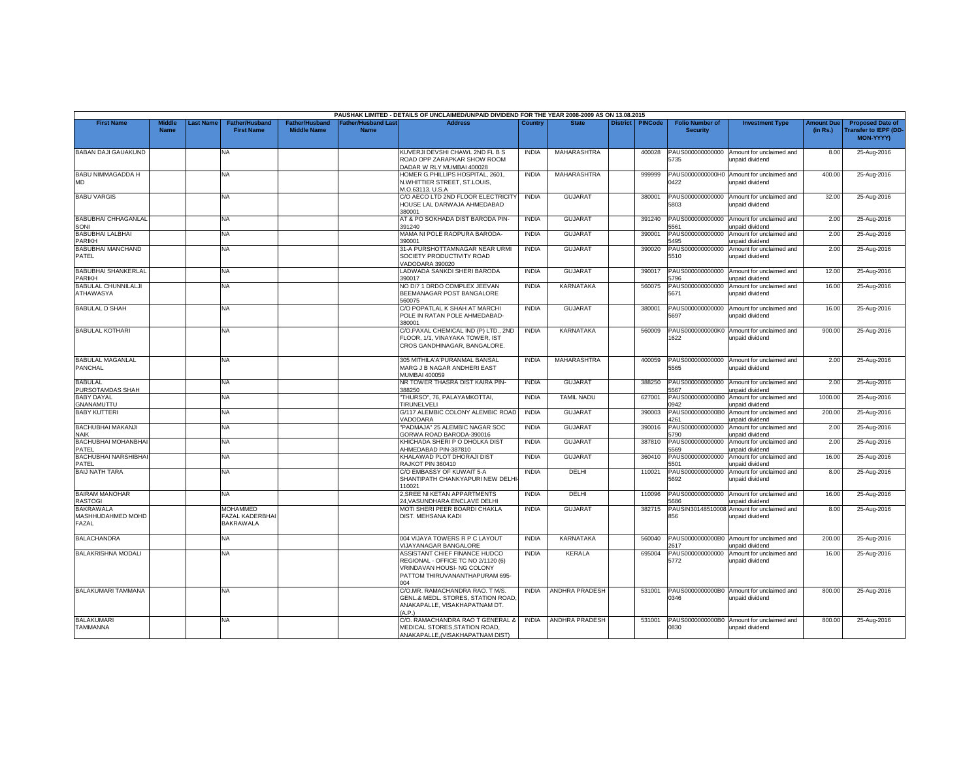|                                                |                              |           |                                                               |                                             |                                          | PAUSHAK LIMITED - DETAILS OF UNCLAIMED/UNPAID DIVIDEND FOR THE YEAR 2008-2009 AS ON 13.08.2015                                      |              |                       |                 |                |                                           |                                                               |                               |                                                                      |
|------------------------------------------------|------------------------------|-----------|---------------------------------------------------------------|---------------------------------------------|------------------------------------------|-------------------------------------------------------------------------------------------------------------------------------------|--------------|-----------------------|-----------------|----------------|-------------------------------------------|---------------------------------------------------------------|-------------------------------|----------------------------------------------------------------------|
| <b>First Name</b>                              | <b>Middle</b><br><b>Name</b> | Last Name | <b>Father/Husband</b><br><b>First Name</b>                    | <b>Father/Husband</b><br><b>Middle Name</b> | <b>Father/Husband Las</b><br><b>Name</b> | <b>Address</b>                                                                                                                      | Country      | <b>State</b>          | <b>District</b> | <b>PINCode</b> | <b>Folio Number of</b><br><b>Security</b> | <b>Investment Type</b>                                        | <b>Amount Due</b><br>(in Rs.) | <b>Proposed Date of</b><br><b>Transfer to IEPF (DD-</b><br>MON-YYYY) |
| <b>BABAN DAJI GAUAKUND</b>                     |                              |           | <b>NA</b>                                                     |                                             |                                          | KUVERJI DEVSHI CHAWL 2ND FL B S<br>ROAD OPP ZARAPKAR SHOW ROOM<br>DADAR W RLY MUMBAI 400028                                         | <b>INDIA</b> | MAHARASHTRA           |                 | 400028         | 5735                                      | PAUS000000000000 Amount for unclaimed and<br>unpaid dividend  | 8.00                          | 25-Aug-2016                                                          |
| BABU NIMMAGADDA H<br>MD                        |                              |           | NA                                                            |                                             |                                          | HOMER G.PHILLIPS HOSPITAL, 2601,<br>N.WHITTIER STREET, ST.LOUIS,<br>M.O.63113, U.S.A                                                | <b>INDIA</b> | <b>MAHARASHTRA</b>    |                 | 999999         | )422                                      | PAUS0000000000H0 Amount for unclaimed and<br>unpaid dividend  | 400.00                        | 25-Aug-2016                                                          |
| <b>BABU VARGIS</b>                             |                              |           | NA                                                            |                                             |                                          | C/O AECO LTD 2ND FLOOR ELECTRICITY<br>HOUSE LAL DARWAJA AHMEDABAD<br>380001                                                         | <b>INDIA</b> | <b>GUJARAT</b>        |                 | 380001         | PAUS000000000000<br>5803                  | Amount for unclaimed and<br>unpaid dividend                   | 32.00                         | 25-Aug-2016                                                          |
| <b>BABUBHAI CHHAGANLAL</b><br>SONI             |                              |           | <b>NA</b>                                                     |                                             |                                          | AT & PO SOKHADA DIST BARODA PIN-<br>391240                                                                                          | <b>INDIA</b> | <b>GUJARAT</b>        |                 | 391240         | 5561                                      | PAUS000000000000 Amount for unclaimed and<br>unpaid dividend  | 2.00                          | 25-Aug-2016                                                          |
| <b>BABUBHAI LALBHAI</b><br><b>PARIKH</b>       |                              |           | NA.                                                           |                                             |                                          | MAMA NI POLE RAOPURA BARODA-<br>390001                                                                                              | <b>INDIA</b> | <b>GUJARAT</b>        |                 | 390001         | PAUS000000000000<br>5495                  | Amount for unclaimed and<br>unpaid dividend                   | 2.00                          | 25-Aug-2016                                                          |
| <b>BABUBHAI MANCHAND</b><br>PATEL              |                              |           | <b>NA</b>                                                     |                                             |                                          | 31-A PURSHOTTAMNAGAR NEAR URMI<br>SOCIETY PRODUCTIVITY ROAD<br>VADODARA 390020                                                      | <b>INDIA</b> | <b>GUJARAT</b>        |                 | 390020         | 5510                                      | PAUS000000000000 Amount for unclaimed and<br>unpaid dividend  | 2.00                          | 25-Aug-2016                                                          |
| <b>BABUBHAI SHANKERLAL</b><br>PARIKH           |                              |           | NA                                                            |                                             |                                          | LADWADA SANKDI SHERI BARODA<br>390017                                                                                               | <b>INDIA</b> | <b>GUJARAT</b>        |                 | 390017         | PAUS000000000000<br>5796                  | Amount for unclaimed and<br>unpaid dividend                   | 12.00                         | 25-Aug-2016                                                          |
| <b>BABULAL CHUNNILALJI</b><br><b>ATHAWASYA</b> |                              |           | <b>NA</b>                                                     |                                             |                                          | NO D/7 1 DRDO COMPLEX JEEVAN<br>BEEMANAGAR POST BANGALORE<br>560075                                                                 | <b>INDIA</b> | <b>KARNATAKA</b>      |                 | 560075         | PAUS000000000000<br>5671                  | Amount for unclaimed and<br>unpaid dividend                   | 16.00                         | 25-Aug-2016                                                          |
| <b>BABULAL D SHAH</b>                          |                              |           | <b>NA</b>                                                     |                                             |                                          | C/O POPATLAL K SHAH AT MARCHI<br>POLE IN RATAN POLE AHMEDABAD-<br>80001                                                             | <b>INDIA</b> | <b>GUJARAT</b>        |                 | 380001         | 5697                                      | PAUS000000000000 Amount for unclaimed and<br>unpaid dividend  | 16.00                         | 25-Aug-2016                                                          |
| <b>BABULAL KOTHARI</b>                         |                              |           | NA                                                            |                                             |                                          | C/O.PAXAL CHEMICAL IND (P) LTD., 2ND<br>FLOOR, 1/1, VINAYAKA TOWER, IST<br>CROS GANDHINAGAR, BANGALORE.                             | <b>INDIA</b> | KARNATAKA             |                 | 560009         | PAUS0000000000K0<br>622                   | Amount for unclaimed and<br>unpaid dividend                   | 900.00                        | 25-Aug-2016                                                          |
| <b>BABULAL MAGANLAL</b><br>PANCHAL             |                              |           | <b>NA</b>                                                     |                                             |                                          | 305 MITHILA'A'PURANMAL BANSAL<br>MARG J B NAGAR ANDHERI EAST<br>MUMBAI 400059                                                       | <b>INDIA</b> | MAHARASHTRA           |                 | 400059         | 5565                                      | PAUS000000000000 Amount for unclaimed and<br>unpaid dividend  | 2.00                          | 25-Aug-2016                                                          |
| <b>BABULAL</b><br>PURSOTAMDAS SHAH             |                              |           | <b>NA</b>                                                     |                                             |                                          | NR TOWER THASRA DIST KAIRA PIN-<br>388250                                                                                           | <b>INDIA</b> | <b>GUJARAT</b>        |                 | 388250         | 5567                                      | PAUS000000000000 Amount for unclaimed and<br>unpaid dividend  | 2.00                          | 25-Aug-2016                                                          |
| <b>BABY DAYAL</b><br>GNANAMUTTU                |                              |           | NA                                                            |                                             |                                          | 'THURSO", 76, PALAYAMKOTTAI<br>TIRUNELVELI                                                                                          | <b>INDIA</b> | <b>TAMIL NADU</b>     |                 | 627001         | PAUS0000000000B0<br>0942                  | Amount for unclaimed and<br>unpaid dividend                   | 1000.00                       | 25-Aug-2016                                                          |
| <b>BABY KUTTERI</b>                            |                              |           | NA                                                            |                                             |                                          | G/117 ALEMBIC COLONY ALEMBIC ROAD<br>VADODARA                                                                                       | <b>INDIA</b> | <b>GUJARAT</b>        |                 | 390003         | PAUS0000000000B0<br>1261                  | Amount for unclaimed and<br>unpaid dividend                   | 200.00                        | 25-Aug-2016                                                          |
| BACHUBHAI MAKANJI<br><b>NAIK</b>               |                              |           | <b>NA</b>                                                     |                                             |                                          | "PADMAJA" 25 ALEMBIC NAGAR SOC<br>GORWA ROAD BARODA-390016                                                                          | <b>INDIA</b> | <b>GUJARAT</b>        |                 | 390016         | PAUS000000000000<br>5790                  | Amount for unclaimed and<br>unpaid dividend                   | 2.00                          | 25-Aug-2016                                                          |
| BACHUBHAI MOHANBHAI<br>PATEL                   |                              |           | <b>NA</b>                                                     |                                             |                                          | KHICHADA SHERI P O DHOLKA DIST<br>AHMEDABAD PIN-387810                                                                              | <b>INDIA</b> | <b>GUJARAT</b>        |                 | 387810         | PAUS000000000000<br>569                   | Amount for unclaimed and<br>unpaid dividend                   | 2.00                          | 25-Aug-2016                                                          |
| <b>BACHUBHAI NARSHIBHAI</b><br>PATEL           |                              |           | NA.                                                           |                                             |                                          | KHALAWAD PLOT DHORAJI DIST<br>RAJKOT PIN 360410                                                                                     | <b>INDIA</b> | <b>GUJARAT</b>        |                 | 360410         | PAUS000000000000<br>5501                  | Amount for unclaimed and<br>unpaid dividend                   | 16.00                         | 25-Aug-2016                                                          |
| <b>BAIJ NATH TARA</b>                          |                              |           | NA                                                            |                                             |                                          | C/O EMBASSY OF KUWAIT 5-A<br>SHANTIPATH CHANKYAPURI NEW DELH<br>110021                                                              | <b>INDIA</b> | DELHI                 |                 | 110021         | PAUS000000000000<br>5692                  | Amount for unclaimed and<br>unpaid dividend                   | 8.00                          | 25-Aug-2016                                                          |
| <b>BAIRAM MANOHAR</b><br><b>RASTOGI</b>        |                              |           | NA.                                                           |                                             |                                          | 2, SREE NI KETAN APPARTMENTS<br>24, VASUNDHARA ENCLAVE DELHI                                                                        | <b>INDIA</b> | DELHI                 |                 | 110096         | PAUS000000000000<br>5686                  | Amount for unclaimed and<br>unpaid dividend                   | 16.00                         | 25-Aug-2016                                                          |
| <b>BAKRAWALA</b><br>MASHHUDAHMED MOHD<br>FAZAL |                              |           | <b>MOHAMMED</b><br><b>FAZAL KADERBHAI</b><br><b>BAKRAWALA</b> |                                             |                                          | MOTI SHERI PEER BOARDI CHAKLA<br>DIST. MEHSANA KADI                                                                                 | <b>INDIA</b> | <b>GUJARAT</b>        |                 | 382715         | 356                                       | PAUSIN30148510008 Amount for unclaimed and<br>unpaid dividend | 8.00                          | 25-Aug-2016                                                          |
| <b>BALACHANDRA</b>                             |                              |           | <b>NA</b>                                                     |                                             |                                          | 004 VIJAYA TOWERS R P C LAYOUT<br><b>VIJAYANAGAR BANGALORE</b>                                                                      | <b>INDIA</b> | KARNATAKA             |                 | 560040         | 2617                                      | PAUS0000000000B0 Amount for unclaimed and<br>unpaid dividend  | 200.00                        | 25-Aug-2016                                                          |
| <b>BALAKRISHNA MODALI</b>                      |                              |           | NA.                                                           |                                             |                                          | ASSISTANT CHIEF FINANCE HUDCO<br>REGIONAL - OFFICE TC NO 2/1120 (6)<br>VRINDAVAN HOUSI- NG COLONY<br>PATTOM THIRUVANANTHAPURAM 695- | <b>INDIA</b> | KERALA                |                 | 695004         | PAUS000000000000<br>5772                  | Amount for unclaimed and<br>unpaid dividend                   | 16.00                         | 25-Aug-2016                                                          |
| BALAKUMARI TAMMANA                             |                              |           | NA                                                            |                                             |                                          | C/O.MR. RAMACHANDRA RAO. T M/S.<br>GENL.& MEDL. STORES, STATION ROAD,<br>ANAKAPALLE, VISAKHAPATNAM DT.<br>(A.P.)                    | <b>INDIA</b> | ANDHRA PRADESH        |                 | 531001         | 0346                                      | PAUS0000000000B0 Amount for unclaimed and<br>unpaid dividend  | 800.00                        | 25-Aug-2016                                                          |
| <b>BALAKUMAR</b><br>TAMMANNA                   |                              |           | NA.                                                           |                                             |                                          | C/O. RAMACHANDRA RAO T GENERAL &<br>MEDICAL STORES, STATION ROAD,<br>ANAKAPALLE, (VISAKHAPATNAM DIST)                               | <b>INDIA</b> | <b>ANDHRA PRADESH</b> |                 | 531001         | 0830                                      | PAUS0000000000B0 Amount for unclaimed and<br>unpaid dividend  | 800.00                        | 25-Aug-2016                                                          |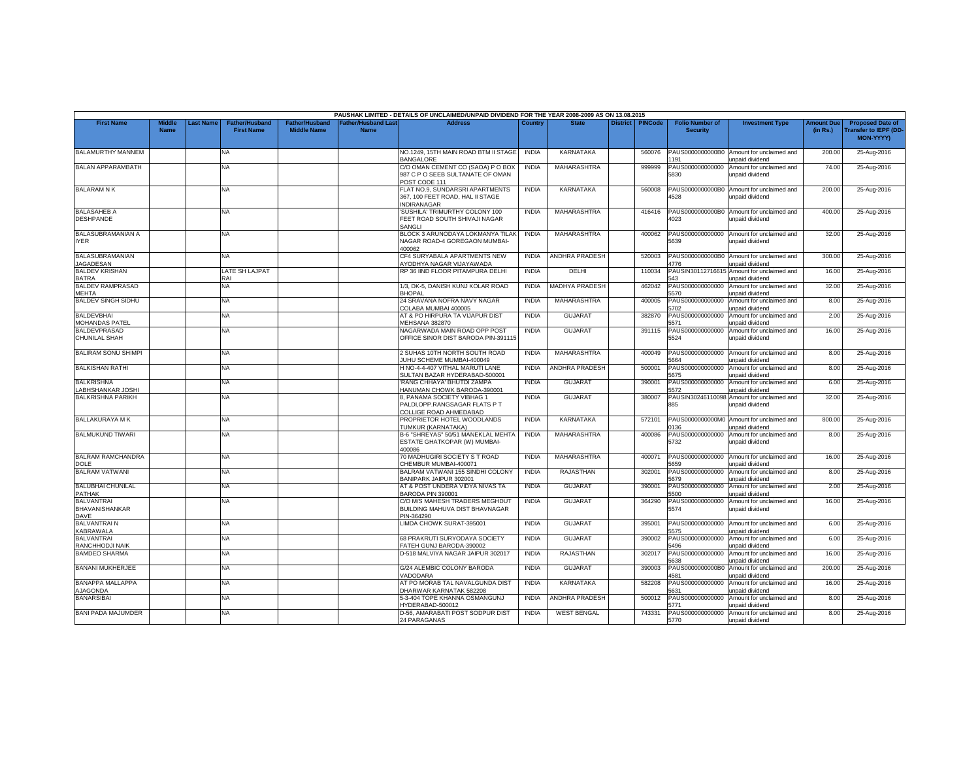|                                             |                              |           |                                            |                                             |                                           | PAUSHAK LIMITED - DETAILS OF UNCLAIMED/UNPAID DIVIDEND FOR THE YEAR 2008-2009 AS ON 13.08.2015 |              |                       |                 |                |                                           |                                                              |                               |                                                                     |
|---------------------------------------------|------------------------------|-----------|--------------------------------------------|---------------------------------------------|-------------------------------------------|------------------------------------------------------------------------------------------------|--------------|-----------------------|-----------------|----------------|-------------------------------------------|--------------------------------------------------------------|-------------------------------|---------------------------------------------------------------------|
| <b>First Name</b>                           | <b>Middle</b><br><b>Name</b> | Last Name | <b>Father/Husband</b><br><b>First Name</b> | <b>Father/Husband</b><br><b>Middle Name</b> | <b>Father/Husband Last</b><br><b>Name</b> | <b>Address</b>                                                                                 | Country      | <b>State</b>          | <b>District</b> | <b>PINCode</b> | <b>Folio Number of</b><br><b>Security</b> | <b>Investment Type</b>                                       | <b>Amount Due</b><br>(in Rs.) | <b>Proposed Date of</b><br><b>Transfer to IEPF (DD</b><br>MON-YYYY) |
| BALAMURTHY MANNEM                           |                              |           | NA                                         |                                             |                                           | NO.1249, 15TH MAIN ROAD BTM II STAGE<br><b>BANGALORE</b>                                       | INDIA        | KARNATAKA             |                 | 560076         | PAUS0000000000B0<br>191                   | Amount for unclaimed and<br><b>Inpaid dividend</b>           | 200.00                        | 25-Aug-2016                                                         |
| <b>BALAN APPARAMBATH</b>                    |                              |           | NA                                         |                                             |                                           | C/O OMAN CEMENT CO (SAOA) P O BOX<br>987 C P O SEEB SULTANATE OF OMAN<br>POST CODE 111         | <b>INDIA</b> | <b>MAHARASHTRA</b>    |                 | 999999         | PAUS000000000000<br>5830                  | Amount for unclaimed and<br>unpaid dividend                  | 74.00                         | 25-Aug-2016                                                         |
| <b>BALARAMNK</b>                            |                              |           | ΝA                                         |                                             |                                           | FLAT NO.9, SUNDARSRI APARTMENTS<br>367, 100 FEET ROAD, HAL II STAGE<br><b>INDIRANAGAR</b>      | <b>INDIA</b> | KARNATAKA             |                 | 560008         | PAUS0000000000B0<br>4528                  | Amount for unclaimed and<br>unpaid dividend                  | 200.00                        | 25-Aug-2016                                                         |
| <b>BALASAHEB A</b><br><b>DESHPANDE</b>      |                              |           | NA                                         |                                             |                                           | SUSHILA' TRIMURTHY COLONY 100<br>FEET ROAD SOUTH SHIVAJI NAGAR<br>SANGLI                       | <b>INDIA</b> | <b>MAHARASHTRA</b>    |                 | 416416         | PAUS0000000000B0<br>4023                  | Amount for unclaimed and<br>unpaid dividend                  | 400.00                        | 25-Aug-2016                                                         |
| BALASUBRAMANIAN A<br><b>IYER</b>            |                              |           | NA                                         |                                             |                                           | BLOCK 3 ARUNODAYA LOKMANYA TILAK<br>NAGAR ROAD-4 GOREGAON MUMBAI-<br>100062                    | <b>INDIA</b> | MAHARASHTRA           |                 | 400062         | PAUS000000000000<br>5639                  | Amount for unclaimed and<br>unpaid dividend                  | 32.00                         | 25-Aug-2016                                                         |
| BALASUBRAMANIAN<br><b>JAGADESAN</b>         |                              |           | ΝA                                         |                                             |                                           | CF4 SURYABALA APARTMENTS NEW<br>YODHYA NAGAR VIJAYAWADA                                        | <b>INDIA</b> | ANDHRA PRADESH        |                 | 520003         | PAUS0000000000B0<br>1776                  | Amount for unclaimed and<br>unpaid dividend                  | 300.00                        | 25-Aug-2016                                                         |
| <b>BALDEV KRISHAN</b><br><b>BATRA</b>       |                              |           | LATE SH LAJPAT<br>RAI                      |                                             |                                           | RP 36 IIND FLOOR PITAMPURA DELHI                                                               | <b>INDIA</b> | DELHI                 |                 | 110034         | PAUSIN3011271661<br>543                   | Amount for unclaimed and<br>unpaid dividend                  | 16.00                         | 25-Aug-2016                                                         |
| <b>BALDEV RAMPRASAD</b><br><b>MEHTA</b>     |                              |           | NA.                                        |                                             |                                           | 1/3, DK-5, DANISH KUNJ KOLAR ROAD<br><b>BHOPAL</b>                                             | <b>INDIA</b> | <b>MADHYA PRADESH</b> |                 | 462042         | PAUS000000000000<br>5570                  | Amount for unclaimed and<br>unpaid dividend                  | 32.00                         | 25-Aug-2016                                                         |
| <b>BALDEV SINGH SIDHU</b>                   |                              |           | NA                                         |                                             |                                           | 24 SRAVANA NOFRA NAVY NAGAR<br>COLABA MUMBAI 400005                                            | <b>INDIA</b> | MAHARASHTRA           |                 | 400005         | PAUS000000000000<br>5702                  | Amount for unclaimed and<br>unpaid dividend                  | 8.00                          | 25-Aug-2016                                                         |
| <b>BALDEVBHAI</b><br>MOHANDAS PATEL         |                              |           | NA.                                        |                                             |                                           | AT & PO HIRPURA TA VIJAPUR DIST<br>MEHSANA 382870                                              | <b>INDIA</b> | <b>GUJARAT</b>        |                 | 382870         | PAUS000000000000<br>5571                  | Amount for unclaimed and<br>unpaid dividend                  | 2.00                          | 25-Aug-2016                                                         |
| <b>BALDEVPRASAD</b><br>CHUNILAL SHAH        |                              |           | NA                                         |                                             |                                           | NAGARWADA MAIN ROAD OPP POST<br>OFFICE SINOR DIST BARODA PIN-391115                            | <b>INDIA</b> | <b>GUJARAT</b>        |                 | 391115         | PAUS000000000000<br>5524                  | Amount for unclaimed and<br>unpaid dividend                  | 16.00                         | 25-Aug-2016                                                         |
| <b>BALIRAM SONU SHIMPI</b>                  |                              |           | NA                                         |                                             |                                           | 2 SUHAS 10TH NORTH SOUTH ROAD<br>UHU SCHEME MUMBAI-400049                                      | <b>INDIA</b> | MAHARASHTRA           |                 | 400049         | PAUS000000000000<br>5664                  | Amount for unclaimed and<br>unpaid dividend                  | 8.00                          | 25-Aug-2016                                                         |
| <b>BALKISHAN RATHI</b>                      |                              |           | NA                                         |                                             |                                           | H NO-4-4-407 VITHAL MARUTI LANE<br>SULTAN BAZAR HYDERABAD-500001                               | <b>INDIA</b> | ANDHRA PRADESH        |                 | 500001         | PAUS000000000000<br>5675                  | Amount for unclaimed and<br>inpaid dividend                  | 8.00                          | 25-Aug-2016                                                         |
| <b>BALKRISHNA</b><br>LABHSHANKAR JOSHI      |                              |           | NA                                         |                                             |                                           | RANG CHHAYA' BHUTDI ZAMPA<br>HANUMAN CHOWK BARODA-390001                                       | <b>INDIA</b> | <b>GUJARAT</b>        |                 | 390001         | PAUS000000000000<br>5572                  | Amount for unclaimed and<br>unpaid dividend                  | 6.00                          | 25-Aug-2016                                                         |
| <b>BALKRISHNA PARIKH</b>                    |                              |           | NA                                         |                                             |                                           | 8, PANAMA SOCIETY VIBHAG 1<br>PALDI.OPP.RANGSAGAR FLATS P T<br>COLLIGE ROAD AHMEDABAD          | <b>INDIA</b> | <b>GUJARAT</b>        |                 | 380007         | PAUSIN30246110098<br>885                  | Amount for unclaimed and<br>unpaid dividend                  | 32.00                         | 25-Aug-2016                                                         |
| <b>BALLAKURAYA MK</b>                       |                              |           | NA                                         |                                             |                                           | PROPRIETOR HOTEL WOODLANDS<br>TUMKUR (KARNATAKA)                                               | <b>INDIA</b> | KARNATAKA             |                 | 572101         | 0136                                      | PAUS0000000000M0 Amount for unclaimed and<br>inpaid dividend | 800.00                        | 25-Aug-2016                                                         |
| <b>BALMUKUND TIWARI</b>                     |                              |           | NA                                         |                                             |                                           | B-6 "SHREYAS" 50/51 MANEKLAL MEHTA<br>ESTATE GHATKOPAR (W) MUMBAI-<br>380001                   | <b>INDIA</b> | <b>MAHARASHTRA</b>    |                 | 400086         | PAUS000000000000<br>5732                  | Amount for unclaimed and<br>unpaid dividend                  | 8.00                          | 25-Aug-2016                                                         |
| <b>BALRAM RAMCHANDRA</b><br><b>DOLE</b>     |                              |           | NA                                         |                                             |                                           | 70 MADHUGIRI SOCIETY S T ROAD<br>CHEMBUR MUMBAI-400071                                         | <b>INDIA</b> | <b>MAHARASHTRA</b>    |                 | 400071         | PAUS000000000000<br>5659                  | Amount for unclaimed and<br><b>inpaid dividend</b>           | 16.00                         | 25-Aug-2016                                                         |
| <b>BALRAM VATWANI</b>                       |                              |           | NA                                         |                                             |                                           | BALRAM VATWANI 155 SINDHI COLONY<br>BANIPARK JAIPUR 302001                                     | <b>INDIA</b> | <b>RAJASTHAN</b>      |                 | 302001         | PAUS000000000000<br>5679                  | Amount for unclaimed and<br>unpaid dividend                  | 8.00                          | 25-Aug-2016                                                         |
| <b>BALUBHAI CHUNILAL</b><br><b>PATHAK</b>   |                              |           | NA                                         |                                             |                                           | AT & POST UNDERA VIDYA NIVAS TA<br>BARODA PIN 390001                                           | <b>INDIA</b> | GUJARAT               |                 | 390001         | PAUS000000000000<br>5500                  | Amount for unclaimed and<br>unpaid dividend                  | 2.00                          | 25-Aug-2016                                                         |
| <b>BALVANTRAI</b><br>BHAVANISHANKAR<br>DAVE |                              |           | NA                                         |                                             |                                           | C/O M/S MAHESH TRADERS MEGHDUT<br>BUILDING MAHUVA DIST BHAVNAGAR<br>PIN-364290                 | <b>INDIA</b> | <b>GUJARAT</b>        |                 | 364290         | PAUS000000000000<br>5574                  | Amount for unclaimed and<br>unpaid dividend                  | 16.00                         | 25-Aug-2016                                                         |
| <b>BALVANTRAIN</b><br>KABRAWALA             |                              |           | NA                                         |                                             |                                           | LIMDA CHOWK SURAT-395001                                                                       | <b>INDIA</b> | <b>GUJARAT</b>        |                 | 395001         | PAUS000000000000<br>5575                  | Amount for unclaimed and<br>unpaid dividend                  | 6.00                          | 25-Aug-2016                                                         |
| <b>BALVANTRAI</b><br>RANCHHODJI NAIK        |                              |           | <b>NA</b>                                  |                                             |                                           | 68 PRAKRUTI SURYODAYA SOCIETY<br>FATEH GUNJ BARODA-390002                                      | <b>INDIA</b> | <b>GUJARAT</b>        |                 | 390002         | PAUS000000000000<br>5496                  | Amount for unclaimed and<br>unpaid dividend                  | 6.00                          | 25-Aug-2016                                                         |
| <b>BAMDEO SHARMA</b>                        |                              |           | NA.                                        |                                             |                                           | D-518 MALVIYA NAGAR JAIPUR 302017                                                              | <b>INDIA</b> | RAJASTHAN             |                 | 302017         | PAUS000000000000<br>5638                  | Amount for unclaimed and<br>inpaid dividend                  | 16.00                         | 25-Aug-2016                                                         |
| <b>BANANI MUKHERJEE</b>                     |                              |           | NA                                         |                                             |                                           | G/24 ALEMBIC COLONY BARODA<br>VADODARA                                                         | <b>INDIA</b> | <b>GUJARAT</b>        |                 | 390003         | PAUS0000000000B0<br>4581                  | Amount for unclaimed and<br>unpaid dividend                  | 200.00                        | 25-Aug-2016                                                         |
| <b>BANAPPA MALLAPPA</b><br><b>AJAGONDA</b>  |                              |           | <b>NA</b>                                  |                                             |                                           | AT PO MORAB TAL NAVALGUNDA DIST<br>DHARWAR KARNATAK 582208                                     | <b>INDIA</b> | KARNATAKA             |                 | 582208         | PAUS000000000000<br>5631                  | Amount for unclaimed and<br>unpaid dividend                  | 16.00                         | 25-Aug-2016                                                         |
| <b>BANARSIBAI</b>                           |                              |           | <b>NA</b>                                  |                                             |                                           | 5-3-404 TOPE KHANNA OSMANGUNJ<br>IYDERABAD-500012                                              | <b>INDIA</b> | ANDHRA PRADESH        |                 | 500012         | PAUS000000000000<br>771                   | Amount for unclaimed and<br>inpaid dividend                  | 8.00                          | 25-Aug-2016                                                         |
| <b>BANI PADA MAJUMDER</b>                   |                              |           | NA                                         |                                             |                                           | D-56, AMARABATI POST SODPUR DIST<br>24 PARAGANAS                                               | <b>INDIA</b> | <b>WEST BENGAL</b>    |                 | 743331         | PAUS000000000000<br>5770                  | Amount for unclaimed and<br>unpaid dividend                  | 8.00                          | 25-Aug-2016                                                         |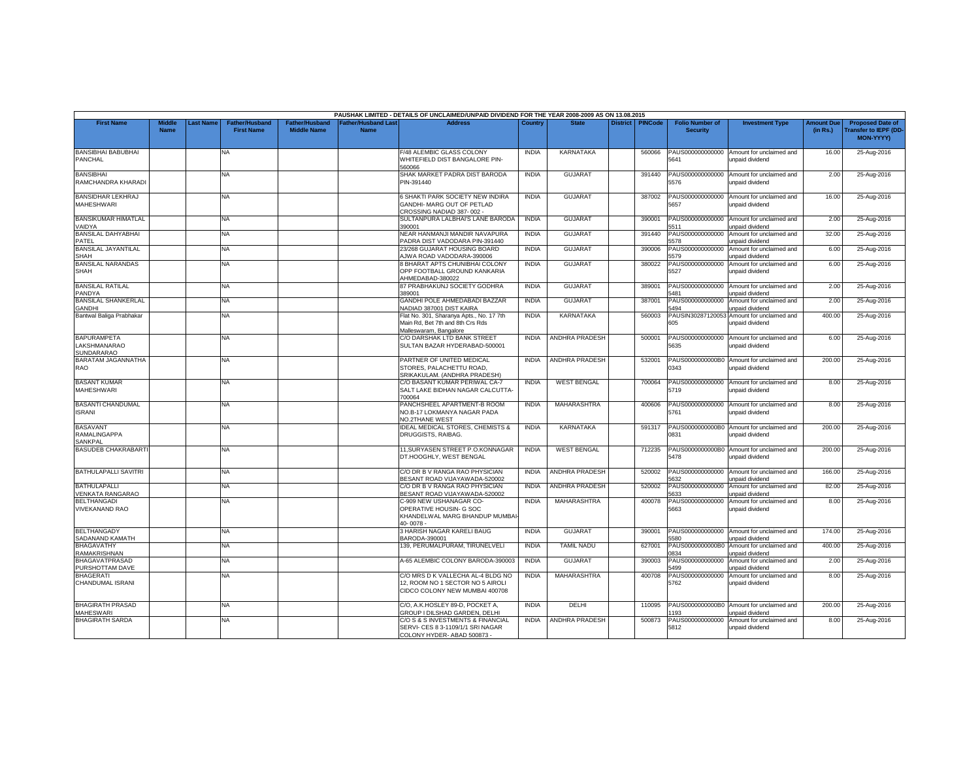|                                                         |                              |           |                                            |                                             |                                          | PAUSHAK LIMITED - DETAILS OF UNCLAIMED/UNPAID DIVIDEND FOR THE YEAR 2008-2009 AS ON 13.08.2015          |              |                       |                 |                |                                           |                                                               |                               |                                                                      |
|---------------------------------------------------------|------------------------------|-----------|--------------------------------------------|---------------------------------------------|------------------------------------------|---------------------------------------------------------------------------------------------------------|--------------|-----------------------|-----------------|----------------|-------------------------------------------|---------------------------------------------------------------|-------------------------------|----------------------------------------------------------------------|
| <b>First Name</b>                                       | <b>Middle</b><br><b>Name</b> | Last Name | <b>Father/Husband</b><br><b>First Name</b> | <b>Father/Husband</b><br><b>Middle Name</b> | <b>Father/Husband Las</b><br><b>Name</b> | <b>Address</b>                                                                                          | Country      | <b>State</b>          | <b>District</b> | <b>PINCode</b> | <b>Folio Number of</b><br><b>Security</b> | <b>Investment Type</b>                                        | <b>Amount Due</b><br>(in Rs.) | <b>Proposed Date of</b><br><b>Transfer to IEPF (DD-</b><br>MON-YYYY) |
| <b>BANSIBHAI BABUBHAI</b><br><b>PANCHAL</b>             |                              |           | NA                                         |                                             |                                          | F/48 ALEMBIC GLASS COLONY<br>WHITEFIELD DIST BANGALORE PIN-<br>560066                                   | <b>INDIA</b> | KARNATAKA             |                 | 560066         | 5641                                      | PAUS000000000000 Amount for unclaimed and<br>unpaid dividend  | 16.00                         | 25-Aug-2016                                                          |
| <b>BANSIBHAI</b><br>RAMCHANDRA KHARADI                  |                              |           | <b>NA</b>                                  |                                             |                                          | SHAK MARKET PADRA DIST BARODA<br>PIN-391440                                                             | <b>INDIA</b> | <b>GUJARAT</b>        |                 | 391440         | PAUS000000000000<br>5576                  | Amount for unclaimed and<br>unpaid dividend                   | 2.00                          | 25-Aug-2016                                                          |
| <b>BANSIDHAR LEKHRAJ</b><br><b>MAHESHWARI</b>           |                              |           | NA.                                        |                                             |                                          | 6 SHAKTI PARK SOCIETY NEW INDIRA<br>GANDHI- MARG OUT OF PETLAD<br>CROSSING NADIAD 387-002 -             | <b>INDIA</b> | <b>GUJARAT</b>        |                 | 387002         | 5657                                      | PAUS000000000000 Amount for unclaimed and<br>unpaid dividend  | 16.00                         | 25-Aug-2016                                                          |
| <b>BANSIKUMAR HIMATLAL</b><br><b>/AIDYA</b>             |                              |           | NA.                                        |                                             |                                          | SULTANPURA LALBHAI'S LANE BARODA<br>390001                                                              | <b>INDIA</b> | <b>GUJARAT</b>        |                 | 390001         | 5511                                      | PAUS000000000000 Amount for unclaimed and<br>unpaid dividend  | 2.00                          | 25-Aug-2016                                                          |
| <b>BANSILAL DAHYABHAI</b><br>PATEL                      |                              |           | NA.                                        |                                             |                                          | NEAR HANMANJI MANDIR NAVAPURA<br>PADRA DIST VADODARA PIN-391440                                         | <b>INDIA</b> | <b>GUJARAT</b>        |                 | 391440         | PAUS000000000000<br>5578                  | Amount for unclaimed and<br>unpaid dividend                   | 32.00                         | 25-Aug-2016                                                          |
| <b>BANSILAL JAYANTILAL</b><br><b>SHAH</b>               |                              |           | <b>NA</b>                                  |                                             |                                          | 23/268 GUJARAT HOUSING BOARD<br>AJWA ROAD VADODARA-390006                                               | <b>INDIA</b> | <b>GUJARAT</b>        |                 | 390006         | 5579                                      | PAUS000000000000 Amount for unclaimed and<br>unpaid dividend  | 6.00                          | 25-Aug-2016                                                          |
| <b>BANSILAL NARANDAS</b><br>SHAH                        |                              |           | NA.                                        |                                             |                                          | 8 BHARAT APTS CHUNIBHAI COLONY<br>OPP FOOTBALL GROUND KANKARIA<br>AHMEDABAD-380022                      | <b>INDIA</b> | <b>GUJARAT</b>        |                 | 380022         | PAUS000000000000<br>5527                  | Amount for unclaimed and<br>unpaid dividend                   | 6.00                          | 25-Aug-2016                                                          |
| <b>BANSILAL RATILAL</b><br>PANDYA                       |                              |           | <b>NA</b>                                  |                                             |                                          | 87 PRABHAKUNJ SOCIETY GODHRA<br>389001                                                                  | <b>INDIA</b> | <b>GUJARAT</b>        |                 | 389001         | 5481                                      | PAUS000000000000 Amount for unclaimed and<br>unpaid dividend  | 2.00                          | 25-Aug-2016                                                          |
| <b>BANSILAL SHANKERLAL</b><br><b>GANDHI</b>             |                              |           | NA.                                        |                                             |                                          | GANDHI POLE AHMEDABADI BAZZAR<br>NADIAD 387001 DIST KAIRA                                               | <b>INDIA</b> | <b>GUJARAT</b>        |                 | 387001         | PAUS000000000000<br>5494                  | Amount for unclaimed and<br>unpaid dividend                   | 2.00                          | 25-Aug-2016                                                          |
| Bantwal Baliga Prabhakar                                |                              |           | NA                                         |                                             |                                          | Flat No. 301, Sharanya Apts., No. 17 7th<br>Main Rd, Bet 7th and 8th Crs Rds<br>Malleswaram, Bangalore  | <b>INDIA</b> | <b>KARNATAKA</b>      |                 | 560003         | 605                                       | PAUSIN30287120053 Amount for unclaimed and<br>unpaid dividend | 400.00                        | 25-Aug-2016                                                          |
| <b>BAPURAMPETA</b><br>LAKSHMANARAO<br><b>SUNDARARAO</b> |                              |           | <b>NA</b>                                  |                                             |                                          | C/O DARSHAK LTD BANK STREET<br>SULTAN BAZAR HYDERABAD-500001                                            | <b>INDIA</b> | ANDHRA PRADESH        |                 | 500001         | 5635                                      | PAUS000000000000 Amount for unclaimed and<br>unpaid dividend  | 6.00                          | 25-Aug-2016                                                          |
| BARATAM JAGANNATHA<br><b>RAO</b>                        |                              |           | NA                                         |                                             |                                          | PARTNER OF UNITED MEDICAL<br>STORES, PALACHETTU ROAD.<br>SRIKAKULAM. (ANDHRA PRADESH)                   | <b>INDIA</b> | ANDHRA PRADESH        |                 | 532001         | 0343                                      | PAUS0000000000B0 Amount for unclaimed and<br>unpaid dividend  | 200.00                        | 25-Aug-2016                                                          |
| <b>BASANT KUMAR</b><br><b>MAHESHWARI</b>                |                              |           | <b>NA</b>                                  |                                             |                                          | C/O BASANT KUMAR PERIWAL CA-7<br>SALT LAKE BIDHAN NAGAR CALCUTTA-<br>700064                             | <b>INDIA</b> | <b>WEST BENGAL</b>    |                 | 700064         | 5719                                      | PAUS000000000000 Amount for unclaimed and<br>unpaid dividend  | 8.00                          | 25-Aug-2016                                                          |
| <b>BASANTI CHANDUMAL</b><br><b>ISRANI</b>               |                              |           | NA.                                        |                                             |                                          | PANCHSHEEL APARTMENT-B ROOM<br>NO.B-17 LOKMANYA NAGAR PADA<br>NO.2THANE WEST                            | <b>INDIA</b> | MAHARASHTRA           |                 | 400606         | 5761                                      | PAUS000000000000 Amount for unclaimed and<br>unpaid dividend  | 8.00                          | 25-Aug-2016                                                          |
| <b>BASAVANT</b><br>RAMALINGAPPA<br>SANKPAL              |                              |           | NA                                         |                                             |                                          | <b>IDEAL MEDICAL STORES, CHEMISTS &amp;</b><br>DRUGGISTS, RAIBAG.                                       | <b>INDIA</b> | KARNATAKA             |                 | 591317         | 0831                                      | PAUS0000000000B0 Amount for unclaimed and<br>unpaid dividend  | 200.00                        | 25-Aug-2016                                                          |
| <b>BASUDEB CHAKRABARTI</b>                              |                              |           | <b>NA</b>                                  |                                             |                                          | 11, SURYASEN STREET P.O.KONNAGAR<br>DT.HOOGHLY, WEST BENGAL                                             | <b>INDIA</b> | <b>WEST BENGAL</b>    |                 | 712235         | 5478                                      | PAUS0000000000B0 Amount for unclaimed and<br>unpaid dividend  | 200.00                        | 25-Aug-2016                                                          |
| <b>BATHULAPALLI SAVITRI</b>                             |                              |           | NA                                         |                                             |                                          | C/O DR B V RANGA RAO PHYSICIAN<br>BESANT ROAD VIJAYAWADA-520002                                         | <b>INDIA</b> | <b>ANDHRA PRADESH</b> |                 | 520002         | PAUS000000000000<br>632                   | Amount for unclaimed and<br>unpaid dividend                   | 166.00                        | 25-Aug-2016                                                          |
| <b>BATHULAPALLI</b><br>VENKATA RANGARAO                 |                              |           | NA                                         |                                             |                                          | C/O DR B V RANGA RAO PHYSICIAN<br>BESANT ROAD VIJAYAWADA-520002                                         | <b>INDIA</b> | ANDHRA PRADESH        |                 | 520002         | PAUS000000000000<br>5633                  | Amount for unclaimed and<br>inpaid dividend                   | 82.00                         | 25-Aug-2016                                                          |
| <b>BELTHANGADI</b><br><b>VIVEKANAND RAO</b>             |                              |           | <b>NA</b>                                  |                                             |                                          | C-909 NEW USHANAGAR CO-<br>OPERATIVE HOUSIN- G SOC<br>KHANDELWAL MARG BHANDUP MUMBA<br>40-0078-         | <b>INDIA</b> | MAHARASHTRA           |                 | 400078         | PAUS000000000000<br>5663                  | Amount for unclaimed and<br>unpaid dividend                   | 8.00                          | 25-Aug-2016                                                          |
| <b>BELTHANGADY</b><br>SADANAND KAMATH                   |                              |           | NA.                                        |                                             |                                          | 3 HARISH NAGAR KARELI BAUG<br>BARODA-390001                                                             | <b>INDIA</b> | <b>GUJARAT</b>        |                 | 390001         | 5580                                      | PAUS000000000000 Amount for unclaimed and<br>unpaid dividend  | 174.00                        | 25-Aug-2016                                                          |
| <b>BHAGAVATHY</b><br>RAMAKRISHNAN                       |                              |           | <b>NA</b>                                  |                                             |                                          | 139. PERUMALPURAM, TIRUNELVELI                                                                          | <b>INDIA</b> | <b>TAMIL NADU</b>     |                 | 627001         | PAUS0000000000B0<br>1834                  | Amount for unclaimed and<br>unpaid dividend                   | 400.00                        | 25-Aug-2016                                                          |
| <b>BHAGAVATPRASAD</b><br>PURSHOTTAM DAVE                |                              |           | <b>NA</b>                                  |                                             |                                          | A-65 ALEMBIC COLONY BARODA-390003                                                                       | <b>INDIA</b> | <b>GUJARAT</b>        |                 | 390003         | PAUS000000000000<br>5499                  | Amount for unclaimed and<br>unpaid dividend                   | 2.00                          | 25-Aug-2016                                                          |
| <b>BHAGERATI</b><br>CHANDUMAL ISRANI                    |                              |           | NA.                                        |                                             |                                          | C/O MRS D K VALLECHA AL-4 BLDG NO<br>12, ROOM NO 1 SECTOR NO 5 AIROLI<br>CIDCO COLONY NEW MUMBAI 400708 | <b>INDIA</b> | MAHARASHTRA           |                 | 400708         | PAUS000000000000<br>5762                  | Amount for unclaimed and<br>unpaid dividend                   | 8.00                          | 25-Aug-2016                                                          |
| <b>BHAGIRATH PRASAD</b><br><b>MAHESWARI</b>             |                              |           | <b>NA</b>                                  |                                             |                                          | C/O. A.K.HOSLEY 89-D. POCKET A.<br>GROUP I DILSHAD GARDEN, DELHI                                        | <b>INDIA</b> | DELHI                 |                 | 110095         | 193                                       | PAUS0000000000B0 Amount for unclaimed and<br>unnaid dividend  | 200.00                        | 25-Aug-2016                                                          |
| <b>BHAGIRATH SARDA</b>                                  |                              |           | NA                                         |                                             |                                          | C/O S & S INVESTMENTS & FINANCIAL<br>SERVI- CES 8 3-1109/1/1 SRI NAGAR<br>COLONY HYDER- ABAD 500873     | <b>INDIA</b> | ANDHRA PRADESH        |                 | 500873         | PAUS000000000000<br>5812                  | Amount for unclaimed and<br>unpaid dividend                   | 8.00                          | 25-Aug-2016                                                          |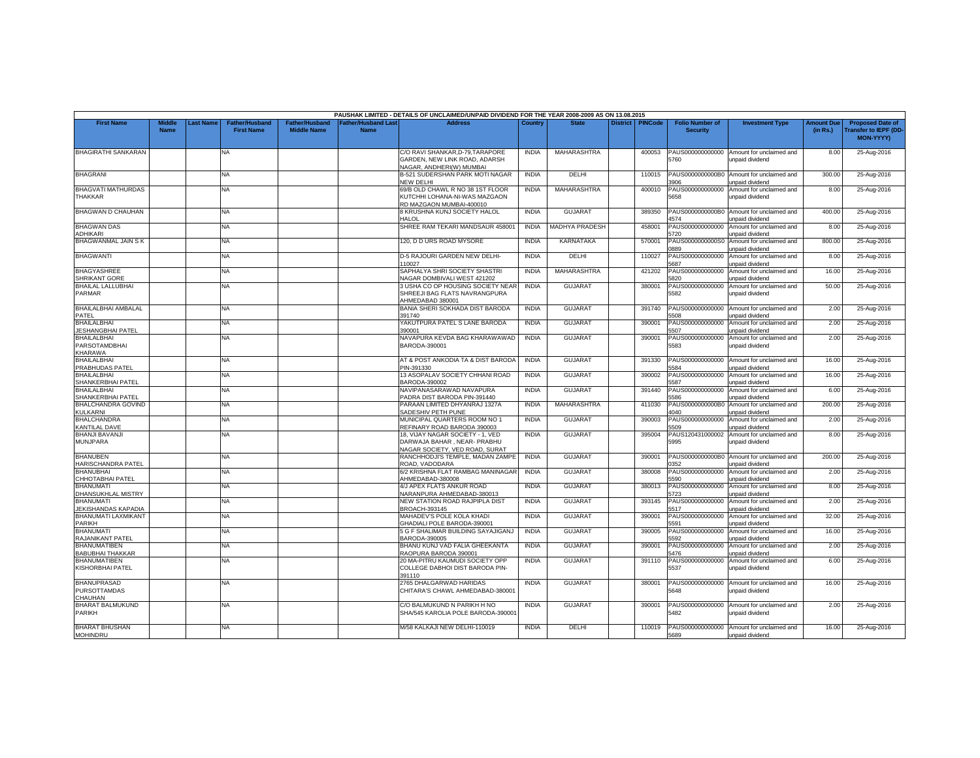|                                                                           |                              |                  |                                            |                                             |                                  | PAUSHAK LIMITED - DETAILS OF UNCLAIMED/UNPAID DIVIDEND FOR THE YEAR 2008-2009 AS ON 13.08.2015           |              |                       |                 |                |                                           |                                                                |                               |                                                                      |
|---------------------------------------------------------------------------|------------------------------|------------------|--------------------------------------------|---------------------------------------------|----------------------------------|----------------------------------------------------------------------------------------------------------|--------------|-----------------------|-----------------|----------------|-------------------------------------------|----------------------------------------------------------------|-------------------------------|----------------------------------------------------------------------|
| <b>First Name</b>                                                         | <b>Middle</b><br><b>Name</b> | <b>Last Name</b> | <b>Father/Husband</b><br><b>First Name</b> | <b>Father/Husband</b><br><b>Middle Name</b> | ather/Husband Las<br><b>Name</b> | Address                                                                                                  | Country      | <b>State</b>          | <b>District</b> | <b>PINCode</b> | <b>Folio Number of</b><br><b>Security</b> | <b>Investment Type</b>                                         | <b>Amount Due</b><br>(in Rs.) | <b>Proposed Date of</b><br><b>Transfer to IEPF (DD-</b><br>MON-YYYY) |
| <b>BHAGIRATHI SANKARAN</b>                                                |                              |                  | <b>NA</b>                                  |                                             |                                  | C/O RAVI SHANKAR,D-79,TARAPORE<br>GARDEN, NEW LINK ROAD, ADARSH<br>VAGAR, ANDHERI(W) MUMBAI              | <b>INDIA</b> | MAHARASHTRA           |                 | 400053         | PAUS000000000000<br>5760                  | Amount for unclaimed and<br>unpaid dividend                    | 8.00                          | 25-Aug-2016                                                          |
| <b>BHAGRANI</b>                                                           |                              |                  | NA                                         |                                             |                                  | B-521 SUDERSHAN PARK MOTI NAGAR<br>NEW DELHI                                                             | <b>INDIA</b> | DELHI                 |                 | 110015         | PAUS0000000000B0<br>1906                  | Amount for unclaimed and<br>unpaid dividend                    | 300.00                        | 25-Aug-2016                                                          |
| BHAGVATI MATHURDAS<br><b>THAKKAR</b>                                      |                              |                  | <b>NA</b>                                  |                                             |                                  | 69/B OLD CHAWL R NO 38 1ST FLOOR<br>KUTCHHI LOHANA-NI-WAS MAZGAON<br>RD MAZGAON MUMBAI-400010            | <b>INDIA</b> | MAHARASHTRA           |                 | 400010         | PAUS000000000000<br>5658                  | Amount for unclaimed and<br>unpaid dividend                    | 8.00                          | 25-Aug-2016                                                          |
| <b>BHAGWAN D CHAUHAN</b>                                                  |                              |                  | <b>NA</b>                                  |                                             |                                  | 8 KRUSHNA KUNJ SOCIETY HALOL<br><b>IALOL</b>                                                             | <b>INDIA</b> | <b>GUJARAT</b>        |                 | 389350         | PAUS0000000000B0<br>4574                  | Amount for unclaimed and<br>unpaid dividend                    | 400.00                        | 25-Aug-2016                                                          |
| <b>BHAGWAN DAS</b><br><b>ADHIKARI</b>                                     |                              |                  | NA                                         |                                             |                                  | SHREE RAM TEKARI MANDSAUR 458001                                                                         | <b>INDIA</b> | <b>MADHYA PRADESH</b> |                 | 458001         | PAUS000000000000<br>5720                  | Amount for unclaimed and<br>unpaid dividend                    | 8.00                          | 25-Aug-2016                                                          |
| <b>BHAGWANMAL JAIN S K</b>                                                |                              |                  | NA                                         |                                             |                                  | 120. D D URS ROAD MYSORE                                                                                 | <b>INDIA</b> | <b>KARNATAKA</b>      |                 | 570001         | PAUS0000000000S0<br>0889                  | Amount for unclaimed and<br>unpaid dividend                    | 800.00                        | 25-Aug-2016                                                          |
| <b>BHAGWANTI</b>                                                          |                              |                  | NA                                         |                                             |                                  | D-5 RAJOURI GARDEN NEW DELHI-<br>110027                                                                  | <b>INDIA</b> | DELHI                 |                 | 110027         | 5687                                      | PAUS000000000000 Amount for unclaimed and<br>unpaid dividend   | 8.00                          | 25-Aug-2016                                                          |
| <b>BHAGYASHREE</b><br><b>SHRIKANT GORE</b>                                |                              |                  | NA                                         |                                             |                                  | SAPHALYA SHRI SOCIETY SHASTRI<br>VAGAR DOMBIVALI WEST 421202                                             | <b>INDIA</b> | MAHARASHTRA           |                 | 421202         | PAUS000000000000<br>5820                  | Amount for unclaimed and<br>unpaid dividend                    | 16.00                         | 25-Aug-2016                                                          |
| <b>BHAILAL LALLUBHAI</b><br>PARMAR                                        |                              |                  | NA                                         |                                             |                                  | 3 USHA CO OP HOUSING SOCIETY NEAR<br>SHREEJI BAG FLATS NAVRANGPURA<br>AHMEDABAD 380001                   | <b>INDIA</b> | <b>GUJARA1</b>        |                 | 380001         | PAUS000000000000<br>5582                  | Amount for unclaimed and<br>unpaid dividend                    | 50.00                         | 25-Aug-2016                                                          |
| BHAILALBHAI AMBALAL<br>PATEL                                              |                              |                  | NA                                         |                                             |                                  | BANIA SHERI SOKHADA DIST BARODA<br>391740                                                                | <b>INDIA</b> | <b>GUJARAT</b>        |                 | 391740         | PAUS000000000000<br>5508                  | Amount for unclaimed and<br>unpaid dividend                    | 2.00                          | 25-Aug-2016                                                          |
| <b>BHAILALBHAI</b><br><b>JESHANGBHAI PATEL</b>                            |                              |                  | <b>NA</b>                                  |                                             |                                  | YAKUTPURA PATEL S LANE BARODA<br>390001                                                                  | <b>INDIA</b> | <b>GUJARAT</b>        |                 | 390001         | PAUS000000000000<br>507                   | Amount for unclaimed and<br>unpaid dividend                    | 2.00                          | 25-Aug-2016                                                          |
| <b>BHAILALBHAI</b><br><b>PARSOTAMDBHAI</b><br><b>KHARAWA</b>              |                              |                  | NA                                         |                                             |                                  | NAVAPURA KEVDA BAG KHARAWAWAD<br>BARODA-390001                                                           | <b>INDIA</b> | <b>GUJARAT</b>        |                 | 390001         | PAUS000000000000<br>5583                  | Amount for unclaimed and<br>unpaid dividend                    | 2.00                          | 25-Aug-2016                                                          |
| <b>BHAILALBHAI</b><br>PRABHUDAS PATEL                                     |                              |                  | <b>NA</b>                                  |                                             |                                  | AT & POST ANKODIA TA & DIST BARODA<br>PIN-391330                                                         | <b>INDIA</b> | <b>GUJARAT</b>        |                 | 391330         | 5584                                      | PAUS000000000000 Amount for unclaimed and<br>unpaid dividend   | 16.00                         | 25-Aug-2016                                                          |
| <b>BHAILALBHAI</b><br>SHANKERBHAI PATEL                                   |                              |                  | NA                                         |                                             |                                  | 13 ASOPALAV SOCIETY CHHANI ROAD<br>BARODA-390002                                                         | <b>INDIA</b> | <b>GUJARAT</b>        |                 | 390002         | PAUS000000000000<br>5587                  | Amount for unclaimed and<br>unpaid dividend                    | 16.00                         | 25-Aug-2016                                                          |
| <b>BHAILALBHAI</b><br>SHANKERBHAI PATEL                                   |                              |                  | NA                                         |                                             |                                  | NAVIPANASARAWAD NAVAPURA<br>PADRA DIST BARODA PIN-391440                                                 | <b>INDIA</b> | <b>GUJARAT</b>        |                 | 391440         | 586                                       | PAUS000000000000 Amount for unclaimed and<br>unpaid dividend   | 6.00                          | 25-Aug-2016                                                          |
| <b>BHALCHANDRA GOVIND</b><br><b>KULKARNI</b>                              |                              |                  | NA                                         |                                             |                                  | PARAAN LIMITED DHYANRAJ 1327A<br>SADESHIV PETH PUNE                                                      | <b>INDIA</b> | MAHARASHTRA           |                 | 411030         | PAUS0000000000B0<br>040                   | Amount for unclaimed and<br>unpaid dividend                    | 200.00                        | 25-Aug-2016                                                          |
| <b>BHALCHANDRA</b><br><b>KANTILAL DAVE</b>                                |                              |                  | ΝA                                         |                                             |                                  | MUNICIPAL QUARTERS ROOM NO 1<br>REFINARY ROAD BARODA 390003                                              | <b>INDIA</b> | <b>GUJARAT</b>        |                 | 390003         | PAUS000000000000<br>5509                  | Amount for unclaimed and<br>unpaid dividend                    | 2.00                          | 25-Aug-2016                                                          |
| <b>BHANJI BAVANJI</b><br><b>MUNJPARA</b>                                  |                              |                  | <b>NA</b>                                  |                                             |                                  | 18. VIJAY NAGAR SOCIETY - 1. VED<br>DARWAJA BAHAR, NEAR- PRABHU<br><b>NAGAR SOCIETY, VED ROAD, SURAT</b> | <b>INDIA</b> | <b>GUJARAT</b>        |                 | 395004         | PAUS120431000002<br>5995                  | Amount for unclaimed and<br>unpaid dividend                    | 8.00                          | 25-Aug-2016                                                          |
| <b>BHANUBEN</b><br>HARISCHANDRA PATEL                                     |                              |                  | NA                                         |                                             |                                  | RANCHHODJI'S TEMPLE, MADAN ZAMPE<br>ROAD, VADODARA                                                       | <b>INDIA</b> | <b>GUJARAT</b>        |                 | 390001         | PAUS0000000000B0<br>352                   | Amount for unclaimed and<br>inpaid dividend                    | 200.00                        | 25-Aug-2016                                                          |
| <b>BHANUBHAI</b><br>CHHOTABHAI PATEL                                      |                              |                  | NA.                                        |                                             |                                  | 5/2 KRISHNA FLAT RAMBAG MANINAGAF<br>HMEDABAD-380008                                                     | <b>INDIA</b> | <b>GUJARAT</b>        |                 | 380008         | PAUS000000000000<br>5590                  | Amount for unclaimed and<br>unpaid dividend                    | 2.00                          | 25-Aug-2016                                                          |
| <b>BHANUMATI</b><br><b>DHANSUKHLAL MISTRY</b>                             |                              |                  | ΝA                                         |                                             |                                  | 4/J APEX FLATS ANKUR ROAD<br>VARANPURA AHMEDABAD-380013                                                  | <b>INDIA</b> | <b>GUJARAT</b>        |                 | 380013         | PAUS000000000000<br>5723                  | Amount for unclaimed and<br>inpaid dividend                    | 8.00                          | 25-Aug-2016                                                          |
| <b>BHANUMATI</b><br>JEKISHANDAS KAPADIA                                   |                              |                  | NA                                         |                                             |                                  | NEW STATION ROAD RAJPIPLA DIST<br>BROACH-393145                                                          | <b>INDIA</b> | <b>GUJARAT</b>        |                 | 393145         | PAUS000000000000<br>5517                  | Amount for unclaimed and                                       | 2.00                          | 25-Aug-2016                                                          |
| BHANUMATI LAXMIKANT                                                       |                              |                  | NA                                         |                                             |                                  | MAHADEV'S POLE KOLA KHADI                                                                                | <b>INDIA</b> | <b>GUJARAT</b>        |                 | 390001         | PAUS000000000000<br>5591                  | unpaid dividend<br>Amount for unclaimed and                    | 32.00                         | 25-Aug-2016                                                          |
| PARIKH<br><b>BHANUMATI</b>                                                |                              |                  | NA.                                        |                                             |                                  | <b>GHADIALI POLE BARODA-390001</b><br>5 G F SHALIMAR BUILDING SAYAJIGANJ                                 | <b>INDIA</b> | <b>GUJARAT</b>        |                 | 390005         | PAUS000000000000                          | unpaid dividend<br>Amount for unclaimed and                    | 16.00                         | 25-Aug-2016                                                          |
| <b>RAJANIKANT PATEL</b><br><b>BHANUMATIBEN</b>                            |                              |                  | NA                                         |                                             |                                  | BARODA-390005<br>BHANU KUNJ VAD FALIA GHEEKANTA                                                          | <b>INDIA</b> | <b>GUJARAT</b>        |                 | 390001         | 592<br>PAUS000000000000                   | inpaid dividend<br>Amount for unclaimed and                    | 2.00                          | 25-Aug-2016                                                          |
| <b>BABUBHAI THAKKAR</b><br><b>BHANUMATIBEN</b><br><b>KISHORBHAI PATEL</b> |                              |                  | NA                                         |                                             |                                  | RAOPURA BARODA 390001<br>20 MA-PITRU KAUMUDI SOCIETY OPP<br>COLLEGE DABHOI DIST BARODA PIN-              | <b>INDIA</b> | <b>GUJARAT</b>        |                 | 391110         | 5476<br>PAUS000000000000<br>5537          | unpaid dividend<br>Amount for unclaimed and<br>unpaid dividend | 6.00                          | 25-Aug-2016                                                          |
| <b>BHANUPRASAD</b><br><b>PURSOTTAMDAS</b><br>CHAUHAN                      |                              |                  | ΝA                                         |                                             |                                  | 391110<br>2765 DHALGARWAD HARIDAS<br>CHITARA'S CHAWL AHMEDABAD-380001                                    | <b>INDIA</b> | <b>GUJARAT</b>        |                 | 380001         | PAUS000000000000<br>5648                  | Amount for unclaimed and<br>unpaid dividend                    | 16.00                         | 25-Aug-2016                                                          |
| <b>BHARAT BALMUKUND</b><br><b>PARIKH</b>                                  |                              |                  | NA                                         |                                             |                                  | C/O BALMUKUND N PARIKH H NO<br>SHA/545 KAROLIA POLE BARODA-390001                                        | <b>INDIA</b> | <b>GUJARAT</b>        |                 | 390001         | 5482                                      | PAUS000000000000 Amount for unclaimed and<br>unpaid dividend   | 2.00                          | 25-Aug-2016                                                          |
| <b>BHARAT BHUSHAN</b><br><b>MOHINDRU</b>                                  |                              |                  | NA                                         |                                             |                                  | M/58 KALKAJI NEW DELHI-110019                                                                            | <b>INDIA</b> | DELHI                 |                 | 110019         | 5689                                      | PAUS000000000000 Amount for unclaimed and<br>unpaid dividend   | 16.00                         | 25-Aug-2016                                                          |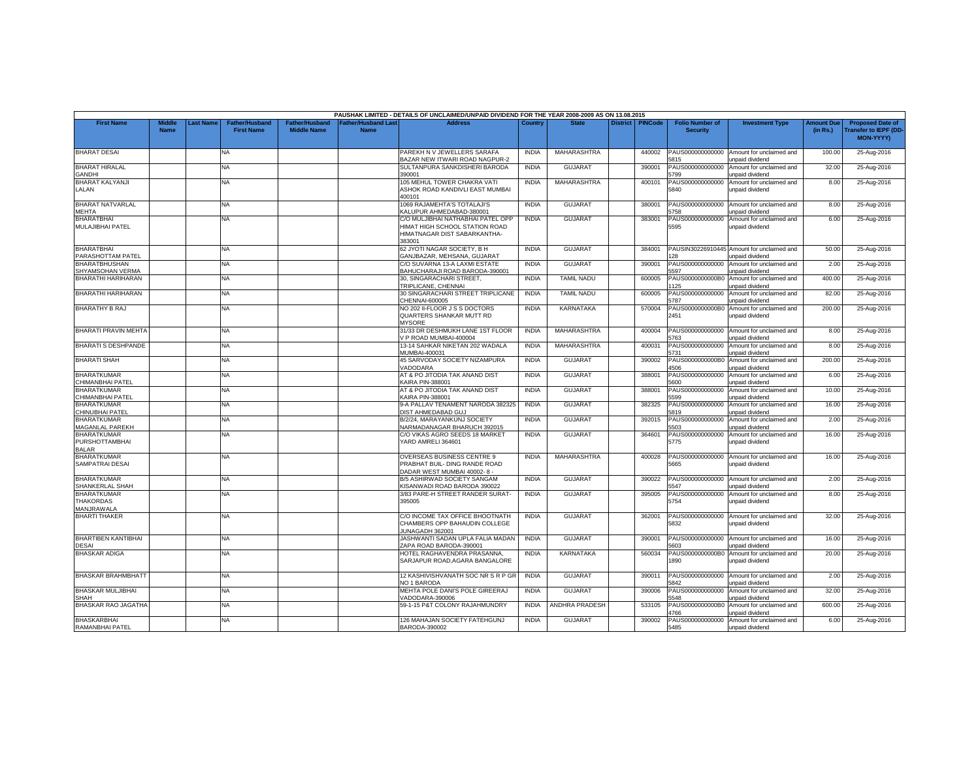|                                                      |                              |           |                                            |                                             |                                          | PAUSHAK LIMITED - DETAILS OF UNCLAIMED/UNPAID DIVIDEND FOR THE YEAR 2008-2009 AS ON 13.08.2015                |              |                    |                 |                |                                           |                                                               |                               |                                                                     |
|------------------------------------------------------|------------------------------|-----------|--------------------------------------------|---------------------------------------------|------------------------------------------|---------------------------------------------------------------------------------------------------------------|--------------|--------------------|-----------------|----------------|-------------------------------------------|---------------------------------------------------------------|-------------------------------|---------------------------------------------------------------------|
| <b>First Name</b>                                    | <b>Middle</b><br><b>Name</b> | Last Name | <b>Father/Husband</b><br><b>First Name</b> | <b>Father/Husband</b><br><b>Middle Name</b> | <b>Father/Husband Las</b><br><b>Name</b> | <b>Address</b>                                                                                                | Country      | <b>State</b>       | <b>District</b> | <b>PINCode</b> | <b>Folio Number of</b><br><b>Security</b> | <b>Investment Type</b>                                        | <b>Amount Due</b><br>(in Rs.) | <b>Proposed Date of</b><br><b>Transfer to IEPF (DD</b><br>MON-YYYY) |
| <b>BHARAT DESAI</b>                                  |                              |           | NA.                                        |                                             |                                          | PAREKH N V JEWELLERS SARAFA<br>BAZAR NEW ITWARI ROAD NAGPUR-2                                                 | <b>INDIA</b> | MAHARASHTRA        |                 | 440002         | PAUS000000000000<br>5815                  | Amount for unclaimed and<br>inpaid dividend                   | 100.00                        | 25-Aug-2016                                                         |
| <b>BHARAT HIRALAL</b><br><b>GANDHI</b>               |                              |           | NA.                                        |                                             |                                          | SULTANPURA SANKDISHERI BARODA<br>90001                                                                        | <b>INDIA</b> | <b>GUJARAT</b>     |                 | 390001         | PAUS000000000000<br>:799                  | Amount for unclaimed and<br>unpaid dividend                   | 32.00                         | 25-Aug-2016                                                         |
| <b>BHARAT KALYANJI</b><br>LALAN                      |                              |           | NA                                         |                                             |                                          | 105 MEHUL TOWER CHAKRA VATI<br>ASHOK ROAD KANDIVLI EAST MUMBAI<br>400101                                      | <b>INDIA</b> | MAHARASHTRA        |                 | 400101         | PAUS000000000000<br>5840                  | Amount for unclaimed and<br>unpaid dividend                   | 8.00                          | 25-Aug-2016                                                         |
| <b>BHARAT NATVARLAL</b><br><b>MEHTA</b>              |                              |           | NA                                         |                                             |                                          | 1069 RAJAMEHTA'S TOTALAJI'S<br>KALUPUR AHMEDABAD-380001                                                       | <b>INDIA</b> | <b>GUJARAT</b>     |                 | 380001         | PAUS000000000000<br>5758                  | Amount for unclaimed and<br>unpaid dividend                   | 8.00                          | 25-Aug-2016                                                         |
| <b>BHARATBHAI</b><br>MULAJIBHAI PATEL                |                              |           | <b>NA</b>                                  |                                             |                                          | C/O MULJIBHAI NATHABHAI PATEL OPP<br>HIMAT HIGH SCHOOL STATION ROAD<br>HIMATNAGAR DIST SABARKANTHA-<br>383001 | <b>INDIA</b> | <b>GUJARAT</b>     |                 | 383001         | PAUS000000000000<br>5595                  | Amount for unclaimed and<br>unpaid dividend                   | 6.00                          | 25-Aug-2016                                                         |
| <b>BHARATBHAI</b><br>PARASHOTTAM PATEL               |                              |           | NA                                         |                                             |                                          | 62 JYOTI NAGAR SOCIETY, B H<br>GANJBAZAR, MEHSANA, GUJARAT                                                    | <b>INDIA</b> | <b>GUJARAT</b>     |                 | 384001         | 128                                       | PAUSIN30226910445 Amount for unclaimed and<br>unpaid dividend | 50.00                         | 25-Aug-2016                                                         |
| <b>BHARATBHUSHAN</b><br>SHYAMSOHAN VERMA             |                              |           | NA                                         |                                             |                                          | C/O SUVARNA 13-A LAXMI ESTATE<br>BAHUCHARAJI ROAD BARODA-390001                                               | <b>INDIA</b> | <b>GUJARAT</b>     |                 | 390001         | PAUS000000000000<br>5597                  | Amount for unclaimed and<br>Inpaid dividend                   | 2.00                          | 25-Aug-2016                                                         |
| <b>BHARATHI HARIHARAN</b>                            |                              |           | NA.                                        |                                             |                                          | <b>30. SINGARACHARI STREET</b><br>TRIPLICANE, CHENNAI                                                         | <b>INDIA</b> | <b>TAMIL NADU</b>  |                 | 600005         | PAUS0000000000B0<br>125                   | Amount for unclaimed and<br>unpaid dividend                   | 400.00                        | 25-Aug-2016                                                         |
| BHARATHI HARIHARAN                                   |                              |           | ΝA                                         |                                             |                                          | 30 SINGARACHARI STREET TRIPLICANE<br>CHENNAI-600005                                                           | <b>INDIA</b> | <b>TAMIL NADU</b>  |                 | 600005         | PAUS000000000000<br>5787                  | Amount for unclaimed and<br>unpaid dividend                   | 82.00                         | 25-Aug-2016                                                         |
| <b>BHARATHY B RAJ</b>                                |                              |           | NA.                                        |                                             |                                          | NO 202 II-FLOOR J S S DOCTORS<br>QUARTERS SHANKAR MUTT RD<br><b>MYSORE</b>                                    | <b>INDIA</b> | <b>KARNATAKA</b>   |                 | 570004         | PAUS0000000000B0<br>2451                  | Amount for unclaimed and<br>unpaid dividend                   | 200.00                        | 25-Aug-2016                                                         |
| <b>BHARATI PRAVIN MEHTA</b>                          |                              |           | <b>NA</b>                                  |                                             |                                          | 31/33 DR DESHMUKH LANE 1ST FLOOR<br>V P ROAD MUMBAI-400004                                                    | <b>INDIA</b> | MAHARASHTRA        |                 | 400004         | PAUS000000000000<br>5763                  | Amount for unclaimed and<br><b>Inpaid dividend</b>            | 8.00                          | 25-Aug-2016                                                         |
| <b>BHARATI S DESHPANDE</b>                           |                              |           | NA                                         |                                             |                                          | 13-14 SAHKAR NIKETAN 202 WADALA<br>MUMBAI-400031                                                              | <b>INDIA</b> | <b>MAHARASHTRA</b> |                 | 400031         | PAUS000000000000<br>5731                  | Amount for unclaimed and<br>unpaid dividend                   | 8.00                          | 25-Aug-2016                                                         |
| <b>BHARATI SHAH</b>                                  |                              |           | NA                                         |                                             |                                          | 45 SARVODAY SOCIETY NIZAMPURA<br>VADODARA                                                                     | <b>INDIA</b> | <b>GUJARAT</b>     |                 | 390002         | PAUS0000000000B0<br>4506                  | Amount for unclaimed and<br>unpaid dividend                   | 200.00                        | 25-Aug-2016                                                         |
| <b>BHARATKUMAR</b><br>HIMANBHAI PATEL                |                              |           | NA                                         |                                             |                                          | AT & PO JITODIA TAK ANAND DIST<br><b>KAIRA PIN-388001</b>                                                     | <b>INDIA</b> | <b>GUJARAT</b>     |                 | 388001         | PAUS000000000000<br>5600                  | Amount for unclaimed and<br>unpaid dividend                   | 6.00                          | 25-Aug-2016                                                         |
| <b>BHARATKUMAR</b><br>CHIMANBHAI PATEL               |                              |           | NA.                                        |                                             |                                          | AT & PO JITODIA TAK ANAND DIST<br><b>KAIRA PIN-388001</b>                                                     | <b>INDIA</b> | <b>GUJARAT</b>     |                 | 388001         | PAUS000000000000<br>599                   | Amount for unclaimed and<br>unpaid dividend                   | 10.00                         | 25-Aug-2016                                                         |
| <b>BHARATKUMAR</b><br>CHINUBHAI PATEI                |                              |           | ΝA                                         |                                             |                                          | 9-A PALLAV TENAMENT NARODA 382325<br>DIST AHMEDABAD GUJ                                                       | <b>INDIA</b> | <b>GUJARAT</b>     |                 | 382325         | PAUS000000000000<br>5819                  | Amount for unclaimed and<br>unpaid dividend                   | 16.00                         | 25-Aug-2016                                                         |
| <b>BHARATKUMAR</b><br><b>MAGANLAL PAREKH</b>         |                              |           | NA.                                        |                                             |                                          | B/2/24, MARAYANKUNJ SOCIETY<br><b>JARMADANAGAR BHARUCH 392015</b>                                             | <b>INDIA</b> | GUJARAT            |                 | 392015         | PAUS000000000000<br>5503                  | Amount for unclaimed and<br>unpaid dividend                   | 2.00                          | 25-Aug-2016                                                         |
| <b>BHARATKUMAR</b><br>PURSHOTTAMBHAI<br><b>BALAR</b> |                              |           | NA                                         |                                             |                                          | C/O VIKAS AGRO SEEDS 18 MARKET<br>YARD AMRELI 364601                                                          | <b>INDIA</b> | <b>GUJARAT</b>     |                 | 364601         | PAUS000000000000<br>5775                  | Amount for unclaimed and<br>unpaid dividend                   | 16.00                         | 25-Aug-2016                                                         |
| <b>BHARATKUMAR</b><br>SAMPATRAI DESAI                |                              |           | NA                                         |                                             |                                          | OVERSEAS BUSINESS CENTRE 9<br>PRABHAT BUIL- DING RANDE ROAD<br>DADAR WEST MUMBAI 40002-8-                     | <b>INDIA</b> | <b>MAHARASHTRA</b> |                 | 400028         | PAUS000000000000<br>5665                  | Amount for unclaimed and<br>unpaid dividend                   | 16.00                         | 25-Aug-2016                                                         |
| <b>BHARATKUMAR</b><br>SHANKERLAL SHAH                |                              |           | NA.                                        |                                             |                                          | <b>B/5 ASHIRWAD SOCIETY SANGAM</b><br>KISANWADI ROAD BARODA 390022                                            | <b>INDIA</b> | GUJARAT            |                 | 390022         | PAUS000000000000<br>5547                  | Amount for unclaimed and<br>unpaid dividend                   | 2.00                          | 25-Aug-2016                                                         |
| <b>BHARATKUMAR</b><br>THAKORDAS<br>MANJRAWALA        |                              |           | NA                                         |                                             |                                          | 3/83 PARE-H STREET RANDER SURAT<br>395005                                                                     | <b>INDIA</b> | <b>GUJARAT</b>     |                 | 395005         | PAUS000000000000<br>5754                  | Amount for unclaimed and<br><b>Inpaid dividend</b>            | 8.00                          | 25-Aug-2016                                                         |
| <b>BHARTI THAKER</b>                                 |                              |           | NA                                         |                                             |                                          | C/O INCOME TAX OFFICE BHOOTNATH<br>CHAMBERS OPP BAHAUDIN COLLEGE<br>UNAGADH 362001                            | <b>INDIA</b> | <b>GUJARAT</b>     |                 | 362001         | PAUS000000000000<br>5832                  | Amount for unclaimed and<br>unpaid dividend                   | 32.00                         | 25-Aug-2016                                                         |
| <b>BHARTIBEN KANTIBHAI</b><br><b>DESAI</b>           |                              |           | NA                                         |                                             |                                          | JASHWANTI SADAN UPLA FALIA MADAN<br>ZAPA ROAD BARODA-390001                                                   | <b>INDIA</b> | <b>GUJARAT</b>     |                 | 390001         | PAUS000000000000<br>5603                  | Amount for unclaimed and<br>unpaid dividend                   | 16.00                         | 25-Aug-2016                                                         |
| <b>BHASKAR ADIGA</b>                                 |                              |           | NA                                         |                                             |                                          | HOTEL RAGHAVENDRA PRASANNA,<br>SARJAPUR ROAD.AGARA BANGALORE                                                  | <b>INDIA</b> | KARNATAKA          |                 | 560034         | PAUS0000000000B0<br>1890                  | Amount for unclaimed and<br>unpaid dividend                   | 20.00                         | 25-Aug-2016                                                         |
| <b>BHASKAR BRAHMBHATT</b>                            |                              |           | NA                                         |                                             |                                          | 12 KASHIVISHVANATH SOC NR S R P GR<br>NO 1 BARODA                                                             | <b>INDIA</b> | <b>GUJARA1</b>     |                 | 390011         | PAUS000000000000<br>5842                  | Amount for unclaimed and<br>unpaid dividend                   | 2.00                          | 25-Aug-2016                                                         |
| <b>BHASKAR MULJIBHAI</b><br>SHAH                     |                              |           | NA.                                        |                                             |                                          | MEHTA POLE DANI'S POLE GIREERA.<br>VADODARA-390006                                                            | <b>INDIA</b> | GUJARAT            |                 | 390006         | PAUS000000000000<br>5548                  | Amount for unclaimed and<br>unpaid dividend                   | 32.00                         | 25-Aug-2016                                                         |
| <b>BHASKAR RAO JAGATHA</b>                           |                              |           | NA                                         |                                             |                                          | 59-1-15 P&T COLONY RAJAHMUNDRY                                                                                | <b>INDIA</b> | ANDHRA PRADESH     |                 | 533105         | PAUS0000000000B0<br>766                   | Amount for unclaimed and<br>inpaid dividend                   | 600.00                        | 25-Aug-2016                                                         |
| <b>BHASKARBHAI</b><br>RAMANBHAI PATEL                |                              |           | <b>NA</b>                                  |                                             |                                          | 126 MAHAJAN SOCIETY FATEHGUNJ<br>BARODA-390002                                                                | <b>INDIA</b> | <b>GUJARAT</b>     |                 | 390002         | PAUS000000000000<br>5485                  | Amount for unclaimed and<br>unpaid dividend                   | 6.00                          | 25-Aug-2016                                                         |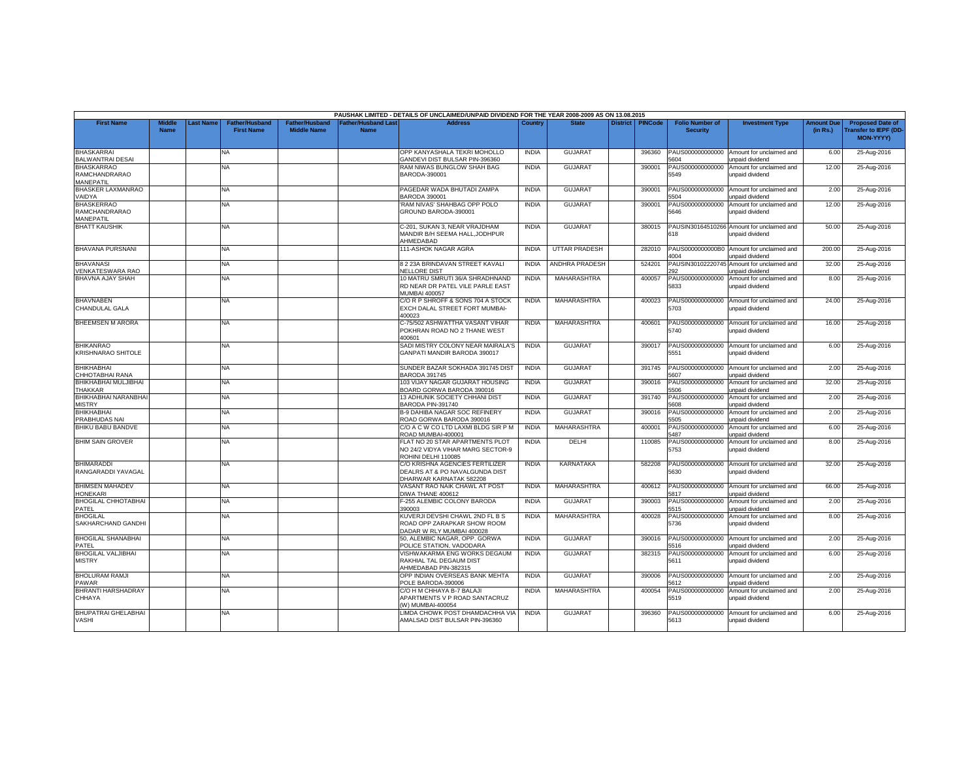|                                                        |                       |                 |                                            |                                             |                                          | PAUSHAK LIMITED - DETAILS OF UNCLAIMED/UNPAID DIVIDEND FOR THE YEAR 2008-2009 AS ON 13.08.2015 |              |                      |                 |                |                                           |                                                               |                               |                                                                            |
|--------------------------------------------------------|-----------------------|-----------------|--------------------------------------------|---------------------------------------------|------------------------------------------|------------------------------------------------------------------------------------------------|--------------|----------------------|-----------------|----------------|-------------------------------------------|---------------------------------------------------------------|-------------------------------|----------------------------------------------------------------------------|
| <b>First Name</b>                                      | Middle<br><b>Name</b> | <b>ast Name</b> | <b>Father/Husband</b><br><b>First Name</b> | <b>Father/Husband</b><br><b>Middle Name</b> | <b>Father/Husband Las</b><br><b>Name</b> | <b>Address</b>                                                                                 | Country      | <b>State</b>         | <b>District</b> | <b>PINCode</b> | <b>Folio Number of</b><br><b>Security</b> | <b>Investment Type</b>                                        | <b>Amount Due</b><br>(in Rs.) | <b>Proposed Date of</b><br><b>Transfer to IEPF (DD</b><br><b>MON-YYYY)</b> |
| <b>BHASKARRAI</b><br><b>BALWANTRAI DESAI</b>           |                       |                 | NA                                         |                                             |                                          | OPP KANYASHALA TEKRI MOHOLLO<br>GANDEVI DIST BULSAR PIN-396360                                 | <b>INDIA</b> | <b>GUJARAT</b>       |                 | 396360         | PAUS000000000000<br>604                   | Amount for unclaimed and<br><b>Inpaid dividend</b>            | 6.00                          | 25-Aug-2016                                                                |
| <b>BHASKARRAO</b><br><b>RAMCHANDRARAO</b><br>MANEPATIL |                       |                 | NA.                                        |                                             |                                          | RAM NIWAS BUNGLOW SHAH BAG<br>BARODA-390001                                                    | <b>INDIA</b> | <b>GUJARAT</b>       |                 | 390001         | PAUS000000000000<br>5549                  | Amount for unclaimed and<br>unpaid dividend                   | 12.00                         | 25-Aug-2016                                                                |
| <b>BHASKER LAXMANRAO</b><br>VAIDYA                     |                       |                 | <b>NA</b>                                  |                                             |                                          | PAGEDAR WADA BHUTADI ZAMPA<br><b>BARODA 390001</b>                                             | <b>INDIA</b> | <b>GUJARAT</b>       |                 | 390001         | PAUS000000000000<br>5504                  | Amount for unclaimed and<br>unpaid dividend                   | 2.00                          | 25-Aug-2016                                                                |
| <b>BHASKERRAO</b><br>RAMCHANDRARAO<br>MANEPATIL        |                       |                 | <b>NA</b>                                  |                                             |                                          | RAM NIVAS' SHAHBAG OPP POLO<br>GROUND BARODA-390001                                            | <b>INDIA</b> | <b>GUJARAT</b>       |                 | 390001         | PAUS000000000000<br>5646                  | Amount for unclaimed and<br>unpaid dividend                   | 12.00                         | 25-Aug-2016                                                                |
| <b>BHATT KAUSHIK</b>                                   |                       |                 | <b>NA</b>                                  |                                             |                                          | C-201, SUKAN 3, NEAR VRAJDHAM<br>MANDIR B/H SEEMA HALL.JODHPUR<br>AHMEDABAD                    | <b>INDIA</b> | <b>GUJARA1</b>       |                 | 380015         | 618                                       | PAUSIN30164510266 Amount for unclaimed and<br>unpaid dividend | 50.00                         | 25-Aug-2016                                                                |
| <b>BHAVANA PURSNANI</b>                                |                       |                 | NA.                                        |                                             |                                          | 111-ASHOK NAGAR AGRA                                                                           | <b>INDIA</b> | <b>UTTAR PRADESH</b> |                 | 282010         | PAUS0000000000B0<br>1004                  | Amount for unclaimed and<br>unpaid dividend                   | 200.00                        | 25-Aug-2016                                                                |
| <b>BHAVANASI</b><br>VENKATESWARA RAO                   |                       |                 | <b>NA</b>                                  |                                             |                                          | 8 2 23A BRINDAVAN STREET KAVALI<br><b>VELLORE DIST</b>                                         | <b>INDIA</b> | ANDHRA PRADESH       |                 | 524201         | PAUSIN3010222074<br>92                    | Amount for unclaimed and<br>unpaid dividend                   | 32.00                         | 25-Aug-2016                                                                |
| BHAVNA AJAY SHAH                                       |                       |                 | NA                                         |                                             |                                          | 10 MATRU SMRUTI 36/A SHRADHNAND<br>RD NEAR DR PATEL VILE PARLE EAST<br>MUMBAI 400057           | <b>INDIA</b> | MAHARASHTRA          |                 | 400057         | PAUS000000000000<br>5833                  | Amount for unclaimed and<br>unpaid dividend                   | 8.00                          | 25-Aug-2016                                                                |
| <b>BHAVNABEN</b><br>CHANDULAL GALA                     |                       |                 | NA                                         |                                             |                                          | C/O R P SHROFF & SONS 704 A STOCK<br>EXCH DALAL STREET FORT MUMBAI-<br>400023                  | <b>INDIA</b> | MAHARASHTRA          |                 | 400023         | PAUS000000000000<br>5703                  | Amount for unclaimed and<br>unpaid dividend                   | 24.00                         | 25-Aug-2016                                                                |
| <b>BHEEMSEN M ARORA</b>                                |                       |                 | <b>NA</b>                                  |                                             |                                          | C-75/502 ASHWATTHA VASANT VIHAR<br>POKHRAN ROAD NO 2 THANE WEST<br>400601                      | <b>INDIA</b> | MAHARASHTRA          |                 | 400601         | 5740                                      | PAUS000000000000 Amount for unclaimed and<br>unpaid dividend  | 16.00                         | 25-Aug-2016                                                                |
| <b>BHIKANRAO</b><br><b>KRISHNARAO SHITOLE</b>          |                       |                 | NA                                         |                                             |                                          | SADI MISTRY COLONY NEAR MAIRALA'S<br>GANPATI MANDIR BARODA 390017                              | <b>INDIA</b> | <b>GUJARAT</b>       |                 | 390017         | PAUS000000000000<br>5551                  | Amount for unclaimed and<br>unpaid dividend                   | 6.00                          | 25-Aug-2016                                                                |
| <b>BHIKHABHAI</b><br>CHHOTABHAI RANA                   |                       |                 | <b>NA</b>                                  |                                             |                                          | SUNDER BAZAR SOKHADA 391745 DIST<br><b>BARODA 391745</b>                                       | <b>INDIA</b> | <b>GUJARAT</b>       |                 | 391745         | PAUS000000000000<br>607                   | Amount for unclaimed and<br>unpaid dividend                   | 2.00                          | 25-Aug-2016                                                                |
| BHIKHABHAI MULJIBHAI<br>THAKKAR                        |                       |                 | NA                                         |                                             |                                          | 103 VIJAY NAGAR GUJARAT HOUSING<br>BOARD GORWA BARODA 390016                                   | <b>INDIA</b> | <b>GUJARAT</b>       |                 | 390016         | PAUS000000000000<br>5506                  | Amount for unclaimed and<br>unpaid dividend                   | 32.00                         | 25-Aug-2016                                                                |
| BHIKHABHAI NARANBHAI<br><b>MISTRY</b>                  |                       |                 | NA                                         |                                             |                                          | 13 ADHUNIK SOCIETY CHHANI DIST<br>BARODA PIN-391740                                            | <b>INDIA</b> | <b>GUJARAT</b>       |                 | 391740         | PAUS000000000000<br>5608                  | Amount for unclaimed and<br>unpaid dividend                   | 2.00                          | 25-Aug-2016                                                                |
| <b>BHIKHABHAI</b><br>PRABHUDAS NAI                     |                       |                 | <b>NA</b>                                  |                                             |                                          | B-9 DAHIBA NAGAR SOC REFINERY<br>ROAD GORWA BARODA 390016                                      | <b>INDIA</b> | <b>GUJARAT</b>       |                 | 390016         | PAUS000000000000<br>505                   | Amount for unclaimed and<br>unpaid dividend                   | 2.00                          | 25-Aug-2016                                                                |
| <b>BHIKU BABU BANDVE</b>                               |                       |                 | <b>NA</b>                                  |                                             |                                          | C/O A C W CO LTD LAXMI BLDG SIR P M<br>ROAD MUMBAI-400001                                      | <b>INDIA</b> | MAHARASHTRA          |                 | 400001         | PAUS000000000000<br>487                   | Amount for unclaimed and<br>unpaid dividend                   | 6.00                          | 25-Aug-2016                                                                |
| <b>BHIM SAIN GROVER</b>                                |                       |                 | NA                                         |                                             |                                          | FLAT NO 20 STAR APARTMENTS PLOT<br>NO 24/2 VIDYA VIHAR MARG SECTOR-9<br>ROHINI DELHI 110085    | <b>INDIA</b> | DELHI                |                 | 110085         | PAUS000000000000<br>5753                  | Amount for unclaimed and<br>unpaid dividend                   | 8.00                          | 25-Aug-2016                                                                |
| <b>BHIMARADDI</b><br>RANGARADDI YAVAGAL                |                       |                 | NA                                         |                                             |                                          | C/O KRISHNA AGENCIES FERTILIZER<br>DEALRS AT & PO NAVALGUNDA DIST<br>DHARWAR KARNATAK 582208   | <b>INDIA</b> | KARNATAKA            |                 | 582208         | PAUS000000000000<br>5630                  | Amount for unclaimed and<br>unpaid dividend                   | 32.00                         | 25-Aug-2016                                                                |
| <b>BHIMSEN MAHADEV</b><br>HONEKARI                     |                       |                 | <b>NA</b>                                  |                                             |                                          | VASANT RAO NAIK CHAWL AT POST<br>DIWA THANE 400612                                             | <b>INDIA</b> | MAHARASHTRA          |                 | 400612         | PAUS000000000000<br>5817                  | Amount for unclaimed and<br>unpaid dividend                   | 66.00                         | 25-Aug-2016                                                                |
| <b>BHOGILAL CHHOTABHAI</b><br>PATEL                    |                       |                 | <b>NA</b>                                  |                                             |                                          | F-255 ALEMBIC COLONY BARODA<br>390003                                                          | <b>INDIA</b> | GUJARAT              |                 | 390003         | PAUS000000000000<br>5515                  | Amount for unclaimed and<br>unpaid dividend                   | 2.00                          | 25-Aug-2016                                                                |
| <b>BHOGILAL</b><br>SAKHARCHAND GANDHI                  |                       |                 | NA.                                        |                                             |                                          | KUVERJI DEVSHI CHAWL 2ND FL B S<br>ROAD OPP ZARAPKAR SHOW ROOM<br>DADAR W RLY MUMBAI 400028    | <b>INDIA</b> | MAHARASHTRA          |                 | 400028         | PAUS000000000000<br>5736                  | Amount for unclaimed and<br>unpaid dividend                   | 8.00                          | 25-Aug-2016                                                                |
| <b>BHOGILAL SHANABHAI</b><br>PATEL                     |                       |                 | NA.                                        |                                             |                                          | 50. ALEMBIC NAGAR, OPP, GORWA<br>POLICE STATION, VADODARA                                      | <b>INDIA</b> | <b>GUJARAT</b>       |                 | 390016         | PAUS000000000000<br>5516                  | Amount for unclaimed and<br>unpaid dividend                   | 2.00                          | 25-Aug-2016                                                                |
| <b>BHOGILAL VALJIBHAI</b><br><b>MISTRY</b>             |                       |                 | <b>NA</b>                                  |                                             |                                          | VISHWAKARMA ENG WORKS DEGAUM<br>RAKHIAL TAL DEGAUM DIST<br>AHMEDABAD PIN-382315                | <b>INDIA</b> | <b>GUJARAT</b>       |                 | 382315         | PAUS000000000000<br>5611                  | Amount for unclaimed and<br>unpaid dividend                   | 6.00                          | 25-Aug-2016                                                                |
| <b>BHOLURAM RAMJI</b><br><b>PAWAR</b>                  |                       |                 | NA                                         |                                             |                                          | OPP INDIAN OVERSEAS BANK MEHTA<br>POLE BARODA-390006                                           | <b>INDIA</b> | <b>GUJARAT</b>       |                 | 390006         | PAUS000000000000<br>5612                  | Amount for unclaimed and<br><b>Inpaid dividend</b>            | 2.00                          | 25-Aug-2016                                                                |
| <b>BHRANTI HARSHADRAY</b><br>CHHAYA                    |                       |                 | NA.                                        |                                             |                                          | C/O H M CHHAYA B-7 BALAJI<br>APARTMENTS V P ROAD SANTACRUZ<br>W) MUMBAI-400054                 | <b>INDIA</b> | MAHARASHTRA          |                 | 400054         | PAUS000000000000<br>5519                  | Amount for unclaimed and<br>unpaid dividend                   | 2.00                          | 25-Aug-2016                                                                |
| <b>BHUPATRAI GHELABHAI</b><br>VASHI                    |                       |                 | <b>NA</b>                                  |                                             |                                          | LIMDA CHOWK POST DHAMDACHHA VIA<br>AMALSAD DIST BULSAR PIN-396360                              | <b>INDIA</b> | <b>GUJARAT</b>       |                 | 396360         | PAUS000000000000<br>5613                  | Amount for unclaimed and<br>unpaid dividend                   | 6.00                          | 25-Aug-2016                                                                |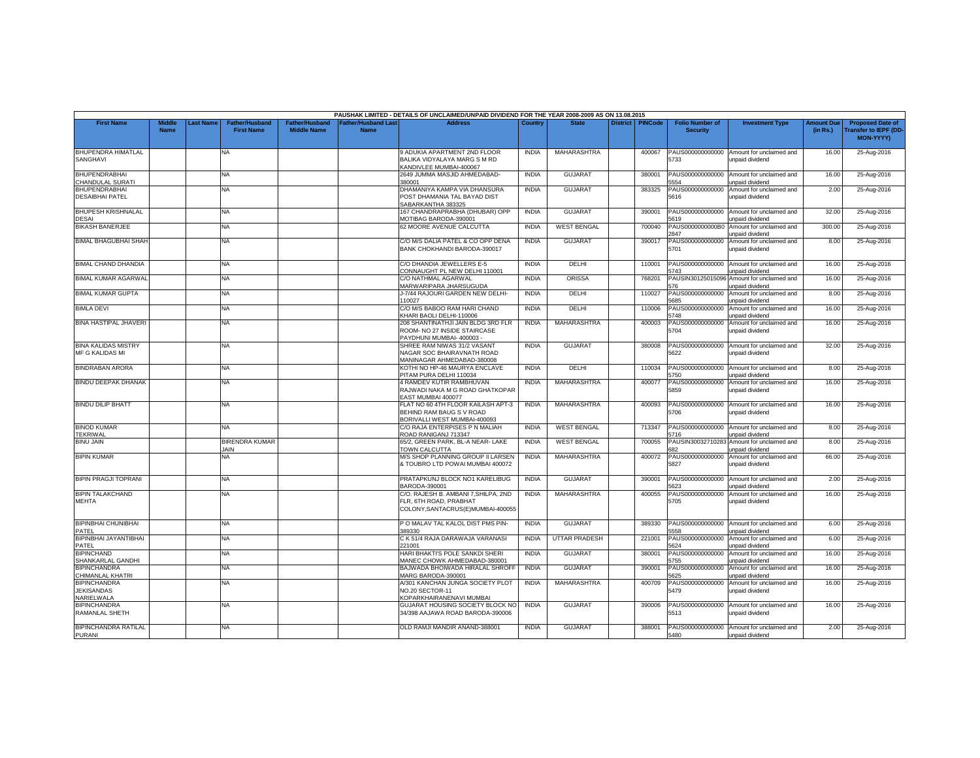|                                                        |                              |                 |                                            |                                             |                                   | PAUSHAK LIMITED - DETAILS OF UNCLAIMED/UNPAID DIVIDEND FOR THE YEAR 2008-2009 AS ON 13.08.2015       |              |                      |                 |                |                                           |                                                              |                               |                                                                            |
|--------------------------------------------------------|------------------------------|-----------------|--------------------------------------------|---------------------------------------------|-----------------------------------|------------------------------------------------------------------------------------------------------|--------------|----------------------|-----------------|----------------|-------------------------------------------|--------------------------------------------------------------|-------------------------------|----------------------------------------------------------------------------|
| <b>First Name</b>                                      | <b>Middle</b><br><b>Name</b> | <b>ast Name</b> | <b>Father/Husband</b><br><b>First Name</b> | <b>Father/Husband</b><br><b>Middle Name</b> | <b>Father/Husband Las</b><br>Name | <b>Address</b>                                                                                       | Country      | <b>State</b>         | <b>District</b> | <b>PINCode</b> | <b>Folio Number of</b><br><b>Security</b> | <b>Investment Type</b>                                       | <b>Amount Due</b><br>(in Rs.) | <b>Proposed Date of</b><br><b>Transfer to IEPF (DD</b><br><b>MON-YYYY)</b> |
| <b>BHUPENDRA HIMATLAL</b><br><b>SANGHAVI</b>           |                              |                 | <b>NA</b>                                  |                                             |                                   | 9 ADUKIA APARTMENT 2ND FLOOR<br>BALIKA VIDYALAYA MARG S M RD<br>KANDIVLEE MUMBAI-400067              | <b>INDIA</b> | MAHARASHTRA          |                 | 400067         | PAUS000000000000<br>5733                  | Amount for unclaimed and<br>unpaid dividend                  | 16.00                         | 25-Aug-2016                                                                |
| <b>BHUPENDRABHAI</b><br>CHANDULAL SURATI               |                              |                 | NA                                         |                                             |                                   | 2649 JUMMA MASJID AHMEDABAD-<br>380001                                                               | <b>INDIA</b> | <b>GUJARAT</b>       |                 | 380001         | PAUS000000000000<br>554                   | Amount for unclaimed and<br><b>Inpaid dividend</b>           | 16.00                         | 25-Aug-2016                                                                |
| <b>BHUPENDRABHAI</b><br><b>DESAIBHAI PATEL</b>         |                              |                 | <b>NA</b>                                  |                                             |                                   | DHAMANIYA KAMPA VIA DHANSURA<br>POST DHAMANIA TAL BAYAD DIST<br>SABARKANTHA 383325                   | <b>INDIA</b> | <b>GUJARAT</b>       |                 | 383325         | PAUS000000000000<br>5616                  | Amount for unclaimed and<br>unpaid dividend                  | 2.00                          | 25-Aug-2016                                                                |
| <b>BHUPESH KRISHNALAL</b><br><b>DESAI</b>              |                              |                 | <b>NA</b>                                  |                                             |                                   | 167 CHANDRAPRABHA (DHUBAR) OPP<br><b>MOTIBAG BARODA-390001</b>                                       | <b>INDIA</b> | <b>GUJARAT</b>       |                 | 390001         | PAUS000000000000<br>5619                  | Amount for unclaimed and<br>unpaid dividend                  | 32.00                         | 25-Aug-2016                                                                |
| <b>BIKASH BANERJEE</b>                                 |                              |                 | NA.                                        |                                             |                                   | 62 MOORE AVENUE CALCUTTA                                                                             | <b>INDIA</b> | <b>WEST BENGAL</b>   |                 | 700040         | PAUS0000000000B0<br>2847                  | Amount for unclaimed and<br>unpaid dividend                  | 300.00                        | 25-Aug-2016                                                                |
| <b>BIMAL BHAGUBHAI SHAH</b>                            |                              |                 | NA.                                        |                                             |                                   | C/O M/S DALIA PATEL & CO OPP DENA<br>BANK CHOKHANDI BARODA-390017                                    | <b>INDIA</b> | <b>GUJARAT</b>       |                 | 390017         | PAUS000000000000<br>5701                  | Amount for unclaimed and<br>unpaid dividend                  | 8.00                          | 25-Aug-2016                                                                |
| <b>BIMAL CHAND DHANDIA</b>                             |                              |                 | <b>NA</b>                                  |                                             |                                   | C/O DHANDIA JEWELLERS E-5<br>CONNAUGHT PL NEW DELHI 110001                                           | <b>INDIA</b> | DELHI                |                 | 110001         | PAUS000000000000<br>5743                  | Amount for unclaimed and<br>unpaid dividend                  | 16.00                         | 25-Aug-2016                                                                |
| <b>BIMAL KUMAR AGARWAL</b>                             |                              |                 | <b>NA</b>                                  |                                             |                                   | C/O NATHMAL AGARWAL<br>MARWARIPARA JHARSUGUDA                                                        | <b>INDIA</b> | <b>ORISSA</b>        |                 | 768201         | PAUSIN30125015096<br>576                  | Amount for unclaimed and<br>unpaid dividend                  | 16.00                         | 25-Aug-2016                                                                |
| <b>BIMAL KUMAR GUPTA</b>                               |                              |                 | NA                                         |                                             |                                   | J-7/44 RAJOURI GARDEN NEW DELHI-<br>110027                                                           | <b>INDIA</b> | DELHI                |                 | 110027         | PAUS000000000000<br>5685                  | Amount for unclaimed and<br>unpaid dividend                  | 8.00                          | 25-Aug-2016                                                                |
| <b>BIMLA DEVI</b>                                      |                              |                 | NA                                         |                                             |                                   | C/O M/S BABOO RAM HARI CHAND<br>KHARI BAOLI DELHI-110006                                             | <b>INDIA</b> | DELHI                |                 | 110006         | PAUS000000000000<br>748                   | Amount for unclaimed and<br><b>Inpaid dividend</b>           | 16.00                         | 25-Aug-2016                                                                |
| <b>BINA HASTIPAL JHAVERI</b>                           |                              |                 | <b>NA</b>                                  |                                             |                                   | 208 SHANTINATHJI JAIN BLDG 3RD FLR<br>ROOM- NO 27 INSIDE STAIRCASE<br>PAYDHUNI MUMBAI-400003 -       | <b>INDIA</b> | MAHARASHTRA          |                 | 400003         | PAUS000000000000<br>5704                  | Amount for unclaimed and<br>unpaid dividend                  | 16.00                         | 25-Aug-2016                                                                |
| <b>BINA KALIDAS MISTRY</b><br><b>MF G KALIDAS MI</b>   |                              |                 | <b>NA</b>                                  |                                             |                                   | SHREE RAM NIWAS 31/2 VASANT<br>NAGAR SOC BHAIRAVNATH ROAD<br>MANINAGAR AHMEDABAD-380008              | <b>INDIA</b> | GUJARAT              |                 | 380008         | PAUS000000000000<br>5622                  | Amount for unclaimed and<br>unpaid dividend                  | 32.00                         | 25-Aug-2016                                                                |
| <b>BINDRABAN ARORA</b>                                 |                              |                 | NA.                                        |                                             |                                   | KOTHI NO HP-46 MAURYA ENCLAVE<br>PITAM PURA DELHI 110034                                             | <b>INDIA</b> | DELHI                |                 | 110034         | PAUS000000000000<br>5750                  | Amount for unclaimed and<br>unpaid dividend                  | 8.00                          | 25-Aug-2016                                                                |
| <b>BINDU DEEPAK DHANAK</b>                             |                              |                 | <b>NA</b>                                  |                                             |                                   | 4 RAMDEV KUTIR RAMBHUVAN<br>RAJWADI NAKA M G ROAD GHATKOPAR<br>EAST MUMBAI 400077                    | <b>INDIA</b> | MAHARASHTRA          |                 | 400077         | PAUS000000000000<br>5859                  | Amount for unclaimed and<br>unpaid dividend                  | 16.00                         | 25-Aug-2016                                                                |
| <b>BINDU DILIP BHATT</b>                               |                              |                 | <b>NA</b>                                  |                                             |                                   | FLAT NO 60 4TH FLOOR KAILASH APT-3<br>BEHIND RAM BAUG S V ROAD<br>BORIVALLI WEST MUMBAI-400093       | <b>INDIA</b> | MAHARASHTRA          |                 | 400093         | PAUS000000000000<br>5706                  | Amount for unclaimed and<br>unpaid dividend                  | 16.00                         | 25-Aug-2016                                                                |
| <b>BINOD KUMAR</b><br>TEKRIWAL                         |                              |                 | NA                                         |                                             |                                   | C/O RAJA ENTERPISES P N MALIAH<br>ROAD RANIGANJ 713347                                               | <b>INDIA</b> | <b>WEST BENGAL</b>   |                 | 713347         | PAUS000000000000<br>5716                  | Amount for unclaimed and<br>unpaid dividend                  | 8.00                          | 25-Aug-2016                                                                |
| <b>BINU JAIN</b>                                       |                              |                 | <b>BIRENDRA KUMAR</b><br><b>JAIN</b>       |                                             |                                   | 65/2, GREEN PARK, BL-A NEAR- LAKE<br>TOWN CALCUTTA                                                   | <b>INDIA</b> | <b>WEST BENGAL</b>   |                 | 700055         | PAUSIN3003271028<br>82                    | Amount for unclaimed and<br><b>Inpaid dividend</b>           | 8.00                          | 25-Aug-2016                                                                |
| <b>BIPIN KUMAR</b>                                     |                              |                 | NA                                         |                                             |                                   | M/S SHOP PLANNING GROUP II LARSEN<br>& TOUBRO LTD POWAI MUMBAI 400072                                | <b>INDIA</b> | MAHARASHTRA          |                 | 400072         | PAUS000000000000<br>5827                  | Amount for unclaimed and<br>unpaid dividend                  | 66.00                         | 25-Aug-2016                                                                |
| <b>BIPIN PRAGJI TOPRANI</b>                            |                              |                 | <b>NA</b>                                  |                                             |                                   | PRATAPKUNJ BLOCK NO1 KARELIBUG<br>BARODA-390001                                                      | <b>INDIA</b> | <b>GUJARAT</b>       |                 | 390001         | PAUS000000000000<br>623                   | Amount for unclaimed and<br>unpaid dividend                  | 2.00                          | 25-Aug-2016                                                                |
| <b>BIPIN TALAKCHAND</b><br><b>MEHTA</b>                |                              |                 | NA.                                        |                                             |                                   | C/O. RAJESH B. AMBANI 7, SHILPA, 2ND<br>FLR, 6TH ROAD, PRABHAT<br>COLONY, SANTACRUS(E) MUMBAI-400055 | <b>INDIA</b> | MAHARASHTRA          |                 | 400055         | PAUS000000000000<br>5705                  | Amount for unclaimed and<br>unpaid dividend                  | 16.00                         | 25-Aug-2016                                                                |
| <b>BIPINBHAI CHUNIBHAI</b><br>PATEL                    |                              |                 | <b>NA</b>                                  |                                             |                                   | P O MALAV TAL KALOL DIST PMS PIN-<br>389330                                                          | <b>INDIA</b> | <b>GUJARAT</b>       |                 | 389330         | PAUS000000000000<br>558                   | Amount for unclaimed and<br>unpaid dividend                  | 6.00                          | 25-Aug-2016                                                                |
| <b>BIPINBHAI JAYANTIBHAI</b><br>PATEL                  |                              |                 | <b>NA</b>                                  |                                             |                                   | C K 51/4 RAJA DARAWAJA VARANASI<br>221001                                                            | <b>INDIA</b> | <b>UTTAR PRADESH</b> |                 | 221001         | PAUS000000000000<br>5624                  | Amount for unclaimed and<br>unpaid dividend                  | 6.00                          | 25-Aug-2016                                                                |
| <b>BIPINCHAND</b><br>SHANKARLAL GANDHI                 |                              |                 | <b>NA</b>                                  |                                             |                                   | HARI BHAKTI'S POLE SANKDI SHERI<br>MANEC CHOWK AHMEDABAD-380001                                      | <b>INDIA</b> | GUJARAT              |                 | 380001         | PAUS00000000000<br>5755                   | Amount for unclaimed and<br>unpaid dividend                  | 16.00                         | 25-Aug-2016                                                                |
| <b>BIPINCHANDRA</b><br>CHIMANLAL KHATRI                |                              |                 | NA                                         |                                             |                                   | BAJWADA BHOIWADA HIRALAL SHROFI<br>MARG BARODA-390001                                                | <b>INDIA</b> | <b>GUJARAT</b>       |                 | 390001         | PAUS000000000000<br>5625                  | Amount for unclaimed and<br>unpaid dividend                  | 16.00                         | 25-Aug-2016                                                                |
| <b>BIPINCHANDRA</b><br><b>JEKISANDAS</b><br>NARIELWALA |                              |                 | <b>NA</b>                                  |                                             |                                   | A/301 KANCHAN JUNGA SOCIETY PLOT<br>NO.20 SECTOR-11<br><b>COPARKHAIRANENAVI MUMBAI</b>               | <b>INDIA</b> | MAHARASHTRA          |                 | 400709         | PAUS000000000000<br>5479                  | Amount for unclaimed and<br>unpaid dividend                  | 16.00                         | 25-Aug-2016                                                                |
| <b>BIPINCHANDRA</b><br>RAMANLAL SHETH                  |                              |                 | <b>NA</b>                                  |                                             |                                   | GUJARAT HOUSING SOCIETY BLOCK NO<br>34/398 AAJAWA ROAD BARODA-390006                                 | <b>INDIA</b> | <b>GUJARAT</b>       |                 | 390006         | PAUS000000000000<br>5513                  | Amount for unclaimed and<br>unpaid dividend                  | 16.00                         | 25-Aug-2016                                                                |
| <b>BIPINCHANDRA RATILAL</b><br><b>PURANI</b>           |                              |                 | NA.                                        |                                             |                                   | OLD RAMJI MANDIR ANAND-388001                                                                        | <b>INDIA</b> | <b>GUJARAT</b>       |                 | 388001         | 5480                                      | PAUS000000000000 Amount for unclaimed and<br>unpaid dividend | 2.00                          | 25-Aug-2016                                                                |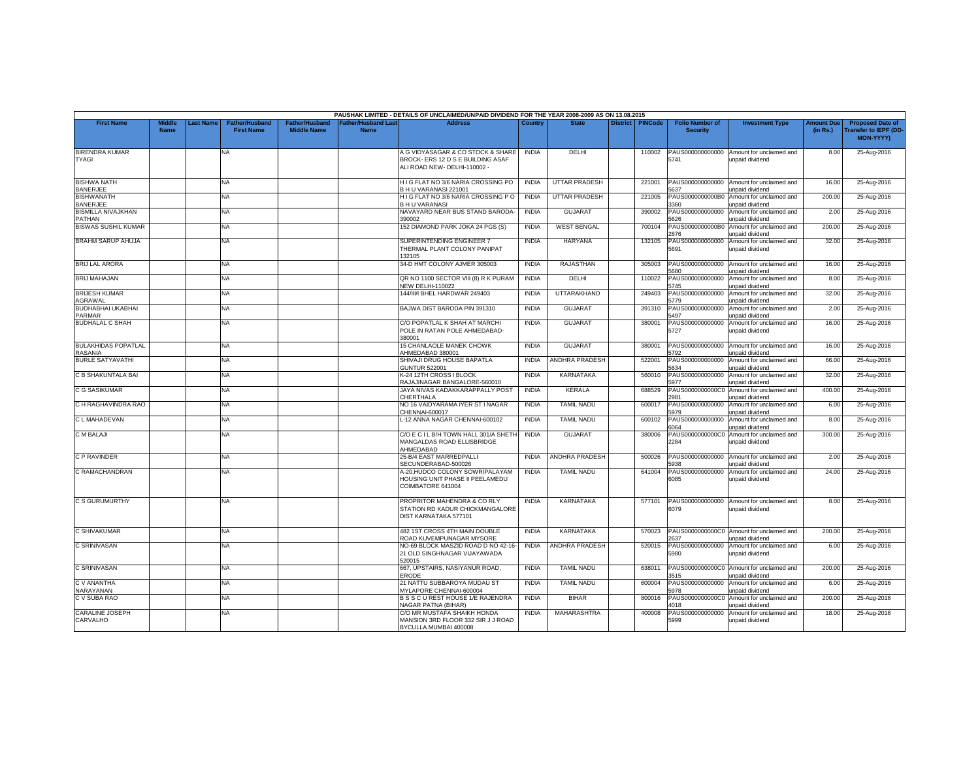|                                              |                              |                  |                                            |                                             |                                           | PAUSHAK LIMITED - DETAILS OF UNCLAIMED/UNPAID DIVIDEND FOR THE YEAR 2008-2009 AS ON 13.08.2015         |              |                       |                 |                |                                           |                                                              |                               |                                                                     |
|----------------------------------------------|------------------------------|------------------|--------------------------------------------|---------------------------------------------|-------------------------------------------|--------------------------------------------------------------------------------------------------------|--------------|-----------------------|-----------------|----------------|-------------------------------------------|--------------------------------------------------------------|-------------------------------|---------------------------------------------------------------------|
| <b>First Name</b>                            | <b>Middle</b><br><b>Name</b> | <b>Last Name</b> | <b>Father/Husband</b><br><b>First Name</b> | <b>Father/Husband</b><br><b>Middle Name</b> | <b>Father/Husband Last</b><br><b>Name</b> | <b>Address</b>                                                                                         | Country      | <b>State</b>          | <b>District</b> | <b>PINCode</b> | <b>Folio Number of</b><br><b>Security</b> | <b>Investment Type</b>                                       | <b>Amount Due</b><br>(in Rs.) | <b>Proposed Date of</b><br>ransfer to IEPF (DD-<br><b>MON-YYYY)</b> |
| <b>BIRENDRA KUMAR</b><br><b>TYAGI</b>        |                              |                  | <b>NA</b>                                  |                                             |                                           | A G VIDYASAGAR & CO STOCK & SHARE<br>BROCK- ERS 12 D S E BUILDING ASAF<br>ALI ROAD NEW- DELHI-110002 - | <b>INDIA</b> | DELHI                 |                 | 110002         | PAUS000000000000<br>5741                  | Amount for unclaimed and<br>unpaid dividend                  | 8.00                          | 25-Aug-2016                                                         |
| <b>BISHWA NATH</b><br><b>BANERJEE</b>        |                              |                  | NA                                         |                                             |                                           | HIG FLAT NO 3/6 NARIA CROSSING PO<br>B H U VARANASI 221001                                             | <b>INDIA</b> | <b>UTTAR PRADESH</b>  |                 | 221001         | 637                                       | PAUS000000000000 Amount for unclaimed and<br>unpaid dividend | 16.00                         | 25-Aug-2016                                                         |
| <b>BISHWANATH</b><br><b>BANERJEE</b>         |                              |                  | <b>NA</b>                                  |                                             |                                           | H I G FLAT NO 3/6 NARIA CROSSING P O<br><b>BHU VARANASI</b>                                            | <b>INDIA</b> | UTTAR PRADESH         |                 | 221005         | 360                                       | PAUS0000000000B0 Amount for unclaimed and<br>unpaid dividend | 200.00                        | 25-Aug-2016                                                         |
| <b>BISMILLA NIVAJKHAN</b><br>PATHAN          |                              |                  | <b>NA</b>                                  |                                             |                                           | NAVAYARD NEAR BUS STAND BARODA-<br>390002                                                              | <b>INDIA</b> | <b>GUJARAT</b>        |                 | 390002         | 626                                       | PAUS000000000000 Amount for unclaimed and<br>unpaid dividend | 2.00                          | 25-Aug-2016                                                         |
| <b>BISWAS SUSHIL KUMAR</b>                   |                              |                  | <b>NA</b>                                  |                                             |                                           | 152 DIAMOND PARK JOKA 24 PGS (S)                                                                       | <b>INDIA</b> | <b>WEST BENGAL</b>    |                 | 700104         | 2876                                      | PAUS0000000000B0 Amount for unclaimed and<br>unpaid dividend | 200.00                        | 25-Aug-2016                                                         |
| <b>BRAHM SARUP AHUJA</b>                     |                              |                  | NA                                         |                                             |                                           | SUPERINTENDING ENGINEER 7<br>THERMAL PLANT COLONY PANIPAT<br>132105                                    | <b>INDIA</b> | HARYANA               |                 | 132105         | PAUS000000000000<br>5691                  | Amount for unclaimed and<br>unpaid dividend                  | 32.00                         | 25-Aug-2016                                                         |
| <b>BRIJ LAL ARORA</b>                        |                              |                  | NA.                                        |                                             |                                           | 34-D HMT COLONY AJMER 305003                                                                           | <b>INDIA</b> | RAJASTHAN             |                 | 305003         | PAUS000000000000<br>680                   | Amount for unclaimed and<br>inpaid dividend                  | 16.00                         | 25-Aug-2016                                                         |
| <b>BRIJ MAHAJAN</b>                          |                              |                  | <b>NA</b>                                  |                                             |                                           | QR NO 1100 SECTOR VIII (8) R K PURAM<br><b>NEW DELHI-110022</b>                                        | <b>INDIA</b> | DELHI                 |                 | 110022         | PAUS000000000000<br>5745                  | Amount for unclaimed and<br>unpaid dividend                  | 8.00                          | 25-Aug-2016                                                         |
| <b>BRIJESH KUMAR</b><br>AGRAWAL              |                              |                  | NA                                         |                                             |                                           | 144/III/I BHEL HARDWAR 249403                                                                          | <b>INDIA</b> | <b>UTTARAKHAND</b>    |                 | 249403         | 5779                                      | PAUS000000000000 Amount for unclaimed and<br>unpaid dividend | 32.00                         | 25-Aug-2016                                                         |
| BUDHABHAI UKABHAI<br>PARMAR                  |                              |                  | NA.                                        |                                             |                                           | BAJWA DIST BARODA PIN 391310                                                                           | <b>INDIA</b> | <b>GUJARAT</b>        |                 | 391310         | PAUS000000000000<br>5497                  | Amount for unclaimed and<br>unpaid dividend                  | 2.00                          | 25-Aug-2016                                                         |
| <b>BUDHALAL C SHAH</b>                       |                              |                  | <b>NA</b>                                  |                                             |                                           | C/O POPATLAL K SHAH AT MARCHI<br>POLE IN RATAN POLE AHMEDABAD-<br>380001                               | <b>INDIA</b> | <b>GUJARAT</b>        |                 | 380001         | 5727                                      | PAUS000000000000 Amount for unclaimed and<br>unpaid dividend | 16.00                         | 25-Aug-2016                                                         |
| <b>BULAKHIDAS POPATLAL</b><br><b>RASANIA</b> |                              |                  | NA                                         |                                             |                                           | 15 CHANLAOLE MANEK CHOWK<br>AHMEDABAD 380001                                                           | <b>INDIA</b> | <b>GUJARAT</b>        |                 | 380001         | 5792                                      | PAUS000000000000 Amount for unclaimed and<br>unpaid dividend | 16.00                         | 25-Aug-2016                                                         |
| <b>BURLE SATYAVATHI</b>                      |                              |                  | <b>NA</b>                                  |                                             |                                           | SHIVAJI DRUG HOUSE BAPATLA<br><b>GUNTUR 522001</b>                                                     | <b>INDIA</b> | <b>ANDHRA PRADESH</b> |                 | 522001         | PAUS000000000000<br>5634                  | Amount for unclaimed and<br>unpaid dividend                  | 66.00                         | 25-Aug-2016                                                         |
| C B SHAKUNTALA BAI                           |                              |                  | NA                                         |                                             |                                           | K-24 12TH CROSS I BLOCK<br>RAJAJINAGAR BANGALORE-560010                                                | <b>INDIA</b> | KARNATAKA             |                 | 560010         | 5977                                      | PAUS000000000000 Amount for unclaimed and<br>unpaid dividend | 32.00                         | 25-Aug-2016                                                         |
| C G SASIKUMAR                                |                              |                  | NA.                                        |                                             |                                           | JAYA NIVAS KADAKKARAPPALLY POST<br>CHERTHALA                                                           | <b>INDIA</b> | <b>KERALA</b>         |                 | 688529         | PAUS0000000000C0<br>981                   | Amount for unclaimed and<br>unpaid dividend                  | 400.00                        | 25-Aug-2016                                                         |
| C H RAGHAVINDRA RAO                          |                              |                  | <b>NA</b>                                  |                                             |                                           | NO 16 VAIDYARAMA IYER ST I NAGAR<br>CHENNAI-600017                                                     | <b>INDIA</b> | <b>TAMIL NADU</b>     |                 | 600017         | PAUS000000000000<br>5979                  | Amount for unclaimed and<br>unpaid dividend                  | 6.00                          | 25-Aug-2016                                                         |
| C L MAHADEVAN                                |                              |                  | NA.                                        |                                             |                                           | L-12 ANNA NAGAR CHENNAI-600102                                                                         | <b>INDIA</b> | <b>TAMIL NADU</b>     |                 | 600102         | PAUS000000000000<br>6064                  | Amount for unclaimed and<br>unpaid dividend                  | 8.00                          | 25-Aug-2016                                                         |
| C M BALAJI                                   |                              |                  | <b>NA</b>                                  |                                             |                                           | C/O E C I L B/H TOWN HALL 301/A SHETH<br>MANGALDAS ROAD ELLISBRIDGE<br>AHMEDABAD                       | <b>INDIA</b> | <b>GUJARAT</b>        |                 | 380006         | 2284                                      | PAUS0000000000C0 Amount for unclaimed and<br>unpaid dividend | 300.00                        | 25-Aug-2016                                                         |
| C P RAVINDER                                 |                              |                  | NA.                                        |                                             |                                           | 25-B/4 EAST MARREDPALLI<br>SECUNDERABAD-500026                                                         | <b>INDIA</b> | <b>ANDHRA PRADESH</b> |                 | 500026         | 5938                                      | PAUS000000000000 Amount for unclaimed and<br>unpaid dividend | 2.00                          | 25-Aug-2016                                                         |
| C RAMACHANDRAN                               |                              |                  | NA.                                        |                                             |                                           | A-20,HUDCO COLONY SOWRIPALAYAM<br>HOUSING UNIT PHASE II PEELAMEDU<br>COIMBATORE 641004                 | <b>INDIA</b> | <b>TAMIL NADU</b>     |                 | 641004         | PAUS000000000000<br>6085                  | Amount for unclaimed and<br>unpaid dividend                  | 24.00                         | 25-Aug-2016                                                         |
| C S GURUMURTHY                               |                              |                  | NA                                         |                                             |                                           | PROPRITOR MAHENDRA & CO RLY<br>STATION RD KADUR CHICKMANGALORE<br>DIST KARNATAKA 577101                | <b>INDIA</b> | KARNATAKA             |                 | 577101         | 6079                                      | PAUS000000000000 Amount for unclaimed and<br>unpaid dividend | 8.00                          | 25-Aug-2016                                                         |
| C SHIVAKUMAR                                 |                              |                  | <b>NA</b>                                  |                                             |                                           | 482 1ST CROSS 4TH MAIN DOUBLE<br>ROAD KUVEMPUNAGAR MYSORE                                              | <b>INDIA</b> | KARNATAKA             |                 | 570023         | 2637                                      | PAUS0000000000C0 Amount for unclaimed and<br>unpaid dividend | 200.00                        | 25-Aug-2016                                                         |
| C SRINIVASAN                                 |                              |                  | <b>NA</b>                                  |                                             |                                           | NO-69 BLOCK MASZID ROAD D NO 42-16-<br>21 OLD SINGHNAGAR VIJAYAWADA<br>520015                          | <b>INDIA</b> | <b>ANDHRA PRADESH</b> |                 | 520015         | 5980                                      | PAUS000000000000 Amount for unclaimed and<br>unpaid dividend | 6.00                          | 25-Aug-2016                                                         |
| C SRINIVASAN                                 |                              |                  | <b>NA</b>                                  |                                             |                                           | 667, UPSTAIRS, NASIYANUR ROAD,<br>ERODE                                                                | <b>INDIA</b> | <b>TAMIL NADU</b>     |                 | 638011         | 3515                                      | PAUS0000000000C0 Amount for unclaimed and<br>unpaid dividend | 200.00                        | 25-Aug-2016                                                         |
| C V ANANTHA<br>VARAYANAN                     |                              |                  | NA                                         |                                             |                                           | 21 NATTU SUBBAROYA MUDAU ST<br>MYLAPORE CHENNAI-600004                                                 | <b>INDIA</b> | <b>TAMIL NADU</b>     |                 | 600004         | PAUS000000000000<br>978                   | Amount for unclaimed and<br>Inpaid dividend                  | 6.00                          | 25-Aug-2016                                                         |
| C V SUBA RAO                                 |                              |                  | <b>NA</b>                                  |                                             |                                           | <b>BSSCUREST HOUSE 1/E RAJENDRA</b><br><b>VAGAR PATNA (BIHAR)</b>                                      | <b>INDIA</b> | <b>BIHAR</b>          |                 | 800016         | PAUS0000000000C0<br>1018                  | Amount for unclaimed and<br>unpaid dividend                  | 200.00                        | 25-Aug-2016                                                         |
| <b>CARALINE JOSEPH</b><br>CARVALHO           |                              |                  | NA                                         |                                             |                                           | C/O MR MUSTAFA SHAIKH HONDA<br>MANSION 3RD FLOOR 332 SIR J J ROAD<br>BYCULLA MUMBAI 400008             | <b>INDIA</b> | MAHARASHTRA           |                 | 400008         | PAUS000000000000<br>5999                  | Amount for unclaimed and<br>unpaid dividend                  | 18.00                         | 25-Aug-2016                                                         |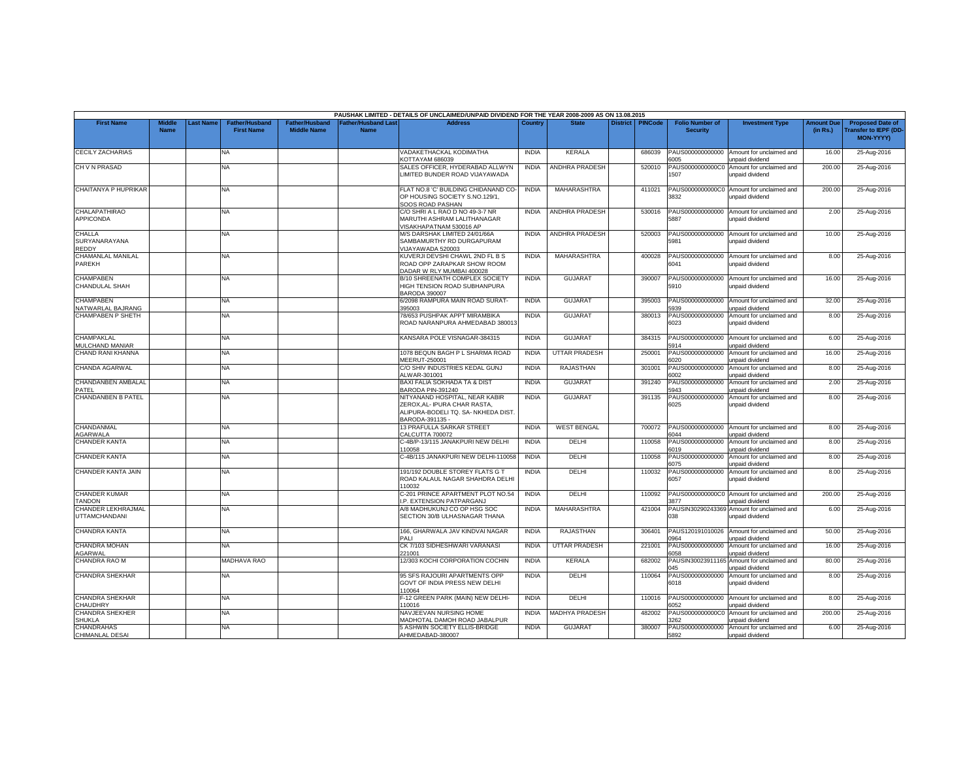|                                             |                              |                  |                                            |                                             |                                          | PAUSHAK LIMITED - DETAILS OF UNCLAIMED/UNPAID DIVIDEND FOR THE YEAR 2008-2009 AS ON 13.08.2015                           |              |                       |                 |                |                                           |                                                               |                               |                                                                    |
|---------------------------------------------|------------------------------|------------------|--------------------------------------------|---------------------------------------------|------------------------------------------|--------------------------------------------------------------------------------------------------------------------------|--------------|-----------------------|-----------------|----------------|-------------------------------------------|---------------------------------------------------------------|-------------------------------|--------------------------------------------------------------------|
| <b>First Name</b>                           | <b>Middle</b><br><b>Name</b> | <b>Last Name</b> | <b>Father/Husband</b><br><b>First Name</b> | <b>Father/Husband</b><br><b>Middle Name</b> | <b>Father/Husband Las</b><br><b>Name</b> | <b>Address</b>                                                                                                           | Country      | <b>State</b>          | <b>District</b> | <b>PINCode</b> | <b>Folio Number of</b><br><b>Security</b> | <b>Investment Type</b>                                        | <b>Amount Due</b><br>(in Rs.) | <b>Proposed Date of</b><br>ransfer to IEPF (DD<br><b>MON-YYYY)</b> |
| <b>CECILY ZACHARIAS</b>                     |                              |                  | <b>NA</b>                                  |                                             |                                          | VADAKETHACKAL KODIMATHA<br>KOTTAYAM 686039                                                                               | <b>INDIA</b> | <b>KERALA</b>         |                 | 686039         | PAUS000000000000<br>6005                  | Amount for unclaimed and<br>unpaid dividend                   | 16.00                         | 25-Aug-2016                                                        |
| CH V N PRASAD                               |                              |                  | NA                                         |                                             |                                          | SALES OFFICER, HYDERABAD ALLWYN<br>LIMITED BUNDER ROAD VIJAYAWADA                                                        | <b>INDIA</b> | ANDHRA PRADESH        |                 | 520010         | PAUS0000000000C0<br>507                   | Amount for unclaimed and<br>unpaid dividend                   | 200.00                        | 25-Aug-2016                                                        |
| CHAITANYA P HUPRIKAR                        |                              |                  | <b>NA</b>                                  |                                             |                                          | FLAT NO.8 'C' BUILDING CHIDANAND CO-<br>OP HOUSING SOCIETY S.NO.129/1<br>SOOS ROAD PASHAN                                | <b>INDIA</b> | MAHARASHTRA           |                 | 411021         | 3832                                      | PAUS0000000000C0 Amount for unclaimed and<br>unpaid dividend  | 200.00                        | 25-Aug-2016                                                        |
| <b>CHALAPATHIRAO</b><br>APPICONDA           |                              |                  | <b>NA</b>                                  |                                             |                                          | C/O SHRI A L RAO D NO 49-3-7 NR<br>MARUTHI ASHRAM LALITHANAGAR<br>VISAKHAPATNAM 530016 AP                                | <b>INDIA</b> | ANDHRA PRADESH        |                 | 530016         | PAUS000000000000<br>5887                  | Amount for unclaimed and<br>unpaid dividend                   | 2.00                          | 25-Aug-2016                                                        |
| CHALLA<br>SURYANARAYANA<br>REDDY            |                              |                  | <b>NA</b>                                  |                                             |                                          | M/S DARSHAK LIMITED 24/01/66A<br>SAMBAMURTHY RD DURGAPURAM<br>VIJAYAWADA 520003                                          | <b>INDIA</b> | <b>ANDHRA PRADESH</b> |                 | 520003         | 5981                                      | PAUS000000000000 Amount for unclaimed and<br>unpaid dividend  | 10.00                         | 25-Aug-2016                                                        |
| CHAMANLAL MANILAL<br>PAREKH                 |                              |                  | NA                                         |                                             |                                          | KUVERJI DEVSHI CHAWL 2ND FL B S<br>ROAD OPP ZARAPKAR SHOW ROOM<br>DADAR W RLY MUMBAI 400028                              | <b>INDIA</b> | MAHARASHTRA           |                 | 400028         | PAUS000000000000<br>6041                  | Amount for unclaimed and<br>unpaid dividend                   | 8.00                          | 25-Aug-2016                                                        |
| <b>CHAMPABEN</b><br>CHANDULAL SHAH          |                              |                  | <b>NA</b>                                  |                                             |                                          | B/10 SHREENATH COMPLEX SOCIETY<br>HIGH TENSION ROAD SUBHANPURA<br><b>BARODA 390007</b>                                   | <b>INDIA</b> | <b>GUJARAT</b>        |                 | 390007         | PAUS000000000000<br>5910                  | Amount for unclaimed and<br>unpaid dividend                   | 16.00                         | 25-Aug-2016                                                        |
| <b>CHAMPABEN</b><br>NATWARLAL BAJRANG       |                              |                  | <b>NA</b>                                  |                                             |                                          | 6/2098 RAMPURA MAIN ROAD SURAT-<br>395003                                                                                | <b>INDIA</b> | <b>GUJARAT</b>        |                 | 395003         | PAUS000000000000<br>939                   | Amount for unclaimed and<br>unpaid dividend                   | 32.00                         | 25-Aug-2016                                                        |
| <b>CHAMPABEN P SHETH</b>                    |                              |                  | <b>NA</b>                                  |                                             |                                          | 78/653 PUSHPAK APPT MIRAMBIKA<br>ROAD NARANPURA AHMEDABAD 380013                                                         | <b>INDIA</b> | <b>GUJARAT</b>        |                 | 380013         | PAUS000000000000<br>6023                  | Amount for unclaimed and<br>unpaid dividend                   | 8.00                          | 25-Aug-2016                                                        |
| CHAMPAKLAL<br>MULCHAND MANIAR               |                              |                  | NA                                         |                                             |                                          | KANSARA POLE VISNAGAR-384315                                                                                             | <b>INDIA</b> | <b>GUJARAT</b>        |                 | 384315         | PAUS000000000000<br>914                   | Amount for unclaimed and<br>unpaid dividend                   | 6.00                          | 25-Aug-2016                                                        |
| CHAND RANI KHANNA                           |                              |                  | <b>NA</b>                                  |                                             |                                          | 1078 BEQUN BAGH P L SHARMA ROAD<br>MEERUT-250001                                                                         | <b>INDIA</b> | <b>UTTAR PRADESH</b>  |                 | 250001         | PAUS000000000000<br>6020                  | Amount for unclaimed and<br>unpaid dividend                   | 16.00                         | 25-Aug-2016                                                        |
| CHANDA AGARWAL                              |                              |                  | NA                                         |                                             |                                          | C/O SHIV INDUSTRIES KEDAL GUNJ<br>ALWAR-301001                                                                           | <b>INDIA</b> | RAJASTHAN             |                 | 301001         | PAUS000000000000<br>6002                  | Amount for unclaimed and<br>unpaid dividend                   | 8.00                          | 25-Aug-2016                                                        |
| CHANDANBEN AMBALAL<br>PATEL                 |                              |                  | <b>NA</b>                                  |                                             |                                          | BAXI FALIA SOKHADA TA & DIST<br>BARODA PIN-391240                                                                        | <b>INDIA</b> | <b>GUJARAT</b>        |                 | 391240         | PAUS000000000000<br>5943                  | Amount for unclaimed and<br>unpaid dividend                   | 2.00                          | 25-Aug-2016                                                        |
| CHANDANBEN B PATEL                          |                              |                  | <b>NA</b>                                  |                                             |                                          | NITYANAND HOSPITAL, NEAR KABIR<br>ZEROX, AL- IPURA CHAR RASTA,<br>ALIPURA-BODELI TQ. SA- NKHEDA DIST.<br>BARODA-391135 - | <b>INDIA</b> | <b>GUJARAT</b>        |                 | 391135         | PAUS000000000000<br>6025                  | Amount for unclaimed and<br>unpaid dividend                   | 8.00                          | 25-Aug-2016                                                        |
| CHANDANMAL<br>AGARWALA                      |                              |                  | <b>NA</b>                                  |                                             |                                          | 13 PRAFULLA SARKAR STREET<br><b>CALCUTTA 700072</b>                                                                      | <b>INDIA</b> | <b>WEST BENGAL</b>    |                 | 700072         | PAUS000000000000<br>6044                  | Amount for unclaimed and<br>unpaid dividend                   | 8.00                          | 25-Aug-2016                                                        |
| CHANDER KANTA                               |                              |                  | <b>NA</b>                                  |                                             |                                          | C-4B/P-13/115 JANAKPURI NEW DELHI<br>110058                                                                              | <b>INDIA</b> | DELHI                 |                 | 110058         | PAUS000000000000<br>6019                  | Amount for unclaimed and<br>unpaid dividend                   | 8.00                          | 25-Aug-2016                                                        |
| CHANDER KANTA                               |                              |                  | <b>NA</b>                                  |                                             |                                          | C-4B/115 JANAKPURI NEW DELHI-110058                                                                                      | <b>INDIA</b> | DELHI                 |                 | 110058         | PAUS000000000000<br>i075                  | Amount for unclaimed and<br>unpaid dividend                   | 8.00                          | 25-Aug-2016                                                        |
| CHANDER KANTA JAIN                          |                              |                  | <b>NA</b>                                  |                                             |                                          | 191/192 DOUBLE STOREY FLATS G T<br>ROAD KALAUL NAGAR SHAHDRA DELHI<br>110032                                             | <b>INDIA</b> | <b>DFLHI</b>          |                 | 110032         | PAUS000000000000<br>6057                  | Amount for unclaimed and<br>unpaid dividend                   | 8.00                          | 25-Aug-2016                                                        |
| <b>CHANDER KUMAR</b><br><b>TANDON</b>       |                              |                  | NA                                         |                                             |                                          | C-201 PRINCE APARTMENT PLOT NO.54<br>I.P. EXTENSION PATPARGANJ                                                           | <b>INDIA</b> | DELHI                 |                 | 110092         | 8877                                      | PAUS0000000000C0 Amount for unclaimed and<br>unpaid dividend  | 200.00                        | 25-Aug-2016                                                        |
| CHANDER LEKHRAJMAL<br><b>UTTAMCHANDANI</b>  |                              |                  | NA                                         |                                             |                                          | A/8 MADHUKUNJ CO OP HSG SOC<br>SECTION 30/B ULHASNAGAR THANA                                                             | <b>INDIA</b> | MAHARASHTRA           |                 | 421004         | 038                                       | PAUSIN30290243369 Amount for unclaimed and<br>unpaid dividend | 6.00                          | 25-Aug-2016                                                        |
| CHANDRA KANTA                               |                              |                  | <b>NA</b>                                  |                                             |                                          | 166, GHARWALA JAV KINDVAI NAGAR<br><b>PALI</b>                                                                           | <b>INDIA</b> | <b>RAJASTHAN</b>      |                 | 306401         | PAUS120191010026<br>964                   | Amount for unclaimed and<br>unpaid dividend                   | 50.00                         | 25-Aug-2016                                                        |
| CHANDRA MOHAN<br><b>AGARWAL</b>             |                              |                  | <b>NA</b>                                  |                                             |                                          | CK 7/103 SIDHESHWARI VARANASI<br>221001                                                                                  | <b>INDIA</b> | <b>UTTAR PRADESH</b>  |                 | 221001         | PAUS000000000000<br>6058                  | Amount for unclaimed and<br>unpaid dividend                   | 16.00                         | 25-Aug-2016                                                        |
| CHANDRA RAO M                               |                              |                  | MADHAVA RAO                                |                                             |                                          | 12/303 KOCHI CORPORATION COCHIN                                                                                          | <b>INDIA</b> | KERALA                |                 | 682002         | PAUSIN3002391116<br>045                   | Amount for unclaimed and<br>unpaid dividend                   | 80.00                         | 25-Aug-2016                                                        |
| <b>CHANDRA SHEKHAR</b>                      |                              |                  | NA                                         |                                             |                                          | 95 SFS RAJOURI APARTMENTS OPP<br>GOVT OF INDIA PRESS NEW DELHI<br>110064                                                 | <b>INDIA</b> | DELHI                 |                 | 110064         | PAUS000000000000<br>6018                  | Amount for unclaimed and<br>unpaid dividend                   | 8.00                          | 25-Aug-2016                                                        |
| CHANDRA SHEKHAR<br>CHAUDHRY                 |                              |                  | <b>NA</b>                                  |                                             |                                          | F-12 GREEN PARK (MAIN) NEW DELHI-<br>10016                                                                               | <b>INDIA</b> | DELHI                 |                 | 110016         | PAUS000000000000<br>052                   | Amount for unclaimed and<br>unpaid dividend                   | 8.00                          | 25-Aug-2016                                                        |
| <b>CHANDRA SHEKHER</b><br>SHUKLA            |                              |                  | <b>NA</b>                                  |                                             |                                          | NAVJEEVAN NURSING HOME<br>MADHOTAL DAMOH ROAD JABALPUR                                                                   | <b>INDIA</b> | <b>MADHYA PRADESH</b> |                 | 482002         | PAUS0000000000C0<br>262                   | Amount for unclaimed and<br>unpaid dividend                   | 200.00                        | 25-Aug-2016                                                        |
| <b>CHANDRAHAS</b><br><b>CHIMANLAL DESAI</b> |                              |                  | <b>NA</b>                                  |                                             |                                          | 5 ASHWIN SOCIETY ELLIS-BRIDGE<br>AHMEDABAD-380007                                                                        | <b>INDIA</b> | <b>GUJARAT</b>        |                 | 380007         | PAUS000000000000<br>5892                  | Amount for unclaimed and<br>unpaid dividend                   | 6.00                          | 25-Aug-2016                                                        |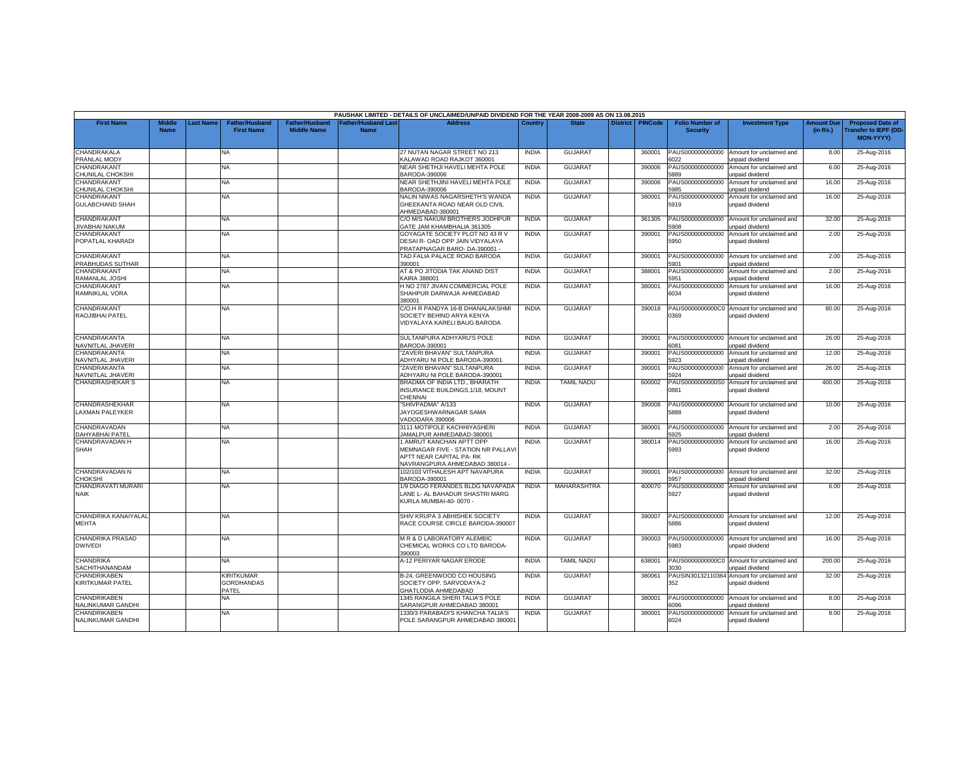|                                          |                              |          |                                                 |                                             |                                   | PAUSHAK LIMITED - DETAILS OF UNCLAIMED/UNPAID DIVIDEND FOR THE YEAR 2008-2009 AS ON 13.08.2015                              |              |                   |                 |                |                                           |                                                              |                               |                                                                            |
|------------------------------------------|------------------------------|----------|-------------------------------------------------|---------------------------------------------|-----------------------------------|-----------------------------------------------------------------------------------------------------------------------------|--------------|-------------------|-----------------|----------------|-------------------------------------------|--------------------------------------------------------------|-------------------------------|----------------------------------------------------------------------------|
| <b>First Name</b>                        | <b>Middle</b><br><b>Name</b> | ast Name | <b>Father/Husband</b><br><b>First Name</b>      | <b>Father/Husband</b><br><b>Middle Name</b> | Father/Husband Las<br><b>Name</b> | <b>Address</b>                                                                                                              | Country      | <b>State</b>      | <b>District</b> | <b>PINCode</b> | <b>Folio Number of</b><br><b>Security</b> | <b>Investment Type</b>                                       | <b>Amount Due</b><br>(in Rs.) | <b>Proposed Date of</b><br><b>Transfer to IEPF (DD</b><br><b>MON-YYYY)</b> |
| CHANDRAKALA<br>PRANLAL MODY              |                              |          | <b>NA</b>                                       |                                             |                                   | 27 NUTAN NAGAR STREET NO 213<br><b>KALAWAD ROAD RAJKOT 360001</b>                                                           | <b>INDIA</b> | <b>GUJARAT</b>    |                 | 360001         | PAUS000000000000<br>022                   | Amount for unclaimed and<br>unpaid dividend                  | 8.00                          | 25-Aug-2016                                                                |
| CHANDRAKANT<br>CHUNILAL CHOKSHI          |                              |          | <b>NA</b>                                       |                                             |                                   | NEAR SHETHJI HAVELI MEHTA POLE<br>BARODA-390006                                                                             | <b>INDIA</b> | <b>GUJARAT</b>    |                 | 390006         | PAUS000000000000<br>889                   | Amount for unclaimed and<br>unpaid dividend                  | 6.00                          | 25-Aug-2016                                                                |
| CHANDRAKANT<br>CHUNILAL CHOKSHI          |                              |          | <b>NA</b>                                       |                                             |                                   | VEAR SHETHJINI HAVELI MEHTA POLE<br>BARODA-390006                                                                           | <b>INDIA</b> | <b>GUJARAT</b>    |                 | 390006         | PAUS000000000000<br>985                   | Amount for unclaimed and<br>unpaid dividend                  | 16.00                         | 25-Aug-2016                                                                |
| CHANDRAKANT<br><b>GULABCHAND SHAH</b>    |                              |          | <b>NA</b>                                       |                                             |                                   | NALIN NIWAS NAGARSHETH'S WANDA<br>GHEEKANTA ROAD NEAR OLD CIVIL<br>AHMEDABAD-380001                                         | <b>INDIA</b> | <b>GUJARAT</b>    |                 | 380001         | PAUS000000000000<br>5919                  | Amount for unclaimed and<br>unpaid dividend                  | 16.00                         | 25-Aug-2016                                                                |
| CHANDRAKANT<br><b>JIVABHAI NAKUM</b>     |                              |          | <b>NA</b>                                       |                                             |                                   | C/O M/S NAKUM BROTHERS JODHPUR<br>GATE JAM KHAMBHALIA 361305                                                                | <b>INDIA</b> | <b>GUJARAT</b>    |                 | 361305         | PAUS000000000000<br>5908                  | Amount for unclaimed and<br><b>Inpaid dividend</b>           | 32.00                         | 25-Aug-2016                                                                |
| CHANDRAKANT<br>POPATLAL KHARADI          |                              |          | <b>NA</b>                                       |                                             |                                   | GOYAGATE SOCIETY PLOT NO 43 R V<br>DESAI R- OAD OPP JAIN VIDYALAYA<br>PRATAPNAGAR BARO-DA-390001 -                          | <b>INDIA</b> | <b>GUJARA1</b>    |                 | 390001         | PAUS000000000000<br>5950                  | Amount for unclaimed and<br>unpaid dividend                  | 2.00                          | 25-Aug-2016                                                                |
| CHANDRAKANT<br>PRABHUDAS SUTHAR          |                              |          | <b>NA</b>                                       |                                             |                                   | TAD FALIA PALACE ROAD BARODA<br>390001                                                                                      | <b>INDIA</b> | <b>GUJARAT</b>    |                 | 390001         | PAUS000000000000<br>5901                  | Amount for unclaimed and<br>unpaid dividend                  | 2.00                          | 25-Aug-2016                                                                |
| CHANDRAKANT<br>RAMANLAL JOSHI            |                              |          | <b>NA</b>                                       |                                             |                                   | AT & PO JITODIA TAK ANAND DIST<br><b>CAIRA 388001</b>                                                                       | <b>INDIA</b> | <b>GUJARAT</b>    |                 | 388001         | PAUS000000000000<br>951                   | Amount for unclaimed and<br>unpaid dividend                  | 2.00                          | 25-Aug-2016                                                                |
| CHANDRAKANT<br>RAMNIKLAL VORA            |                              |          | <b>NA</b>                                       |                                             |                                   | H NO 2787 JIVAN COMMERCIAL POLE<br>SHAHPUR DARWAJA AHMEDABAD<br>380001                                                      | <b>INDIA</b> | GUJARAT           |                 | 380001         | PAUS000000000000<br>6034                  | Amount for unclaimed and<br>unpaid dividend                  | 16.00                         | 25-Aug-2016                                                                |
| CHANDRAKANT<br>RAOJIBHAI PATEL           |                              |          | <b>NA</b>                                       |                                             |                                   | C/O.H R PANDYA 16-B DHANALAKSHMI<br>SOCIETY BEHIND ARYA KENYA<br>VIDYALAYA KARELI BAUG BARODA                               | <b>INDIA</b> | <b>GUJARAT</b>    |                 | 390018         | 0369                                      | PAUS0000000000C0 Amount for unclaimed and<br>unpaid dividend | 80.00                         | 25-Aug-2016                                                                |
| CHANDRAKANTA<br>NAVNITLAL JHAVERI        |                              |          | <b>NA</b>                                       |                                             |                                   | SULTANPURA ADHYARU'S POLE<br>BARODA-390001                                                                                  | <b>INDIA</b> | <b>GUJARA1</b>    |                 | 390001         | PAUS000000000000<br>6081                  | Amount for unclaimed and<br>unpaid dividend                  | 26.00                         | 25-Aug-2016                                                                |
| CHANDRAKANTA<br>NAVNITLAL JHAVERI        |                              |          | <b>NA</b>                                       |                                             |                                   | "ZAVERI BHAVAN" SULTANPURA<br>ADHYARU NI POLE BARODA-390001                                                                 | <b>INDIA</b> | GUJARAT           |                 | 390001         | PAUS000000000000<br>5923                  | Amount for unclaimed and<br>unpaid dividend                  | 12.00                         | 25-Aug-2016                                                                |
| CHANDRAKANTA<br>NAVNITLAL JHAVERI        |                              |          | <b>NA</b>                                       |                                             |                                   | "ZAVERI BHAVAN" SULTANPURA<br>ADHYARU NI POLE BARODA-390001                                                                 | <b>INDIA</b> | GUJARAT           |                 | 390001         | PAUS000000000000<br>5924                  | Amount for unclaimed and<br><b>Inpaid dividend</b>           | 26.00                         | 25-Aug-2016                                                                |
| <b>CHANDRASHEKAR S</b>                   |                              |          | <b>NA</b>                                       |                                             |                                   | BRADMA OF INDIA LTD., BHARATH<br>INSURANCE BUILDINGS, 1/18, MOUNT<br>CHENNAL                                                | <b>INDIA</b> | <b>TAMIL NADU</b> |                 | 600002         | PAUS0000000000S0<br>0881                  | Amount for unclaimed and<br>unpaid dividend                  | 400.00                        | 25-Aug-2016                                                                |
| CHANDRASHEKHAR<br><b>LAXMAN PALEYKER</b> |                              |          | <b>NA</b>                                       |                                             |                                   | "SHIVPADMA" A/133<br>JAYOGESHWARNAGAR SAMA<br>VADODARA 390008                                                               | <b>INDIA</b> | <b>GUJARAT</b>    |                 | 390008         | PAUS000000000000<br>5888                  | Amount for unclaimed and<br>unpaid dividend                  | 10.00                         | 25-Aug-2016                                                                |
| CHANDRAVADAN<br>DAHYABHAI PATEL          |                              |          | NA                                              |                                             |                                   | 3111 MOTIPOLE KACHHIYASHERI<br>JAMALPUR AHMEDABAD-380001                                                                    | <b>INDIA</b> | <b>GUJARAT</b>    |                 | 380001         | PAUS000000000000<br>925                   | Amount for unclaimed and<br>unpaid dividend                  | 2.00                          | 25-Aug-2016                                                                |
| CHANDRAVADAN H<br>SHAH                   |                              |          | <b>NA</b>                                       |                                             |                                   | 1 AMRUT KANCHAN APTT OPP<br>MEMNAGAR FIVE - STATION NR PALLAVI<br>APTT NEAR CAPITAL PA-RK<br>NAVRANGPURA AHMEDABAD 380014 - | <b>INDIA</b> | <b>GUJARAT</b>    |                 | 380014         | PAUS000000000000<br>5993                  | Amount for unclaimed and<br>unpaid dividend                  | 16.00                         | 25-Aug-2016                                                                |
| CHANDRAVADAN N<br><b>CHOKSHI</b>         |                              |          | <b>NA</b>                                       |                                             |                                   | 102/103 VITHALESH APT NAVAPURA<br>BARODA-390001                                                                             | <b>INDIA</b> | <b>GUJARAT</b>    |                 | 390001         | PAUS000000000000<br>957                   | Amount for unclaimed and<br><b>Inpaid dividend</b>           | 32.00                         | 25-Aug-2016                                                                |
| CHANDRAVATI MURARI<br><b>NAIK</b>        |                              |          | NA.                                             |                                             |                                   | 1/9 DIAGO FERANDES BLDG NAVAPADA<br>LANE L- AL BAHADUR SHASTRI MARG<br>KURLA MUMBAI-40-0070 -                               | <b>INDIA</b> | MAHARASHTRA       |                 | 400070         | PAUS000000000000<br>5927                  | Amount for unclaimed and<br>unpaid dividend                  | 6.00                          | 25-Aug-2016                                                                |
| CHANDRIKA KANAIYALAL<br><b>MEHTA</b>     |                              |          | NA.                                             |                                             |                                   | SHIV KRUPA 3 ABHISHEK SOCIETY<br>RACE COURSE CIRCLE BARODA-390007                                                           | <b>INDIA</b> | <b>GUJARAT</b>    |                 | 390007         | PAUS000000000000<br>5886                  | Amount for unclaimed and<br>unpaid dividend                  | 12.00                         | 25-Aug-2016                                                                |
| CHANDRIKA PRASAD<br><b>DWIVEDI</b>       |                              |          | NA.                                             |                                             |                                   | M R & D LABORATORY ALEMBIC<br>CHEMICAL WORKS CO LTD BARODA-<br>390003                                                       | <b>INDIA</b> | <b>GUJARAT</b>    |                 | 390003         | PAUS000000000000<br>5983                  | Amount for unclaimed and<br>unpaid dividend                  | 16.00                         | 25-Aug-2016                                                                |
| <b>CHANDRIKA</b><br>SACHITHANANDAM       |                              |          | <b>NA</b>                                       |                                             |                                   | <b>A-12 PERIYAR NAGAR ERODE</b>                                                                                             | <b>INDIA</b> | <b>TAMIL NADU</b> |                 | 638001         | 3030                                      | PAUS0000000000C0 Amount for unclaimed and<br>unpaid dividend | 200.00                        | 25-Aug-2016                                                                |
| CHANDRIKABEN<br>KIRITKUMAR PATEL         |                              |          | <b>KIRITKUMAR</b><br><b>GORDHANDAS</b><br>PATEL |                                             |                                   | B-24, GREENWOOD CO HOUSING<br>SOCIETY OPP. SARVODAYA-2<br><b>GHATLODIA AHMEDABAD</b>                                        | <b>INDIA</b> | <b>GUJARAT</b>    |                 | 380061         | PAUSIN30132110364<br>352                  | Amount for unclaimed and<br>unpaid dividend                  | 32.00                         | 25-Aug-2016                                                                |
| CHANDRIKABEN<br>NALINKUMAR GANDHI        |                              |          | NA.                                             |                                             |                                   | 1345 RANGILA SHERI TALIA'S POLE<br>SARANGPUR AHMEDABAD 380001                                                               | <b>INDIA</b> | <b>GUJARA1</b>    |                 | 380001         | PAUS000000000000<br>096                   | Amount for unclaimed and<br>unpaid dividend                  | 8.00                          | 25-Aug-2016                                                                |
| CHANDRIKABEN<br>NALINKUMAR GANDHI        |                              |          | <b>NA</b>                                       |                                             |                                   | 1330/3 PARABADI'S KHANCHA TALIA'S<br>POLE SARANGPUR AHMEDABAD 380001                                                        | <b>INDIA</b> | <b>GUJARAT</b>    |                 | 380001         | PAUS000000000000<br>6024                  | Amount for unclaimed and<br>unpaid dividend                  | 8.00                          | 25-Aug-2016                                                                |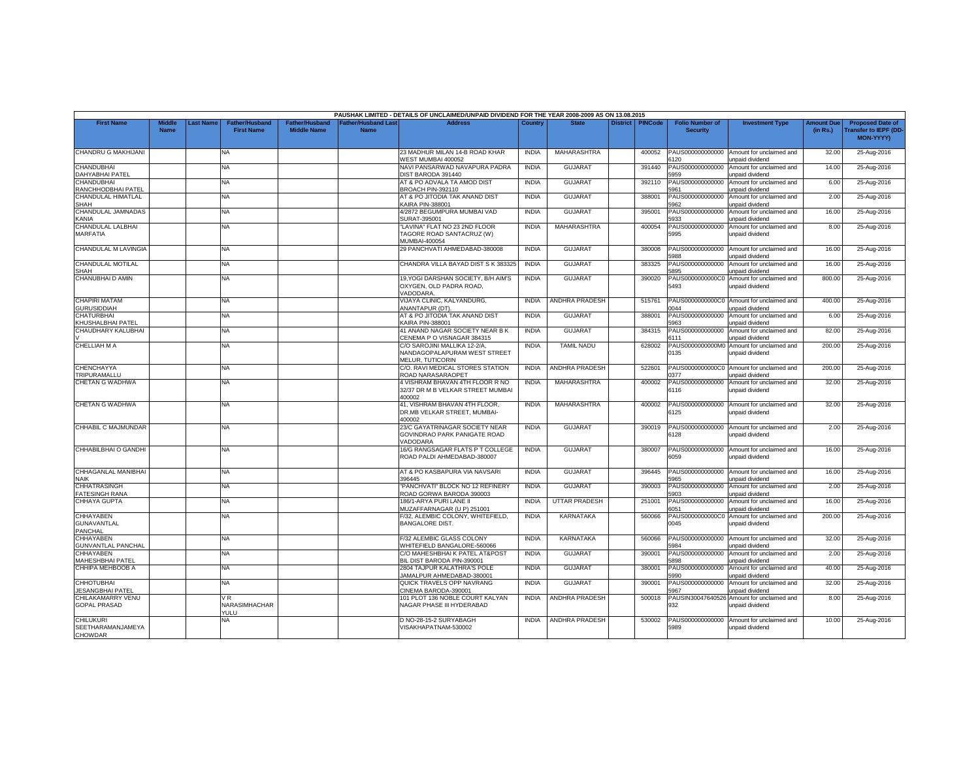|                                                   |                              |                  |                                            |                                             |                                  | PAUSHAK LIMITED - DETAILS OF UNCLAIMED/UNPAID DIVIDEND FOR THE YEAR 2008-2009 AS ON 13.08.2015 |              |                       |                    |                                           |                                                                |                               |                                                                     |
|---------------------------------------------------|------------------------------|------------------|--------------------------------------------|---------------------------------------------|----------------------------------|------------------------------------------------------------------------------------------------|--------------|-----------------------|--------------------|-------------------------------------------|----------------------------------------------------------------|-------------------------------|---------------------------------------------------------------------|
| <b>First Name</b>                                 | <b>Middle</b><br><b>Name</b> | <b>Last Name</b> | <b>Father/Husband</b><br><b>First Name</b> | <b>Father/Husband</b><br><b>Middle Name</b> | ather/Husband Las<br><b>Name</b> | Address                                                                                        | Country      | <b>State</b>          | District   PINCode | <b>Folio Number of</b><br><b>Security</b> | <b>Investment Type</b>                                         | <b>Amount Due</b><br>(in Rs.) | <b>Proposed Date of</b><br><b>Transfer to IEPF (DD</b><br>MON-YYYY) |
| CHANDRU G MAKHIJANI                               |                              |                  | <b>NA</b>                                  |                                             |                                  | 23 MADHUR MILAN 14-B ROAD KHAR<br>WEST MUMBAI 400052                                           | <b>INDIA</b> | MAHARASHTRA           | 400052             | PAUS000000000000<br>3120                  | Amount for unclaimed and<br>unpaid dividend                    | 32.00                         | 25-Aug-2016                                                         |
| <b>CHANDUBHAI</b><br>DAHYABHAI PATEL              |                              |                  | NA.                                        |                                             |                                  | NAVI PANSARWAD NAVAPURA PADRA<br>DIST BARODA 391440                                            | <b>INDIA</b> | <b>GUJARAT</b>        | 391440             | PAUS000000000000<br>5959                  | Amount for unclaimed and<br>unpaid dividend                    | 14.00                         | 25-Aug-2016                                                         |
| <b>CHANDUBHAI</b><br>RANCHHODBHAI PATEL           |                              |                  | <b>NA</b>                                  |                                             |                                  | AT & PO ADVALA TA AMOD DIST<br>BROACH PIN-392110                                               | <b>INDIA</b> | <b>GUJARAT</b>        | 392110             | PAUS000000000000<br>961                   | Amount for unclaimed and<br>unpaid dividend                    | 6.00                          | 25-Aug-2016                                                         |
| CHANDULAL HIMATLAL                                |                              |                  | <b>NA</b>                                  |                                             |                                  | AT & PO JITODIA TAK ANAND DIST                                                                 | <b>INDIA</b> | <b>GUJARAT</b>        | 388001             | PAUS000000000000                          | Amount for unclaimed and                                       | 2.00                          | 25-Aug-2016                                                         |
| SHAH<br>CHANDULAL JAMNADAS<br>KANIA               |                              |                  | NA                                         |                                             |                                  | <b>CAIRA PIN-388001</b><br>4/2872 BEGUMPURA MUMBAI VAD<br>SURAT-395001                         | <b>INDIA</b> | <b>GUJARAT</b>        | 395001             | 962<br>PAUS000000000000<br>933            | unpaid dividend<br>Amount for unclaimed and<br>unpaid dividend | 16.00                         | 25-Aug-2016                                                         |
| CHANDULAL LALBHAI<br><b>MARFATIA</b>              |                              |                  | <b>NA</b>                                  |                                             |                                  | "LAVINA" FLAT NO 23 2ND FLOOR<br>TAGORE ROAD SANTACRUZ (W)<br>MUMBAI-400054                    | <b>INDIA</b> | MAHARASHTRA           | 400054             | PAUS000000000000<br>5995                  | Amount for unclaimed and<br>unpaid dividend                    | 8.00                          | 25-Aug-2016                                                         |
| CHANDULAL M LAVINGIA                              |                              |                  | <b>NA</b>                                  |                                             |                                  | 29 PANCHVATI AHMEDABAD-380008                                                                  | <b>INDIA</b> | <b>GUJARAT</b>        | 380008             | PAUS000000000000<br>988                   | Amount for unclaimed and<br>unpaid dividend                    | 16.00                         | 25-Aug-2016                                                         |
| CHANDULAL MOTILAL<br><b>SHAH</b>                  |                              |                  | NA.                                        |                                             |                                  | CHANDRA VILLA BAYAD DIST S K 38332                                                             | <b>INDIA</b> | <b>GUJARAT</b>        | 383325             | PAUS000000000000<br>895                   | Amount for unclaimed and<br>unpaid dividend                    | 16.00                         | 25-Aug-2016                                                         |
| CHANUBHAI D AMIN                                  |                              |                  | <b>NA</b>                                  |                                             |                                  | 19, YOGI DARSHAN SOCIETY, B/H AIM'S<br>OXYGEN, OLD PADRA ROAD.<br>/ADODARA                     | <b>INDIA</b> | <b>GUJARAT</b>        | 390020             | PAUS0000000000C0<br>5493                  | Amount for unclaimed and<br>unpaid dividend                    | 800.00                        | 25-Aug-2016                                                         |
| <b>CHAPIRI MATAM</b><br><b>GURUSIDDIAH</b>        |                              |                  | <b>NA</b>                                  |                                             |                                  | VIJAYA CLINIC, KALYANDURG,<br>ANANTAPUR (DT).                                                  | <b>INDIA</b> | <b>ANDHRA PRADESH</b> | 515761             | PAUS0000000000C0<br>0044                  | Amount for unclaimed and<br>unpaid dividend                    | 400.00                        | 25-Aug-2016                                                         |
| <b>CHATURBHAI</b><br>KHUSHALBHAI PATEL            |                              |                  | <b>NA</b>                                  |                                             |                                  | AT & PO JITODIA TAK ANAND DIST<br><b>CAIRA PIN-388001</b>                                      | <b>INDIA</b> | <b>GUJARAT</b>        | 388001             | PAUS000000000000<br>963                   | Amount for unclaimed and<br>unpaid dividend                    | 6.00                          | 25-Aug-2016                                                         |
| CHAUDHARY KALUBHAI                                |                              |                  | <b>NA</b>                                  |                                             |                                  | 41 ANAND NAGAR SOCIETY NEAR B K<br>CENEMA P O VISNAGAR 384315                                  | <b>INDIA</b> | <b>GUJARAT</b>        | 384315             | PAUS000000000000<br>\$111                 | Amount for unclaimed and<br>unpaid dividend                    | 82.00                         | 25-Aug-2016                                                         |
| <b>CHELLIAH M A</b>                               |                              |                  | <b>NA</b>                                  |                                             |                                  | C/O SAROJINI MALLIKA 12-2/A,<br>NANDAGOPALAPURAM WEST STREET<br>MELUR, TUTICORIN               | <b>INDIA</b> | <b>TAMIL NADU</b>     | 628002             | PAUS0000000000M0<br>0135                  | Amount for unclaimed and<br>unpaid dividend                    | 200.00                        | 25-Aug-2016                                                         |
| CHENCHAYYA<br>TRIPURAMALLU                        |                              |                  | <b>NA</b>                                  |                                             |                                  | C/O. RAVI MEDICAL STORES STATION<br>ROAD NARASARAOPET                                          | <b>INDIA</b> | <b>ANDHRA PRADESH</b> | 522601             | 1377                                      | PAUS0000000000C0 Amount for unclaimed and<br>unpaid dividend   | 200.00                        | 25-Aug-2016                                                         |
| CHETAN G WADHWA                                   |                              |                  | <b>NA</b>                                  |                                             |                                  | 4 VISHRAM BHAVAN 4TH FLOOR R NO<br>32/37 DR M B VELKAR STREET MUMBAI<br>400002                 | <b>INDIA</b> | MAHARASHTRA           | 400002             | PAUS000000000000<br>6116                  | Amount for unclaimed and<br>unpaid dividend                    | 32.00                         | 25-Aug-2016                                                         |
| CHETAN G WADHWA                                   |                              |                  | NA.                                        |                                             |                                  | 41, VISHRAM BHAVAN 4TH FLOOR,<br>DR.MB VELKAR STREET, MUMBAI-<br>400002                        | <b>INDIA</b> | MAHARASHTRA           | 400002             | PAUS000000000000<br>6125                  | Amount for unclaimed and<br>unpaid dividend                    | 32.00                         | 25-Aug-2016                                                         |
| CHHABIL C MAJMUNDAR                               |                              |                  | <b>NA</b>                                  |                                             |                                  | 23/C GAYATRINAGAR SOCIETY NEAR<br>GOVINDRAO PARK PANIGATE ROAD<br><b>ADODARA</b>               | <b>INDIA</b> | <b>GUJARAT</b>        | 390019             | PAUS000000000000<br>6128                  | Amount for unclaimed and<br>unpaid dividend                    | 2.00                          | 25-Aug-2016                                                         |
| CHHABILBHAI O GANDHI                              |                              |                  | NA                                         |                                             |                                  | 16/G RANGSAGAR FLATS P T COLLEGE<br>ROAD PALDI AHMEDABAD-380007                                | <b>INDIA</b> | <b>GUJARAT</b>        | 380007             | PAUS000000000000<br>6059                  | Amount for unclaimed and<br>unpaid dividend                    | 16.00                         | 25-Aug-2016                                                         |
| CHHAGANLAL MANIBHAI<br><b>NAIK</b>                |                              |                  | <b>NA</b>                                  |                                             |                                  | AT & PO KASBAPURA VIA NAVSARI<br>96445                                                         | <b>INDIA</b> | <b>GUJARAT</b>        | 396445             | PAUS000000000000<br>965                   | Amount for unclaimed and<br>unpaid dividend                    | 16.00                         | 25-Aug-2016                                                         |
| <b>CHHATRASINGH</b><br><b>FATESINGH RANA</b>      |                              |                  | <b>NA</b>                                  |                                             |                                  | "PANCHVATI" BLOCK NO 12 REFINERY<br>ROAD GORWA BARODA 390003                                   | <b>INDIA</b> | <b>GUJARAT</b>        | 390003             | PAUS000000000000<br>903                   | Amount for unclaimed and<br>unpaid dividend                    | 2.00                          | 25-Aug-2016                                                         |
| CHHAYA GUPTA                                      |                              |                  | NA                                         |                                             |                                  | 186/1-ARYA PURI LANE II<br>MUZAFFARNAGAR (U P) 251001                                          | <b>INDIA</b> | <b>UTTAR PRADESH</b>  | 251001             | PAUS000000000000<br>6051                  | Amount for unclaimed and<br>unpaid dividend                    | 16.00                         | 25-Aug-2016                                                         |
| CHHAYABEN<br><b>GUNAVANTLAL</b><br><b>PANCHAL</b> |                              |                  | NA.                                        |                                             |                                  | F/32, ALEMBIC COLONY, WHITEFIELD,<br><b>BANGALORE DIST.</b>                                    | <b>INDIA</b> | KARNATAKA             | 560066             | PAUS0000000000C0<br>0045                  | Amount for unclaimed and<br>unpaid dividend                    | 200.00                        | 25-Aug-2016                                                         |
| <b>CHHAYABEN</b><br><b>GUNVANTLAL PANCHAL</b>     |                              |                  | <b>NA</b>                                  |                                             |                                  | F/32 ALEMBIC GLASS COLONY<br>WHITEFIELD BANGALORE-560066                                       | <b>INDIA</b> | <b>KARNATAKA</b>      | 560066             | PAUS000000000000<br>984                   | Amount for unclaimed and<br>unpaid dividend                    | 32.00                         | 25-Aug-2016                                                         |
| <b>CHHAYABEN</b><br>MAHESHBHAI PATEL              |                              |                  | <b>NA</b>                                  |                                             |                                  | C/O MAHESHBHAIK PATEL AT&POST<br>BIL DIST BARODA PIN-390001                                    | <b>INDIA</b> | <b>GUJARAT</b>        | 390001             | PAUS000000000000<br>5898                  | Amount for unclaimed and<br>unpaid dividend                    | 2.00                          | 25-Aug-2016                                                         |
| CHHIPA MEHBOOB A                                  |                              |                  | <b>NA</b>                                  |                                             |                                  | 2804 TAJPUR KALATHRA'S POLE<br>JAMALPUR AHMEDABAD-380001                                       | <b>INDIA</b> | <b>GUJARAT</b>        | 380001             | PAUS000000000000<br>5990                  | Amount for unclaimed and<br>unpaid dividend                    | 40.00                         | 25-Aug-2016                                                         |
| <b>CHHOTUBHAI</b><br><b>JESANGBHAI PATEL</b>      |                              |                  | NA                                         |                                             |                                  | QUICK TRAVELS OPP NAVRANG<br>CINEMA BARODA-390001                                              | <b>INDIA</b> | <b>GUJARAT</b>        | 390001             | PAUS000000000000<br>5967                  | Amount for unclaimed and<br>unpaid dividend                    | 32.00                         | 25-Aug-2016                                                         |
| CHILAKAMARRY VENU<br><b>GOPAL PRASAD</b>          |                              |                  | VR.<br><b>NARASIMHACHAR</b><br>YULU        |                                             |                                  | 101 PLOT 136 NOBLE COURT KALYAN<br>NAGAR PHASE III HYDERABAD                                   | <b>INDIA</b> | ANDHRA PRADESH        | 500018             | PAUSIN3004764052<br>932                   | Amount for unclaimed and<br>unpaid dividend                    | 8.00                          | 25-Aug-2016                                                         |
| <b>CHILUKURI</b><br>SEETHARAMANJAMEYA<br>CHOWDAR  |                              |                  | NA                                         |                                             |                                  | D NO-28-15-2 SURYABAGH<br>VISAKHAPATNAM-530002                                                 | <b>INDIA</b> | <b>ANDHRA PRADESH</b> | 530002             | PAUS000000000000<br>5989                  | Amount for unclaimed and<br>unpaid dividend                    | 10.00                         | 25-Aug-2016                                                         |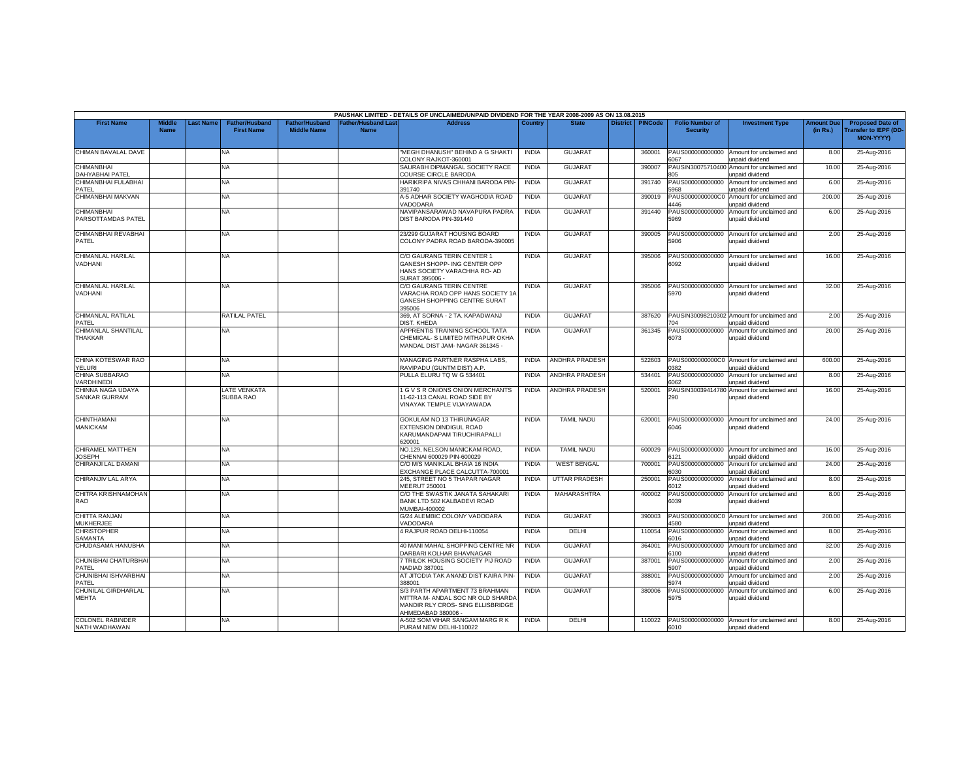|                                             |                              |          |                                            |                                             |                                   | PAUSHAK LIMITED - DETAILS OF UNCLAIMED/UNPAID DIVIDEND FOR THE YEAR 2008-2009 AS ON 13.08.2015                               |              |                       |                 |                |                                           |                                                               |                               |                                                                            |
|---------------------------------------------|------------------------------|----------|--------------------------------------------|---------------------------------------------|-----------------------------------|------------------------------------------------------------------------------------------------------------------------------|--------------|-----------------------|-----------------|----------------|-------------------------------------------|---------------------------------------------------------------|-------------------------------|----------------------------------------------------------------------------|
| <b>First Name</b>                           | <b>Middle</b><br><b>Name</b> | ast Name | <b>Father/Husband</b><br><b>First Name</b> | <b>Father/Husband</b><br><b>Middle Name</b> | Father/Husband Las<br><b>Name</b> | <b>Address</b>                                                                                                               | Country      | <b>State</b>          | <b>District</b> | <b>PINCode</b> | <b>Folio Number of</b><br><b>Security</b> | <b>Investment Type</b>                                        | <b>Amount Due</b><br>(in Rs.) | <b>Proposed Date of</b><br><b>Transfer to IEPF (DD</b><br><b>MON-YYYY)</b> |
| CHIMAN BAVALAL DAVE                         |                              |          | <b>NA</b>                                  |                                             |                                   | 'MEGH DHANUSH' BEHIND A G SHAKTI<br>COLONY RAJKOT-360001                                                                     | <b>INDIA</b> | <b>GUJARAT</b>        |                 | 360001         | PAUS000000000000<br>6067                  | Amount for unclaimed and<br>unpaid dividend                   | 8.00                          | 25-Aug-2016                                                                |
| <b>CHIMANBHAI</b><br><b>DAHYABHAI PATEL</b> |                              |          | <b>NA</b>                                  |                                             |                                   | SAURABH DIPMANGAL SOCIETY RACE<br>COURSE CIRCLE BARODA                                                                       | <b>INDIA</b> | <b>GUJARAT</b>        |                 | 390007         | PAUSIN3007571040<br>05                    | Amount for unclaimed and<br>unpaid dividend                   | 10.00                         | 25-Aug-2016                                                                |
| CHIMANBHAI FULABHAI<br>PATEL                |                              |          | <b>NA</b>                                  |                                             |                                   | HARIKRIPA NIVAS CHHANI BARODA PIN-<br>391740                                                                                 | <b>INDIA</b> | <b>GUJARAT</b>        |                 | 391740         | PAUS000000000000<br>968                   | Amount for unclaimed and<br>unpaid dividend                   | 6.00                          | 25-Aug-2016                                                                |
| CHIMANBHAI MAKVAN                           |                              |          | <b>NA</b>                                  |                                             |                                   | A-5 ADHAR SOCIETY WAGHODIA ROAD<br>/ADODARA                                                                                  | <b>INDIA</b> | <b>GUJARAT</b>        |                 | 390019         | PAUS0000000000CC<br>1446                  | Amount for unclaimed and<br>unpaid dividend                   | 200.00                        | 25-Aug-2016                                                                |
| <b>CHIMANBHAI</b><br>PARSOTTAMDAS PATEL     |                              |          | <b>NA</b>                                  |                                             |                                   | NAVIPANSARAWAD NAVAPURA PADRA<br>DIST BARODA PIN-391440                                                                      | <b>INDIA</b> | <b>GUJARAT</b>        |                 | 391440         | PAUS000000000000<br>5969                  | Amount for unclaimed and<br>unpaid dividend                   | 6.00                          | 25-Aug-2016                                                                |
| CHIMANBHAI REVABHAI<br>PATEL                |                              |          | NA                                         |                                             |                                   | 23/299 GUJARAT HOUSING BOARD<br>COLONY PADRA ROAD BARODA-390005                                                              | <b>INDIA</b> | <b>GUJARA1</b>        |                 | 390005         | PAUS000000000000<br>5906                  | Amount for unclaimed and<br>unpaid dividend                   | 2.00                          | 25-Aug-2016                                                                |
| CHIMANLAL HARILAL<br>VADHANI                |                              |          | NA.                                        |                                             |                                   | C/O GAURANG TERIN CENTER 1<br>GANESH SHOPP- ING CENTER OPP<br>HANS SOCIETY VARACHHA RO- AD<br>SURAT 395006                   | <b>INDIA</b> | <b>GUJARAT</b>        |                 | 395006         | PAUS000000000000<br>6092                  | Amount for unclaimed and<br>unpaid dividend                   | 16.00                         | 25-Aug-2016                                                                |
| CHIMANLAL HARILAL<br>VADHANI                |                              |          | NA                                         |                                             |                                   | C/O GAURANG TERIN CENTRE<br>VARACHA ROAD OPP HANS SOCIETY 1A<br>GANESH SHOPPING CENTRE SURAT<br>395006                       | <b>INDIA</b> | <b>GUJARAT</b>        |                 | 395006         | PAUS000000000000<br>5970                  | Amount for unclaimed and<br>unpaid dividend                   | 32.00                         | 25-Aug-2016                                                                |
| CHIMANLAL RATILAL<br>PATEL                  |                              |          | RATILAL PATEL                              |                                             |                                   | 369, AT SORNA - 2 TA. KAPADWANJ<br>DIST, KHEDA                                                                               | <b>INDIA</b> | <b>GUJARAT</b>        |                 | 387620         | 04                                        | PAUSIN30098210302 Amount for unclaimed and<br>unpaid dividend | 2.00                          | 25-Aug-2016                                                                |
| CHIMANLAL SHANTILAL<br><b>THAKKAR</b>       |                              |          | <b>NA</b>                                  |                                             |                                   | APPRENTIS TRAINING SCHOOL TATA<br>CHEMICAL- S LIMITED MITHAPUR OKHA<br>MANDAL DIST JAM- NAGAR 361345 -                       | <b>INDIA</b> | <b>GUJARAT</b>        |                 | 361345         | PAUS000000000000<br>6073                  | Amount for unclaimed and<br>unpaid dividend                   | 20.00                         | 25-Aug-2016                                                                |
| CHINA KOTESWAR RAO<br>YELURI                |                              |          | <b>NA</b>                                  |                                             |                                   | MANAGING PARTNER RASPHA LABS.<br>RAVIPADU (GUNTM DIST) A.P                                                                   | <b>INDIA</b> | <b>ANDHRA PRADESH</b> |                 | 522603         | 382                                       | PAUS0000000000C0 Amount for unclaimed and<br>unpaid dividend  | 600.00                        | 25-Aug-2016                                                                |
| CHINA SUBBARAO<br><b>ARDHINEDI</b>          |                              |          | NA                                         |                                             |                                   | PULLA ELURU TQ W G 534401                                                                                                    | <b>INDIA</b> | ANDHRA PRADESH        |                 | 534401         | PAUS000000000000<br>6062                  | Amount for unclaimed and<br><b>Inpaid dividend</b>            | 8.00                          | 25-Aug-2016                                                                |
| CHINNA NAGA UDAYA<br><b>SANKAR GURRAM</b>   |                              |          | <b>LATE VENKATA</b><br>SUBBA RAO           |                                             |                                   | 1 G V S R ONIONS ONION MERCHANTS<br>11-62-113 CANAL ROAD SIDE BY<br>VINAYAK TEMPLE VIJAYAWADA                                | <b>INDIA</b> | <b>ANDHRA PRADESH</b> |                 | 520001         | PAUSIN30039414780<br>290                  | Amount for unclaimed and<br>unpaid dividend                   | 16.00                         | 25-Aug-2016                                                                |
| <b>CHINTHAMANI</b><br><b>MANICKAM</b>       |                              |          | <b>NA</b>                                  |                                             |                                   | GOKULAM NO 13 THIRUNAGAR<br>EXTENSION DINDIGUL ROAD<br>KARUMANDAPAM TIRUCHIRAPALLI<br>620001                                 | <b>INDIA</b> | <b>TAMIL NADU</b>     |                 | 620001         | PAUS000000000000<br>6046                  | Amount for unclaimed and<br>unpaid dividend                   | 24.00                         | 25-Aug-2016                                                                |
| CHIRAMEL MATTHEN<br><b>JOSEPH</b>           |                              |          | NA                                         |                                             |                                   | NO.129, NELSON MANICKAM ROAD,<br>CHENNAI 600029 PIN-600029                                                                   | <b>INDIA</b> | <b>TAMIL NADU</b>     |                 | 600029         | PAUS000000000000<br>3121                  | Amount for unclaimed and<br>unpaid dividend                   | 16.00                         | 25-Aug-2016                                                                |
| CHIRANJI LAL DAMANI                         |                              |          | <b>NA</b>                                  |                                             |                                   | C/O M/S MANIKLAL BHAIA 16 INDIA<br>EXCHANGE PLACE CALCUTTA-700001                                                            | <b>INDIA</b> | <b>WEST BENGAL</b>    |                 | 700001         | PAUS000000000000<br>6030                  | Amount for unclaimed and<br>unpaid dividend                   | 24.00                         | 25-Aug-2016                                                                |
| CHIRANJIV LAL ARYA                          |                              |          | <b>NA</b>                                  |                                             |                                   | 245, STREET NO 5 THAPAR NAGAR<br>MEERUT 250001                                                                               | <b>INDIA</b> | <b>UTTAR PRADESH</b>  |                 | 250001         | PAUS000000000000<br>6012                  | Amount for unclaimed and<br><b>Inpaid dividend</b>            | 8.00                          | 25-Aug-2016                                                                |
| CHITRA KRISHNAMOHAN<br>RAO                  |                              |          | <b>NA</b>                                  |                                             |                                   | C/O THE SWASTIK JANATA SAHAKARI<br>BANK LTD 502 KALBADEVI ROAD<br>MUMBAI-400002                                              | <b>INDIA</b> | MAHARASHTRA           |                 | 400002         | PAUS000000000000<br>6039                  | Amount for unclaimed and<br>unpaid dividend                   | 8.00                          | 25-Aug-2016                                                                |
| CHITTA RANJAN<br>MUKHERJEE                  |                              |          | NA                                         |                                             |                                   | G/24 ALEMBIC COLONY VADODARA<br>/ADODARA                                                                                     | <b>INDIA</b> | <b>GUJARAT</b>        |                 | 390003         | 1580                                      | PAUS0000000000C0 Amount for unclaimed and<br>unpaid dividend  | 200.00                        | 25-Aug-2016                                                                |
| <b>CHRISTOPHER</b><br><b>SAMANTA</b>        |                              |          | NA.                                        |                                             |                                   | 4 RAJPUR ROAD DELHI-110054                                                                                                   | <b>INDIA</b> | <b>DELHI</b>          |                 | 110054         | PAUS000000000000<br>6016                  | Amount for unclaimed and<br>unpaid dividend                   | 8.00                          | 25-Aug-2016                                                                |
| CHUDASAMA HANUBHA                           |                              |          | <b>NA</b>                                  |                                             |                                   | 40 MANI MAHAL SHOPPING CENTRE NR<br>DARBARI KOLHAR BHAVNAGAR                                                                 | <b>INDIA</b> | <b>GUJARAT</b>        |                 | 364001         | PAUS000000000000<br>\$100                 | Amount for unclaimed and<br>unpaid dividend                   | 32.00                         | 25-Aug-2016                                                                |
| CHUNIBHAI CHATURBHA<br>PATEL                |                              |          | NA                                         |                                             |                                   | 7 TRILOK HOUSING SOCIETY PIJ ROAD<br>NADIAD 387001                                                                           | <b>INDIA</b> | <b>GUJARAT</b>        |                 | 387001         | PAUS000000000000<br>5907                  | Amount for unclaimed and<br>unpaid dividend                   | 2.00                          | 25-Aug-2016                                                                |
| CHUNIBHAI ISHVARBHAI<br>PATEL               |                              |          | NA.                                        |                                             |                                   | AT JITODIA TAK ANAND DIST KAIRA PIN-<br>388001                                                                               | <b>INDIA</b> | <b>GUJARAT</b>        |                 | 388001         | PAUS00000000000<br>5974                   | Amount for unclaimed and<br>unpaid dividend                   | 2.00                          | 25-Aug-2016                                                                |
| CHUNILAL GIRDHARLAL<br><b>MEHTA</b>         |                              |          | <b>NA</b>                                  |                                             |                                   | S/3 PARTH APARTMENT 73 BRAHMAN<br>MITTRA M- ANDAL SOC NR OLD SHARDA<br>MANDIR RLY CROS- SING ELLISBRIDGE<br>AHMEDABAD 380006 | <b>INDIA</b> | <b>GUJARAT</b>        |                 | 380006         | PAUS000000000000<br>5975                  | Amount for unclaimed and<br>unpaid dividend                   | 6.00                          | 25-Aug-2016                                                                |
| <b>COLONEL RABINDER</b><br>NATH WADHAWAN    |                              |          | <b>NA</b>                                  |                                             |                                   | A-502 SOM VIHAR SANGAM MARG R K<br>PURAM NEW DELHI-110022                                                                    | <b>INDIA</b> | DELHI                 |                 | 110022         | 6010                                      | PAUS000000000000 Amount for unclaimed and<br>unpaid dividend  | 8.00                          | 25-Aug-2016                                                                |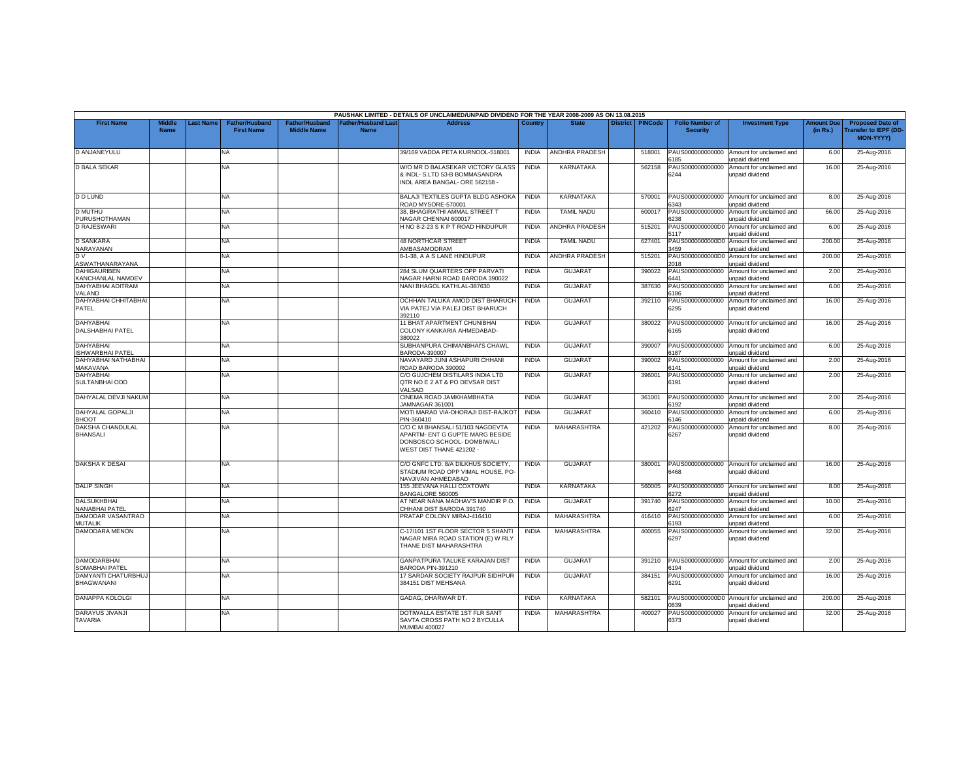|                                             |                              |                  |                                            |                                             |                                          | PAUSHAK LIMITED - DETAILS OF UNCLAIMED/UNPAID DIVIDEND FOR THE YEAR 2008-2009 AS ON 13.08.2015                                |              |                       |                 |                |                                           |                                                              |                               |                                                                            |
|---------------------------------------------|------------------------------|------------------|--------------------------------------------|---------------------------------------------|------------------------------------------|-------------------------------------------------------------------------------------------------------------------------------|--------------|-----------------------|-----------------|----------------|-------------------------------------------|--------------------------------------------------------------|-------------------------------|----------------------------------------------------------------------------|
| <b>First Name</b>                           | <b>Middle</b><br><b>Name</b> | <b>Last Name</b> | <b>Father/Husband</b><br><b>First Name</b> | <b>Father/Husband</b><br><b>Middle Name</b> | <b>Father/Husband Las</b><br><b>Name</b> | <b>Address</b>                                                                                                                | Country      | <b>State</b>          | <b>District</b> | <b>PINCode</b> | <b>Folio Number of</b><br><b>Security</b> | <b>Investment Type</b>                                       | <b>Amount Due</b><br>(in Rs.) | <b>Proposed Date of</b><br><b>Transfer to IEPF (DD</b><br><b>MON-YYYY)</b> |
| D ANJANEYULU                                |                              |                  | <b>NA</b>                                  |                                             |                                          | 39/169 VADDA PETA KURNOOL-518001                                                                                              | <b>INDIA</b> | <b>ANDHRA PRADESH</b> |                 | 518001         | PAUS000000000000<br>185                   | Amount for unclaimed and<br>unpaid dividend                  | 6.00                          | 25-Aug-2016                                                                |
| <b>D BALA SEKAR</b>                         |                              |                  | <b>NA</b>                                  |                                             |                                          | W/O MR D BALASEKAR VICTORY GLASS<br>& INDL- S.LTD 53-B BOMMASANDRA<br>INDL AREA BANGAL- ORE 562158 -                          | <b>INDIA</b> | <b>KARNATAKA</b>      |                 | 562158         | PAUS000000000000<br>6244                  | Amount for unclaimed and<br>unpaid dividend                  | 16.00                         | 25-Aug-2016                                                                |
| <b>D D LUND</b>                             |                              |                  | NA.                                        |                                             |                                          | <b>BALAJI TEXTILES GUPTA BLDG ASHOKA</b><br>ROAD MYSORE-570001                                                                | <b>INDIA</b> | KARNATAKA             |                 | 570001         | PAUS000000000000<br>3343                  | Amount for unclaimed and<br>unpaid dividend                  | 8.00                          | 25-Aug-2016                                                                |
| <b>D MUTHU</b><br>PURUSHOTHAMAN             |                              |                  | <b>NA</b>                                  |                                             |                                          | 38. BHAGIRATHI AMMAL STREET T<br>NAGAR CHENNAI 600017                                                                         | <b>INDIA</b> | <b>TAMIL NADU</b>     |                 | 600017         | PAUS000000000000<br>238                   | Amount for unclaimed and<br>unpaid dividend                  | 66.00                         | 25-Aug-2016                                                                |
| <b>D RAJESWARI</b>                          |                              |                  | <b>NA</b>                                  |                                             |                                          | H NO 8-2-23 S K P T ROAD HINDUPUR                                                                                             | <b>INDIA</b> | <b>ANDHRA PRADESH</b> |                 | 515201         | PAUS0000000000D0<br>5117                  | Amount for unclaimed and<br>unpaid dividend                  | 6.00                          | 25-Aug-2016                                                                |
| <b>D SANKARA</b><br>NARAYANAN               |                              |                  | <b>NA</b>                                  |                                             |                                          | <b>48 NORTHCAR STREET</b><br>AMBASAMODRAM                                                                                     | <b>INDIA</b> | <b>TAMIL NADU</b>     |                 | 627401         | PAUS0000000000D0<br>3459                  | Amount for unclaimed and<br>unpaid dividend                  | 200.00                        | 25-Aug-2016                                                                |
| DV<br>ASWATHANARAYANA                       |                              |                  | NA.                                        |                                             |                                          | 8-1-38, A A S LANE HINDUPUR                                                                                                   | <b>INDIA</b> | <b>ANDHRA PRADESH</b> |                 | 515201         | PAUS0000000000DC<br>2018                  | Amount for unclaimed and<br>unpaid dividend                  | 200.00                        | 25-Aug-2016                                                                |
| <b>DAHIGAURIBEN</b><br>KANCHANLAL NAMDEV    |                              |                  | <b>NA</b>                                  |                                             |                                          | 284 SLUM QUARTERS OPP PARVATI<br>VAGAR HARNI ROAD BARODA 390022                                                               | <b>INDIA</b> | <b>GUJARAT</b>        |                 | 390022         | PAUS000000000000<br>3441                  | Amount for unclaimed and<br>unpaid dividend                  | 2.00                          | 25-Aug-2016                                                                |
| DAHYABHAI ADITRAM<br>VALAND                 |                              |                  | NA                                         |                                             |                                          | NANI BHAGOL KATHLAL-387630                                                                                                    | <b>INDIA</b> | <b>GUJARAT</b>        |                 | 387630         | PAUS000000000000<br>186                   | Amount for unclaimed and<br>unpaid dividend                  | 6.00                          | 25-Aug-2016                                                                |
| DAHYABHAI CHHITABHAI<br>PATEL               |                              |                  | NA                                         |                                             |                                          | OCHHAN TALUKA AMOD DIST BHARUCH<br>VIA PATEJ VIA PALEJ DIST BHARUCH<br>392110                                                 | <b>INDIA</b> | <b>GUJARAT</b>        |                 | 392110         | PAUS000000000000<br>6295                  | Amount for unclaimed and<br>unpaid dividend                  | 16.00                         | 25-Aug-2016                                                                |
| <b>DAHYABHAI</b><br><b>DALSHABHAI PATEL</b> |                              |                  | <b>NA</b>                                  |                                             |                                          | 11 BHAT APARTMENT CHUNIBHAI<br>COLONY KANKARIA AHMEDABAD-<br>380022                                                           | <b>INDIA</b> | <b>GUJARAT</b>        |                 | 380022         | PAUS000000000000<br>6165                  | Amount for unclaimed and<br>unpaid dividend                  | 16.00                         | 25-Aug-2016                                                                |
| <b>DAHYABHAI</b><br><b>ISHWARBHAI PATEL</b> |                              |                  | <b>NA</b>                                  |                                             |                                          | SUBHANPURA CHIMANBHAI'S CHAWL<br>BARODA-390007                                                                                | <b>INDIA</b> | <b>GUJARAT</b>        |                 | 390007         | PAUS000000000000<br>6187                  | Amount for unclaimed and<br>unpaid dividend                  | 6.00                          | 25-Aug-2016                                                                |
| DAHYABHAI NATHABHAI<br>MAKAVANA             |                              |                  | <b>NA</b>                                  |                                             |                                          | NAVAYARD JUNI ASHAPURI CHHANI<br>ROAD BARODA 390002                                                                           | <b>INDIA</b> | <b>GUJARAT</b>        |                 | 390002         | PAUS000000000000<br>6141                  | Amount for unclaimed and<br>unpaid dividend                  | 2.00                          | 25-Aug-2016                                                                |
| <b>DAHYABHAI</b><br>SULTANBHAI ODD          |                              |                  | NA                                         |                                             |                                          | C/O GUJCHEM DISTILARS INDIA LTD<br>QTR NO E 2 AT & PO DEVSAR DIST<br>/ALSAD                                                   | <b>INDIA</b> | <b>GUJARAT</b>        |                 | 396001         | PAUS000000000000<br>6191                  | Amount for unclaimed and<br>unpaid dividend                  | 2.00                          | 25-Aug-2016                                                                |
| DAHYALAL DEVJI NAKUM                        |                              |                  | <b>NA</b>                                  |                                             |                                          | CINEMA ROAD JAMKHAMBHATIA<br>JAMNAGAR 361001                                                                                  | <b>INDIA</b> | <b>GUJARAT</b>        |                 | 361001         | PAUS000000000000<br>3192                  | Amount for unclaimed and<br>unpaid dividend                  | 2.00                          | 25-Aug-2016                                                                |
| DAHYALAL GOPALJI<br><b>BHOOT</b>            |                              |                  | <b>NA</b>                                  |                                             |                                          | MOTI MARAD VIA-DHORAJI DIST-RAJKOT<br>PIN-360410                                                                              | <b>INDIA</b> | <b>GUJARAT</b>        |                 | 360410         | PAUS000000000000<br>146                   | Amount for unclaimed and<br>unpaid dividend                  | 6.00                          | 25-Aug-2016                                                                |
| DAKSHA CHANDULAL<br><b>BHANSALI</b>         |                              |                  | <b>NA</b>                                  |                                             |                                          | C/O C M BHANSALI 51/103 NAGDEVTA<br>APARTM- ENT G GUPTE MARG BESIDE<br>DONBOSCO SCHOOL- DOMBIWALI<br>WEST DIST THANE 421202 - | <b>INDIA</b> | <b>MAHARASHTRA</b>    |                 | 421202         | PAUS000000000000<br>267                   | Amount for unclaimed and<br>unpaid dividend                  | 8.00                          | 25-Aug-2016                                                                |
| DAKSHA K DESAI                              |                              |                  | NA                                         |                                             |                                          | C/O GNFC LTD. 8/A DILKHUS SOCIETY,<br>STADIUM ROAD OPP VIMAL HOUSE, PO-<br>NAVJIVAN AHMEDABAD                                 | <b>INDIA</b> | <b>GUJARAT</b>        |                 | 380001         | 6468                                      | PAUS000000000000 Amount for unclaimed and<br>unpaid dividend | 16.00                         | 25-Aug-2016                                                                |
| <b>DALIP SINGH</b>                          |                              |                  | <b>NA</b>                                  |                                             |                                          | 155 JEEVANA HALLI COXTOWN<br>BANGALORE 560005                                                                                 | <b>INDIA</b> | <b>KARNATAKA</b>      |                 | 560005         | PAUS000000000000<br>272                   | Amount for unclaimed and<br><b>Inpaid dividend</b>           | 8.00                          | 25-Aug-2016                                                                |
| <b>DALSUKHBHAI</b><br>NANABHAI PATEL        |                              |                  | NA.                                        |                                             |                                          | AT NEAR NANA MADHAV'S MANDIR P.O.<br>CHHANI DIST BARODA 391740                                                                | <b>INDIA</b> | <b>GUJARAT</b>        |                 | 391740         | PAUS000000000000<br>3247                  | Amount for unclaimed and<br>unpaid dividend                  | 10.00                         | 25-Aug-2016                                                                |
| DAMODAR VASANTRAO<br><b>MUTALIK</b>         |                              |                  | <b>NA</b>                                  |                                             |                                          | PRATAP COLONY MIRAJ-416410                                                                                                    | <b>INDIA</b> | MAHARASHTRA           |                 | 416410         | PAUS000000000000<br>3193                  | Amount for unclaimed and<br>unpaid dividend                  | 6.00                          | 25-Aug-2016                                                                |
| DAMODARA MENON                              |                              |                  | <b>NA</b>                                  |                                             |                                          | C-17/101 1ST FLOOR SECTOR 5 SHANTI<br>NAGAR MIRA ROAD STATION (E) W RLY<br>THANE DIST MAHARASHTRA                             | <b>INDIA</b> | MAHARASHTRA           |                 | 400055         | PAUS000000000000<br>6297                  | Amount for unclaimed and<br>unpaid dividend                  | 32.00                         | 25-Aug-2016                                                                |
| <b>DAMODARBHAI</b><br>SOMABHAI PATEL        |                              |                  | NA                                         |                                             |                                          | GANPATPURA TALUKE KARAJAN DIST<br>BARODA PIN-391210                                                                           | <b>INDIA</b> | <b>GUJARAT</b>        |                 | 391210         | PAUS000000000000<br>\$194                 | Amount for unclaimed and<br>unpaid dividend                  | 2.00                          | 25-Aug-2016                                                                |
| DAMYANTI CHATURBHUJ<br><b>BHAGWANANI</b>    |                              |                  | <b>NA</b>                                  |                                             |                                          | 17 SARDAR SOCIETY RAJPUR SIDHPUR<br>384151 DIST MEHSANA                                                                       | <b>INDIA</b> | <b>GUJARAT</b>        |                 | 384151         | PAUS000000000000<br>6291                  | Amount for unclaimed and<br>unpaid dividend                  | 16.00                         | 25-Aug-2016                                                                |
| DANAPPA KOLOLGI                             |                              |                  | <b>NA</b>                                  |                                             |                                          | GADAG, DHARWAR DT.                                                                                                            | <b>INDIA</b> | <b>KARNATAKA</b>      |                 | 582101         | PAUS0000000000D0<br>839                   | Amount for unclaimed and<br><b>Inpaid dividend</b>           | 200.00                        | 25-Aug-2016                                                                |
| DARAYUS JIVANJI<br><b>TAVARIA</b>           |                              |                  | NA                                         |                                             |                                          | DOTIWALLA ESTATE 1ST FLR SANT<br>SAVTA CROSS PATH NO 2 BYCULLA<br><b>MUMBAI 400027</b>                                        | <b>INDIA</b> | MAHARASHTRA           |                 | 400027         | PAUS000000000000<br>6373                  | Amount for unclaimed and<br>unpaid dividend                  | 32.00                         | 25-Aug-2016                                                                |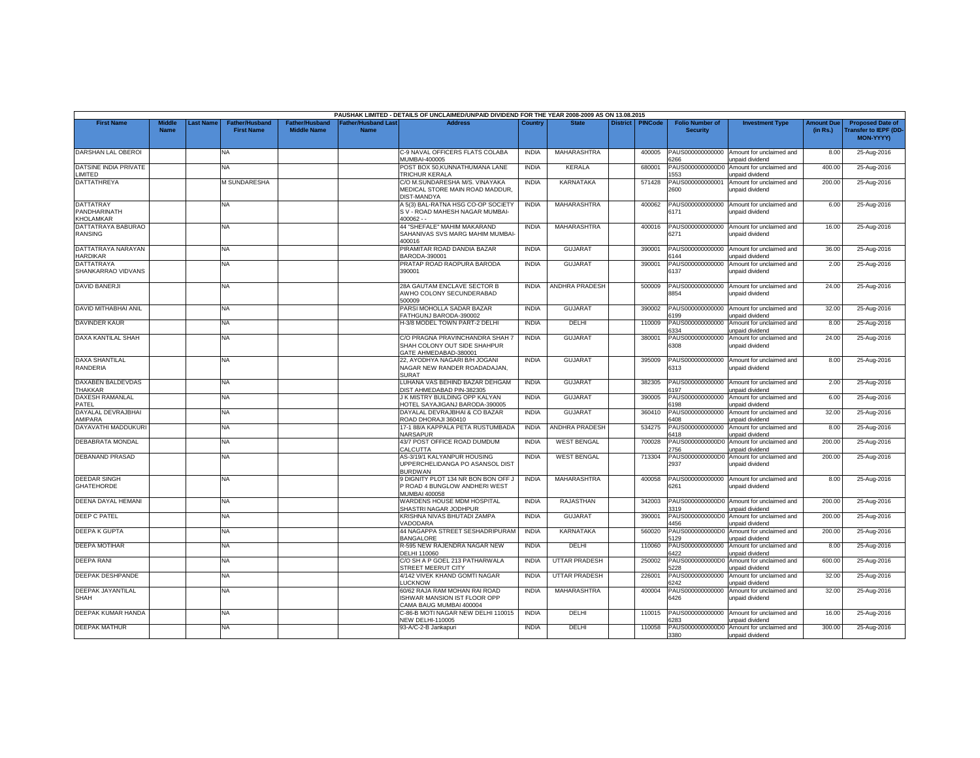|                                               |                              |                 |                                            |                                             |                                          | PAUSHAK LIMITED - DETAILS OF UNCLAIMED/UNPAID DIVIDEND FOR THE YEAR 2008-2009 AS ON 13.08.2015 |              |                       |                 |                |                                           |                                                              |                               |                                                                            |
|-----------------------------------------------|------------------------------|-----------------|--------------------------------------------|---------------------------------------------|------------------------------------------|------------------------------------------------------------------------------------------------|--------------|-----------------------|-----------------|----------------|-------------------------------------------|--------------------------------------------------------------|-------------------------------|----------------------------------------------------------------------------|
| <b>First Name</b>                             | <b>Middle</b><br><b>Name</b> | <b>ast Name</b> | <b>Father/Husband</b><br><b>First Name</b> | <b>Father/Husband</b><br><b>Middle Name</b> | <b>Father/Husband Las</b><br><b>Name</b> | <b>Address</b>                                                                                 | Country      | <b>State</b>          | <b>District</b> | <b>PINCode</b> | <b>Folio Number of</b><br><b>Security</b> | <b>Investment Type</b>                                       | <b>Amount Due</b><br>(in Rs.) | <b>Proposed Date of</b><br><b>Transfer to IEPF (DD</b><br><b>MON-YYYY)</b> |
| DARSHAN LAL OBEROI                            |                              |                 | <b>NA</b>                                  |                                             |                                          | C-9 NAVAL OFFICERS FLATS COLABA<br>MUMBAI-400005                                               | <b>INDIA</b> | MAHARASHTRA           |                 | 400005         | PAUS000000000000<br>6266                  | Amount for unclaimed and<br>unpaid dividend                  | 8.00                          | 25-Aug-2016                                                                |
| DATSINE INDIA PRIVATE<br>LIMITED              |                              |                 | NA                                         |                                             |                                          | POST BOX 50, KUNNATHUMANA LANE<br>TRICHUR KERALA                                               | <b>INDIA</b> | <b>KERALA</b>         |                 | 680001         | AUS0000000000DC<br>553                    | Amount for unclaimed and<br>unpaid dividend                  | 400.00                        | 25-Aug-2016                                                                |
| DATTATHREYA                                   |                              |                 | <b>M SUNDARESHA</b>                        |                                             |                                          | C/O M.SUNDARESHA M/S. VINAYAKA<br>MEDICAL STORE MAIN ROAD MADDUR.<br>DIST-MANDYA               | <b>INDIA</b> | KARNATAKA             |                 | 571428         | PAUS000000000001<br>2600                  | Amount for unclaimed and<br>unpaid dividend                  | 200.00                        | 25-Aug-2016                                                                |
| <b>DATTATRAY</b><br>PANDHARINATH<br>KHOLAMKAR |                              |                 | NA                                         |                                             |                                          | A 5(3) BAL-RATNA HSG CO-OP SOCIETY<br>S V - ROAD MAHESH NAGAR MUMBAI-<br>$400062 -$            | <b>INDIA</b> | MAHARASHTRA           |                 | 400062         | PAUS000000000000<br>6171                  | Amount for unclaimed and<br>unpaid dividend                  | 6.00                          | 25-Aug-2016                                                                |
| DATTATRAYA BABURAO<br><b>RANSING</b>          |                              |                 | NA.                                        |                                             |                                          | 44 "SHEFALE" MAHIM MAKARAND<br>SAHANIVAS SVS MARG MAHIM MUMBAI-<br>400016                      | <b>INDIA</b> | MAHARASHTRA           |                 | 400016         | PAUS000000000000<br>6271                  | Amount for unclaimed and<br>unpaid dividend                  | 16.00                         | 25-Aug-2016                                                                |
| DATTATRAYA NARAYAN<br><b>HARDIKAR</b>         |                              |                 | <b>NA</b>                                  |                                             |                                          | PIRAMITAR ROAD DANDIA BAZAR<br>BARODA-390001                                                   | <b>INDIA</b> | <b>GUJARAT</b>        |                 | 390001         | PAUS000000000000<br>6144                  | Amount for unclaimed and<br><b>Inpaid dividend</b>           | 36.00                         | 25-Aug-2016                                                                |
| <b>DATTATRAYA</b><br>SHANKARRAO VIDVANS       |                              |                 | NA.                                        |                                             |                                          | PRATAP ROAD RAOPURA BARODA<br>390001                                                           | <b>INDIA</b> | <b>GUJARAT</b>        |                 | 390001         | PAUS000000000000<br>6137                  | Amount for unclaimed and<br>unpaid dividend                  | 2.00                          | 25-Aug-2016                                                                |
| <b>DAVID BANERJI</b>                          |                              |                 | NA                                         |                                             |                                          | 28A GAUTAM ENCLAVE SECTOR B<br>AWHO COLONY SECUNDERABAD<br>500009                              | <b>INDIA</b> | ANDHRA PRADESH        |                 | 500009         | PAUS000000000000<br>8854                  | Amount for unclaimed and<br>unpaid dividend                  | 24.00                         | 25-Aug-2016                                                                |
| DAVID MITHABHAI ANIL                          |                              |                 | <b>NA</b>                                  |                                             |                                          | PARSI MOHOLLA SADAR BAZAR<br>FATHGUNJ BARODA-390002                                            | <b>INDIA</b> | <b>GUJARAT</b>        |                 | 390002         | PAUS000000000000<br>199                   | Amount for unclaimed and<br>inpaid dividend                  | 32.00                         | 25-Aug-2016                                                                |
| <b>DAVINDER KAUR</b>                          |                              |                 | <b>NA</b>                                  |                                             |                                          | 1-3/8 MODEL TOWN PART-2 DELHI                                                                  | <b>INDIA</b> | DELHI                 |                 | 110009         | PAUS000000000000<br>334                   | Amount for unclaimed and<br>unpaid dividend                  | 8.00                          | 25-Aug-2016                                                                |
| <b>DAXA KANTILAL SHAH</b>                     |                              |                 | NA                                         |                                             |                                          | C/O PRAGNA PRAVINCHANDRA SHAH<br>SHAH COLONY OUT SIDE SHAHPUR<br>GATE AHMEDABAD-380001         | <b>INDIA</b> | <b>GUJARA1</b>        |                 | 380001         | PAUS000000000000<br>6308                  | Amount for unclaimed and<br>unpaid dividend                  | 24.00                         | 25-Aug-2016                                                                |
| <b>DAXA SHANTILAL</b><br>RANDERIA             |                              |                 | <b>NA</b>                                  |                                             |                                          | 22. AYODHYA NAGARI B/H JOGANI<br>NAGAR NEW RANDER ROADADAJAN.<br><b>SURAT</b>                  | <b>INDIA</b> | <b>GUJARAT</b>        |                 | 395009         | PAUS000000000000<br>6313                  | Amount for unclaimed and<br>unpaid dividend                  | 8.00                          | 25-Aug-2016                                                                |
| DAXABEN BALDEVDAS<br>THAKKAR                  |                              |                 | <b>NA</b>                                  |                                             |                                          | LUHANA VAS BEHIND BAZAR DEHGAM<br><b>DIST AHMEDABAD PIN-382305</b>                             | <b>INDIA</b> | <b>GUJARAT</b>        |                 | 382305         | PAUS000000000000<br>3197                  | Amount for unclaimed and<br><b>Inpaid dividend</b>           | 2.00                          | 25-Aug-2016                                                                |
| <b>DAXESH RAMANLAL</b><br>PATEL               |                              |                 | NA.                                        |                                             |                                          | J K MISTRY BUILDING OPP KALYAN<br><b>IOTEL SAYAJIGANJ BARODA-390005</b>                        | <b>INDIA</b> | <b>GUJARAT</b>        |                 | 390005         | PAUS000000000000<br>3198                  | Amount for unclaimed and<br>unpaid dividend                  | 6.00                          | 25-Aug-2016                                                                |
| DAYALAL DEVRAJBHAI<br>AMIPARA                 |                              |                 | <b>NA</b>                                  |                                             |                                          | DAYALAL DEVRAJBHAI & CO BAZAR<br>ROAD DHORAJI 360410                                           | <b>INDIA</b> | GUJARAT               |                 | 360410         | PAUS000000000000<br>6408                  | Amount for unclaimed and<br>unpaid dividend                  | 32.00                         | 25-Aug-2016                                                                |
| DAYAVATHI MADDUKURI                           |                              |                 | <b>NA</b>                                  |                                             |                                          | 17-1 88/A KAPPALA PETA RUSTUMBADA<br>NARSAPUR                                                  | <b>INDIA</b> | <b>ANDHRA PRADESH</b> |                 | 534275         | PAUS000000000000<br>6418                  | Amount for unclaimed and<br>unpaid dividend                  | 8.00                          | 25-Aug-2016                                                                |
| <b>DEBABRATA MONDAL</b>                       |                              |                 | <b>NA</b>                                  |                                             |                                          | 43/7 POST OFFICE ROAD DUMDUM<br>CALCUTTA                                                       | <b>INDIA</b> | <b>WEST BENGAL</b>    |                 | 700028         | PAUS0000000000D0<br>756                   | Amount for unclaimed and<br>unpaid dividend                  | 200.00                        | 25-Aug-2016                                                                |
| DEBANAND PRASAD                               |                              |                 | <b>NA</b>                                  |                                             |                                          | AS-3/19/1 KALYANPUR HOUSING<br>UPPERCHELIDANGA PO ASANSOL DIST<br><b>BURDWAN</b>               | <b>INDIA</b> | <b>WEST BENGAL</b>    |                 | 713304         | PAUS0000000000D0<br>2937                  | Amount for unclaimed and<br>unpaid dividend                  | 200.00                        | 25-Aug-2016                                                                |
| <b>DEEDAR SINGH</b><br><b>GHATEHORDE</b>      |                              |                 | <b>NA</b>                                  |                                             |                                          | 9 DIGNITY PLOT 134 NR BON BON OFF J<br>P ROAD 4 BUNGLOW ANDHERI WEST<br>MUMBAI 400058          | <b>INDIA</b> | MAHARASHTRA           |                 | 400058         | PAUS000000000000<br>6261                  | Amount for unclaimed and<br>unpaid dividend                  | 8.00                          | 25-Aug-2016                                                                |
| DEENA DAYAL HEMANI                            |                              |                 | NA.                                        |                                             |                                          | WARDENS HOUSE MDM HOSPITAL<br>SHASTRI NAGAR JODHPUR                                            | <b>INDIA</b> | <b>RAJASTHAN</b>      |                 | 342003         | 3319                                      | PAUS0000000000D0 Amount for unclaimed and<br>unpaid dividend | 200.00                        | 25-Aug-2016                                                                |
| <b>DEEP C PATEL</b>                           |                              |                 | NA                                         |                                             |                                          | KRISHNA NIVAS BHUTADI ZAMPA<br>VADODARA                                                        | <b>INDIA</b> | <b>GUJARAT</b>        |                 | 390001         | PAUS0000000000D0<br>1456                  | Amount for unclaimed and<br>unpaid dividend                  | 200.00                        | 25-Aug-2016                                                                |
| DEEPA K GUPTA                                 |                              |                 | <b>NA</b>                                  |                                             |                                          | 44 NAGAPPA STREET SESHADRIPURAM<br><b>BANGALORE</b>                                            | <b>INDIA</b> | KARNATAKA             |                 | 560020         | PAUS0000000000D0<br>129                   | Amount for unclaimed and<br>unpaid dividend                  | 200.00                        | 25-Aug-2016                                                                |
| <b>DEEPA MOTIHAR</b>                          |                              |                 | <b>NA</b>                                  |                                             |                                          | R-595 NEW RAJENDRA NAGAR NEW<br>DELHI 110060                                                   | <b>INDIA</b> | DELHI                 |                 | 110060         | PAUS000000000000<br>3422                  | Amount for unclaimed and<br>unpaid dividend                  | 8.00                          | 25-Aug-2016                                                                |
| <b>DEEPA RANI</b>                             |                              |                 | <b>NA</b>                                  |                                             |                                          | C/O SH A P GOEL 213 PATHARWALA<br>STREET MEERUT CITY                                           | <b>INDIA</b> | <b>UTTAR PRADESH</b>  |                 | 250002         | PAUS0000000000D<br>228                    | Amount for unclaimed and<br>unpaid dividend                  | 600.00                        | 25-Aug-2016                                                                |
| DEEPAK DESHPANDE                              |                              |                 | NA                                         |                                             |                                          | 4/142 VIVEK KHAND GOMTI NAGAR<br><b>LUCKNOW</b>                                                | <b>INDIA</b> | <b>UTTAR PRADESH</b>  |                 | 226001         | PAUS000000000000<br>3242                  | Amount for unclaimed and<br>unpaid dividend                  | 32.00                         | 25-Aug-2016                                                                |
| DEEPAK JAYANTILAL<br>SHAH                     |                              |                 | <b>NA</b>                                  |                                             |                                          | 60/62 RAJA RAM MOHAN RAI ROAD<br>ISHWAR MANSION IST FLOOR OPP<br>CAMA BAUG MUMBAI 400004       | <b>INDIA</b> | MAHARASHTRA           |                 | 400004         | PAUS000000000000<br>6426                  | Amount for unclaimed and<br>unpaid dividend                  | 32.00                         | 25-Aug-2016                                                                |
| DEEPAK KUMAR HANDA                            |                              |                 | <b>NA</b>                                  |                                             |                                          | C-86-B MOTI NAGAR NEW DELHI 110015<br><b>VEW DELHI-110005</b>                                  | <b>INDIA</b> | DELHI                 |                 | 110015         | PAUS000000000000<br>283                   | Amount for unclaimed and<br>unpaid dividend                  | 16.00                         | 25-Aug-2016                                                                |
| <b>DEEPAK MATHUR</b>                          |                              |                 | <b>NA</b>                                  |                                             |                                          | 93-A/C-2-B Jankapuri                                                                           | <b>INDIA</b> | DELHI                 |                 | 110058         | 3380                                      | PAUS000000000D0 Amount for unclaimed and<br>unpaid dividend  | 300.00                        | 25-Aug-2016                                                                |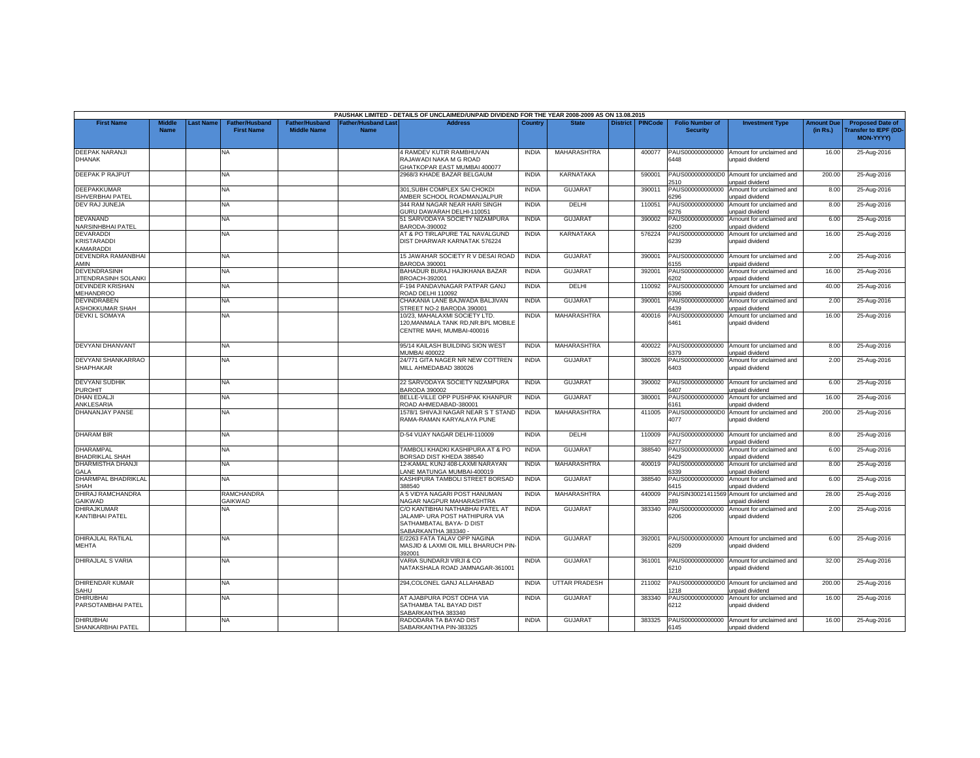|                                                            |                       |           |                                            |                                             |                                          | PAUSHAK LIMITED - DETAILS OF UNCLAIMED/UNPAID DIVIDEND FOR THE YEAR 2008-2009 AS ON 13.08.2015                         |              |                      |                 |                |                                           |                                                              |                               |                                                                    |
|------------------------------------------------------------|-----------------------|-----------|--------------------------------------------|---------------------------------------------|------------------------------------------|------------------------------------------------------------------------------------------------------------------------|--------------|----------------------|-----------------|----------------|-------------------------------------------|--------------------------------------------------------------|-------------------------------|--------------------------------------------------------------------|
| <b>First Name</b>                                          | Middle<br><b>Name</b> | Last Name | <b>Father/Husband</b><br><b>First Name</b> | <b>Father/Husband</b><br><b>Middle Name</b> | <b>Father/Husband Las</b><br><b>Name</b> | <b>Address</b>                                                                                                         | Country      | <b>State</b>         | <b>District</b> | <b>PINCode</b> | <b>Folio Number of</b><br><b>Security</b> | <b>Investment Type</b>                                       | <b>Amount Due</b><br>(in Rs.) | <b>Proposed Date of</b><br>ransfer to IEPF (DD<br><b>MON-YYYY)</b> |
| <b>DEEPAK NARANJI</b><br><b>DHANAK</b>                     |                       |           | NA                                         |                                             |                                          | 4 RAMDEV KUTIR RAMBHUVAN<br>RAJAWADI NAKA M G ROAD<br><b>GHATKOPAR EAST MUMBAI 400077</b>                              | <b>INDIA</b> | MAHARASHTRA          |                 | 400077         | PAUS000000000000<br>6448                  | Amount for unclaimed and<br>unpaid dividend                  | 16.00                         | 25-Aug-2016                                                        |
| <b>DEEPAK P RAJPUT</b>                                     |                       |           | NA                                         |                                             |                                          | 2968/3 KHADE BAZAR BELGAUM                                                                                             | <b>INDIA</b> | KARNATAKA            |                 | 590001         | PAUS0000000000D0<br>510                   | Amount for unclaimed and<br>unpaid dividend                  | 200.00                        | 25-Aug-2016                                                        |
| DEEPAKKUMAR<br><b>ISHVERBHAI PATEL</b>                     |                       |           | <b>NA</b>                                  |                                             |                                          | 301.SUBH COMPLEX SAI CHOKDI<br>AMBER SCHOOL ROADMANJALPUR                                                              | <b>INDIA</b> | <b>GUJARAT</b>       |                 | 390011         | PAUS000000000000<br>6296                  | Amount for unclaimed and<br>unpaid dividend                  | 8.00                          | 25-Aug-2016                                                        |
| DEV RAJ JUNEJA                                             |                       |           | NA                                         |                                             |                                          | 344 RAM NAGAR NEAR HARI SINGH<br><b>GURU DAWARAH DELHI-110051</b>                                                      | <b>INDIA</b> | DELHI                |                 | 110051         | PAUS000000000000<br>6276                  | Amount for unclaimed and<br>unpaid dividend                  | 8.00                          | 25-Aug-2016                                                        |
| <b>DEVANAND</b><br><b>NARSINHBHAI PATEL</b>                |                       |           | <b>NA</b>                                  |                                             |                                          | 51 SARVODAYA SOCIETY NIZAMPURA<br>BARODA-390002                                                                        | <b>INDIA</b> | <b>GUJARAT</b>       |                 | 390002         | PAUS000000000000<br>3200                  | Amount for unclaimed and<br>unpaid dividend                  | 6.00                          | 25-Aug-2016                                                        |
| <b>DEVARADDI</b><br><b>KRISTARADDI</b><br><b>KAMARADDI</b> |                       |           | NA                                         |                                             |                                          | AT & PO TIRLAPURE TAL NAVALGUND<br>DIST DHARWAR KARNATAK 576224                                                        | <b>INDIA</b> | KARNATAKA            |                 | 576224         | PAUS000000000000<br>6239                  | Amount for unclaimed and<br>unpaid dividend                  | 16.00                         | 25-Aug-2016                                                        |
| DEVENDRA RAMANBHAI<br>AMIN                                 |                       |           | NA                                         |                                             |                                          | 15 JAWAHAR SOCIETY R V DESAI ROAD<br><b>BARODA 390001</b>                                                              | <b>INDIA</b> | <b>GUJARAT</b>       |                 | 390001         | PAUS000000000000<br>155                   | Amount for unclaimed and<br>unpaid dividend                  | 2.00                          | 25-Aug-2016                                                        |
| <b>DEVENDRASINH</b><br><b>JITENDRASINH SOLANK</b>          |                       |           | <b>NA</b>                                  |                                             |                                          | BAHADUR BURAJ HAJIKHANA BAZAR<br>BROACH-392001                                                                         | <b>INDIA</b> | <b>GUJARAT</b>       |                 | 392001         | PAUS000000000000<br>3202                  | Amount for unclaimed and<br>inpaid dividend                  | 16.00                         | 25-Aug-2016                                                        |
| <b>DEVINDER KRISHAN</b><br><b>MEHANDROO</b>                |                       |           | NA                                         |                                             |                                          | -194 PANDAVNAGAR PATPAR GANJ<br><b>ROAD DELHI 110092</b>                                                               | <b>INDIA</b> | DELHI                |                 | 110092         | PAUS000000000000<br>396                   | Amount for unclaimed and<br>unpaid dividend                  | 40.00                         | 25-Aug-2016                                                        |
| DEVINDRABEN<br>ASHOKKUMAR SHAH                             |                       |           | <b>NA</b>                                  |                                             |                                          | CHAKANIA LANE BAJWADA BALJIVAN<br>TREET NO-2 BARODA 390001                                                             | <b>INDIA</b> | <b>GUJARAT</b>       |                 | 390001         | PAUS000000000000<br>6439                  | Amount for unclaimed and<br>unpaid dividend                  | 2.00                          | 25-Aug-2016                                                        |
| <b>DEVKIL SOMAYA</b>                                       |                       |           | NA                                         |                                             |                                          | 10/23, MAHALAXMI SOCIETY LTD.<br>120, MANMALA TANK RD, NR. BPL MOBILE<br>CENTRE MAHI, MUMBAI-400016                    | <b>INDIA</b> | MAHARASHTRA          |                 | 400016         | 6461                                      | PAUS000000000000 Amount for unclaimed and<br>unpaid dividend | 16.00                         | 25-Aug-2016                                                        |
| <b>DEVYANI DHANVANT</b>                                    |                       |           | NA                                         |                                             |                                          | 95/14 KAILASH BUILDING SION WEST<br>MUMBAI 400022                                                                      | <b>INDIA</b> | MAHARASHTRA          |                 | 400022         | 6379                                      | PAUS000000000000 Amount for unclaimed and<br>unpaid dividend | 8.00                          | 25-Aug-2016                                                        |
| <b>DEVYANI SHANKARRAO</b><br><b>SHAPHAKAR</b>              |                       |           | NA                                         |                                             |                                          | 24/771 GITA NAGER NR NEW COTTREN<br>MILL AHMEDABAD 380026                                                              | <b>INDIA</b> | <b>GUJARAT</b>       |                 | 380026         | PAUS000000000000<br>6403                  | Amount for unclaimed and<br>unpaid dividend                  | 2.00                          | 25-Aug-2016                                                        |
| <b>DEVYANI SUDHIK</b><br><b>PUROHIT</b>                    |                       |           | NA.                                        |                                             |                                          | 22 SARVODAYA SOCIETY NIZAMPURA<br>BARODA 390002                                                                        | <b>INDIA</b> | <b>GUJARAT</b>       |                 | 390002         | PAUS000000000000<br>107                   | Amount for unclaimed and<br>unpaid dividend                  | 6.00                          | 25-Aug-2016                                                        |
| <b>DHAN EDALJ</b><br>ANKLESARIA                            |                       |           | <b>NA</b>                                  |                                             |                                          | BELLE-VILLE OPP PUSHPAK KHANPUR<br>ROAD AHMEDABAD-380001                                                               | <b>INDIA</b> | <b>GUJARAT</b>       |                 | 380001         | PAUS000000000000<br>6161                  | Amount for unclaimed and<br>unpaid dividend                  | 16.00                         | 25-Aug-2016                                                        |
| <b>DHANANJAY PANSE</b>                                     |                       |           | NA                                         |                                             |                                          | 1578/1 SHIVAJI NAGAR NEAR S T STAND<br>RAMA-RAMAN KARYALAYA PUNE                                                       | <b>INDIA</b> | MAHARASHTRA          |                 | 411005         | PAUS0000000000D0<br>4077                  | Amount for unclaimed and<br>unpaid dividend                  | 200.00                        | 25-Aug-2016                                                        |
| <b>DHARAM BIR</b>                                          |                       |           | NA.                                        |                                             |                                          | D-54 VIJAY NAGAR DELHI-110009                                                                                          | <b>INDIA</b> | DELHI                |                 | 110009         | 3277                                      | PAUS000000000000 Amount for unclaimed and<br>unpaid dividend | 8.00                          | 25-Aug-2016                                                        |
| DHARAMPAL<br><b>BHADRIKLAL SHAH</b>                        |                       |           | <b>NA</b>                                  |                                             |                                          | TAMBOLI KHADKI KASHIPURA AT & PO<br>BORSAD DIST KHEDA 388540                                                           | <b>INDIA</b> | <b>GUJARAT</b>       |                 | 388540         | PAUS000000000000<br>6429                  | Amount for unclaimed and<br>unpaid dividend                  | 6.00                          | 25-Aug-2016                                                        |
| <b>DHARMISTHA DHANJI</b><br><b>GALA</b>                    |                       |           | NA                                         |                                             |                                          | 12-KAMAL KUNJ 408-LAXMI NARAYAN<br>ANE MATUNGA MUMBAI-400019                                                           | <b>INDIA</b> | MAHARASHTRA          |                 | 400019         | PAUS000000000000<br>6339                  | Amount for unclaimed and<br>unpaid dividend                  | 8.00                          | 25-Aug-2016                                                        |
| DHARMPAL BHADRIKLAL<br><b>SHAH</b>                         |                       |           | <b>NA</b>                                  |                                             |                                          | KASHIPURA TAMBOLI STREET BORSAD<br>388540                                                                              | <b>INDIA</b> | GUJARAT              |                 | 388540         | PAUS000000000000<br>6415                  | Amount for unclaimed and<br>unpaid dividend                  | 6.00                          | 25-Aug-2016                                                        |
| DHIRAJ RAMCHANDRA<br>GAIKWAD                               |                       |           | RAMCHANDRA<br><b>GAIKWAD</b>               |                                             |                                          | A 5 VIDYA NAGARI POST HANUMAN<br><b>VAGAR NAGPUR MAHARASHTRA</b>                                                       | <b>INDIA</b> | MAHARASHTRA          |                 | 440009         | PAUSIN30021411569<br><b>RQ</b>            | Amount for unclaimed and<br>unpaid dividend                  | 28.00                         | 25-Aug-2016                                                        |
| DHIRAJKUMAR<br><b>KANTIBHAI PATEL</b>                      |                       |           | NA.                                        |                                             |                                          | C/O KANTIBHAI NATHABHAI PATEL AT<br>JALAMP- URA POST HATHIPURA VIA<br>SATHAMBATAL BAYA- D DIST<br>SABARKANTHA 383340 - | <b>INDIA</b> | <b>GUJARAT</b>       |                 | 383340         | PAUS000000000000<br>6206                  | Amount for unclaimed and<br>unpaid dividend                  | 2.00                          | 25-Aug-2016                                                        |
| DHIRAJLAL RATILAL<br><b>MEHTA</b>                          |                       |           | NA                                         |                                             |                                          | E/2263 FATA TALAV OPP NAGINA<br>MASJID & LAXMI OIL MILL BHARUCH PIN-<br>392001                                         | <b>INDIA</b> | <b>GUJARAT</b>       |                 | 392001         | 6209                                      | PAUS000000000000 Amount for unclaimed and<br>unpaid dividend | 6.00                          | 25-Aug-2016                                                        |
| <b>DHIRAJLAL S VARIA</b>                                   |                       |           | <b>NA</b>                                  |                                             |                                          | VARIA SUNDARJI VIRJI & CO<br>NATAKSHALA ROAD JAMNAGAR-361001                                                           | <b>INDIA</b> | <b>GUJARAT</b>       |                 | 361001         | 6210                                      | PAUS000000000000 Amount for unclaimed and<br>unpaid dividend | 32.00                         | 25-Aug-2016                                                        |
| <b>DHIRENDAR KUMAR</b><br>SAHU                             |                       |           | NA                                         |                                             |                                          | 294, COLONEL GANJ ALLAHABAD                                                                                            | <b>INDIA</b> | <b>UTTAR PRADESH</b> |                 | 211002         | 218                                       | PAUS0000000000D0 Amount for unclaimed and<br>unpaid dividend | 200.00                        | 25-Aug-2016                                                        |
| DHIRUBHAI<br>PARSOTAMBHAI PATEL                            |                       |           | NA                                         |                                             |                                          | AT AJABPURA POST ODHA VIA<br>SATHAMBA TAL BAYAD DIST<br>SABARKANTHA 383340                                             | <b>INDIA</b> | <b>GUJARAT</b>       |                 | 383340         | PAUS00000000000<br>6212                   | Amount for unclaimed and<br>unpaid dividend                  | 16.00                         | 25-Aug-2016                                                        |
| <b>DHIRUBHAI</b><br>SHANKARBHAI PATEL                      |                       |           | NA                                         |                                             |                                          | RADODARA TA BAYAD DIST<br>SABARKANTHA PIN-383325                                                                       | <b>INDIA</b> | GUJARAT              |                 | 383325         | 6145                                      | PAUS000000000000 Amount for unclaimed and<br>unpaid dividend | 16.00                         | 25-Aug-2016                                                        |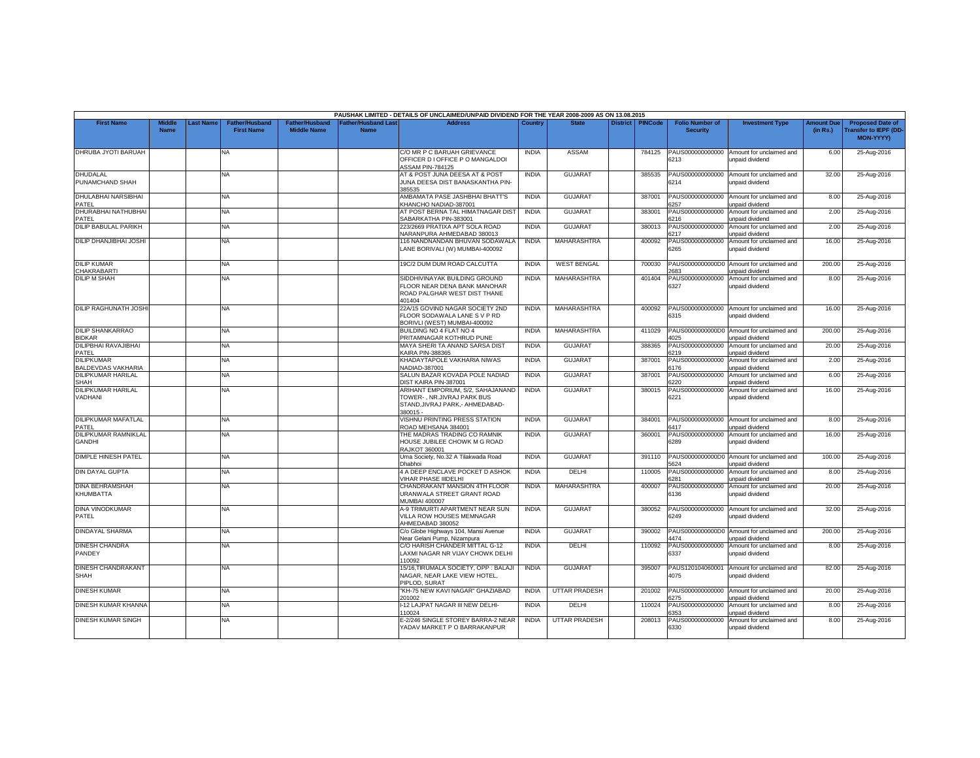|                                                |                              |                 |                                            |                                      |                                                | PAUSHAK LIMITED - DETAILS OF UNCLAIMED/UNPAID DIVIDEND FOR THE YEAR 2008-2009 AS ON 13.08.2015                  |              |                      |                 |                |                                           |                                                              |                               |                                                              |
|------------------------------------------------|------------------------------|-----------------|--------------------------------------------|--------------------------------------|------------------------------------------------|-----------------------------------------------------------------------------------------------------------------|--------------|----------------------|-----------------|----------------|-------------------------------------------|--------------------------------------------------------------|-------------------------------|--------------------------------------------------------------|
| <b>First Name</b>                              | <b>Middle</b><br><b>Name</b> | <b>ast Name</b> | <b>Father/Husband</b><br><b>First Name</b> | Father/Husband<br><b>Middle Name</b> | ather/Husband Last <sup>-</sup><br><b>Name</b> | <b>Address</b>                                                                                                  | Country      | <b>State</b>         | <b>District</b> | <b>PINCode</b> | <b>Folio Number of</b><br><b>Security</b> | <b>Investment Type</b>                                       | <b>Amount Due</b><br>(in Rs.) | <b>Proposed Date of</b><br>ransfer to IEPF (DD-<br>MON-YYYY) |
| DHRUBA JYOTI BARUAH                            |                              |                 | <b>NA</b>                                  |                                      |                                                | C/O MR P C BARUAH GRIEVANCE<br>OFFICER D I OFFICE P O MANGALDOI<br><b>ASSAM PIN-784125</b>                      | <b>INDIA</b> | <b>ASSAM</b>         |                 | 784125         | PAUS000000000000<br>6213                  | Amount for unclaimed and<br>unpaid dividend                  | 6.00                          | 25-Aug-2016                                                  |
| DHUDALAL<br>PUNAMCHAND SHAH                    |                              |                 | NA                                         |                                      |                                                | AT & POST JUNA DEESA AT & POST<br>JUNA DEESA DIST BANASKANTHA PIN-<br>385535                                    | <b>INDIA</b> | <b>GUJARAT</b>       |                 | 385535         | PAUS000000000000<br>6214                  | Amount for unclaimed and<br>unpaid dividend                  | 32.00                         | 25-Aug-2016                                                  |
| DHULABHAI NARSIBHAI<br>PATEL                   |                              |                 | NA.                                        |                                      |                                                | AMBAMATA PASE JASHBHAI BHATT'S<br>KHANCHO NADIAD-387001                                                         | <b>INDIA</b> | <b>GUJARAT</b>       |                 | 387001         | PAUS000000000000<br>257                   | Amount for unclaimed and<br>unpaid dividend                  | 8.00                          | 25-Aug-2016                                                  |
| DHURABHAI NATHUBHAI<br>PATEL                   |                              |                 | <b>NA</b>                                  |                                      |                                                | AT POST BERNA TAL HIMATNAGAR DIST<br>SABARKATHA PIN-383001                                                      | <b>INDIA</b> | <b>GUJARAT</b>       |                 | 383001         | PAUS000000000000<br>6216                  | Amount for unclaimed and<br>unpaid dividend                  | 2.00                          | 25-Aug-2016                                                  |
| <b>DILIP BABULAL PARIKH</b>                    |                              |                 | NA.                                        |                                      |                                                | 223/2669 PRATIXA APT SOLA ROAD<br>NARANPURA AHMEDABAD 380013                                                    | <b>INDIA</b> | <b>GUJARAT</b>       |                 | 380013         | PAUS000000000000<br>6217                  | Amount for unclaimed and<br>unpaid dividend                  | 2.00                          | 25-Aug-2016                                                  |
| DILIP DHANJIBHAI JOSHI                         |                              |                 | <b>NA</b>                                  |                                      |                                                | 116 NANDNANDAN BHUVAN SODAWALA<br>LANE BORIVALI (W) MUMBAI-400092                                               | <b>INDIA</b> | MAHARASHTRA          |                 | 400092         | 6265                                      | PAUS000000000000 Amount for unclaimed and<br>unpaid dividend | 16.00                         | 25-Aug-2016                                                  |
| <b>DILIP KUMAR</b><br><b>CHAKRABARTI</b>       |                              |                 | NA.                                        |                                      |                                                | 19C/2 DUM DUM ROAD CALCUTTA                                                                                     | <b>INDIA</b> | <b>WEST BENGAL</b>   |                 | 700030         | PAUS0000000000D0<br>2683                  | Amount for unclaimed and<br>unpaid dividend                  | 200.00                        | 25-Aug-2016                                                  |
| <b>DILIP M SHAH</b>                            |                              |                 | NA                                         |                                      |                                                | SIDDHIVINAYAK BUILDING GROUND<br>FLOOR NEAR DENA BANK MANOHAR<br>ROAD PALGHAR WEST DIST THANE<br>401404         | <b>INDIA</b> | <b>MAHARASHTRA</b>   |                 | 401404         | PAUS000000000000<br>6327                  | Amount for unclaimed and<br>unpaid dividend                  | 8.00                          | 25-Aug-2016                                                  |
| DILIP RAGHUNATH JOSHI                          |                              |                 | <b>NA</b>                                  |                                      |                                                | 22A/15 GOVIND NAGAR SOCIETY 2ND<br>FLOOR SODAWALA LANE S V P RD<br>BORIVLI (WEST) MUMBAI-400092                 | <b>INDIA</b> | MAHARASHTRA          |                 | 400092         | 6315                                      | PAUS000000000000 Amount for unclaimed and<br>unpaid dividend | 16.00                         | 25-Aug-2016                                                  |
| <b>DILIP SHANKARRAO</b><br><b>BIDKAR</b>       |                              |                 | NA                                         |                                      |                                                | BUILDING NO 4 FLAT NO 4<br>PRITAMNAGAR KOTHRUD PUNE                                                             | <b>INDIA</b> | MAHARASHTRA          |                 | 411029         | PAUS0000000000D0<br>025                   | Amount for unclaimed and<br>unpaid dividend                  | 200.00                        | 25-Aug-2016                                                  |
| DILIPBHAI RAVAJIBHAI<br>PATEL                  |                              |                 | NA                                         |                                      |                                                | MAYA SHERI TA ANAND SARSA DIST<br>KAIRA PIN-388365                                                              | <b>INDIA</b> | <b>GUJARAT</b>       |                 | 388365         | PAUS000000000000<br>6219                  | Amount for unclaimed and<br>unpaid dividend                  | 20.00                         | 25-Aug-2016                                                  |
| <b>DILIPKUMAR</b><br><b>BALDEVDAS VAKHARIA</b> |                              |                 | <b>NA</b>                                  |                                      |                                                | KHADAYTAPOLE VAKHARIA NIWAS<br>NADIAD-387001                                                                    | <b>INDIA</b> | <b>GUJARAT</b>       |                 | 387001         | PAUS000000000000<br>6176                  | Amount for unclaimed and<br>unpaid dividend                  | 2.00                          | 25-Aug-2016                                                  |
| DILIPKUMAR HARILAL<br><b>SHAH</b>              |                              |                 | <b>NA</b>                                  |                                      |                                                | SALUN BAZAR KOVADA POLE NADIAD<br>DIST KAIRA PIN-387001                                                         | <b>INDIA</b> | <b>GUJARAT</b>       |                 | 387001         | PAUS000000000000<br>220                   | Amount for unclaimed and<br>unpaid dividend                  | 6.00                          | 25-Aug-2016                                                  |
| DILIPKUMAR HARILAL<br>VADHANI                  |                              |                 | <b>NA</b>                                  |                                      |                                                | ARIHANT EMPORIUM, S/2, SAHAJANAND<br>TOWER-, NR.JIVRAJ PARK BUS<br>STAND, JIVRAJ PARK, - AHMEDABAD-<br>380015 - | <b>INDIA</b> | <b>GUJARAT</b>       |                 | 380015         | 6221                                      | PAUS000000000000 Amount for unclaimed and<br>unpaid dividend | 16.00                         | 25-Aug-2016                                                  |
| DILIPKUMAR MAFATLAL<br>PATEL                   |                              |                 | NA                                         |                                      |                                                | VISHNU PRINTING PRESS STATION<br>ROAD MEHSANA 384001                                                            | <b>INDIA</b> | GUJARAT              |                 | 384001         | 6417                                      | PAUS000000000000 Amount for unclaimed and<br>unpaid dividend | 8.00                          | 25-Aug-2016                                                  |
| <b>DILIPKUMAR RAMNIKLAL</b><br><b>GANDHI</b>   |                              |                 | NA.                                        |                                      |                                                | THE MADRAS TRADING CO RAMNIK<br>HOUSE JUBILEE CHOWK M G ROAD<br>RAJKOT 360001                                   | <b>INDIA</b> | <b>GUJARAT</b>       |                 | 360001         | PAUS000000000000<br>6289                  | Amount for unclaimed and<br>unpaid dividend                  | 16.00                         | 25-Aug-2016                                                  |
| DIMPLE HINESH PATEL                            |                              |                 | NA                                         |                                      |                                                | Uma Society, No.32 A Tilakwada Road<br>Dhabhoi                                                                  | <b>INDIA</b> | <b>GUJARAT</b>       |                 | 391110         | PAUS0000000000D0<br>624                   | Amount for unclaimed and<br>unpaid dividend                  | 100.00                        | 25-Aug-2016                                                  |
| <b>DIN DAYAL GUPTA</b>                         |                              |                 | NA                                         |                                      |                                                | 4 A DEEP ENCLAVE POCKET D ASHOK<br><b>/IHAR PHASE IIIDELHI</b>                                                  | <b>INDIA</b> | DELHI                |                 | 110005         | PAUS000000000000<br>281                   | Amount for unclaimed and<br>unpaid dividend                  | 8.00                          | 25-Aug-2016                                                  |
| DINA BEHRAMSHAH<br>KHUMBATTA                   |                              |                 | <b>NA</b>                                  |                                      |                                                | CHANDRAKANT MANSION 4TH FLOOR<br>URANWALA STREET GRANT ROAD<br>MUMBAI 400007                                    | <b>INDIA</b> | MAHARASHTRA          |                 | 400007         | PAUS000000000000<br>6136                  | Amount for unclaimed and<br>unpaid dividend                  | 20.00                         | 25-Aug-2016                                                  |
| DINA VINODKUMAR<br>PATEL                       |                              |                 | NA.                                        |                                      |                                                | A-9 TRIMURTI APARTMENT NEAR SUN<br>VILLA ROW HOUSES MEMNAGAR<br>AHMEDABAD 380052                                | <b>INDIA</b> | <b>GUJARAT</b>       |                 | 380052         | PAUS000000000000<br>6249                  | Amount for unclaimed and<br>unpaid dividend                  | 32.00                         | 25-Aug-2016                                                  |
| DINDAYAL SHARMA                                |                              |                 | <b>NA</b>                                  |                                      |                                                | C/o Globe Highways 104, Mansi Avenue<br>Near Gelani Pump, Nizampura                                             | <b>INDIA</b> | <b>GUJARAT</b>       |                 | 390002         | 1474                                      | PAUS000000000D0 Amount for unclaimed and<br>unpaid dividend  | 200.00                        | 25-Aug-2016                                                  |
| <b>DINESH CHANDRA</b><br>PANDEY                |                              |                 | <b>NA</b>                                  |                                      |                                                | C/O HARISH CHANDER MITTAL G-12<br>LAXMI NAGAR NR VIJAY CHOWK DELHI<br>10092                                     | <b>INDIA</b> | DELHI                |                 | 110092         | PAUS000000000000<br>6337                  | Amount for unclaimed and<br>unpaid dividend                  | 8.00                          | 25-Aug-2016                                                  |
| DINESH CHANDRAKANT<br>SHAH                     |                              |                 | NA                                         |                                      |                                                | 15/16, TIRUMALA SOCIETY, OPP : BALAJI<br>NAGAR, NEAR LAKE VIEW HOTEL,<br>PIPLOD, SURAT                          | <b>INDIA</b> | <b>GUJARAT</b>       |                 | 395007         | PAUS120104060001<br>4075                  | Amount for unclaimed and<br>unpaid dividend                  | 82.00                         | 25-Aug-2016                                                  |
| <b>DINESH KUMAR</b>                            |                              |                 | <b>NA</b>                                  |                                      |                                                | "KH-75 NEW KAVI NAGAR" GHAZIABAD<br>201002                                                                      | <b>INDIA</b> | <b>UTTAR PRADESH</b> |                 | 201002         | 275                                       | PAUS000000000000 Amount for unclaimed and<br>inpaid dividend | 20.00                         | 25-Aug-2016                                                  |
| DINESH KUMAR KHANNA                            |                              |                 | <b>NA</b>                                  |                                      |                                                | -12 LAJPAT NAGAR III NEW DELHI-<br>10024                                                                        | <b>INDIA</b> | DELHI                |                 | 110024         | PAUS000000000000<br>353                   | Amount for unclaimed and<br>unpaid dividend                  | 8.00                          | 25-Aug-2016                                                  |
| DINESH KUMAR SINGH                             |                              |                 | NA                                         |                                      |                                                | E-2/246 SINGLE STOREY BARRA-2 NEAR<br>YADAV MARKET P O BARRAKANPUR                                              | <b>INDIA</b> | <b>UTTAR PRADESH</b> |                 | 208013         | PAUS000000000000<br>6330                  | Amount for unclaimed and<br>unpaid dividend                  | 8.00                          | 25-Aug-2016                                                  |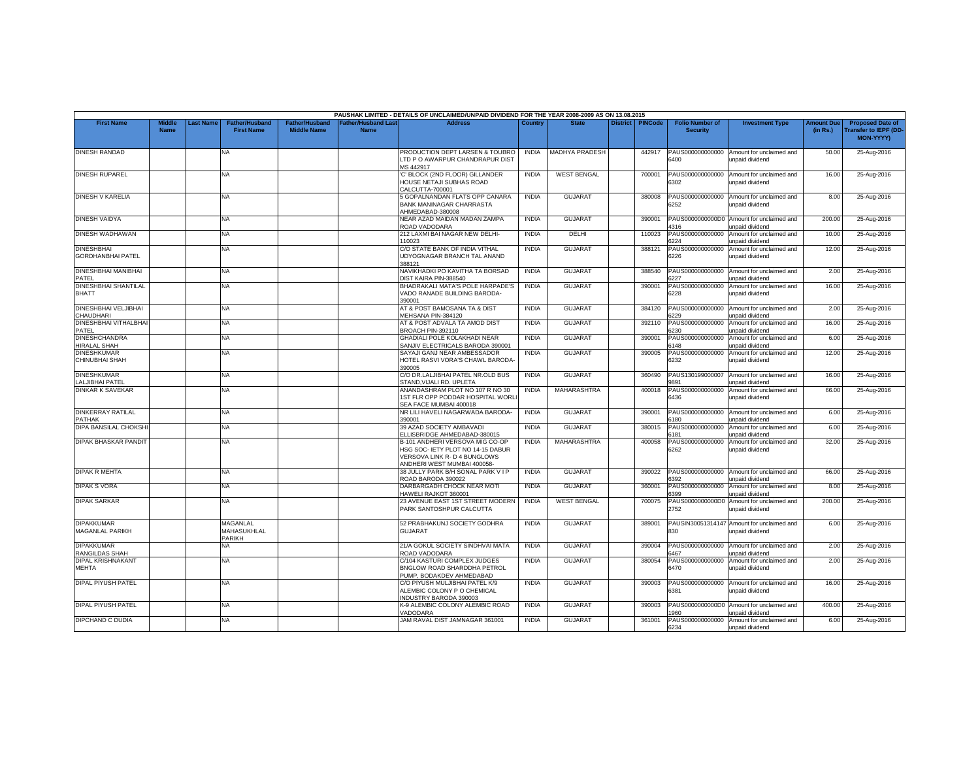|                                               |                              |           |                                                 |                                             |                                          | PAUSHAK LIMITED - DETAILS OF UNCLAIMED/UNPAID DIVIDEND FOR THE YEAR 2008-2009 AS ON 13.08.2015                                      |              |                       |                 |         |                                           |                                                               |                               |                                                                     |
|-----------------------------------------------|------------------------------|-----------|-------------------------------------------------|---------------------------------------------|------------------------------------------|-------------------------------------------------------------------------------------------------------------------------------------|--------------|-----------------------|-----------------|---------|-------------------------------------------|---------------------------------------------------------------|-------------------------------|---------------------------------------------------------------------|
| <b>First Name</b>                             | <b>Middle</b><br><b>Name</b> | Last Name | <b>Father/Husband</b><br><b>First Name</b>      | <b>Father/Husband</b><br><b>Middle Name</b> | <b>Father/Husband Las</b><br><b>Name</b> | <b>Address</b>                                                                                                                      | Country      | <b>State</b>          | <b>District</b> | PINCode | <b>Folio Number of</b><br><b>Security</b> | <b>Investment Type</b>                                        | <b>Amount Due</b><br>(in Rs.) | <b>Proposed Date of</b><br>ransfer to IEPF (DD-<br><b>MON-YYYY)</b> |
| <b>DINESH RANDAD</b>                          |                              |           | NA                                              |                                             |                                          | PRODUCTION DEPT LARSEN & TOUBRO<br>LTD P O AWARPUR CHANDRAPUR DIST<br><b>MS 442917</b>                                              | <b>INDIA</b> | <b>MADHYA PRADESH</b> |                 | 442917  | PAUS000000000000<br>3400                  | Amount for unclaimed and<br>unpaid dividend                   | 50.00                         | 25-Aug-2016                                                         |
| <b>DINESH RUPAREL</b>                         |                              |           | NA                                              |                                             |                                          | C' BLOCK (2ND FLOOR) GILLANDER<br>HOUSE NETAJI SUBHAS ROAD<br>CALCUTTA-700001                                                       | <b>INDIA</b> | <b>WEST BENGAL</b>    |                 | 700001  | PAUS000000000000<br>6302                  | Amount for unclaimed and<br>unpaid dividend                   | 16.00                         | 25-Aug-2016                                                         |
| DINESH V KARELIA                              |                              |           | <b>NA</b>                                       |                                             |                                          | 5 GOPALNANDAN FLATS OPP CANARA<br><b>BANK MANINAGAR CHARRASTA</b><br>AHMEDABAD-380008                                               | <b>INDIA</b> | <b>GUJARAT</b>        |                 | 380008  | 3252                                      | PAUS000000000000 Amount for unclaimed and<br>unpaid dividend  | 8.00                          | 25-Aug-2016                                                         |
| <b>DINESH VAIDYA</b>                          |                              |           | <b>NA</b>                                       |                                             |                                          | NEAR AZAD MAIDAN MADAN ZAMPA<br>ROAD VADODARA                                                                                       | <b>INDIA</b> | <b>GUJARAT</b>        |                 | 390001  | 1316                                      | PAUS0000000000D0 Amount for unclaimed and<br>unpaid dividend  | 200.00                        | 25-Aug-2016                                                         |
| <b>DINESH WADHAWAN</b>                        |                              |           | NA                                              |                                             |                                          | 212 LAXMI BAI NAGAR NEW DELHI-<br>110023                                                                                            | <b>INDIA</b> | DELHI                 |                 | 110023  | PAUS000000000000<br>3224                  | Amount for unclaimed and<br>unpaid dividend                   | 10.00                         | 25-Aug-2016                                                         |
| <b>DINESHBHAI</b><br><b>GORDHANBHAI PATEL</b> |                              |           | NA                                              |                                             |                                          | C/O STATE BANK OF INDIA VITHAL<br>UDYOGNAGAR BRANCH TAL ANAND<br>388121                                                             | <b>INDIA</b> | <b>GUJARAT</b>        |                 | 388121  | PAUS000000000000<br>6226                  | Amount for unclaimed and<br>unpaid dividend                   | 12.00                         | 25-Aug-2016                                                         |
| <b>DINESHBHAI MANIBHAI</b><br>PATEL           |                              |           | <b>NA</b>                                       |                                             |                                          | NAVIKHADKI PO KAVITHA TA BORSAD<br>DIST KAIRA PIN-388540                                                                            | <b>INDIA</b> | <b>GUJARAT</b>        |                 | 388540  | PAUS000000000000<br>227                   | Amount for unclaimed and<br>unpaid dividend                   | 2.00                          | 25-Aug-2016                                                         |
| DINESHBHAI SHANTILAL<br><b>BHATT</b>          |                              |           | NA.                                             |                                             |                                          | BHADRAKALI MATA'S POLE HARPADE'S<br>VADO RANADE BUILDING BARODA-<br>390001                                                          | <b>INDIA</b> | <b>GUJARAT</b>        |                 | 390001  | PAUS000000000000<br>6228                  | Amount for unclaimed and<br>unpaid dividend                   | 16.00                         | 25-Aug-2016                                                         |
| DINESHBHAI VELJIBHAI<br>CHAUDHARI             |                              |           | NA.                                             |                                             |                                          | AT & POST BAMOSANA TA & DIST<br>MEHSANA PIN-384120                                                                                  | <b>INDIA</b> | <b>GUJARAT</b>        |                 | 384120  | PAUS000000000000<br>3229                  | Amount for unclaimed and<br>unpaid dividend                   | 2.00                          | 25-Aug-2016                                                         |
| DINESHBHAI VITHALBHAI<br>PATEL                |                              |           | NA.                                             |                                             |                                          | AT & POST ADVALA TA AMOD DIST<br>BROACH PIN-392110                                                                                  | <b>INDIA</b> | <b>GUJARAT</b>        |                 | 392110  | PAUS000000000000<br>3230                  | Amount for unclaimed and<br>unpaid dividend                   | 16.00                         | 25-Aug-2016                                                         |
| <b>DINESHCHANDRA</b><br>HIRALAL SHAH          |                              |           | NA.                                             |                                             |                                          | <b>GHADIALI POLE KOLAKHADI NEAR</b><br>SANJIV ELECTRICALS BARODA 390001                                                             | <b>INDIA</b> | <b>GUJARAT</b>        |                 | 390001  | PAUS000000000000<br>148                   | Amount for unclaimed and<br>unpaid dividend                   | 6.00                          | 25-Aug-2016                                                         |
| <b>DINESHKUMAR</b><br><b>CHINUBHAI SHAH</b>   |                              |           | <b>NA</b>                                       |                                             |                                          | SAYAJI GANJ NEAR AMBESSADOR<br>HOTEL RASVI VORA'S CHAWL BARODA-<br>390005                                                           | <b>INDIA</b> | <b>GUJARAT</b>        |                 | 390005  | PAUS000000000000<br>6232                  | Amount for unclaimed and<br>unpaid dividend                   | 12.00                         | 25-Aug-2016                                                         |
| <b>DINESHKUMAR</b><br>ALJIBHAI PATEL          |                              |           | NA                                              |                                             |                                          | C/O DR.LALJIBHAI PATEL NR.OLD BUS<br>STAND, VIJALI RD. UPLETA                                                                       | <b>INDIA</b> | <b>GUJARAT</b>        |                 | 360490  | PAUS130199000007<br>891                   | Amount for unclaimed and<br>unpaid dividend                   | 16.00                         | 25-Aug-2016                                                         |
| <b>DINKAR K SAVEKAR</b>                       |                              |           | NA.                                             |                                             |                                          | ANANDASHRAM PLOT NO 107 R NO 30<br><b>IST FLR OPP PODDAR HOSPITAL WORL</b><br>SEA FACE MUMBAI 400018                                | <b>INDIA</b> | <b>MAHARASHTRA</b>    |                 | 400018  | PAUS000000000000<br>3436                  | Amount for unclaimed and<br>unpaid dividend                   | 66.00                         | 25-Aug-2016                                                         |
| <b>DINKERRAY RATILAL</b><br><b>PATHAK</b>     |                              |           | <b>NA</b>                                       |                                             |                                          | NR LILI HAVELI NAGARWADA BARODA-<br>390001                                                                                          | <b>INDIA</b> | <b>GUJARAT</b>        |                 | 390001  | 180                                       | PAUS000000000000 Amount for unclaimed and<br>unpaid dividend  | 6.00                          | 25-Aug-2016                                                         |
| DIPA BANSILAL CHOKSHI                         |                              |           | NA.                                             |                                             |                                          | 39 AZAD SOCIETY AMBAVADI<br>ELLISBRIDGE AHMEDABAD-380015                                                                            | <b>INDIA</b> | <b>GUJARAT</b>        |                 | 380015  | 3181                                      | PAUS000000000000 Amount for unclaimed and<br>inpaid dividend  | 6.00                          | 25-Aug-2016                                                         |
| <b>DIPAK BHASKAR PANDIT</b>                   |                              |           | NA.                                             |                                             |                                          | B-101 ANDHERI VERSOVA MIG CO-OP<br>HSG SOC- IETY PLOT NO 14-15 DABUR<br>VERSOVA LINK R- D 4 BUNGLOWS<br>ANDHERI WEST MUMBAI 400058- | <b>INDIA</b> | <b>MAHARASHTRA</b>    |                 | 400058  | PAUS000000000000<br>6262                  | Amount for unclaimed and<br>unpaid dividend                   | 32.00                         | 25-Aug-2016                                                         |
| <b>DIPAK R MEHTA</b>                          |                              |           | NA.                                             |                                             |                                          | 38 JULLY PARK B/H SONAL PARK V I P<br>ROAD BARODA 390022                                                                            | <b>INDIA</b> | <b>GUJARAT</b>        |                 | 390022  | PAUS000000000000<br>392                   | Amount for unclaimed and<br>unpaid dividend                   | 66.00                         | 25-Aug-2016                                                         |
| <b>DIPAK S VORA</b>                           |                              |           | <b>NA</b>                                       |                                             |                                          | DARBARGADH CHOCK NEAR MOTI<br>HAWELI RAJKOT 360001                                                                                  | <b>INDIA</b> | <b>GUJARAT</b>        |                 | 360001  | PAUS000000000000<br>399                   | Amount for unclaimed and<br>unpaid dividend                   | 8.00                          | 25-Aug-2016                                                         |
| <b>DIPAK SARKAR</b>                           |                              |           | NA                                              |                                             |                                          | 23 AVENUE EAST 1ST STREET MODERN<br>PARK SANTOSHPUR CALCUTTA                                                                        | <b>INDIA</b> | <b>WEST BENGAL</b>    |                 | 700075  | PAUS0000000000D0<br>2752                  | Amount for unclaimed and<br>unpaid dividend                   | 200.00                        | 25-Aug-2016                                                         |
| <b>DIPAKKUMAR</b><br><b>MAGANLAL PARIKH</b>   |                              |           | <b>MAGANLAL</b><br>MAHASUKHLAL<br><b>PARIKH</b> |                                             |                                          | 52 PRABHAKUNJ SOCIETY GODHRA<br><b>GUJARAT</b>                                                                                      | <b>INDIA</b> | <b>GUJARAT</b>        |                 | 389001  | 830                                       | PAUSIN30051314147 Amount for unclaimed and<br>unpaid dividend | 6.00                          | 25-Aug-2016                                                         |
| <b>DIPAKKUMAR</b><br>RANGILDAS SHAH           |                              |           | NA.                                             |                                             |                                          | 21/A GOKUL SOCIETY SINDHVAI MATA<br>ROAD VADODARA                                                                                   | <b>INDIA</b> | <b>GUJARAT</b>        |                 | 390004  | 3467                                      | PAUS000000000000 Amount for unclaimed and<br>unpaid dividend  | 2.00                          | 25-Aug-2016                                                         |
| <b>DIPAL KRISHNAKANT</b><br>MEHTA             |                              |           | NA                                              |                                             |                                          | C/104 KASTURI COMPLEX JUDGES<br>BNGLOW ROAD SHARDDHA PETROL<br>PUMP, BODAKDEV AHMEDABAD                                             | <b>INDIA</b> | <b>GUJARAT</b>        |                 | 380054  | PAUS000000000000<br>6470                  | Amount for unclaimed and<br>unpaid dividend                   | 2.00                          | 25-Aug-2016                                                         |
| <b>DIPAL PIYUSH PATEL</b>                     |                              |           | NA                                              |                                             |                                          | C/O PIYUSH MULJIBHAI PATEL K/9<br>ALEMBIC COLONY P O CHEMICAL<br><b>INDUSTRY BARODA 390003</b>                                      | <b>INDIA</b> | <b>GUJARAT</b>        |                 | 390003  | PAUS000000000000<br>3381                  | Amount for unclaimed and<br>unpaid dividend                   | 16.00                         | 25-Aug-2016                                                         |
| <b>DIPAL PIYUSH PATEL</b>                     |                              |           | NA.                                             |                                             |                                          | K-9 ALEMBIC COLONY ALEMBIC ROAD<br>VADODARA                                                                                         | <b>INDIA</b> | <b>GUJARAT</b>        |                 | 390003  | 960                                       | PAUS0000000000D0 Amount for unclaimed and<br>unpaid dividend  | 400.00                        | 25-Aug-2016                                                         |
| <b>DIPCHAND C DUDIA</b>                       |                              |           | <b>NA</b>                                       |                                             |                                          | JAM RAVAL DIST JAMNAGAR 361001                                                                                                      | <b>INDIA</b> | <b>GUJARAT</b>        |                 | 361001  | 6234                                      | PAUS000000000000 Amount for unclaimed and<br>unpaid dividend  | 6.00                          | 25-Aug-2016                                                         |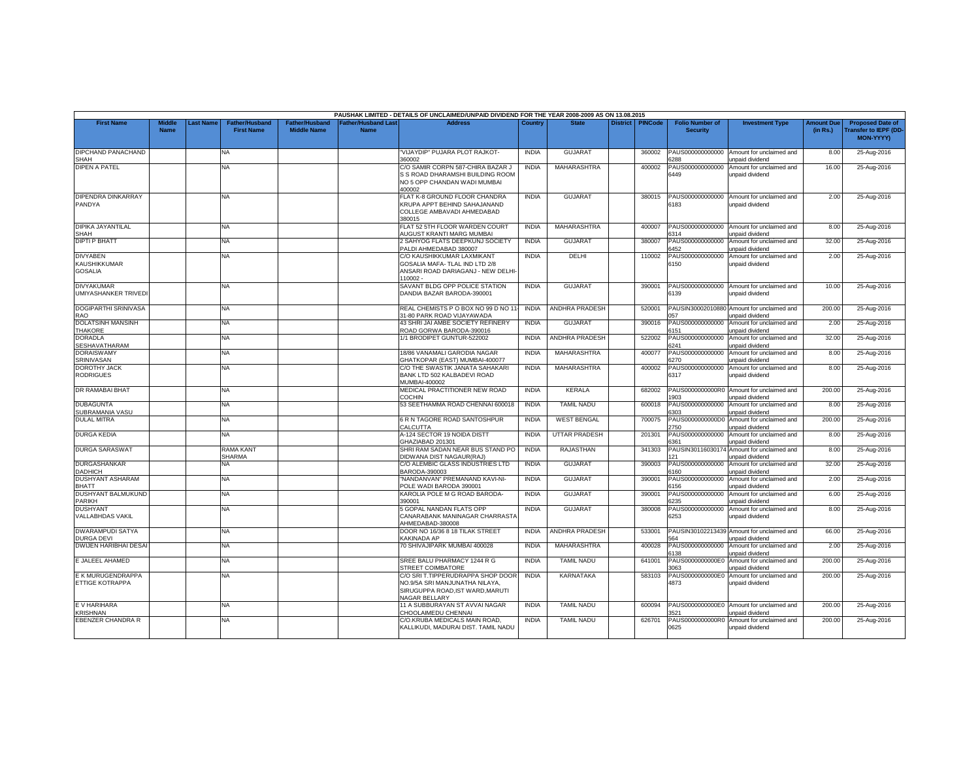|                                                          |                              |                 |                                            |                                             |                                          | PAUSHAK LIMITED - DETAILS OF UNCLAIMED/UNPAID DIVIDEND FOR THE YEAR 2008-2009 AS ON 13.08.2015                                  |              |                       |                 |                |                                           |                                                               |                               |                                                                            |
|----------------------------------------------------------|------------------------------|-----------------|--------------------------------------------|---------------------------------------------|------------------------------------------|---------------------------------------------------------------------------------------------------------------------------------|--------------|-----------------------|-----------------|----------------|-------------------------------------------|---------------------------------------------------------------|-------------------------------|----------------------------------------------------------------------------|
| <b>First Name</b>                                        | <b>Middle</b><br><b>Name</b> | <b>ast Name</b> | <b>Father/Husband</b><br><b>First Name</b> | <b>Father/Husband</b><br><b>Middle Name</b> | <b>Father/Husband Las</b><br><b>Name</b> | <b>Address</b>                                                                                                                  | Country      | <b>State</b>          | <b>District</b> | <b>PINCode</b> | <b>Folio Number of</b><br><b>Security</b> | <b>Investment Type</b>                                        | <b>Amount Due</b><br>(in Rs.) | <b>Proposed Date of</b><br><b>Transfer to IEPF (DD</b><br><b>MON-YYYY)</b> |
| DIPCHAND PANACHAND<br><b>SHAH</b>                        |                              |                 | <b>NA</b>                                  |                                             |                                          | "VIJAYDIP" PUJARA PLOT RAJKOT-<br>360002                                                                                        | <b>INDIA</b> | <b>GUJARAT</b>        |                 | 360002         | PAUS000000000000<br>3288                  | Amount for unclaimed and<br>unpaid dividend                   | 8.00                          | 25-Aug-2016                                                                |
| <b>DIPEN A PATEL</b>                                     |                              |                 | <b>NA</b>                                  |                                             |                                          | C/O SAMIR CORPN 587-CHIRA BAZAR J<br>S S ROAD DHARAMSHI BUILDING ROOM<br>NO 5 OPP CHANDAN WADI MUMBAI<br>400002                 | <b>INDIA</b> | MAHARASHTRA           |                 | 400002         | PAUS000000000000<br>6449                  | Amount for unclaimed and<br>unpaid dividend                   | 16.00                         | 25-Aug-2016                                                                |
| DIPENDRA DINKARRAY<br>PANDYA                             |                              |                 | <b>NA</b>                                  |                                             |                                          | FLAT K-8 GROUND FLOOR CHANDRA<br>KRUPA APPT BEHIND SAHAJANAND<br>COLLEGE AMBAVADI AHMEDABAD<br>380015                           | <b>INDIA</b> | <b>GUJARAT</b>        |                 | 380015         | PAUS000000000000<br>6183                  | Amount for unclaimed and<br>unpaid dividend                   | 2.00                          | 25-Aug-2016                                                                |
| <b>DIPIKA JAYANTILAL</b><br>SHAH                         |                              |                 | NA.                                        |                                             |                                          | FLAT 52 5TH FLOOR WARDEN COURT<br>AUGUST KRANTI MARG MUMBAI                                                                     | <b>INDIA</b> | <b>MAHARASHTRA</b>    |                 | 400007         | PAUS000000000000<br>6314                  | Amount for unclaimed and<br>unpaid dividend                   | 8.00                          | 25-Aug-2016                                                                |
| <b>DIPTI P BHATT</b>                                     |                              |                 | <b>NA</b>                                  |                                             |                                          | 2 SAHYOG FLATS DEEPKUNJ SOCIETY<br>PALDI AHMEDABAD 380007                                                                       | <b>INDIA</b> | <b>GUJARAT</b>        |                 | 380007         | PAUS000000000000<br>6452                  | Amount for unclaimed and<br>unpaid dividend                   | 32.00                         | 25-Aug-2016                                                                |
| <b>DIVYABEN</b><br><b>KAUSHIKKUMAR</b><br><b>GOSALIA</b> |                              |                 | <b>NA</b>                                  |                                             |                                          | C/O KAUSHIKKUMAR LAXMIKANT<br>GOSALIA MAFA-TLAL IND LTD 2/8<br>ANSARI ROAD DARIAGANJ - NEW DELHI-<br>110002-                    | <b>INDIA</b> | DELHI                 |                 | 110002         | PAUS000000000000<br>6150                  | Amount for unclaimed and<br>unpaid dividend                   | 2.00                          | 25-Aug-2016                                                                |
| <b>DIVYAKUMAR</b><br><b>UMIYASHANKER TRIVEDI</b>         |                              |                 | NA                                         |                                             |                                          | SAVANT BLDG OPP POLICE STATION<br>DANDIA BAZAR BARODA-390001                                                                    | <b>INDIA</b> | <b>GUJARAT</b>        |                 | 390001         | PAUS000000000000<br>6139                  | Amount for unclaimed and<br>unpaid dividend                   | 10.00                         | 25-Aug-2016                                                                |
| DOGIPARTHI SRINIVASA<br>RAO                              |                              |                 | <b>NA</b>                                  |                                             |                                          | REAL CHEMISTS P O BOX NO 99 D NO 11<br>31-80 PARK ROAD VIJAYAWADA                                                               | <b>INDIA</b> | ANDHRA PRADESH        |                 | 520001         | 57                                        | PAUSIN30002010880 Amount for unclaimed and<br>unpaid dividend | 200.00                        | 25-Aug-2016                                                                |
| <b>DOLATSINH MANSINH</b><br><b>THAKORE</b>               |                              |                 | <b>NA</b>                                  |                                             |                                          | 43 SHRI JAI AMBE SOCIETY REFINERY<br>ROAD GORWA BARODA-390016                                                                   | <b>INDIA</b> | <b>GUJARAT</b>        |                 | 390016         | PAUS000000000000<br>3151                  | Amount for unclaimed and<br>unpaid dividend                   | 2.00                          | 25-Aug-2016                                                                |
| <b>DORADLA</b><br>SESHAVATHARAM                          |                              |                 | NA                                         |                                             |                                          | 1/1 BRODIPET GUNTUR-522002                                                                                                      | <b>INDIA</b> | <b>ANDHRA PRADESH</b> |                 | 522002         | PAUS000000000000<br>3241                  | Amount for unclaimed and<br>unpaid dividend                   | 32.00                         | 25-Aug-2016                                                                |
| <b>DORAISWAMY</b><br>SRINIVASAN                          |                              |                 | NA.                                        |                                             |                                          | 18/86 VANAMALI GARODIA NAGAR<br><b>GHATKOPAR (EAST) MUMBAI-400077</b>                                                           | <b>INDIA</b> | MAHARASHTRA           |                 | 400077         | PAUS000000000000<br>3270                  | Amount for unclaimed and<br>unpaid dividend                   | 8.00                          | 25-Aug-2016                                                                |
| <b>DOROTHY JACK</b><br><b>RODRIGUES</b>                  |                              |                 | <b>NA</b>                                  |                                             |                                          | C/O THE SWASTIK JANATA SAHAKARI<br>BANK LTD 502 KALBADEVI ROAD<br>MUMBAI-400002                                                 | <b>INDIA</b> | MAHARASHTRA           |                 | 400002         | PAUS000000000000<br>6317                  | Amount for unclaimed and<br>unpaid dividend                   | 8.00                          | 25-Aug-2016                                                                |
| DR RAMABAI BHAT                                          |                              |                 | NA                                         |                                             |                                          | MEDICAL PRACTITIONER NEW ROAD<br>COCHIN                                                                                         | <b>INDIA</b> | <b>KERALA</b>         |                 | 682002         | 903                                       | PAUS0000000000R0 Amount for unclaimed and<br>unpaid dividend  | 200.00                        | 25-Aug-2016                                                                |
| <b>DUBAGUNTA</b><br>SUBRAMANIA VASU                      |                              |                 | <b>NA</b>                                  |                                             |                                          | 53 SEETHAMMA ROAD CHENNAI 600018                                                                                                | <b>INDIA</b> | <b>TAMIL NADU</b>     |                 | 600018         | PAUS000000000000<br>303                   | Amount for unclaimed and<br>unpaid dividend                   | 8.00                          | 25-Aug-2016                                                                |
| <b>DULAL MITRA</b>                                       |                              |                 | <b>NA</b>                                  |                                             |                                          | 6 R N TAGORE ROAD SANTOSHPUR<br>CALCUTTA                                                                                        | <b>INDIA</b> | <b>WEST BENGAL</b>    |                 | 700075         | PAUS0000000000D0<br>2750                  | Amount for unclaimed and<br>unpaid dividend                   | 200.00                        | 25-Aug-2016                                                                |
| <b>DURGA KEDIA</b>                                       |                              |                 | NA                                         |                                             |                                          | A-124 SECTOR 19 NOIDA DISTT<br>GHAZIABAD 201301                                                                                 | <b>INDIA</b> | <b>UTTAR PRADESH</b>  |                 | 201301         | PAUS000000000000<br>6361                  | Amount for unclaimed and<br>unpaid dividend                   | 8.00                          | 25-Aug-2016                                                                |
| <b>DURGA SARASWAT</b>                                    |                              |                 | <b>RAMA KANT</b><br><b>SHARMA</b>          |                                             |                                          | SHRI RAM SADAN NEAR BUS STAND PO<br>DIDWANA DIST NAGAUR(RAJ)                                                                    | <b>INDIA</b> | <b>RAJASTHAN</b>      |                 | 341303         | PAUSIN3011603017<br>21                    | Amount for unclaimed and<br><b>Inpaid dividend</b>            | 8.00                          | 25-Aug-2016                                                                |
| <b>DURGASHANKAR</b><br><b>DADHICH</b>                    |                              |                 | NA                                         |                                             |                                          | C/O ALEMBIC GLASS INDUSTRIES LTD<br>3ARODA-390003                                                                               | <b>INDIA</b> | <b>GUJARAT</b>        |                 | 390003         | PAUS000000000000<br>160                   | Amount for unclaimed and<br>unpaid dividend                   | 32.00                         | 25-Aug-2016                                                                |
| <b>DUSHYANT ASHARAM</b><br><b>BHATT</b>                  |                              |                 | NA                                         |                                             |                                          | "NANDANVAN" PREMANAND KAVI-NI-<br>POLE WADI BARODA 390001                                                                       | <b>INDIA</b> | GUJARAT               |                 | 390001         | PAUS000000000000<br>6156                  | Amount for unclaimed and<br>unpaid dividend                   | 2.00                          | 25-Aug-2016                                                                |
| DUSHYANT BALMUKUND<br>PARIKH                             |                              |                 | <b>NA</b>                                  |                                             |                                          | KAROLIA POLE M G ROAD BARODA-<br>390001                                                                                         | <b>INDIA</b> | GUJARAT               |                 | 390001         | PAUS000000000000<br>3235                  | Amount for unclaimed and<br>unpaid dividend                   | 6.00                          | 25-Aug-2016                                                                |
| <b>DUSHYANT</b><br><b>VALLABHDAS VAKIL</b>               |                              |                 | NA                                         |                                             |                                          | 5 GOPAL NANDAN FLATS OPP<br>CANARABANK MANINAGAR CHARRASTA<br>AHMEDABAD-380008                                                  | <b>INDIA</b> | <b>GUJARAT</b>        |                 | 380008         | PAUS000000000000<br>6253                  | Amount for unclaimed and<br>unpaid dividend                   | 8.00                          | 25-Aug-2016                                                                |
| <b>DWARAMPUDI SATYA</b><br>DURGA DEVI                    |                              |                 | <b>NA</b>                                  |                                             |                                          | DOOR NO 16/36 8 18 TILAK STREET<br>KAKINADA AP                                                                                  | <b>INDIA</b> | <b>ANDHRA PRADESH</b> |                 | 533001         | 64                                        | PAUSIN30102213439 Amount for unclaimed and<br>unpaid dividend | 66.00                         | 25-Aug-2016                                                                |
| <b>DWIJEN HARIBHAI DESAI</b>                             |                              |                 | <b>NA</b>                                  |                                             |                                          | 70 SHIVAJIPARK MUMBAI 400028                                                                                                    | <b>INDIA</b> | MAHARASHTRA           |                 | 400028         | PAUS000000000000<br>3138                  | Amount for unclaimed and<br>unpaid dividend                   | 2.00                          | 25-Aug-2016                                                                |
| E JALEEL AHAMED                                          |                              |                 | <b>NA</b>                                  |                                             |                                          | SREE BALU PHARMACY 1244 R G<br><b>STREET COIMBATORE</b>                                                                         | <b>INDIA</b> | <b>TAMIL NADU</b>     |                 | 641001         | PAUS0000000000E<br>3063                   | Amount for unclaimed and<br>unpaid dividend                   | 200.00                        | 25-Aug-2016                                                                |
| E K MURUGENDRAPPA<br>ETTIGE KOTRAPPA                     |                              |                 | NA                                         |                                             |                                          | C/O SRI T.TIPPERUDRAPPA SHOP DOOR<br>NO.9/5A SRI MANJUNATHA NILAYA,<br>SIRUGUPPA ROAD, IST WARD, MARUTI<br><b>VAGAR BELLARY</b> | <b>INDIA</b> | <b>KARNATAKA</b>      |                 | 583103         | PAUS0000000000E0<br>4873                  | Amount for unclaimed and<br>unpaid dividend                   | 200.00                        | 25-Aug-2016                                                                |
| E V HARIHARA<br><b>KRISHNAN</b>                          |                              |                 | NA.                                        |                                             |                                          | 11 A SUBBURAYAN ST AVVAI NAGAR<br><b>CHOOLAIMEDU CHENNAI</b>                                                                    | <b>INDIA</b> | <b>TAMIL NADU</b>     |                 | 600094         | PAUS0000000000E0<br>521                   | Amount for unclaimed and<br>unpaid dividend                   | 200.00                        | 25-Aug-2016                                                                |
| <b>EBENZER CHANDRA R</b>                                 |                              |                 | <b>NA</b>                                  |                                             |                                          | C/O.KRUBA MEDICALS MAIN ROAD,<br>KALLIKUDI, MADURAI DIST. TAMIL NADU                                                            | <b>INDIA</b> | <b>TAMIL NADU</b>     |                 | 626701         | PAUS0000000000R0<br>0625                  | Amount for unclaimed and<br>unpaid dividend                   | 200.00                        | 25-Aug-2016                                                                |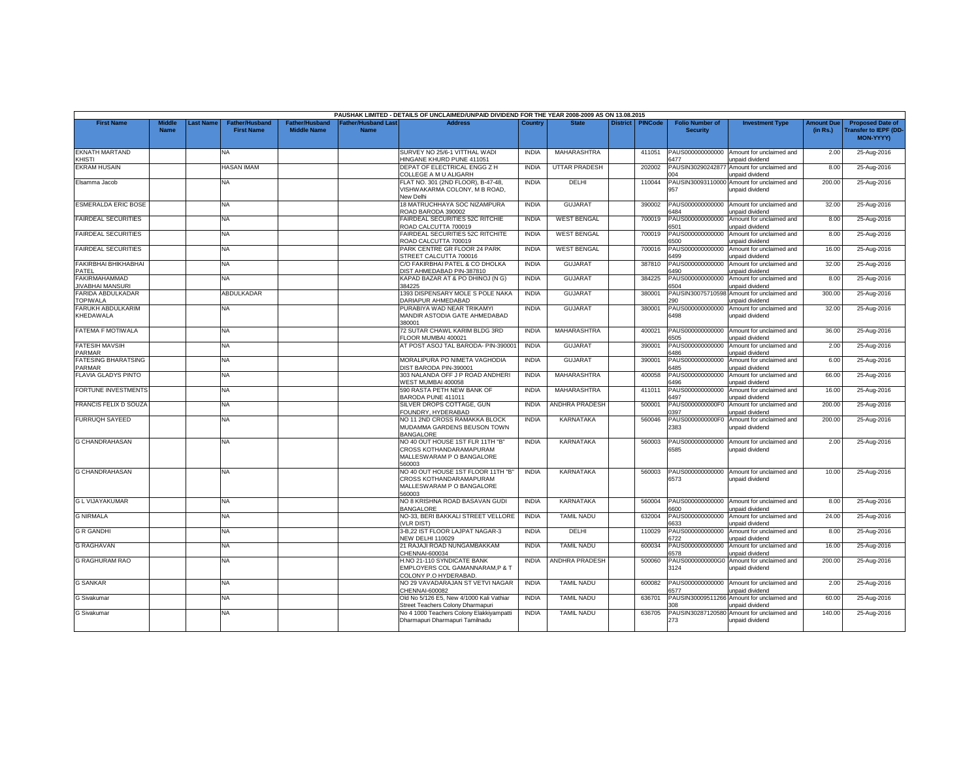|                                                 |                              |           |                                            |                                             |                                           | PAUSHAK LIMITED - DETAILS OF UNCLAIMED/UNPAID DIVIDEND FOR THE YEAR 2008-2009 AS ON 13.08.2015              |              |                      |                 |                |                                           |                                                              |                               |                                                                     |
|-------------------------------------------------|------------------------------|-----------|--------------------------------------------|---------------------------------------------|-------------------------------------------|-------------------------------------------------------------------------------------------------------------|--------------|----------------------|-----------------|----------------|-------------------------------------------|--------------------------------------------------------------|-------------------------------|---------------------------------------------------------------------|
| <b>First Name</b>                               | <b>Middle</b><br><b>Name</b> | Last Name | <b>Father/Husband</b><br><b>First Name</b> | <b>Father/Husband</b><br><b>Middle Name</b> | <b>Father/Husband Last</b><br><b>Name</b> | <b>Address</b>                                                                                              | Country      | <b>State</b>         | <b>District</b> | <b>PINCode</b> | <b>Folio Number of</b><br><b>Security</b> | <b>Investment Type</b>                                       | <b>Amount Due</b><br>(in Rs.) | <b>Proposed Date of</b><br>Transfer to IEPF (DD<br><b>MON-YYYYY</b> |
| <b>EKNATH MARTAND</b><br>KHISTI                 |                              |           | NA                                         |                                             |                                           | SURVEY NO 25/6-1 VITTHAL WADI<br>HINGANE KHURD PUNE 411051                                                  | <b>INDIA</b> | MAHARASHTRA          |                 | 411051         | PAUS000000000000<br>6477                  | Amount for unclaimed and<br>unpaid dividend                  | 2.00                          | 25-Aug-2016                                                         |
| <b>EKRAM HUSAIN</b>                             |                              |           | <b>HASAN IMAM</b>                          |                                             |                                           | DEPAT OF ELECTRICAL ENGG Z H<br>COLLEGE A M U ALIGARH                                                       | <b>INDIA</b> | <b>UTTAR PRADESH</b> |                 | 202002         | PAUSIN3029024287<br>04                    | Amount for unclaimed and<br>unpaid dividend                  | 8.00                          | 25-Aug-2016                                                         |
| Elsamma Jacob                                   |                              |           | ΝA                                         |                                             |                                           | FLAT NO. 301 (2ND FLOOR), B-47-48,<br>VISHWAKARMA COLONY, M B ROAD,<br>New Delhi                            | <b>INDIA</b> | DELHI                |                 | 110044         | PAUSIN30093110000<br>957                  | Amount for unclaimed and<br>unpaid dividend                  | 200.00                        | 25-Aug-2016                                                         |
| <b>ESMERALDA ERIC BOSE</b>                      |                              |           | NA                                         |                                             |                                           | 18 MATRUCHHAYA SOC NIZAMPURA<br>ROAD BARODA 390002                                                          | <b>INDIA</b> | <b>GUJARAT</b>       |                 | 390002         | PAUS000000000000<br>6484                  | Amount for unclaimed and<br>unpaid dividend                  | 32.00                         | 25-Aug-2016                                                         |
| <b>FAIRDEAL SECURITIES</b>                      |                              |           | NA.                                        |                                             |                                           | FAIRDEAL SECURITIES 52C RITCHIE<br>ROAD CALCUTTA 700019                                                     | <b>INDIA</b> | <b>WEST BENGAL</b>   |                 | 700019         | PAUS000000000000<br>6501                  | Amount for unclaimed and<br>unpaid dividend                  | 8.00                          | 25-Aug-2016                                                         |
| <b>FAIRDEAL SECURITIES</b>                      |                              |           | NA                                         |                                             |                                           | FAIRDEAL SECURITIES 52C RITCHITE<br>ROAD CALCUTTA 700019                                                    | <b>INDIA</b> | <b>WEST BENGAL</b>   |                 | 700019         | PAUS000000000000<br>6500                  | Amount for unclaimed and<br>unpaid dividend                  | 8.00                          | 25-Aug-2016                                                         |
| <b>FAIRDEAL SECURITIES</b>                      |                              |           | NA                                         |                                             |                                           | PARK CENTRE GR FLOOR 24 PARK<br>STREET CALCUTTA 700016                                                      | <b>INDIA</b> | <b>WEST BENGAL</b>   |                 | 700016         | PAUS000000000000<br>6499                  | Amount for unclaimed and<br>unpaid dividend                  | 16.00                         | 25-Aug-2016                                                         |
| <b>FAKIRBHAI BHIKHABHAI</b><br>PATEL            |                              |           | NA                                         |                                             |                                           | C/O FAKIRBHAI PATEL & CO DHOLKA<br>DIST AHMEDABAD PIN-387810                                                | <b>INDIA</b> | <b>GUJARAT</b>       |                 | 387810         | PAUS000000000000<br>3490                  | Amount for unclaimed and<br>Inpaid dividend                  | 32.00                         | 25-Aug-2016                                                         |
| <b>FAKIRMAHAMMAD</b><br><b>IIVABHAI MANSURI</b> |                              |           | NA                                         |                                             |                                           | KAPAD BAZAR AT & PO DHINOJ (N G)<br>84225                                                                   | <b>INDIA</b> | <b>GUJARAT</b>       |                 | 384225         | PAUS000000000000<br>6504                  | Amount for unclaimed and<br>unpaid dividend                  | 8.00                          | 25-Aug-2016                                                         |
| FARIDA ABDULKADAR<br><b>TOPIWALA</b>            |                              |           | ABDULKADAR                                 |                                             |                                           | 1393 DISPENSARY MOLE S POLE NAKA<br>DARIAPUR AHMEDABAD                                                      | <b>INDIA</b> | <b>GUJARAT</b>       |                 | 380001         | PAUSIN30075710598<br>290                  | Amount for unclaimed and<br>unpaid dividend                  | 300.00                        | 25-Aug-2016                                                         |
| FARUKH ABDULKARIM<br>KHEDAWALA                  |                              |           | NA                                         |                                             |                                           | PURABIYA WAD NEAR TRIKAMYI<br>MANDIR ASTODIA GATE AHMEDABAD<br>380001                                       | <b>INDIA</b> | <b>GUJARAT</b>       |                 | 380001         | PAUS000000000000<br>6498                  | Amount for unclaimed and<br>unpaid dividend                  | 32.00                         | 25-Aug-2016                                                         |
| <b>FATEMA F MOTIWALA</b>                        |                              |           | NA.                                        |                                             |                                           | 72 SUTAR CHAWL KARIM BLDG 3RD<br>FLOOR MUMBAI 400021                                                        | <b>INDIA</b> | <b>MAHARASHTRA</b>   |                 | 400021         | 6505                                      | PAUS000000000000 Amount for unclaimed and<br>unpaid dividend | 36.00                         | 25-Aug-2016                                                         |
| <b>FATESIH MAVSIH</b><br>PARMAR                 |                              |           | NA                                         |                                             |                                           | AT POST ASOJ TAL BARODA- PIN-39000                                                                          | <b>INDIA</b> | <b>GUJARA1</b>       |                 | 390001         | PAUS000000000000<br>6486                  | Amount for unclaimed and<br>unpaid dividend                  | 2.00                          | 25-Aug-2016                                                         |
| <b>FATESING BHARATSING</b><br>PARMAR            |                              |           | NA.                                        |                                             |                                           | MORALIPURA PO NIMETA VAGHODIA<br>DIST BARODA PIN-390001                                                     | <b>INDIA</b> | GUJARAT              |                 | 390001         | PAUS000000000000<br>6485                  | Amount for unclaimed and<br>unpaid dividend                  | 6.00                          | 25-Aug-2016                                                         |
| FLAVIA GLADYS PINTO                             |                              |           | NA                                         |                                             |                                           | 303 NALANDA OFF J P ROAD ANDHERI<br>VEST MUMBAI 400058                                                      | <b>INDIA</b> | MAHARASHTRA          |                 | 400058         | PAUS000000000000<br>6496                  | Amount for unclaimed and<br><b>Inpaid dividend</b>           | 66.00                         | 25-Aug-2016                                                         |
| <b>FORTUNE INVESTMENTS</b>                      |                              |           | NA                                         |                                             |                                           | 590 RASTA PETH NEW BANK OF<br>BARODA PUNE 411011                                                            | <b>INDIA</b> | MAHARASHTRA          |                 | 411011         | PAUS000000000000<br>6497                  | Amount for unclaimed and<br>unpaid dividend                  | 16.00                         | 25-Aug-2016                                                         |
| FRANCIS FELIX D SOUZA                           |                              |           | NA.                                        |                                             |                                           | SILVER DROPS COTTAGE, GUN<br>FOUNDRY, HYDERABAD                                                             | <b>INDIA</b> | ANDHRA PRADESH       |                 | 500001         | PAUS0000000000F0<br>0397                  | Amount for unclaimed and<br>unpaid dividend                  | 200.00                        | 25-Aug-2016                                                         |
| <b>FURRUQH SAYEED</b>                           |                              |           | NA                                         |                                             |                                           | NO 11 2ND CROSS RAMAKKA BLOCK<br>MUDAMMA GARDENS BEUSON TOWN<br><b>BANGALORE</b>                            | <b>INDIA</b> | KARNATAKA            |                 | 560046         | PAUS0000000000F0<br>2383                  | Amount for unclaimed and<br>unpaid dividend                  | 200.00                        | 25-Aug-2016                                                         |
| <b>G CHANDRAHASAN</b>                           |                              |           | NA.                                        |                                             |                                           | NO 40 OUT HOUSE 1ST FLR 11TH "B"<br>CROSS KOTHANDARAMAPURAM<br>MALLESWARAM P O BANGALORE<br>560003          | <b>INDIA</b> | KARNATAKA            |                 | 560003         | PAUS000000000000<br>6585                  | Amount for unclaimed and<br>unpaid dividend                  | 2.00                          | 25-Aug-2016                                                         |
| <b>G CHANDRAHASAN</b>                           |                              |           | NA.                                        |                                             |                                           | <b>NO 40 OUT HOUSE 1ST FLOOR 11TH "B"</b><br>CROSS KOTHANDARAMAPURAM<br>MALLESWARAM P O BANGALORE<br>560003 | <b>INDIA</b> | <b>KARNATAKA</b>     |                 | 560003         | PAUS000000000000<br>6573                  | Amount for unclaimed and<br>unpaid dividend                  | 10.00                         | 25-Aug-2016                                                         |
| <b>G L VIJAYAKUMAR</b>                          |                              |           | NA                                         |                                             |                                           | NO 8 KRISHNA ROAD BASAVAN GUDI<br><b>BANGALORE</b>                                                          | <b>INDIA</b> | KARNATAKA            |                 | 560004         | PAUS000000000000<br>6600                  | Amount for unclaimed and<br>unpaid dividend                  | 8.00                          | 25-Aug-2016                                                         |
| <b>G NIRMALA</b>                                |                              |           | NA                                         |                                             |                                           | NO-33, BERI BAKKALI STREET VELLORE<br><b>VLR DIST)</b>                                                      | <b>INDIA</b> | <b>TAMIL NADU</b>    |                 | 632004         | PAUS000000000000<br>6633                  | Amount for unclaimed and<br>unpaid dividend                  | 24.00                         | 25-Aug-2016                                                         |
| <b>G R GANDHI</b>                               |                              |           | NA.                                        |                                             |                                           | 3-B,22 IST FLOOR LAJPAT NAGAR-3<br><b>NEW DELHI 110029</b>                                                  | <b>INDIA</b> | DELHI                |                 | 110029         | PAUS000000000000<br>722                   | Amount for unclaimed and<br>unpaid dividend                  | 8.00                          | 25-Aug-2016                                                         |
| <b>G RAGHAVAN</b>                               |                              |           | <b>NA</b>                                  |                                             |                                           | 21 RAJAJI ROAD NUNGAMBAKKAM<br>CHENNAI-600034                                                               | <b>INDIA</b> | <b>TAMIL NADU</b>    |                 | 600034         | PAUS000000000000<br>6578                  | Amount for unclaimed and<br>unpaid dividend                  | 16.00                         | 25-Aug-2016                                                         |
| <b>G RAGHURAM RAO</b>                           |                              |           | NA                                         |                                             |                                           | H.NO 21-110 SYNDICATE BANK<br>EMPLOYERS COL GAMANNARAM, P & T<br>COLONY P.O HYDERABAD.                      | <b>INDIA</b> | ANDHRA PRADESH       |                 | 500060         | 3124                                      | PAUS0000000000G0 Amount for unclaimed and<br>unpaid dividend | 200.00                        | 25-Aug-2016                                                         |
| <b>G SANKAR</b>                                 |                              |           | NA                                         |                                             |                                           | NO 29 VAVADARAJAN ST VETVI NAGAR<br>CHENNAI-600082                                                          | <b>INDIA</b> | <b>TAMIL NADU</b>    |                 | 600082         | PAUS000000000000<br>577                   | Amount for unclaimed and<br>unpaid dividend                  | 2.00                          | 25-Aug-2016                                                         |
| G Sivakumar                                     |                              |           | NA                                         |                                             |                                           | Old No 5/126 E5, New 4/1000 Kali Vathiar<br>Street Teachers Colony Dharmapuri                               | <b>INDIA</b> | <b>TAMIL NADU</b>    |                 | 636701         | PAUSIN30009511266<br>RN                   | Amount for unclaimed and<br>unpaid dividend                  | 60.00                         | 25-Aug-2016                                                         |
| <b>G</b> Sivakumar                              |                              |           | NA                                         |                                             |                                           | No 4 1000 Teachers Colony Elakkiyampatti<br>Dharmapuri Dharmapuri Tamilnadu                                 | <b>INDIA</b> | <b>TAMIL NADU</b>    |                 | 636705         | PAUSIN30287120580<br>273                  | Amount for unclaimed and<br>unpaid dividend                  | 140.00                        | 25-Aug-2016                                                         |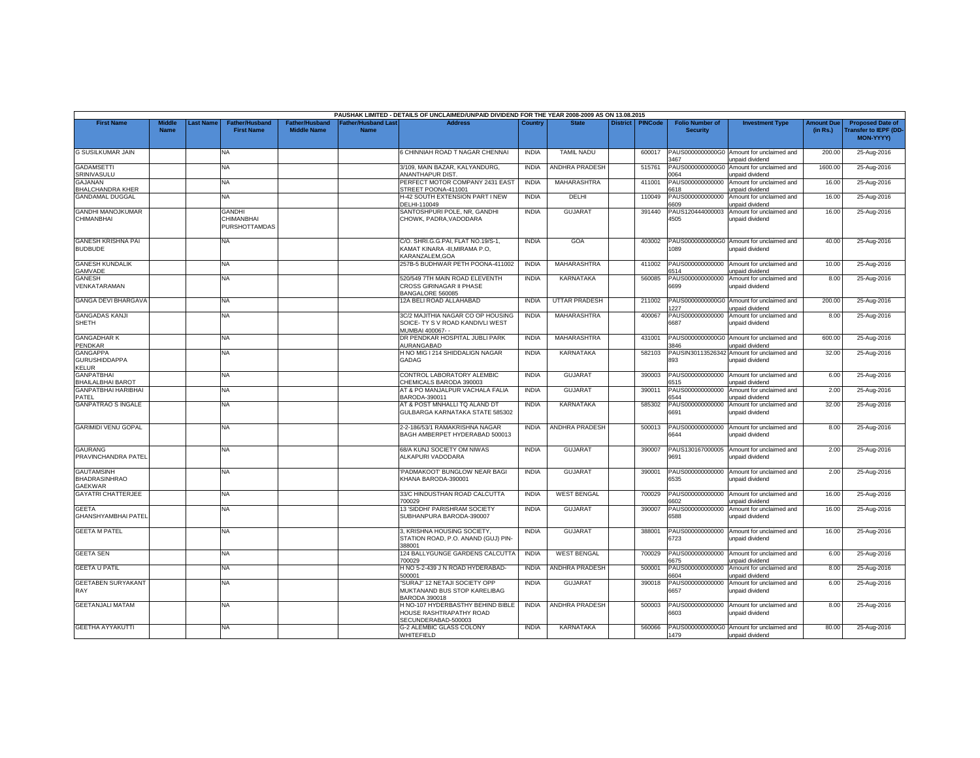|                                                             |                              |                 |                                              |                                      |                                           | PAUSHAK LIMITED - DETAILS OF UNCLAIMED/UNPAID DIVIDEND FOR THE YEAR 2008-2009 AS ON 13.08.2015  |              |                       |                 |                |                                           |                                                               |                               |                                                                     |
|-------------------------------------------------------------|------------------------------|-----------------|----------------------------------------------|--------------------------------------|-------------------------------------------|-------------------------------------------------------------------------------------------------|--------------|-----------------------|-----------------|----------------|-------------------------------------------|---------------------------------------------------------------|-------------------------------|---------------------------------------------------------------------|
| <b>First Name</b>                                           | <b>Middle</b><br><b>Name</b> | <b>ast Name</b> | <b>Father/Husband</b><br><b>First Name</b>   | Father/Husband<br><b>Middle Name</b> | <b>Father/Husband Last</b><br><b>Name</b> | <b>Address</b>                                                                                  | Country      | <b>State</b>          | <b>District</b> | <b>PINCode</b> | <b>Folio Number of</b><br><b>Security</b> | <b>Investment Type</b>                                        | <b>Amount Due</b><br>(in Rs.) | <b>Proposed Date of</b><br><b>Transfer to IEPF (DD</b><br>MON-YYYY) |
| <b>G SUSILKUMAR JAIN</b>                                    |                              |                 | NA.                                          |                                      |                                           | 6 CHINNIAH ROAD T NAGAR CHENNAI                                                                 | <b>INDIA</b> | <b>TAMIL NADU</b>     |                 | 600017         | 3467                                      | PAUS0000000000G0 Amount for unclaimed and<br>unpaid dividend  | 200.00                        | 25-Aug-2016                                                         |
| <b>GADAMSETTI</b><br>SRINIVASULU                            |                              |                 | NA                                           |                                      |                                           | 3/109, MAIN BAZAR, KALYANDURG,<br>ANANTHAPUR DIST.                                              | <b>INDIA</b> | <b>ANDHRA PRADESH</b> |                 | 515761         | PAUS0000000000G0<br>064                   | Amount for unclaimed and<br>unpaid dividend                   | 1600.00                       | 25-Aug-2016                                                         |
| <b>GAJANAN</b><br><b>BHALCHANDRA KHER</b>                   |                              |                 | NA                                           |                                      |                                           | PERFECT MOTOR COMPANY 2431 EAS'<br>STREET POONA-411001                                          | <b>INDIA</b> | MAHARASHTRA           |                 | 411001         | PAUS000000000000<br>6618                  | Amount for unclaimed and<br>inpaid dividend                   | 16.00                         | 25-Aug-2016                                                         |
| <b>GANDAMAL DUGGAL</b>                                      |                              |                 | NA                                           |                                      |                                           | <b>H-42 SOUTH EXTENSION PART I NEW</b><br>DELHI-110049                                          | <b>INDIA</b> | DELHI                 |                 | 110049         | PAUS000000000000<br>6036                  | Amount for unclaimed and<br>unpaid dividend                   | 16.00                         | 25-Aug-2016                                                         |
| <b>GANDHI MANOJKUMAR</b><br><b>CHIMANBHAI</b>               |                              |                 | <b>GANDHI</b><br>CHIMANBHAI<br>PURSHOTTAMDAS |                                      |                                           | SANTOSHPURI POLE, NR, GANDHI<br>CHOWK, PADRA, VADODARA                                          | <b>INDIA</b> | <b>GUJARAT</b>        |                 | 391440         | PAUS120444000003<br>4505                  | Amount for unclaimed and<br>unpaid dividend                   | 16.00                         | 25-Aug-2016                                                         |
| <b>GANESH KRISHNA PAI</b><br><b>BUDBUDE</b>                 |                              |                 | NA                                           |                                      |                                           | C/O. SHRI.G.G.PAI, FLAT NO.19/S-1,<br>KAMAT KINARA -III, MIRAMA P.O,<br><b>KARANZALEM.GOA</b>   | <b>INDIA</b> | GOA                   |                 | 403002         | 089                                       | PAUS0000000000G0 Amount for unclaimed and<br>unpaid dividend  | 40.00                         | 25-Aug-2016                                                         |
| <b>GANESH KUNDALIK</b><br>GAMVADE                           |                              |                 | NA                                           |                                      |                                           | 257B-5 BUDHWAR PETH POONA-411002                                                                | <b>INDIA</b> | <b>MAHARASHTRA</b>    |                 | 411002         | PAUS000000000000<br>6514                  | Amount for unclaimed and<br>unpaid dividend                   | 10.00                         | 25-Aug-2016                                                         |
| <b>GANESH</b><br>VENKATARAMAN                               |                              |                 | NA.                                          |                                      |                                           | 520/549 7TH MAIN ROAD ELEVENTH<br>CROSS GIRINAGAR II PHASE<br>BANGALORE 560085                  | <b>INDIA</b> | KARNATAKA             |                 | 560085         | PAUS000000000000<br>6699                  | Amount for unclaimed and<br>unpaid dividend                   | 8.00                          | 25-Aug-2016                                                         |
| <b>GANGA DEVI BHARGAVA</b>                                  |                              |                 | NA                                           |                                      |                                           | 12A BELI ROAD ALLAHABAD                                                                         | <b>INDIA</b> | <b>UTTAR PRADESH</b>  |                 | 211002         | PAUS0000000000G0<br>227                   | Amount for unclaimed and<br>unpaid dividend                   | 200.00                        | 25-Aug-2016                                                         |
| <b>GANGADAS KANJI</b><br>SHETH                              |                              |                 | NA.                                          |                                      |                                           | 3C/2 MAJITHIA NAGAR CO OP HOUSING<br>SOICE- TY S V ROAD KANDIVLI WEST<br><b>JUMBAI 400067--</b> | <b>INDIA</b> | MAHARASHTRA           |                 | 400067         | PAUS000000000000<br>6687                  | Amount for unclaimed and<br>inpaid dividend                   | 8.00                          | 25-Aug-2016                                                         |
| <b>GANGADHAR K</b><br><b>PENDKAR</b>                        |                              |                 | NA                                           |                                      |                                           | DR PENDKAR HOSPITAL JUBLI PARK<br>AURANGABAD                                                    | <b>INDIA</b> | <b>MAHARASHTRA</b>    |                 | 431001         | 3846                                      | PAUS0000000000G0 Amount for unclaimed and<br>unpaid dividend  | 600.00                        | 25-Aug-2016                                                         |
| <b>GANGAPPA</b><br><b>GURUSHIDDAPPA</b><br><b>KELUR</b>     |                              |                 | NA.                                          |                                      |                                           | H NO MIG I 214 SHIDDALIGN NAGAR<br>GADAG                                                        | <b>INDIA</b> | <b>KARNATAKA</b>      |                 | 582103         | 893                                       | PAUSIN30113526342 Amount for unclaimed and<br>unpaid dividend | 32.00                         | 25-Aug-2016                                                         |
| <b>GANPATBHAI</b><br><b>BHAILALBHAI BAROT</b>               |                              |                 | ΝA                                           |                                      |                                           | CONTROL LABORATORY ALEMBIC<br>CHEMICALS BARODA 390003                                           | <b>INDIA</b> | GUJARAT               |                 | 390003         | PAUS000000000000<br>6515                  | Amount for unclaimed and<br><b>Inpaid dividend</b>            | 6.00                          | 25-Aug-2016                                                         |
| <b>GANPATBHAI HARIBHAI</b><br>PATEL                         |                              |                 | NA.                                          |                                      |                                           | AT & PO MANJALPUR VACHALA FALIA<br>BARODA-390011                                                | <b>INDIA</b> | <b>GUJARAT</b>        |                 | 390011         | PAUS000000000000<br>6544                  | Amount for unclaimed and<br>unpaid dividend                   | 2.00                          | 25-Aug-2016                                                         |
| <b>GANPATRAO S INGALE</b>                                   |                              |                 | NA                                           |                                      |                                           | AT & POST MNHALLI TQ ALAND DT<br>GULBARGA KARNATAKA STATE 585302                                | <b>INDIA</b> | KARNATAKA             |                 | 585302         | PAUS000000000000<br>6691                  | Amount for unclaimed and<br>unpaid dividend                   | 32.00                         | 25-Aug-2016                                                         |
| <b>GARIMIDI VENU GOPAL</b>                                  |                              |                 | NA                                           |                                      |                                           | 2-2-186/53/1 RAMAKRISHNA NAGAR<br>BAGH AMBERPET HYDERABAD 500013                                | <b>INDIA</b> | <b>ANDHRA PRADESH</b> |                 | 500013         | PAUS000000000000<br>6644                  | Amount for unclaimed and<br>unpaid dividend                   | 8.00                          | 25-Aug-2016                                                         |
| <b>GAURANG</b><br>PRAVINCHANDRA PATEL                       |                              |                 | NA.                                          |                                      |                                           | 68/A KUNJ SOCIETY OM NIWAS<br>ALKAPURI VADODARA                                                 | <b>INDIA</b> | <b>GUJARAT</b>        |                 | 390007         | PAUS130167000005<br>9691                  | Amount for unclaimed and<br>inpaid dividend                   | 2.00                          | 25-Aug-2016                                                         |
| <b>GAUTAMSINH</b><br><b>BHADRASINHRAO</b><br><b>GAEKWAR</b> |                              |                 | NA                                           |                                      |                                           | PADMAKOOT' BUNGLOW NEAR BAGI<br>KHANA BARODA-390001                                             | <b>INDIA</b> | GUJARAT               |                 | 390001         | PAUS000000000000<br>6535                  | Amount for unclaimed and<br>unpaid dividend                   | 2.00                          | 25-Aug-2016                                                         |
| <b>GAYATRI CHATTERJEE</b>                                   |                              |                 | NA                                           |                                      |                                           | 33/C HINDUSTHAN ROAD CALCUTTA<br>700029                                                         | <b>INDIA</b> | <b>WEST BENGAL</b>    |                 | 700029         | PAUS000000000000<br>6602                  | Amount for unclaimed and<br>unpaid dividend                   | 16.00                         | 25-Aug-2016                                                         |
| <b>GEETA</b><br><b>GHANSHYAMBHAI PATEI</b>                  |                              |                 | ΝA                                           |                                      |                                           | 13 'SIDDHI' PARISHRAM SOCIETY<br>SUBHANPURA BARODA-390007                                       | <b>INDIA</b> | GUJARAT               |                 | 390007         | PAUS000000000000<br>6588                  | Amount for unclaimed and<br>unpaid dividend                   | 16.00                         | 25-Aug-2016                                                         |
| <b>GEETA M PATEL</b>                                        |                              |                 | NA                                           |                                      |                                           | 3, KRISHNA HOUSING SOCIETY,<br>STATION ROAD, P.O. ANAND (GUJ) PIN-<br>388001                    | <b>INDIA</b> | <b>GUJARAT</b>        |                 | 388001         | PAUS000000000000<br>6723                  | Amount for unclaimed and<br>unpaid dividend                   | 16.00                         | 25-Aug-2016                                                         |
| <b>GEETA SEN</b>                                            |                              |                 | NA.                                          |                                      |                                           | 124 BALLYGUNGE GARDENS CALCUTTA<br>700029                                                       | <b>INDIA</b> | <b>WEST BENGAL</b>    |                 | 700029         | PAUS000000000000<br>6675                  | Amount for unclaimed and<br>unpaid dividend                   | 6.00                          | 25-Aug-2016                                                         |
| <b>GEETA U PATIL</b>                                        |                              |                 | NA                                           |                                      |                                           | H NO 5-2-439 J N ROAD HYDERABAD-<br>500001                                                      | <b>INDIA</b> | <b>ANDHRA PRADESH</b> |                 | 500001         | PAUS000000000000<br>6604                  | Amount for unclaimed and<br>unpaid dividend                   | 8.00                          | 25-Aug-2016                                                         |
| <b>GEETABEN SURYAKANT</b><br><b>RAY</b>                     |                              |                 | <b>NA</b>                                    |                                      |                                           | SURAJ" 12 NETAJI SOCIETY OPP<br><b>MUKTANAND BUS STOP KARELIBAG</b><br>BARODA 390018            | <b>INDIA</b> | GUJARAT               |                 | 390018         | PAUS000000000000<br>6657                  | Amount for unclaimed and<br>inpaid dividend                   | 6.00                          | 25-Aug-2016                                                         |
| <b>GEETANJALI MATAM</b>                                     |                              |                 | NA                                           |                                      |                                           | H NO-107 HYDERBASTHY BEHIND BIBLE<br>HOUSE RASHTRAPATHY ROAD<br>SECUNDERABAD-500003             | <b>INDIA</b> | <b>ANDHRA PRADESH</b> |                 | 500003         | PAUS000000000000<br>6603                  | Amount for unclaimed and<br>unpaid dividend                   | 8.00                          | 25-Aug-2016                                                         |
| <b>GEETHA AYYAKUTTI</b>                                     |                              |                 | NA                                           |                                      |                                           | <b>G-2 ALEMBIC GLASS COLONY</b><br>WHITEFIELD                                                   | <b>INDIA</b> | <b>KARNATAKA</b>      |                 | 560066         | 1479                                      | PAUS0000000000G0 Amount for unclaimed and<br>unpaid dividend  | 80.00                         | 25-Aug-2016                                                         |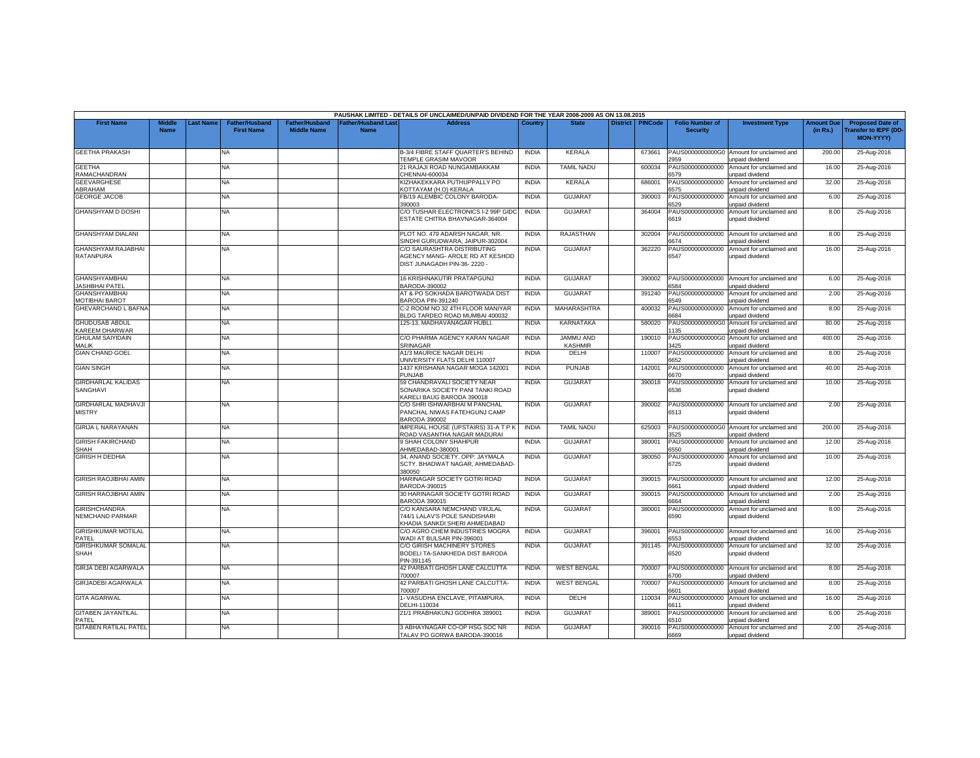|                                                |                              |                 |                                            |                                      |                                           | PAUSHAK LIMITED - DETAILS OF UNCLAIMED/UNPAID DIVIDEND FOR THE YEAR 2008-2009 AS ON 13.08.2015      |              |                                    |                 |                |                                           |                                                              |                               |                                                                     |
|------------------------------------------------|------------------------------|-----------------|--------------------------------------------|--------------------------------------|-------------------------------------------|-----------------------------------------------------------------------------------------------------|--------------|------------------------------------|-----------------|----------------|-------------------------------------------|--------------------------------------------------------------|-------------------------------|---------------------------------------------------------------------|
| <b>First Name</b>                              | <b>Middle</b><br><b>Name</b> | <b>ast Name</b> | <b>Father/Husband</b><br><b>First Name</b> | Father/Husband<br><b>Middle Name</b> | <b>Father/Husband Last</b><br><b>Name</b> | <b>Address</b>                                                                                      | Country      | <b>State</b>                       | <b>District</b> | <b>PINCode</b> | <b>Folio Number of</b><br><b>Security</b> | <b>Investment Type</b>                                       | <b>Amount Due</b><br>(in Rs.) | <b>Proposed Date of</b><br><b>Transfer to IEPF (DD</b><br>MON-YYYY) |
| <b>GEETHA PRAKASH</b>                          |                              |                 | NA.                                        |                                      |                                           | <b>B-3/4 FIBRE STAFF QUARTER'S BEHIND</b><br>TEMPLE GRASIM MAVOOR                                   | <b>INDIA</b> | <b>KERALA</b>                      |                 | 673661         | 2959                                      | PAUS0000000000G0 Amount for unclaimed and<br>unpaid dividend | 200.00                        | 25-Aug-2016                                                         |
| <b>GEETHA</b><br>RAMACHANDRAN                  |                              |                 | NA                                         |                                      |                                           | 21 RAJAJI ROAD NUNGAMBAKKAM<br>CHENNAI-600034                                                       | <b>INDIA</b> | <b>TAMIL NADU</b>                  |                 | 600034         | PAUS000000000000<br>6579                  | Amount for unclaimed and<br>unpaid dividend                  | 16.00                         | 25-Aug-2016                                                         |
| <b>GEEVARGHESE</b><br>ABRAHAM                  |                              |                 | NA.                                        |                                      |                                           | KIZHAKEKKARA PUTHUPPALLY PO<br>(OTTAYAM (H.O) KERALA                                                | <b>INDIA</b> | KERALA                             |                 | 686001         | PAUS000000000000<br><b>575</b>            | Amount for unclaimed and<br>inpaid dividend                  | 32.00                         | 25-Aug-2016                                                         |
| <b>GEORGE JACOB</b>                            |                              |                 | NA                                         |                                      |                                           | FB/19 ALEMBIC COLONY BARODA-<br>390003                                                              | <b>INDIA</b> | <b>GUJARAT</b>                     |                 | 390003         | PAUS000000000000<br>6529                  | Amount for unclaimed and<br>unpaid dividend                  | 6.00                          | 25-Aug-2016                                                         |
| <b>GHANSHYAM D DOSHI</b>                       |                              |                 | <b>NA</b>                                  |                                      |                                           | C/O TUSHAR ELECTRONICS I-2 99P GID(<br>ESTATE CHITRA BHAVNAGAR-364004                               | <b>INDIA</b> | <b>GUJARAT</b>                     |                 | 364004         | PAUS000000000000<br>6619                  | Amount for unclaimed and<br>unpaid dividend                  | 8.00                          | 25-Aug-2016                                                         |
| <b>GHANSHYAM DIALANI</b>                       |                              |                 | NA                                         |                                      |                                           | PLOT NO. 479 ADARSH NAGAR, NR.<br>SINDHI GURUDWARA, JAIPUR-302004                                   | <b>INDIA</b> | <b>RAJASTHAN</b>                   |                 | 302004         | PAUS000000000000<br>6674                  | Amount for unclaimed and<br>unpaid dividend                  | 8.00                          | 25-Aug-2016                                                         |
| <b>GHANSHYAM RAJABHAI</b><br><b>RATANPURA</b>  |                              |                 | <b>NA</b>                                  |                                      |                                           | C/O SAURASHTRA DISTRIBUTING<br>AGENCY MANG- AROLE RD AT KESHOD<br>DIST JUNAGADH PIN-36-2220 -       | <b>INDIA</b> | <b>GUJARAT</b>                     |                 | 362220         | PAUS000000000000<br>6547                  | Amount for unclaimed and<br>unpaid dividend                  | 16.00                         | 25-Aug-2016                                                         |
| <b>GHANSHYAMBHAI</b><br><b>JASHBHAI PATEL</b>  |                              |                 | NA                                         |                                      |                                           | 16 KRISHNAKUTIR PRATAPGUNJ<br>BARODA-390002                                                         | <b>INDIA</b> | <b>GUJARAT</b>                     |                 | 390002         | PAUS000000000000<br>6584                  | Amount for unclaimed and<br>unpaid dividend                  | 6.00                          | 25-Aug-2016                                                         |
| <b>GHANSHYAMBHAI</b><br>MOTIBHAI BAROT         |                              |                 | NA                                         |                                      |                                           | AT & PO SOKHADA BAROTWADA DIST<br>BARODA PIN-391240                                                 | <b>INDIA</b> | <b>GUJARAT</b>                     |                 | 391240         | PAUS000000000000<br>6549                  | Amount for unclaimed and<br>unpaid dividend                  | 2.00                          | 25-Aug-2016                                                         |
| <b>GHEVARCHAND L BAFNA</b>                     |                              |                 | NA                                         |                                      |                                           | C-2 ROOM NO 32 4TH FLOOR MANIYAR<br><b>ILDG TARDEO ROAD MUMBAI 400032</b>                           | <b>INDIA</b> | <b>MAHARASHTRA</b>                 |                 | 400032         | PAUS000000000000<br>684                   | Amount for unclaimed and<br>Inpaid dividend                  | 8.00                          | 25-Aug-2016                                                         |
| <b>GHUDUSAB ABDUL</b><br><b>KAREEM DHARWAR</b> |                              |                 | NA                                         |                                      |                                           | 125-13. MADHAVANAGAR HUBLI.                                                                         | <b>INDIA</b> | <b>KARNATAKA</b>                   |                 | 580020         | PAUS0000000000G0<br>135                   | Amount for unclaimed and<br>unpaid dividend                  | 80.00                         | 25-Aug-2016                                                         |
| <b>GHULAM SAIYIDAIN</b><br><b>MALIK</b>        |                              |                 | ΝA                                         |                                      |                                           | C/O PHARMA AGENCY KARAN NAGAR<br>SRINAGAR                                                           | <b>INDIA</b> | <b>JAMMU AND</b><br><b>KASHMIR</b> |                 | 190010         | PAUS0000000000G0<br>3425                  | Amount for unclaimed and<br>unpaid dividend                  | 400.00                        | 25-Aug-2016                                                         |
| <b>GIAN CHAND GOEL</b>                         |                              |                 | NA                                         |                                      |                                           | A1/3 MAURICE NAGAR DELHI<br><b>JNIVERSITY FLATS DELHI 110007</b>                                    | <b>INDIA</b> | DELHI                              |                 | 110007         | PAUS000000000000<br>6652                  | Amount for unclaimed and<br>unpaid dividend                  | 8.00                          | 25-Aug-2016                                                         |
| <b>GIAN SINGH</b>                              |                              |                 | NA                                         |                                      |                                           | 1437 KRISHANA NAGAR MOGA 142001<br>PUNJAB                                                           | <b>INDIA</b> | <b>PUNJAB</b>                      |                 | 142001         | PAUS000000000000<br>6670                  | Amount for unclaimed and<br>unpaid dividend                  | 40.00                         | 25-Aug-2016                                                         |
| <b>GIRDHARLAL KALIDAS</b><br>SANGHAVI          |                              |                 | NA.                                        |                                      |                                           | 59 CHANDRAVALI SOCIETY NEAR<br>SONARIKA SOCIETY PANI TANKI ROAD<br><b>KARELI BAUG BARODA 390018</b> | <b>INDIA</b> | <b>GUJARAT</b>                     |                 | 390018         | PAUS000000000000<br>6536                  | Amount for unclaimed and<br>unpaid dividend                  | 10.00                         | 25-Aug-2016                                                         |
| GIRDHARLAL MADHAVJI<br><b>MISTRY</b>           |                              |                 | NA                                         |                                      |                                           | C/O SHRI ISHWARBHAI M PANCHAL<br>PANCHAL NIWAS FATEHGUNJ CAMP<br>BARODA 390002                      | <b>INDIA</b> | <b>GUJARAT</b>                     |                 | 390002         | PAUS000000000000<br>6513                  | Amount for unclaimed and<br>unpaid dividend                  | 2.00                          | 25-Aug-2016                                                         |
| <b>GIRIJA L NARAYANAN</b>                      |                              |                 | <b>NA</b>                                  |                                      |                                           | <b>IMPERIAL HOUSE (UPSTAIRS) 31-A T P K</b><br>ROAD VASANTHA NAGAR MADURAI                          | <b>INDIA</b> | <b>TAMIL NADU</b>                  |                 | 625003         | 3525                                      | PAUS0000000000G0 Amount for unclaimed and<br>unpaid dividend | 200.00                        | 25-Aug-2016                                                         |
| <b>GIRISH FAKIRCHAND</b><br>SHAH               |                              |                 | NA                                         |                                      |                                           | 9 SHAH COLONY SHAHPUR<br>AHMEDABAD-380001                                                           | <b>INDIA</b> | <b>GUJARAT</b>                     |                 | 380001         | PAUS000000000000<br>5550                  | Amount for unclaimed and<br>unpaid dividend                  | 12.00                         | 25-Aug-2016                                                         |
| <b>GIRISH H DEDHIA</b>                         |                              |                 | NA.                                        |                                      |                                           | 34, ANAND SOCIETY, OPP: JAYMALA<br>SCTY, BHADWAT NAGAR, AHMEDABAD-<br>80050                         | <b>INDIA</b> | <b>GUJARAT</b>                     |                 | 380050         | PAUS000000000000<br>6725                  | Amount for unclaimed and<br>unpaid dividend                  | 10.00                         | 25-Aug-2016                                                         |
| <b>GIRISH RAOJIBHAI AMIN</b>                   |                              |                 | NA                                         |                                      |                                           | HARINAGAR SOCIETY GOTRI ROAD<br>3ARODA-390015                                                       | <b>INDIA</b> | <b>GUJARAT</b>                     |                 | 390015         | PAUS000000000000<br>6661                  | Amount for unclaimed and<br>unpaid dividend                  | 12.00                         | 25-Aug-2016                                                         |
| <b>GIRISH RAOJIBHAI AMIN</b>                   |                              |                 | NA.                                        |                                      |                                           | 30 HARINAGAR SOCIETY GOTRI ROAD<br>BARODA 390015                                                    | <b>INDIA</b> | GUJARAT                            |                 | 390015         | PAUS000000000000<br>6664                  | Amount for unclaimed and<br>unpaid dividend                  | 2.00                          | 25-Aug-2016                                                         |
| <b>GIRISHCHANDRA</b><br>NEMCHAND PARMAR        |                              |                 | NA                                         |                                      |                                           | C/O KANSARA NEMCHAND VIRJLAL<br>744/1 LALAV'S POLE SANDISHARI<br>KHADIA SANKDI SHERI AHMEDABAD      | <b>INDIA</b> | <b>GUJARAT</b>                     |                 | 380001         | PAUS000000000000<br>6590                  | Amount for unclaimed and<br>unpaid dividend                  | 8.00                          | 25-Aug-2016                                                         |
| <b>GIRISHKUMAR MOTILAL</b><br>PATFL            |                              |                 | NA.                                        |                                      |                                           | C/O AGRO CHEM INDUSTRIES MOGRA<br>VADI AT BULSAR PIN-396001                                         | <b>INDIA</b> | <b>GUJARAT</b>                     |                 | 396001         | PAUS000000000000<br>6553                  | Amount for unclaimed and<br>unpaid dividend                  | 16.00                         | 25-Aug-2016                                                         |
| <b>GIRISHKUMAR SOMALAL</b><br><b>SHAH</b>      |                              |                 | NA                                         |                                      |                                           | C/O GIRISH MACHINERY STORES<br>BODELI TA-SANKHEDA DIST BARODA<br>PIN-391145                         | <b>INDIA</b> | <b>GUJARAT</b>                     |                 | 391145         | PAUS000000000000<br>6520                  | Amount for unclaimed and<br>unpaid dividend                  | 32.00                         | 25-Aug-2016                                                         |
| <b>GIRJA DEBI AGARWALA</b>                     |                              |                 | NA                                         |                                      |                                           | 42 PARBATI GHOSH LANE CALCUTTA<br>700007                                                            | <b>INDIA</b> | <b>WEST BENGAL</b>                 |                 | 700007         | PAUS000000000000<br>6700                  | Amount for unclaimed and<br>unpaid dividend                  | 8.00                          | 25-Aug-2016                                                         |
| <b>GIRJADEBI AGARWALA</b>                      |                              |                 | NA                                         |                                      |                                           | 42 PARBATI GHOSH LANE CALCUTTA-<br>700007                                                           | <b>INDIA</b> | <b>WEST BENGAL</b>                 |                 | 700007         | PAUS000000000000<br>601                   | Amount for unclaimed and<br>inpaid dividend                  | 8.00                          | 25-Aug-2016                                                         |
| <b>GITA AGARWAL</b>                            |                              |                 | NA.                                        |                                      |                                           | - VASUDHA ENCLAVE, PITAMPURA.<br>DELHI-110034                                                       | <b>INDIA</b> | DELHI                              |                 | 110034         | PAUS000000000000<br>6611                  | Amount for unclaimed and<br>unpaid dividend                  | 16.00                         | 25-Aug-2016                                                         |
| <b>GITABEN JAYANTILAL</b><br>PATEL             |                              |                 | NA                                         |                                      |                                           | 21/1 PRABHAKUNJ GODHRA 389001                                                                       | <b>INDIA</b> | <b>GUJARA1</b>                     |                 | 389001         | PAUS000000000000<br>6510                  | Amount for unclaimed and<br>unpaid dividend                  | 6.00                          | 25-Aug-2016                                                         |
| <b>GITABEN RATILAL PATEL</b>                   |                              |                 | NA                                         |                                      |                                           | 3 ABHAYNAGAR CO-OP HSG SOC NR<br>TALAV PO GORWA BARODA-390016                                       | <b>INDIA</b> | <b>GUJARAT</b>                     |                 | 390016         | PAUS000000000000<br>6669                  | Amount for unclaimed and<br>unpaid dividend                  | 2.00                          | 25-Aug-2016                                                         |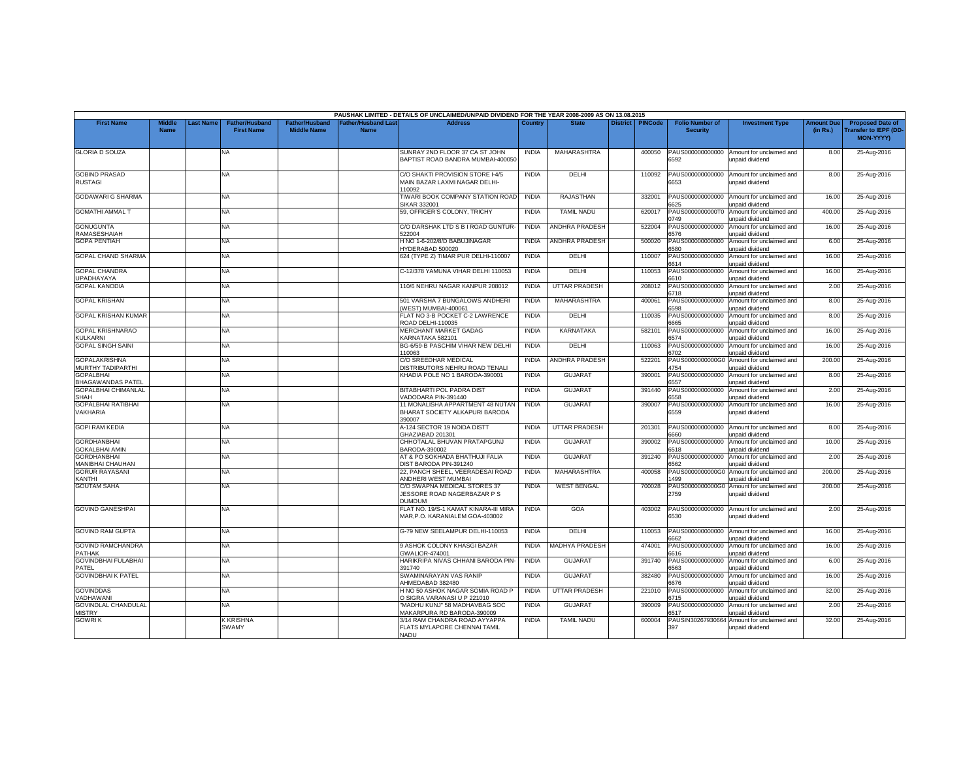|                                               |                       |                 |                                            |                                      |                                           | PAUSHAK LIMITED - DETAILS OF UNCLAIMED/UNPAID DIVIDEND FOR THE YEAR 2008-2009 AS ON 13.08.2015 |              |                       |                 |                |                                           |                                                              |                               |                                                                     |
|-----------------------------------------------|-----------------------|-----------------|--------------------------------------------|--------------------------------------|-------------------------------------------|------------------------------------------------------------------------------------------------|--------------|-----------------------|-----------------|----------------|-------------------------------------------|--------------------------------------------------------------|-------------------------------|---------------------------------------------------------------------|
| <b>First Name</b>                             | Middle<br><b>Name</b> | <b>ast Name</b> | <b>Father/Husband</b><br><b>First Name</b> | Father/Husband<br><b>Middle Name</b> | <b>Father/Husband Last</b><br><b>Name</b> | <b>Address</b>                                                                                 | Country      | <b>State</b>          | <b>District</b> | <b>PINCode</b> | <b>Folio Number of</b><br><b>Security</b> | <b>Investment Type</b>                                       | <b>Amount Due</b><br>(in Rs.) | <b>Proposed Date of</b><br><b>Transfer to IEPF (DD</b><br>MON-YYYY) |
| <b>GLORIA D SOUZA</b>                         |                       |                 | NA.                                        |                                      |                                           | SUNRAY 2ND FLOOR 37 CA ST JOHN<br>BAPTIST ROAD BANDRA MUMBAI-400050                            | <b>INDIA</b> | <b>MAHARASHTRA</b>    |                 | 400050         | PAUS000000000000<br>6592                  | Amount for unclaimed and<br>unpaid dividend                  | 8.00                          | 25-Aug-2016                                                         |
| <b>GOBIND PRASAD</b><br>RUSTAGI               |                       |                 | NA                                         |                                      |                                           | C/O SHAKTI PROVISION STORE I-4/5<br>MAIN BAZAR LAXMI NAGAR DELHI-<br>10092                     | <b>INDIA</b> | DELHI                 |                 | 110092         | PAUS000000000000<br>6653                  | Amount for unclaimed and<br>unpaid dividend                  | 8.00                          | 25-Aug-2016                                                         |
| <b>GODAWARI G SHARMA</b>                      |                       |                 | NA                                         |                                      |                                           | TIWARI BOOK COMPANY STATION ROAD<br>SIKAR 332001                                               | <b>INDIA</b> | <b>RAJASTHAN</b>      |                 | 332001         | PAUS000000000000<br>6625                  | Amount for unclaimed and<br>unpaid dividend                  | 16.00                         | 25-Aug-2016                                                         |
| <b>GOMATHI AMMAL T</b>                        |                       |                 | <b>NA</b>                                  |                                      |                                           | 59, OFFICER'S COLONY, TRICHY                                                                   | <b>INDIA</b> | <b>TAMIL NADU</b>     |                 | 620017         | PAUS0000000000T0<br>0749                  | Amount for unclaimed and<br>unpaid dividend                  | 400.00                        | 25-Aug-2016                                                         |
| <b>GONUGUNTA</b><br>RAMASESHAIAH              |                       |                 | NA                                         |                                      |                                           | C/O DARSHAK LTD S B I ROAD GUNTUR-<br>522004                                                   | <b>INDIA</b> | <b>ANDHRA PRADESH</b> |                 | 522004         | PAUS000000000000<br>6576                  | Amount for unclaimed and<br>unpaid dividend                  | 16.00                         | 25-Aug-2016                                                         |
| <b>GOPA PENTIAH</b>                           |                       |                 | NA                                         |                                      |                                           | H NO 1-6-202/8/D BABUJINAGAR<br>YDERABAD 500020                                                | <b>INDIA</b> | <b>ANDHRA PRADESH</b> |                 | 500020         | PAUS000000000000<br>3580                  | Amount for unclaimed and<br><b>unpaid dividend</b>           | 6.00                          | 25-Aug-2016                                                         |
| <b>GOPAL CHAND SHARMA</b>                     |                       |                 | NA.                                        |                                      |                                           | 624 (TYPE Z) TIMAR PUR DELHI-110007                                                            | <b>INDIA</b> | DELHI                 |                 | 110007         | PAUS000000000000<br>6614                  | Amount for unclaimed and<br>unpaid dividend                  | 16.00                         | 25-Aug-2016                                                         |
| <b>GOPAL CHANDRA</b><br><b>UPADHAYAYA</b>     |                       |                 | NA                                         |                                      |                                           | C-12/378 YAMUNA VIHAR DELHI 110053                                                             | <b>INDIA</b> | DELHI                 |                 | 110053         | PAUS000000000000<br>6610                  | Amount for unclaimed and<br>unpaid dividend                  | 16.00                         | 25-Aug-2016                                                         |
| <b>GOPAL KANODIA</b>                          |                       |                 | NA                                         |                                      |                                           | 110/6 NEHRU NAGAR KANPUR 208012                                                                | <b>INDIA</b> | <b>UTTAR PRADESH</b>  |                 | 208012         | PAUS000000000000<br>6718                  | Amount for unclaimed and<br>unpaid dividend                  | 2.00                          | 25-Aug-2016                                                         |
| <b>GOPAL KRISHAN</b>                          |                       |                 | NA                                         |                                      |                                           | 501 VARSHA 7 BUNGALOWS ANDHERI<br>WEST) MUMBAI-400061                                          | <b>INDIA</b> | MAHARASHTRA           |                 | 400061         | PAUS000000000000<br>6598                  | Amount for unclaimed and<br>unpaid dividend                  | 8.00                          | 25-Aug-2016                                                         |
| <b>GOPAL KRISHAN KUMAR</b>                    |                       |                 | <b>NA</b>                                  |                                      |                                           | FLAT NO 3-B POCKET C-2 LAWRENCE<br>ROAD DELHI-110035                                           | <b>INDIA</b> | DELHI                 |                 | 110035         | PAUS000000000000<br>665                   | Amount for unclaimed and<br><b>Inpaid dividend</b>           | 8.00                          | 25-Aug-2016                                                         |
| <b>GOPAL KRISHNARAO</b><br><b>KULKARNI</b>    |                       |                 | NA                                         |                                      |                                           | MERCHANT MARKET GADAG<br><b>CARNATAKA 582101</b>                                               | <b>INDIA</b> | <b>KARNATAKA</b>      |                 | 582101         | PAUS000000000000<br>6574                  | Amount for unclaimed and<br>unpaid dividend                  | 16.00                         | 25-Aug-2016                                                         |
| <b>GOPAL SINGH SAINI</b>                      |                       |                 | NA                                         |                                      |                                           | BG-6/59-B PASCHIM VIHAR NEW DELHI<br>10063                                                     | <b>INDIA</b> | <b>DELHI</b>          |                 | 110063         | PAUS000000000000<br>3702                  | Amount for unclaimed and<br>unpaid dividend                  | 16.00                         | 25-Aug-2016                                                         |
| <b>GOPALAKRISHNA</b><br>MURTHY TADIPARTHI     |                       |                 | <b>NA</b>                                  |                                      |                                           | C/O SREEDHAR MEDICAL<br>DISTRIBUTORS NEHRU ROAD TENALI                                         | <b>INDIA</b> | <b>ANDHRA PRADESH</b> |                 | 522201         | PAUS0000000000G0<br>4754                  | Amount for unclaimed and<br>unpaid dividend                  | 200.00                        | 25-Aug-2016                                                         |
| <b>GOPALBHAI</b><br><b>BHAGAWANDAS PATEL</b>  |                       |                 | NA                                         |                                      |                                           | KHADIA POLE NO 1 BARODA-390001                                                                 | <b>INDIA</b> | <b>GUJARAT</b>        |                 | 390001         | PAUS000000000000<br>\$557                 | Amount for unclaimed and<br>inpaid dividend                  | 8.00                          | 25-Aug-2016                                                         |
| <b>GOPALBHAI CHIMANLAL</b><br><b>SHAH</b>     |                       |                 | NA                                         |                                      |                                           | <b>BITABHARTI POL PADRA DIST</b><br>VADODARA PIN-391440                                        | <b>INDIA</b> | <b>GUJARAT</b>        |                 | 391440         | PAUS000000000000<br>5558                  | Amount for unclaimed and<br>unpaid dividend                  | 2.00                          | 25-Aug-2016                                                         |
| <b>GOPALBHAI RATIBHAI</b><br>VAKHARIA         |                       |                 | NA                                         |                                      |                                           | 11 MONALISHA APPARTMENT 48 NUTAN<br>BHARAT SOCIETY ALKAPURI BARODA<br>390007                   | <b>INDIA</b> | <b>GUJARAT</b>        |                 | 390007         | PAUS000000000000<br>6559                  | Amount for unclaimed and<br>unpaid dividend                  | 16.00                         | 25-Aug-2016                                                         |
| <b>GOPI RAM KEDIA</b>                         |                       |                 | <b>NA</b>                                  |                                      |                                           | <b>A-124 SECTOR 19 NOIDA DISTT</b><br>GHAZIABAD 201301                                         | <b>INDIA</b> | <b>UTTAR PRADESH</b>  |                 | 201301         | PAUS000000000000<br>6660                  | Amount for unclaimed and<br>unpaid dividend                  | 8.00                          | 25-Aug-2016                                                         |
| <b>GORDHANBHAI</b><br><b>GOKALBHAI AMIN</b>   |                       |                 | NA                                         |                                      |                                           | CHHOTALAL BHUVAN PRATAPGUNJ<br>BARODA-390002                                                   | <b>INDIA</b> | GUJARAT               |                 | 390002         | PAUS000000000000<br>5518                  | Amount for unclaimed and<br>unpaid dividend                  | 10.00                         | 25-Aug-2016                                                         |
| <b>GORDHANBHAI</b><br><b>MANIBHAI CHAUHAN</b> |                       |                 | NA                                         |                                      |                                           | AT & PO SOKHADA BHATHUJI FALIA<br><b>DIST BARODA PIN-391240</b>                                | <b>INDIA</b> | <b>GUJARAT</b>        |                 | 391240         | PAUS000000000000<br>562                   | Amount for unclaimed and<br>unpaid dividend                  | 2.00                          | 25-Aug-2016                                                         |
| <b>GORUR RAYASANI</b><br>KANTHI               |                       |                 | ΝA                                         |                                      |                                           | 22, PANCH SHEEL, VEERADESAI ROAD<br>ANDHERI WEST MUMBAI                                        | <b>INDIA</b> | <b>MAHARASHTRA</b>    |                 | 400058         | PAUS0000000000G0<br>499                   | Amount for unclaimed and<br>unpaid dividend                  | 200.00                        | 25-Aug-2016                                                         |
| <b>GOUTAM SAHA</b>                            |                       |                 | <b>NA</b>                                  |                                      |                                           | C/O SWAPNA MEDICAL STORES 37<br>JESSORE ROAD NAGERBAZAR P S<br><b>DUMDUM</b>                   | <b>INDIA</b> | <b>WEST BENGAL</b>    |                 | 700028         | 2759                                      | PAUS0000000000G0 Amount for unclaimed and<br>unpaid dividend | 200.00                        | 25-Aug-2016                                                         |
| <b>GOVIND GANESHPAI</b>                       |                       |                 | NA                                         |                                      |                                           | FLAT NO. 19/S-1 KAMAT KINARA-III MIRA<br>MAR, P.O. KARANIALEM GOA-403002                       | <b>INDIA</b> | GOA                   |                 | 403002         | PAUS000000000000<br>6530                  | Amount for unclaimed and<br>unpaid dividend                  | 2.00                          | 25-Aug-2016                                                         |
| <b>GOVIND RAM GUPTA</b>                       |                       |                 | NA.                                        |                                      |                                           | G-79 NEW SEELAMPUR DELHI-110053                                                                | <b>INDIA</b> | DELHI                 |                 | 110053         | PAUS000000000000<br>6662                  | Amount for unclaimed and<br>unpaid dividend                  | 16.00                         | 25-Aug-2016                                                         |
| <b>GOVIND RAMCHANDRA</b><br><b>PATHAK</b>     |                       |                 | NA                                         |                                      |                                           | 9 ASHOK COLONY KHASGI BAZAR<br><b>GWALIOR-474001</b>                                           | <b>INDIA</b> | <b>MADHYA PRADESH</b> |                 | 474001         | PAUS000000000000<br>6616                  | Amount for unclaimed and<br>unpaid dividend                  | 16.00                         | 25-Aug-2016                                                         |
| <b>GOVINDBHAI FULABHAI</b><br>PATEL           |                       |                 | NA.                                        |                                      |                                           | HARIKRIPA NIVAS CHHANI BARODA PIN-<br>391740                                                   | <b>INDIA</b> | GUJARAT               |                 | 391740         | PAUS000000000000<br>6563                  | Amount for unclaimed and<br>unpaid dividend                  | 6.00                          | 25-Aug-2016                                                         |
| <b>GOVINDBHAI K PATEL</b>                     |                       |                 | NA                                         |                                      |                                           | SWAMINARAYAN VAS RANIP<br>AHMEDABAD 382480                                                     | <b>INDIA</b> | <b>GUJARAT</b>        |                 | 382480         | PAUS000000000000<br>6676                  | Amount for unclaimed and<br>unpaid dividend                  | 16.00                         | 25-Aug-2016                                                         |
| <b>GOVINDDAS</b><br>VADHAWANI                 |                       |                 | <b>NA</b>                                  |                                      |                                           | H NO 50 ASHOK NAGAR SOMIA ROAD F<br><b>D SIGRA VARANASI U P 221010</b>                         | <b>INDIA</b> | <b>UTTAR PRADESH</b>  |                 | 221010         | PAUS000000000000<br>3715                  | Amount for unclaimed and<br>inpaid dividend                  | 32.00                         | 25-Aug-2016                                                         |
| <b>GOVINDLAL CHANDULAL</b><br><b>MISTRY</b>   |                       |                 | NA                                         |                                      |                                           | 'MADHU KUNJ" 58 MADHAVBAG SOC<br>MAKARPURA RD BARODA-390009                                    | <b>INDIA</b> | <b>GUJARAT</b>        |                 | 390009         | PAUS000000000000<br>6517                  | Amount for unclaimed and<br>unpaid dividend                  | 2.00                          | 25-Aug-2016                                                         |
| <b>GOWRI K</b>                                |                       |                 | K KRISHNA<br>SWAMY                         |                                      |                                           | 3/14 RAM CHANDRA ROAD AYYAPPA<br>FLATS MYLAPORE CHENNAI TAMIL<br>NADU                          | <b>INDIA</b> | <b>TAMIL NADU</b>     |                 | 600004         | PAUSIN30267930664<br>397                  | Amount for unclaimed and<br>unpaid dividend                  | 32.00                         | 25-Aug-2016                                                         |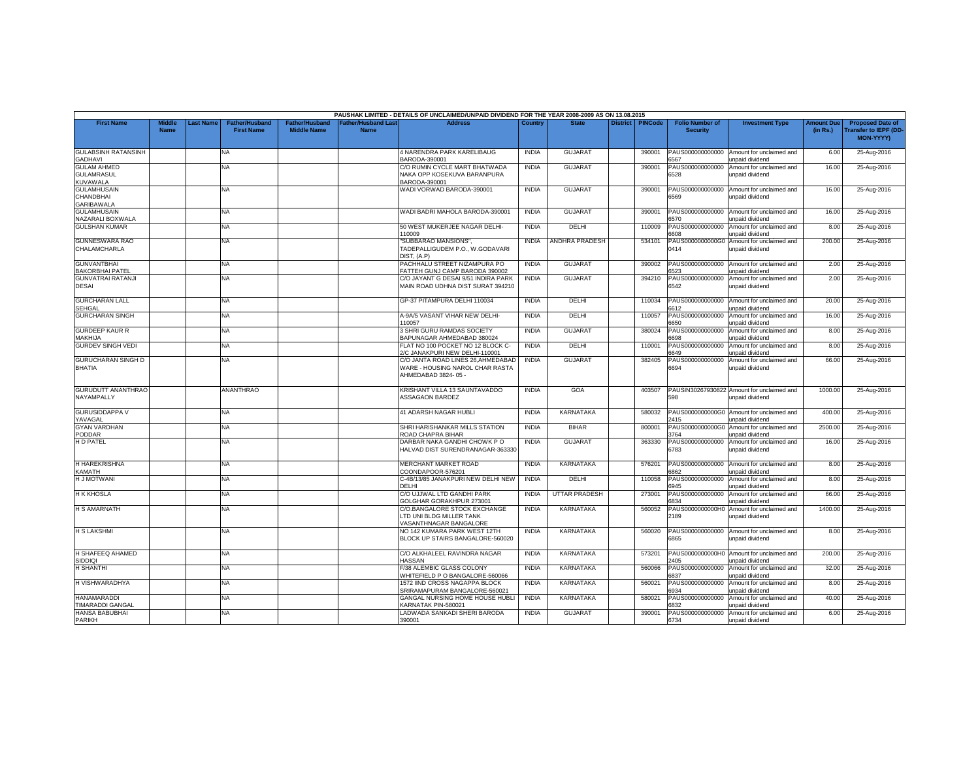|                                                            |                              |           |                                            |                                             |                                           | PAUSHAK LIMITED - DETAILS OF UNCLAIMED/UNPAID DIVIDEND FOR THE YEAR 2008-2009 AS ON 13.08.2015 |              |                      |                 |                |                                           |                                                               |                               |                                                              |
|------------------------------------------------------------|------------------------------|-----------|--------------------------------------------|---------------------------------------------|-------------------------------------------|------------------------------------------------------------------------------------------------|--------------|----------------------|-----------------|----------------|-------------------------------------------|---------------------------------------------------------------|-------------------------------|--------------------------------------------------------------|
| <b>First Name</b>                                          | <b>Middle</b><br><b>Name</b> | Last Name | <b>Father/Husband</b><br><b>First Name</b> | <b>Father/Husband</b><br><b>Middle Name</b> | <b>Father/Husband Last</b><br><b>Name</b> | <b>Address</b>                                                                                 | Country      | <b>State</b>         | <b>District</b> | <b>PINCode</b> | <b>Folio Number of</b><br><b>Security</b> | <b>Investment Type</b>                                        | <b>Amount Due</b><br>(in Rs.) | <b>Proposed Date of</b><br>Transfer to IEPF (DD<br>MON-YYYY) |
| <b>GULABSINH RATANSINH</b><br><b>GADHAVI</b>               |                              |           | NA                                         |                                             |                                           | 4 NARENDRA PARK KARELIBAUG<br>BARODA-390001                                                    | <b>INDIA</b> | <b>GUJARAT</b>       |                 | 390001         | PAUS000000000000<br>5567                  | Amount for unclaimed and<br><b>Inpaid dividend</b>            | 6.00                          | 25-Aug-2016                                                  |
| <b>GULAM AHMED</b><br><b>GULAMRASUL</b><br><b>KUVAWALA</b> |                              |           | NA                                         |                                             |                                           | C/O RUMIN CYCLE MART BHATWADA<br>NAKA OPP KOSEKUVA BARANPURA<br>BARODA-390001                  | <b>INDIA</b> | <b>GUJARAT</b>       |                 | 390001         | PAUS000000000000<br>6528                  | Amount for unclaimed and<br>unpaid dividend                   | 16.00                         | 25-Aug-2016                                                  |
| <b>GULAMHUSAIN</b><br>CHANDBHAI<br><b>GARIBAWALA</b>       |                              |           | NA                                         |                                             |                                           | WADI VORWAD BARODA-390001                                                                      | <b>INDIA</b> | <b>GUJARAT</b>       |                 | 390001         | PAUS000000000000<br>6569                  | Amount for unclaimed and<br>unpaid dividend                   | 16.00                         | 25-Aug-2016                                                  |
| <b>GULAMHUSAIN</b><br>NAZARALI BOXWALA                     |                              |           | NA                                         |                                             |                                           | WADI BADRI MAHOLA BARODA-390001                                                                | <b>INDIA</b> | <b>GUJARA1</b>       |                 | 390001         | PAUS000000000000<br>6570                  | Amount for unclaimed and<br>unpaid dividend                   | 16.00                         | 25-Aug-2016                                                  |
| <b>GULSHAN KUMAR</b>                                       |                              |           | NA.                                        |                                             |                                           | 50 WEST MUKERJEE NAGAR DELHI-<br>110009                                                        | <b>INDIA</b> | DELHI                |                 | 110009         | PAUS000000000000<br>6608                  | Amount for unclaimed and<br>unpaid dividend                   | 8.00                          | 25-Aug-2016                                                  |
| <b>GUNNESWARA RAO</b><br>CHALAMCHARLA                      |                              |           | NA                                         |                                             |                                           | "SUBBARAO MANSIONS",<br>TADEPALLIGUDEM P.O., W.GODAVARI<br><b>JIST. (A.P)</b>                  | <b>INDIA</b> | ANDHRA PRADESH       |                 | 534101         | PAUS0000000000G0<br>0414                  | Amount for unclaimed and<br>inpaid dividend                   | 200.00                        | 25-Aug-2016                                                  |
| <b>GUNVANTBHAI</b><br><b>BAKORBHAI PATEL</b>               |                              |           | NA                                         |                                             |                                           | PACHHALU STREET NIZAMPURA PO<br>FATTEH GUNJ CAMP BARODA 390002                                 | <b>INDIA</b> | <b>GUJARAT</b>       |                 | 390002         | PAUS000000000000<br>6523                  | Amount for unclaimed and<br>unpaid dividend                   | 2.00                          | 25-Aug-2016                                                  |
| <b>GUNVATRAI RATANJI</b><br><b>DESAI</b>                   |                              |           | NA                                         |                                             |                                           | C/O JAYANT G DESAI 9/51 INDIRA PARK<br>MAIN ROAD UDHNA DIST SURAT 394210                       | <b>INDIA</b> | <b>GUJARAT</b>       |                 | 394210         | PAUS000000000000<br>6542                  | Amount for unclaimed and<br>unpaid dividend                   | 2.00                          | 25-Aug-2016                                                  |
| <b>GURCHARAN LALL</b><br><b>SEHGAL</b>                     |                              |           | NA                                         |                                             |                                           | GP-37 PITAMPURA DELHI 110034                                                                   | <b>INDIA</b> | DELHI                |                 | 110034         | PAUS000000000000<br>6612                  | Amount for unclaimed and<br>unpaid dividend                   | 20.00                         | 25-Aug-2016                                                  |
| <b>GURCHARAN SINGH</b>                                     |                              |           | NA.                                        |                                             |                                           | A-9A/5 VASANT VIHAR NEW DELHI-<br>110057                                                       | <b>INDIA</b> | DELHI                |                 | 110057         | PAUS000000000000<br>6650                  | Amount for unclaimed and<br>unpaid dividend                   | 16.00                         | 25-Aug-2016                                                  |
| <b>GURDEEP KAUR R</b><br><b>MAKHIJA</b>                    |                              |           | NA.                                        |                                             |                                           | <b>3 SHRI GURU RAMDAS SOCIETY</b><br>BAPUNAGAR AHMEDABAD 380024                                | <b>INDIA</b> | <b>GUJARAT</b>       |                 | 380024         | PAUS000000000000<br>5698                  | Amount for unclaimed and<br>unpaid dividend                   | 8.00                          | 25-Aug-2016                                                  |
| <b>GURDEV SINGH VEDI</b>                                   |                              |           | NA                                         |                                             |                                           | FLAT NO 100 POCKET NO 12 BLOCK C-<br>2/C JANAKPURI NEW DELHI-110001                            | <b>INDIA</b> | DELHI                |                 | 110001         | PAUS000000000000<br>6649                  | Amount for unclaimed and<br>unpaid dividend                   | 8.00                          | 25-Aug-2016                                                  |
| <b>GURUCHARAN SINGH D</b><br><b>BHATIA</b>                 |                              |           | NA.                                        |                                             |                                           | C/O JANTA ROAD LINES 26.AHMEDABAD<br>WARE - HOUSING NAROL CHAR RASTA<br>AHMEDABAD 3824-05-     | <b>INDIA</b> | <b>GUJARAT</b>       |                 | 382405         | PAUS000000000000<br>6694                  | Amount for unclaimed and<br>unpaid dividend                   | 66.00                         | 25-Aug-2016                                                  |
| <b>GURUDUTT ANANTHRAO</b><br>NAYAMPALLY                    |                              |           | <b>ANANTHRAO</b>                           |                                             |                                           | KRISHANT VILLA 13 SAUNTAVADDO<br><b>ASSAGAON BARDEZ</b>                                        | <b>INDIA</b> | GOA                  |                 | 403507         | 598                                       | PAUSIN30267930822 Amount for unclaimed and<br>unpaid dividend | 1000.00                       | 25-Aug-2016                                                  |
| <b>GURUSIDDAPPA V</b><br>YAVAGAL                           |                              |           | NA                                         |                                             |                                           | 41 ADARSH NAGAR HUBLI                                                                          | <b>INDIA</b> | KARNATAKA            |                 | 580032         | PAUS0000000000G0<br>2415                  | Amount for unclaimed and<br>inpaid dividend                   | 400.00                        | 25-Aug-2016                                                  |
| <b>GYAN VARDHAN</b><br>PODDAR                              |                              |           | NA                                         |                                             |                                           | SHRI HARISHANKAR MILLS STATION<br><b>ROAD CHAPRA BIHAR</b>                                     | <b>INDIA</b> | <b>BIHAR</b>         |                 | 800001         | PAUS0000000000G0<br>1764                  | Amount for unclaimed and<br>unpaid dividend                   | 2500.00                       | 25-Aug-2016                                                  |
| H D PATEL                                                  |                              |           | <b>NA</b>                                  |                                             |                                           | DARBAR NAKA GANDHI CHOWK PO<br>HALVAD DIST SURENDRANAGAR-363330                                | <b>INDIA</b> | <b>GUJARAT</b>       |                 | 363330         | PAUS000000000000<br>6783                  | Amount for unclaimed and<br>unpaid dividend                   | 16.00                         | 25-Aug-2016                                                  |
| <b>H HAREKRISHNA</b><br><b>KAMATH</b>                      |                              |           | NA                                         |                                             |                                           | <b>MERCHANT MARKET ROAD</b><br>COONDAPOOR-576201                                               | <b>INDIA</b> | <b>KARNATAKA</b>     |                 | 576201         | PAUS000000000000<br>6862                  | Amount for unclaimed and<br>inpaid dividend                   | 8.00                          | 25-Aug-2016                                                  |
| <b>H J MOTWANI</b>                                         |                              |           | NA                                         |                                             |                                           | C-4B/13/85 JANAKPURI NEW DELHI NEW<br>DELHI                                                    | <b>INDIA</b> | DELHI                |                 | 110058         | PAUS000000000000<br>6945                  | Amount for unclaimed and<br>unpaid dividend                   | 8.00                          | 25-Aug-2016                                                  |
| <b>H K KHOSLA</b>                                          |                              |           | NA.                                        |                                             |                                           | C/O UJJWAL LTD GANDHI PARK<br>GOLGHAR GORAKHPUR 273001                                         | <b>INDIA</b> | <b>UTTAR PRADESH</b> |                 | 273001         | PAUS000000000000<br>6834                  | Amount for unclaimed and<br>unpaid dividend                   | 66.00                         | 25-Aug-2016                                                  |
| <b>H S AMARNATH</b>                                        |                              |           | NA                                         |                                             |                                           | C/O.BANGALORE STOCK EXCHANGE<br>LTD UNI BLDG MILLER TANK<br><b>ASANTHNAGAR BANGALORE</b>       | <b>INDIA</b> | KARNATAKA            |                 | 560052         | PAUS0000000000H0<br>2189                  | Amount for unclaimed and<br>unpaid dividend                   | 1400.00                       | 25-Aug-2016                                                  |
| <b>H S LAKSHMI</b>                                         |                              |           | <b>NA</b>                                  |                                             |                                           | NO 142 KUMARA PARK WEST 12TH<br>BLOCK UP STAIRS BANGALORE-560020                               | <b>INDIA</b> | KARNATAKA            |                 | 560020         | PAUS000000000000<br>6865                  | Amount for unclaimed and<br>unpaid dividend                   | 8.00                          | 25-Aug-2016                                                  |
| H SHAFEEQ AHAMED<br>SIDDIQI                                |                              |           | NA.                                        |                                             |                                           | C/O ALKHALEEL RAVINDRA NAGAR<br><b>HASSAN</b>                                                  | <b>INDIA</b> | KARNATAKA            |                 | 573201         | 2405                                      | PAUS0000000000H0 Amount for unclaimed and<br>inpaid dividend  | 200.00                        | 25-Aug-2016                                                  |
| H SHANTHI                                                  |                              |           | NA                                         |                                             |                                           | -/38 ALEMBIC GLASS COLONY<br>WHITEFIELD P O BANGALORE-560066                                   | <b>INDIA</b> | <b>KARNATAKA</b>     |                 | 560066         | PAUS000000000000<br>6837                  | Amount for unclaimed and<br>unpaid dividend                   | 32.00                         | 25-Aug-2016                                                  |
| H VISHWARADHYA                                             |                              |           | <b>NA</b>                                  |                                             |                                           | 1572 IIND CROSS NAGAPPA BLOCK<br>SRIRAMAPURAM BANGALORE-560021                                 | <b>INDIA</b> | KARNATAKA            |                 | 560021         | PAUS000000000000<br>6934                  | Amount for unclaimed and<br>unpaid dividend                   | 8.00                          | 25-Aug-2016                                                  |
| <b>HANAMARADDI</b><br><b>TIMARADDI GANGAL</b>              |                              |           | <b>NA</b>                                  |                                             |                                           | GANGAL NURSING HOME HOUSE HUBL<br><b>CARNATAK PIN-580021</b>                                   | <b>INDIA</b> | KARNATAKA            |                 | 580021         | PAUS000000000000<br>832                   | Amount for unclaimed and<br>inpaid dividend                   | 40.00                         | 25-Aug-2016                                                  |
| <b>HANSA BABUBHAI</b><br>PARIKH                            |                              |           | NA                                         |                                             |                                           | LADWADA SANKADI SHERI BARODA<br>390001                                                         | <b>INDIA</b> | <b>GUJARAT</b>       |                 | 390001         | PAUS000000000000<br>6734                  | Amount for unclaimed and<br>unpaid dividend                   | 6.00                          | 25-Aug-2016                                                  |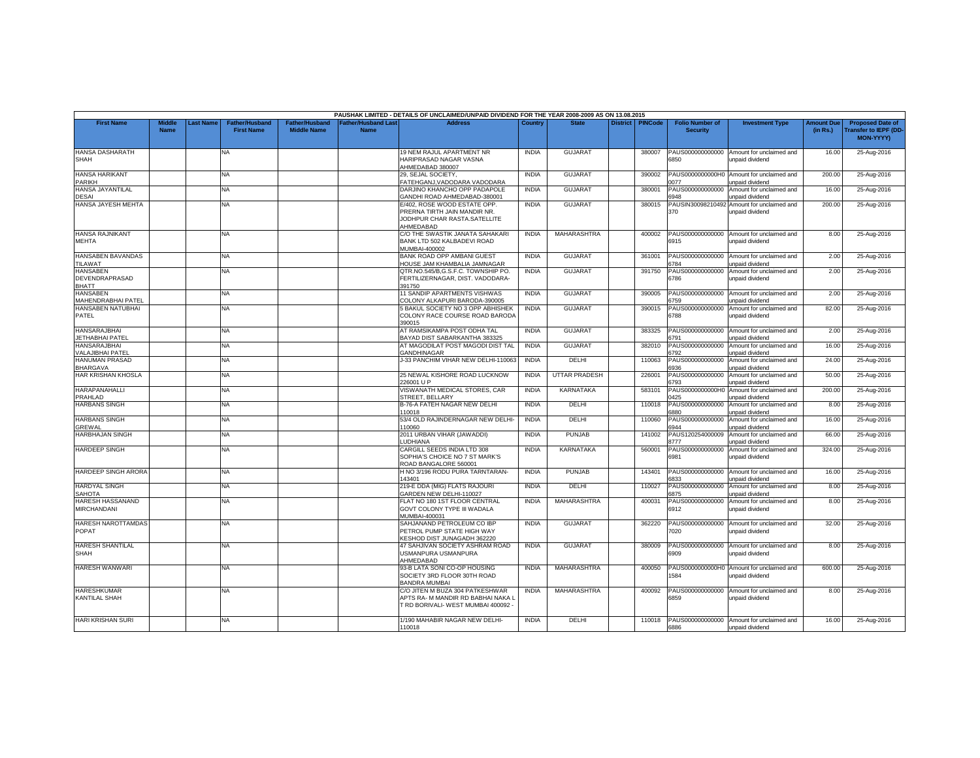|                                                   |                              |          |                                            |                                             |                                           | PAUSHAK LIMITED - DETAILS OF UNCLAIMED/UNPAID DIVIDEND FOR THE YEAR 2008-2009 AS ON 13.08.2015             |              |                      |                 |                |                                           |                                                               |                               |                                                                     |
|---------------------------------------------------|------------------------------|----------|--------------------------------------------|---------------------------------------------|-------------------------------------------|------------------------------------------------------------------------------------------------------------|--------------|----------------------|-----------------|----------------|-------------------------------------------|---------------------------------------------------------------|-------------------------------|---------------------------------------------------------------------|
| <b>First Name</b>                                 | <b>Middle</b><br><b>Name</b> | ast Name | <b>Father/Husband</b><br><b>First Name</b> | <b>Father/Husband</b><br><b>Middle Name</b> | <b>Father/Husband Last</b><br><b>Name</b> | <b>Address</b>                                                                                             | Country      | <b>State</b>         | <b>District</b> | <b>PINCode</b> | <b>Folio Number of</b><br><b>Security</b> | <b>Investment Type</b>                                        | <b>Amount Due</b><br>(in Rs.) | <b>Proposed Date of</b><br>ransfer to IEPF (DD-<br><b>MON-YYYY)</b> |
| HANSA DASHARATH<br>SHAH                           |                              |          | NA                                         |                                             |                                           | 19 NEM RAJUL APARTMENT NR<br>HARIPRASAD NAGAR VASNA<br>AHMEDABAD 380007                                    | <b>INDIA</b> | <b>GUJARAT</b>       |                 | 380007         | PAUS000000000000<br>6850                  | Amount for unclaimed and<br>unpaid dividend                   | 16.00                         | 25-Aug-2016                                                         |
| <b>HANSA HARIKANT</b><br><b>PARIKH</b>            |                              |          | NA.                                        |                                             |                                           | 29. SEJAL SOCIETY.<br>FATEHGANJ, VADODARA VADODARA                                                         | <b>INDIA</b> | <b>GUJARAT</b>       |                 | 390002         | 077                                       | PAUS0000000000H0 Amount for unclaimed and<br>unpaid dividend  | 200.00                        | 25-Aug-2016                                                         |
| HANSA JAYANTILAL<br><b>DESAI</b>                  |                              |          | NA                                         |                                             |                                           | DARJINO KHANCHO OPP PADAPOLE<br>GANDHI ROAD AHMEDABAD-380001                                               | <b>INDIA</b> | <b>GUJARAT</b>       |                 | 380001         | PAUS000000000000<br>3948                  | Amount for unclaimed and<br><b>Inpaid dividend</b>            | 16.00                         | 25-Aug-2016                                                         |
| HANSA JAYESH MEHTA                                |                              |          | NA                                         |                                             |                                           | E/402, ROSE WOOD ESTATE OPP.<br>PRERNA TIRTH JAIN MANDIR NR.<br>JODHPUR CHAR RASTA.SATELLITE<br>AHMEDABAD  | <b>INDIA</b> | <b>GUJARAT</b>       |                 | 380015         | 370                                       | PAUSIN30098210492 Amount for unclaimed and<br>unpaid dividend | 200.00                        | 25-Aug-2016                                                         |
| <b>HANSA RAJNIKANT</b><br><b>MEHTA</b>            |                              |          | NA                                         |                                             |                                           | C/O THE SWASTIK JANATA SAHAKARI<br>BANK LTD 502 KALBADEVI ROAD<br>MUMBAI-400002                            | <b>INDIA</b> | MAHARASHTRA          |                 | 400002         | 6915                                      | PAUS000000000000 Amount for unclaimed and<br>unpaid dividend  | 8.00                          | 25-Aug-2016                                                         |
| HANSABEN BAVANDAS<br>TILAWAT                      |                              |          | NA.                                        |                                             |                                           | BANK ROAD OPP AMBANI GUEST<br>HOUSE JAM KHAMBALIA JAMNAGAR                                                 | <b>INDIA</b> | <b>GUJARAT</b>       |                 | 361001         | 6784                                      | PAUS000000000000 Amount for unclaimed and<br>unpaid dividend  | 2.00                          | 25-Aug-2016                                                         |
| <b>HANSABEN</b><br>DEVENDRAPRASAD<br><b>BHATT</b> |                              |          | NA                                         |                                             |                                           | QTR.NO.545/B,G.S.F.C. TOWNSHIP PO.<br>FERTILIZERNAGAR, DIST, VADODARA-<br>391750                           | <b>INDIA</b> | <b>GUJARAT</b>       |                 | 391750         | 3786                                      | PAUS000000000000 Amount for unclaimed and<br>unpaid dividend  | 2.00                          | 25-Aug-2016                                                         |
| <b>HANSABEN</b><br><b>MAHENDRABHAI PATEI</b>      |                              |          | <b>NA</b>                                  |                                             |                                           | 11 SANDIP APARTMENTS VISHWAS<br>COLONY ALKAPURI BARODA-390005                                              | <b>INDIA</b> | <b>GUJARAT</b>       |                 | 390005         | 3759                                      | PAUS000000000000 Amount for unclaimed and<br>unpaid dividend  | 2.00                          | 25-Aug-2016                                                         |
| HANSABEN NATUBHAI<br>PATEL                        |                              |          | <b>NA</b>                                  |                                             |                                           | 5 BAKUL SOCIETY NO 3 OPP ABHISHEK<br>COLONY RACE COURSE ROAD BARODA<br>390015                              | <b>INDIA</b> | <b>GUJARAT</b>       |                 | 390015         | 3788                                      | PAUS000000000000 Amount for unclaimed and<br>unpaid dividend  | 82.00                         | 25-Aug-2016                                                         |
| HANSARAJBHAI<br><b>JETHABHAI PATEL</b>            |                              |          | NA.                                        |                                             |                                           | AT RAMSIKAMPA POST ODHA TAL<br>BAYAD DIST SABARKANTHA 383325                                               | <b>INDIA</b> | <b>GUJARAT</b>       |                 | 383325         | 3791                                      | PAUS000000000000 Amount for unclaimed and<br>unpaid dividend  | 2.00                          | 25-Aug-2016                                                         |
| <b>HANSARAJBHAI</b><br>VALAJIBHAI PATEL           |                              |          | NA                                         |                                             |                                           | AT MAGODILAT POST MAGODI DIST TAL<br>GANDHINAGAR                                                           | <b>INDIA</b> | <b>GUJARAT</b>       |                 | 382010         | PAUS000000000000<br>6792                  | Amount for unclaimed and<br>unpaid dividend                   | 16.00                         | 25-Aug-2016                                                         |
| <b>HANUMAN PRASAD</b><br><b>BHARGAVA</b>          |                              |          | <b>NA</b>                                  |                                             |                                           | J-33 PANCHIM VIHAR NEW DELHI-110063                                                                        | <b>INDIA</b> | DELHI                |                 | 110063         | PAUS000000000000<br>3936                  | Amount for unclaimed and<br>unpaid dividend                   | 24.00                         | 25-Aug-2016                                                         |
| HAR KRISHAN KHOSLA                                |                              |          | <b>NA</b>                                  |                                             |                                           | 25 NEWAL KISHORE ROAD LUCKNOW<br>226001 U P                                                                | <b>INDIA</b> | <b>UTTAR PRADESH</b> |                 | 226001         | PAUS000000000000<br>3793                  | Amount for unclaimed and<br>inpaid dividend                   | 50.00                         | 25-Aug-2016                                                         |
| HARAPANAHALLI<br>PRAHLAD                          |                              |          | NA.                                        |                                             |                                           | VISWANATH MEDICAL STORES, CAR<br>STREET, BELLARY                                                           | <b>INDIA</b> | <b>KARNATAKA</b>     |                 | 583101         | 425                                       | PAUS0000000000H0 Amount for unclaimed and<br>unpaid dividend  | 200.00                        | 25-Aug-2016                                                         |
| <b>HARBANS SINGH</b>                              |                              |          | <b>NA</b>                                  |                                             |                                           | B-76-A FATEH NAGAR NEW DELHI<br>10018                                                                      | <b>INDIA</b> | DELHI                |                 | 110018         | PAUS000000000000<br>3880                  | Amount for unclaimed and<br>unpaid dividend                   | 8.00                          | 25-Aug-2016                                                         |
| <b>HARBANS SINGH</b><br>GREWAL                    |                              |          | NA                                         |                                             |                                           | 53/4 OLD RAJINDERNAGAR NEW DELHI-<br>110060                                                                | <b>INDIA</b> | DELHI                |                 | 110060         | PAUS000000000000<br>3944                  | Amount for unclaimed and<br>unpaid dividend                   | 16.00                         | 25-Aug-2016                                                         |
| <b>HARBHAJAN SINGH</b>                            |                              |          | NA                                         |                                             |                                           | 2011 URBAN VIHAR (JAWADDI)<br>LUDHIANA                                                                     | <b>INDIA</b> | <b>PUNJAB</b>        |                 | 141002         | 3777                                      | PAUS120254000009 Amount for unclaimed and<br>unpaid dividend  | 66.00                         | 25-Aug-2016                                                         |
| <b>HARDEEP SINGH</b>                              |                              |          | NA                                         |                                             |                                           | CARGILL SEEDS INDIA LTD 308<br>SOPHIA'S CHOICE NO 7 ST MARK'S<br>ROAD BANGALORE 560001                     | <b>INDIA</b> | KARNATAKA            |                 | 560001         | 6981                                      | PAUS000000000000 Amount for unclaimed and<br>unpaid dividend  | 324.00                        | 25-Aug-2016                                                         |
| <b>HARDEEP SINGH ARORA</b>                        |                              |          | NA                                         |                                             |                                           | H NO 3/196 RODU PURA TARNTARAN-<br>143401                                                                  | <b>INDIA</b> | PUNJAB               |                 | 143401         | 6833                                      | PAUS000000000000 Amount for unclaimed and<br>unpaid dividend  | 16.00                         | 25-Aug-2016                                                         |
| <b>HARDYAL SINGH</b><br><b>SAHOTA</b>             |                              |          | <b>NA</b>                                  |                                             |                                           | 219-E DDA (MIG) FLATS RAJOURI<br>GARDEN NEW DELHI-110027                                                   | <b>INDIA</b> | DELHI                |                 | 110027         | PAUS000000000000<br>875                   | Amount for unclaimed and<br>inpaid dividend                   | 8.00                          | 25-Aug-2016                                                         |
| <b>HARESH HASSANAND</b><br><b>MIRCHANDANI</b>     |                              |          | NA                                         |                                             |                                           | FLAT NO 180 1ST FLOOR CENTRAL<br>GOVT COLONY TYPE III WADALA<br>MUMBAI-400031                              | <b>INDIA</b> | MAHARASHTRA          |                 | 400031         | PAUS000000000000<br>6912                  | Amount for unclaimed and<br>unpaid dividend                   | 8.00                          | 25-Aug-2016                                                         |
| <b>HARESH NAROTTAMDAS</b><br><b>POPAT</b>         |                              |          | <b>NA</b>                                  |                                             |                                           | SAHJANAND PETROLEUM CO IBP<br>PETROL PUMP STATE HIGH WAY<br>KESHOD DIST JUNAGADH 362220                    | <b>INDIA</b> | <b>GUJARAT</b>       |                 | 362220         | 7020                                      | PAUS000000000000 Amount for unclaimed and<br>unpaid dividend  | 32.00                         | 25-Aug-2016                                                         |
| <b>HARESH SHANTILAL</b><br><b>SHAH</b>            |                              |          | NA                                         |                                             |                                           | 47 SAHJIVAN SOCIETY ASHRAM ROAD<br>USMANPURA USMANPURA<br>AHMEDABAD                                        | <b>INDIA</b> | <b>GUJARAT</b>       |                 | 380009         | 5909                                      | PAUS000000000000 Amount for unclaimed and<br>unpaid dividend  | 8.00                          | 25-Aug-2016                                                         |
| <b>HARESH WANWARI</b>                             |                              |          | NA                                         |                                             |                                           | 93-B LATA SONI CO-OP HOUSING<br>SOCIETY 3RD FLOOR 30TH ROAD<br><b>BANDRA MUMBAI</b>                        | <b>INDIA</b> | MAHARASHTRA          |                 | 400050         | 1584                                      | PAUS0000000000H0 Amount for unclaimed and<br>unpaid dividend  | 600.00                        | 25-Aug-2016                                                         |
| <b>HARESHKUMAR</b><br>KANTILAL SHAH               |                              |          | <b>NA</b>                                  |                                             |                                           | C/O JITEN M BUZA 304 PATKESHWAR<br>APTS RA- M MANDIR RD BABHAI NAKA L<br>T RD BORIVALI- WEST MUMBAI 400092 | <b>INDIA</b> | MAHARASHTRA          |                 | 400092         | PAUS000000000000<br>3859                  | Amount for unclaimed and<br>unpaid dividend                   | 8.00                          | 25-Aug-2016                                                         |
| <b>HARI KRISHAN SURI</b>                          |                              |          | NA.                                        |                                             |                                           | 1/190 MAHABIR NAGAR NEW DELHI-<br>110018                                                                   | <b>INDIA</b> | DELHI                |                 | 110018         | 6886                                      | PAUS000000000000 Amount for unclaimed and<br>unpaid dividend  | 16.00                         | 25-Aug-2016                                                         |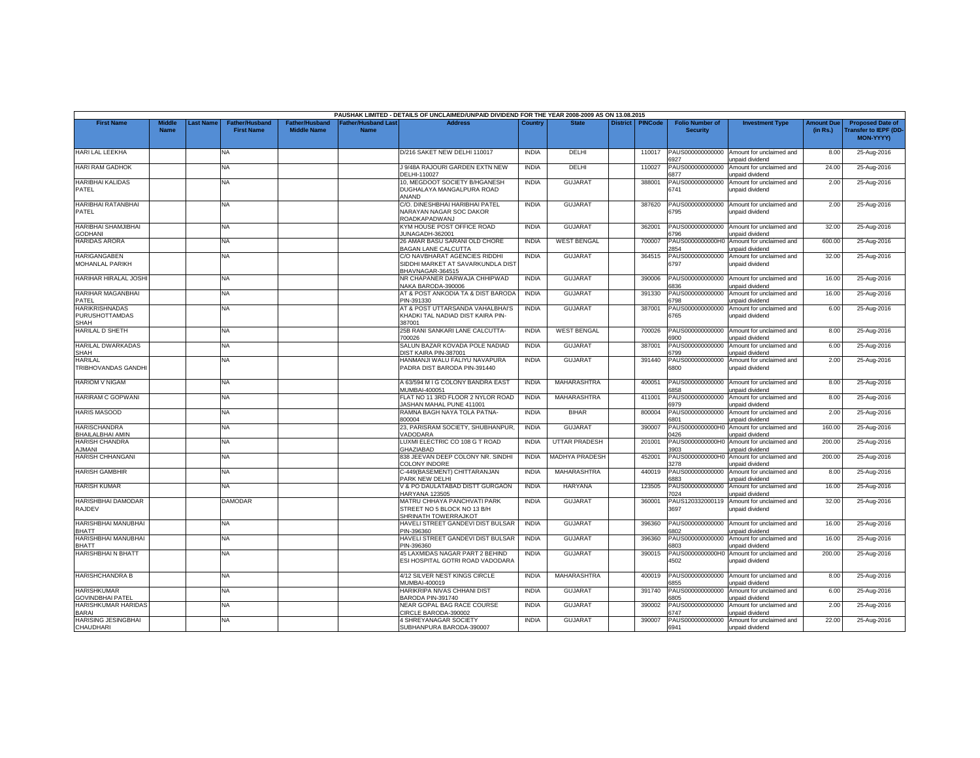|                                                 |                              |          |                                            |                                             |                                          | PAUSHAK LIMITED - DETAILS OF UNCLAIMED/UNPAID DIVIDEND FOR THE YEAR 2008-2009 AS ON 13.08.2015 |              |                      |                 |                |                                           |                                                                     |                               |                                                                    |
|-------------------------------------------------|------------------------------|----------|--------------------------------------------|---------------------------------------------|------------------------------------------|------------------------------------------------------------------------------------------------|--------------|----------------------|-----------------|----------------|-------------------------------------------|---------------------------------------------------------------------|-------------------------------|--------------------------------------------------------------------|
| <b>First Name</b>                               | <b>Middle</b><br><b>Name</b> | ast Name | <b>Father/Husband</b><br><b>First Name</b> | <b>Father/Husband</b><br><b>Middle Name</b> | <b>Father/Husband Las</b><br><b>Name</b> | <b>Address</b>                                                                                 | Country      | <b>State</b>         | <b>District</b> | <b>PINCode</b> | <b>Folio Number of</b><br><b>Security</b> | <b>Investment Type</b>                                              | <b>Amount Due</b><br>(in Rs.) | <b>Proposed Date of</b><br>ransfer to IEPF (DD<br><b>MON-YYYY)</b> |
| HARI LAL LEEKHA                                 |                              |          | NA                                         |                                             |                                          | D/216 SAKET NEW DELHI 110017                                                                   | <b>INDIA</b> | DELHI                |                 | 110017         | PAUS000000000000<br>6927                  | Amount for unclaimed and<br>unpaid dividend                         | 8.00                          | 25-Aug-2016                                                        |
| <b>HARI RAM GADHOK</b>                          |                              |          | <b>NA</b>                                  |                                             |                                          | J 9/48A RAJOURI GARDEN EXTN NEW<br>DELHI-110027                                                | <b>INDIA</b> | DELHI                |                 | 110027         | PAUS000000000000<br>877                   | Amount for unclaimed and<br>inpaid dividend                         | 24.00                         | 25-Aug-2016                                                        |
| <b>HARIBHAI KALIDAS</b><br>PATEL                |                              |          | NA                                         |                                             |                                          | 10, MEGDOOT SOCIETY B/HGANESH<br>DUGHALAYA MANGALPURA ROAD<br>ANAND                            | <b>INDIA</b> | <b>GUJARAT</b>       |                 | 388001         | PAUS000000000000<br>6741                  | Amount for unclaimed and<br>unpaid dividend                         | 2.00                          | 25-Aug-2016                                                        |
| <b>HARIBHAI RATANBHAI</b><br>PATEL              |                              |          | NA                                         |                                             |                                          | C/O. DINESHBHAI HARIBHAI PATEL<br>NARAYAN NAGAR SOC DAKOR<br>ROADKAPADWANJ                     | <b>INDIA</b> | <b>GUJARAT</b>       |                 | 387620         | PAUS000000000000<br>6795                  | Amount for unclaimed and<br>unpaid dividend                         | 2.00                          | 25-Aug-2016                                                        |
| <b>HARIBHAI SHAMJIBHAI</b><br><b>GODHANI</b>    |                              |          | NA                                         |                                             |                                          | KYM HOUSE POST OFFICE ROAD<br>JUNAGADH-362001                                                  | <b>INDIA</b> | <b>GUJARAT</b>       |                 | 362001         | 3796                                      | PAUS000000000000 Amount for unclaimed and<br>unpaid dividend        | 32.00                         | 25-Aug-2016                                                        |
| <b>HARIDAS ARORA</b>                            |                              |          | <b>NA</b>                                  |                                             |                                          | 26 AMAR BASU SARANI OLD CHORE<br><b>BAGAN LANE CALCUTTA</b>                                    | <b>INDIA</b> | <b>WEST BENGAL</b>   |                 | 700007         | PAUS0000000000H0<br>2854                  | Amount for unclaimed and<br>unpaid dividend                         | 600.00                        | 25-Aug-2016                                                        |
| <b>HARIGANGABEN</b><br>MOHANLAL PARIKH          |                              |          | NA.                                        |                                             |                                          | C/O NAVBHARAT AGENCIES RIDDHI<br>SIDDHI MARKET AT SAVARKUNDLA DIST<br>BHAVNAGAR-364515         | <b>INDIA</b> | GUJARA <sub>1</sub>  |                 | 364515         | PAUS000000000000<br>6797                  | Amount for unclaimed and<br>unpaid dividend                         | 32.00                         | 25-Aug-2016                                                        |
| <b>HARIHAR HIRALAL JOSHI</b>                    |                              |          | NA                                         |                                             |                                          | NR CHAPANER DARWAJA CHHIPWAD<br>VAKA BARODA-390006                                             | <b>INDIA</b> | <b>GUJARAT</b>       |                 | 390006         | PAUS000000000000<br>836                   | Amount for unclaimed and<br>unpaid dividend                         | 16.00                         | 25-Aug-2016                                                        |
| <b>HARIHAR MAGANBHAI</b><br>PATEL               |                              |          | <b>NA</b>                                  |                                             |                                          | AT & POST ANKODIA TA & DIST BARODA<br>PIN-391330                                               | <b>INDIA</b> | <b>GUJARAT</b>       |                 | 391330         | PAUS000000000000<br>6798                  | Amount for unclaimed and<br>unpaid dividend                         | 16.00                         | 25-Aug-2016                                                        |
| <b>HARIKRISHNADAS</b><br>PURUSHOTTAMDAS<br>SHAH |                              |          | <b>NA</b>                                  |                                             |                                          | AT & POST UTTARSANDA VAHALBHAI'S<br>KHADKI TAL NADIAD DIST KAIRA PIN-<br>387001                | <b>INDIA</b> | <b>GUJARAT</b>       |                 | 387001         | PAUS000000000000<br>6765                  | Amount for unclaimed and<br>unpaid dividend                         | 6.00                          | 25-Aug-2016                                                        |
| <b>HARILAL D SHETH</b>                          |                              |          | <b>NA</b>                                  |                                             |                                          | 25B RANI SANKARI LANE CALCUTTA-<br>700026                                                      | <b>INDIA</b> | <b>WEST BENGAL</b>   |                 | 700026         | PAUS000000000000<br>3900                  | Amount for unclaimed and<br>unpaid dividend                         | 8.00                          | 25-Aug-2016                                                        |
| HARILAL DWARKADAS<br>SHAH                       |                              |          | NA                                         |                                             |                                          | SALUN BAZAR KOVADA POLE NADIAD<br>DIST KAIRA PIN-387001                                        | <b>INDIA</b> | <b>GUJARAT</b>       |                 | 387001         | PAUS000000000000<br>6799                  | Amount for unclaimed and<br>unpaid dividend                         | 6.00                          | 25-Aug-2016                                                        |
| <b>HARILAL</b><br><b>TRIBHOVANDAS GANDHI</b>    |                              |          | <b>NA</b>                                  |                                             |                                          | HANMANJI WALU FALIYU NAVAPURA<br>PADRA DIST BARODA PIN-391440                                  | <b>INDIA</b> | <b>GUJARAT</b>       |                 | 391440         | PAUS000000000000<br>6800                  | Amount for unclaimed and<br>unpaid dividend                         | 2.00                          | 25-Aug-2016                                                        |
| <b>HARIOM V NIGAM</b>                           |                              |          | <b>NA</b>                                  |                                             |                                          | A 63/594 M I G COLONY BANDRA EAST<br><b>MUMBAI-400051</b>                                      | <b>INDIA</b> | <b>MAHARASHTRA</b>   |                 | 400051         | PAUS000000000000<br>6858                  | Amount for unclaimed and<br>inpaid dividend                         | 8.00                          | 25-Aug-2016                                                        |
| <b>HARIRAM C GOPWANI</b>                        |                              |          | ΝA                                         |                                             |                                          | LAT NO 11 3RD FLOOR 2 NYLOR ROAD<br>ASHAN MAHAL PUNE 411001                                    | INDIA        | MAHARASHTRA          |                 | 411001         | PAUS000000000000<br>6979                  | Amount for unclaimed and<br>unpaid dividend                         | 8.00                          | 25-Aug-2016                                                        |
| <b>HARIS MASOOD</b>                             |                              |          | NA                                         |                                             |                                          | RAMNA BAGH NAYA TOLA PATNA-<br>300004                                                          | <b>INDIA</b> | <b>BIHAR</b>         |                 | 800004         | PAUS000000000000<br>6801                  | Amount for unclaimed and<br>unpaid dividend                         | 2.00                          | 25-Aug-2016                                                        |
| <b>HARISCHANDRA</b><br><b>BHAILALBHAI AMIN</b>  |                              |          | NA                                         |                                             |                                          | 23, PARISRAM SOCIETY, SHUBHANPUR<br>/ADODARA                                                   | <b>INDIA</b> | <b>GUJARAT</b>       |                 | 390007         | PAUS0000000000H0<br>1426                  | Amount for unclaimed and<br>unpaid dividend                         | 160.00                        | 25-Aug-2016                                                        |
| <b>HARISH CHANDRA</b><br>A.IMANI                |                              |          | NA                                         |                                             |                                          | LUXMI ELECTRIC CO 108 G T ROAD<br><b>GHAZIABAD</b>                                             | <b>INDIA</b> | <b>UTTAR PRADESH</b> |                 | 201001         | PAUS0000000000H0<br>3903                  | Amount for unclaimed and<br>unpaid dividend                         | 200.00                        | 25-Aug-2016                                                        |
| <b>HARISH CHHANGANI</b>                         |                              |          | ΝA                                         |                                             |                                          | 838 JEEVAN DEEP COLONY NR. SINDH<br>COLONY INDORE                                              | <b>INDIA</b> | MADHYA PRADESH       |                 | 452001         | PAUS0000000000H0<br>3278                  | Amount for unclaimed and<br>unpaid dividend                         | 200.00                        | 25-Aug-2016                                                        |
| <b>HARISH GAMBHIR</b>                           |                              |          | NA.                                        |                                             |                                          | C-449(BASEMENT) CHITTARANJAN<br>PARK NEW DELHI                                                 | <b>INDIA</b> | MAHARASHTRA          |                 | 440019         | PAUS000000000000<br>6883                  | Amount for unclaimed and<br>unpaid dividend                         | 8.00                          | 25-Aug-2016                                                        |
| <b>HARISH KUMAR</b>                             |                              |          | <b>NA</b>                                  |                                             |                                          | V & PO DAULATABAD DISTT GURGAON<br>HARYANA 123505                                              | <b>INDIA</b> | HARYANA              |                 | 123505         | PAUS000000000000<br>024                   | Amount for unclaimed and<br>unpaid dividend                         | 16.00                         | 25-Aug-2016                                                        |
| HARISHBHAI DAMODAR<br>RAJDEV                    |                              |          | DAMODAR                                    |                                             |                                          | MATRU CHHAYA PANCHVATI PARK<br>STREET NO 5 BLOCK NO 13 B/H<br>SHRINATH TOWERRAJKOT             | <b>INDIA</b> | <b>GUJARAT</b>       |                 | 360001         | PAUS120332000119<br>3697                  | Amount for unclaimed and<br>unpaid dividend                         | 32.00                         | 25-Aug-2016                                                        |
| HARISHBHAI MANUBHAI<br><b>BHATT</b>             |                              |          | <b>NA</b>                                  |                                             |                                          | HAVELI STREET GANDEVI DIST BULSAR<br>PIN-396360                                                | <b>INDIA</b> | GUJARAT              |                 | 396360         | 6802                                      | PAUS000000000000 Amount for unclaimed and<br>unpaid dividend        | 16.00                         | 25-Aug-2016                                                        |
| HARISHBHAI MANUBHAI<br><b>BHATT</b>             |                              |          | NA                                         |                                             |                                          | HAVELI STREET GANDEVI DIST BULSAR<br>PIN-396360                                                | <b>INDIA</b> | <b>GUJARAT</b>       |                 | 396360         | 803                                       | PAUS000000000000 Amount for unclaimed and<br><b>Inpaid dividend</b> | 16.00                         | 25-Aug-2016                                                        |
| <b>HARISHBHAIN BHATT</b>                        |                              |          | NA                                         |                                             |                                          | 45 LAXMIDAS NAGAR PART 2 BEHIND<br>ESI HOSPITAL GOTRI ROAD VADODARA                            | <b>INDIA</b> | <b>GUJARAT</b>       |                 | 390015         | PAUS0000000000H0<br>4502                  | Amount for unclaimed and<br>unpaid dividend                         | 200.00                        | 25-Aug-2016                                                        |
| <b>HARISHCHANDRA B</b>                          |                              |          | NA                                         |                                             |                                          | 4/12 SILVER NEST KINGS CIRCLE<br>MUMBAI-400019                                                 | <b>INDIA</b> | MAHARASHTRA          |                 | 400019         | PAUS000000000000<br>6855                  | Amount for unclaimed and<br>unpaid dividend                         | 8.00                          | 25-Aug-2016                                                        |
| <b>HARISHKUMAR</b><br><b>SOVINDBHAI PATEL</b>   |                              |          | NA                                         |                                             |                                          | HARIKRIPA NIVAS CHHANI DIST<br>BARODA PIN-391740                                               | <b>INDIA</b> | <b>GUJARAT</b>       |                 | 391740         | PAUS000000000000<br>805                   | Amount for unclaimed and<br>inpaid dividend                         | 6.00                          | 25-Aug-2016                                                        |
| <b>HARISHKUMAR HARIDAS</b><br>BARAI             |                              |          | NA.                                        |                                             |                                          | NEAR GOPAL BAG RACE COURSE<br>CIRCLE BARODA-390002                                             | <b>INDIA</b> | <b>GUJARAT</b>       |                 | 390002         | PAUS000000000000<br>6747                  | Amount for unclaimed and<br>unpaid dividend                         | 2.00                          | 25-Aug-2016                                                        |
| <b>HARISING JESINGBHAI</b><br>CHAUDHARI         |                              |          | ΝA                                         |                                             |                                          | 4 SHREYANAGAR SOCIETY<br>SUBHANPURA BARODA-390007                                              | <b>INDIA</b> | <b>GUJARA1</b>       |                 | 390007         | PAUS000000000000<br>6941                  | Amount for unclaimed and<br>unpaid dividend                         | 22.00                         | 25-Aug-2016                                                        |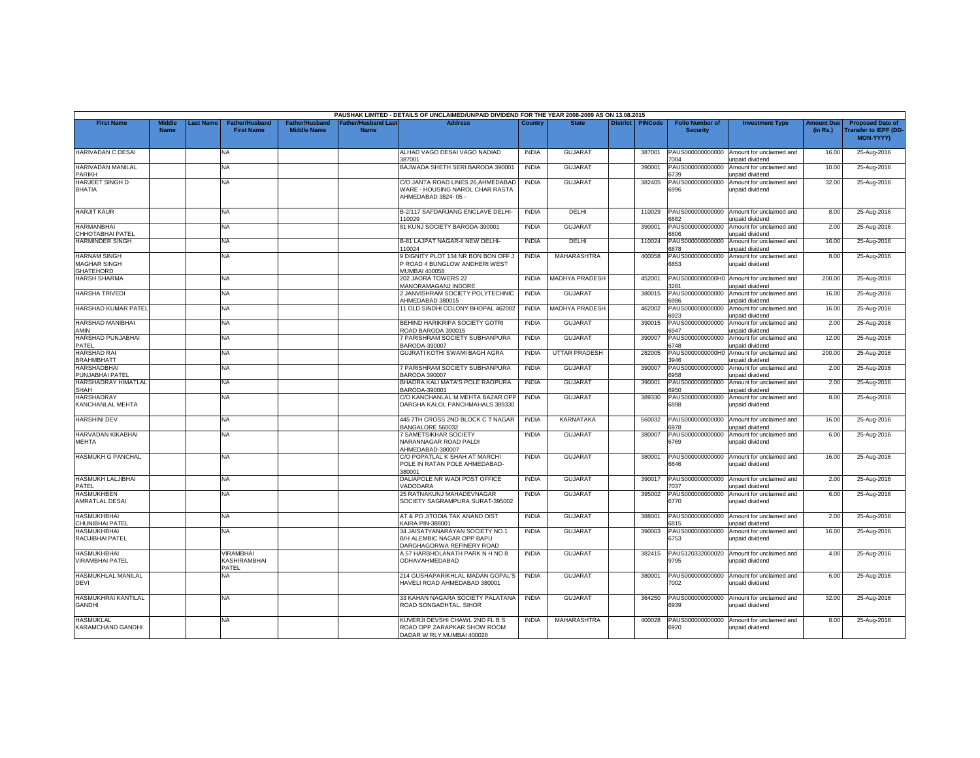|                                                                |                              |                 |                                            |                                             |                                          | PAUSHAK LIMITED - DETAILS OF UNCLAIMED/UNPAID DIVIDEND FOR THE YEAR 2008-2009 AS ON 13.08.2015 |              |                       |                 |                |                                           |                                                              |                               |                                                                            |
|----------------------------------------------------------------|------------------------------|-----------------|--------------------------------------------|---------------------------------------------|------------------------------------------|------------------------------------------------------------------------------------------------|--------------|-----------------------|-----------------|----------------|-------------------------------------------|--------------------------------------------------------------|-------------------------------|----------------------------------------------------------------------------|
| <b>First Name</b>                                              | <b>Middle</b><br><b>Name</b> | <b>ast Name</b> | <b>Father/Husband</b><br><b>First Name</b> | <b>Father/Husband</b><br><b>Middle Name</b> | <b>Father/Husband Las</b><br><b>Name</b> | <b>Address</b>                                                                                 | Country      | <b>State</b>          | <b>District</b> | <b>PINCode</b> | <b>Folio Number of</b><br><b>Security</b> | <b>Investment Type</b>                                       | <b>Amount Due</b><br>(in Rs.) | <b>Proposed Date of</b><br><b>Transfer to IEPF (DD</b><br><b>MON-YYYY)</b> |
| <b>HARIVADAN C DESAI</b>                                       |                              |                 | <b>NA</b>                                  |                                             |                                          | ALHAD VAGO DESAI VAGO NADIAD<br>387001                                                         | <b>INDIA</b> | <b>GUJARAT</b>        |                 | 387001         | PAUS000000000000<br>7004                  | Amount for unclaimed and<br>unpaid dividend                  | 16.00                         | 25-Aug-2016                                                                |
| <b>HARIVADAN MANILAL</b><br><b>PARIKH</b>                      |                              |                 | NA                                         |                                             |                                          | BAJWADA SHETH SERI BARODA 390001                                                               | <b>INDIA</b> | <b>GUJARAT</b>        |                 | 390001         | AUS000000000000<br>3739                   | Amount for unclaimed and<br>unpaid dividend                  | 10.00                         | 25-Aug-2016                                                                |
| HARJEET SINGH D<br><b>BHATIA</b>                               |                              |                 | <b>NA</b>                                  |                                             |                                          | C/O JANTA ROAD LINES 26, AHMEDABAD<br>WARE - HOUSING NAROL CHAR RASTA<br>AHMEDABAD 3824-05-    | <b>INDIA</b> | <b>GUJARAT</b>        |                 | 382405         | PAUS000000000000<br>6996                  | Amount for unclaimed and<br>unpaid dividend                  | 32.00                         | 25-Aug-2016                                                                |
| <b>HARJIT KAUR</b>                                             |                              |                 | <b>NA</b>                                  |                                             |                                          | B-2/117 SAFDARJANG ENCLAVE DELHI-<br>10029                                                     | <b>INDIA</b> | DELHI                 |                 | 110029         | PAUS000000000000<br>882                   | Amount for unclaimed and<br>unpaid dividend                  | 8.00                          | 25-Aug-2016                                                                |
| <b>HARMANBHAI</b><br>CHHOTABHAI PATEL                          |                              |                 | NA.                                        |                                             |                                          | 81 KUNJ SOCIETY BARODA-390001                                                                  | <b>INDIA</b> | <b>GUJARAT</b>        |                 | 390001         | PAUS000000000000<br>6806                  | Amount for unclaimed and<br>unpaid dividend                  | 2.00                          | 25-Aug-2016                                                                |
| <b>HARMINDER SINGH</b>                                         |                              |                 | <b>NA</b>                                  |                                             |                                          | B-81 LAJPAT NAGAR-II NEW DELHI-<br>110024                                                      | <b>INDIA</b> | DELHI                 |                 | 110024         | PAUS000000000000<br>3878                  | Amount for unclaimed and<br>unpaid dividend                  | 16.00                         | 25-Aug-2016                                                                |
| <b>HARNAM SINGH</b><br><b>MAGHAR SINGH</b><br><b>GHATEHORD</b> |                              |                 | <b>NA</b>                                  |                                             |                                          | 9 DIGNITY PLOT 134 NR BON BON OFF J<br>P ROAD 4 BUNGLOW ANDHERI WEST<br>MUMBAI 400058          | <b>INDIA</b> | MAHARASHTRA           |                 | 400058         | PAUS000000000000<br>6853                  | Amount for unclaimed and<br>unpaid dividend                  | 8.00                          | 25-Aug-2016                                                                |
| <b>HARSH SHARMA</b>                                            |                              |                 | <b>NA</b>                                  |                                             |                                          | 202 JAORA TOWERS 22<br>MANORAMAGANJ INDORE                                                     | <b>INDIA</b> | <b>MADHYA PRADESH</b> |                 | 452001         | 3281                                      | PAUS0000000000H0 Amount for unclaimed and<br>unpaid dividend | 200.00                        | 25-Aug-2016                                                                |
| <b>HARSHA TRIVEDI</b>                                          |                              |                 | NA.                                        |                                             |                                          | 2 JANVISHRAM SOCIETY POLYTECHNIC<br>AHMEDABAD 380015                                           | <b>INDIA</b> | <b>GUJARAT</b>        |                 | 380015         | AUS000000000000<br>986                    | Amount for unclaimed and<br>unpaid dividend                  | 16.00                         | 25-Aug-2016                                                                |
| HARSHAD KUMAR PATEL                                            |                              |                 | <b>NA</b>                                  |                                             |                                          | 11 OLD SINDHI COLONY BHOPAL 462002                                                             | <b>INDIA</b> | <b>MADHYA PRADESH</b> |                 | 462002         | PAUS000000000000<br>923                   | Amount for unclaimed and<br>unpaid dividend                  | 16.00                         | 25-Aug-2016                                                                |
| <b>HARSHAD MANIBHAI</b><br>AMIN                                |                              |                 | <b>NA</b>                                  |                                             |                                          | BEHIND HARIKRIPA SOCIETY GOTRI<br>ROAD BARODA 390015                                           | <b>INDIA</b> | <b>GUJARAT</b>        |                 | 390015         | PAUS000000000000<br>947                   | Amount for unclaimed and<br>unpaid dividend                  | 2.00                          | 25-Aug-2016                                                                |
| HARSHAD PUNJABHAI<br>PATEL                                     |                              |                 | NA                                         |                                             |                                          | 7 PARISHRAM SOCIETY SUBHANPURA<br>BARODA-390007                                                | <b>INDIA</b> | <b>GUJARAT</b>        |                 | 390007         | PAUS000000000000<br>6748                  | Amount for unclaimed and<br>unpaid dividend                  | 12.00                         | 25-Aug-2016                                                                |
| <b>HARSHAD RAI</b><br><b>BRAHMBHATT</b>                        |                              |                 | NA.                                        |                                             |                                          | GUJRATI KOTHI SWAMI BAGH AGRA                                                                  | <b>INDIA</b> | <b>UTTAR PRADESH</b>  |                 | 282005         | PAUS0000000000H0<br>3946                  | Amount for unclaimed and<br>unpaid dividend                  | 200.00                        | 25-Aug-2016                                                                |
| <b>HARSHADBHAI</b><br>PUNJABHAI PATEL                          |                              |                 | NA.                                        |                                             |                                          | 7 PARISHRAM SOCIETY SUBHANPURA<br><b>BARODA 390007</b>                                         | <b>INDIA</b> | <b>GUJARAT</b>        |                 | 390007         | PAUS000000000000<br>6058                  | Amount for unclaimed and<br>unpaid dividend                  | 2.00                          | 25-Aug-2016                                                                |
| HARSHADRAY HIMATLAL<br>SHAH                                    |                              |                 | <b>NA</b>                                  |                                             |                                          | BHADRA KALI MATA'S POLE RAOPURA<br>BARODA-390001                                               | <b>INDIA</b> | <b>GUJARAT</b>        |                 | 390001         | PAUS000000000000<br>3950                  | Amount for unclaimed and<br><b>Inpaid dividend</b>           | 2.00                          | 25-Aug-2016                                                                |
| <b>HARSHADRAY</b><br>KANCHANLAL MEHTA                          |                              |                 | NA.                                        |                                             |                                          | C/O KANCHANLAL M MEHTA BAZAR OPP<br>DARGHA KALOL PANCHMAHALS 389330                            | <b>INDIA</b> | <b>GUJARAT</b>        |                 | 389330         | PAUS000000000000<br>6898                  | Amount for unclaimed and<br>unpaid dividend                  | 8.00                          | 25-Aug-2016                                                                |
| <b>HARSHINI DEV</b>                                            |                              |                 | <b>NA</b>                                  |                                             |                                          | 445 7TH CROSS 2ND BLOCK C T NAGAR<br>BANGALORE 560032                                          | <b>INDIA</b> | <b>KARNATAKA</b>      |                 | 560032         | PAUS000000000000<br>6978                  | Amount for unclaimed and<br>unpaid dividend                  | 16.00                         | 25-Aug-2016                                                                |
| HARVADAN KIKABHAI<br>MEHTA                                     |                              |                 | NA.                                        |                                             |                                          | <b>7 SAMETSIKHAR SOCIETY</b><br>NARANNAGAR ROAD PALDI<br>AHMEDABAD-380007                      | <b>INDIA</b> | <b>GUJARAT</b>        |                 | 380007         | PAUS000000000000<br>6769                  | Amount for unclaimed and<br>unpaid dividend                  | 6.00                          | 25-Aug-2016                                                                |
| <b>HASMUKH G PANCHAL</b>                                       |                              |                 | <b>NA</b>                                  |                                             |                                          | C/O POPATLAL K SHAH AT MARCHI<br>POLE IN RATAN POLE AHMEDABAD-<br>380001                       | <b>INDIA</b> | <b>GUJARAT</b>        |                 | 380001         | PAUS000000000000<br>6846                  | Amount for unclaimed and<br>unpaid dividend                  | 16.00                         | 25-Aug-2016                                                                |
| HASMUKH LALJIBHAI<br>PATEL                                     |                              |                 | <b>NA</b>                                  |                                             |                                          | DALIAPOLE NR WADI POST OFFICE<br>/ADODARA                                                      | <b>INDIA</b> | <b>GUJARAT</b>        |                 | 390017         | PAUS000000000000<br>037                   | Amount for unclaimed and<br>unpaid dividend                  | 2.00                          | 25-Aug-2016                                                                |
| <b>HASMUKHBEN</b><br>AMRATLAL DESAI                            |                              |                 | <b>NA</b>                                  |                                             |                                          | 25 RATNAKUNJ MAHADEVNAGAR<br>SOCIETY SAGRAMPURA SURAT-395002                                   | <b>INDIA</b> | <b>GUJARAT</b>        |                 | 395002         | PAUS000000000000<br>6770                  | Amount for unclaimed and<br>unpaid dividend                  | 6.00                          | 25-Aug-2016                                                                |
| <b>HASMUKHBHAI</b><br>CHUNIBHAI PATEL                          |                              |                 | NA                                         |                                             |                                          | AT & PO JITODIA TAK ANAND DIST<br>KAIRA PIN-388001                                             | <b>INDIA</b> | <b>GUJARAT</b>        |                 | 388001         | PAUS000000000000<br>6815                  | Amount for unclaimed and<br><b>Inpaid dividend</b>           | 2.00                          | 25-Aug-2016                                                                |
| <b>HASMUKHBHAI</b><br>RAOJIBHAI PATEL                          |                              |                 | <b>NA</b>                                  |                                             |                                          | 34 JAISATYANARAYAN SOCIETY NO.1<br>B/H ALEMBIC NAGAR OPP BAPU<br>DARGHAGORWA REFINERY ROAD     | <b>INDIA</b> | <b>GUJARAT</b>        |                 | 390003         | PAUS000000000000<br>6753                  | Amount for unclaimed and<br>unpaid dividend                  | 16.00                         | 25-Aug-2016                                                                |
| <b>HASMUKHBHAI</b><br><b>VIRAMBHAI PATEL</b>                   |                              |                 | VIRAMBHAI<br><b>KASHIRAMBHAI</b><br>PATEL  |                                             |                                          | A 57 HARBHOLANATH PARK N H NO 8<br>ODHAVAHMEDABAD                                              | <b>INDIA</b> | <b>GUJARAT</b>        |                 | 382415         | PAUS120332000020<br>9795                  | Amount for unclaimed and<br>unpaid dividend                  | 4.00                          | 25-Aug-2016                                                                |
| HASMUKHLAL MANILAL<br>DEVI                                     |                              |                 | <b>NA</b>                                  |                                             |                                          | 214 GUSHAPARIKHLAL MADAN GOPAL'S<br>HAVELI ROAD AHMEDABAD 380001                               | <b>INDIA</b> | <b>GUJARAT</b>        |                 | 380001         | PAUS000000000000<br>'002                  | Amount for unclaimed and<br>unpaid dividend                  | 6.00                          | 25-Aug-2016                                                                |
| <b>HASMUKHRAI KANTILAL</b><br><b>GANDHI</b>                    |                              |                 | <b>NA</b>                                  |                                             |                                          | 33 KAHAN NAGARA SOCIETY PALATANA<br>ROAD SONGADHTAL, SIHOR                                     | <b>INDIA</b> | <b>GUJARAT</b>        |                 | 364250         | PAUS000000000000<br>6939                  | Amount for unclaimed and<br>unpaid dividend                  | 32.00                         | 25-Aug-2016                                                                |
| <b>HASMUKLAL</b><br>KARAMCHAND GANDHI                          |                              |                 | <b>NA</b>                                  |                                             |                                          | KUVERJI DEVSHI CHAWL 2ND FL B S<br>ROAD OPP ZARAPKAR SHOW ROOM<br>DADAR W RLY MUMBAI 400028    | <b>INDIA</b> | MAHARASHTRA           |                 | 400028         | PAUS000000000000<br>6920                  | Amount for unclaimed and<br>unpaid dividend                  | 8.00                          | 25-Aug-2016                                                                |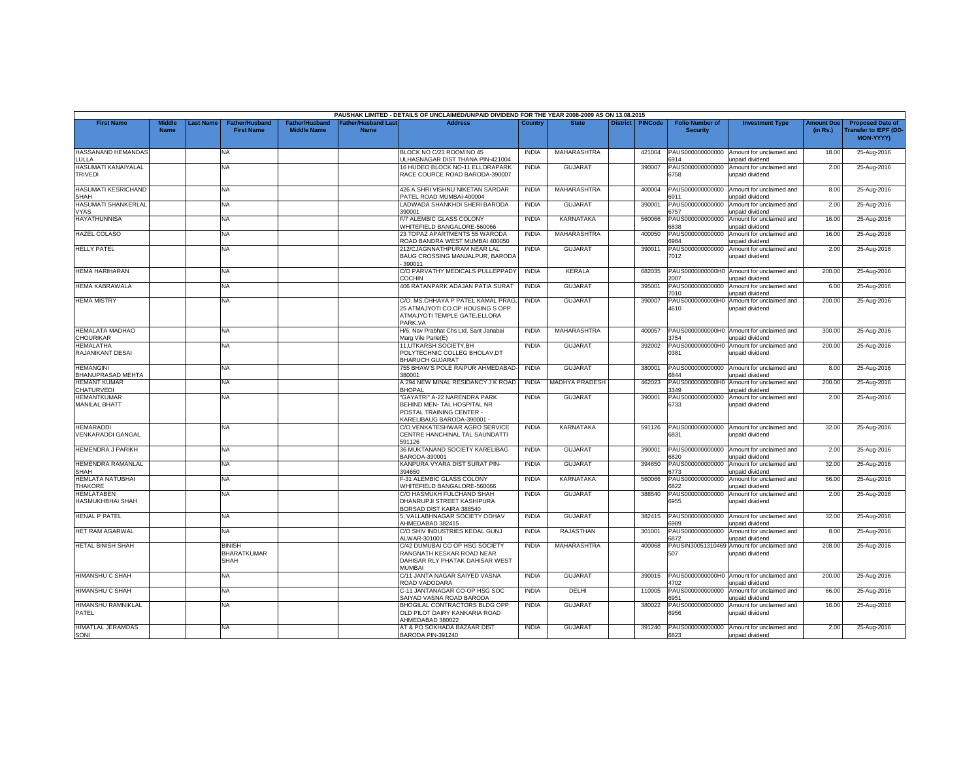|                                              |                              |                 |                                                    |                                      |                                           | PAUSHAK LIMITED - DETAILS OF UNCLAIMED/UNPAID DIVIDEND FOR THE YEAR 2008-2009 AS ON 13.08.2015                      |              |                       |                 |                |                                           |                                                                     |                               |                                                                     |
|----------------------------------------------|------------------------------|-----------------|----------------------------------------------------|--------------------------------------|-------------------------------------------|---------------------------------------------------------------------------------------------------------------------|--------------|-----------------------|-----------------|----------------|-------------------------------------------|---------------------------------------------------------------------|-------------------------------|---------------------------------------------------------------------|
| <b>First Name</b>                            | <b>Middle</b><br><b>Name</b> | <b>ast Name</b> | <b>Father/Husband</b><br><b>First Name</b>         | Father/Husband<br><b>Middle Name</b> | <b>Father/Husband Last</b><br><b>Name</b> | <b>Address</b>                                                                                                      | Country      | <b>State</b>          | <b>District</b> | <b>PINCode</b> | <b>Folio Number of</b><br><b>Security</b> | <b>Investment Type</b>                                              | <b>Amount Due</b><br>(in Rs.) | <b>Proposed Date of</b><br><b>Transfer to IEPF (DD</b><br>MON-YYYY) |
| HASSANAND HEMANDAS<br>LULLA                  |                              |                 | NA.                                                |                                      |                                           | BLOCK NO C/23 ROOM NO 45<br><b>JLHASNAGAR DIST THANA PIN-421004</b>                                                 | <b>INDIA</b> | MAHARASHTRA           |                 | 421004         | PAUS000000000000<br>6914                  | Amount for unclaimed and<br>unpaid dividend                         | 18.00                         | 25-Aug-2016                                                         |
| HASUMATI KANAIYALAL<br>TRIVEDI               |                              |                 | NA                                                 |                                      |                                           | 16 HUDEO BLOCK NO-11 ELLORAPARK<br>RACE COURCE ROAD BARODA-390007                                                   | <b>INDIA</b> | <b>GUJARAT</b>        |                 | 390007         | PAUS000000000000<br>6758                  | Amount for unclaimed and<br>unpaid dividend                         | 2.00                          | 25-Aug-2016                                                         |
| HASUMATI KESRICHAND<br>SHAH                  |                              |                 | NA.                                                |                                      |                                           | 426 A SHRI VISHNU NIKETAN SARDAR<br>ATEL ROAD MUMBAI-400004                                                         | <b>INDIA</b> | <b>MAHARASHTRA</b>    |                 | 400004         | PAUS000000000000<br>6911                  | Amount for unclaimed and<br>unpaid dividend                         | 8.00                          | 25-Aug-2016                                                         |
| HASUMATI SHANKERLAL<br><b>VYAS</b>           |                              |                 | NA                                                 |                                      |                                           | LADWADA SHANKHDI SHERI BARODA<br>390001                                                                             | <b>INDIA</b> | GUJARAT               |                 | 390001         | PAUS000000000000<br>6757                  | Amount for unclaimed and<br>unpaid dividend                         | 2.00                          | 25-Aug-2016                                                         |
| <b>HAYATHUNNISA</b>                          |                              |                 | NA                                                 |                                      |                                           | F/7 ALEMBIC GLASS COLONY<br>WHITEFIELD BANGALORE-560066                                                             | <b>INDIA</b> | KARNATAKA             |                 | 560066         | PAUS000000000000<br>6838                  | Amount for unclaimed and<br>unpaid dividend                         | 16.00                         | 25-Aug-2016                                                         |
| <b>HAZEL COLASO</b>                          |                              |                 | NA                                                 |                                      |                                           | 23 TOPAZ APARTMENTS 55 WARODA<br>ROAD BANDRA WEST MUMBAI 400050                                                     | <b>INDIA</b> | <b>MAHARASHTRA</b>    |                 | 400050         | PAUS000000000000<br>6984                  | Amount for unclaimed and<br>unpaid dividend                         | 16.00                         | 25-Aug-2016                                                         |
| <b>HELLY PATEL</b>                           |                              |                 | <b>NA</b>                                          |                                      |                                           | 212/CJAGNNATHPURAM NEAR LAL<br>BAUG CROSSING MANJALPUR, BARODA<br>390011                                            | <b>INDIA</b> | <b>GUJARAT</b>        |                 | 390011         | PAUS000000000000<br>7012                  | Amount for unclaimed and<br>unpaid dividend                         | 2.00                          | 25-Aug-2016                                                         |
| <b>HEMA HARIHARAN</b>                        |                              |                 | NA                                                 |                                      |                                           | C/O PARVATHY MEDICALS PULLEPPADY<br>COCHIN                                                                          | <b>INDIA</b> | KERALA                |                 | 682035         | PAUS0000000000H0<br>2007                  | Amount for unclaimed and<br>unpaid dividend                         | 200.00                        | 25-Aug-2016                                                         |
| <b>HEMA KABRAWALA</b>                        |                              |                 | NA                                                 |                                      |                                           | 406 RATANPARK ADAJAN PATIA SURAT                                                                                    | <b>INDIA</b> | <b>GUJARAT</b>        |                 | 395001         | PAUS000000000000<br>7010                  | Amount for unclaimed and<br>unpaid dividend                         | 6.00                          | 25-Aug-2016                                                         |
| <b>HEMA MISTRY</b>                           |                              |                 | NA                                                 |                                      |                                           | C/O. MS.CHHAYA P PATEL KAMAL PRAG<br>25 ATMAJYOTI CO.OP HOUSING S OPP<br>ATMAJYOTI TEMPLE GATE.ELLORA<br>PARK.VA    | <b>INDIA</b> | <b>GUJARAT</b>        |                 | 390007         | PAUS0000000000H0<br>4610                  | Amount for unclaimed and<br>unpaid dividend                         | 200.00                        | 25-Aug-2016                                                         |
| <b>HEMALATA MADHAO</b><br>CHOURIKAR          |                              |                 | NA                                                 |                                      |                                           | H/6, Nav Prabhat Chs Ltd. Sant Janabai<br>Marg Vile Parle(E)                                                        | <b>INDIA</b> | <b>MAHARASHTRA</b>    |                 | 400057         | PAUS0000000000H0<br>754                   | Amount for unclaimed and<br>unpaid dividend                         | 300.00                        | 25-Aug-2016                                                         |
| <b>HEMALATHA</b><br>RAJANIKANT DESAI         |                              |                 | NA                                                 |                                      |                                           | 11, UTKARSH SOCIETY, BH<br>POLYTECHNIC COLLEG BHOLAV,DT<br><b>BHARUCH GUJARAT</b>                                   | <b>INDIA</b> | <b>GUJARAT</b>        |                 | 392002         | PAUS0000000000H0<br>0381                  | Amount for unclaimed and<br>unpaid dividend                         | 200.00                        | 25-Aug-2016                                                         |
| <b>HEMANGINI</b><br><b>BHANUPRASAD MEHTA</b> |                              |                 | NA                                                 |                                      |                                           | 755 BHAW'S POLE RAIPUR AHMEDABAD<br>380001                                                                          | <b>INDIA</b> | <b>GUJARAT</b>        |                 | 380001         | PAUS000000000000<br>6844                  | Amount for unclaimed and<br>unpaid dividend                         | 8.00                          | 25-Aug-2016                                                         |
| <b>HEMANT KUMAR</b><br>CHATURVEDI            |                              |                 | NA.                                                |                                      |                                           | A 294 NEW MINAL RESIDANCY J K ROAD<br><b>BHOPAL</b>                                                                 | <b>INDIA</b> | <b>MADHYA PRADESH</b> |                 | 462023         | 3349                                      | PAUS0000000000H0 Amount for unclaimed and<br><b>Inpaid dividend</b> | 200.00                        | 25-Aug-2016                                                         |
| <b>HEMANTKUMAR</b><br><b>MANILAL BHATT</b>   |                              |                 | NA                                                 |                                      |                                           | "GAYATRI" A-22 NARENDRA PARK<br>BEHIND MEN- TAL HOSPITAL NR<br>POSTAL TRAINING CENTER -<br>KARELIBAUG BARODA-390001 | <b>INDIA</b> | <b>GUJARA1</b>        |                 | 390001         | PAUS000000000000<br>6733                  | Amount for unclaimed and<br>unpaid dividend                         | 2.00                          | 25-Aug-2016                                                         |
| <b>HEMARADDI</b><br><b>VENKARADDI GANGAL</b> |                              |                 | NA.                                                |                                      |                                           | C/O VENKATESHWAR AGRO SERVICE<br>CENTRE HANCHINAL TAL SAUNDATTI<br>591126                                           | <b>INDIA</b> | <b>KARNATAKA</b>      |                 | 591126         | PAUS000000000000<br>6831                  | Amount for unclaimed and<br>unpaid dividend                         | 32.00                         | 25-Aug-2016                                                         |
| <b>HEMENDRA J PARIKH</b>                     |                              |                 | NA                                                 |                                      |                                           | 36 MUKTANAND SOCIETY KARELIBAG<br>BARODA-390001                                                                     | <b>INDIA</b> | <b>GUJARAT</b>        |                 | 390001         | PAUS000000000000<br>820                   | Amount for unclaimed and<br>npaid dividend                          | 2.00                          | 25-Aug-2016                                                         |
| HEMENDRA RAMANLAL<br>SHAH                    |                              |                 | NA                                                 |                                      |                                           | KANPURA VYARA DIST SURAT PIN-<br>94650                                                                              | <b>INDIA</b> | <b>GUJARAT</b>        |                 | 394650         | PAUS000000000000<br>773                   | Amount for unclaimed and<br>unpaid dividend                         | 32.00                         | 25-Aug-2016                                                         |
| HEMLATA NATUBHAI<br><b>THAKORE</b>           |                              |                 | NA                                                 |                                      |                                           | -31 ALEMBIC GLASS COLONY<br><b><i>NHITEFIELD BANGALORE-560066</i></b>                                               | <b>INDIA</b> | KARNATAKA             |                 | 560066         | PAUS000000000000<br>822                   | Amount for unclaimed and<br>unpaid dividend                         | 66.00                         | 25-Aug-2016                                                         |
| <b>HEMLATABEN</b><br>HASMUKHBHAI SHAH        |                              |                 | NA.                                                |                                      |                                           | C/O HASMUKH FULCHAND SHAH<br>DHANRUPJI STREET KASHIPURA<br>BORSAD DIST KAIRA 388540                                 | <b>INDIA</b> | GUJARAT               |                 | 388540         | PAUS000000000000<br>6955                  | Amount for unclaimed and<br>unpaid dividend                         | 2.00                          | 25-Aug-2016                                                         |
| <b>HENAL P PATEL</b>                         |                              |                 | ΝA                                                 |                                      |                                           | 5, VALLABHNAGAR SOCIETY ODHAV<br>AHMEDABAD 382415                                                                   | <b>INDIA</b> | <b>GUJARAT</b>        |                 | 382415         | PAUS000000000000<br>3989                  | Amount for unclaimed and<br><b>Inpaid dividend</b>                  | 32.00                         | 25-Aug-2016                                                         |
| <b>HET RAM AGARWAL</b>                       |                              |                 | NA.                                                |                                      |                                           | C/O SHIV INDUSTRIES KEDAL GUNJ<br>ALWAR-301001                                                                      | <b>INDIA</b> | <b>RAJASTHAN</b>      |                 | 301001         | PAUS000000000000<br>6872                  | Amount for unclaimed and<br>unpaid dividend                         | 8.00                          | 25-Aug-2016                                                         |
| <b>HETAL BINISH SHAH</b>                     |                              |                 | <b>BINISH</b><br><b>BHARATKUMAR</b><br><b>SHAH</b> |                                      |                                           | C/42 DUMUBAI CO OP HSG SOCIETY<br>RANGNATH KESKAR ROAD NEAR<br>DAHISAR RLY PHATAK DAHISAR WEST<br>MUMBAI            | <b>INDIA</b> | <b>MAHARASHTRA</b>    |                 | 400068         | 507                                       | PAUSIN30051310469 Amount for unclaimed and<br>Inpaid dividend       | 208.00                        | 25-Aug-2016                                                         |
| HIMANSHU C SHAH                              |                              |                 | NA                                                 |                                      |                                           | C/11 JANTA NAGAR SAIYED VASNA<br>ROAD VADODARA                                                                      | <b>INDIA</b> | <b>GUJARAT</b>        |                 | 390015         | PAUS0000000000H0<br>4702                  | Amount for unclaimed and<br>unpaid dividend                         | 200.00                        | 25-Aug-2016                                                         |
| <b>HIMANSHU C SHAH</b>                       |                              |                 | <b>NA</b>                                          |                                      |                                           | C-11 JANTANAGAR CO-OP HSG SOC<br>SAIYAD VASNA ROAD BARODA                                                           | <b>INDIA</b> | DELHI                 |                 | 110005         | PAUS000000000000<br>951                   | Amount for unclaimed and<br>inpaid dividend                         | 66.00                         | 25-Aug-2016                                                         |
| HIMANSHU RAMNIKLAL<br>PATEL                  |                              |                 | NA                                                 |                                      |                                           | BHOGILAL CONTRACTORS BLDG OPP<br>OLD PILOT DAIRY KANKARIA ROAD<br>HMEDABAD 380022                                   | <b>INDIA</b> | <b>GUJARAT</b>        |                 | 380022         | PAUS000000000000<br>6956                  | Amount for unclaimed and<br>unpaid dividend                         | 16.00                         | 25-Aug-2016                                                         |
| <b>HIMATLAL JERAMDAS</b><br>SONI             |                              |                 | NA                                                 |                                      |                                           | AT & PO SOKHADA BAZAAR DIST<br>BARODA PIN-391240                                                                    | <b>INDIA</b> | <b>GUJARAT</b>        |                 | 391240         | 6823                                      | PAUS000000000000 Amount for unclaimed and<br>unpaid dividend        | 2.00                          | 25-Aug-2016                                                         |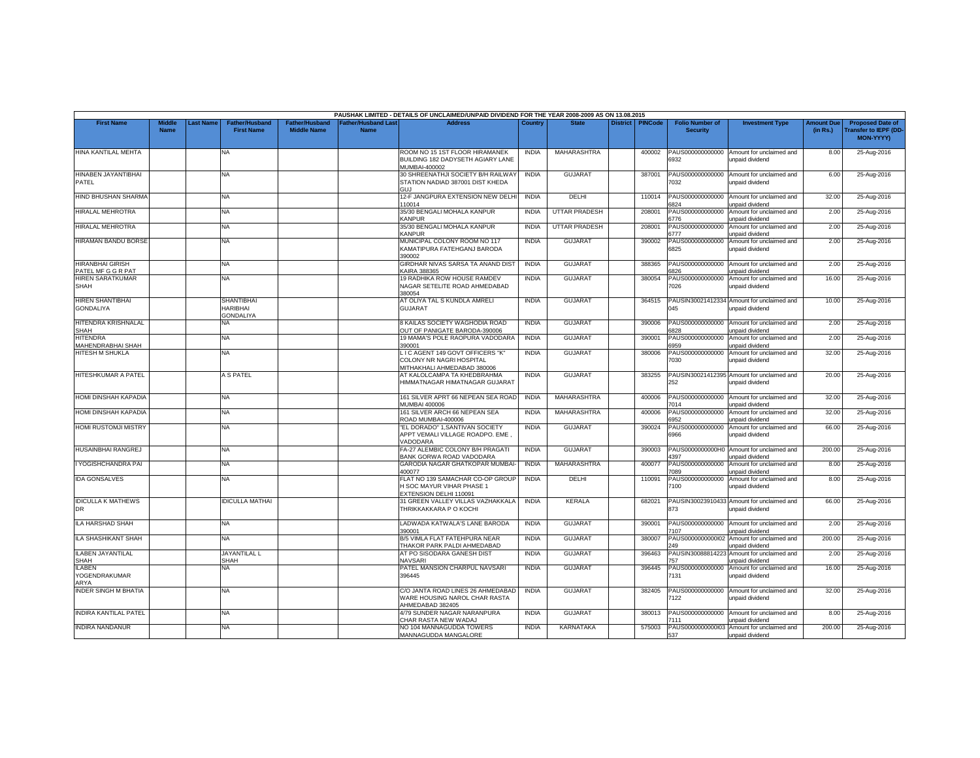|                                               |                              |                  |                                                          |                                             |                                          | PAUSHAK LIMITED - DETAILS OF UNCLAIMED/UNPAID DIVIDEND FOR THE YEAR 2008-2009 AS ON 13.08.2015 |              |                      |                 |                |                                           |                                                               |                               |                                                                            |
|-----------------------------------------------|------------------------------|------------------|----------------------------------------------------------|---------------------------------------------|------------------------------------------|------------------------------------------------------------------------------------------------|--------------|----------------------|-----------------|----------------|-------------------------------------------|---------------------------------------------------------------|-------------------------------|----------------------------------------------------------------------------|
| <b>First Name</b>                             | <b>Middle</b><br><b>Name</b> | <b>Last Name</b> | <b>Father/Husband</b><br><b>First Name</b>               | <b>Father/Husband</b><br><b>Middle Name</b> | <b>Father/Husband Las</b><br><b>Name</b> | <b>Address</b>                                                                                 | Country      | <b>State</b>         | <b>District</b> | <b>PINCode</b> | <b>Folio Number of</b><br><b>Security</b> | <b>Investment Type</b>                                        | <b>Amount Due</b><br>(in Rs.) | <b>Proposed Date of</b><br><b>Transfer to IEPF (DD</b><br><b>MON-YYYY)</b> |
| HINA KANTILAL MEHTA                           |                              |                  | <b>NA</b>                                                |                                             |                                          | ROOM NO 15 1ST FLOOR HIRAMANEK<br>BUILDING 182 DADYSETH AGIARY LANE<br>MUMBAI-400002           | <b>INDIA</b> | MAHARASHTRA          |                 | 400002         | PAUS000000000000<br>6932                  | Amount for unclaimed and<br>unpaid dividend                   | 8.00                          | 25-Aug-2016                                                                |
| HINABEN JAYANTIBHAI<br>PATEL                  |                              |                  | <b>NA</b>                                                |                                             |                                          | 30 SHREENATHJI SOCIETY B/H RAILWAY<br>STATION NADIAD 387001 DIST KHEDA                         | <b>INDIA</b> | <b>GUJARAT</b>       |                 | 387001         | PAUS000000000000<br>'032                  | Amount for unclaimed and<br>unpaid dividend                   | 6.00                          | 25-Aug-2016                                                                |
| <b>HIND BHUSHAN SHARMA</b>                    |                              |                  | <b>NA</b>                                                |                                             |                                          | 12-F JANGPURA EXTENSION NEW DELHI<br>110014                                                    | <b>INDIA</b> | DELHI                |                 | 110014         | PAUS000000000000<br>824                   | Amount for unclaimed and<br>unpaid dividend                   | 32.00                         | 25-Aug-2016                                                                |
| HIRALAL MEHROTRA                              |                              |                  | <b>NA</b>                                                |                                             |                                          | 35/30 BENGALI MOHALA KANPUR<br>KANPUR                                                          | <b>INDIA</b> | <b>UTTAR PRADESH</b> |                 | 208001         | PAUS000000000000<br>6776                  | Amount for unclaimed and<br>unpaid dividend                   | 2.00                          | 25-Aug-2016                                                                |
| HIRALAL MEHROTRA                              |                              |                  | <b>NA</b>                                                |                                             |                                          | 35/30 BENGALI MOHALA KANPUR<br><b>KANPUR</b>                                                   | <b>INDIA</b> | <b>UTTAR PRADESH</b> |                 | 208001         | PAUS000000000000<br>6777                  | Amount for unclaimed and<br>unpaid dividend                   | 2.00                          | 25-Aug-2016                                                                |
| HIRAMAN BANDU BORSE                           |                              |                  | <b>NA</b>                                                |                                             |                                          | MUNICIPAL COLONY ROOM NO 117<br>KAMATIPURA FATEHGANJ BARODA<br>390002                          | <b>INDIA</b> | <b>GUJARAT</b>       |                 | 390002         | PAUS000000000000<br>6825                  | Amount for unclaimed and<br>unpaid dividend                   | 2.00                          | 25-Aug-2016                                                                |
| <b>HIRANBHAI GIRISH</b><br>PATEL MF G G R PAT |                              |                  | <b>NA</b>                                                |                                             |                                          | GIRDHAR NIVAS SARSA TA ANAND DIST<br><b>KAIRA 388365</b>                                       | <b>INDIA</b> | <b>GUJARAT</b>       |                 | 388365         | PAUS000000000000<br>3826                  | Amount for unclaimed and<br>unpaid dividend                   | 2.00                          | 25-Aug-2016                                                                |
| HIREN SARATKUMAR<br>SHAH                      |                              |                  | <b>NA</b>                                                |                                             |                                          | 19 RADHIKA ROW HOUSE RAMDEV<br>NAGAR SETELITE ROAD AHMEDABAD<br>380054                         | <b>INDIA</b> | <b>GUJARAT</b>       |                 | 380054         | PAUS000000000000<br>7026                  | Amount for unclaimed and<br>unpaid dividend                   | 16.00                         | 25-Aug-2016                                                                |
| HIREN SHANTIBHAI<br><b>GONDALIYA</b>          |                              |                  | <b>SHANTIBHAI</b><br><b>HARIBHAI</b><br><b>GONDALIYA</b> |                                             |                                          | AT OLIYA TAL S KUNDLA AMRELI<br><b>GUJARAT</b>                                                 | <b>INDIA</b> | <b>GUJARAT</b>       |                 | 364515         | PAUSIN30021412334<br>045                  | Amount for unclaimed and<br>unpaid dividend                   | 10.00                         | 25-Aug-2016                                                                |
| HITENDRA KRISHNALAL<br>SHAH                   |                              |                  | NΑ                                                       |                                             |                                          | 8 KAILAS SOCIETY WAGHODIA ROAD<br>OUT OF PANIGATE BARODA-390006                                | <b>INDIA</b> | <b>GUJARAT</b>       |                 | 390006         | PAUS000000000000<br>828                   | Amount for unclaimed and<br>unpaid dividend                   | 2.00                          | 25-Aug-2016                                                                |
| <b>HITENDRA</b><br><b>MAHENDRABHAI SHAH</b>   |                              |                  | ΝA                                                       |                                             |                                          | 19 MAMA'S POLE RAOPURA VADODARA<br>390001                                                      | <b>INDIA</b> | <b>GUJARAT</b>       |                 | 390001         | PAUS000000000000<br>959                   | Amount for unclaimed and<br>unpaid dividend                   | 2.00                          | 25-Aug-2016                                                                |
| HITESH M SHUKLA                               |                              |                  | <b>NA</b>                                                |                                             |                                          | LIC AGENT 149 GOVT OFFICERS "K"<br>COLONY NR NAGRI HOSPITAL<br>MITHAKHALI AHMEDABAD 380006     | <b>INDIA</b> | <b>GUJARAT</b>       |                 | 380006         | PAUS000000000000<br>7030                  | Amount for unclaimed and<br>unpaid dividend                   | 32.00                         | 25-Aug-2016                                                                |
| HITESHKUMAR A PATEL                           |                              |                  | A S PATEL                                                |                                             |                                          | AT KALOLCAMPA TA KHEDBRAHMA<br>HIMMATNAGAR HIMATNAGAR GUJARAT                                  | <b>INDIA</b> | <b>GUJARAT</b>       |                 | 383255         | 252                                       | PAUSIN30021412395 Amount for unclaimed and<br>unpaid dividend | 20.00                         | 25-Aug-2016                                                                |
| HOMI DINSHAH KAPADIA                          |                              |                  | NA                                                       |                                             |                                          | 161 SILVER APRT 66 NEPEAN SEA ROAD<br>MUMBAI 400006                                            | <b>INDIA</b> | <b>MAHARASHTRA</b>   |                 | 400006         | PAUS000000000000<br>014                   | Amount for unclaimed and<br>unpaid dividend                   | 32.00                         | 25-Aug-2016                                                                |
| HOMI DINSHAH KAPADIA                          |                              |                  | <b>NA</b>                                                |                                             |                                          | 161 SILVER ARCH 66 NEPEAN SEA<br>ROAD MUMBAI-400006                                            | <b>INDIA</b> | <b>MAHARASHTRA</b>   |                 | 400006         | PAUS000000000000<br>952                   | Amount for unclaimed and<br>unpaid dividend                   | 32.00                         | 25-Aug-2016                                                                |
| <b>HOMI RUSTOMJI MISTRY</b>                   |                              |                  | <b>NA</b>                                                |                                             |                                          | "EL DORADO" 1.SANTIVAN SOCIETY<br>APPT VEMALI VILLAGE ROADPO. EME<br>VADODARA                  | <b>INDIA</b> | <b>GUJARAT</b>       |                 | 390024         | AUS000000000000<br>6966                   | Amount for unclaimed and<br>unpaid dividend                   | 66.00                         | 25-Aug-2016                                                                |
| HUSAINBHAI RANGREJ                            |                              |                  | <b>NA</b>                                                |                                             |                                          | FA-27 ALEMBIC COLONY B/H PRAGATI<br>BANK GORWA ROAD VADODARA                                   | <b>INDIA</b> | <b>GUJARAT</b>       |                 | 390003         | PAUS0000000000H0<br>397                   | Amount for unclaimed and<br><b>Inpaid dividend</b>            | 200.00                        | 25-Aug-2016                                                                |
| I YOGISHCHANDRA PAI                           |                              |                  | <b>NA</b>                                                |                                             |                                          | GARODIA NAGAR GHATKOPAR MUMBAI-<br>400077                                                      | <b>INDIA</b> | MAHARASHTRA          |                 | 400077         | PAUS000000000000<br>089                   | Amount for unclaimed and<br>unpaid dividend                   | 8.00                          | 25-Aug-2016                                                                |
| <b>IDA GONSALVES</b>                          |                              |                  | NA                                                       |                                             |                                          | FLAT NO 139 SAMACHAR CO-OP GROUP<br>H SOC MAYUR VIHAR PHASE 1<br>EXTENSION DELHI 110091        | <b>INDIA</b> | DELHI                |                 | 110091         | PAUS000000000000<br>7100                  | Amount for unclaimed and<br>unpaid dividend                   | 8.00                          | 25-Aug-2016                                                                |
| <b>IDICULLA K MATHEWS</b><br>DR               |                              |                  | <b>IDICULLA MATHAI</b>                                   |                                             |                                          | 31 GREEN VALLEY VILLAS VAZHAKKALA<br>THRIKKAKKARA P O KOCHI                                    | <b>INDIA</b> | <b>KERALA</b>        |                 | 682021         | 873                                       | PAUSIN30023910433 Amount for unclaimed and<br>unpaid dividend | 66.00                         | 25-Aug-2016                                                                |
| ILA HARSHAD SHAH                              |                              |                  | <b>NA</b>                                                |                                             |                                          | LADWADA KATWALA'S LANE BARODA<br>390001                                                        | <b>INDIA</b> | <b>GUJARAT</b>       |                 | 390001         | PAUS000000000000<br>7107                  | Amount for unclaimed and<br>unpaid dividend                   | 2.00                          | 25-Aug-2016                                                                |
| ILA SHASHIKANT SHAH                           |                              |                  | <b>NA</b>                                                |                                             |                                          | B/5 VIMLA FLAT FATEHPURA NEAR<br>THAKOR PARK PALDI AHMEDABAD                                   | <b>INDIA</b> | <b>GUJARAT</b>       |                 | 380007         | PAUS000000000002<br>249                   | Amount for unclaimed and<br>unpaid dividend                   | 200.00                        | 25-Aug-2016                                                                |
| ILABEN JAYANTILAL<br>SHAH                     |                              |                  | <b>JAYANTILAL L</b><br><b>SHAH</b>                       |                                             |                                          | AT PO SISODARA GANESH DIST<br><b>NAVSARI</b>                                                   | <b>INDIA</b> | <b>GUJARAT</b>       |                 | 396463         | PAUSIN3008881422<br>757                   | Amount for unclaimed and<br>unpaid dividend                   | 2.00                          | 25-Aug-2016                                                                |
| <b>ILABEN</b><br><b>/OGENDRAKUMAR</b><br>ARYA |                              |                  | <b>NA</b>                                                |                                             |                                          | PATEL MANSION CHARPUL NAVSARI<br>396445                                                        | <b>INDIA</b> | <b>GUJARAT</b>       |                 | 396445         | PAUS000000000000<br>7131                  | Amount for unclaimed and<br>unpaid dividend                   | 16.00                         | 25-Aug-2016                                                                |
| <b>INDER SINGH M BHATIA</b>                   |                              |                  | <b>NA</b>                                                |                                             |                                          | C/O JANTA ROAD LINES 26 AHMEDABAD<br>WARE HOUSING NAROL CHAR RASTA<br>AHMEDABAD 382405         | <b>INDIA</b> | <b>GUJARAT</b>       |                 | 382405         | PAUS000000000000<br>122                   | Amount for unclaimed and<br>unpaid dividend                   | 32.00                         | 25-Aug-2016                                                                |
| <b>INDIRA KANTILAL PATEL</b>                  |                              |                  | NA                                                       |                                             |                                          | 4/79 SUNDER NAGAR NARANPURA<br>CHAR RASTA NEW WADAJ                                            | <b>INDIA</b> | <b>GUJARAT</b>       |                 | 380013         | PAUS000000000000<br>7111                  | Amount for unclaimed and<br>unpaid dividend                   | 8.00                          | 25-Aug-2016                                                                |
| <b>INDIRA NANDANUR</b>                        |                              |                  | <b>NA</b>                                                |                                             |                                          | NO 104 MANNAGUDDA TOWERS<br>MANNAGUDDA MANGALORE                                               | <b>INDIA</b> | KARNATAKA            |                 | 575003         | 537                                       | PAUS0000000000003 Amount for unclaimed and<br>unpaid dividend | 200.00                        | 25-Aug-2016                                                                |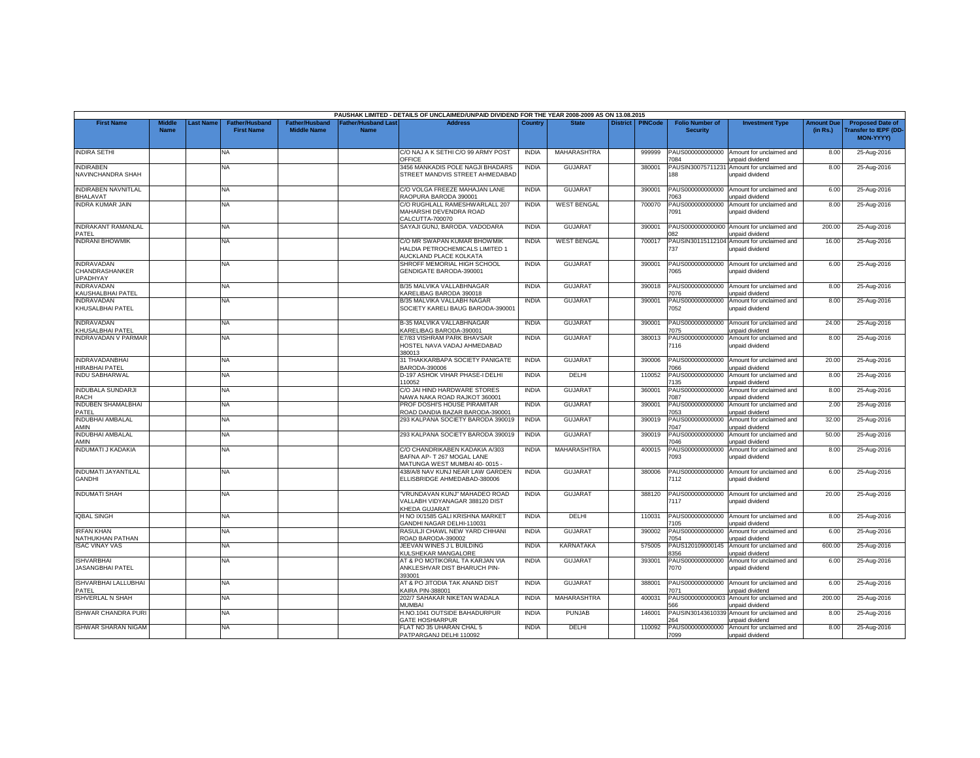|                                                        |                              |                 |                                            |                                             |                                          | PAUSHAK LIMITED - DETAILS OF UNCLAIMED/UNPAID DIVIDEND FOR THE YEAR 2008-2009 AS ON 13.08.2015 |              |                    |                 |                |                                           |                                                               |                               |                                                                            |
|--------------------------------------------------------|------------------------------|-----------------|--------------------------------------------|---------------------------------------------|------------------------------------------|------------------------------------------------------------------------------------------------|--------------|--------------------|-----------------|----------------|-------------------------------------------|---------------------------------------------------------------|-------------------------------|----------------------------------------------------------------------------|
| <b>First Name</b>                                      | <b>Middle</b><br><b>Name</b> | <b>ast Name</b> | <b>Father/Husband</b><br><b>First Name</b> | <b>Father/Husband</b><br><b>Middle Name</b> | <b>Father/Husband Las</b><br><b>Name</b> | <b>Address</b>                                                                                 | Country      | <b>State</b>       | <b>District</b> | <b>PINCode</b> | <b>Folio Number of</b><br><b>Security</b> | <b>Investment Type</b>                                        | <b>Amount Due</b><br>(in Rs.) | <b>Proposed Date of</b><br><b>Transfer to IEPF (DD</b><br><b>MON-YYYY)</b> |
| <b>INDIRA SETHI</b>                                    |                              |                 | NA                                         |                                             |                                          | C/O NAJ A K SETHI C/O 99 ARMY POST<br>OFFICE                                                   | <b>INDIA</b> | MAHARASHTRA        |                 | 999999         | PAUS000000000000<br>084                   | Amount for unclaimed and<br>unpaid dividend                   | 8.00                          | 25-Aug-2016                                                                |
| <b>INDIRABEN</b><br>NAVINCHANDRA SHAH                  |                              |                 | NA                                         |                                             |                                          | 3456 MANKADIS POLE NAGJI BHADARS<br>STREET MANDVIS STREET AHMEDABAD                            | <b>INDIA</b> | <b>GUJARAT</b>     |                 | 380001         | PAUSIN3007571123<br>188                   | Amount for unclaimed and<br>unpaid dividend                   | 8.00                          | 25-Aug-2016                                                                |
| <b>INDIRABEN NAVNITLAL</b><br><b>BHALAVAT</b>          |                              |                 | <b>NA</b>                                  |                                             |                                          | C/O VOLGA FREEZE MAHAJAN LANE<br>RAOPURA BARODA 390001                                         | <b>INDIA</b> | <b>GUJARAT</b>     |                 | 390001         | PAUS000000000000<br>063                   | Amount for unclaimed and<br>unpaid dividend                   | 6.00                          | 25-Aug-2016                                                                |
| <b>INDRA KUMAR JAIN</b>                                |                              |                 | NA                                         |                                             |                                          | C/O RUGHLALL RAMESHWARLALL 207<br>MAHARSHI DEVENDRA ROAD<br>CALCUTTA-700070                    | <b>INDIA</b> | <b>WEST BENGAL</b> |                 | 700070         | PAUS000000000000<br>7091                  | Amount for unclaimed and<br>unpaid dividend                   | 8.00                          | 25-Aug-2016                                                                |
| <b>INDRAKANT RAMANLAL</b><br>PATEL                     |                              |                 | <b>NA</b>                                  |                                             |                                          | SAYAJI GUNJ, BARODA, VADODARA                                                                  | <b>INDIA</b> | <b>GUJARAT</b>     |                 | 390001         | <b>182</b>                                | AUS0000000000000 Amount for unclaimed and<br>unpaid dividend  | 200.00                        | 25-Aug-2016                                                                |
| <b>INDRANI BHOWMIK</b>                                 |                              |                 | <b>NA</b>                                  |                                             |                                          | C/O MR SWAPAN KUMAR BHOWMIK<br>HALDIA PETROCHEMICALS LIMITED 1<br>AUCKLAND PLACE KOLKATA       | <b>INDIA</b> | <b>WEST BENGAL</b> |                 | 700017         | 737                                       | PAUSIN30115112104 Amount for unclaimed and<br>unpaid dividend | 16.00                         | 25-Aug-2016                                                                |
| <b>INDRAVADAN</b><br>CHANDRASHANKER<br><b>UPADHYAY</b> |                              |                 | NA                                         |                                             |                                          | SHROFF MEMORIAL HIGH SCHOOL<br>GENDIGATE BARODA-390001                                         | <b>INDIA</b> | <b>GUJARAT</b>     |                 | 390001         | PAUS000000000000<br>7065                  | Amount for unclaimed and<br>unpaid dividend                   | 6.00                          | 25-Aug-2016                                                                |
| <b>INDRAVADAN</b><br>KAUSHALBHAI PATEL                 |                              |                 | <b>NA</b>                                  |                                             |                                          | B/35 MALVIKA VALLABHNAGAR<br>KARELIBAG BARODA 390018                                           | <b>INDIA</b> | <b>GUJARAT</b>     |                 | 390018         | PAUS000000000000<br>7076                  | Amount for unclaimed and<br>unpaid dividend                   | 8.00                          | 25-Aug-2016                                                                |
| <b>INDRAVADAN</b><br>KHUSALBHAI PATEL                  |                              |                 | <b>NA</b>                                  |                                             |                                          | B/35 MALVIKA VALLABH NAGAR<br>SOCIETY KARELI BAUG BARODA-390001                                | <b>INDIA</b> | <b>GUJARAT</b>     |                 | 390001         | AUS000000000000<br>7052                   | Amount for unclaimed and<br>unpaid dividend                   | 8.00                          | 25-Aug-2016                                                                |
| <b>INDRAVADAN</b><br>KHUSALBHAI PATEL                  |                              |                 | <b>NA</b>                                  |                                             |                                          | B-35 MALVIKA VALLABHNAGAR<br><b>KARELIBAG BARODA-390001</b>                                    | <b>INDIA</b> | <b>GUJARAT</b>     |                 | 390001         | PAUS000000000000<br>'075                  | Amount for unclaimed and<br>unpaid dividend                   | 24.00                         | 25-Aug-2016                                                                |
| <b>INDRAVADAN V PARMAR</b>                             |                              |                 | <b>NA</b>                                  |                                             |                                          | E7/83 VISHRAM PARK BHAVSAR<br><b>IOSTEL NAVA VADAJ AHMEDABAD</b><br>380013                     | <b>INDIA</b> | GUJARAT            |                 | 380013         | PAUS000000000000<br>7116                  | Amount for unclaimed and<br>unpaid dividend                   | 8.00                          | 25-Aug-2016                                                                |
| <b>INDRAVADANBHAI</b><br>HIRABHAI PATEL                |                              |                 | NA                                         |                                             |                                          | 31 THAKKARBAPA SOCIETY PANIGATE<br>3ARODA-390006                                               | <b>INDIA</b> | <b>GUJARAT</b>     |                 | 390006         | PAUS000000000000<br>066                   | Amount for unclaimed and<br>unpaid dividend                   | 20.00                         | 25-Aug-2016                                                                |
| <b>INDU SABHARWAL</b>                                  |                              |                 | NA.                                        |                                             |                                          | D-197 ASHOK VIHAR PHASE-I DELHI<br>110052                                                      | <b>INDIA</b> | DELHI              |                 | 110052         | PAUS000000000000<br>135                   | Amount for unclaimed and<br>unpaid dividend                   | 8.00                          | 25-Aug-2016                                                                |
| <b>INDUBALA SUNDARJI</b><br><b>RACH</b>                |                              |                 | <b>NA</b>                                  |                                             |                                          | C/O JAI HIND HARDWARE STORES<br>NAWA NAKA ROAD RAJKOT 360001                                   | <b>INDIA</b> | <b>GUJARAT</b>     |                 | 360001         | PAUS000000000000<br>087                   | Amount for unclaimed and<br>unpaid dividend                   | 8.00                          | 25-Aug-2016                                                                |
| <b>INDUBEN SHAMALBHAI</b><br>PATEL                     |                              |                 | NA.                                        |                                             |                                          | PROF DOSHI'S HOUSE PIRAMITAR<br>ROAD DANDIA BAZAR BARODA-390001                                | <b>INDIA</b> | GUJARAT            |                 | 390001         | PAUS000000000000<br>053                   | Amount for unclaimed and<br>unpaid dividend                   | 2.00                          | 25-Aug-2016                                                                |
| <b>INDUBHAI AMBALAL</b><br>AMIN                        |                              |                 | NA                                         |                                             |                                          | 293 KALPANA SOCIETY BARODA 390019                                                              | <b>INDIA</b> | GUJARAT            |                 | 390019         | PAUS000000000000<br>7047                  | Amount for unclaimed and<br>unpaid dividend                   | 32.00                         | 25-Aug-2016                                                                |
| <b>INDUBHAI AMBALAL</b><br>AMIN                        |                              |                 | <b>NA</b>                                  |                                             |                                          | 293 KALPANA SOCIETY BARODA 39001                                                               | <b>INDIA</b> | GUJARAT            |                 | 390019         | PAUS000000000000<br>7046                  | Amount for unclaimed and<br>unpaid dividend                   | 50.00                         | 25-Aug-2016                                                                |
| <b>INDUMATI J KADAKIA</b>                              |                              |                 | <b>NA</b>                                  |                                             |                                          | C/O CHANDRIKABEN KADAKIA A/303<br>BAFNA AP-T 267 MOGAL LANE<br>MATUNGA WEST MUMBAI 40-0015 -   | <b>INDIA</b> | MAHARASHTRA        |                 | 400015         | AUS000000000000<br>093                    | Amount for unclaimed and<br>unpaid dividend                   | 8.00                          | 25-Aug-2016                                                                |
| <b>INDUMATI JAYANTILAL</b><br><b>GANDHI</b>            |                              |                 | NA                                         |                                             |                                          | 438/A/8 NAV KUNJ NEAR LAW GARDEN<br>ELLISBRIDGE AHMEDABAD-380006                               | <b>INDIA</b> | <b>GUJARAT</b>     |                 | 380006         | PAUS000000000000<br>7112                  | Amount for unclaimed and<br>unpaid dividend                   | 6.00                          | 25-Aug-2016                                                                |
| <b>INDUMATI SHAH</b>                                   |                              |                 | <b>NA</b>                                  |                                             |                                          | "VRUNDAVAN KUNJ" MAHADEO ROAD<br><b>/ALLABH VIDYANAGAR 388120 DIST</b><br>KHEDA GUJARAT        | <b>INDIA</b> | <b>GUJARAT</b>     |                 | 388120         | PAUS000000000000<br>7117                  | Amount for unclaimed and<br>unpaid dividend                   | 20.00                         | 25-Aug-2016                                                                |
| <b>IQBAL SINGH</b>                                     |                              |                 | NA                                         |                                             |                                          | H NO IX/1585 GALI KRISHNA MARKET<br>GANDHI NAGAR DELHI-110031                                  | <b>INDIA</b> | DELHI              |                 | 110031         | PAUS000000000000<br>105                   | Amount for unclaimed and<br>unpaid dividend                   | 8.00                          | 25-Aug-2016                                                                |
| <b>IRFAN KHAN</b><br>NATHUKHAN PATHAN                  |                              |                 | <b>NA</b>                                  |                                             |                                          | RASULJI CHAWL NEW YARD CHHANI<br>ROAD BARODA-390002                                            | <b>INDIA</b> | <b>GUJARAT</b>     |                 | 390002         | PAUS000000000000<br>054                   | Amount for unclaimed and<br>unpaid dividend                   | 6.00                          | 25-Aug-2016                                                                |
| <b>ISAC VINAY VAS</b>                                  |                              |                 | <b>NA</b>                                  |                                             |                                          | JEEVAN WINES J L BUILDING<br>KULSHEKAR MANGALORE                                               | <b>INDIA</b> | <b>KARNATAKA</b>   |                 | 575005         | PAUS120109000145<br>356                   | Amount for unclaimed and<br>unpaid dividend                   | 600.00                        | 25-Aug-2016                                                                |
| <b>ISHVARBHAI</b><br>JASANGBHAI PATEL                  |                              |                 | <b>NA</b>                                  |                                             |                                          | AT & PO MOTIKORAL TA KARJAN VIA<br>ANKLESHVAR DIST BHARUCH PIN-<br>393001                      | <b>INDIA</b> | <b>GUJARAT</b>     |                 | 393001         | PAUS000000000000<br>7070                  | Amount for unclaimed and<br>unpaid dividend                   | 6.00                          | 25-Aug-2016                                                                |
| ISHVARBHAI LALLUBHAI<br>PATEL                          |                              |                 | NA                                         |                                             |                                          | AT & PO JITODIA TAK ANAND DIST<br>KAIRA PIN-388001                                             | <b>INDIA</b> | <b>GUJARAT</b>     |                 | 388001         | PAUS000000000000<br>071                   | Amount for unclaimed and<br>unpaid dividend                   | 6.00                          | 25-Aug-2016                                                                |
| <b>ISHVERLAL N SHAH</b>                                |                              |                 | <b>NA</b>                                  |                                             |                                          | 202/7 SAHAKAR NIKETAN WADALA<br>MUMBAI                                                         | <b>INDIA</b> | MAHARASHTRA        |                 | 400031         | PAUS0000000000003<br>កេត                  | Amount for unclaimed and<br>unpaid dividend                   | 200.00                        | 25-Aug-2016                                                                |
| <b>ISHWAR CHANDRA PURI</b>                             |                              |                 | <b>NA</b>                                  |                                             |                                          | H.NO.1041 OUTSIDE BAHADURPUR<br>GATE HOSHIARPUR                                                | <b>INDIA</b> | PUNJAB             |                 | 146001         | PAUSIN3014361033<br>264                   | Amount for unclaimed and<br>unpaid dividend                   | 8.00                          | 25-Aug-2016                                                                |
| <b>ISHWAR SHARAN NIGAM</b>                             |                              |                 | NA                                         |                                             |                                          | FLAT NO 35 UHARAN CHAL 5<br>PATPARGANJ DELHI 110092                                            | <b>INDIA</b> | DELHI              |                 | 110092         | PAUS000000000000<br>7099                  | Amount for unclaimed and<br>unpaid dividend                   | 8.00                          | 25-Aug-2016                                                                |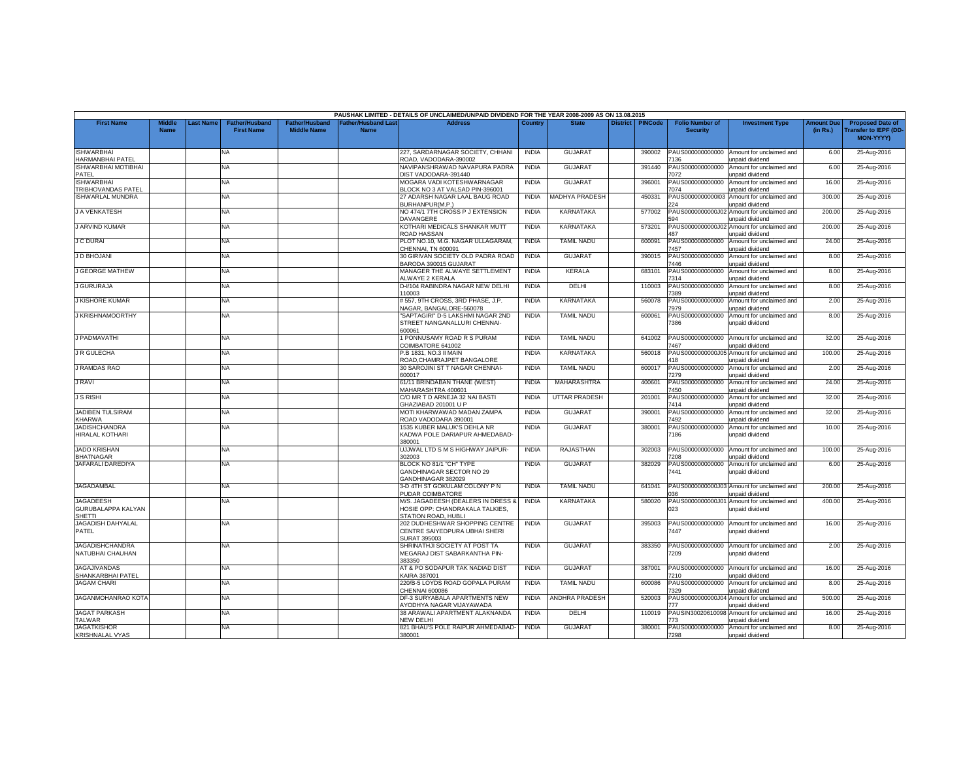|                                                         |                       |                 |                                            |                                             |                                          | PAUSHAK LIMITED - DETAILS OF UNCLAIMED/UNPAID DIVIDEND FOR THE YEAR 2008-2009 AS ON 13.08.2015 |              |                       |                 |                |                                           |                                                               |                               |                                                                     |
|---------------------------------------------------------|-----------------------|-----------------|--------------------------------------------|---------------------------------------------|------------------------------------------|------------------------------------------------------------------------------------------------|--------------|-----------------------|-----------------|----------------|-------------------------------------------|---------------------------------------------------------------|-------------------------------|---------------------------------------------------------------------|
| <b>First Name</b>                                       | Middle<br><b>Name</b> | <b>ast Name</b> | <b>Father/Husband</b><br><b>First Name</b> | <b>Father/Husband</b><br><b>Middle Name</b> | <b>Father/Husband Las</b><br><b>Name</b> | <b>Address</b>                                                                                 | Country      | <b>State</b>          | <b>District</b> | <b>PINCode</b> | <b>Folio Number of</b><br><b>Security</b> | <b>Investment Type</b>                                        | <b>Amount Due</b><br>(in Rs.) | <b>Proposed Date of</b><br><b>Transfer to IEPF (DD</b><br>MON-YYYY) |
| <b>ISHWARBHAI</b><br>HARMANBHAI PATEL                   |                       |                 | <b>NA</b>                                  |                                             |                                          | 227, SARDARNAGAR SOCIETY, CHHANI<br>ROAD, VADODARA-390002                                      | <b>INDIA</b> | <b>GUJARA1</b>        |                 | 390002         | PAUS000000000000<br>136                   | Amount for unclaimed and<br>unpaid dividend                   | 6.00                          | 25-Aug-2016                                                         |
| <b>ISHWARBHAI MOTIBHAI</b><br>PATEL                     |                       |                 | <b>NA</b>                                  |                                             |                                          | NAVIPANSHRAWAD NAVAPURA PADRA<br>DIST VADODARA-391440                                          | <b>INDIA</b> | <b>GUJARAT</b>        |                 | 391440         | PAUS000000000000<br>072                   | Amount for unclaimed and<br>unpaid dividend                   | 6.00                          | 25-Aug-2016                                                         |
| <b>ISHWARBHAI</b><br><b>TRIBHOVANDAS PATEL</b>          |                       |                 | <b>NA</b>                                  |                                             |                                          | MOGARA VADI KOTESHWARNAGAR<br>BLOCK NO 3 AT VALSAD PIN-396001                                  | <b>INDIA</b> | <b>GUJARAT</b>        |                 | 396001         | PAUS000000000000<br>074                   | Amount for unclaimed and<br>unpaid dividend                   | 16.00                         | 25-Aug-2016                                                         |
| <b>ISHWARLAL MUNDRA</b>                                 |                       |                 | NA.                                        |                                             |                                          | 27 ADARSH NAGAR LAAL BAUG ROAD<br>BURHANPUR(M.P.)                                              | <b>INDIA</b> | <b>MADHYA PRADESH</b> |                 | 450331         | PAUS0000000000003<br>224                  | Amount for unclaimed and<br>unpaid dividend                   | 300.00                        | 25-Aug-2016                                                         |
| J A VENKATESH                                           |                       |                 | <b>NA</b>                                  |                                             |                                          | NO 474/1 7TH CROSS P J EXTENSION<br>DAVANGERE                                                  | <b>INDIA</b> | <b>KARNATAKA</b>      |                 | 577002         | PAUS0000000000J0<br>594                   | Amount for unclaimed and<br>unpaid dividend                   | 200.00                        | 25-Aug-2016                                                         |
| J ARVIND KUMAR                                          |                       |                 | <b>NA</b>                                  |                                             |                                          | KOTHARI MEDICALS SHANKAR MUTT<br><b>ROAD HASSAN</b>                                            | <b>INDIA</b> | <b>KARNATAKA</b>      |                 | 573201         | PAUS0000000000J0;<br>487                  | Amount for unclaimed and<br>unpaid dividend                   | 200.00                        | 25-Aug-2016                                                         |
| <b>J C DURAI</b>                                        |                       |                 | <b>NA</b>                                  |                                             |                                          | PLOT NO.10, M.G. NAGAR ULLAGARAM,<br>CHENNAI, TN 600091                                        | <b>INDIA</b> | <b>TAMIL NADU</b>     |                 | 600091         | PAUS000000000000<br>457                   | Amount for unclaimed and<br>unpaid dividend                   | 24.00                         | 25-Aug-2016                                                         |
| J D BHOJANI                                             |                       |                 | <b>NA</b>                                  |                                             |                                          | 30 GIRIVAN SOCIETY OLD PADRA ROAD<br>BARODA 390015 GUJARAT                                     | <b>INDIA</b> | <b>GUJARAT</b>        |                 | 390015         | PAUS000000000000<br>446                   | Amount for unclaimed and<br>unpaid dividend                   | 8.00                          | 25-Aug-2016                                                         |
| <b>J GEORGE MATHEW</b>                                  |                       |                 | <b>NA</b>                                  |                                             |                                          | MANAGER THE ALWAYE SETTLEMENT<br>ALWAYE 2 KERALA                                               | <b>INDIA</b> | <b>KERALA</b>         |                 | 683101         | PAUS000000000000<br>7314                  | Amount for unclaimed and<br>unpaid dividend                   | 8.00                          | 25-Aug-2016                                                         |
| J GURURAJA                                              |                       |                 | <b>NA</b>                                  |                                             |                                          | D-I/104 RABINDRA NAGAR NEW DELHI<br>110003                                                     | <b>INDIA</b> | DELHI                 |                 | 110003         | PAUS000000000000<br>7389                  | Amount for unclaimed and<br>unpaid dividend                   | 8.00                          | 25-Aug-2016                                                         |
| <b>J KISHORE KUMAR</b>                                  |                       |                 | <b>NA</b>                                  |                                             |                                          | #557, 9TH CROSS, 3RD PHASE, J.P.<br>NAGAR, BANGALORE-560078                                    | <b>INDIA</b> | <b>KARNATAKA</b>      |                 | 560078         | AUS000000000000<br>7979                   | Amount for unclaimed and<br>unpaid dividend                   | 2.00                          | 25-Aug-2016                                                         |
| J KRISHNAMOORTHY                                        |                       |                 | NA                                         |                                             |                                          | "SAPTAGIRI" D-5 LAKSHMI NAGAR 2ND<br>STREET NANGANALLURI CHENNAI-<br>\$00061                   | <b>INDIA</b> | <b>TAMIL NADU</b>     |                 | 600061         | PAUS000000000000<br>386                   | Amount for unclaimed and<br>unpaid dividend                   | 8.00                          | 25-Aug-2016                                                         |
| J PADMAVATHI                                            |                       |                 | <b>NA</b>                                  |                                             |                                          | <b>PONNUSAMY ROAD R S PURAM</b><br>COIMBATORE 641002                                           | <b>INDIA</b> | <b>TAMIL NADU</b>     |                 | 641002         | PAUS000000000000<br>467                   | Amount for unclaimed and<br>unpaid dividend                   | 32.00                         | 25-Aug-2016                                                         |
| J R GULECHA                                             |                       |                 | <b>NA</b>                                  |                                             |                                          | P.B 1831, NO.3 II MAIN<br>ROAD, CHAMRAJPET BANGALORE                                           | <b>INDIA</b> | <b>KARNATAKA</b>      |                 | 560018         | 418                                       | PAUS0000000000J05 Amount for unclaimed and<br>unpaid dividend | 100.00                        | 25-Aug-2016                                                         |
| <b>J RAMDAS RAO</b>                                     |                       |                 | NA.                                        |                                             |                                          | 30 SAROJINI ST T NAGAR CHENNAI-<br>600017                                                      | <b>INDIA</b> | <b>TAMIL NADU</b>     |                 | 600017         | PAUS000000000000<br>7279                  | Amount for unclaimed and<br>unpaid dividend                   | 2.00                          | 25-Aug-2016                                                         |
| <b>J RAVI</b>                                           |                       |                 | NA                                         |                                             |                                          | 61/11 BRINDABAN THANE (WEST)<br>MAHARASHTRA 400601                                             | <b>INDIA</b> | <b>MAHARASHTRA</b>    |                 | 400601         | PAUS000000000000<br>'450                  | Amount for unclaimed and<br>unpaid dividend                   | 24.00                         | 25-Aug-2016                                                         |
| <b>J S RISHI</b>                                        |                       |                 | <b>NA</b>                                  |                                             |                                          | C/O MR T D ARNEJA 32 NAI BASTI<br>GHAZIABAD 201001 U P                                         | <b>INDIA</b> | <b>UTTAR PRADESH</b>  |                 | 201001         | PAUS000000000000<br>7414                  | Amount for unclaimed and<br>unpaid dividend                   | 32.00                         | 25-Aug-2016                                                         |
| <b>JADIBEN TULSIRAM</b><br>KHARWA                       |                       |                 | NA                                         |                                             |                                          | MOTI KHARWAWAD MADAN ZAMPA<br>ROAD VADODARA 390001                                             | <b>INDIA</b> | <b>GUJARA</b>         |                 | 390001         | PAUS000000000000<br>7492                  | Amount for unclaimed and<br>unpaid dividend                   | 32.00                         | 25-Aug-2016                                                         |
| <b>JADISHCHANDRA</b><br>HIRALAL KOTHARI                 |                       |                 | <b>NA</b>                                  |                                             |                                          | 1535 KUBER MALUK'S DEHLA NR<br>KADWA POLE DARIAPUR AHMEDABAD-<br>380001                        | <b>INDIA</b> | <b>GUJARAT</b>        |                 | 380001         | PAUS000000000000<br>186                   | Amount for unclaimed and<br>unpaid dividend                   | 10.00                         | 25-Aug-2016                                                         |
| <b>JADO KRISHAN</b><br><b>BHATNAGAR</b>                 |                       |                 | NA                                         |                                             |                                          | UJJWAL LTD S M S HIGHWAY JAIPUR-<br>302003                                                     | <b>INDIA</b> | RAJASTHAN             |                 | 302003         | PAUS000000000000<br>208                   | Amount for unclaimed and<br>unpaid dividend                   | 100.00                        | 25-Aug-2016                                                         |
| JAFARALI DAREDIYA                                       |                       |                 | NA                                         |                                             |                                          | BLOCK NO 81/1 "CH" TYPE<br>GANDHINAGAR SECTOR NO 29<br>GANDHINAGAR 382029                      | <b>INDIA</b> | <b>GUJARAT</b>        |                 | 382029         | PAUS000000000000<br>7441                  | Amount for unclaimed and<br>unpaid dividend                   | 6.00                          | 25-Aug-2016                                                         |
| JAGADAMBAL                                              |                       |                 | <b>NA</b>                                  |                                             |                                          | 3-D 4TH ST GOKULAM COLONY P N<br>PUDAR COIMBATORE                                              | <b>INDIA</b> | <b>TAMIL NADU</b>     |                 | 641041         | 036                                       | PAUS0000000000J03 Amount for unclaimed and<br>unpaid dividend | 200.00                        | 25-Aug-2016                                                         |
| <b>JAGADEESH</b><br><b>GURUBALAPPA KALYAN</b><br>SHETTI |                       |                 | <b>NA</b>                                  |                                             |                                          | M/S. JAGADEESH (DEALERS IN DRESS &<br>HOSIE OPP: CHANDRAKALA TALKIES.<br>STATION ROAD, HUBLI   | <b>INDIA</b> | <b>KARNATAKA</b>      |                 | 580020         | PAUS0000000000J0<br>023                   | Amount for unclaimed and<br>unpaid dividend                   | 400.00                        | 25-Aug-2016                                                         |
| JAGADISH DAHYALAL<br>PATEL                              |                       |                 | <b>NA</b>                                  |                                             |                                          | 202 DUDHESHWAR SHOPPING CENTRE<br>CENTRE SAIYEDPURA UBHAI SHERI<br>SURAT 395003                | <b>INDIA</b> | <b>GUJARAT</b>        |                 | 395003         | PAUS000000000000<br>'447                  | Amount for unclaimed and<br>unpaid dividend                   | 16.00                         | 25-Aug-2016                                                         |
| <b>JAGADISHCHANDRA</b><br>NATUBHAI CHAUHAN              |                       |                 | <b>NA</b>                                  |                                             |                                          | SHRINATHJI SOCIETY AT POST TA<br>MEGARAJ DIST SABARKANTHA PIN-<br>383350                       | <b>INDIA</b> | <b>GUJARAT</b>        |                 | 383350         | PAUS000000000000<br>7209                  | Amount for unclaimed and<br>unpaid dividend                   | 2.00                          | 25-Aug-2016                                                         |
| <b>JAGAJIVANDAS</b><br>SHANKARBHAI PATEL                |                       |                 | NA                                         |                                             |                                          | AT & PO SODAPUR TAK NADIAD DIST<br>KAIRA 387001                                                | <b>INDIA</b> | <b>GUJARAT</b>        |                 | 387001         | PAUS000000000000<br>7210                  | Amount for unclaimed and<br>unpaid dividend                   | 16.00                         | 25-Aug-2016                                                         |
| <b>JAGAM CHARI</b>                                      |                       |                 | NA.                                        |                                             |                                          | 220/B-5 LOYDS ROAD GOPALA PURAM<br>CHENNAI 600086                                              | <b>INDIA</b> | <b>TAMIL NADU</b>     |                 | 600086         | PAUS000000000000<br>329                   | Amount for unclaimed and<br>unpaid dividend                   | 8.00                          | 25-Aug-2016                                                         |
| JAGANMOHANRAO KOTA                                      |                       |                 | <b>NA</b>                                  |                                             |                                          | DF-3 SURYABALA APARTMENTS NEW<br>YODHYA NAGAR VIJAYAWADA                                       | <b>INDIA</b> | ANDHRA PRADESH        |                 | 520003         | PAUS0000000000J0<br>77                    | Amount for unclaimed and<br>unpaid dividend                   | 500.00                        | 25-Aug-2016                                                         |
| <b>JAGAT PARKASH</b><br>TALWAR                          |                       |                 | NA.                                        |                                             |                                          | 38 ARAWALI APARTMENT ALAKNANDA<br><b>VEW DELHI</b>                                             | <b>INDIA</b> | DELHI                 |                 | 110019         | PAUSIN3002061009<br>73                    | Amount for unclaimed and<br>unpaid dividend                   | 16.00                         | 25-Aug-2016                                                         |
| <b>JAGATKISHOR</b><br><b>KRISHNALAL VYAS</b>            |                       |                 | NA                                         |                                             |                                          | 821 BHAU'S POLE RAIPUR AHMEDABAD-<br>380001                                                    | <b>INDIA</b> | <b>GUJARA1</b>        |                 | 380001         | PAUS000000000000<br>7298                  | Amount for unclaimed and<br>unpaid dividend                   | 8.00                          | 25-Aug-2016                                                         |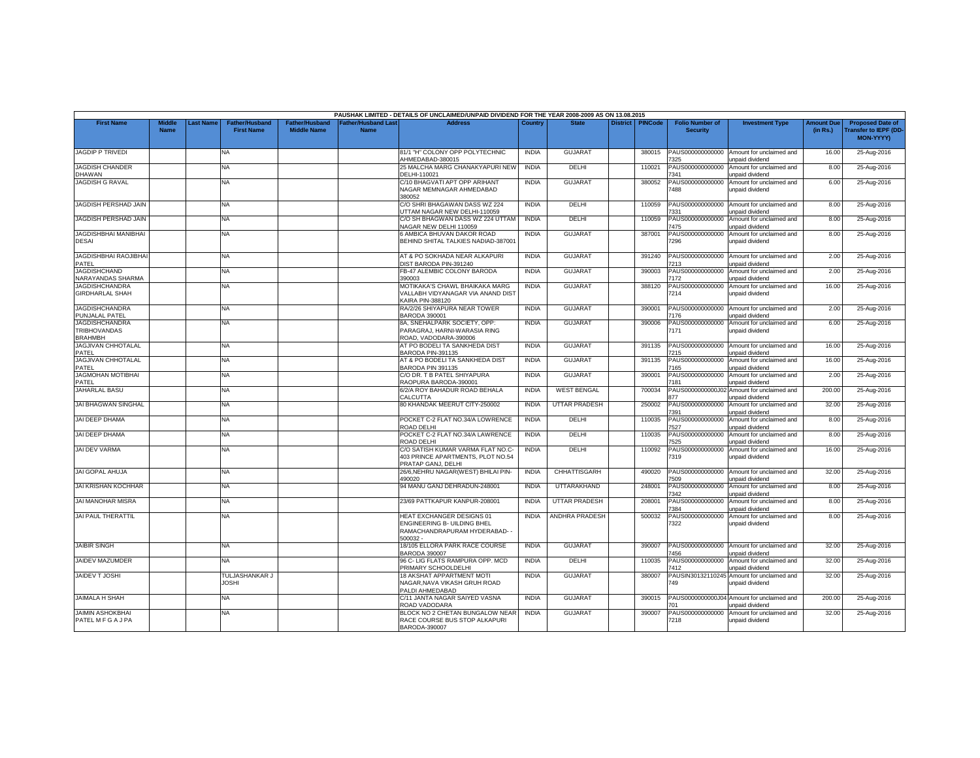|                                                                |                              |           |                                            |                                             |                                           | PAUSHAK LIMITED - DETAILS OF UNCLAIMED/UNPAID DIVIDEND FOR THE YEAR 2008-2009 AS ON 13.08.2015      |              |                       |                 |                |                                           |                                                                     |                               |                                                                     |
|----------------------------------------------------------------|------------------------------|-----------|--------------------------------------------|---------------------------------------------|-------------------------------------------|-----------------------------------------------------------------------------------------------------|--------------|-----------------------|-----------------|----------------|-------------------------------------------|---------------------------------------------------------------------|-------------------------------|---------------------------------------------------------------------|
| <b>First Name</b>                                              | <b>Middle</b><br><b>Name</b> | Last Name | <b>Father/Husband</b><br><b>First Name</b> | <b>Father/Husband</b><br><b>Middle Name</b> | <b>Father/Husband Last</b><br><b>Name</b> | <b>Address</b>                                                                                      | Country      | <b>State</b>          | <b>District</b> | <b>PINCode</b> | <b>Folio Number of</b><br><b>Security</b> | <b>Investment Type</b>                                              | <b>Amount Due</b><br>(in Rs.) | <b>Proposed Date of</b><br>Transfer to IEPF (DD<br><b>MON-YYYYY</b> |
| <b>JAGDIP P TRIVEDI</b>                                        |                              |           | NA                                         |                                             |                                           | 81/1 "H" COLONY OPP POLYTECHNIC<br>AHMEDABAD-380015                                                 | <b>INDIA</b> | <b>GUJARAT</b>        |                 | 380015         | PAUS000000000000<br>325                   | Amount for unclaimed and<br>unpaid dividend                         | 16.00                         | 25-Aug-2016                                                         |
| JAGDISH CHANDER<br><b>DHAWAN</b>                               |                              |           | NA                                         |                                             |                                           | 25 MALCHA MARG CHANAKYAPURI NEW<br>DELHI-110021                                                     | <b>INDIA</b> | DELHI                 |                 | 110021         | PAUS000000000000<br>341                   | Amount for unclaimed and<br>inpaid dividend                         | 8.00                          | 25-Aug-2016                                                         |
| <b>JAGDISH G RAVAL</b>                                         |                              |           | NA                                         |                                             |                                           | C/10 BHAGVATI APT OPP ARIHANT<br>NAGAR MEMNAGAR AHMEDABAD<br>380052                                 | <b>INDIA</b> | <b>GUJARAT</b>        |                 | 380052         | PAUS000000000000<br>'488                  | Amount for unclaimed and<br>unpaid dividend                         | 6.00                          | 25-Aug-2016                                                         |
| JAGDISH PERSHAD JAIN                                           |                              |           | NA.                                        |                                             |                                           | C/O SHRI BHAGAWAN DASS WZ 224<br>JTTAM NAGAR NEW DELHI-110059                                       | <b>INDIA</b> | DELHI                 |                 | 110059         | PAUS000000000000<br>331                   | Amount for unclaimed and<br>unpaid dividend                         | 8.00                          | 25-Aug-2016                                                         |
| JAGDISH PERSHAD JAIN                                           |                              |           | NA                                         |                                             |                                           | C/O SH BHAGWAN DASS WZ 224 UTTAM<br>NAGAR NEW DELHI 110059                                          | <b>INDIA</b> | DELHI                 |                 | 110059         | PAUS000000000000<br>'475                  | Amount for unclaimed and<br><b>inpaid dividend</b>                  | 8.00                          | 25-Aug-2016                                                         |
| <b>JAGDISHBHAI MANIBHAI</b><br><b>DESAI</b>                    |                              |           | NA                                         |                                             |                                           | 6 AMBICA BHUVAN DAKOR ROAD<br>BEHIND SHITAL TALKIES NADIAD-387001                                   | <b>INDIA</b> | <b>GUJARA1</b>        |                 | 387001         | PAUS000000000000<br>7296                  | Amount for unclaimed and<br>unpaid dividend                         | 8.00                          | 25-Aug-2016                                                         |
| <b>JAGDISHBHAI RAOJIBHAI</b><br>PATEL                          |                              |           | <b>NA</b>                                  |                                             |                                           | AT & PO SOKHADA NEAR ALKAPURI<br>DIST BARODA PIN-391240                                             | <b>INDIA</b> | <b>GUJARAT</b>        |                 | 391240         | PAUS000000000000<br>7213                  | Amount for unclaimed and<br>unpaid dividend                         | 2.00                          | 25-Aug-2016                                                         |
| <b>JAGDISHCHAND</b><br>NARAYANDAS SHARMA                       |                              |           | NA                                         |                                             |                                           | FB-47 ALEMBIC COLONY BARODA<br>390003                                                               | <b>INDIA</b> | <b>GUJARAT</b>        |                 | 390003         | PAUS000000000000<br>172                   | Amount for unclaimed and<br><b>Inpaid dividend</b>                  | 2.00                          | 25-Aug-2016                                                         |
| <b>JAGDISHCHANDRA</b><br><b>GIRDHARLAL SHAH</b>                |                              |           | NA                                         |                                             |                                           | MOTIKAKA'S CHAWL BHAIKAKA MARG<br>VALLABH VIDYANAGAR VIA ANAND DIST<br><b>KAIRA PIN-388120</b>      | <b>INDIA</b> | GUJARAT               |                 | 388120         | PAUS000000000000<br>7214                  | Amount for unclaimed and<br>unpaid dividend                         | 16.00                         | 25-Aug-2016                                                         |
| <b>JAGDISHCHANDRA</b><br>PUNJALAL PATEL                        |                              |           | NA.                                        |                                             |                                           | RA/2/26 SHIYAPURA NEAR TOWER<br><b>BARODA 390001</b>                                                | <b>INDIA</b> | <b>GUJARAT</b>        |                 | 390001         | PAUS000000000000<br>176                   | Amount for unclaimed and<br>unpaid dividend                         | 2.00                          | 25-Aug-2016                                                         |
| <b>JAGDISHCHANDRA</b><br><b>TRIBHOVANDAS</b><br><b>BRAHMBH</b> |                              |           | NA                                         |                                             |                                           | 8A, SNEHALPARK SOCIETY, OPP:<br>PARAGRAJ, HARNI-WARASIA RING<br>ROAD, VADODARA-390006               | <b>INDIA</b> | <b>GUJARAT</b>        |                 | 390006         | PAUS000000000000<br>7171                  | Amount for unclaimed and<br>unpaid dividend                         | 6.00                          | 25-Aug-2016                                                         |
| JAGJIVAN CHHOTALAL<br>PATEL                                    |                              |           | NA                                         |                                             |                                           | AT PO BODELI TA SANKHEDA DIST<br>BARODA PIN-391135                                                  | <b>INDIA</b> | <b>GUJARAT</b>        |                 | 391135         | PAUS000000000000<br>7215                  | Amount for unclaimed and<br>unpaid dividend                         | 16.00                         | 25-Aug-2016                                                         |
| <b>JAGJIVAN CHHOTALAL</b><br>PATEL                             |                              |           | NA.                                        |                                             |                                           | AT & PO BODELI TA SANKHEDA DIST<br>BARODA PIN 391135                                                | <b>INDIA</b> | <b>GUJARAT</b>        |                 | 391135         | PAUS000000000000<br>165                   | Amount for unclaimed and<br>unpaid dividend                         | 16.00                         | 25-Aug-2016                                                         |
| <b>JAGMOHAN MOTIBHAI</b><br>PATEL                              |                              |           | NA                                         |                                             |                                           | C/O DR. T B PATEL SHIYAPURA<br>RAOPURA BARODA-390001                                                | <b>INDIA</b> | <b>GUJARAT</b>        |                 | 390001         | PAUS000000000000<br>'181                  | Amount for unclaimed and<br>Inpaid dividend                         | 2.00                          | 25-Aug-2016                                                         |
| <b>JAHARLAL BASU</b>                                           |                              |           | NA.                                        |                                             |                                           | 6/2/A ROY BAHADUR ROAD BEHALA<br><b>CALCUTTA</b>                                                    | <b>INDIA</b> | <b>WEST BENGAL</b>    |                 | 700034         | PAUS0000000000J02<br>177                  | Amount for unclaimed and<br>unpaid dividend                         | 200.00                        | 25-Aug-2016                                                         |
| JAI BHAGWAN SINGHAL                                            |                              |           | NA                                         |                                             |                                           | 80 KHANDAK MEERUT CITY-250002                                                                       | <b>INDIA</b> | UTTAR PRADESH         |                 | 250002         | PAUS000000000000<br>7391                  | Amount for unclaimed and<br>unpaid dividend                         | 32.00                         | 25-Aug-2016                                                         |
| JAI DEEP DHAMA                                                 |                              |           | NA                                         |                                             |                                           | POCKET C-2 FLAT NO.34/A LOWRENCE<br>ROAD DELHI                                                      | <b>INDIA</b> | DELHI                 |                 | 110035         | PAUS000000000000<br>527                   | Amount for unclaimed and<br>unpaid dividend                         | 8.00                          | 25-Aug-2016                                                         |
| JAI DEEP DHAMA                                                 |                              |           | NA.                                        |                                             |                                           | POCKET C-2 FLAT NO.34/A LAWRENCE<br>ROAD DELHI                                                      | <b>INDIA</b> | <b>DELHI</b>          |                 | 110035         | PAUS000000000000<br>525                   | Amount for unclaimed and<br><b>Inpaid dividend</b>                  | 8.00                          | 25-Aug-2016                                                         |
| <b>JAI DEV VARMA</b>                                           |                              |           | NA                                         |                                             |                                           | C/O SATISH KUMAR VARMA FLAT NO.C-<br>403 PRINCE APARTMENTS, PLOT NO.54<br>PRATAP GANJ, DELHI        | <b>INDIA</b> | <b>DELHI</b>          |                 | 110092         | PAUS000000000000<br>7319                  | Amount for unclaimed and<br>unpaid dividend                         | 16.00                         | 25-Aug-2016                                                         |
| JAI GOPAL AHUJA                                                |                              |           | <b>NA</b>                                  |                                             |                                           | 26/6, NEHRU NAGAR (WEST) BHILAI PIN-<br>490020                                                      | <b>INDIA</b> | CHHATTISGARH          |                 | 490020         | PAUS000000000000<br>7509                  | Amount for unclaimed and<br>unpaid dividend                         | 32.00                         | 25-Aug-2016                                                         |
| <b>JAI KRISHAN KOCHHAR</b>                                     |                              |           | NA                                         |                                             |                                           | 94 MANU GANJ DEHRADUN-248001                                                                        | <b>INDIA</b> | UTTARAKHAND           |                 | 248001         | PAUS000000000000<br>342                   | Amount for unclaimed and<br><b>Inpaid dividend</b>                  | 8.00                          | 25-Aug-2016                                                         |
| <b>JAI MANOHAR MISRA</b>                                       |                              |           | NA                                         |                                             |                                           | 23/69 PATTKAPUR KANPUR-208001                                                                       | <b>INDIA</b> | <b>UTTAR PRADESH</b>  |                 | 208001         | PAUS000000000000<br>384                   | Amount for unclaimed and<br>unpaid dividend                         | 8.00                          | 25-Aug-2016                                                         |
| JAI PAUL THERATTIL                                             |                              |           | <b>NA</b>                                  |                                             |                                           | HEAT EXCHANGER DESIGNS 01<br>ENGINEERING B- UILDING BHEL<br>RAMACHANDRAPURAM HYDERABAD-<br>500032 - | <b>INDIA</b> | <b>ANDHRA PRADESH</b> |                 | 500032         | PAUS000000000000<br>7322                  | Amount for unclaimed and<br>unpaid dividend                         | 8.00                          | 25-Aug-2016                                                         |
| <b>JAIBIR SINGH</b>                                            |                              |           | <b>NA</b>                                  |                                             |                                           | 18/105 ELLORA PARK RACE COURSE<br><b>BARODA 390007</b>                                              | <b>INDIA</b> | <b>GUJARAT</b>        |                 | 390007         | '456                                      | PAUS000000000000 Amount for unclaimed and<br><b>inpaid dividend</b> | 32.00                         | 25-Aug-2016                                                         |
| JAIDEV MAZUMDER                                                |                              |           | NA                                         |                                             |                                           | 96 C- LIG FLATS RAMPURA OPP. MCD<br>PRIMARY SCHOOLDELHI                                             | <b>INDIA</b> | DELHI                 |                 | 110035         | PAUS000000000000<br>7412                  | Amount for unclaimed and<br>unpaid dividend                         | 32.00                         | 25-Aug-2016                                                         |
| JAIDEV T JOSHI                                                 |                              |           | TULJASHANKAR J<br><b>JOSHI</b>             |                                             |                                           | 18 AKSHAT APPARTMENT MOTI<br>NAGAR.NAVA VIKASH GRUH ROAD<br>PALDI AHMEDABAD                         | <b>INDIA</b> | <b>GUJARAT</b>        |                 | 380007         | PAUSIN30132110245<br>749                  | Amount for unclaimed and<br>unpaid dividend                         | 32.00                         | 25-Aug-2016                                                         |
| <b>JAIMALA H SHAH</b>                                          |                              |           | <b>NA</b>                                  |                                             |                                           | C/11 JANTA NAGAR SAIYED VASNA<br>ROAD VADODARA                                                      | <b>INDIA</b> | <b>GUJARAT</b>        |                 | 390015         | PAUS0000000000J04<br>n1                   | Amount for unclaimed and<br><b>Inpaid dividend</b>                  | 200.00                        | 25-Aug-2016                                                         |
| <b>JAIMIN ASHOKBHAI</b><br>PATEL M F G A J PA                  |                              |           | NA                                         |                                             |                                           | BLOCK NO 2 CHETAN BUNGALOW NEAR<br>RACE COURSE BUS STOP ALKAPURI<br>BARODA-390007                   | <b>INDIA</b> | <b>GUJARAT</b>        |                 | 390007         | PAUS000000000000<br>7218                  | Amount for unclaimed and<br>unpaid dividend                         | 32.00                         | 25-Aug-2016                                                         |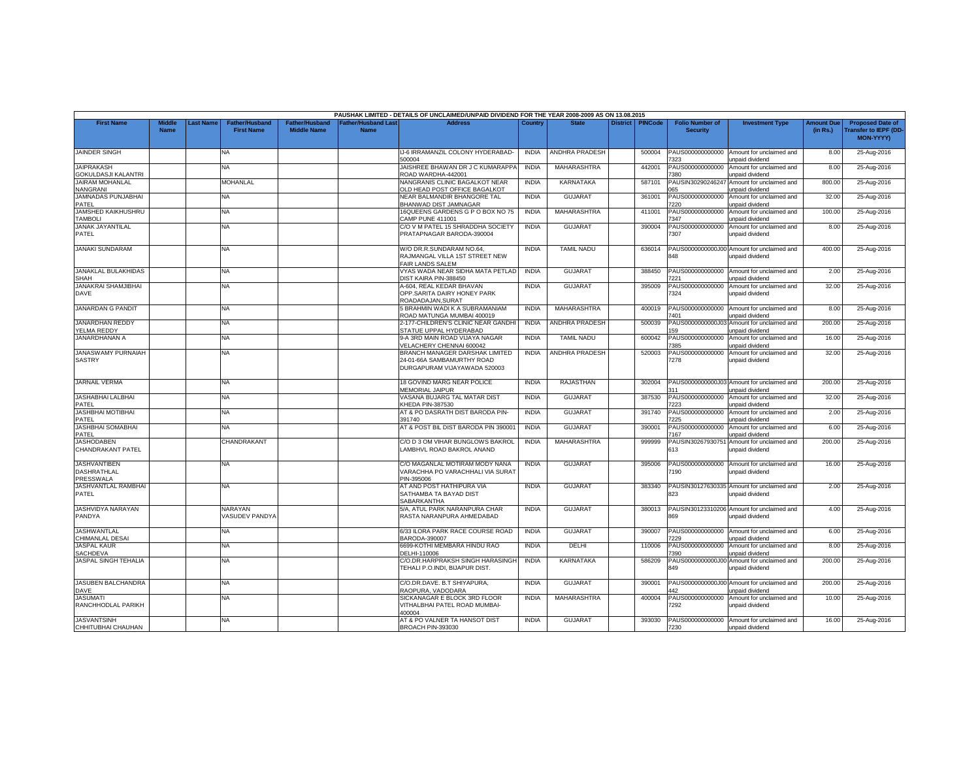|                                                        |                              |          |                                            |                                             |                                           | PAUSHAK LIMITED - DETAILS OF UNCLAIMED/UNPAID DIVIDEND FOR THE YEAR 2008-2009 AS ON 13.08.2015 |              |                       |                 |                |                                           |                                                                |                               |                                                                     |
|--------------------------------------------------------|------------------------------|----------|--------------------------------------------|---------------------------------------------|-------------------------------------------|------------------------------------------------------------------------------------------------|--------------|-----------------------|-----------------|----------------|-------------------------------------------|----------------------------------------------------------------|-------------------------------|---------------------------------------------------------------------|
| <b>First Name</b>                                      | <b>Middle</b><br><b>Name</b> | ast Name | <b>Father/Husband</b><br><b>First Name</b> | <b>Father/Husband</b><br><b>Middle Name</b> | <b>Father/Husband Last</b><br><b>Name</b> | <b>Address</b>                                                                                 | Country      | <b>State</b>          | <b>District</b> | <b>PINCode</b> | <b>Folio Number of</b><br><b>Security</b> | <b>Investment Type</b>                                         | <b>Amount Due</b><br>(in Rs.) | <b>Proposed Date of</b><br><b>Transfer to IEPF (DD</b><br>MON-YYYY) |
| <b>JAINDER SINGH</b>                                   |                              |          | NA.                                        |                                             |                                           | J-6 IRRAMANZIL COLONY HYDERABAD-<br>500004                                                     | <b>INDIA</b> | <b>ANDHRA PRADESH</b> |                 | 500004         | PAUS000000000000<br>323                   | Amount for unclaimed and<br>unpaid dividend                    | 8.00                          | 25-Aug-2016                                                         |
| <b>JAIPRAKASH</b><br><b>GOKULDASJI KALANTRI</b>        |                              |          | NA                                         |                                             |                                           | JAISHREE BHAWAN DR J C KUMARAPPA<br>ROAD WARDHA-442001                                         | INDIA        | MAHARASHTRA           |                 | 442001         | PAUS000000000000<br>380                   | Amount for unclaimed and<br><b>Inpaid dividend</b>             | 8.00                          | 25-Aug-2016                                                         |
| JAIRAM MOHANLAL                                        |                              |          | <b>MOHANLAL</b>                            |                                             |                                           | NANGRANIS CLINIC BAGALKOT NEAR<br><b>OLD HEAD POST OFFICE BAGALKOT</b>                         | <b>INDIA</b> | KARNATAKA             |                 | 587101         | PAUSIN30290246247                         | Amount for unclaimed and                                       | 800.00                        | 25-Aug-2016                                                         |
| NANGRANI<br>JAMNADAS PUNJABHAI                         |                              |          | <b>NA</b>                                  |                                             |                                           | NEAR BALMANDIR BHANGORE TAL                                                                    | <b>INDIA</b> | <b>GUJARAT</b>        |                 | 361001         | 265<br>PAUS000000000000                   | unpaid dividend<br>Amount for unclaimed and                    | 32.00                         | 25-Aug-2016                                                         |
| PATEL<br>JAMSHED KAIKHUSHRU                            |                              |          | NA                                         |                                             |                                           | <b>BHANWAD DIST JAMNAGAR</b><br>16QUEENS GARDENS G P O BOX NO 75                               | <b>INDIA</b> | MAHARASHTRA           |                 | 411001         | 7220<br>PAUS000000000000                  | unpaid dividend<br>Amount for unclaimed and                    | 100.00                        | 25-Aug-2016                                                         |
| <b>TAMBOLI</b><br>JANAK JAYANTILAL                     |                              |          | <b>NA</b>                                  |                                             |                                           | CAMP PUNE 411001<br>C/O V M PATEL 15 SHRADDHA SOCIETY                                          | <b>INDIA</b> | <b>GUJARAT</b>        |                 | 390004         | 347<br>PAUS000000000000                   | unpaid dividend<br>Amount for unclaimed and                    | 8.00                          | 25-Aug-2016                                                         |
| PATEL                                                  |                              |          |                                            |                                             |                                           | PRATAPNAGAR BARODA-390004                                                                      |              |                       |                 |                | 7307                                      | unpaid dividend                                                |                               |                                                                     |
| <b>JANAKI SUNDARAM</b>                                 |                              |          | NA                                         |                                             |                                           | W/O DR.R.SUNDARAM NO.64,<br>RAJMANGAL VILLA 1ST STREET NEW<br>FAIR LANDS SALEM                 | <b>INDIA</b> | <b>TAMIL NADU</b>     |                 | 636014         | 848                                       | PAUS0000000000J00 Amount for unclaimed and<br>unpaid dividend  | 400.00                        | 25-Aug-2016                                                         |
| JANAKLAL BULAKHIDAS<br><b>SHAH</b>                     |                              |          | NA                                         |                                             |                                           | VYAS WADA NEAR SIDHA MATA PETLAD<br>DIST KAIRA PIN-388450                                      | <b>INDIA</b> | <b>GUJARAT</b>        |                 | 388450         | PAUS000000000000<br>221                   | Amount for unclaimed and<br><b>Inpaid dividend</b>             | 2.00                          | 25-Aug-2016                                                         |
| <b>JANAKRAI SHAMJIBHAI</b><br>DAVE                     |                              |          | NA.                                        |                                             |                                           | 4-604. REAL KEDAR BHAVAN<br>OPP.SARITA DAIRY HONEY PARK<br><b>ROADADAJAN.SURAT</b>             | <b>INDIA</b> | <b>GUJARAT</b>        |                 | 395009         | PAUS000000000000<br>7324                  | Amount for unclaimed and<br>unpaid dividend                    | 32.00                         | 25-Aug-2016                                                         |
| <b>JANARDAN G PANDIT</b>                               |                              |          | NA.                                        |                                             |                                           | 5 BRAHMIN WADI K A SUBRAMANIAM<br>ROAD MATUNGA MUMBAI 400019                                   | <b>INDIA</b> | <b>MAHARASHTRA</b>    |                 | 400019         | PAUS000000000000<br>401                   | Amount for unclaimed and<br>unpaid dividend                    | 8.00                          | 25-Aug-2016                                                         |
| JANARDHAN REDDY<br>YELMA REDDY                         |                              |          | NA                                         |                                             |                                           | 2-177-CHILDREN'S CLINIC NEAR GANDHI<br>STATUE UPPAL HYDERABAD                                  | <b>INDIA</b> | <b>ANDHRA PRADESH</b> |                 | 500039         | 59                                        | PAUS0000000000J03 Amount for unclaimed and<br>unpaid dividend  | 200.00                        | 25-Aug-2016                                                         |
| <b>JANARDHANAN A</b>                                   |                              |          | NA.                                        |                                             |                                           | 9-A 3RD MAIN ROAD VIJAYA NAGAR<br>VELACHERY CHENNAI 600042                                     | <b>INDIA</b> | <b>TAMIL NADU</b>     |                 | 600042         | PAUS000000000000<br>385                   | Amount for unclaimed and<br>unpaid dividend                    | 16.00                         | 25-Aug-2016                                                         |
| <b>JANASWAMY PURNAIAH</b><br><b>SASTRY</b>             |                              |          | NA                                         |                                             |                                           | BRANCH MANAGER DARSHAK LIMITED<br>24-01-66A SAMBAMURTHY ROAD<br>DURGAPURAM VIJAYAWADA 520003   | <b>INDIA</b> | <b>ANDHRA PRADESH</b> |                 | 520003         | PAUS000000000000<br>7278                  | Amount for unclaimed and<br>unpaid dividend                    | 32.00                         | 25-Aug-2016                                                         |
| <b>JARNAIL VERMA</b>                                   |                              |          | <b>NA</b>                                  |                                             |                                           | 18 GOVIND MARG NEAR POLICE<br><b>MEMORIAL JAIPUR</b>                                           | <b>INDIA</b> | RAJASTHAN             |                 | 302004         |                                           | PAUS0000000000J03 Amount for unclaimed and<br>inpaid dividend  | 200.00                        | 25-Aug-2016                                                         |
| JASHABHAI LALBHAI<br>PATEL                             |                              |          | ΝA                                         |                                             |                                           | VASANA BUJARG TAL MATAR DIST<br><b>KHEDA PIN-387530</b>                                        | <b>INDIA</b> | <b>GUJARAT</b>        |                 | 387530         | PAUS000000000000<br>223                   | Amount for unclaimed and<br>unpaid dividend                    | 32.00                         | 25-Aug-2016                                                         |
| <b>JASHBHAI MOTIBHAI</b><br>PATEL                      |                              |          | NA                                         |                                             |                                           | AT & PO DASRATH DIST BARODA PIN<br>391740                                                      | <b>INDIA</b> | <b>GUJARAT</b>        |                 | 391740         | PAUS000000000000<br>7225                  | Amount for unclaimed and<br>unpaid dividend                    | 2.00                          | 25-Aug-2016                                                         |
| JASHBHAI SOMABHAI<br>PATEL                             |                              |          | NA.                                        |                                             |                                           | AT & POST BIL DIST BARODA PIN 39000                                                            | <b>INDIA</b> | <b>GUJARAT</b>        |                 | 390001         | PAUS000000000000<br>'167                  | Amount for unclaimed and<br><b>Inpaid dividend</b>             | 6.00                          | 25-Aug-2016                                                         |
| <b>JASHODABEN</b><br>CHANDRAKANT PATEL                 |                              |          | CHANDRAKANT                                |                                             |                                           | C/O D 3 OM VIHAR BUNGLOWS BAKROL<br>LAMBHVL ROAD BAKROL ANAND                                  | <b>INDIA</b> | <b>MAHARASHTRA</b>    |                 | 999999         | 613                                       | PAUSIN30267930751 Amount for unclaimed and<br>unpaid dividend  | 200.00                        | 25-Aug-2016                                                         |
| <b>JASHVANTIBEN</b><br><b>DASHRATHLAL</b><br>PRESSWALA |                              |          | NA                                         |                                             |                                           | C/O MAGANLAL MOTIRAM MODY NANA<br>VARACHHA PO VARACHHALI VIA SURAT<br>PIN-395006               | <b>INDIA</b> | <b>GUJARAT</b>        |                 | 395006         | PAUS000000000000<br>190                   | Amount for unclaimed and<br>unpaid dividend                    | 16.00                         | 25-Aug-2016                                                         |
| JASHVANTLAL RAMBHAI<br>PATEL                           |                              |          | <b>NA</b>                                  |                                             |                                           | AT AND POST HATHIPURA VIA<br>SATHAMBA TA BAYAD DIST<br>SABARKANTHA                             | <b>INDIA</b> | <b>GUJARAT</b>        |                 | 383340         | 823                                       | PAUSIN30127630335 Amount for unclaimed and<br>inpaid dividend  | 2.00                          | 25-Aug-2016                                                         |
| <b>JASHVIDYA NARAYAN</b><br>PANDYA                     |                              |          | NARAYAN<br>VASUDEV PANDYA                  |                                             |                                           | 5/A, ATUL PARK NARANPURA CHAR<br>RASTA NARANPURA AHMEDABAD                                     | <b>INDIA</b> | <b>GUJARAT</b>        |                 | 380013         | 869                                       | PAUSIN30123310206 Amount for unclaimed and<br>unpaid dividend  | 4.00                          | 25-Aug-2016                                                         |
| <b>JASHWANTLAL</b><br>CHIMANLAL DESAI                  |                              |          | NA                                         |                                             |                                           | 6/33 ILORA PARK RACE COURSE ROAD<br>BARODA-390007                                              | <b>INDIA</b> | <b>GUJARAT</b>        |                 | 390007         | PAUS000000000000<br>229                   | Amount for unclaimed and<br><b>Inpaid dividend</b>             | 6.00                          | 25-Aug-2016                                                         |
| <b>JASPAL KAUR</b><br><b>SACHDEVA</b>                  |                              |          | NA                                         |                                             |                                           | 6699-KOTHI MEMBARA HINDU RAO<br>DELHI-110006                                                   | <b>INDIA</b> | DELHI                 |                 | 110006         | PAUS000000000000<br>390                   | Amount for unclaimed and<br>unpaid dividend                    | 8.00                          | 25-Aug-2016                                                         |
| JASPAL SINGH TEHALIA                                   |                              |          | NA                                         |                                             |                                           | C/O.DR.HARPRAKSH SINGH HARASINGH<br>TEHALI P.O.INDI, BIJAPUR DIST.                             | <b>INDIA</b> | KARNATAKA             |                 | 586209         | 849                                       | PAUS0000000000J00 Amount for unclaimed and<br>unpaid dividend  | 200.00                        | 25-Aug-2016                                                         |
| JASUBEN BALCHANDRA                                     |                              |          | NA                                         |                                             |                                           | C/O.DR.DAVE. B.T SHIYAPURA,                                                                    | <b>INDIA</b> | <b>GUJARAT</b>        |                 | 390001         | 142                                       | PAUS0000000000J00 Amount for unclaimed and                     | 200.00                        | 25-Aug-2016                                                         |
| <b>DAVE</b><br><b>JASUMATI</b><br>RANCHHODLAL PARIKH   |                              |          | NA.                                        |                                             |                                           | RAOPURA, VADODARA<br>SICKANAGAR E BLOCK 3RD FLOOR<br>VITHALBHAI PATEL ROAD MUMBAI-             | <b>INDIA</b> | <b>MAHARASHTRA</b>    |                 | 400004         | PAUS000000000000<br>7292                  | unpaid dividend<br>Amount for unclaimed and<br>unpaid dividend | 10.00                         | 25-Aug-2016                                                         |
| <b>JASVANTSINH</b><br>CHHITUBHAI CHAUHAN               |                              |          | <b>NA</b>                                  |                                             |                                           | 100004<br>AT & PO VALNER TA HANSOT DIST<br><b>BROACH PIN-393030</b>                            | <b>INDIA</b> | GUJARAT               |                 | 393030         | 7230                                      | PAUS000000000000 Amount for unclaimed and<br>unpaid dividend   | 16.00                         | 25-Aug-2016                                                         |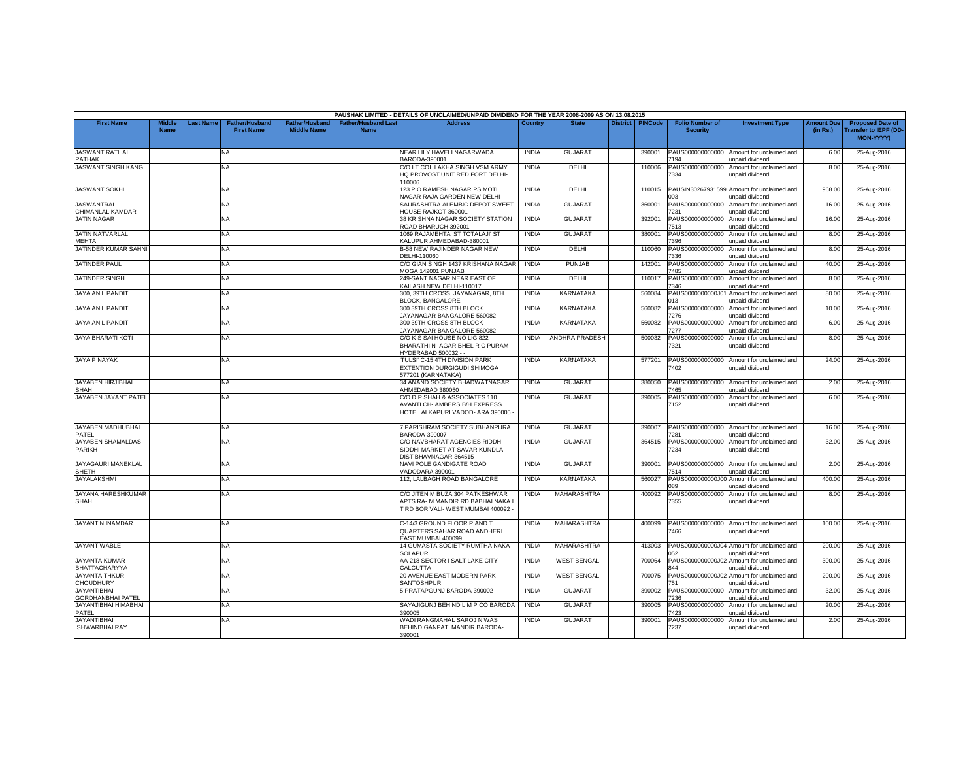|                                                |                              |                  |                                            |                                             |                                           | PAUSHAK LIMITED - DETAILS OF UNCLAIMED/UNPAID DIVIDEND FOR THE YEAR 2008-2009 AS ON 13.08.2015               |              |                    |                 |                |                                           |                                                               |                               |                                                                     |
|------------------------------------------------|------------------------------|------------------|--------------------------------------------|---------------------------------------------|-------------------------------------------|--------------------------------------------------------------------------------------------------------------|--------------|--------------------|-----------------|----------------|-------------------------------------------|---------------------------------------------------------------|-------------------------------|---------------------------------------------------------------------|
| <b>First Name</b>                              | <b>Middle</b><br><b>Name</b> | <b>Last Name</b> | <b>Father/Husband</b><br><b>First Name</b> | <b>Father/Husband</b><br><b>Middle Name</b> | <b>Father/Husband Last</b><br><b>Name</b> | <b>Address</b>                                                                                               | Country      | <b>State</b>       | <b>District</b> | <b>PINCode</b> | <b>Folio Number of</b><br><b>Security</b> | <b>Investment Type</b>                                        | <b>Amount Due</b><br>(in Rs.) | <b>Proposed Date of</b><br><b>Transfer to IEPF (DD</b><br>MON-YYYY) |
| <b>JASWANT RATILAL</b><br><b>PATHAK</b>        |                              |                  | NA                                         |                                             |                                           | NEAR LILY HAVELI NAGARWADA<br>BARODA-390001                                                                  | <b>INDIA</b> | <b>GUJARAT</b>     |                 | 390001         | PAUS000000000000<br>194                   | Amount for unclaimed and<br>unpaid dividend                   | 6.00                          | 25-Aug-2016                                                         |
| JASWANT SINGH KANG                             |                              |                  | NA                                         |                                             |                                           | C/O LT COL LAKHA SINGH VSM ARMY<br>IQ PROVOST UNIT RED FORT DELHI-<br>10006                                  | <b>INDIA</b> | DELHI              |                 | 110006         | PAUS000000000000<br>334                   | Amount for unclaimed and<br>unpaid dividend                   | 8.00                          | 25-Aug-2016                                                         |
| <b>JASWANT SOKHI</b>                           |                              |                  | NA                                         |                                             |                                           | 123 P O RAMESH NAGAR PS MOTI<br><b>NAGAR RAJA GARDEN NEW DELHI</b>                                           | <b>INDIA</b> | DELHI              |                 | 110015         | PAUSIN30267931599<br>רמ                   | Amount for unclaimed and<br>unpaid dividend                   | 968.00                        | 25-Aug-2016                                                         |
| <b>JASWANTRAI</b><br>CHIMANLAL KAMDAR          |                              |                  | <b>NA</b>                                  |                                             |                                           | SAURASHTRA ALEMBIC DEPOT SWEET<br><b>IOUSE RAJKOT-360001</b>                                                 | <b>INDIA</b> | <b>GUJARAT</b>     |                 | 360001         | PAUS000000000000<br>7231                  | Amount for unclaimed and<br>unpaid dividend                   | 16.00                         | 25-Aug-2016                                                         |
| <b>JATIN NAGAR</b>                             |                              |                  | NA                                         |                                             |                                           | 38 KRISHNA NAGAR SOCIETY STATION<br>ROAD BHARUCH 392001                                                      | <b>INDIA</b> | <b>GUJARAT</b>     |                 | 392001         | PAUS000000000000<br>7513                  | Amount for unclaimed and<br>unpaid dividend                   | 16.00                         | 25-Aug-2016                                                         |
| JATIN NATVARLAL<br><b>MEHTA</b>                |                              |                  | NA                                         |                                             |                                           | 1069 RAJAMEHTA' ST TOTALAJI' ST<br>KALUPUR AHMEDABAD-380001                                                  | <b>INDIA</b> | <b>GUJARAT</b>     |                 | 380001         | PAUS000000000000<br>396                   | Amount for unclaimed and<br><b>Inpaid dividend</b>            | 8.00                          | 25-Aug-2016                                                         |
| JATINDER KUMAR SAHNI                           |                              |                  | NA.                                        |                                             |                                           | <b>B-58 NEW RAJINDER NAGAR NEW</b><br>DELHI-110060                                                           | <b>INDIA</b> | DELHI              |                 | 110060         | PAUS000000000000<br>336                   | Amount for unclaimed and<br>unpaid dividend                   | 8.00                          | 25-Aug-2016                                                         |
| <b>JATINDER PAUL</b>                           |                              |                  | NA                                         |                                             |                                           | C/O GIAN SINGH 1437 KRISHANA NAGAR<br>MOGA 142001 PUNJAB                                                     | <b>INDIA</b> | <b>PUNJAB</b>      |                 | 142001         | PAUS000000000000<br>'485                  | Amount for unclaimed and<br>unpaid dividend                   | 40.00                         | 25-Aug-2016                                                         |
| <b>JATINDER SINGH</b>                          |                              |                  | NA.                                        |                                             |                                           | 249-SANT NAGAR NEAR EAST OF<br>KAILASH NEW DELHI-110017                                                      | <b>INDIA</b> | DELHI              |                 | 110017         | PAUS000000000000<br>7346                  | Amount for unclaimed and<br>unpaid dividend                   | 8.00                          | 25-Aug-2016                                                         |
| <b>JAYA ANIL PANDIT</b>                        |                              |                  | NA                                         |                                             |                                           | 300, 39TH CROSS, JAYANAGAR, 8TH<br><b>BLOCK, BANGALORE</b>                                                   | <b>INDIA</b> | <b>KARNATAKA</b>   |                 | 560084         | PAUS0000000000J0<br>13                    | Amount for unclaimed and<br>unpaid dividend                   | 80.00                         | 25-Aug-2016                                                         |
| <b>JAYA ANIL PANDIT</b>                        |                              |                  | NA                                         |                                             |                                           | 300 39TH CROSS 8TH BLOCK<br>AYANAGAR BANGALORE 560082                                                        | <b>INDIA</b> | KARNATAKA          |                 | 560082         | PAUS000000000000<br>276                   | Amount for unclaimed and<br><b>Inpaid dividend</b>            | 10.00                         | 25-Aug-2016                                                         |
| JAYA ANIL PANDIT                               |                              |                  | ΝA                                         |                                             |                                           | 300 39TH CROSS 8TH BLOCK<br>AYANAGAR BANGALORE 560082                                                        | <b>INDIA</b> | KARNATAKA          |                 | 560082         | PAUS000000000000<br>'277                  | Amount for unclaimed and<br>unpaid dividend                   | 6.00                          | 25-Aug-2016                                                         |
| <b>JAYA BHARATI KOTI</b>                       |                              |                  | <b>NA</b>                                  |                                             |                                           | C/O K S SAI HOUSE NO LIG 822<br>BHARATHI N- AGAR BHEL R C PURAM<br>YDERABAD 500032 - -                       | <b>INDIA</b> | ANDHRA PRADESH     |                 | 500032         | PAUS000000000000<br>7321                  | Amount for unclaimed and<br>unpaid dividend                   | 8.00                          | 25-Aug-2016                                                         |
| <b>JAYA P NAYAK</b>                            |                              |                  | NA                                         |                                             |                                           | TULSI' C-15 4TH DIVISION PARK<br>EXTENTION DURGIGUDI SHIMOGA<br>577201 (KARNATAKA)                           | <b>INDIA</b> | <b>KARNATAKA</b>   |                 | 577201         | PAUS000000000000<br>'402                  | Amount for unclaimed and<br>unpaid dividend                   | 24.00                         | 25-Aug-2016                                                         |
| JAYABEN HIRJIBHAI<br>SHAH                      |                              |                  | NA                                         |                                             |                                           | 34 ANAND SOCIETY BHADWATNAGAR<br>AHMEDABAD 380050                                                            | <b>INDIA</b> | <b>GUJARAT</b>     |                 | 380050         | PAUS000000000000<br>'465                  | Amount for unclaimed and<br>unpaid dividend                   | 2.00                          | 25-Aug-2016                                                         |
| JAYABEN JAYANT PATEL                           |                              |                  | NA                                         |                                             |                                           | C/O D P SHAH & ASSOCIATES 110<br>AVANTI CH- AMBERS B/H EXPRESS<br>HOTEL ALKAPURI VADOD- ARA 390005           | <b>INDIA</b> | <b>GUJARAT</b>     |                 | 390005         | PAUS000000000000<br>152                   | Amount for unclaimed and<br>unpaid dividend                   | 6.00                          | 25-Aug-2016                                                         |
| JAYABEN MADHUBHAI<br>PATEL                     |                              |                  | NA                                         |                                             |                                           | 7 PARISHRAM SOCIETY SUBHANPURA<br>BARODA-390007                                                              | <b>INDIA</b> | <b>GUJARAT</b>     |                 | 390007         | PAUS000000000000<br>281                   | Amount for unclaimed and<br>unpaid dividend                   | 16.00                         | 25-Aug-2016                                                         |
| JAYABEN SHAMALDAS<br>PARIKH                    |                              |                  | NA                                         |                                             |                                           | C/O NAVBHARAT AGENCIES RIDDHI<br>SIDDHI MARKET AT SAVAR KUNDLA<br>DIST BHAVNAGAR-364515                      | <b>INDIA</b> | <b>GUJARAT</b>     |                 | 364515         | PAUS000000000000<br>7234                  | Amount for unclaimed and<br>unpaid dividend                   | 32.00                         | 25-Aug-2016                                                         |
| JAYAGAURI MANEKLAL<br><b>SHETH</b>             |                              |                  | NA                                         |                                             |                                           | NAVI POLE GANDIGATE ROAD<br>/ADODARA 390001                                                                  | <b>INDIA</b> | <b>GUJARAT</b>     |                 | 390001         | PAUS000000000000<br>514                   | Amount for unclaimed and<br>unpaid dividend                   | 2.00                          | 25-Aug-2016                                                         |
| <b>JAYALAKSHMI</b>                             |                              |                  | NA.                                        |                                             |                                           | 112. LALBAGH ROAD BANGALORE                                                                                  | <b>INDIA</b> | <b>KARNATAKA</b>   |                 | 560027         | PAUS0000000000J00<br>989                  | Amount for unclaimed and<br>unpaid dividend                   | 400.00                        | 25-Aug-2016                                                         |
| JAYANA HARESHKUMAR<br>SHAH                     |                              |                  | NA                                         |                                             |                                           | C/O JITEN M BUZA 304 PATKESHWAR<br>APTS RA- M MANDIR RD BABHAI NAKA I<br>T RD BORIVALI- WEST MUMBAI 400092 - | <b>INDIA</b> | MAHARASHTRA        |                 | 400092         | PAUS000000000000<br>7355                  | Amount for unclaimed and<br>unpaid dividend                   | 8.00                          | 25-Aug-2016                                                         |
| JAYANT N INAMDAR                               |                              |                  | NA                                         |                                             |                                           | C-14/3 GROUND FLOOR P AND T<br>QUARTERS SAHAR ROAD ANDHERI<br>EAST MUMBAI 400099                             | <b>INDIA</b> | MAHARASHTRA        |                 | 400099         | PAUS000000000000<br>466                   | Amount for unclaimed and<br>unpaid dividend                   | 100.00                        | 25-Aug-2016                                                         |
| <b>JAYANT WABLE</b>                            |                              |                  | NA.                                        |                                             |                                           | 14 GUMASTA SOCIETY RUMTHA NAKA<br>SOLAPUR                                                                    | <b>INDIA</b> | MAHARASHTRA        |                 | 413003         | 052                                       | PAUS0000000000J04 Amount for unclaimed and<br>unpaid dividend | 200.00                        | 25-Aug-2016                                                         |
| <b>JAYANTA KUMAR</b><br>BHATTACHARYYA          |                              |                  | NA                                         |                                             |                                           | AA-218 SECTOR-I SALT LAKE CITY<br>CALCUTTA                                                                   | <b>INDIA</b> | <b>WEST BENGAL</b> |                 | 700064         | PAUS0000000000J0<br>344                   | Amount for unclaimed and<br>unpaid dividend                   | 300.00                        | 25-Aug-2016                                                         |
| <b>JAYANTA THKUR</b><br><b>CHOUDHURY</b>       |                              |                  | NA                                         |                                             |                                           | 20 AVENUE EAST MODERN PARK<br><b>SANTOSHPUR</b>                                                              | <b>INDIA</b> | <b>WEST BENGAL</b> |                 | 700075         | PAUS0000000000J02<br>51                   | Amount for unclaimed and<br>unpaid dividend                   | 200.00                        | 25-Aug-2016                                                         |
| <b>JAYANTIBHAI</b><br><b>GORDHANBHAI PATEL</b> |                              |                  | ΝA                                         |                                             |                                           | 5 PRATAPGUNJ BARODA-390002                                                                                   | <b>INDIA</b> | <b>GUJARAT</b>     |                 | 390002         | PAUS000000000000<br>236                   | Amount for unclaimed and<br>unpaid dividend                   | 32.00                         | 25-Aug-2016                                                         |
| JAYANTIBHAI HIMABHAI<br>PATEL                  |                              |                  | <b>NA</b>                                  |                                             |                                           | SAYAJIGUNJ BEHIND L M P CO BARODA<br>390005                                                                  | <b>INDIA</b> | GUJARAT            |                 | 390005         | PAUS000000000000<br>423                   | Amount for unclaimed and<br>unpaid dividend                   | 20.00                         | 25-Aug-2016                                                         |
| <b>JAYANTIBHAI</b><br><b>ISHWARBHAI RAY</b>    |                              |                  | NA                                         |                                             |                                           | WADI RANGMAHAL SAROJ NIWAS<br>BEHIND GANPATI MANDIR BARODA-<br>390001                                        | <b>INDIA</b> | <b>GUJARAT</b>     |                 | 390001         | PAUS000000000000<br>7237                  | Amount for unclaimed and<br>unpaid dividend                   | 2.00                          | 25-Aug-2016                                                         |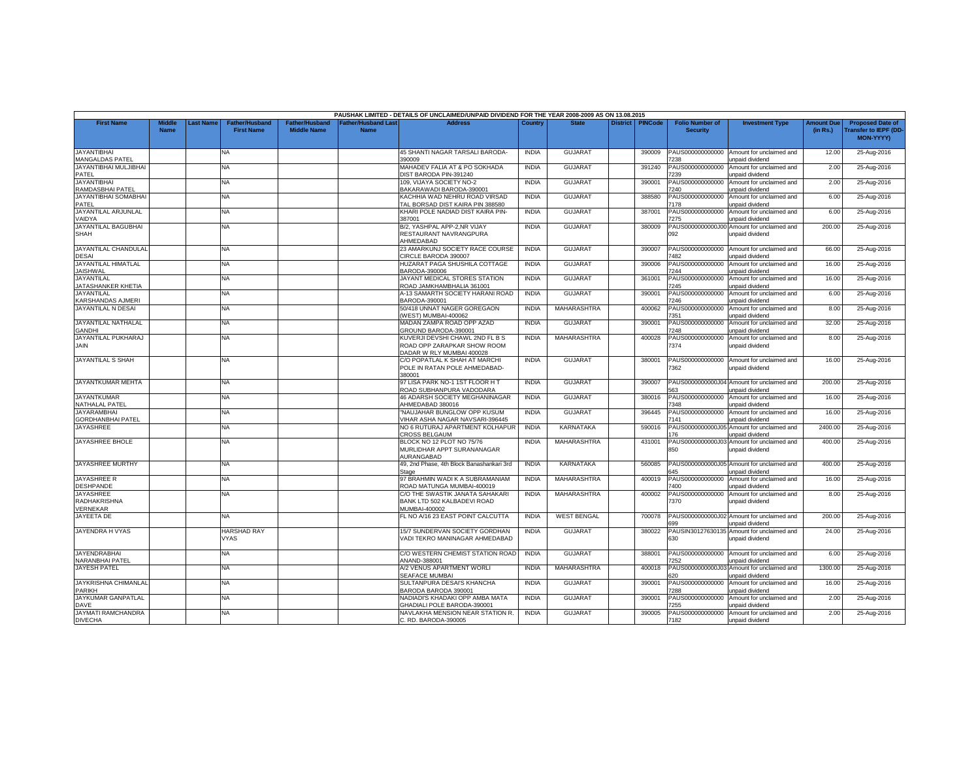|                                                            |                       |                  |                                     |                                      |                                    | PAUSHAK LIMITED - DETAILS OF UNCLAIMED/UNPAID DIVIDEND FOR THE YEAR 2008-2009 AS ON 13.08.2015 |              |                    |                    |                                           |                                                                      |                               |                                                                            |
|------------------------------------------------------------|-----------------------|------------------|-------------------------------------|--------------------------------------|------------------------------------|------------------------------------------------------------------------------------------------|--------------|--------------------|--------------------|-------------------------------------------|----------------------------------------------------------------------|-------------------------------|----------------------------------------------------------------------------|
| <b>First Name</b>                                          | Middle<br><b>Name</b> | <b>Last Name</b> | Father/Husband<br><b>First Name</b> | Father/Husband<br><b>Middle Name</b> | <b>Father/Husband Last</b><br>Name | <b>Address</b>                                                                                 | Country      | <b>State</b>       | District   PINCode | <b>Folio Number of</b><br><b>Security</b> | <b>Investment Type</b>                                               | <b>Amount Due</b><br>(in Rs.) | <b>Proposed Date of</b><br><b>Transfer to IEPF (DD</b><br><b>MON-YYYYY</b> |
| <b>JAYANTIBHAI</b><br><b>MANGALDAS PATEL</b>               |                       |                  | NA                                  |                                      |                                    | 45 SHANTI NAGAR TARSALI BARODA-<br>390009                                                      | <b>INDIA</b> | <b>GUJARAT</b>     | 390009             | PAUS000000000000<br>238                   | Amount for unclaimed and<br>unpaid dividend                          | 12.00                         | 25-Aug-2016                                                                |
| <b>JAYANTIBHAI MULJIBHAI</b><br>PATEL                      |                       |                  | <b>NA</b>                           |                                      |                                    | MAHADEV FALIA AT & PO SOKHADA<br>DIST BARODA PIN-391240                                        | <b>INDIA</b> | <b>GUJARAT</b>     | 391240             | PAUS000000000000<br>239                   | Amount for unclaimed and<br>unpaid dividend                          | 2.00                          | 25-Aug-2016                                                                |
| <b>JAYANTIBHAI</b><br>RAMDASBHAI PATEL                     |                       |                  | NA                                  |                                      |                                    | 109, VIJAYA SOCIETY NO-2<br>BAKARAWADI BARODA-390001                                           | <b>INDIA</b> | <b>GUJARAT</b>     | 390001             | PAUS000000000000<br>7240                  | Amount for unclaimed and<br>unpaid dividend                          | 2.00                          | 25-Aug-2016                                                                |
| <b>JAYANTIBHAI SOMABHAI</b><br>PATEL                       |                       |                  | NA                                  |                                      |                                    | KACHHIA WAD NEHRU ROAD VIRSAD<br>TAL BORSAD DIST KAIRA PIN 388580                              | <b>INDIA</b> | <b>GUJARAT</b>     | 388580             | PAUS000000000000<br>7178                  | Amount for unclaimed and<br>inpaid dividend                          | 6.00                          | 25-Aug-2016                                                                |
| JAYANTILAL ARJUNLAL<br>VAIDYA                              |                       |                  | NA                                  |                                      |                                    | KHARI POLE NADIAD DIST KAIRA PIN-<br>387001                                                    | <b>INDIA</b> | <b>GUJARAT</b>     | 387001             | PAUS000000000000<br>7275                  | Amount for unclaimed and<br>unpaid dividend                          | 6.00                          | 25-Aug-2016                                                                |
| <b>JAYANTILAL BAGUBHAI</b><br><b>SHAH</b>                  |                       |                  | <b>NA</b>                           |                                      |                                    | B/2, YASHPAL APP-2,NR VIJAY<br>RESTAURANT NAVRANGPURA<br>AHMEDABAD                             | <b>INDIA</b> | GUJARAT            | 380009             | PAUS0000000000J0<br>092                   | Amount for unclaimed and<br>unpaid dividend                          | 200.00                        | 25-Aug-2016                                                                |
| <b>JAYANTILAL CHANDULAL</b><br><b>DESAI</b>                |                       |                  | NA                                  |                                      |                                    | 23 AMARKUNJ SOCIETY RACE COURSE<br>CIRCLE BARODA 390007                                        | <b>INDIA</b> | <b>GUJARAT</b>     | 390007             | PAUS000000000000<br>'482                  | Amount for unclaimed and<br>unpaid dividend                          | 66.00                         | 25-Aug-2016                                                                |
| <b>JAYANTILAL HIMATLAL</b><br><b>JAISHWAL</b>              |                       |                  | NA                                  |                                      |                                    | HUZARAT PAGA SHUSHILA COTTAGE<br>BARODA-390006                                                 | <b>INDIA</b> | <b>GUJARAT</b>     | 390006             | PAUS000000000000<br>7244                  | Amount for unclaimed and<br>unpaid dividend                          | 16.00                         | 25-Aug-2016                                                                |
| <b>JAYANTILAL</b><br>JATASHANKER KHETIA                    |                       |                  | NA                                  |                                      |                                    | JAYANT MEDICAL STORES STATION<br>ROAD JAMKHAMBHALIA 361001                                     | <b>INDIA</b> | <b>GUJARAT</b>     | 361001             | PAUS000000000000<br>7245                  | Amount for unclaimed and<br>unpaid dividend                          | 16.00                         | 25-Aug-2016                                                                |
| <b>JAYANTILAL</b><br><b>KARSHANDAS AJMERI</b>              |                       |                  | NA                                  |                                      |                                    | A-13 SAMARTH SOCIETY HARANI ROAD<br>BARODA-390001                                              | <b>INDIA</b> | <b>GUJARAT</b>     | 390001             | PAUS000000000000<br>7246                  | Amount for unclaimed and<br>unpaid dividend                          | 6.00                          | 25-Aug-2016                                                                |
| JAYANTILAL N DESAI                                         |                       |                  | NA                                  |                                      |                                    | 50/418 UNNAT NAGER GOREGAON<br>(WEST) MUMBAI-400062                                            | <b>INDIA</b> | MAHARASHTRA        | 400062             | PAUS000000000000<br>7351                  | Amount for unclaimed and<br>unpaid dividend                          | 8.00                          | 25-Aug-2016                                                                |
| <b>JAYANTILAL NATHALAL</b><br><b>GANDHI</b>                |                       |                  | NA                                  |                                      |                                    | MADAN ZAMPA ROAD OPP AZAD<br>GROUND BARODA-390001                                              | <b>INDIA</b> | GUJARAT            | 390001             | PAUS000000000000<br>7248                  | Amount for unclaimed and<br>unpaid dividend                          | 32.00                         | 25-Aug-2016                                                                |
| JAYANTILAL PUKHARAJ<br><b>JAIN</b>                         |                       |                  | ΝA                                  |                                      |                                    | KUVERJI DEVSHI CHAWL 2ND FL B S<br>ROAD OPP ZARAPKAR SHOW ROOM<br>DADAR W RLY MUMBAI 400028    | <b>INDIA</b> | MAHARASHTRA        | 400028             | PAUS000000000000<br>7374                  | Amount for unclaimed and<br>unpaid dividend                          | 8.00                          | 25-Aug-2016                                                                |
| <b>JAYANTILAL S SHAH</b>                                   |                       |                  | NA                                  |                                      |                                    | C/O POPATLAL K SHAH AT MARCHI<br>POLE IN RATAN POLE AHMEDABAD-<br>380001                       | <b>INDIA</b> | <b>GUJARAT</b>     | 380001             | 7362                                      | PAUS000000000000 Amount for unclaimed and<br>unpaid dividend         | 16.00                         | 25-Aug-2016                                                                |
| <b>JAYANTKUMAR MEHTA</b>                                   |                       |                  | NA                                  |                                      |                                    | 97 LISA PARK NO-1 1ST FLOOR H T<br>ROAD SUBHANPURA VADODARA                                    | <b>INDIA</b> | <b>GUJARAT</b>     | 390007             | 563                                       | PAUS0000000000J04 Amount for unclaimed and<br>unpaid dividend        | 200.00                        | 25-Aug-2016                                                                |
| <b>JAYANTKUMAR</b><br><b>NATHALAL PATEL</b>                |                       |                  | NA                                  |                                      |                                    | 46 ADARSH SOCIETY MEGHANINAGAR<br>AHMEDABAD 380016                                             | <b>INDIA</b> | GUJARAT            | 380016             | PAUS000000000000<br>7348                  | Amount for unclaimed and<br>unpaid dividend                          | 16.00                         | 25-Aug-2016                                                                |
| <b>JAYARAMBHAI</b><br><b>GORDHANBHAI PATEL</b>             |                       |                  | <b>NA</b>                           |                                      |                                    | 'NAUJAHAR BUNGLOW OPP KUSUM<br>VIHAR ASHA NAGAR NAVSARI-396445                                 | <b>INDIA</b> | <b>GUJARAT</b>     | 396445             | PAUS000000000000<br>7141                  | Amount for unclaimed and<br>unpaid dividend                          | 16.00                         | 25-Aug-2016                                                                |
| <b>JAYASHREE</b>                                           |                       |                  | NA                                  |                                      |                                    | NO 6 RUTURAJ APARTMENT KOLHAPUR<br><b>CROSS BELGAUM</b>                                        | <b>INDIA</b> | <b>KARNATAKA</b>   | 590016             | PAUS0000000000J0<br>76                    | Amount for unclaimed and<br>unpaid dividend                          | 2400.00                       | 25-Aug-2016                                                                |
| JAYASHREE BHOLE                                            |                       |                  | NA                                  |                                      |                                    | BLOCK NO 12 PLOT NO 75/76<br>MURLIDHAR APPT SURANANAGAR<br>AURANGABAD                          | <b>INDIA</b> | MAHARASHTRA        | 431001             | 850                                       | PAUS0000000000J03 Amount for unclaimed and<br>unpaid dividend        | 400.00                        | 25-Aug-2016                                                                |
| <b>JAYASHREE MURTHY</b>                                    |                       |                  | NA                                  |                                      |                                    | 49, 2nd Phase, 4th Block Banashankari 3rd<br>Stage                                             | <b>INDIA</b> | KARNATAKA          | 560085             | 645                                       | PAUS0000000000J05 Amount for unclaimed and<br><b>Inpaid dividend</b> | 400.00                        | 25-Aug-2016                                                                |
| <b>JAYASHREE R</b><br><b>DESHPANDE</b>                     |                       |                  | NA                                  |                                      |                                    | 97 BRAHMIN WADI K A SUBRAMANIAM<br>ROAD MATUNGA MUMBAI-400019                                  | <b>INDIA</b> | <b>MAHARASHTRA</b> | 400019             | PAUS000000000000<br>7400                  | Amount for unclaimed and<br>unpaid dividend                          | 16.00                         | 25-Aug-2016                                                                |
| <b>JAYASHREE</b><br><b>RADHAKRISHNA</b><br><b>VERNEKAR</b> |                       |                  | NA.                                 |                                      |                                    | C/O THE SWASTIK JANATA SAHAKARI<br>BANK LTD 502 KALBADEVI ROAD<br>MUMBAI-400002                | <b>INDIA</b> | MAHARASHTRA        | 400002             | PAUS000000000000<br>7370                  | Amount for unclaimed and<br>unpaid dividend                          | 8.00                          | 25-Aug-2016                                                                |
| <b>JAYEETA DE</b>                                          |                       |                  | NA                                  |                                      |                                    | FL NO A/16 23 EAST POINT CALCUTTA                                                              | <b>INDIA</b> | <b>WEST BENGAL</b> | 700078             | 699                                       | PAUS0000000000J02 Amount for unclaimed and<br>unpaid dividend        | 200.00                        | 25-Aug-2016                                                                |
| JAYENDRA H VYAS                                            |                       |                  | <b>HARSHAD RAY</b><br><b>VYAS</b>   |                                      |                                    | 15/7 SUNDERVAN SOCIETY GORDHAN<br>VADI TEKRO MANINAGAR AHMEDABAD                               | <b>INDIA</b> | <b>GUJARAT</b>     | 380022             | 630                                       | PAUSIN30127630135 Amount for unclaimed and<br>unpaid dividend        | 24.00                         | 25-Aug-2016                                                                |
| <b>JAYENDRABHAI</b><br><b>NARANBHAI PATEL</b>              |                       |                  | <b>NA</b>                           |                                      |                                    | C/O WESTERN CHEMIST STATION ROAD<br>ANAND-388001                                               | <b>INDIA</b> | <b>GUJARAT</b>     | 388001             | PAUS000000000000<br>7252                  | Amount for unclaimed and<br><b>Inpaid dividend</b>                   | 6.00                          | 25-Aug-2016                                                                |
| <b>JAYESH PATEL</b>                                        |                       |                  | NA                                  |                                      |                                    | A/2 VENUS APARTMENT WORLI<br><b>SEAFACE MUMBAI</b>                                             | <b>INDIA</b> | <b>MAHARASHTRA</b> | 400018             | 620                                       | PAUS0000000000J03 Amount for unclaimed and<br>unpaid dividend        | 1300.00                       | 25-Aug-2016                                                                |
| <b>JAYKRISHNA CHIMANLAL</b><br><b>PARIKH</b>               |                       |                  | <b>NA</b>                           |                                      |                                    | SULTANPURA DESAI'S KHANCHA<br>BARODA BARODA 390001                                             | <b>INDIA</b> | GUJARAT            | 390001             | PAUS000000000000<br>7288                  | Amount for unclaimed and<br>unpaid dividend                          | 16.00                         | 25-Aug-2016                                                                |
| <b>JAYKUMAR GANPATLAL</b><br><b>DAVE</b>                   |                       |                  | <b>NA</b>                           |                                      |                                    | NADIADI'S KHADAKI OPP AMBA MATA<br>GHADIALI POLE BARODA-390001                                 | <b>INDIA</b> | <b>GUJARAT</b>     | 390001             | PAUS000000000000<br>255                   | Amount for unclaimed and<br>unpaid dividend                          | 2.00                          | 25-Aug-2016                                                                |
| <b>JAYMATI RAMCHANDRA</b><br><b>DIVECHA</b>                |                       |                  | NA                                  |                                      |                                    | NAVLAKHA MENSION NEAR STATION R.<br>C. RD. BARODA-390005                                       | <b>INDIA</b> | <b>GUJARAT</b>     | 390005             | PAUS000000000000<br>7182                  | Amount for unclaimed and<br>unpaid dividend                          | 2.00                          | 25-Aug-2016                                                                |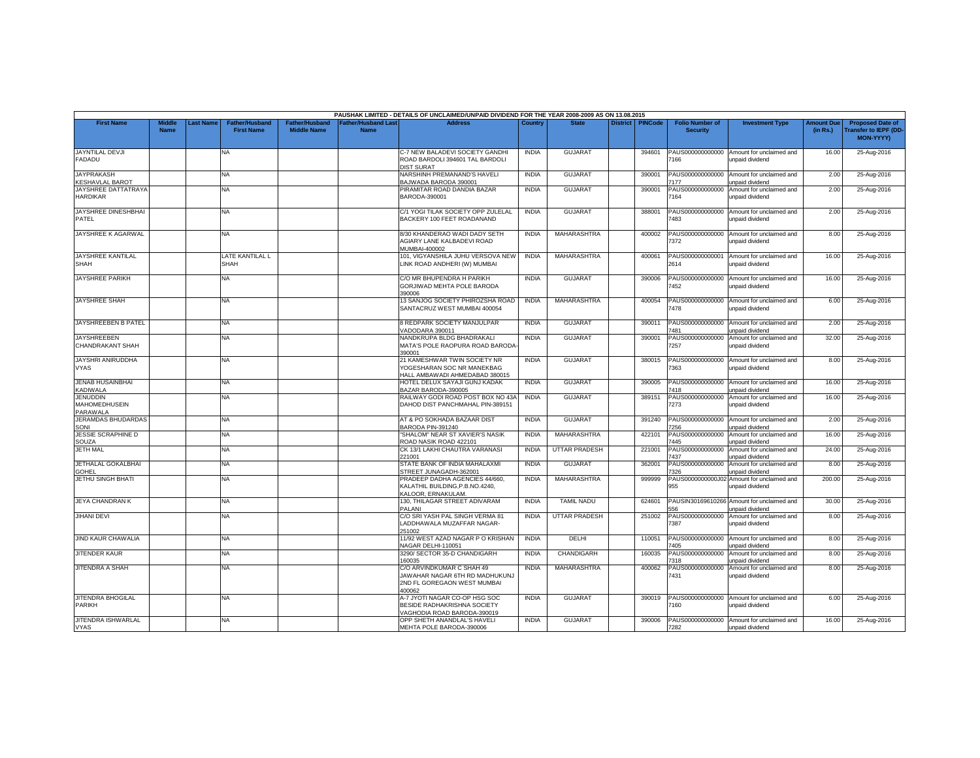|                                                     |                              |          |                                            |                                      |                                               | PAUSHAK LIMITED - DETAILS OF UNCLAIMED/UNPAID DIVIDEND FOR THE YEAR 2008-2009 AS ON 13.08.2015             |              |                      |                 |                |                                           |                                                               |                               |                                                              |
|-----------------------------------------------------|------------------------------|----------|--------------------------------------------|--------------------------------------|-----------------------------------------------|------------------------------------------------------------------------------------------------------------|--------------|----------------------|-----------------|----------------|-------------------------------------------|---------------------------------------------------------------|-------------------------------|--------------------------------------------------------------|
| <b>First Name</b>                                   | <b>Middle</b><br><b>Name</b> | ast Name | <b>Father/Husband</b><br><b>First Name</b> | Father/Husband<br><b>Middle Name</b> | ather/Husband Las <sup>®</sup><br><b>Name</b> | <b>Address</b>                                                                                             | Country      | <b>State</b>         | <b>District</b> | <b>PINCode</b> | <b>Folio Number of</b><br><b>Security</b> | <b>Investment Type</b>                                        | <b>Amount Due</b><br>(in Rs.) | <b>Proposed Date of</b><br>ransfer to IEPF (DD-<br>MON-YYYY) |
| <b>JAYNTILAL DEVJI</b><br><b>FADADU</b>             |                              |          | NA.                                        |                                      |                                               | C-7 NEW BALADEVI SOCIETY GANDHI<br>ROAD BARDOLI 394601 TAL BARDOLI<br><b>DIST SURAT</b>                    | <b>INDIA</b> | GUJARA <sup>1</sup>  |                 | 394601         | PAUS000000000000<br>166                   | Amount for unclaimed and<br>unpaid dividend                   | 16.00                         | 25-Aug-2016                                                  |
| <b>JAYPRAKASH</b><br><b>KESHAVLAL BAROT</b>         |                              |          | NA                                         |                                      |                                               | NARSHINH PREMANAND'S HAVELI<br>BAJWADA BARODA 390001                                                       | <b>INDIA</b> | <b>GUJARAT</b>       |                 | 390001         | PAUS000000000000<br>7177                  | Amount for unclaimed and<br>unpaid dividend                   | 2.00                          | 25-Aug-2016                                                  |
| <b>JAYSHREE DATTATRAYA</b><br><b>HARDIKAR</b>       |                              |          | <b>NA</b>                                  |                                      |                                               | PIRAMITAR ROAD DANDIA BAZAR<br>BARODA-390001                                                               | <b>INDIA</b> | <b>GUJARAT</b>       |                 | 390001         | PAUS000000000000<br>7164                  | Amount for unclaimed and<br>unpaid dividend                   | 2.00                          | 25-Aug-2016                                                  |
| JAYSHREE DINESHBHAI<br>PATEL                        |                              |          | NA                                         |                                      |                                               | C/1 YOGI TILAK SOCIETY OPP ZULELAL<br>BACKERY 100 FEET ROADANAND                                           | <b>INDIA</b> | <b>GUJARAT</b>       |                 | 388001         | PAUS000000000000<br>7483                  | Amount for unclaimed and<br>unpaid dividend                   | 2.00                          | 25-Aug-2016                                                  |
| JAYSHREE K AGARWAL                                  |                              |          | NA                                         |                                      |                                               | 8/30 KHANDERAO WADI DADY SETH<br>AGIARY LANE KALBADEVI ROAD<br>MUMBAI-400002                               | <b>INDIA</b> | MAHARASHTRA          |                 | 400002         | 7372                                      | PAUS000000000000 Amount for unclaimed and<br>unpaid dividend  | 8.00                          | 25-Aug-2016                                                  |
| JAYSHREE KANTILAL<br><b>SHAH</b>                    |                              |          | LATE KANTILAL L<br><b>SHAH</b>             |                                      |                                               | 101, VIGYANSHILA JUHU VERSOVA NEW<br>LINK ROAD ANDHERI (W) MUMBAI                                          | <b>INDIA</b> | <b>MAHARASHTRA</b>   |                 | 400061         | PAUS00000000000<br>2614                   | Amount for unclaimed and<br>unpaid dividend                   | 16.00                         | 25-Aug-2016                                                  |
| <b>JAYSHREE PARIKH</b>                              |                              |          | NA                                         |                                      |                                               | C/O MR BHUPENDRA H PARIKH<br>GORJIWAD MEHTA POLE BARODA<br>390006                                          | <b>INDIA</b> | <b>GUJARAT</b>       |                 | 390006         | 7452                                      | PAUS000000000000 Amount for unclaimed and<br>unpaid dividend  | 16.00                         | 25-Aug-2016                                                  |
| <b>JAYSHREE SHAH</b>                                |                              |          | NA                                         |                                      |                                               | 13 SANJOG SOCIETY PHIROZSHA ROAD<br>SANTACRUZ WEST MUMBAI 400054                                           | <b>INDIA</b> | MAHARASHTRA          |                 | 400054         | 7478                                      | PAUS000000000000 Amount for unclaimed and<br>unpaid dividend  | 6.00                          | 25-Aug-2016                                                  |
| JAYSHREEBEN B PATEL                                 |                              |          | NA                                         |                                      |                                               | 8 REDPARK SOCIETY MANJULPAR<br>/ADODARA 390011                                                             | <b>INDIA</b> | <b>GUJARAT</b>       |                 | 390011         | 7481                                      | PAUS000000000000 Amount for unclaimed and<br>unpaid dividend  | 2.00                          | 25-Aug-2016                                                  |
| <b>JAYSHREEBEN</b><br><b>CHANDRAKANT SHAH</b>       |                              |          | NA                                         |                                      |                                               | NANDKRUPA BLDG BHADRAKALI<br>MATA'S POLE RAOPURA ROAD BARODA<br>390001                                     | <b>INDIA</b> | <b>GUJARAT</b>       |                 | 390001         | PAUS000000000000<br>7257                  | Amount for unclaimed and<br>unpaid dividend                   | 32.00                         | 25-Aug-2016                                                  |
| JAYSHRI ANIRUDDHA<br><b>VYAS</b>                    |                              |          | NA                                         |                                      |                                               | 21 KAMESHWAR TWIN SOCIETY NR<br><b>/OGESHARAN SOC NR MANEKBAG</b><br><b>IALL AMBAWADI AHMEDABAD 380015</b> | <b>INDIA</b> | <b>GUJARAT</b>       |                 | 380015         | PAUS000000000000<br>7363                  | Amount for unclaimed and<br>unpaid dividend                   | 8.00                          | 25-Aug-2016                                                  |
| <b>JENAB HUSAINBHAI</b><br><b>KADIWALA</b>          |                              |          | NA.                                        |                                      |                                               | HOTEL DELUX SAYAJI GUNJ KADAK<br>BAZAR BARODA-390005                                                       | <b>INDIA</b> | <b>GUJARAT</b>       |                 | 390005         | PAUS000000000000<br>7418                  | Amount for unclaimed and<br>unpaid dividend                   | 16.00                         | 25-Aug-2016                                                  |
| <b>JENUDDIN</b><br><b>MAHOMEDHUSEIN</b><br>PARAWALA |                              |          | NA                                         |                                      |                                               | RAILWAY GODI ROAD POST BOX NO 43A<br>DAHOD DIST PANCHMAHAL PIN-389151                                      | <b>INDIA</b> | <b>GUJARAT</b>       |                 | 389151         | PAUS000000000000<br>7273                  | Amount for unclaimed and<br>unpaid dividend                   | 16.00                         | 25-Aug-2016                                                  |
| <b>JERAMDAS BHUDARDAS</b><br>SONI                   |                              |          | NA                                         |                                      |                                               | AT & PO SOKHADA BAZAAR DIST<br>BARODA PIN-391240                                                           | <b>INDIA</b> | <b>GUJARAT</b>       |                 | 391240         | PAUS000000000000<br>256                   | Amount for unclaimed and<br>unpaid dividend                   | 2.00                          | 25-Aug-2016                                                  |
| <b>JESSIE SCRAPHINE D</b><br>SOUZA                  |                              |          | NA.                                        |                                      |                                               | 'SHALOM" NEAR ST XAVIER'S NASIK<br>ROAD NASIK ROAD 422101                                                  | <b>INDIA</b> | MAHARASHTRA          |                 | 422101         | PAUS000000000000<br>7445                  | Amount for unclaimed and<br>unpaid dividend                   | 16.00                         | 25-Aug-2016                                                  |
| <b>JETH MAL</b>                                     |                              |          | NA                                         |                                      |                                               | CK 13/1 LAKHI CHAUTRA VARANASI<br>221001                                                                   | <b>INDIA</b> | <b>UTTAR PRADESH</b> |                 | 221001         | PAUS000000000000<br>7437                  | Amount for unclaimed and<br>unpaid dividend                   | 24.00                         | 25-Aug-2016                                                  |
| JETHALAL GOKALBHAI<br><b>GOHEL</b>                  |                              |          | NA                                         |                                      |                                               | STATE BANK OF INDIA MAHALAXMI<br>STREET JUNAGADH-362001                                                    | <b>INDIA</b> | <b>GUJARAT</b>       |                 | 362001         | PAUS000000000000<br>326                   | Amount for unclaimed and<br>unpaid dividend                   | 8.00                          | 25-Aug-2016                                                  |
| JETHU SINGH BHATI                                   |                              |          | <b>NA</b>                                  |                                      |                                               | PRADEEP DADHA AGENCIES 44/660.<br>KALATHIL BUILDING, P.B.NO.4240,<br><b>KALOOR, ERNAKULAM</b>              | <b>INDIA</b> | MAHARASHTRA          |                 | 999999         | 955                                       | PAUS0000000000J02 Amount for unclaimed and<br>unpaid dividend | 200.00                        | 25-Aug-2016                                                  |
| <b>JEYA CHANDRAN K</b>                              |                              |          | <b>NA</b>                                  |                                      |                                               | 130, THILAGAR STREET ADIVARAM<br>PALANI                                                                    | <b>INDIA</b> | <b>TAMIL NADU</b>    |                 | 624601         | 56                                        | PAUSIN30169610266 Amount for unclaimed and<br>unpaid dividend | 30.00                         | 25-Aug-2016                                                  |
| <b>JIHANI DEVI</b>                                  |                              |          | NA                                         |                                      |                                               | C/O SRI YASH PAL SINGH VERMA 81<br>LADDHAWALA MUZAFFAR NAGAR-<br>251002                                    | <b>INDIA</b> | <b>UTTAR PRADESH</b> |                 | 251002         | PAUS000000000000<br>7387                  | Amount for unclaimed and<br>unpaid dividend                   | 8.00                          | 25-Aug-2016                                                  |
| <b>JIND KAUR CHAWALIA</b>                           |                              |          | NA                                         |                                      |                                               | 11/92 WEST AZAD NAGAR P O KRISHAN<br>VAGAR DELHI-110051                                                    | <b>INDIA</b> | DELHI                |                 | 110051         | PAUS000000000000<br>7405                  | Amount for unclaimed and<br>unpaid dividend                   | 8.00                          | 25-Aug-2016                                                  |
| <b>JITENDER KAUR</b>                                |                              |          | <b>NA</b>                                  |                                      |                                               | 3290/ SECTOR 35-D CHANDIGARH<br>160035                                                                     | <b>INDIA</b> | CHANDIGARH           |                 | 160035         | PAUS000000000000<br>7318                  | Amount for unclaimed and<br>unpaid dividend                   | 8.00                          | 25-Aug-2016                                                  |
| JITENDRA A SHAH                                     |                              |          | NA                                         |                                      |                                               | C/O ARVINDKUMAR C SHAH 49<br>JAWAHAR NAGAR 6TH RD MADHUKUNJ<br>2ND FL GOREGAON WEST MUMBAI                 | <b>INDIA</b> | MAHARASHTRA          |                 | 400062         | PAUS000000000000<br>7431                  | Amount for unclaimed and<br>unpaid dividend                   | 8.00                          | 25-Aug-2016                                                  |
| JITENDRA BHOGILAL<br><b>PARIKH</b>                  |                              |          | NA                                         |                                      |                                               | 100062<br>A-7 JYOTI NAGAR CO-OP HSG SOC<br>BESIDE RADHAKRISHNA SOCIETY                                     | <b>INDIA</b> | <b>GUJARA1</b>       |                 | 390019         | 160                                       | PAUS000000000000 Amount for unclaimed and<br>unpaid dividend  | 6.00                          | 25-Aug-2016                                                  |
| JITENDRA ISHWARLAL<br><b>VYAS</b>                   |                              |          | NA                                         |                                      |                                               | <b>/AGHODIA ROAD BARODA-390019</b><br>OPP SHETH ANANDLAL'S HAVELI<br>MEHTA POLE BARODA-390006              | <b>INDIA</b> | <b>GUJARAT</b>       |                 | 390006         | 7282                                      | PAUS000000000000 Amount for unclaimed and<br>unpaid dividend  | 16.00                         | 25-Aug-2016                                                  |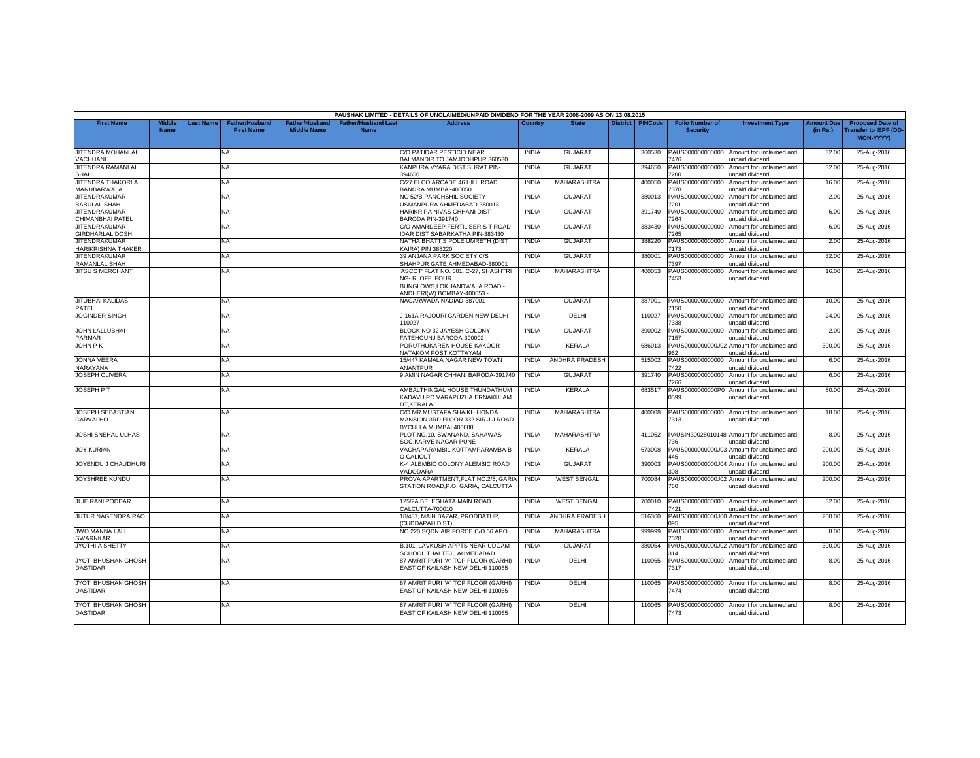|                                                 |                       |                  |                                            |                                             |                                           | PAUSHAK LIMITED - DETAILS OF UNCLAIMED/UNPAID DIVIDEND FOR THE YEAR 2008-2009 AS ON 13.08.2015                      |              |                       |                 |                |                                           |                                                                      |                               |                                                                     |
|-------------------------------------------------|-----------------------|------------------|--------------------------------------------|---------------------------------------------|-------------------------------------------|---------------------------------------------------------------------------------------------------------------------|--------------|-----------------------|-----------------|----------------|-------------------------------------------|----------------------------------------------------------------------|-------------------------------|---------------------------------------------------------------------|
| <b>First Name</b>                               | Middle<br><b>Name</b> | <b>Last Name</b> | <b>Father/Husband</b><br><b>First Name</b> | <b>Father/Husband</b><br><b>Middle Name</b> | <b>Father/Hushand Last</b><br><b>Name</b> | <b>Address</b>                                                                                                      | Country      | <b>State</b>          | <b>District</b> | <b>PINCode</b> | <b>Folio Number of</b><br><b>Security</b> | <b>Investment Type</b>                                               | <b>Amount Due</b><br>(in Rs.) | <b>Proposed Date of</b><br><b>Transfer to IEPF (DD</b><br>MON-YYYY) |
| JITENDRA MOHANLAL<br><b>VACHHANI</b>            |                       |                  | NA                                         |                                             |                                           | C/O PATIDAR PESTICID NEAR<br>BALMANDIR TO JAMJODHPUR 360530                                                         | <b>INDIA</b> | <b>GUJARAT</b>        |                 | 360530         | PAUS000000000000<br>476                   | Amount for unclaimed and<br><b>Inpaid dividend</b>                   | 32.00                         | 25-Aug-2016                                                         |
| JITENDRA RAMANLAL<br><b>SHAH</b>                |                       |                  | NA                                         |                                             |                                           | KANPURA VYARA DIST SURAT PIN-<br>394650                                                                             | <b>INDIA</b> | <b>GUJARAT</b>        |                 | 394650         | PAUS000000000000<br>7200                  | Amount for unclaimed and<br>unpaid dividend                          | 32.00                         | 25-Aug-2016                                                         |
| JITENDRA THAKORLAL<br>MANUBARWALA               |                       |                  | <b>NA</b>                                  |                                             |                                           | C/27 ELCO ARCADE 46 HILL ROAD<br>BANDRA MUMBAI-400050                                                               | <b>INDIA</b> | MAHARASHTRA           |                 | 400050         | PAUS000000000000<br>7378                  | Amount for unclaimed and<br>unpaid dividend                          | 16.00                         | 25-Aug-2016                                                         |
| <b>JITENDRAKUMAR</b><br><b>BABULAL SHAH</b>     |                       |                  | <b>NA</b>                                  |                                             |                                           | NO 52/B PANCHSHIL SOCIETY<br>USMANPURA AHMEDABAD-380013                                                             | <b>INDIA</b> | GUJARAT               |                 | 380013         | PAUS000000000000<br>7201                  | Amount for unclaimed and<br><b>Inpaid dividend</b>                   | 2.00                          | 25-Aug-2016                                                         |
| <b>JITENDRAKUMAR</b><br>CHIMANBHAI PATE         |                       |                  | NA                                         |                                             |                                           | HARIKRIPA NIVAS CHHANI DIST<br>BARODA PIN-391740                                                                    | <b>INDIA</b> | <b>GUJARAT</b>        |                 | 391740         | PAUS000000000000<br>7264                  | Amount for unclaimed and<br>unpaid dividend                          | 6.00                          | 25-Aug-2016                                                         |
| <b>JITENDRAKUMAR</b><br><b>GIRDHARLAL DOSHI</b> |                       |                  | <b>NA</b>                                  |                                             |                                           | C/O AMARDEEP FERTILISER S T ROAD<br>IDAR DIST SABARKATHA PIN-383430                                                 | <b>INDIA</b> | GUJARAT               |                 | 383430         | PAUS000000000000<br>7265                  | Amount for unclaimed and<br>unpaid dividend                          | 6.00                          | 25-Aug-2016                                                         |
| <b>JITENDRAKUMAR</b><br>HARIKRISHNA THAKER      |                       |                  | <b>NA</b>                                  |                                             |                                           | NATHA BHATT S POLE UMRETH (DIST<br>KAIRA) PIN 388220                                                                | <b>INDIA</b> | <b>GUJARAT</b>        |                 | 388220         | PAUS000000000000<br>173                   | Amount for unclaimed and<br>Inpaid dividend                          | 2.00                          | 25-Aug-2016                                                         |
| <b>JITENDRAKUMAR</b><br><b>RAMANLAL SHAH</b>    |                       |                  | NA                                         |                                             |                                           | 39 ANJANA PARK SOCIETY C/S<br>SHAHPUR GATE AHMEDABAD-380001                                                         | <b>INDIA</b> | <b>GUJARAT</b>        |                 | 380001         | PAUS000000000000<br>7397                  | Amount for unclaimed and<br>unpaid dividend                          | 32.00                         | 25-Aug-2016                                                         |
| <b>JITSU S MERCHANT</b>                         |                       |                  | <b>NA</b>                                  |                                             |                                           | 'ASCOT' FLAT NO. 601, C-27, SHASHTRI<br>NG-R. OFF. FOUR<br>BUNGLOWS, LOKHANDWALA ROAD,-<br>ANDHERI(W) BOMBAY-400053 | <b>INDIA</b> | MAHARASHTRA           |                 | 400053         | PAUS000000000000<br>7453                  | Amount for unclaimed and<br>unpaid dividend                          | 16.00                         | 25-Aug-2016                                                         |
| <b>JITUBHAI KALIDAS</b><br>PATEL                |                       |                  | NA                                         |                                             |                                           | NAGARWADA NADIAD-387001                                                                                             | <b>INDIA</b> | <b>GUJARAT</b>        |                 | 387001         | PAUS000000000000<br>7150                  | Amount for unclaimed and<br>unpaid dividend                          | 10.00                         | 25-Aug-2016                                                         |
| <b>JOGINDER SINGH</b>                           |                       |                  | <b>NA</b>                                  |                                             |                                           | J-161A RAJOURI GARDEN NEW DELHI-<br>110027                                                                          | <b>INDIA</b> | DELHI                 |                 | 110027         | PAUS000000000000<br>7338                  | Amount for unclaimed and<br>unpaid dividend                          | 24.00                         | 25-Aug-2016                                                         |
| <b>JOHN LALLUBHAI</b><br><b>PARMAR</b>          |                       |                  | NA                                         |                                             |                                           | BLOCK NO 32 JAYESH COLONY<br>FATEHGUNJ BARODA-390002                                                                | <b>INDIA</b> | GUJARAT               |                 | 390002         | PAUS000000000000<br>7157                  | Amount for unclaimed and<br>Inpaid dividend                          | 2.00                          | 25-Aug-2016                                                         |
| <b>JOHN PK</b>                                  |                       |                  | NA                                         |                                             |                                           | PORUTHUKAREN HOUSE KAKOOR<br>NATAKOM POST KOTTAYAM                                                                  | <b>INDIA</b> | <b>KERALA</b>         |                 | 686013         | 962                                       | PAUS0000000000J02 Amount for unclaimed and<br>unpaid dividend        | 300.00                        | 25-Aug-2016                                                         |
| <b>JONNA VEERA</b><br>NARAYANA                  |                       |                  | NA.                                        |                                             |                                           | 15/447 KAMALA NAGAR NEW TOWN<br>ANANTPUR                                                                            | <b>INDIA</b> | ANDHRA PRADESH        |                 | 515002         | PAUS000000000000<br>7422                  | Amount for unclaimed and<br>unpaid dividend                          | 6.00                          | 25-Aug-2016                                                         |
| <b>JOSEPH OLIVERA</b>                           |                       |                  | NA                                         |                                             |                                           | 9 AMIN NAGAR CHHANI BARODA-391740                                                                                   | <b>INDIA</b> | GUJARAT               |                 | 391740         | PAUS000000000000<br>7266                  | Amount for unclaimed and<br>unpaid dividend                          | 6.00                          | 25-Aug-2016                                                         |
| <b>JOSEPH P T</b>                               |                       |                  | NA                                         |                                             |                                           | AMBALTHINGAL HOUSE THUNDATHUM<br>KADAVU,PO VARAPUZHA ERNAKULAM<br>DT.KERALA                                         | <b>INDIA</b> | KERALA                |                 | 683517         | PAUS0000000000P0<br>0599                  | Amount for unclaimed and<br>unpaid dividend                          | 80.00                         | 25-Aug-2016                                                         |
| <b>JOSEPH SEBASTIAN</b><br>CARVALHO             |                       |                  | <b>NA</b>                                  |                                             |                                           | C/O MR MUSTAFA SHAIKH HONDA<br>MANSION 3RD FLOOR 332 SIR J J ROAD<br>BYCULLA MUMBAI 400008                          | <b>INDIA</b> | MAHARASHTRA           |                 | 400008         | PAUS000000000000<br>7313                  | Amount for unclaimed and<br>unpaid dividend                          | 18.00                         | 25-Aug-2016                                                         |
| <b>JOSHI SNEHAL ULHAS</b>                       |                       |                  | NA                                         |                                             |                                           | PLOT.NO.10, SWANAND, SAHAWAS<br>SOC.KARVE NAGAR PUNE                                                                | <b>INDIA</b> | MAHARASHTRA           |                 | 411052         | 736                                       | PAUSIN30028010148 Amount for unclaimed and<br>unpaid dividend        | 8.00                          | 25-Aug-2016                                                         |
| <b>JOY KURIAN</b>                               |                       |                  | NA                                         |                                             |                                           | VACHAPARAMBIL KOTTAMPARAMBA B<br>O CALICUT                                                                          | <b>INDIA</b> | KERALA                |                 | 673008         | PAUS0000000000J03<br>AA5                  | Amount for unclaimed and<br>unpaid dividend                          | 200.00                        | 25-Aug-2016                                                         |
| JOYENDU J CHAUDHURI                             |                       |                  | NA                                         |                                             |                                           | K-4 ALEMBIC COLONY ALEMBIC ROAD<br>VADODARA                                                                         | <b>INDIA</b> | <b>GUJARAT</b>        |                 | 390003         |                                           | PAUS0000000000J04 Amount for unclaimed and<br>unpaid dividend        | 200.00                        | 25-Aug-2016                                                         |
| <b>JOYSHREE KUNDU</b>                           |                       |                  | NA                                         |                                             |                                           | PROVA APARTMENT, FLAT NO.2/5, GARIA<br>STATION ROAD.P.O. GARIA, CALCUTTA                                            | <b>INDIA</b> | <b>WEST BENGAL</b>    |                 | 700084         | 760                                       | PAUS0000000000J02 Amount for unclaimed and<br>unpaid dividend        | 200.00                        | 25-Aug-2016                                                         |
| JUIE RANI PODDAR                                |                       |                  | NA                                         |                                             |                                           | 125/2A BELEGHATA MAIN ROAD<br>CALCUTTA-700010                                                                       | INDIA        | <b>WEST BENGAL</b>    |                 | 700010         | PAUS000000000000<br>'421                  | Amount for unclaimed and<br><b>Inpaid dividend</b>                   | 32.00                         | 25-Aug-2016                                                         |
| <b>JUTUR NAGENDRA RAO</b>                       |                       |                  | NA                                         |                                             |                                           | 18/487, MAIN BAZAR, PRODDATUR,<br>(CUDDAPAH DIST).                                                                  | <b>INDIA</b> | <b>ANDHRA PRADESH</b> |                 | 516360         | PAUS0000000000J0<br>095                   | Amount for unclaimed and<br>unpaid dividend                          | 200.00                        | 25-Aug-2016                                                         |
| <b>JWO MANNA LALL</b><br><b>SWARNKAR</b>        |                       |                  | NA.                                        |                                             |                                           | NO 220 SQDN AIR FORCE C/O 56 APO                                                                                    | <b>INDIA</b> | <b>MAHARASHTRA</b>    |                 | 999999         | PAUS000000000000<br>7328                  | Amount for unclaimed and<br>unpaid dividend                          | 8.00                          | 25-Aug-2016                                                         |
| JYOTHI A SHETTY                                 |                       |                  | NA                                         |                                             |                                           | B.101, LAVKUSH APPTS NEAR UDGAM<br>SCHOOL THALTEJ, AHMEDABAD                                                        | <b>INDIA</b> | <b>GUJARAT</b>        |                 | 380054         | 314                                       | PAUS0000000000J02 Amount for unclaimed and<br><b>Inpaid dividend</b> | 300.00                        | 25-Aug-2016                                                         |
| JYOTI BHUSHAN GHOSH<br><b>DASTIDAR</b>          |                       |                  | NA                                         |                                             |                                           | 87 AMRIT PURI "A" TOP FLOOR (GARHI)<br>EAST OF KAILASH NEW DELHI 110065                                             | <b>INDIA</b> | DELHI                 |                 | 110065         | PAUS000000000000<br>7317                  | Amount for unclaimed and<br>unpaid dividend                          | 8.00                          | 25-Aug-2016                                                         |
| JYOTI BHUSHAN GHOSH<br><b>DASTIDAR</b>          |                       |                  | NA                                         |                                             |                                           | 87 AMRIT PURI "A" TOP FLOOR (GARHI)<br>EAST OF KAILASH NEW DELHI 110065                                             | <b>INDIA</b> | DELHI                 |                 | 110065         | PAUS000000000000<br>7474                  | Amount for unclaimed and<br>Inpaid dividend                          | 8.00                          | 25-Aug-2016                                                         |
| JYOTI BHUSHAN GHOSH<br><b>DASTIDAR</b>          |                       |                  | NA                                         |                                             |                                           | 87 AMRIT PURI "A" TOP FLOOR (GARHI)<br>EAST OF KAILASH NEW DELHI 110065                                             | <b>INDIA</b> | DELHI                 |                 | 110065         | PAUS000000000000<br>7473                  | Amount for unclaimed and<br>unpaid dividend                          | 8.00                          | 25-Aug-2016                                                         |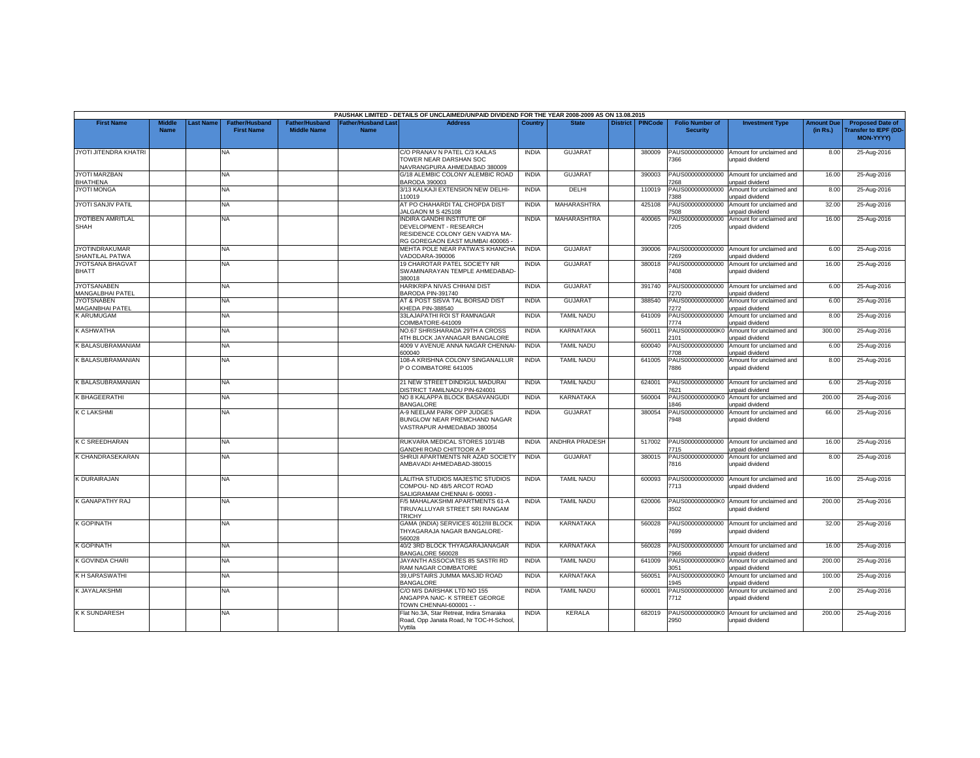|                                             |                              |           |                                            |                                             |                                           | PAUSHAK LIMITED - DETAILS OF UNCLAIMED/UNPAID DIVIDEND FOR THE YEAR 2008-2009 AS ON 13.08.2015                            |              |                       |                 |                |                                           |                                                              |                               |                                                                            |
|---------------------------------------------|------------------------------|-----------|--------------------------------------------|---------------------------------------------|-------------------------------------------|---------------------------------------------------------------------------------------------------------------------------|--------------|-----------------------|-----------------|----------------|-------------------------------------------|--------------------------------------------------------------|-------------------------------|----------------------------------------------------------------------------|
| <b>First Name</b>                           | <b>Middle</b><br><b>Name</b> | Last Name | <b>Father/Husband</b><br><b>First Name</b> | <b>Father/Husband</b><br><b>Middle Name</b> | <b>Father/Husband Last</b><br><b>Name</b> | <b>Address</b>                                                                                                            | Country      | <b>State</b>          | <b>District</b> | <b>PINCode</b> | <b>Folio Number of</b><br><b>Security</b> | <b>Investment Type</b>                                       | <b>Amount Due</b><br>(in Rs.) | <b>Proposed Date of</b><br><b>Transfer to IEPF (DD</b><br><b>MON-YYYYY</b> |
| JYOTI JITENDRA KHATRI                       |                              |           | NA                                         |                                             |                                           | C/O PRANAV N PATEL C/3 KAILAS<br>TOWER NEAR DARSHAN SOC<br><b>NAVRANGPURA AHMEDABAD 380009</b>                            | <b>INDIA</b> | <b>GUJARAT</b>        |                 | 380009         | PAUS000000000000<br>366                   | Amount for unclaimed and<br>unpaid dividend                  | 8.00                          | 25-Aug-2016                                                                |
| <b>JYOTI MARZBAN</b><br><b>BHATHENA</b>     |                              |           | NA                                         |                                             |                                           | G/18 ALEMBIC COLONY ALEMBIC ROAD<br>BARODA 390003                                                                         | <b>INDIA</b> | <b>GUJARAT</b>        |                 | 390003         | PAUS000000000000<br>268                   | Amount for unclaimed and<br>unpaid dividend                  | 16.00                         | 25-Aug-2016                                                                |
| <b>JYOTI MONGA</b>                          |                              |           | NA.                                        |                                             |                                           | 3/13 KALKAJI EXTENSION NEW DELHI-<br>110019                                                                               | <b>INDIA</b> | DELHI                 |                 | 110019         | PAUS000000000000<br>388                   | Amount for unclaimed and<br>unpaid dividend                  | 8.00                          | 25-Aug-2016                                                                |
| <b>JYOTI SANJIV PATIL</b>                   |                              |           | NA                                         |                                             |                                           | AT PO CHAHARDI TAL CHOPDA DIST<br><b>IALGAON M S 425108</b>                                                               | <b>INDIA</b> | <b>MAHARASHTRA</b>    |                 | 425108         | PAUS000000000000<br>508                   | Amount for unclaimed and<br>unpaid dividend                  | 32.00                         | 25-Aug-2016                                                                |
| JYOTIBEN AMRITLAL<br><b>SHAH</b>            |                              |           | <b>NA</b>                                  |                                             |                                           | INDIRA GANDHI INSTITUTE OF<br>DEVELOPMENT - RESEARCH<br>RESIDENCE COLONY GEN VAIDYA MA-<br>RG GOREGAON EAST MUMBAI 400065 | <b>INDIA</b> | MAHARASHTRA           |                 | 400065         | PAUS000000000000<br>7205                  | Amount for unclaimed and<br>unpaid dividend                  | 16.00                         | 25-Aug-2016                                                                |
| <b>JYOTINDRAKUMAR</b><br>SHANTILAL PATWA    |                              |           | NA                                         |                                             |                                           | MEHTA POLE NEAR PATWA'S KHANCHA<br>VADODARA-390006                                                                        | <b>INDIA</b> | <b>GUJARAT</b>        |                 | 390006         | PAUS000000000000<br>7269                  | Amount for unclaimed and<br>unpaid dividend                  | 6.00                          | 25-Aug-2016                                                                |
| JYOTSANA BHAGVAT<br><b>BHATT</b>            |                              |           | NA                                         |                                             |                                           | 19 CHAROTAR PATEL SOCIETY NR<br>SWAMINARAYAN TEMPLE AHMEDABAD-<br>80018                                                   | <b>INDIA</b> | <b>GUJARAT</b>        |                 | 380018         | PAUS000000000000<br>'408                  | Amount for unclaimed and<br>unpaid dividend                  | 16.00                         | 25-Aug-2016                                                                |
| <b>JYOTSANABEN</b><br>MANGALBHAI PATEL      |                              |           | NA                                         |                                             |                                           | HARIKRIPA NIVAS CHHANI DIST<br>BARODA PIN-391740                                                                          | <b>INDIA</b> | <b>GUJARAT</b>        |                 | 391740         | PAUS000000000000<br>'270                  | Amount for unclaimed and<br>unpaid dividend                  | 6.00                          | 25-Aug-2016                                                                |
| <b>JYOTSNABEN</b><br><b>MAGANBHAI PATEL</b> |                              |           | NA                                         |                                             |                                           | AT & POST SISVA TAL BORSAD DIST<br><b>KHEDA PIN-388540</b>                                                                | <b>INDIA</b> | <b>GUJARAT</b>        |                 | 388540         | PAUS000000000000<br>7272                  | Amount for unclaimed and<br>unpaid dividend                  | 6.00                          | 25-Aug-2016                                                                |
| K ARUMUGAM                                  |                              |           | NA                                         |                                             |                                           | 33LAJAPATHI ROI ST RAMNAGAR<br>COIMBATORE-641009                                                                          | <b>INDIA</b> | <b>TAMIL NADU</b>     |                 | 641009         | PAUS000000000000<br>774                   | Amount for unclaimed and<br>unpaid dividend                  | 8.00                          | 25-Aug-2016                                                                |
| K ASHWATHA                                  |                              |           | NA.                                        |                                             |                                           | NO.67 SHRISHARADA 29TH A CROSS<br>4TH BLOCK JAYANAGAR BANGALORE                                                           | <b>INDIA</b> | <b>KARNATAKA</b>      |                 | 560011         | PAUS0000000000K0<br>2101                  | Amount for unclaimed and<br>unpaid dividend                  | 300.00                        | 25-Aug-2016                                                                |
| K BALASUBRAMANIAM                           |                              |           | NA                                         |                                             |                                           | 4009 V AVENUE ANNA NAGAR CHENNAI-<br>600040                                                                               | <b>INDIA</b> | <b>TAMIL NADU</b>     |                 | 600040         | PAUS000000000000<br>7708                  | Amount for unclaimed and<br>unpaid dividend                  | 6.00                          | 25-Aug-2016                                                                |
| <b>K BALASUBRAMANIAN</b>                    |                              |           | NA.                                        |                                             |                                           | 108-A KRISHNA COLONY SINGANALLUR<br>P O COIMBATORE 641005                                                                 | <b>INDIA</b> | <b>TAMIL NADU</b>     |                 | 641005         | PAUS000000000000<br>7886                  | Amount for unclaimed and<br>unpaid dividend                  | 8.00                          | 25-Aug-2016                                                                |
| K BALASUBRAMANIAN                           |                              |           | NA                                         |                                             |                                           | 21 NEW STREET DINDIGUL MADURAI<br><b>ISTRICT TAMILNADU PIN-624001</b>                                                     | <b>INDIA</b> | <b>TAMIL NADU</b>     |                 | 624001         | PAUS000000000000<br>621                   | Amount for unclaimed and<br>unpaid dividend                  | 6.00                          | 25-Aug-2016                                                                |
| K BHAGEERATHI                               |                              |           | NA                                         |                                             |                                           | NO 8 KALAPPA BLOCK BASAVANGUDI<br><b>BANGALORE</b>                                                                        | <b>INDIA</b> | <b>KARNATAKA</b>      |                 | 560004         | PAUS0000000000K0<br>1846                  | Amount for unclaimed and<br>unpaid dividend                  | 200.00                        | 25-Aug-2016                                                                |
| K C LAKSHMI                                 |                              |           | NA.                                        |                                             |                                           | <b>A-9 NEELAM PARK OPP JUDGES</b><br>BUNGLOW NEAR PREMCHAND NAGAR<br>VASTRAPUR AHMEDABAD 380054                           | <b>INDIA</b> | <b>GUJARAT</b>        |                 | 380054         | PAUS000000000000<br>7948                  | Amount for unclaimed and<br>unpaid dividend                  | 66.00                         | 25-Aug-2016                                                                |
| K C SREEDHARAN                              |                              |           | NA                                         |                                             |                                           | RUKVARA MEDICAL STORES 10/1/4B<br>GANDHI ROAD CHITTOOR A P                                                                | <b>INDIA</b> | <b>ANDHRA PRADESH</b> |                 | 517002         | PAUS000000000000<br>7715                  | Amount for unclaimed and<br>unpaid dividend                  | 16.00                         | 25-Aug-2016                                                                |
| K CHANDRASEKARAN                            |                              |           | NA.                                        |                                             |                                           | SHRIJI APARTMENTS NR AZAD SOCIETY<br>AMBAVADI AHMEDABAD-380015                                                            | <b>INDIA</b> | GUJARAT               |                 | 380015         | PAUS000000000000<br>7816                  | Amount for unclaimed and<br>unpaid dividend                  | 8.00                          | 25-Aug-2016                                                                |
| <b>K DURAIRAJAN</b>                         |                              |           | NA                                         |                                             |                                           | LALITHA STUDIOS MAJESTIC STUDIOS<br>COMPOU- ND 48/5 ARCOT ROAD<br>SALIGRAMAM CHENNAI 6-00093 -                            | <b>INDIA</b> | <b>TAMIL NADU</b>     |                 | 600093         | PAUS000000000000<br>7713                  | Amount for unclaimed and<br><b>Inpaid dividend</b>           | 16.00                         | 25-Aug-2016                                                                |
| K GANAPATHY RAJ                             |                              |           | NA                                         |                                             |                                           | /5 MAHALAKSHMI APARTMENTS 61-A<br>TIRUVALLUYAR STREET SRI RANGAM<br><b>TRICHY</b>                                         | <b>INDIA</b> | <b>TAMIL NADU</b>     |                 | 620006         | PAUS0000000000K0<br>3502                  | Amount for unclaimed and<br>unpaid dividend                  | 200.00                        | 25-Aug-2016                                                                |
| <b>K GOPINATH</b>                           |                              |           | NA                                         |                                             |                                           | GAMA (INDIA) SERVICES 4012/III BLOCK<br>THYAGARAJA NAGAR BANGALORE-<br>560028                                             | <b>INDIA</b> | <b>KARNATAKA</b>      |                 | 560028         | PAUS000000000000<br>7699                  | Amount for unclaimed and<br>unpaid dividend                  | 32.00                         | 25-Aug-2016                                                                |
| <b>K GOPINATH</b>                           |                              |           | NA                                         |                                             |                                           | 40/2 3RD BLOCK THYAGARAJANAGAR<br>BANGALORE 560028                                                                        | <b>INDIA</b> | <b>KARNATAKA</b>      |                 | 560028         | 366'                                      | PAUS000000000000 Amount for unclaimed and<br>unpaid dividend | 16.00                         | 25-Aug-2016                                                                |
| <b>K GOVINDA CHARI</b>                      |                              |           | NA                                         |                                             |                                           | JAYANTH ASSOCIATES 85 SASTRI RD<br>RAM NAGAR COIMBATORE                                                                   | <b>INDIA</b> | <b>TAMIL NADU</b>     |                 | 641009         | PAUS0000000000K0<br>3051                  | Amount for unclaimed and<br>unpaid dividend                  | 200.00                        | 25-Aug-2016                                                                |
| <b>KH SARASWATHI</b>                        |                              |           | <b>NA</b>                                  |                                             |                                           | 39,UPSTAIRS JUMMA MASJID ROAD<br><b>BANGALORE</b>                                                                         | <b>INDIA</b> | KARNATAKA             |                 | 560051         | PAUS0000000000K<br>1945                   | Amount for unclaimed and<br>unpaid dividend                  | 100.00                        | 25-Aug-2016                                                                |
| <b>K JAYALAKSHMI</b>                        |                              |           | <b>NA</b>                                  |                                             |                                           | C/O M/S DARSHAK LTD NO 155<br>ANGAPPA NAIC- K STREET GEORGE<br><b>TOWN CHENNAI-600001 - -</b>                             | <b>INDIA</b> | <b>TAMIL NADU</b>     |                 | 600001         | PAUS000000000000<br>7712                  | Amount for unclaimed and<br>inpaid dividend                  | 2.00                          | 25-Aug-2016                                                                |
| <b>KK SUNDARESH</b>                         |                              |           | NA                                         |                                             |                                           | Flat No.3A, Star Retreat, Indira Smaraka<br>Road, Opp Janata Road, Nr TOC-H-School,<br>Vvttila                            | <b>INDIA</b> | <b>KERALA</b>         |                 | 682019         | PAUS0000000000K0<br>2950                  | Amount for unclaimed and<br>unpaid dividend                  | 200.00                        | 25-Aug-2016                                                                |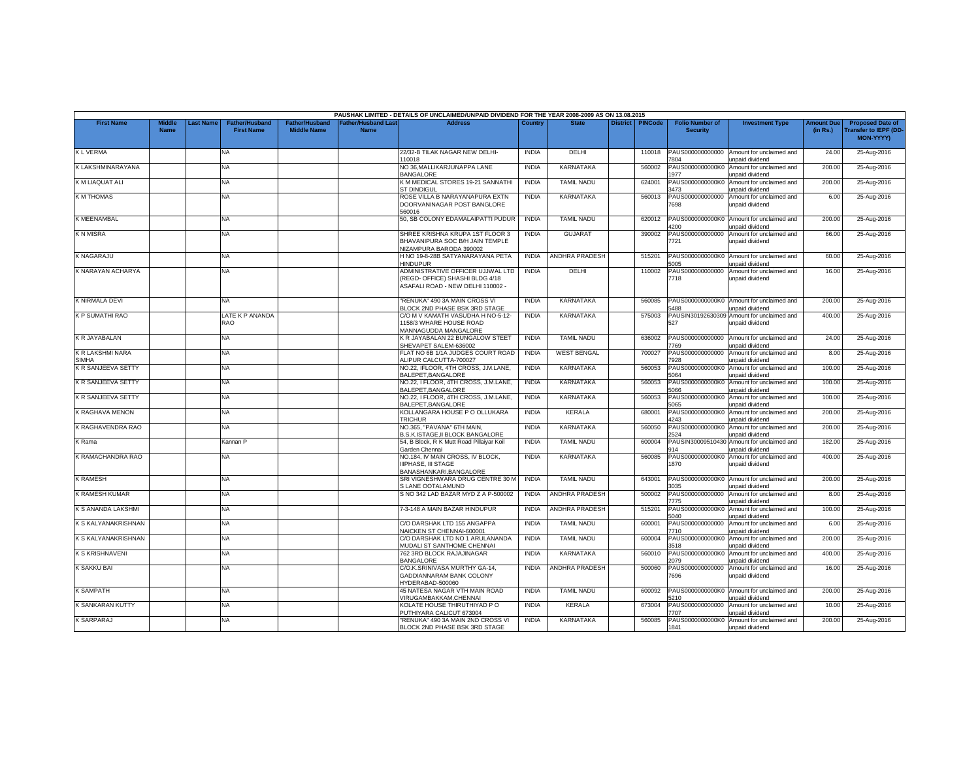|                                  |                              |           |                                            |                                             |                                    | PAUSHAK LIMITED - DETAILS OF UNCLAIMED/UNPAID DIVIDEND FOR THE YEAR 2008-2009 AS ON 13.08.2015            |              |                       |                  |                                           |                                                               |                               |                                                                     |
|----------------------------------|------------------------------|-----------|--------------------------------------------|---------------------------------------------|------------------------------------|-----------------------------------------------------------------------------------------------------------|--------------|-----------------------|------------------|-------------------------------------------|---------------------------------------------------------------|-------------------------------|---------------------------------------------------------------------|
| <b>First Name</b>                | <b>Middle</b><br><b>Name</b> | Last Name | <b>Father/Husband</b><br><b>First Name</b> | <b>Father/Husband</b><br><b>Middle Name</b> | Father/Husband Last<br><b>Name</b> | <b>Address</b>                                                                                            | Country      | <b>State</b>          | District PINCode | <b>Folio Number of</b><br><b>Security</b> | <b>Investment Type</b>                                        | <b>Amount Due</b><br>(in Rs.) | <b>Proposed Date of</b><br><b>Transfer to IEPF (DD</b><br>MON-YYYY) |
| <b>KLVERMA</b>                   |                              |           | NA.                                        |                                             |                                    | 22/32-B TILAK NAGAR NEW DELHI-<br>10018                                                                   | <b>INDIA</b> | DELHI                 | 110018           | PAUS000000000000<br>7804                  | Amount for unclaimed and<br>unpaid dividend                   | 24.00                         | 25-Aug-2016                                                         |
| K LAKSHMINARAYANA                |                              |           | NA                                         |                                             |                                    | NO 36, MALLIKARJUNAPPA LANE<br><b>BANGALORE</b>                                                           | <b>INDIA</b> | KARNATAKA             | 560002           | PAUS0000000000K0<br>977                   | Amount for unclaimed and<br><b>Inpaid dividend</b>            | 200.00                        | 25-Aug-2016                                                         |
| K M LIAQUAT ALI                  |                              |           | NA.                                        |                                             |                                    | K M MEDICAL STORES 19-21 SANNATHI<br><b>ST DINDIGUL</b>                                                   | <b>INDIA</b> | <b>TAMIL NADU</b>     | 624001           | PAUS0000000000K0<br>1473                  | Amount for unclaimed and<br>unpaid dividend                   | 200.00                        | 25-Aug-2016                                                         |
| <b>K M THOMAS</b>                |                              |           | NA                                         |                                             |                                    | ROSE VILLA B NARAYANAPURA EXTN<br>DOORVANINAGAR POST BANGLORE<br>560016                                   | <b>INDIA</b> | KARNATAKA             | 560013           | PAUS000000000000<br>7698                  | Amount for unclaimed and<br>unpaid dividend                   | 6.00                          | 25-Aug-2016                                                         |
| K MEENAMBAL                      |                              |           | NA                                         |                                             |                                    | 50, SB COLONY EDAMALAIPATTI PUDUR                                                                         | <b>INDIA</b> | <b>TAMIL NADU</b>     | 620012           | PAUS0000000000K0<br>1200                  | Amount for unclaimed and<br>unpaid dividend                   | 200.00                        | 25-Aug-2016                                                         |
| K N MISRA                        |                              |           | NA                                         |                                             |                                    | SHREE KRISHNA KRUPA 1ST FLOOR 3<br>BHAVANIPURA SOC B/H JAIN TEMPLE<br>NIZAMPURA BARODA 390002             | <b>INDIA</b> | <b>GUJARAT</b>        | 390002           | PAUS000000000000<br>7721                  | Amount for unclaimed and<br>unpaid dividend                   | 66.00                         | 25-Aug-2016                                                         |
| K NAGARAJU                       |                              |           | NA                                         |                                             |                                    | H NO 19-8-28B SATYANARAYANA PETA<br><b>HINDUPUR</b>                                                       | <b>INDIA</b> | ANDHRA PRADESH        | 515201           | PAUS0000000000K0<br>5005                  | Amount for unclaimed and<br>unpaid dividend                   | 60.00                         | 25-Aug-2016                                                         |
| K NARAYAN ACHARYA                |                              |           | NA                                         |                                             |                                    | ADMINISTRATIVE OFFICER UJJWAL LTD<br>(REGD- OFFICE) SHASHI BLDG 4/18<br>ASAFALI ROAD - NEW DELHI 110002 - | <b>INDIA</b> | DELHI                 | 110002           | PAUS000000000000<br>7718                  | Amount for unclaimed and<br>unpaid dividend                   | 16.00                         | 25-Aug-2016                                                         |
| K NIRMALA DEVI                   |                              |           | NA                                         |                                             |                                    | 'RENUKA" 490 3A MAIN CROSS VI<br><b>ILOCK 2ND PHASE BSK 3RD STAGE</b>                                     | <b>INDIA</b> | <b>KARNATAKA</b>      | 560085           | PAUS0000000000K0<br>5488                  | Amount for unclaimed and<br>unpaid dividend                   | 200.00                        | 25-Aug-2016                                                         |
| <b>K P SUMATHI RAO</b>           |                              |           | LATE K P ANANDA<br>RAO                     |                                             |                                    | C/O M V KAMATH VASUDHA H NO-5-12-<br>1158/3 WHARE HOUSE ROAD<br>MANNAGUDDA MANGALORE                      | <b>INDIA</b> | <b>KARNATAKA</b>      | 575003           | 527                                       | PAUSIN30192630309 Amount for unclaimed and<br>unpaid dividend | 400.00                        | 25-Aug-2016                                                         |
| <b>K R JAYABALAN</b>             |                              |           | NA.                                        |                                             |                                    | K R JAYABALAN 22 BUNGALOW STEET<br>SHEVAPET SALEM-636002                                                  | <b>INDIA</b> | <b>TAMIL NADU</b>     | 636002           | PAUS000000000000<br>7769                  | Amount for unclaimed and<br><b>Inpaid dividend</b>            | 24.00                         | 25-Aug-2016                                                         |
| K R LAKSHMI NARA<br><b>SIMHA</b> |                              |           | NA                                         |                                             |                                    | FLAT NO 6B 1/1A JUDGES COURT ROAD<br>ALIPUR CALCUTTA-700027                                               | <b>INDIA</b> | <b>WEST BENGAL</b>    | 700027           | PAUS000000000000<br>7928                  | Amount for unclaimed and<br>unpaid dividend                   | 8.00                          | 25-Aug-2016                                                         |
| <b>K R SANJEEVA SETTY</b>        |                              |           | NA                                         |                                             |                                    | NO.22, IFLOOR, 4TH CROSS, J.M.LANE,<br>BALEPET, BANGALORE                                                 | <b>INDIA</b> | KARNATAKA             | 560053           | PAUS0000000000K0<br>5064                  | Amount for unclaimed and<br>unpaid dividend                   | 100.00                        | 25-Aug-2016                                                         |
| K R SANJEEVA SETTY               |                              |           | NA                                         |                                             |                                    | NO.22, I FLOOR, 4TH CROSS, J.M.LANE,<br>BALEPET, BANGALORE                                                | <b>INDIA</b> | KARNATAKA             | 560053           | PAUS0000000000K0<br>5066                  | Amount for unclaimed and<br>unpaid dividend                   | 100.00                        | 25-Aug-2016                                                         |
| K R SANJEEVA SETTY               |                              |           | NA                                         |                                             |                                    | NO.22, I FLOOR, 4TH CROSS, J.M.LANE,<br>BALEPET.BANGALORE                                                 | <b>INDIA</b> | KARNATAKA             | 560053           | PAUS0000000000K0<br>5065                  | Amount for unclaimed and<br>unpaid dividend                   | 100.00                        | 25-Aug-2016                                                         |
| K RAGHAVA MENON                  |                              |           | ΝA                                         |                                             |                                    | KOLLANGARA HOUSE P O OLLUKARA<br><b>TRICHUR</b>                                                           | <b>INDIA</b> | KERALA                | 680001           | PAUS0000000000K0<br>4243                  | Amount for unclaimed and<br>unpaid dividend                   | 200.00                        | 25-Aug-2016                                                         |
| K RAGHAVENDRA RAO                |                              |           | NA.                                        |                                             |                                    | NO.365. "PAVANA" 6TH MAIN.<br>3.S.K.ISTAGE, II BLOCK BANGALORE                                            | <b>INDIA</b> | <b>KARNATAKA</b>      | 560050           | PAUS0000000000K0<br>2524                  | Amount for unclaimed and<br>unpaid dividend                   | 200.00                        | 25-Aug-2016                                                         |
| K Rama                           |                              |           | Kannan P                                   |                                             |                                    | 54, B Block, R K Mutt Road Pillaiyar Koil<br>Garden Chennai                                               | <b>INDIA</b> | <b>TAMIL NADU</b>     | 600004           | PAUSIN30009510430<br>914                  | Amount for unclaimed and<br>unpaid dividend                   | 182.00                        | 25-Aug-2016                                                         |
| K RAMACHANDRA RAO                |                              |           | NA.                                        |                                             |                                    | NO.184, IV MAIN CROSS, IV BLOCK,<br>IIIPHASE, III STAGE<br>BANASHANKARI, BANGALORE                        | <b>INDIA</b> | KARNATAKA             | 560085           | PAUS0000000000K0<br>1870                  | Amount for unclaimed and<br>unpaid dividend                   | 400.00                        | 25-Aug-2016                                                         |
| <b>K RAMESH</b>                  |                              |           | NA                                         |                                             |                                    | SRI VIGNESHWARA DRUG CENTRE 30 M<br>S LANE OOTALAMUND                                                     | <b>INDIA</b> | <b>TAMIL NADU</b>     | 643001           | PAUS0000000000K0<br>3035                  | Amount for unclaimed and<br>unpaid dividend                   | 200.00                        | 25-Aug-2016                                                         |
| K RAMESH KUMAR                   |                              |           | NA                                         |                                             |                                    | S NO 342 LAD BAZAR MYD Z A P-500002                                                                       | <b>INDIA</b> | ANDHRA PRADESH        | 500002           | PAUS000000000000<br>775                   | Amount for unclaimed and<br>Inpaid dividend                   | 8.00                          | 25-Aug-2016                                                         |
| K S ANANDA LAKSHMI               |                              |           | NA.                                        |                                             |                                    | 7-3-148 A MAIN BAZAR HINDUPUR                                                                             | <b>INDIA</b> | <b>ANDHRA PRADESH</b> | 515201           | PAUS0000000000K0<br>5040                  | Amount for unclaimed and<br>unpaid dividend                   | 100.00                        | 25-Aug-2016                                                         |
| K S KALYANAKRISHNAN              |                              |           | NA                                         |                                             |                                    | C/O DARSHAK LTD 155 ANGAPPA<br>VAICKEN ST CHENNAI-600001                                                  | <b>INDIA</b> | <b>TAMIL NADU</b>     | 600001           | PAUS000000000000<br>7710                  | Amount for unclaimed and<br>unpaid dividend                   | 6.00                          | 25-Aug-2016                                                         |
| K S KALYANAKRISHNAN              |                              |           | <b>NA</b>                                  |                                             |                                    | C/O DARSHAK LTD NO 1 ARULANANDA<br><b>MUDALI ST SANTHOME CHENNAI</b>                                      | <b>INDIA</b> | <b>TAMIL NADU</b>     | 600004           | PAUS0000000000K0<br>3518                  | Amount for unclaimed and<br>unpaid dividend                   | 200.00                        | 25-Aug-2016                                                         |
| <b>K S KRISHNAVENI</b>           |                              |           | NA                                         |                                             |                                    | 762 3RD BLOCK RAJAJINAGAR<br>BANGALORE                                                                    | <b>INDIA</b> | KARNATAKA             | 560010           | PAUS0000000000K0<br>2079                  | Amount for unclaimed and<br>unpaid dividend                   | 400.00                        | 25-Aug-2016                                                         |
| K SAKKU BAI                      |                              |           | NA                                         |                                             |                                    | C/O.K.SRINIVASA MURTHY GA-14,<br>GADDIANNARAM BANK COLONY<br>HYDERABAD-500060                             | <b>INDIA</b> | ANDHRA PRADESH        | 500060           | PAUS000000000000<br>7696                  | Amount for unclaimed and<br>unpaid dividend                   | 16.00                         | 25-Aug-2016                                                         |
| <b>K SAMPATH</b>                 |                              |           | <b>NA</b>                                  |                                             |                                    | 45 NATESA NAGAR VTH MAIN ROAD<br>/IRUGAMBAKKAM.CHENNAI                                                    | <b>INDIA</b> | <b>TAMIL NADU</b>     | 600092           | PAUS0000000000K0<br>5210                  | Amount for unclaimed and<br>unpaid dividend                   | 200.00                        | 25-Aug-2016                                                         |
| <b>K SANKARAN KUTTY</b>          |                              |           | NA                                         |                                             |                                    | KOLATE HOUSE THIRUTHIYAD P O<br><b>PUTHIYARA CALICUT 673004</b>                                           | <b>INDIA</b> | KERALA                | 673004           | PAUS000000000000<br>707                   | Amount for unclaimed and<br>Inpaid dividend                   | 10.00                         | 25-Aug-2016                                                         |
| <b>K SARPARAJ</b>                |                              |           | NA                                         |                                             |                                    | "RENUKA" 490 3A MAIN 2ND CROSS VI<br>BLOCK 2ND PHASE BSK 3RD STAGE                                        | <b>INDIA</b> | <b>KARNATAKA</b>      | 560085           | PAUS0000000000K0<br>1841                  | Amount for unclaimed and<br>unpaid dividend                   | 200.00                        | 25-Aug-2016                                                         |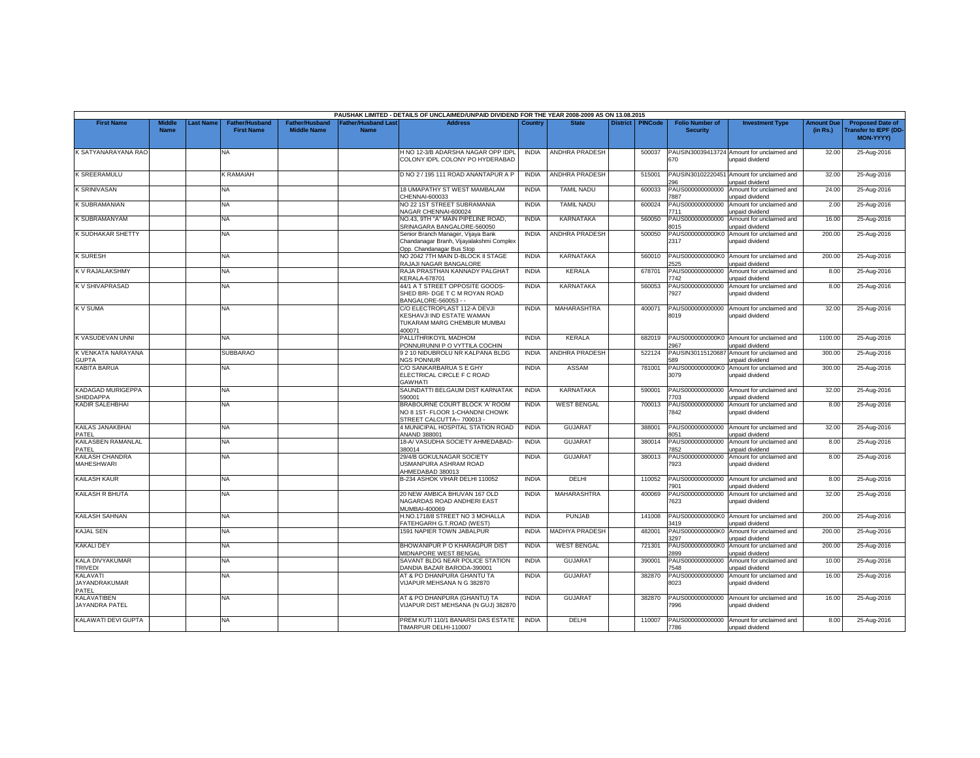|                                              |                             |                 |                                            |                                             |                                           | PAUSHAK LIMITED - DETAILS OF UNCLAIMED/UNPAID DIVIDEND FOR THE YEAR 2008-2009 AS ON 13.08.2015              |              |                       |                 |                |                                           |                                                              |                               |                                                                            |
|----------------------------------------------|-----------------------------|-----------------|--------------------------------------------|---------------------------------------------|-------------------------------------------|-------------------------------------------------------------------------------------------------------------|--------------|-----------------------|-----------------|----------------|-------------------------------------------|--------------------------------------------------------------|-------------------------------|----------------------------------------------------------------------------|
| <b>First Name</b>                            | <b>Middl</b><br><b>Name</b> | <b>ast Name</b> | <b>Father/Husband</b><br><b>First Name</b> | <b>Father/Husband</b><br><b>Middle Name</b> | <b>Father/Husband Last</b><br><b>Name</b> | <b>Address</b>                                                                                              | Country      | <b>State</b>          | <b>District</b> | <b>PINCode</b> | <b>Folio Number of</b><br><b>Security</b> | <b>Investment Type</b>                                       | <b>Amount Due</b><br>(in Rs.) | <b>Proposed Date of</b><br><b>Transfer to IEPF (DD</b><br><b>MON-YYYYY</b> |
| K SATYANARAYANA RAC                          |                             |                 | NA                                         |                                             |                                           | H NO 12-3/B ADARSHA NAGAR OPP IDPL<br>COLONY IDPL COLONY PO HYDERABAD                                       | <b>INDIA</b> | ANDHRA PRADESH        |                 | 500037         | PAUSIN30039413724<br>670                  | Amount for unclaimed and<br>unpaid dividend                  | 32.00                         | 25-Aug-2016                                                                |
| <b>K SREERAMULU</b>                          |                             |                 | K RAMAIAH                                  |                                             |                                           | D NO 2 / 195 111 ROAD ANANTAPUR A P                                                                         | <b>INDIA</b> | <b>ANDHRA PRADESH</b> |                 | 515001         | PAUSIN30102220451<br>296                  | Amount for unclaimed and<br>unpaid dividend                  | 32.00                         | 25-Aug-2016                                                                |
| <b>K SRINIVASAN</b>                          |                             |                 | <b>NA</b>                                  |                                             |                                           | 18 UMAPATHY ST WEST MAMBALAM<br>CHENNAI-600033                                                              | <b>INDIA</b> | <b>TAMIL NADU</b>     |                 | 600033         | PAUS000000000000<br>7887                  | Amount for unclaimed and<br>unpaid dividend                  | 24.00                         | 25-Aug-2016                                                                |
| K SUBRAMANIAN                                |                             |                 | NA                                         |                                             |                                           | NO 22 1ST STREET SUBRAMANIA<br>NAGAR CHENNAI-600024                                                         | <b>INDIA</b> | <b>TAMIL NADU</b>     |                 | 600024         | PAUS000000000000<br>7711                  | Amount for unclaimed and<br>unpaid dividend                  | 2.00                          | 25-Aug-2016                                                                |
| K SUBRAMANYAM                                |                             |                 | <b>NA</b>                                  |                                             |                                           | NO.43, 9TH "A" MAIN PIPELINE ROAD,<br>SRINAGARA BANGALORE-560050                                            | <b>INDIA</b> | KARNATAKA             |                 | 560050         | PAUS000000000000<br>8015                  | Amount for unclaimed and<br><b>inpaid dividend</b>           | 16.00                         | 25-Aug-2016                                                                |
| K SUDHAKAR SHETTY                            |                             |                 | NA                                         |                                             |                                           | Senior Branch Manager, Vijaya Bank<br>Chandanagar Branh, Vijayalakshmi Complex<br>Opp. Chandanagar Bus Stop | <b>INDIA</b> | ANDHRA PRADESH        |                 | 500050         | PAUS0000000000K0<br>2317                  | Amount for unclaimed and<br>unpaid dividend                  | 200.00                        | 25-Aug-2016                                                                |
| <b>K SURESH</b>                              |                             |                 | NA                                         |                                             |                                           | NO 2042 7TH MAIN D-BLOCK II STAGE<br>RAJAJI NAGAR BANGALORE                                                 | <b>INDIA</b> | <b>KARNATAKA</b>      |                 | 560010         | PAUS0000000000K0<br>2525                  | Amount for unclaimed and<br>unpaid dividend                  | 200.00                        | 25-Aug-2016                                                                |
| <b>K V RAJALAKSHMY</b>                       |                             |                 | NA.                                        |                                             |                                           | RAJA PRASTHAN KANNADY PALGHAT<br><b>KERALA-678701</b>                                                       | <b>INDIA</b> | <b>KERALA</b>         |                 | 678701         | PAUS000000000000<br>7742                  | Amount for unclaimed and<br><b>Inpaid dividend</b>           | 8.00                          | 25-Aug-2016                                                                |
| K V SHIVAPRASAD                              |                             |                 | NA                                         |                                             |                                           | 44/1 A T STREET OPPOSITE GOODS-<br>SHED BRI- DGE T C M ROYAN ROAD<br>BANGALORE-560053 - -                   | <b>INDIA</b> | <b>KARNATAKA</b>      |                 | 560053         | PAUS000000000000<br>7927                  | Amount for unclaimed and<br>unpaid dividend                  | 8.00                          | 25-Aug-2016                                                                |
| K V SUMA                                     |                             |                 | NA                                         |                                             |                                           | C/O ELECTROPLAST 112-A DEVJI<br>KESHAVJI IND ESTATE WAMAN<br>TUKARAM MARG CHEMBUR MUMBAI<br>400071          | <b>INDIA</b> | <b>MAHARASHTRA</b>    |                 | 400071         | PAUS000000000000<br>8019                  | Amount for unclaimed and<br>unpaid dividend                  | 32.00                         | 25-Aug-2016                                                                |
| K VASUDEVAN UNNI                             |                             |                 | NA                                         |                                             |                                           | PALLITHRIKOYIL MADHOM<br>ONNURUNNI P O VYTTILA COCHIN                                                       | <b>INDIA</b> | <b>KERALA</b>         |                 | 682019         | 2967                                      | PAUS0000000000K0 Amount for unclaimed and<br>unpaid dividend | 1100.00                       | 25-Aug-2016                                                                |
| K VENKATA NARAYANA<br><b>GUPTA</b>           |                             |                 | <b>SUBBARAO</b>                            |                                             |                                           | 9 2 10 NIDUBROLU NR KALPANA BLDG<br><b>NGS PONNUR</b>                                                       | <b>INDIA</b> | <b>ANDHRA PRADESH</b> |                 | 522124         | PAUSIN30115120687<br>589                  | Amount for unclaimed and<br>unpaid dividend                  | 300.00                        | 25-Aug-2016                                                                |
| <b>KABITA BARUA</b>                          |                             |                 | NA                                         |                                             |                                           | C/O SANKARBARUA S E GHY<br>ELECTRICAL CIRCLE F C ROAD<br><b>GAWHATI</b>                                     | <b>INDIA</b> | <b>ASSAM</b>          |                 | 781001         | PAUS0000000000K0<br>3079                  | Amount for unclaimed and<br>unpaid dividend                  | 300.00                        | 25-Aug-2016                                                                |
| <b>KADAGAD MURIGEPPA</b><br><b>SHIDDAPPA</b> |                             |                 | NA.                                        |                                             |                                           | SAUNDATTI BELGAUM DIST KARNATAK<br>590001                                                                   | <b>INDIA</b> | <b>KARNATAKA</b>      |                 | 590001         | PAUS000000000000<br>703                   | Amount for unclaimed and<br>unpaid dividend                  | 32.00                         | 25-Aug-2016                                                                |
| <b>KADIR SALEHBHAI</b>                       |                             |                 | <b>NA</b>                                  |                                             |                                           | BRABOURNE COURT BLOCK 'A' ROOM<br>NO 8 1ST- FLOOR 1-CHANDNI CHOWK<br>STREET CALCUTTA-- 700013 -             | <b>INDIA</b> | <b>WEST BENGAL</b>    |                 | 700013         | PAUS000000000000<br>7842                  | Amount for unclaimed and<br>unpaid dividend                  | 8.00                          | 25-Aug-2016                                                                |
| KAILAS JANAKBHAI<br>PATEL                    |                             |                 | NA                                         |                                             |                                           | 4 MUNICIPAL HOSPITAL STATION ROAD<br>ANAND 388001                                                           | <b>INDIA</b> | <b>GUJARAT</b>        |                 | 388001         | PAUS000000000000<br>8051                  | Amount for unclaimed and<br><b>Inpaid dividend</b>           | 32.00                         | 25-Aug-2016                                                                |
| KAILASBEN RAMANLAL<br>PATEL                  |                             |                 | NA                                         |                                             |                                           | 18-A/VASUDHA SOCIETY AHMEDABAD-<br>380014                                                                   | <b>INDIA</b> | <b>GUJARAT</b>        |                 | 380014         | PAUS000000000000<br>7852                  | Amount for unclaimed and<br>unpaid dividend                  | 8.00                          | 25-Aug-2016                                                                |
| KAILASH CHANDRA<br><b>MAHESHWARI</b>         |                             |                 | NA.                                        |                                             |                                           | 29/4/B GOKULNAGAR SOCIETY<br><b>JSMANPURA ASHRAM ROAD</b><br>AHMEDABAD 380013                               | <b>INDIA</b> | GUJARAT               |                 | 380013         | PAUS000000000000<br>7923                  | Amount for unclaimed and<br>unpaid dividend                  | 8.00                          | 25-Aug-2016                                                                |
| <b>KAILASH KAUR</b>                          |                             |                 | NA                                         |                                             |                                           | B-234 ASHOK VIHAR DELHI 110052                                                                              | <b>INDIA</b> | <b>DELHI</b>          |                 | 110052         | PAUS000000000000<br>'901                  | Amount for unclaimed and<br><b>Inpaid dividend</b>           | 8.00                          | 25-Aug-2016                                                                |
| <b>KAILASH R BHUTA</b>                       |                             |                 | NA.                                        |                                             |                                           | 20 NEW AMBICA BHUVAN 167 OLD<br>NAGARDAS ROAD ANDHERI EAST<br>MUMBAI-400069                                 | <b>INDIA</b> | <b>MAHARASHTRA</b>    |                 | 400069         | PAUS000000000000<br>7623                  | Amount for unclaimed and<br>unpaid dividend                  | 32.00                         | 25-Aug-2016                                                                |
| <b>KAILASH SAHNAN</b>                        |                             |                 | NA                                         |                                             |                                           | H.NO.1718/8 STREET NO 3 MOHALLA<br>ATEHGARH G.T.ROAD (WEST)                                                 | <b>INDIA</b> | <b>PUNJAB</b>         |                 | 141008         | 3419                                      | PAUS0000000000K0 Amount for unclaimed and<br>unpaid dividend | 200.00                        | 25-Aug-2016                                                                |
| <b>KAJAL SEN</b>                             |                             |                 | NA.                                        |                                             |                                           | 1591 NAPIER TOWN JABALPUR                                                                                   | <b>INDIA</b> | <b>MADHYA PRADESH</b> |                 | 482001         | PAUS0000000000K0<br>1297                  | Amount for unclaimed and<br>unpaid dividend                  | 200.00                        | 25-Aug-2016                                                                |
| <b>KAKALI DEY</b>                            |                             |                 | NA.                                        |                                             |                                           | BHOWANIPUR P O KHARAGPUR DIST<br><b>MIDNAPORE WEST BENGAL</b>                                               | <b>INDIA</b> | <b>WEST BENGAL</b>    |                 | 721301         | PAUS0000000000K0<br>2899                  | Amount for unclaimed and<br>unpaid dividend                  | 200.00                        | 25-Aug-2016                                                                |
| KALA DIVYAKUMAR<br><b>TRIVEDI</b>            |                             |                 | NA                                         |                                             |                                           | SAVANT BLDG NEAR POLICE STATION<br>DANDIA BAZAR BARODA-390001                                               | <b>INDIA</b> | <b>GUJARAT</b>        |                 | 390001         | PAUS000000000000<br>7548                  | Amount for unclaimed and<br>unpaid dividend                  | 10.00                         | 25-Aug-2016                                                                |
| KALAVATI<br><b>JAYANDRAKUMAR</b><br>PATEL    |                             |                 | NA                                         |                                             |                                           | AT & PO DHANPURA GHANTU TA<br>VIJAPUR MEHSANA N G 382870                                                    | <b>INDIA</b> | <b>GUJARAT</b>        |                 | 382870         | PAUS000000000000<br>8023                  | Amount for unclaimed and<br>unpaid dividend                  | 16.00                         | 25-Aug-2016                                                                |
| KALAVATIBEN<br>JAYANDRA PATEL                |                             |                 | <b>NA</b>                                  |                                             |                                           | AT & PO DHANPURA (GHANTU) TA<br>VIJAPUR DIST MEHSANA (N GUJ) 382870                                         | <b>INDIA</b> | GUJARAT               |                 | 382870         | <b>1996</b>                               | PAUS000000000000 Amount for unclaimed and<br>unpaid dividend | 16.00                         | 25-Aug-2016                                                                |
| KALAWATI DEVI GUPTA                          |                             |                 | <b>NA</b>                                  |                                             |                                           | PREM KUTI 110/1 BANARSI DAS ESTATE<br>TIMARPUR DELHI-110007                                                 | <b>INDIA</b> | DELHI                 |                 | 110007         | 7786                                      | PAUS000000000000 Amount for unclaimed and<br>unpaid dividend | 8.00                          | 25-Aug-2016                                                                |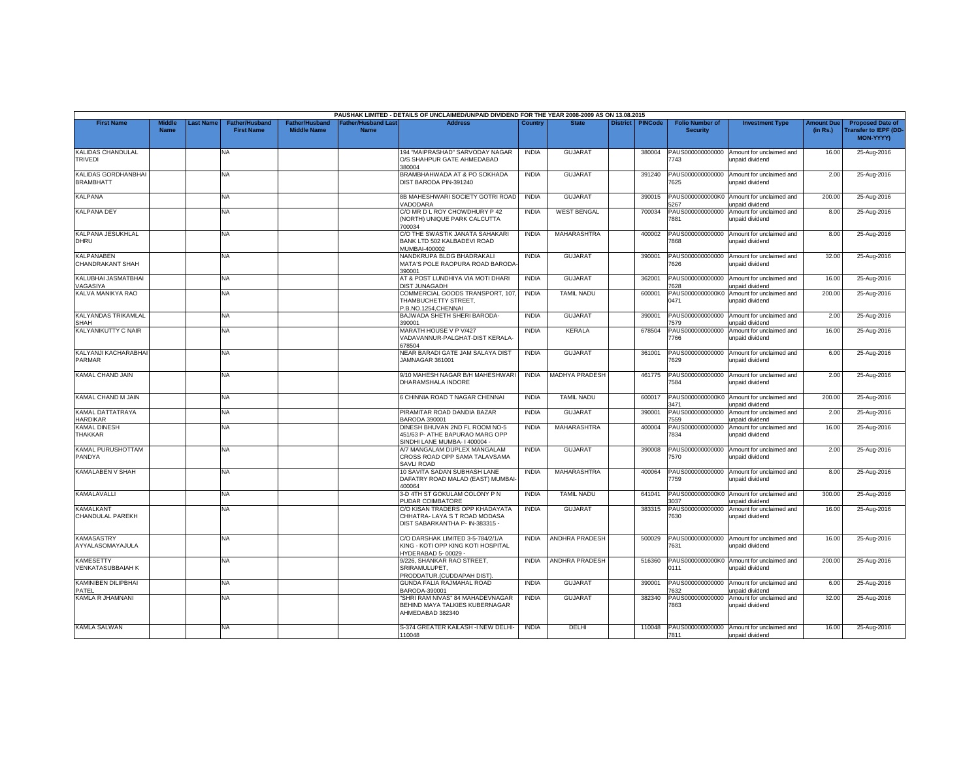|                                              |                              |           |                                            |                                             |                                          | PAUSHAK LIMITED - DETAILS OF UNCLAIMED/UNPAID DIVIDEND FOR THE YEAR 2008-2009 AS ON 13.08.2015     |              |                       |                 |                |                                           |                                                              |                               |                                                                      |
|----------------------------------------------|------------------------------|-----------|--------------------------------------------|---------------------------------------------|------------------------------------------|----------------------------------------------------------------------------------------------------|--------------|-----------------------|-----------------|----------------|-------------------------------------------|--------------------------------------------------------------|-------------------------------|----------------------------------------------------------------------|
| <b>First Name</b>                            | <b>Middle</b><br><b>Name</b> | Last Name | <b>Father/Husband</b><br><b>First Name</b> | <b>Father/Husband</b><br><b>Middle Name</b> | <b>Father/Husband Las</b><br><b>Name</b> | <b>Address</b>                                                                                     | Country      | <b>State</b>          | <b>District</b> | <b>PINCode</b> | <b>Folio Number of</b><br><b>Security</b> | <b>Investment Type</b>                                       | <b>Amount Due</b><br>(in Rs.) | <b>Proposed Date of</b><br><b>Transfer to IEPF (DD-</b><br>MON-YYYY) |
| <b>KALIDAS CHANDULAL</b><br><b>TRIVEDI</b>   |                              |           | NA                                         |                                             |                                          | 194 "MAIPRASHAD" SARVODAY NAGAR<br>O/S SHAHPUR GATE AHMEDABAD<br>380004                            | <b>INDIA</b> | <b>GUJARA1</b>        |                 | 380004         | 7743                                      | PAUS000000000000 Amount for unclaimed and<br>unpaid dividend | 16.00                         | 25-Aug-2016                                                          |
| KALIDAS GORDHANBHAI<br><b>BRAMBHATT</b>      |                              |           | <b>NA</b>                                  |                                             |                                          | BRAMBHAHWADA AT & PO SOKHADA<br>DIST BARODA PIN-391240                                             | <b>INDIA</b> | <b>GUJARAT</b>        |                 | 391240         | PAUS000000000000<br>'625                  | Amount for unclaimed and<br>unpaid dividend                  | 2.00                          | 25-Aug-2016                                                          |
| <b>KALPANA</b>                               |                              |           | NA.                                        |                                             |                                          | 8B MAHESHWARI SOCIETY GOTRI ROAD<br>VADODARA                                                       | <b>INDIA</b> | <b>GUJARAT</b>        |                 | 390015         | PAUS0000000000K0<br>267                   | Amount for unclaimed and<br>unpaid dividend                  | 200.00                        | 25-Aug-2016                                                          |
| <b>KALPANA DEY</b>                           |                              |           | NA                                         |                                             |                                          | C/O MR D L ROY CHOWDHURY P 42<br>(NORTH) UNIQUE PARK CALCUTTA<br>700034                            | <b>INDIA</b> | <b>WEST BENGAL</b>    |                 | 700034         | PAUS000000000000<br>7881                  | Amount for unclaimed and<br>unpaid dividend                  | 8.00                          | 25-Aug-2016                                                          |
| <b>KALPANA JESUKHLAL</b><br>DHRU             |                              |           | <b>NA</b>                                  |                                             |                                          | C/O THE SWASTIK JANATA SAHAKARI<br>BANK LTD 502 KALBADEVI ROAD<br>MUMBAI-400002                    | <b>INDIA</b> | <b>MAHARASHTRA</b>    |                 | 400002         | PAUS000000000000<br>7868                  | Amount for unclaimed and<br>unpaid dividend                  | 8.00                          | 25-Aug-2016                                                          |
| KALPANABEN<br>CHANDRAKANT SHAH               |                              |           | <b>NA</b>                                  |                                             |                                          | NANDKRUPA BLDG BHADRAKALI<br>MATA'S POLE RAOPURA ROAD BARODA<br>390001                             | <b>INDIA</b> | <b>GUJARAT</b>        |                 | 390001         | 626                                       | PAUS000000000000 Amount for unclaimed and<br>unpaid dividend | 32.00                         | 25-Aug-2016                                                          |
| KALUBHAI JASMATBHAI<br>/AGASIYA              |                              |           | NA                                         |                                             |                                          | AT & POST LUNDHIYA VIA MOTI DHARI<br><b>DIST JUNAGADH</b>                                          | <b>INDIA</b> | <b>GUJARAT</b>        |                 | 362001         | PAUS000000000000<br>7628                  | Amount for unclaimed and<br><b>Inpaid dividend</b>           | 16.00                         | 25-Aug-2016                                                          |
| KALVA MANIKYA RAO                            |                              |           | <b>NA</b>                                  |                                             |                                          | COMMERCIAL GOODS TRANSPORT, 107<br>THAMBUCHETTY STREET.<br>P.B.NO.1254,CHENNAI                     | <b>INDIA</b> | <b>TAMIL NADU</b>     |                 | 600001         | PAUS0000000000K0<br>0471                  | Amount for unclaimed and<br>unpaid dividend                  | 200.00                        | 25-Aug-2016                                                          |
| KALYANDAS TRIKAMLAL<br><b>SHAH</b>           |                              |           | NA                                         |                                             |                                          | BAJWADA SHETH SHERI BARODA-<br>390001                                                              | <b>INDIA</b> | <b>GUJARAT</b>        |                 | 390001         | PAUS000000000000<br>579                   | Amount for unclaimed and<br><b>Inpaid dividend</b>           | 2.00                          | 25-Aug-2016                                                          |
| <b>KALYANIKUTTY C NAIR</b>                   |                              |           | <b>NA</b>                                  |                                             |                                          | <b>MARATH HOUSE V P V/427</b><br>VADAVANNUR-PALGHAT-DIST KERALA<br>678504                          | <b>INDIA</b> | <b>KERALA</b>         |                 | 678504         | PAUS000000000000<br>7766                  | Amount for unclaimed and<br>unpaid dividend                  | 16.00                         | 25-Aug-2016                                                          |
| KALYANJI KACHARABHAI<br>PARMAR               |                              |           | <b>NA</b>                                  |                                             |                                          | NEAR BARADI GATE JAM SALAYA DIST<br>JAMNAGAR 361001                                                | <b>INDIA</b> | <b>GUJARAT</b>        |                 | 361001         | 7629                                      | PAUS000000000000 Amount for unclaimed and<br>unpaid dividend | 6.00                          | 25-Aug-2016                                                          |
| KAMAL CHAND JAIN                             |                              |           | NA.                                        |                                             |                                          | 9/10 MAHESH NAGAR B/H MAHESHWARI<br>DHARAMSHALA INDORE                                             | <b>INDIA</b> | <b>MADHYA PRADESH</b> |                 | 461775         | PAUS000000000000<br>7584                  | Amount for unclaimed and<br>unpaid dividend                  | 2.00                          | 25-Aug-2016                                                          |
| <b>KAMAL CHAND M JAIN</b>                    |                              |           | <b>NA</b>                                  |                                             |                                          | 6 CHINNIA ROAD T NAGAR CHENNAI                                                                     | <b>INDIA</b> | <b>TAMIL NADU</b>     |                 | 600017         | 3471                                      | PAUS0000000000K0 Amount for unclaimed and<br>unpaid dividend | 200.00                        | 25-Aug-2016                                                          |
| KAMAL DATTATRAYA<br>HARDIKAR                 |                              |           | NA                                         |                                             |                                          | PIRAMITAR ROAD DANDIA BAZAR<br>BARODA 390001                                                       | <b>INDIA</b> | <b>GUJARAT</b>        |                 | 390001         | PAUS000000000000<br>7559                  | Amount for unclaimed and<br>unpaid dividend                  | 2.00                          | 25-Aug-2016                                                          |
| <b>KAMAL DINESH</b><br><b>THAKKAR</b>        |                              |           | NA                                         |                                             |                                          | DINESH BHUVAN 2ND FL ROOM NO-5<br>451/63 P- ATHE BAPURAO MARG OPP<br>SINDHI LANE MUMBA- I 400004 - | <b>INDIA</b> | <b>MAHARASHTRA</b>    |                 | 400004         | PAUS000000000000<br>7834                  | Amount for unclaimed and<br>unpaid dividend                  | 16.00                         | 25-Aug-2016                                                          |
| KAMAL PURUSHOTTAM<br>PANDYA                  |                              |           | <b>NA</b>                                  |                                             |                                          | A/7 MANGALAM DUPLEX MANGALAM<br>CROSS ROAD OPP SAMA TALAVSAMA<br>SAVLI ROAD                        | <b>INDIA</b> | <b>GUJARAT</b>        |                 | 390008         | PAUS000000000000<br>7570                  | Amount for unclaimed and<br>unpaid dividend                  | 2.00                          | 25-Aug-2016                                                          |
| <b>KAMALABEN V SHAH</b>                      |                              |           | NA                                         |                                             |                                          | 10 SAVITA SADAN SUBHASH LANE<br>DAFATRY ROAD MALAD (EAST) MUMBAI<br>400064                         | <b>INDIA</b> | MAHARASHTRA           |                 | 400064         | PAUS000000000000<br>7759                  | Amount for unclaimed and<br>unpaid dividend                  | 8.00                          | 25-Aug-2016                                                          |
| KAMALAVALLI                                  |                              |           | <b>NA</b>                                  |                                             |                                          | 3-D 4TH ST GOKULAM COLONY P N<br>PUDAR COIMBATORE                                                  | <b>INDIA</b> | <b>TAMIL NADU</b>     |                 | 641041         | 3037                                      | PAUS0000000000K0 Amount for unclaimed and<br>unpaid dividend | 300.00                        | 25-Aug-2016                                                          |
| <b>KAMALKANT</b><br>CHANDULAL PAREKH         |                              |           | NA                                         |                                             |                                          | C/O KISAN TRADERS OPP KHADAYATA<br>CHHATRA-LAYA S T ROAD MODASA<br>DIST SABARKANTHA P- IN-383315 - | <b>INDIA</b> | <b>GUJARAT</b>        |                 | 383315         | PAUS000000000000<br>7630                  | Amount for unclaimed and<br>unpaid dividend                  | 16.00                         | 25-Aug-2016                                                          |
| <b>KAMASASTRY</b><br>AYYALASOMAYAJULA        |                              |           | <b>NA</b>                                  |                                             |                                          | C/O DARSHAK LIMITED 3-5-784/2/1/A<br>KING - KOTI OPP KING KOTI HOSPITAL<br>HYDERABAD 5-00029 -     | <b>INDIA</b> | <b>ANDHRA PRADESH</b> |                 | 500029         | 7631                                      | PAUS000000000000 Amount for unclaimed and<br>unpaid dividend | 16.00                         | 25-Aug-2016                                                          |
| <b>KAMESETTY</b><br><b>VENKATASUBBAIAH K</b> |                              |           | <b>NA</b>                                  |                                             |                                          | 9/226. SHANKAR RAO STREET.<br>SRIRAMULUPET,<br>PRODDATUR.(CUDDAPAH DIST)                           | <b>INDIA</b> | <b>ANDHRA PRADESH</b> |                 | 516360         | 0111                                      | PAUS0000000000K0 Amount for unclaimed and<br>unpaid dividend | 200.00                        | 25-Aug-2016                                                          |
| KAMINIBEN DILIPBHAI<br>PATEL                 |                              |           | NA                                         |                                             |                                          | GUNDA FALIA RAJMAHAL ROAD<br>BARODA-390001                                                         | <b>INDIA</b> | <b>GUJARAT</b>        |                 | 390001         | PAUS000000000000<br>7632                  | Amount for unclaimed and<br>unpaid dividend                  | 6.00                          | 25-Aug-2016                                                          |
| KAMLA R JHAMNANI                             |                              |           | <b>NA</b>                                  |                                             |                                          | 'SHRI RAM NIVAS" 84 MAHADEVNAGAR<br>BEHIND MAYA TALKIES KUBERNAGAR<br>AHMEDABAD 382340             | <b>INDIA</b> | <b>GUJARAT</b>        |                 | 382340         | 863                                       | PAUS000000000000 Amount for unclaimed and<br>unpaid dividend | 32.00                         | 25-Aug-2016                                                          |
| <b>KAMLA SALWAN</b>                          |                              |           | NA                                         |                                             |                                          | S-374 GREATER KAILASH -I NEW DELHI-<br>110048                                                      | <b>INDIA</b> | DELHI                 |                 | 110048         | 7811                                      | PAUS000000000000 Amount for unclaimed and<br>unpaid dividend | 16.00                         | 25-Aug-2016                                                          |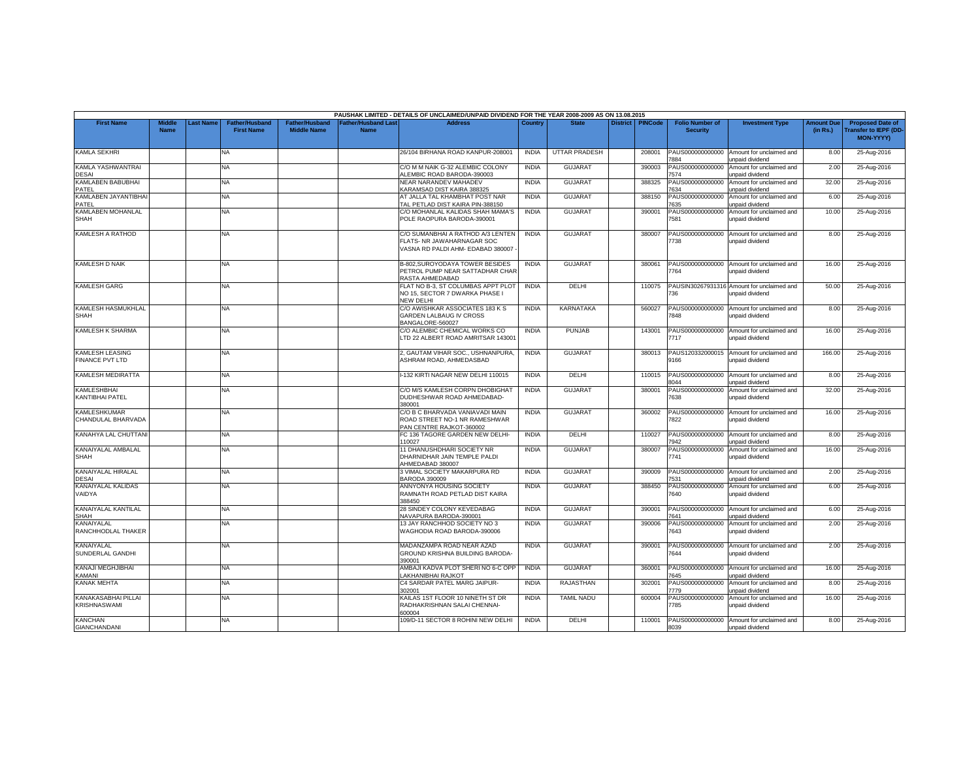|                                                  |                              |          |                                            |                                             |                                           | PAUSHAK LIMITED - DETAILS OF UNCLAIMED/UNPAID DIVIDEND FOR THE YEAR 2008-2009 AS ON 13.08.2015       |              |                      |                 |                |                                           |                                                               |                               |                                                                            |
|--------------------------------------------------|------------------------------|----------|--------------------------------------------|---------------------------------------------|-------------------------------------------|------------------------------------------------------------------------------------------------------|--------------|----------------------|-----------------|----------------|-------------------------------------------|---------------------------------------------------------------|-------------------------------|----------------------------------------------------------------------------|
| <b>First Name</b>                                | <b>Middle</b><br><b>Name</b> | ast Name | <b>Father/Husband</b><br><b>First Name</b> | <b>Father/Husband</b><br><b>Middle Name</b> | <b>Father/Husband Last</b><br><b>Name</b> | <b>Address</b>                                                                                       | Country      | <b>State</b>         | <b>District</b> | <b>PINCode</b> | <b>Folio Number of</b><br><b>Security</b> | <b>Investment Type</b>                                        | <b>Amount Due</b><br>(in Rs.) | <b>Proposed Date of</b><br><b>Transfer to IEPF (DD</b><br><b>MON-YYYY)</b> |
| <b>KAMLA SEKHRI</b>                              |                              |          | <b>NA</b>                                  |                                             |                                           | 26/104 BIRHANA ROAD KANPUR-208001                                                                    | <b>INDIA</b> | <b>UTTAR PRADESH</b> |                 | 208001         | PAUS000000000000<br>884                   | Amount for unclaimed and<br>unpaid dividend                   | 8.00                          | 25-Aug-2016                                                                |
| KAMLA YASHWANTRAI<br><b>DESAI</b>                |                              |          | <b>NA</b>                                  |                                             |                                           | C/O M M NAIK G-32 ALEMBIC COLONY<br>LEMBIC ROAD BARODA-390003                                        | <b>INDIA</b> | <b>GUJARAT</b>       |                 | 390003         | PAUS000000000000<br>574                   | Amount for unclaimed and<br>unpaid dividend                   | 2.00                          | 25-Aug-2016                                                                |
| KAMLABEN BABUBHAI<br>PATEL                       |                              |          | <b>NA</b>                                  |                                             |                                           | NEAR NARANDEV MAHADEV<br><b>KARAMSAD DIST KAIRA 388325</b>                                           | <b>INDIA</b> | <b>GUJARAT</b>       |                 | 388325         | PAUS000000000000<br>'634                  | Amount for unclaimed and<br>unpaid dividend                   | 32.00                         | 25-Aug-2016                                                                |
| KAMLABEN JAYANTIBHAI                             |                              |          | <b>NA</b>                                  |                                             |                                           | AT JALLA TAL KHAMBHAT POST NAR                                                                       | <b>INDIA</b> | <b>GUJARAT</b>       |                 | 388150         | PAUS000000000000                          | Amount for unclaimed and                                      | 6.00                          | 25-Aug-2016                                                                |
| PATEL<br>KAMLABEN MOHANLAL                       |                              |          | <b>NA</b>                                  |                                             |                                           | TAL PETLAD DIST KAIRA PIN-388150<br>C/O MOHANLAL KALIDAS SHAH MAMA'S                                 | <b>INDIA</b> | <b>GUJARAT</b>       |                 | 390001         | 635<br>PAUS000000000000                   | unpaid dividend<br>Amount for unclaimed and                   | 10.00                         | 25-Aug-2016                                                                |
| SHAH                                             |                              |          |                                            |                                             |                                           | POLE RAOPURA BARODA-390001                                                                           |              |                      |                 |                | 7581                                      | unpaid dividend                                               |                               |                                                                            |
| KAMLESH A RATHOD                                 |                              |          | NA                                         |                                             |                                           | C/O SUMANBHAI A RATHOD A/3 LENTEN<br>FLATS- NR JAWAHARNAGAR SOC<br>VASNA RD PALDI AHM- EDABAD 380007 | <b>INDIA</b> | <b>GUJARA1</b>       |                 | 380007         | PAUS000000000000<br>738                   | Amount for unclaimed and<br>unpaid dividend                   | 8.00                          | 25-Aug-2016                                                                |
| <b>KAMLESH D NAIK</b>                            |                              |          | <b>NA</b>                                  |                                             |                                           | B-802, SUROYODAYA TOWER BESIDES<br>PETROL PUMP NEAR SATTADHAR CHAR<br>RASTA AHMEDABAD                | <b>INDIA</b> | <b>GUJARAT</b>       |                 | 380061         | PAUS000000000000<br>764                   | Amount for unclaimed and<br>unpaid dividend                   | 16.00                         | 25-Aug-2016                                                                |
| <b>KAMLESH GARG</b>                              |                              |          | NA                                         |                                             |                                           | FLAT NO B-3, ST COLUMBAS APPT PLOT<br>NO 15, SECTOR 7 DWARKA PHASE I<br>NEW DELHI                    | <b>INDIA</b> | DELHI                |                 | 110075         | '36                                       | PAUSIN30267931316 Amount for unclaimed and<br>unpaid dividend | 50.00                         | 25-Aug-2016                                                                |
| KAMLESH HASMUKHLAL<br>SHAH                       |                              |          | NA.                                        |                                             |                                           | C/O AWISHKAR ASSOCIATES 183 K S<br><b>GARDEN LALBAUG IV CROSS</b><br>BANGALORE-560027                | <b>INDIA</b> | <b>KARNATAKA</b>     |                 | 560027         | PAUS000000000000<br>7848                  | Amount for unclaimed and<br>unpaid dividend                   | 8.00                          | 25-Aug-2016                                                                |
| KAMLESH K SHARMA                                 |                              |          | <b>NA</b>                                  |                                             |                                           | C/O ALEMBIC CHEMICAL WORKS CO<br>LTD 22 ALBERT ROAD AMRITSAR 143001                                  | <b>INDIA</b> | <b>PUNJAB</b>        |                 | 143001         | PAUS000000000000<br>7717                  | Amount for unclaimed and<br>unpaid dividend                   | 16.00                         | 25-Aug-2016                                                                |
| <b>KAMLESH LEASING</b><br><b>FINANCE PVT LTD</b> |                              |          | NA                                         |                                             |                                           | 2, GAUTAM VIHAR SOC., USHNANPURA,<br>ASHRAM ROAD, AHMEDASBAD                                         | <b>INDIA</b> | <b>GUJARAT</b>       |                 | 380013         | PAUS120332000015<br>9166                  | Amount for unclaimed and<br>unpaid dividend                   | 166.00                        | 25-Aug-2016                                                                |
| KAMLESH MEDIRATTA                                |                              |          | <b>NA</b>                                  |                                             |                                           | I-132 KIRTI NAGAR NEW DELHI 110015                                                                   | <b>INDIA</b> | DELHI                |                 | 110015         | PAUS000000000000<br>1044                  | Amount for unclaimed and<br>unpaid dividend                   | 8.00                          | 25-Aug-2016                                                                |
| KAMLESHBHAI<br>KANTIBHAI PATEL                   |                              |          | NA                                         |                                             |                                           | C/O M/S KAMLESH CORPN DHOBIGHAT<br>DUDHESHWAR ROAD AHMEDABAD-<br>380001                              | <b>INDIA</b> | <b>GUJARAT</b>       |                 | 380001         | PAUS000000000000<br>7638                  | Amount for unclaimed and<br>unpaid dividend                   | 32.00                         | 25-Aug-2016                                                                |
| <b>KAMLESHKUMAR</b><br>CHANDULAL BHARVADA        |                              |          | NA.                                        |                                             |                                           | C/O B C BHARVADA VANIAVADI MAIN<br>ROAD STREET NO-1 NR RAMESHWAR<br>PAN CENTRE RAJKOT-360002         | <b>INDIA</b> | <b>GUJARAT</b>       |                 | 360002         | PAUS000000000000<br>7822                  | Amount for unclaimed and<br>unpaid dividend                   | 16.00                         | 25-Aug-2016                                                                |
| KANAHYA LAL CHUTTANI                             |                              |          | <b>NA</b>                                  |                                             |                                           | FC 136 TAGORE GARDEN NEW DELHI-<br>10027                                                             | <b>INDIA</b> | DELHI                |                 | 110027         | PAUS000000000000<br>7942                  | Amount for unclaimed and<br>unpaid dividend                   | 8.00                          | 25-Aug-2016                                                                |
| KANAIYALAL AMBALAL<br>SHAH                       |                              |          | NA                                         |                                             |                                           | 11 DHANUSHDHARI SOCIETY NR<br>DHARNIDHAR JAIN TEMPLE PALDI<br>AHMEDABAD 380007                       | <b>INDIA</b> | <b>GUJARA1</b>       |                 | 380007         | PAUS000000000000<br>7741                  | Amount for unclaimed and<br>unpaid dividend                   | 16.00                         | 25-Aug-2016                                                                |
| KANAIYALAL HIRALAL<br>DESAI                      |                              |          | NA                                         |                                             |                                           | 3 VIMAL SOCIETY MAKARPURA RD<br>BARODA 390009                                                        | <b>INDIA</b> | <b>GUJARAT</b>       |                 | 390009         | PAUS000000000000<br>531                   | Amount for unclaimed and<br>unpaid dividend                   | 2.00                          | 25-Aug-2016                                                                |
| KANAIYALAL KALIDAS<br>VAIDYA                     |                              |          | <b>NA</b>                                  |                                             |                                           | ANNYONYA HOUSING SOCIETY<br>RAMNATH ROAD PETLAD DIST KAIRA<br>388450                                 | <b>INDIA</b> | <b>GUJARAT</b>       |                 | 388450         | PAUS000000000000<br>7640                  | Amount for unclaimed and<br>unpaid dividend                   | 6.00                          | 25-Aug-2016                                                                |
| KANAIYALAL KANTILAL<br>SHAH                      |                              |          | <b>NA</b>                                  |                                             |                                           | 28 SINDEY COLONY KEVEDABAG<br>VAVAPURA BARODA-390001                                                 | <b>INDIA</b> | GUJARAT              |                 | 390001         | PAUS000000000000<br>7641                  | Amount for unclaimed and<br>unpaid dividend                   | 6.00                          | 25-Aug-2016                                                                |
| KANAIYALAL<br>RANCHHODLAL THAKER                 |                              |          | NA                                         |                                             |                                           | 13 JAY RANCHHOD SOCIETY NO 3<br>WAGHODIA ROAD BARODA-390006                                          | <b>INDIA</b> | <b>GUJARAT</b>       |                 | 390006         | PAUS000000000000<br>7643                  | Amount for unclaimed and<br>unpaid dividend                   | 2.00                          | 25-Aug-2016                                                                |
| KANAIYALAL<br>SUNDERLAL GANDHI                   |                              |          | NA                                         |                                             |                                           | MADANZAMPA ROAD NEAR AZAD<br>GROUND KRISHNA BUILDING BARODA-<br>390001                               | <b>INDIA</b> | <b>GUJARAT</b>       |                 | 390001         | PAUS000000000000<br>7644                  | Amount for unclaimed and<br>unpaid dividend                   | 2.00                          | 25-Aug-2016                                                                |
| KANAJI MEGHJIBHAI<br><b>CAMANI</b>               |                              |          | <b>NA</b>                                  |                                             |                                           | AMBAJI KADVA PLOT SHERI NO 6-C OPP<br>LAKHANIBHAI RAJKOT                                             | <b>INDIA</b> | <b>GUJARAT</b>       |                 | 360001         | PAUS000000000000<br>7645                  | Amount for unclaimed and<br>unpaid dividend                   | 16.00                         | 25-Aug-2016                                                                |
| <b>KANAK MEHTA</b>                               |                              |          | <b>NA</b>                                  |                                             |                                           | C4 SARDAR PATEL MARG JAIPUR-<br>302001                                                               | <b>INDIA</b> | <b>RAJASTHAN</b>     |                 | 302001         | PAUS000000000000<br>779                   | Amount for unclaimed and<br><b>Inpaid dividend</b>            | 8.00                          | 25-Aug-2016                                                                |
| KANAKASABHAI PILLAI<br>KRISHNASWAMI              |                              |          | NA                                         |                                             |                                           | KAILAS 1ST FLOOR 10 NINETH ST DR<br>RADHAKRISHNAN SALAI CHENNAI-<br>600004                           | <b>INDIA</b> | <b>TAMIL NADU</b>    |                 | 600004         | PAUS000000000000<br>785                   | Amount for unclaimed and<br>unpaid dividend                   | 16.00                         | 25-Aug-2016                                                                |
| <b>KANCHAN</b><br>GIANCHANDANI                   |                              |          | <b>NA</b>                                  |                                             |                                           | 109/D-11 SECTOR 8 ROHINI NEW DELHI                                                                   | <b>INDIA</b> | DELHI                |                 | 110001         | 8039                                      | PAUS000000000000 Amount for unclaimed and<br>unpaid dividend  | 8.00                          | 25-Aug-2016                                                                |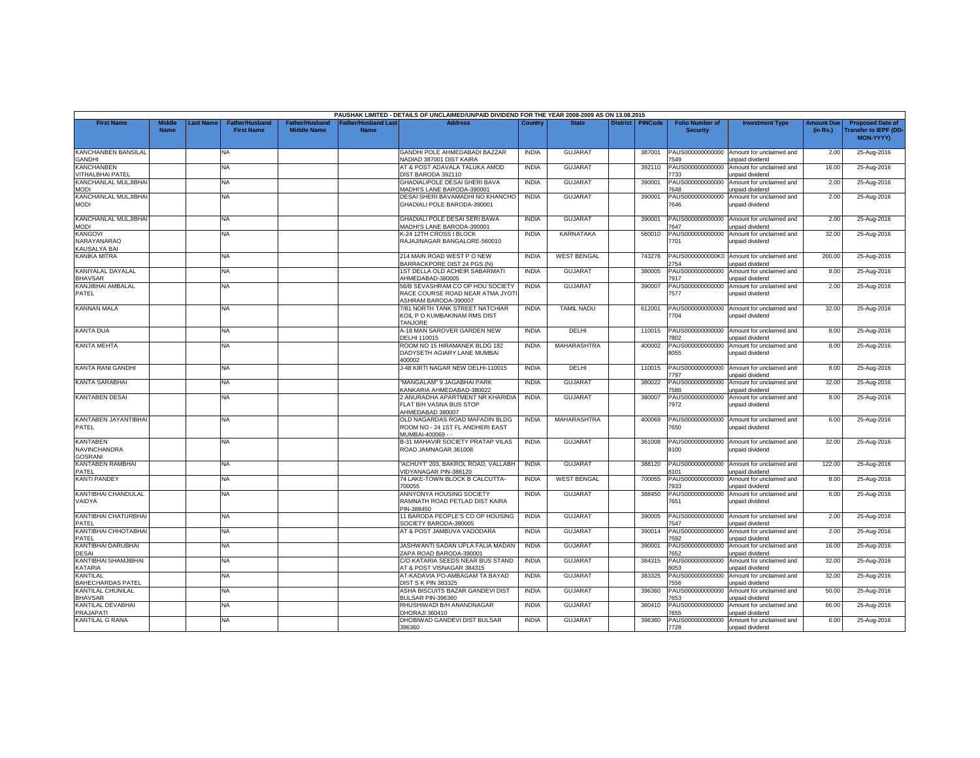|                                       |                       |           |                                            |                                             |                                           | PAUSHAK LIMITED - DETAILS OF UNCLAIMED/UNPAID DIVIDEND FOR THE YEAR 2008-2009 AS ON 13.08.2015 |              |                    |                 |                |                                           |                                             |                               |                                                                            |
|---------------------------------------|-----------------------|-----------|--------------------------------------------|---------------------------------------------|-------------------------------------------|------------------------------------------------------------------------------------------------|--------------|--------------------|-----------------|----------------|-------------------------------------------|---------------------------------------------|-------------------------------|----------------------------------------------------------------------------|
| <b>First Name</b>                     | Middle<br><b>Name</b> | Last Name | <b>Father/Husband</b><br><b>First Name</b> | <b>Father/Husband</b><br><b>Middle Name</b> | <b>Father/Husband Last</b><br><b>Name</b> | <b>Address</b>                                                                                 | Country      | <b>State</b>       | <b>District</b> | <b>PINCode</b> | <b>Folio Number of</b><br><b>Security</b> | <b>Investment Type</b>                      | <b>Amount Due</b><br>(in Rs.) | <b>Proposed Date of</b><br><b>Transfer to IEPF (DD</b><br><b>MON-YYYYY</b> |
|                                       |                       |           |                                            |                                             |                                           |                                                                                                |              |                    |                 |                |                                           |                                             |                               |                                                                            |
| KANCHANBEN BANSILAL                   |                       |           | NA                                         |                                             |                                           | GANDHI POLE AHMEDABADI BAZZAR                                                                  | <b>INDIA</b> | <b>GUJARAT</b>     |                 | 387001         | PAUS000000000000                          | Amount for unclaimed and                    | 2.00                          | 25-Aug-2016                                                                |
| <b>GANDHI</b>                         |                       |           |                                            |                                             |                                           | NADIAD 387001 DIST KAIRA                                                                       |              |                    |                 |                | 549                                       | unpaid dividend                             |                               |                                                                            |
| KANCHANBEN<br><b>VITHALBHAI PATEL</b> |                       |           | <b>NA</b>                                  |                                             |                                           | AT & POST ADAVALA TALUKA AMOD<br><b>DIST BARODA 392110</b>                                     | <b>INDIA</b> | <b>GUJARAT</b>     |                 | 392110         | PAUS000000000000<br>733                   | Amount for unclaimed and<br>unpaid dividend | 16.00                         | 25-Aug-2016                                                                |
| KANCHANLAL MULJIBHAI                  |                       |           | NA                                         |                                             |                                           | GHADIALIPOLE DESAI SHERI BAVA                                                                  | <b>INDIA</b> | <b>GUJARAT</b>     |                 | 390001         | PAUS000000000000                          | Amount for unclaimed and                    | 2.00                          | 25-Aug-2016                                                                |
| <b>MODI</b>                           |                       |           |                                            |                                             |                                           | MADHI'S LANE BARODA-390001                                                                     |              |                    |                 |                | 648                                       | unpaid dividend                             |                               |                                                                            |
| KANCHANLAL MULJIBHAI                  |                       |           | NA.                                        |                                             |                                           | DESAI SHERI BAVAMADHI NO KHANCHO                                                               | <b>INDIA</b> | GUJARAT            |                 | 390001         | PAUS000000000000                          | Amount for unclaimed and                    | 2.00                          | 25-Aug-2016                                                                |
| <b>MODI</b>                           |                       |           |                                            |                                             |                                           | GHADIALI POLE BARODA-390001                                                                    |              |                    |                 |                | 7646                                      | unpaid dividend                             |                               |                                                                            |
| KANCHANLAL MULJIBHAI                  |                       |           | <b>NA</b>                                  |                                             |                                           | GHADIALI POLE DESAI SERI BAWA                                                                  | <b>INDIA</b> | <b>GUJARAT</b>     |                 | 390001         |                                           |                                             | 2.00                          |                                                                            |
| <b>MODI</b>                           |                       |           |                                            |                                             |                                           | MADHI'S LANE BARODA-390001                                                                     |              |                    |                 |                | PAUS000000000000<br>7647                  | Amount for unclaimed and<br>inpaid dividend |                               | 25-Aug-2016                                                                |
| <b>KANGOVI</b>                        |                       |           | ΝA                                         |                                             |                                           | K-24 12TH CROSS I BLOCK                                                                        | <b>INDIA</b> | KARNATAKA          |                 | 560010         | PAUS000000000000                          | Amount for unclaimed and                    | 32.00                         | 25-Aug-2016                                                                |
| NARAYANARAO                           |                       |           |                                            |                                             |                                           | RAJAJINAGAR BANGALORE-560010                                                                   |              |                    |                 |                | 7701                                      | unpaid dividend                             |                               |                                                                            |
| <b>KAUSALYA BAI</b>                   |                       |           |                                            |                                             |                                           |                                                                                                |              |                    |                 |                |                                           |                                             |                               |                                                                            |
| <b>KANIKA MITRA</b>                   |                       |           | NA                                         |                                             |                                           | 214 MAIN ROAD WEST PONEW                                                                       | <b>INDIA</b> | <b>WEST BENGAL</b> |                 | 743276         | PAUS0000000000K0<br>754                   | Amount for unclaimed and                    | 200.00                        | 25-Aug-2016                                                                |
| KANIYALAL DAYALAL                     |                       |           | NA.                                        |                                             |                                           | BARRACKPORE DIST 24 PGS (N)<br>1ST DELLA OLD ACHEIR SABARMATI                                  | <b>INDIA</b> | <b>GUJARAT</b>     |                 | 380005         | PAUS000000000000                          | unpaid dividend<br>Amount for unclaimed and | 8.00                          | 25-Aug-2016                                                                |
| <b>BHAVSAR</b>                        |                       |           |                                            |                                             |                                           | AHMEDABAD-380005                                                                               |              |                    |                 |                | '917                                      | <b>Inpaid dividend</b>                      |                               |                                                                            |
| KANJIBHAI AMBALAL                     |                       |           | NA                                         |                                             |                                           | 56/B SEVASHRAM CO OP HOU SOCIETY                                                               | <b>INDIA</b> | <b>GUJARAT</b>     |                 | 390007         | PAUS000000000000                          | Amount for unclaimed and                    | 2.00                          | 25-Aug-2016                                                                |
| PATEL                                 |                       |           |                                            |                                             |                                           | RACE COURSE ROAD NEAR ATMA JYOTI                                                               |              |                    |                 |                | 7577                                      | unpaid dividend                             |                               |                                                                            |
|                                       |                       |           |                                            |                                             |                                           | ASHRAM BARODA-390007                                                                           |              |                    |                 |                |                                           |                                             |                               |                                                                            |
| <b>KANNAN MALA</b>                    |                       |           | NA.                                        |                                             |                                           | 7/81 NORTH TANK STREET NATCHIAR                                                                | <b>INDIA</b> | <b>TAMIL NADU</b>  |                 | 612001         | PAUS000000000000                          | Amount for unclaimed and                    | 32.00                         | 25-Aug-2016                                                                |
|                                       |                       |           |                                            |                                             |                                           | KOIL P O KUMBAKINAM RMS DIST<br><b>TANJORE</b>                                                 |              |                    |                 |                | 7704                                      | unpaid dividend                             |                               |                                                                            |
| <b>KANTA DUA</b>                      |                       |           | NA.                                        |                                             |                                           | A-18 MAN SAROVER GARDEN NEW                                                                    | <b>INDIA</b> | DELHI              |                 | 110015         | PAUS000000000000                          | Amount for unclaimed and                    | 8.00                          | 25-Aug-2016                                                                |
|                                       |                       |           |                                            |                                             |                                           | DELHI 110015                                                                                   |              |                    |                 |                | 802                                       | unpaid dividend                             |                               |                                                                            |
| <b>KANTA MEHTA</b>                    |                       |           | NA                                         |                                             |                                           | ROOM NO 15 HIRAMANEK BLDG 182                                                                  | <b>INDIA</b> | <b>MAHARASHTRA</b> |                 | 400002         | PAUS000000000000                          | Amount for unclaimed and                    | 8.00                          | 25-Aug-2016                                                                |
|                                       |                       |           |                                            |                                             |                                           | DADYSETH AGIARY LANE MUMBAI                                                                    |              |                    |                 |                | 8055                                      | unpaid dividend                             |                               |                                                                            |
|                                       |                       |           |                                            |                                             |                                           | 100002                                                                                         |              |                    |                 |                |                                           |                                             |                               |                                                                            |
| KANTA RANI GANDHI                     |                       |           | ΝA                                         |                                             |                                           | J-48 KIRTI NAGAR NEW DELHI-110015                                                              | <b>INDIA</b> | DELHI              |                 | 110015         | PAUS000000000000                          | Amount for unclaimed and                    | 8.00                          | 25-Aug-2016                                                                |
| <b>KANTA SARABHAI</b>                 |                       |           | NA                                         |                                             |                                           | "MANGALAM" 9 JAGABHAI PARK                                                                     | <b>INDIA</b> | <b>GUJARAT</b>     |                 | 380022         | 797<br>PAUS000000000000                   | unpaid dividend<br>Amount for unclaimed and | 32.00                         | 25-Aug-2016                                                                |
|                                       |                       |           |                                            |                                             |                                           | <b>KANKARIA AHMEDABAD-380022</b>                                                               |              |                    |                 |                | 588                                       | unpaid dividend                             |                               |                                                                            |
| <b>KANTABEN DESAI</b>                 |                       |           | NA                                         |                                             |                                           | 2 ANURADHA APARTMENT NR KHARIDIA                                                               | <b>INDIA</b> | <b>GUJARAT</b>     |                 | 380007         | PAUS000000000000                          | Amount for unclaimed and                    | 8.00                          | 25-Aug-2016                                                                |
|                                       |                       |           |                                            |                                             |                                           | FLAT B/H VASNA BUS STOP                                                                        |              |                    |                 |                | 7972                                      | unpaid dividend                             |                               |                                                                            |
|                                       |                       |           |                                            |                                             |                                           | AHMEDABAD 380007                                                                               |              |                    |                 |                |                                           |                                             |                               |                                                                            |
| KANTABEN JAYANTIBHA<br>PATEL          |                       |           | NA                                         |                                             |                                           | OLD NAGARDAS ROAD MAFADIN BLDG                                                                 | <b>INDIA</b> | <b>MAHARASHTRA</b> |                 | 400069         | PAUS000000000000<br>7650                  | Amount for unclaimed and                    | 6.00                          | 25-Aug-2016                                                                |
|                                       |                       |           |                                            |                                             |                                           | ROOM NO - 24 1ST FL ANDHERI EAST<br>MUMBAI-400069 - -                                          |              |                    |                 |                |                                           | unpaid dividend                             |                               |                                                                            |
| <b>KANTABEN</b>                       |                       |           | NA                                         |                                             |                                           | B-31 MAHAVIR SOCIETY PRATAP VILAS                                                              | <b>INDIA</b> | <b>GUJARAT</b>     |                 | 361008         | PAUS000000000000                          | Amount for unclaimed and                    | 32.00                         | 25-Aug-2016                                                                |
| NAVINCHANDRA                          |                       |           |                                            |                                             |                                           | ROAD JAMNAGAR 361008                                                                           |              |                    |                 |                | 8100                                      | unpaid dividend                             |                               |                                                                            |
| <b>GOSRANI</b>                        |                       |           |                                            |                                             |                                           |                                                                                                |              |                    |                 |                |                                           |                                             |                               |                                                                            |
| KANTABEN RAMBHAI                      |                       |           | NA.                                        |                                             |                                           | "ACHUYT' 203. BAKROL ROAD, VALLABH                                                             | <b>INDIA</b> | GUJARAT            |                 | 388120         | PAUS000000000000                          | Amount for unclaimed and                    | 122.00                        | 25-Aug-2016                                                                |
| PATFL<br><b>KANTI PANDEY</b>          |                       |           | NA                                         |                                             |                                           | /IDYANAGAR PIN-388120<br>74 LAKE-TOWN BLOCK B CALCUTTA-                                        | <b>INDIA</b> | <b>WEST BENGAL</b> |                 | 700055         | 8101<br>PAUS000000000000                  | unpaid dividend<br>Amount for unclaimed and | 8.00                          | 25-Aug-2016                                                                |
|                                       |                       |           |                                            |                                             |                                           | 700055                                                                                         |              |                    |                 |                | 933                                       | inpaid dividend                             |                               |                                                                            |
| KANTIBHAI CHANDULAL                   |                       |           | NA.                                        |                                             |                                           | ANNYONYA HOUSING SOCIETY                                                                       | <b>INDIA</b> | <b>GUJARAT</b>     |                 | 388450         | PAUS000000000000                          | Amount for unclaimed and                    | 6.00                          | 25-Aug-2016                                                                |
| VAIDYA                                |                       |           |                                            |                                             |                                           | RAMNATH ROAD PETLAD DIST KAIRA                                                                 |              |                    |                 |                | 7651                                      | unpaid dividend                             |                               |                                                                            |
|                                       |                       |           |                                            |                                             |                                           | <sup>2</sup> IN-388450                                                                         |              |                    |                 |                |                                           |                                             |                               |                                                                            |
| KANTIBHAI CHATURBHAI                  |                       |           | NA                                         |                                             |                                           | 11 BARODA PEOPLE'S CO OP HOUSING                                                               | <b>INDIA</b> | <b>GUJARAT</b>     |                 | 390005         | PAUS000000000000                          | Amount for unclaimed and                    | 2.00                          | 25-Aug-2016                                                                |
| PATEL<br>KANTIBHAI CHHOTABHA          |                       |           | NA.                                        |                                             |                                           | SOCIETY BARODA-390005<br>AT & POST JAMBUVA VADODARA                                            | <b>INDIA</b> | <b>GUJARAT</b>     |                 | 390014         | 547<br>PAUS000000000000                   | unpaid dividend<br>Amount for unclaimed and | 2.00                          | 25-Aug-2016                                                                |
| PATEL                                 |                       |           |                                            |                                             |                                           |                                                                                                |              |                    |                 |                | 592                                       | unpaid dividend                             |                               |                                                                            |
| <b>KANTIBHAI DARUBHAI</b>             |                       |           | NA.                                        |                                             |                                           | JASHWANTI SADAN UPLA FALIA MADAN                                                               | <b>INDIA</b> | <b>GUJARAT</b>     |                 | 390001         | PAUS000000000000                          | Amount for unclaimed and                    | 16.00                         | 25-Aug-2016                                                                |
| DESAI                                 |                       |           |                                            |                                             |                                           | ZAPA ROAD BARODA-390001                                                                        |              |                    |                 |                | 7652                                      | unpaid dividend                             |                               |                                                                            |
| KANTIBHAI SHAMJIBHAI                  |                       |           | NA                                         |                                             |                                           | C/O KATARIA SEEDS NEAR BUS STAND                                                               | <b>INDIA</b> | <b>GUJARAT</b>     |                 | 384315         | PAUS000000000000                          | Amount for unclaimed and                    | 32.00                         | 25-Aug-2016                                                                |
| <b>KATARIA</b>                        |                       |           |                                            |                                             |                                           | AT & POST VISNAGAR 384315                                                                      |              |                    |                 |                | 8053                                      | unpaid dividend                             |                               |                                                                            |
| KANTILAL<br><b>BAHECHARDAS PATEL</b>  |                       |           | NA.                                        |                                             |                                           | AT-KADAVIA PO-AMBAGAM TA BAYAD<br><b>DIST S K PIN 383325</b>                                   | <b>INDIA</b> | <b>GUJARAT</b>     |                 | 383325         | PAUS000000000000<br>7556                  | Amount for unclaimed and<br>unpaid dividend | 32.00                         | 25-Aug-2016                                                                |
| <b>KANTILAL CHUNILAL</b>              |                       |           | NA.                                        |                                             |                                           | ASHA BISCUITS BAZAR GANDEVI DIST                                                               | <b>INDIA</b> | GUJARAT            |                 | 396360         | PAUS000000000000                          | Amount for unclaimed and                    | 50.00                         | 25-Aug-2016                                                                |
| <b>BHAVSAR</b>                        |                       |           |                                            |                                             |                                           | BULSAR PIN-396360                                                                              |              |                    |                 |                | 653                                       | <b>Inpaid dividend</b>                      |                               |                                                                            |
| KANTILAL DEVABHAI                     |                       |           | NA                                         |                                             |                                           | RHUSHIWADI B/H ANANDNAGAR                                                                      | <b>INDIA</b> | <b>GUJARAT</b>     |                 | 360410         | PAUS000000000000                          | Amount for unclaimed and                    | 66.00                         | 25-Aug-2016                                                                |
| <b>PRAJAPATI</b>                      |                       |           |                                            |                                             |                                           | HORAJI 360410                                                                                  |              |                    |                 |                | 655                                       | unpaid dividend                             |                               |                                                                            |
| <b>KANTILAL G RANA</b>                |                       |           | <b>NA</b>                                  |                                             |                                           | DHOBIWAD GANDEVI DIST BULSAR                                                                   | <b>INDIA</b> | <b>GUJARAT</b>     |                 | 396360         | PAUS000000000000                          | Amount for unclaimed and                    | 6.00                          | 25-Aug-2016                                                                |
|                                       |                       |           |                                            |                                             |                                           | 396360                                                                                         |              |                    |                 |                | 7728                                      | unpaid dividend                             |                               |                                                                            |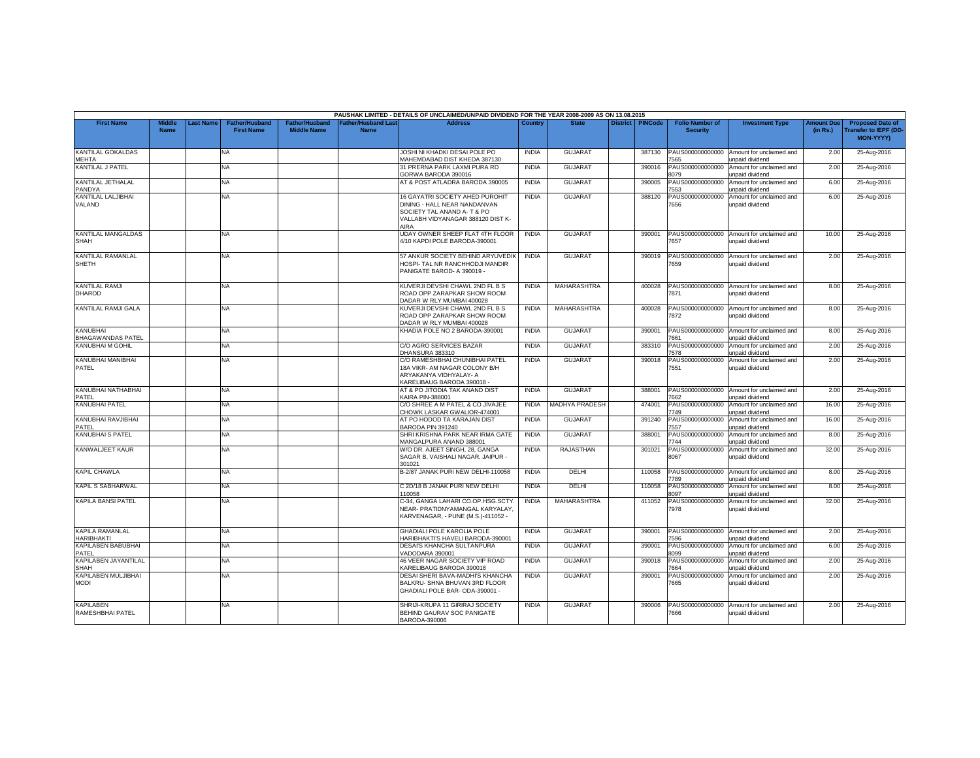|                                                                 |                              |                  |                                            |                                             |                                          | PAUSHAK LIMITED - DETAILS OF UNCLAIMED/UNPAID DIVIDEND FOR THE YEAR 2008-2009 AS ON 13.08.2015                                              |                              |                                  |                 |                  |                                             |                                                                         |                               |                                                                            |
|-----------------------------------------------------------------|------------------------------|------------------|--------------------------------------------|---------------------------------------------|------------------------------------------|---------------------------------------------------------------------------------------------------------------------------------------------|------------------------------|----------------------------------|-----------------|------------------|---------------------------------------------|-------------------------------------------------------------------------|-------------------------------|----------------------------------------------------------------------------|
| <b>First Name</b>                                               | <b>Middle</b><br><b>Name</b> | <b>Last Name</b> | <b>Father/Husband</b><br><b>First Name</b> | <b>Father/Husband</b><br><b>Middle Name</b> | <b>Father/Husband Las</b><br><b>Name</b> | <b>Address</b>                                                                                                                              | Country                      | <b>State</b>                     | <b>District</b> | <b>PINCode</b>   | <b>Folio Number of</b><br><b>Security</b>   | <b>Investment Type</b>                                                  | <b>Amount Due</b><br>(in Rs.) | <b>Proposed Date of</b><br><b>Transfer to IEPF (DD</b><br><b>MON-YYYY)</b> |
| KANTILAL GOKALDAS<br><b>MEHTA</b>                               |                              |                  | NA                                         |                                             |                                          | JOSHI NI KHADKI DESAI POLE PO<br>MAHEMDABAD DIST KHEDA 387130                                                                               | <b>INDIA</b>                 | <b>GUJARAT</b>                   |                 | 387130           | PAUS000000000000<br>565                     | Amount for unclaimed and<br>unpaid dividend                             | 2.00                          | 25-Aug-2016                                                                |
| KANTILAL J PATEL                                                |                              |                  | <b>NA</b>                                  |                                             |                                          | 31 PRERNA PARK LAXMI PURA RD<br>GORWA BARODA 390016                                                                                         | <b>INDIA</b>                 | <b>GUJARAT</b>                   |                 | 390016           | PAUS000000000000<br>3079                    | Amount for unclaimed and<br>unpaid dividend                             | 2.00                          | 25-Aug-2016                                                                |
| KANTILAL JETHALAL<br>PANDYA                                     |                              |                  | <b>NA</b>                                  |                                             |                                          | AT & POST ATLADRA BARODA 390005                                                                                                             | <b>INDIA</b>                 | <b>GUJARAT</b>                   |                 | 390005           | PAUS000000000000<br>553                     | Amount for unclaimed and<br>unpaid dividend                             | 6.00                          | 25-Aug-2016                                                                |
| KANTILAL LALJIBHAI<br>VALAND                                    |                              |                  | <b>NA</b>                                  |                                             |                                          | 16 GAYATRI SOCIETY AHED PUROHIT<br>DINING - HALL NEAR NANDANVAN<br>SOCIETY TAL ANAND A- T & PO<br>VALLABH VIDYANAGAR 388120 DIST K-<br>AIRA | <b>INDIA</b>                 | <b>GUJARAT</b>                   |                 | 388120           | PAUS000000000000<br>7656                    | Amount for unclaimed and<br>unpaid dividend                             | 6.00                          | 25-Aug-2016                                                                |
| KANTILAL MANGALDAS<br><b>SHAH</b>                               |                              |                  | NA                                         |                                             |                                          | UDAY OWNER SHEEP FLAT 4TH FLOOR<br>4/10 KAPDI POLE BARODA-390001                                                                            | <b>INDIA</b>                 | <b>GUJARAT</b>                   |                 | 390001           | PAUS000000000000<br>657                     | Amount for unclaimed and<br>unpaid dividend                             | 10.00                         | 25-Aug-2016                                                                |
| KANTILAL RAMANLAL<br>SHETH                                      |                              |                  | NA                                         |                                             |                                          | 57 ANKUR SOCIETY BEHIND ARYUVEDIK<br><b>HOSPI- TAL NR RANCHHODJI MANDIR</b><br>PANIGATE BAROD- A 390019 -                                   | <b>INDIA</b>                 | <b>GUJARAT</b>                   |                 | 390019           | PAUS000000000000<br>7659                    | Amount for unclaimed and<br>unpaid dividend                             | 2.00                          | 25-Aug-2016                                                                |
| <b>KANTILAL RAMJI</b><br><b>DHAROD</b>                          |                              |                  | <b>NA</b>                                  |                                             |                                          | KUVERJI DEVSHI CHAWL 2ND FL B S<br>ROAD OPP ZARAPKAR SHOW ROOM<br>DADAR W RLY MUMBAI 400028                                                 | <b>INDIA</b>                 | MAHARASHTRA                      |                 | 400028           | PAUS000000000000<br>7871                    | Amount for unclaimed and<br>unpaid dividend                             | 8.00                          | 25-Aug-2016                                                                |
| KANTILAL RAMJI GALA                                             |                              |                  | <b>NA</b>                                  |                                             |                                          | KUVERJI DEVSHI CHAWL 2ND FL B S<br>ROAD OPP ZARAPKAR SHOW ROOM<br>DADAR W RLY MUMBAI 400028                                                 | <b>INDIA</b>                 | MAHARASHTRA                      |                 | 400028           | PAUS000000000000<br>7872                    | Amount for unclaimed and<br>unpaid dividend                             | 8.00                          | 25-Aug-2016                                                                |
| KANUBHAI<br><b>BHAGAWANDAS PATEL</b><br><b>KANUBHAI M GOHIL</b> |                              |                  | <b>NA</b>                                  |                                             |                                          | KHADIA POLE NO 2 BARODA-390001                                                                                                              | <b>INDIA</b><br><b>INDIA</b> | GUJARAT                          |                 | 390001           | PAUS000000000000<br>661                     | Amount for unclaimed and<br>unpaid dividend<br>Amount for unclaimed and | 8.00                          | 25-Aug-2016                                                                |
| KANUBHAI MANIBHAI                                               |                              |                  | <b>NA</b><br>NA.                           |                                             |                                          | C/O AGRO SERVICES BAZAR<br>DHANSURA 383310<br>C/O RAMESHBHAI CHUNIBHAI PATEL                                                                | <b>INDIA</b>                 | <b>GUJARAT</b><br><b>GUJARAT</b> |                 | 383310<br>390018 | PAUS000000000000<br>578<br>PAUS000000000000 | unpaid dividend<br>Amount for unclaimed and                             | 2.00<br>2.00                  | 25-Aug-2016<br>25-Aug-2016                                                 |
| PATEL                                                           |                              |                  |                                            |                                             |                                          | 18A VIKR- AM NAGAR COLONY B/H<br>ARYAKANYA VIDHYALAY- A<br>KARELIBAUG BARODA 390018                                                         |                              |                                  |                 |                  | 7551                                        | unpaid dividend                                                         |                               |                                                                            |
| KANUBHAI NATHABHAI<br>PATEL                                     |                              |                  | <b>NA</b>                                  |                                             |                                          | AT & PO JITODIA TAK ANAND DIST<br>KAIRA PIN-388001                                                                                          | <b>INDIA</b>                 | <b>GUJARAT</b>                   |                 | 388001           | PAUS000000000000<br>7662                    | Amount for unclaimed and<br>unpaid dividend                             | 2.00                          | 25-Aug-2016                                                                |
| <b>KANUBHAI PATEL</b>                                           |                              |                  | NA.                                        |                                             |                                          | C/O SHREE A M PATEL & CO JIVAJEE<br>CHOWK LASKAR GWALIOR-474001                                                                             | <b>INDIA</b>                 | <b>MADHYA PRADESH</b>            |                 | 474001           | AUS000000000000<br>7749                     | Amount for unclaimed and<br>unpaid dividend                             | 16.00                         | 25-Aug-2016                                                                |
| KANUBHAI RAVJIBHAI<br>PATFL                                     |                              |                  | <b>NA</b>                                  |                                             |                                          | AT PO HODOD TA KARAJAN DIST<br>BARODA PIN 391240                                                                                            | <b>INDIA</b>                 | GUJARAT                          |                 | 391240           | PAUS000000000000<br>557                     | Amount for unclaimed and<br>unpaid dividend                             | 16.00                         | 25-Aug-2016                                                                |
| <b>KANUBHAI S PATEL</b>                                         |                              |                  | NA                                         |                                             |                                          | SHRI KRISHNA PARK NEAR IRMA GATE<br>MANGALPURA ANAND 388001                                                                                 | <b>INDIA</b>                 | <b>GUJARAT</b>                   |                 | 388001           | PAUS000000000000<br>7744                    | Amount for unclaimed and<br>unpaid dividend                             | 8.00                          | 25-Aug-2016                                                                |
| KANWALJEET KAUR                                                 |                              |                  | NA                                         |                                             |                                          | W/O DR. AJEET SINGH, 28, GANGA<br>SAGAR B, VAISHALI NAGAR, JAIPUR -<br>301021                                                               | <b>INDIA</b>                 | <b>RAJASTHAN</b>                 |                 | 301021           | PAUS000000000000<br>8067                    | Amount for unclaimed and<br>unpaid dividend                             | 32.00                         | 25-Aug-2016                                                                |
| <b>KAPIL CHAWLA</b>                                             |                              |                  | NA.                                        |                                             |                                          | B-2/87 JANAK PURI NEW DELHI-110058                                                                                                          | <b>INDIA</b>                 | <b>DELHI</b>                     |                 | 110058           | PAUS000000000000<br>789                     | Amount for unclaimed and<br>unpaid dividend                             | 8.00                          | 25-Aug-2016                                                                |
| KAPIL S SABHARWAL                                               |                              |                  | <b>NA</b>                                  |                                             |                                          | C 2D/18 B JANAK PURI NEW DELHI<br>110058                                                                                                    | <b>INDIA</b>                 | DELHI                            |                 | 110058           | PAUS000000000000<br>8097                    | Amount for unclaimed and<br>unpaid dividend                             | 8.00                          | 25-Aug-2016                                                                |
| <b>KAPILA BANSI PATEL</b>                                       |                              |                  | NA                                         |                                             |                                          | C-34, GANGA LAHARI CO.OP.HSG.SCTY.<br>NEAR- PRATIDNYAMANGAL KARYALAY.<br>KARVENAGAR, - PUNE (M.S.)-411052 -                                 | <b>INDIA</b>                 | MAHARASHTRA                      |                 | 411052           | PAUS000000000000<br>7978                    | Amount for unclaimed and<br>unpaid dividend                             | 32.00                         | 25-Aug-2016                                                                |
| <b>KAPILA RAMANLAL</b><br><b>HARIBHAKTI</b>                     |                              |                  | <b>NA</b>                                  |                                             |                                          | <b>GHADIALI POLE KAROLIA POLE</b><br><b>HARIBHAKTI'S HAVELI BARODA-390001</b>                                                               | <b>INDIA</b>                 | <b>GUJARAT</b>                   |                 | 390001           | PAUS000000000000<br>596                     | Amount for unclaimed and<br>unpaid dividend                             | 2.00                          | 25-Aug-2016                                                                |
| <b>KAPILABEN BABUBHAI</b><br>PATEL                              |                              |                  | NA                                         |                                             |                                          | DESAI'S KHANCHA SULTANPURA<br>VADODARA 390001                                                                                               | <b>INDIA</b>                 | <b>GUJARAT</b>                   |                 | 390001           | PAUS000000000000<br>3099                    | Amount for unclaimed and<br>unpaid dividend                             | 6.00                          | 25-Aug-2016                                                                |
| KAPILABEN JAYANTILAL<br><b>SHAH</b>                             |                              |                  | <b>NA</b>                                  |                                             |                                          | 46 VEER NAGAR SOCIETY VIP ROAD<br>KARELIBAUG BARODA 390018                                                                                  | <b>INDIA</b>                 | <b>GUJARAT</b>                   |                 | 390018           | PAUS000000000000<br>664                     | Amount for unclaimed and<br>unpaid dividend                             | 2.00                          | 25-Aug-2016                                                                |
| <b>KAPILABEN MULJIBHAI</b><br><b>MODI</b>                       |                              |                  | <b>NA</b>                                  |                                             |                                          | DESAI SHERI BAVA-MADHI'S KHANCHA<br>BALKRU- SHNA BHUVAN 3RD FLOOR<br>GHADIALI POLE BAR- ODA-390001 -                                        | <b>INDIA</b>                 | <b>GUJARAT</b>                   |                 | 390001           | PAUS000000000000<br>7665                    | Amount for unclaimed and<br>unpaid dividend                             | 2.00                          | 25-Aug-2016                                                                |
| <b>KAPILABEN</b><br>RAMESHBHAI PATEL                            |                              |                  | NA                                         |                                             |                                          | SHRIJI-KRUPA 11 GIRIRAJ SOCIETY<br>BEHIND GAURAV SOC PANIGATE<br>BARODA-390006                                                              | <b>INDIA</b>                 | <b>GUJARAT</b>                   |                 | 390006           | PAUS000000000000<br>7666                    | Amount for unclaimed and<br>unpaid dividend                             | 2.00                          | 25-Aug-2016                                                                |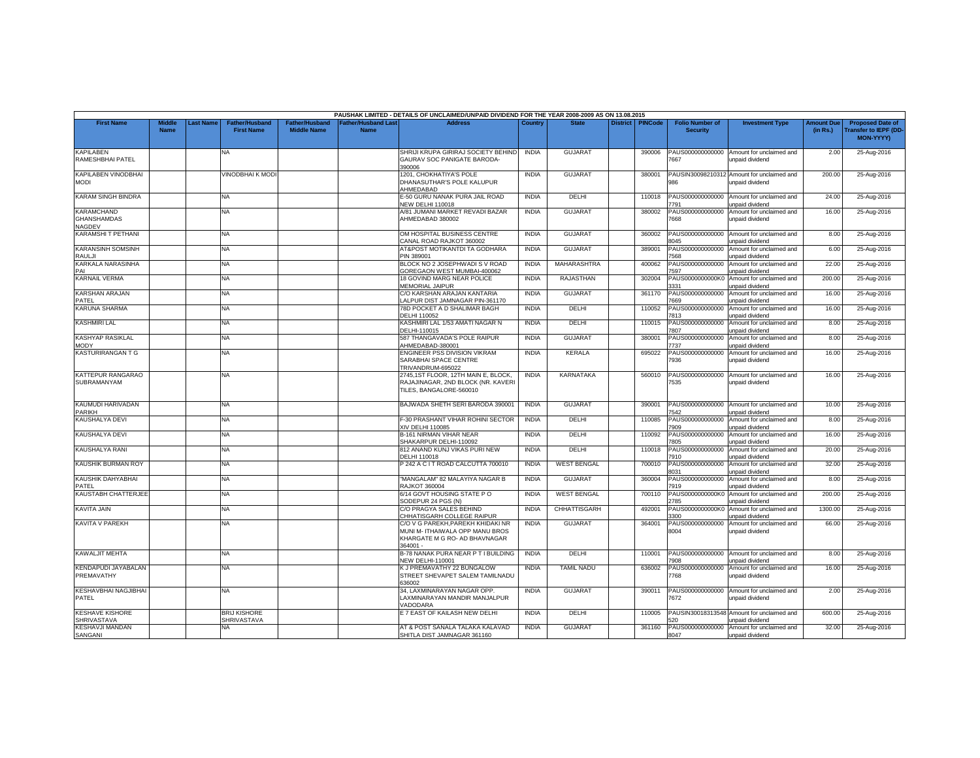|                                                   |                              |          |                                            |                                      |                                          | PAUSHAK LIMITED - DETAILS OF UNCLAIMED/UNPAID DIVIDEND FOR THE YEAR 2008-2009 AS ON 13.08.2015                   |              |                     |                 |                |                                           |                                                               |                               |                                                              |
|---------------------------------------------------|------------------------------|----------|--------------------------------------------|--------------------------------------|------------------------------------------|------------------------------------------------------------------------------------------------------------------|--------------|---------------------|-----------------|----------------|-------------------------------------------|---------------------------------------------------------------|-------------------------------|--------------------------------------------------------------|
| <b>First Name</b>                                 | <b>Middle</b><br><b>Name</b> | ast Name | <b>Father/Husband</b><br><b>First Name</b> | Father/Husband<br><b>Middle Name</b> | <b>Father/Husband Las</b><br><b>Name</b> | <b>Address</b>                                                                                                   | Country      | <b>State</b>        | <b>District</b> | <b>PINCode</b> | <b>Folio Number of</b><br><b>Security</b> | <b>Investment Type</b>                                        | <b>Amount Due</b><br>(in Rs.) | <b>Proposed Date of</b><br>ransfer to IEPF (DD-<br>MON-YYYY) |
| <b>KAPILABEN</b><br>RAMESHBHAI PATEL              |                              |          | NA.                                        |                                      |                                          | SHRIJI KRUPA GIRIRAJ SOCIETY BEHIND<br>GAURAV SOC PANIGATE BARODA-<br>390006                                     | <b>INDIA</b> | GUJARA <sup>1</sup> |                 | 390006         | PAUS000000000000<br>7667                  | Amount for unclaimed and<br>unpaid dividend                   | 2.00                          | 25-Aug-2016                                                  |
| <b>KAPILABEN VINODBHAI</b><br><b>MODI</b>         |                              |          | VINODBHAI K MODI                           |                                      |                                          | 1201, CHOKHATIYA'S POLE<br>DHANASUTHAR'S POLE KALUPUR<br><b>HMEDABAD</b>                                         | <b>INDIA</b> | <b>GUJARAT</b>      |                 | 380001         | 986                                       | PAUSIN30098210312 Amount for unclaimed and<br>unpaid dividend | 200.00                        | 25-Aug-2016                                                  |
| <b>KARAM SINGH BINDRA</b>                         |                              |          | NA                                         |                                      |                                          | E-50 GURU NANAK PURA JAIL ROAD<br><b>VEW DELHI 110018</b>                                                        | <b>INDIA</b> | DELHI               |                 | 110018         | PAUS000000000000<br>791                   | Amount for unclaimed and<br>unpaid dividend                   | 24.00                         | 25-Aug-2016                                                  |
| <b>KARAMCHAND</b><br><b>GHANSHAMDAS</b><br>NAGDEV |                              |          | <b>NA</b>                                  |                                      |                                          | A/81 JUMANI MARKET REVADI BAZAR<br>AHMEDABAD 380002                                                              | <b>INDIA</b> | <b>GUJARAT</b>      |                 | 380002         | PAUS000000000000<br>7668                  | Amount for unclaimed and<br>unpaid dividend                   | 16.00                         | 25-Aug-2016                                                  |
| KARAMSHI T PETHANI                                |                              |          | NA                                         |                                      |                                          | OM HOSPITAL BUSINESS CENTRE<br>CANAL ROAD RAJKOT 360002                                                          | <b>INDIA</b> | <b>GUJARAT</b>      |                 | 360002         | PAUS000000000000<br>8045                  | Amount for unclaimed and<br>unpaid dividend                   | 8.00                          | 25-Aug-2016                                                  |
| <b>KARANSINH SOMSINH</b><br><b>RAULJI</b>         |                              |          | <b>NA</b>                                  |                                      |                                          | AT&POST MOTIKANTDI TA GODHARA<br>PIN 389001                                                                      | <b>INDIA</b> | <b>GUJARAT</b>      |                 | 389001         | 7568                                      | PAUS000000000000 Amount for unclaimed and<br>unpaid dividend  | 6.00                          | 25-Aug-2016                                                  |
| KARKALA NARASINHA<br>PAI                          |                              |          | NA                                         |                                      |                                          | BLOCK NO 2 JOSEPHWADI S V ROAD<br>GOREGAON WEST MUMBAI-400062                                                    | <b>INDIA</b> | MAHARASHTRA         |                 | 400062         | PAUS000000000000<br>597                   | Amount for unclaimed and<br>unpaid dividend                   | 22.00                         | 25-Aug-2016                                                  |
| <b>KARNAIL VERMA</b>                              |                              |          | NA                                         |                                      |                                          | 18 GOVIND MARG NEAR POLICE<br>MEMORIAL JAIPUR                                                                    | <b>INDIA</b> | RAJASTHAN           |                 | 302004         | PAUS0000000000K0<br>3331                  | Amount for unclaimed and<br>unpaid dividend                   | 200.00                        | 25-Aug-2016                                                  |
| <b>KARSHAN ARAJAN</b><br>PATEL                    |                              |          | NA                                         |                                      |                                          | C/O KARSHAN ARAJAN KANTARIA<br>LALPUR DIST JAMNAGAR PIN-361170                                                   | <b>INDIA</b> | <b>GUJARAT</b>      |                 | 361170         | PAUS000000000000<br>7669                  | Amount for unclaimed and<br>unpaid dividend                   | 16.00                         | 25-Aug-2016                                                  |
| <b>KARUNA SHARMA</b>                              |                              |          | NA                                         |                                      |                                          | 78D POCKET A D SHALIMAR BAGH<br>DELHI 110052                                                                     | <b>INDIA</b> | DELHI               |                 | 110052         | PAUS000000000000<br>7813                  | Amount for unclaimed and<br>inpaid dividend                   | 16.00                         | 25-Aug-2016                                                  |
| <b>KASHMIRI LAL</b>                               |                              |          | NA                                         |                                      |                                          | KASHMIRI LAL 1/53 AMATI NAGAR N<br>DELHI-110015                                                                  | <b>INDIA</b> | DELHI               |                 | 110015         | PAUS000000000000<br>'807                  | Amount for unclaimed and<br>unpaid dividend                   | 8.00                          | 25-Aug-2016                                                  |
| <b>KASHYAP RASIKLAL</b><br><b>MODY</b>            |                              |          | ΝA                                         |                                      |                                          | 587 THANGAVADA'S POLE RAIPUR<br>AHMEDABAD-380001                                                                 | <b>INDIA</b> | <b>GUJARAT</b>      |                 | 380001         | PAUS000000000000<br>7737                  | Amount for unclaimed and<br>unpaid dividend                   | 8.00                          | 25-Aug-2016                                                  |
| KASTURIRANGAN T G                                 |                              |          | NA                                         |                                      |                                          | ENGINEER PSS DIVISION VIKRAM<br>SARABHAI SPACE CENTRE<br>TRIVANDRUM-695022                                       | <b>INDIA</b> | <b>KERALA</b>       |                 | 695022         | PAUS000000000000<br>7936                  | Amount for unclaimed and<br>unpaid dividend                   | 16.00                         | 25-Aug-2016                                                  |
| KATTEPUR RANGARAO<br>SUBRAMANYAM                  |                              |          | <b>NA</b>                                  |                                      |                                          | 2745,1ST FLOOR, 12TH MAIN E, BLOCK,<br>RAJAJINAGAR, 2ND BLOCK (NR. KAVERI<br>TILES, BANGALORE-560010             | <b>INDIA</b> | KARNATAKA           |                 | 560010         | PAUS000000000000<br>7535                  | Amount for unclaimed and<br>unpaid dividend                   | 16.00                         | 25-Aug-2016                                                  |
| KAUMUDI HARIVADAN<br>PARIKH                       |                              |          | NA                                         |                                      |                                          | BAJWADA SHETH SERI BARODA 390001                                                                                 | <b>INDIA</b> | <b>GUJARAT</b>      |                 | 390001         | PAUS000000000000<br>7542                  | Amount for unclaimed and<br>unpaid dividend                   | 10.00                         | 25-Aug-2016                                                  |
| KAUSHALYA DEVI                                    |                              |          | <b>NA</b>                                  |                                      |                                          | F-30 PRASHANT VIHAR ROHINI SECTOR<br>XIV DELHI 110085                                                            | <b>INDIA</b> | DELHI               |                 | 110085         | PAUS000000000000<br>7909                  | Amount for unclaimed and<br>unpaid dividend                   | 8.00                          | 25-Aug-2016                                                  |
| KAUSHALYA DEVI                                    |                              |          | NA                                         |                                      |                                          | <b>B-161 NIRMAN VIHAR NEAR</b><br>SHAKARPUR DELHI-110092                                                         | <b>INDIA</b> | DELHI               |                 | 110092         | PAUS000000000000<br>7805                  | Amount for unclaimed and<br>unpaid dividend                   | 16.00                         | 25-Aug-2016                                                  |
| KAUSHALYA RANI                                    |                              |          | NA                                         |                                      |                                          | 812 ANAND KUNJ VIKAS PURI NEW<br>DELHI 110018                                                                    | <b>INDIA</b> | DELHI               |                 | 110018         | PAUS000000000000<br>7910                  | Amount for unclaimed and<br>unpaid dividend                   | 20.00                         | 25-Aug-2016                                                  |
| KAUSHIK BURMAN ROY                                |                              |          | NA                                         |                                      |                                          | 242 A C I T ROAD CALCUTTA 700010                                                                                 | <b>INDIA</b> | <b>WEST BENGAL</b>  |                 | 700010         | PAUS000000000000<br>3031                  | Amount for unclaimed and<br>unpaid dividend                   | 32.00                         | 25-Aug-2016                                                  |
| KAUSHIK DAHYABHAI<br>PATEL                        |                              |          | ΝA                                         |                                      |                                          | 'MANGALAM" 82 MALAYIYA NAGAR B<br><b>RAJKOT 360004</b>                                                           | <b>INDIA</b> | <b>GUJARAT</b>      |                 | 360004         | PAUS000000000000<br>7919                  | Amount for unclaimed and<br>unpaid dividend                   | 8.00                          | 25-Aug-2016                                                  |
| <b>KAUSTABH CHATTERJEE</b>                        |                              |          | <b>NA</b>                                  |                                      |                                          | 6/14 GOVT HOUSING STATE PO<br>SODEPUR 24 PGS (N)                                                                 | <b>INDIA</b> | <b>WEST BENGAL</b>  |                 | 700110         | PAUS0000000000K0<br>2785                  | Amount for unclaimed and<br>unpaid dividend                   | 200.00                        | 25-Aug-2016                                                  |
| KAVITA JAIN                                       |                              |          | NA                                         |                                      |                                          | C/O PRAGYA SALES BEHIND<br>CHHATISGARH COLLEGE RAIPUR                                                            | <b>INDIA</b> | CHHATTISGARH        |                 | 492001         | PAUS0000000000K0<br>3300                  | Amount for unclaimed and<br>unpaid dividend                   | 1300.00                       | 25-Aug-2016                                                  |
| <b>KAVITA V PAREKH</b>                            |                              |          | NA                                         |                                      |                                          | C/O V G PAREKH,PAREKH KHIDAKI NR<br>MUNI M- ITHAIWALA OPP MANU BROS<br>KHARGATE M G RO- AD BHAVNAGAR<br>364001 - | <b>INDIA</b> | <b>GUJARAT</b>      |                 | 364001         | 8004                                      | PAUS000000000000 Amount for unclaimed and<br>unpaid dividend  | 66.00                         | 25-Aug-2016                                                  |
| <b>KAWALJIT MEHTA</b>                             |                              |          | <b>NA</b>                                  |                                      |                                          | B-78 NANAK PURA NEAR PT I BUILDING<br><b>NEW DELHI-110001</b>                                                    | <b>INDIA</b> | DELHI               |                 | 110001         | 7908                                      | PAUS000000000000 Amount for unclaimed and<br>unpaid dividend  | 8.00                          | 25-Aug-2016                                                  |
| KENDAPUDI JAYABALAN<br>PREMAVATHY                 |                              |          | NA                                         |                                      |                                          | K J PREMAVATHY 22 BUNGALOW<br>STREET SHEVAPET SALEM TAMILNADU<br>36002                                           | <b>INDIA</b> | <b>TAMIL NADU</b>   |                 | 636002         | PAUS000000000000<br>7768                  | Amount for unclaimed and<br>unpaid dividend                   | 16.00                         | 25-Aug-2016                                                  |
| KESHAVBHAI NAGJIBHAI<br>PATEL                     |                              |          | <b>NA</b>                                  |                                      |                                          | 34, LAXMINARAYAN NAGAR OPP.<br>LAXMINARAYAN MANDIR MANJALPUR<br><b>ADODARA</b>                                   | <b>INDIA</b> | GUJARAT             |                 | 390011         | 7672                                      | PAUS000000000000 Amount for unclaimed and<br>unpaid dividend  | 2.00                          | 25-Aug-2016                                                  |
| <b>KESHAVE KISHORE</b><br><b>SHRIVASTAVA</b>      |                              |          | <b>BRIJ KISHORE</b><br>SHRIVASTAVA         |                                      |                                          | E 7 EAST OF KAILASH NEW DELH                                                                                     | <b>INDIA</b> | DELHI               |                 | 110005         | 20                                        | PAUSIN30018313548 Amount for unclaimed and<br>unpaid dividend | 600.00                        | 25-Aug-2016                                                  |
| <b>KESHAVJI MANDAN</b><br>SANGANI                 |                              |          | <b>NA</b>                                  |                                      |                                          | AT & POST SANALA TALAKA KALAVAD<br>SHITLA DIST JAMNAGAR 361160                                                   | <b>INDIA</b> | <b>GUJARAT</b>      |                 | 361160         | 8047                                      | PAUS000000000000 Amount for unclaimed and<br>unpaid dividend  | 32.00                         | 25-Aug-2016                                                  |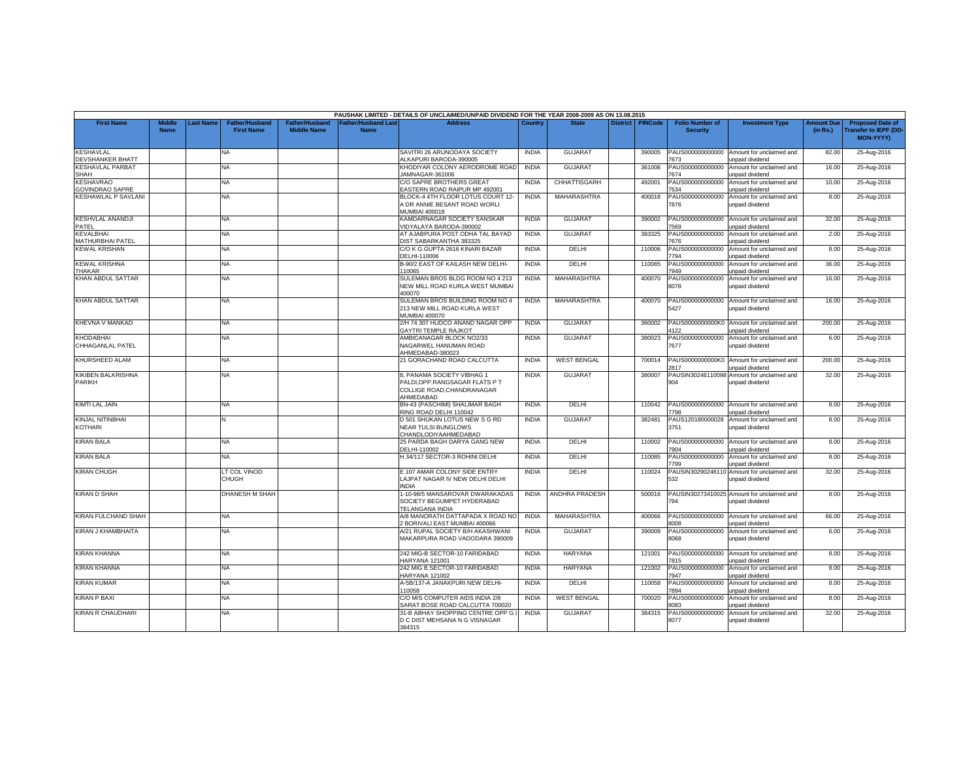|                                             |                              |           |                                            |                                             |                                           | PAUSHAK LIMITED - DETAILS OF UNCLAIMED/UNPAID DIVIDEND FOR THE YEAR 2008-2009 AS ON 13.08.2015              |              |                       |                 |                |                                           |                                                               |                               |                                                                            |
|---------------------------------------------|------------------------------|-----------|--------------------------------------------|---------------------------------------------|-------------------------------------------|-------------------------------------------------------------------------------------------------------------|--------------|-----------------------|-----------------|----------------|-------------------------------------------|---------------------------------------------------------------|-------------------------------|----------------------------------------------------------------------------|
| <b>First Name</b>                           | <b>Middle</b><br><b>Name</b> | Last Name | <b>Father/Husband</b><br><b>First Name</b> | <b>Father/Husband</b><br><b>Middle Name</b> | <b>Father/Husband Last</b><br><b>Name</b> | <b>Address</b>                                                                                              | Country      | <b>State</b>          | <b>District</b> | <b>PINCode</b> | <b>Folio Number of</b><br><b>Security</b> | <b>Investment Type</b>                                        | <b>Amount Due</b><br>(in Rs.) | <b>Proposed Date of</b><br><b>Transfer to IEPF (DD</b><br><b>MON-YYYYY</b> |
| <b>KESHAVLAL</b><br><b>DEVSHANKER BHATT</b> |                              |           | NA                                         |                                             |                                           | SAVITRI 26 ARUNODAYA SOCIETY<br>ALKAPURI BARODA-390005                                                      | <b>INDIA</b> | <b>GUJARAT</b>        |                 | 390005         | PAUS000000000000<br>7673                  | Amount for unclaimed and<br>unpaid dividend                   | 82.00                         | 25-Aug-2016                                                                |
| <b>KESHAVLAL PARBAT</b><br><b>SHAH</b>      |                              |           | <b>NA</b>                                  |                                             |                                           | KHODIYAR COLONY AERODROME ROAD<br>AMNAGAR-361006                                                            | <b>INDIA</b> | <b>GUJARAT</b>        |                 | 361006         | PAUS000000000000<br>7674                  | Amount for unclaimed and<br>inpaid dividend                   | 16.00                         | 25-Aug-2016                                                                |
| <b>KESHAVRAO</b><br><b>GOVINDRAO SAPRE</b>  |                              |           | NA                                         |                                             |                                           | C/O SAPRE BROTHERS GREAT<br><b>EASTERN ROAD RAIPUR MP 492001</b>                                            | <b>INDIA</b> | CHHATTISGARH          |                 | 492001         | PAUS000000000000<br>534                   | Amount for unclaimed and<br>unpaid dividend                   | 10.00                         | 25-Aug-2016                                                                |
| <b>KESHAWLAL P SAVLANI</b>                  |                              |           | NA                                         |                                             |                                           | BLOCK-4 4TH FLOOR LOTUS COURT 12<br>A DR ANNIE BESANT ROAD WORLI<br>MUMBAI 400018                           | <b>INDIA</b> | <b>MAHARASHTRA</b>    |                 | 400018         | PAUS000000000000<br>7876                  | Amount for unclaimed and<br>unpaid dividend                   | 8.00                          | 25-Aug-2016                                                                |
| <b>KESHVLAL ANANDJI</b><br>PATEL            |                              |           | NA                                         |                                             |                                           | KAMDARNAGAR SOCIETY SANSKAR<br>/IDYALAYA BARODA-390002                                                      | <b>INDIA</b> | <b>GUJARAT</b>        |                 | 390002         | PAUS000000000000<br>569                   | Amount for unclaimed and<br><b>Inpaid dividend</b>            | 32.00                         | 25-Aug-2016                                                                |
| <b>KEVALBHAI</b><br>MATHURBHAI PATEL        |                              |           | NA                                         |                                             |                                           | AT AJABPURA POST ODHA TAL BAYAD<br>DIST SABARKANTHA 383325                                                  | <b>INDIA</b> | <b>GUJARAT</b>        |                 | 383325         | PAUS000000000000<br>7676                  | Amount for unclaimed and<br>unpaid dividend                   | 2.00                          | 25-Aug-2016                                                                |
| <b>KEWAL KRISHAN</b>                        |                              |           | NA                                         |                                             |                                           | C/O K G GUPTA 2616 KINARI BAZAR<br>DELHI-110006                                                             | <b>INDIA</b> | DELHI                 |                 | 110006         | PAUS000000000000<br>7794                  | Amount for unclaimed and<br>unpaid dividend                   | 8.00                          | 25-Aug-2016                                                                |
| <b>KEWAL KRISHNA</b><br>THAKAR              |                              |           | NA                                         |                                             |                                           | B-90/2 EAST OF KAILASH NEW DELHI-<br>110065                                                                 | <b>INDIA</b> | DELHI                 |                 | 110065         | PAUS000000000000<br>7949                  | Amount for unclaimed and<br>unpaid dividend                   | 36.00                         | 25-Aug-2016                                                                |
| <b>KHAN ABDUL SATTAR</b>                    |                              |           | NA.                                        |                                             |                                           | SULEMAN BROS BLDG ROOM NO 4 213<br><b>NEW MILL ROAD KURLA WEST MUMBAI</b><br>400070                         | <b>INDIA</b> | MAHARASHTRA           |                 | 400070         | PAUS000000000000<br>8078                  | Amount for unclaimed and<br>unpaid dividend                   | 16.00                         | 25-Aug-2016                                                                |
| <b>KHAN ABDUL SATTAR</b>                    |                              |           | <b>NA</b>                                  |                                             |                                           | SULEMAN BROS BUILDING ROOM NO 4<br>213 NEW MILL ROAD KURLA WEST<br>MUMBAI 400070                            | <b>INDIA</b> | MAHARASHTRA           |                 | 400070         | PAUS000000000000<br>5427                  | Amount for unclaimed and<br>unpaid dividend                   | 16.00                         | 25-Aug-2016                                                                |
| KHEVNA V MANKAD                             |                              |           | NA                                         |                                             |                                           | 2/H 74 307 HUDCO ANAND NAGAR OPP<br>GAYTRI TEMPLE RAJKOT                                                    | <b>INDIA</b> | <b>GUJARAT</b>        |                 | 360002         | PAUS0000000000K0<br>1122                  | Amount for unclaimed and<br><b>Inpaid dividend</b>            | 200.00                        | 25-Aug-2016                                                                |
| <b>KHODABHAI</b><br>CHHAGANLAL PATEL        |                              |           | NA                                         |                                             |                                           | AMBICANAGAR BLOCK NO2/33<br>NAGARWEL HANUMAN ROAD<br>AHMEDABAD-380023                                       | <b>INDIA</b> | <b>GUJARAT</b>        |                 | 380023         | PAUS000000000000<br>7677                  | Amount for unclaimed and<br>unpaid dividend                   | 6.00                          | 25-Aug-2016                                                                |
| KHURSHEED ALAM                              |                              |           | NA.                                        |                                             |                                           | 21 GORACHAND ROAD CALCUTTA                                                                                  | <b>INDIA</b> | <b>WEST BENGAL</b>    |                 | 700014         | 2817                                      | PAUS0000000000K0 Amount for unclaimed and<br>unpaid dividend  | 200.00                        | 25-Aug-2016                                                                |
| KIKIBEN BALKRISHNA<br><b>PARIKH</b>         |                              |           | NA                                         |                                             |                                           | 8, PANAMA SOCIETY VIBHAG 1<br>PALDI,OPP.RANGSAGAR FLATS P T<br>COLLIGE ROAD.CHANDRANAGAR<br><b>HMEDABAD</b> | <b>INDIA</b> | <b>GUJARAT</b>        |                 | 380007         | PAUSIN30246110098<br>904                  | Amount for unclaimed and<br>unpaid dividend                   | 32.00                         | 25-Aug-2016                                                                |
| KIMTI LAL JAIN                              |                              |           | NA                                         |                                             |                                           | BN-43 (PASCHIMI) SHALIMAR BAGH<br>RING ROAD DELHI 110042                                                    | <b>INDIA</b> | DELHI                 |                 | 110042         | PAUS000000000000<br>7798                  | Amount for unclaimed and<br>unpaid dividend                   | 8.00                          | 25-Aug-2016                                                                |
| KINJAL NITINBHAI<br>KOTHARI                 |                              |           |                                            |                                             |                                           | D 501 SHUKAN LOTUS NEW S G RD<br>NEAR TULSI BUNGLOWS<br>CHANDLODIYAAHMEDABAD                                | <b>INDIA</b> | <b>GUJARAT</b>        |                 | 382481         | PAUS120180000028<br>3751                  | Amount for unclaimed and<br>unpaid dividend                   | 8.00                          | 25-Aug-2016                                                                |
| <b>KIRAN BALA</b>                           |                              |           | NA.                                        |                                             |                                           | 25 PARDA BAGH DARYA GANG NEW<br>DELHI-110002                                                                | <b>INDIA</b> | DELHI                 |                 | 110002         | PAUS000000000000<br>7904                  | Amount for unclaimed and<br>unpaid dividend                   | 8.00                          | 25-Aug-2016                                                                |
| <b>KIRAN BALA</b>                           |                              |           | NA                                         |                                             |                                           | H 34/117 SECTOR-3 ROHINI DELH                                                                               | <b>INDIA</b> | DELHI                 |                 | 110085         | PAUS000000000000<br>7799                  | Amount for unclaimed and<br>unpaid dividend                   | 8.00                          | 25-Aug-2016                                                                |
| <b>KIRAN CHUGH</b>                          |                              |           | LT COL VINOD<br>CHUGH                      |                                             |                                           | E 107 AMAR COLONY SIDE ENTRY<br>LAJPAT NAGAR IV NEW DELHI DELHI<br><b>INDIA</b>                             | <b>INDIA</b> | DELHI                 |                 | 110024         | AUSIN3029024611<br>532                    | Amount for unclaimed and<br>unpaid dividend                   | 32.00                         | 25-Aug-2016                                                                |
| <b>KIRAN D SHAH</b>                         |                              |           | DHANESH M SHAH                             |                                             |                                           | 1-10-98/5 MANSAROVAR DWARAKADAS<br>SOCIETY BEGUMPET HYDERABAD<br><b>TELANGANA INDIA</b>                     | <b>INDIA</b> | <b>ANDHRA PRADESH</b> |                 | 500016         | 794                                       | PAUSIN30273410025 Amount for unclaimed and<br>unpaid dividend | 8.00                          | 25-Aug-2016                                                                |
| KIRAN FULCHAND SHAH                         |                              |           | NA                                         |                                             |                                           | A/8 MANORATH DATTAPADA X ROAD NO<br>BORIVALI EAST MUMBAI 400066                                             | <b>INDIA</b> | <b>MAHARASHTRA</b>    |                 | 400066         | PAUS000000000000<br>8008                  | Amount for unclaimed and<br>unpaid dividend                   | 66.00                         | 25-Aug-2016                                                                |
| KIRAN J KHAMBHAITA                          |                              |           | NA                                         |                                             |                                           | <b>V21 RUPAL SOCIETY B/H AKASHWANI</b><br>MAKARPURA ROAD VADODARA 390009                                    | <b>INDIA</b> | <b>GUJARAT</b>        |                 | 390009         | PAUS000000000000<br>8068                  | Amount for unclaimed and<br>unpaid dividend                   | 6.00                          | 25-Aug-2016                                                                |
| <b>KIRAN KHANNA</b>                         |                              |           | NA.                                        |                                             |                                           | 242 MIG-B SECTOR-10 FARIDABAD<br>HARYANA 121001                                                             | <b>INDIA</b> | <b>HARYANA</b>        |                 | 121001         | 7815                                      | PAUS000000000000 Amount for unclaimed and<br>unpaid dividend  | 8.00                          | 25-Aug-2016                                                                |
| <b>KIRAN KHANNA</b>                         |                              |           | NA                                         |                                             |                                           | 242 MIG B SECTOR-10 FARIDABAD<br>HARYANA 121002                                                             | <b>INDIA</b> | <b>HARYANA</b>        |                 | 121002         | PAUS000000000000<br>7947                  | Amount for unclaimed and<br>unpaid dividend                   | 8.00                          | 25-Aug-2016                                                                |
| <b>KIRAN KUMAR</b>                          |                              |           | NA                                         |                                             |                                           | A-5B/137-A JANAKPURI NEW DELHI-<br>110058                                                                   | <b>INDIA</b> | DELHI                 |                 | 110058         | PAUS00000000000<br>7894                   | Amount for unclaimed and<br>unpaid dividend                   | 8.00                          | 25-Aug-2016                                                                |
| <b>KIRAN P BAXI</b>                         |                              |           | <b>NA</b>                                  |                                             |                                           | C/O M/S COMPUTER AIDS INDIA 2/8<br>SARAT BOSE ROAD CALCUTTA 700020                                          | <b>INDIA</b> | <b>WEST BENGAL</b>    |                 | 700020         | PAUS000000000000<br>083                   | Amount for unclaimed and<br><b>Inpaid dividend</b>            | 8.00                          | 25-Aug-2016                                                                |
| <b>KIRAN R CHAUDHARI</b>                    |                              |           | NA                                         |                                             |                                           | 31-B ABHAY SHOPPING CENTRE OPP G I<br>D C DIST MEHSANA N G VISNAGAR<br>384315                               | <b>INDIA</b> | GUJARAT               |                 | 384315         | PAUS000000000000<br>8077                  | Amount for unclaimed and<br>unpaid dividend                   | 32.00                         | 25-Aug-2016                                                                |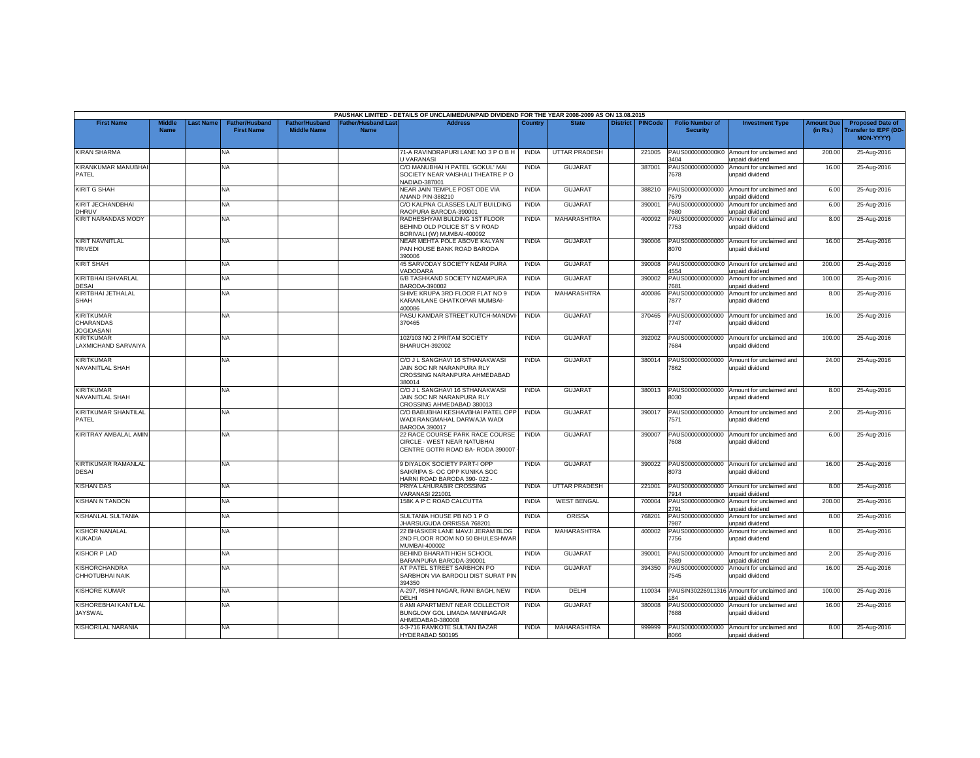|                                                            |                              |                  |                                            |                                             |                                          | PAUSHAK LIMITED - DETAILS OF UNCLAIMED/UNPAID DIVIDEND FOR THE YEAR 2008-2009 AS ON 13.08.2015         |              |                      |                 |                |                                           |                                                    |                               |                                                                            |
|------------------------------------------------------------|------------------------------|------------------|--------------------------------------------|---------------------------------------------|------------------------------------------|--------------------------------------------------------------------------------------------------------|--------------|----------------------|-----------------|----------------|-------------------------------------------|----------------------------------------------------|-------------------------------|----------------------------------------------------------------------------|
| <b>First Name</b>                                          | <b>Middle</b><br><b>Name</b> | <b>Last Name</b> | <b>Father/Husband</b><br><b>First Name</b> | <b>Father/Husband</b><br><b>Middle Name</b> | <b>Father/Husband Las</b><br><b>Name</b> | <b>Address</b>                                                                                         | Country      | <b>State</b>         | <b>District</b> | <b>PINCode</b> | <b>Folio Number of</b><br><b>Security</b> | <b>Investment Type</b>                             | <b>Amount Due</b><br>(in Rs.) | <b>Proposed Date of</b><br><b>Transfer to IEPF (DD</b><br><b>MON-YYYY)</b> |
| <b>KIRAN SHARMA</b>                                        |                              |                  | <b>NA</b>                                  |                                             |                                          | 71-A RAVINDRAPURI LANE NO 3 P O B H<br>J VARANASI                                                      | <b>INDIA</b> | <b>UTTAR PRADESH</b> |                 | 221005         | PAUS0000000000K0<br>3404                  | Amount for unclaimed and<br>unpaid dividend        | 200.00                        | 25-Aug-2016                                                                |
| KIRANKUMAR MANUBHAI<br>PATEL                               |                              |                  | NA                                         |                                             |                                          | C/O MANUBHAI H PATEL 'GOKUL' MAI<br>SOCIETY NEAR VAISHALI THEATRE PO<br><b>JADIAD-387001</b>           | <b>INDIA</b> | <b>GUJARAT</b>       |                 | 387001         | PAUS000000000000<br>7678                  | Amount for unclaimed and<br>unpaid dividend        | 16.00                         | 25-Aug-2016                                                                |
| <b>KIRIT G SHAH</b>                                        |                              |                  | NA                                         |                                             |                                          | VEAR JAIN TEMPLE POST ODE VIA<br><b>ANAND PIN-388210</b>                                               | <b>INDIA</b> | <b>GUJARAT</b>       |                 | 388210         | PAUS000000000000<br>679                   | Amount for unclaimed and<br>unpaid dividend        | 6.00                          | 25-Aug-2016                                                                |
| KIRIT JECHANDBHAI<br>DHRUV                                 |                              |                  | <b>NA</b>                                  |                                             |                                          | C/O KALPNA CLASSES LALIT BUILDING<br>RAOPURA BARODA-390001                                             | <b>INDIA</b> | <b>GUJARAT</b>       |                 | 390001         | PAUS000000000000<br>'680                  | Amount for unclaimed and<br>unpaid dividend        | 6.00                          | 25-Aug-2016                                                                |
| <b>KIRIT NARANDAS MODY</b>                                 |                              |                  | NA.                                        |                                             |                                          | RADHESHYAM BULDING 1ST FLOOR<br>BEHIND OLD POLICE ST S V ROAD<br>BORIVALI (W) MUMBAI-400092            | <b>INDIA</b> | <b>MAHARASHTRA</b>   |                 | 400092         | PAUS000000000000<br>753                   | Amount for unclaimed and<br>unpaid dividend        | 8.00                          | 25-Aug-2016                                                                |
| <b>KIRIT NAVNITLAL</b><br><b>TRIVEDI</b>                   |                              |                  | <b>NA</b>                                  |                                             |                                          | NEAR MEHTA POLE ABOVE KALYAN<br>PAN HOUSE BANK ROAD BARODA<br>390006                                   | <b>INDIA</b> | <b>GUJARAT</b>       |                 | 390006         | PAUS000000000000<br>8070                  | Amount for unclaimed and<br>unpaid dividend        | 16.00                         | 25-Aug-2016                                                                |
| <b>KIRIT SHAH</b>                                          |                              |                  | NA                                         |                                             |                                          | 45 SARVODAY SOCIETY NIZAM PURA<br>VADODARA                                                             | <b>INDIA</b> | <b>GUJARAT</b>       |                 | 390008         | PAUS0000000000K0<br>1554                  | Amount for unclaimed and<br>unpaid dividend        | 200.00                        | 25-Aug-2016                                                                |
| KIRITBHAI ISHVARLAL<br><b>DESAI</b>                        |                              |                  | NA                                         |                                             |                                          | 6/B TASHKAND SOCIETY NIZAMPURA<br>BARODA-390002                                                        | <b>INDIA</b> | <b>GUJARAT</b>       |                 | 390002         | PAUS000000000000<br>7681                  | Amount for unclaimed and<br>unpaid dividend        | 100.00                        | 25-Aug-2016                                                                |
| KIRITBHAI JETHALAL<br>SHAH                                 |                              |                  | <b>NA</b>                                  |                                             |                                          | SHIVE KRUPA 3RD FLOOR FLAT NO 9<br>KARANILANE GHATKOPAR MUMBAI-<br>400086                              | <b>INDIA</b> | MAHARASHTRA          |                 | 400086         | AUS000000000000<br>7877                   | Amount for unclaimed and<br>unpaid dividend        | 8.00                          | 25-Aug-2016                                                                |
| <b>KIRITKUMAR</b><br><b>CHARANDAS</b><br><b>JOGIDASANI</b> |                              |                  | NA                                         |                                             |                                          | PASU KAMDAR STREET KUTCH-MANDVI<br>370465                                                              | <b>INDIA</b> | <b>GUJARAT</b>       |                 | 370465         | PAUS000000000000<br>7747                  | Amount for unclaimed and<br>unpaid dividend        | 16.00                         | 25-Aug-2016                                                                |
| <b>KIRITKUMAR</b><br>LAXMICHAND SARVAIYA                   |                              |                  | <b>NA</b>                                  |                                             |                                          | 102/103 NO 2 PRITAM SOCIETY<br>BHARUCH-392002                                                          | <b>INDIA</b> | <b>GUJARAT</b>       |                 | 392002         | PAUS000000000000<br>'684                  | Amount for unclaimed and<br>unpaid dividend        | 100.00                        | 25-Aug-2016                                                                |
| <b>KIRITKUMAR</b><br>NAVANITLAL SHAH                       |                              |                  | NA.                                        |                                             |                                          | C/O J L SANGHAVI 16 STHANAKWASI<br>JAIN SOC NR NARANPURA RLY<br>CROSSING NARANPURA AHMEDABAD<br>380014 | <b>INDIA</b> | <b>GUJARAT</b>       |                 | 380014         | PAUS000000000000<br>7862                  | Amount for unclaimed and<br>unpaid dividend        | 24.00                         | 25-Aug-2016                                                                |
| <b>KIRITKUMAR</b><br><b>NAVANITLAL SHAH</b>                |                              |                  | <b>NA</b>                                  |                                             |                                          | C/O J L SANGHAVI 16 STHANAKWASI<br>JAIN SOC NR NARANPURA RLY<br>CROSSING AHMEDABAD 380013              | <b>INDIA</b> | <b>GUJARAT</b>       |                 | 380013         | PAUS000000000000<br>8030                  | Amount for unclaimed and<br>unpaid dividend        | 8.00                          | 25-Aug-2016                                                                |
| KIRITKUMAR SHANTILAL<br>PATEL                              |                              |                  | <b>NA</b>                                  |                                             |                                          | C/O BABUBHAI KESHAVBHAI PATEL OPP<br>WADI RANGMAHAL DARWAJA WADI<br><b>BARODA 390017</b>               | <b>INDIA</b> | GUJARAT              |                 | 390017         | PAUS000000000000<br>7571                  | Amount for unclaimed and<br>unpaid dividend        | 2.00                          | 25-Aug-2016                                                                |
| KIRITRAY AMBALAL AMIN                                      |                              |                  | <b>NA</b>                                  |                                             |                                          | 22 RACE COURSE PARK RACE COURSE<br>CIRCLE - WEST NEAR NATUBHAI<br>CENTRE GOTRI ROAD BA- RODA 390007    | <b>INDIA</b> | <b>GUJARAT</b>       |                 | 390007         | PAUS000000000000<br>7608                  | Amount for unclaimed and<br>unpaid dividend        | 6.00                          | 25-Aug-2016                                                                |
| KIRTIKUMAR RAMANLAL<br><b>DESAI</b>                        |                              |                  | NA.                                        |                                             |                                          | 9 DIYALOK SOCIETY PART-I OPP<br>SAIKRIPA S- OC OPP KUNIKA SOC<br>1ARNI ROAD BARODA 390-022 -           | <b>INDIA</b> | <b>GUJARAT</b>       |                 | 390022         | PAUS000000000000<br>8073                  | Amount for unclaimed and<br>unpaid dividend        | 16.00                         | 25-Aug-2016                                                                |
| <b>KISHAN DAS</b>                                          |                              |                  | <b>NA</b>                                  |                                             |                                          | PRIYA LAHURABIR CROSSING<br>/ARANASI 221001                                                            | <b>INDIA</b> | <b>UTTAR PRADESH</b> |                 | 221001         | PAUS000000000000<br>7914                  | Amount for unclaimed and<br>unpaid dividend        | 8.00                          | 25-Aug-2016                                                                |
| <b>KISHAN N TANDON</b>                                     |                              |                  | NA.                                        |                                             |                                          | 158K A P C ROAD CALCUTTA                                                                               | <b>INDIA</b> | <b>WEST BENGAL</b>   |                 | 700004         | PAUS0000000000K0<br>2791                  | Amount for unclaimed and<br>unpaid dividend        | 200.00                        | 25-Aug-2016                                                                |
| KISHANLAL SULTANIA                                         |                              |                  | <b>NA</b>                                  |                                             |                                          | SULTANIA HOUSE PB NO 1 P O<br>JHARSUGUDA ORRISSA 768201                                                | <b>INDIA</b> | <b>ORISSA</b>        |                 | 768201         | PAUS000000000000<br>'987                  | Amount for unclaimed and<br><b>Inpaid dividend</b> | 8.00                          | 25-Aug-2016                                                                |
| <b>KISHOR NANALAL</b><br><b>KUKADIA</b>                    |                              |                  | NA.                                        |                                             |                                          | 22 BHASKER LANE MAVJI JERAM BLDG<br>2ND FLOOR ROOM NO 50 BHULESHWAR<br>MUMBAI-400002                   | <b>INDIA</b> | MAHARASHTRA          |                 | 400002         | PAUS000000000000<br>756                   | Amount for unclaimed and<br>unpaid dividend        | 8.00                          | 25-Aug-2016                                                                |
| <b>KISHOR P LAD</b>                                        |                              |                  | <b>NA</b>                                  |                                             |                                          | BEHIND BHARATI HIGH SCHOOL<br>BARANPURA BARODA-390001                                                  | <b>INDIA</b> | <b>GUJARAT</b>       |                 | 390001         | PAUS000000000000<br>7689                  | Amount for unclaimed and<br>unpaid dividend        | 2.00                          | 25-Aug-2016                                                                |
| <b>KISHORCHANDRA</b><br>CHHOTUBHAI NAIK                    |                              |                  | <b>NA</b>                                  |                                             |                                          | AT PATEL STREET SARBHON PO<br>SARBHON VIA BARDOLI DIST SURAT PIN<br>394350                             | <b>INDIA</b> | <b>GUJARAT</b>       |                 | 394350         | AUS000000000000<br>545                    | Amount for unclaimed and<br>unpaid dividend        | 16.00                         | 25-Aug-2016                                                                |
| <b>KISHORE KUMAR</b>                                       |                              |                  | <b>NA</b>                                  |                                             |                                          | A-297, RISHI NAGAR, RANI BAGH, NEW<br><b>DEI HI</b>                                                    | <b>INDIA</b> | DELHI                |                 | 110034         | PAUSIN30226911316<br>R4                   | Amount for unclaimed and<br>unpaid dividend        | 100.00                        | 25-Aug-2016                                                                |
| KISHOREBHAI KANTILAL<br><b>JAYSWAL</b>                     |                              |                  | <b>NA</b>                                  |                                             |                                          | <b>SAMI APARTMENT NEAR COLLECTOR</b><br>BUNGLOW GOL LIMADA MANINAGAR<br>HMEDABAD-380008                | <b>INDIA</b> | <b>GUJARAT</b>       |                 | 380008         | PAUS000000000000<br>7688                  | Amount for unclaimed and<br>unpaid dividend        | 16.00                         | 25-Aug-2016                                                                |
| KISHORILAL NARANIA                                         |                              |                  | <b>NA</b>                                  |                                             |                                          | 4-3-716 RAMKOTE SULTAN BAZAR<br>HYDERABAD 500195                                                       | <b>INDIA</b> | MAHARASHTRA          |                 | 999999         | PAUS000000000000<br>8066                  | Amount for unclaimed and<br>unpaid dividend        | 8.00                          | 25-Aug-2016                                                                |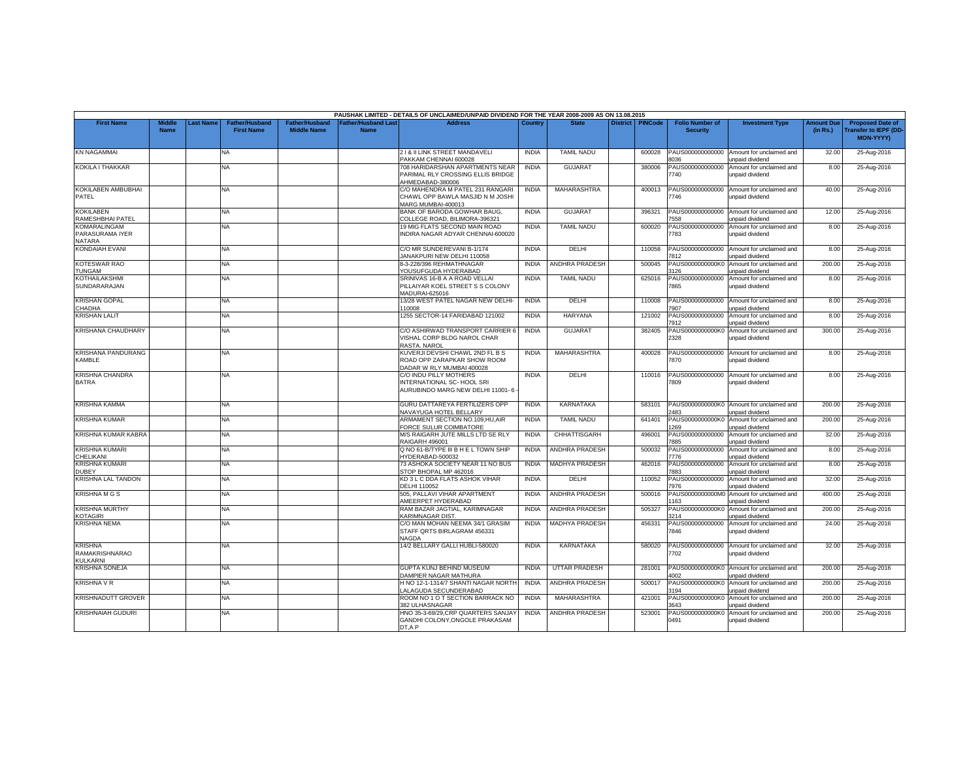|                                                            |                              |           |                                            |                                             |                                           | PAUSHAK LIMITED - DETAILS OF UNCLAIMED/UNPAID DIVIDEND FOR THE YEAR 2008-2009 AS ON 13.08.2015 |              |                       |                 |                |                                           |                                                              |                               |                                                                            |
|------------------------------------------------------------|------------------------------|-----------|--------------------------------------------|---------------------------------------------|-------------------------------------------|------------------------------------------------------------------------------------------------|--------------|-----------------------|-----------------|----------------|-------------------------------------------|--------------------------------------------------------------|-------------------------------|----------------------------------------------------------------------------|
| <b>First Name</b>                                          | <b>Middle</b><br><b>Name</b> | Last Name | <b>Father/Husband</b><br><b>First Name</b> | <b>Father/Husband</b><br><b>Middle Name</b> | <b>Father/Husband Last</b><br><b>Name</b> | <b>Address</b>                                                                                 | Country      | <b>State</b>          | <b>District</b> | <b>PINCode</b> | <b>Folio Number of</b><br><b>Security</b> | <b>Investment Type</b>                                       | <b>Amount Due</b><br>(in Rs.) | <b>Proposed Date of</b><br><b>Transfer to IEPF (DD</b><br><b>MON-YYYYY</b> |
| <b>KN NAGAMMAI</b>                                         |                              |           | NA                                         |                                             |                                           | 21& II LINK STREET MANDAVELI<br>PAKKAM CHENNAI 600028                                          | <b>INDIA</b> | <b>TAMIL NADU</b>     |                 | 600028         | PAUS000000000000<br>3036                  | Amount for unclaimed and<br>unpaid dividend                  | 32.00                         | 25-Aug-2016                                                                |
| KOKILA I THAKKAR                                           |                              |           | <b>NA</b>                                  |                                             |                                           | 708 HARIDARSHAN APARTMENTS NEAR<br>PARIMAL RLY CROSSING ELLIS BRIDGE<br>AHMEDABAD-380006       | <b>INDIA</b> | <b>GUJARAT</b>        |                 | 380006         | PAUS000000000000<br>7740                  | Amount for unclaimed and<br>unpaid dividend                  | 8.00                          | 25-Aug-2016                                                                |
| KOKILABEN AMBUBHAI<br>PATEL                                |                              |           | NA.                                        |                                             |                                           | C/O MAHENDRA M PATEL 231 RANGARI<br>CHAWL OPP BAWLA MASJID N M JOSHI<br>MARG MUMBAI-400013     | <b>INDIA</b> | <b>MAHARASHTRA</b>    |                 | 400013         | PAUS000000000000<br>7746                  | Amount for unclaimed and<br>unpaid dividend                  | 40.00                         | 25-Aug-2016                                                                |
| <b>KOKILABEN</b><br>RAMESHBHAI PATEL                       |                              |           | NA                                         |                                             |                                           | BANK OF BARODA GOWHAR BAUG,<br>COLLEGE ROAD, BILIMORA-396321                                   | <b>INDIA</b> | <b>GUJARAT</b>        |                 | 396321         | PAUS000000000000<br>558                   | Amount for unclaimed and<br>unpaid dividend                  | 12.00                         | 25-Aug-2016                                                                |
| <b>KOMARALINGAM</b><br>PARASURAMA IYER<br>NATARA           |                              |           | NA                                         |                                             |                                           | 19 MIG FLATS SECOND MAIN ROAD<br>INDIRA NAGAR ADYAR CHENNAI-600020                             | <b>INDIA</b> | <b>TAMIL NADU</b>     |                 | 600020         | PAUS000000000000<br>7783                  | Amount for unclaimed and<br>unpaid dividend                  | 8.00                          | 25-Aug-2016                                                                |
| KONDAIAH EVANI                                             |                              |           | NA                                         |                                             |                                           | C/O MR SUNDEREVANI B-1/174<br>JANAKPURI NEW DELHI 110058                                       | <b>INDIA</b> | DELHI                 |                 | 110058         | PAUS000000000000<br>7812                  | Amount for unclaimed and<br>unpaid dividend                  | 8.00                          | 25-Aug-2016                                                                |
| <b>KOTESWAR RAO</b><br><b>TUNGAM</b>                       |                              |           | NA                                         |                                             |                                           | 8-3-228/396 REHMATHNAGAR<br>YOUSUFGUDA HYDERABAD                                               | <b>INDIA</b> | <b>ANDHRA PRADESH</b> |                 | 500045         | PAUS0000000000K0<br>126                   | Amount for unclaimed and<br>inpaid dividend                  | 200.00                        | 25-Aug-2016                                                                |
| KOTHAILAKSHMI<br>SUNDARARAJAN                              |                              |           | NA.                                        |                                             |                                           | SRINIVAS 16-B A A ROAD VELLAI<br>PILLAIYAR KOEL STREET S S COLONY<br>MADURAI-625016            | <b>INDIA</b> | <b>TAMIL NADU</b>     |                 | 625016         | PAUS000000000000<br>7865                  | Amount for unclaimed and<br>unpaid dividend                  | 8.00                          | 25-Aug-2016                                                                |
| <b>KRISHAN GOPAL</b><br>CHADHA                             |                              |           | NA                                         |                                             |                                           | 13/28 WEST PATEL NAGAR NEW DELHI-<br>10008                                                     | <b>INDIA</b> | DELHI                 |                 | 110008         | PAUS000000000000<br>7907                  | Amount for unclaimed and<br>unpaid dividend                  | 8.00                          | 25-Aug-2016                                                                |
| <b>KRISHAN LALIT</b>                                       |                              |           | NA                                         |                                             |                                           | 1255 SECTOR-14 FARIDABAD 121002                                                                | <b>INDIA</b> | HARYANA               |                 | 121002         | PAUS000000000000<br>7912                  | Amount for unclaimed and<br>unpaid dividend                  | 8.00                          | 25-Aug-2016                                                                |
| <b>KRISHANA CHAUDHARY</b>                                  |                              |           | NA.                                        |                                             |                                           | C/O ASHIRWAD TRANSPORT CARRIER 6<br>VISHAL CORP BLDG NAROL CHAR<br>RASTA. NAROL                | <b>INDIA</b> | <b>GUJARAT</b>        |                 | 382405         | 2328                                      | PAUS0000000000K0 Amount for unclaimed and<br>unpaid dividend | 300.00                        | 25-Aug-2016                                                                |
| <b>KRISHANA PANDURANG</b><br><b>KAMBLE</b>                 |                              |           | NA                                         |                                             |                                           | KUVERJI DEVSHI CHAWL 2ND FL B S<br>ROAD OPP ZARAPKAR SHOW ROOM<br>DADAR W RLY MUMBAI 400028    | <b>INDIA</b> | MAHARASHTRA           |                 | 400028         | PAUS000000000000<br>7870                  | Amount for unclaimed and<br>unpaid dividend                  | 8.00                          | 25-Aug-2016                                                                |
| <b>KRISHNA CHANDRA</b><br><b>BATRA</b>                     |                              |           | NA                                         |                                             |                                           | C/O INDU PILLY MOTHERS<br>INTERNATIONAL SC- HOOL SRI<br>AURUBINDO MARG NEW DELHI 11001-6       | <b>INDIA</b> | DELHI                 |                 | 110016         | PAUS000000000000<br>'809                  | Amount for unclaimed and<br>unpaid dividend                  | 8.00                          | 25-Aug-2016                                                                |
| <b>KRISHNA KAMMA</b>                                       |                              |           | <b>NA</b>                                  |                                             |                                           | GURU DATTAREYA FERTILIZERS OPP<br><b>NAVAYUGA HOTEL BELLARY</b>                                | <b>INDIA</b> | <b>KARNATAKA</b>      |                 | 583101         | 2483                                      | PAUS0000000000K0 Amount for unclaimed and<br>unpaid dividend | 200.00                        | 25-Aug-2016                                                                |
| <b>KRISHNA KUMAR</b>                                       |                              |           | NA                                         |                                             |                                           | ARMAMENT SECTION NO.109,HU,AIR<br>FORCE SULUR COIMBATORE                                       | <b>INDIA</b> | <b>TAMIL NADU</b>     |                 | 641401         | PAUS0000000000K0<br>269                   | Amount for unclaimed and<br>unpaid dividend                  | 200.00                        | 25-Aug-2016                                                                |
| KRISHNA KUMAR KABRA                                        |                              |           | <b>NA</b>                                  |                                             |                                           | M/S RAIGARH JUTE MILLS LTD SE RLY<br>RAIGARH 496001                                            | <b>INDIA</b> | <b>CHHATTISGARH</b>   |                 | 496001         | PAUS000000000000<br>885                   | Amount for unclaimed and<br>unpaid dividend                  | 32.00                         | 25-Aug-2016                                                                |
| <b>KRISHNA KUMARI</b><br>CHELIKANI                         |                              |           | NA                                         |                                             |                                           | Q NO 61-B/TYPE III B H E L TOWN SHIP<br>HYDERABAD-500032                                       | <b>INDIA</b> | <b>ANDHRA PRADESH</b> |                 | 500032         | PAUS000000000000<br>7776                  | Amount for unclaimed and<br>unpaid dividend                  | 8.00                          | 25-Aug-2016                                                                |
| <b>KRISHNA KUMARI</b><br><b>DUBEY</b>                      |                              |           | NA.                                        |                                             |                                           | 73 ASHOKA SOCIETY NEAR 11 NO BUS<br>STOP BHOPAL MP 462016                                      | <b>INDIA</b> | <b>MADHYA PRADESH</b> |                 | 462016         | PAUS000000000000<br>7883                  | Amount for unclaimed and<br>unpaid dividend                  | 8.00                          | 25-Aug-2016                                                                |
| KRISHNA LAL TANDON                                         |                              |           | NA                                         |                                             |                                           | KD 3 L C DDA FLATS ASHOK VIHAR<br>DELHI 110052                                                 | <b>INDIA</b> | DELHI                 |                 | 110052         | PAUS000000000000<br>'976                  | Amount for unclaimed and<br><b>Inpaid dividend</b>           | 32.00                         | 25-Aug-2016                                                                |
| <b>KRISHNA M G S</b>                                       |                              |           | NA.                                        |                                             |                                           | 505. PALLAVI VIHAR APARTMENT<br>AMEERPET HYDERABAD                                             | <b>INDIA</b> | <b>ANDHRA PRADESH</b> |                 | 500016         | PAUS0000000000M0<br>163                   | Amount for unclaimed and<br>unpaid dividend                  | 400.00                        | 25-Aug-2016                                                                |
| <b>KRISHNA MURTHY</b><br><b>KOTAGIRI</b>                   |                              |           | NA                                         |                                             |                                           | RAM BAZAR JAGTIAL, KARIMNAGAR<br><b>KARIMNAGAR DIST</b>                                        | <b>INDIA</b> | ANDHRA PRADESH        |                 | 505327         | PAUS0000000000K0<br>3214                  | Amount for unclaimed and<br>unpaid dividend                  | 200.00                        | 25-Aug-2016                                                                |
| <b>KRISHNA NEMA</b>                                        |                              |           | NA                                         |                                             |                                           | C/O MAN MOHAN NEEMA 34/1 GRASIM<br>STAFF QRTS BIRLAGRAM 456331<br><b>NAGDA</b>                 | <b>INDIA</b> | <b>MADHYA PRADESH</b> |                 | 456331         | PAUS000000000000<br>7846                  | Amount for unclaimed and<br>unpaid dividend                  | 24.00                         | 25-Aug-2016                                                                |
| <b>KRISHNA</b><br><b>RAMAKRISHNARAO</b><br><b>KULKARNI</b> |                              |           | NA                                         |                                             |                                           | 14/2 BELLARY GALLI HUBLI-580020                                                                | <b>INDIA</b> | <b>KARNATAKA</b>      |                 | 580020         | 7702                                      | PAUS000000000000 Amount for unclaimed and<br>unpaid dividend | 32.00                         | 25-Aug-2016                                                                |
| <b>KRISHNA SONEJA</b>                                      |                              |           | NA                                         |                                             |                                           | GUPTA KUNJ BEHIND MUSEUM<br>DAMPIER NAGAR MATHURA                                              | <b>INDIA</b> | <b>UTTAR PRADESH</b>  |                 | 281001         | 4002                                      | PAUS0000000000K0 Amount for unclaimed and<br>unpaid dividend | 200.00                        | 25-Aug-2016                                                                |
| <b>KRISHNA V R</b>                                         |                              |           | NA                                         |                                             |                                           | H NO 12-1-1314/7 SHANTI NAGAR NORTH<br>ALAGUDA SECUNDERABAD                                    | <b>INDIA</b> | ANDHRA PRADESH        |                 | 500017         | PAUS0000000000K0<br>194                   | Amount for unclaimed and<br>inpaid dividend                  | 200.00                        | 25-Aug-2016                                                                |
| <b>KRISHNADUTT GROVER</b>                                  |                              |           | NA.                                        |                                             |                                           | ROOM NO 1 O T SECTION BARRACK NO<br>382 ULHASNAGAR                                             | <b>INDIA</b> | MAHARASHTRA           |                 | 421001         | PAUS0000000000K0<br>3643                  | Amount for unclaimed and<br>unpaid dividend                  | 200.00                        | 25-Aug-2016                                                                |
| <b>KRISHNAIAH GUDURI</b>                                   |                              |           | NA                                         |                                             |                                           | HNO 35-3-69/29,CRP QUARTERS SANJAY<br>GANDHI COLONY, ONGOLE PRAKASAM<br>DT.A P                 | <b>INDIA</b> | ANDHRA PRADESH        |                 | 523001         | PAUS0000000000K0<br>0491                  | Amount for unclaimed and<br>unpaid dividend                  | 200.00                        | 25-Aug-2016                                                                |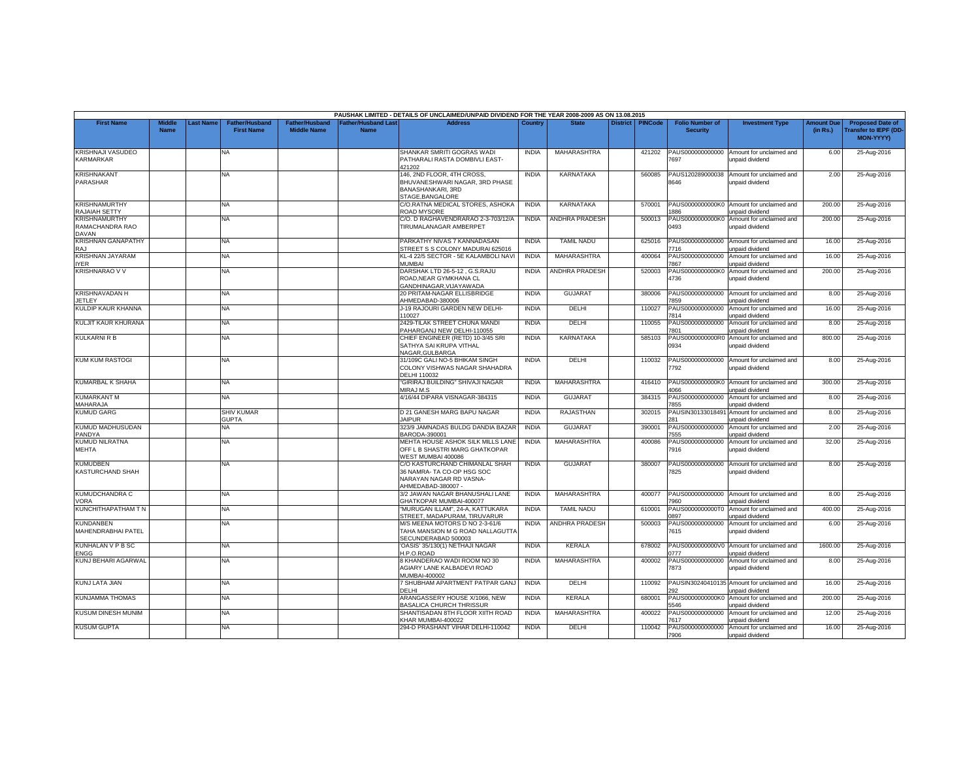|                                                  |                       |                 |                                            |                                             |                                          | PAUSHAK LIMITED - DETAILS OF UNCLAIMED/UNPAID DIVIDEND FOR THE YEAR 2008-2009 AS ON 13.08.2015              |              |                       |                 |                |                                           |                                                    |                               |                                                                     |
|--------------------------------------------------|-----------------------|-----------------|--------------------------------------------|---------------------------------------------|------------------------------------------|-------------------------------------------------------------------------------------------------------------|--------------|-----------------------|-----------------|----------------|-------------------------------------------|----------------------------------------------------|-------------------------------|---------------------------------------------------------------------|
| <b>First Name</b>                                | Middle<br><b>Name</b> | <b>ast Name</b> | <b>Father/Husband</b><br><b>First Name</b> | <b>Father/Husband</b><br><b>Middle Name</b> | <b>Father/Husband Las</b><br><b>Name</b> | <b>Address</b>                                                                                              | Country      | <b>State</b>          | <b>District</b> | <b>PINCode</b> | <b>Folio Number of</b><br><b>Security</b> | <b>Investment Type</b>                             | <b>Amount Due</b><br>(in Rs.) | <b>Proposed Date of</b><br><b>Transfer to IEPF (DD</b><br>MON-YYYY) |
| <b>KRISHNAJI VASUDEO</b><br><b>KARMARKAR</b>     |                       |                 | <b>NA</b>                                  |                                             |                                          | SHANKAR SMRITI GOGRAS WADI<br>PATHARALI RASTA DOMBIVLI EAST-<br>421202                                      | <b>INDIA</b> | MAHARASHTRA           |                 | 421202         | PAUS000000000000<br>7697                  | Amount for unclaimed and<br>unpaid dividend        | 6.00                          | 25-Aug-2016                                                         |
| <b>KRISHNAKANT</b><br>PARASHAR                   |                       |                 | <b>NA</b>                                  |                                             |                                          | 146, 2ND FLOOR, 4TH CROSS,<br>BHUVANESHWARI NAGAR, 3RD PHASE<br><b>BANASHANKARI, 3RD</b><br>STAGE.BANGALORE | <b>INDIA</b> | <b>KARNATAKA</b>      |                 | 560085         | PAUS120289000038<br>8646                  | Amount for unclaimed and<br>unpaid dividend        | 2.00                          | 25-Aug-2016                                                         |
| <b>KRISHNAMURTHY</b><br>RAJAIAH SETTY            |                       |                 | <b>NA</b>                                  |                                             |                                          | C/O.RATNA MEDICAL STORES, ASHOKA<br><b>ROAD MYSORE</b>                                                      | <b>INDIA</b> | <b>KARNATAKA</b>      |                 | 570001         | PAUS0000000000K0<br>886                   | Amount for unclaimed and<br>unpaid dividend        | 200.00                        | 25-Aug-2016                                                         |
| <b>KRISHNAMURTHY</b><br>RAMACHANDRA RAO<br>DAVAN |                       |                 | <b>NA</b>                                  |                                             |                                          | C/O. D RAGHAVENDRARAO 2-3-703/12/A<br>TIRUMALANAGAR AMBERPET                                                | <b>INDIA</b> | <b>ANDHRA PRADESH</b> |                 | 500013         | PAUS0000000000K0<br>0493                  | Amount for unclaimed and<br>unpaid dividend        | 200.00                        | 25-Aug-2016                                                         |
| <b>KRISHNAN GANAPATHY</b><br>RAJ                 |                       |                 | NA.                                        |                                             |                                          | PARKATHY NIVAS 7 KANNADASAN<br>STREET S S COLONY MADURAI 625016                                             | <b>INDIA</b> | <b>TAMIL NADU</b>     |                 | 625016         | PAUS000000000000<br>716                   | Amount for unclaimed and<br><b>Inpaid dividend</b> | 16.00                         | 25-Aug-2016                                                         |
| KRISHNAN JAYARAM<br><b>YER</b>                   |                       |                 | <b>NA</b>                                  |                                             |                                          | KL-4 22/5 SECTOR - 5E KALAMBOLI NAVI<br><b>MUMBAI</b>                                                       | <b>INDIA</b> | <b>MAHARASHTRA</b>    |                 | 400064         | PAUS000000000000<br>'867                  | Amount for unclaimed and<br>unpaid dividend        | 16.00                         | 25-Aug-2016                                                         |
| <b>KRISHNARAO V V</b>                            |                       |                 | NA                                         |                                             |                                          | DARSHAK LTD 26-5-12, G.S.RAJU<br>ROAD, NEAR GYMKHANA CL<br>GANDHINAGAR.VIJAYAWADA                           | <b>INDIA</b> | ANDHRA PRADESH        |                 | 520003         | PAUS0000000000K0<br>4736                  | Amount for unclaimed and<br>unpaid dividend        | 200.00                        | 25-Aug-2016                                                         |
| KRISHNAVADAN H<br><b>JETLEY</b>                  |                       |                 | NA.                                        |                                             |                                          | 20 PRITAM-NAGAR ELLISBRIDGE<br>AHMEDABAD-380006                                                             | <b>INDIA</b> | <b>GUJARAT</b>        |                 | 380006         | PAUS000000000000<br>859                   | Amount for unclaimed and<br>unpaid dividend        | 8.00                          | 25-Aug-2016                                                         |
| KULDIP KAUR KHANNA                               |                       |                 | NA                                         |                                             |                                          | J-19 RAJOURI GARDEN NEW DELHI-<br>10027                                                                     | <b>INDIA</b> | DELHI                 |                 | 110027         | PAUS000000000000<br>814                   | Amount for unclaimed and<br><b>Inpaid dividend</b> | 16.00                         | 25-Aug-2016                                                         |
| KULJIT KAUR KHURANA                              |                       |                 | <b>NA</b>                                  |                                             |                                          | 2429-TILAK STREET CHUNA MANDI<br>PAHARGANJ NEW DELHI-110055                                                 | <b>INDIA</b> | DELHI                 |                 | 110055         | PAUS000000000000<br>801                   | Amount for unclaimed and<br>unpaid dividend        | 8.00                          | 25-Aug-2016                                                         |
| <b>KULKARNI R B</b>                              |                       |                 | NA                                         |                                             |                                          | CHIEF ENGINEER (RETD) 10-3/45 SRI<br>SATHYA SAI KRUPA VITHAL<br><b>VAGAR.GULBARGA</b>                       | <b>INDIA</b> | <b>KARNATAKA</b>      |                 | 585103         | PAUS0000000000R0<br>0934                  | Amount for unclaimed and<br>unpaid dividend        | 800.00                        | 25-Aug-2016                                                         |
| <b>KUM KUM RASTOGI</b>                           |                       |                 | NA.                                        |                                             |                                          | 31/109C GALI NO-5 BHIKAM SINGH<br>COLONY VISHWAS NAGAR SHAHADRA<br>DELHI 110032                             | <b>INDIA</b> | DELHI                 |                 | 110032         | PAUS000000000000<br>7792                  | Amount for unclaimed and<br>unpaid dividend        | 8.00                          | 25-Aug-2016                                                         |
| KUMARBAL K SHAHA                                 |                       |                 | NA.                                        |                                             |                                          | GIRIRAJ BUILDING" SHIVAJI NAGAR<br>MIRAJ M.S                                                                | <b>INDIA</b> | MAHARASHTRA           |                 | 416410         | PAUS0000000000K0<br>1066                  | Amount for unclaimed and<br><b>Inpaid dividend</b> | 300.00                        | 25-Aug-2016                                                         |
| <b>KUMARKANT M</b><br>MAHARAJA                   |                       |                 | NA.                                        |                                             |                                          | 4/16/44 DIPARA VISNAGAR-384315                                                                              | <b>INDIA</b> | <b>GUJARAT</b>        |                 | 384315         | PAUS000000000000<br>855                   | Amount for unclaimed and<br>unpaid dividend        | 8.00                          | 25-Aug-2016                                                         |
| <b>KUMUD GARG</b>                                |                       |                 | <b>SHIV KUMAR</b><br><b>GUPTA</b>          |                                             |                                          | D 21 GANESH MARG BAPU NAGAR<br><b>JAIPUR</b>                                                                | <b>INDIA</b> | <b>RAJASTHAN</b>      |                 | 302015         | PAUSIN3013301849<br>281                   | Amount for unclaimed and<br>unpaid dividend        | 8.00                          | 25-Aug-2016                                                         |
| <b>KUMUD MADHUSUDAN</b><br>PANDYA                |                       |                 | NA.                                        |                                             |                                          | 323/9 JAMNADAS BULDG DANDIA BAZAR<br>BARODA-390001                                                          | <b>INDIA</b> | <b>GUJARAT</b>        |                 | 390001         | PAUS000000000000<br>555                   | Amount for unclaimed and<br>unpaid dividend        | 2.00                          | 25-Aug-2016                                                         |
| <b>KUMUD NILRATNA</b><br><b>MEHTA</b>            |                       |                 | NA                                         |                                             |                                          | MEHTA HOUSE ASHOK SILK MILLS LANE<br>OFF L B SHASTRI MARG GHATKOPAR<br>VEST MUMBAI 400086                   | <b>INDIA</b> | MAHARASHTRA           |                 | 400086         | PAUS000000000000<br>7916                  | Amount for unclaimed and<br>unpaid dividend        | 32.00                         | 25-Aug-2016                                                         |
| <b>KUMUDBEN</b><br><b>KASTURCHAND SHAH</b>       |                       |                 | NA                                         |                                             |                                          | C/O KASTURCHAND CHIMANLAL SHAH<br>36 NAMRA- TA CO-OP HSG SOC<br>NARAYAN NAGAR RD VASNA-<br>AHMEDABAD-380007 | <b>INDIA</b> | <b>GUJARAT</b>        |                 | 380007         | PAUS000000000000<br>7825                  | Amount for unclaimed and<br>unpaid dividend        | 8.00                          | 25-Aug-2016                                                         |
| KUMUDCHANDRA C<br>/ORA                           |                       |                 | NA.                                        |                                             |                                          | 3/2 JAWAN NAGAR BHANUSHALI LANE<br>GHATKOPAR MUMBAI-400077                                                  | <b>INDIA</b> | MAHARASHTRA           |                 | 400077         | PAUS000000000000<br>960                   | Amount for unclaimed and<br>unpaid dividend        | 8.00                          | 25-Aug-2016                                                         |
| KUNCHITHAPATHAM T N                              |                       |                 | NA.                                        |                                             |                                          | "MURUGAN ILLAM", 24-A, KATTUKARA<br>STREET, MADAPURAM, TIRUVARUR                                            | <b>INDIA</b> | <b>TAMIL NADU</b>     |                 | 610001         | PAUS0000000000T0<br>897                   | Amount for unclaimed and<br>unpaid dividend        | 400.00                        | 25-Aug-2016                                                         |
| <b>KUNDANBEN</b><br><b>MAHENDRABHAI PATEL</b>    |                       |                 | <b>NA</b>                                  |                                             |                                          | M/S MEENA MOTORS D NO 2-3-61/6<br>TAHA MANSION M G ROAD NALLAGUTTA<br>SECUNDERABAD 500003                   | <b>INDIA</b> | <b>ANDHRA PRADESH</b> |                 | 500003         | PAUS000000000000<br>7615                  | Amount for unclaimed and<br>unpaid dividend        | 6.00                          | 25-Aug-2016                                                         |
| KUNHALAN V P B SC<br><b>ENGG</b>                 |                       |                 | <b>NA</b>                                  |                                             |                                          | 'OASIS' 35/130(1) NETHAJI NAGAR<br>I.P.O.ROAD                                                               | <b>INDIA</b> | KERALA                |                 | 678002         | PAUS0000000000V0<br>)777                  | Amount for unclaimed and<br>unpaid dividend        | 1600.00                       | 25-Aug-2016                                                         |
| KUNJ BEHARI AGARWAL                              |                       |                 | <b>NA</b>                                  |                                             |                                          | 8 KHANDERAO WADI ROOM NO 30<br>AGIARY LANE KALBADEVI ROAD<br>MUMBAI-400002                                  | <b>INDIA</b> | MAHARASHTRA           |                 | 400002         | PAUS000000000000<br>7873                  | Amount for unclaimed and<br>unpaid dividend        | 8.00                          | 25-Aug-2016                                                         |
| KUNJ LATA JIAN                                   |                       |                 | <b>NA</b>                                  |                                             |                                          | 7 SHUBHAM APARTMENT PATPAR GANJ<br><b>DELHI</b>                                                             | <b>INDIA</b> | DELHI                 |                 | 110092         | PAUSIN3024041013<br>92                    | Amount for unclaimed and<br>unpaid dividend        | 16.00                         | 25-Aug-2016                                                         |
| <b>KUNJAMMA THOMAS</b>                           |                       |                 | NA.                                        |                                             |                                          | ARANGASSERY HOUSE X/1066, NEW<br><b>BASALICA CHURCH THRISSUR</b>                                            | <b>INDIA</b> | <b>KERALA</b>         |                 | 680001         | PAUS0000000000K0<br>5546                  | Amount for unclaimed and<br>unpaid dividend        | 200.00                        | 25-Aug-2016                                                         |
| KUSUM DINESH MUNIM                               |                       |                 | <b>NA</b>                                  |                                             |                                          | SHANTISADAN 8TH FLOOR XIITH ROAD<br>KHAR MUMBAI-400022                                                      | <b>INDIA</b> | MAHARASHTRA           |                 | 400022         | PAUS000000000000<br>7617                  | Amount for unclaimed and<br>unpaid dividend        | 12.00                         | 25-Aug-2016                                                         |
| <b>KUSUM GUPTA</b>                               |                       |                 | NA.                                        |                                             |                                          | 294-D PRASHANT VIHAR DELHI-110042                                                                           | <b>INDIA</b> | DELHI                 |                 | 110042         | PAUS000000000000<br>7906                  | Amount for unclaimed and<br>unpaid dividend        | 16.00                         | 25-Aug-2016                                                         |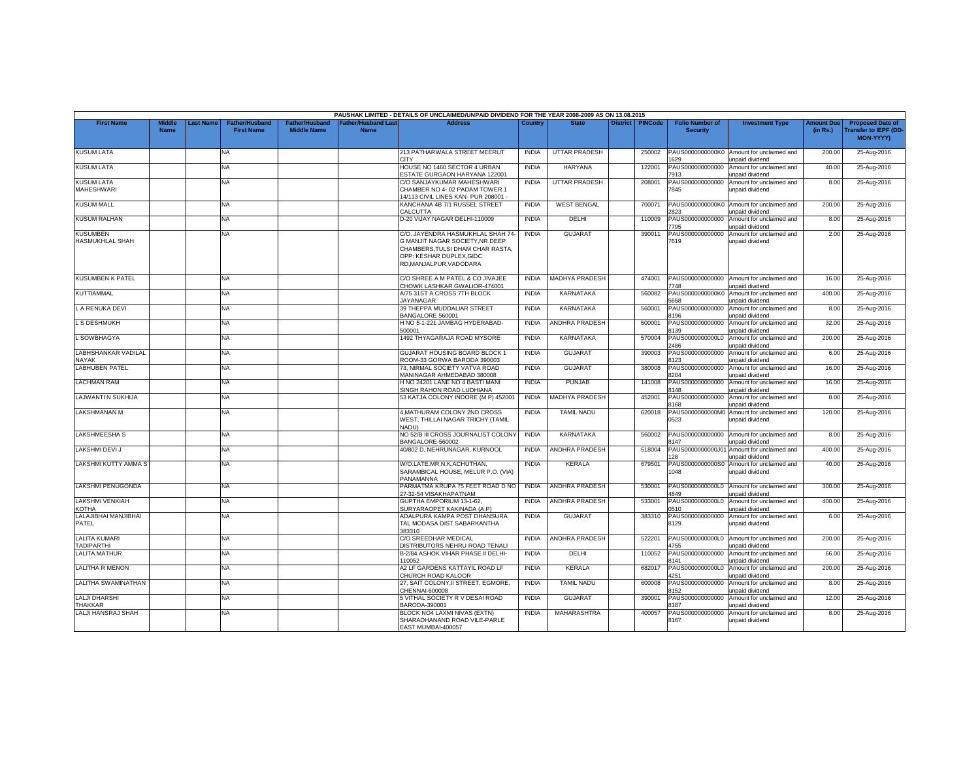|                                           |                              |           |                                            |                                             |                                           | PAUSHAK LIMITED - DETAILS OF UNCLAIMED/UNPAID DIVIDEND FOR THE YEAR 2008-2009 AS ON 13.08.2015                                                                  |              |                       |                 |                |                                           |                                                               |                               |                                                                            |
|-------------------------------------------|------------------------------|-----------|--------------------------------------------|---------------------------------------------|-------------------------------------------|-----------------------------------------------------------------------------------------------------------------------------------------------------------------|--------------|-----------------------|-----------------|----------------|-------------------------------------------|---------------------------------------------------------------|-------------------------------|----------------------------------------------------------------------------|
| <b>First Name</b>                         | <b>Middle</b><br><b>Name</b> | Last Name | <b>Father/Husband</b><br><b>First Name</b> | <b>Father/Husband</b><br><b>Middle Name</b> | <b>Father/Husband Last</b><br><b>Name</b> | <b>Address</b>                                                                                                                                                  | Country      | <b>State</b>          | <b>District</b> | <b>PINCode</b> | <b>Folio Number of</b><br><b>Security</b> | <b>Investment Type</b>                                        | <b>Amount Due</b><br>(in Rs.) | <b>Proposed Date of</b><br><b>Transfer to IEPF (DD</b><br><b>MON-YYYYY</b> |
| <b>KUSUM LATA</b>                         |                              |           | NA                                         |                                             |                                           | 213 PATHARWALA STREET MEERUT<br><b>CITY</b>                                                                                                                     | <b>INDIA</b> | <b>UTTAR PRADESH</b>  |                 | 250002         | PAUS0000000000K0<br>629                   | Amount for unclaimed and<br>unpaid dividend                   | 200.00                        | 25-Aug-2016                                                                |
| <b>KUSUM LATA</b>                         |                              |           | <b>NA</b>                                  |                                             |                                           | HOUSE NO 1460 SECTOR 4 URBAN<br><b>ESTATE GURGAON HARYANA 122001</b>                                                                                            | <b>INDIA</b> | <b>HARYANA</b>        |                 | 122001         | PAUS000000000000<br>'913                  | Amount for unclaimed and<br>unpaid dividend                   | 40.00                         | 25-Aug-2016                                                                |
| <b>KUSUM LATA</b><br><b>MAHESHWARI</b>    |                              |           | ΝA                                         |                                             |                                           | C/O SANJAYKUMAR MAHESHWARI<br>CHAMBER NO 4-02 PADAM TOWER 1<br>14/113 CIVIL LINES KAN- PUR 208001 -                                                             | <b>INDIA</b> | <b>UTTAR PRADESH</b>  |                 | 208001         | PAUS000000000000<br>7845                  | Amount for unclaimed and<br>unpaid dividend                   | 8.00                          | 25-Aug-2016                                                                |
| <b>KUSUM MALL</b>                         |                              |           | NA                                         |                                             |                                           | KANCHANA 4B 7/1 RUSSEL STREET<br>CALCUTTA                                                                                                                       | <b>INDIA</b> | <b>WEST BENGAL</b>    |                 | 700071         | 2823                                      | PAUS0000000000K0 Amount for unclaimed and<br>unpaid dividend  | 200.00                        | 25-Aug-2016                                                                |
| <b>KUSUM RALHAN</b>                       |                              |           | NA.                                        |                                             |                                           | D-20 VIJAY NAGAR DELHI-110009                                                                                                                                   | <b>INDIA</b> | <b>DELHI</b>          |                 | 110009         | PAUS000000000000<br>795                   | Amount for unclaimed and<br><b>Inpaid dividend</b>            | 8.00                          | 25-Aug-2016                                                                |
| <b>KUSUMBEN</b><br><b>HASMUKHLAL SHAH</b> |                              |           | NA                                         |                                             |                                           | C/O. JAYENDRA HASMUKHLAL SHAH 74-<br>G MANJIT NAGAR SOCIETY, NR. DEEP<br>CHAMBERS, TULSI DHAM CHAR RASTA,<br>OPP: KESHAR DUPLEX.GIDC<br>RD, MANJALPUR, VADODARA | <b>INDIA</b> | <b>GUJARA1</b>        |                 | 390011         | PAUS000000000000<br>7619                  | Amount for unclaimed and<br>unpaid dividend                   | 2.00                          | 25-Aug-2016                                                                |
| <b>KUSUMBEN K PATEL</b>                   |                              |           | <b>NA</b>                                  |                                             |                                           | C/O SHREE A M PATEL & CO JIVAJEE<br>HOWK LASHKAR GWALIOR-474001                                                                                                 | <b>INDIA</b> | <b>MADHYA PRADESH</b> |                 | 474001         | PAUS000000000000<br>7748                  | Amount for unclaimed and<br>unpaid dividend                   | 16.00                         | 25-Aug-2016                                                                |
| <b>KUTTIAMMAL</b>                         |                              |           | NA                                         |                                             |                                           | A/75 31ST A CROSS 7TH BLOCK<br><b>IAYANAGAR</b>                                                                                                                 | <b>INDIA</b> | KARNATAKA             |                 | 560082         | PAUS0000000000K0<br>5658                  | Amount for unclaimed and<br>unpaid dividend                   | 400.00                        | 25-Aug-2016                                                                |
| L A RENUKA DEVI                           |                              |           | NA.                                        |                                             |                                           | 39 THEPPA MUDDALIAR STREET<br>BANGALORE 560001                                                                                                                  | <b>INDIA</b> | <b>KARNATAKA</b>      |                 | 560001         | PAUS000000000000<br>3196                  | Amount for unclaimed and<br>unpaid dividend                   | 8.00                          | 25-Aug-2016                                                                |
| L S DESHMUKH                              |                              |           | NA.                                        |                                             |                                           | H NO 5-1-221 JAMBAG HYDERABAD-<br>500001                                                                                                                        | <b>INDIA</b> | <b>ANDHRA PRADESH</b> |                 | 500001         | PAUS000000000000<br>3139                  | Amount for unclaimed and<br>unpaid dividend                   | 32.00                         | 25-Aug-2016                                                                |
| L SOWBHAGYA                               |                              |           | NA                                         |                                             |                                           | 1492 THYAGARAJA ROAD MYSORE                                                                                                                                     | <b>INDIA</b> | <b>KARNATAKA</b>      |                 | 570004         | PAUS0000000000L0<br>2486                  | Amount for unclaimed and<br>unpaid dividend                   | 200.00                        | 25-Aug-2016                                                                |
| LABHSHANKAR VADILAL<br><b>NAYAK</b>       |                              |           | NA                                         |                                             |                                           | GUJARAT HOUSING BOARD BLOCK 1<br>ROOM-33 GORWA BARODA 390003                                                                                                    | <b>INDIA</b> | GUJARAT               |                 | 390003         | PAUS000000000000<br>8123                  | Amount for unclaimed and<br>unpaid dividend                   | 6.00                          | 25-Aug-2016                                                                |
| <b>LABHUBEN PATEL</b>                     |                              |           | NA.                                        |                                             |                                           | 73. NIRMAL SOCIETY VATVA ROAD<br>MANINAGAR AHMEDABAD 380008                                                                                                     | <b>INDIA</b> | <b>GUJARAT</b>        |                 | 380008         | PAUS000000000000<br>8204                  | Amount for unclaimed and<br>unpaid dividend                   | 16.00                         | 25-Aug-2016                                                                |
| <b>LACHMAN RAM</b>                        |                              |           | NA                                         |                                             |                                           | H NO 24201 LANE NO 4 BASTI MANI<br>SINGH RAHON ROAD LUDHIANA                                                                                                    | <b>INDIA</b> | <b>PUNJAB</b>         |                 | 141008         | PAUS000000000000<br>3148                  | Amount for unclaimed and<br><b>Inpaid dividend</b>            | 16.00                         | 25-Aug-2016                                                                |
| LAJWANTI N SUKHIJA                        |                              |           | NA                                         |                                             |                                           | 53 KATJA COLONY INDORE (M P) 452001                                                                                                                             | <b>INDIA</b> | <b>MADHYA PRADESH</b> |                 | 452001         | PAUS000000000000<br>3168                  | Amount for unclaimed and<br>unpaid dividend                   | 8.00                          | 25-Aug-2016                                                                |
| <b>LAKSHMANAN M</b>                       |                              |           | <b>NA</b>                                  |                                             |                                           | 4, MATHURAM COLONY 2ND CROSS<br>WEST. THILLAI NAGAR TRICHY (TAMIL<br><b>NADU)</b>                                                                               | <b>INDIA</b> | <b>TAMIL NADU</b>     |                 | 620018         | PAUS0000000000M0<br>0523                  | Amount for unclaimed and<br>unpaid dividend                   | 120.00                        | 25-Aug-2016                                                                |
| LAKSHMEESHA S                             |                              |           | NA                                         |                                             |                                           | NO 52/B III CROSS JOURNALIST COLONY<br>BANGALORE-560002                                                                                                         | <b>INDIA</b> | <b>KARNATAKA</b>      |                 | 560002         | PAUS000000000000<br>3147                  | Amount for unclaimed and<br>unpaid dividend                   | 8.00                          | 25-Aug-2016                                                                |
| LAKSHMI DEVI J                            |                              |           | NA                                         |                                             |                                           | 40/802 D. NEHRUNAGAR, KURNOOL                                                                                                                                   | <b>INDIA</b> | <b>ANDHRA PRADESH</b> |                 | 518004         | 28                                        | PAUS0000000000J01 Amount for unclaimed and<br>unpaid dividend | 400.00                        | 25-Aug-2016                                                                |
| LAKSHMI KUTTY AMMA S                      |                              |           | NA                                         |                                             |                                           | W/O.LATE.MR.N.K.ACHUTHAN,<br>SARAMBICAL HOUSE, MELUR P.O. (VIA)<br>PANAMANNA                                                                                    | <b>INDIA</b> | KERALA                |                 | 679501         | PAUS0000000000S0<br>1048                  | Amount for unclaimed and<br>unpaid dividend                   | 40.00                         | 25-Aug-2016                                                                |
| LAKSHMI PENUGONDA                         |                              |           | NA                                         |                                             |                                           | PARMATMA KRUPA 75 FEET ROAD D NO<br>27-32-54 VISAKHAPATNAM                                                                                                      | <b>INDIA</b> | ANDHRA PRADESH        |                 | 530001         | PAUS0000000000L0<br>1849                  | Amount for unclaimed and<br>unpaid dividend                   | 300.00                        | 25-Aug-2016                                                                |
| <b>LAKSHMI VENKIAH</b><br><b>KOTHA</b>    |                              |           | NA.                                        |                                             |                                           | <b>GUPTHA EMPORIUM 13-1-62.</b><br>SURYARAOPET KAKINADA (A.P)                                                                                                   | <b>INDIA</b> | <b>ANDHRA PRADESH</b> |                 | 533001         | PAUS0000000000L0<br>1510                  | Amount for unclaimed and<br>unpaid dividend                   | 400.00                        | 25-Aug-2016                                                                |
| LALAJIBHAI MANJIBHAI<br>PATEL             |                              |           | NA                                         |                                             |                                           | ADALPURA KAMPA POST DHANSURA<br>TAL MODASA DIST SABARKANTHA<br>383310                                                                                           | <b>INDIA</b> | <b>GUJARA1</b>        |                 | 383310         | PAUS000000000000<br>8129                  | Amount for unclaimed and<br>unpaid dividend                   | 6.00                          | 25-Aug-2016                                                                |
| <b>LALITA KUMARI</b><br><b>TADIPARTHI</b> |                              |           | NA                                         |                                             |                                           | C/O SREEDHAR MEDICAL<br>DISTRIBUTORS NEHRU ROAD TENALI                                                                                                          | <b>INDIA</b> | ANDHRA PRADESH        |                 | 522201         | PAUS0000000000L0<br>4755                  | Amount for unclaimed and<br>unpaid dividend                   | 200.00                        | 25-Aug-2016                                                                |
| <b>LALITA MATHUR</b>                      |                              |           | <b>NA</b>                                  |                                             |                                           | B-2/84 ASHOK VIHAR PHASE II DELHI-<br>110052                                                                                                                    | <b>INDIA</b> | DELHI                 |                 | 110052         | PAUS000000000000<br>3141                  | Amount for unclaimed and<br>unpaid dividend                   | 66.00                         | 25-Aug-2016                                                                |
| <b>LALITHA R MENON</b>                    |                              |           | NA                                         |                                             |                                           | A2 LF GARDENS KATTAYIL ROAD LF<br>CHURCH ROAD KALOOR                                                                                                            | <b>INDIA</b> | KERALA                |                 | 682017         | PAUS0000000000L0<br>1251                  | Amount for unclaimed and<br>unpaid dividend                   | 200.00                        | 25-Aug-2016                                                                |
| LALITHA SWAMINATHAN                       |                              |           | NA.                                        |                                             |                                           | 27. SAIT COLONY.II STREET. EGMORE.<br>CHENNAI-600008                                                                                                            | <b>INDIA</b> | <b>TAMIL NADU</b>     |                 | 600008         | PAUS000000000000<br>8152                  | Amount for unclaimed and<br>unpaid dividend                   | 8.00                          | 25-Aug-2016                                                                |
| <b>LALJI DHARSHI</b><br><b>THAKKAR</b>    |                              |           | NA                                         |                                             |                                           | 5 VITHAL SOCIETY R V DESAI ROAD<br>BARODA-390001                                                                                                                | <b>INDIA</b> | <b>GUJARAT</b>        |                 | 390001         | PAUS000000000000<br>187                   | Amount for unclaimed and<br>Inpaid dividend                   | 12.00                         | 25-Aug-2016                                                                |
| LALJI HANSRAJ SHAH                        |                              |           | NA.                                        |                                             |                                           | BLOCK NO4 LAXMI NIVAS (EXTN)<br>SHARADHANAND ROAD VILE-PARLE<br>EAST MUMBAI-400057                                                                              | <b>INDIA</b> | <b>MAHARASHTRA</b>    |                 | 400057         | PAUS000000000000<br>8167                  | Amount for unclaimed and<br>unpaid dividend                   | 8.00                          | 25-Aug-2016                                                                |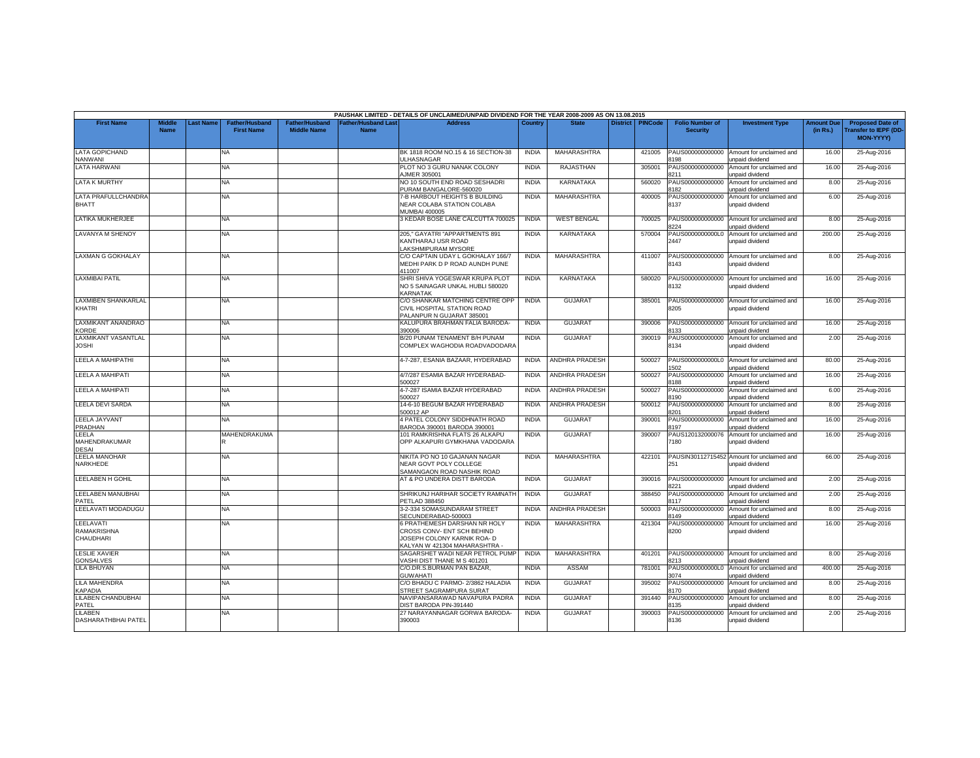|                                              |                              |           |                                            |                                             |                                           | PAUSHAK LIMITED - DETAILS OF UNCLAIMED/UNPAID DIVIDEND FOR THE YEAR 2008-2009 AS ON 13.08.2015                           |              |                       |                 |                |                                           |                                                               |                               |                                                                            |
|----------------------------------------------|------------------------------|-----------|--------------------------------------------|---------------------------------------------|-------------------------------------------|--------------------------------------------------------------------------------------------------------------------------|--------------|-----------------------|-----------------|----------------|-------------------------------------------|---------------------------------------------------------------|-------------------------------|----------------------------------------------------------------------------|
| <b>First Name</b>                            | <b>Middle</b><br><b>Name</b> | Last Name | <b>Father/Husband</b><br><b>First Name</b> | <b>Father/Husband</b><br><b>Middle Name</b> | <b>Father/Husband Last</b><br><b>Name</b> | <b>Address</b>                                                                                                           | Country      | <b>State</b>          | <b>District</b> | <b>PINCode</b> | <b>Folio Number of</b><br><b>Security</b> | <b>Investment Type</b>                                        | <b>Amount Due</b><br>(in Rs.) | <b>Proposed Date of</b><br><b>Transfer to IEPF (DD</b><br><b>MON-YYYY)</b> |
| <b>LATA GOPICHAND</b><br>NANWANI             |                              |           | NA                                         |                                             |                                           | BK 1818 ROOM NO.15 & 16 SECTION-38<br><b>JLHASNAGAR</b>                                                                  | <b>INDIA</b> | <b>MAHARASHTRA</b>    |                 | 421005         | PAUS000000000000<br>198                   | Amount for unclaimed and<br>unpaid dividend                   | 16.00                         | 25-Aug-2016                                                                |
| <b>LATA HARWANI</b>                          |                              |           | NA                                         |                                             |                                           | PLOT NO 3 GURU NANAK COLONY<br><b>JMER 305001</b>                                                                        | <b>INDIA</b> | <b>RAJASTHAN</b>      |                 | 305001         | PAUS000000000000<br>211                   | Amount for unclaimed and<br>Innaid dividend                   | 16.00                         | 25-Aug-2016                                                                |
| <b>LATA K MURTHY</b>                         |                              |           | NA                                         |                                             |                                           | NO 10 SOUTH END ROAD SESHADRI<br>URAM BANGALORE-560020                                                                   | <b>INDIA</b> | <b>KARNATAKA</b>      |                 | 560020         | PAUS000000000000<br>182                   | Amount for unclaimed and<br>unpaid dividend                   | 8.00                          | 25-Aug-2016                                                                |
| LATA PRAFULLCHANDRA<br><b>BHATT</b>          |                              |           | <b>NA</b>                                  |                                             |                                           | 7-B HARBOUT HEIGHTS B BUILDING<br>NEAR COLABA STATION COLABA<br>MUMBAI 400005                                            | <b>INDIA</b> | <b>MAHARASHTRA</b>    |                 | 400005         | PAUS000000000000<br>8137                  | Amount for unclaimed and<br>unpaid dividend                   | 6.00                          | 25-Aug-2016                                                                |
| LATIKA MUKHERJEE                             |                              |           | NA                                         |                                             |                                           | 3 KEDAR BOSE LANE CALCUTTA 700025                                                                                        | <b>INDIA</b> | <b>WEST BENGAL</b>    |                 | 700025         | PAUS000000000000<br>3224                  | Amount for unclaimed and<br><b>Inpaid dividend</b>            | 8.00                          | 25-Aug-2016                                                                |
| LAVANYA M SHENOY                             |                              |           | NA                                         |                                             |                                           | 205," GAYATRI "APPARTMENTS 891<br>KANTHARAJ USR ROAD<br>LAKSHMIPURAM MYSORE                                              | <b>INDIA</b> | <b>KARNATAKA</b>      |                 | 570004         | PAUS0000000000L0<br>2447                  | Amount for unclaimed and<br>unpaid dividend                   | 200.00                        | 25-Aug-2016                                                                |
| LAXMAN G GOKHALAY                            |                              |           | NA                                         |                                             |                                           | C/O CAPTAIN UDAY L GOKHALAY 166/7<br>MEDHI PARK D P ROAD AUNDH PUNE<br>411007                                            | <b>INDIA</b> | MAHARASHTRA           |                 | 411007         | PAUS000000000000<br>8143                  | Amount for unclaimed and<br>unpaid dividend                   | 8.00                          | 25-Aug-2016                                                                |
| <b>LAXMIBAI PATIL</b>                        |                              |           | NA.                                        |                                             |                                           | SHRI SHIVA YOGESWAR KRUPA PLOT<br>NO 5 SAINAGAR UNKAL HUBLI 580020<br><b>KARNATAK</b>                                    | <b>INDIA</b> | <b>KARNATAKA</b>      |                 | 580020         | PAUS000000000000<br>8132                  | Amount for unclaimed and<br>unpaid dividend                   | 16.00                         | 25-Aug-2016                                                                |
| <b>LAXMIBEN SHANKARLAL</b><br>KHATRI         |                              |           | NA.                                        |                                             |                                           | C/O SHANKAR MATCHING CENTRE OPP<br>CIVIL HOSPITAL STATION ROAD<br>PALANPUR N GUJARAT 385001                              | <b>INDIA</b> | GUJARAT               |                 | 385001         | 8205                                      | PAUS000000000000 Amount for unclaimed and<br>unpaid dividend  | 16.00                         | 25-Aug-2016                                                                |
| LAXMIKANT ANANDRAO<br><b>KORDE</b>           |                              |           | NA.                                        |                                             |                                           | KALUPURA BRAHMAN FALIA BARODA-<br>390006                                                                                 | <b>INDIA</b> | <b>GUJARAT</b>        |                 | 390006         | PAUS000000000000<br>133                   | Amount for unclaimed and<br>unpaid dividend                   | 16.00                         | 25-Aug-2016                                                                |
| <b>LAXMIKANT VASANTLAL</b><br><b>JOSHI</b>   |                              |           | NA                                         |                                             |                                           | B/20 PUNAM TENAMENT B/H PUNAM<br>COMPLEX WAGHODIA ROADVADODARA                                                           | <b>INDIA</b> | <b>GUJARAT</b>        |                 | 390019         | PAUS000000000000<br>8134                  | Amount for unclaimed and<br>unpaid dividend                   | 2.00                          | 25-Aug-2016                                                                |
| LEELA A MAHIPATHI                            |                              |           | NA                                         |                                             |                                           | 4-7-287, ESANIA BAZAAR, HYDERABAD                                                                                        | <b>INDIA</b> | ANDHRA PRADESH        |                 | 500027         | PAUS0000000000L0<br>502                   | Amount for unclaimed and<br>unpaid dividend                   | 80.00                         | 25-Aug-2016                                                                |
| <b>LEELA A MAHIPATI</b>                      |                              |           | NA                                         |                                             |                                           | 4/7/287 ESAMIA BAZAR HYDERABAD-<br>00027                                                                                 | <b>INDIA</b> | ANDHRA PRADESH        |                 | 500027         | PAUS000000000000<br>188                   | Amount for unclaimed and<br>unpaid dividend                   | 16.00                         | 25-Aug-2016                                                                |
| LEELA A MAHIPATI                             |                              |           | ΝA                                         |                                             |                                           | 4-7-287 ISAMIA BAZAR HYDERABAD<br>00027                                                                                  | <b>INDIA</b> | <b>ANDHRA PRADESH</b> |                 | 500027         | PAUS000000000000<br>3190                  | Amount for unclaimed and<br>unpaid dividend                   | 6.00                          | 25-Aug-2016                                                                |
| LEELA DEVI SARDA                             |                              |           | <b>NA</b>                                  |                                             |                                           | 14-6-10 BEGUM BAZAR HYDERABAD<br>500012 AP                                                                               | <b>INDIA</b> | <b>ANDHRA PRADESH</b> |                 | 500012         | PAUS000000000000<br>8201                  | Amount for unclaimed and<br>unpaid dividend                   | 8.00                          | 25-Aug-2016                                                                |
| LEELA JAYVANT<br>PRADHAN                     |                              |           | NA                                         |                                             |                                           | 4 PATEL COLONY SIDDHNATH ROAD<br>BARODA 390001 BARODA 390001                                                             | <b>INDIA</b> | GUJARAT               |                 | 390001         | PAUS000000000000<br>3197                  | Amount for unclaimed and<br><b>Inpaid dividend</b>            | 16.00                         | 25-Aug-2016                                                                |
| LEELA<br>MAHENDRAKUMAR<br><b>DESAI</b>       |                              |           | MAHENDRAKUMA                               |                                             |                                           | 101 RAMKRISHNA FLATS 26 ALKAPU<br>OPP ALKAPURI GYMKHANA VADODARA                                                         | <b>INDIA</b> | <b>GUJARAT</b>        |                 | 390007         | PAUS120132000076<br>180                   | Amount for unclaimed and<br>unpaid dividend                   | 16.00                         | 25-Aug-2016                                                                |
| <b>LEELA MANOHAR</b><br>NARKHEDE             |                              |           | NA.                                        |                                             |                                           | NIKITA PO NO 10 GAJANAN NAGAR<br>NEAR GOVT POLY COLLEGE<br>SAMANGAON ROAD NASHIK ROAD                                    | <b>INDIA</b> | <b>MAHARASHTRA</b>    |                 | 422101         | 251                                       | PAUSIN30112715452 Amount for unclaimed and<br>unpaid dividend | 66.00                         | 25-Aug-2016                                                                |
| LEELABEN H GOHIL                             |                              |           | NA                                         |                                             |                                           | AT & PO UNDERA DISTT BARODA                                                                                              | <b>INDIA</b> | <b>GUJARAT</b>        |                 | 390016         | PAUS000000000000<br>221                   | Amount for unclaimed and<br>unpaid dividend                   | 2.00                          | 25-Aug-2016                                                                |
| LEELABEN MANUBHAI<br>PATEL                   |                              |           | NA                                         |                                             |                                           | SHRIKUNJ HARIHAR SOCIETY RAMNATH<br>PETLAD 388450                                                                        | <b>INDIA</b> | GUJARAT               |                 | 388450         | PAUS000000000000<br>3117                  | Amount for unclaimed and<br>unpaid dividend                   | 2.00                          | 25-Aug-2016                                                                |
| LEELAVATI MODADUGU                           |                              |           | NA.                                        |                                             |                                           | 3-2-334 SOMASUNDARAM STREET<br>SECUNDERABAD-500003                                                                       | <b>INDIA</b> | <b>ANDHRA PRADESH</b> |                 | 500003         | PAUS000000000000<br>3149                  | Amount for unclaimed and<br>unpaid dividend                   | 8.00                          | 25-Aug-2016                                                                |
| LEELAVATI<br><b>RAMAKRISHNA</b><br>CHAUDHARI |                              |           | NA                                         |                                             |                                           | 6 PRATHEMESH DARSHAN NR HOLY<br>CROSS CONV- ENT SCH BEHIND<br>JOSEPH COLONY KARNIK ROA- D<br>KALYAN W 421304 MAHARASHTRA | <b>INDIA</b> | MAHARASHTRA           |                 | 421304         | PAUS000000000000<br>8200                  | Amount for unclaimed and<br>unpaid dividend                   | 16.00                         | 25-Aug-2016                                                                |
| <b>LESLIE XAVIER</b><br><b>GONSALVES</b>     |                              |           | NA                                         |                                             |                                           | SAGARSHET WADI NEAR PETROL PUMP<br>VASHI DIST THANE M S 401201                                                           | <b>INDIA</b> | <b>MAHARASHTRA</b>    |                 | 401201         | PAUS000000000000<br>8213                  | Amount for unclaimed and<br>unpaid dividend                   | 8.00                          | 25-Aug-2016                                                                |
| <b>LILA BHUYAN</b>                           |                              |           | NA                                         |                                             |                                           | C/O.DR.S.BURMAN PAN BAZAR.<br><b>GUWAHATI</b>                                                                            | <b>INDIA</b> | <b>ASSAM</b>          |                 | 781001         | PAUS0000000000L0<br>3074                  | Amount for unclaimed and<br>unpaid dividend                   | 400.00                        | 25-Aug-2016                                                                |
| LILA MAHENDRA<br><b>KAPADIA</b>              |                              |           | NA.                                        |                                             |                                           | C/O BHADU C PARMO- 2/3862 HALADIA<br><b>STREET SAGRAMPURA SURAT</b>                                                      | <b>INDIA</b> | <b>GUJARAT</b>        |                 | 395002         | PAUS000000000000<br>170                   | Amount for unclaimed and<br>unpaid dividend                   | 8.00                          | 25-Aug-2016                                                                |
| LILABEN CHANDUBHAI<br>PATEL                  |                              |           | NA                                         |                                             |                                           | NAVIPANSARAWAD NAVAPURA PADRA<br>DIST BARODA PIN-391440                                                                  | <b>INDIA</b> | <b>GUJARA1</b>        |                 | 391440         | PAUS000000000000<br>135                   | Amount for unclaimed and<br>unpaid dividend                   | 8.00                          | 25-Aug-2016                                                                |
| LILABEN<br>DASHARATHBHAI PATEI               |                              |           | NA.                                        |                                             |                                           | 27 NARAYANNAGAR GORWA BARODA-<br>390003                                                                                  | <b>INDIA</b> | <b>GUJARAT</b>        |                 | 390003         | PAUS000000000000<br>8136                  | Amount for unclaimed and<br>unpaid dividend                   | 2.00                          | 25-Aug-2016                                                                |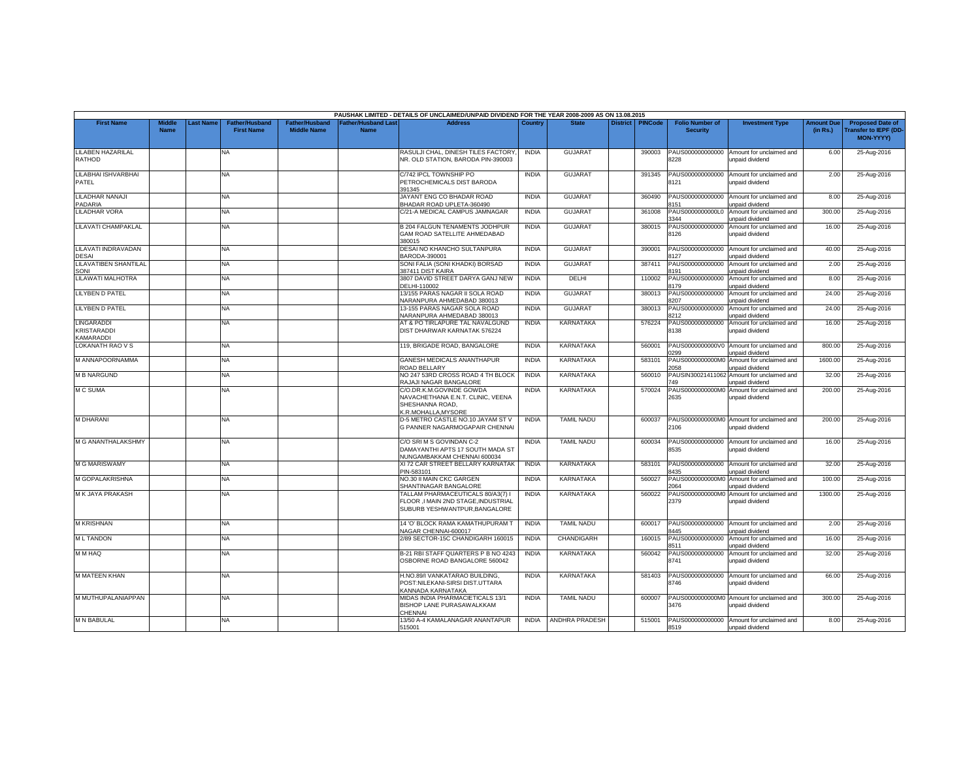|                                           |                              |          |                                     |                                      |                                  | PAUSHAK LIMITED - DETAILS OF UNCLAIMED/UNPAID DIVIDEND FOR THE YEAR 2008-2009 AS ON 13.08.2015           |              |                       |          |                |                                           |                                                              |                               |                                                                     |
|-------------------------------------------|------------------------------|----------|-------------------------------------|--------------------------------------|----------------------------------|----------------------------------------------------------------------------------------------------------|--------------|-----------------------|----------|----------------|-------------------------------------------|--------------------------------------------------------------|-------------------------------|---------------------------------------------------------------------|
| <b>First Name</b>                         | <b>Middle</b><br><b>Name</b> | ast Name | Father/Husband<br><b>First Name</b> | Father/Husband<br><b>Middle Name</b> | ather/Husband Las<br><b>Name</b> | <b>Address</b>                                                                                           | Country      | <b>State</b>          | District | <b>PINCode</b> | <b>Folio Number of</b><br><b>Security</b> | <b>Investment Type</b>                                       | <b>Amount Due</b><br>(in Rs.) | <b>Proposed Date of</b><br><b>Transfer to IEPF (DD</b><br>MON-YYYY) |
| <b>LILABEN HAZARILAL</b><br><b>RATHOD</b> |                              |          | <b>NA</b>                           |                                      |                                  | RASULJI CHAL, DINESH TILES FACTORY<br>NR. OLD STATION, BARODA PIN-390003                                 | <b>INDIA</b> | <b>GUJARA1</b>        |          | 390003         | PAUS000000000000<br>3228                  | Amount for unclaimed and<br>unpaid dividend                  | 6.00                          | 25-Aug-2016                                                         |
| LILABHAI ISHVARBHAI<br>PATEL              |                              |          | <b>NA</b>                           |                                      |                                  | C/742 IPCL TOWNSHIP PO<br>PETROCHEMICALS DIST BARODA<br>391345                                           | <b>INDIA</b> | <b>GUJARAT</b>        |          | 391345         | PAUS000000000000<br>8121                  | Amount for unclaimed and<br>unpaid dividend                  | 2.00                          | 25-Aug-2016                                                         |
| LILADHAR NANAJI<br>PADARIA                |                              |          | <b>NA</b>                           |                                      |                                  | JAYANT ENG CO BHADAR ROAD<br>BHADAR ROAD UPLETA-360490                                                   | <b>INDIA</b> | <b>GUJARAT</b>        |          | 360490         | PAUS000000000000<br>8151                  | Amount for unclaimed and<br>unpaid dividend                  | 8.00                          | 25-Aug-2016                                                         |
| <b>LILADHAR VORA</b>                      |                              |          | NA.                                 |                                      |                                  | C/21-A MEDICAL CAMPUS JAMNAGAR                                                                           | <b>INDIA</b> | <b>GUJARAT</b>        |          | 361008         | PAUS0000000000L0<br>3344                  | Amount for unclaimed and<br>unpaid dividend                  | 300.00                        | 25-Aug-2016                                                         |
| LILAVATI CHAMPAKLAL                       |                              |          | <b>NA</b>                           |                                      |                                  | <b>B 204 FALGUN TENAMENTS JODHPUR</b><br>GAM ROAD SATELLITE AHMEDABAD<br>380015                          | <b>INDIA</b> | <b>GUJARAT</b>        |          | 380015         | PAUS000000000000<br>8126                  | Amount for unclaimed and<br>unpaid dividend                  | 16.00                         | 25-Aug-2016                                                         |
| LILAVATI INDRAVADAN<br><b>DESAI</b>       |                              |          | <b>NA</b>                           |                                      |                                  | DESAI NO KHANCHO SULTANPURA<br>BARODA-390001                                                             | <b>INDIA</b> | GUJARAT               |          | 390001         | PAUS000000000000<br>8127                  | Amount for unclaimed and<br>unpaid dividend                  | 40.00                         | 25-Aug-2016                                                         |
| <b>LILAVATIBEN SHANTILAL</b><br>SONI      |                              |          | <b>NA</b>                           |                                      |                                  | SONI FALIA (SONI KHADKI) BORSAD<br>387411 DIST KAIRA                                                     | <b>INDIA</b> | <b>GUJARAT</b>        |          | 387411         | PAUS000000000000<br>8191                  | Amount for unclaimed and<br>unpaid dividend                  | 2.00                          | 25-Aug-2016                                                         |
| LILAWATI MALHOTRA                         |                              |          | <b>NA</b>                           |                                      |                                  | 3807 DAVID STREET DARYA GANJ NEW<br>DELHI-110002                                                         | <b>INDIA</b> | DELHI                 |          | 110002         | PAUS000000000000<br>3179                  | Amount for unclaimed and<br>unpaid dividend                  | 8.00                          | 25-Aug-2016                                                         |
| <b>LILYBEN D PATEL</b>                    |                              |          | <b>NA</b>                           |                                      |                                  | 13/155 PARAS NAGAR II SOLA ROAD<br>VARANPURA AHMEDABAD 380013                                            | <b>INDIA</b> | <b>GUJARAT</b>        |          | 380013         | PAUS000000000000<br>3207                  | Amount for unclaimed and<br>unpaid dividend                  | 24.00                         | 25-Aug-2016                                                         |
| <b>LILYBEN D PATEL</b>                    |                              |          | <b>NA</b>                           |                                      |                                  | 13-155 PARAS NAGAR SOLA ROAD<br>VARANPURA AHMEDABAD 380013                                               | <b>INDIA</b> | <b>GUJARAT</b>        |          | 380013         | PAUS000000000000<br>8212                  | Amount for unclaimed and<br>unpaid dividend                  | 24.00                         | 25-Aug-2016                                                         |
| LINGARADDI<br>KRISTARADDI<br>KAMARADDI    |                              |          | <b>NA</b>                           |                                      |                                  | AT & PO TIRLAPURE TAL NAVALGUND<br>DIST DHARWAR KARNATAK 576224                                          | <b>INDIA</b> | KARNATAKA             |          | 576224         | PAUS000000000000<br>8138                  | Amount for unclaimed and<br>unpaid dividend                  | 16.00                         | 25-Aug-2016                                                         |
| LOKANATH RAO V S                          |                              |          | <b>NA</b>                           |                                      |                                  | 119, BRIGADE ROAD, BANGALORE                                                                             | <b>INDIA</b> | KARNATAKA             |          | 560001         | PAUS0000000000V0<br>)299                  | Amount for unclaimed and<br>unpaid dividend                  | 800.00                        | 25-Aug-2016                                                         |
| M ANNAPOORNAMMA                           |                              |          | <b>NA</b>                           |                                      |                                  | <b>GANESH MEDICALS ANANTHAPUR</b><br>ROAD BELLARY                                                        | <b>INDIA</b> | <b>KARNATAKA</b>      |          | 583101         | PAUS0000000000M<br>2058                   | Amount for unclaimed and<br>unpaid dividend                  | 1600.00                       | 25-Aug-2016                                                         |
| <b>M B NARGUND</b>                        |                              |          | <b>NA</b>                           |                                      |                                  | NO 247 53RD CROSS ROAD 4 TH BLOCK<br>RAJAJI NAGAR BANGALORE                                              | <b>INDIA</b> | <b>KARNATAKA</b>      |          | 560010         | PAUSIN3002141106<br>49                    | Amount for unclaimed and<br>unpaid dividend                  | 32.00                         | 25-Aug-2016                                                         |
| <b>MC SUMA</b>                            |                              |          | <b>NA</b>                           |                                      |                                  | C/O.DR.K.M.GOVINDE GOWDA<br>NAVACHETHANA E.N.T. CLINIC, VEENA<br>SHESHANNA ROAD,<br>K.R.MOHALLA, MYSORE  | <b>INDIA</b> | KARNATAKA             |          | 570024         | PAUS0000000000M0<br>2635                  | Amount for unclaimed and<br>unpaid dividend                  | 200.00                        | 25-Aug-2016                                                         |
| <b>M DHARANI</b>                          |                              |          | NA                                  |                                      |                                  | D-5 METRO CASTLE NO.10 JAYAM ST V<br>G PANNER NAGARMOGAPAIR CHENNAI                                      | <b>INDIA</b> | <b>TAMIL NADU</b>     |          | 600037         | 2106                                      | PAUS0000000000M0 Amount for unclaimed and<br>unpaid dividend | 200.00                        | 25-Aug-2016                                                         |
| <b>M G ANANTHALAKSHMY</b>                 |                              |          | <b>NA</b>                           |                                      |                                  | C/O SRI M S GOVINDAN C-2<br>DAMAYANTHI APTS 17 SOUTH MADA ST<br>NUNGAMBAKKAM CHENNAI 600034              | <b>INDIA</b> | <b>TAMIL NADU</b>     |          | 600034         | 8535                                      | PAUS000000000000 Amount for unclaimed and<br>unpaid dividend | 16.00                         | 25-Aug-2016                                                         |
| <b>M G MARISWAMY</b>                      |                              |          | NA                                  |                                      |                                  | XI 72 CAR STREET BELLARY KARNATAK<br>PIN-583101                                                          | <b>INDIA</b> | KARNATAKA             |          | 583101         | PAUS000000000000<br>8435                  | Amount for unclaimed and<br>unpaid dividend                  | 32.00                         | 25-Aug-2016                                                         |
| M GOPALAKRISHNA                           |                              |          | NA.                                 |                                      |                                  | NO.30 II MAIN CKC GARGEN<br>SHANTINAGAR BANGALORE                                                        | <b>INDIA</b> | <b>KARNATAKA</b>      |          | 560027         | PAUS0000000000MC<br>064                   | Amount for unclaimed and<br>unpaid dividend                  | 100.00                        | 25-Aug-2016                                                         |
| <b>MK JAYA PRAKASH</b>                    |                              |          | <b>NA</b>                           |                                      |                                  | TALLAM PHARMACEUTICALS 80/A3(7) I<br>FLOOR .I MAIN 2ND STAGE.INDUSTRIAL<br>SUBURB YESHWANTPUR, BANGALORE | <b>INDIA</b> | <b>KARNATAKA</b>      |          | 560022         | PAUS0000000000M0<br>2379                  | Amount for unclaimed and<br>unpaid dividend                  | 1300.00                       | 25-Aug-2016                                                         |
| <b>M KRISHNAN</b>                         |                              |          | <b>NA</b>                           |                                      |                                  | 14 'O' BLOCK RAMA KAMATHUPURAM<br>VAGAR CHENNAI-600017                                                   | <b>INDIA</b> | <b>TAMIL NADU</b>     |          | 600017         | PAUS000000000000<br>8445                  | Amount for unclaimed and<br>unpaid dividend                  | 2.00                          | 25-Aug-2016                                                         |
| <b>ML TANDON</b>                          |                              |          | NA.                                 |                                      |                                  | 2/89 SECTOR-15C CHANDIGARH 160015                                                                        | <b>INDIA</b> | CHANDIGARH            |          | 160015         | PAUS000000000000<br>8511                  | Amount for unclaimed and<br><b>Inpaid dividend</b>           | 16.00                         | 25-Aug-2016                                                         |
| M M HAQ                                   |                              |          | <b>NA</b>                           |                                      |                                  | B-21 RBI STAFF QUARTERS P B NO 4243<br>OSBORNE ROAD BANGALORE 560042                                     | <b>INDIA</b> | <b>KARNATAKA</b>      |          | 560042         | PAUS000000000000<br>8741                  | Amount for unclaimed and<br>unpaid dividend                  | 32.00                         | 25-Aug-2016                                                         |
| <b>M MATEEN KHAN</b>                      |                              |          | <b>NA</b>                           |                                      |                                  | H.NO.89/I VANKATARAO BUILDING.<br>POST:NILEKANI-SIRSI DIST.UTTARA<br><b>KANNADA KARNATAKA</b>            | <b>INDIA</b> | KARNATAKA             |          | 581403         | PAUS000000000000<br>8746                  | Amount for unclaimed and<br>unpaid dividend                  | 66.00                         | 25-Aug-2016                                                         |
| M MUTHUPALANIAPPAN                        |                              |          | <b>NA</b>                           |                                      |                                  | MIDAS INDIA PHARMACIETICALS 13/1<br>BISHOP LANE PURASAWALKKAM<br><b>HENNAI</b>                           | <b>INDIA</b> | <b>TAMIL NADU</b>     |          | 600007         | 3476                                      | PAUS0000000000M0 Amount for unclaimed and<br>unpaid dividend | 300.00                        | 25-Aug-2016                                                         |
| <b>M N BABULAL</b>                        |                              |          | <b>NA</b>                           |                                      |                                  | 13/50 A-4 KAMALANAGAR ANANTAPUR<br>515001                                                                | <b>INDIA</b> | <b>ANDHRA PRADESH</b> |          | 515001         | 8519                                      | PAUS000000000000 Amount for unclaimed and<br>unpaid dividend | 8.00                          | 25-Aug-2016                                                         |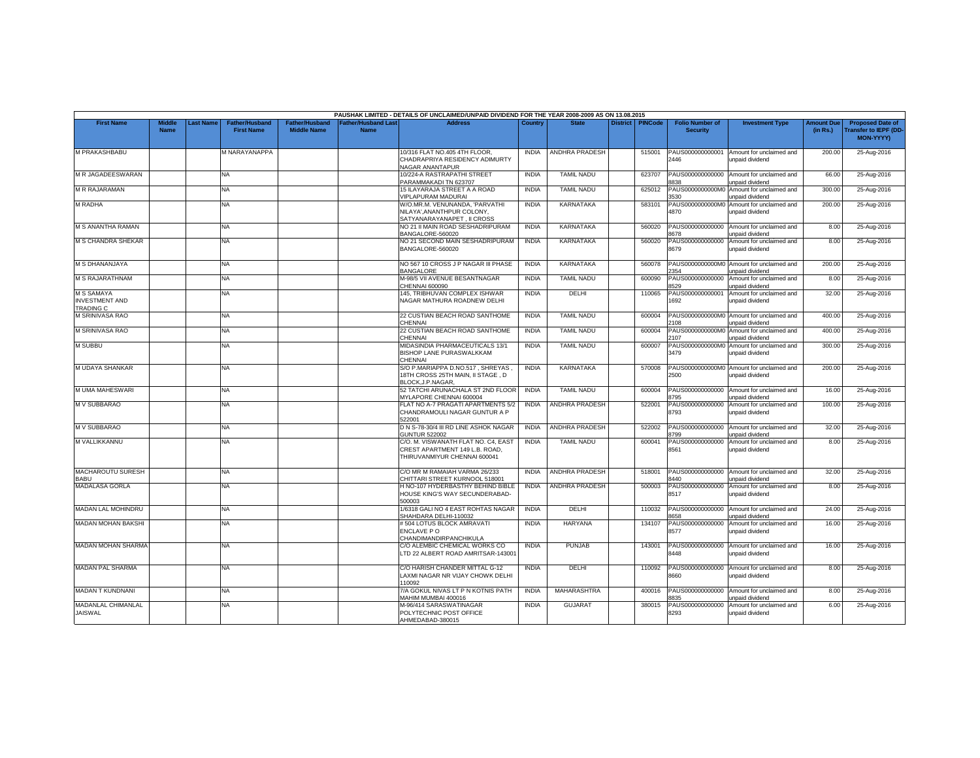|                                                         |                              |                 |                                     |                                      |                           | PAUSHAK LIMITED - DETAILS OF UNCLAIMED/UNPAID DIVIDEND FOR THE YEAR 2008-2009 AS ON 13.08.2015        |              |                       |                 |         |                                           |                                                              |                               |                                                                            |
|---------------------------------------------------------|------------------------------|-----------------|-------------------------------------|--------------------------------------|---------------------------|-------------------------------------------------------------------------------------------------------|--------------|-----------------------|-----------------|---------|-------------------------------------------|--------------------------------------------------------------|-------------------------------|----------------------------------------------------------------------------|
| <b>First Name</b>                                       | <b>Middle</b><br><b>Name</b> | <b>ast Name</b> | Father/Husband<br><b>First Name</b> | Father/Husband<br><b>Middle Name</b> | ather/Husband Las<br>Name | <b>Address</b>                                                                                        | Country      | <b>State</b>          | <b>District</b> | PINCode | <b>Folio Number of</b><br><b>Security</b> | <b>Investment Type</b>                                       | <b>Amount Due</b><br>(in Rs.) | <b>Proposed Date of</b><br><b>Transfer to IEPF (DD</b><br><b>MON-YYYY)</b> |
| M PRAKASHBABU                                           |                              |                 | M NARAYANAPPA                       |                                      |                           | 10/316 FLAT NO.405 4TH FLOOR,<br>CHADRAPRIYA RESIDENCY ADIMURTY<br><b>VAGAR ANANTAPUR</b>             | <b>INDIA</b> | ANDHRA PRADESH        |                 | 515001  | PAUS000000000001<br>2446                  | Amount for unclaimed and<br>unpaid dividend                  | 200.00                        | 25-Aug-2016                                                                |
| M R JAGADEESWARAN                                       |                              |                 | NA                                  |                                      |                           | 10/224-A RASTRAPATHI STREET<br>PARAMMAKADI TN 623707                                                  | <b>INDIA</b> | <b>TAMIL NADU</b>     |                 | 623707  | PAUS000000000000<br>838                   | Amount for unclaimed and<br>unpaid dividend                  | 66.00                         | 25-Aug-2016                                                                |
| <b>M R RAJARAMAN</b>                                    |                              |                 | <b>NA</b>                           |                                      |                           | 15 ILAYARAJA STREET A A ROAD<br>VIPLAPURAM MADURAI                                                    | <b>INDIA</b> | <b>TAMIL NADU</b>     |                 | 625012  | PAUS0000000000M<br>3530                   | Amount for unclaimed and<br>unpaid dividend                  | 300.00                        | 25-Aug-2016                                                                |
| <b>M RADHA</b>                                          |                              |                 | <b>NA</b>                           |                                      |                           | W/O.MR.M. VENUNANDA, 'PARVATHI<br>NILAYA', ANANTHPUR COLONY,<br>SATYANARAYANAPET. II CROSS            | <b>INDIA</b> | <b>KARNATAKA</b>      |                 | 583101  | 4870                                      | PAUS0000000000M0 Amount for unclaimed and<br>unpaid dividend | 200.00                        | 25-Aug-2016                                                                |
| M S ANANTHA RAMAN                                       |                              |                 | <b>NA</b>                           |                                      |                           | NO 21 II MAIN ROAD SESHADRIPURAM<br>BANGALORE-560020                                                  | <b>INDIA</b> | <b>KARNATAKA</b>      |                 | 560020  | PAUS000000000000<br>8678                  | Amount for unclaimed and<br>unpaid dividend                  | 8.00                          | 25-Aug-2016                                                                |
| <b>M S CHANDRA SHEKAR</b>                               |                              |                 | NA.                                 |                                      |                           | NO 21 SECOND MAIN SESHADRIPURAM<br>BANGALORE-560020                                                   | <b>INDIA</b> | <b>KARNATAKA</b>      |                 | 560020  | PAUS000000000000<br>8679                  | Amount for unclaimed and<br>unpaid dividend                  | 8.00                          | 25-Aug-2016                                                                |
| M S DHANANJAYA                                          |                              |                 | NA.                                 |                                      |                           | NO 567 10 CROSS J P NAGAR III PHASE<br>BANGALORE                                                      | <b>INDIA</b> | <b>KARNATAKA</b>      |                 | 560078  | PAUS0000000000M0<br>354                   | Amount for unclaimed and<br>unpaid dividend                  | 200.00                        | 25-Aug-2016                                                                |
| <b>M S RAJARATHNAM</b>                                  |                              |                 | NA.                                 |                                      |                           | M-98/5 VII AVENUE BESANTNAGAR<br>CHENNAI 600090                                                       | <b>INDIA</b> | <b>TAMIL NADU</b>     |                 | 600090  | PAUS000000000000<br>3529                  | Amount for unclaimed and<br>unpaid dividend                  | 8.00                          | 25-Aug-2016                                                                |
| <b>M S SAMAYA</b><br><b>INVESTMENT AND</b><br>TRADING C |                              |                 | <b>NA</b>                           |                                      |                           | 145, TRIBHUVAN COMPLEX ISHWAR<br>NAGAR MATHURA ROADNEW DELHI                                          | <b>INDIA</b> | DELHI                 |                 | 110065  | PAUS000000000001<br>1692                  | Amount for unclaimed and<br>unpaid dividend                  | 32.00                         | 25-Aug-2016                                                                |
| M SRINIVASA RAO                                         |                              |                 | <b>NA</b>                           |                                      |                           | 22 CUSTIAN BEACH ROAD SANTHOME<br>CHENNAI                                                             | <b>INDIA</b> | <b>TAMIL NADU</b>     |                 | 600004  | 108                                       | PAUS0000000000M0 Amount for unclaimed and<br>unpaid dividend | 400.00                        | 25-Aug-2016                                                                |
| M SRINIVASA RAO                                         |                              |                 | <b>NA</b>                           |                                      |                           | 22 CUSTIAN BEACH ROAD SANTHOME<br>CHENNAI                                                             | <b>INDIA</b> | <b>TAMIL NADU</b>     |                 | 600004  | PAUS0000000000MC<br>107                   | Amount for unclaimed and<br>unpaid dividend                  | 400.00                        | 25-Aug-2016                                                                |
| <b>M SUBBU</b>                                          |                              |                 | <b>NA</b>                           |                                      |                           | MIDASINDIA PHARMACEUTICALS 13/1<br>BISHOP LANE PURASWALKKAM<br>CHENNAI                                | <b>INDIA</b> | <b>TAMIL NADU</b>     |                 | 600007  | 3479                                      | PAUS0000000000M0 Amount for unclaimed and<br>unpaid dividend | 300.00                        | 25-Aug-2016                                                                |
| <b>M UDAYA SHANKAR</b>                                  |                              |                 | NA                                  |                                      |                           | S/O P.MARIAPPA D.NO.517, SHREYAS<br>18TH CROSS 25TH MAIN, II STAGE, D<br>BLOCK, J.P.NAGAR             | <b>INDIA</b> | <b>KARNATAKA</b>      |                 | 570008  | 2500                                      | PAUS0000000000M0 Amount for unclaimed and<br>unpaid dividend | 200.00                        | 25-Aug-2016                                                                |
| <b>M UMA MAHESWARI</b>                                  |                              |                 | NA.                                 |                                      |                           | 52 TATCHI ARUNACHALA ST 2ND FLOOR<br>MYLAPORE CHENNAI 600004                                          | <b>INDIA</b> | <b>TAMIL NADU</b>     |                 | 600004  | PAUS000000000000<br>3795                  | Amount for unclaimed and<br>unpaid dividend                  | 16.00                         | 25-Aug-2016                                                                |
| <b>M V SUBBARAO</b>                                     |                              |                 | <b>NA</b>                           |                                      |                           | FLAT NO A-7 PRAGATI APARTMENTS 5/2<br>CHANDRAMOULI NAGAR GUNTUR A P<br>522001                         | <b>INDIA</b> | <b>ANDHRA PRADESH</b> |                 | 522001  | PAUS000000000000<br>8793                  | Amount for unclaimed and<br>unpaid dividend                  | 100.00                        | 25-Aug-2016                                                                |
| <b>MV SUBBARAO</b>                                      |                              |                 | <b>NA</b>                           |                                      |                           | D N S-78-30/4 III RD LINE ASHOK NAGAR<br><b>GUNTUR 522002</b>                                         | <b>INDIA</b> | <b>ANDHRA PRADESH</b> |                 | 522002  | PAUS000000000000<br>799                   | Amount for unclaimed and<br>unpaid dividend                  | 32.00                         | 25-Aug-2016                                                                |
| M VALLIKKANNU                                           |                              |                 | <b>NA</b>                           |                                      |                           | C/O. M. VISWANATH FLAT NO. C4, EAST<br>CREST APARTMENT 149 L.B. ROAD.<br>THIRUVANMIYUR CHENNAI 600041 | <b>INDIA</b> | <b>TAMIL NADU</b>     |                 | 600041  | PAUS000000000000<br>8561                  | Amount for unclaimed and<br>unpaid dividend                  | 8.00                          | 25-Aug-2016                                                                |
| MACHAROUTU SURESH<br>BABU                               |                              |                 | NA.                                 |                                      |                           | C/O MR M RAMAIAH VARMA 26/233<br>CHITTARI STREET KURNOOL 518001                                       | <b>INDIA</b> | <b>ANDHRA PRADESH</b> |                 | 518001  | PAUS000000000000<br>3440                  | Amount for unclaimed and<br>unpaid dividend                  | 32.00                         | 25-Aug-2016                                                                |
| <b>MADALASA GORLA</b>                                   |                              |                 | <b>NA</b>                           |                                      |                           | H NO-107 HYDERBASTHY BEHIND BIBLE<br>HOUSE KING'S WAY SECUNDERABAD-<br>500003                         | <b>INDIA</b> | <b>ANDHRA PRADESH</b> |                 | 500003  | PAUS000000000000<br>8517                  | Amount for unclaimed and<br>unpaid dividend                  | 8.00                          | 25-Aug-2016                                                                |
| MADAN LAL MOHINDRU                                      |                              |                 | <b>NA</b>                           |                                      |                           | 1/6318 GALI NO 4 EAST ROHTAS NAGAR<br>SHAHDARA DELHI-110032                                           | <b>INDIA</b> | <b>DELHI</b>          |                 | 110032  | PAUS000000000000<br>658                   | Amount for unclaimed and<br>unpaid dividend                  | 24.00                         | 25-Aug-2016                                                                |
| <b>MADAN MOHAN BAKSHI</b>                               |                              |                 | NA                                  |                                      |                           | #504 LOTUS BLOCK AMRAVATI<br>ENCLAVE PO<br>CHANDIMANDIRPANCHIKULA                                     | <b>INDIA</b> | <b>HARYANA</b>        |                 | 134107  | PAUS000000000000<br>8577                  | Amount for unclaimed and<br>unpaid dividend                  | 16.00                         | 25-Aug-2016                                                                |
| <b>MADAN MOHAN SHARMA</b>                               |                              |                 | <b>NA</b>                           |                                      |                           | C/O ALEMBIC CHEMICAL WORKS CO<br>LTD 22 ALBERT ROAD AMRITSAR-143001                                   | <b>INDIA</b> | <b>PUNJAB</b>         |                 | 143001  | PAUS000000000000<br>3448                  | Amount for unclaimed and<br>unpaid dividend                  | 16.00                         | 25-Aug-2016                                                                |
| <b>MADAN PAL SHARMA</b>                                 |                              |                 | <b>NA</b>                           |                                      |                           | C/O HARISH CHANDER MITTAL G-12<br>LAXMI NAGAR NR VIJAY CHOWK DELHI<br>110092                          | <b>INDIA</b> | DELHI                 |                 | 110092  | PAUS000000000000<br>8660                  | Amount for unclaimed and<br>unpaid dividend                  | 8.00                          | 25-Aug-2016                                                                |
| <b>MADAN T KUNDNANI</b>                                 |                              |                 | NA.                                 |                                      |                           | 7/A GOKUL NIVAS LT P N KOTNIS PATH<br>MAHIM MUMBAI 400016                                             | <b>INDIA</b> | MAHARASHTRA           |                 | 400016  | PAUS000000000000<br>835                   | Amount for unclaimed and<br>inpaid dividend                  | 8.00                          | 25-Aug-2016                                                                |
| MADANLAL CHIMANLAL<br><b>JAISWAL</b>                    |                              |                 | <b>NA</b>                           |                                      |                           | M-96/414 SARASWATINAGAR<br>POLYTECHNIC POST OFFICE<br>AHMEDABAD-380015                                | <b>INDIA</b> | <b>GUJARAT</b>        |                 | 380015  | PAUS000000000000<br>8293                  | Amount for unclaimed and<br>unpaid dividend                  | 6.00                          | 25-Aug-2016                                                                |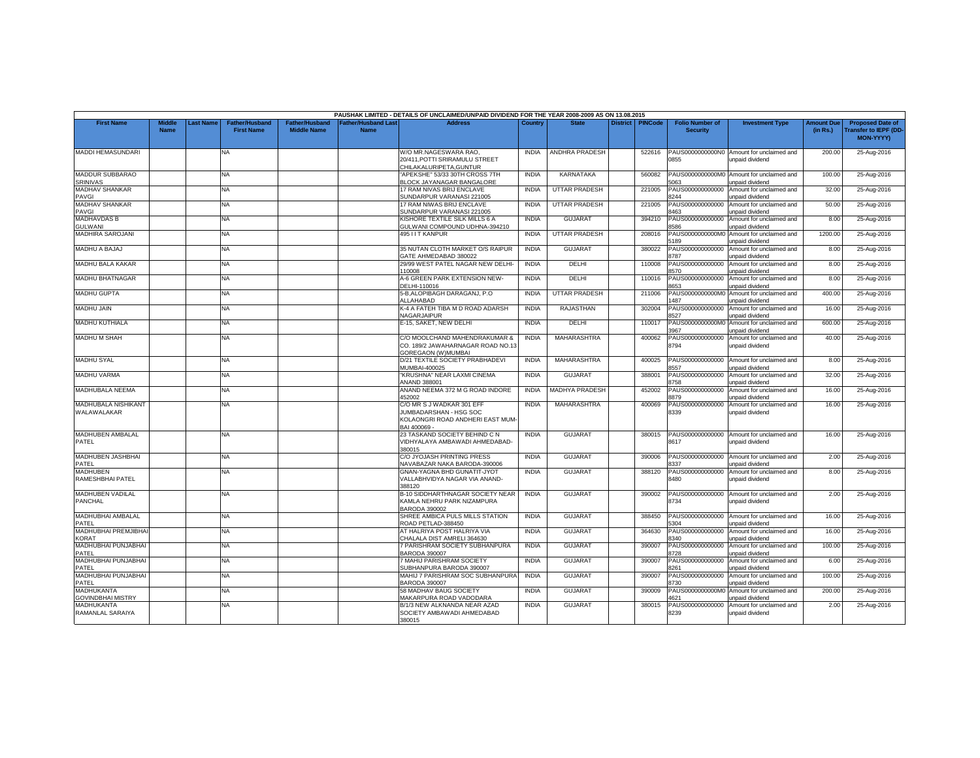|                                           |                              |          |                                            |                                      |                                    | PAUSHAK LIMITED - DETAILS OF UNCLAIMED/UNPAID DIVIDEND FOR THE YEAR 2008-2009 AS ON 13.08.2015         |              |                       |                 |                |                                           |                                                              |                               |                                                                             |
|-------------------------------------------|------------------------------|----------|--------------------------------------------|--------------------------------------|------------------------------------|--------------------------------------------------------------------------------------------------------|--------------|-----------------------|-----------------|----------------|-------------------------------------------|--------------------------------------------------------------|-------------------------------|-----------------------------------------------------------------------------|
| <b>First Name</b>                         | <b>Middle</b><br><b>Name</b> | ast Name | <b>Father/Husband</b><br><b>First Name</b> | Father/Husband<br><b>Middle Name</b> | <b>Father/Husband Last</b><br>Name | <b>Address</b>                                                                                         | Country      | <b>State</b>          | <b>District</b> | <b>PINCode</b> | <b>Folio Number of</b><br><b>Security</b> | <b>Investment Type</b>                                       | <b>Amount Due</b><br>(in Rs.) | <b>Proposed Date of</b><br><b>Transfer to IEPF (DD</b><br><b>MON-YYYYY)</b> |
| MADDI HEMASUNDARI                         |                              |          | NA                                         |                                      |                                    | W/O MR.NAGESWARA RAO.<br>20/411. POTTI SRIRAMULU STREET<br>CHILAKALURIPETA.GUNTUR                      | <b>INDIA</b> | ANDHRA PRADESH        |                 | 522616         | PAUS0000000000N0<br>855                   | Amount for unclaimed and<br>inpaid dividend                  | 200.00                        | 25-Aug-2016                                                                 |
| MADDUR SUBBARAO<br><b>SRINIVAS</b>        |                              |          | ΝA                                         |                                      |                                    | APEKSHE" 53/33 30TH CROSS 7TH<br><b>BLOCK JAYANAGAR BANGALORE</b>                                      | <b>INDIA</b> | KARNATAKA             |                 | 560082         | 5063                                      | PAUS0000000000M0 Amount for unclaimed and<br>unpaid dividend | 100.00                        | 25-Aug-2016                                                                 |
| <b>MADHAV SHANKAR</b><br>PAVGI            |                              |          | NA.                                        |                                      |                                    | 17 RAM NIVAS BRIJ ENCLAVE<br>SUNDARPUR VARANASI 221005                                                 | <b>INDIA</b> | <b>UTTAR PRADESH</b>  |                 | 221005         | PAUS000000000000<br>8244                  | Amount for unclaimed and<br>unpaid dividend                  | 32.00                         | 25-Aug-2016                                                                 |
| MADHAV SHANKAR<br>PAVGI                   |                              |          | NA.                                        |                                      |                                    | 17 RAM NIWAS BRIJ ENCLAVE<br>SUNDARPUR VARANASI 221005                                                 | <b>INDIA</b> | <b>UTTAR PRADESH</b>  |                 | 221005         | PAUS000000000000<br>3463                  | Amount for unclaimed and<br>inpaid dividend                  | 50.00                         | 25-Aug-2016                                                                 |
| <b>MADHAVDAS B</b><br><b>GULWANI</b>      |                              |          | NA                                         |                                      |                                    | KISHORE TEXTILE SILK MILLS 6 A<br>GULWANI COMPOUND UDHNA-394210                                        | <b>INDIA</b> | <b>GUJARAT</b>        |                 | 394210         | PAUS000000000000<br>3586                  | Amount for unclaimed and<br>unpaid dividend                  | 8.00                          | 25-Aug-2016                                                                 |
| <b>MADHIRA SAROJANI</b>                   |                              |          | NA.                                        |                                      |                                    | 495 I I T KANPUR                                                                                       | <b>INDIA</b> | <b>UTTAR PRADESH</b>  |                 | 208016         | PAUS0000000000M<br>5189                   | Amount for unclaimed and<br>unpaid dividend                  | 1200.00                       | 25-Aug-2016                                                                 |
| MADHU A BAJAJ                             |                              |          | NA.                                        |                                      |                                    | 35 NUTAN CLOTH MARKET O/S RAIPUR<br><b>SATE AHMEDABAD 380022</b>                                       | <b>INDIA</b> | <b>GUJARAT</b>        |                 | 380022         | PAUS000000000000<br>787                   | Amount for unclaimed and<br>Inpaid dividend                  | 8.00                          | 25-Aug-2016                                                                 |
| <b>MADHU BALA KAKAR</b>                   |                              |          | NA                                         |                                      |                                    | 29/99 WEST PATEL NAGAR NEW DELHI<br>10008                                                              | <b>INDIA</b> | DELHI                 |                 | 110008         | PAUS000000000000<br>3570                  | Amount for unclaimed and<br>unpaid dividend                  | 8.00                          | 25-Aug-2016                                                                 |
| <b>MADHU BHATNAGAR</b>                    |                              |          | NA                                         |                                      |                                    | 4-6 GREEN PARK EXTENSION NEW-<br>DELHI-110016                                                          | <b>INDIA</b> | DELHI                 |                 | 110016         | PAUS000000000000<br>8653                  | Amount for unclaimed and<br>unpaid dividend                  | 8.00                          | 25-Aug-2016                                                                 |
| <b>MADHU GUPTA</b>                        |                              |          | <b>NA</b>                                  |                                      |                                    | 5-B, ALOPIBAGH DARAGANJ, P.O<br>ALLAHABAD                                                              | <b>INDIA</b> | <b>UTTAR PRADESH</b>  |                 | 211006         | 487                                       | PAUS0000000000M0 Amount for unclaimed and<br>unpaid dividend | 400.00                        | 25-Aug-2016                                                                 |
| MADHU JAIN                                |                              |          | NA                                         |                                      |                                    | K-4 A FATEH TIBA M D ROAD ADARSH<br>NAGARJAIPUR                                                        | <b>INDIA</b> | RAJASTHAN             |                 | 302004         | PAUS000000000000<br>8527                  | Amount for unclaimed and<br>unpaid dividend                  | 16.00                         | 25-Aug-2016                                                                 |
| <b>MADHU KUTHIALA</b>                     |                              |          | NA                                         |                                      |                                    | E-15, SAKET, NEW DELHI                                                                                 | <b>INDIA</b> | DELHI                 |                 | 110017         | PAUS0000000000M<br>3967                   | Amount for unclaimed and<br>unpaid dividend                  | 600.00                        | 25-Aug-2016                                                                 |
| MADHU M SHAH                              |                              |          | NA                                         |                                      |                                    | C/O MOOLCHAND MAHENDRAKUMAR &<br>CO. 189/2 JAWAHARNAGAR ROAD NO.13<br>GOREGAON (W) MUMBAI              | <b>INDIA</b> | MAHARASHTRA           |                 | 400062         | PAUS000000000000<br>8794                  | Amount for unclaimed and<br>unpaid dividend                  | 40.00                         | 25-Aug-2016                                                                 |
| <b>MADHU SYAL</b>                         |                              |          | NA                                         |                                      |                                    | D/21 TEXTILE SOCIETY PRABHADEVI<br><b>MUMBAI-400025</b>                                                | <b>INDIA</b> | MAHARASHTRA           |                 | 400025         | 8557                                      | PAUS000000000000 Amount for unclaimed and<br>unpaid dividend | 8.00                          | 25-Aug-2016                                                                 |
| <b>MADHU VARMA</b>                        |                              |          | NA                                         |                                      |                                    | 'KRUSHNA" NEAR LAXMI CINEMA<br>ANAND 388001                                                            | <b>INDIA</b> | <b>GUJARAT</b>        |                 | 388001         | PAUS000000000000<br>3758                  | Amount for unclaimed and<br><b>Inpaid dividend</b>           | 32.00                         | 25-Aug-2016                                                                 |
| MADHUBALA NEEMA                           |                              |          | NA                                         |                                      |                                    | ANAND NEEMA 372 M G ROAD INDORE<br>452002                                                              | <b>INDIA</b> | <b>MADHYA PRADESH</b> |                 | 452002         | PAUS000000000000<br>8879                  | Amount for unclaimed and<br>unpaid dividend                  | 16.00                         | 25-Aug-2016                                                                 |
| <b>MADHUBALA NISHIKANT</b><br>WALAWALAKAR |                              |          | NA.                                        |                                      |                                    | C/O MR S J WADKAR 301 EFF<br>JUMBADARSHAN - HSG SOC<br>KOLAONGRI ROAD ANDHERI EAST MUM<br>BAI 400069 - | <b>INDIA</b> | <b>MAHARASHTRA</b>    |                 | 400069         | PAUS000000000000<br>8339                  | Amount for unclaimed and<br>unpaid dividend                  | 16.00                         | 25-Aug-2016                                                                 |
| MADHUBEN AMBALAL<br>PATEL                 |                              |          | NA                                         |                                      |                                    | 23 TASKAND SOCIETY BEHIND C N<br>VIDHYALAYA AMBAWADI AHMEDABAD-<br>380015                              | <b>INDIA</b> | <b>GUJARAT</b>        |                 | 380015         | PAUS000000000000<br>8617                  | Amount for unclaimed and<br>unpaid dividend                  | 16.00                         | 25-Aug-2016                                                                 |
| MADHUBEN JASHBHAI<br>PATEL                |                              |          | NA                                         |                                      |                                    | C/O JYOJASH PRINTING PRESS<br>NAVABAZAR NAKA BARODA-390006                                             | <b>INDIA</b> | <b>GUJARAT</b>        |                 | 390006         | AUS000000000000<br>337                    | Amount for unclaimed and<br>unpaid dividend                  | 2.00                          | 25-Aug-2016                                                                 |
| <b>MADHUBEN</b><br>RAMESHBHAI PATEL       |                              |          | NA                                         |                                      |                                    | <b>GNAN-YAGNA BHD GUNATIT-JYOT</b><br>VALLABHVIDYA NAGAR VIA ANAND-<br>388120                          | <b>INDIA</b> | <b>GUJARAT</b>        |                 | 388120         | 8480                                      | PAUS000000000000 Amount for unclaimed and<br>unpaid dividend | 8.00                          | 25-Aug-2016                                                                 |
| MADHUBEN VADILAL<br>PANCHAL               |                              |          | NA.                                        |                                      |                                    | <b>B-10 SIDDHARTHNAGAR SOCIETY NEAR</b><br>KAMLA NEHRU PARK NIZAMPURA<br>BARODA 390002                 | <b>INDIA</b> | GUJARAT               |                 | 390002         | PAUS000000000000<br>8734                  | Amount for unclaimed and<br>unpaid dividend                  | 2.00                          | 25-Aug-2016                                                                 |
| MADHUBHAI AMBALAL<br>PATEL                |                              |          | NA.                                        |                                      |                                    | SHREE AMBICA PULS MILLS STATION<br>ROAD PETLAD-388450                                                  | <b>INDIA</b> | <b>GUJARAT</b>        |                 | 388450         | PAUS000000000000<br>304                   | Amount for unclaimed and<br>unpaid dividend                  | 16.00                         | 25-Aug-2016                                                                 |
| MADHUBHAI PREMJIBHAI<br><b>KORAT</b>      |                              |          | NA.                                        |                                      |                                    | AT HALRIYA POST HALRIYA VIA<br>CHALALA DIST AMRELI 364630                                              | <b>INDIA</b> | <b>GUJARAT</b>        |                 | 364630         | PAUS000000000000<br>8340                  | Amount for unclaimed and<br>unpaid dividend                  | 16.00                         | 25-Aug-2016                                                                 |
| MADHUBHAI PUNJABHAI<br>PATEL              |                              |          | NA                                         |                                      |                                    | 7 PARISHRAM SOCIETY SUBHANPURA<br><b>BARODA 390007</b>                                                 | <b>INDIA</b> | <b>GUJARAT</b>        |                 | 390007         | PAUS000000000000<br>728                   | Amount for unclaimed and<br>unpaid dividend                  | 100.00                        | 25-Aug-2016                                                                 |
| MADHUBHAI PUNJABHAI<br>PATEL              |                              |          | NA                                         |                                      |                                    | <b>MAHIJ PARISHRAM SOCIETY</b><br>SUBHANPURA BARODA 390007                                             | <b>INDIA</b> | <b>GUJARAT</b>        |                 | 390007         | PAUS000000000000<br>8261                  | Amount for unclaimed and<br>unpaid dividend                  | 6.00                          | 25-Aug-2016                                                                 |
| MADHUBHAI PUNJABHAI<br>PATEL              |                              |          | NA.                                        |                                      |                                    | MAHIJ 7 PARISHRAM SOC SUBHANPURA<br><b>BARODA 390007</b>                                               | <b>INDIA</b> | <b>GUJARAT</b>        |                 | 390007         | PAUS000000000000<br>8730                  | Amount for unclaimed and<br>unpaid dividend                  | 100.00                        | 25-Aug-2016                                                                 |
| MADHUKANTA<br><b>GOVINDBHAI MISTRY</b>    |                              |          | NA                                         |                                      |                                    | 58 MADHAV BAUG SOCIETY<br>MAKARPURA ROAD VADODARA                                                      | <b>INDIA</b> | <b>GUJARAT</b>        |                 | 390009         | PAUS0000000000M<br>621                    | Amount for unclaimed and<br>inpaid dividend                  | 200.00                        | 25-Aug-2016                                                                 |
| MADHUKANTA<br>RAMANLAL SARAIYA            |                              |          | NA.                                        |                                      |                                    | B/1/3 NEW ALKNANDA NEAR AZAD<br>SOCIETY AMBAWADI AHMEDABAD<br>380015                                   | <b>INDIA</b> | <b>GUJARAT</b>        |                 | 380015         | PAUS000000000000<br>8239                  | Amount for unclaimed and<br>unpaid dividend                  | 2.00                          | 25-Aug-2016                                                                 |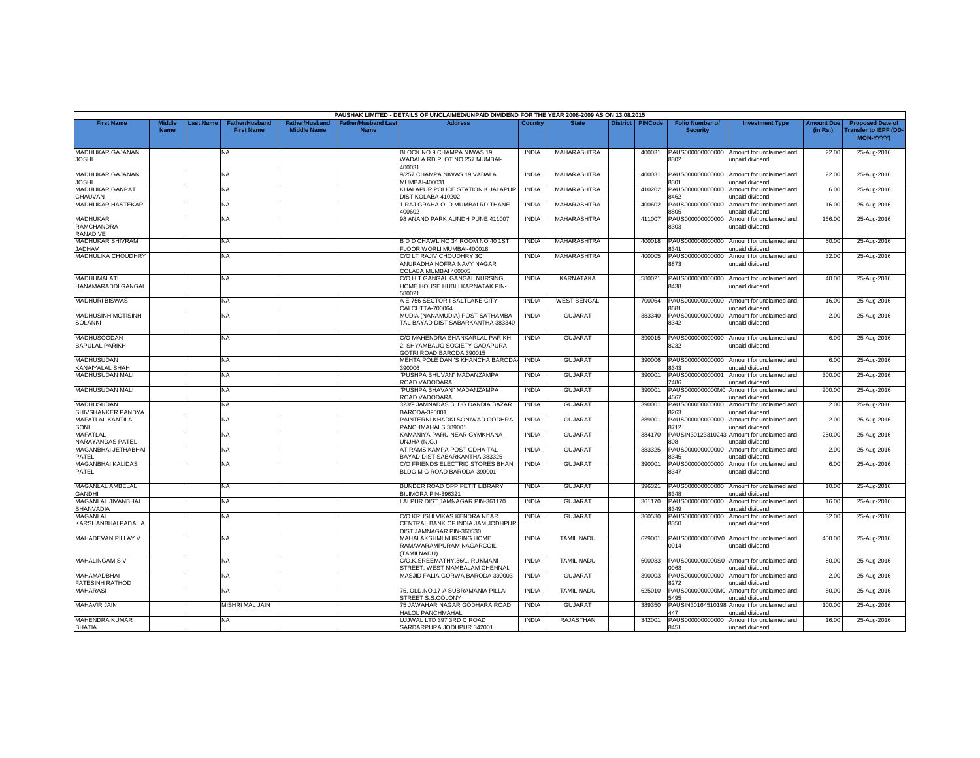|                                                  |                              |          |                                     |                                             |                                  | PAUSHAK LIMITED - DETAILS OF UNCLAIMED/UNPAID DIVIDEND FOR THE YEAR 2008-2009 AS ON 13.08.2015 |              |                    |          |                |                                           |                                                                      |                               |                                                                     |
|--------------------------------------------------|------------------------------|----------|-------------------------------------|---------------------------------------------|----------------------------------|------------------------------------------------------------------------------------------------|--------------|--------------------|----------|----------------|-------------------------------------------|----------------------------------------------------------------------|-------------------------------|---------------------------------------------------------------------|
| <b>First Name</b>                                | <b>Middle</b><br><b>Name</b> | ast Name | Father/Husband<br><b>First Name</b> | <b>Father/Husband</b><br><b>Middle Name</b> | ather/Husband Las<br><b>Name</b> | <b>Address</b>                                                                                 | Country      | <b>State</b>       | District | <b>PINCode</b> | <b>Folio Number of</b><br><b>Security</b> | <b>Investment Type</b>                                               | <b>Amount Due</b><br>(in Rs.) | <b>Proposed Date of</b><br>Transfer to IEPF (DD<br><b>MON-YYYY)</b> |
| <b>MADHUKAR GAJANAN</b><br><b>JOSHI</b>          |                              |          | <b>NA</b>                           |                                             |                                  | BLOCK NO 9 CHAMPA NIWAS 19<br>WADALA RD PLOT NO 257 MUMBAI-<br>400031                          | <b>INDIA</b> | MAHARASHTRA        |          | 400031         | PAUS000000000000<br>8302                  | Amount for unclaimed and<br>unpaid dividend                          | 22.00                         | 25-Aug-2016                                                         |
| MADHUKAR GAJANAN<br><b>JOSHI</b>                 |                              |          | <b>NA</b>                           |                                             |                                  | 9/257 CHAMPA NIWAS 19 VADALA<br>MUMBAI-400031                                                  | <b>INDIA</b> | MAHARASHTRA        |          | 400031         | PAUS000000000000<br>301                   | Amount for unclaimed and<br>unpaid dividend                          | 22.00                         | 25-Aug-2016                                                         |
| <b>MADHUKAR GANPAT</b><br>CHAUVAN                |                              |          | NA                                  |                                             |                                  | KHALAPUR POLICE STATION KHALAPUR<br><b>JIST KOLABA 410202</b>                                  | <b>INDIA</b> | <b>MAHARASHTRA</b> |          | 410202         | PAUS000000000000<br>3462                  | Amount for unclaimed and<br>unpaid dividend                          | 6.00                          | 25-Aug-2016                                                         |
| MADHUKAR HASTEKAR                                |                              |          | <b>NA</b>                           |                                             |                                  | 1 RAJ GRAHA OLD MUMBAI RD THANE<br>400602                                                      | <b>INDIA</b> | MAHARASHTRA        |          | 400602         | PAUS000000000000<br>8805                  | Amount for unclaimed and<br>unpaid dividend                          | 16.00                         | 25-Aug-2016                                                         |
| MADHUKAR<br><b>RAMCHANDRA</b><br><b>RANADIVE</b> |                              |          | <b>NA</b>                           |                                             |                                  | 98 ANAND PARK AUNDH PUNE 411007                                                                | <b>INDIA</b> | MAHARASHTRA        |          | 411007         | PAUS000000000000<br>8303                  | Amount for unclaimed and<br>unpaid dividend                          | 166.00                        | 25-Aug-2016                                                         |
| MADHUKAR SHIVRAM<br><b>JADHAV</b>                |                              |          | NA                                  |                                             |                                  | B D D CHAWL NO 34 ROOM NO 40 1ST<br>FLOOR WORLI MUMBAI-400018                                  | <b>INDIA</b> | MAHARASHTRA        |          | 400018         | PAUS000000000000<br>3341                  | Amount for unclaimed and<br>unpaid dividend                          | 50.00                         | 25-Aug-2016                                                         |
| MADHULIKA CHOUDHRY                               |                              |          | <b>NA</b>                           |                                             |                                  | C/O LT RAJIV CHOUDHRY 3C<br>ANURADHA NOFRA NAVY NAGAR<br>COLABA MUMBAI 400005                  | <b>INDIA</b> | MAHARASHTRA        |          | 400005         | PAUS000000000000<br>8873                  | Amount for unclaimed and<br>unpaid dividend                          | 32.00                         | 25-Aug-2016                                                         |
| MADHUMALATI<br><b>HANAMARADDI GANGAL</b>         |                              |          | <b>NA</b>                           |                                             |                                  | C/O H T GANGAL GANGAL NURSING<br>HOME HOUSE HUBLI KARNATAK PIN-<br>80021                       | <b>INDIA</b> | KARNATAKA          |          | 580021         | PAUS000000000000<br>8438                  | Amount for unclaimed and<br>unpaid dividend                          | 40.00                         | 25-Aug-2016                                                         |
| <b>MADHURI BISWAS</b>                            |                              |          | NA                                  |                                             |                                  | A E 756 SECTOR-I SALTLAKE CITY<br>CALCUTTA-700064                                              | <b>INDIA</b> | <b>WEST BENGAL</b> |          | 700064         | PAUS000000000000<br>3681                  | Amount for unclaimed and<br>unpaid dividend                          | 16.00                         | 25-Aug-2016                                                         |
| MADHUSINH MOTISINH<br><b>SOLANKI</b>             |                              |          | NA.                                 |                                             |                                  | MUDIA (NANAMUDIA) POST SATHAMBA<br>TAL BAYAD DIST SABARKANTHA 383340                           | <b>INDIA</b> | <b>GUJARAT</b>     |          | 383340         | PAUS000000000000<br>8342                  | Amount for unclaimed and<br>unpaid dividend                          | 2.00                          | 25-Aug-2016                                                         |
| <b>MADHUSOODAN</b><br><b>BAPULAL PARIKH</b>      |                              |          | <b>NA</b>                           |                                             |                                  | C/O MAHENDRA SHANKARLAL PARIKH<br>2. SHYAMBAUG SOCIETY GADAPURA<br>GOTRI ROAD BARODA 390015    | <b>INDIA</b> | <b>GUJARAT</b>     |          | 390015         | PAUS000000000000<br>8232                  | Amount for unclaimed and<br>unpaid dividend                          | 6.00                          | 25-Aug-2016                                                         |
| MADHUSUDAN<br>KANAIYALAL SHAH                    |                              |          | <b>NA</b>                           |                                             |                                  | MEHTA POLE DANI'S KHANCHA BARODA<br>390006                                                     | <b>INDIA</b> | <b>GUJARAT</b>     |          | 390006         | PAUS000000000000<br>8343                  | Amount for unclaimed and<br>unpaid dividend                          | 6.00                          | 25-Aug-2016                                                         |
| MADHUSUDAN MALI                                  |                              |          | NA                                  |                                             |                                  | PUSHPA BHUVAN" MADANZAMPA<br>ROAD VADODARA                                                     | <b>INDIA</b> | <b>GUJARAT</b>     |          | 390001         | PAUS000000000001<br>486                   | Amount for unclaimed and<br>unpaid dividend                          | 300.00                        | 25-Aug-2016                                                         |
| MADHUSUDAN MALI                                  |                              |          | <b>NA</b>                           |                                             |                                  | PUSHPA BHAVAN" MADANZAMPA<br><b>COAD VADODARA</b>                                              | <b>INDIA</b> | <b>GUJARAT</b>     |          | 390001         | PAUS0000000000M<br>667                    | Amount for unclaimed and<br>unpaid dividend                          | 200.00                        | 25-Aug-2016                                                         |
| MADHUSUDAN<br>SHIVSHANKER PANDYA                 |                              |          | <b>NA</b>                           |                                             |                                  | 323/9 JAMNADAS BLDG DANDIA BAZAR<br>BARODA-390001                                              | <b>INDIA</b> | <b>GUJARAT</b>     |          | 390001         | PAUS000000000000<br>3263                  | Amount for unclaimed and<br>unpaid dividend                          | 2.00                          | 25-Aug-2016                                                         |
| <b>MAFATLAL KANTILAL</b><br>SONI                 |                              |          | <b>NA</b>                           |                                             |                                  | PAINTERNI KHADKI SONIWAD GODHRA<br>PANCHMAHALS 389001                                          | <b>INDIA</b> | <b>GUJARAT</b>     |          | 389001         | PAUS000000000000<br>8712                  | Amount for unclaimed and<br>unpaid dividend                          | 2.00                          | 25-Aug-2016                                                         |
| <b>MAFATLAL</b><br>NARAYANDAS PATEL              |                              |          | <b>NA</b>                           |                                             |                                  | KAMANIYA PARU NEAR GYMKHANA<br>JNJHA (N.G.)                                                    | <b>INDIA</b> | <b>GUJARAT</b>     |          | 384170         | 808                                       | PAUSIN30123310243 Amount for unclaimed and<br><b>Inpaid dividend</b> | 250.00                        | 25-Aug-2016                                                         |
| MAGANBHAI JETHABHAI<br>PATEL                     |                              |          | NA.                                 |                                             |                                  | AT RAMSIKAMPA POST ODHA TAL<br>BAYAD DIST SABARKANTHA 383325                                   | <b>INDIA</b> | <b>GUJARAT</b>     |          | 383325         | PAUS000000000000<br>8345                  | Amount for unclaimed and<br>unpaid dividend                          | 2.00                          | 25-Aug-2016                                                         |
| <b>MAGANBHAI KALIDAS</b><br>PATEL                |                              |          | <b>NA</b>                           |                                             |                                  | C/O FRIENDS ELECTRIC STORES BHAN<br>BLDG M G ROAD BARODA-390001                                | <b>INDIA</b> | <b>GUJARAT</b>     |          | 390001         | PAUS000000000000<br>8347                  | Amount for unclaimed and<br>unpaid dividend                          | 6.00                          | 25-Aug-2016                                                         |
| MAGANLAL AMBELAL<br>GANDHI                       |                              |          | NA                                  |                                             |                                  | BUNDER ROAD OPP PETIT LIBRARY<br>BILIMORA PIN-396321                                           | <b>INDIA</b> | <b>GUJARAT</b>     |          | 396321         | PAUS000000000000<br>348                   | Amount for unclaimed and<br><b>Inpaid dividend</b>                   | 10.00                         | 25-Aug-2016                                                         |
| MAGANLAL JIVANBHAI<br>BHANVADIA                  |                              |          | <b>NA</b>                           |                                             |                                  | LALPUR DIST JAMNAGAR PIN-361170                                                                | <b>INDIA</b> | <b>GUJARAT</b>     |          | 361170         | PAUS000000000000<br>349                   | Amount for unclaimed and<br>unpaid dividend                          | 16.00                         | 25-Aug-2016                                                         |
| <b>MAGANLAL</b><br><b>KARSHANBHAI PADALIA</b>    |                              |          | <b>NA</b>                           |                                             |                                  | C/O KRUSHI VIKAS KENDRA NEAR<br>CENTRAL BANK OF INDIA JAM JODHPUR<br>DIST JAMNAGAR PIN-360530  | <b>INDIA</b> | <b>GUJARAT</b>     |          | 360530         | PAUS000000000000<br>8350                  | Amount for unclaimed and<br>unpaid dividend                          | 32.00                         | 25-Aug-2016                                                         |
| MAHADEVAN PILLAY V                               |                              |          | <b>NA</b>                           |                                             |                                  | MAHALAKSHMI NURSING HOME<br>RAMAVARAMPURAM NAGARCOIL<br>TAMILNADU)                             | <b>INDIA</b> | <b>TAMIL NADU</b>  |          | 629001         | PAUS0000000000V0<br>0914                  | Amount for unclaimed and<br>unpaid dividend                          | 400.00                        | 25-Aug-2016                                                         |
| <b>MAHALINGAM SV</b>                             |                              |          | NA                                  |                                             |                                  | C/O.K.SREEMATHY,36/1, RUKMANI<br>STREET, WEST MAMBALAM CHENNAI                                 | <b>INDIA</b> | <b>TAMIL NADU</b>  |          | 600033         | PAUS0000000000S0<br>0963                  | Amount for unclaimed and<br>unpaid dividend                          | 80.00                         | 25-Aug-2016                                                         |
| MAHAMADBHAI<br><b>FATESINH RATHOD</b>            |                              |          | NA                                  |                                             |                                  | MASJID FALIA GORWA BARODA 390003                                                               | <b>INDIA</b> | <b>GUJARAT</b>     |          | 390003         | PAUS000000000000<br>8272                  | Amount for unclaimed and<br>unpaid dividend                          | 2.00                          | 25-Aug-2016                                                         |
| <b>MAHARASI</b>                                  |                              |          | <b>NA</b>                           |                                             |                                  | 75. OLD.NO.17-A SUBRAMANIA PILLAI<br>STREET S.S.COLONY                                         | <b>INDIA</b> | <b>TAMIL NADU</b>  |          | 625010         | PAUS0000000000MO<br>495                   | Amount for unclaimed and<br>unpaid dividend                          | 80.00                         | 25-Aug-2016                                                         |
| <b>MAHAVIR JAIN</b>                              |                              |          | MISHRI MAL JAIN                     |                                             |                                  | 75 JAWAHAR NAGAR GODHARA ROAD<br><b>HALOL PANCHMAHAL</b>                                       | <b>INDIA</b> | <b>GUJARAT</b>     |          | 389350         | PAUSIN3016451019<br>$\overline{A}$        | Amount for unclaimed and<br>unpaid dividend                          | 100.00                        | 25-Aug-2016                                                         |
| MAHENDRA KUMAR<br><b>BHATIA</b>                  |                              |          | NA                                  |                                             |                                  | UJJWAL LTD 397 3RD C ROAD<br>SARDARPURA JODHPUR 342001                                         | <b>INDIA</b> | <b>RAJASTHAN</b>   |          | 342001         | PAUS000000000000<br>8451                  | Amount for unclaimed and<br>unpaid dividend                          | 16.00                         | 25-Aug-2016                                                         |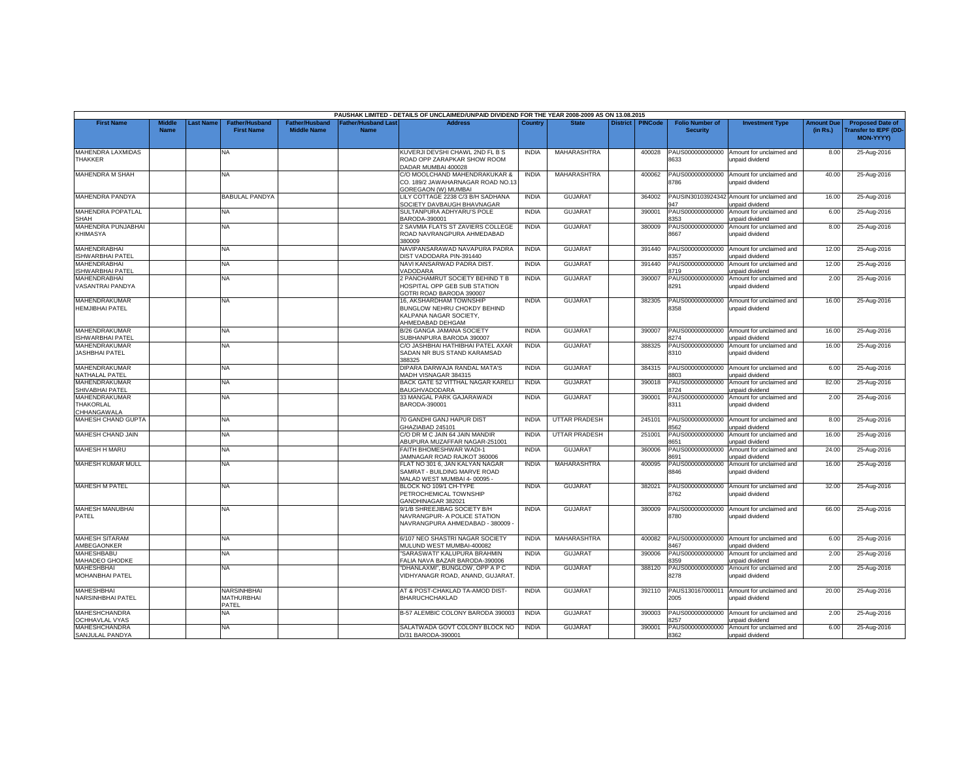|                                                  |                       |          |                                            |                                      |                                          | PAUSHAK LIMITED - DETAILS OF UNCLAIMED/UNPAID DIVIDEND FOR THE YEAR 2008-2009 AS ON 13.08.2015        |                |                      |                 |                |                                           |                                                              |                               |                                                              |
|--------------------------------------------------|-----------------------|----------|--------------------------------------------|--------------------------------------|------------------------------------------|-------------------------------------------------------------------------------------------------------|----------------|----------------------|-----------------|----------------|-------------------------------------------|--------------------------------------------------------------|-------------------------------|--------------------------------------------------------------|
| <b>First Name</b>                                | Middle<br><b>Name</b> | ast Name | <b>Father/Husband</b><br><b>First Name</b> | Father/Husband<br><b>Middle Name</b> | <b>Father/Husband Las</b><br><b>Name</b> | <b>Address</b>                                                                                        | <b>Country</b> | <b>State</b>         | <b>District</b> | <b>PINCode</b> | <b>Folio Number of</b><br><b>Security</b> | <b>Investment Type</b>                                       | <b>Amount Due</b><br>(in Rs.) | <b>Proposed Date of</b><br>ransfer to IEPF (DD-<br>MON-YYYY) |
| MAHENDRA LAXMIDAS<br><b>THAKKER</b>              |                       |          | NA.                                        |                                      |                                          | KUVERJI DEVSHI CHAWL 2ND FL B S<br>ROAD OPP ZARAPKAR SHOW ROOM<br>DADAR MUMBAI 400028                 | <b>INDIA</b>   | MAHARASHTRA          |                 | 400028         | PAUS000000000000<br>8633                  | Amount for unclaimed and<br>unpaid dividend                  | 8.00                          | 25-Aug-2016                                                  |
| MAHENDRA M SHAH                                  |                       |          | NA                                         |                                      |                                          | C/O MOOLCHAND MAHENDRAKUKAR &<br>CO. 189/2 JAWAHARNAGAR ROAD NO.13<br><b>SOREGAON (W) MUMBAI</b>      | <b>INDIA</b>   | MAHARASHTRA          |                 | 400062         | PAUS000000000000<br>8786                  | Amount for unclaimed and<br>unpaid dividend                  | 40.00                         | 25-Aug-2016                                                  |
| MAHENDRA PANDYA                                  |                       |          | <b>BABULAL PANDYA</b>                      |                                      |                                          | LILY COTTAGE 2238 C/3 B/H SADHANA<br>SOCIETY DAVBAUGH BHAVNAGAR                                       | <b>INDIA</b>   | <b>GUJARAT</b>       |                 | 364002         | PAUSIN30103924342<br>947                  | Amount for unclaimed and<br>unpaid dividend                  | 16.00                         | 25-Aug-2016                                                  |
| MAHENDRA POPATLAL<br><b>SHAH</b>                 |                       |          | <b>NA</b>                                  |                                      |                                          | SULTANPURA ADHYARU'S POLE<br>BARODA-390001                                                            | <b>INDIA</b>   | <b>GUJARAT</b>       |                 | 390001         | PAUS000000000000<br>3353                  | Amount for unclaimed and<br>unpaid dividend                  | 6.00                          | 25-Aug-2016                                                  |
| MAHENDRA PUNJABHAI<br><b>KHIMASYA</b>            |                       |          | NA                                         |                                      |                                          | 2 SAVMIA FLATS ST ZAVIERS COLLEGE<br>ROAD NAVRANGPURA AHMEDABAD<br>380009                             | <b>INDIA</b>   | <b>GUJARAT</b>       |                 | 380009         | PAUS000000000000<br>8667                  | Amount for unclaimed and<br>unpaid dividend                  | 8.00                          | 25-Aug-2016                                                  |
| <b>MAHENDRABHAI</b><br><b>ISHWARBHAI PATEL</b>   |                       |          | <b>NA</b>                                  |                                      |                                          | NAVIPANSARAWAD NAVAPURA PADRA<br><b>DIST VADODARA PIN-391440</b>                                      | <b>INDIA</b>   | <b>GUJARAT</b>       |                 | 391440         | 8357                                      | PAUS000000000000 Amount for unclaimed and<br>unpaid dividend | 12.00                         | 25-Aug-2016                                                  |
| <b>MAHENDRABHAI</b><br><b>ISHWARBHAI PATEL</b>   |                       |          | NA                                         |                                      |                                          | NAVI KANSARWAD PADRA DIST.<br>VADODARA                                                                | <b>INDIA</b>   | <b>GUJARAT</b>       |                 | 391440         | PAUS000000000000<br>8719                  | Amount for unclaimed and<br>unpaid dividend                  | 12.00                         | 25-Aug-2016                                                  |
| MAHENDRABHAI<br>VASANTRAI PANDYA                 |                       |          | NA                                         |                                      |                                          | 2 PANCHAMRUT SOCIETY BEHIND T B<br><b>IOSPITAL OPP GEB SUB STATION</b><br>GOTRI ROAD BARODA 390007    | <b>INDIA</b>   | <b>GUJARAT</b>       |                 | 390007         | PAUS000000000000<br>8291                  | Amount for unclaimed and<br>unpaid dividend                  | 2.00                          | 25-Aug-2016                                                  |
| <b>MAHENDRAKUMAR</b><br><b>HEMJIBHAI PATEL</b>   |                       |          | ΝA                                         |                                      |                                          | 16, AKSHARDHAM TOWNSHIP<br>BUNGLOW NEHRU CHOKDY BEHIND<br>KALPANA NAGAR SOCIETY,<br>AHMEDABAD DEHGAM  | <b>INDIA</b>   | <b>GUJARAT</b>       |                 | 382305         | PAUS000000000000<br>8358                  | Amount for unclaimed and<br>unpaid dividend                  | 16.00                         | 25-Aug-2016                                                  |
| MAHENDRAKUMAR<br><b>ISHWARBHAI PATEL</b>         |                       |          | NA                                         |                                      |                                          | B/26 GANGA JAMANA SOCIETY<br>SUBHANPURA BARODA 390007                                                 | <b>INDIA</b>   | <b>GUJARAT</b>       |                 | 390007         | PAUS000000000000<br>3274                  | Amount for unclaimed and<br>unpaid dividend                  | 16.00                         | 25-Aug-2016                                                  |
| MAHENDRAKUMAR<br><b>JASHBHAI PATEL</b>           |                       |          | NA                                         |                                      |                                          | C/O JASHBHAI HATHIBHAI PATEL AXAR<br>SADAN NR BUS STAND KARAMSAD<br>388325                            | <b>INDIA</b>   | <b>GUJARAT</b>       |                 | 388325         | PAUS000000000000<br>8310                  | Amount for unclaimed and<br>unpaid dividend                  | 16.00                         | 25-Aug-2016                                                  |
| MAHENDRAKUMAR<br>NATHALAL PATEL                  |                       |          | NA                                         |                                      |                                          | DIPARA DARWAJA RANDAL MATA'S<br>MADH VISNAGAR 384315                                                  | <b>INDIA</b>   | <b>GUJARAT</b>       |                 | 384315         | PAUS000000000000<br>8803                  | Amount for unclaimed and<br>unpaid dividend                  | 6.00                          | 25-Aug-2016                                                  |
| MAHENDRAKUMAR<br>SHIVABHAI PATEL                 |                       |          | <b>NA</b>                                  |                                      |                                          | BACK GATE 52 VITTHAL NAGAR KARELI<br><b>BAUGHVADODARA</b>                                             | <b>INDIA</b>   | <b>GUJARAT</b>       |                 | 390018         | 8724                                      | PAUS000000000000 Amount for unclaimed and<br>unpaid dividend | 82.00                         | 25-Aug-2016                                                  |
| MAHENDRAKUMAR<br><b>THAKORLAL</b><br>CHHANGAWALA |                       |          | NA                                         |                                      |                                          | 33 MANGAL PARK GAJARAWADI<br>BARODA-390001                                                            | <b>INDIA</b>   | <b>GUJARAT</b>       |                 | 390001         | PAUS000000000000<br>8311                  | Amount for unclaimed and<br>unpaid dividend                  | 2.00                          | 25-Aug-2016                                                  |
| MAHESH CHAND GUPTA                               |                       |          | <b>NA</b>                                  |                                      |                                          | 70 GANDHI GANJ HAPUR DIST<br>GHAZIABAD 245101                                                         | <b>INDIA</b>   | UTTAR PRADESH        |                 | 245101         | 8562                                      | PAUS000000000000 Amount for unclaimed and<br>unpaid dividend | 8.00                          | 25-Aug-2016                                                  |
| MAHESH CHAND JAIN                                |                       |          | NA                                         |                                      |                                          | C/O DR M C JAIN 64 JAIN MANDIR<br>ABUPURA MUZAFFAR NAGAR-251001                                       | <b>INDIA</b>   | <b>UTTAR PRADESH</b> |                 | 251001         | PAUS000000000000<br>8651                  | Amount for unclaimed and<br>unpaid dividend                  | 16.00                         | 25-Aug-2016                                                  |
| MAHESH H MARU                                    |                       |          | NA                                         |                                      |                                          | FAITH BHOMESHWAR WADI-1<br><b>JAMNAGAR ROAD RAJKOT 360006</b>                                         | <b>INDIA</b>   | GUJARAT              |                 | 360006         | PAUS000000000000<br>8691                  | Amount for unclaimed and<br>unpaid dividend                  | 24.00                         | 25-Aug-2016                                                  |
| <b>MAHESH KUMAR MULL</b>                         |                       |          | NA                                         |                                      |                                          | FLAT NO 301 6, JAN KALYAN NAGAR<br>SAMRAT - BUILDING MARVE ROAD<br><b>MALAD WEST MUMBAI 4-00095 -</b> | <b>INDIA</b>   | MAHARASHTRA          |                 | 400095         | PAUS000000000000<br>8846                  | Amount for unclaimed and<br>unpaid dividend                  | 16.00                         | 25-Aug-2016                                                  |
| <b>MAHESH M PATEL</b>                            |                       |          | <b>NA</b>                                  |                                      |                                          | BLOCK NO 109/1 CH-TYPE<br>PETROCHEMICAL TOWNSHIP<br>GANDHINAGAR 382021                                | <b>INDIA</b>   | <b>GUJARAT</b>       |                 | 382021         | 8762                                      | PAUS000000000000 Amount for unclaimed and<br>unpaid dividend | 32.00                         | 25-Aug-2016                                                  |
| MAHESH MANUBHAI<br>PATEL                         |                       |          | NA                                         |                                      |                                          | 9/1/B SHREEJIBAG SOCIETY B/H<br>NAVRANGPUR- A POLICE STATION<br>NAVRANGPURA AHMEDABAD - 380009        | <b>INDIA</b>   | <b>GUJARAT</b>       |                 | 380009         | PAUS000000000000<br>8780                  | Amount for unclaimed and<br>unpaid dividend                  | 66.00                         | 25-Aug-2016                                                  |
| <b>MAHESH SITARAM</b><br>AMBEGAONKER             |                       |          | NA                                         |                                      |                                          | 6/107 NEO SHASTRI NAGAR SOCIETY<br>MULUND WEST MUMBAI-400082                                          | <b>INDIA</b>   | MAHARASHTRA          |                 | 400082         | PAUS000000000000<br>3467                  | Amount for unclaimed and<br>unpaid dividend                  | 6.00                          | 25-Aug-2016                                                  |
| MAHESHBABU<br>MAHADEO GHODKE                     |                       |          | <b>NA</b>                                  |                                      |                                          | "SARASWATI" KALUPURA BRAHMIN<br>ALIA NAVA BAZAR BARODA-390006                                         | <b>INDIA</b>   | GUJARA1              |                 | 390006         | PAUS000000000000<br>8359                  | Amount for unclaimed and<br>unpaid dividend                  | 2.00                          | 25-Aug-2016                                                  |
| MAHESHBHAI<br><b>MOHANBHAI PATEL</b>             |                       |          | NA                                         |                                      |                                          | "DHANLAXMI", BUNGLOW, OPP A P C<br>VIDHYANAGR ROAD, ANAND, GUJARAT                                    | <b>INDIA</b>   | <b>GUJARAT</b>       |                 | 388120         | PAUS000000000000<br>8278                  | Amount for unclaimed and<br>unpaid dividend                  | 2.00                          | 25-Aug-2016                                                  |
| <b>MAHESHBHAI</b><br><b>NARSINHBHAI PATEL</b>    |                       |          | NARSINHBHAI<br><b>MATHURBHAI</b><br>PATEL  |                                      |                                          | AT & POST-CHAKLAD TA-AMOD DIST-<br>BHARUCHCHAKLAD                                                     | <b>INDIA</b>   | GUJARAT              |                 | 392110         | PAUS130167000011<br>2005                  | Amount for unclaimed and<br>unpaid dividend                  | 20.00                         | 25-Aug-2016                                                  |
| MAHESHCHANDRA<br><b>OCHHAVLAL VYAS</b>           |                       |          | NA                                         |                                      |                                          | B-57 ALEMBIC COLONY BARODA 390003                                                                     | <b>INDIA</b>   | <b>GUJARAT</b>       |                 | 390003         | PAUS000000000000<br>1257                  | Amount for unclaimed and<br>unpaid dividend                  | 2.00                          | 25-Aug-2016                                                  |
| <b>MAHESHCHANDRA</b><br>SANJULAL PANDYA          |                       |          | <b>NA</b>                                  |                                      |                                          | SALATWADA GOVT COLONY BLOCK NO<br>D/31 BARODA-390001                                                  | <b>INDIA</b>   | <b>GUJARAT</b>       |                 | 390001         | 8362                                      | PAUS000000000000 Amount for unclaimed and<br>unpaid dividend | 6.00                          | 25-Aug-2016                                                  |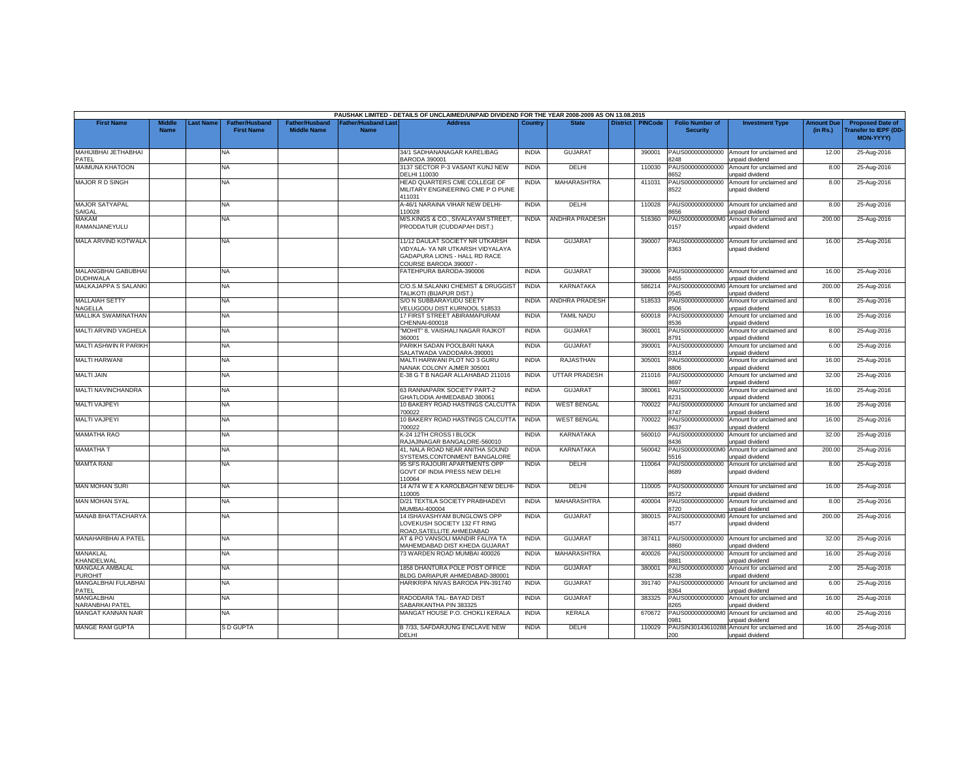|                                        |                              |                 |                                            |                                             |                                   | PAUSHAK LIMITED - DETAILS OF UNCLAIMED/UNPAID DIVIDEND FOR THE YEAR 2008-2009 AS ON 13.08.2015                               |              |                      |                 |                |                                           |                                                              |                               |                                                                            |
|----------------------------------------|------------------------------|-----------------|--------------------------------------------|---------------------------------------------|-----------------------------------|------------------------------------------------------------------------------------------------------------------------------|--------------|----------------------|-----------------|----------------|-------------------------------------------|--------------------------------------------------------------|-------------------------------|----------------------------------------------------------------------------|
| <b>First Name</b>                      | <b>Middle</b><br><b>Name</b> | <b>ast Name</b> | <b>Father/Husband</b><br><b>First Name</b> | <b>Father/Husband</b><br><b>Middle Name</b> | <b>Father/Husband Las</b><br>Name | <b>Address</b>                                                                                                               | Country      | <b>State</b>         | <b>District</b> | <b>PINCode</b> | <b>Folio Number of</b><br><b>Security</b> | <b>Investment Type</b>                                       | <b>Amount Due</b><br>(in Rs.) | <b>Proposed Date of</b><br><b>Transfer to IEPF (DD</b><br><b>MON-YYYY)</b> |
| MAHIJIBHAI JETHABHAI<br>PATEL          |                              |                 | <b>NA</b>                                  |                                             |                                   | 34/1 SADHANANAGAR KARELIBAG<br><b>BARODA 390001</b>                                                                          | <b>INDIA</b> | <b>GUJARA1</b>       |                 | 390001         | PAUS000000000000<br>8248                  | Amount for unclaimed and<br>unpaid dividend                  | 12.00                         | 25-Aug-2016                                                                |
| MAIMUNA KHATOON                        |                              |                 | NA                                         |                                             |                                   | 3137 SECTOR P-3 VASANT KUNJ NEW<br>DELHI 110030                                                                              | <b>INDIA</b> | DELHI                |                 | 110030         | AUS000000000000<br>3652                   | Amount for unclaimed and<br>unpaid dividend                  | 8.00                          | 25-Aug-2016                                                                |
| MAJOR R D SINGH                        |                              |                 | <b>NA</b>                                  |                                             |                                   | HEAD QUARTERS CME COLLEGE OF<br>MILITARY ENGINEERING CME P O PUNE<br>111031                                                  | <b>INDIA</b> | MAHARASHTRA          |                 | 411031         | PAUS000000000000<br>8522                  | Amount for unclaimed and<br>unpaid dividend                  | 8.00                          | 25-Aug-2016                                                                |
| <b>MAJOR SATYAPAL</b><br>SAIGAL        |                              |                 | NA                                         |                                             |                                   | A-46/1 NARAINA VIHAR NEW DELHI-<br>10028                                                                                     | <b>INDIA</b> | DELHI                |                 | 110028         | PAUS000000000000<br>656                   | Amount for unclaimed and<br>unpaid dividend                  | 8.00                          | 25-Aug-2016                                                                |
| <b>MAKAM</b><br>RAMANJANEYULU          |                              |                 | NA                                         |                                             |                                   | M/S.KINGS & CO., SIVALAYAM STREET.<br>PRODDATUR (CUDDAPAH DIST.)                                                             | <b>INDIA</b> | ANDHRA PRADESH       |                 | 516360         | PAUS0000000000M0<br>0157                  | Amount for unclaimed and<br>unpaid dividend                  | 200.00                        | 25-Aug-2016                                                                |
| MALA ARVIND KOTWALA                    |                              |                 | <b>NA</b>                                  |                                             |                                   | 11/12 DAULAT SOCIETY NR UTKARSH<br>VIDYALA- YA NR UTKARSH VIDYALAYA<br>GADAPURA LIONS - HALL RD RACE<br>COURSE BARODA 390007 | <b>INDIA</b> | <b>GUJARAT</b>       |                 | 390007         | PAUS000000000000<br>3363                  | Amount for unclaimed and<br>unpaid dividend                  | 16.00                         | 25-Aug-2016                                                                |
| MALANGBHAI GABUBHAI<br><b>DUDHWALA</b> |                              |                 | <b>NA</b>                                  |                                             |                                   | FATEHPURA BARODA-390006                                                                                                      | <b>INDIA</b> | <b>GUJARAT</b>       |                 | 390006         | PAUS000000000000<br>3455                  | Amount for unclaimed and<br>unpaid dividend                  | 16.00                         | 25-Aug-2016                                                                |
| MALKAJAPPA S SALANKI                   |                              |                 | NA                                         |                                             |                                   | C/O.S.M.SALANKI CHEMIST & DRUGGIST<br>TALIKOTI (BIJAPUR DIST.                                                                | <b>INDIA</b> | <b>KARNATAKA</b>     |                 | 586214         | PAUS0000000000M<br>0545                   | Amount for unclaimed and<br>unpaid dividend                  | 200.00                        | 25-Aug-2016                                                                |
| <b>MALLAIAH SETTY</b><br>NAGELLA       |                              |                 | <b>NA</b>                                  |                                             |                                   | S/O N SUBBARAYUDU SEETY<br>VELUGODU DIST KURNOOL 518533                                                                      | <b>INDIA</b> | ANDHRA PRADESH       |                 | 518533         | PAUS000000000000<br>8506                  | Amount for unclaimed and<br>unpaid dividend                  | 8.00                          | 25-Aug-2016                                                                |
| MALLIKA SWAMINATHAN                    |                              |                 | <b>NA</b>                                  |                                             |                                   | 17 FIRST STREET ABIRAMAPURAM<br>CHENNAI-600018                                                                               | <b>INDIA</b> | TAMIL NADU           |                 | 600018         | PAUS000000000000<br>536                   | Amount for unclaimed and<br>inpaid dividend                  | 16.00                         | 25-Aug-2016                                                                |
| MALTI ARVIND VAGHELA                   |                              |                 | NA                                         |                                             |                                   | "MOHIT" 8, VAISHALI NAGAR RAJKOT<br>360001                                                                                   | <b>INDIA</b> | <b>GUJARAT</b>       |                 | 360001         | PAUS000000000000<br>3791                  | Amount for unclaimed and<br>unpaid dividend                  | 8.00                          | 25-Aug-2016                                                                |
| MALTI ASHWIN R PARIKH                  |                              |                 | <b>NA</b>                                  |                                             |                                   | PARIKH SADAN POOLBARI NAKA<br>SALATWADA VADODARA-390001                                                                      | <b>INDIA</b> | <b>GUJARAT</b>       |                 | 390001         | PAUS000000000000<br>8314                  | Amount for unclaimed and<br>unpaid dividend                  | 6.00                          | 25-Aug-2016                                                                |
| <b>MALTI HARWANI</b>                   |                              |                 | <b>NA</b>                                  |                                             |                                   | MALTI HARWANI PLOT NO 3 GURU<br>NANAK COLONY AJMER 305001                                                                    | <b>INDIA</b> | <b>RAJASTHAN</b>     |                 | 305001         | PAUS000000000000<br>8806                  | Amount for unclaimed and<br>unpaid dividend                  | 16.00                         | 25-Aug-2016                                                                |
| <b>MALTI JAIN</b>                      |                              |                 | <b>NA</b>                                  |                                             |                                   | E-38 G T B NAGAR ALLAHABAD 211016                                                                                            | <b>INDIA</b> | <b>UTTAR PRADESH</b> |                 | 211016         | PAUS000000000000<br>8697                  | Amount for unclaimed and<br>unpaid dividend                  | 32.00                         | 25-Aug-2016                                                                |
| MALTI NAVINCHANDRA                     |                              |                 | NA                                         |                                             |                                   | 63 RANNAPARK SOCIETY PART-2<br><b>GHATLODIA AHMEDABAD 380061</b>                                                             | <b>INDIA</b> | <b>GUJARAT</b>       |                 | 380061         | PAUS000000000000<br>231                   | Amount for unclaimed and<br>unpaid dividend                  | 16.00                         | 25-Aug-2016                                                                |
| <b>MALTI VAJPEYI</b>                   |                              |                 | <b>NA</b>                                  |                                             |                                   | 10 BAKERY ROAD HASTINGS CALCUTTA<br>700022                                                                                   | <b>INDIA</b> | <b>WEST BENGAL</b>   |                 | 700022         | PAUS000000000000<br>8747                  | Amount for unclaimed and<br>unpaid dividend                  | 16.00                         | 25-Aug-2016                                                                |
| <b>MALTI VAJPEYI</b>                   |                              |                 | <b>NA</b>                                  |                                             |                                   | 10 BAKERY ROAD HASTINGS CALCUTTA<br>700022                                                                                   | <b>INDIA</b> | <b>WEST BENGAL</b>   |                 | 700022         | PAUS000000000000<br>8637                  | Amount for unclaimed and<br>unpaid dividend                  | 16.00                         | 25-Aug-2016                                                                |
| <b>MAMATHA RAO</b>                     |                              |                 | NA.                                        |                                             |                                   | K-24 12TH CROSS I BLOCK<br>RAJAJINAGAR BANGALORE-560010                                                                      | <b>INDIA</b> | <b>KARNATAKA</b>     |                 | 560010         | PAUS000000000000<br>8436                  | Amount for unclaimed and<br>unpaid dividend                  | 32.00                         | 25-Aug-2016                                                                |
| <b>MAMATHA T</b>                       |                              |                 | <b>NA</b>                                  |                                             |                                   | 41, NALA ROAD NEAR ANITHA SOUND<br>SYSTEMS, CONTONMENT BANGALORE                                                             | <b>INDIA</b> | KARNATAKA            |                 | 560042         | PAUS0000000000M<br>516                    | Amount for unclaimed and<br><b>Inpaid dividend</b>           | 200.00                        | 25-Aug-2016                                                                |
| <b>MAMTA RANI</b>                      |                              |                 | NA                                         |                                             |                                   | 95 SFS RAJOURI APARTMENTS OPP<br>GOVT OF INDIA PRESS NEW DELHI<br>10064                                                      | <b>INDIA</b> | <b>DELHI</b>         |                 | 110064         | PAUS000000000000<br>8689                  | Amount for unclaimed and<br>unpaid dividend                  | 8.00                          | 25-Aug-2016                                                                |
| <b>MAN MOHAN SURI</b>                  |                              |                 | <b>NA</b>                                  |                                             |                                   | 14 A/74 W E A KAROLBAGH NEW DELHI-<br>10005                                                                                  | <b>INDIA</b> | DELHI                |                 | 110005         | PAUS000000000000<br>3572                  | Amount for unclaimed and<br>unpaid dividend                  | 16.00                         | 25-Aug-2016                                                                |
| <b>MAN MOHAN SYAL</b>                  |                              |                 | NA.                                        |                                             |                                   | D/21 TEXTILA SOCIETY PRABHADEVI<br>MUMBAI-400004                                                                             | <b>INDIA</b> | <b>MAHARASHTRA</b>   |                 | 400004         | PAUS000000000000<br>8720                  | Amount for unclaimed and<br>unpaid dividend                  | 8.00                          | 25-Aug-2016                                                                |
| MANAB BHATTACHARYA                     |                              |                 | <b>NA</b>                                  |                                             |                                   | 14 ISHAVASHYAM BUNGLOWS OPP<br>LOVEKUSH SOCIETY 132 FT RING<br>ROAD.SATELLITE AHMEDABAD                                      | <b>INDIA</b> | <b>GUJARAT</b>       |                 | 380015         | 4577                                      | PAUS0000000000M0 Amount for unclaimed and<br>unpaid dividend | 200.00                        | 25-Aug-2016                                                                |
| MANAHARBHAI A PATEL                    |                              |                 | <b>NA</b>                                  |                                             |                                   | AT & PO VANSOLI MANDIR FALIYA TA<br>MAHEMDABAD DIST KHEDA GUJARAT                                                            | <b>INDIA</b> | <b>GUJARAT</b>       |                 | 387411         | PAUS000000000000<br>0888                  | Amount for unclaimed and<br>unpaid dividend                  | 32.00                         | 25-Aug-2016                                                                |
| MANAKLAL<br>KHANDELWAL                 |                              |                 | <b>NA</b>                                  |                                             |                                   | 73 WARDEN ROAD MUMBAI 400026                                                                                                 | <b>INDIA</b> | <b>MAHARASHTRA</b>   |                 | 400026         | PAUS000000000000<br>8881                  | Amount for unclaimed and<br>unpaid dividend                  | 16.00                         | 25-Aug-2016                                                                |
| MANGALA AMBALAL<br><b>PUROHIT</b>      |                              |                 | NA                                         |                                             |                                   | 1858 DHANTURA POLE POST OFFICE<br>BLDG DARIAPUR AHMEDABAD-380001                                                             | <b>INDIA</b> | <b>GUJARAT</b>       |                 | 380001         | PAUS000000000000<br>8238                  | Amount for unclaimed and<br>unpaid dividend                  | 2.00                          | 25-Aug-2016                                                                |
| MANGALBHAI FULABHAI<br>PATEL           |                              |                 | NA                                         |                                             |                                   | HARIKRIPA NIVAS BARODA PIN-391740                                                                                            | <b>INDIA</b> | <b>GUJARAT</b>       |                 | 391740         | PAUS000000000000<br>364                   | Amount for unclaimed and<br><b>Inpaid dividend</b>           | 6.00                          | 25-Aug-2016                                                                |
| <b>MANGALBHAI</b><br>NARANBHAI PATEL   |                              |                 | <b>NA</b>                                  |                                             |                                   | RADODARA TAL-BAYAD DIST<br>SABARKANTHA PIN 383325                                                                            | <b>INDIA</b> | <b>GUJARAT</b>       |                 | 383325         | PAUS000000000000<br>265                   | Amount for unclaimed and<br>unpaid dividend                  | 16.00                         | 25-Aug-2016                                                                |
| MANGAT KANNAN NAIR                     |                              |                 | <b>NA</b>                                  |                                             |                                   | MANGAT HOUSE P.O. CHOKLI KERALA                                                                                              | <b>INDIA</b> | KERALA               |                 | 670672         | PAUS0000000000M0<br>981                   | Amount for unclaimed and<br>unpaid dividend                  | 40.00                         | 25-Aug-2016                                                                |
| <b>MANGE RAM GUPTA</b>                 |                              |                 | <b>S D GUPTA</b>                           |                                             |                                   | B 7/33, SAFDARJUNG ENCLAVE NEW<br><b>DELHI</b>                                                                               | <b>INDIA</b> | DELHI                |                 | 110029         | PAUSIN30143610288<br>200                  | Amount for unclaimed and<br>unpaid dividend                  | 16.00                         | 25-Aug-2016                                                                |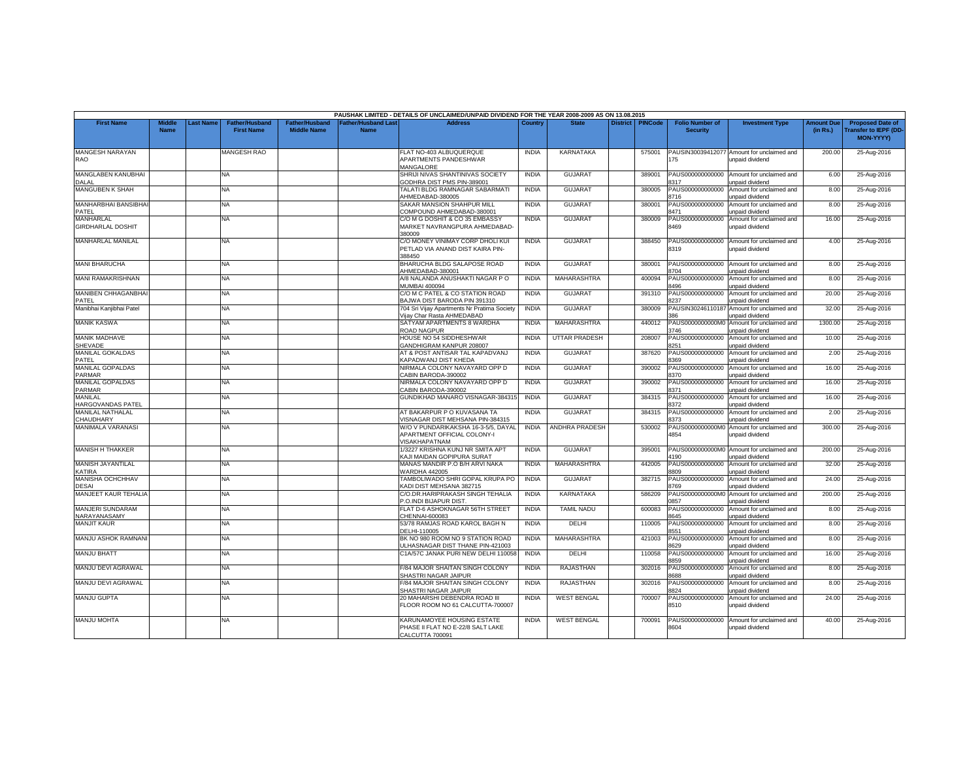|                                        |                              |                 |                                            |                                             |                                          | PAUSHAK LIMITED - DETAILS OF UNCLAIMED/UNPAID DIVIDEND FOR THE YEAR 2008-2009 AS ON 13.08.2015 |              |                      |                 |                |                                           |                                                               |                               |                                                                     |
|----------------------------------------|------------------------------|-----------------|--------------------------------------------|---------------------------------------------|------------------------------------------|------------------------------------------------------------------------------------------------|--------------|----------------------|-----------------|----------------|-------------------------------------------|---------------------------------------------------------------|-------------------------------|---------------------------------------------------------------------|
| <b>First Name</b>                      | <b>Middle</b><br><b>Name</b> | <b>ast Name</b> | <b>Father/Husband</b><br><b>First Name</b> | <b>Father/Husband</b><br><b>Middle Name</b> | <b>Father/Husband Las</b><br><b>Name</b> | <b>Address</b>                                                                                 | Country      | <b>State</b>         | <b>District</b> | <b>PINCode</b> | <b>Folio Number of</b><br><b>Security</b> | <b>Investment Type</b>                                        | <b>Amount Due</b><br>(in Rs.) | <b>Proposed Date of</b><br><b>Transfer to IEPF (DD</b><br>MON-YYYY) |
| MANGESH NARAYAN<br><b>RAO</b>          |                              |                 | <b>MANGESH RAO</b>                         |                                             |                                          | FLAT NO-403 ALBUQUERQUE<br>APARTMENTS PANDESHWAR<br>MANGALORE                                  | <b>INDIA</b> | KARNATAKA            |                 | 575001         | 175                                       | PAUSIN30039412077 Amount for unclaimed and<br>unpaid dividend | 200.00                        | 25-Aug-2016                                                         |
| MANGLABEN KANUBHAI<br>DALAL            |                              |                 | <b>NA</b>                                  |                                             |                                          | SHRIJI NIVAS SHANTINIVAS SOCIETY<br>GODHRA DIST PMS PIN-389001                                 | <b>INDIA</b> | <b>GUJARAT</b>       |                 | 389001         | PAUS000000000000<br>3317                  | Amount for unclaimed and<br>inpaid dividend                   | 6.00                          | 25-Aug-2016                                                         |
| <b>MANGUBEN K SHAH</b>                 |                              |                 | <b>NA</b>                                  |                                             |                                          | TALATI BLDG RAMNAGAR SABARMATI<br>HMEDABAD-380005                                              | <b>INDIA</b> | <b>GUJARAT</b>       |                 | 380005         | PAUS000000000000<br>3716                  | Amount for unclaimed and<br>unpaid dividend                   | 8.00                          | 25-Aug-2016                                                         |
| MANHARBHAI BANSIBHAI<br>PATEL          |                              |                 | NA                                         |                                             |                                          | SAKAR MANSION SHAHPUR MILL<br>COMPOUND AHMEDABAD-380001                                        | <b>INDIA</b> | <b>GUJARAT</b>       |                 | 380001         | PAUS000000000000<br>8471                  | Amount for unclaimed and<br>unpaid dividend                   | 8.00                          | 25-Aug-2016                                                         |
| MANHARLAL<br><b>GIRDHARLAL DOSHIT</b>  |                              |                 | NA.                                        |                                             |                                          | C/O M G DOSHIT & CO 35 EMBASSY<br>MARKET NAVRANGPURA AHMEDABAD-<br>380009                      | <b>INDIA</b> | <b>GUJARAT</b>       |                 | 380009         | PAUS000000000000<br>8469                  | Amount for unclaimed and<br>unpaid dividend                   | 16.00                         | 25-Aug-2016                                                         |
| MANHARLAL MANILAL                      |                              |                 | <b>NA</b>                                  |                                             |                                          | C/O MONEY VINIMAY CORP DHOLI KUI<br>PETLAD VIA ANAND DIST KAIRA PIN-<br>388450                 | <b>INDIA</b> | <b>GUJARAT</b>       |                 | 388450         | 8319                                      | PAUS000000000000 Amount for unclaimed and<br>unpaid dividend  | 4.00                          | 25-Aug-2016                                                         |
| <b>MANI BHARUCHA</b>                   |                              |                 | NA                                         |                                             |                                          | BHARUCHA BLDG SALAPOSE ROAD<br>AHMEDABAD-380001                                                | <b>INDIA</b> | <b>GUJARAT</b>       |                 | 380001         | PAUS000000000000<br>8704                  | Amount for unclaimed and<br>unpaid dividend                   | 8.00                          | 25-Aug-2016                                                         |
| MANI RAMAKRISHNAN                      |                              |                 | NA                                         |                                             |                                          | A/8 NALANDA ANUSHAKTI NAGAR P O<br><b>MUMBAI 400094</b>                                        | <b>INDIA</b> | <b>MAHARASHTRA</b>   |                 | 400094         | PAUS000000000000<br>8496                  | Amount for unclaimed and<br>unpaid dividend                   | 8.00                          | 25-Aug-2016                                                         |
| <b>MANIBEN CHHAGANBHAI</b><br>PATEL    |                              |                 | <b>NA</b>                                  |                                             |                                          | C/O M C PATEL & CO STATION ROAD<br>BAJWA DIST BARODA PIN 391310                                | <b>INDIA</b> | <b>GUJARAT</b>       |                 | 391310         | PAUS000000000000<br>3237                  | Amount for unclaimed and<br>unpaid dividend                   | 20.00                         | 25-Aug-2016                                                         |
| Manibhai Kanjibhai Patel               |                              |                 | <b>NA</b>                                  |                                             |                                          | 704 Sri Vijay Apartments Nr Pratima Society<br>/ijay Char Rasta AHMEDABAD                      | <b>INDIA</b> | <b>GUJARAT</b>       |                 | 380009         | AUSIN3024611018<br>86                     | Amount for unclaimed and<br>unpaid dividend                   | 32.00                         | 25-Aug-2016                                                         |
| <b>MANIK KASWA</b>                     |                              |                 | <b>NA</b>                                  |                                             |                                          | SATYAM APARTMENTS 8 WARDHA<br>ROAD NAGPUR                                                      | <b>INDIA</b> | MAHARASHTRA          |                 | 440012         | PAUS0000000000M<br>3746                   | Amount for unclaimed and<br>unpaid dividend                   | 1300.00                       | 25-Aug-2016                                                         |
| <b>MANIK MADHAVE</b><br><b>SHEVADE</b> |                              |                 | <b>NA</b>                                  |                                             |                                          | HOUSE NO 54 SIDDHESHWAR<br>GANDHIGRAM KANPUR 208007                                            | <b>INDIA</b> | <b>UTTAR PRADESH</b> |                 | 208007         | PAUS000000000000<br>3251                  | Amount for unclaimed and<br>unpaid dividend                   | 10.00                         | 25-Aug-2016                                                         |
| MANILAL GOKALDAS<br>PATEL              |                              |                 | <b>NA</b>                                  |                                             |                                          | AT & POST ANTISAR TAL KAPADVANJ<br>KAPADWANJ DIST KHEDA                                        | <b>INDIA</b> | GUJARAT              |                 | 387620         | PAUS000000000000<br>3369                  | Amount for unclaimed and<br>unpaid dividend                   | 2.00                          | 25-Aug-2016                                                         |
| <b>MANILAL GOPALDAS</b><br>PARMAR      |                              |                 | NA.                                        |                                             |                                          | NIRMALA COLONY NAVAYARD OPP D<br>CABIN BARODA-390002                                           | <b>INDIA</b> | <b>GUJARAT</b>       |                 | 390002         | PAUS000000000000<br>3370                  | Amount for unclaimed and<br>unpaid dividend                   | 16.00                         | 25-Aug-2016                                                         |
| MANILAL GOPALDAS<br>PARMAR             |                              |                 | NA                                         |                                             |                                          | NIRMALA COLONY NAVAYARD OPP D<br>CABIN BARODA-390002                                           | <b>INDIA</b> | <b>GUJARAT</b>       |                 | 390002         | PAUS000000000000<br>1371                  | Amount for unclaimed and<br>unpaid dividend                   | 16.00                         | 25-Aug-2016                                                         |
| <b>MANILAL</b><br>HARGOVANDAS PATEL    |                              |                 | <b>NA</b>                                  |                                             |                                          | GUNDIKHAD MANARO VISNAGAR-384315                                                               | <b>INDIA</b> | <b>GUJARAT</b>       |                 | 384315         | PAUS000000000000<br>3372                  | Amount for unclaimed and<br>unpaid dividend                   | 16.00                         | 25-Aug-2016                                                         |
| MANILAL NATHALAL<br>CHAUDHARY          |                              |                 | NA                                         |                                             |                                          | AT BAKARPUR P O KUVASANA TA<br>/ISNAGAR DIST MEHSANA PIN-384315                                | <b>INDIA</b> | <b>GUJARAT</b>       |                 | 384315         | PAUS000000000000<br>3373                  | Amount for unclaimed and<br>unpaid dividend                   | 2.00                          | 25-Aug-2016                                                         |
| MANIMALA VARANASI                      |                              |                 | <b>NA</b>                                  |                                             |                                          | W/O V PUNDARIKAKSHA 16-3-5/5, DAYAL<br>APARTMENT OFFICIAL COLONY-I<br>/ISAKHAPATNAM            | <b>INDIA</b> | ANDHRA PRADESH       |                 | 530002         | PAUS0000000000MC<br>4854                  | Amount for unclaimed and<br>unpaid dividend                   | 300.00                        | 25-Aug-2016                                                         |
| <b>MANISH H THAKKER</b>                |                              |                 | NA                                         |                                             |                                          | 1/3227 KRISHNA KUNJ NR SMITA APT<br>KAJI MAIDAN GOPIPURA SURAT                                 | <b>INDIA</b> | <b>GUJARAT</b>       |                 | 395001         | PAUS0000000000M0<br>190                   | Amount for unclaimed and<br>unpaid dividend                   | 200.00                        | 25-Aug-2016                                                         |
| MANISH JAYANTILAL<br>KATIRA            |                              |                 | NA                                         |                                             |                                          | MANAS MANDIR P.O B/H ARVI NAKA<br>VARDHA 442005                                                | <b>INDIA</b> | MAHARASHTRA          |                 | 442005         | PAUS000000000000<br>809                   | Amount for unclaimed and<br>unpaid dividend                   | 32.00                         | 25-Aug-2016                                                         |
| MANISHA OCHCHHAV<br><b>DESAI</b>       |                              |                 | <b>NA</b>                                  |                                             |                                          | TAMBOLIWADO SHRI GOPAL KRUPA PO<br><b>KADI DIST MEHSANA 382715</b>                             | <b>INDIA</b> | <b>GUJARAT</b>       |                 | 382715         | PAUS000000000000<br>3769                  | Amount for unclaimed and<br>unpaid dividend                   | 24.00                         | 25-Aug-2016                                                         |
| MANJEET KAUR TEHALIA                   |                              |                 | <b>NA</b>                                  |                                             |                                          | C/O.DR.HARIPRAKASH SINGH TEHALIA<br>.O.INDI BIJAPUR DIST.                                      | <b>INDIA</b> | <b>KARNATAKA</b>     |                 | 586209         | PAUS0000000000M0<br>857                   | Amount for unclaimed and<br>unpaid dividend                   | 200.00                        | 25-Aug-2016                                                         |
| MANJERI SUNDARAM<br>VARAYANASAMY       |                              |                 | NA                                         |                                             |                                          | FLAT D-6 ASHOKNAGAR 56TH STREET<br>CHENNAI-600083                                              | <b>INDIA</b> | <b>TAMIL NADU</b>    |                 | 600083         | PAUS000000000000<br>8645                  | Amount for unclaimed and<br>unpaid dividend                   | 8.00                          | 25-Aug-2016                                                         |
| <b>MANJIT KAUR</b>                     |                              |                 | NA                                         |                                             |                                          | 53/78 RAMJAS ROAD KAROL BAGH N<br>DELHI-110005                                                 | <b>INDIA</b> | DELHI                |                 | 110005         | PAUS000000000000<br>3551                  | Amount for unclaimed and<br>unpaid dividend                   | 8.00                          | 25-Aug-2016                                                         |
| <b>MANJU ASHOK RAMNANI</b>             |                              |                 | <b>NA</b>                                  |                                             |                                          | BK NO 980 ROOM NO 9 STATION ROAD<br>JLHASNAGAR DIST THANE PIN-421003                           | <b>INDIA</b> | MAHARASHTRA          |                 | 421003         | PAUS000000000000<br>629                   | Amount for unclaimed and<br>unpaid dividend                   | 8.00                          | 25-Aug-2016                                                         |
| <b>MANJU BHATT</b>                     |                              |                 | <b>NA</b>                                  |                                             |                                          | C1A/57C JANAK PURI NEW DELHI 110058                                                            | <b>INDIA</b> | DELHI                |                 | 110058         | PAUS000000000000<br>3859                  | Amount for unclaimed and<br>unpaid dividend                   | 16.00                         | 25-Aug-2016                                                         |
| MANJU DEVI AGRAWAL                     |                              |                 | NA                                         |                                             |                                          | F/84 MAJOR SHAITAN SINGH COLONY<br>SHASTRI NAGAR JAIPUR                                        | <b>INDIA</b> | <b>RAJASTHAN</b>     |                 | 302016         | PAUS000000000000<br>8688                  | Amount for unclaimed and<br>unpaid dividend                   | 8.00                          | 25-Aug-2016                                                         |
| MANJU DEVI AGRAWAL                     |                              |                 | NA                                         |                                             |                                          | F/84 MAJOR SHAITAN SINGH COLONY<br>SHASTRI NAGAR JAIPUR                                        | <b>INDIA</b> | <b>RAJASTHAN</b>     |                 | 302016         | PAUS000000000000<br>8824                  | Amount for unclaimed and<br>unpaid dividend                   | 8.00                          | 25-Aug-2016                                                         |
| MANJU GUPTA                            |                              |                 | <b>NA</b>                                  |                                             |                                          | 20 MAHARSHI DEBENDRA ROAD III<br>FLOOR ROOM NO 61 CALCUTTA-700007                              | <b>INDIA</b> | <b>WEST BENGAL</b>   |                 | 700007         | PAUS000000000000<br>8510                  | Amount for unclaimed and<br>unpaid dividend                   | 24.00                         | 25-Aug-2016                                                         |
| <b>MANJU MOHTA</b>                     |                              |                 | <b>NA</b>                                  |                                             |                                          | KARUNAMOYEE HOUSING ESTATE<br>PHASE II FLAT NO E-22/8 SALT LAKE<br>CALCUTTA 700091             | <b>INDIA</b> | <b>WEST BENGAL</b>   |                 | 700091         | PAUS000000000000<br>8604                  | Amount for unclaimed and<br>unpaid dividend                   | 40.00                         | 25-Aug-2016                                                         |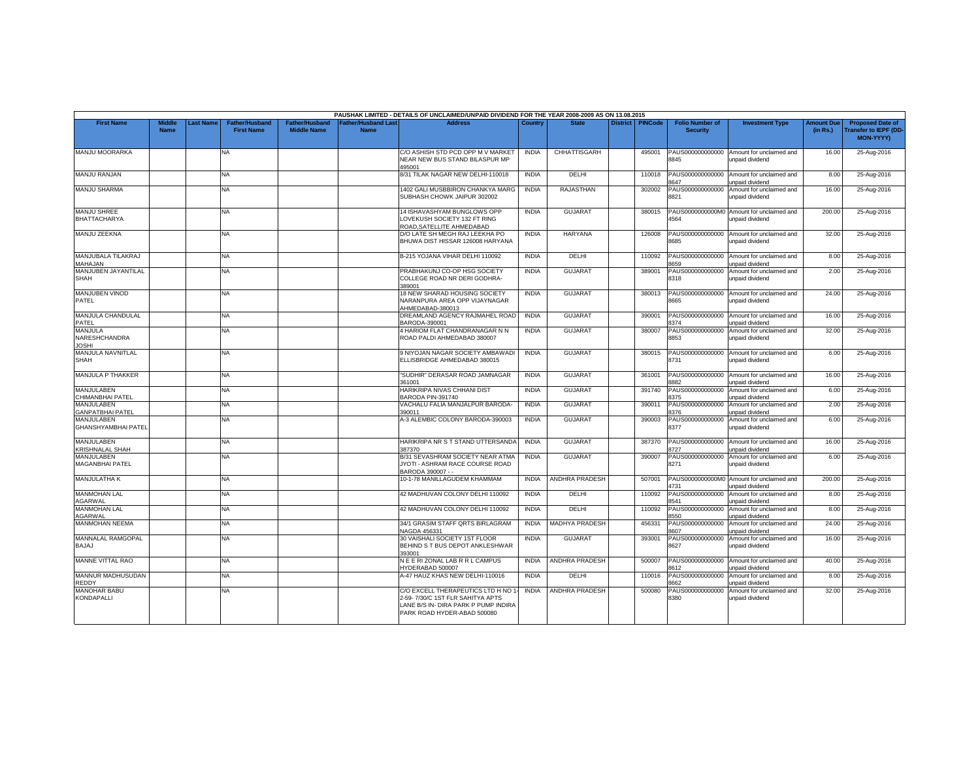|                                           |                              |                  |                                            |                                             |                                          | PAUSHAK LIMITED - DETAILS OF UNCLAIMED/UNPAID DIVIDEND FOR THE YEAR 2008-2009 AS ON 13.08.2015                                                |              |                       |                 |                |                                           |                                                              |                               |                                                                            |
|-------------------------------------------|------------------------------|------------------|--------------------------------------------|---------------------------------------------|------------------------------------------|-----------------------------------------------------------------------------------------------------------------------------------------------|--------------|-----------------------|-----------------|----------------|-------------------------------------------|--------------------------------------------------------------|-------------------------------|----------------------------------------------------------------------------|
| <b>First Name</b>                         | <b>Middle</b><br><b>Name</b> | <b>Last Name</b> | <b>Father/Husband</b><br><b>First Name</b> | <b>Father/Husband</b><br><b>Middle Name</b> | <b>Father/Husband Las</b><br><b>Name</b> | <b>Address</b>                                                                                                                                | Country      | <b>State</b>          | <b>District</b> | <b>PINCode</b> | <b>Folio Number of</b><br><b>Security</b> | <b>Investment Type</b>                                       | <b>Amount Due</b><br>(in Rs.) | <b>Proposed Date of</b><br><b>Transfer to IEPF (DD</b><br><b>MON-YYYY)</b> |
| MANJU MOORARKA                            |                              |                  | <b>NA</b>                                  |                                             |                                          | C/O ASHISH STD PCD OPP M V MARKET<br>NEAR NEW BUS STAND BILASPUR MP<br>495001                                                                 | <b>INDIA</b> | <b>CHHATTISGARH</b>   |                 | 495001         | PAUS000000000000<br>8845                  | Amount for unclaimed and<br>unpaid dividend                  | 16.00                         | 25-Aug-2016                                                                |
| MANJU RANJAN                              |                              |                  | <b>NA</b>                                  |                                             |                                          | 8/31 TILAK NAGAR NEW DELHI-110018                                                                                                             | <b>INDIA</b> | DELHI                 |                 | 110018         | PAUS000000000000<br>8647                  | Amount for unclaimed and<br>unpaid dividend                  | 8.00                          | 25-Aug-2016                                                                |
| <b>MANJU SHARMA</b>                       |                              |                  | NA.                                        |                                             |                                          | 1402 GALI MUSBBIRON CHANKYA MARG<br>SUBHASH CHOWK JAIPUR 302002                                                                               | <b>INDIA</b> | <b>RAJASTHAN</b>      |                 | 302002         | PAUS000000000000<br>8821                  | Amount for unclaimed and<br>unpaid dividend                  | 16.00                         | 25-Aug-2016                                                                |
| <b>MANJU SHREE</b><br><b>BHATTACHARYA</b> |                              |                  | <b>NA</b>                                  |                                             |                                          | 14 ISHAVASHYAM BUNGLOWS OPP<br>LOVEKUSH SOCIETY 132 FT RING<br>ROAD, SATELLITE AHMEDABAD                                                      | <b>INDIA</b> | <b>GUJARA1</b>        |                 | 380015         | PAUS0000000000M0<br>4564                  | Amount for unclaimed and<br>unpaid dividend                  | 200.00                        | 25-Aug-2016                                                                |
| MANJU ZEEKNA                              |                              |                  | <b>NA</b>                                  |                                             |                                          | D/O LATE SH MEGH RAJ LEEKHA PO<br>BHUWA DIST HISSAR 126008 HARYANA                                                                            | <b>INDIA</b> | HARYANA               |                 | 126008         | PAUS000000000000<br>3685                  | Amount for unclaimed and<br>unpaid dividend                  | 32.00                         | 25-Aug-2016                                                                |
| MANJUBALA TILAKRAJ<br>MAHAJAN             |                              |                  | NA                                         |                                             |                                          | B-215 YOJANA VIHAR DELHI 110092                                                                                                               | <b>INDIA</b> | DELHI                 |                 | 110092         | PAUS000000000000<br>8659                  | Amount for unclaimed and<br>unpaid dividend                  | 8.00                          | 25-Aug-2016                                                                |
| MANJUBEN JAYANTILAL<br>SHAH               |                              |                  | NA.                                        |                                             |                                          | PRABHAKUNJ CO-OP HSG SOCIETY<br>COLLEGE ROAD NR DERI GODHRA-<br>389001                                                                        | <b>INDIA</b> | <b>GUJARAT</b>        |                 | 389001         | PAUS000000000000<br>8318                  | Amount for unclaimed and<br>unpaid dividend                  | 2.00                          | 25-Aug-2016                                                                |
| MANJUBEN VINOD<br>PATEL                   |                              |                  | NA                                         |                                             |                                          | 18 NEW SHARAD HOUSING SOCIETY<br>NARANPURA AREA OPP VIJAYNAGAR<br>AHMEDABAD-380013                                                            | <b>INDIA</b> | <b>GUJARAT</b>        |                 | 380013         | PAUS000000000000<br>8665                  | Amount for unclaimed and<br>unpaid dividend                  | 24.00                         | 25-Aug-2016                                                                |
| MANJULA CHANDULAL<br>PATEL                |                              |                  | <b>NA</b>                                  |                                             |                                          | DREAMLAND AGENCY RAJMAHEL ROAD<br>BARODA-390001                                                                                               | <b>INDIA</b> | <b>GUJARAT</b>        |                 | 390001         | PAUS000000000000<br>374                   | Amount for unclaimed and<br>unpaid dividend                  | 16.00                         | 25-Aug-2016                                                                |
| MANJULA<br>NARESHCHANDRA<br><b>JOSHI</b>  |                              |                  | <b>NA</b>                                  |                                             |                                          | 4 HARIOM FLAT CHANDRANAGAR N N<br>ROAD PALDI AHMEDABAD 380007                                                                                 | <b>INDIA</b> | <b>GUJARAT</b>        |                 | 380007         | PAUS000000000000<br>8853                  | Amount for unclaimed and<br>unpaid dividend                  | 32.00                         | 25-Aug-2016                                                                |
| MANJULA NAVNITLAL<br>SHAH                 |                              |                  | <b>NA</b>                                  |                                             |                                          | 9 NIYOJAN NAGAR SOCIETY AMBAWADI<br>ELLISBRIDGE AHMEDABAD 380015                                                                              | <b>INDIA</b> | <b>GUJARAT</b>        |                 | 380015         | PAUS000000000000<br>8731                  | Amount for unclaimed and<br>unpaid dividend                  | 6.00                          | 25-Aug-2016                                                                |
| MANJULA P THAKKER                         |                              |                  | <b>NA</b>                                  |                                             |                                          | "SUDHIR" DERASAR ROAD JAMNAGAR<br>361001                                                                                                      | <b>INDIA</b> | <b>GUJARAT</b>        |                 | 361001         | PAUS000000000000<br>8882                  | Amount for unclaimed and<br>unpaid dividend                  | 16.00                         | 25-Aug-2016                                                                |
| MANJULABEN<br>CHIMANBHAI PATEL            |                              |                  | <b>NA</b>                                  |                                             |                                          | HARIKRIPA NIVAS CHHANI DIST<br>BARODA PIN-391740                                                                                              | <b>INDIA</b> | <b>GUJARAT</b>        |                 | 391740         | PAUS000000000000<br>8375                  | Amount for unclaimed and<br>unpaid dividend                  | 6.00                          | 25-Aug-2016                                                                |
| MANJULABEN<br><b>GANPATBHAI PATEL</b>     |                              |                  | <b>NA</b>                                  |                                             |                                          | VACHALU FALIA MANJALPUR BARODA-<br>390011                                                                                                     | <b>INDIA</b> | <b>GUJARAT</b>        |                 | 390011         | PAUS000000000000<br>3376                  | Amount for unclaimed and<br><b>Inpaid dividend</b>           | 2.00                          | 25-Aug-2016                                                                |
| MANJULABEN<br><b>GHANSHYAMBHAI PATEL</b>  |                              |                  | NA.                                        |                                             |                                          | A-3 ALEMBIC COLONY BARODA-390003                                                                                                              | <b>INDIA</b> | <b>GUJARAT</b>        |                 | 390003         | PAUS000000000000<br>8377                  | Amount for unclaimed and<br>unpaid dividend                  | 6.00                          | 25-Aug-2016                                                                |
| MANJULABEN<br>KRISHNALAL SHAH             |                              |                  | NA                                         |                                             |                                          | HARIKRIPA NR S T STAND UTTERSANDA<br>387370                                                                                                   | <b>INDIA</b> | <b>GUJARAT</b>        |                 | 387370         | PAUS000000000000<br>3727                  | Amount for unclaimed and<br>unpaid dividend                  | 16.00                         | 25-Aug-2016                                                                |
| MANJULABEN<br><b>MAGANBHAI PATEL</b>      |                              |                  | <b>NA</b>                                  |                                             |                                          | B/31 SEVASHRAM SOCIETY NEAR ATMA<br>JYOTI - ASHRAM RACE COURSE ROAD<br>BARODA 390007 - -                                                      | <b>INDIA</b> | <b>GUJARAT</b>        |                 | 390007         | PAUS000000000000<br>8271                  | Amount for unclaimed and<br>unpaid dividend                  | 6.00                          | 25-Aug-2016                                                                |
| MANJULATHA K                              |                              |                  | <b>NA</b>                                  |                                             |                                          | 10-1-78 MANILLAGUDEM KHAMMAM                                                                                                                  | <b>INDIA</b> | <b>ANDHRA PRADESH</b> |                 | 507001         | 4731                                      | PAUS0000000000M0 Amount for unclaimed and<br>unpaid dividend | 200.00                        | 25-Aug-2016                                                                |
| <b>MANMOHAN LAL</b><br>AGARWAL            |                              |                  | <b>NA</b>                                  |                                             |                                          | 42 MADHUVAN COLONY DELHI 110092                                                                                                               | <b>INDIA</b> | DELHI                 |                 | 110092         | PAUS000000000000<br>541                   | Amount for unclaimed and<br>unpaid dividend                  | 8.00                          | 25-Aug-2016                                                                |
| <b>MANMOHAN LAL</b><br><b>AGARWAL</b>     |                              |                  | NA                                         |                                             |                                          | 42 MADHUVAN COLONY DELHI 110092                                                                                                               | <b>INDIA</b> | DELHI                 |                 | 110092         | PAUS000000000000<br>3550                  | Amount for unclaimed and<br>unpaid dividend                  | 8.00                          | 25-Aug-2016                                                                |
| MANMOHAN NEEMA                            |                              |                  | <b>NA</b>                                  |                                             |                                          | 34/1 GRASIM STAFF QRTS BIRLAGRAM<br>NAGDA 456331                                                                                              | <b>INDIA</b> | <b>MADHYA PRADESH</b> |                 | 456331         | PAUS000000000000<br>8607                  | Amount for unclaimed and<br>unpaid dividend                  | 24.00                         | 25-Aug-2016                                                                |
| MANNALAL RAMGOPAL<br><b>BAJAJ</b>         |                              |                  | <b>NA</b>                                  |                                             |                                          | 30 VAISHALI SOCIETY 1ST FLOOR<br>BEHIND S T BUS DEPOT ANKLESHWAR<br>393001                                                                    | <b>INDIA</b> | <b>GUJARAT</b>        |                 | 393001         | PAUS000000000000<br>8627                  | Amount for unclaimed and<br>unpaid dividend                  | 16.00                         | 25-Aug-2016                                                                |
| MANNE VITTAL RAO                          |                              |                  | <b>NA</b>                                  |                                             |                                          | NEERIZONAL LABRRL CAMPUS<br>HYDERABAD 500007                                                                                                  | <b>INDIA</b> | ANDHRA PRADESH        |                 | 500007         | PAUS000000000000<br>8612                  | Amount for unclaimed and<br>unpaid dividend                  | 40.00                         | 25-Aug-2016                                                                |
| MANNUR MADHUSUDAN<br><b>REDDY</b>         |                              |                  | <b>NA</b>                                  |                                             |                                          | A-47 HAUZ KHAS NEW DELHI-110016                                                                                                               | <b>INDIA</b> | DELHI                 |                 | 110016         | PAUS000000000000<br>662                   | Amount for unclaimed and<br><b>Inpaid dividend</b>           | 8.00                          | 25-Aug-2016                                                                |
| <b>MANOHAR BABU</b><br><b>KONDAPALLI</b>  |                              |                  | NA.                                        |                                             |                                          | C/O EXCELL THERAPEUTICS LTD H NO 1<br>2-59-7/30/C 1ST FLR SAHITYA APTS<br>LANE B/S IN- DIRA PARK P PUMP INDIRA<br>PARK ROAD HYDER-ABAD 500080 | <b>INDIA</b> | <b>ANDHRA PRADESH</b> |                 | 500080         | PAUS000000000000<br>8380                  | Amount for unclaimed and<br>unpaid dividend                  | 32.00                         | 25-Aug-2016                                                                |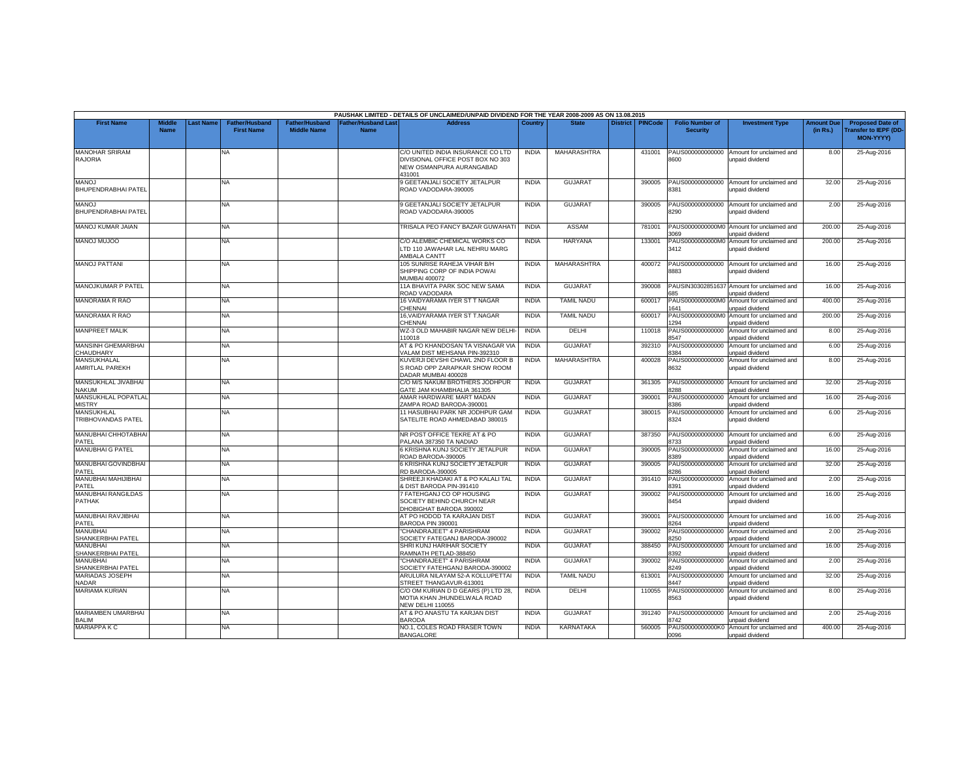|                                             |                              |                 |                                            |                                             |                                          | PAUSHAK LIMITED - DETAILS OF UNCLAIMED/UNPAID DIVIDEND FOR THE YEAR 2008-2009 AS ON 13.08.2015               |                              |                                   |                 |                  |                                              |                                                                         |                               |                                                                            |
|---------------------------------------------|------------------------------|-----------------|--------------------------------------------|---------------------------------------------|------------------------------------------|--------------------------------------------------------------------------------------------------------------|------------------------------|-----------------------------------|-----------------|------------------|----------------------------------------------|-------------------------------------------------------------------------|-------------------------------|----------------------------------------------------------------------------|
| <b>First Name</b>                           | <b>Middle</b><br><b>Name</b> | <b>ast Name</b> | <b>Father/Husband</b><br><b>First Name</b> | <b>Father/Husband</b><br><b>Middle Name</b> | <b>Father/Husband Las</b><br><b>Name</b> | <b>Address</b>                                                                                               | Country                      | <b>State</b>                      | <b>District</b> | <b>PINCode</b>   | <b>Folio Number of</b><br><b>Security</b>    | <b>Investment Type</b>                                                  | <b>Amount Due</b><br>(in Rs.) | <b>Proposed Date of</b><br><b>Transfer to IEPF (DD</b><br><b>MON-YYYY)</b> |
| <b>MANOHAR SRIRAM</b><br><b>RAJORIA</b>     |                              |                 | <b>NA</b>                                  |                                             |                                          | C/O UNITED INDIA INSURANCE CO LTD<br>DIVISIONAL OFFICE POST BOX NO 303<br>NEW OSMANPURA AURANGABAD<br>431001 | <b>INDIA</b>                 | MAHARASHTRA                       |                 | 431001           | PAUS000000000000<br>8600                     | Amount for unclaimed and<br>unpaid dividend                             | 8.00                          | 25-Aug-2016                                                                |
| <b>MANOJ</b><br>BHUPENDRABHAI PATEL         |                              |                 | <b>NA</b>                                  |                                             |                                          | 9 GEETANJALI SOCIETY JETALPUR<br>ROAD VADODARA-390005                                                        | <b>INDIA</b>                 | <b>GUJARAT</b>                    |                 | 390005           | PAUS000000000000<br>8381                     | Amount for unclaimed and<br>unpaid dividend                             | 32.00                         | 25-Aug-2016                                                                |
| <b>MANOJ</b><br>BHUPENDRABHAI PATEL         |                              |                 | <b>NA</b>                                  |                                             |                                          | 9 GEETANJALI SOCIETY JETALPUR<br>ROAD VADODARA-390005                                                        | <b>INDIA</b>                 | <b>GUJARAT</b>                    |                 | 390005           | PAUS000000000000<br>8290                     | Amount for unclaimed and<br>unpaid dividend                             | 2.00                          | 25-Aug-2016                                                                |
| MANOJ KUMAR JAIAN                           |                              |                 | NA.                                        |                                             |                                          | TRISALA PEO FANCY BAZAR GUWAHAT                                                                              | <b>INDIA</b>                 | ASSAM                             |                 | 781001           | 8069                                         | PAUS0000000000M0 Amount for unclaimed and<br>unpaid dividend            | 200.00                        | 25-Aug-2016                                                                |
| <b>OOLUM LONAM</b>                          |                              |                 | <b>NA</b>                                  |                                             |                                          | C/O ALEMBIC CHEMICAL WORKS CO<br>LTD 110 JAWAHAR LAL NEHRU MARG<br>AMBALA CANTT                              | <b>INDIA</b>                 | <b>HARYANA</b>                    |                 | 133001           | 3412                                         | PAUS0000000000M0 Amount for unclaimed and<br>unpaid dividend            | 200.00                        | 25-Aug-2016                                                                |
| <b>MANOJ PATTANI</b>                        |                              |                 | NA.                                        |                                             |                                          | 105 SUNRISE RAHEJA VIHAR B/H<br>SHIPPING CORP OF INDIA POWAI<br>MUMBAI 400072                                | <b>INDIA</b>                 | MAHARASHTRA                       |                 | 400072           | PAUS000000000000<br>8883                     | Amount for unclaimed and<br>unpaid dividend                             | 16.00                         | 25-Aug-2016                                                                |
| MANOJKUMAR P PATEL                          |                              |                 | NA                                         |                                             |                                          | 11A BHAVITA PARK SOC NEW SAMA<br>ROAD VADODARA                                                               | <b>INDIA</b>                 | <b>GUJARAT</b>                    |                 | 390008           | 685                                          | PAUSIN30302851637 Amount for unclaimed and<br>unpaid dividend           | 16.00                         | 25-Aug-2016                                                                |
| MANORAMA R RAO                              |                              |                 | <b>NA</b>                                  |                                             |                                          | 16 VAIDYARAMA IYER ST T NAGAR<br>CHENNAI                                                                     | <b>INDIA</b>                 | <b>TAMIL NADU</b>                 |                 | 600017           | PAUS0000000000M<br>1641                      | Amount for unclaimed and<br>unpaid dividend                             | 400.00                        | 25-Aug-2016                                                                |
| MANORAMA R RAO                              |                              |                 | <b>NA</b>                                  |                                             |                                          | 16, VAIDYARAMA IYER ST T.NAGAR<br><b>CHENNAL</b>                                                             | <b>INDIA</b>                 | <b>TAMIL NADU</b><br><b>DELHI</b> |                 | 600017           | PAUS0000000000M<br>294                       | Amount for unclaimed and<br><b>Inpaid dividend</b>                      | 200.00                        | 25-Aug-2016                                                                |
| <b>MANPREET MALIK</b><br>MANSINH GHEMARBHAI |                              |                 | NA<br><b>NA</b>                            |                                             |                                          | WZ-3 OLD MAHABIR NAGAR NEW DELHI-<br>10018<br>AT & PO KHANDOSAN TA VISNAGAR VIA                              | <b>INDIA</b><br><b>INDIA</b> | <b>GUJARAT</b>                    |                 | 110018<br>392310 | PAUS000000000000<br>3547<br>PAUS000000000000 | Amount for unclaimed and<br>unpaid dividend<br>Amount for unclaimed and | 8.00<br>6.00                  | 25-Aug-2016<br>25-Aug-2016                                                 |
| CHAUDHARY<br>MANSUKHALAL                    |                              |                 | <b>NA</b>                                  |                                             |                                          | /ALAM DIST MEHSANA PIN-392310<br>KUVERJI DEVSHI CHAWL 2ND FLOOR B                                            | <b>INDIA</b>                 | MAHARASHTRA                       |                 | 400028           | 3384<br>PAUS000000000000                     | unpaid dividend<br>Amount for unclaimed and                             | 8.00                          | 25-Aug-2016                                                                |
| <b>AMRITLAL PAREKH</b>                      |                              |                 |                                            |                                             |                                          | S ROAD OPP ZARAPKAR SHOW ROOM<br>DADAR MUMBAI 400028                                                         |                              |                                   |                 |                  | 8632                                         | unpaid dividend                                                         |                               |                                                                            |
| MANSUKHLAL JIVABHAI<br><b>NAKUM</b>         |                              |                 | <b>NA</b>                                  |                                             |                                          | C/O M/S NAKUM BROTHERS JODHPUR<br>GATE JAM KHAMBHALIA 361305                                                 | <b>INDIA</b>                 | <b>GUJARAT</b>                    |                 | 361305           | PAUS000000000000<br>288                      | Amount for unclaimed and<br><b>Inpaid dividend</b>                      | 32.00                         | 25-Aug-2016                                                                |
| MANSUKHLAL POPATLAL<br><b>MISTRY</b>        |                              |                 | NA.                                        |                                             |                                          | AMAR HARDWARE MART MADAN<br>ZAMPA ROAD BARODA-390001                                                         | <b>INDIA</b>                 | <b>GUJARAT</b>                    |                 | 390001           | PAUS000000000000<br>386                      | Amount for unclaimed and<br>unpaid dividend                             | 16.00                         | 25-Aug-2016                                                                |
| MANSUKHLAL<br>TRIBHOVANDAS PATEL            |                              |                 | NA                                         |                                             |                                          | 11 HASUBHAI PARK NR JODHPUR GAM<br>SATELITE ROAD AHMEDABAD 380015                                            | <b>INDIA</b>                 | <b>GUJARAT</b>                    |                 | 380015           | PAUS000000000000<br>8324                     | Amount for unclaimed and<br>unpaid dividend                             | 6.00                          | 25-Aug-2016                                                                |
| <b>MANUBHAI CHHOTABHAI</b><br>PATEL         |                              |                 | NA.                                        |                                             |                                          | NR POST OFFICE TEKRE AT & PO<br>PALANA 387350 TA NADIAD                                                      | <b>INDIA</b>                 | <b>GUJARAT</b>                    |                 | 387350           | PAUS000000000000<br>3733                     | Amount for unclaimed and<br>unpaid dividend                             | 6.00                          | 25-Aug-2016                                                                |
| MANUBHAI G PATEL                            |                              |                 | NA                                         |                                             |                                          | 6 KRISHNA KUNJ SOCIETY JETALPUR<br>ROAD BARODA-390005                                                        | <b>INDIA</b>                 | <b>GUJARAT</b>                    |                 | 390005           | PAUS000000000000<br>389                      | Amount for unclaimed and<br><b>Inpaid dividend</b>                      | 16.00                         | 25-Aug-2016                                                                |
| MANUBHAI GOVINDBHAI<br>PATEL                |                              |                 | NA.                                        |                                             |                                          | 6 KRISHNA KUNJ SOCIETY JETALPUR<br>RD BARODA-390005                                                          | <b>INDIA</b>                 | <b>GUJARAT</b>                    |                 | 390005           | PAUS000000000000<br>286                      | Amount for unclaimed and<br>unpaid dividend                             | 32.00                         | 25-Aug-2016                                                                |
| MANUBHAI MAHIJIBHAI<br>PATEL                |                              |                 | <b>NA</b>                                  |                                             |                                          | SHREEJI KHADAKI AT & PO KALALI TAL<br>DIST BARODA PIN-391410                                                 | <b>INDIA</b>                 | <b>GUJARAT</b>                    |                 | 391410           | PAUS000000000000<br>391                      | Amount for unclaimed and<br>unpaid dividend                             | 2.00                          | 25-Aug-2016                                                                |
| <b>MANUBHAI RANGILDAS</b><br><b>PATHAK</b>  |                              |                 | <b>NA</b>                                  |                                             |                                          | 7 FATEHGANJ CO OP HOUSING<br>SOCIETY BEHIND CHURCH NEAR<br>DHOBIGHAT BARODA 390002                           | <b>INDIA</b>                 | <b>GUJARAT</b>                    |                 | 390002           | PAUS000000000000<br>8454                     | Amount for unclaimed and<br>unpaid dividend                             | 16.00                         | 25-Aug-2016                                                                |
| MANUBHAI RAVJIBHAI<br>PATEL                 |                              |                 | <b>NA</b>                                  |                                             |                                          | AT PO HODOD TA KARAJAN DIST<br>BARODA PIN 390001                                                             | <b>INDIA</b>                 | <b>GUJARAT</b>                    |                 | 390001           | PAUS000000000000<br>264                      | Amount for unclaimed and<br><b>Inpaid dividend</b>                      | 16.00                         | 25-Aug-2016                                                                |
| <b>MANUBHAI</b><br>SHANKERBHAI PATEL        |                              |                 | <b>NA</b>                                  |                                             |                                          | CHANDRAJEET" 4 PARISHRAM<br>SOCIETY FATEGANJ BARODA-390002                                                   | <b>INDIA</b>                 | <b>GUJARAT</b>                    |                 | 390002           | PAUS000000000000<br>250                      | Amount for unclaimed and<br>unpaid dividend                             | 2.00                          | 25-Aug-2016                                                                |
| MANUBHAI<br><b>SHANKERBHAI PATEL</b>        |                              |                 | <b>NA</b>                                  |                                             |                                          | SHRI KUNJ HARIHAR SOCIETY<br>RAMNATH PETLAD-388450                                                           | <b>INDIA</b>                 | <b>GUJARAT</b>                    |                 | 388450           | PAUS000000000000<br>3392                     | Amount for unclaimed and<br>unpaid dividend                             | 16.00                         | 25-Aug-2016                                                                |
| MANUBHAI<br>SHANKERBHAI PATEL               |                              |                 | <b>NA</b>                                  |                                             |                                          | "CHANDRAJEET" 4 PARISHRAM<br>SOCIETY FATEHGANJ BARODA-390002                                                 | <b>INDIA</b>                 | <b>GUJARAT</b>                    |                 | 390002           | PAUS00000000000<br>8249                      | Amount for unclaimed and<br>unpaid dividend                             | 2.00                          | 25-Aug-2016                                                                |
| <b>MARIADAS JOSEPH</b><br><b>NADAR</b>      |                              |                 | NA                                         |                                             |                                          | ARULURA NILAYAM 52-A KOLLUPETTAI<br>STREET THANGAVUR-613001                                                  | <b>INDIA</b>                 | <b>TAMIL NADU</b>                 |                 | 613001           | PAUS000000000000<br>8447                     | Amount for unclaimed and<br>unpaid dividend                             | 32.00                         | 25-Aug-2016                                                                |
| <b>MARIAMA KURIAN</b>                       |                              |                 | <b>NA</b>                                  |                                             |                                          | C/O OM KURIAN D D GEARS (P) LTD 28,<br>MOTIA KHAN JHUNDELWALA ROAD<br>VEW DELHI 110055                       | <b>INDIA</b>                 | DELHI                             |                 | 110055           | PAUS000000000000<br>8563                     | Amount for unclaimed and<br>unpaid dividend                             | 8.00                          | 25-Aug-2016                                                                |
| MARIAMBEN UMARBHAI<br><b>BALIM</b>          |                              |                 | <b>NA</b>                                  |                                             |                                          | AT & PO ANASTU TA KARJAN DIST<br><b>BARODA</b>                                                               | <b>INDIA</b>                 | <b>GUJARAT</b>                    |                 | 391240           | PAUS000000000000<br>3742                     | Amount for unclaimed and<br>unpaid dividend                             | 2.00                          | 25-Aug-2016                                                                |
| <b>MARIAPPA K C</b>                         |                              |                 | NA.                                        |                                             |                                          | NO.1, COLES ROAD FRASER TOWN<br><b>BANGALORE</b>                                                             | <b>INDIA</b>                 | <b>KARNATAKA</b>                  |                 | 560005           | PAUS0000000000K0<br>0096                     | Amount for unclaimed and<br>unpaid dividend                             | 400.00                        | 25-Aug-2016                                                                |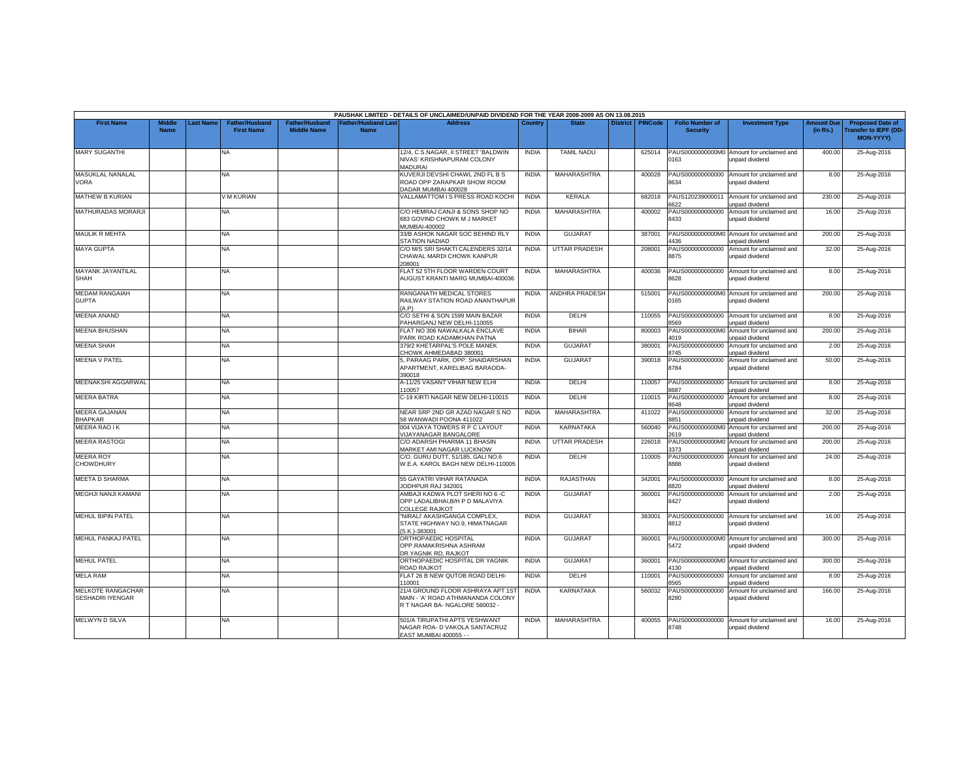|                                                     |                              |                  |                                     |                                             |                                                | PAUSHAK LIMITED - DETAILS OF UNCLAIMED/UNPAID DIVIDEND FOR THE YEAR 2008-2009 AS ON 13.08.2015           |              |                      |                    |                                           |                                                              |                               |                                                                      |
|-----------------------------------------------------|------------------------------|------------------|-------------------------------------|---------------------------------------------|------------------------------------------------|----------------------------------------------------------------------------------------------------------|--------------|----------------------|--------------------|-------------------------------------------|--------------------------------------------------------------|-------------------------------|----------------------------------------------------------------------|
| <b>First Name</b>                                   | <b>Middle</b><br><b>Name</b> | <b>Last Name</b> | Father/Husband<br><b>First Name</b> | <b>Father/Husband</b><br><b>Middle Name</b> | ather/Husband Last <sup>-</sup><br><b>Name</b> | Address                                                                                                  | Country      | <b>State</b>         | District   PINCode | <b>Folio Number of</b><br><b>Security</b> | <b>Investment Type</b>                                       | <b>Amount Due</b><br>(in Rs.) | <b>Proposed Date of</b><br><b>Transfer to IEPF (DD-</b><br>MON-YYYY) |
| <b>MARY SUGANTHI</b>                                |                              |                  | <b>NA</b>                           |                                             |                                                | 12/4, C.S.NAGAR, II STREET 'BALDWIN<br>NIVAS' KRISHNAPURAM COLONY<br><b>MADURAI</b>                      | <b>INDIA</b> | <b>TAMIL NADU</b>    | 625014             | 0163                                      | PAUS0000000000M0 Amount for unclaimed and<br>unpaid dividend | 400.00                        | 25-Aug-2016                                                          |
| MASUKLAL NANALAL<br><b>VORA</b>                     |                              |                  | NA                                  |                                             |                                                | KUVERJI DEVSHI CHAWL 2ND FL B S<br>ROAD OPP ZARAPKAR SHOW ROOM<br>DADAR MUMBAI 400028                    | <b>INDIA</b> | MAHARASHTRA          | 400028             | PAUS000000000000<br>8634                  | Amount for unclaimed and<br>unpaid dividend                  | 8.00                          | 25-Aug-2016                                                          |
| <b>MATHEW B KURIAN</b>                              |                              |                  | V M KURIAN                          |                                             |                                                | VALLAMATTOM I S PRESS ROAD KOCHI                                                                         | <b>INDIA</b> | <b>KERALA</b>        | 682018             | PAUS120239000011<br>622                   | Amount for unclaimed and<br>unpaid dividend                  | 230.00                        | 25-Aug-2016                                                          |
| <b>MATHURADAS MORARJI</b>                           |                              |                  | NA                                  |                                             |                                                | C/O HEMRAJ CANJI & SONS SHOP NO<br>683 GOVIND CHOWK M J MARKET<br><b>MUMBAI-400002</b>                   | <b>INDIA</b> | MAHARASHTRA          | 400002             | PAUS000000000000<br>8433                  | Amount for unclaimed and<br>unpaid dividend                  | 16.00                         | 25-Aug-2016                                                          |
| <b>MAULIK R MEHTA</b>                               |                              |                  | NA                                  |                                             |                                                | 33/B ASHOK NAGAR SOC BEHIND RLY<br>STATION NADIAD                                                        | <b>INDIA</b> | <b>GUJARAT</b>       | 387001             | 4436                                      | PAUS0000000000M0 Amount for unclaimed and<br>unpaid dividend | 200.00                        | 25-Aug-2016                                                          |
| <b>MAYA GUPTA</b>                                   |                              |                  | NA                                  |                                             |                                                | C/O M/S SRI SHAKTI CALENDERS 32/14<br>CHAWAL MARDI CHOWK KANPUR<br>208001                                | <b>INDIA</b> | <b>UTTAR PRADESH</b> | 208001             | 8875                                      | PAUS000000000000 Amount for unclaimed and<br>unpaid dividend | 32.00                         | 25-Aug-2016                                                          |
| MAYANK JAYANTILAL<br><b>SHAH</b>                    |                              |                  | NA                                  |                                             |                                                | LAT 52 5TH FLOOR WARDEN COURT<br>AUGUST KRANTI MARG MUMBAI-400036                                        | <b>INDIA</b> | MAHARASHTRA          | 400036             | 8628                                      | PAUS000000000000 Amount for unclaimed and<br>unpaid dividend | 8.00                          | 25-Aug-2016                                                          |
| <b>MEDAM RANGAIAH</b><br><b>GUPTA</b>               |                              |                  | NA                                  |                                             |                                                | RANGANATH MEDICAL STORES<br>RAILWAY STATION ROAD ANANTHAPUR<br>(A.P)                                     | <b>INDIA</b> | ANDHRA PRADESH       | 515001             | 0165                                      | PAUS0000000000M0 Amount for unclaimed and<br>unpaid dividend | 200.00                        | 25-Aug-2016                                                          |
| <b>MEENA ANAND</b>                                  |                              |                  | <b>NA</b>                           |                                             |                                                | C/O SETHI & SON 1599 MAIN BAZAR<br>PAHARGANJ NEW DELHI-110055                                            | <b>INDIA</b> | DELHI                | 110055             | PAUS000000000000<br>569                   | Amount for unclaimed and<br>inpaid dividend                  | 8.00                          | 25-Aug-2016                                                          |
| <b>MEENA BHUSHAN</b>                                |                              |                  | NA                                  |                                             |                                                | FLAT NO 306 NAWALKALA ENCLAVE<br>PARK ROAD KADAMKHAN PATNA                                               | <b>INDIA</b> | <b>BIHAR</b>         | 800003             | PAUS0000000000M0<br>4019                  | Amount for unclaimed and<br>unpaid dividend                  | 200.00                        | 25-Aug-2016                                                          |
| <b>MEENA SHAH</b>                                   |                              |                  | <b>NA</b>                           |                                             |                                                | 379/2 KHETARPAL'S POLE MANEK<br>CHOWK AHMEDABAD 380001                                                   | <b>INDIA</b> | <b>GUJARAT</b>       | 380001             | PAUS000000000000<br>8745                  | Amount for unclaimed and<br>unpaid dividend                  | 2.00                          | 25-Aug-2016                                                          |
| <b>MEENA V PATEL</b>                                |                              |                  | NA                                  |                                             |                                                | 5, PARAAG PARK, OPP: SHAIDARSHAN<br>APARTMENT, KARELIBAG BARAODA-<br>390018                              | <b>INDIA</b> | <b>GUJARAT</b>       | 390018             | PAUS000000000000<br>8784                  | Amount for unclaimed and<br>unpaid dividend                  | 50.00                         | 25-Aug-2016                                                          |
| MEENAKSHI AGGARWAL                                  |                              |                  | NA                                  |                                             |                                                | A-11/25 VASANT VIHAR NEW ELHI<br>110057                                                                  | <b>INDIA</b> | DELHI                | 110057             | 3687                                      | PAUS000000000000 Amount for unclaimed and<br>unpaid dividend | 8.00                          | 25-Aug-2016                                                          |
| <b>MEERA BATRA</b>                                  |                              |                  | NA                                  |                                             |                                                | C-19 KIRTI NAGAR NEW DELHI-110015                                                                        | <b>INDIA</b> | DELHI                | 110015             | PAUS000000000000<br>3648                  | Amount for unclaimed and<br>unpaid dividend                  | 8.00                          | 25-Aug-2016                                                          |
| <b>MEERA GAJANAN</b><br><b>BHAPKAR</b>              |                              |                  | NA                                  |                                             |                                                | NEAR SRP 2ND GR AZAD NAGAR S NO<br>58 WANWADI POONA 411022                                               | <b>INDIA</b> | MAHARASHTRA          | 411022             | PAUS000000000000<br>8851                  | Amount for unclaimed and<br>unpaid dividend                  | 32.00                         | 25-Aug-2016                                                          |
| MEERA RAO I K                                       |                              |                  | NA                                  |                                             |                                                | 004 VIJAYA TOWERS R P C LAYOUT<br><b>VIJAYANAGAR BANGALORE</b>                                           | <b>INDIA</b> | KARNATAKA            | 560040             | PAUS0000000000M<br>2619                   | Amount for unclaimed and<br>unpaid dividend                  | 200.00                        | 25-Aug-2016                                                          |
| <b>MEERA RASTOGI</b>                                |                              |                  | NA                                  |                                             |                                                | C/O ADARSH PHARMA 11 BHASIN<br>MARKET AMI NAGAR LUCKNOW                                                  | <b>INDIA</b> | <b>UTTAR PRADESH</b> | 226018             | PAUS0000000000M<br>3373                   | Amount for unclaimed and<br>unpaid dividend                  | 200.00                        | 25-Aug-2016                                                          |
| <b>MEERA ROY</b><br><b>CHOWDHURY</b>                |                              |                  | <b>NA</b>                           |                                             |                                                | C/O. GURU DUTT, 51/185, GALI NO.6<br>W.E.A. KAROL BAGH NEW DELHI-110005                                  | <b>INDIA</b> | DELHI                | 110005             | PAUS000000000000<br>8888                  | Amount for unclaimed and<br>unpaid dividend                  | 24.00                         | 25-Aug-2016                                                          |
| <b>MEETA D SHARMA</b>                               |                              |                  | <b>NA</b>                           |                                             |                                                | 55 GAYATRI VIHAR RATANADA<br><b>JODHPUR RAJ 342001</b>                                                   | <b>INDIA</b> | RAJASTHAN            | 342001             | PAUS000000000000<br>1820                  | Amount for unclaimed and<br>unpaid dividend                  | 8.00                          | 25-Aug-2016                                                          |
| MEGHJI NANJI KAMANI                                 |                              |                  | NA                                  |                                             |                                                | AMBAJI KADWA PLOT SHERI NO 6 -C<br>OPP LADALIBHAI.B/H P D MALAVIYA<br><b>COLLEGE RAJKOT</b>              | <b>INDIA</b> | <b>GUJARAT</b>       | 360001             | 8427                                      | PAUS000000000000 Amount for unclaimed and<br>unpaid dividend | 2.00                          | 25-Aug-2016                                                          |
| <b>MEHUL BIPIN PATEL</b>                            |                              |                  | NA                                  |                                             |                                                | "NIRALI' AKASHGANGA COMPLEX,<br>STATE HIGHWAY NO.9, HIMATNAGAR<br>S.K.)-383001                           | <b>INDIA</b> | <b>GUJARAT</b>       | 383001             | 8812                                      | PAUS000000000000 Amount for unclaimed and<br>unpaid dividend | 16.00                         | 25-Aug-2016                                                          |
| <b>MEHUL PANKAJ PATEL</b>                           |                              |                  | NA                                  |                                             |                                                | ORTHOPAEDIC HOSPITAL<br>OPP.RAMAKRISHNA ASHRAM<br>DR.YAGNIK RD, RAJKOT                                   | <b>INDIA</b> | <b>GUJARAT</b>       | 360001             | 5472                                      | PAUS0000000000M0 Amount for unclaimed and<br>unpaid dividend | 300.00                        | 25-Aug-2016                                                          |
| <b>MEHUL PATEL</b>                                  |                              |                  | NA                                  |                                             |                                                | ORTHOPAEDIC HOSPITAL DR YAGNIK<br>ROAD RAJKOT                                                            | <b>INDIA</b> | <b>GUJARAT</b>       | 360001             | 4130                                      | PAUS0000000000M0 Amount for unclaimed and<br>unpaid dividend | 300.00                        | 25-Aug-2016                                                          |
| <b>MELA RAM</b>                                     |                              |                  | NA                                  |                                             |                                                | FLAT 26 B NEW QUTOB ROAD DELHI-<br>110001                                                                | <b>INDIA</b> | DELHI                | 110001             | PAUS000000000000<br>8565                  | Amount for unclaimed and<br>unpaid dividend                  | 8.00                          | 25-Aug-2016                                                          |
| <b>MELKOTE RANGACHAR</b><br><b>SESHADRI IYENGAR</b> |                              |                  | <b>NA</b>                           |                                             |                                                | 21/4 GROUND FLOOR ASHRAYA APT 1ST<br>MAIN - 'A' ROAD ATHMANANDA COLONY<br>R T NAGAR BA- NGALORE 560032 - | <b>INDIA</b> | KARNATAKA            | 560032             | PAUS000000000000<br>8280                  | Amount for unclaimed and<br>unpaid dividend                  | 166.00                        | 25-Aug-2016                                                          |
| <b>MELWYN D SILVA</b>                               |                              |                  | NA                                  |                                             |                                                | 501/A TIRUPATHI APTS YESHWANT<br>NAGAR ROA- D VAKOLA SANTACRUZ<br>EAST MUMBAI 400055 - -                 | <b>INDIA</b> | MAHARASHTRA          | 400055             | 8748                                      | PAUS000000000000 Amount for unclaimed and<br>unpaid dividend | 16.00                         | 25-Aug-2016                                                          |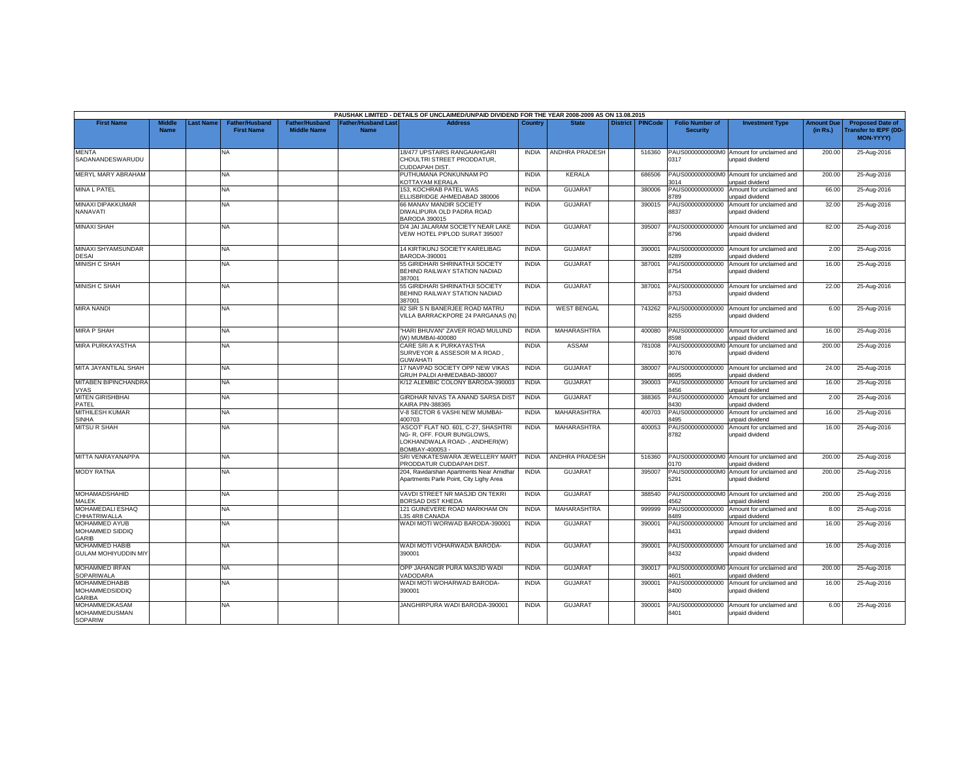|                                                         |                              |                  |                                            |                                             |                                          | PAUSHAK LIMITED - DETAILS OF UNCLAIMED/UNPAID DIVIDEND FOR THE YEAR 2008-2009 AS ON 13.08.2015                     |              |                       |                 |                |                                           |                                                                     |                               |                                                                     |
|---------------------------------------------------------|------------------------------|------------------|--------------------------------------------|---------------------------------------------|------------------------------------------|--------------------------------------------------------------------------------------------------------------------|--------------|-----------------------|-----------------|----------------|-------------------------------------------|---------------------------------------------------------------------|-------------------------------|---------------------------------------------------------------------|
| <b>First Name</b>                                       | <b>Middle</b><br><b>Name</b> | <b>Last Name</b> | <b>Father/Husband</b><br><b>First Name</b> | <b>Father/Husband</b><br><b>Middle Name</b> | <b>Father/Husband Las</b><br><b>Name</b> | <b>Address</b>                                                                                                     | Country      | <b>State</b>          | <b>District</b> | <b>PINCode</b> | <b>Folio Number of</b><br><b>Security</b> | <b>Investment Type</b>                                              | <b>Amount Due</b><br>(in Rs.) | <b>Proposed Date of</b><br><b>Transfer to IEPF (DD</b><br>MON-YYYY) |
| <b>MENTA</b><br>SADANANDESWARUDU                        |                              |                  | <b>NA</b>                                  |                                             |                                          | 18/477 UPSTAIRS RANGAIAHGARI<br>CHOULTRI STREET PRODDATUR.<br><b>CUDDAPAH DIST.</b>                                | <b>INDIA</b> | ANDHRA PRADESH        |                 | 516360         | 0317                                      | PAUS0000000000M0 Amount for unclaimed and<br>unpaid dividend        | 200.00                        | 25-Aug-2016                                                         |
| MERYL MARY ABRAHAM                                      |                              |                  | <b>NA</b>                                  |                                             |                                          | PUTHUMANA PONKUNNAM PO<br>KOTTAYAM KERALA                                                                          | <b>INDIA</b> | KERALA                |                 | 686506         | 3014                                      | PAUS0000000000M0 Amount for unclaimed and<br>unpaid dividend        | 200.00                        | 25-Aug-2016                                                         |
| <b>MINA L PATEL</b>                                     |                              |                  | <b>NA</b>                                  |                                             |                                          | 153, KOCHRAB PATEL WAS<br>ELLISBRIDGE AHMEDABAD 380006                                                             | <b>INDIA</b> | <b>GUJARAT</b>        |                 | 380006         | PAUS000000000000<br>3789                  | Amount for unclaimed and<br>unpaid dividend                         | 66.00                         | 25-Aug-2016                                                         |
| MINAXI DIPAKKUMAR<br>NANAVATI                           |                              |                  | NA.                                        |                                             |                                          | 66 MANAV MANDIR SOCIETY<br>DIWALIPURA OLD PADRA ROAD<br><b>BARODA 390015</b>                                       | <b>INDIA</b> | <b>GUJARAT</b>        |                 | 390015         | PAUS000000000000<br>8837                  | Amount for unclaimed and<br>unpaid dividend                         | 32.00                         | 25-Aug-2016                                                         |
| <b>MINAXI SHAH</b>                                      |                              |                  | <b>NA</b>                                  |                                             |                                          | D/4 JAI JALARAM SOCIETY NEAR LAKE<br>VEIW HOTEL PIPLOD SURAT 395007                                                | <b>INDIA</b> | <b>GUJARAT</b>        |                 | 395007         | PAUS000000000000<br>8796                  | Amount for unclaimed and<br>unpaid dividend                         | 82.00                         | 25-Aug-2016                                                         |
| <b>MINAXI SHYAMSUNDAR</b><br><b>DESAI</b>               |                              |                  | <b>NA</b>                                  |                                             |                                          | 14 KIRTIKUNJ SOCIETY KARELIBAG<br>BARODA-390001                                                                    | <b>INDIA</b> | <b>GUJARAT</b>        |                 | 390001         | PAUS000000000000<br>289                   | Amount for unclaimed and<br>unpaid dividend                         | 2.00                          | 25-Aug-2016                                                         |
| <b>MINISH C SHAH</b>                                    |                              |                  | <b>NA</b>                                  |                                             |                                          | 55 GIRIDHARI SHRINATHJI SOCIETY<br>BEHIND RAILWAY STATION NADIAD<br>387001                                         | <b>INDIA</b> | <b>GUJARAT</b>        |                 | 387001         | PAUS000000000000<br>8754                  | Amount for unclaimed and<br>unpaid dividend                         | 16.00                         | 25-Aug-2016                                                         |
| <b>MINISH C SHAH</b>                                    |                              |                  | <b>NA</b>                                  |                                             |                                          | 55 GIRIDHARI SHRINATHJI SOCIETY<br>BEHIND RAILWAY STATION NADIAD<br>387001                                         | <b>INDIA</b> | <b>GUJARAT</b>        |                 | 387001         | PAUS000000000000<br>8753                  | Amount for unclaimed and<br>unpaid dividend                         | 22.00                         | 25-Aug-2016                                                         |
| <b>MIRA NANDI</b>                                       |                              |                  | <b>NA</b>                                  |                                             |                                          | 82 SIR S N BANERJEE ROAD MATRU<br>VILLA BARRACKPORE 24 PARGANAS (N)                                                | <b>INDIA</b> | <b>WEST BENGAL</b>    |                 | 743262         | PAUS000000000000<br>8255                  | Amount for unclaimed and<br>unpaid dividend                         | 6.00                          | 25-Aug-2016                                                         |
| <b>MIRA P SHAH</b>                                      |                              |                  | <b>NA</b>                                  |                                             |                                          | "HARI BHUVAN" ZAVER ROAD MULUND<br>W) MUMBAI-400080                                                                | <b>INDIA</b> | MAHARASHTRA           |                 | 400080         | PAUS000000000000<br>598                   | Amount for unclaimed and<br>unpaid dividend                         | 16.00                         | 25-Aug-2016                                                         |
| MIRA PURKAYASTHA                                        |                              |                  | <b>NA</b>                                  |                                             |                                          | CARE SRI A K PURKAYASTHA<br>SURVEYOR & ASSESOR M A ROAD ,<br><b>GUWAHATI</b>                                       | <b>INDIA</b> | <b>ASSAM</b>          |                 | 781008         | PAUS0000000000M0<br>3076                  | Amount for unclaimed and<br>unpaid dividend                         | 200.00                        | 25-Aug-2016                                                         |
| MITA JAYANTILAL SHAH                                    |                              |                  | NA.                                        |                                             |                                          | 17 NAVPAD SOCIETY OPP NEW VIKAS<br>GRUH PALDI AHMEDABAD-380007                                                     | <b>INDIA</b> | <b>GUJARAT</b>        |                 | 380007         | PAUS000000000000<br>8695                  | Amount for unclaimed and<br>unpaid dividend                         | 24.00                         | 25-Aug-2016                                                         |
| <b>MITABEN BIPINCHANDRA</b><br><b>VYAS</b>              |                              |                  | NA.                                        |                                             |                                          | K/12 ALEMBIC COLONY BARODA-390003                                                                                  | <b>INDIA</b> | <b>GUJARAT</b>        |                 | 390003         | PAUS000000000000<br>8456                  | Amount for unclaimed and<br>unpaid dividend                         | 16.00                         | 25-Aug-2016                                                         |
| <b>MITEN GIRISHBHAI</b><br>PATEL                        |                              |                  | <b>NA</b>                                  |                                             |                                          | GIRDHAR NIVAS TA ANAND SARSA DIST<br><b>KAIRA PIN-388365</b>                                                       | <b>INDIA</b> | <b>GUJARAT</b>        |                 | 388365         | PAUS000000000000<br>8430                  | Amount for unclaimed and<br>unpaid dividend                         | 2.00                          | 25-Aug-2016                                                         |
| <b>MITHILESH KUMAR</b><br><b>SINHA</b>                  |                              |                  | <b>NA</b>                                  |                                             |                                          | V-8 SECTOR 6 VASHI NEW MUMBAI-<br>400703                                                                           | <b>INDIA</b> | MAHARASHTRA           |                 | 400703         | PAUS000000000000<br>3495                  | Amount for unclaimed and<br><b>Inpaid dividend</b>                  | 16.00                         | 25-Aug-2016                                                         |
| <b>MITSU R SHAH</b>                                     |                              |                  | NA.                                        |                                             |                                          | ASCOT' FLAT NO. 601, C-27, SHASHTRI<br>NG-R, OFF. FOUR BUNGLOWS,<br>LOKHANDWALA ROAD-, ANDHERI(W)<br>BOMBAY-400053 | <b>INDIA</b> | MAHARASHTRA           |                 | 400053         | PAUS000000000000<br>8782                  | Amount for unclaimed and<br>unpaid dividend                         | 16.00                         | 25-Aug-2016                                                         |
| MITTA NARAYANAPPA                                       |                              |                  | <b>NA</b>                                  |                                             |                                          | SRI VENKATESWARA JEWELLERY MART<br>PRODDATUR CUDDAPAH DIST                                                         | <b>INDIA</b> | <b>ANDHRA PRADESH</b> |                 | 516360         | 0170                                      | PAUS0000000000M0 Amount for unclaimed and<br><b>Inpaid dividend</b> | 200.00                        | 25-Aug-2016                                                         |
| <b>MODY RATNA</b>                                       |                              |                  | <b>NA</b>                                  |                                             |                                          | 204, Ravidarshan Apartments Near Amidhar<br>Apartments Parle Point, City Lighy Area                                | <b>INDIA</b> | <b>GUJARA1</b>        |                 | 395007         | 5291                                      | PAUS0000000000M0 Amount for unclaimed and<br>unpaid dividend        | 200.00                        | 25-Aug-2016                                                         |
| MOHAMADSHAHID<br><b>MALEK</b>                           |                              |                  | NA.                                        |                                             |                                          | VAVDI STREET NR MASJID ON TEKRI<br><b>BORSAD DIST KHEDA</b>                                                        | <b>INDIA</b> | <b>GUJARAT</b>        |                 | 388540         | PAUS0000000000MC<br>1562                  | Amount for unclaimed and<br>unpaid dividend                         | 200.00                        | 25-Aug-2016                                                         |
| MOHAMEDALI ESHAQ<br><b>CHHATRIWALLA</b>                 |                              |                  | <b>NA</b>                                  |                                             |                                          | 121 GUINEVERE ROAD MARKHAM ON<br>3S 4R8 CANADA                                                                     | <b>INDIA</b> | MAHARASHTRA           |                 | 999999         | PAUS000000000000<br>489                   | Amount for unclaimed and<br>unpaid dividend                         | 8.00                          | 25-Aug-2016                                                         |
| MOHAMMED AYUB<br>MOHAMMED SIDDIQ<br>GARIB               |                              |                  | <b>NA</b>                                  |                                             |                                          | WADI MOTI WORWAD BARODA-390001                                                                                     | <b>INDIA</b> | <b>GUJARAT</b>        |                 | 390001         | PAUS000000000000<br>8431                  | Amount for unclaimed and<br>unpaid dividend                         | 16.00                         | 25-Aug-2016                                                         |
| <b>MOHAMMED HABIB</b><br><b>GULAM MOHIYUDDIN MIY</b>    |                              |                  | NA                                         |                                             |                                          | WADI MOTI VOHARWADA BARODA-<br>390001                                                                              | <b>INDIA</b> | <b>GUJARAT</b>        |                 | 390001         | PAUS000000000000<br>8432                  | Amount for unclaimed and<br>unpaid dividend                         | 16.00                         | 25-Aug-2016                                                         |
| <b>MOHAMMED IRFAN</b><br><b>SOPARIWALA</b>              |                              |                  | NA.                                        |                                             |                                          | OPP JAHANGIR PURA MASJID WADI<br>/ADODARA                                                                          | <b>INDIA</b> | <b>GUJARAT</b>        |                 | 390017         | 4601                                      | PAUS0000000000M0 Amount for unclaimed and<br>unpaid dividend        | 200.00                        | 25-Aug-2016                                                         |
| MOHAMMEDHABIB<br><b>MOHAMMEDSIDDIQ</b><br><b>GARIBA</b> |                              |                  | <b>NA</b>                                  |                                             |                                          | WADI MOTI WOHARWAD BARODA-<br>390001                                                                               | <b>INDIA</b> | <b>GUJARAT</b>        |                 | 390001         | PAUS000000000000<br>8400                  | Amount for unclaimed and<br>unpaid dividend                         | 16.00                         | 25-Aug-2016                                                         |
| MOHAMMEDKASAM<br><b>MOHAMMEDUSMAN</b><br>SOPARIW        |                              |                  | NA                                         |                                             |                                          | JANGHIRPURA WADI BARODA-390001                                                                                     | <b>INDIA</b> | <b>GUJARAT</b>        |                 | 390001         | PAUS000000000000<br>8401                  | Amount for unclaimed and<br>unpaid dividend                         | 6.00                          | 25-Aug-2016                                                         |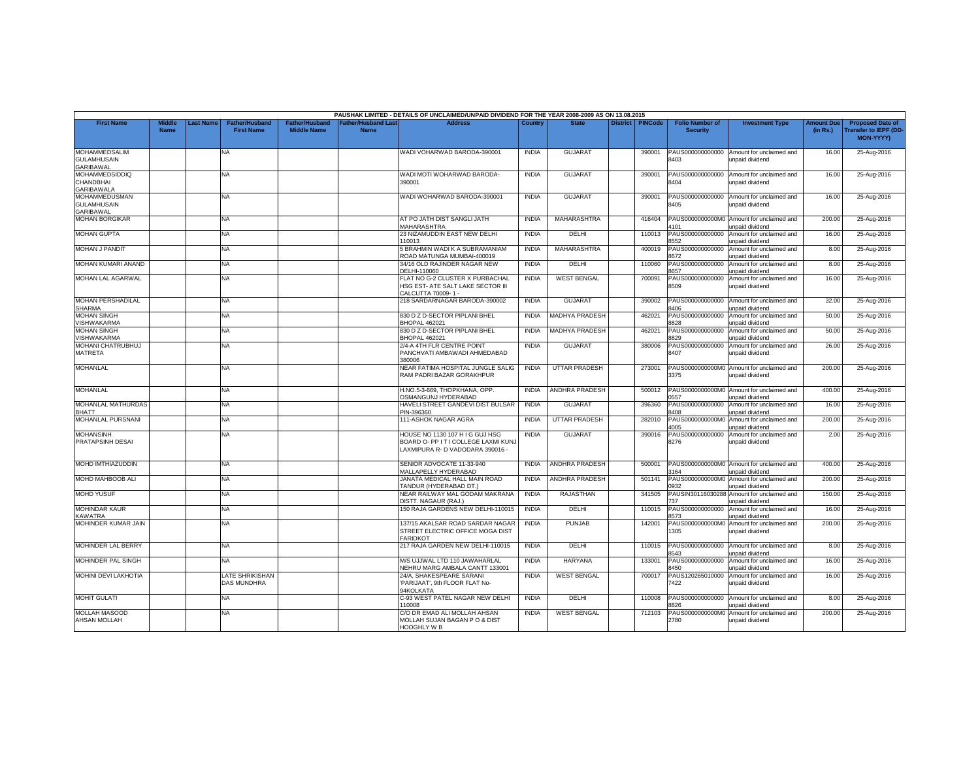|                                                                |                              |           |                                            |                                             |                                           | PAUSHAK LIMITED - DETAILS OF UNCLAIMED/UNPAID DIVIDEND FOR THE YEAR 2008-2009 AS ON 13.08.2015             |              |                       |                 |                |                                           |                                                                     |                               |                                                                            |
|----------------------------------------------------------------|------------------------------|-----------|--------------------------------------------|---------------------------------------------|-------------------------------------------|------------------------------------------------------------------------------------------------------------|--------------|-----------------------|-----------------|----------------|-------------------------------------------|---------------------------------------------------------------------|-------------------------------|----------------------------------------------------------------------------|
| <b>First Name</b>                                              | <b>Middle</b><br><b>Name</b> | Last Name | <b>Father/Husband</b><br><b>First Name</b> | <b>Father/Husband</b><br><b>Middle Name</b> | <b>Father/Husband Last</b><br><b>Name</b> | <b>Address</b>                                                                                             | Country      | <b>State</b>          | <b>District</b> | <b>PINCode</b> | <b>Folio Number of</b><br><b>Security</b> | <b>Investment Type</b>                                              | <b>Amount Due</b><br>(in Rs.) | <b>Proposed Date of</b><br><b>Transfer to IEPF (DD</b><br><b>MON-YYYYY</b> |
| <b>MOHAMMEDSALIM</b><br><b>GULAMHUSAIN</b><br><b>GARIBAWAL</b> |                              |           | NA                                         |                                             |                                           | WADI VOHARWAD BARODA-390001                                                                                | <b>INDIA</b> | <b>GUJARAT</b>        |                 | 390001         | PAUS000000000000<br>8403                  | Amount for unclaimed and<br>unpaid dividend                         | 16.00                         | 25-Aug-2016                                                                |
| <b>MOHAMMEDSIDDIQ</b><br>CHANDBHAI<br><b>GARIBAWALA</b>        |                              |           | NA                                         |                                             |                                           | WADI MOTI WOHARWAD BARODA-<br>390001                                                                       | <b>INDIA</b> | <b>GUJARAT</b>        |                 | 390001         | PAUS000000000000<br>8404                  | Amount for unclaimed and<br>unpaid dividend                         | 16.00                         | 25-Aug-2016                                                                |
| <b>MOHAMMEDUSMAN</b><br><b>GULAMHUSAIN</b><br><b>GARIBAWAL</b> |                              |           | NA.                                        |                                             |                                           | WADI WOHARWAD BARODA-390001                                                                                | <b>INDIA</b> | <b>GUJARAT</b>        |                 | 390001         | 8405                                      | PAUS000000000000 Amount for unclaimed and<br>unpaid dividend        | 16.00                         | 25-Aug-2016                                                                |
| <b>MOHAN BORGIKAR</b>                                          |                              |           | <b>NA</b>                                  |                                             |                                           | AT PO JATH DIST SANGLI JATH<br>MAHARASHTRA                                                                 | <b>INDIA</b> | MAHARASHTRA           |                 | 416404         | 1101                                      | PAUS0000000000M0 Amount for unclaimed and<br><b>Inpaid dividend</b> | 200.00                        | 25-Aug-2016                                                                |
| <b>MOHAN GUPTA</b>                                             |                              |           | NA                                         |                                             |                                           | 23 NIZAMUDDIN EAST NEW DELHI<br>110013                                                                     | <b>INDIA</b> | DELHI                 |                 | 110013         | PAUS000000000000<br>3552                  | Amount for unclaimed and<br>unpaid dividend                         | 16.00                         | 25-Aug-2016                                                                |
| <b>MOHAN J PANDIT</b>                                          |                              |           | NA                                         |                                             |                                           | 5 BRAHMIN WADI K A SUBRAMANIAM<br>ROAD MATUNGA MUMBAI-400019                                               | <b>INDIA</b> | MAHARASHTRA           |                 | 400019         | PAUS000000000000<br>8672                  | Amount for unclaimed and<br>unpaid dividend                         | 8.00                          | 25-Aug-2016                                                                |
| MOHAN KUMARI ANAND                                             |                              |           | NA                                         |                                             |                                           | 34/16 OLD RAJINDER NAGAR NEW<br>DELHI-110060                                                               | <b>INDIA</b> | <b>DELHI</b>          |                 | 110060         | PAUS000000000000<br>657                   | Amount for unclaimed and<br>inpaid dividend                         | 8.00                          | 25-Aug-2016                                                                |
| <b>MOHAN LAL AGARWAL</b>                                       |                              |           | NA.                                        |                                             |                                           | FLAT NO G-2 CLUSTER X PURBACHAL<br><b>HSG EST- ATE SALT LAKE SECTOR III</b><br>CALCUTTA 70009-1-           | <b>INDIA</b> | <b>WEST BENGAL</b>    |                 | 700091         | PAUS000000000000<br>8509                  | Amount for unclaimed and<br>unpaid dividend                         | 16.00                         | 25-Aug-2016                                                                |
| <b>MOHAN PERSHADILAL</b><br><b>SHARMA</b>                      |                              |           | NA                                         |                                             |                                           | 218 SARDARNAGAR BARODA-390002                                                                              | <b>INDIA</b> | <b>GUJARAT</b>        |                 | 390002         | PAUS000000000000<br>8406                  | Amount for unclaimed and<br>unpaid dividend                         | 32.00                         | 25-Aug-2016                                                                |
| <b>MOHAN SINGH</b><br><b>VISHWAKARMA</b>                       |                              |           | NA                                         |                                             |                                           | 830 D Z D-SECTOR PIPLANI BHEL<br>BHOPAL 462021                                                             | <b>INDIA</b> | <b>MADHYA PRADESH</b> |                 | 462021         | PAUS000000000000<br>3828                  | Amount for unclaimed and<br>unpaid dividend                         | 50.00                         | 25-Aug-2016                                                                |
| <b>MOHAN SINGH</b><br><b>VISHWAKARMA</b>                       |                              |           | NA.                                        |                                             |                                           | 830 D Z D-SECTOR PIPLANI BHEL<br><b>BHOPAL 462021</b>                                                      | <b>INDIA</b> | <b>MADHYA PRADESH</b> |                 | 462021         | PAUS000000000000<br>3829                  | Amount for unclaimed and<br>unpaid dividend                         | 50.00                         | 25-Aug-2016                                                                |
| MOHANI CHATRUBHUJ<br><b>MATRETA</b>                            |                              |           | NA                                         |                                             |                                           | 2/4-A 4TH FLR CENTRE POINT<br>PANCHVATI AMBAWADI AHMEDABAD<br>380006                                       | <b>INDIA</b> | <b>GUJARA1</b>        |                 | 380006         | PAUS000000000000<br>8407                  | Amount for unclaimed and<br>unpaid dividend                         | 26.00                         | 25-Aug-2016                                                                |
| <b>MOHANLAL</b>                                                |                              |           | NA                                         |                                             |                                           | NEAR FATIMA HOSPITAL JUNGLE SALIG<br>RAM PADRI BAZAR GORAKHPUR                                             | <b>INDIA</b> | <b>UTTAR PRADESH</b>  |                 | 273001         | PAUS0000000000M0<br>3375                  | Amount for unclaimed and<br>unpaid dividend                         | 200.00                        | 25-Aug-2016                                                                |
| <b>MOHANLAL</b>                                                |                              |           | NA.                                        |                                             |                                           | H.NO.5-3-669, THOPKHANA, OPP.<br><b>OSMANGUNJ HYDERABAD</b>                                                | <b>INDIA</b> | <b>ANDHRA PRADESH</b> |                 | 500012         | 0557                                      | PAUS0000000000M0 Amount for unclaimed and<br>unpaid dividend        | 400.00                        | 25-Aug-2016                                                                |
| MOHANLAL MATHURDAS<br><b>BHATT</b>                             |                              |           | <b>NA</b>                                  |                                             |                                           | HAVELI STREET GANDEVI DIST BULSAR<br>PIN-396360                                                            | <b>INDIA</b> | <b>GUJARAT</b>        |                 | 396360         | PAUS000000000000<br>8408                  | Amount for unclaimed and<br>unpaid dividend                         | 16.00                         | 25-Aug-2016                                                                |
| MOHANLAL PURSNANI                                              |                              |           | NA                                         |                                             |                                           | 111-ASHOK NAGAR AGRA                                                                                       | <b>INDIA</b> | <b>UTTAR PRADESH</b>  |                 | 282010         | PAUS0000000000M0<br>4005                  | Amount for unclaimed and<br>unpaid dividend                         | 200.00                        | 25-Aug-2016                                                                |
| <b>MOHANSINH</b><br>PRATAPSINH DESAI                           |                              |           | <b>NA</b>                                  |                                             |                                           | HOUSE NO 1130 107 H I G GUJ HSG<br>BOARD O- PP IT I COLLEGE LAXMI KUNJ<br>LAXMIPURA R- D VADODARA 390016 - | <b>INDIA</b> | <b>GUJARAT</b>        |                 | 390016         | PAUS000000000000<br>8276                  | Amount for unclaimed and<br>unpaid dividend                         | 2.00                          | 25-Aug-2016                                                                |
| <b>MOHD IMTHIAZUDDIN</b>                                       |                              |           | NA.                                        |                                             |                                           | SENIOR ADVOCATE 11-33-940<br>MALLAPELLY HYDERABAD                                                          | <b>INDIA</b> | <b>ANDHRA PRADESH</b> |                 | 500001         | 3164                                      | PAUS0000000000M0 Amount for unclaimed and<br>unpaid dividend        | 400.00                        | 25-Aug-2016                                                                |
| MOHD MAHBOOB ALI                                               |                              |           | NA                                         |                                             |                                           | JANATA MEDICAL HALL MAIN ROAD<br>TANDUR (HYDERABAD DT.)                                                    | <b>INDIA</b> | <b>ANDHRA PRADESH</b> |                 | 501141         | PAUS0000000000M0<br>1932                  | Amount for unclaimed and<br>inpaid dividend                         | 200.00                        | 25-Aug-2016                                                                |
| <b>MOHD YUSUF</b>                                              |                              |           | NA.                                        |                                             |                                           | NEAR RAILWAY MAL GODAM MAKRANA<br><b>DISTT. NAGAUR (RAJ.)</b>                                              | <b>INDIA</b> | RAJASTHAN             |                 | 341505         | PAUSIN30116030288<br>37                   | Amount for unclaimed and<br>unpaid dividend                         | 150.00                        | 25-Aug-2016                                                                |
| <b>MOHINDAR KAUR</b><br><b>KAWATRA</b>                         |                              |           | NA                                         |                                             |                                           | 150 RAJA GARDENS NEW DELHI-110015                                                                          | <b>INDIA</b> | DELHI                 |                 | 110015         | PAUS000000000000<br>8573                  | Amount for unclaimed and<br>unpaid dividend                         | 16.00                         | 25-Aug-2016                                                                |
| MOHINDER KUMAR JAIN                                            |                              |           | NA                                         |                                             |                                           | 137/15 AKALSAR ROAD SARDAR NAGAR<br>STREET ELECTRIC OFFICE MOGA DIST<br>FARIDKOT                           | <b>INDIA</b> | <b>PUNJAB</b>         |                 | 142001         | PAUS0000000000M0<br>1305                  | Amount for unclaimed and<br>unpaid dividend                         | 200.00                        | 25-Aug-2016                                                                |
| <b>MOHINDER LAL BERRY</b>                                      |                              |           | NA.                                        |                                             |                                           | 217 RAJA GARDEN NEW DELHI-110015                                                                           | <b>INDIA</b> | DELHI                 |                 | 110015         | 3543                                      | PAUS000000000000 Amount for unclaimed and<br>unpaid dividend        | 8.00                          | 25-Aug-2016                                                                |
| MOHINDER PAL SINGH                                             |                              |           | NA                                         |                                             |                                           | M/S UJJWAL LTD 110 JAWAHARLAL<br>NEHRU MARG AMBALA CANTT 133001                                            | <b>INDIA</b> | <b>HARYANA</b>        |                 | 133001         | PAUS000000000000<br>8450                  | Amount for unclaimed and<br>unpaid dividend                         | 16.00                         | 25-Aug-2016                                                                |
| <b>MOHINI DEVI LAKHOTIA</b>                                    |                              |           | <b>LATE SHRIKISHAN</b><br>DAS MUNDHRA      |                                             |                                           | 24/A, SHAKESPEARE SARANI<br>'PARIJAAT', 9th FLOOR FLAT No-<br><b>HKOLKATA</b>                              | <b>INDIA</b> | <b>WEST BENGAL</b>    |                 | 700017         | PAUS120265010000<br>'422                  | Amount for unclaimed and<br>unpaid dividend                         | 16.00                         | 25-Aug-2016                                                                |
| <b>MOHIT GULATI</b>                                            |                              |           | NA.                                        |                                             |                                           | -93 WEST PATEL NAGAR NEW DELHI<br>10008                                                                    | <b>INDIA</b> | DELHI                 |                 | 110008         | PAUS000000000000<br>826                   | Amount for unclaimed and<br>unpaid dividend                         | 8.00                          | 25-Aug-2016                                                                |
| <b>MOLLAH MASOOD</b><br><b>AHSAN MOLLAH</b>                    |                              |           | NA                                         |                                             |                                           | CO DR EMAD ALI MOLLAH AHSAN<br>MOLLAH SUJAN BAGAN P O & DIST<br>HOOGHLY W B                                | <b>INDIA</b> | <b>WEST BENGAL</b>    |                 | 712103         | PAUS0000000000M0<br>2780                  | Amount for unclaimed and<br>unpaid dividend                         | 200.00                        | 25-Aug-2016                                                                |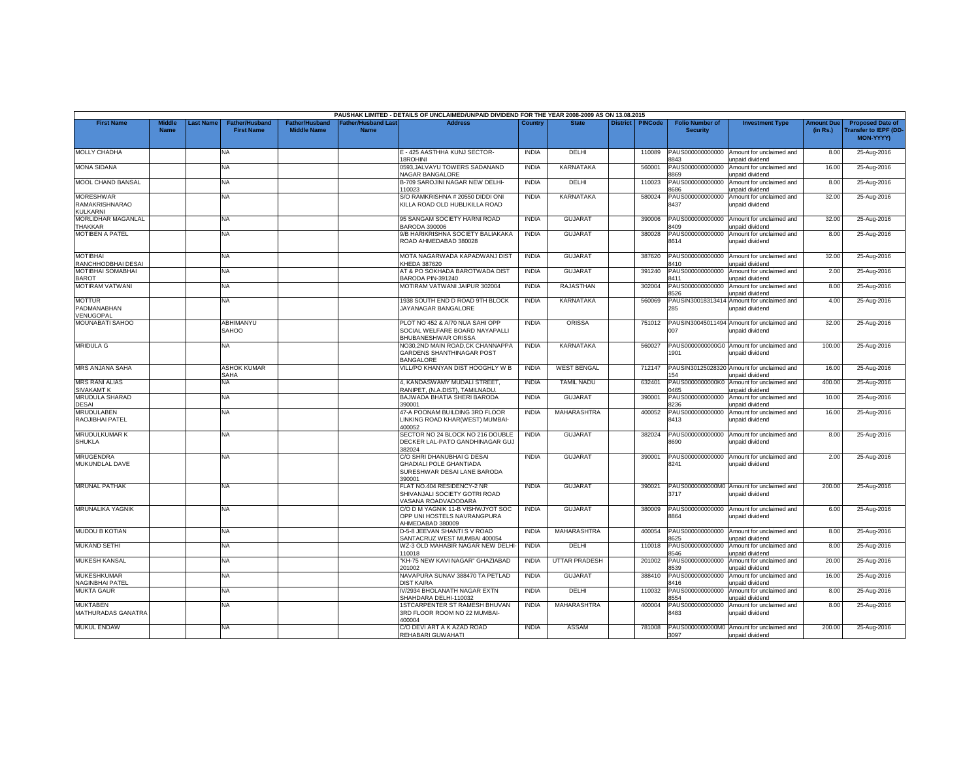|                                                       |                              |                 |                                            |                                      |                                           | PAUSHAK LIMITED - DETAILS OF UNCLAIMED/UNPAID DIVIDEND FOR THE YEAR 2008-2009 AS ON 13.08.2015        |              |                      |                 |                |                                           |                                                               |                               |                                                                     |
|-------------------------------------------------------|------------------------------|-----------------|--------------------------------------------|--------------------------------------|-------------------------------------------|-------------------------------------------------------------------------------------------------------|--------------|----------------------|-----------------|----------------|-------------------------------------------|---------------------------------------------------------------|-------------------------------|---------------------------------------------------------------------|
| <b>First Name</b>                                     | <b>Middle</b><br><b>Name</b> | <b>ast Name</b> | <b>Father/Husband</b><br><b>First Name</b> | Father/Husband<br><b>Middle Name</b> | <b>Father/Husband Last</b><br><b>Name</b> | <b>Address</b>                                                                                        | Country      | <b>State</b>         | <b>District</b> | <b>PINCode</b> | <b>Folio Number of</b><br><b>Security</b> | <b>Investment Type</b>                                        | <b>Amount Due</b><br>(in Rs.) | <b>Proposed Date of</b><br><b>Transfer to IEPF (DD</b><br>MON-YYYY) |
| <b>MOLLY CHADHA</b>                                   |                              |                 | NA.                                        |                                      |                                           | E - 425 AASTHHA KUNJ SECTOR-<br>18ROHINI                                                              | <b>INDIA</b> | DELHI                |                 | 110089         | PAUS000000000000<br>8843                  | Amount for unclaimed and<br>unpaid dividend                   | 8.00                          | 25-Aug-2016                                                         |
| <b>MONA SIDANA</b>                                    |                              |                 | NA                                         |                                      |                                           | 0593, JALVAYU TOWERS SADANAND<br><b>NAGAR BANGALORE</b>                                               | <b>INDIA</b> | <b>KARNATAKA</b>     |                 | 560001         | PAUS00000000000<br>3869                   | Amount for unclaimed and<br>unpaid dividend                   | 16.00                         | 25-Aug-2016                                                         |
| MOOL CHAND BANSAL                                     |                              |                 | NA                                         |                                      |                                           | B-709 SAROJINI NAGAR NEW DELHI-<br>10023                                                              | <b>INDIA</b> | DELHI                |                 | 110023         | PAUS000000000000<br>686                   | Amount for unclaimed and<br>inpaid dividend                   | 8.00                          | 25-Aug-2016                                                         |
| <b>MORESHWAR</b><br><b>RAMAKRISHNARAO</b><br>KULKARNI |                              |                 | NA                                         |                                      |                                           | S/O RAMKRISHNA # 20550 DIDDI ONI<br>KILLA ROAD OLD HUBLIKILLA ROAD                                    | <b>INDIA</b> | <b>KARNATAKA</b>     |                 | 580024         | PAUS000000000000<br>8437                  | Amount for unclaimed and<br>unpaid dividend                   | 32.00                         | 25-Aug-2016                                                         |
| <b>MORLIDHAR MAGANLAL</b><br><b>THAKKAR</b>           |                              |                 | NA.                                        |                                      |                                           | 95 SANGAM SOCIETY HARNI ROAD<br>BARODA 390006                                                         | <b>INDIA</b> | GUJARAT              |                 | 390006         | PAUS000000000000<br>8409                  | Amount for unclaimed and<br>unpaid dividend                   | 32.00                         | 25-Aug-2016                                                         |
| MOTIBEN A PATEL                                       |                              |                 | NA                                         |                                      |                                           | 9/B HARIKRISHNA SOCIETY BALIAKAKA<br>ROAD AHMEDABAD 380028                                            | <b>INDIA</b> | <b>GUJARAT</b>       |                 | 380028         | PAUS000000000000<br>8614                  | Amount for unclaimed and<br>unpaid dividend                   | 8.00                          | 25-Aug-2016                                                         |
| <b>MOTIBHAI</b><br>RANCHHODBHAI DESAI                 |                              |                 | NA                                         |                                      |                                           | MOTA NAGARWADA KAPADWANJ DIST<br><b>KHEDA 387620</b>                                                  | <b>INDIA</b> | <b>GUJARAT</b>       |                 | 387620         | PAUS000000000000<br>3410                  | Amount for unclaimed and<br>unpaid dividend                   | 32.00                         | 25-Aug-2016                                                         |
| MOTIBHAI SOMABHAI<br><b>BAROT</b>                     |                              |                 | NA                                         |                                      |                                           | AT & PO SOKHADA BAROTWADA DIST<br>BARODA PIN-391240                                                   | <b>INDIA</b> | <b>GUJARAT</b>       |                 | 391240         | PAUS000000000000<br>8411                  | Amount for unclaimed and<br>unpaid dividend                   | 2.00                          | 25-Aug-2016                                                         |
| <b>MOTIRAM VATWANI</b>                                |                              |                 | NA.                                        |                                      |                                           | MOTIRAM VATWANI JAIPUR 302004                                                                         | <b>INDIA</b> | RAJASTHAN            |                 | 302004         | PAUS000000000000<br>8526                  | Amount for unclaimed and<br>unpaid dividend                   | 8.00                          | 25-Aug-2016                                                         |
| <b>MOTTUR</b><br>PADMANABHAN<br>VENUGOPAL             |                              |                 | NA                                         |                                      |                                           | 1938 SOUTH END D ROAD 9TH BLOCK<br>JAYANAGAR BANGALORE                                                | INDIA        | <b>KARNATAKA</b>     |                 | 560069         | PAUSIN3001831341<br>285                   | Amount for unclaimed and<br>unpaid dividend                   | 4.00                          | 25-Aug-2016                                                         |
| <b>MOUNABATI SAHOO</b>                                |                              |                 | <b>ABHIMANYU</b><br>SAHOO                  |                                      |                                           | PLOT NO 452 & A/70 NUA SAHI OPP<br>SOCIAL WELFARE BOARD NAYAPALLI<br><b>BHUBANESHWAR ORISSA</b>       | <b>INDIA</b> | <b>ORISSA</b>        |                 | 751012         | 007                                       | PAUSIN30045011494 Amount for unclaimed and<br>unpaid dividend | 32.00                         | 25-Aug-2016                                                         |
| <b>MRIDULA G</b>                                      |                              |                 | <b>NA</b>                                  |                                      |                                           | NO30.2ND MAIN ROAD.CK CHANNAPPA<br><b>GARDENS SHANTHINAGAR POST</b><br><b>BANGALORE</b>               | <b>INDIA</b> | KARNATAKA            |                 | 560027         | 1901                                      | PAUS0000000000G0 Amount for unclaimed and<br>unpaid dividend  | 100.00                        | 25-Aug-2016                                                         |
| MRS ANJANA SAHA                                       |                              |                 | ASHOK KUMAR<br>SAHA                        |                                      |                                           | VILL/PO KHANYAN DIST HOOGHLY W B                                                                      | <b>INDIA</b> | <b>WEST BENGAL</b>   |                 | 712147         | PAUSIN30125028320<br>154                  | Amount for unclaimed and<br>unpaid dividend                   | 16.00                         | 25-Aug-2016                                                         |
| <b>MRS RANI ALIAS</b><br><b>SIVAKAMT K</b>            |                              |                 | NA                                         |                                      |                                           | 4, KANDASWAMY MUDALI STREET,<br>RANIPET, (N.A.DIST), TAMILNADU.                                       | <b>INDIA</b> | <b>TAMIL NADU</b>    |                 | 632401         | PAUS0000000000K0<br>1465                  | Amount for unclaimed and<br><b>inpaid dividend</b>            | 400.00                        | 25-Aug-2016                                                         |
| <b>MRUDULA SHARAD</b><br><b>DESAI</b>                 |                              |                 | NA                                         |                                      |                                           | BAJWADA BHATIA SHERI BARODA<br>390001                                                                 | <b>INDIA</b> | <b>GUJARAT</b>       |                 | 390001         | PAUS000000000000<br>8236                  | Amount for unclaimed and<br>unpaid dividend                   | 10.00                         | 25-Aug-2016                                                         |
| MRUDULABEN<br>RAOJIBHAI PATEL                         |                              |                 | NA.                                        |                                      |                                           | 47-A POONAM BUILDING 3RD FLOOR<br>LINKING ROAD KHAR(WEST) MUMBAI-<br>400052                           | <b>INDIA</b> | MAHARASHTRA          |                 | 400052         | PAUS000000000000<br>8413                  | Amount for unclaimed and<br>unpaid dividend                   | 16.00                         | 25-Aug-2016                                                         |
| MRUDULKUMAR K<br><b>SHUKLA</b>                        |                              |                 | NA                                         |                                      |                                           | SECTOR NO 24 BLOCK NO 216 DOUBLE<br>DECKER LAL-PATO GANDHINAGAR GUJ<br>82024                          | <b>INDIA</b> | <b>GUJARAT</b>       |                 | 382024         | PAUS000000000000<br>3690                  | Amount for unclaimed and<br>unpaid dividend                   | 8.00                          | 25-Aug-2016                                                         |
| <b>MRUGENDRA</b><br>MUKUNDLAL DAVE                    |                              |                 | <b>NA</b>                                  |                                      |                                           | C/O SHRI DHANUBHAI G DESAI<br><b>GHADIALI POLE GHANTIADA</b><br>SURESHWAR DESAI LANE BARODA<br>390001 | <b>INDIA</b> | <b>GUJARAT</b>       |                 | 390001         | PAUS000000000000<br>8241                  | Amount for unclaimed and<br>unpaid dividend                   | 2.00                          | 25-Aug-2016                                                         |
| <b>MRUNAL PATHAK</b>                                  |                              |                 | NA.                                        |                                      |                                           | FLAT NO.404 RESIDENCY-2 NR<br>SHIVANJALI SOCIETY GOTRI ROAD<br><b>/ASANA ROADVADODARA</b>             | <b>INDIA</b> | <b>GUJARAT</b>       |                 | 390021         | 3717                                      | PAUS0000000000M0 Amount for unclaimed and<br>unpaid dividend  | 200.00                        | 25-Aug-2016                                                         |
| <b>MRUNALIKA YAGNIK</b>                               |                              |                 | ΝA                                         |                                      |                                           | C/O D M YAGNIK 11-B VISHWJYOT SOC<br>OPP UNI HOSTELS NAVRANGPURA<br>AHMEDABAD 380009                  | <b>INDIA</b> | <b>GUJARAT</b>       |                 | 380009         | PAUS000000000000<br>8864                  | Amount for unclaimed and<br>unpaid dividend                   | 6.00                          | 25-Aug-2016                                                         |
| <b>MUDDU B KOTIAN</b>                                 |                              |                 | NA                                         |                                      |                                           | D-5-8 JEEVAN SHANTI S V ROAD<br>SANTACRUZ WEST MUMBAI 400054                                          | <b>INDIA</b> | <b>MAHARASHTRA</b>   |                 | 400054         | PAUS000000000000<br>8625                  | Amount for unclaimed and<br>unpaid dividend                   | 8.00                          | 25-Aug-2016                                                         |
| <b>MUKAND SETHI</b>                                   |                              |                 | NA.                                        |                                      |                                           | WZ-3 OLD MAHABIR NAGAR NEW DELHI<br>110018                                                            | <b>INDIA</b> | DELHI                |                 | 110018         | PAUS000000000000<br>8546                  | Amount for unclaimed and<br>unpaid dividend                   | 8.00                          | 25-Aug-2016                                                         |
| <b>MUKESH KANSAL</b>                                  |                              |                 | NA                                         |                                      |                                           | KH-75 NEW KAVI NAGAR" GHAZIABAD<br>201002                                                             | <b>INDIA</b> | <b>UTTAR PRADESH</b> |                 | 201002         | PAUS000000000000<br>8539                  | Amount for unclaimed and<br>unpaid dividend                   | 20.00                         | 25-Aug-2016                                                         |
| <b>MUKESHKUMAR</b><br>NAGINBHAI PATEL                 |                              |                 | NA                                         |                                      |                                           | NAVAPURA SUNAV 388470 TA PETLAD<br><b>DIST KAIRA</b>                                                  | INDIA        | <b>GUJARAT</b>       |                 | 388410         | PAUS000000000000<br>1416                  | Amount for unclaimed and<br><b>Inpaid dividend</b>            | 16.00                         | 25-Aug-2016                                                         |
| <b>MUKTA GAUR</b>                                     |                              |                 | NA                                         |                                      |                                           | V/2934 BHOLANATH NAGAR EXTN<br>SHAHDARA DELHI-110032                                                  | <b>INDIA</b> | DELHI                |                 | 110032         | PAUS000000000000<br>554                   | Amount for unclaimed and<br>unpaid dividend                   | 8.00                          | 25-Aug-2016                                                         |
| <b>MUKTABEN</b><br>MATHURADAS GANATRA                 |                              |                 | NA                                         |                                      |                                           | <b>1STCARPENTER ST RAMESH BHUVAN</b><br>3RD FLOOR ROOM NO 22 MUMBAI-<br>400004                        | <b>INDIA</b> | <b>MAHARASHTRA</b>   |                 | 400004         | PAUS000000000000<br>8483                  | Amount for unclaimed and<br>unpaid dividend                   | 8.00                          | 25-Aug-2016                                                         |
| <b>MUKUL ENDAW</b>                                    |                              |                 | NA                                         |                                      |                                           | C/O DEVI ART A K AZAD ROAD<br>REHABARI GUWAHATI                                                       | <b>INDIA</b> | ASSAM                |                 | 781008         | 3097                                      | PAUS0000000000M0 Amount for unclaimed and<br>unpaid dividend  | 200.00                        | 25-Aug-2016                                                         |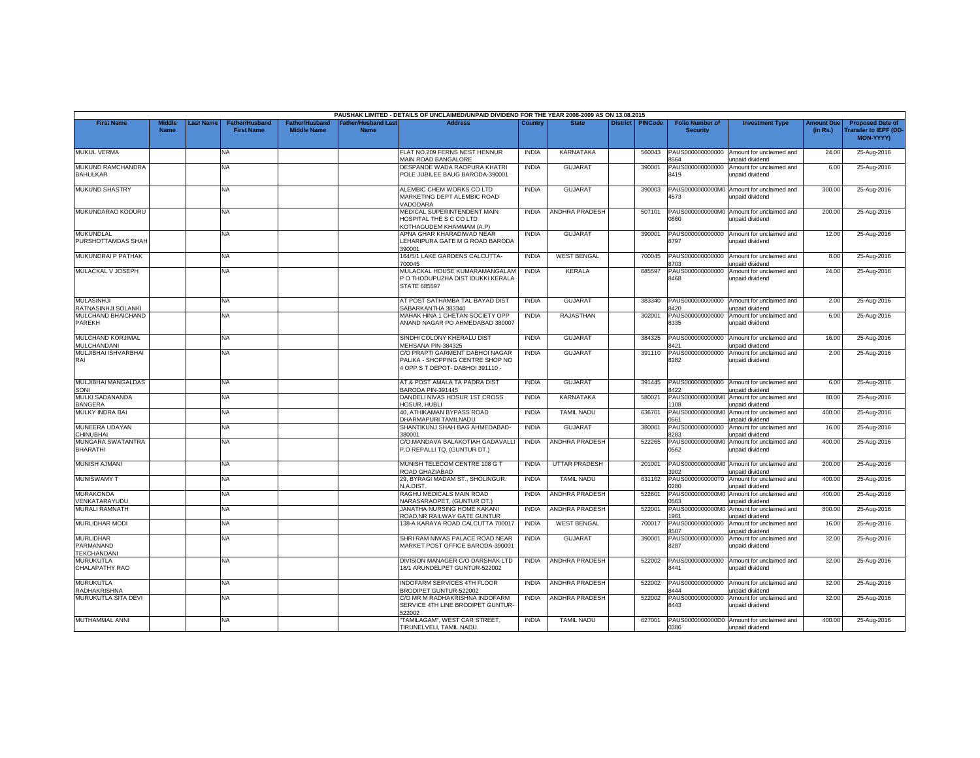|                                                     |                              |          |                                            |                                             |                                   | PAUSHAK LIMITED - DETAILS OF UNCLAIMED/UNPAID DIVIDEND FOR THE YEAR 2008-2009 AS ON 13.08.2015          |              |                       |                 |                |                                           |                                                              |                               |                                                                            |
|-----------------------------------------------------|------------------------------|----------|--------------------------------------------|---------------------------------------------|-----------------------------------|---------------------------------------------------------------------------------------------------------|--------------|-----------------------|-----------------|----------------|-------------------------------------------|--------------------------------------------------------------|-------------------------------|----------------------------------------------------------------------------|
| <b>First Name</b>                                   | <b>Middle</b><br><b>Name</b> | ast Name | <b>Father/Husband</b><br><b>First Name</b> | <b>Father/Husband</b><br><b>Middle Name</b> | Father/Husband Las<br><b>Name</b> | <b>Address</b>                                                                                          | Country      | <b>State</b>          | <b>District</b> | <b>PINCode</b> | <b>Folio Number of</b><br><b>Security</b> | <b>Investment Type</b>                                       | <b>Amount Due</b><br>(in Rs.) | <b>Proposed Date of</b><br><b>Transfer to IEPF (DD</b><br><b>MON-YYYY)</b> |
| <b>MUKUL VERMA</b>                                  |                              |          | <b>NA</b>                                  |                                             |                                   | FLAT NO.209 FERNS NEST HENNUR<br>MAIN ROAD BANGALORE                                                    | <b>INDIA</b> | KARNATAKA             |                 | 560043         | PAUS000000000000<br>3564                  | Amount for unclaimed and<br>unpaid dividend                  | 24.00                         | 25-Aug-2016                                                                |
| MUKUND RAMCHANDRA<br><b>BAHULKAR</b>                |                              |          | <b>NA</b>                                  |                                             |                                   | DESPANDE WADA RAOPURA KHATRI<br>POLE JUBILEE BAUG BARODA-390001                                         | <b>INDIA</b> | <b>GUJARAT</b>        |                 | 390001         | PAUS000000000000<br>8419                  | Amount for unclaimed and<br>unpaid dividend                  | 6.00                          | 25-Aug-2016                                                                |
| <b>MUKUND SHASTRY</b>                               |                              |          | <b>NA</b>                                  |                                             |                                   | ALEMBIC CHEM WORKS CO LTD<br>MARKETING DEPT ALEMBIC ROAD<br>/ADODARA                                    | <b>INDIA</b> | <b>GUJARAT</b>        |                 | 390003         | 4573                                      | PAUS0000000000M0 Amount for unclaimed and<br>unpaid dividend | 300.00                        | 25-Aug-2016                                                                |
| MUKUNDARAO KODURU                                   |                              |          | <b>NA</b>                                  |                                             |                                   | MEDICAL SUPERINTENDENT MAIN<br>IOSPITAL THE S C CO LTD<br>KOTHAGUDEM KHAMMAM (A.P)                      | <b>INDIA</b> | <b>ANDHRA PRADESH</b> |                 | 507101         | 0860                                      | PAUS0000000000M0 Amount for unclaimed and<br>unpaid dividend | 200.00                        | 25-Aug-2016                                                                |
| MUKUNDLAL<br>PURSHOTTAMDAS SHAH                     |                              |          | NA                                         |                                             |                                   | APNA GHAR KHARADIWAD NEAR<br>LEHARIPURA GATE M G ROAD BARODA<br>390001                                  | <b>INDIA</b> | <b>GUJARAT</b>        |                 | 390001         | PAUS000000000000<br>8797                  | Amount for unclaimed and<br>unpaid dividend                  | 12.00                         | 25-Aug-2016                                                                |
| <b>MUKUNDRAI P PATHAK</b>                           |                              |          | NA.                                        |                                             |                                   | 164/5/1 LAKE GARDENS CALCUTTA-<br>700045                                                                | <b>INDIA</b> | <b>WEST BENGAL</b>    |                 | 700045         | PAUS000000000000<br>3703                  | Amount for unclaimed and<br>unpaid dividend                  | 8.00                          | 25-Aug-2016                                                                |
| MULACKAL V JOSEPH                                   |                              |          | <b>NA</b>                                  |                                             |                                   | MULACKAL HOUSE KUMARAMANGALAM<br>P O THODUPUZHA DIST IDUKKI KERALA<br><b>STATE 685597</b>               | <b>INDIA</b> | KERALA                |                 | 685597         | PAUS000000000000<br>8468                  | Amount for unclaimed and<br>unpaid dividend                  | 24.00                         | 25-Aug-2016                                                                |
| <b>MULASINHJI</b><br>RATNASINHJI SOLANKI            |                              |          | <b>NA</b>                                  |                                             |                                   | AT POST SATHAMBA TAL BAYAD DIST<br>SABARKANTHA 383340                                                   | <b>INDIA</b> | <b>GUJARAT</b>        |                 | 383340         | PAUS000000000000<br>3420                  | Amount for unclaimed and<br>unpaid dividend                  | 2.00                          | 25-Aug-2016                                                                |
| MULCHAND BHAICHAND<br>PAREKH                        |                              |          | NA.                                        |                                             |                                   | MAHAK HINA 1 CHETAN SOCIETY OPP<br>ANAND NAGAR PO AHMEDABAD 380007                                      | <b>INDIA</b> | <b>RAJASTHAN</b>      |                 | 302001         | PAUS000000000000<br>8335                  | Amount for unclaimed and<br>unpaid dividend                  | 6.00                          | 25-Aug-2016                                                                |
| MULCHAND KORJIMAL<br>MULCHANDANI                    |                              |          | NA.                                        |                                             |                                   | SINDHI COLONY KHERALU DIST<br>MEHSANA PIN-384325                                                        | <b>INDIA</b> | GUJARAT               |                 | 384325         | PAUS000000000000<br>3421                  | Amount for unclaimed and<br>unpaid dividend                  | 16.00                         | 25-Aug-2016                                                                |
| MULJIBHAI ISHVARBHAI<br>RAI                         |                              |          | <b>NA</b>                                  |                                             |                                   | C/O PRAPTI GARMENT DABHOI NAGAR<br>PALIKA - SHOPPING CENTRE SHOP NO<br>4 OPP S T DEPOT- DABHOI 391110 - | <b>INDIA</b> | <b>GUJARAT</b>        |                 | 391110         | PAUS000000000000<br>8282                  | Amount for unclaimed and<br>unpaid dividend                  | 2.00                          | 25-Aug-2016                                                                |
| MULJIBHAI MANGALDAS<br>SONI                         |                              |          | <b>NA</b>                                  |                                             |                                   | AT & POST AMALA TA PADRA DIST<br><b>3ARODA PIN-391445</b>                                               | <b>INDIA</b> | <b>GUJARAT</b>        |                 | 391445         | PAUS000000000000<br>422                   | Amount for unclaimed and<br>unpaid dividend                  | 6.00                          | 25-Aug-2016                                                                |
| MULKI SADANANDA<br><b>BANGERA</b>                   |                              |          | <b>NA</b>                                  |                                             |                                   | DANDELI NIVAS HOSUR 1ST CROSS<br><b>IOSUR, HUBLI</b>                                                    | <b>INDIA</b> | <b>KARNATAKA</b>      |                 | 580021         | PAUS0000000000M0<br>108                   | Amount for unclaimed and<br>unpaid dividend                  | 80.00                         | 25-Aug-2016                                                                |
| <b>MULKY INDRA BAI</b>                              |                              |          | <b>NA</b>                                  |                                             |                                   | 40. ATHIKAMAN BYPASS ROAD<br>DHARMAPURI TAMILNADU                                                       | <b>INDIA</b> | <b>TAMIL NADU</b>     |                 | 636701         | PAUS0000000000M<br>0561                   | Amount for unclaimed and<br>unpaid dividend                  | 400.00                        | 25-Aug-2016                                                                |
| MUNEERA UDAYAN<br>CHINUBHAI                         |                              |          | NA                                         |                                             |                                   | SHANTIKUNJ SHAH BAG AHMEDABAD-<br>380001                                                                | <b>INDIA</b> | <b>GUJARAT</b>        |                 | 380001         | PAUS000000000000<br>3283                  | Amount for unclaimed and<br><b>Inpaid dividend</b>           | 16.00                         | 25-Aug-2016                                                                |
| MUNGARA SWATANTRA<br><b>BHARATHI</b>                |                              |          | NA.                                        |                                             |                                   | C/O.MANDAVA BALAKOTIAH GADAVALLI<br>P.O REPALLI TQ. (GUNTUR DT.)                                        | <b>INDIA</b> | ANDHRA PRADESH        |                 | 522265         | PAUS0000000000M0<br>0562                  | Amount for unclaimed and<br>unpaid dividend                  | 400.00                        | 25-Aug-2016                                                                |
| <b>MUNISH AJMANI</b>                                |                              |          | <b>NA</b>                                  |                                             |                                   | MUNISH TELECOM CENTRE 108 G T<br>ROAD GHAZIABAD                                                         | <b>INDIA</b> | <b>UTTAR PRADESH</b>  |                 | 201001         | 3902                                      | PAUS0000000000M0 Amount for unclaimed and<br>unpaid dividend | 200.00                        | 25-Aug-2016                                                                |
| <b>MUNISWAMY T</b>                                  |                              |          | NA                                         |                                             |                                   | 29, BYRAGI MADAM ST., SHOLINGUR.<br><b>V.A.DIST.</b>                                                    | <b>INDIA</b> | <b>TAMIL NADU</b>     |                 | 631102         | PAUS0000000000T0<br>280                   | Amount for unclaimed and<br>unpaid dividend                  | 400.00                        | 25-Aug-2016                                                                |
| <b>MURAKONDA</b><br>/ENKATARAYUDU                   |                              |          | <b>NA</b>                                  |                                             |                                   | RAGHU MEDICALS MAIN ROAD<br>VARASARAOPET, (GUNTUR DT.)                                                  | <b>INDIA</b> | <b>ANDHRA PRADESH</b> |                 | 522601         | PAUS0000000000M0<br>563                   | Amount for unclaimed and<br>unpaid dividend                  | 400.00                        | 25-Aug-2016                                                                |
| <b>MURALI RAMNATH</b>                               |                              |          | <b>NA</b>                                  |                                             |                                   | JANATHA NURSING HOME KAKANI<br>ROAD, NR RAILWAY GATE GUNTUR                                             | <b>INDIA</b> | ANDHRA PRADESH        |                 | 522001         | PAUS0000000000M0<br>1961                  | Amount for unclaimed and<br>unpaid dividend                  | 800.00                        | 25-Aug-2016                                                                |
| MURLIDHAR MODI                                      |                              |          | NA                                         |                                             |                                   | 138-A KARAYA ROAD CALCUTTA 700017                                                                       | <b>INDIA</b> | <b>WEST BENGAL</b>    |                 | 700017         | PAUS000000000000<br>8507                  | Amount for unclaimed and<br>unpaid dividend                  | 16.00                         | 25-Aug-2016                                                                |
| <b>MURLIDHAR</b><br>PARMANAND<br><b>TEKCHANDANI</b> |                              |          | <b>NA</b>                                  |                                             |                                   | SHRI RAM NIWAS PALACE ROAD NEAR<br>MARKET POST OFFICE BARODA-390001                                     | <b>INDIA</b> | <b>GUJARAT</b>        |                 | 390001         | PAUS000000000000<br>8287                  | Amount for unclaimed and<br>unpaid dividend                  | 32.00                         | 25-Aug-2016                                                                |
| MURUKUTLA<br>CHALAPATHY RAO                         |                              |          | NA                                         |                                             |                                   | DIVISION MANAGER C/O DARSHAK LTD<br>18/1 ARUNDELPET GUNTUR-522002                                       | <b>INDIA</b> | ANDHRA PRADESH        |                 | 522002         | PAUS000000000000<br>8441                  | Amount for unclaimed and<br>unpaid dividend                  | 32.00                         | 25-Aug-2016                                                                |
| MURUKUTLA<br><b>RADHAKRISHNA</b>                    |                              |          | NA                                         |                                             |                                   | INDOFARM SERVICES 4TH FLOOR<br>BRODIPET GUNTUR-522002                                                   | <b>INDIA</b> | ANDHRA PRADESH        |                 | 522002         | PAUS000000000000<br>444                   | Amount for unclaimed and<br>unpaid dividend                  | 32.00                         | 25-Aug-2016                                                                |
| MURUKUTLA SITA DEVI                                 |                              |          | <b>NA</b>                                  |                                             |                                   | C/O MR M RADHAKRISHNA INDOFARM<br>SERVICE 4TH LINE BRODIPET GUNTUR-<br>22002                            | <b>INDIA</b> | <b>ANDHRA PRADESH</b> |                 | 522002         | PAUS000000000000<br>8443                  | Amount for unclaimed and<br>unpaid dividend                  | 32.00                         | 25-Aug-2016                                                                |
| MUTHAMMAL ANNI                                      |                              |          | <b>NA</b>                                  |                                             |                                   | 'TAMILAGAM", WEST CAR STREET,<br>TIRUNELVELI, TAMIL NADU.                                               | <b>INDIA</b> | <b>TAMIL NADU</b>     |                 | 627001         | 0386                                      | PAUS0000000000D0 Amount for unclaimed and<br>unpaid dividend | 400.00                        | 25-Aug-2016                                                                |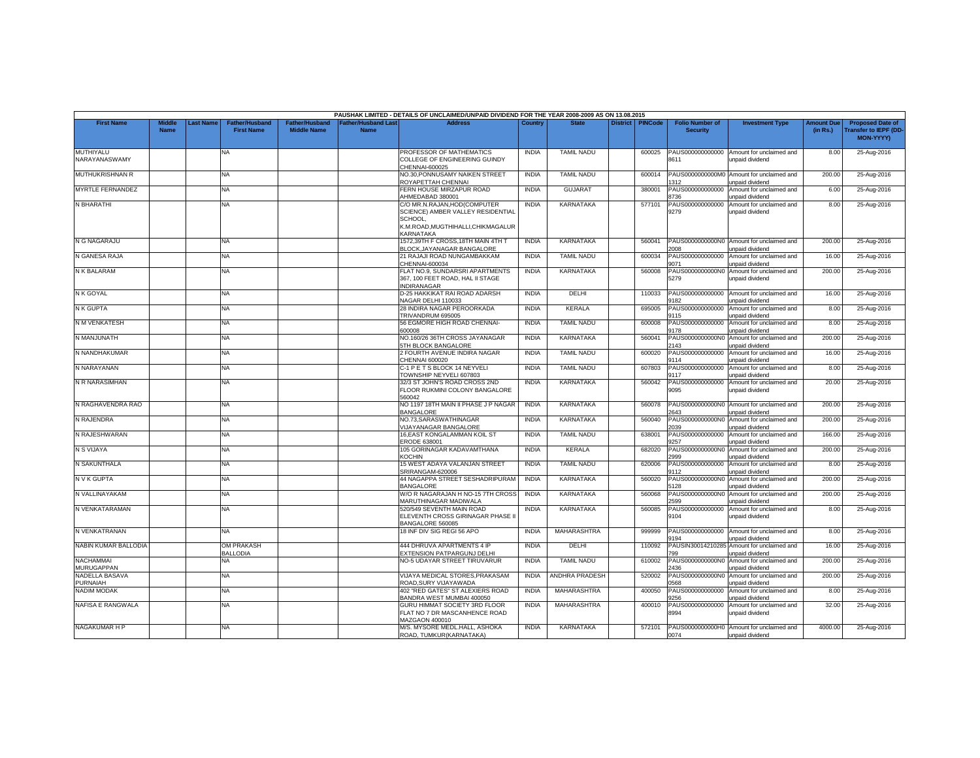|                                   |                              |                  |                                            |                                             |                                  | PAUSHAK LIMITED - DETAILS OF UNCLAIMED/UNPAID DIVIDEND FOR THE YEAR 2008-2009 AS ON 13.08.2015                                  |              |                       |                    |                                           |                                                               |                               |                                                                     |
|-----------------------------------|------------------------------|------------------|--------------------------------------------|---------------------------------------------|----------------------------------|---------------------------------------------------------------------------------------------------------------------------------|--------------|-----------------------|--------------------|-------------------------------------------|---------------------------------------------------------------|-------------------------------|---------------------------------------------------------------------|
| <b>First Name</b>                 | <b>Middle</b><br><b>Name</b> | <b>Last Name</b> | <b>Father/Husband</b><br><b>First Name</b> | <b>Father/Husband</b><br><b>Middle Name</b> | ather/Husband Las<br><b>Name</b> | <b>Address</b>                                                                                                                  | Country      | <b>State</b>          | District   PINCode | <b>Folio Number of</b><br><b>Security</b> | <b>Investment Type</b>                                        | <b>Amount Due</b><br>(in Rs.) | <b>Proposed Date of</b><br><b>Transfer to IEPF (DD</b><br>MON-YYYY) |
| MUTHIYALU<br>NARAYANASWAMY        |                              |                  | <b>NA</b>                                  |                                             |                                  | PROFESSOR OF MATHEMATICS<br>COLLEGE OF ENGINEERING GUINDY<br>CHENNAI-600025                                                     | <b>INDIA</b> | <b>TAMIL NADU</b>     | 600025             | PAUS000000000000<br>8611                  | Amount for unclaimed and<br>unpaid dividend                   | 8.00                          | 25-Aug-2016                                                         |
| MUTHUKRISHNAN R                   |                              |                  | NA                                         |                                             |                                  | NO.30, PONNUSAMY NAIKEN STREET<br>ROYAPETTAH CHENNAI                                                                            | <b>INDIA</b> | <b>TAMIL NADU</b>     | 600014             | PAUS0000000000M0<br>312                   | Amount for unclaimed and<br>unpaid dividend                   | 200.00                        | 25-Aug-2016                                                         |
| MYRTLE FERNANDEZ                  |                              |                  | <b>NA</b>                                  |                                             |                                  | <b>ERN HOUSE MIRZAPUR ROAD</b><br>AHMEDABAD 380001                                                                              | <b>INDIA</b> | <b>GUJARAT</b>        | 380001             | PAUS000000000000<br>3736                  | Amount for unclaimed and<br><b>Inpaid dividend</b>            | 6.00                          | 25-Aug-2016                                                         |
| N BHARATHI                        |                              |                  | NA.                                        |                                             |                                  | C/O MR.N.RAJAN, HOD(COMPUTER<br>SCIENCE) AMBER VALLEY RESIDENTIAL<br>SCHOOL.<br>K.M.ROAD, MUGTHIHALLI, CHIKMAGALUR<br>KARNATAKA | <b>INDIA</b> | <b>KARNATAKA</b>      | 577101             | PAUS000000000000<br>9279                  | Amount for unclaimed and<br>unpaid dividend                   | 8.00                          | 25-Aug-2016                                                         |
| N G NAGARAJU                      |                              |                  | NA.                                        |                                             |                                  | 1572,39TH F CROSS,18TH MAIN 4TH T<br>BLOCK, JAYANAGAR BANGALORE                                                                 | <b>INDIA</b> | KARNATAKA             | 560041             | 2008                                      | PAUS0000000000N0 Amount for unclaimed and<br>unpaid dividend  | 200.00                        | 25-Aug-2016                                                         |
| N GANESA RAJA                     |                              |                  | <b>NA</b>                                  |                                             |                                  | 21 RAJAJI ROAD NUNGAMBAKKAM<br>CHENNAI-600034                                                                                   | <b>INDIA</b> | <b>TAMIL NADU</b>     | 600034             | PAUS000000000000<br>9071                  | Amount for unclaimed and<br>unpaid dividend                   | 16.00                         | 25-Aug-2016                                                         |
| N K BALARAM                       |                              |                  | NA.                                        |                                             |                                  | FLAT NO.9, SUNDARSRI APARTMENTS<br>367, 100 FEET ROAD, HAL II STAGE<br><b>INDIRANAGAR</b>                                       | <b>INDIA</b> | <b>KARNATAKA</b>      | 560008             | PAUS0000000000N0<br>5279                  | Amount for unclaimed and<br>unpaid dividend                   | 200.00                        | 25-Aug-2016                                                         |
| N K GOYAL                         |                              |                  | NA                                         |                                             |                                  | D-25 HAKKIKAT RAI ROAD ADARSH<br>NAGAR DELHI 110033                                                                             | <b>INDIA</b> | DELHI                 | 110033             | PAUS000000000000<br>9182                  | Amount for unclaimed and<br>unpaid dividend                   | 16.00                         | 25-Aug-2016                                                         |
| N K GUPTA                         |                              |                  | NA.                                        |                                             |                                  | 28 INDIRA NAGAR PEROORKADA<br>TRIVANDRUM 695005                                                                                 | <b>INDIA</b> | <b>KERALA</b>         | 695005             | PAUS000000000000<br>9115                  | Amount for unclaimed and<br>unpaid dividend                   | 8.00                          | 25-Aug-2016                                                         |
| N M VENKATESH                     |                              |                  | <b>NA</b>                                  |                                             |                                  | 56 EGMORE HIGH ROAD CHENNAI-<br>300008                                                                                          | <b>INDIA</b> | <b>TAMIL NADU</b>     | 600008             | PAUS000000000000<br>9178                  | Amount for unclaimed and<br>unpaid dividend                   | 8.00                          | 25-Aug-2016                                                         |
| N MANJUNATH                       |                              |                  | NA.                                        |                                             |                                  | VO.160/26 36TH CROSS JAYANAGAR<br><b>STH BLOCK BANGALORE</b>                                                                    | <b>INDIA</b> | <b>KARNATAKA</b>      | 560041             | PAUS0000000000N0<br>2143                  | Amount for unclaimed and<br>unpaid dividend                   | 200.00                        | 25-Aug-2016                                                         |
| N NANDHAKUMAR                     |                              |                  | <b>NA</b>                                  |                                             |                                  | 2 FOURTH AVENUE INDIRA NAGAR<br>CHENNAI 600020                                                                                  | <b>INDIA</b> | <b>TAMIL NADU</b>     | 600020             | PAUS000000000000<br>9114                  | Amount for unclaimed and<br>unpaid dividend                   | 16.00                         | 25-Aug-2016                                                         |
| N NARAYANAN                       |                              |                  | NA.                                        |                                             |                                  | C-1 P E T S BLOCK 14 NEYVELI<br>TOWNSHIP NEYVELI 607803                                                                         | <b>INDIA</b> | <b>TAMIL NADU</b>     | 607803             | PAUS000000000000<br>9117                  | Amount for unclaimed and<br>unpaid dividend                   | 8.00                          | 25-Aug-2016                                                         |
| N R NARASIMHAN                    |                              |                  | <b>NA</b>                                  |                                             |                                  | 32/3 ST JOHN'S ROAD CROSS 2ND<br>FLOOR RUKMINI COLONY BANGALORE<br>560042                                                       | <b>INDIA</b> | <b>KARNATAKA</b>      | 560042             | PAUS000000000000<br>9095                  | Amount for unclaimed and<br>unpaid dividend                   | 20.00                         | 25-Aug-2016                                                         |
| N RAGHAVENDRA RAO                 |                              |                  | NA.                                        |                                             |                                  | NO 1197 18TH MAIN II PHASE J P NAGAR<br><b>BANGALORE</b>                                                                        | <b>INDIA</b> | <b>KARNATAKA</b>      | 560078             | 2643                                      | PAUS0000000000N0 Amount for unclaimed and<br>unpaid dividend  | 200.00                        | 25-Aug-2016                                                         |
| N RAJENDRA                        |                              |                  | <b>NA</b>                                  |                                             |                                  | NO.73.SARASWATHINAGAR<br><b>VIJAYANAGAR BANGALORE</b>                                                                           | <b>INDIA</b> | <b>KARNATAKA</b>      | 560040             | PAUS0000000000N0<br>2039                  | Amount for unclaimed and<br>unpaid dividend                   | 200.00                        | 25-Aug-2016                                                         |
| N RAJESHWARAN                     |                              |                  | NA.                                        |                                             |                                  | <b>16.EAST KONGALAMMAN KOIL ST</b><br>ERODE 638001                                                                              | <b>INDIA</b> | <b>TAMIL NADU</b>     | 638001             | PAUS000000000000<br>9257                  | Amount for unclaimed and<br>unpaid dividend                   | 166.00                        | 25-Aug-2016                                                         |
| N S VIJAYA                        |                              |                  | <b>NA</b>                                  |                                             |                                  | 105 GORINAGAR KADAVAMTHANA<br>KOCHIN                                                                                            | <b>INDIA</b> | KERALA                | 682020             | PAUS0000000000N0<br>999                   | Amount for unclaimed and<br>unpaid dividend                   | 200.00                        | 25-Aug-2016                                                         |
| N SAKUNTHALA                      |                              |                  | <b>NA</b>                                  |                                             |                                  | 15 WEST ADAYA VALANJAN STREET<br><b>SRIRANGAM-620006</b>                                                                        | <b>INDIA</b> | <b>TAMIL NADU</b>     | 620006             | PAUS000000000000<br>9112                  | Amount for unclaimed and<br>unpaid dividend                   | 8.00                          | 25-Aug-2016                                                         |
| N V K GUPTA                       |                              |                  | <b>NA</b>                                  |                                             |                                  | 44 NAGAPPA STREET SESHADRIPURAM<br><b>BANGALORE</b>                                                                             | <b>INDIA</b> | <b>KARNATAKA</b>      | 560020             | PAUS0000000000N0<br>128                   | Amount for unclaimed and<br>unpaid dividend                   | 200.00                        | 25-Aug-2016                                                         |
| N VALLINAYAKAM                    |                              |                  | NA                                         |                                             |                                  | W/O R NAGARAJAN H NO-15 7TH CROSS<br>MARUTHINAGAR MADIWALA                                                                      | <b>INDIA</b> | <b>KARNATAKA</b>      | 560068             | PAUS0000000000N0<br>2599                  | Amount for unclaimed and<br>unpaid dividend                   | 200.00                        | 25-Aug-2016                                                         |
| N VENKATARAMAN                    |                              |                  | NA.                                        |                                             |                                  | 520/549 SEVENTH MAIN ROAD<br>ELEVENTH CROSS GIRINAGAR PHASE II<br>BANGALORE 560085                                              | <b>INDIA</b> | KARNATAKA             | 560085             | PAUS000000000000<br>9104                  | Amount for unclaimed and<br>unpaid dividend                   | 8.00                          | 25-Aug-2016                                                         |
| N VENKATRANAN                     |                              |                  | <b>NA</b>                                  |                                             |                                  | 18 INF DIV SIG REGI 56 APO                                                                                                      | <b>INDIA</b> | MAHARASHTRA           | 999999             | PAUS000000000000<br>1194                  | Amount for unclaimed and<br>unpaid dividend                   | 8.00                          | 25-Aug-2016                                                         |
| NABIN KUMAR BALLODIA              |                              |                  | <b>OM PRAKASH</b><br><b>BALLODIA</b>       |                                             |                                  | 444 DHRUVA APARTMENTS 4 IP<br>EXTENSION PATPARGUNJ DELHI                                                                        | <b>INDIA</b> | DELHI                 | 110092             | '99                                       | PAUSIN30014210285 Amount for unclaimed and<br>unpaid dividend | 16.00                         | 25-Aug-2016                                                         |
| <b>NACHAMMAI</b><br>MURUGAPPAN    |                              |                  | <b>NA</b>                                  |                                             |                                  | NO-5 UDAYAR STREET TIRUVARUR                                                                                                    | <b>INDIA</b> | <b>TAMIL NADU</b>     | 610002             | PAUS0000000000N0<br>2436                  | Amount for unclaimed and<br>unpaid dividend                   | 200.00                        | 25-Aug-2016                                                         |
| NADELLA BASAVA<br><b>PURNAIAH</b> |                              |                  | NA.                                        |                                             |                                  | VIJAYA MEDICAL STORES, PRAKASAM<br>ROAD, SURY VIJAYAWADA                                                                        | <b>INDIA</b> | <b>ANDHRA PRADESH</b> | 520002             | PAUS0000000000NO<br>0568                  | Amount for unclaimed and<br>unpaid dividend                   | 200.00                        | 25-Aug-2016                                                         |
| NADIM MODAK                       |                              |                  | <b>NA</b>                                  |                                             |                                  | 402 "RED GATES" ST ALEXIERS ROAD<br>BANDRA WEST MUMBAI 400050                                                                   | <b>INDIA</b> | <b>MAHARASHTRA</b>    | 400050             | PAUS000000000000<br>256                   | Amount for unclaimed and<br>unpaid dividend                   | 8.00                          | 25-Aug-2016                                                         |
| NAFISA E RANGWALA                 |                              |                  | NA.                                        |                                             |                                  | GURU HIMMAT SOCIETY 3RD FLOOR<br>FLAT NO 7 DR MASCANHENCE ROAD<br>MAZGAON 400010                                                | <b>INDIA</b> | MAHARASHTRA           | 400010             | PAUS000000000000<br>8994                  | Amount for unclaimed and<br>unpaid dividend                   | 32.00                         | 25-Aug-2016                                                         |
| NAGAKUMAR H P                     |                              |                  | NA.                                        |                                             |                                  | M/S. MYSORE MEDL.HALL, ASHOKA<br>ROAD, TUMKUR(KARNATAKA)                                                                        | <b>INDIA</b> | <b>KARNATAKA</b>      | 572101             | 0074                                      | PAUS0000000000H0 Amount for unclaimed and<br>unpaid dividend  | 4000.00                       | 25-Aug-2016                                                         |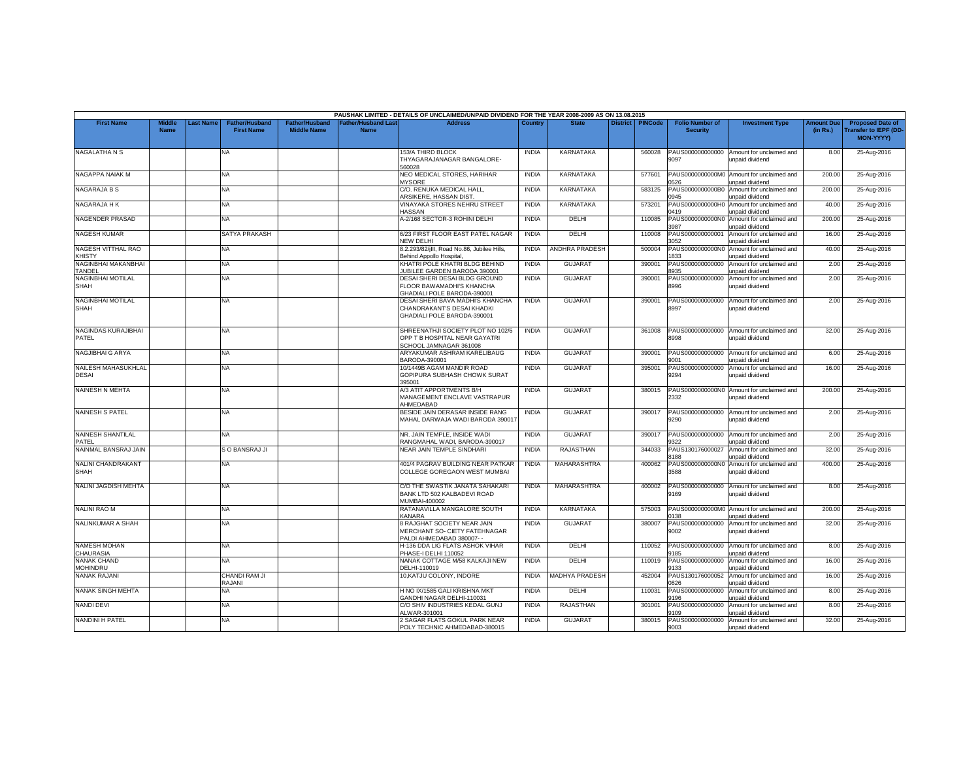|                                       |                              |           |                                            |                                             |                                          | PAUSHAK LIMITED - DETAILS OF UNCLAIMED/UNPAID DIVIDEND FOR THE YEAR 2008-2009 AS ON 13.08.2015 |              |                       |                 |                |                                           |                                                              |                               |                                                                            |
|---------------------------------------|------------------------------|-----------|--------------------------------------------|---------------------------------------------|------------------------------------------|------------------------------------------------------------------------------------------------|--------------|-----------------------|-----------------|----------------|-------------------------------------------|--------------------------------------------------------------|-------------------------------|----------------------------------------------------------------------------|
| <b>First Name</b>                     | <b>Middle</b><br><b>Name</b> | Last Name | <b>Father/Husband</b><br><b>First Name</b> | <b>Father/Husband</b><br><b>Middle Name</b> | <b>Father/Husband Las</b><br><b>Name</b> | <b>Address</b>                                                                                 | Country      | <b>State</b>          | <b>District</b> | <b>PINCode</b> | <b>Folio Number of</b><br><b>Security</b> | <b>Investment Type</b>                                       | <b>Amount Due</b><br>(in Rs.) | <b>Proposed Date of</b><br><b>Transfer to IEPF (DD</b><br><b>MON-YYYY)</b> |
| NAGALATHA N S                         |                              |           | NA                                         |                                             |                                          | <b>153/A THIRD BLOCK</b><br>THYAGARAJANAGAR BANGALORE-<br>560028                               | <b>INDIA</b> | <b>KARNATAKA</b>      |                 | 560028         | PAUS000000000000<br>9097                  | Amount for unclaimed and<br>unpaid dividend                  | 8.00                          | 25-Aug-2016                                                                |
| NAGAPPA NAIAK M                       |                              |           | <b>NA</b>                                  |                                             |                                          | NEO MEDICAL STORES, HARIHAR<br><b>MYSORE</b>                                                   | <b>INDIA</b> | <b>KARNATAKA</b>      |                 | 577601         | PAUS0000000000M0<br>526                   | Amount for unclaimed and<br>unpaid dividend                  | 200.00                        | 25-Aug-2016                                                                |
| NAGARAJA B S                          |                              |           | <b>NA</b>                                  |                                             |                                          | C/O. RENUKA MEDICAL HALL<br>ARSIKERE, HASSAN DIST                                              | <b>INDIA</b> | KARNATAKA             |                 | 583125         | PAUS0000000000B0<br>0945                  | Amount for unclaimed and<br>unpaid dividend                  | 200.00                        | 25-Aug-2016                                                                |
| NAGARAJA H K                          |                              |           | <b>NA</b>                                  |                                             |                                          | VINAYAKA STORES NEHRU STREET<br><b>HASSAN</b>                                                  | <b>INDIA</b> | KARNATAKA             |                 | 573201         | PAUS0000000000H0<br>0419                  | Amount for unclaimed and<br>unpaid dividend                  | 40.00                         | 25-Aug-2016                                                                |
| NAGENDER PRASAD                       |                              |           | <b>NA</b>                                  |                                             |                                          | A-2/168 SECTOR-3 ROHINI DELHI                                                                  | <b>INDIA</b> | DELHI                 |                 | 110085         | PAUS0000000000N0<br>1987                  | Amount for unclaimed and<br>unpaid dividend                  | 200.00                        | 25-Aug-2016                                                                |
| NAGESH KUMAR                          |                              |           | SATYA PRAKASH                              |                                             |                                          | 6/23 FIRST FLOOR EAST PATEL NAGAR<br><b>NEW DELHI</b>                                          | <b>INDIA</b> | DELHI                 |                 | 110008         | PAUS000000000001<br>052                   | Amount for unclaimed and<br>unpaid dividend                  | 16.00                         | 25-Aug-2016                                                                |
| NAGESH VITTHAL RAO<br><b>KHISTY</b>   |                              |           | <b>NA</b>                                  |                                             |                                          | 8.2.293/82/jlll, Road No.86, Jubilee Hills,<br><b>Behind Appollo Hospital</b>                  | <b>INDIA</b> | ANDHRA PRADESH        |                 | 500004         | PAUS0000000000N0<br>833                   | Amount for unclaimed and<br>unpaid dividend                  | 40.00                         | 25-Aug-2016                                                                |
| NAGINBHAI MAKANBHAI<br>TANDEL         |                              |           | <b>NA</b>                                  |                                             |                                          | KHATRI POLE KHATRI BLDG BEHIND<br>JUBILEE GARDEN BARODA 390001                                 | <b>INDIA</b> | <b>GUJARAT</b>        |                 | 390001         | PAUS000000000000<br>935                   | Amount for unclaimed and<br>unpaid dividend                  | 2.00                          | 25-Aug-2016                                                                |
| NAGINBHAI MOTILAL<br>SHAH             |                              |           | <b>NA</b>                                  |                                             |                                          | DESAI SHERI DESAI BLDG GROUND<br>FLOOR BAWAMADHI'S KHANCHA<br>GHADIALI POLE BARODA-390001      | <b>INDIA</b> | <b>GUJARAT</b>        |                 | 390001         | PAUS000000000000<br>8996                  | Amount for unclaimed and<br>unpaid dividend                  | 2.00                          | 25-Aug-2016                                                                |
| NAGINBHAI MOTILAL<br>SHAH             |                              |           | <b>NA</b>                                  |                                             |                                          | DESAI SHERI BAVA MADHI'S KHANCHA<br>CHANDRAKANT'S DESAI KHADKI<br>GHADIALI POLE BARODA-390001  | <b>INDIA</b> | <b>GUJARAT</b>        |                 | 390001         | PAUS000000000000<br>8997                  | Amount for unclaimed and<br>unpaid dividend                  | 2.00                          | 25-Aug-2016                                                                |
| NAGINDAS KURAJIBHAI<br>PATEL          |                              |           | <b>NA</b>                                  |                                             |                                          | SHREENATHJI SOCIETY PLOT NO 102/6<br>OPP T B HOSPITAL NEAR GAYATRI<br>SCHOOL JAMNAGAR 361008   | <b>INDIA</b> | <b>GUJARAT</b>        |                 | 361008         | PAUS000000000000<br>8998                  | Amount for unclaimed and<br>unpaid dividend                  | 32.00                         | 25-Aug-2016                                                                |
| NAGJIBHAI G ARYA                      |                              |           | NA                                         |                                             |                                          | ARYAKUMAR ASHRAM KARELIBAUG<br>BARODA-390001                                                   | <b>INDIA</b> | <b>GUJARAT</b>        |                 | 390001         | PAUS000000000000<br>9001                  | Amount for unclaimed and<br>unpaid dividend                  | 6.00                          | 25-Aug-2016                                                                |
| NAILESH MAHASUKHLAL<br>DESAI          |                              |           | NA                                         |                                             |                                          | 10/1449B AGAM MANDIR ROAD<br>GOPIPURA SUBHASH CHOWK SURAT<br>395001                            | <b>INDIA</b> | <b>GUJARAT</b>        |                 | 395001         | PAUS000000000000<br>9294                  | Amount for unclaimed and<br>unpaid dividend                  | 16.00                         | 25-Aug-2016                                                                |
| <b>NAINESH N MEHTA</b>                |                              |           | <b>NA</b>                                  |                                             |                                          | A/3 ATIT APPORTMENTS B/H<br>MANAGEMENT ENCLAVE VASTRAPUR<br>AHMEDABAD                          | <b>INDIA</b> | <b>GUJARAT</b>        |                 | 380015         | 2332                                      | PAUS0000000000N0 Amount for unclaimed and<br>unpaid dividend | 200.00                        | 25-Aug-2016                                                                |
| <b>NAINESH S PATEL</b>                |                              |           | <b>NA</b>                                  |                                             |                                          | BESIDE JAIN DERASAR INSIDE RANG<br>MAHAL DARWAJA WADI BARODA 390017                            | <b>INDIA</b> | <b>GUJARAT</b>        |                 | 390017         | PAUS000000000000<br>9290                  | Amount for unclaimed and<br>unpaid dividend                  | 2.00                          | 25-Aug-2016                                                                |
| NAINESH SHANTILAL<br>PATEL            |                              |           | <b>NA</b>                                  |                                             |                                          | NR. JAIN TEMPLE. INSIDE WADI<br>RANGMAHAL WADI, BARODA-390017                                  | <b>INDIA</b> | <b>GUJARAT</b>        |                 | 390017         | PAUS000000000000<br>9322                  | Amount for unclaimed and<br>unpaid dividend                  | 2.00                          | 25-Aug-2016                                                                |
| NAINMAL BANSRAJ JAIN                  |                              |           | S O BANSRAJ JI                             |                                             |                                          | <b>NEAR JAIN TEMPLE SINDHARI</b>                                                               | <b>INDIA</b> | <b>RAJASTHAN</b>      |                 | 344033         | PAUS130176000027<br>3188                  | Amount for unclaimed and<br>unpaid dividend                  | 32.00                         | 25-Aug-2016                                                                |
| NALINI CHANDRAKANT<br>SHAH            |                              |           | <b>NA</b>                                  |                                             |                                          | 401/4 PAGRAV BUILDING NEAR PATKAR<br>COLLEGE GOREGAON WEST MUMBAI                              | <b>INDIA</b> | <b>MAHARASHTRA</b>    |                 | 400062         | PAUS0000000000N0<br>3588                  | Amount for unclaimed and<br>unpaid dividend                  | 400.00                        | 25-Aug-2016                                                                |
| NALINI JAGDISH MEHTA                  |                              |           | <b>NA</b>                                  |                                             |                                          | C/O THE SWASTIK JANATA SAHAKARI<br>BANK LTD 502 KALBADEVI ROAD<br>MUMBAI-400002                | <b>INDIA</b> | <b>MAHARASHTRA</b>    |                 | 400002         | PAUS000000000000<br>9169                  | Amount for unclaimed and<br>unpaid dividend                  | 8.00                          | 25-Aug-2016                                                                |
| NALINI RAO M                          |                              |           | <b>NA</b>                                  |                                             |                                          | RATANAVILLA MANGALORE SOUTH<br><b>KANARA</b>                                                   | <b>INDIA</b> | KARNATAKA             |                 | 575003         | PAUS0000000000M0<br>138                   | Amount for unclaimed and<br>unpaid dividend                  | 200.00                        | 25-Aug-2016                                                                |
| NALINKUMAR A SHAH                     |                              |           | <b>NA</b>                                  |                                             |                                          | 8 RAJGHAT SOCIETY NEAR JAIN<br>MERCHANT SO- CIETY FATEHNAGAR<br>PALDI AHMEDABAD 380007- -      | <b>INDIA</b> | <b>GUJARAT</b>        |                 | 380007         | PAUS000000000000<br>9002                  | Amount for unclaimed and<br>unpaid dividend                  | 32.00                         | 25-Aug-2016                                                                |
| NAMESH MOHAN<br>CHAURASIA             |                              |           | <b>NA</b>                                  |                                             |                                          | H-136 DDA LIG FLATS ASHOK VIHAR<br>PHASE-I DELHI 110052                                        | <b>INDIA</b> | DELHI                 |                 | 110052         | PAUS000000000000<br>9185                  | Amount for unclaimed and<br>unpaid dividend                  | 8.00                          | 25-Aug-2016                                                                |
| <b>NANAK CHAND</b><br><b>MOHINDRU</b> |                              |           | <b>NA</b>                                  |                                             |                                          | NANAK COTTAGE M/58 KALKAJI NEW<br>DELHI-110019                                                 | <b>INDIA</b> | DELHI                 |                 | 110019         | PAUS000000000000<br>9133                  | Amount for unclaimed and<br>unpaid dividend                  | 16.00                         | 25-Aug-2016                                                                |
| NANAK RAJANI                          |                              |           | CHANDI RAM JI<br>RAJANI                    |                                             |                                          | 10, KATJU COLONY, INDORE                                                                       | <b>INDIA</b> | <b>MADHYA PRADESH</b> |                 | 452004         | PAUS130176000052<br>0826                  | Amount for unclaimed and<br>unpaid dividend                  | 16.00                         | 25-Aug-2016                                                                |
| NANAK SINGH MEHTA                     |                              |           | NA                                         |                                             |                                          | H NO IX/1585 GALI KRISHNA MKT<br>GANDHI NAGAR DELHI-110031                                     | <b>INDIA</b> | DELHI                 |                 | 110031         | PAUS000000000000<br>196                   | Amount for unclaimed and<br>unpaid dividend                  | 8.00                          | 25-Aug-2016                                                                |
| <b>NANDI DEVI</b>                     |                              |           | <b>NA</b>                                  |                                             |                                          | C/O SHIV INDUSTRIES KEDAL GUNJ<br>ALWAR-301001                                                 | <b>INDIA</b> | <b>RAJASTHAN</b>      |                 | 301001         | PAUS000000000000<br>109                   | Amount for unclaimed and<br>unpaid dividend                  | 8.00                          | 25-Aug-2016                                                                |
| <b>NANDINI H PATEL</b>                |                              |           | <b>NA</b>                                  |                                             |                                          | 2 SAGAR FLATS GOKUL PARK NEAR<br>POLY TECHNIC AHMEDABAD-380015                                 | <b>INDIA</b> | <b>GUJARAT</b>        |                 | 380015         | PAUS000000000000<br>9003                  | Amount for unclaimed and<br>unpaid dividend                  | 32.00                         | 25-Aug-2016                                                                |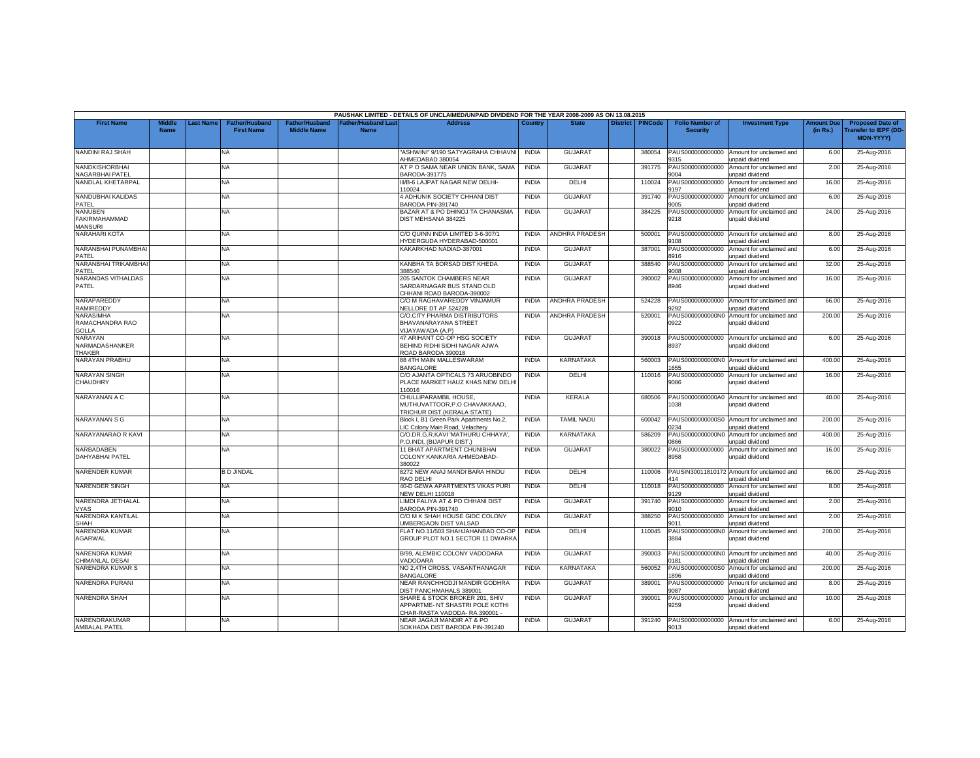|                                                          |                              |          |                                            |                                             |                                   | PAUSHAK LIMITED - DETAILS OF UNCLAIMED/UNPAID DIVIDEND FOR THE YEAR 2008-2009 AS ON 13.08.2015     |              |                       |                 |                |                                           |                                                               |                               |                                                                            |
|----------------------------------------------------------|------------------------------|----------|--------------------------------------------|---------------------------------------------|-----------------------------------|----------------------------------------------------------------------------------------------------|--------------|-----------------------|-----------------|----------------|-------------------------------------------|---------------------------------------------------------------|-------------------------------|----------------------------------------------------------------------------|
| <b>First Name</b>                                        | <b>Middle</b><br><b>Name</b> | ast Name | <b>Father/Husband</b><br><b>First Name</b> | <b>Father/Husband</b><br><b>Middle Name</b> | Father/Husband Las<br><b>Name</b> | <b>Address</b>                                                                                     | Country      | <b>State</b>          | <b>District</b> | <b>PINCode</b> | <b>Folio Number of</b><br><b>Security</b> | <b>Investment Type</b>                                        | <b>Amount Due</b><br>(in Rs.) | <b>Proposed Date of</b><br><b>Transfer to IEPF (DD</b><br><b>MON-YYYY)</b> |
| NANDINI RAJ SHAH                                         |                              |          | <b>NA</b>                                  |                                             |                                   | ASHWINI" 9/190 SATYAGRAHA CHHAVNI<br>AHMEDABAD 380054                                              | <b>INDIA</b> | <b>GUJARAT</b>        |                 | 380054         | PAUS000000000000<br>9315                  | Amount for unclaimed and<br>unpaid dividend                   | 6.00                          | 25-Aug-2016                                                                |
| <b>NANDKISHORBHAI</b><br>NAGARBHAI PATEL                 |                              |          | <b>NA</b>                                  |                                             |                                   | AT P O SAMA NEAR UNION BANK, SAMA<br>BARODA-391775                                                 | <b>INDIA</b> | <b>GUJARAT</b>        |                 | 391775         | PAUS000000000000<br>004                   | Amount for unclaimed and<br>unpaid dividend                   | 2.00                          | 25-Aug-2016                                                                |
| NANDLAL KHETARPAL                                        |                              |          | <b>NA</b>                                  |                                             |                                   | III/B-6 LAJPAT NAGAR NEW DELHI-<br>10024                                                           | <b>INDIA</b> | DELHI                 |                 | 110024         | PAUS000000000000<br>9197                  | Amount for unclaimed and<br>unpaid dividend                   | 16.00                         | 25-Aug-2016                                                                |
| NANDUBHAI KALIDAS<br>PATEL                               |                              |          | NA                                         |                                             |                                   | 4 ADHUNIK SOCIETY CHHANI DIST<br>BARODA PIN-391740                                                 | <b>INDIA</b> | <b>GUJARAT</b>        |                 | 391740         | PAUS000000000000<br>9005                  | Amount for unclaimed and<br>unpaid dividend                   | 6.00                          | 25-Aug-2016                                                                |
| <b>NANUBEN</b><br><b>FAKIRMAHAMMAD</b><br><b>MANSURI</b> |                              |          | NA.                                        |                                             |                                   | BAZAR AT & PO DHINOJ TA CHANASMA<br>DIST MEHSANA 384225                                            | <b>INDIA</b> | <b>GUJARAT</b>        |                 | 384225         | PAUS000000000000<br>9218                  | Amount for unclaimed and<br>unpaid dividend                   | 24.00                         | 25-Aug-2016                                                                |
| NARAHARI KOTA                                            |                              |          | <b>NA</b>                                  |                                             |                                   | C/O QUINN INDIA LIMITED 3-6-307/1<br>IYDERGUDA HYDERABAD-500001                                    | <b>INDIA</b> | <b>ANDHRA PRADESH</b> |                 | 500001         | PAUS000000000000<br>9108                  | Amount for unclaimed and<br>unpaid dividend                   | 8.00                          | 25-Aug-2016                                                                |
| NARANBHAI PUNAMBHAI<br>PATEL                             |                              |          | <b>NA</b>                                  |                                             |                                   | KAKARKHAD NADIAD-387001                                                                            | <b>INDIA</b> | <b>GUJARAT</b>        |                 | 387001         | PAUS000000000000<br>8916                  | Amount for unclaimed and<br>unpaid dividend                   | 6.00                          | 25-Aug-2016                                                                |
| NARANBHAI TRIKAMBHAI<br>PATEL                            |                              |          | NA                                         |                                             |                                   | KANBHA TA BORSAD DIST KHEDA<br>388540                                                              | <b>INDIA</b> | <b>GUJARAT</b>        |                 | 388540         | PAUS000000000000<br>008                   | Amount for unclaimed and<br>unpaid dividend                   | 32.00                         | 25-Aug-2016                                                                |
| NARANDAS VITHALDAS<br>PATEL                              |                              |          | <b>NA</b>                                  |                                             |                                   | 205 SANTOK CHAMBERS NEAR<br>SARDARNAGAR BUS STAND OLD<br>CHHANI ROAD BARODA-390002                 | <b>INDIA</b> | <b>GUJARAT</b>        |                 | 390002         | PAUS000000000000<br>8946                  | Amount for unclaimed and<br>unpaid dividend                   | 16.00                         | 25-Aug-2016                                                                |
| NARAPAREDDY<br><b>RAMIREDDY</b>                          |                              |          | <b>NA</b>                                  |                                             |                                   | C/O M RAGHAVAREDDY VINJAMUR<br>NELLORE DT AP 524228                                                | <b>INDIA</b> | ANDHRA PRADESH        |                 | 524228         | PAUS000000000000<br>9292                  | Amount for unclaimed and<br>unpaid dividend                   | 66.00                         | 25-Aug-2016                                                                |
| <b>NARASIMHA</b><br>RAMACHANDRA RAO                      |                              |          | <b>NA</b>                                  |                                             |                                   | C/O.CITY PHARMA DISTRIBUTORS<br>BHAVANARAYANA STREET<br>VIJAYAWADA (A.P)                           | <b>INDIA</b> | <b>ANDHRA PRADESH</b> |                 | 520001         | PAUS0000000000N0<br>0922                  | Amount for unclaimed and<br>unpaid dividend                   | 200.00                        | 25-Aug-2016                                                                |
| <b>GOLLA</b><br>NARAYAN<br>NARMADASHANKER<br>THAKER      |                              |          | NA.                                        |                                             |                                   | 47 ARIHANT CO-OP HSG SOCIETY<br>BEHIND RIDHI SIDHI NAGAR AJWA<br>ROAD BARODA 390018                | <b>INDIA</b> | <b>GUJARAT</b>        |                 | 390018         | PAUS000000000000<br>8937                  | Amount for unclaimed and<br>unpaid dividend                   | 6.00                          | 25-Aug-2016                                                                |
| NARAYAN PRABHU                                           |                              |          | <b>NA</b>                                  |                                             |                                   | 88 4TH MAIN MALLESWARAM<br><b>BANGALORE</b>                                                        | <b>INDIA</b> | <b>KARNATAKA</b>      |                 | 560003         | 655                                       | PAUS0000000000N0 Amount for unclaimed and<br>unpaid dividend  | 400.00                        | 25-Aug-2016                                                                |
| <b>NARAYAN SINGH</b><br><b>CHAUDHRY</b>                  |                              |          | <b>NA</b>                                  |                                             |                                   | C/O AJANTA OPTICALS 73 ARUOBINDO<br>PLACE MARKET HAUZ KHAS NEW DELH<br>10016                       | <b>INDIA</b> | DELHI                 |                 | 110016         | PAUS000000000000<br>9086                  | Amount for unclaimed and<br>unpaid dividend                   | 16.00                         | 25-Aug-2016                                                                |
| NARAYANAN A C                                            |                              |          | NA                                         |                                             |                                   | CHULLIPARAMBIL HOUSE.<br>MUTHUVATTOOR, P.O CHAVAKKAAD,<br>TRICHUR DIST.(KERALA STATE)              | <b>INDIA</b> | <b>KERALA</b>         |                 | 680506         | PAUS0000000000A0<br>1038                  | Amount for unclaimed and<br>unpaid dividend                   | 40.00                         | 25-Aug-2016                                                                |
| NARAYANAN S G                                            |                              |          | NA.                                        |                                             |                                   | Block I, B1 Green Park Apartments No.2,<br>IC Colony Main Road, Velachery                          | <b>INDIA</b> | <b>TAMIL NADU</b>     |                 | 600042         | PAUS0000000000S0<br>)234                  | Amount for unclaimed and<br>unpaid dividend                   | 200.00                        | 25-Aug-2016                                                                |
| NARAYANARAO R KAVI                                       |                              |          | <b>NA</b>                                  |                                             |                                   | C/O.DR.G.R.KAVI 'MATHURU CHHAYA'.<br>P.O.INDI, (BIJAPUR DIST.)                                     | <b>INDIA</b> | <b>KARNATAKA</b>      |                 | 586209         | 866                                       | PAUS0000000000N0 Amount for unclaimed and<br>unpaid dividend  | 400.00                        | 25-Aug-2016                                                                |
| NARBADABEN<br>DAHYABHAI PATEL                            |                              |          | <b>NA</b>                                  |                                             |                                   | 11 BHAT APARTMENT CHUNIBHAI<br>COLONY KANKARIA AHMEDABAD-<br>380022                                | <b>INDIA</b> | <b>GUJARAT</b>        |                 | 380022         | PAUS000000000000<br>8958                  | Amount for unclaimed and<br>unpaid dividend                   | 16.00                         | 25-Aug-2016                                                                |
| NARENDER KUMAR                                           |                              |          | <b>B D JINDAL</b>                          |                                             |                                   | 8272 NEW ANAJ MANDI BARA HINDU<br>RAO DELHI                                                        | <b>INDIA</b> | DELHI                 |                 | 110006         | 414                                       | PAUSIN30011810172 Amount for unclaimed and<br>unpaid dividend | 66.00                         | 25-Aug-2016                                                                |
| <b>NARENDER SINGH</b>                                    |                              |          | NA                                         |                                             |                                   | 40-D GEWA APARTMENTS VIKAS PURI<br><b>NEW DELHI 110018</b>                                         | <b>INDIA</b> | DELHI                 |                 | 110018         | PAUS000000000000<br>129                   | Amount for unclaimed and<br><b>Inpaid dividend</b>            | 8.00                          | 25-Aug-2016                                                                |
| NARENDRA JETHALAL<br><b>VYAS</b>                         |                              |          | NA                                         |                                             |                                   | LIMDI FALIYA AT & PO CHHANI DIST<br>BARODA PIN-391740                                              | <b>INDIA</b> | <b>GUJARAT</b>        |                 | 391740         | PAUS000000000000<br>9010                  | Amount for unclaimed and<br>unpaid dividend                   | 2.00                          | 25-Aug-2016                                                                |
| NARENDRA KANTILAL<br><b>SHAH</b>                         |                              |          | <b>NA</b>                                  |                                             |                                   | C/O M K SHAH HOUSE GIDC COLONY<br><b>JMBERGAON DIST VALSAD</b>                                     | <b>INDIA</b> | <b>GUJARAT</b>        |                 | 388250         | PAUS000000000000<br>9011                  | Amount for unclaimed and<br>unpaid dividend                   | 2.00                          | 25-Aug-2016                                                                |
| NARENDRA KUMAR<br>AGARWAL                                |                              |          | NA.                                        |                                             |                                   | FLAT NO.11/503 SHAHJAHANBAD CO-OP<br>GROUP PLOT NO.1 SECTOR 11 DWARKA                              | <b>INDIA</b> | DELHI                 |                 | 110045         | PAUS0000000000N0<br>3884                  | Amount for unclaimed and<br>unpaid dividend                   | 200.00                        | 25-Aug-2016                                                                |
| NARENDRA KUMAR<br>CHIMANLAL DESAI                        |                              |          | <b>NA</b>                                  |                                             |                                   | B/99, ALEMBIC COLONY VADODARA<br>/ADODARA                                                          | <b>INDIA</b> | <b>GUJARAT</b>        |                 | 390003         | 0181                                      | PAUS0000000000N0 Amount for unclaimed and<br>unpaid dividend  | 40.00                         | 25-Aug-2016                                                                |
| NARENDRA KUMAR S                                         |                              |          | NA                                         |                                             |                                   | NO 2,4TH CROSS, VASANTHANAGAR<br><b>BANGALORE</b>                                                  | <b>INDIA</b> | <b>KARNATAKA</b>      |                 | 560052         | PAUS0000000000S0<br>1896                  | Amount for unclaimed and<br>unpaid dividend                   | 200.00                        | 25-Aug-2016                                                                |
| <b>NARENDRA PURANI</b>                                   |                              |          | NA.                                        |                                             |                                   | NEAR RANCHHODJI MANDIR GODHRA<br>DIST PANCHMAHALS 389001                                           | <b>INDIA</b> | <b>GUJARAT</b>        |                 | 389001         | AUS000000000000<br>9087                   | Amount for unclaimed and<br>unpaid dividend                   | 8.00                          | 25-Aug-2016                                                                |
| <b>NARENDRA SHAH</b>                                     |                              |          | <b>NA</b>                                  |                                             |                                   | SHARE & STOCK BROKER 201, SHIV<br>APPARTME- NT SHASTRI POLE KOTHI<br>CHAR-RASTA VADODA-RA 390001 - | <b>INDIA</b> | <b>GUJARAT</b>        |                 | 390001         | PAUS000000000000<br>9259                  | Amount for unclaimed and<br>unpaid dividend                   | 10.00                         | 25-Aug-2016                                                                |
| NARENDRAKUMAR<br>AMBALAL PATEL                           |                              |          | <b>NA</b>                                  |                                             |                                   | NEAR JAGAJI MANDIR AT & PO<br>SOKHADA DIST BARODA PIN-391240                                       | <b>INDIA</b> | <b>GUJARAT</b>        |                 | 391240         | PAUS000000000000<br>9013                  | Amount for unclaimed and<br>unpaid dividend                   | 6.00                          | 25-Aug-2016                                                                |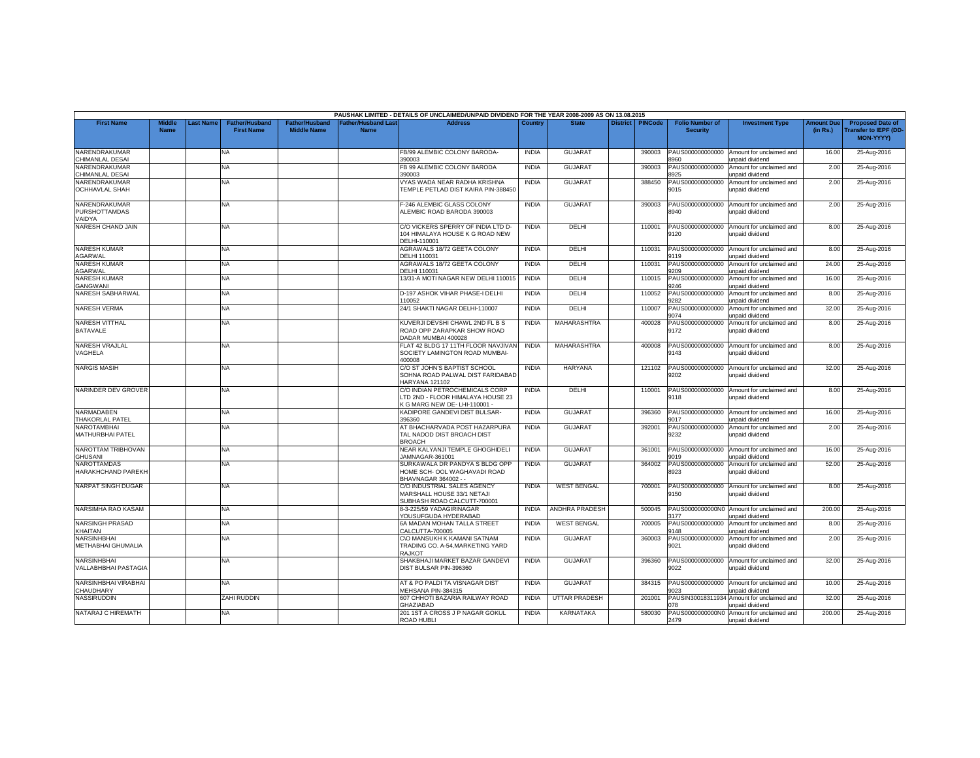|                                                 |                              |          |                                            |                                             |                                   | PAUSHAK LIMITED - DETAILS OF UNCLAIMED/UNPAID DIVIDEND FOR THE YEAR 2008-2009 AS ON 13.08.2015    |              |                       |                 |                |                                           |                                                              |                               |                                                                            |
|-------------------------------------------------|------------------------------|----------|--------------------------------------------|---------------------------------------------|-----------------------------------|---------------------------------------------------------------------------------------------------|--------------|-----------------------|-----------------|----------------|-------------------------------------------|--------------------------------------------------------------|-------------------------------|----------------------------------------------------------------------------|
| <b>First Name</b>                               | <b>Middle</b><br><b>Name</b> | ast Name | <b>Father/Husband</b><br><b>First Name</b> | <b>Father/Husband</b><br><b>Middle Name</b> | Father/Husband Las<br><b>Name</b> | <b>Address</b>                                                                                    | Country      | <b>State</b>          | <b>District</b> | <b>PINCode</b> | <b>Folio Number of</b><br><b>Security</b> | <b>Investment Type</b>                                       | <b>Amount Due</b><br>(in Rs.) | <b>Proposed Date of</b><br><b>Transfer to IEPF (DD</b><br><b>MON-YYYY)</b> |
| NARENDRAKUMAR<br><b>CHIMANLAL DESAI</b>         |                              |          | NA                                         |                                             |                                   | FB/99 ALEMBIC COLONY BARODA-<br>390003                                                            | <b>INDIA</b> | <b>GUJARAT</b>        |                 | 390003         | PAUS000000000000<br>960                   | Amount for unclaimed and<br>unpaid dividend                  | 16.00                         | 25-Aug-2016                                                                |
| NARENDRAKUMAR<br>CHIMANLAL DESAI                |                              |          | <b>NA</b>                                  |                                             |                                   | B 99 ALEMBIC COLONY BARODA<br>390003                                                              | <b>INDIA</b> | <b>GUJARAT</b>        |                 | 390003         | PAUS000000000000<br>3925                  | Amount for unclaimed and<br>unpaid dividend                  | 2.00                          | 25-Aug-2016                                                                |
| NARENDRAKUMAR<br><b>OCHHAVLAL SHAH</b>          |                              |          | <b>NA</b>                                  |                                             |                                   | VYAS WADA NEAR RADHA KRISHNA<br>TEMPLE PETLAD DIST KAIRA PIN-388450                               | <b>INDIA</b> | <b>GUJARAT</b>        |                 | 388450         | PAUS000000000000<br>9015                  | Amount for unclaimed and<br>unpaid dividend                  | 2.00                          | 25-Aug-2016                                                                |
| NARENDRAKUMAR<br><b>PURSHOTTAMDAS</b><br>/AIDYA |                              |          | <b>NA</b>                                  |                                             |                                   | -246 ALEMBIC GLASS COLONY<br>ALEMBIC ROAD BARODA 390003                                           | <b>INDIA</b> | <b>GUJARAT</b>        |                 | 390003         | PAUS000000000000<br>8940                  | Amount for unclaimed and<br>unpaid dividend                  | 2.00                          | 25-Aug-2016                                                                |
| NARESH CHAND JAIN                               |                              |          | <b>NA</b>                                  |                                             |                                   | C/O VICKERS SPERRY OF INDIA LTD D-<br>104 HIMALAYA HOUSE K G ROAD NEW<br>DELHI-110001             | <b>INDIA</b> | DELHI                 |                 | 110001         | PAUS000000000000<br>9120                  | Amount for unclaimed and<br>unpaid dividend                  | 8.00                          | 25-Aug-2016                                                                |
| <b>NARESH KUMAR</b><br>AGARWAL                  |                              |          | <b>NA</b>                                  |                                             |                                   | AGRAWALS 18/72 GEETA COLONY<br>DELHI 110031                                                       | <b>INDIA</b> | DELHI                 |                 | 110031         | PAUS000000000000<br>9119                  | Amount for unclaimed and<br>unpaid dividend                  | 8.00                          | 25-Aug-2016                                                                |
| NARESH KUMAR<br>AGARWAL                         |                              |          | <b>NA</b>                                  |                                             |                                   | AGRAWALS 18/72 GEETA COLONY<br>DELHI 110031                                                       | <b>INDIA</b> | DELHI                 |                 | 110031         | PAUS000000000000<br>9209                  | Amount for unclaimed and<br>unpaid dividend                  | 24.00                         | 25-Aug-2016                                                                |
| <b>NARESH KUMAR</b><br><b>GANGWANI</b>          |                              |          | NA.                                        |                                             |                                   | 13/31-A MOTI NAGAR NEW DELHI 110015                                                               | <b>INDIA</b> | <b>DELHI</b>          |                 | 110015         | PAUS000000000000<br>3246                  | Amount for unclaimed and<br>unpaid dividend                  | 16.00                         | 25-Aug-2016                                                                |
| NARESH SABHARWAL                                |                              |          | <b>NA</b>                                  |                                             |                                   | D-197 ASHOK VIHAR PHASE-I DELHI<br>110052                                                         | <b>INDIA</b> | <b>DELHI</b>          |                 | 110052         | PAUS000000000000<br>1282                  | Amount for unclaimed and<br>unpaid dividend                  | 8.00                          | 25-Aug-2016                                                                |
| <b>NARESH VERMA</b>                             |                              |          | <b>NA</b>                                  |                                             |                                   | 24/1 SHAKTI NAGAR DELHI-110007                                                                    | <b>INDIA</b> | DELHI                 |                 | 110007         | PAUS000000000000<br>9074                  | Amount for unclaimed and<br>unpaid dividend                  | 32.00                         | 25-Aug-2016                                                                |
| <b>NARESH VITTHAL</b><br>BATAVALE               |                              |          | <b>NA</b>                                  |                                             |                                   | KUVERJI DEVSHI CHAWL 2ND FL B S<br>ROAD OPP ZARAPKAR SHOW ROAD<br>DADAR MUMBAI 400028             | <b>INDIA</b> | MAHARASHTRA           |                 | 400028         | PAUS000000000000<br>9172                  | Amount for unclaimed and<br>unpaid dividend                  | 8.00                          | 25-Aug-2016                                                                |
| NARESH VRAJLAL<br>VAGHELA                       |                              |          | NA.                                        |                                             |                                   | FLAT 42 BLDG 17 11TH FLOOR NAVJIVAN<br>SOCIETY LAMINGTON ROAD MUMBAI-<br>400008                   | <b>INDIA</b> | MAHARASHTRA           |                 | 400008         | PAUS000000000000<br>9143                  | Amount for unclaimed and<br>unpaid dividend                  | 8.00                          | 25-Aug-2016                                                                |
| <b>NARGIS MASIH</b>                             |                              |          | NA.                                        |                                             |                                   | C/O ST JOHN'S BAPTIST SCHOOL<br>SOHNA ROAD PALWAL DIST FARIDABAD<br><b>HARYANA 121102</b>         | <b>INDIA</b> | HARYANA               |                 | 121102         | PAUS000000000000<br>3202                  | Amount for unclaimed and<br>unpaid dividend                  | 32.00                         | 25-Aug-2016                                                                |
| NARINDER DEV GROVER                             |                              |          | <b>NA</b>                                  |                                             |                                   | C/O INDIAN PETROCHEMICALS CORP<br>LTD 2ND - FLOOR HIMALAYA HOUSE 23<br>G MARG NEW DE-LHI-110001 - | <b>INDIA</b> | DELHI                 |                 | 110001         | PAUS000000000000<br>9118                  | Amount for unclaimed and<br>unpaid dividend                  | 8.00                          | 25-Aug-2016                                                                |
| NARMADABEN<br><b>THAKORLAL PATEL</b>            |                              |          | <b>NA</b>                                  |                                             |                                   | KADIPORE GANDEVI DIST BULSAR-<br>396360                                                           | <b>INDIA</b> | <b>GUJARAT</b>        |                 | 396360         | PAUS000000000000<br>9017                  | Amount for unclaimed and<br>inpaid dividend                  | 16.00                         | 25-Aug-2016                                                                |
| NAROTAMBHAI<br>MATHURBHAI PATEL                 |                              |          | NA.                                        |                                             |                                   | AT BHACHARVADA POST HAZARPURA<br>TAL NADOD DIST BROACH DIST<br><b>BROACH</b>                      | <b>INDIA</b> | GUJARAT               |                 | 392001         | PAUS000000000000<br>9232                  | Amount for unclaimed and<br>unpaid dividend                  | 2.00                          | 25-Aug-2016                                                                |
| NAROTTAM TRIBHOVAN<br>GHUSANI                   |                              |          | NA.                                        |                                             |                                   | NEAR KALYANJI TEMPLE GHOGHIDELI<br>JAMNAGAR-361001                                                | <b>INDIA</b> | <b>GUJARAT</b>        |                 | 361001         | PAUS000000000000<br>9019                  | Amount for unclaimed and<br>unpaid dividend                  | 16.00                         | 25-Aug-2016                                                                |
| NAROTTAMDAS<br>HARAKHCHAND PAREKH               |                              |          | NA.                                        |                                             |                                   | SURKAWALA DR PANDYA S BLDG OPP<br>HOME SCH- OOL WAGHAVADI ROAD<br>BHAVNAGAR 364002 - -            | <b>INDIA</b> | <b>GUJARAT</b>        |                 | 364002         | PAUS000000000000<br>8923                  | Amount for unclaimed and<br>unpaid dividend                  | 52.00                         | 25-Aug-2016                                                                |
| <b>NARPAT SINGH DUGAR</b>                       |                              |          | <b>NA</b>                                  |                                             |                                   | C/O INDUSTRIAL SALES AGENCY<br>MARSHALL HOUSE 33/1 NETAJI<br>SUBHASH ROAD CALCUTT-700001          | <b>INDIA</b> | <b>WEST BENGAL</b>    |                 | 700001         | PAUS000000000000<br>9150                  | Amount for unclaimed and<br>unpaid dividend                  | 8.00                          | 25-Aug-2016                                                                |
| NARSIMHA RAO KASAM                              |                              |          | <b>NA</b>                                  |                                             |                                   | 8-3-225/59 YADAGIRINAGAR<br>YOUSUFGUDA HYDERABAD                                                  | <b>INDIA</b> | <b>ANDHRA PRADESH</b> |                 | 500045         | 177                                       | PAUS0000000000N0 Amount for unclaimed and<br>unpaid dividend | 200.00                        | 25-Aug-2016                                                                |
| <b>NARSINGH PRASAD</b><br><b>KHAITAN</b>        |                              |          | <b>NA</b>                                  |                                             |                                   | 6A MADAN MOHAN TALLA STREET<br>CALCUTTA-700005                                                    | <b>INDIA</b> | <b>WEST BENGAL</b>    |                 | 700005         | PAUS000000000000<br>9148                  | Amount for unclaimed and<br>unpaid dividend                  | 8.00                          | 25-Aug-2016                                                                |
| NARSINHBHAI<br>METHABHAI GHUMALIA               |                              |          | <b>NA</b>                                  |                                             |                                   | C\O MANSUKH K KAMANI SATNAM<br>TRADING CO. A-54, MARKETING YARD<br>RAJKOT                         | <b>INDIA</b> | <b>GUJARAT</b>        |                 | 360003         | PAUS000000000000<br>9021                  | Amount for unclaimed and<br>unpaid dividend                  | 2.00                          | 25-Aug-2016                                                                |
| NARSINHBHAI<br><b>VALLABHBHAI PASTAGIA</b>      |                              |          | NA                                         |                                             |                                   | SHAKBHAJI MARKET BAZAR GANDEVI<br>DIST BULSAR PIN-396360                                          | <b>INDIA</b> | <b>GUJARA1</b>        |                 | 396360         | PAUS000000000000<br>9022                  | Amount for unclaimed and<br>unpaid dividend                  | 32.00                         | 25-Aug-2016                                                                |
| NARSINHBHAI VIRABHAI<br>CHAUDHARY               |                              |          | NA                                         |                                             |                                   | AT & PO PALDI TA VISNAGAR DIST<br>MEHSANA PIN-384315                                              | <b>INDIA</b> | <b>GUJARAT</b>        |                 | 384315         | PAUS000000000000<br>023                   | Amount for unclaimed and<br>unpaid dividend                  | 10.00                         | 25-Aug-2016                                                                |
| NASSIRUDDIN                                     |                              |          | <b>ZAHI RUDDIN</b>                         |                                             |                                   | 607 CHHOTI BAZARIA RAILWAY ROAD<br><b>GHAZIABAD</b>                                               | <b>INDIA</b> | <b>UTTAR PRADESH</b>  |                 | 201001         | PAUSIN3001831193-<br>178                  | Amount for unclaimed and<br>unpaid dividend                  | 32.00                         | 25-Aug-2016                                                                |
| NATARAJ C HIREMATH                              |                              |          | <b>NA</b>                                  |                                             |                                   | 201 1ST A CROSS J P NAGAR GOKUL<br>ROAD HUBLI                                                     | <b>INDIA</b> | KARNATAKA             |                 | 580030         | 2479                                      | PAUS0000000000N0 Amount for unclaimed and<br>unpaid dividend | 200.00                        | 25-Aug-2016                                                                |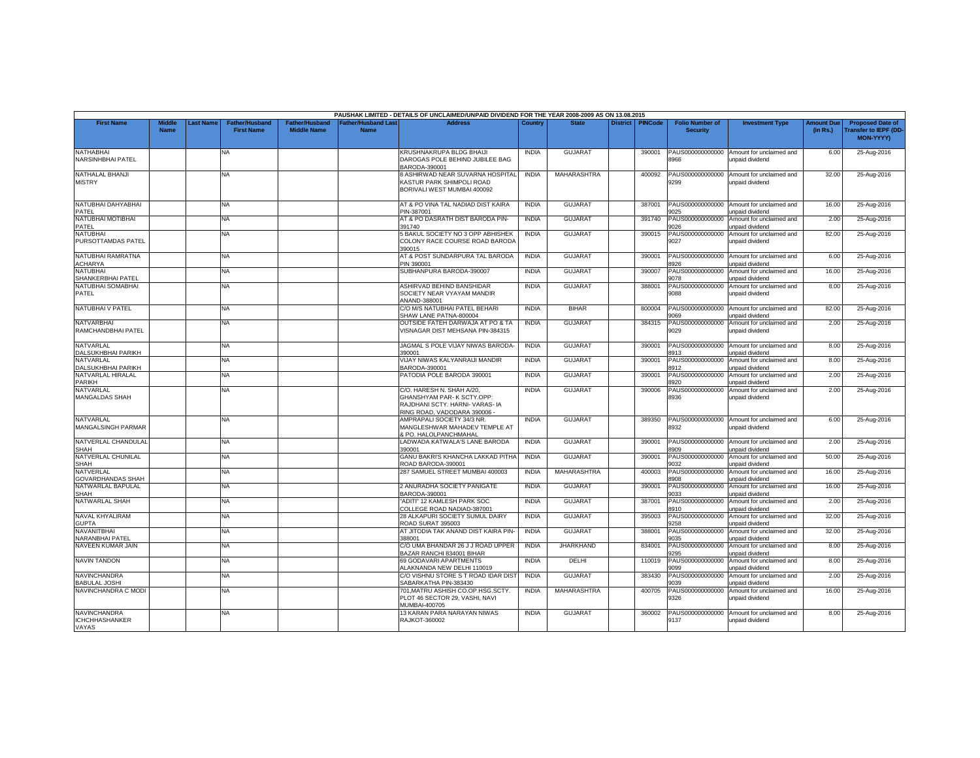|                                                |                              |          |                                            |                                             |                                           | PAUSHAK LIMITED - DETAILS OF UNCLAIMED/UNPAID DIVIDEND FOR THE YEAR 2008-2009 AS ON 13.08.2015                            |                              |                                  |                 |                  |                                              |                                                                         |                               |                                                                     |
|------------------------------------------------|------------------------------|----------|--------------------------------------------|---------------------------------------------|-------------------------------------------|---------------------------------------------------------------------------------------------------------------------------|------------------------------|----------------------------------|-----------------|------------------|----------------------------------------------|-------------------------------------------------------------------------|-------------------------------|---------------------------------------------------------------------|
| <b>First Name</b>                              | <b>Middle</b><br><b>Name</b> | ast Name | <b>Father/Husband</b><br><b>First Name</b> | <b>Father/Husband</b><br><b>Middle Name</b> | <b>Father/Husband Last</b><br><b>Name</b> | <b>Address</b>                                                                                                            | Country                      | <b>State</b>                     | <b>District</b> | <b>PINCode</b>   | <b>Folio Number of</b><br><b>Security</b>    | <b>Investment Type</b>                                                  | <b>Amount Due</b><br>(in Rs.) | <b>Proposed Date of</b><br>ransfer to IEPF (DD-<br><b>MON-YYYY)</b> |
| NATHABHAI<br>NARSINHBHAI PATEL                 |                              |          | <b>NA</b>                                  |                                             |                                           | KRUSHNAKRUPA BLDG BHAIJI<br>DAROGAS POLE BEHIND JUBILEE BAG<br>BARODA-390001                                              | <b>INDIA</b>                 | <b>GUJARAT</b>                   |                 | 390001           | PAUS000000000000<br>8966                     | Amount for unclaimed and<br>unpaid dividend                             | 6.00                          | 25-Aug-2016                                                         |
| NATHALAL BHANJI<br><b>MISTRY</b>               |                              |          | NA                                         |                                             |                                           | <b>8 ASHIRWAD NEAR SUVARNA HOSPITAL</b><br>KASTUR PARK SHIMPOLI ROAD<br>BORIVALI WEST MUMBAI 400092                       | <b>INDIA</b>                 | <b>MAHARASHTRA</b>               |                 | 400092           | 9299                                         | PAUS000000000000 Amount for unclaimed and<br>unpaid dividend            | 32.00                         | 25-Aug-2016                                                         |
| NATUBHAI DAHYABHAI<br>PATEL                    |                              |          | NA.                                        |                                             |                                           | AT & PO VINA TAL NADIAD DIST KAIRA<br>PIN-387001                                                                          | <b>INDIA</b>                 | <b>GUJARAT</b>                   |                 | 387001           | 9025                                         | PAUS000000000000 Amount for unclaimed and<br>unpaid dividend            | 16.00                         | 25-Aug-2016                                                         |
| NATUBHAI MOTIBHAI<br>PATEL                     |                              |          | <b>NA</b>                                  |                                             |                                           | AT & PO DASRATH DIST BARODA PIN-<br>391740                                                                                | <b>INDIA</b>                 | <b>GUJARAT</b>                   |                 | 391740           | 1026                                         | PAUS000000000000 Amount for unclaimed and<br>inpaid dividend            | 2.00                          | 25-Aug-2016                                                         |
| <b>NATUBHAI</b><br>PURSOTTAMDAS PATEL          |                              |          | NA                                         |                                             |                                           | 5 BAKUL SOCIETY NO 3 OPP ABHISHEK<br>COLONY RACE COURSE ROAD BARODA<br>390015                                             | <b>INDIA</b>                 | <b>GUJARAT</b>                   |                 | 390015           | AUS000000000000<br>9027                      | Amount for unclaimed and<br>unpaid dividend                             | 82.00                         | 25-Aug-2016                                                         |
| NATUBHAI RAMRATNA<br><b>ACHARYA</b>            |                              |          | NA.                                        |                                             |                                           | AT & POST SUNDARPURA TAL BARODA<br>PIN 390001                                                                             | <b>INDIA</b>                 | <b>GUJARAT</b>                   |                 | 390001           | PAUS000000000000<br>8926                     | Amount for unclaimed and<br>unpaid dividend                             | 6.00                          | 25-Aug-2016                                                         |
| <b>NATUBHAI</b><br>SHANKERBHAI PATEL           |                              |          | <b>NA</b>                                  |                                             |                                           | SUBHANPURA BARODA-390007                                                                                                  | <b>INDIA</b>                 | <b>GUJARAT</b>                   |                 | 390007           | PAUS000000000000<br>9078                     | Amount for unclaimed and<br>unpaid dividend                             | 16.00                         | 25-Aug-2016                                                         |
| NATUBHAI SOMABHAI<br>PATEL                     |                              |          | NA                                         |                                             |                                           | ASHIRVAD BEHIND BANSHIDAR<br>SOCIETY NEAR VYAYAM MANDIR<br>ANAND-388001                                                   | <b>INDIA</b>                 | <b>GUJARAT</b>                   |                 | 388001           | PAUS000000000000<br>9088                     | Amount for unclaimed and<br>unpaid dividend                             | 8.00                          | 25-Aug-2016                                                         |
| NATUBHAI V PATEL                               |                              |          | NA.                                        |                                             |                                           | C/O M/S NATUBHAI PATEL BEHARI<br>SHAW LANE PATNA-800004                                                                   | <b>INDIA</b>                 | <b>BIHAR</b>                     |                 | 800004           | 9069                                         | PAUS000000000000 Amount for unclaimed and<br>unpaid dividend            | 82.00                         | 25-Aug-2016                                                         |
| <b>NATVARBHAI</b><br>RAMCHANDBHAI PATEL        |                              |          | <b>NA</b>                                  |                                             |                                           | OUTSIDE FATEH DARWAJA AT PO & TA<br>VISNAGAR DIST MEHSANA PIN-384315                                                      | <b>INDIA</b>                 | <b>GUJARAT</b>                   |                 | 384315           | 9029                                         | PAUS000000000000 Amount for unclaimed and<br>unpaid dividend            | 2.00                          | 25-Aug-2016                                                         |
| NATVARLAL<br>DALSUKHBHAI PARIKH                |                              |          | NA                                         |                                             |                                           | JAGMAL S POLE VIJAY NIWAS BARODA-<br>390001                                                                               | <b>INDIA</b>                 | <b>GUJARAT</b>                   |                 | 390001           | PAUS000000000000<br>8913                     | Amount for unclaimed and<br>unpaid dividend                             | 8.00                          | 25-Aug-2016                                                         |
| NATVARLAL<br>DALSUKHBHAI PARIKH                |                              |          | <b>NA</b>                                  |                                             |                                           | VIJAY NIWAS KALYANRAIJI MANDIR<br>BARODA-390001                                                                           | <b>INDIA</b>                 | <b>GUJARAT</b>                   |                 | 390001           | PAUS000000000000<br>8912                     | Amount for unclaimed and<br>unpaid dividend                             | 8.00                          | 25-Aug-2016                                                         |
| NATVARLAL HIRALAL<br><b>PARIKH</b>             |                              |          | NA                                         |                                             |                                           | PATODIA POLE BARODA 390001                                                                                                | <b>INDIA</b>                 | <b>GUJARAT</b>                   |                 | 390001           | PAUS000000000000<br>3920                     | Amount for unclaimed and<br>unpaid dividend                             | 2.00                          | 25-Aug-2016                                                         |
| NATVARLAL<br>MANGALDAS SHAH                    |                              |          | NA.                                        |                                             |                                           | C/O. HARESH N. SHAH A/20.<br>GHANSHYAM PAR-K SCTY.OPP:<br>RAJDHANI SCTY. HARNI- VARAS- IA<br>RING ROAD, VADODARA 390006 - | <b>INDIA</b>                 | <b>GUJARAT</b>                   |                 | 390006           | PAUS000000000000<br>8936                     | Amount for unclaimed and<br>unpaid dividend                             | 2.00                          | 25-Aug-2016                                                         |
| NATVARLAL<br>MANGALSINGH PARMAR                |                              |          | NA.                                        |                                             |                                           | AMPRAPALI SOCIETY 34/3 NR.<br>MANGLESHWAR MAHADEV TEMPLE AT<br>& PO. HALOLPANCHMAHAL                                      | <b>INDIA</b>                 | <b>GUJARAT</b>                   |                 | 389350           | PAUS000000000000<br>8932                     | Amount for unclaimed and<br>unpaid dividend                             | 6.00                          | 25-Aug-2016                                                         |
| NATVERLAL CHANDULAL<br><b>SHAH</b>             |                              |          | NA.                                        |                                             |                                           | LADWADA KATWALA'S LANE BARODA<br>390001                                                                                   | <b>INDIA</b>                 | <b>GUJARAT</b>                   |                 | 390001           | 9909                                         | PAUS000000000000 Amount for unclaimed and<br>unpaid dividend            | 2.00                          | 25-Aug-2016                                                         |
| NATVERLAL CHUNILAL<br><b>SHAH</b>              |                              |          | <b>NA</b>                                  |                                             |                                           | GANU BAKRI'S KHANCHA LAKKAD PITHA<br>ROAD BARODA-390001                                                                   | <b>INDIA</b>                 | <b>GUJARAT</b>                   |                 | 390001           | PAUS000000000000<br>9032                     | Amount for unclaimed and<br>unpaid dividend                             | 50.00                         | 25-Aug-2016                                                         |
| NATVERLAL<br><b>GOVARDHANDAS SHAH</b>          |                              |          | NA.                                        |                                             |                                           | 287 SAMUEL STREET MUMBAI 400003                                                                                           | <b>INDIA</b>                 | MAHARASHTRA                      |                 | 400003           | PAUS000000000000<br>3908                     | Amount for unclaimed and<br>unpaid dividend                             | 16.00                         | 25-Aug-2016                                                         |
| NATWARLAL BAPULAL<br><b>SHAH</b>               |                              |          | <b>NA</b>                                  |                                             |                                           | 2 ANURADHA SOCIETY PANIGATE<br>BARODA-390001                                                                              | <b>INDIA</b>                 | <b>GUJARAT</b>                   |                 | 390001           | PAUS000000000000<br>9033                     | Amount for unclaimed and<br>inpaid dividend                             | 16.00                         | 25-Aug-2016                                                         |
| NATWARLAL SHAH<br>NAVAL KHYALIRAM              |                              |          | NA<br>NA                                   |                                             |                                           | 'ADITI" 12 KAMLESH PARK SOC<br>COLLEGE ROAD NADIAD-387001<br>28 ALKAPURI SOCIETY SUMUL DAIRY                              | <b>INDIA</b><br><b>INDIA</b> | <b>GUJARAT</b><br><b>GUJARAT</b> |                 | 387001<br>395003 | PAUS000000000000<br>3910<br>PAUS000000000000 | Amount for unclaimed and<br>unpaid dividend<br>Amount for unclaimed and | 2.00<br>32.00                 | 25-Aug-2016<br>25-Aug-2016                                          |
| <b>GUPTA</b><br><b>NAVANITBHAI</b>             |                              |          | <b>NA</b>                                  |                                             |                                           | ROAD SURAT 395003<br>AT JITODIA TAK ANAND DIST KAIRA PIN-                                                                 | <b>INDIA</b>                 | <b>GUJARAT</b>                   |                 | 388001           | 1258<br>PAUS000000000000                     | unpaid dividend<br>Amount for unclaimed and                             | 32.00                         | 25-Aug-2016                                                         |
| NARANBHAI PATEL<br>NAVEEN KUMAR JAIN           |                              |          | <b>NA</b>                                  |                                             |                                           | 388001<br>C/O UMA BHANDAR 26 J J ROAD UPPER                                                                               | <b>INDIA</b>                 | <b>JHARKHAND</b>                 |                 | 834001           | 9035<br>PAUS000000000000                     | <b>Inpaid dividend</b><br>Amount for unclaimed and                      | 8.00                          | 25-Aug-2016                                                         |
| <b>NAVIN TANDON</b>                            |                              |          | NA                                         |                                             |                                           | BAZAR RANCHI 834001 BIHAR<br>69 GODAVARI APARTMENTS                                                                       | <b>INDIA</b>                 | DELHI                            |                 | 110019           | 1295<br>PAUS000000000000                     | unpaid dividend<br>Amount for unclaimed and                             | 8.00                          | 25-Aug-2016                                                         |
| NAVINCHANDRA                                   |                              |          | NA.                                        |                                             |                                           | ALAKNANDA NEW DELHI 110019<br>C/O VISHNU STORE S T ROAD IDAR DIST                                                         | <b>INDIA</b>                 | <b>GUJARAT</b>                   |                 | 383430           | 9099<br>PAUS000000000000                     | unpaid dividend<br>Amount for unclaimed and                             | 2.00                          | 25-Aug-2016                                                         |
| <b>BABULAL JOSHI</b><br>NAVINCHANDRA C MODI    |                              |          | <b>NA</b>                                  |                                             |                                           | SABARKATHA PIN-383430<br>701.MATRU ASHISH CO.OP.HSG.SCTY.                                                                 | <b>INDIA</b>                 | MAHARASHTRA                      |                 | 400705           | 9039<br>PAUS000000000000                     | unpaid dividend<br>Amount for unclaimed and                             | 16.00                         | 25-Aug-2016                                                         |
|                                                |                              |          |                                            |                                             |                                           | PLOT 46 SECTOR 29, VASHI, NAVI<br>MUMBAI-400705                                                                           |                              |                                  |                 |                  | 9326                                         | unpaid dividend                                                         |                               |                                                                     |
| NAVINCHANDRA<br><b>ICHCHHASHANKER</b><br>VAYAS |                              |          | NA                                         |                                             |                                           | 13 KARAN PARA NARAYAN NIWAS<br>RAJKOT-360002                                                                              | <b>INDIA</b>                 | <b>GUJARAT</b>                   |                 | 360002           | 9137                                         | PAUS000000000000 Amount for unclaimed and<br>unpaid dividend            | 8.00                          | 25-Aug-2016                                                         |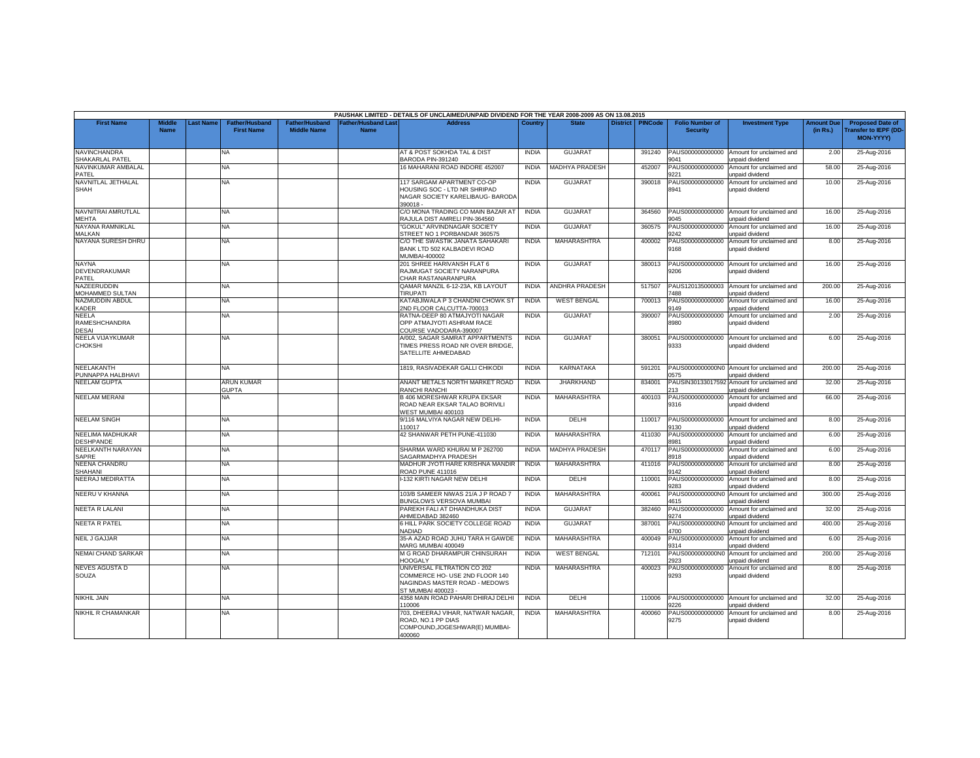|                                               |                              |          |                                            |                                             |                                    | PAUSHAK LIMITED - DETAILS OF UNCLAIMED/UNPAID DIVIDEND FOR THE YEAR 2008-2009 AS ON 13.08.2015                       |              |                       |                 |                |                                           |                                                               |                               |                                                                             |
|-----------------------------------------------|------------------------------|----------|--------------------------------------------|---------------------------------------------|------------------------------------|----------------------------------------------------------------------------------------------------------------------|--------------|-----------------------|-----------------|----------------|-------------------------------------------|---------------------------------------------------------------|-------------------------------|-----------------------------------------------------------------------------|
| <b>First Name</b>                             | <b>Middle</b><br><b>Name</b> | ast Name | <b>Father/Husband</b><br><b>First Name</b> | <b>Father/Husband</b><br><b>Middle Name</b> | <b>Father/Husband Last</b><br>Name | <b>Address</b>                                                                                                       | Country      | <b>State</b>          | <b>District</b> | <b>PINCode</b> | <b>Folio Number of</b><br><b>Security</b> | <b>Investment Type</b>                                        | <b>Amount Due</b><br>(in Rs.) | <b>Proposed Date of</b><br><b>Transfer to IEPF (DD-</b><br><b>MON-YYYY)</b> |
| NAVINCHANDRA<br>SHAKARLAL PATEL               |                              |          | NA.                                        |                                             |                                    | AT & POST SOKHDA TAL & DIST<br>BARODA PIN-391240                                                                     | <b>INDIA</b> | <b>GUJARAT</b>        |                 | 391240         | PAUS000000000000<br>9041                  | Amount for unclaimed and<br>unpaid dividend                   | 2.00                          | 25-Aug-2016                                                                 |
| NAVINKUMAR AMBALAL<br>PATEL                   |                              |          | NA                                         |                                             |                                    | 16 MAHARANI ROAD INDORE 452007                                                                                       | <b>INDIA</b> | MADHYA PRADESH        |                 | 452007         | PAUS000000000000<br>9221                  | Amount for unclaimed and<br>inpaid dividend                   | 58.00                         | 25-Aug-2016                                                                 |
| NAVNITLAL JETHALAL<br><b>SHAH</b>             |                              |          | NA.                                        |                                             |                                    | 117 SARGAM APARTMENT CO-OP<br>HOUSING SOC - LTD NR SHRIPAD<br>NAGAR SOCIETY KARELIBAUG- BARODA<br>390018 -           | <b>INDIA</b> | <b>GUJARAT</b>        |                 | 390018         | PAUS000000000000<br>8941                  | Amount for unclaimed and<br>unpaid dividend                   | 10.00                         | 25-Aug-2016                                                                 |
| NAVNITRAI AMRUTLAL<br><b>MEHTA</b>            |                              |          | NA                                         |                                             |                                    | C/O MONA TRADING CO MAIN BAZAR AT<br>RAJULA DIST AMRELI PIN-364560                                                   | <b>INDIA</b> | <b>GUJARAT</b>        |                 | 364560         | 9045                                      | PAUS000000000000 Amount for unclaimed and<br>unpaid dividend  | 16.00                         | 25-Aug-2016                                                                 |
| NAYANA RAMNIKLAL<br>MALKAN                    |                              |          | NA                                         |                                             |                                    | "GOKUL" ARVINDNAGAR SOCIETY<br>STREET NO 1 PORBANDAR 360575                                                          | <b>INDIA</b> | <b>GUJARAT</b>        |                 | 360575         | PAUS000000000000<br>9242                  | Amount for unclaimed and<br>unpaid dividend                   | 16.00                         | 25-Aug-2016                                                                 |
| NAYANA SURESH DHRU                            |                              |          | <b>NA</b>                                  |                                             |                                    | C/O THE SWASTIK JANATA SAHAKARI<br>BANK LTD 502 KALBADEVI ROAD<br>MUMBAI-400002                                      | <b>INDIA</b> | MAHARASHTRA           |                 | 400002         | 9168                                      | PAUS000000000000 Amount for unclaimed and<br>unpaid dividend  | 8.00                          | 25-Aug-2016                                                                 |
| NAYNA<br>DEVENDRAKUMAR<br>PATEL               |                              |          | <b>NA</b>                                  |                                             |                                    | 201 SHREE HARIVANSH FLAT 6<br>RAJMUGAT SOCIETY NARANPURA<br>CHAR RASTANARANPURA                                      | <b>INDIA</b> | <b>GUJARAT</b>        |                 | 380013         | PAUS000000000000<br>9206                  | Amount for unclaimed and<br>unpaid dividend                   | 16.00                         | 25-Aug-2016                                                                 |
| NAZEERUDDIN<br><b>MOHAMMED SULTAN</b>         |                              |          | NA.                                        |                                             |                                    | QAMAR MANZIL 6-12-23A, KB LAYOUT<br>TIRUPATI                                                                         | <b>INDIA</b> | ANDHRA PRADESH        |                 | 517507         | PAUS120135000003<br>7488                  | Amount for unclaimed and<br>unpaid dividend                   | 200.00                        | 25-Aug-2016                                                                 |
| NAZMUDDIN ABDUL<br>KADER                      |                              |          | <b>NA</b>                                  |                                             |                                    | KATABJIWALA P 3 CHANDNI CHOWK ST<br>2ND FLOOR CALCUTTA-700013                                                        | <b>INDIA</b> | <b>WEST BENGAL</b>    |                 | 700013         | PAUS000000000000<br>9149                  | Amount for unclaimed and<br>inpaid dividend                   | 16.00                         | 25-Aug-2016                                                                 |
| <b>NEELA</b><br>RAMESHCHANDRA<br><b>DESAI</b> |                              |          | NA                                         |                                             |                                    | RATNA-DEEP 80 ATMAJYOTI NAGAR<br>OPP ATMAJYOTI ASHRAM RACE<br>COURSE VADODARA-390007                                 | <b>INDIA</b> | <b>GUJARAT</b>        |                 | 390007         | PAUS000000000000<br>8980                  | Amount for unclaimed and<br>unpaid dividend                   | 2.00                          | 25-Aug-2016                                                                 |
| NEELA VIJAYKUMAR<br><b>CHOKSHI</b>            |                              |          | NA                                         |                                             |                                    | A/002, SAGAR SAMRAT APPARTMENTS<br>TIMES PRESS ROAD NR OVER BRIDGE.<br>SATELLITE AHMEDABAD                           | <b>INDIA</b> | <b>GUJARAT</b>        |                 | 380051         | PAUS000000000000<br>9333                  | Amount for unclaimed and<br>unpaid dividend                   | 6.00                          | 25-Aug-2016                                                                 |
| NEELAKANTH<br>PUNNAPPA HALBHAVI               |                              |          | <b>NA</b>                                  |                                             |                                    | 1819, RASIVADEKAR GALLI CHIKODI                                                                                      | <b>INDIA</b> | KARNATAKA             |                 | 591201         | 0575                                      | PAUS0000000000N0 Amount for unclaimed and<br>unpaid dividend  | 200.00                        | 25-Aug-2016                                                                 |
| <b>NEELAM GUPTA</b>                           |                              |          | <b>ARUN KUMAR</b><br><b>GUPTA</b>          |                                             |                                    | ANANT METALS NORTH MARKET ROAD<br><b>RANCHI RANCHI</b>                                                               | <b>INDIA</b> | <b>JHARKHAND</b>      |                 | 834001         | 213                                       | PAUSIN30133017592 Amount for unclaimed and<br>unpaid dividend | 32.00                         | 25-Aug-2016                                                                 |
| <b>NEELAM MERANI</b>                          |                              |          | <b>NA</b>                                  |                                             |                                    | B 406 MORESHWAR KRUPA EKSAR<br>ROAD NEAR EKSAR TALAO BORIVILI<br>WEST MUMBAI 400103                                  | <b>INDIA</b> | MAHARASHTRA           |                 | 400103         | PAUS000000000000<br>9316                  | Amount for unclaimed and<br>unpaid dividend                   | 66.00                         | 25-Aug-2016                                                                 |
| <b>NEELAM SINGH</b>                           |                              |          | NA                                         |                                             |                                    | 9/116 MALVIYA NAGAR NEW DELHI-<br>110017                                                                             | <b>INDIA</b> | DELHI                 |                 | 110017         | PAUS000000000000<br>9130                  | Amount for unclaimed and<br>unpaid dividend                   | 8.00                          | 25-Aug-2016                                                                 |
| NEELIMA MADHUKAR<br><b>DESHPANDE</b>          |                              |          | NA                                         |                                             |                                    | 42 SHANWAR PETH PUNE-411030                                                                                          | <b>INDIA</b> | MAHARASHTRA           |                 | 411030         | PAUS000000000000<br>981                   | Amount for unclaimed and<br>unpaid dividend                   | 6.00                          | 25-Aug-2016                                                                 |
| NEELKANTH NARAYAN<br>SAPRE                    |                              |          | NA                                         |                                             |                                    | SHARMA WARD KHURAI M P 262700<br>SAGARMADHYA PRADESH                                                                 | <b>INDIA</b> | <b>MADHYA PRADESH</b> |                 | 470117         | PAUS000000000000<br>8918                  | Amount for unclaimed and<br>unpaid dividend                   | 6.00                          | 25-Aug-2016                                                                 |
| NEENA CHANDRU<br><b>SHAHANI</b>               |                              |          | <b>NA</b>                                  |                                             |                                    | MADHUR JYOTI HARE KRISHNA MANDIR<br><b>ROAD PUNE 411016</b>                                                          | <b>INDIA</b> | MAHARASHTRA           |                 | 411016         | PAUS000000000000<br>9142                  | Amount for unclaimed and<br>unpaid dividend                   | 8.00                          | 25-Aug-2016                                                                 |
| NEERAJ MEDIRATTA                              |                              |          | NA                                         |                                             |                                    | -132 KIRTI NAGAR NEW DELHI                                                                                           | <b>INDIA</b> | DELHI                 |                 | 110001         | PAUS000000000000<br>9283                  | Amount for unclaimed and<br>unpaid dividend                   | 8.00                          | 25-Aug-2016                                                                 |
| NEERU V KHANNA                                |                              |          | <b>NA</b>                                  |                                             |                                    | 103/B SAMEER NIWAS 21/A J P ROAD 7<br><b>BUNGLOWS VERSOVA MUMBAI</b>                                                 | <b>INDIA</b> | <b>MAHARASHTRA</b>    |                 | 400061         | 4615                                      | PAUS0000000000N0 Amount for unclaimed and<br>unpaid dividend  | 300.00                        | 25-Aug-2016                                                                 |
| NEETA R LALANI                                |                              |          | NA.                                        |                                             |                                    | PAREKH FALI AT DHANDHUKA DIST<br>AHMEDABAD 382460                                                                    | <b>INDIA</b> | GUJARAT               |                 | 382460         | PAUS000000000000<br>9274                  | Amount for unclaimed and<br>unpaid dividend                   | 32.00                         | 25-Aug-2016                                                                 |
| <b>NEETA R PATEL</b>                          |                              |          | NA                                         |                                             |                                    | 6 HILL PARK SOCIETY COLLEGE ROAD<br><b>NADIAD</b>                                                                    | <b>INDIA</b> | <b>GUJARAT</b>        |                 | 387001         | PAUS0000000000N<br>4700                   | Amount for unclaimed and<br>unpaid dividend                   | 400.00                        | 25-Aug-2016                                                                 |
| <b>NEIL J GAJJAR</b>                          |                              |          | NA.                                        |                                             |                                    | 35-A AZAD ROAD JUHU TARA H GAWDE<br>MARG MUMBAI 400049                                                               | <b>INDIA</b> | <b>MAHARASHTRA</b>    |                 | 400049         | PAUS000000000000<br>9314                  | Amount for unclaimed and<br>unpaid dividend                   | 6.00                          | 25-Aug-2016                                                                 |
| NEMAI CHAND SARKAR                            |                              |          | NA                                         |                                             |                                    | M G ROAD DHARAMPUR CHINSURAH<br><b>HOOGALY</b>                                                                       | <b>INDIA</b> | <b>WEST BENGAL</b>    |                 | 712101         | PAUS0000000000N0<br>2923                  | Amount for unclaimed and<br>inpaid dividend                   | 200.00                        | 25-Aug-2016                                                                 |
| <b>NEVES AGUSTA D</b><br>SOUZA                |                              |          | <b>NA</b>                                  |                                             |                                    | UNIVERSAL FILTRATION CO 202<br>COMMERCE HO- USE 2ND FLOOR 140<br>NAGINDAS MASTER ROAD - MEDOWS<br>ST MUMBAI 400023 - | <b>INDIA</b> | MAHARASHTRA           |                 | 400023         | PAUS000000000000<br>9293                  | Amount for unclaimed and<br>unpaid dividend                   | 8.00                          | 25-Aug-2016                                                                 |
| <b>NIKHIL JAIN</b>                            |                              |          | <b>NA</b>                                  |                                             |                                    | 4358 MAIN ROAD PAHARI DHIRAJ DELHI<br>110006                                                                         | <b>INDIA</b> | DELHI                 |                 | 110006         | PAUS000000000000<br>9226                  | Amount for unclaimed and<br>unpaid dividend                   | 32.00                         | 25-Aug-2016                                                                 |
| NIKHIL R CHAMANKAR                            |                              |          | NA.                                        |                                             |                                    | 703, DHEERAJ VIHAR, NATWAR NAGAR<br>ROAD, NO.1 PP DIAS<br>COMPOUND.JOGESHWAR(E) MUMBAI-<br>400060                    | <b>INDIA</b> | MAHARASHTRA           |                 | 400060         | PAUS000000000000<br>9275                  | Amount for unclaimed and<br>unpaid dividend                   | 8.00                          | 25-Aug-2016                                                                 |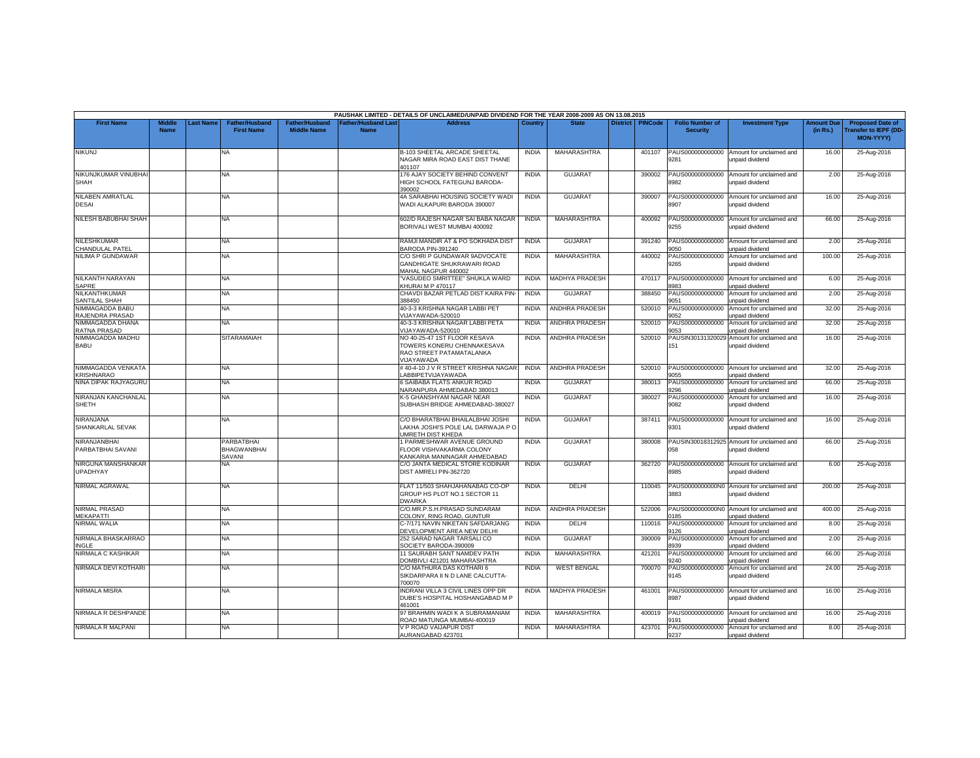|                                         |                              |                 |                                            |                                             |                                          | PAUSHAK LIMITED - DETAILS OF UNCLAIMED/UNPAID DIVIDEND FOR THE YEAR 2008-2009 AS ON 13.08.2015       |              |                       |                 |                |                                           |                                                                      |                               |                                                                     |
|-----------------------------------------|------------------------------|-----------------|--------------------------------------------|---------------------------------------------|------------------------------------------|------------------------------------------------------------------------------------------------------|--------------|-----------------------|-----------------|----------------|-------------------------------------------|----------------------------------------------------------------------|-------------------------------|---------------------------------------------------------------------|
| <b>First Name</b>                       | <b>Middle</b><br><b>Name</b> | <b>ast Name</b> | <b>Father/Husband</b><br><b>First Name</b> | <b>Father/Husband</b><br><b>Middle Name</b> | <b>Father/Husband Las</b><br><b>Name</b> | <b>Address</b>                                                                                       | Country      | <b>State</b>          | <b>District</b> | <b>PINCode</b> | <b>Folio Number of</b><br><b>Security</b> | <b>Investment Type</b>                                               | <b>Amount Due</b><br>(in Rs.) | <b>Proposed Date of</b><br><b>Transfer to IEPF (DD</b><br>MON-YYYY) |
| <b>NIKUNJ</b>                           |                              |                 | <b>NA</b>                                  |                                             |                                          | <b>B-103 SHEETAL ARCADE SHEETAL</b><br>NAGAR MIRA ROAD EAST DIST THANE<br>401107                     | <b>INDIA</b> | MAHARASHTRA           |                 | 401107         | PAUS000000000000<br>9281                  | Amount for unclaimed and<br>unpaid dividend                          | 16.00                         | 25-Aug-2016                                                         |
| NIKUNJKUMAR VINUBHAI<br>SHAH            |                              |                 | NA                                         |                                             |                                          | 176 AJAY SOCIETY BEHIND CONVENT<br><b>HIGH SCHOOL FATEGUNJ BARODA-</b><br>390002                     | <b>INDIA</b> | <b>GUJARAT</b>        |                 | 390002         | PAUS000000000000<br>3982                  | Amount for unclaimed and<br>unpaid dividend                          | 2.00                          | 25-Aug-2016                                                         |
| NILABEN AMRATLAL<br><b>DESAI</b>        |                              |                 | NA                                         |                                             |                                          | 4A SARABHAI HOUSING SOCIETY WADI<br>WADI ALKAPURI BARODA 390007                                      | <b>INDIA</b> | <b>GUJARAT</b>        |                 | 390007         | PAUS000000000000<br>8907                  | Amount for unclaimed and<br>unpaid dividend                          | 16.00                         | 25-Aug-2016                                                         |
| NILESH BABUBHAI SHAH                    |                              |                 | NA                                         |                                             |                                          | 602/D RAJESH NAGAR SAI BABA NAGAR<br>BORIVALI WEST MUMBAI 400092                                     | <b>INDIA</b> | MAHARASHTRA           |                 | 400092         | PAUS000000000000<br>9255                  | Amount for unclaimed and<br>unpaid dividend                          | 66.00                         | 25-Aug-2016                                                         |
| NILESHKUMAR<br>CHANDULAL PATEL          |                              |                 | <b>NA</b>                                  |                                             |                                          | RAMJI MANDIR AT & PO SOKHADA DIST<br>BARODA PIN-391240                                               | <b>INDIA</b> | <b>GUJARAT</b>        |                 | 391240         | PAUS000000000000<br>050                   | Amount for unclaimed and<br>unpaid dividend                          | 2.00                          | 25-Aug-2016                                                         |
| NILIMA P GUNDAWAR                       |                              |                 | <b>NA</b>                                  |                                             |                                          | C/O SHRI P GUNDAWAR 9ADVOCATE<br>GANDHIGATE SHUKRAWARI ROAD<br>MAHAL NAGPUR 440002                   | <b>INDIA</b> | MAHARASHTRA           |                 | 440002         | PAUS000000000000<br>9265                  | Amount for unclaimed and<br>unpaid dividend                          | 100.00                        | 25-Aug-2016                                                         |
| NILKANTH NARAYAN<br>SAPRE               |                              |                 | <b>NA</b>                                  |                                             |                                          | "VASUDEO SMRITTEE" SHUKLA WARD<br>KHURAI M P 470117                                                  | <b>INDIA</b> | MADHYA PRADESH        |                 | 470117         | PAUS000000000000<br>8983                  | Amount for unclaimed and<br>unpaid dividend                          | 6.00                          | 25-Aug-2016                                                         |
| NILKANTHKUMAR<br>SANTILAL SHAH          |                              |                 | NA.                                        |                                             |                                          | CHAVDI BAZAR PETLAD DIST KAIRA PIN-<br>388450                                                        | <b>INDIA</b> | <b>GUJARAT</b>        |                 | 388450         | PAUS000000000000<br>9051                  | Amount for unclaimed and<br>unpaid dividend                          | 2.00                          | 25-Aug-2016                                                         |
| NIMMAGADDA BABU<br>RAJENDRA PRASAD      |                              |                 | <b>NA</b>                                  |                                             |                                          | 40-3-3 KRISHNA NAGAR LABBI PET<br>/IJAYAWADA-520010                                                  | <b>INDIA</b> | ANDHRA PRADESH        |                 | 520010         | PAUS000000000000<br>052                   | Amount for unclaimed and<br>unpaid dividend                          | 32.00                         | 25-Aug-2016                                                         |
| NIMMAGADDA DHANA<br><b>RATNA PRASAD</b> |                              |                 | <b>NA</b>                                  |                                             |                                          | 40-3-3 KRISHNA NAGAR LABBI PETA<br>/IJAYAWADA-520010                                                 | <b>INDIA</b> | <b>ANDHRA PRADESH</b> |                 | 520010         | PAUS000000000000<br>053                   | Amount for unclaimed and<br>unpaid dividend                          | 32.00                         | 25-Aug-2016                                                         |
| NIMMAGADDA MADHU<br>BABU                |                              |                 | <b>SITARAMAIAH</b>                         |                                             |                                          | NO 40-25-47 1ST FLOOR KESAVA<br>TOWERS KONERU CHENNAKESAVA<br>RAO STREET PATAMATALANKA<br>/IJAYAWADA | <b>INDIA</b> | ANDHRA PRADESH        |                 | 520010         | PAUSIN30131320029<br>151                  | Amount for unclaimed and<br>unpaid dividend                          | 16.00                         | 25-Aug-2016                                                         |
| NIMMAGADDA VENKATA<br><b>KRISHNARAO</b> |                              |                 | NA.                                        |                                             |                                          | #40-4-10 J V R STREET KRISHNA NAGAR<br><b>ABBIPETVIJAYAWADA</b>                                      | <b>INDIA</b> | <b>ANDHRA PRADESH</b> |                 | 520010         | PAUS000000000000<br>9055                  | Amount for unclaimed and<br>unpaid dividend                          | 32.00                         | 25-Aug-2016                                                         |
| NINA DIPAK RAJYAGURU                    |                              |                 | <b>NA</b>                                  |                                             |                                          | 6 SAIBABA FLATS ANKUR ROAD<br>NARANPURA AHMEDABAD 380013                                             | <b>INDIA</b> | <b>GUJARAT</b>        |                 | 380013         | PAUS000000000000<br><b>296</b>            | Amount for unclaimed and<br><b>Inpaid dividend</b>                   | 66.00                         | 25-Aug-2016                                                         |
| NIRANJAN KANCHANLAL<br><b>SHETH</b>     |                              |                 | NA                                         |                                             |                                          | K-5 GHANSHYAM NAGAR NEAR<br>SUBHASH BRIDGE AHMEDABAD-380027                                          | <b>INDIA</b> | <b>GUJARAT</b>        |                 | 380027         | PAUS000000000000<br>9082                  | Amount for unclaimed and<br>unpaid dividend                          | 16.00                         | 25-Aug-2016                                                         |
| NIRANJANA<br>SHANKARLAL SEVAK           |                              |                 | <b>NA</b>                                  |                                             |                                          | C/O BHARATBHAI BHAILALBHAI JOSHI<br>LAKHA JOSHI'S POLE LAL DARWAJA P O<br><b>JMRETH DIST KHEDA</b>   | <b>INDIA</b> | GUJARAT               |                 | 387411         | PAUS000000000000<br>9301                  | Amount for unclaimed and<br>unpaid dividend                          | 16.00                         | 25-Aug-2016                                                         |
| NIRANJANBHAI<br>PARBATBHAI SAVANI       |                              |                 | PARBATBHAI<br><b>BHAGWANBHAI</b><br>SAVANI |                                             |                                          | 1 PARMESHWAR AVENUE GROUND<br>FLOOR VISHVAKARMA COLONY<br>KANKARIA MANINAGAR AHMEDABAD               | <b>INDIA</b> | <b>GUJARAT</b>        |                 | 380008         | 058                                       | PAUSIN30018312925 Amount for unclaimed and<br><b>Inpaid dividend</b> | 66.00                         | 25-Aug-2016                                                         |
| NIRGUNA MANSHANKAR<br>UPADHYAY          |                              |                 | NA                                         |                                             |                                          | C/O JANTA MEDICAL STORE KODINAR<br>DIST AMRELI PIN-362720                                            | <b>INDIA</b> | <b>GUJARAT</b>        |                 | 362720         | PAUS000000000000<br>8985                  | Amount for unclaimed and<br>unpaid dividend                          | 6.00                          | 25-Aug-2016                                                         |
| NIRMAL AGRAWAL                          |                              |                 | <b>NA</b>                                  |                                             |                                          | FLAT 11/503 SHAHJAHANABAG CO-OF<br>GROUP HS PLOT NO.1 SECTOR 11<br><b>DWARKA</b>                     | <b>INDIA</b> | DELHI                 |                 | 110045         | 3883                                      | PAUS0000000000N0 Amount for unclaimed and<br>unpaid dividend         | 200.00                        | 25-Aug-2016                                                         |
| NIRMAL PRASAD<br><b>MEKAPATTI</b>       |                              |                 | NA                                         |                                             |                                          | C/O.MR.P.S.H.PRASAD SUNDARAM<br>COLONY, RING ROAD, GUNTUR                                            | <b>INDIA</b> | ANDHRA PRADESH        |                 | 522006         | PAUS0000000000N0<br>185                   | Amount for unclaimed and<br>unpaid dividend                          | 400.00                        | 25-Aug-2016                                                         |
| NIRMAL WALIA                            |                              |                 | NA.                                        |                                             |                                          | C-7/171 NAVIN NIKETAN SAFDARJANG<br>DEVELOPMENT AREA NEW DELHI                                       | <b>INDIA</b> | DELHI                 |                 | 110016         | PAUS000000000000<br>9126                  | Amount for unclaimed and<br>unpaid dividend                          | 8.00                          | 25-Aug-2016                                                         |
| NIRMALA BHASKARRAO<br>INGLE             |                              |                 | <b>NA</b>                                  |                                             |                                          | 252 SARAD NAGAR TARSALI CO<br>SOCIETY BARODA-390009                                                  | <b>INDIA</b> | <b>GUJARAT</b>        |                 | 390009         | PAUS000000000000<br>8939                  | Amount for unclaimed and<br>unpaid dividend                          | 2.00                          | 25-Aug-2016                                                         |
| NIRMALA C KASHIKAR                      |                              |                 | <b>NA</b>                                  |                                             |                                          | 11 SAURABH SANT NAMDEV PATH<br>DOMBIVLI 421201 MAHARASHTRA                                           | <b>INDIA</b> | <b>MAHARASHTRA</b>    |                 | 421201         | PAUS000000000000<br>9240                  | Amount for unclaimed and<br>unpaid dividend                          | 66.00                         | 25-Aug-2016                                                         |
| NIRMALA DEVI KOTHARI                    |                              |                 | NA                                         |                                             |                                          | C/O MATHURA DAS KOTHARI 6<br>SIKDARPARA II N D LANE CALCUTTA-<br>700070                              | <b>INDIA</b> | <b>WEST BENGAL</b>    |                 | 700070         | PAUS000000000000<br>9145                  | Amount for unclaimed and<br>unpaid dividend                          | 24.00                         | 25-Aug-2016                                                         |
| <b>NIRMALA MISRA</b>                    |                              |                 | <b>NA</b>                                  |                                             |                                          | <b>INDRANI VILLA 3 CIVIL LINES OPP DR</b><br>DUBE'S HOSPITAL HOSHANGABAD M P<br>161001               | <b>INDIA</b> | MADHYA PRADESH        |                 | 461001         | PAUS000000000000<br>8987                  | Amount for unclaimed and<br>unpaid dividend                          | 16.00                         | 25-Aug-2016                                                         |
| NIRMALA R DESHPANDE                     |                              |                 | <b>NA</b>                                  |                                             |                                          | 97 BRAHMIN WADI K A SUBRAMANIAM<br>ROAD MATUNGA MUMBAI-400019                                        | <b>INDIA</b> | MAHARASHTRA           |                 | 400019         | PAUS000000000000<br>191                   | Amount for unclaimed and<br>unpaid dividend                          | 16.00                         | 25-Aug-2016                                                         |
| NIRMALA R MALPANI                       |                              |                 | NA.                                        |                                             |                                          | V P ROAD VAIJAPUR DIST<br>AURANGABAD 423701                                                          | <b>INDIA</b> | MAHARASHTRA           |                 | 423701         | PAUS000000000000<br>9237                  | Amount for unclaimed and<br>unpaid dividend                          | 8.00                          | 25-Aug-2016                                                         |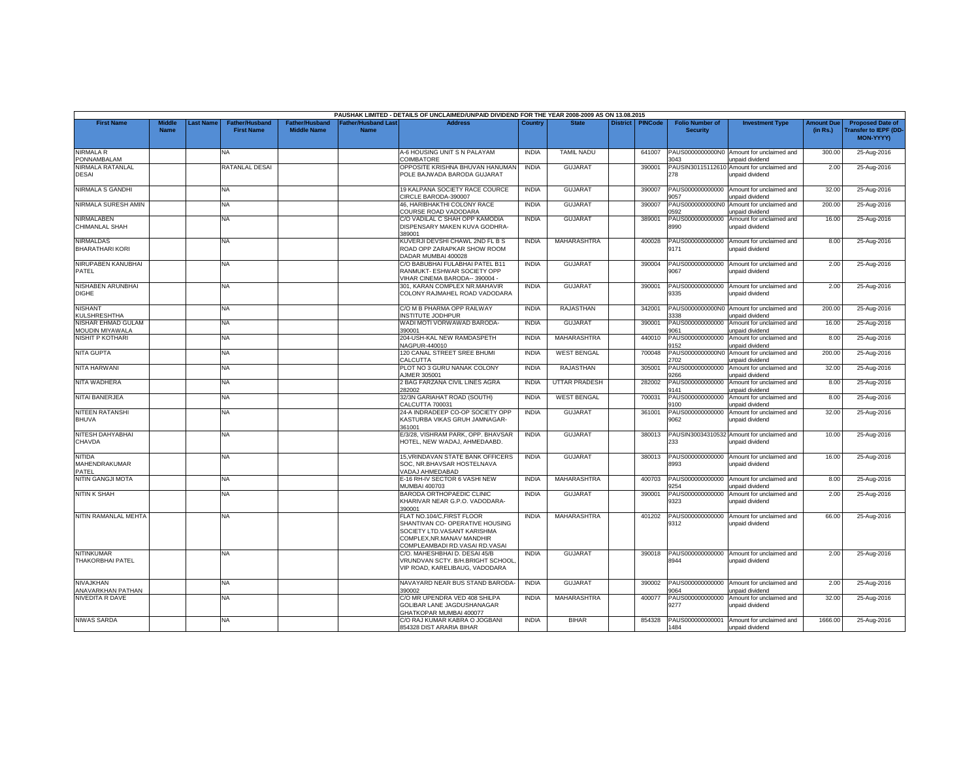|                                              |                              |           |                                            |                                             |                                  | PAUSHAK LIMITED - DETAILS OF UNCLAIMED/UNPAID DIVIDEND FOR THE YEAR 2008-2009 AS ON 13.08.2015                                                             |              |                    |                 |                |                                           |                                                               |                               |                                                                            |
|----------------------------------------------|------------------------------|-----------|--------------------------------------------|---------------------------------------------|----------------------------------|------------------------------------------------------------------------------------------------------------------------------------------------------------|--------------|--------------------|-----------------|----------------|-------------------------------------------|---------------------------------------------------------------|-------------------------------|----------------------------------------------------------------------------|
| <b>First Name</b>                            | <b>Middle</b><br><b>Name</b> | Last Name | <b>Father/Husband</b><br><b>First Name</b> | <b>Father/Husband</b><br><b>Middle Name</b> | ather/Husband Las<br><b>Name</b> | <b>Address</b>                                                                                                                                             | Country      | <b>State</b>       | <b>District</b> | <b>PINCode</b> | <b>Folio Number of</b><br><b>Security</b> | <b>Investment Type</b>                                        | <b>Amount Due</b><br>(in Rs.) | <b>Proposed Date of</b><br><b>Transfer to IEPF (DD</b><br><b>MON-YYYY)</b> |
| <b>NIRMALA R</b><br>PONNAMBALAM              |                              |           | <b>NA</b>                                  |                                             |                                  | A-6 HOUSING UNIT S N PALAYAM<br>COIMBATORE                                                                                                                 | <b>INDIA</b> | <b>TAMIL NADU</b>  |                 | 641007         | 3043                                      | PAUS0000000000N0 Amount for unclaimed and<br>unpaid dividend  | 300.00                        | 25-Aug-2016                                                                |
| NIRMALA RATANLAL<br>DESAI                    |                              |           | RATANLAL DESAI                             |                                             |                                  | OPPOSITE KRISHNA BHUVAN HANUMAN<br>POLE BAJWADA BARODA GUJARAT                                                                                             | <b>INDIA</b> | <b>GUJARAT</b>     |                 | 390001         | PAUSIN30115112610<br>278                  | Amount for unclaimed and<br>unpaid dividend                   | 2.00                          | 25-Aug-2016                                                                |
| NIRMALA S GANDHI                             |                              |           | <b>NA</b>                                  |                                             |                                  | 19 KALPANA SOCIETY RACE COURCE<br>CIRCLE BARODA-390007                                                                                                     | <b>INDIA</b> | <b>GUJARAT</b>     |                 | 390007         | PAUS000000000000<br>057                   | Amount for unclaimed and<br>unpaid dividend                   | 32.00                         | 25-Aug-2016                                                                |
| NIRMALA SURESH AMIN                          |                              |           | <b>NA</b>                                  |                                             |                                  | 46. HARIBHAKTHI COLONY RACE<br>COURSE ROAD VADODARA                                                                                                        | <b>INDIA</b> | <b>GUJARAT</b>     |                 | 390007         | PAUS0000000000N0<br>0592                  | Amount for unclaimed and<br>unpaid dividend                   | 200.00                        | 25-Aug-2016                                                                |
| NIRMALABEN<br>CHIMANLAL SHAH                 |                              |           | <b>NA</b>                                  |                                             |                                  | C/O VADILAL C SHAH OPP KAMODIA<br>DISPENSARY MAKEN KUVA GODHRA-<br>389001                                                                                  | <b>INDIA</b> | <b>GUJARAT</b>     |                 | 389001         | PAUS000000000000<br>8990                  | Amount for unclaimed and<br>unpaid dividend                   | 16.00                         | 25-Aug-2016                                                                |
| NIRMALDAS<br><b>BHARATHARI KORI</b>          |                              |           | NA                                         |                                             |                                  | KUVERJI DEVSHI CHAWL 2ND FL B S<br>ROAD OPP ZARAPKAR SHOW ROOM<br>DADAR MUMBAI 400028                                                                      | <b>INDIA</b> | MAHARASHTRA        |                 | 400028         | PAUS000000000000<br>9171                  | Amount for unclaimed and<br>unpaid dividend                   | 8.00                          | 25-Aug-2016                                                                |
| NIRUPABEN KANUBHAI<br>PATEL                  |                              |           | <b>NA</b>                                  |                                             |                                  | C/O BABUBHAI FULABHAI PATEL B11<br>RANMUKT- ESHWAR SOCIETY OPP<br>VIHAR CINEMA BARODA-- 390004 -                                                           | <b>INDIA</b> | <b>GUJARAT</b>     |                 | 390004         | PAUS000000000000<br>9067                  | Amount for unclaimed and<br>unpaid dividend                   | 2.00                          | 25-Aug-2016                                                                |
| NISHABEN ARUNBHAI<br>DIGHE                   |                              |           | <b>NA</b>                                  |                                             |                                  | 301, KARAN COMPLEX NR.MAHAVIR<br>COLONY RAJMAHEL ROAD VADODARA                                                                                             | <b>INDIA</b> | <b>GUJARAT</b>     |                 | 390001         | PAUS000000000000<br>9335                  | Amount for unclaimed and<br>unpaid dividend                   | 2.00                          | 25-Aug-2016                                                                |
| <b>NISHANT</b><br>KULSHRESHTHA               |                              |           | <b>NA</b>                                  |                                             |                                  | C/O M B PHARMA OPP RAILWAY<br><b>INSTITUTE JODHPUR</b>                                                                                                     | <b>INDIA</b> | RAJASTHAN          |                 | 342001         | 3338                                      | PAUS0000000000N0 Amount for unclaimed and<br>unpaid dividend  | 200.00                        | 25-Aug-2016                                                                |
| NISHAR EHMAD GULAM<br>MOUDIN MIYAWALA        |                              |           | NA.                                        |                                             |                                  | WADI MOTI VORWAWAD BARODA-<br>390001                                                                                                                       | <b>INDIA</b> | <b>GUJARAT</b>     |                 | 390001         | PAUS000000000000<br>9061                  | Amount for unclaimed and<br>unpaid dividend                   | 16.00                         | 25-Aug-2016                                                                |
| NISHIT P KOTHARI                             |                              |           | <b>NA</b>                                  |                                             |                                  | 204-USH-KAL NEW RAMDASPETH<br>NAGPUR-440010                                                                                                                | <b>INDIA</b> | MAHARASHTRA        |                 | 440010         | PAUS000000000000<br>9152                  | Amount for unclaimed and<br>unpaid dividend                   | 8.00                          | 25-Aug-2016                                                                |
| <b>NITA GUPTA</b>                            |                              |           | <b>NA</b>                                  |                                             |                                  | 120 CANAL STREET SREE BHUMI<br>CALCUTTA                                                                                                                    | <b>INDIA</b> | <b>WEST BENGAL</b> |                 | 700048         | PAUS0000000000N0<br>2702                  | Amount for unclaimed and<br>unpaid dividend                   | 200.00                        | 25-Aug-2016                                                                |
| NITA HARWANI                                 |                              |           | <b>NA</b>                                  |                                             |                                  | PLOT NO 3 GURU NANAK COLONY<br>AJMER 305001                                                                                                                | <b>INDIA</b> | RAJASTHAN          |                 | 305001         | PAUS000000000000<br>9266                  | Amount for unclaimed and<br>unpaid dividend                   | 32.00                         | 25-Aug-2016                                                                |
| NITA WADHERA                                 |                              |           | <b>NA</b>                                  |                                             |                                  | 2 BAG FARZANA CIVIL LINES AGRA<br>282002                                                                                                                   | <b>INDIA</b> | UTTAR PRADESH      |                 | 282002         | PAUS000000000000<br>9141                  | Amount for unclaimed and<br>unpaid dividend                   | 8.00                          | 25-Aug-2016                                                                |
| NITAI BANERJEA                               |                              |           | <b>NA</b>                                  |                                             |                                  | 32/3N GARIAHAT ROAD (SOUTH)<br>CALCUTTA 700031                                                                                                             | <b>INDIA</b> | <b>WEST BENGAL</b> |                 | 700031         | PAUS000000000000<br>9100                  | Amount for unclaimed and<br>unpaid dividend                   | 8.00                          | 25-Aug-2016                                                                |
| NITEEN RATANSHI<br><b>BHUVA</b>              |                              |           | <b>NA</b>                                  |                                             |                                  | 24-A INDRADEEP CO-OP SOCIETY OPP<br>KASTURBA VIKAS GRUH JAMNAGAR-<br>361001                                                                                | <b>INDIA</b> | <b>GUJARAT</b>     |                 | 361001         | PAUS000000000000<br>9062                  | Amount for unclaimed and<br>unpaid dividend                   | 32.00                         | 25-Aug-2016                                                                |
| NITESH DAHYABHAI<br>CHAVDA                   |                              |           | NA.                                        |                                             |                                  | E/3/28, VISHRAM PARK, OPP. BHAVSAR<br>HOTEL, NEW WADAJ, AHMEDAABD.                                                                                         | <b>INDIA</b> | <b>GUJARAT</b>     |                 | 380013         | 233                                       | PAUSIN30034310532 Amount for unclaimed and<br>unpaid dividend | 10.00                         | 25-Aug-2016                                                                |
| <b>NITIDA</b><br>MAHENDRAKUMAR<br>PATEL      |                              |           | <b>NA</b>                                  |                                             |                                  | 15, VRINDAVAN STATE BANK OFFICERS<br>SOC, NR.BHAVSAR HOSTELNAVA<br>VADAJ AHMEDABAD                                                                         | <b>INDIA</b> | <b>GUJARAT</b>     |                 | 380013         | PAUS000000000000<br>8993                  | Amount for unclaimed and<br>unpaid dividend                   | 16.00                         | 25-Aug-2016                                                                |
| NITIN GANGJI MOTA                            |                              |           | NA.                                        |                                             |                                  | E-16 RH-IV SECTOR 6 VASHI NEW<br><b>MUMBAI 400703</b>                                                                                                      | <b>INDIA</b> | MAHARASHTRA        |                 | 400703         | PAUS000000000000<br>254                   | Amount for unclaimed and<br>unpaid dividend                   | 8.00                          | 25-Aug-2016                                                                |
| NITIN K SHAH                                 |                              |           | <b>NA</b>                                  |                                             |                                  | BARODA ORTHOPAEDIC CLINIC<br>KHARIVAR NEAR G.P.O. VADODARA-<br>390001                                                                                      | <b>INDIA</b> | GUJARAT            |                 | 390001         | PAUS000000000000<br>9323                  | Amount for unclaimed and<br>unpaid dividend                   | 2.00                          | 25-Aug-2016                                                                |
| NITIN RAMANLAL MEHTA                         |                              |           | <b>NA</b>                                  |                                             |                                  | FLAT NO.104/C, FIRST FLOOR<br>SHANTIVAN CO- OPERATIVE HOUSING<br>SOCIETY LTD.VASANT KARISHMA<br>COMPLEX.NR.MANAV MANDHIR<br>COMPLEAMBADI RD.VASAI RD.VASAI | <b>INDIA</b> | MAHARASHTRA        |                 | 401202         | PAUS000000000000<br>9312                  | Amount for unclaimed and<br>unpaid dividend                   | 66.00                         | 25-Aug-2016                                                                |
| <b>NITINKUMAR</b><br><b>THAKORBHAI PATEL</b> |                              |           | NA                                         |                                             |                                  | C/O. MAHESHBHAI D. DESAI 45/B<br>VRUNDVAN SCTY. B/H.BRIGHT SCHOOL<br>VIP ROAD, KARELIBAUG, VADODARA                                                        | <b>INDIA</b> | <b>GUJARAT</b>     |                 | 390018         | PAUS000000000000<br>8944                  | Amount for unclaimed and<br>unpaid dividend                   | 2.00                          | 25-Aug-2016                                                                |
| NIVAJKHAN<br>ANAVARKHAN PATHAN               |                              |           | NA                                         |                                             |                                  | NAVAYARD NEAR BUS STAND BARODA-<br>390002                                                                                                                  | <b>INDIA</b> | <b>GUJARAT</b>     |                 | 390002         | PAUS000000000000<br>064                   | Amount for unclaimed and<br>unpaid dividend                   | 2.00                          | 25-Aug-2016                                                                |
| <b>NIVEDITA R DAVE</b>                       |                              |           | <b>NA</b>                                  |                                             |                                  | C/O MR UPENDRA VED 408 SHILPA<br>GOLIBAR LANE JAGDUSHANAGAR<br><b>GHATKOPAR MUMBAI 400077</b>                                                              | <b>INDIA</b> | MAHARASHTRA        |                 | 400077         | PAUS000000000000<br>9277                  | Amount for unclaimed and<br>unpaid dividend                   | 32.00                         | 25-Aug-2016                                                                |
| NIWAS SARDA                                  |                              |           | <b>NA</b>                                  |                                             |                                  | C/O RAJ KUMAR KABRA O JOGBANI<br>854328 DIST ARARIA BIHAR                                                                                                  | <b>INDIA</b> | <b>BIHAR</b>       |                 | 854328         | 1484                                      | PAUS000000000001 Amount for unclaimed and<br>unpaid dividend  | 1666.00                       | 25-Aug-2016                                                                |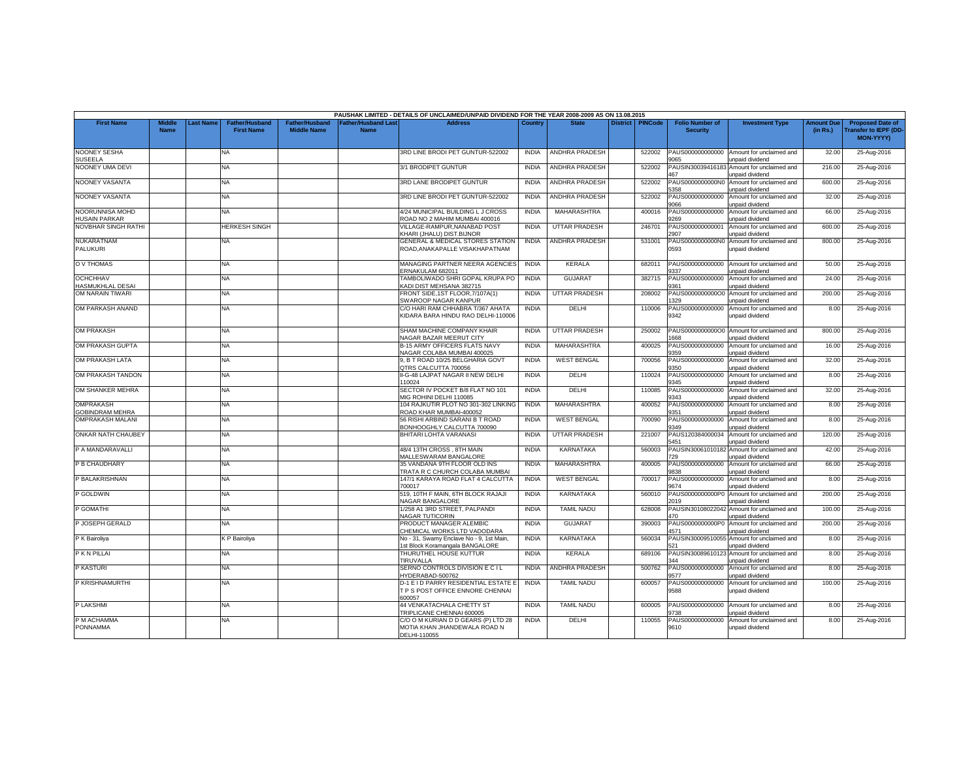|                                            |                              |                  |                                     |                                             |                                           | PAUSHAK LIMITED - DETAILS OF UNCLAIMED/UNPAID DIVIDEND FOR THE YEAR 2008-2009 AS ON 13.08.2015 |              |                       |                    |                                           |                                                              |                               |                                                                     |
|--------------------------------------------|------------------------------|------------------|-------------------------------------|---------------------------------------------|-------------------------------------------|------------------------------------------------------------------------------------------------|--------------|-----------------------|--------------------|-------------------------------------------|--------------------------------------------------------------|-------------------------------|---------------------------------------------------------------------|
| <b>First Name</b>                          | <b>Middle</b><br><b>Name</b> | <b>Last Name</b> | Father/Husband<br><b>First Name</b> | <b>Father/Husband</b><br><b>Middle Name</b> | <b>Father/Husband Last</b><br><b>Name</b> | Address                                                                                        | Country      | <b>State</b>          | District   PINCode | <b>Folio Number of</b><br><b>Security</b> | <b>Investment Type</b>                                       | <b>Amount Due</b><br>(in Rs.) | <b>Proposed Date of</b><br><b>Transfer to IEPF (DD</b><br>MON-YYYY) |
| <b>NOONEY SESHA</b><br><b>SUSEELA</b>      |                              |                  | <b>NA</b>                           |                                             |                                           | 3RD LINE BRODI PET GUNTUR-522002                                                               | <b>INDIA</b> | ANDHRA PRADESH        | 522002             | PAUS000000000000<br>9065                  | Amount for unclaimed and<br>unpaid dividend                  | 32.00                         | 25-Aug-2016                                                         |
| NOONEY UMA DEVI                            |                              |                  | NA                                  |                                             |                                           | 3/1 BRODIPET GUNTUR                                                                            | <b>INDIA</b> | <b>ANDHRA PRADESH</b> | 522002             | PAUSIN3003941618<br>467                   | Amount for unclaimed and<br>unpaid dividend                  | 216.00                        | 25-Aug-2016                                                         |
| NOONEY VASANTA                             |                              |                  | NA                                  |                                             |                                           | 3RD LANE BRODIPET GUNTUR                                                                       | <b>INDIA</b> | ANDHRA PRADESH        | 522002             | PAUS0000000000N0<br>358                   | Amount for unclaimed and<br>inpaid dividend                  | 600.00                        | 25-Aug-2016                                                         |
| NOONEY VASANTA                             |                              |                  | NA                                  |                                             |                                           | 3RD LINE BRODI PET GUNTUR-522002                                                               | <b>INDIA</b> | <b>ANDHRA PRADESH</b> | 522002             | PAUS000000000000<br>8600                  | Amount for unclaimed and<br>unpaid dividend                  | 32.00                         | 25-Aug-2016                                                         |
| NOORUNNISA MOHD<br><b>HUSAIN PARKAR</b>    |                              |                  | NA                                  |                                             |                                           | 4/24 MUNICIPAL BUILDING L J CROSS<br>ROAD NO 2 MAHIM MUMBAI 400016                             | <b>INDIA</b> | MAHARASHTRA           | 400016             | PAUS000000000000<br>9269                  | Amount for unclaimed and<br>unpaid dividend                  | 66.00                         | 25-Aug-2016                                                         |
| <b>NOVBHAR SINGH RATHI</b>                 |                              |                  | <b>HERKESH SINGH</b>                |                                             |                                           | /ILLAGE-RAMPUR, NANABAD POST<br>(HARI (JHALU) DIST.BIJNOR                                      | <b>INDIA</b> | <b>UTTAR PRADESH</b>  | 246701             | PAUS000000000001<br>2907                  | Amount for unclaimed and<br>unpaid dividend                  | 600.00                        | 25-Aug-2016                                                         |
| NUKARATNAM<br>PALUKURI                     |                              |                  | NA                                  |                                             |                                           | <b>GENERAL &amp; MEDICAL STORES STATION</b><br>ROAD, ANAKAPALLE VISAKHAPATNAM                  | <b>INDIA</b> | <b>ANDHRA PRADESH</b> | 531001             | PAUS0000000000N0<br>0593                  | Amount for unclaimed and<br>unpaid dividend                  | 800.00                        | 25-Aug-2016                                                         |
| O V THOMAS                                 |                              |                  | NA                                  |                                             |                                           | MANAGING PARTNER NEERA AGENCIES<br>ERNAKULAM 682011                                            | <b>INDIA</b> | <b>KERALA</b>         | 682011             | PAUS000000000000<br>3337                  | Amount for unclaimed and<br>unpaid dividend                  | 50.00                         | 25-Aug-2016                                                         |
| <b>OCHCHHAV</b><br>HASMUKHLAL DESAI        |                              |                  | NA                                  |                                             |                                           | TAMBOLIWADO SHRI GOPAL KRUPA PO<br><b>KADI DIST MEHSANA 382715</b>                             | <b>INDIA</b> | <b>GUJARAT</b>        | 382715             | PAUS000000000000<br>9361                  | Amount for unclaimed and<br>unpaid dividend                  | 24.00                         | 25-Aug-2016                                                         |
| OM NARAIN TIWARI                           |                              |                  | NA                                  |                                             |                                           | FRONT SIDE, 1ST FLOOR, 7/107A(1)<br>SWAROOP NAGAR KANPUR                                       | <b>INDIA</b> | <b>UTTAR PRADESH</b>  | 208002             | PAUS00000000000<br>329                    | Amount for unclaimed and<br>unpaid dividend                  | 200.00                        | 25-Aug-2016                                                         |
| OM PARKASH ANAND                           |                              |                  | NA                                  |                                             |                                           | C/O HARI RAM CHHABRA T/367 AHATA<br>KIDARA BARA HINDU RAO DELHI-110006                         | <b>INDIA</b> | DELHI                 | 110006             | PAUS00000000000<br>9342                   | Amount for unclaimed and<br>unpaid dividend                  | 8.00                          | 25-Aug-2016                                                         |
| <b>OM PRAKASH</b>                          |                              |                  | NA                                  |                                             |                                           | SHAM MACHINE COMPANY KHAIR<br><b>JAGAR BAZAR MEERUT CITY</b>                                   | <b>INDIA</b> | <b>UTTAR PRADESH</b>  | 250002             | 668                                       | PAUS000000000000 Amount for unclaimed and<br>unpaid dividend | 800.00                        | 25-Aug-2016                                                         |
| OM PRAKASH GUPTA                           |                              |                  | NA                                  |                                             |                                           | <b>B-15 ARMY OFFICERS FLATS NAVY</b><br><b>NAGAR COLABA MUMBAI 400025</b>                      | <b>INDIA</b> | <b>MAHARASHTRA</b>    | 400025             | PAUS000000000000<br>359                   | Amount for unclaimed and<br>unpaid dividend                  | 16.00                         | 25-Aug-2016                                                         |
| OM PRAKASH LATA                            |                              |                  | NA                                  |                                             |                                           | 9, B T ROAD 10/25 BELGHARIA GOVT<br>QTRS CALCUTTA 700056                                       | <b>INDIA</b> | <b>WEST BENGAL</b>    | 700056             | PAUS000000000000<br>9350                  | Amount for unclaimed and<br>unpaid dividend                  | 32.00                         | 25-Aug-2016                                                         |
| OM PRAKASH TANDON                          |                              |                  | NA                                  |                                             |                                           | I-G-48 LAJPAT NAGAR II NEW DELHI<br>110024                                                     | <b>INDIA</b> | DELHI                 | 110024             | PAUS000000000000<br>9345                  | Amount for unclaimed and<br>unpaid dividend                  | 8.00                          | 25-Aug-2016                                                         |
| OM SHANKER MEHRA                           |                              |                  | <b>NA</b>                           |                                             |                                           | SECTOR IV POCKET B/8 FLAT NO 101<br>MIG ROHINI DELHI 110085                                    | <b>INDIA</b> | DELHI                 | 110085             | PAUS000000000000<br>9343                  | Amount for unclaimed and<br>unpaid dividend                  | 32.00                         | 25-Aug-2016                                                         |
| <b>OMPRAKASH</b><br><b>GOBINDRAM MEHRA</b> |                              |                  | NA                                  |                                             |                                           | 104 RAJKUTIR PLOT NO 301-302 LINKING<br>ROAD KHAR MUMBAI-400052                                | <b>INDIA</b> | <b>MAHARASHTRA</b>    | 400052             | PAUS000000000000<br>9351                  | Amount for unclaimed and<br>unpaid dividend                  | 8.00                          | 25-Aug-2016                                                         |
| <b>OMPRAKASH MALANI</b>                    |                              |                  | NA.                                 |                                             |                                           | 56 RISHI ARBIND SARANI B T ROAD<br>BONHOOGHLY CALCUTTA 700090                                  | <b>INDIA</b> | <b>WEST BENGAL</b>    | 700090             | PAUS000000000000<br>9349                  | Amount for unclaimed and<br>unpaid dividend                  | 8.00                          | 25-Aug-2016                                                         |
| <b>ONKAR NATH CHAUBEY</b>                  |                              |                  | NA                                  |                                             |                                           | BHITARI LOHTA VARANASI                                                                         | <b>INDIA</b> | <b>UTTAR PRADESH</b>  | 221007             | PAUS120384000034<br>5451                  | Amount for unclaimed and<br>unpaid dividend                  | 120.00                        | 25-Aug-2016                                                         |
| P A MANDARAVALLI                           |                              |                  | NA                                  |                                             |                                           | 48/4 13TH CROSS, 8TH MAIN<br>MALLESWARAM BANGALORE                                             | <b>INDIA</b> | KARNATAKA             | 560003             | PAUSIN3006101018:<br>29                   | Amount for unclaimed and<br>inpaid dividend                  | 42.00                         | 25-Aug-2016                                                         |
| P B CHAUDHARY                              |                              |                  | NA                                  |                                             |                                           | 35 VANDANA 9TH FLOOR OLD INS<br>TRATA R C CHURCH COLABA MUMBAI                                 | <b>INDIA</b> | <b>MAHARASHTRA</b>    | 400005             | PAUS000000000000<br>838                   | Amount for unclaimed and<br>unpaid dividend                  | 66.00                         | 25-Aug-2016                                                         |
| P BALAKRISHNAN                             |                              |                  | NA                                  |                                             |                                           | 147/1 KARAYA ROAD FLAT 4 CALCUTTA<br>'00017                                                    | <b>INDIA</b> | <b>WEST BENGAL</b>    | 700017             | PAUS000000000000<br>9674                  | Amount for unclaimed and<br>unpaid dividend                  | 8.00                          | 25-Aug-2016                                                         |
| P GOLDWIN                                  |                              |                  | NA                                  |                                             |                                           | 519, 10TH F MAIN, 6TH BLOCK RAJAJI<br><b>NAGAR BANGALORE</b>                                   | <b>INDIA</b> | KARNATAKA             | 560010             | PAUS0000000000P0<br>2019                  | Amount for unclaimed and<br>unpaid dividend                  | 200.00                        | 25-Aug-2016                                                         |
| <b>GOMATHI</b>                             |                              |                  | NA                                  |                                             |                                           | 1/258 A1 3RD STREET, PALPANDI<br>NAGAR TUTICORIN                                               | <b>INDIA</b> | <b>TAMIL NADU</b>     | 628008             | PAUSIN30108022042<br>470                  | Amount for unclaimed and<br>unpaid dividend                  | 100.00                        | 25-Aug-2016                                                         |
| P JOSEPH GERALD                            |                              |                  | <b>NA</b>                           |                                             |                                           | PRODUCT MANAGER ALEMBIC<br>CHEMICAL WORKS LTD VADODARA                                         | <b>INDIA</b> | <b>GUJARAT</b>        | 390003             | PAUS0000000000P0<br>4571                  | Amount for unclaimed and<br><b>Inpaid dividend</b>           | 200.00                        | 25-Aug-2016                                                         |
| P K Bairoliya                              |                              |                  | K P Bairoliya                       |                                             |                                           | No - 31, Swamy Enclave No - 9, 1st Main,<br>1st Block Koramangala BANGALORE                    | <b>INDIA</b> | <b>KARNATAKA</b>      | 560034             | PAUSIN30009510055<br>521                  | Amount for unclaimed and<br>unpaid dividend                  | 8.00                          | 25-Aug-2016                                                         |
| <b>PKN PILLAI</b>                          |                              |                  | NA                                  |                                             |                                           | THURUTHEL HOUSE KUTTUR<br>TIRUVALLA                                                            | <b>INDIA</b> | KERALA                | 689106             | PAUSIN3008961012<br>344                   | Amount for unclaimed and<br>unpaid dividend                  | 8.00                          | 25-Aug-2016                                                         |
| P KASTURI                                  |                              |                  | NA                                  |                                             |                                           | SERNO CONTROLS DIVISION E C I L<br>IYDERABAD-500762                                            | <b>INDIA</b> | <b>ANDHRA PRADESH</b> | 500762             | PAUS000000000000<br>9577                  | Amount for unclaimed and<br>unpaid dividend                  | 8.00                          | 25-Aug-2016                                                         |
| P KRISHNAMURTHI                            |                              |                  | NA                                  |                                             |                                           | D-1 E I D PARRY RESIDENTIAL ESTATE E<br>T P S POST OFFICE ENNORE CHENNAI<br>00057              | <b>INDIA</b> | <b>TAMIL NADU</b>     | 600057             | PAUS000000000000<br>9588                  | Amount for unclaimed and<br>unpaid dividend                  | 100.00                        | 25-Aug-2016                                                         |
| P LAKSHMI                                  |                              |                  | NA                                  |                                             |                                           | <b>44 VENKATACHALA CHETTY ST</b><br>TRIPLICANE CHENNAI 600005                                  | <b>INDIA</b> | <b>TAMIL NADU</b>     | 600005             | PAUS000000000000<br>738                   | Amount for unclaimed and<br>unpaid dividend                  | 8.00                          | 25-Aug-2016                                                         |
| P M ACHAMMA<br>PONNAMMA                    |                              |                  | NA                                  |                                             |                                           | C/O O M KURIAN D D GEARS (P) LTD 28<br>MOTIA KHAN JHANDEWALA ROAD N<br>DELHI-110055            | <b>INDIA</b> | DELHI                 | 110055             | PAUS000000000000<br>9610                  | Amount for unclaimed and<br>unpaid dividend                  | 8.00                          | 25-Aug-2016                                                         |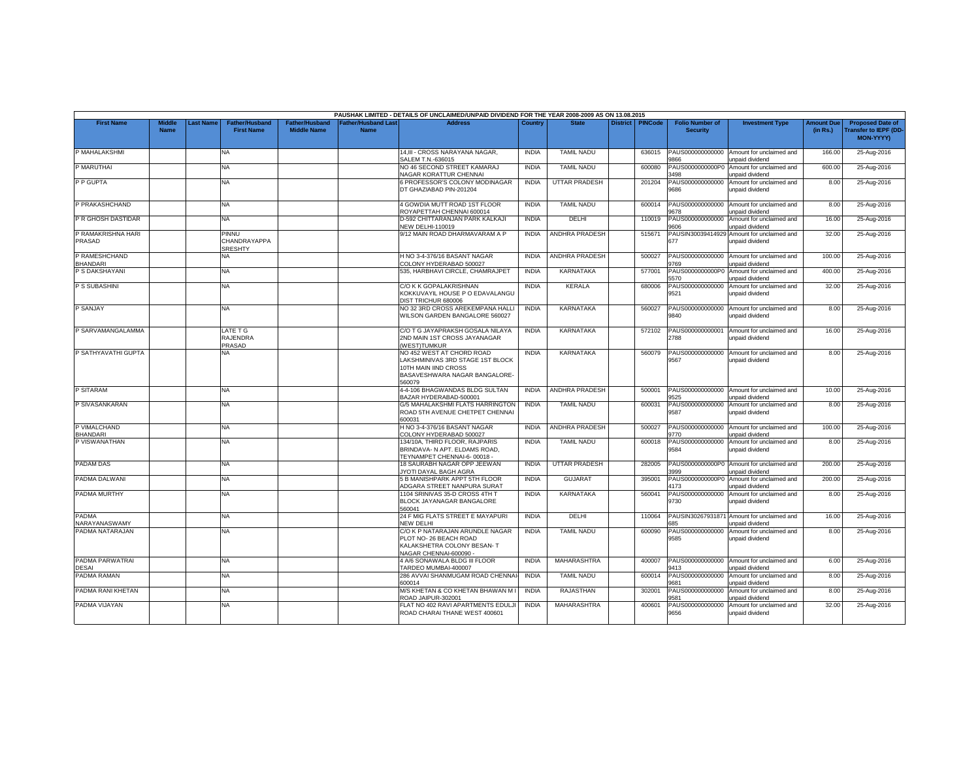|                                 |                              |                  |                                            |                                             |                                   | PAUSHAK LIMITED - DETAILS OF UNCLAIMED/UNPAID DIVIDEND FOR THE YEAR 2008-2009 AS ON 13.08.2015                                   |              |                       |                 |                |                                           |                                                              |                               |                                                                            |
|---------------------------------|------------------------------|------------------|--------------------------------------------|---------------------------------------------|-----------------------------------|----------------------------------------------------------------------------------------------------------------------------------|--------------|-----------------------|-----------------|----------------|-------------------------------------------|--------------------------------------------------------------|-------------------------------|----------------------------------------------------------------------------|
| <b>First Name</b>               | <b>Middle</b><br><b>Name</b> | <b>Last Name</b> | <b>Father/Husband</b><br><b>First Name</b> | <b>Father/Husband</b><br><b>Middle Name</b> | <b>Father/Husband Las</b><br>Name | <b>Address</b>                                                                                                                   | Country      | <b>State</b>          | <b>District</b> | <b>PINCode</b> | <b>Folio Number of</b><br><b>Security</b> | <b>Investment Type</b>                                       | <b>Amount Due</b><br>(in Rs.) | <b>Proposed Date of</b><br><b>Transfer to IEPF (DD</b><br><b>MON-YYYY)</b> |
| P MAHALAKSHMI                   |                              |                  | NA                                         |                                             |                                   | 14,III - CROSS NARAYANA NAGAR,<br>SALEM T.N.-636015                                                                              | <b>INDIA</b> | <b>TAMIL NADU</b>     |                 | 636015         | PAUS000000000000<br>866                   | Amount for unclaimed and<br>unpaid dividend                  | 166.00                        | 25-Aug-2016                                                                |
| P MARUTHAI                      |                              |                  | <b>NA</b>                                  |                                             |                                   | NO 46 SECOND STREET KAMARAJ<br><b>JAGAR KORATTUR CHENNAI</b>                                                                     | <b>INDIA</b> | <b>TAMIL NADU</b>     |                 | 600080         | PAUS0000000000P0<br>3498                  | Amount for unclaimed and<br>unpaid dividend                  | 600.00                        | 25-Aug-2016                                                                |
| P P GUPTA                       |                              |                  | <b>NA</b>                                  |                                             |                                   | 6 PROFESSOR'S COLONY MODINAGAR<br>DT GHAZIABAD PIN-201204                                                                        | <b>INDIA</b> | <b>UTTAR PRADESH</b>  |                 | 201204         | PAUS000000000000<br>9686                  | Amount for unclaimed and<br>unpaid dividend                  | 8.00                          | 25-Aug-2016                                                                |
| P PRAKASHCHAND                  |                              |                  | <b>NA</b>                                  |                                             |                                   | 4 GOWDIA MUTT ROAD 1ST FLOOR<br>ROYAPETTAH CHENNAI 600014                                                                        | <b>INDIA</b> | <b>TAMIL NADU</b>     |                 | 600014         | PAUS000000000000<br>9678                  | Amount for unclaimed and<br>unpaid dividend                  | 8.00                          | 25-Aug-2016                                                                |
| P R GHOSH DASTIDAR              |                              |                  | <b>NA</b>                                  |                                             |                                   | D-592 CHITTARANJAN PARK KALKAJI<br><b>NEW DELHI-110019</b>                                                                       | <b>INDIA</b> | <b>DELHI</b>          |                 | 110019         | PAUS000000000000<br>9606                  | Amount for unclaimed and<br>unpaid dividend                  | 16.00                         | 25-Aug-2016                                                                |
| P RAMAKRISHNA HARI<br>PRASAD    |                              |                  | PINNU<br>CHANDRAYAPPA<br><b>SRESHTY</b>    |                                             |                                   | 9/12 MAIN ROAD DHARMAVARAM A P                                                                                                   | <b>INDIA</b> | ANDHRA PRADESH        |                 | 515671         | PAUSIN3003941492<br>677                   | Amount for unclaimed and<br>unpaid dividend                  | 32.00                         | 25-Aug-2016                                                                |
| <b>RAMESHCHAND</b><br>BHANDARI  |                              |                  | NA                                         |                                             |                                   | H NO 3-4-376/16 BASANT NAGAR<br>COLONY HYDERABAD 500027                                                                          | <b>INDIA</b> | ANDHRA PRADESH        |                 | 500027         | PAUS000000000000<br>9769                  | Amount for unclaimed and<br>unpaid dividend                  | 100.00                        | 25-Aug-2016                                                                |
| P S DAKSHAYANI                  |                              |                  | <b>NA</b>                                  |                                             |                                   | 535, HARBHAVI CIRCLE, CHAMRAJPET                                                                                                 | <b>INDIA</b> | <b>KARNATAKA</b>      |                 | 577001         | PAUS0000000000P0<br>5570                  | Amount for unclaimed and<br>unpaid dividend                  | 400.00                        | 25-Aug-2016                                                                |
| P S SUBASHINI                   |                              |                  | <b>NA</b>                                  |                                             |                                   | C/O K K GOPALAKRISHNAN<br>KOKKUVAYIL HOUSE P O EDAVALANGU<br>DIST TRICHUR 680006                                                 | <b>INDIA</b> | <b>KERALA</b>         |                 | 680006         | PAUS000000000000<br>9521                  | Amount for unclaimed and<br>unpaid dividend                  | 32.00                         | 25-Aug-2016                                                                |
| P SANJAY                        |                              |                  | <b>NA</b>                                  |                                             |                                   | NO 32 3RD CROSS AREKEMPANA HALLI<br>WILSON GARDEN BANGALORE 560027                                                               | <b>INDIA</b> | <b>KARNATAKA</b>      |                 | 560027         | PAUS000000000000<br>9840                  | Amount for unclaimed and<br>unpaid dividend                  | 8.00                          | 25-Aug-2016                                                                |
| P SARVAMANGALAMMA               |                              |                  | LATE T G<br><b>RAJENDRA</b><br>PRASAD      |                                             |                                   | C/O T G JAYAPRAKSH GOSALA NILAYA<br>2ND MAIN 1ST CROSS JAYANAGAR<br><b>WESTITUMKUR</b>                                           | <b>INDIA</b> | <b>KARNATAKA</b>      |                 | 572102         | PAUS000000000001<br>2788                  | Amount for unclaimed and<br>unpaid dividend                  | 16.00                         | 25-Aug-2016                                                                |
| P SATHYAVATHI GUPTA             |                              |                  | NA                                         |                                             |                                   | NO 452 WEST AT CHORD ROAD<br>LAKSHMINIVAS 3RD STAGE 1ST BLOCK<br>10TH MAIN IIND CROSS<br>BASAVESHWARA NAGAR BANGALORE-<br>560079 | <b>INDIA</b> | <b>KARNATAKA</b>      |                 | 560079         | PAUS000000000000<br>9567                  | Amount for unclaimed and<br>unpaid dividend                  | 8.00                          | 25-Aug-2016                                                                |
| P SITARAM                       |                              |                  | <b>NA</b>                                  |                                             |                                   | 4-4-106 BHAGWANDAS BLDG SULTAN<br>BAZAR HYDERABAD-500001                                                                         | <b>INDIA</b> | <b>ANDHRA PRADESH</b> |                 | 500001         | PAUS000000000000<br>9525                  | Amount for unclaimed and<br>unpaid dividend                  | 10.00                         | 25-Aug-2016                                                                |
| P SIVASANKARAN                  |                              |                  | NA.                                        |                                             |                                   | G/5 MAHALAKSHMI FLATS HARRINGTON<br>ROAD 5TH AVENUE CHETPET CHENNAI<br>600031                                                    | <b>INDIA</b> | <b>TAMIL NADU</b>     |                 | 600031         | PAUS000000000000<br>9587                  | Amount for unclaimed and<br>unpaid dividend                  | 8.00                          | 25-Aug-2016                                                                |
| P VIMALCHAND<br><b>BHANDARI</b> |                              |                  | NA.                                        |                                             |                                   | H NO 3-4-376/16 BASANT NAGAR<br>COLONY HYDERABAD 500027                                                                          | <b>INDIA</b> | <b>ANDHRA PRADESH</b> |                 | 500027         | PAUS000000000000<br>9770                  | Amount for unclaimed and<br>unpaid dividend                  | 100.00                        | 25-Aug-2016                                                                |
| P VISWANATHAN                   |                              |                  | NA                                         |                                             |                                   | 134/10A, THIRD FLOOR, RAJPARIS<br>BRINDAVA- N APT. ELDAMS ROAD.<br>TEYNAMPET CHENNAI-6-00018 -                                   | <b>INDIA</b> | <b>TAMIL NADU</b>     |                 | 600018         | PAUS000000000000<br>9584                  | Amount for unclaimed and<br>unpaid dividend                  | 8.00                          | 25-Aug-2016                                                                |
| PADAM DAS                       |                              |                  | NA.                                        |                                             |                                   | 18 SAURABH NAGAR OPP JEEWAN<br>JYOTI DAYAL BAGH AGRA                                                                             | <b>INDIA</b> | <b>UTTAR PRADESH</b>  |                 | 282005         | 3999                                      | PAUS0000000000P0 Amount for unclaimed and<br>unpaid dividend | 200.00                        | 25-Aug-2016                                                                |
| PADMA DALWANI                   |                              |                  | NA                                         |                                             |                                   | 5 B MANISHPARK APPT 5TH FLOOR<br>ADGARA STREET NANPURA SURAT                                                                     | <b>INDIA</b> | <b>GUJARAT</b>        |                 | 395001         | PAUS0000000000P0<br>4173                  | Amount for unclaimed and<br>unpaid dividend                  | 200.00                        | 25-Aug-2016                                                                |
| PADMA MURTHY                    |                              |                  | NA.                                        |                                             |                                   | 1104 SRINIVAS 35-D CROSS 4TH T<br>BLOCK JAYANAGAR BANGALORE<br>560041                                                            | <b>INDIA</b> | <b>KARNATAKA</b>      |                 | 560041         | PAUS000000000000<br>9730                  | Amount for unclaimed and<br>unpaid dividend                  | 8.00                          | 25-Aug-2016                                                                |
| <b>PADMA</b><br>NARAYANASWAMY   |                              |                  | <b>NA</b>                                  |                                             |                                   | 24 F MIG FLATS STREET E MAYAPURI<br>NEW DELHI                                                                                    | <b>INDIA</b> | DELHI                 |                 | 110064         | PAUSIN3026793187<br>85                    | Amount for unclaimed and<br>unpaid dividend                  | 16.00                         | 25-Aug-2016                                                                |
| PADMA NATARAJAN                 |                              |                  | <b>NA</b>                                  |                                             |                                   | C/O K P NATARAJAN ARUNDLE NAGAR<br>PLOT NO- 26 BEACH ROAD<br>KALAKSHETRA COLONY BESAN-T<br>NAGAR CHENNAI-600090                  | <b>INDIA</b> | <b>TAMIL NADU</b>     |                 | 600090         | PAUS000000000000<br>9585                  | Amount for unclaimed and<br>unpaid dividend                  | 8.00                          | 25-Aug-2016                                                                |
| PADMA PARWATRAI<br>DESAI        |                              |                  | NA                                         |                                             |                                   | 4 A/6 SONAWALA BLDG III FLOOR<br>TARDEO MUMBAI-400007                                                                            | <b>INDIA</b> | MAHARASHTRA           |                 | 400007         | PAUS000000000000<br>9413                  | Amount for unclaimed and<br>unpaid dividend                  | 6.00                          | 25-Aug-2016                                                                |
| PADMA RAMAN                     |                              |                  | <b>NA</b>                                  |                                             |                                   | 286 AVVAI SHANMUGAM ROAD CHENNAI<br>600014                                                                                       | <b>INDIA</b> | <b>TAMIL NADU</b>     |                 | 600014         | PAUS000000000000<br>9681                  | Amount for unclaimed and<br>unpaid dividend                  | 8.00                          | 25-Aug-2016                                                                |
| PADMA RANI KHETAN               |                              |                  | <b>NA</b>                                  |                                             |                                   | M/S KHETAN & CO KHETAN BHAWAN M I<br>ROAD JAIPUR-302001                                                                          | <b>INDIA</b> | <b>RAJASTHAN</b>      |                 | 302001         | PAUS000000000000<br>581                   | Amount for unclaimed and<br>unpaid dividend                  | 8.00                          | 25-Aug-2016                                                                |
| PADMA VIJAYAN                   |                              |                  | NA                                         |                                             |                                   | FLAT NO 402 RAVI APARTMENTS EDULJI<br>ROAD CHARAI THANE WEST 400601                                                              | <b>INDIA</b> | MAHARASHTRA           |                 | 400601         | PAUS000000000000<br>9656                  | Amount for unclaimed and<br>unpaid dividend                  | 32.00                         | 25-Aug-2016                                                                |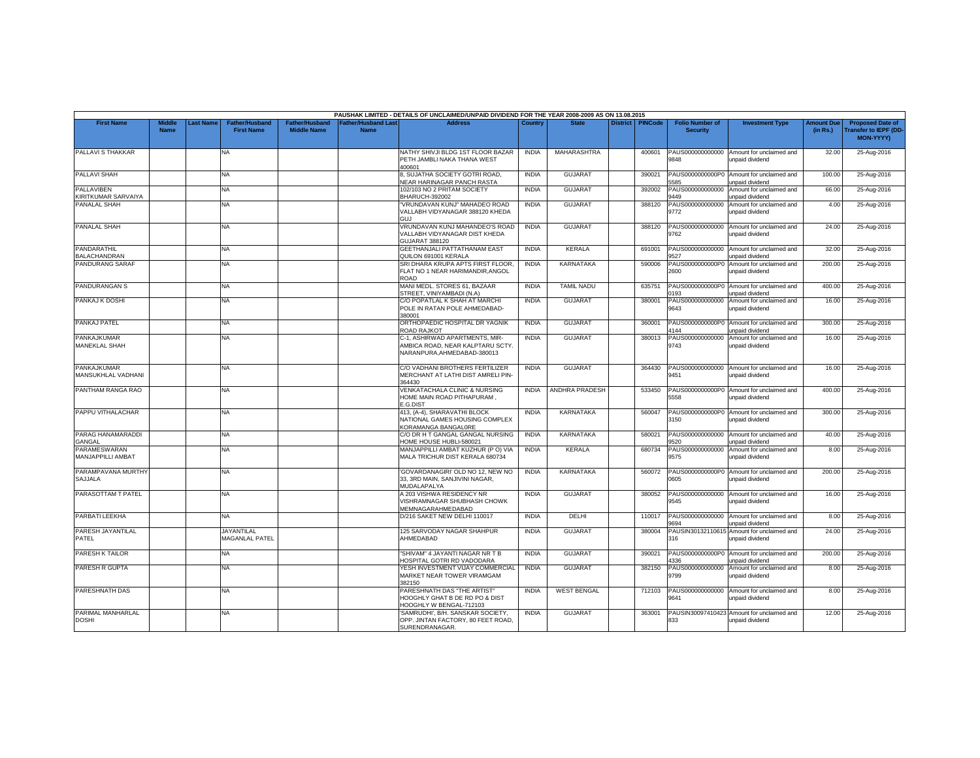|                                    |                              |          |                                            |                                             |                                          | PAUSHAK LIMITED - DETAILS OF UNCLAIMED/UNPAID DIVIDEND FOR THE YEAR 2008-2009 AS ON 13.08.2015     |              |                       |                 |                |                                           |                                                               |                               |                                                                            |
|------------------------------------|------------------------------|----------|--------------------------------------------|---------------------------------------------|------------------------------------------|----------------------------------------------------------------------------------------------------|--------------|-----------------------|-----------------|----------------|-------------------------------------------|---------------------------------------------------------------|-------------------------------|----------------------------------------------------------------------------|
| <b>First Name</b>                  | <b>Middle</b><br><b>Name</b> | ast Name | <b>Father/Husband</b><br><b>First Name</b> | <b>Father/Husband</b><br><b>Middle Name</b> | <b>Father/Husband Las</b><br><b>Name</b> | <b>Address</b>                                                                                     | Country      | <b>State</b>          | <b>District</b> | <b>PINCode</b> | <b>Folio Number of</b><br><b>Security</b> | <b>Investment Type</b>                                        | <b>Amount Due</b><br>(in Rs.) | <b>Proposed Date of</b><br><b>Transfer to IEPF (DD</b><br><b>MON-YYYY)</b> |
| PALLAVI S THAKKAR                  |                              |          | <b>NA</b>                                  |                                             |                                          | NATHY SHIVJI BLDG 1ST FLOOR BAZAR<br>PETH JAMBLI NAKA THANA WEST<br>400601                         | <b>INDIA</b> | MAHARASHTRA           |                 | 400601         | PAUS000000000000<br>9848                  | Amount for unclaimed and<br>unpaid dividend                   | 32.00                         | 25-Aug-2016                                                                |
| PALLAVI SHAH                       |                              |          | <b>NA</b>                                  |                                             |                                          | 3, SUJATHA SOCIETY GOTRI ROAD,<br>VEAR HARINAGAR PANCH RASTA                                       | <b>INDIA</b> | <b>GUJARAT</b>        |                 | 390021         | PAUS0000000000P0<br>585                   | Amount for unclaimed and<br>unpaid dividend                   | 100.00                        | 25-Aug-2016                                                                |
| PALLAVIBEN<br>KIRITKUMAR SARVAIYA  |                              |          | <b>NA</b>                                  |                                             |                                          | 102/103 NO 2 PRITAM SOCIETY<br><b>BHARUCH-392002</b>                                               | <b>INDIA</b> | <b>GUJARAT</b>        |                 | 392002         | PAUS000000000000<br>9449                  | Amount for unclaimed and<br>unpaid dividend                   | 66.00                         | 25-Aug-2016                                                                |
| PANALAL SHAH                       |                              |          | NA.                                        |                                             |                                          | VRUNDAVAN KUNJ" MAHADEO ROAD<br>VALLABH VIDYANAGAR 388120 KHEDA<br><b>GUJ</b>                      | <b>INDIA</b> | <b>GUJARAT</b>        |                 | 388120         | PAUS000000000000<br>9772                  | Amount for unclaimed and<br>unpaid dividend                   | 4.00                          | 25-Aug-2016                                                                |
| PANALAL SHAH                       |                              |          | <b>NA</b>                                  |                                             |                                          | VRUNDAVAN KUNJ MAHANDEO'S ROAD<br>VALLABH VIDYANAGAR DIST KHEDA<br><b>GUJARAT 388120</b>           | <b>INDIA</b> | <b>GUJARAT</b>        |                 | 388120         | PAUS000000000000<br>9762                  | Amount for unclaimed and<br>unpaid dividend                   | 24.00                         | 25-Aug-2016                                                                |
| PANDARATHIL<br><b>BALACHANDRAN</b> |                              |          | NA                                         |                                             |                                          | GEETHANJALI PATTATHANAM EAST<br>QUILON 691001 KERALA                                               | <b>INDIA</b> | KERALA                |                 | 691001         | PAUS000000000000<br>9527                  | Amount for unclaimed and<br>unpaid dividend                   | 32.00                         | 25-Aug-2016                                                                |
| PANDURANG SARAF                    |                              |          | NA                                         |                                             |                                          | SRI DHARA KRUPA APTS FIRST FLOOR<br>FLAT NO 1 NEAR HARIMANDIR, ANGOL<br>ROAD                       | <b>INDIA</b> | KARNATAKA             |                 | 590006         | PAUS0000000000P0<br>2600                  | Amount for unclaimed and<br>unpaid dividend                   | 200.00                        | 25-Aug-2016                                                                |
| PANDURANGAN S                      |                              |          | NA.                                        |                                             |                                          | MANI MEDL. STORES 61, BAZAAR<br>STREET, VINIYAMBADI (N.A)                                          | <b>INDIA</b> | <b>TAMIL NADU</b>     |                 | 635751         | PAUS0000000000P0<br>1193                  | Amount for unclaimed and<br>unpaid dividend                   | 400.00                        | 25-Aug-2016                                                                |
| PANKAJ K DOSHI                     |                              |          | <b>NA</b>                                  |                                             |                                          | C/O POPATLAL K SHAH AT MARCHI<br>POLE IN RATAN POLE AHMEDABAD-<br>380001                           | <b>INDIA</b> | <b>GUJARAT</b>        |                 | 380001         | PAUS000000000000<br>9643                  | Amount for unclaimed and<br>unpaid dividend                   | 16.00                         | 25-Aug-2016                                                                |
| PANKAJ PATEL                       |                              |          | <b>NA</b>                                  |                                             |                                          | ORTHOPAEDIC HOSPITAL DR YAGNIK<br>ROAD RAJKOT                                                      | <b>INDIA</b> | <b>GUJARAT</b>        |                 | 360001         | PAUS0000000000P0<br>4144                  | Amount for unclaimed and<br>unpaid dividend                   | 300.00                        | 25-Aug-2016                                                                |
| PANKAJKUMAR<br>MANEKLAL SHAH       |                              |          | <b>NA</b>                                  |                                             |                                          | C-1, ASHIRWAD APARTMENTS, MIR-<br>AMBICA ROAD, NEAR KALPTARU SCTY.<br>NARANPURA, AHMEDABAD-380013  | <b>INDIA</b> | <b>GUJARA1</b>        |                 | 380013         | PAUS000000000000<br>9743                  | Amount for unclaimed and<br>unpaid dividend                   | 16.00                         | 25-Aug-2016                                                                |
| PANKAJKUMAR<br>MANSUKHLAL VADHANI  |                              |          | NA.                                        |                                             |                                          | C/O VADHANI BROTHERS FERTILIZER<br>MERCHANT AT LATHI DIST AMRELI PIN-<br>364430                    | <b>INDIA</b> | <b>GUJARAT</b>        |                 | 364430         | PAUS000000000000<br>9451                  | Amount for unclaimed and<br>unpaid dividend                   | 16.00                         | 25-Aug-2016                                                                |
| PANTHAM RANGA RAO                  |                              |          | <b>NA</b>                                  |                                             |                                          | /ENKATACHALA CLINIC & NURSING<br>HOME MAIN ROAD PITHAPURAM,<br>E.G.DIST                            | <b>INDIA</b> | <b>ANDHRA PRADESH</b> |                 | 533450         | 5558                                      | PAUS0000000000P0 Amount for unclaimed and<br>unpaid dividend  | 400.00                        | 25-Aug-2016                                                                |
| PAPPU VITHALACHAR                  |                              |          | NA                                         |                                             |                                          | 413, (A-4), SHARAVATHI BLOCK<br>NATIONAL GAMES HOUSING COMPLEX<br>KORAMANGA BANGAL0RE              | <b>INDIA</b> | <b>KARNATAKA</b>      |                 | 560047         | 3150                                      | PAUS0000000000P0 Amount for unclaimed and<br>unpaid dividend  | 300.00                        | 25-Aug-2016                                                                |
| PARAG HANAMARADDI<br><b>GANGAL</b> |                              |          | <b>NA</b>                                  |                                             |                                          | C/O DR H T GANGAL GANGAL NURSING<br>OME HOUSE HUBLI-580021                                         | <b>INDIA</b> | <b>KARNATAKA</b>      |                 | 580021         | PAUS000000000000<br>3520                  | Amount for unclaimed and<br><b>Inpaid dividend</b>            | 40.00                         | 25-Aug-2016                                                                |
| PARAMESWARAN<br>MANJAPPILLI AMBAT  |                              |          | <b>NA</b>                                  |                                             |                                          | MANJAPPILLI AMBAT KUZHUR (P O) VIA<br>MALA TRICHUR DIST KERALA 680734                              | <b>INDIA</b> | KERALA                |                 | 680734         | PAUS000000000000<br>9575                  | Amount for unclaimed and<br>unpaid dividend                   | 8.00                          | 25-Aug-2016                                                                |
| PARAMPAVANA MURTHY<br>SAJJALA      |                              |          | <b>NA</b>                                  |                                             |                                          | 'GOVARDANAGIRI' OLD NO 12, NEW NO<br>33, 3RD MAIN, SANJIVINI NAGAR,<br>MUDALAPALYA                 | <b>INDIA</b> | <b>KARNATAKA</b>      |                 | 560072         | PAUS0000000000P0<br>0605                  | Amount for unclaimed and<br>unpaid dividend                   | 200.00                        | 25-Aug-2016                                                                |
| PARASOTTAM T PATEL                 |                              |          | <b>NA</b>                                  |                                             |                                          | A 203 VISHWA RESIDENCY NR<br>/ISHRAMNAGAR SHUBHASH CHOWK<br><b>MEMNAGARAHMEDABAD</b>               | <b>INDIA</b> | <b>GUJARAT</b>        |                 | 380052         | PAUS000000000000<br>9545                  | Amount for unclaimed and<br>unpaid dividend                   | 16.00                         | 25-Aug-2016                                                                |
| PARBATI LEEKHA                     |                              |          | <b>NA</b>                                  |                                             |                                          | D/216 SAKET NEW DELHI 110017                                                                       | <b>INDIA</b> | DELHI                 |                 | 110017         | PAUS000000000000<br>9694                  | Amount for unclaimed and<br>unpaid dividend                   | 8.00                          | 25-Aug-2016                                                                |
| PARESH JAYANTILAL<br>PATEL         |                              |          | <b>JAYANTILAL</b><br>MAGANLAL PATEL        |                                             |                                          | 125 SARVODAY NAGAR SHAHPUR<br>AHMEDABAD                                                            | <b>INDIA</b> | <b>GUJARAT</b>        |                 | 380004         | PAUSIN30132110615<br>316                  | Amount for unclaimed and<br>unpaid dividend                   | 24.00                         | 25-Aug-2016                                                                |
| PARESH K TAILOR                    |                              |          | NA                                         |                                             |                                          | "SHIVAM" 4 JAYANTI NAGAR NR T B<br><b>JOSPITAL GOTRI RD VADODARA</b>                               | <b>INDIA</b> | <b>GUJARAT</b>        |                 | 390021         | PAUS0000000000P0<br>1336                  | Amount for unclaimed and<br>unpaid dividend                   | 200.00                        | 25-Aug-2016                                                                |
| PARESH R GUPTA                     |                              |          | NA                                         |                                             |                                          | YESH INVESTMENT VIJAY COMMERCIAL<br>MARKET NEAR TOWER VIRAMGAM<br>382150                           | <b>INDIA</b> | <b>GUJARAT</b>        |                 | 382150         | PAUS000000000000<br>9799                  | Amount for unclaimed and<br>unpaid dividend                   | 8.00                          | 25-Aug-2016                                                                |
| PARESHNATH DAS                     |                              |          | <b>NA</b>                                  |                                             |                                          | PARESHNATH DAS "THE ARTIST"<br><b>HOOGHLY GHAT B DE RD PO &amp; DIST</b><br>OOGHLY W BENGAL-712103 | <b>INDIA</b> | <b>WEST BENGAL</b>    |                 | 712103         | PAUS000000000000<br>9641                  | Amount for unclaimed and<br>unpaid dividend                   | 8.00                          | 25-Aug-2016                                                                |
| PARIMAL MANHARLAL<br><b>DOSHI</b>  |                              |          | NA                                         |                                             |                                          | SAMRUDHI', B/H. SANSKAR SOCIETY,<br>OPP. JINTAN FACTORY, 80 FEET ROAD,<br>SURENDRANAGAR.           | <b>INDIA</b> | <b>GUJARAT</b>        |                 | 363001         | 833                                       | PAUSIN30097410423 Amount for unclaimed and<br>unpaid dividend | 12.00                         | 25-Aug-2016                                                                |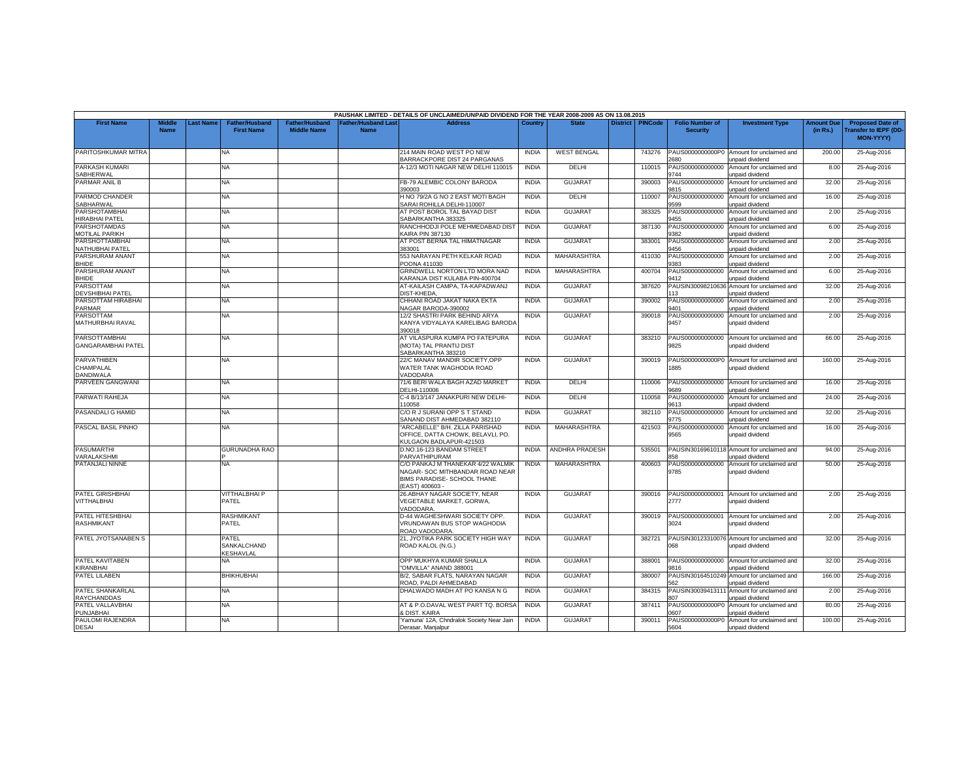|                                                   |                              |           |                                            |                                             |                                           | PAUSHAK LIMITED - DETAILS OF UNCLAIMED/UNPAID DIVIDEND FOR THE YEAR 2008-2009 AS ON 13.08.2015                        |              |                       |                 |                |                                           |                                                                |                               |                                                                            |
|---------------------------------------------------|------------------------------|-----------|--------------------------------------------|---------------------------------------------|-------------------------------------------|-----------------------------------------------------------------------------------------------------------------------|--------------|-----------------------|-----------------|----------------|-------------------------------------------|----------------------------------------------------------------|-------------------------------|----------------------------------------------------------------------------|
| <b>First Name</b>                                 | <b>Middle</b><br><b>Name</b> | Last Name | <b>Father/Husband</b><br><b>First Name</b> | <b>Father/Husband</b><br><b>Middle Name</b> | <b>Father/Husband Last</b><br><b>Name</b> | <b>Address</b>                                                                                                        | Country      | <b>State</b>          | <b>District</b> | <b>PINCode</b> | <b>Folio Number of</b><br><b>Security</b> | <b>Investment Type</b>                                         | <b>Amount Due</b><br>(in Rs.) | <b>Proposed Date of</b><br><b>Transfer to IEPF (DD</b><br><b>MON-YYYYY</b> |
| PARITOSHKUMAR MITRA                               |                              |           | NA                                         |                                             |                                           | 214 MAIN ROAD WEST PO NEW<br>BARRACKPORE DIST 24 PARGANAS                                                             | <b>INDIA</b> | <b>WEST BENGAL</b>    |                 | 743276         | PAUS0000000000P0<br>2680                  | Amount for unclaimed and<br>unpaid dividend                    | 200.00                        | 25-Aug-2016                                                                |
| PARKASH KUMARI<br>SABHERWAL                       |                              |           | <b>NA</b>                                  |                                             |                                           | A-12/3 MOTI NAGAR NEW DELHI 110015                                                                                    | <b>INDIA</b> | DELHI                 |                 | 110015         | PAUS000000000000<br>3744                  | Amount for unclaimed and<br>inpaid dividend                    | 8.00                          | 25-Aug-2016                                                                |
| PARMAR ANIL B                                     |                              |           | NA                                         |                                             |                                           | FB-79 ALEMBIC COLONY BARODA<br>390003                                                                                 | <b>INDIA</b> | <b>GUJARAT</b>        |                 | 390003         | PAUS000000000000<br>9815                  | Amount for unclaimed and<br>unpaid dividend                    | 32.00                         | 25-Aug-2016                                                                |
| PARMOD CHANDER<br>SABHARWAL                       |                              |           | NA                                         |                                             |                                           | H NO 79/2A G NO 2 EAST MOTI BAGH<br>ARAI ROHILLA DELHI-110007                                                         | <b>INDIA</b> | DELHI                 |                 | 110007         | PAUS000000000000<br>9599                  | Amount for unclaimed and<br>unpaid dividend                    | 16.00                         | 25-Aug-2016                                                                |
| PARSHOTAMBHAI<br>HIRABHAI PATEL                   |                              |           | NA                                         |                                             |                                           | AT POST BOROL TAL BAYAD DIST<br>SABARKANTHA 383325                                                                    | <b>INDIA</b> | <b>GUJARAT</b>        |                 | 383325         | PAUS000000000000<br>455                   | Amount for unclaimed and<br>inpaid dividend                    | 2.00                          | 25-Aug-2016                                                                |
| PARSHOTAMDAS<br><b>MOTILAL PARIKH</b>             |                              |           | NA                                         |                                             |                                           | RANCHHODJI POLE MEHMEDABAD DIST<br><b>KAIRA PIN 387130</b>                                                            | <b>INDIA</b> | <b>GUJARAT</b>        |                 | 387130         | PAUS000000000000<br>382                   | Amount for unclaimed and<br>unpaid dividend                    | 6.00                          | 25-Aug-2016                                                                |
| PARSHOTTAMBHA<br>NATHUBHAI PATEL                  |                              |           | NA                                         |                                             |                                           | AT POST BERNA TAL HIMATNAGAR<br>383001                                                                                | <b>INDIA</b> | <b>GUJARAT</b>        |                 | 383001         | PAUS000000000000<br>9456                  | Amount for unclaimed and<br>unpaid dividend                    | 2.00                          | 25-Aug-2016                                                                |
| PARSHURAM ANANT<br><b>BHIDE</b>                   |                              |           | NA.                                        |                                             |                                           | 553 NARAYAN PETH KELKAR ROAD<br>POONA 411030                                                                          | <b>INDIA</b> | <b>MAHARASHTRA</b>    |                 | 411030         | PAUS000000000000<br>9383                  | Amount for unclaimed and<br>unpaid dividend                    | 2.00                          | 25-Aug-2016                                                                |
| PARSHURAM ANANT<br><b>BHIDE</b>                   |                              |           | NA                                         |                                             |                                           | GRINDWELL NORTON LTD MORA NAD<br><b>KARANJA DIST KULABA PIN-400704</b>                                                | INDIA        | MAHARASHTRA           |                 | 400704         | PAUS000000000000<br>9412                  | Amount for unclaimed and<br><b>Inpaid dividend</b>             | 6.00                          | 25-Aug-2016                                                                |
| PARSOTTAM<br><b>DEVSHIBHAI PATEL</b>              |                              |           | NA                                         |                                             |                                           | AT-KAILASH CAMPA, TA-KAPADWANJ<br>DIST-KHEDA.                                                                         | <b>INDIA</b> | GUJARAT               |                 | 387620         | PAUSIN3009821063<br>13                    | Amount for unclaimed and                                       | 32.00                         | 25-Aug-2016                                                                |
| PARSOTTAM HIRABHAI                                |                              |           | <b>NA</b>                                  |                                             |                                           | CHHANI ROAD JAKAT NAKA EKTA                                                                                           | <b>INDIA</b> | <b>GUJARAT</b>        |                 | 390002         | PAUS000000000000                          | unpaid dividend<br>Amount for unclaimed and                    | 2.00                          | 25-Aug-2016                                                                |
| <b>PARMAR</b><br>PARSOTTAM<br>MATHURBHAI RAVAL    |                              |           | NA                                         |                                             |                                           | VAGAR BARODA-390002<br>12/2 SHASTRI PARK BEHIND ARYA<br>KANYA VIDYALAYA KARELIBAG BARODA                              | <b>INDIA</b> | <b>GUJARAT</b>        |                 | 390018         | 9401<br>PAUS000000000000<br>9457          | unpaid dividend<br>Amount for unclaimed and<br>unpaid dividend | 2.00                          | 25-Aug-2016                                                                |
| <b>PARSOTTAMBHAI</b><br><b>GANGARAMBHAI PATEL</b> |                              |           | NA                                         |                                             |                                           | 390018<br>AT VILASPURA KUMPA PO FATEPURA<br>(MOTA) TAL PRANTIJ DIST                                                   | <b>INDIA</b> | <b>GUJARAT</b>        |                 | 383210         | PAUS000000000000<br>9825                  | Amount for unclaimed and<br>unpaid dividend                    | 66.00                         | 25-Aug-2016                                                                |
| <b>PARVATHIBEN</b>                                |                              |           | NA.                                        |                                             |                                           | SABARKANTHA 383210<br>22/C MANAV MANDIR SOCIETY.OPP                                                                   | <b>INDIA</b> | GUJARAT               |                 | 390019         |                                           | PAUS0000000000P0 Amount for unclaimed and                      | 160.00                        | 25-Aug-2016                                                                |
| CHAMPALAL<br><b>DANDIWALA</b>                     |                              |           |                                            |                                             |                                           | WATER TANK WAGHODIA ROAD<br><b>ADODARA</b>                                                                            |              |                       |                 |                | 1885                                      | unpaid dividend                                                |                               |                                                                            |
| PARVEEN GANGWANI                                  |                              |           | <b>NA</b>                                  |                                             |                                           | 71/6 BERI WALA BAGH AZAD MARKET<br>DELHI-110006                                                                       | <b>INDIA</b> | DELHI                 |                 | 110006         | PAUS000000000000<br>689                   | Amount for unclaimed and<br>inpaid dividend                    | 16.00                         | 25-Aug-2016                                                                |
| PARWATI RAHEJA                                    |                              |           | NA                                         |                                             |                                           | C-4 B/13/147 JANAKPURI NEW DELHI-<br>10058                                                                            | <b>INDIA</b> | DELHI                 |                 | 110058         | PAUS000000000000<br>9613                  | Amount for unclaimed and<br>unpaid dividend                    | 24.00                         | 25-Aug-2016                                                                |
| PASANDALI G HAMID                                 |                              |           | NA                                         |                                             |                                           | C/O R J SURANI OPP S T STAND<br>SANAND DIST AHMEDABAD 382110                                                          | <b>INDIA</b> | <b>GUJARAT</b>        |                 | 382110         | PAUS000000000000<br>9775                  | Amount for unclaimed and<br>unpaid dividend                    | 32.00                         | 25-Aug-2016                                                                |
| PASCAL BASIL PINHO                                |                              |           | NA                                         |                                             |                                           | 'ARCABELLE" B/H. ZILLA PARISHAD<br>OFFICE, DATTA CHOWK, BELAVLI, PO.<br>KULGAON BADLAPUR-421503                       | <b>INDIA</b> | MAHARASHTRA           |                 | 421503         | PAUS000000000000<br>9565                  | Amount for unclaimed and<br>unpaid dividend                    | 16.00                         | 25-Aug-2016                                                                |
| PASUMARTHI<br>VARALAKSHMI                         |                              |           | <b>GURUNADHA RAO</b>                       |                                             |                                           | D.NO.16-123 BANDAM STREET<br>PARVATHIPURAM                                                                            | <b>INDIA</b> | <b>ANDHRA PRADESH</b> |                 | 535501         | 858                                       | PAUSIN30169610118 Amount for unclaimed and<br>unpaid dividend  | 94.00                         | 25-Aug-2016                                                                |
| PATANJALI NINNE                                   |                              |           | NA.                                        |                                             |                                           | C/O PANKAJ M THANEKAR 4/22 WALMIK<br>NAGAR- SOC MITHBANDAR ROAD NEAR<br>BIMS PARADISE- SCHOOL THANE<br>EAST) 400603 - | <b>INDIA</b> | <b>MAHARASHTRA</b>    |                 | 400603         | PAUS000000000000<br>9785                  | Amount for unclaimed and<br>unpaid dividend                    | 50.00                         | 25-Aug-2016                                                                |
| PATEL GIRISHBHAI<br>VITTHALBHAI                   |                              |           | <b>VITTHALBHAI P</b><br>PATEL              |                                             |                                           | 26.ABHAY NAGAR SOCIETY, NEAR<br>VEGETABLE MARKET, GORWA,<br><b>ADODARA</b>                                            | <b>INDIA</b> | <b>GUJARAT</b>        |                 | 390016         | PAUS000000000001<br>2777                  | Amount for unclaimed and<br>unpaid dividend                    | 2.00                          | 25-Aug-2016                                                                |
| PATEL HITESHBHAI<br><b>RASHMIKANT</b>             |                              |           | RASHMIKANT<br>PATEL                        |                                             |                                           | D-44 WAGHESHWARI SOCIETY OPP.<br>VRUNDAWAN BUS STOP WAGHODIA<br><b>ROAD VADODARA</b>                                  | <b>INDIA</b> | <b>GUJARAT</b>        |                 | 390019         | PAUS000000000001<br>3024                  | Amount for unclaimed and<br>unpaid dividend                    | 2.00                          | 25-Aug-2016                                                                |
| PATEL JYOTSANABEN S                               |                              |           | PATEL<br>SANKALCHAND<br><b>KESHAVLAL</b>   |                                             |                                           | 21, JYOTIKA PARK SOCIETY HIGH WAY<br>ROAD KALOL (N.G.)                                                                | <b>INDIA</b> | <b>GUJARAT</b>        |                 | 382721         | 880                                       | PAUSIN30123310076 Amount for unclaimed and<br>unpaid dividend  | 32.00                         | 25-Aug-2016                                                                |
| PATEL KAVITABEN<br>KIRANBHAI                      |                              |           | NA                                         |                                             |                                           | OPP MUKHYA KUMAR SHALLA<br>'OMVILLA" ANAND 388001                                                                     | <b>INDIA</b> | <b>GUJARAT</b>        |                 | 388001         | PAUS000000000000<br>9816                  | Amount for unclaimed and<br>unpaid dividend                    | 32.00                         | 25-Aug-2016                                                                |
| PATEL LILABEN                                     |                              |           | BHIKHUBHAI                                 |                                             |                                           | B/2, SABAR FLATS, NARAYAN NAGAR<br>ROAD, PALDI AHMEDABAD                                                              | <b>INDIA</b> | <b>GUJARAT</b>        |                 | 380007         | PAUSIN3016451024<br>562                   | Amount for unclaimed and<br>unpaid dividend                    | 166.00                        | 25-Aug-2016                                                                |
| PATEL SHANKARLAL<br><b>RAYCHANDDAS</b>            |                              |           | NA                                         |                                             |                                           | DHALWADO MADH AT PO KANSA N G                                                                                         | <b>INDIA</b> | <b>GUJARAT</b>        |                 | 384315         | PAUSIN3003941311<br><b>107</b>            | Amount for unclaimed and<br>unpaid dividend                    | 2.00                          | 25-Aug-2016                                                                |
| PATEL VALLAVBHAI<br>PUNJABHAI                     |                              |           | NA.                                        |                                             |                                           | AT & P.O.DAVAL WEST PART TO, BORSA<br><b>DIST. KAIRA</b>                                                              | <b>INDIA</b> | <b>GUJARAT</b>        |                 | 387411         | PAUS0000000000P0<br><b>607</b>            | Amount for unclaimed and<br>inpaid dividend                    | 80.00                         | 25-Aug-2016                                                                |
| PAULOMI RAJENDRA<br><b>DESAI</b>                  |                              |           | NA                                         |                                             |                                           | Yamuna' 12A, Chndralok Society Near Jair<br>Derasar, Manjalpur                                                        | <b>INDIA</b> | <b>GUJARA1</b>        |                 | 390011         | PAUS0000000000P0<br>5604                  | Amount for unclaimed and<br>unpaid dividend                    | 100.00                        | 25-Aug-2016                                                                |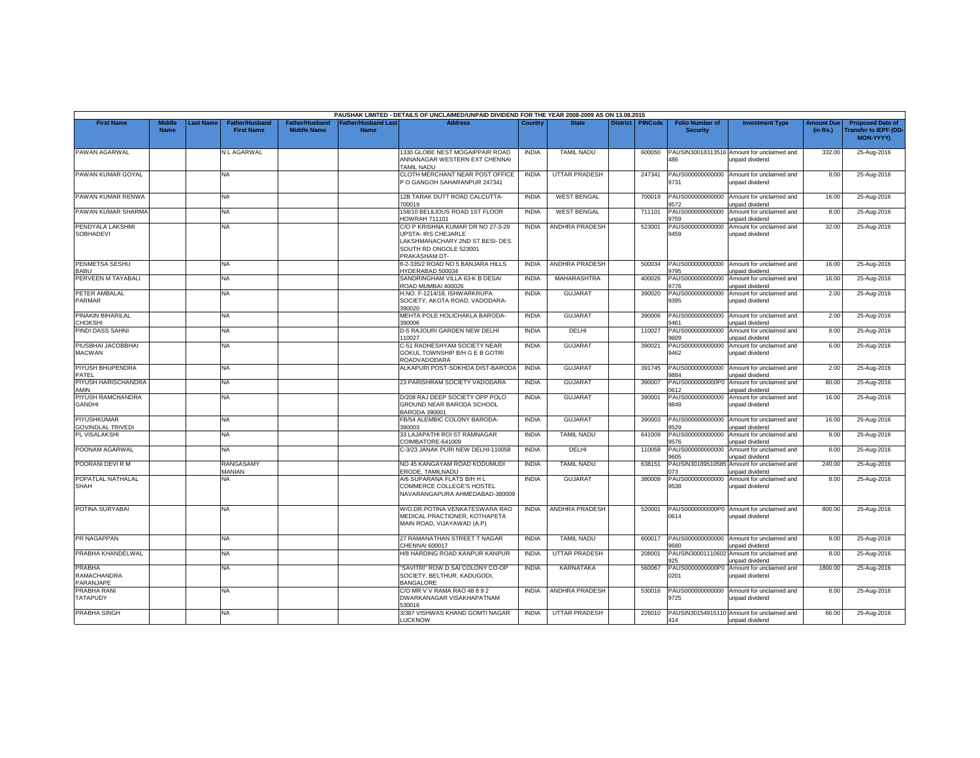|                                                  |                       |                 |                                            |                                      |                                           | PAUSHAK LIMITED - DETAILS OF UNCLAIMED/UNPAID DIVIDEND FOR THE YEAR 2008-2009 AS ON 13.08.2015                                         |              |                       |                 |                |                                           |                                                                     |                               |                                                                            |
|--------------------------------------------------|-----------------------|-----------------|--------------------------------------------|--------------------------------------|-------------------------------------------|----------------------------------------------------------------------------------------------------------------------------------------|--------------|-----------------------|-----------------|----------------|-------------------------------------------|---------------------------------------------------------------------|-------------------------------|----------------------------------------------------------------------------|
| <b>First Name</b>                                | Middle<br><b>Name</b> | <b>ast Name</b> | <b>Father/Husband</b><br><b>First Name</b> | Father/Husband<br><b>Middle Name</b> | <b>Father/Husband Last</b><br><b>Name</b> | <b>Address</b>                                                                                                                         | Country      | <b>State</b>          | <b>District</b> | <b>PINCode</b> | <b>Folio Number of</b><br><b>Security</b> | <b>Investment Type</b>                                              | <b>Amount Due</b><br>(in Rs.) | <b>Proposed Date of</b><br><b>Transfer to IEPF (DD</b><br><b>MON-YYYYY</b> |
| PAWAN AGARWAL                                    |                       |                 | N L AGARWAL                                |                                      |                                           | 1330 GLOBE NEST MOGAIPPAIR ROAD<br>ANNANAGAR WESTERN EXT CHENNAI<br><b>TAMIL NADU</b>                                                  | <b>INDIA</b> | <b>TAMIL NADU</b>     |                 | 600050         | PAUSIN30018313516<br>486                  | Amount for unclaimed and<br>inpaid dividend                         | 332.00                        | 25-Aug-2016                                                                |
| PAWAN KUMAR GOYAL                                |                       |                 | NA                                         |                                      |                                           | CLOTH MERCHANT NEAR POST OFFICE<br>PO GANGOH SAHARANPUR 247341                                                                         | <b>INDIA</b> | <b>UTTAR PRADESH</b>  |                 | 247341         | PAUS000000000000<br>9731                  | Amount for unclaimed and<br>unpaid dividend                         | 8.00                          | 25-Aug-2016                                                                |
| PAWAN KUMAR RENWA                                |                       |                 | NA                                         |                                      |                                           | 12B TARAK DUTT ROAD CALCUTTA-<br>700019                                                                                                | <b>INDIA</b> | <b>WEST BENGAL</b>    |                 | 700019         | PAUS000000000000<br>572                   | Amount for unclaimed and<br><b>Inpaid dividend</b>                  | 16.00                         | 25-Aug-2016                                                                |
| PAWAN KUMAR SHARMA                               |                       |                 | NA                                         |                                      |                                           | 158/10 BELILIOUS ROAD 1ST FLOOR<br>HOWRAH 711101                                                                                       | <b>INDIA</b> | <b>WEST BENGAL</b>    |                 | 711101         | PAUS000000000000<br>9759                  | Amount for unclaimed and<br>unpaid dividend                         | 8.00                          | 25-Aug-2016                                                                |
| PENDYALA LAKSHMI<br><b>SOBHADEVI</b>             |                       |                 | NA.                                        |                                      |                                           | C/O P KRISHNA KUMAR DR NO 27-3-29<br>UPSTA- IRS CHEJARLE<br>LAKSHMANACHARY 2ND ST BESI- DES<br>SOUTH RD ONGOLE 523001<br>PRAKASHAM DT- | <b>INDIA</b> | <b>ANDHRA PRADESH</b> |                 | 523001         | PAUS000000000000<br>9459                  | Amount for unclaimed and<br>unpaid dividend                         | 32.00                         | 25-Aug-2016                                                                |
| PENMETSA SESHU<br><b>BABU</b>                    |                       |                 | NA.                                        |                                      |                                           | 8-2-335/2 ROAD NO 5 BANJARA HILLS<br>YDERABAD 500034                                                                                   | <b>INDIA</b> | <b>ANDHRA PRADESH</b> |                 | 500034         | PAUS000000000000<br>9795                  | Amount for unclaimed and<br>unpaid dividend                         | 16.00                         | 25-Aug-2016                                                                |
| PERVEEN M TAYABALI                               |                       |                 | NA                                         |                                      |                                           | SANDRINGHAM VILLA 63-K B DESAI<br>ROAD MUMBAI 400026                                                                                   | <b>INDIA</b> | <b>MAHARASHTRA</b>    |                 | 400026         | PAUS000000000000<br>9776                  | Amount for unclaimed and<br>unpaid dividend                         | 16.00                         | 25-Aug-2016                                                                |
| PETER AMBALAL<br>PARMAR                          |                       |                 | NA.                                        |                                      |                                           | H.NO. F-1214/18, ISHWARKRUPA<br>SOCIETY, AKOTA ROAD, VADODARA-<br>390020                                                               | <b>INDIA</b> | <b>GUJARA1</b>        |                 | 390020         | PAUS000000000000<br>9395                  | Amount for unclaimed and<br>unpaid dividend                         | 2.00                          | 25-Aug-2016                                                                |
| PINAKIN BIHARILAL<br>CHOKSHI                     |                       |                 | NA                                         |                                      |                                           | MEHTA POLE HOLICHAKLA BARODA-<br>390006                                                                                                | <b>INDIA</b> | <b>GUJARAT</b>        |                 | 390006         | PAUS000000000000<br>9461                  | Amount for unclaimed and<br>unpaid dividend                         | 2.00                          | 25-Aug-2016                                                                |
| PINDI DASS SAHNI                                 |                       |                 | NA                                         |                                      |                                           | D-5 RAJOURI GARDEN NEW DELHI<br>10027                                                                                                  | <b>INDIA</b> | DELHI                 |                 | 110027         | PAUS000000000000<br>8069                  | Amount for unclaimed and<br>unpaid dividend                         | 8.00                          | 25-Aug-2016                                                                |
| PIUSBHAI JACOBBHAI<br><b>MACWAN</b>              |                       |                 | NA                                         |                                      |                                           | C-51 RADHESHYAM SOCIETY NEAR<br>GOKUL TOWNSHIP B/H G E B GOTRI<br>ROADVADODARA                                                         | <b>INDIA</b> | <b>GUJARA1</b>        |                 | 390021         | PAUS000000000000<br>9462                  | Amount for unclaimed and<br>unpaid dividend                         | 6.00                          | 25-Aug-2016                                                                |
| PIYUSH BHUPENDRA<br>PATEL                        |                       |                 | NA                                         |                                      |                                           | ALKAPURI POST-SOKHDA DIST-BARODA                                                                                                       | <b>INDIA</b> | <b>GUJARAT</b>        |                 | 391745         | PAUS000000000000<br>3884                  | Amount for unclaimed and<br><b>Inpaid dividend</b>                  | 2.00                          | 25-Aug-2016                                                                |
| PIYUSH HARISCHANDRA<br><b>AMIN</b>               |                       |                 | NA                                         |                                      |                                           | 23 PARISHRAM SOCIETY VADODARA                                                                                                          | <b>INDIA</b> | <b>GUJARAT</b>        |                 | 390007         | PAUS0000000000P0<br>0612                  | Amount for unclaimed and<br>unpaid dividend                         | 80.00                         | 25-Aug-2016                                                                |
| PIYUSH RAMCHANDRA<br><b>GANDHI</b>               |                       |                 | NA.                                        |                                      |                                           | D/208 RAJ DEEP SOCIETY OPP POLO<br>GROUND NEAR BARODA SCHOOL<br><b>BARODA 390001</b>                                                   | <b>INDIA</b> | GUJARAT               |                 | 390001         | PAUS000000000000<br>9849                  | Amount for unclaimed and<br>unpaid dividend                         | 16.00                         | 25-Aug-2016                                                                |
| PIYUSHKUMAR<br><b>GOVINDLAL TRIVEDI</b>          |                       |                 | NA.                                        |                                      |                                           | FB/54 ALEMBIC COLONY BARODA-<br>390003                                                                                                 | <b>INDIA</b> | <b>GUJARAT</b>        |                 | 390003         | PAUS000000000000<br>9529                  | Amount for unclaimed and<br>unpaid dividend                         | 16.00                         | 25-Aug-2016                                                                |
| PL VISALAKSHI                                    |                       |                 | NA                                         |                                      |                                           | 33 LAJAPATHI ROI ST RAMNAGAR<br>COIMBATORE-641009                                                                                      | <b>INDIA</b> | <b>TAMIL NADU</b>     |                 | 641009         | PAUS000000000000<br>9576                  | Amount for unclaimed and<br>unpaid dividend                         | 8.00                          | 25-Aug-2016                                                                |
| POONAM AGARWAL                                   |                       |                 | NA                                         |                                      |                                           | C-3/23 JANAK PURI NEW DELHI-110058                                                                                                     | <b>INDIA</b> | <b>DELHI</b>          |                 | 110058         | PAUS000000000000<br>9605                  | Amount for unclaimed and<br><b>Inpaid dividend</b>                  | 8.00                          | 25-Aug-2016                                                                |
| POORANI DEVI R M                                 |                       |                 | RANGASAMY<br>MANIAN                        |                                      |                                           | NO 45 KANGAYAM ROAD KODUMUDI<br>ERODE, TAMILNADU                                                                                       | <b>INDIA</b> | <b>TAMIL NADU</b>     |                 | 638151         | PAUSIN30189510585<br>073                  | Amount for unclaimed and<br>unpaid dividend                         | 240.00                        | 25-Aug-2016                                                                |
| POPATLAL NATHALAL<br><b>SHAH</b>                 |                       |                 | NA                                         |                                      |                                           | A/6 SUPARANA FLATS B/H H L<br>COMMERCE COLLEGE'S HOSTEL<br>NAVARANGAPURA AHMEDABAD-380009                                              | <b>INDIA</b> | GUJARAT               |                 | 380009         | PAUS000000000000<br>9538                  | Amount for unclaimed and<br>unpaid dividend                         | 8.00                          | 25-Aug-2016                                                                |
| POTINA SURYABAI                                  |                       |                 | NA                                         |                                      |                                           | W/O.DR.POTINA VENKATESWARA RAO<br>MEDICAL PRACTIONER, KOTHAPETA<br>MAIN ROAD, VIJAYAWAD (A.P)                                          | <b>INDIA</b> | ANDHRA PRADESH        |                 | 520001         | 0614                                      | PAUS0000000000P0 Amount for unclaimed and<br>unpaid dividend        | 800.00                        | 25-Aug-2016                                                                |
| PR NAGAPPAN                                      |                       |                 | NA.                                        |                                      |                                           | 27 RAMANATHAN STREET T NAGAR<br>CHENNAI 600017                                                                                         | <b>INDIA</b> | <b>TAMIL NADU</b>     |                 | 600017         | 9680                                      | PAUS000000000000 Amount for unclaimed and<br><b>Inpaid dividend</b> | 8.00                          | 25-Aug-2016                                                                |
| PRABHA KHANDELWAL                                |                       |                 | NA                                         |                                      |                                           | H/8 HARDING ROAD KANPUR KANPUR                                                                                                         | <b>INDIA</b> | <b>UTTAR PRADESH</b>  |                 | 208001         | PAUSIN30001110602<br>925                  | Amount for unclaimed and<br>unpaid dividend                         | 8.00                          | 25-Aug-2016                                                                |
| <b>PRABHA</b><br><b>RAMACHANDRA</b><br>PARANJAPE |                       |                 | NA                                         |                                      |                                           | "SAVITRI" ROW D SAI COLONY CO-OP<br>SOCIETY, BELTHUR, KADUGODI,<br>BANGALORE                                                           | <b>INDIA</b> | KARNATAKA             |                 | 560067         | PAUS0000000000P0<br>0201                  | Amount for unclaimed and<br>unpaid dividend                         | 1800.00                       | 25-Aug-2016                                                                |
| <b>PRABHA RANI</b><br><b>TATAPUDY</b>            |                       |                 | NA.                                        |                                      |                                           | C/O MR V V RAMA RAO 48 8 9 2<br>DWARKANAGAR VISAKHAPATNAM<br>530016                                                                    | <b>INDIA</b> | ANDHRA PRADESH        |                 | 530016         | PAUS000000000000<br>9725                  | Amount for unclaimed and<br>unpaid dividend                         | 8.00                          | 25-Aug-2016                                                                |
| <b>PRABHA SINGH</b>                              |                       |                 | NA                                         |                                      |                                           | 3/387 VISHWAS KHAND GOMTI NAGAR<br><b>UCKNOW</b>                                                                                       | <b>INDIA</b> | <b>UTTAR PRADESH</b>  |                 | 226010         | 414                                       | PAUSIN30154915110 Amount for unclaimed and<br>unpaid dividend       | 66.00                         | 25-Aug-2016                                                                |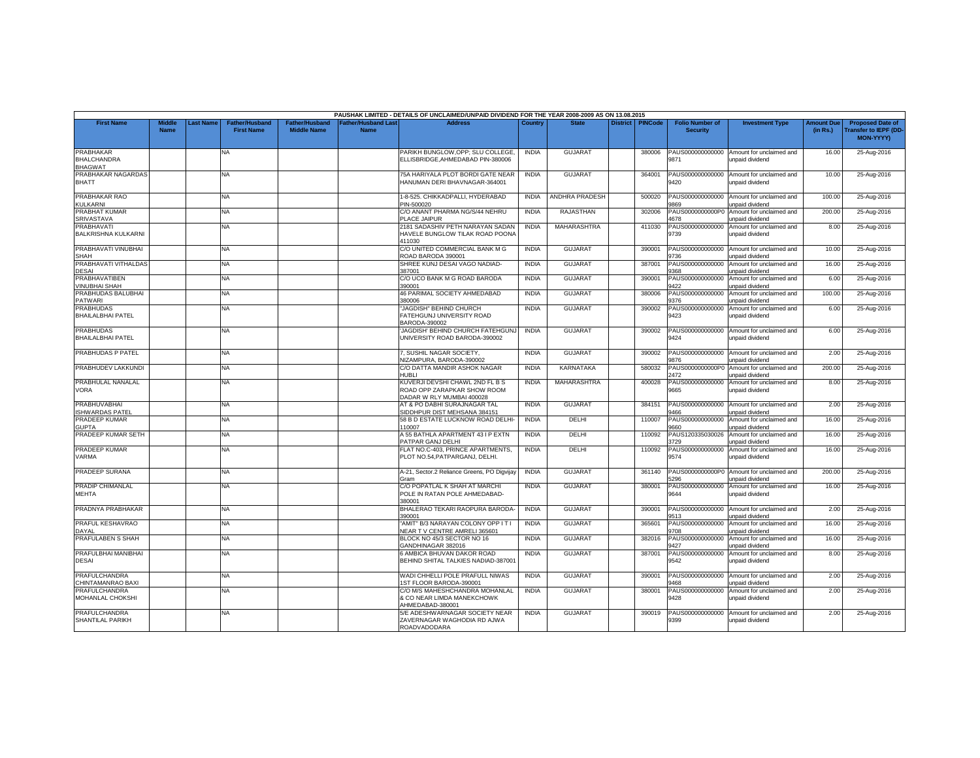|                                                   |                              |          |                                     |                                             |                                  | PAUSHAK LIMITED - DETAILS OF UNCLAIMED/UNPAID DIVIDEND FOR THE YEAR 2008-2009 AS ON 13.08.2015 |              |                       |          |                |                                           |                                             |                               |                                                                            |
|---------------------------------------------------|------------------------------|----------|-------------------------------------|---------------------------------------------|----------------------------------|------------------------------------------------------------------------------------------------|--------------|-----------------------|----------|----------------|-------------------------------------------|---------------------------------------------|-------------------------------|----------------------------------------------------------------------------|
| <b>First Name</b>                                 | <b>Middle</b><br><b>Name</b> | ast Name | Father/Husband<br><b>First Name</b> | <b>Father/Husband</b><br><b>Middle Name</b> | ather/Husband Las<br><b>Name</b> | <b>Address</b>                                                                                 | Country      | <b>State</b>          | District | <b>PINCode</b> | <b>Folio Number of</b><br><b>Security</b> | <b>Investment Type</b>                      | <b>Amount Due</b><br>(in Rs.) | <b>Proposed Date of</b><br><b>Transfer to IEPF (DD</b><br><b>MON-YYYY)</b> |
| PRABHAKAR<br><b>BHALCHANDRA</b><br><b>BHAGWAT</b> |                              |          | <b>NA</b>                           |                                             |                                  | PARIKH BUNGLOW.OPP: SLU COLLEGE.<br>ELLISBRIDGE.AHMEDABAD PIN-380006                           | <b>INDIA</b> | <b>GUJARA1</b>        |          | 380006         | PAUS000000000000<br>9871                  | Amount for unclaimed and<br>unpaid dividend | 16.00                         | 25-Aug-2016                                                                |
| PRABHAKAR NAGARDAS<br><b>BHATT</b>                |                              |          | <b>NA</b>                           |                                             |                                  | 75A HARIYALA PLOT BORDI GATE NEAR<br>HANUMAN DERI BHAVNAGAR-364001                             | <b>INDIA</b> | <b>GUJARAT</b>        |          | 364001         | PAUS000000000000<br>9420                  | Amount for unclaimed and<br>unpaid dividend | 10.00                         | 25-Aug-2016                                                                |
| PRABHAKAR RAO<br><b>KULKARNI</b>                  |                              |          | <b>NA</b>                           |                                             |                                  | 1-8-525. CHIKKADPALLI, HYDERABAD<br>PIN-500020                                                 | <b>INDIA</b> | <b>ANDHRA PRADESH</b> |          | 500020         | PAUS000000000000<br>9869                  | Amount for unclaimed and<br>unpaid dividend | 100.00                        | 25-Aug-2016                                                                |
| PRABHAT KUMAR<br><b>SRIVASTAVA</b>                |                              |          | NA.                                 |                                             |                                  | C/O ANANT PHARMA NG/S/44 NEHRU<br>PLACE JAIPUR                                                 | <b>INDIA</b> | <b>RAJASTHAN</b>      |          | 302006         | PAUS0000000000P0<br>4678                  | Amount for unclaimed and<br>unpaid dividend | 200.00                        | 25-Aug-2016                                                                |
| PRABHAVATI<br><b>BALKRISHNA KULKARNI</b>          |                              |          | <b>NA</b>                           |                                             |                                  | 2181 SADASHIV PETH NARAYAN SADAN<br>HAVELE BUNGLOW TILAK ROAD POONA<br>411030                  | <b>INDIA</b> | MAHARASHTRA           |          | 411030         | PAUS000000000000<br>9739                  | Amount for unclaimed and<br>unpaid dividend | 8.00                          | 25-Aug-2016                                                                |
| PRABHAVATI VINUBHAI<br><b>SHAH</b>                |                              |          | <b>NA</b>                           |                                             |                                  | C/O UNITED COMMERCIAL BANK M G<br>ROAD BARODA 390001                                           | <b>INDIA</b> | GUJARAT               |          | 390001         | PAUS000000000000<br>9736                  | Amount for unclaimed and<br>unpaid dividend | 10.00                         | 25-Aug-2016                                                                |
| PRABHAVATI VITHALDAS<br><b>DESAI</b>              |                              |          | <b>NA</b>                           |                                             |                                  | SHREE KUNJ DESAI VAGO NADIAD-<br>387001                                                        | <b>INDIA</b> | <b>GUJARAT</b>        |          | 387001         | PAUS000000000000<br>368                   | Amount for unclaimed and<br>unpaid dividend | 16.00                         | 25-Aug-2016                                                                |
| <b>PRABHAVATIBEN</b><br><b>VINUBHAI SHAH</b>      |                              |          | <b>NA</b>                           |                                             |                                  | C/O UCO BANK M G ROAD BARODA<br>390001                                                         | <b>INDIA</b> | <b>GUJARAT</b>        |          | 390001         | PAUS000000000000<br>422                   | Amount for unclaimed and<br>unpaid dividend | 6.00                          | 25-Aug-2016                                                                |
| PRABHUDAS BALUBHAI<br><b>PATWARI</b>              |                              |          | <b>NA</b>                           |                                             |                                  | 46 PARIMAL SOCIETY AHMEDABAD<br>380006                                                         | <b>INDIA</b> | <b>GUJARAT</b>        |          | 380006         | PAUS000000000000<br>376                   | Amount for unclaimed and<br>unpaid dividend | 100.00                        | 25-Aug-2016                                                                |
| <b>PRABHUDAS</b><br><b>BHAILALBHAI PATEL</b>      |                              |          | <b>NA</b>                           |                                             |                                  | "JAGDISH" BEHIND CHURCH<br>FATEHGUNJ UNIVERSITY ROAD<br>BARODA-390002                          | <b>INDIA</b> | <b>GUJARAT</b>        |          | 390002         | PAUS000000000000<br>9423                  | Amount for unclaimed and<br>unpaid dividend | 6.00                          | 25-Aug-2016                                                                |
| <b>PRABHUDAS</b><br><b>BHAILALBHAI PATEL</b>      |                              |          | <b>NA</b>                           |                                             |                                  | JAGDISH' BEHIND CHURCH FATEHGUNJ<br>UNIVERSITY ROAD BARODA-390002                              | <b>INDIA</b> | <b>GUJARAT</b>        |          | 390002         | PAUS000000000000<br>9424                  | Amount for unclaimed and<br>unpaid dividend | 6.00                          | 25-Aug-2016                                                                |
| PRABHUDAS P PATEL                                 |                              |          | NA                                  |                                             |                                  | 7, SUSHIL NAGAR SOCIETY,<br>NIZAMPURA, BARODA-390002                                           | <b>INDIA</b> | <b>GUJARAT</b>        |          | 390002         | PAUS000000000000<br>9876                  | Amount for unclaimed and<br>unpaid dividend | 2.00                          | 25-Aug-2016                                                                |
| PRABHUDEV LAKKUNDI                                |                              |          | NA.                                 |                                             |                                  | C/O DATTA MANDIR ASHOK NAGAR<br>HUBLI                                                          | <b>INDIA</b> | <b>KARNATAKA</b>      |          | 580032         | AUS0000000000P<br>2472                    | Amount for unclaimed and<br>unpaid dividend | 200.00                        | 25-Aug-2016                                                                |
| PRABHULAL NANALAL<br>VORA                         |                              |          | <b>NA</b>                           |                                             |                                  | KUVERJI DEVSHI CHAWL 2ND FL B S<br>ROAD OPP ZARAPKAR SHOW ROOM<br>DADAR W RLY MUMBAI 400028    | <b>INDIA</b> | MAHARASHTRA           |          | 400028         | PAUS000000000000<br>9665                  | Amount for unclaimed and<br>unpaid dividend | 8.00                          | 25-Aug-2016                                                                |
| PRABHUVABHAI<br><b>ISHWARDAS PATEL</b>            |                              |          | NA                                  |                                             |                                  | AT & PO DABHI SURAJNAGAR TAL<br>SIDDHPUR DIST MEHSANA 384151                                   | <b>INDIA</b> | <b>GUJARAT</b>        |          | 384151         | PAUS000000000000<br>9466                  | Amount for unclaimed and<br>unpaid dividend | 2.00                          | 25-Aug-2016                                                                |
| PRADEEP KUMAR<br><b>GUPTA</b>                     |                              |          | NA                                  |                                             |                                  | 58 B D ESTATE LUCKNOW ROAD DELHI-<br>110007                                                    | <b>INDIA</b> | <b>DELHI</b>          |          | 110007         | PAUS000000000000<br>9660                  | Amount for unclaimed and<br>unpaid dividend | 16.00                         | 25-Aug-2016                                                                |
| PRADEEP KUMAR SETH                                |                              |          | <b>NA</b>                           |                                             |                                  | A 55 BATHLA APARTMENT 43 I P EXTN<br>PATPAR GANJ DELHI                                         | <b>INDIA</b> | <b>DELHI</b>          |          | 110092         | PAUS120335030026<br>3729                  | Amount for unclaimed and<br>unpaid dividend | 16.00                         | 25-Aug-2016                                                                |
| PRADEEP KUMAR<br>VARMA                            |                              |          | NA                                  |                                             |                                  | FLAT NO.C-403, PRINCE APARTMENTS,<br>PLOT NO.54, PATPARGANJ, DELHI.                            | <b>INDIA</b> | DELHI                 |          | 110092         | PAUS000000000000<br>9574                  | Amount for unclaimed and<br>unpaid dividend | 16.00                         | 25-Aug-2016                                                                |
| PRADEEP SURANA                                    |                              |          | NA.                                 |                                             |                                  | A-21, Sector.2 Reliance Greens, PO Digvijay<br>Gram                                            | <b>INDIA</b> | <b>GUJARAT</b>        |          | 361140         | PAUS0000000000P0<br>5296                  | Amount for unclaimed and<br>unpaid dividend | 200.00                        | 25-Aug-2016                                                                |
| <b>PRADIP CHIMANLAL</b><br><b>MEHTA</b>           |                              |          | <b>NA</b>                           |                                             |                                  | C/O POPATLAL K SHAH AT MARCHI<br>POLE IN RATAN POLE AHMEDABAD-<br>380001                       | <b>INDIA</b> | <b>GUJARAT</b>        |          | 380001         | PAUS000000000000<br>9644                  | Amount for unclaimed and<br>unpaid dividend | 16.00                         | 25-Aug-2016                                                                |
| PRADNYA PRABHAKAR                                 |                              |          | <b>NA</b>                           |                                             |                                  | BHALERAO TEKARI RAOPURA BARODA-<br>390001                                                      | <b>INDIA</b> | <b>GUJARAT</b>        |          | 390001         | PAUS000000000000<br>9513                  | Amount for unclaimed and<br>unpaid dividend | 2.00                          | 25-Aug-2016                                                                |
| PRAFUL KESHAVRAO<br>DAYAL                         |                              |          | NA.                                 |                                             |                                  | AMIT" B/3 NARAYAN COLONY OPP IT I<br>VEAR TV CENTRE AMRELI 365601                              | <b>INDIA</b> | <b>GUJARAT</b>        |          | 365601         | PAUS000000000000<br>9708                  | Amount for unclaimed and<br>unpaid dividend | 16.00                         | 25-Aug-2016                                                                |
| PRAFULABEN S SHAH                                 |                              |          | NA.                                 |                                             |                                  | BLOCK NO 45/3 SECTOR NO 16<br>GANDHINAGAR 382016                                               | <b>INDIA</b> | <b>GUJARAT</b>        |          | 382016         | PAUS000000000000<br>3427                  | Amount for unclaimed and<br>unpaid dividend | 16.00                         | 25-Aug-2016                                                                |
| PRAFULBHAI MANIBHAI<br><b>DESAI</b>               |                              |          | NA.                                 |                                             |                                  | 6 AMBICA BHUVAN DAKOR ROAD<br>BEHIND SHITAL TALKIES NADIAD-387001                              | <b>INDIA</b> | <b>GUJARAT</b>        |          | 387001         | PAUS000000000000<br>9542                  | Amount for unclaimed and<br>unpaid dividend | 8.00                          | 25-Aug-2016                                                                |
| <b>PRAFULCHANDRA</b><br>CHINTAMANRAO BAXI         |                              |          | <b>NA</b>                           |                                             |                                  | WADI CHHELLI POLE PRAFULL NIWAS<br>1ST FLOOR BARODA-390001                                     | <b>INDIA</b> | <b>GUJARAT</b>        |          | 390001         | PAUS000000000000<br>9468                  | Amount for unclaimed and<br>unpaid dividend | 2.00                          | 25-Aug-2016                                                                |
| PRAFULCHANDRA<br><b>MOHANLAL CHOKSHI</b>          |                              |          | <b>NA</b>                           |                                             |                                  | C/O M/S MAHESHCHANDRA MOHANLAL<br>& CO NEAR LIMDA MANEKCHOWK<br>HMEDABAD-380001                | <b>INDIA</b> | <b>GUJARAT</b>        |          | 380001         | PAUS000000000000<br>9428                  | Amount for unclaimed and<br>unpaid dividend | 2.00                          | 25-Aug-2016                                                                |
| <b>PRAFULCHANDRA</b><br>SHANTILAL PARIKH          |                              |          | NA                                  |                                             |                                  | 5/E ADESHWARNAGAR SOCIETY NEAR<br>ZAVERNAGAR WAGHODIA RD AJWA<br>ROADVADODARA                  | <b>INDIA</b> | <b>GUJARAT</b>        |          | 390019         | PAUS000000000000<br>9399                  | Amount for unclaimed and<br>unpaid dividend | 2.00                          | 25-Aug-2016                                                                |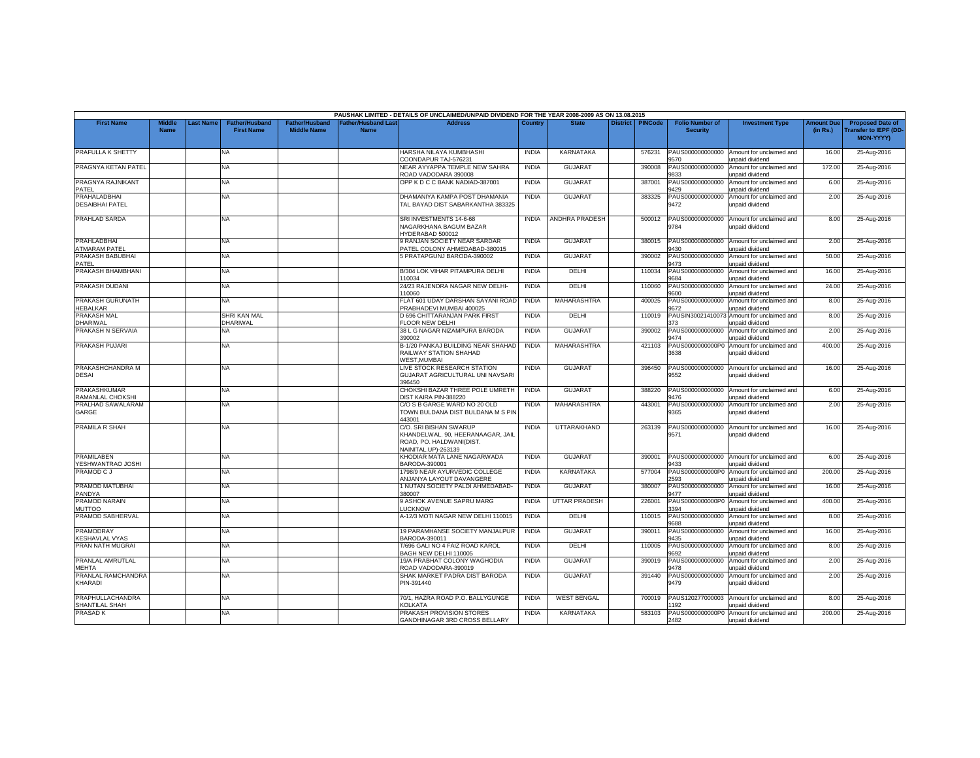|                                            |                              |           |                                            |                                             |                                           | PAUSHAK LIMITED - DETAILS OF UNCLAIMED/UNPAID DIVIDEND FOR THE YEAR 2008-2009 AS ON 13.08.2015                 |                              |                                |                 |                |                                           |                                                    |                               |                                                                     |
|--------------------------------------------|------------------------------|-----------|--------------------------------------------|---------------------------------------------|-------------------------------------------|----------------------------------------------------------------------------------------------------------------|------------------------------|--------------------------------|-----------------|----------------|-------------------------------------------|----------------------------------------------------|-------------------------------|---------------------------------------------------------------------|
| <b>First Name</b>                          | <b>Middle</b><br><b>Name</b> | Last Name | <b>Father/Husband</b><br><b>First Name</b> | <b>Father/Husband</b><br><b>Middle Name</b> | <b>Father/Husband Last</b><br><b>Name</b> | <b>Address</b>                                                                                                 | Country                      | <b>State</b>                   | <b>District</b> | <b>PINCode</b> | <b>Folio Number of</b><br><b>Security</b> | <b>Investment Type</b>                             | <b>Amount Due</b><br>(in Rs.) | <b>Proposed Date of</b><br><b>Transfer to IEPF (DD</b><br>MON-YYYY) |
| PRAFULLA K SHETTY                          |                              |           | NA                                         |                                             |                                           | HARSHA NILAYA KUMBHASHI<br>COONDAPUR TAJ-576231                                                                | <b>INDIA</b>                 | KARNATAKA                      |                 | 576231         | PAUS000000000000<br>1570                  | Amount for unclaimed and<br><b>Inpaid dividend</b> | 16.00                         | 25-Aug-2016                                                         |
| PRAGNYA KETAN PATEL                        |                              |           | NA                                         |                                             |                                           | <b>NEAR AYYAPPA TEMPLE NEW SAHRA</b><br>ROAD VADODARA 390008                                                   | <b>INDIA</b>                 | <b>GUJARAT</b>                 |                 | 390008         | PAUS000000000000<br>9833                  | Amount for unclaimed and<br>unpaid dividend        | 172.00                        | 25-Aug-2016                                                         |
| PRAGNYA RAJNIKANT<br>PATEL                 |                              |           | NA.                                        |                                             |                                           | OPP K D C C BANK NADIAD-387001                                                                                 | <b>INDIA</b>                 | <b>GUJARAT</b>                 |                 | 387001         | PAUS000000000000<br>9429                  | Amount for unclaimed and<br>unpaid dividend        | 6.00                          | 25-Aug-2016                                                         |
| PRAHALADBHAI<br><b>DESAIBHAI PATEL</b>     |                              |           | NA                                         |                                             |                                           | DHAMANIYA KAMPA POST DHAMANIA<br>TAL BAYAD DIST SABARKANTHA 383325                                             | <b>INDIA</b>                 | <b>GUJARAT</b>                 |                 | 383325         | PAUS000000000000<br>9472                  | Amount for unclaimed and<br>unpaid dividend        | 2.00                          | 25-Aug-2016                                                         |
| PRAHLAD SARDA                              |                              |           | NA                                         |                                             |                                           | SRI INVESTMENTS 14-6-68<br>NAGARKHANA BAGUM BAZAR<br><b>HYDERABAD 500012</b>                                   | <b>INDIA</b>                 | ANDHRA PRADESH                 |                 | 500012         | PAUS000000000000<br>9784                  | Amount for unclaimed and<br>unpaid dividend        | 8.00                          | 25-Aug-2016                                                         |
| <b>PRAHLADBHAI</b><br><b>ATMARAM PATEL</b> |                              |           | NA                                         |                                             |                                           | 9 RANJAN SOCIETY NEAR SARDAR<br>PATEL COLONY AHMEDABAD-380015                                                  | <b>INDIA</b>                 | <b>GUJARAT</b>                 |                 | 380015         | PAUS000000000000<br>9430                  | Amount for unclaimed and<br><b>inpaid dividend</b> | 2.00                          | 25-Aug-2016                                                         |
| PRAKASH BABUBHAI<br>PATEL                  |                              |           | NA                                         |                                             |                                           | 5 PRATAPGUNJ BARODA-390002                                                                                     | <b>INDIA</b>                 | <b>GUJARAT</b>                 |                 | 390002         | PAUS000000000000<br>9473                  | Amount for unclaimed and<br>unpaid dividend        | 50.00                         | 25-Aug-2016                                                         |
| PRAKASH BHAMBHANI                          |                              |           | NA.                                        |                                             |                                           | B/304 LOK VIHAR PITAMPURA DELHI<br>10034                                                                       | <b>INDIA</b>                 | DELHI                          |                 | 110034         | PAUS000000000000<br>9684                  | Amount for unclaimed and<br>unpaid dividend        | 16.00                         | 25-Aug-2016                                                         |
| PRAKASH DUDANI                             |                              |           | NA                                         |                                             |                                           | 24/23 RAJENDRA NAGAR NEW DELHI-<br>110060                                                                      | <b>INDIA</b>                 | DELHI                          |                 | 110060         | PAUS000000000000<br>9600                  | Amount for unclaimed and<br><b>Inpaid dividend</b> | 24.00                         | 25-Aug-2016                                                         |
| PRAKASH GURUNATH<br><b>HEBALKAR</b>        |                              |           | NA                                         |                                             |                                           | FLAT 601 UDAY DARSHAN SAYANI ROAD<br>PRABHADEVI MUMBAI 400025                                                  | <b>INDIA</b>                 | <b>MAHARASHTRA</b>             |                 | 400025         | PAUS000000000000<br>9672                  | Amount for unclaimed and<br>unpaid dividend        | 8.00                          | 25-Aug-2016                                                         |
| <b>PRAKASH MAL</b><br>DHARIWAL             |                              |           | SHRI KAN MAL<br>DHARIWAL                   |                                             |                                           | D 696 CHITTARANJAN PARK FIRST<br>FLOOR NEW DELHI                                                               | <b>INDIA</b>                 | DELHI                          |                 | 110019         | PAUSIN3002141007<br>373                   | Amount for unclaimed and<br>unpaid dividend        | 8.00                          | 25-Aug-2016                                                         |
| PRAKASH N SERVAIA                          |                              |           | NA.                                        |                                             |                                           | 38 L G NAGAR NIZAMPURA BARODA<br>390002                                                                        | <b>INDIA</b>                 | <b>GUJARAT</b>                 |                 | 390002         | PAUS000000000000<br>1474                  | Amount for unclaimed and<br>inpaid dividend        | 2.00                          | 25-Aug-2016                                                         |
| PRAKASH PUJARI                             |                              |           | NA                                         |                                             |                                           | B-1/20 PANKAJ BUILDING NEAR SHAHAD<br>RAILWAY STATION SHAHAD<br><b>WEST.MUMBAI</b>                             | <b>INDIA</b>                 | <b>MAHARASHTRA</b>             |                 | 421103         | PAUS0000000000P0<br>3638                  | Amount for unclaimed and<br>unpaid dividend        | 400.00                        | 25-Aug-2016                                                         |
| PRAKASHCHANDRA M<br><b>DESAI</b>           |                              |           | NA                                         |                                             |                                           | LIVE STOCK RESEARCH STATION<br>GUJARAT AGRICULTURAL UNI NAVSARI<br>396450                                      | <b>INDIA</b>                 | <b>GUJARAT</b>                 |                 | 396450         | PAUS000000000000<br>9552                  | Amount for unclaimed and<br>unpaid dividend        | 16.00                         | 25-Aug-2016                                                         |
| PRAKASHKUMAR<br>RAMANLAL CHOKSHI           |                              |           | ΝA                                         |                                             |                                           | CHOKSHI BAZAR THREE POLE UMRETH<br>DIST KAIRA PIN-388220                                                       | <b>INDIA</b>                 | <b>GUJARAT</b>                 |                 | 388220         | PAUS000000000000<br>9476                  | Amount for unclaimed and<br>unpaid dividend        | 6.00                          | 25-Aug-2016                                                         |
| PRALHAD SAWALARAM<br>GARGE                 |                              |           | NA.                                        |                                             |                                           | C/O S B GARGE WARD NO 20 OLD<br>TOWN BULDANA DIST BULDANA M S PIN<br>143001                                    | <b>INDIA</b>                 | <b>MAHARASHTRA</b>             |                 | 443001         | PAUS000000000000<br>9365                  | Amount for unclaimed and<br>unpaid dividend        | 2.00                          | 25-Aug-2016                                                         |
| PRAMILA R SHAH                             |                              |           | NA.                                        |                                             |                                           | C/O. SRI BISHAN SWARUP<br>KHANDELWAL. 90, HEERANAAGAR, JAIL<br>ROAD, PO. HALDWANI(DIST.<br>VAINITAL.UP)-263139 | <b>INDIA</b>                 | UTTARAKHAND                    |                 | 263139         | PAUS000000000000<br>9571                  | Amount for unclaimed and<br>unpaid dividend        | 16.00                         | 25-Aug-2016                                                         |
| PRAMILABEN<br>YESHWANTRAO JOSHI            |                              |           | NA                                         |                                             |                                           | KHODIAR MATA LANE NAGARWADA<br>BARODA-390001                                                                   | <b>INDIA</b>                 | <b>GUJARAT</b>                 |                 | 390001         | PAUS000000000000<br>1433                  | Amount for unclaimed and<br><b>inpaid dividend</b> | 6.00                          | 25-Aug-2016                                                         |
| PRAMOD C J                                 |                              |           | NA.                                        |                                             |                                           | 1798/9 NEAR AYURVEDIC COLLEGE<br>ANJANYA LAYOUT DAVANGERE                                                      | <b>INDIA</b>                 | KARNATAKA                      |                 | 577004         | PAUS0000000000P0<br>2593                  | Amount for unclaimed and<br>unpaid dividend        | 200.00                        | 25-Aug-2016                                                         |
| PRAMOD MATUBHAI<br>PANDYA                  |                              |           | NA                                         |                                             |                                           | 1 NUTAN SOCIETY PALDI AHMEDABAD-<br>380007                                                                     | <b>INDIA</b>                 | <b>GUJARAT</b>                 |                 | 380007         | PAUS000000000000<br>9477                  | Amount for unclaimed and<br>unpaid dividend        | 16.00                         | 25-Aug-2016                                                         |
| PRAMOD NARAIN<br><b>MUTTOO</b>             |                              |           | NA                                         |                                             |                                           | 9 ASHOK AVENUE SAPRU MARG<br><b>UCKNOW</b>                                                                     | <b>INDIA</b>                 | <b>UTTAR PRADESH</b>           |                 | 226001         | PAUS0000000000P0<br>394                   | Amount for unclaimed and<br><b>Inpaid dividend</b> | 400.00                        | 25-Aug-2016                                                         |
| PRAMOD SABHERVAL                           |                              |           | NA.                                        |                                             |                                           | A-12/3 MOTI NAGAR NEW DELHI 110015                                                                             | <b>INDIA</b>                 | DELHI                          |                 | 110015         | PAUS000000000000<br>9688                  | Amount for unclaimed and<br>unpaid dividend        | 8.00                          | 25-Aug-2016                                                         |
| PRAMODRAY<br><b>KESHAVLAL VYAS</b>         |                              |           | <b>NA</b>                                  |                                             |                                           | 19 PARAMHANSE SOCIETY MANJALPUR<br>BARODA-390011                                                               | <b>INDIA</b><br><b>INDIA</b> | <b>GUJARAT</b><br><b>DELHI</b> |                 | 390011         | PAUS000000000000<br>9435                  | Amount for unclaimed and<br>unpaid dividend        | 16.00                         | 25-Aug-2016                                                         |
| PRAN NATH MUGRAI                           |                              |           | NA                                         |                                             |                                           | T/696 GALI NO 4 FAIZ ROAD KAROL<br>BAGH NEW DELHI 110005                                                       |                              |                                |                 | 110005         | PAUS000000000000<br>3692                  | Amount for unclaimed and<br>unpaid dividend        | 8.00                          | 25-Aug-2016                                                         |
| PRANLAL AMRUTLAL<br><b>MEHTA</b>           |                              |           | NA.                                        |                                             |                                           | 19/A PRABHAT COLONY WAGHODIA<br>ROAD VADODARA-390019                                                           | <b>INDIA</b>                 | <b>GUJARAT</b>                 |                 | 390019         | PAUS000000000000<br>9478                  | Amount for unclaimed and<br>unpaid dividend        | 2.00                          | 25-Aug-2016                                                         |
| PRANLAL RAMCHANDRA<br>KHARADI              |                              |           | NA                                         |                                             |                                           | SHAK MARKET PADRA DIST BARODA<br>PIN-391440                                                                    | <b>INDIA</b>                 | <b>GUJARAT</b>                 |                 | 391440         | PAUS000000000000<br>9479                  | Amount for unclaimed and<br>unpaid dividend        | 2.00                          | 25-Aug-2016                                                         |
| PRAPHULLACHANDRA<br>SHANTILAL SHAH         |                              |           | <b>NA</b>                                  |                                             |                                           | 70/1, HAZRA ROAD P.O. BALLYGUNGE<br><b>KOLKATA</b>                                                             | <b>INDIA</b>                 | <b>WEST BENGAL</b>             |                 | 700019         | PAUS120277000003<br>192                   | Amount for unclaimed and<br>unpaid dividend        | 8.00                          | 25-Aug-2016                                                         |
| <b>PRASAD K</b>                            |                              |           | NA                                         |                                             |                                           | PRAKASH PROVISION STORES<br>GANDHINAGAR 3RD CROSS BELLARY                                                      | <b>INDIA</b>                 | <b>KARNATAKA</b>               |                 | 583103         | PAUS0000000000P0<br>2482                  | Amount for unclaimed and<br>unpaid dividend        | 200.00                        | 25-Aug-2016                                                         |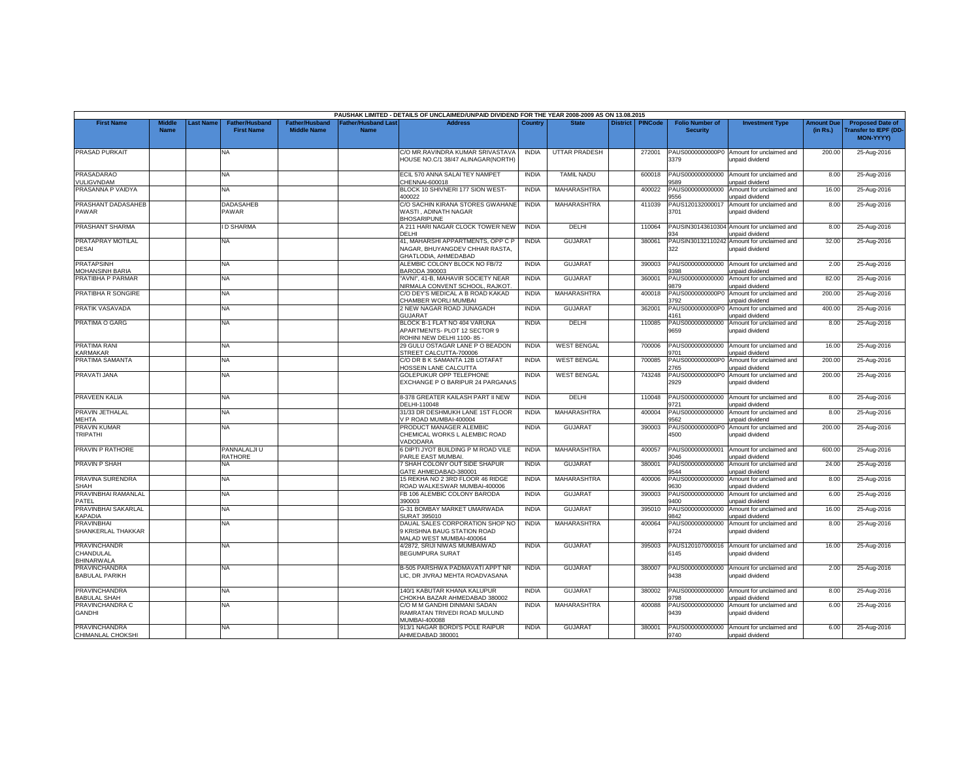|                                                       |                              |                  |                                            |                                             |                                  | PAUSHAK LIMITED - DETAILS OF UNCLAIMED/UNPAID DIVIDEND FOR THE YEAR 2008-2009 AS ON 13.08.2015 |              |                      |                    |                                           |                                                               |                               |                                                                     |
|-------------------------------------------------------|------------------------------|------------------|--------------------------------------------|---------------------------------------------|----------------------------------|------------------------------------------------------------------------------------------------|--------------|----------------------|--------------------|-------------------------------------------|---------------------------------------------------------------|-------------------------------|---------------------------------------------------------------------|
| <b>First Name</b>                                     | <b>Middle</b><br><b>Name</b> | <b>Last Name</b> | <b>Father/Husband</b><br><b>First Name</b> | <b>Father/Husband</b><br><b>Middle Name</b> | ather/Husband Las<br><b>Name</b> | <b>Address</b>                                                                                 | Country      | <b>State</b>         | District   PINCode | <b>Folio Number of</b><br><b>Security</b> | <b>Investment Type</b>                                        | <b>Amount Due</b><br>(in Rs.) | <b>Proposed Date of</b><br><b>Transfer to IEPF (DD</b><br>MON-YYYY) |
| <b>PRASAD PURKAIT</b>                                 |                              |                  | <b>NA</b>                                  |                                             |                                  | C/O MR.RAVINDRA KUMAR SRIVASTAVA<br>HOUSE NO.C/1 38/47 ALINAGAR(NORTH)                         | <b>INDIA</b> | <b>UTTAR PRADESH</b> | 272001             | PAUS0000000000P0<br>3379                  | Amount for unclaimed and<br>unpaid dividend                   | 200.00                        | 25-Aug-2016                                                         |
| <b>PRASADARAO</b><br>VULIGVNDAM                       |                              |                  | NA                                         |                                             |                                  | ECIL 570 ANNA SALAI TEY NAMPET<br>CHENNAI-600018                                               | <b>INDIA</b> | <b>TAMIL NADU</b>    | 600018             | PAUS000000000000<br>589                   | Amount for unclaimed and<br>unpaid dividend                   | 8.00                          | 25-Aug-2016                                                         |
| PRASANNA P VAIDYA                                     |                              |                  | <b>NA</b>                                  |                                             |                                  | BLOCK 10 SHIVNERI 177 SION WEST-<br>100022                                                     | <b>INDIA</b> | MAHARASHTRA          | 400022             | PAUS000000000000<br>556                   | Amount for unclaimed and<br>unpaid dividend                   | 16.00                         | 25-Aug-2016                                                         |
| PRASHANT DADASAHEB<br>PAWAR                           |                              |                  | <b>DADASAHEB</b><br>PAWAR                  |                                             |                                  | C/O SACHIN KIRANA STORES GWAHANE<br>WASTI, ADINATH NAGAR<br><b>BHOSARIPUNE</b>                 | <b>INDIA</b> | MAHARASHTRA          | 411039             | PAUS120132000017<br>3701                  | Amount for unclaimed and<br>unpaid dividend                   | 8.00                          | 25-Aug-2016                                                         |
| PRASHANT SHARMA                                       |                              |                  | <b>D SHARMA</b>                            |                                             |                                  | A 211 HARI NAGAR CLOCK TOWER NEW<br>DELHI                                                      | <b>INDIA</b> | DELHI                | 110064             | 934                                       | PAUSIN30143610304 Amount for unclaimed and<br>unpaid dividend | 8.00                          | 25-Aug-2016                                                         |
| PRATAPRAY MOTILAL<br><b>DESAI</b>                     |                              |                  | NA                                         |                                             |                                  | 41, MAHARSHI APPARTMENTS, OPP C P<br>NAGAR, BHUYANGDEV CHHAR RASTA,<br>GHATLODIA, AHMEDABAD    | <b>INDIA</b> | <b>GUJARAT</b>       | 380061             | 322                                       | PAUSIN30132110242 Amount for unclaimed and<br>unpaid dividend | 32.00                         | 25-Aug-2016                                                         |
| <b>PRATAPSINH</b><br><b>JOHANSINH BARIA</b>           |                              |                  | <b>NA</b>                                  |                                             |                                  | ALEMBIC COLONY BLOCK NO FB/72<br><b>BARODA 390003</b>                                          | <b>INDIA</b> | <b>GUJARAT</b>       | 390003             | PAUS000000000000<br>398                   | Amount for unclaimed and<br>unpaid dividend                   | 2.00                          | 25-Aug-2016                                                         |
| PRATIBHA P PARMAR                                     |                              |                  | <b>NA</b>                                  |                                             |                                  | "AVNI", 41-B, MAHAVIR SOCIETY NEAR<br>NIRMALA CONVENT SCHOOL, RAJKOT                           | <b>INDIA</b> | <b>GUJARAT</b>       | 360001             | PAUS000000000000<br>9879                  | Amount for unclaimed and<br>unpaid dividend                   | 82.00                         | 25-Aug-2016                                                         |
| PRATIBHA R SONGIRE                                    |                              |                  | NA                                         |                                             |                                  | C/O DEY'S MEDICAL A B ROAD KAKAD<br>CHAMBER WORLI MUMBAI                                       | <b>INDIA</b> | <b>MAHARASHTRA</b>   | 400018             | PAUS0000000000P<br>3792                   | Amount for unclaimed and<br>unpaid dividend                   | 200.00                        | 25-Aug-2016                                                         |
| PRATIK VASAVADA                                       |                              |                  | NA                                         |                                             |                                  | 2 NEW NAGAR ROAD JUNAGADH<br><b>GUJARAT</b>                                                    | <b>INDIA</b> | <b>GUJARAT</b>       | 362001             | PAUS0000000000P0<br>1161                  | Amount for unclaimed and<br>unpaid dividend                   | 400.00                        | 25-Aug-2016                                                         |
| <b>PRATIMA O GARG</b>                                 |                              |                  | <b>NA</b>                                  |                                             |                                  | BLOCK B-1 FLAT NO 404 VARUNA<br>APARTMENTS- PLOT 12 SECTOR 9<br>ROHINI NEW DELHI 1100-85 -     | <b>INDIA</b> | DELHI                | 110085             | PAUS000000000000<br>9659                  | Amount for unclaimed and<br>unpaid dividend                   | 8.00                          | 25-Aug-2016                                                         |
| <b>PRATIMA RANI</b><br>KARMAKAR                       |                              |                  | <b>NA</b>                                  |                                             |                                  | 29 GULU OSTAGAR LANE P O BEADON<br>STREET CALCUTTA-700006                                      | <b>INDIA</b> | <b>WEST BENGAL</b>   | 700006             | PAUS000000000000<br><b>701</b>            | Amount for unclaimed and<br>unpaid dividend                   | 16.00                         | 25-Aug-2016                                                         |
| PRATIMA SAMANTA                                       |                              |                  | NA                                         |                                             |                                  | C/O DR B K SAMANTA 12B LOTAFAT<br><b>IOSSEIN LANE CALCUTTA</b>                                 | <b>INDIA</b> | <b>WEST BENGAL</b>   | 700085             | PAUS0000000000P0<br>2765                  | Amount for unclaimed and<br>unpaid dividend                   | 200.00                        | 25-Aug-2016                                                         |
| PRAVATI JANA                                          |                              |                  | NA.                                        |                                             |                                  | GOLEPUKUR OPP TELEPHONE<br>EXCHANGE P O BARIPUR 24 PARGANAS                                    | <b>INDIA</b> | <b>WEST BENGAL</b>   | 743248             | PAUS0000000000P0<br>2929                  | Amount for unclaimed and<br>unpaid dividend                   | 200.00                        | 25-Aug-2016                                                         |
| PRAVEEN KALIA                                         |                              |                  | <b>NA</b>                                  |                                             |                                  | 8-378 GREATER KAILASH PART II NEW<br>DELHI-110048                                              | <b>INDIA</b> | DELHI                | 110048             | PAUS000000000000<br>3721                  | Amount for unclaimed and<br>unpaid dividend                   | 8.00                          | 25-Aug-2016                                                         |
| PRAVIN JETHALAL<br><b>JEHTA</b>                       |                              |                  | <b>NA</b>                                  |                                             |                                  | 31/33 DR DESHMUKH LANE 1ST FLOOR<br>V P ROAD MUMBAI-400004                                     | <b>INDIA</b> | MAHARASHTRA          | 400004             | PAUS000000000000<br>9562                  | Amount for unclaimed and<br>unpaid dividend                   | 8.00                          | 25-Aug-2016                                                         |
| PRAVIN KUMAR<br><b>TRIPATHI</b>                       |                              |                  | NA                                         |                                             |                                  | PRODUCT MANAGER ALEMBIC<br>CHEMICAL WORKS L ALEMBIC ROAD<br>/ADODARA                           | <b>INDIA</b> | <b>GUJARAT</b>       | 390003             | PAUS0000000000P0<br>4500                  | Amount for unclaimed and<br>unpaid dividend                   | 200.00                        | 25-Aug-2016                                                         |
| PRAVIN P RATHORE                                      |                              |                  | PANNALALJI U<br><b>RATHORE</b>             |                                             |                                  | 6 DIPTI JYOT BUILDING P M ROAD VILE<br>PARLE EAST MUMBAI                                       | <b>INDIA</b> | MAHARASHTRA          | 400057             | PAUS000000000001<br>3046                  | Amount for unclaimed and<br><b>inpaid dividend</b>            | 600.00                        | 25-Aug-2016                                                         |
| PRAVIN P SHAH                                         |                              |                  | NΑ                                         |                                             |                                  | SHAH COLONY OUT SIDE SHAPUR<br><b>SATE AHMEDABAD-380001</b>                                    | <b>INDIA</b> | <b>GUJARAT</b>       | 380001             | PAUS000000000000<br>3544                  | Amount for unclaimed and<br>unpaid dividend                   | 24.00                         | 25-Aug-2016                                                         |
| PRAVINA SURENDRA<br>SHAH                              |                              |                  | <b>NA</b>                                  |                                             |                                  | 15 REKHA NO 2 3RD FLOOR 46 RIDGE<br>ROAD WALKESWAR MUMBAI-400006                               | <b>INDIA</b> | MAHARASHTRA          | 400006             | PAUS000000000000<br>9630                  | Amount for unclaimed and<br>unpaid dividend                   | 8.00                          | 25-Aug-2016                                                         |
| PRAVINBHAI RAMANLAL<br>PATEL                          |                              |                  | NA.                                        |                                             |                                  | FB 106 ALEMBIC COLONY BARODA<br>390003                                                         | <b>INDIA</b> | <b>GUJARAT</b>       | 390003             | PAUS000000000000<br>9400                  | Amount for unclaimed and<br>unpaid dividend                   | 6.00                          | 25-Aug-2016                                                         |
| PRAVINBHAI SAKARLAL<br>KAPADIA                        |                              |                  | NA.                                        |                                             |                                  | G-31 BOMBAY MARKET UMARWADA<br>SURAT 395010                                                    | <b>INDIA</b> | <b>GUJARAT</b>       | 395010             | PAUS000000000000<br>9842                  | Amount for unclaimed and<br>unpaid dividend                   | 16.00                         | 25-Aug-2016                                                         |
| <b>PRAVINBHAI</b><br><b>SHANKERLAL THAKKAR</b>        |                              |                  | <b>NA</b>                                  |                                             |                                  | DAUAL SALES CORPORATION SHOP NO<br>9 KRISHNA BAUG STATION ROAD<br>MALAD WEST MUMBAI-400064     | <b>INDIA</b> | <b>MAHARASHTRA</b>   | 400064             | PAUS000000000000<br>9724                  | Amount for unclaimed and<br>unpaid dividend                   | 8.00                          | 25-Aug-2016                                                         |
| <b>PRAVINCHANDR</b><br>CHANDULAL<br><b>BHINARWALA</b> |                              |                  | <b>NA</b>                                  |                                             |                                  | 4/2872, SRIJI NIWAS MUMBAIWAD<br><b>BEGUMPURA SURAT</b>                                        | <b>INDIA</b> | GUJARAT              | 395003             | PAUS120107000016<br>6145                  | Amount for unclaimed and<br>unpaid dividend                   | 16.00                         | 25-Aug-2016                                                         |
| PRAVINCHANDRA<br><b>BABULAL PARIKH</b>                |                              |                  | NA.                                        |                                             |                                  | B-505 PARSHWA PADMAVATI APPT NR<br>LIC, DR JIVRAJ MEHTA ROADVASANA                             | <b>INDIA</b> | <b>GUJARAT</b>       | 380007             | PAUS000000000000<br>9438                  | Amount for unclaimed and<br>unpaid dividend                   | 2.00                          | 25-Aug-2016                                                         |
| <b>PRAVINCHANDRA</b><br><b>BABULAL SHAH</b>           |                              |                  | <b>NA</b>                                  |                                             |                                  | 140/1 KABUTAR KHANA KALUPUR<br>CHOKHA BAZAR AHMEDABAD 380002                                   | <b>INDIA</b> | GUJARAT              | 380002             | PAUS000000000000<br>1798                  | Amount for unclaimed and<br><b>Inpaid dividend</b>            | 8.00                          | 25-Aug-2016                                                         |
| PRAVINCHANDRA C<br>GANDHI                             |                              |                  | NA.                                        |                                             |                                  | C/O M M GANDHI DINMANI SADAN<br>RAMRATAN TRIVEDI ROAD MULUND<br><b>MUMBAI-400088</b>           | <b>INDIA</b> | MAHARASHTRA          | 400088             | PAUS000000000000<br>9439                  | Amount for unclaimed and<br>unpaid dividend                   | 6.00                          | 25-Aug-2016                                                         |
| <b>PRAVINCHANDRA</b><br>CHIMANLAL CHOKSHI             |                              |                  | NA.                                        |                                             |                                  | 913/1 NAGAR BORDI'S POLE RAIPUR<br>AHMEDABAD 380001                                            | <b>INDIA</b> | <b>GUJARAT</b>       | 380001             | PAUS000000000000<br>9740                  | Amount for unclaimed and<br>unpaid dividend                   | 6.00                          | 25-Aug-2016                                                         |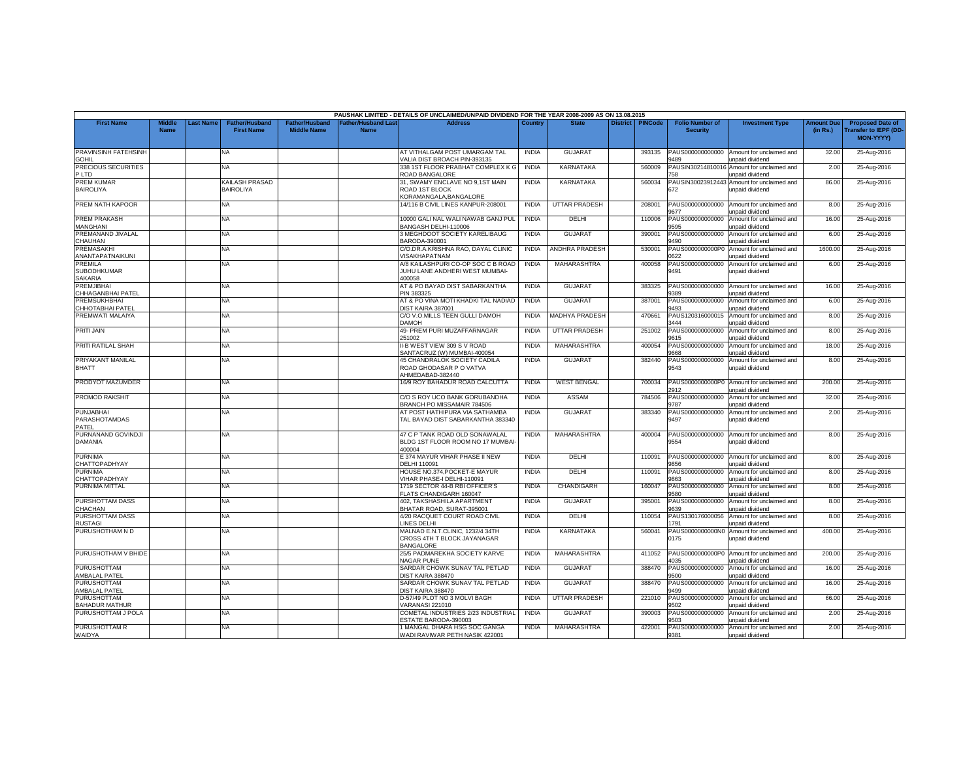|                                   |                              |                  |                                            |                                      |                                           | PAUSHAK LIMITED - DETAILS OF UNCLAIMED/UNPAID DIVIDEND FOR THE YEAR 2008-2009 AS ON 13.08.2015 |              |                       |                    |                                           |                                             |                               |                                                        |
|-----------------------------------|------------------------------|------------------|--------------------------------------------|--------------------------------------|-------------------------------------------|------------------------------------------------------------------------------------------------|--------------|-----------------------|--------------------|-------------------------------------------|---------------------------------------------|-------------------------------|--------------------------------------------------------|
| <b>First Name</b>                 | <b>Middle</b><br><b>Name</b> | <b>Last Name</b> | <b>Father/Husband</b><br><b>First Name</b> | Father/Husband<br><b>Middle Name</b> | <b>Father/Husband Last</b><br><b>Name</b> | Address                                                                                        | Country      | <b>State</b>          | District   PINCode | <b>Folio Number of</b><br><b>Security</b> | <b>Investment Type</b>                      | <b>Amount Due</b><br>(in Rs.) | <b>Proposed Date of</b><br><b>Transfer to IEPF (DD</b> |
|                                   |                              |                  |                                            |                                      |                                           |                                                                                                |              |                       |                    |                                           |                                             |                               | MON-YYYY)                                              |
| PRAVINSINH FATEHSINH              |                              |                  | <b>NA</b>                                  |                                      |                                           | AT VITHALGAM POST UMARGAM TAL                                                                  | <b>INDIA</b> | GUJARAT               | 393135             | PAUS000000000000                          | Amount for unclaimed and                    | 32.00                         | 25-Aug-2016                                            |
| <b>GOHIL</b>                      |                              |                  |                                            |                                      |                                           | VALIA DIST BROACH PIN-393135                                                                   |              |                       |                    | 9489                                      | unpaid dividend                             |                               |                                                        |
| PRECIOUS SECURITIES               |                              |                  | NA                                         |                                      |                                           | 338 1ST FLOOR PRABHAT COMPLEX K G                                                              | <b>INDIA</b> | KARNATAKA             | 560009             | PAUSIN3021481001                          | Amount for unclaimed and                    | 2.00                          | 25-Aug-2016                                            |
| P LTD                             |                              |                  |                                            |                                      |                                           | ROAD BANGALORE                                                                                 |              |                       |                    | 758                                       | unpaid dividend                             |                               |                                                        |
| <b>PREM KUMAR</b>                 |                              |                  | KAILASH PRASAD                             |                                      |                                           | 31, SWAMY ENCLAVE NO 9,1ST MAIN                                                                | <b>INDIA</b> | KARNATAKA             | 560034             | PAUSIN30023912443                         | Amount for unclaimed and                    | 86.00                         | 25-Aug-2016                                            |
| <b>BAIROLIYA</b>                  |                              |                  | BAIROLIYA                                  |                                      |                                           | ROAD 1ST BLOCK<br><b>CORAMANGALA.BANGALORE</b>                                                 |              |                       |                    | 672                                       | unpaid dividend                             |                               |                                                        |
| PREM NATH KAPOOR                  |                              |                  | NA                                         |                                      |                                           | 14/116 B CIVIL LINES KANPUR-208001                                                             | <b>INDIA</b> | <b>UTTAR PRADESH</b>  | 208001             | PAUS000000000000                          | Amount for unclaimed and                    | 8.00                          | 25-Aug-2016                                            |
|                                   |                              |                  |                                            |                                      |                                           |                                                                                                |              |                       |                    | 9677                                      | unpaid dividend                             |                               |                                                        |
| <b>PREM PRAKASH</b>               |                              |                  | NA                                         |                                      |                                           | 10000 GALI NAL WALI NAWAB GANJ PUL                                                             | <b>INDIA</b> | DELHI                 | 110006             | PAUS000000000000                          | Amount for unclaimed and                    | 16.00                         | 25-Aug-2016                                            |
| MANGHANI                          |                              |                  |                                            |                                      |                                           | BANGASH DELHI-110006                                                                           |              |                       |                    | 9595                                      | unpaid dividend                             |                               |                                                        |
| PREMANAND JIVALAL                 |                              |                  | NA.                                        |                                      |                                           | 3 MEGHDOOT SOCIETY KARELIBAUG                                                                  | <b>INDIA</b> | <b>GUJARAT</b>        | 390001             | PAUS000000000000                          | Amount for unclaimed and                    | 6.00                          | 25-Aug-2016                                            |
| CHAUHAN                           |                              |                  |                                            |                                      |                                           | BARODA-390001                                                                                  |              |                       |                    | 9490                                      | unpaid dividend                             |                               |                                                        |
| PREMASAKHI                        |                              |                  | NA                                         |                                      |                                           | C/O.DR.A.KRISHNA RAO, DAYAL CLINIC                                                             | <b>INDIA</b> | <b>ANDHRA PRADESH</b> | 530001             | PAUS0000000000P0                          | Amount for unclaimed and                    | 1600.00                       | 25-Aug-2016                                            |
| ANANTAPATNAIKUNI                  |                              |                  |                                            |                                      |                                           | /ISAKHAPATNAM                                                                                  |              |                       |                    | 1622                                      | <b>Inpaid dividend</b>                      |                               |                                                        |
| PREMILA                           |                              |                  | NA                                         |                                      |                                           | A/8 KAILASHPURI CO-OP SOC C B ROAD                                                             | <b>INDIA</b> | <b>MAHARASHTRA</b>    | 400058             | PAUS000000000000                          | Amount for unclaimed and                    | 6.00                          | 25-Aug-2016                                            |
| <b>SUBODHKUMAR</b>                |                              |                  |                                            |                                      |                                           | JUHU LANE ANDHERI WEST MUMBAI-<br>400058                                                       |              |                       |                    | 9491                                      | unpaid dividend                             |                               |                                                        |
| <b>SAKARIA</b><br>PREMJIBHA       |                              |                  | NA                                         |                                      |                                           | AT & PO BAYAD DIST SABARKANTHA                                                                 | <b>INDIA</b> | <b>GUJARAT</b>        | 383325             | PAUS000000000000                          | Amount for unclaimed and                    | 16.00                         | 25-Aug-2016                                            |
| CHHAGANBHAI PATEL                 |                              |                  |                                            |                                      |                                           | PIN 383325                                                                                     |              |                       |                    | 9389                                      | unpaid dividend                             |                               |                                                        |
| <b>PREMSUKHBHAI</b>               |                              |                  | NA.                                        |                                      |                                           | AT & PO VINA MOTI KHADKI TAL NADIAD                                                            | <b>INDIA</b> | <b>GUJARAT</b>        | 387001             | PAUS000000000000                          | Amount for unclaimed and                    | 6.00                          | 25-Aug-2016                                            |
| CHHOTABHAI PATEL                  |                              |                  |                                            |                                      |                                           | DIST KAIRA 387001                                                                              |              |                       |                    | 9493                                      | unpaid dividend                             |                               |                                                        |
| PREMWATI MALAIYA                  |                              |                  | NA                                         |                                      |                                           | C/O V.O.MILLS TEEN GULLI DAMOH                                                                 | <b>INDIA</b> | MADHYA PRADESH        | 470661             | PAUS120316000015                          | Amount for unclaimed and                    | 8.00                          | 25-Aug-2016                                            |
|                                   |                              |                  |                                            |                                      |                                           | HOMAG                                                                                          |              |                       |                    | 3444                                      | inpaid dividend                             |                               |                                                        |
| PRITI JAIN                        |                              |                  | NA                                         |                                      |                                           | 49- PREM PURI MUZAFFARNAGAR                                                                    | <b>INDIA</b> | <b>UTTAR PRADESH</b>  | 251002             | PAUS000000000000                          | Amount for unclaimed and                    | 8.00                          | 25-Aug-2016                                            |
|                                   |                              |                  |                                            |                                      |                                           | 51002                                                                                          |              |                       |                    | 9615                                      | unpaid dividend                             |                               |                                                        |
| PRITI RATILAL SHAH                |                              |                  | NA                                         |                                      |                                           | I-B WEST VIEW 309 S V ROAD                                                                     | <b>INDIA</b> | MAHARASHTRA           | 400054             | PAUS000000000000                          | Amount for unclaimed and                    | 18.00                         | 25-Aug-2016                                            |
|                                   |                              |                  |                                            |                                      |                                           | SANTACRUZ (W) MUMBAI-400054                                                                    |              |                       |                    | 8669                                      | unpaid dividend                             |                               |                                                        |
| PRIYAKANT MANILAL<br><b>BHATT</b> |                              |                  | <b>NA</b>                                  |                                      |                                           | 45 CHANDRALOK SOCIETY CADILA<br>ROAD GHODASAR P O VATVA                                        | <b>INDIA</b> | <b>GUJARAT</b>        | 382440             | PAUS000000000000                          | Amount for unclaimed and                    | 8.00                          | 25-Aug-2016                                            |
|                                   |                              |                  |                                            |                                      |                                           | AHMEDABAD-382440                                                                               |              |                       |                    | 9543                                      | unpaid dividend                             |                               |                                                        |
| PRODYOT MAZUMDER                  |                              |                  | NA.                                        |                                      |                                           | 16/9 ROY BAHADUR ROAD CALCUTTA                                                                 | <b>INDIA</b> | <b>WEST BENGAL</b>    | 700034             | PAUS0000000000P0                          | Amount for unclaimed and                    | 200.00                        | 25-Aug-2016                                            |
|                                   |                              |                  |                                            |                                      |                                           |                                                                                                |              |                       |                    | 2912                                      | unpaid dividend                             |                               |                                                        |
| <b>PROMOD RAKSHIT</b>             |                              |                  | NA                                         |                                      |                                           | C/O S ROY UCO BANK GORUBANDHA                                                                  | <b>INDIA</b> | <b>ASSAM</b>          | 784506             | PAUS000000000000                          | Amount for unclaimed and                    | 32.00                         | 25-Aug-2016                                            |
|                                   |                              |                  |                                            |                                      |                                           | <b>BRANCH PO MISSAMAIR 784506</b>                                                              |              |                       |                    | 9787                                      | unpaid dividend                             |                               |                                                        |
| <b>PUNJABHAI</b>                  |                              |                  | ΝA                                         |                                      |                                           | AT POST HATHIPURA VIA SATHAMBA                                                                 | <b>INDIA</b> | <b>GUJARAT</b>        | 383340             | PAUS000000000000                          | Amount for unclaimed and                    | 2.00                          | 25-Aug-2016                                            |
| PARASHOTAMDAS                     |                              |                  |                                            |                                      |                                           | TAL BAYAD DIST SABARKANTHA 383340                                                              |              |                       |                    | 9497                                      | unpaid dividend                             |                               |                                                        |
| PATEL                             |                              |                  |                                            |                                      |                                           |                                                                                                |              |                       |                    |                                           |                                             |                               |                                                        |
| PURNANAND GOVINDJI                |                              |                  | NA.                                        |                                      |                                           | 47 C P TANK ROAD OLD SONAWALAL<br>BLDG 1ST FLOOR ROOM NO 17 MUMBAI-                            | <b>INDIA</b> | <b>MAHARASHTRA</b>    | 400004             | PAUS000000000000<br>9554                  | Amount for unclaimed and                    | 8.00                          | 25-Aug-2016                                            |
| <b>DAMANIA</b>                    |                              |                  |                                            |                                      |                                           | 400004                                                                                         |              |                       |                    |                                           | unpaid dividend                             |                               |                                                        |
| <b>PURNIMA</b>                    |                              |                  | NA                                         |                                      |                                           | E 374 MAYUR VIHAR PHASE II NEW                                                                 | <b>INDIA</b> | DELHI                 | 110091             | PAUS000000000000                          | Amount for unclaimed and                    | 8.00                          | 25-Aug-2016                                            |
| CHATTOPADHYAY                     |                              |                  |                                            |                                      |                                           | DELHI 110091                                                                                   |              |                       |                    | 3856                                      | npaid dividend                              |                               |                                                        |
| <b>PURNIMA</b>                    |                              |                  | NA.                                        |                                      |                                           | HOUSE NO.374.POCKET-E MAYUR                                                                    | <b>INDIA</b> | DELHI                 | 110091             | PAUS000000000000                          | Amount for unclaimed and                    | 8.00                          | 25-Aug-2016                                            |
| CHATTOPADHYAY                     |                              |                  |                                            |                                      |                                           | IHAR PHASE-I DELHI-110091                                                                      |              |                       |                    | 2863                                      | unpaid dividend                             |                               |                                                        |
| PURNIMA MITTAL                    |                              |                  | NA                                         |                                      |                                           | 1719 SECTOR 44-B RBI OFFICER'S                                                                 | <b>INDIA</b> | CHANDIGARH            | 160047             | PAUS000000000000                          | Amount for unclaimed and                    | 8.00                          | 25-Aug-2016                                            |
|                                   |                              |                  |                                            |                                      |                                           | FLATS CHANDIGARH 160047                                                                        |              |                       |                    | 9580                                      | unpaid dividend                             |                               |                                                        |
| PURSHOTTAM DASS                   |                              |                  | NA                                         |                                      |                                           | 402, TAKSHASHILA APARTMENT                                                                     | <b>INDIA</b> | <b>GUJARAT</b>        | 395001             | PAUS000000000000                          | Amount for unclaimed and                    | 8.00                          | 25-Aug-2016                                            |
| CHACHAN                           |                              |                  |                                            |                                      |                                           | BHATAR ROAD, SURAT-395001<br>4/20 RACQUET COURT ROAD CIVIL                                     | <b>INDIA</b> | DELHI                 | 110054             | 9639                                      | unpaid dividend                             |                               |                                                        |
| PURSHOTTAM DASS<br><b>RUSTAGI</b> |                              |                  | NA                                         |                                      |                                           | INES DELHI                                                                                     |              |                       |                    | PAUS130176000056<br>1791                  | Amount for unclaimed and<br>unpaid dividend | 8.00                          | 25-Aug-2016                                            |
| PURUSHOTHAM N D                   |                              |                  | <b>NA</b>                                  |                                      |                                           | MALNAD E.N.T.CLINIC, 1232/4 34TH                                                               | <b>INDIA</b> | KARNATAKA             | 560041             |                                           | PAUS0000000000N0 Amount for unclaimed and   | 400.00                        | 25-Aug-2016                                            |
|                                   |                              |                  |                                            |                                      |                                           | CROSS 4TH T BLOCK JAYANAGAR                                                                    |              |                       |                    | 0175                                      | unpaid dividend                             |                               |                                                        |
|                                   |                              |                  |                                            |                                      |                                           | <b>BANGALORE</b>                                                                               |              |                       |                    |                                           |                                             |                               |                                                        |
| PURUSHOTHAM V BHIDE               |                              |                  | NA                                         |                                      |                                           | 25/5 PADMAREKHA SOCIETY KARVE                                                                  | <b>INDIA</b> | <b>MAHARASHTRA</b>    | 411052             | PAUS0000000000P0                          | Amount for unclaimed and                    | 200.00                        | 25-Aug-2016                                            |
|                                   |                              |                  |                                            |                                      |                                           | NAGAR PUNE                                                                                     |              |                       |                    | 4035                                      | unpaid dividend                             |                               |                                                        |
| PURUSHOTTAM                       |                              |                  | NA                                         |                                      |                                           | SARDAR CHOWK SUNAV TAL PETLAD                                                                  | <b>INDIA</b> | <b>GUJARAT</b>        | 388470             | PAUS000000000000                          | Amount for unclaimed and                    | 16.00                         | 25-Aug-2016                                            |
| <b>AMBALAL PATEL</b>              |                              |                  |                                            |                                      |                                           | DIST KAIRA 388470                                                                              |              |                       |                    | 9500                                      | unpaid dividend                             |                               |                                                        |
| <b>PURUSHOTTAM</b>                |                              |                  | ΝA                                         |                                      |                                           | SARDAR CHOWK SUNAV TAL PETLAD                                                                  | <b>INDIA</b> | <b>GUJARAT</b>        | 388470             | PAUS000000000000<br>9499                  | Amount for unclaimed and                    | 16.00                         | 25-Aug-2016                                            |
| AMBALAL PATEL<br>PURUSHOTTAM      |                              |                  | <b>NA</b>                                  |                                      |                                           | DIST KAIRA 388470<br>D-57/49 PLOT NO 3 MOLVI BAGH                                              | <b>INDIA</b> | <b>UTTAR PRADESH</b>  | 221010             | PAUS000000000000                          | unpaid dividend<br>Amount for unclaimed and | 66.00                         | 25-Aug-2016                                            |
| <b>BAHADUR MATHUR</b>             |                              |                  |                                            |                                      |                                           | /ARANASI 221010                                                                                |              |                       |                    | 1502                                      | inpaid dividend                             |                               |                                                        |
| PURUSHOTTAM J POLA                |                              |                  | NA                                         |                                      |                                           | COMETAL INDUSTRIES 2/23 INDUSTRIAL                                                             | <b>INDIA</b> | GUJARAT               | 390003             | PAUS000000000000                          | Amount for unclaimed and                    | 2.00                          | 25-Aug-2016                                            |
|                                   |                              |                  |                                            |                                      |                                           | STATE BARODA-390003                                                                            |              |                       |                    | 3503                                      | unpaid dividend                             |                               |                                                        |
| PURUSHOTTAM R                     |                              |                  | NA                                         |                                      |                                           | 1 MANGAL DHARA HSG SOC GANGA                                                                   | <b>INDIA</b> | <b>MAHARASHTRA</b>    | 422001             | PAUS000000000000                          | Amount for unclaimed and                    | 2.00                          | 25-Aug-2016                                            |
| WAIDYA                            |                              |                  |                                            |                                      |                                           | WADI RAVIWAR PETH NASIK 422001                                                                 |              |                       |                    | 9381                                      | unpaid dividend                             |                               |                                                        |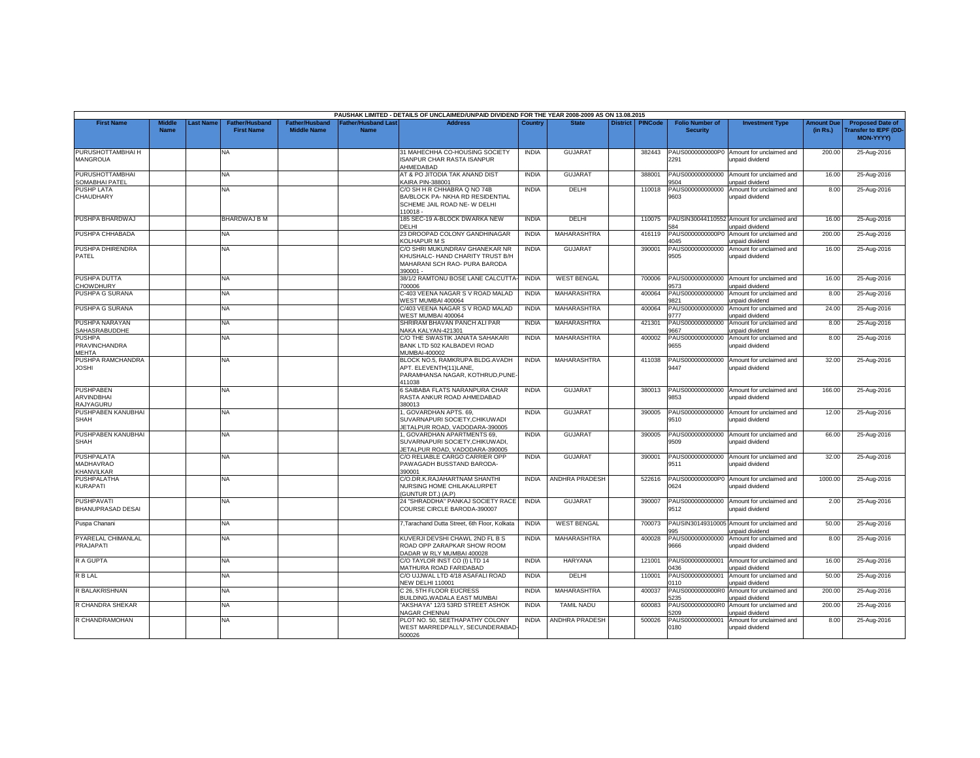|                                                     |                       |                  |                                     |                                             |                                           | PAUSHAK LIMITED - DETAILS OF UNCLAIMED/UNPAID DIVIDEND FOR THE YEAR 2008-2009 AS ON 13.08.2015                  |              |                       |                 |                |                                           |                                                               |                               |                                                              |
|-----------------------------------------------------|-----------------------|------------------|-------------------------------------|---------------------------------------------|-------------------------------------------|-----------------------------------------------------------------------------------------------------------------|--------------|-----------------------|-----------------|----------------|-------------------------------------------|---------------------------------------------------------------|-------------------------------|--------------------------------------------------------------|
| <b>First Name</b>                                   | Middle<br><b>Name</b> | <b>Last Name</b> | Father/Husband<br><b>First Name</b> | <b>Father/Husband</b><br><b>Middle Name</b> | <b>Father/Husband Last</b><br><b>Name</b> | <b>Address</b>                                                                                                  | Country      | <b>State</b>          | <b>District</b> | <b>PINCode</b> | <b>Folio Number of</b><br><b>Security</b> | <b>Investment Type</b>                                        | <b>Amount Due</b><br>(in Rs.) | <b>Proposed Date of</b><br>ransfer to IEPF (DD-<br>MON-YYYY) |
| PURUSHOTTAMBHAI H<br><b>MANGROUA</b>                |                       |                  | NA                                  |                                             |                                           | 31 MAHECHHA CO-HOUSING SOCIETY<br><b>ISANPUR CHAR RASTA ISANPUR</b><br>AHMEDABAD                                | <b>INDIA</b> | <b>GUJARA1</b>        |                 | 382443         | PAUS0000000000P0<br>2291                  | Amount for unclaimed and<br>unpaid dividend                   | 200.00                        | 25-Aug-2016                                                  |
| <b>PURUSHOTTAMBHAI</b><br>SOMABHAI PATEL            |                       |                  | NA                                  |                                             |                                           | AT & PO JITODIA TAK ANAND DIST<br>KAIRA PIN-388001                                                              | <b>INDIA</b> | <b>GUJARAT</b>        |                 | 388001         | PAUS000000000000<br>504                   | Amount for unclaimed and<br>unpaid dividend                   | 16.00                         | 25-Aug-2016                                                  |
| <b>PUSHP LATA</b><br>CHAUDHARY                      |                       |                  | NA                                  |                                             |                                           | C/O SH H R CHHABRA Q NO 74B<br>BA/BLOCK PA- NKHA RD RESIDENTIAL<br>SCHEME JAIL ROAD NE- W DELHI<br>110018 -     | <b>INDIA</b> | DELHI                 |                 | 110018         | PAUS000000000000<br>9603                  | Amount for unclaimed and<br>unpaid dividend                   | 8.00                          | 25-Aug-2016                                                  |
| PUSHPA BHARDWAJ                                     |                       |                  | BHARDWAJ B M                        |                                             |                                           | 185 SEC-19 A-BLOCK DWARKA NEW<br>DELHI                                                                          | <b>INDIA</b> | DELHI                 |                 | 110075         | 584                                       | PAUSIN30044110552 Amount for unclaimed and<br>unpaid dividend | 16.00                         | 25-Aug-2016                                                  |
| PUSHPA CHHABADA                                     |                       |                  | NA                                  |                                             |                                           | 23 DROOPAD COLONY GANDHINAGAR<br>KOLHAPUR M S                                                                   | <b>INDIA</b> | MAHARASHTRA           |                 | 416119         | 1045                                      | PAUS0000000000P0 Amount for unclaimed and<br>unpaid dividend  | 200.00                        | 25-Aug-2016                                                  |
| PUSHPA DHIRENDRA<br>PATEL                           |                       |                  | NA.                                 |                                             |                                           | C/O SHRI MUKUNDRAV GHANEKAR NR<br>KHUSHALC- HAND CHARITY TRUST B/H<br>MAHARANI SCH RAO- PURA BARODA<br>390001 - | <b>INDIA</b> | <b>GUJARAT</b>        |                 | 390001         | PAUS000000000000<br>9505                  | Amount for unclaimed and<br>unpaid dividend                   | 16.00                         | 25-Aug-2016                                                  |
| PUSHPA DUTTA<br><b>CHOWDHURY</b>                    |                       |                  | <b>NA</b>                           |                                             |                                           | 38/1/2 RAMTONU BOSE LANE CALCUTTA<br>700006                                                                     | <b>INDIA</b> | <b>WEST BENGAL</b>    |                 | 700006         | PAUS000000000000<br>9573                  | Amount for unclaimed and<br>unpaid dividend                   | 16.00                         | 25-Aug-2016                                                  |
| PUSHPA G SURANA                                     |                       |                  | NA.                                 |                                             |                                           | C-403 VEENA NAGAR S V ROAD MALAD<br>WEST MUMBAI 400064                                                          | <b>INDIA</b> | MAHARASHTRA           |                 | 400064         | PAUS000000000000<br>9821                  | Amount for unclaimed and<br>unpaid dividend                   | 8.00                          | 25-Aug-2016                                                  |
| PUSHPA G SURANA                                     |                       |                  | NA                                  |                                             |                                           | C/403 VEENA NAGAR S V ROAD MALAD<br>WEST MUMBAI 400064                                                          | <b>INDIA</b> | MAHARASHTRA           |                 | 400064         | PAUS000000000000<br>777                   | Amount for unclaimed and<br>unpaid dividend                   | 24.00                         | 25-Aug-2016                                                  |
| PUSHPA NARAYAN<br>SAHASRABUDDHE                     |                       |                  | NA                                  |                                             |                                           | SHRIRAM BHAVAN PANCH ALI PAR<br>VAKA KALYAN-421301                                                              | <b>INDIA</b> | MAHARASHTRA           |                 | 421301         | PAUS000000000000<br>9667                  | Amount for unclaimed and<br>unpaid dividend                   | 8.00                          | 25-Aug-2016                                                  |
| <b>PUSHPA</b><br>PRAVINCHANDRA<br><b>MEHTA</b>      |                       |                  | NA                                  |                                             |                                           | C/O THE SWASTIK JANATA SAHAKARI<br>BANK LTD 502 KALBADEVI ROAD<br>MUMBAI-400002                                 | <b>INDIA</b> | MAHARASHTRA           |                 | 400002         | PAUS000000000000<br>9655                  | Amount for unclaimed and<br>unpaid dividend                   | 8.00                          | 25-Aug-2016                                                  |
| PUSHPA RAMCHANDRA<br><b>JOSHI</b>                   |                       |                  | NA.                                 |                                             |                                           | BLOCK NO.5, RAMKRUPA BLDG.AVADH<br>APT. ELEVENTH(11)LANE,<br>PARAMHANSA NAGAR, KOTHRUD, PUNE-<br>411038         | <b>INDIA</b> | MAHARASHTRA           |                 | 411038         | PAUS000000000000<br>9447                  | Amount for unclaimed and<br>unpaid dividend                   | 32.00                         | 25-Aug-2016                                                  |
| <b>PUSHPABEN</b><br><b>ARVINDBHAI</b><br>RAJYAGURU  |                       |                  | NA                                  |                                             |                                           | 6 SAIBABA FLATS NARANPURA CHAR<br>RASTA ANKUR ROAD AHMEDABAD<br>380013                                          | <b>INDIA</b> | <b>GUJARAT</b>        |                 | 380013         | PAUS000000000000<br>9853                  | Amount for unclaimed and<br>unpaid dividend                   | 166.00                        | 25-Aug-2016                                                  |
| PUSHPABEN KANUBHAI<br><b>SHAH</b>                   |                       |                  | <b>NA</b>                           |                                             |                                           | 1, GOVARDHAN APTS. 69,<br>SUVARNAPURI SOCIETY.CHIKUWADI<br>JETALPUR ROAD, VADODARA-390005                       | <b>INDIA</b> | GUJARAT               |                 | 390005         | PAUS000000000000<br>9510                  | Amount for unclaimed and<br>unpaid dividend                   | 12.00                         | 25-Aug-2016                                                  |
| PUSHPABEN KANUBHAI<br><b>SHAH</b>                   |                       |                  | NA                                  |                                             |                                           | 1, GOVARDHAN APARTMENTS 69.<br>SUVARNAPURI SOCIETY, CHIKUWADI.<br>ETALPUR ROAD, VADODARA-390005                 | <b>INDIA</b> | <b>GUJARAT</b>        |                 | 390005         | PAUS00000000000<br>9509                   | Amount for unclaimed and<br>unpaid dividend                   | 66.00                         | 25-Aug-2016                                                  |
| <b>PUSHPALATA</b><br><b>MADHAVRAO</b><br>KHANVILKAR |                       |                  | <b>NA</b>                           |                                             |                                           | C/O RELIABLE CARGO CARRIER OPP<br>PAWAGADH BUSSTAND BARODA-<br>390001                                           | <b>INDIA</b> | <b>GUJARAT</b>        |                 | 390001         | PAUS000000000000<br>9511                  | Amount for unclaimed and<br>unpaid dividend                   | 32.00                         | 25-Aug-2016                                                  |
| <b>PUSHPALATHA</b><br>KURAPATI                      |                       |                  | <b>NA</b>                           |                                             |                                           | C/O.DR.K.RAJAHARTNAM SHANTHI<br>NURSING HOME CHILAKALURPET<br>(GUNTUR DT.) (A.P)                                | <b>INDIA</b> | <b>ANDHRA PRADESH</b> |                 | 522616         | 0624                                      | PAUS0000000000P0 Amount for unclaimed and<br>unpaid dividend  | 1000.00                       | 25-Aug-2016                                                  |
| <b>PUSHPAVATI</b><br>BHANUPRASAD DESAI              |                       |                  | NA                                  |                                             |                                           | 24 "SHRADDHA" PANKAJ SOCIETY RACE<br>COURSE CIRCLE BARODA-390007                                                | <b>INDIA</b> | <b>GUJARAT</b>        |                 | 390007         | PAUS000000000000<br>9512                  | Amount for unclaimed and<br>unpaid dividend                   | 2.00                          | 25-Aug-2016                                                  |
| Puspa Chanani                                       |                       |                  | <b>NA</b>                           |                                             |                                           | 7, Tarachand Dutta Street, 6th Floor, Kolkata                                                                   | <b>INDIA</b> | <b>WEST BENGAL</b>    |                 | 700073         | 995                                       | PAUSIN30149310005 Amount for unclaimed and<br>unpaid dividend | 50.00                         | 25-Aug-2016                                                  |
| PYARELAL CHIMANLAL<br>PRAJAPATI                     |                       |                  | NA                                  |                                             |                                           | KUVERJI DEVSHI CHAWL 2ND FL B S<br>ROAD OPP ZARAPKAR SHOW ROOM<br>DADAR W RLY MUMBAI 400028                     | <b>INDIA</b> | MAHARASHTRA           |                 | 400028         | PAUS000000000000<br>9666                  | Amount for unclaimed and<br>unpaid dividend                   | 8.00                          | 25-Aug-2016                                                  |
| <b>RAGUPTA</b>                                      |                       |                  | NA.                                 |                                             |                                           | C/O TAYLOR INST CO (I) LTD 14<br>MATHURA ROAD FARIDABAD                                                         | <b>INDIA</b> | HARYANA               |                 | 121001         | PAUS00000000000<br>0436                   | Amount for unclaimed and<br>unpaid dividend                   | 16.00                         | 25-Aug-2016                                                  |
| <b>R B LAL</b>                                      |                       |                  | NA                                  |                                             |                                           | C/O UJJWAL LTD 4/18 ASAFALI ROAD<br><b>NEW DELHI 110001</b>                                                     | <b>INDIA</b> | DELHI                 |                 | 110001         | PAUS000000000001<br>0110                  | Amount for unclaimed and<br>unpaid dividend                   | 50.00                         | 25-Aug-2016                                                  |
| R BALAKRISHNAN                                      |                       |                  | NA                                  |                                             |                                           | C 26. 5TH FLOOR EUCRESS<br>BUILDING.WADALA EAST MUMBAI                                                          | <b>INDIA</b> | MAHARASHTRA           |                 | 400037         | PAUS0000000000R0<br>235                   | Amount for unclaimed and<br>unpaid dividend                   | 200.00                        | 25-Aug-2016                                                  |
| R CHANDRA SHEKAR                                    |                       |                  | NA                                  |                                             |                                           | 'AKSHAYA" 12/3 53RD STREET ASHOK<br>NAGAR CHENNAI                                                               | <b>INDIA</b> | <b>TAMIL NADU</b>     |                 | 600083         | PAUS0000000000R0<br>209                   | Amount for unclaimed and<br>unpaid dividend                   | 200.00                        | 25-Aug-2016                                                  |
| R CHANDRAMOHAN                                      |                       |                  | NA.                                 |                                             |                                           | PLOT NO. 50. SEETHAPATHY COLONY<br>WEST MARREDPALLY, SECUNDERABAD-<br>500026                                    | <b>INDIA</b> | <b>ANDHRA PRADESH</b> |                 | 500026         | PAUS000000000001<br>0180                  | Amount for unclaimed and<br>unpaid dividend                   | 8.00                          | 25-Aug-2016                                                  |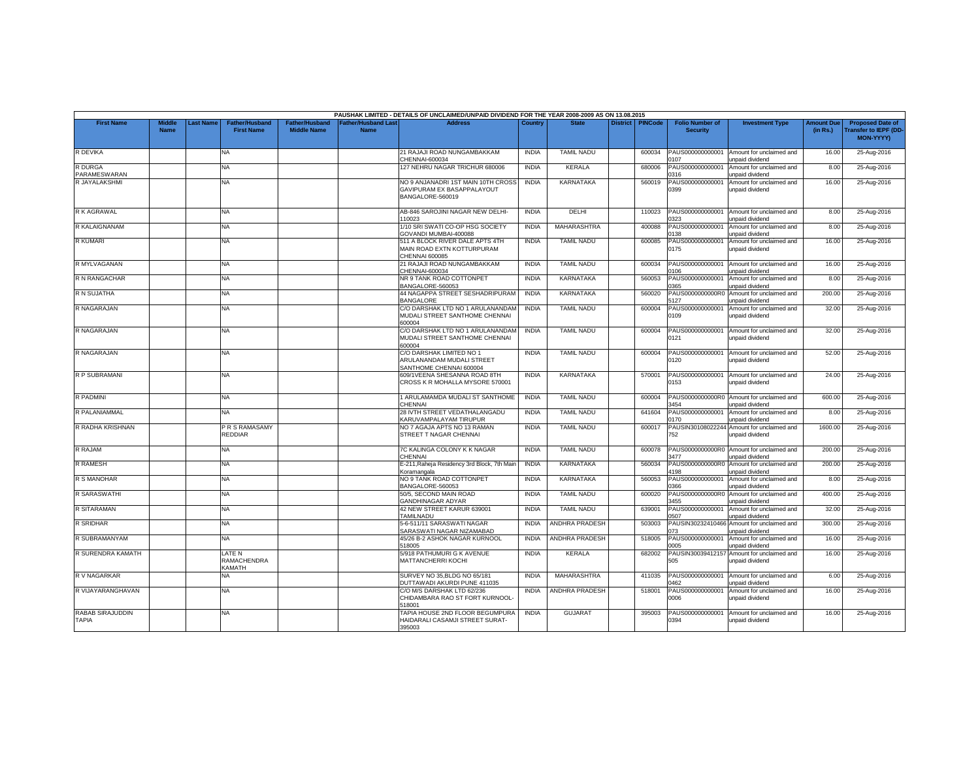|                                |                              |           |                                            |                                             |                                           | PAUSHAK LIMITED - DETAILS OF UNCLAIMED/UNPAID DIVIDEND FOR THE YEAR 2008-2009 AS ON 13.08.2015 |                |                       |                 |                |                                           |                                                               |                               |                                                                            |
|--------------------------------|------------------------------|-----------|--------------------------------------------|---------------------------------------------|-------------------------------------------|------------------------------------------------------------------------------------------------|----------------|-----------------------|-----------------|----------------|-------------------------------------------|---------------------------------------------------------------|-------------------------------|----------------------------------------------------------------------------|
| <b>First Name</b>              | <b>Middle</b><br><b>Name</b> | Last Name | <b>Father/Husband</b><br><b>First Name</b> | <b>Father/Husband</b><br><b>Middle Name</b> | <b>Father/Husband Last</b><br><b>Name</b> | <b>Address</b>                                                                                 | <b>Country</b> | <b>State</b>          | <b>District</b> | <b>PINCode</b> | <b>Folio Number of</b><br><b>Security</b> | <b>Investment Type</b>                                        | <b>Amount Due</b><br>(in Rs.) | <b>Proposed Date of</b><br><b>Transfer to IEPF (DD</b><br><b>MON-YYYY)</b> |
| R DEVIKA                       |                              |           | NA                                         |                                             |                                           | 21 RAJAJI ROAD NUNGAMBAKKAM<br>CHENNAI-600034                                                  | <b>INDIA</b>   | <b>TAMIL NADU</b>     |                 | 600034         | PAUS000000000001<br>107                   | Amount for unclaimed and<br>unpaid dividend                   | 16.00                         | 25-Aug-2016                                                                |
| R DURGA<br><b>PARAMESWARAN</b> |                              |           | <b>NA</b>                                  |                                             |                                           | 127 NEHRU NAGAR TRICHUR 680006                                                                 | <b>INDIA</b>   | <b>KERALA</b>         |                 | 680006         | PAUS000000000001<br>316                   | Amount for unclaimed and<br>unpaid dividend                   | 8.00                          | 25-Aug-2016                                                                |
| R JAYALAKSHMI                  |                              |           | ΝA                                         |                                             |                                           | NO 9 ANJANADRI 1ST MAIN 10TH CROSS<br>GAVIPURAM EX BASAPPALAYOUT<br>BANGALORE-560019           | <b>INDIA</b>   | KARNATAKA             |                 | 560019         | PAUS000000000001<br>0399                  | Amount for unclaimed and<br>unpaid dividend                   | 16.00                         | 25-Aug-2016                                                                |
| R K AGRAWAL                    |                              |           | <b>NA</b>                                  |                                             |                                           | AB-846 SAROJINI NAGAR NEW DELHI<br>110023                                                      | <b>INDIA</b>   | DELHI                 |                 | 110023         | PAUS000000000001<br>323                   | Amount for unclaimed and<br>unpaid dividend                   | 8.00                          | 25-Aug-2016                                                                |
| <b>R KALAIGNANAM</b>           |                              |           | <b>NA</b>                                  |                                             |                                           | 1/10 SRI SWATI CO-OP HSG SOCIETY<br>GOVANDI MUMBAI-400088                                      | <b>INDIA</b>   | MAHARASHTRA           |                 | 400088         | PAUS000000000001<br>138                   | Amount for unclaimed and<br>unpaid dividend                   | 8.00                          | 25-Aug-2016                                                                |
| <b>R KUMARI</b>                |                              |           | NA                                         |                                             |                                           | 511 A BLOCK RIVER DALE APTS 4TH<br>MAIN ROAD EXTN KOTTURPURAM<br>CHENNAI 600085                | <b>INDIA</b>   | <b>TAMIL NADU</b>     |                 | 600085         | PAUS000000000001<br>0175                  | Amount for unclaimed and<br>unpaid dividend                   | 16.00                         | 25-Aug-2016                                                                |
| R MYLVAGANAN                   |                              |           | <b>NA</b>                                  |                                             |                                           | 21 RAJAJI ROAD NUNGAMBAKKAM<br>CHENNAI-600034                                                  | <b>INDIA</b>   | <b>TAMIL NADU</b>     |                 | 600034         | PAUS000000000001<br>106                   | Amount for unclaimed and<br>unpaid dividend                   | 16.00                         | 25-Aug-2016                                                                |
| R N RANGACHAR                  |                              |           | <b>NA</b>                                  |                                             |                                           | NR 9 TANK ROAD COTTONPET<br>BANGALORE-560053                                                   | <b>INDIA</b>   | KARNATAKA             |                 | 560053         | PAUS000000000001<br>1365                  | Amount for unclaimed and<br>unpaid dividend                   | 8.00                          | 25-Aug-2016                                                                |
| R N SUJATHA                    |                              |           | NA                                         |                                             |                                           | 44 NAGAPPA STREET SESHADRIPURAM<br><b>BANGALORE</b>                                            | <b>INDIA</b>   | KARNATAKA             |                 | 560020         | PAUS0000000000R0<br>127                   | Amount for unclaimed and<br>unpaid dividend                   | 200.00                        | 25-Aug-2016                                                                |
| R NAGARAJAN                    |                              |           | <b>NA</b>                                  |                                             |                                           | C/O DARSHAK LTD NO 1 ARULANANDAM<br>MUDALI STREET SANTHOME CHENNAI<br>600004                   | <b>INDIA</b>   | <b>TAMIL NADU</b>     |                 | 600004         | PAUS000000000001<br>0109                  | Amount for unclaimed and<br>unpaid dividend                   | 32.00                         | 25-Aug-2016                                                                |
| R NAGARAJAN                    |                              |           | NA.                                        |                                             |                                           | C/O DARSHAK LTD NO 1 ARULANANDAM<br>MUDALI STREET SANTHOME CHENNAI<br>600004                   | <b>INDIA</b>   | <b>TAMIL NADU</b>     |                 | 600004         | PAUS000000000001<br>0121                  | Amount for unclaimed and<br>unpaid dividend                   | 32.00                         | 25-Aug-2016                                                                |
| R NAGARAJAN                    |                              |           | <b>NA</b>                                  |                                             |                                           | C/O DARSHAK LIMITED NO 1<br>ARULANANDAM MUDALI STREET<br>SANTHOME CHENNAI 600004               | <b>INDIA</b>   | <b>TAMIL NADU</b>     |                 | 600004         | PAUS000000000001<br>0120                  | Amount for unclaimed and<br>unpaid dividend                   | 52.00                         | 25-Aug-2016                                                                |
| R P SUBRAMANI                  |                              |           | NA                                         |                                             |                                           | 609/1VEENA SHESANNA ROAD 8TH<br>CROSS K R MOHALLA MYSORE 570001                                | <b>INDIA</b>   | KARNATAKA             |                 | 570001         | PAUS000000000001<br>0153                  | Amount for unclaimed and<br>unpaid dividend                   | 24.00                         | 25-Aug-2016                                                                |
| <b>R PADMINI</b>               |                              |           | <b>NA</b>                                  |                                             |                                           | 1 ARULAMAMDA MUDALI ST SANTHOME<br>CHENNAI                                                     | <b>INDIA</b>   | <b>TAMIL NADU</b>     |                 | 600004         | PAUS0000000000R0<br>1454                  | Amount for unclaimed and<br>unpaid dividend                   | 600.00                        | 25-Aug-2016                                                                |
| R PALANIAMMAL                  |                              |           | <b>NA</b>                                  |                                             |                                           | 28 IVTH STREET VEDATHALANGADU<br>KARUVAMPALAYAM TIRUPUR                                        | <b>INDIA</b>   | <b>TAMIL NADU</b>     |                 | 641604         | PAUS000000000001<br>0170                  | Amount for unclaimed and<br>unpaid dividend                   | 8.00                          | 25-Aug-2016                                                                |
| R RADHA KRISHNAN               |                              |           | PRS RAMASAMY<br>REDDIAR                    |                                             |                                           | NO 7 AGAJA APTS NO 13 RAMAN<br>STREET T NAGAR CHENNAI                                          | <b>INDIA</b>   | <b>TAMIL NADU</b>     |                 | 600017         | 752                                       | PAUSIN30108022244 Amount for unclaimed and<br>unpaid dividend | 1600.00                       | 25-Aug-2016                                                                |
| R RAJAM                        |                              |           | <b>NA</b>                                  |                                             |                                           | 7C KALINGA COLONY K K NAGAR<br><b>CHENNAI</b>                                                  | <b>INDIA</b>   | <b>TAMIL NADU</b>     |                 | 600078         | PAUS0000000000R0<br>3477                  | Amount for unclaimed and<br>unpaid dividend                   | 200.00                        | 25-Aug-2016                                                                |
| <b>R RAMESH</b>                |                              |           | <b>NA</b>                                  |                                             |                                           | E-211, Raheja Residency 3rd Block, 7th Main<br>Koramangala                                     | <b>INDIA</b>   | KARNATAKA             |                 | 560034         | PAUS0000000000R0<br>1198                  | Amount for unclaimed and<br>unpaid dividend                   | 200.00                        | 25-Aug-2016                                                                |
| R S MANOHAR                    |                              |           | <b>NA</b>                                  |                                             |                                           | NO 9 TANK ROAD COTTONPET<br>BANGALORE-560053                                                   | <b>INDIA</b>   | KARNATAKA             |                 | 560053         | PAUS000000000001<br>366                   | Amount for unclaimed and<br>unpaid dividend                   | 8.00                          | 25-Aug-2016                                                                |
| R SARASWATHI                   |                              |           | <b>NA</b>                                  |                                             |                                           | 50/5, SECOND MAIN ROAD<br><b>GANDHINAGAR ADYAR</b>                                             | <b>INDIA</b>   | <b>TAMIL NADU</b>     |                 | 600020         | PAUS0000000000R0<br>1455                  | Amount for unclaimed and<br>unpaid dividend                   | 400.00                        | 25-Aug-2016                                                                |
| R SITARAMAN                    |                              |           | <b>NA</b>                                  |                                             |                                           | 42 NEW STREET KARUR 639001<br>TAMILNADU                                                        | <b>INDIA</b>   | <b>TAMIL NADU</b>     |                 | 639001         | PAUS000000000001<br>0507                  | Amount for unclaimed and<br>unpaid dividend                   | 32.00                         | 25-Aug-2016                                                                |
| R SRIDHAR                      |                              |           | NA                                         |                                             |                                           | 5-6-511/11 SARASWATI NAGAR<br>SARASWATI NAGAR NIZAMABAD                                        | <b>INDIA</b>   | <b>ANDHRA PRADESH</b> |                 | 503003         | 073                                       | PAUSIN30232410466 Amount for unclaimed and<br>unpaid dividend | 300.00                        | 25-Aug-2016                                                                |
| R SUBRAMANYAM                  |                              |           | <b>NA</b>                                  |                                             |                                           | 45/26 B-2 ASHOK NAGAR KURNOOL<br>518005                                                        | <b>INDIA</b>   | ANDHRA PRADESH        |                 | 518005         | PAUS000000000001<br>2005                  | Amount for unclaimed and<br>unpaid dividend                   | 16.00                         | 25-Aug-2016                                                                |
| R SURENDRA KAMATH              |                              |           | <b>LATE N</b><br>RAMACHENDRA<br>KAMATH     |                                             |                                           | 5/918 PATHUMURI G K AVENUE<br>MATTANCHERRI KOCHI                                               | <b>INDIA</b>   | <b>KERALA</b>         |                 | 682002         | PAUSIN30039412157<br>505                  | Amount for unclaimed and<br>unpaid dividend                   | 16.00                         | 25-Aug-2016                                                                |
| R V NAGARKAR                   |                              |           | NA                                         |                                             |                                           | SURVEY NO 35, BLDG NO 65/181<br>DUTTAWADI AKURDI PUNE 411035                                   | <b>INDIA</b>   | <b>MAHARASHTRA</b>    |                 | 411035         | PAUS00000000000<br>0462                   | Amount for unclaimed and<br>unpaid dividend                   | 6.00                          | 25-Aug-2016                                                                |
| R VIJAYARANGHAVAN              |                              |           | <b>NA</b>                                  |                                             |                                           | C/O M/S DARSHAK LTD 62/236<br>CHIDAMBARA RAO ST FORT KURNOOL<br>518001                         | <b>INDIA</b>   | <b>ANDHRA PRADESH</b> |                 | 518001         | PAUS000000000001<br>0006                  | Amount for unclaimed and<br>unpaid dividend                   | 16.00                         | 25-Aug-2016                                                                |
| RABAB SIRAJUDDIN<br>TAPIA      |                              |           | NA                                         |                                             |                                           | TAPIA HOUSE 2ND FLOOR BEGUMPURA<br>HAIDARALI CASAMJI STREET SURAT-<br>395003                   | <b>INDIA</b>   | <b>GUJARAT</b>        |                 | 395003         | PAUS000000000001<br>0394                  | Amount for unclaimed and<br>unpaid dividend                   | 16.00                         | 25-Aug-2016                                                                |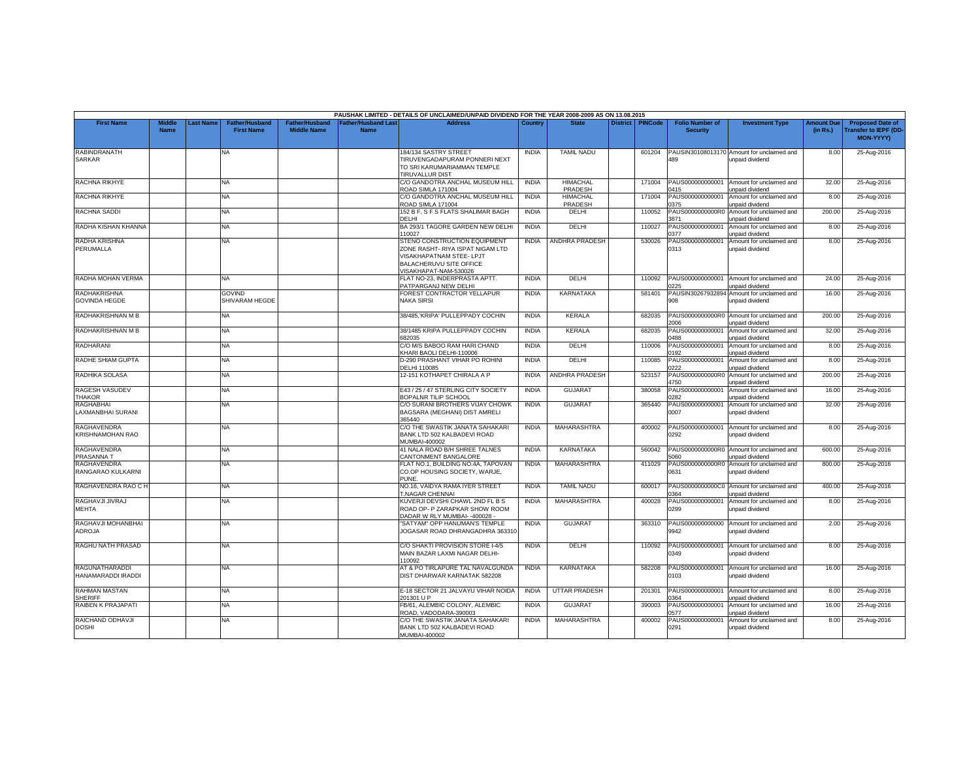|                                             |                              |                 |                                            |                                             |                                    | PAUSHAK LIMITED - DETAILS OF UNCLAIMED/UNPAID DIVIDEND FOR THE YEAR 2008-2009 AS ON 13.08.2015                                                   |              |                            |                 |                |                                           |                                                                     |                               |                                                                     |
|---------------------------------------------|------------------------------|-----------------|--------------------------------------------|---------------------------------------------|------------------------------------|--------------------------------------------------------------------------------------------------------------------------------------------------|--------------|----------------------------|-----------------|----------------|-------------------------------------------|---------------------------------------------------------------------|-------------------------------|---------------------------------------------------------------------|
| <b>First Name</b>                           | <b>Middle</b><br><b>Name</b> | <b>ast Name</b> | <b>Father/Husband</b><br><b>First Name</b> | <b>Father/Husband</b><br><b>Middle Name</b> | <b>Father/Husband Last</b><br>Name | <b>Address</b>                                                                                                                                   | Country      | <b>State</b>               | <b>District</b> | <b>PINCode</b> | <b>Folio Number of</b><br><b>Security</b> | <b>Investment Type</b>                                              | <b>Amount Due</b><br>(in Rs.) | <b>Proposed Date of</b><br><b>Transfer to IEPF (DD</b><br>MON-YYYY) |
| RABINDRANATH<br><b>SARKAR</b>               |                              |                 | NA                                         |                                             |                                    | 184/134 SASTRY STREET<br>TIRUVENGADAPURAM PONNERI NEXT<br>TO SRI KARUMARIAMMAN TEMPLE<br>TIRUVALLUR DIST                                         | <b>INDIA</b> | <b>TAMIL NADU</b>          |                 | 601204         | 489                                       | PAUSIN30108013170 Amount for unclaimed and<br>unpaid dividend       | 8.00                          | 25-Aug-2016                                                         |
| RACHNA RIKHYE                               |                              |                 | NA                                         |                                             |                                    | C/O GANDOTRA ANCHAL MUSEUM HILL<br><b>ROAD SIMLA 171004</b>                                                                                      | <b>INDIA</b> | <b>HIMACHAL</b><br>PRADESH |                 | 171004         | PAUS000000000001<br>0415                  | Amount for unclaimed and<br>unpaid dividend                         | 32.00                         | 25-Aug-2016                                                         |
| <b>RACHNA RIKHYE</b>                        |                              |                 | NA.                                        |                                             |                                    | C/O GANDOTRA ANCHAL MUSEUM HILL<br><b>ROAD SIMLA 171004</b>                                                                                      | <b>INDIA</b> | <b>HIMACHAL</b><br>PRADESH |                 | 171004         | PAUS000000000001<br>375                   | Amount for unclaimed and<br>unpaid dividend                         | 8.00                          | 25-Aug-2016                                                         |
| RACHNA SADDI                                |                              |                 | NA                                         |                                             |                                    | 152 B F, S F S FLATS SHALIMAR BAGH<br>DELHI                                                                                                      | <b>INDIA</b> | DELHI                      |                 | 110052         | PAUS0000000000R0<br>3871                  | Amount for unclaimed and<br>unpaid dividend                         | 200.00                        | 25-Aug-2016                                                         |
| RADHA KISHAN KHANNA                         |                              |                 | <b>NA</b>                                  |                                             |                                    | BA 293/1 TAGORE GARDEN NEW DELHI<br>10027                                                                                                        | <b>INDIA</b> | DELHI                      |                 | 110027         | PAUS000000000001<br>1377                  | Amount for unclaimed and<br>unpaid dividend                         | 8.00                          | 25-Aug-2016                                                         |
| RADHA KRISHNA<br>PERUMALLA                  |                              |                 | <b>NA</b>                                  |                                             |                                    | STENO CONSTRUCTION EQUIPMENT<br>ZONE RASHT- RIYA ISPAT NIGAM LTD<br>VISAKHAPATNAM STEE- LPJT<br>BALACHERUVU SITE OFFICE<br>/ISAKHAPAT-NAM-530026 | <b>INDIA</b> | ANDHRA PRADESH             |                 | 530026         | PAUS000000000001<br>0313                  | Amount for unclaimed and<br>unpaid dividend                         | 8.00                          | 25-Aug-2016                                                         |
| RADHA MOHAN VERMA                           |                              |                 | NA                                         |                                             |                                    | FLAT NO-23, INDERPRASTA APTT.<br>PATPARGANJ NEW DELHI                                                                                            | <b>INDIA</b> | DELHI                      |                 | 110092         | PAUS000000000001<br>)225                  | Amount for unclaimed and<br>unpaid dividend                         | 24.00                         | 25-Aug-2016                                                         |
| <b>RADHAKRISHNA</b><br><b>GOVINDA HEGDE</b> |                              |                 | <b>GOVIND</b><br>SHIVARAM HEGDE            |                                             |                                    | FOREST CONTRACTOR YELLAPUR<br><b>NAKA SIRSI</b>                                                                                                  | <b>INDIA</b> | <b>KARNATAKA</b>           |                 | 581401         | AUSIN30267932894<br>908                   | Amount for unclaimed and<br>unpaid dividend                         | 16.00                         | 25-Aug-2016                                                         |
| RADHAKRISHNAN M B                           |                              |                 | <b>NA</b>                                  |                                             |                                    | 38/485, KRIPA' PULLEPPADY COCHIN                                                                                                                 | <b>INDIA</b> | <b>KERALA</b>              |                 | 682035         | 006                                       | PAUS0000000000R0 Amount for unclaimed and<br><b>Inpaid dividend</b> | 200.00                        | 25-Aug-2016                                                         |
| RADHAKRISHNAN M B                           |                              |                 | <b>NA</b>                                  |                                             |                                    | 38/1485 KRIPA PULLEPPADY COCHIN<br>82035                                                                                                         | <b>INDIA</b> | <b>KERALA</b>              |                 | 682035         | PAUS000000000001<br>1488                  | Amount for unclaimed and<br>unpaid dividend                         | 32.00                         | 25-Aug-2016                                                         |
| RADHARANI                                   |                              |                 | NA                                         |                                             |                                    | C/O M/S BABOO RAM HARI CHAND<br><b>CHARI BAOLI DELHI-110006</b>                                                                                  | <b>INDIA</b> | DELHI                      |                 | 110006         | PAUS000000000001<br>1192                  | Amount for unclaimed and<br>unpaid dividend                         | 8.00                          | 25-Aug-2016                                                         |
| RADHE SHIAM GUPTA                           |                              |                 | <b>NA</b>                                  |                                             |                                    | D-290 PRASHANT VIHAR PO ROHINI<br>DELHI 110085                                                                                                   | <b>INDIA</b> | DELHI                      |                 | 110085         | PAUS000000000001<br>)222                  | Amount for unclaimed and<br>unpaid dividend                         | 8.00                          | 25-Aug-2016                                                         |
| RADHIKA SOLASA                              |                              |                 | NA.                                        |                                             |                                    | 12-151 KOTHAPET CHIRALA A P                                                                                                                      | <b>INDIA</b> | <b>ANDHRA PRADESH</b>      |                 | 523157         | PAUS0000000000R0<br>4750                  | Amount for unclaimed and<br>unpaid dividend                         | 200.00                        | 25-Aug-2016                                                         |
| <b>RAGESH VASUDEV</b><br><b>THAKOR</b>      |                              |                 | <b>NA</b>                                  |                                             |                                    | E43 / 25 / 47 STERLING CITY SOCIETY<br>BOPALNR TILIP SCHOOL                                                                                      | <b>INDIA</b> | <b>GUJARAT</b>             |                 | 380058         | PAUS000000000001<br>1282                  | Amount for unclaimed and<br>unpaid dividend                         | 16.00                         | 25-Aug-2016                                                         |
| RAGHABHAI<br>LAXMANBHAI SURANI              |                              |                 | NA.                                        |                                             |                                    | C/O SURANI BROTHERS VIJAY CHOWK<br>BAGSARA (MEGHANI) DIST AMRELI<br>365440                                                                       | <b>INDIA</b> | GUJARAT                    |                 | 365440         | PAUS000000000001<br>0007                  | Amount for unclaimed and<br>unpaid dividend                         | 32.00                         | 25-Aug-2016                                                         |
| RAGHAVENDRA<br><b>KRISHNAMOHAN RAO</b>      |                              |                 | NA                                         |                                             |                                    | C/O THE SWASTIK JANATA SAHAKARI<br>BANK LTD 502 KALBADEVI ROAD<br>MUMBAI-400002                                                                  | <b>INDIA</b> | MAHARASHTRA                |                 | 400002         | PAUS000000000001<br>0292                  | Amount for unclaimed and<br>unpaid dividend                         | 8.00                          | 25-Aug-2016                                                         |
| <b>RAGHAVENDRA</b><br>PRASANNA T            |                              |                 | <b>NA</b>                                  |                                             |                                    | 41 NALA ROAD B/H SHREE TALNES<br>CANTONMENT BANGALORE                                                                                            | <b>INDIA</b> | <b>KARNATAKA</b>           |                 | 560042         | PAUS0000000000R0<br>060                   | Amount for unclaimed and<br>unpaid dividend                         | 600.00                        | 25-Aug-2016                                                         |
| RAGHAVENDRA<br>RANGARAO KULKARNI            |                              |                 | NA                                         |                                             |                                    | FLAT NO.1, BUILDING NO.4A, TAPOVAN<br>CO.OP HOUSING SOCIETY, WARJE,<br>PUNE.                                                                     | <b>INDIA</b> | <b>MAHARASHTRA</b>         |                 | 411029         | PAUS0000000000R0<br>0631                  | Amount for unclaimed and<br>unpaid dividend                         | 800.00                        | 25-Aug-2016                                                         |
| RAGHAVENDRA RAO C H                         |                              |                 | <b>NA</b>                                  |                                             |                                    | NO.16, VAIDYA RAMA IYER STREET<br><b>F.NAGAR CHENNAI</b>                                                                                         | <b>INDIA</b> | TAMIL NADU                 |                 | 600017         | 0364                                      | PAUS0000000000C0 Amount for unclaimed and<br>unpaid dividend        | 400.00                        | 25-Aug-2016                                                         |
| RAGHAVJI JIVRAJ<br><b>MEHTA</b>             |                              |                 | <b>NA</b>                                  |                                             |                                    | KUVERJI DEVSHI CHAWL 2ND FL B S<br>ROAD OP- P ZARAPKAR SHOW ROOM<br>DADAR W RLY MUMBAI- -400028 -                                                | <b>INDIA</b> | <b>MAHARASHTRA</b>         |                 | 400028         | PAUS000000000001<br>0299                  | Amount for unclaimed and<br>unpaid dividend                         | 8.00                          | 25-Aug-2016                                                         |
| RAGHAVJI MOHANBHAI<br>ADROJA                |                              |                 | NA                                         |                                             |                                    | "SATYAM" OPP HANUMAN'S TEMPLE<br>JOGASAR ROAD DHRANGADHRA 363310                                                                                 | <b>INDIA</b> | <b>GUJARAT</b>             |                 | 363310         | PAUS000000000000<br>9942                  | Amount for unclaimed and<br>unpaid dividend                         | 2.00                          | 25-Aug-2016                                                         |
| RAGHU NATH PRASAD                           |                              |                 | <b>NA</b>                                  |                                             |                                    | C/O SHAKTI PROVISION STORE I-4/5<br>MAIN BAZAR LAXMI NAGAR DELHI-<br>110092                                                                      | <b>INDIA</b> | DELHI                      |                 | 110092         | PAUS000000000001<br>0349                  | Amount for unclaimed and<br>unpaid dividend                         | 8.00                          | 25-Aug-2016                                                         |
| RAGUNATHARADDI<br>HANAMARADDI IRADDI        |                              |                 | NA                                         |                                             |                                    | AT & PO TIRLAPURE TAL NAVALGUNDA<br>DIST DHARWAR KARNATAK 582208                                                                                 | <b>INDIA</b> | <b>KARNATAKA</b>           |                 | 582208         | PAUS000000000001<br>0103                  | Amount for unclaimed and<br>unpaid dividend                         | 16.00                         | 25-Aug-2016                                                         |
| RAHMAN MASTAN<br><b>SHERIFF</b>             |                              |                 | <b>NA</b>                                  |                                             |                                    | E-18 SECTOR 21 JALVAYU VIHAR NOIDA<br>201301 U P                                                                                                 | <b>INDIA</b> | <b>UTTAR PRADESH</b>       |                 | 201301         | PAUS000000000001<br>364                   | Amount for unclaimed and<br>inpaid dividend                         | 8.00                          | 25-Aug-2016                                                         |
| RAIBEN K PRAJAPATI                          |                              |                 | <b>NA</b>                                  |                                             |                                    | FB/61, ALEMBIC COLONY, ALEMBIC<br>ROAD, VADODARA-390003                                                                                          | <b>INDIA</b> | <b>GUJARAT</b>             |                 | 390003         | PAUS000000000001<br>577                   | Amount for unclaimed and<br>unpaid dividend                         | 16.00                         | 25-Aug-2016                                                         |
| RAICHAND ODHAVJI<br><b>DOSHI</b>            |                              |                 | NA                                         |                                             |                                    | C/O THE SWASTIK JANATA SAHAKARI<br>BANK LTD 502 KALBADEVI ROAD<br>MUMBAI-400002                                                                  | <b>INDIA</b> | MAHARASHTRA                |                 | 400002         | PAUS000000000001<br>0291                  | Amount for unclaimed and<br>unpaid dividend                         | 8.00                          | 25-Aug-2016                                                         |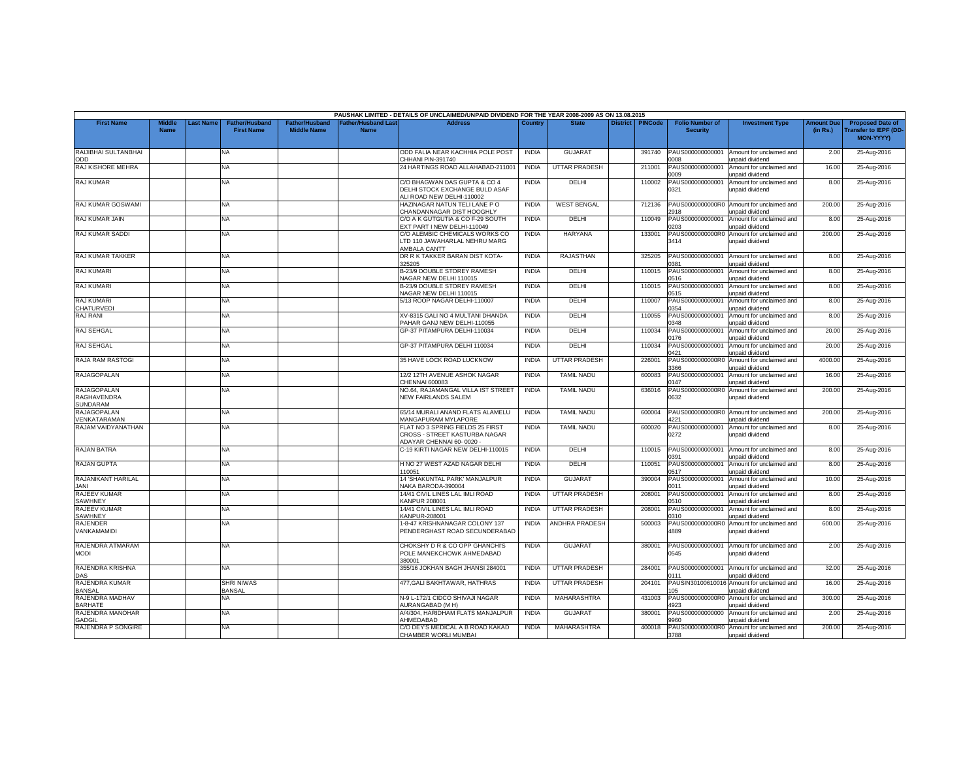|                                    |                              |          |                                            |                                      |                                           | PAUSHAK LIMITED - DETAILS OF UNCLAIMED/UNPAID DIVIDEND FOR THE YEAR 2008-2009 AS ON 13.08.2015 |                              |                                        |                 |                  |                                             |                                                                         |                               |                                                                     |
|------------------------------------|------------------------------|----------|--------------------------------------------|--------------------------------------|-------------------------------------------|------------------------------------------------------------------------------------------------|------------------------------|----------------------------------------|-----------------|------------------|---------------------------------------------|-------------------------------------------------------------------------|-------------------------------|---------------------------------------------------------------------|
| <b>First Name</b>                  | <b>Middle</b><br><b>Name</b> | ast Name | <b>Father/Husband</b><br><b>First Name</b> | Father/Husband<br><b>Middle Name</b> | <b>Father/Husband Last</b><br><b>Name</b> | <b>Address</b>                                                                                 | Country                      | <b>State</b>                           | <b>District</b> | <b>PINCode</b>   | <b>Folio Number of</b><br><b>Security</b>   | <b>Investment Type</b>                                                  | <b>Amount Due</b><br>(in Rs.) | <b>Proposed Date of</b><br><b>Transfer to IEPF (DD</b><br>MON-YYYY) |
| RAIJIBHAI SULTANBHAI<br>ODD        |                              |          | NA.                                        |                                      |                                           | ODD FALIA NEAR KACHHIA POLE POST<br>CHHANI PIN-391740                                          | <b>INDIA</b>                 | <b>GUJARAT</b>                         |                 | 391740           | PAUS000000000001<br>3008                    | Amount for unclaimed and<br>unpaid dividend                             | 2.00                          | 25-Aug-2016                                                         |
| RAJ KISHORE MEHRA                  |                              |          | NA                                         |                                      |                                           | 24 HARTINGS ROAD ALLAHABAD-211001                                                              | <b>INDIA</b>                 | <b>UTTAR PRADESH</b>                   |                 | 211001           | PAUS000000000001<br>0009                    | Amount for unclaimed and<br>unpaid dividend                             | 16.00                         | 25-Aug-2016                                                         |
| <b>RAJ KUMAR</b>                   |                              |          | <b>NA</b>                                  |                                      |                                           | C/O BHAGWAN DAS GUPTA & CO 4<br>DELHI STOCK EXCHANGE BULD ASAF<br>LI ROAD NEW DELHI-110002     | <b>INDIA</b>                 | DELHI                                  |                 | 110002           | PAUS000000000001<br>0321                    | Amount for unclaimed and<br>unpaid dividend                             | 8.00                          | 25-Aug-2016                                                         |
| RAJ KUMAR GOSWAMI                  |                              |          | NA                                         |                                      |                                           | HAZINAGAR NATUN TELI LANE P O<br>CHANDANNAGAR DIST HOOGHLY                                     | <b>INDIA</b>                 | <b>WEST BENGAL</b>                     |                 | 712136           | 2918                                        | PAUS0000000000R0 Amount for unclaimed and<br>unpaid dividend            | 200.00                        | 25-Aug-2016                                                         |
| RAJ KUMAR JAIN                     |                              |          | NA                                         |                                      |                                           | C/O A K GUTGUTIA & CO F-29 SOUTH<br><b>EXT PART I NEW DELHI-110049</b>                         | <b>INDIA</b>                 | DELHI                                  |                 | 110049           | PAUS000000000001<br>0203                    | Amount for unclaimed and<br>unpaid dividend                             | 8.00                          | 25-Aug-2016                                                         |
| RAJ KUMAR SADDI                    |                              |          | NA                                         |                                      |                                           | C/O ALEMBIC CHEMICALS WORKS CO<br>LTD 110 JAWAHARLAL NEHRU MARG<br>AMBALA CANTT                | <b>INDIA</b>                 | HARYANA                                |                 | 133001           | PAUS0000000000R0<br>3414                    | Amount for unclaimed and<br>unpaid dividend                             | 200.00                        | 25-Aug-2016                                                         |
| <b>RAJ KUMAR TAKKER</b>            |                              |          | NA                                         |                                      |                                           | DR R K TAKKER BARAN DIST KOTA-<br>325205                                                       | <b>INDIA</b>                 | RAJASTHAN                              |                 | 325205           | PAUS000000000001<br>381                     | Amount for unclaimed and<br>unpaid dividend                             | 8.00                          | 25-Aug-2016                                                         |
| <b>RAJ KUMARI</b>                  |                              |          | NA                                         |                                      |                                           | B-23/9 DOUBLE STOREY RAMESH<br>NAGAR NEW DELHI 110015                                          | <b>INDIA</b>                 | DELHI                                  |                 | 110015           | PAUS000000000001<br>0516                    | Amount for unclaimed and<br>unpaid dividend                             | 8.00                          | 25-Aug-2016                                                         |
| <b>RAJ KUMARI</b>                  |                              |          | NA                                         |                                      |                                           | B-23/9 DOUBLE STOREY RAMESH<br>NAGAR NEW DELHI 110015                                          | <b>INDIA</b>                 | DELHI                                  |                 | 110015           | PAUS00000000000<br>0515                     | Amount for unclaimed and<br>unpaid dividend                             | 8.00                          | 25-Aug-2016                                                         |
| <b>RAJ KUMARI</b><br>CHATURVEDI    |                              |          | NA                                         |                                      |                                           | 5/13 ROOP NAGAR DELHI-110007                                                                   | <b>INDIA</b>                 | DELHI                                  |                 | 110007           | PAUS000000000001<br>0354                    | Amount for unclaimed and<br>unpaid dividend                             | 8.00                          | 25-Aug-2016                                                         |
| RAJ RANI                           |                              |          | <b>NA</b>                                  |                                      |                                           | XV-8315 GALI NO 4 MULTANI DHANDA<br>PAHAR GANJ NEW DELHI-110055                                | <b>INDIA</b>                 | DELHI                                  |                 | 110055           | PAUS000000000001<br>348                     | Amount for unclaimed and<br><b>Inpaid dividend</b>                      | 8.00                          | 25-Aug-2016                                                         |
| RAJ SEHGAL                         |                              |          | NA                                         |                                      |                                           | GP-37 PITAMPURA DELHI-110034                                                                   | <b>INDIA</b>                 | DELHI                                  |                 | 110034           | PAUS000000000001<br>0176                    | Amount for unclaimed and<br>unpaid dividend                             | 20.00                         | 25-Aug-2016                                                         |
| RAJ SEHGAL                         |                              |          | NA                                         |                                      |                                           | GP-37 PITAMPURA DELHI 110034                                                                   | <b>INDIA</b>                 | DELHI                                  |                 | 110034           | PAUS000000000001<br>0421                    | Amount for unclaimed and<br>unpaid dividend                             | 20.00                         | 25-Aug-2016                                                         |
| <b>RAJA RAM RASTOGI</b>            |                              |          | <b>NA</b>                                  |                                      |                                           | <b>35 HAVE LOCK ROAD LUCKNOW</b>                                                               | <b>INDIA</b><br><b>INDIA</b> | <b>UTTAR PRADESH</b>                   |                 | 226001           | PAUS0000000000R0<br>3366                    | Amount for unclaimed and<br>unpaid dividend                             | 4000.00                       | 25-Aug-2016                                                         |
| RAJAGOPALAN<br><b>RAJAGOPALAN</b>  |                              |          | NA<br>NA                                   |                                      |                                           | 12/2 12TH AVENUE ASHOK NAGAR<br>CHENNAI 600083<br>NO.64, RAJAMANGAL VILLA IST STREET           | <b>INDIA</b>                 | <b>TAMIL NADU</b><br><b>TAMIL NADU</b> |                 | 600083<br>636016 | PAUS000000000001<br>147<br>PAUS0000000000R0 | Amount for unclaimed and<br>unpaid dividend<br>Amount for unclaimed and | 16.00<br>200.00               | 25-Aug-2016<br>25-Aug-2016                                          |
| RAGHAVENDRA<br><b>SUNDARAM</b>     |                              |          |                                            |                                      |                                           | NEW FAIRLANDS SALEM                                                                            |                              |                                        |                 |                  | 0632                                        | unpaid dividend                                                         |                               |                                                                     |
| <b>RAJAGOPALAN</b><br>VENKATARAMAN |                              |          | NA                                         |                                      |                                           | 65/14 MURALI ANAND FLATS ALAMELU<br><b>MANGAPURAM MYLAPORE</b>                                 | <b>INDIA</b>                 | <b>TAMIL NADU</b>                      |                 | 600004           | 1221                                        | PAUS0000000000R0 Amount for unclaimed and<br>unpaid dividend            | 200.00                        | 25-Aug-2016                                                         |
| RAJAM VAIDYANATHAN                 |                              |          | NA.                                        |                                      |                                           | FLAT NO 3 SPRING FIELDS 25 FIRST<br>CROSS - STREET KASTURBA NAGAR<br>ADAYAR CHENNAI 60-0020    | <b>INDIA</b>                 | <b>TAMIL NADU</b>                      |                 | 600020           | PAUS000000000001<br>0272                    | Amount for unclaimed and<br>unpaid dividend                             | 8.00                          | 25-Aug-2016                                                         |
| <b>RAJAN BATRA</b>                 |                              |          | NA                                         |                                      |                                           | C-19 KIRTI NAGAR NEW DELHI-110015                                                              | <b>INDIA</b>                 | DELHI                                  |                 | 110015           | PAUS000000000001<br>391                     | Amount for unclaimed and<br><b>Inpaid dividend</b>                      | 8.00                          | 25-Aug-2016                                                         |
| <b>RAJAN GUPTA</b>                 |                              |          | NA.                                        |                                      |                                           | H NO 27 WEST AZAD NAGAR DELHI<br>10051                                                         | <b>INDIA</b>                 | DELHI                                  |                 | 110051           | PAUS000000000001<br>1517                    | Amount for unclaimed and<br>unpaid dividend                             | 8.00                          | 25-Aug-2016                                                         |
| RAJANIKANT HARILAL<br><b>JANI</b>  |                              |          | NA                                         |                                      |                                           | <b>14 'SHAKUNTAL PARK' MANJALPUR</b><br>VAKA BARODA-390004                                     | <b>INDIA</b>                 | <b>GUJARAT</b>                         |                 | 390004           | PAUS000000000001<br>0011                    | Amount for unclaimed and<br>unpaid dividend                             | 10.00                         | 25-Aug-2016                                                         |
| RAJEEV KUMAR<br>SAWHNEY            |                              |          | NA.                                        |                                      |                                           | 14/41 CIVIL LINES LAL IMLI ROAD<br><b>CANPUR 208001</b>                                        | <b>INDIA</b>                 | <b>UTTAR PRADESH</b>                   |                 | 208001           | PAUS000000000001<br>0510                    | Amount for unclaimed and<br>unpaid dividend                             | 8.00                          | 25-Aug-2016                                                         |
| RAJEEV KUMAR<br>SAWHNEY            |                              |          | NA                                         |                                      |                                           | 14/41 CIVIL LINES LAL IMLI ROAD<br><b>KANPUR-208001</b>                                        | <b>INDIA</b>                 | <b>UTTAR PRADESH</b>                   |                 | 208001           | PAUS000000000001<br>0310                    | Amount for unclaimed and<br>unpaid dividend                             | 8.00                          | 25-Aug-2016                                                         |
| <b>RAJENDER</b><br>VANKAMAMIDI     |                              |          | NA.                                        |                                      |                                           | -8-47 KRISHNANAGAR COLONY 137<br>PENDERGHAST ROAD SECUNDERABAD                                 | <b>INDIA</b>                 | ANDHRA PRADESH                         |                 | 500003           | 4889                                        | PAUS0000000000R0 Amount for unclaimed and<br>inpaid dividend            | 600.00                        | 25-Aug-2016                                                         |
| RAJENDRA ATMARAM<br><b>MODI</b>    |                              |          | NA                                         |                                      |                                           | CHOKSHY D R & CO OPP GHANCHI'S<br>POLE MANEKCHOWK AHMEDABAD<br>380001                          | <b>INDIA</b>                 | <b>GUJARAT</b>                         |                 | 380001           | PAUS000000000001<br>0545                    | Amount for unclaimed and<br>unpaid dividend                             | 2.00                          | 25-Aug-2016                                                         |
| RAJENDRA KRISHNA<br>DAS            |                              |          | NA                                         |                                      |                                           | 355/16 JOKHAN BAGH JHANSI 284001                                                               | <b>INDIA</b>                 | <b>UTTAR PRADESH</b>                   |                 | 284001           | PAUS000000000001<br>0111                    | Amount for unclaimed and<br>unpaid dividend                             | 32.00                         | 25-Aug-2016                                                         |
| RAJENDRA KUMAR<br><b>BANSAL</b>    |                              |          | <b>SHRI NIWAS</b><br>BANSAL                |                                      |                                           | 477, GALI BAKHTAWAR, HATHRAS                                                                   | <b>INDIA</b>                 | <b>UTTAR PRADESH</b>                   |                 | 204101           | PAUSIN3010061001<br>05                      | Amount for unclaimed and<br>inpaid dividend                             | 16.00                         | 25-Aug-2016                                                         |
| RAJENDRA MADHAV<br><b>BARHATE</b>  |                              |          | NA                                         |                                      |                                           | N-9 L-172/1 CIDCO SHIVAJI NAGAR<br><b>URANGABAD (M H)</b>                                      | <b>INDIA</b>                 | MAHARASHTRA                            |                 | 431003           | PAUS0000000000R0<br>923                     | Amount for unclaimed and<br>unpaid dividend                             | 300.00                        | 25-Aug-2016                                                         |
| RAJENDRA MANOHAR<br>GADGIL         |                              |          | NA                                         |                                      |                                           | A/4/304, HARIDHAM FLATS MANJALPUR<br><b>HMEDABAD</b>                                           | <b>INDIA</b>                 | <b>GUJARAT</b>                         |                 | 380001           | PAUS000000000000<br>9960                    | Amount for unclaimed and<br>unpaid dividend                             | 2.00                          | 25-Aug-2016                                                         |
| RAJENDRA P SONGIRE                 |                              |          | NA.                                        |                                      |                                           | C/O DEY'S MEDICAL A B ROAD KAKAD<br>CHAMBER WORLI MUMBAI                                       | <b>INDIA</b>                 | <b>MAHARASHTRA</b>                     |                 | 400018           | 3788                                        | PAUS0000000000R0 Amount for unclaimed and<br>unpaid dividend            | 200.00                        | 25-Aug-2016                                                         |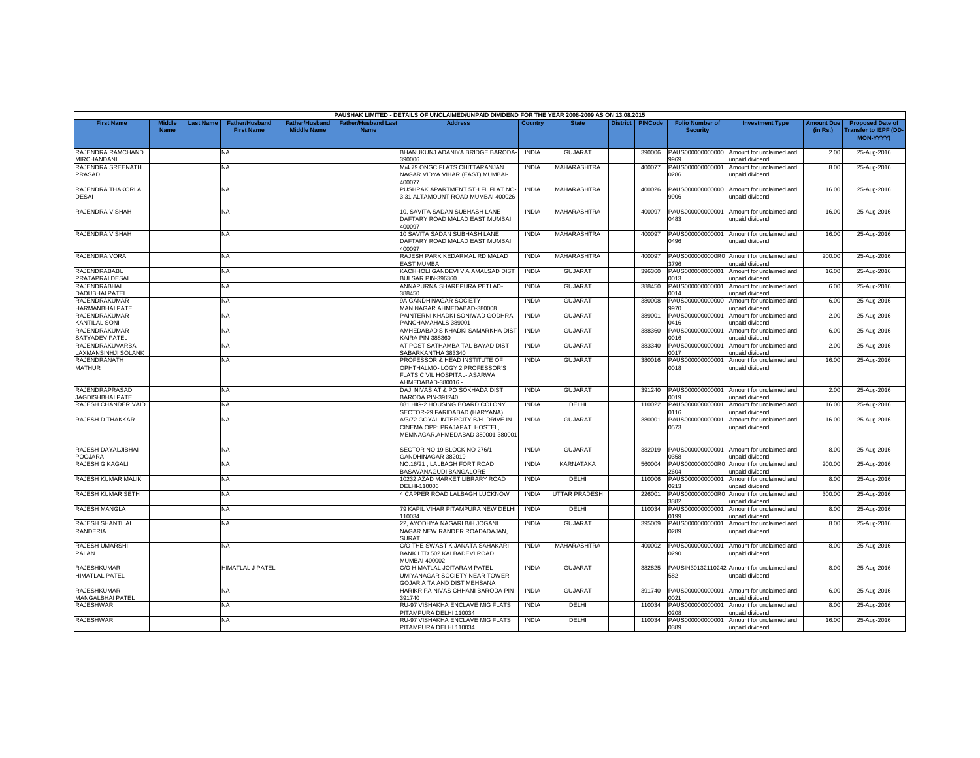|                                                   |                              |          |                                            |                                             |                                           | PAUSHAK LIMITED - DETAILS OF UNCLAIMED/UNPAID DIVIDEND FOR THE YEAR 2008-2009 AS ON 13.08.2015                       |              |                      |                 |                |                                           |                                                               |                               |                                                                            |
|---------------------------------------------------|------------------------------|----------|--------------------------------------------|---------------------------------------------|-------------------------------------------|----------------------------------------------------------------------------------------------------------------------|--------------|----------------------|-----------------|----------------|-------------------------------------------|---------------------------------------------------------------|-------------------------------|----------------------------------------------------------------------------|
| <b>First Name</b>                                 | <b>Middle</b><br><b>Name</b> | ast Name | <b>Father/Husband</b><br><b>First Name</b> | <b>Father/Husband</b><br><b>Middle Name</b> | <b>Father/Husband Last</b><br><b>Name</b> | <b>Address</b>                                                                                                       | Country      | <b>State</b>         | <b>District</b> | <b>PINCode</b> | <b>Folio Number of</b><br><b>Security</b> | <b>Investment Type</b>                                        | <b>Amount Due</b><br>(in Rs.) | <b>Proposed Date of</b><br><b>Transfer to IEPF (DD</b><br><b>MON-YYYY)</b> |
| RAJENDRA RAMCHAND<br>MIRCHANDANI                  |                              |          | <b>NA</b>                                  |                                             |                                           | BHANUKUNJ ADANIYA BRIDGE BARODA-<br>390006                                                                           | <b>INDIA</b> | <b>GUJARAT</b>       |                 | 390006         | PAUS000000000000<br>969                   | Amount for unclaimed and<br>unpaid dividend                   | 2.00                          | 25-Aug-2016                                                                |
| RAJENDRA SREENATH<br>PRASAD                       |                              |          | <b>NA</b>                                  |                                             |                                           | M/4 79 ONGC FLATS CHITTARANJAN<br>NAGAR VIDYA VIHAR (EAST) MUMBAI-<br>400077                                         | <b>INDIA</b> | MAHARASHTRA          |                 | 400077         | PAUS000000000001<br>0286                  | Amount for unclaimed and<br>unpaid dividend                   | 8.00                          | 25-Aug-2016                                                                |
| RAJENDRA THAKORLAL<br><b>DESAI</b>                |                              |          | <b>NA</b>                                  |                                             |                                           | PUSHPAK APARTMENT 5TH FL FLAT NO-<br>3 31 ALTAMOUNT ROAD MUMBAI-400026                                               | <b>INDIA</b> | MAHARASHTRA          |                 | 400026         | PAUS000000000000<br>9906                  | Amount for unclaimed and<br>unpaid dividend                   | 16.00                         | 25-Aug-2016                                                                |
| RAJENDRA V SHAH                                   |                              |          | NA.                                        |                                             |                                           | 10. SAVITA SADAN SUBHASH LANE<br>DAFTARY ROAD MALAD EAST MUMBAI<br>400097                                            | <b>INDIA</b> | <b>MAHARASHTRA</b>   |                 | 400097         | PAUS000000000001<br>0483                  | Amount for unclaimed and<br>unpaid dividend                   | 16.00                         | 25-Aug-2016                                                                |
| RAJENDRA V SHAH                                   |                              |          | NA                                         |                                             |                                           | 10 SAVITA SADAN SUBHASH LANE<br>DAFTARY ROAD MALAD EAST MUMBAI<br>400097                                             | <b>INDIA</b> | MAHARASHTRA          |                 | 400097         | PAUS000000000001<br>0496                  | Amount for unclaimed and<br>unpaid dividend                   | 16.00                         | 25-Aug-2016                                                                |
| RAJENDRA VORA                                     |                              |          | <b>NA</b>                                  |                                             |                                           | RAJESH PARK KEDARMAL RD MALAD<br><b>EAST MUMBAI</b>                                                                  | <b>INDIA</b> | <b>MAHARASHTRA</b>   |                 | 400097         | PAUS0000000000R0<br>3796                  | Amount for unclaimed and<br>unpaid dividend                   | 200.00                        | 25-Aug-2016                                                                |
| RAJENDRABABU<br>PRATAPRAI DESA                    |                              |          | <b>NA</b>                                  |                                             |                                           | KACHHOLI GANDEVI VIA AMALSAD DIST<br>BULSAR PIN-396360                                                               | <b>INDIA</b> | GUJARAT              |                 | 396360         | PAUS000000000001<br>013                   | Amount for unclaimed and<br>unpaid dividend                   | 16.00                         | 25-Aug-2016                                                                |
| RAJENDRABHAI<br><b>DADUBHAI PATEI</b>             |                              |          | NA.                                        |                                             |                                           | ANNAPURNA SHAREPURA PETLAD-<br>388450                                                                                | <b>INDIA</b> | <b>GUJARAT</b>       |                 | 388450         | PAUS000000000001<br>014                   | Amount for unclaimed and<br>unpaid dividend                   | 6.00                          | 25-Aug-2016                                                                |
| RAJENDRAKUMAR<br><b>HARMANBHAI PATEL</b>          |                              |          | <b>NA</b>                                  |                                             |                                           | 9A GANDHINAGAR SOCIETY<br>MANINAGAR AHMEDABAD-380008                                                                 | <b>INDIA</b> | GUJARAT              |                 | 380008         | PAUS000000000000<br>9970                  | Amount for unclaimed and<br>unpaid dividend                   | 6.00                          | 25-Aug-2016                                                                |
| RAJENDRAKUMAR<br>KANTILAL SONI                    |                              |          | <b>NA</b>                                  |                                             |                                           | PAINTERNI KHADKI SONIWAD GODHRA<br>PANCHAMAHALS 389001                                                               | <b>INDIA</b> | <b>GUJARAT</b>       |                 | 389001         | PAUS000000000001<br>0416                  | Amount for unclaimed and<br>unpaid dividend                   | 2.00                          | 25-Aug-2016                                                                |
| RAJENDRAKUMAR<br><b>SATYADEV PATEL</b>            |                              |          | <b>NA</b>                                  |                                             |                                           | AMHEDABAD'S KHADKI SAMARKHA DIST<br>KAIRA PIN-388360                                                                 | <b>INDIA</b> | <b>GUJARAT</b>       |                 | 388360         | PAUS000000000001<br>016                   | Amount for unclaimed and<br>unpaid dividend                   | 6.00                          | 25-Aug-2016                                                                |
| RAJENDRAKUVARBA<br>AXMANSINHJI SOLANK             |                              |          | NA                                         |                                             |                                           | AT POST SATHAMBA TAL BAYAD DIST<br>SABARKANTHA 383340                                                                | <b>INDIA</b> | <b>GUJARAT</b>       |                 | 383340         | PAUS00000000000<br>0017                   | Amount for unclaimed and<br>unpaid dividend                   | 2.00                          | 25-Aug-2016                                                                |
| RAJENDRANATH<br><b>MATHUR</b>                     |                              |          | <b>NA</b>                                  |                                             |                                           | PROFESSOR & HEAD INSTITUTE OF<br>OPHTHALMO- LOGY 2 PROFESSOR'S<br>FLATS CIVIL HOSPITAL- ASARWA<br>AHMEDABAD-380016 - | <b>INDIA</b> | <b>GUJARAT</b>       |                 | 380016         | PAUS00000000000<br>0018                   | Amount for unclaimed and<br>unpaid dividend                   | 16.00                         | 25-Aug-2016                                                                |
| <b>RAJENDRAPRASAD</b><br><b>JAGDISHBHAI PATEL</b> |                              |          | <b>NA</b>                                  |                                             |                                           | DAJI NIVAS AT & PO SOKHADA DIST<br>BARODA PIN-391240                                                                 | <b>INDIA</b> | <b>GUJARAT</b>       |                 | 391240         | PAUS000000000001<br>1019                  | Amount for unclaimed and<br>unpaid dividend                   | 2.00                          | 25-Aug-2016                                                                |
| RAJESH CHANDER VAID                               |                              |          | NA                                         |                                             |                                           | 881 HIG-2 HOUSING BOARD COLONY<br>SECTOR-29 FARIDABAD (HARYANA)                                                      | <b>INDIA</b> | DELHI                |                 | 110022         | PAUS000000000001<br>0116                  | Amount for unclaimed and<br>unpaid dividend                   | 16.00                         | 25-Aug-2016                                                                |
| RAJESH D THAKKAR                                  |                              |          | NA.                                        |                                             |                                           | A/3/72 GOYAL INTERCITY B/H. DRIVE IN<br>CINEMA OPP: PRAJAPATI HOSTEL<br>MEMNAGAR, AHMEDABAD 380001-380001            | <b>INDIA</b> | <b>GUJARAT</b>       |                 | 380001         | PAUS000000000001<br>0573                  | Amount for unclaimed and<br>unpaid dividend                   | 16.00                         | 25-Aug-2016                                                                |
| RAJESH DAYALJIBHAI<br>POOJARA                     |                              |          | NA.                                        |                                             |                                           | SECTOR NO 19 BLOCK NO 276/1<br>GANDHINAGAR-382019                                                                    | <b>INDIA</b> | <b>GUJARAT</b>       |                 | 382019         | PAUS000000000001<br>1358                  | Amount for unclaimed and<br>unpaid dividend                   | 8.00                          | 25-Aug-2016                                                                |
| RAJESH G KAGALI                                   |                              |          | <b>NA</b>                                  |                                             |                                           | NO.16/21, LALBAGH FORT ROAD<br>BASAVANAGUDI BANGALORE                                                                | <b>INDIA</b> | <b>KARNATAKA</b>     |                 | 560004         | PAUS0000000000R0<br>2604                  | Amount for unclaimed and<br>unpaid dividend                   | 200.00                        | 25-Aug-2016                                                                |
| RAJESH KUMAR MALIK                                |                              |          | NA                                         |                                             |                                           | 10232 AZAD MARKET LIBRARY ROAD<br>DELHI-110006                                                                       | <b>INDIA</b> | DELHI                |                 | 110006         | PAUS000000000001<br>213                   | Amount for unclaimed and<br>unpaid dividend                   | 8.00                          | 25-Aug-2016                                                                |
| RAJESH KUMAR SETH                                 |                              |          | <b>NA</b>                                  |                                             |                                           | 4 CAPPER ROAD LALBAGH LUCKNOW                                                                                        | <b>INDIA</b> | <b>UTTAR PRADESH</b> |                 | 226001         | PAUS0000000000R0<br>382                   | Amount for unclaimed and<br>unpaid dividend                   | 300.00                        | 25-Aug-2016                                                                |
| RAJESH MANGLA                                     |                              |          | <b>NA</b>                                  |                                             |                                           | 79 KAPIL VIHAR PITAMPURA NEW DELHI<br>10034                                                                          | <b>INDIA</b> | DELHI                |                 | 110034         | PAUS000000000001<br>199                   | Amount for unclaimed and<br>unpaid dividend                   | 8.00                          | 25-Aug-2016                                                                |
| <b>RAJESH SHANTILAL</b><br>RANDERIA               |                              |          | <b>NA</b>                                  |                                             |                                           | 22. AYODHYA NAGARI B/H JOGANI<br>NAGAR NEW RANDER ROADADAJAN.<br>SURAT                                               | <b>INDIA</b> | <b>GUJARAT</b>       |                 | 395009         | PAUS000000000001<br>0289                  | Amount for unclaimed and<br>unpaid dividend                   | 8.00                          | 25-Aug-2016                                                                |
| RAJESH UMARSHI<br>PALAN                           |                              |          | <b>NA</b>                                  |                                             |                                           | C/O THE SWASTIK JANATA SAHAKARI<br>BANK LTD 502 KALBADEVI ROAD<br>MUMBAI-400002                                      | <b>INDIA</b> | MAHARASHTRA          |                 | 400002         | PAUS000000000001<br>0290                  | Amount for unclaimed and<br>unpaid dividend                   | 8.00                          | 25-Aug-2016                                                                |
| <b>RAJESHKUMAR</b><br><b>HIMATLAL PATEL</b>       |                              |          | HIMATLAL J PATEL                           |                                             |                                           | C/O HIMATLAL JOITARAM PATEL<br>UMIYANAGAR SOCIETY NEAR TOWER<br>GOJARIA TA AND DIST MEHSANA                          | <b>INDIA</b> | <b>GUJARAT</b>       |                 | 382825         | 582                                       | PAUSIN30132110242 Amount for unclaimed and<br>unpaid dividend | 8.00                          | 25-Aug-2016                                                                |
| <b>RAJESHKUMAR</b><br><b>MANGALBHAI PATEL</b>     |                              |          | <b>NA</b>                                  |                                             |                                           | HARIKRIPA NIVAS CHHANI BARODA PIN-<br>391740                                                                         | <b>INDIA</b> | <b>GUJARAT</b>       |                 | 391740         | PAUS000000000001<br>021                   | Amount for unclaimed and<br>unpaid dividend                   | 6.00                          | 25-Aug-2016                                                                |
| <b>RAJESHWARI</b>                                 |                              |          | <b>NA</b>                                  |                                             |                                           | <b>RU-97 VISHAKHA ENCLAVE MIG FLATS</b><br><b>PITAMPURA DELHI 110034</b>                                             | <b>INDIA</b> | DELHI                |                 | 110034         | PAUS000000000001<br>1208                  | Amount for unclaimed and<br>unpaid dividend                   | 8.00                          | 25-Aug-2016                                                                |
| <b>RAJESHWARI</b>                                 |                              |          | NA                                         |                                             |                                           | RU-97 VISHAKHA ENCLAVE MIG FLATS<br>PITAMPURA DELHI 110034                                                           | <b>INDIA</b> | DELHI                |                 | 110034         | PAUS000000000001<br>0389                  | Amount for unclaimed and<br>unpaid dividend                   | 16.00                         | 25-Aug-2016                                                                |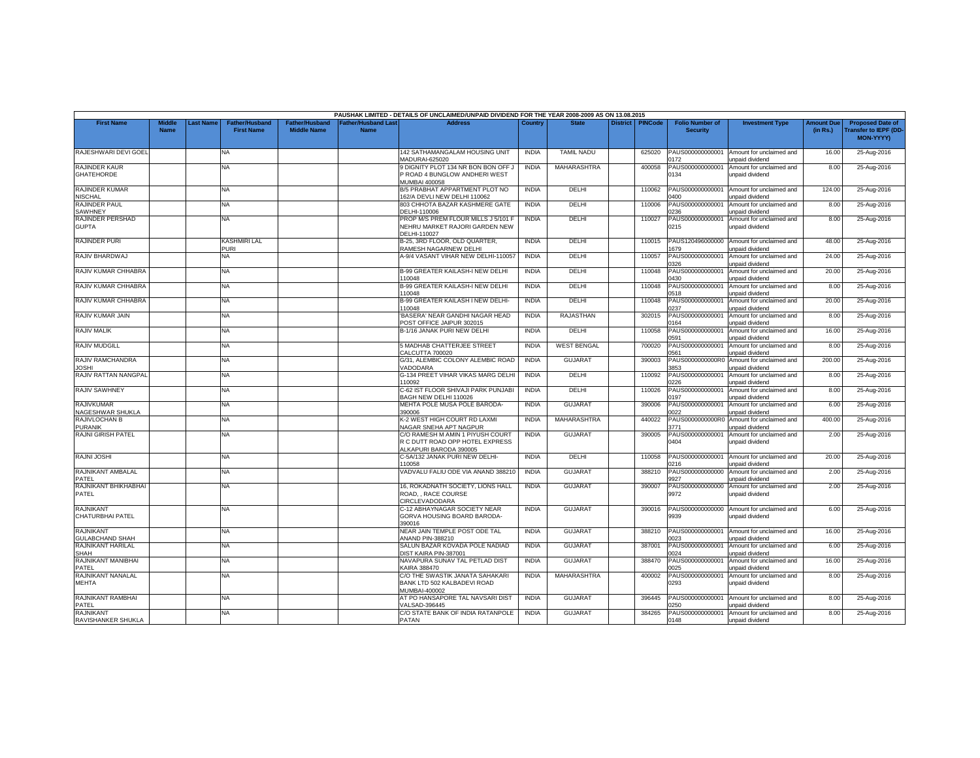|                                         |                              |           |                                            |                                             |                                           | PAUSHAK LIMITED - DETAILS OF UNCLAIMED/UNPAID DIVIDEND FOR THE YEAR 2008-2009 AS ON 13.08.2015 |              |                    |                 |                |                                           |                                                    |                               |                                                                            |
|-----------------------------------------|------------------------------|-----------|--------------------------------------------|---------------------------------------------|-------------------------------------------|------------------------------------------------------------------------------------------------|--------------|--------------------|-----------------|----------------|-------------------------------------------|----------------------------------------------------|-------------------------------|----------------------------------------------------------------------------|
| <b>First Name</b>                       | <b>Middle</b><br><b>Name</b> | Last Name | <b>Father/Husband</b><br><b>First Name</b> | <b>Father/Husband</b><br><b>Middle Name</b> | <b>Father/Husband Last</b><br><b>Name</b> | <b>Address</b>                                                                                 | Country      | <b>State</b>       | <b>District</b> | <b>PINCode</b> | <b>Folio Number of</b><br><b>Security</b> | <b>Investment Type</b>                             | <b>Amount Due</b><br>(in Rs.) | <b>Proposed Date of</b><br><b>Transfer to IEPF (DD</b><br><b>MON-YYYY)</b> |
| RAJESHWARI DEVI GOEL                    |                              |           | NA                                         |                                             |                                           | 142 SATHAMANGALAM HOUSING UNIT<br>MADURAI-625020                                               | INDIA        | <b>TAMIL NADU</b>  |                 | 625020         | PAUS000000000001<br>1172                  | Amount for unclaimed and<br><b>Inpaid dividend</b> | 16.00                         | 25-Aug-2016                                                                |
| RAJINDER KAUR<br><b>GHATEHORDE</b>      |                              |           | NA                                         |                                             |                                           | 9 DIGNITY PLOT 134 NR BON BON OFF J<br>ROAD 4 BUNGLOW ANDHERI WEST<br><b>MUMBAI 400058</b>     | <b>INDIA</b> | <b>MAHARASHTRA</b> |                 | 400058         | PAUS000000000001<br>0134                  | Amount for unclaimed and<br>unpaid dividend        | 8.00                          | 25-Aug-2016                                                                |
| <b>RAJINDER KUMAR</b><br><b>NISCHAL</b> |                              |           | NA                                         |                                             |                                           | B/5 PRABHAT APPARTMENT PLOT NO<br>162/A DEVLI NEW DELHI 110062                                 | <b>INDIA</b> | DELHI              |                 | 110062         | PAUS000000000001<br>0400                  | Amount for unclaimed and<br>unpaid dividend        | 124.00                        | 25-Aug-2016                                                                |
| RAJINDER PAUL<br>SAWHNEY                |                              |           | NA                                         |                                             |                                           | 803 CHHOTA BAZAR KASHMERE GATE<br>DELHI-110006                                                 | <b>INDIA</b> | DELHI              |                 | 110006         | PAUS000000000001<br>0236                  | Amount for unclaimed and<br>unpaid dividend        | 8.00                          | 25-Aug-2016                                                                |
| RAJINDER PERSHAD<br><b>GUPTA</b>        |                              |           | NA.                                        |                                             |                                           | PROP M/S PREM FLOUR MILLS J 5/101 F<br>NEHRU MARKET RAJORI GARDEN NEW<br>DELHI-110027          | <b>INDIA</b> | <b>DELHI</b>       |                 | 110027         | PAUS000000000001<br>0215                  | Amount for unclaimed and<br>unpaid dividend        | 8.00                          | 25-Aug-2016                                                                |
| <b>RAJINDER PURI</b>                    |                              |           | <b>KASHMIRI LAL</b><br>PURI                |                                             |                                           | B-25, 3RD FLOOR, OLD QUARTER.<br>RAMESH NAGARNEW DELHI                                         | <b>INDIA</b> | <b>DELHI</b>       |                 | 110015         | PAUS120496000000<br>679                   | Amount for unclaimed and<br><b>Inpaid dividend</b> | 48.00                         | 25-Aug-2016                                                                |
| RAJIV BHARDWAJ                          |                              |           | NA                                         |                                             |                                           | A-9/4 VASANT VIHAR NEW DELHI-110057                                                            | <b>INDIA</b> | DELHI              |                 | 110057         | PAUS000000000001<br>326                   | Amount for unclaimed and<br>unpaid dividend        | 24.00                         | 25-Aug-2016                                                                |
| RAJIV KUMAR CHHABRA                     |                              |           | NA.                                        |                                             |                                           | <b>B-99 GREATER KAILASH-I NEW DELHI</b><br>110048                                              | <b>INDIA</b> | DELHI              |                 | 110048         | PAUS000000000001<br>0430                  | Amount for unclaimed and<br>unpaid dividend        | 20.00                         | 25-Aug-2016                                                                |
| RAJIV KUMAR CHHABRA                     |                              |           | NA.                                        |                                             |                                           | B-99 GREATER KAILASH-I NEW DELHI<br>10048                                                      | <b>INDIA</b> | <b>DELHI</b>       |                 | 110048         | PAUS000000000001<br>0518                  | Amount for unclaimed and<br>inpaid dividend        | 8.00                          | 25-Aug-2016                                                                |
| RAJIV KUMAR CHHABRA                     |                              |           | NA                                         |                                             |                                           | B-99 GREATER KAILASH I NEW DELHI-<br>110048                                                    | <b>INDIA</b> | DELHI              |                 | 110048         | PAUS000000000001<br>0237                  | Amount for unclaimed and<br>unpaid dividend        | 20.00                         | 25-Aug-2016                                                                |
| RAJIV KUMAR JAIN                        |                              |           | NA.                                        |                                             |                                           | 'BASERA' NEAR GANDHI NAGAR HEAD<br>POST OFFICE JAIPUR 302015                                   | <b>INDIA</b> | RAJASTHAN          |                 | 302015         | PAUS000000000001<br>0164                  | Amount for unclaimed and<br>unpaid dividend        | 8.00                          | 25-Aug-2016                                                                |
| <b>RAJIV MALIK</b>                      |                              |           | NA.                                        |                                             |                                           | B-1/16 JANAK PURI NEW DELHI                                                                    | <b>INDIA</b> | DELHI              |                 | 110058         | PAUS000000000001<br>1591                  | Amount for unclaimed and<br>Inpaid dividend        | 16.00                         | 25-Aug-2016                                                                |
| <b>RAJIV MUDGILL</b>                    |                              |           | NA                                         |                                             |                                           | 5 MADHAB CHATTERJEE STREET<br>CALCUTTA 700020                                                  | <b>INDIA</b> | <b>WEST BENGAL</b> |                 | 700020         | PAUS000000000001<br>0561                  | Amount for unclaimed and<br>unpaid dividend        | 8.00                          | 25-Aug-2016                                                                |
| RAJIV RAMCHANDRA<br><b>JOSHI</b>        |                              |           | NA                                         |                                             |                                           | G/31, ALEMBIC COLONY ALEMBIC ROAD<br><b>ADODARA</b>                                            | <b>INDIA</b> | <b>GUJARAT</b>     |                 | 390003         | PAUS0000000000R0<br>3853                  | Amount for unclaimed and<br>unpaid dividend        | 200.00                        | 25-Aug-2016                                                                |
| RAJIV RATTAN NANGPAL                    |                              |           | NA.                                        |                                             |                                           | G-134 PREET VIHAR VIKAS MARG DELHI<br>110092                                                   | <b>INDIA</b> | DELHI              |                 | 110092         | PAUS000000000001<br>0226                  | Amount for unclaimed and<br>unpaid dividend        | 8.00                          | 25-Aug-2016                                                                |
| <b>RAJIV SAWHNEY</b>                    |                              |           | NA                                         |                                             |                                           | C-62 IST FLOOR SHIVAJI PARK PUNJABI<br>BAGH NEW DELHI 110026                                   | <b>INDIA</b> | <b>DELHI</b>       |                 | 110026         | PAUS000000000001<br>0197                  | Amount for unclaimed and<br>unpaid dividend        | 8.00                          | 25-Aug-2016                                                                |
| RAJIVKUMAR<br>NAGESHWAR SHUKLA          |                              |           | NA.                                        |                                             |                                           | MEHTA POLE MUSA POLE BARODA-<br>390006                                                         | <b>INDIA</b> | GUJARAT            |                 | 390006         | PAUS00000000000<br>0022                   | Amount for unclaimed and<br>unpaid dividend        | 6.00                          | 25-Aug-2016                                                                |
| RAJIVLOCHAN B<br>PURANIK                |                              |           | <b>NA</b>                                  |                                             |                                           | <b>&lt;-2 WEST HIGH COURT RD LAXMI</b><br>JAGAR SNEHA APT NAGPUR                               | <b>INDIA</b> | MAHARASHTRA        |                 | 440022         | PAUS0000000000R0<br>771                   | Amount for unclaimed and<br>unpaid dividend        | 400.00                        | 25-Aug-2016                                                                |
| <b>RAJNI GIRISH PATEL</b>               |                              |           | NA                                         |                                             |                                           | C/O RAMESH M AMIN 1 PIYUSH COURT<br>R C DUTT ROAD OPP HOTEL EXPRESS<br>ALKAPURI BARODA 390005  | <b>INDIA</b> | <b>GUJARA1</b>     |                 | 390005         | PAUS000000000001<br>0404                  | Amount for unclaimed and<br>unpaid dividend        | 2.00                          | 25-Aug-2016                                                                |
| RAJNI JOSHI                             |                              |           | NA                                         |                                             |                                           | C-5A/132 JANAK PURI NEW DELHI-<br>110058                                                       | <b>INDIA</b> | DELHI              |                 | 110058         | PAUS000000000001<br>0216                  | Amount for unclaimed and<br><b>Inpaid dividend</b> | 20.00                         | 25-Aug-2016                                                                |
| RAJNIKANT AMBALAL<br>PATEL              |                              |           | ΝA                                         |                                             |                                           | VADVALU FALIU ODE VIA ANAND 388210                                                             | <b>INDIA</b> | <b>GUJARAT</b>     |                 | 388210         | PAUS000000000000<br>9927                  | Amount for unclaimed and<br>unpaid dividend        | 2.00                          | 25-Aug-2016                                                                |
| RAJNIKANT BHIKHABHAI<br>PATEL           |                              |           | NA.                                        |                                             |                                           | 16. ROKADNATH SOCIETY, LIONS HALL<br>ROAD, , RACE COURSE<br>CIRCLEVADODARA                     | <b>INDIA</b> | GUJARAT            |                 | 390007         | PAUS000000000000<br>9972                  | Amount for unclaimed and<br>unpaid dividend        | 2.00                          | 25-Aug-2016                                                                |
| RAJNIKANT<br><b>CHATURBHAI PATEL</b>    |                              |           | NA.                                        |                                             |                                           | C-12 ABHAYNAGAR SOCIETY NEAR<br>GORVA HOUSING BOARD BARODA-<br>390016                          | <b>INDIA</b> | GUJARAT            |                 | 390016         | PAUS000000000000<br>9939                  | Amount for unclaimed and<br>unpaid dividend        | 6.00                          | 25-Aug-2016                                                                |
| RAJNIKANT<br><b>GULABCHAND SHAH</b>     |                              |           | NA.                                        |                                             |                                           | NEAR JAIN TEMPLE POST ODE TAL<br>ANAND PIN-388210                                              | <b>INDIA</b> | <b>GUJARAT</b>     |                 | 388210         | PAUS000000000001<br>0023                  | Amount for unclaimed and<br>unpaid dividend        | 16.00                         | 25-Aug-2016                                                                |
| RAJNIKANT HARILAL<br><b>SHAH</b>        |                              |           | NA                                         |                                             |                                           | SALUN BAZAR KOVADA POLE NADIAD<br>DIST KAIRA PIN-387001                                        | <b>INDIA</b> | <b>GUJARAT</b>     |                 | 387001         | PAUS000000000001<br>0024                  | Amount for unclaimed and<br>unpaid dividend        | 6.00                          | 25-Aug-2016                                                                |
| RAJNIKANT MANIBHAI<br>PATEL             |                              |           | NA                                         |                                             |                                           | NAVAPURA SUNAV TAL PETLAD DIST<br>KAIRA 388470                                                 | <b>INDIA</b> | <b>GUJARAT</b>     |                 | 388470         | PAUS000000000001<br>0025                  | Amount for unclaimed and<br>unpaid dividend        | 16.00                         | 25-Aug-2016                                                                |
| RAJNIKANT NANALAL<br><b>MEHTA</b>       |                              |           | NA.                                        |                                             |                                           | C/O THE SWASTIK JANATA SAHAKARI<br>BANK LTD 502 KALBADEVI ROAD<br>MUMBAI-400002                | <b>INDIA</b> | <b>MAHARASHTRA</b> |                 | 400002         | PAUS000000000001<br>0293                  | Amount for unclaimed and<br>unpaid dividend        | 8.00                          | 25-Aug-2016                                                                |
| RAJNIKANT RAMBHAI<br>PATEL              |                              |           | <b>NA</b>                                  |                                             |                                           | AT PO HANSAPORE TAL NAVSARI DIST<br>/ALSAD-396445                                              | <b>INDIA</b> | <b>GUJARAT</b>     |                 | 396445         | PAUS000000000001<br>250                   | Amount for unclaimed and<br>unpaid dividend        | 8.00                          | 25-Aug-2016                                                                |
| RAJNIKANT<br>RAVISHANKER SHUKLA         |                              |           | NA.                                        |                                             |                                           | C/O STATE BANK OF INDIA RATANPOLE<br>PATAN                                                     | <b>INDIA</b> | GUJARAT            |                 | 384265         | PAUS000000000001<br>0148                  | Amount for unclaimed and<br>unpaid dividend        | 8.00                          | 25-Aug-2016                                                                |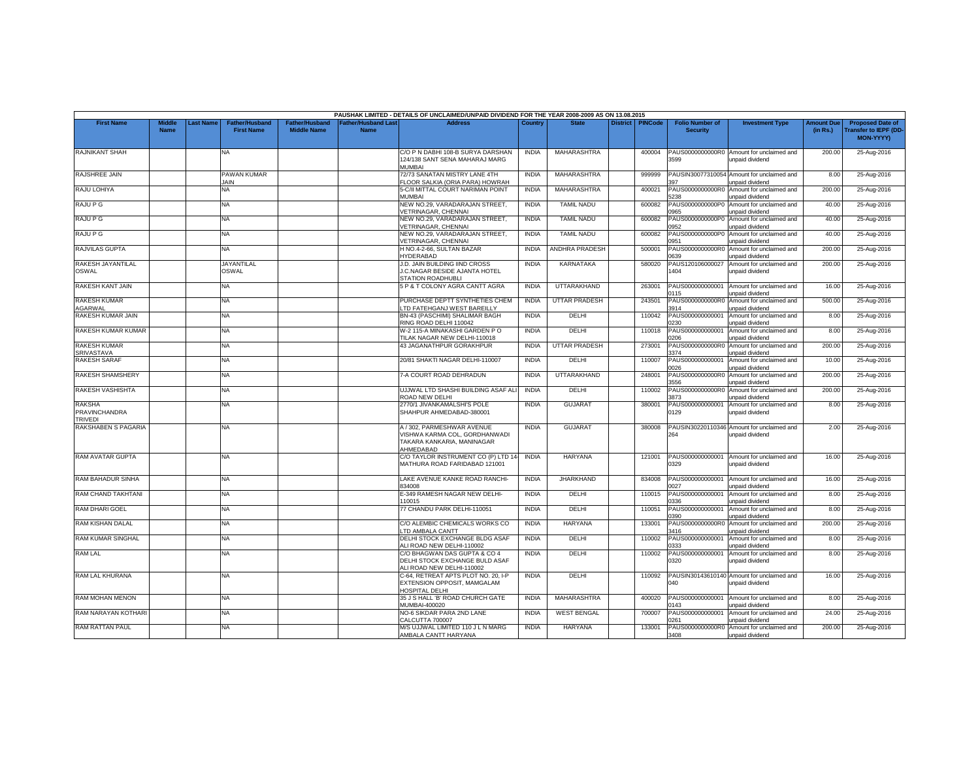|                                                  |                       |          |                                            |                                      |                                          | PAUSHAK LIMITED - DETAILS OF UNCLAIMED/UNPAID DIVIDEND FOR THE YEAR 2008-2009 AS ON 13.08.2015         |              |                      |                 |                |                                           |                                                               |                               |                                                              |
|--------------------------------------------------|-----------------------|----------|--------------------------------------------|--------------------------------------|------------------------------------------|--------------------------------------------------------------------------------------------------------|--------------|----------------------|-----------------|----------------|-------------------------------------------|---------------------------------------------------------------|-------------------------------|--------------------------------------------------------------|
| <b>First Name</b>                                | Middle<br><b>Name</b> | ast Name | <b>Father/Husband</b><br><b>First Name</b> | Father/Husband<br><b>Middle Name</b> | <b>Father/Husband Las</b><br><b>Name</b> | <b>Address</b>                                                                                         | Country      | <b>State</b>         | <b>District</b> | <b>PINCode</b> | <b>Folio Number of</b><br><b>Security</b> | <b>Investment Type</b>                                        | <b>Amount Due</b><br>(in Rs.) | <b>Proposed Date of</b><br>ransfer to IEPF (DD-<br>MON-YYYY) |
| <b>RAJNIKANT SHAH</b>                            |                       |          | NA.                                        |                                      |                                          | C/O P N DABHI 108-B SURYA DARSHAN<br>124/138 SANT SENA MAHARAJ MARG<br>MUMBAI                          | <b>INDIA</b> | MAHARASHTRA          |                 | 400004         | 3599                                      | PAUS0000000000R0 Amount for unclaimed and<br>unpaid dividend  | 200.00                        | 25-Aug-2016                                                  |
| RAJSHREE JAIN                                    |                       |          | PAWAN KUMAR<br><b>JAIN</b>                 |                                      |                                          | 72/73 SANATAN MISTRY LANE 4TH<br><b>LOOR SALKIA (ORIA PARA) HOWRAH</b>                                 | <b>INDIA</b> | MAHARASHTRA          |                 | 999999         | 97                                        | PAUSIN30077310054 Amount for unclaimed and<br>inpaid dividend | 8.00                          | 25-Aug-2016                                                  |
| RAJU LOHIYA                                      |                       |          | NA.                                        |                                      |                                          | 5-C/II MITTAL COURT NARIMAN POINT<br><b>MUMBAI</b>                                                     | <b>INDIA</b> | MAHARASHTRA          |                 | 400021         | PAUS0000000000R0<br>238                   | Amount for unclaimed and<br>unpaid dividend                   | 200.00                        | 25-Aug-2016                                                  |
| RAJU P G                                         |                       |          | <b>NA</b>                                  |                                      |                                          | NEW NO.29, VARADARAJAN STREET,<br>/ETRINAGAR, CHENNAI                                                  | <b>INDIA</b> | <b>TAMIL NADU</b>    |                 | 600082         | PAUS0000000000P0<br>1965                  | Amount for unclaimed and<br>Inpaid dividend                   | 40.00                         | 25-Aug-2016                                                  |
| <b>RAJU P G</b>                                  |                       |          | NA                                         |                                      |                                          | NEW NO.29, VARADARAJAN STREET<br><b>/ETRINAGAR, CHENNAI</b>                                            | <b>INDIA</b> | <b>TAMIL NADU</b>    |                 | 600082         | PAUS0000000000P0<br>0952                  | Amount for unclaimed and<br>unpaid dividend                   | 40.00                         | 25-Aug-2016                                                  |
| RAJU P G                                         |                       |          | NA                                         |                                      |                                          | NEW NO.29, VARADARAJAN STREET,<br><b>VETRINAGAR, CHENNAI</b>                                           | <b>INDIA</b> | <b>TAMIL NADU</b>    |                 | 600082         | PAUS0000000000P0<br>0951                  | Amount for unclaimed and<br>unpaid dividend                   | 40.00                         | 25-Aug-2016                                                  |
| RAJVILAS GUPTA                                   |                       |          | NA.                                        |                                      |                                          | H NO.4-2-66, SULTAN BAZAR<br><b>IYDERABAD</b>                                                          | <b>INDIA</b> | ANDHRA PRADESH       |                 | 500001         | 0639                                      | PAUS0000000000R0 Amount for unclaimed and<br>unpaid dividend  | 200.00                        | 25-Aug-2016                                                  |
| RAKESH JAYANTILAL<br><b>OSWAL</b>                |                       |          | <b>JAYANTILAL</b><br>OSWAL                 |                                      |                                          | J.D. JAIN BUILDING IIND CROSS<br>J.C.NAGAR BESIDE AJANTA HOTEL<br>STATION ROADHUBLI                    | <b>INDIA</b> | <b>KARNATAKA</b>     |                 | 580020         | PAUS120106000027<br>1404                  | Amount for unclaimed and<br>unpaid dividend                   | 200.00                        | 25-Aug-2016                                                  |
| RAKESH KANT JAIN                                 |                       |          | NA                                         |                                      |                                          | 5 P & T COLONY AGRA CANTT AGRA                                                                         | <b>INDIA</b> | UTTARAKHAND          |                 | 263001         | PAUS000000000001<br>0115                  | Amount for unclaimed and<br>unpaid dividend                   | 16.00                         | 25-Aug-2016                                                  |
| <b>RAKESH KUMAR</b><br>AGARWAL                   |                       |          | NA                                         |                                      |                                          | PURCHASE DEPTT SYNTHETIES CHEM<br>TD FATEHGANJ WEST BAREILLY                                           | <b>INDIA</b> | <b>UTTAR PRADESH</b> |                 | 243501         | PAUS0000000000R0<br>3914                  | Amount for unclaimed and<br>unpaid dividend                   | 500.00                        | 25-Aug-2016                                                  |
| RAKESH KUMAR JAIN                                |                       |          | <b>NA</b>                                  |                                      |                                          | BN-43 (PASCHIMI) SHALIMAR BAGH<br>RING ROAD DELHI 110042                                               | <b>INDIA</b> | DELHI                |                 | 110042         | PAUS000000000001<br>1230                  | Amount for unclaimed and<br>unpaid dividend                   | 8.00                          | 25-Aug-2016                                                  |
| RAKESH KUMAR KUMAR                               |                       |          | NA                                         |                                      |                                          | W-2 115-A MINAKASHI GARDEN P O<br>TILAK NAGAR NEW DELHI-110018                                         | <b>INDIA</b> | DELHI                |                 | 110018         | PAUS00000000000<br>0206                   | Amount for unclaimed and<br>unpaid dividend                   | 8.00                          | 25-Aug-2016                                                  |
| <b>RAKESH KUMAR</b><br><b>SRIVASTAVA</b>         |                       |          | NA                                         |                                      |                                          | 43 JAGANATHPUR GORAKHPUR                                                                               | <b>INDIA</b> | <b>UTTAR PRADESH</b> |                 | 273001         | PAUS0000000000R0<br>3374                  | Amount for unclaimed and<br>unpaid dividend                   | 200.00                        | 25-Aug-2016                                                  |
| <b>RAKESH SARAF</b>                              |                       |          | NA                                         |                                      |                                          | 20/81 SHAKTI NAGAR DELHI-110007                                                                        | <b>INDIA</b> | DELHI                |                 | 110007         | PAUS000000000001<br>0026                  | Amount for unclaimed and<br>unpaid dividend                   | 10.00                         | 25-Aug-2016                                                  |
| RAKESH SHAMSHERY                                 |                       |          | <b>NA</b>                                  |                                      |                                          | 7-A COURT ROAD DEHRADUN                                                                                | <b>INDIA</b> | UTTARAKHAND          |                 | 248001         | PAUS0000000000R0<br>556                   | Amount for unclaimed and<br>unpaid dividend                   | 200.00                        | 25-Aug-2016                                                  |
| RAKESH VASHISHTA                                 |                       |          | NA                                         |                                      |                                          | UJJWAL LTD SHASHI BUILDING ASAF AL<br>ROAD NEW DELHI                                                   | <b>INDIA</b> | DELHI                |                 | 110002         | PAUS0000000000R0<br>873                   | Amount for unclaimed and<br>unpaid dividend                   | 200.00                        | 25-Aug-2016                                                  |
| <b>RAKSHA</b><br>PRAVINCHANDRA<br><b>TRIVEDI</b> |                       |          | NA                                         |                                      |                                          | 2770/1 JIVANKAMALSHI'S POLE<br>SHAHPUR AHMEDABAD-380001                                                | <b>INDIA</b> | <b>GUJARAT</b>       |                 | 380001         | PAUS00000000000<br>0129                   | Amount for unclaimed and<br>unpaid dividend                   | 8.00                          | 25-Aug-2016                                                  |
| <b>RAKSHABEN S PAGARIA</b>                       |                       |          | NA                                         |                                      |                                          | A / 302, PARMESHWAR AVENUE<br>VISHWA KARMA COL. GORDHANWADI<br>TAKARA KANKARIA, MANINAGAR<br>AHMEDABAD | <b>INDIA</b> | <b>GUJARAT</b>       |                 | 380008         | 264                                       | PAUSIN30220110346 Amount for unclaimed and<br>unpaid dividend | 2.00                          | 25-Aug-2016                                                  |
| RAM AVATAR GUPTA                                 |                       |          | <b>NA</b>                                  |                                      |                                          | C/O TAYLOR INSTRUMENT CO (P) LTD 14-<br>MATHURA ROAD FARIDABAD 121001                                  | INDIA        | HARYANA              |                 | 121001         | PAUS000000000001<br>0329                  | Amount for unclaimed and<br>unpaid dividend                   | 16.00                         | 25-Aug-2016                                                  |
| RAM BAHADUR SINHA                                |                       |          | <b>NA</b>                                  |                                      |                                          | LAKE AVENUE KANKE ROAD RANCHI-<br>334008                                                               | <b>INDIA</b> | <b>JHARKHAND</b>     |                 | 834008         | PAUS000000000001<br>027                   | Amount for unclaimed and<br>unpaid dividend                   | 16.00                         | 25-Aug-2016                                                  |
| RAM CHAND TAKHTANI                               |                       |          | <b>NA</b>                                  |                                      |                                          | E-349 RAMESH NAGAR NEW DELHI-<br>10015                                                                 | <b>INDIA</b> | DELHI                |                 | 110015         | PAUS000000000001<br>0336                  | Amount for unclaimed and<br>unpaid dividend                   | 8.00                          | 25-Aug-2016                                                  |
| RAM DHARI GOEL                                   |                       |          | NA                                         |                                      |                                          | 77 CHANDU PARK DELHI-110051                                                                            | <b>INDIA</b> | DELHI                |                 | 110051         | PAUS000000000001<br>0390                  | Amount for unclaimed and<br>unpaid dividend                   | 8.00                          | 25-Aug-2016                                                  |
| RAM KISHAN DALAL                                 |                       |          | NA                                         |                                      |                                          | C/O ALEMBIC CHEMICALS WORKS CO<br>TD AMBALA CANTT                                                      | <b>INDIA</b> | <b>HARYANA</b>       |                 | 133001         | PAUS0000000000R0<br>3416                  | Amount for unclaimed and<br>inpaid dividend                   | 200.00                        | 25-Aug-2016                                                  |
| RAM KUMAR SINGHAL                                |                       |          | NA                                         |                                      |                                          | DELHI STOCK EXCHANGE BLDG ASAF<br>ALI ROAD NEW DELHI-110002                                            | <b>INDIA</b> | DELHI                |                 | 110002         | PAUS00000000000<br>0333                   | Amount for unclaimed and<br>unpaid dividend                   | 8.00                          | 25-Aug-2016                                                  |
| <b>RAM LAL</b>                                   |                       |          | <b>NA</b>                                  |                                      |                                          | C/O BHAGWAN DAS GUPTA & CO 4<br>DELHI STOCK EXCHANGE BULD ASAF<br>ALI ROAD NEW DELHI-110002            | <b>INDIA</b> | DELHI                |                 | 110002         | PAUS00000000000<br>0320                   | Amount for unclaimed and<br>unpaid dividend                   | 8.00                          | 25-Aug-2016                                                  |
| RAM LAL KHURANA                                  |                       |          | NA                                         |                                      |                                          | C-64, RETREAT APTS PLOT NO. 20, I-F<br>EXTENSION OPPOSIT, MAMGALAM<br><b>IOSPITAL DELHI</b>            | <b>INDIA</b> | DELHI                |                 | 110092         | 040                                       | PAUSIN30143610140 Amount for unclaimed and<br>unpaid dividend | 16.00                         | 25-Aug-2016                                                  |
| RAM MOHAN MENON                                  |                       |          | NA.                                        |                                      |                                          | 35 J S HALL 'B' ROAD CHURCH GATE<br><b>MUMBAI-400020</b>                                               | <b>INDIA</b> | MAHARASHTRA          |                 | 400020         | PAUS000000000001<br>0143                  | Amount for unclaimed and<br>unpaid dividend                   | 8.00                          | 25-Aug-2016                                                  |
| <b>RAM NARAYAN KOTHARI</b>                       |                       |          | <b>NA</b>                                  |                                      |                                          | <b>VO-6 SIKDAR PARA 2ND LANE</b><br>CALCUTTA 700007                                                    | <b>INDIA</b> | <b>WEST BENGAL</b>   |                 | 700007         | PAUS000000000001<br>)261                  | Amount for unclaimed and<br>unpaid dividend                   | 24.00                         | 25-Aug-2016                                                  |
| RAM RATTAN PAUL                                  |                       |          | NA                                         |                                      |                                          | M/S UJJWAL LIMITED 110 J L N MARG<br>AMBALA CANTT HARYANA                                              | <b>INDIA</b> | HARYANA              |                 | 133001         | 3408                                      | PAUS0000000000R0 Amount for unclaimed and<br>unpaid dividend  | 200.00                        | 25-Aug-2016                                                  |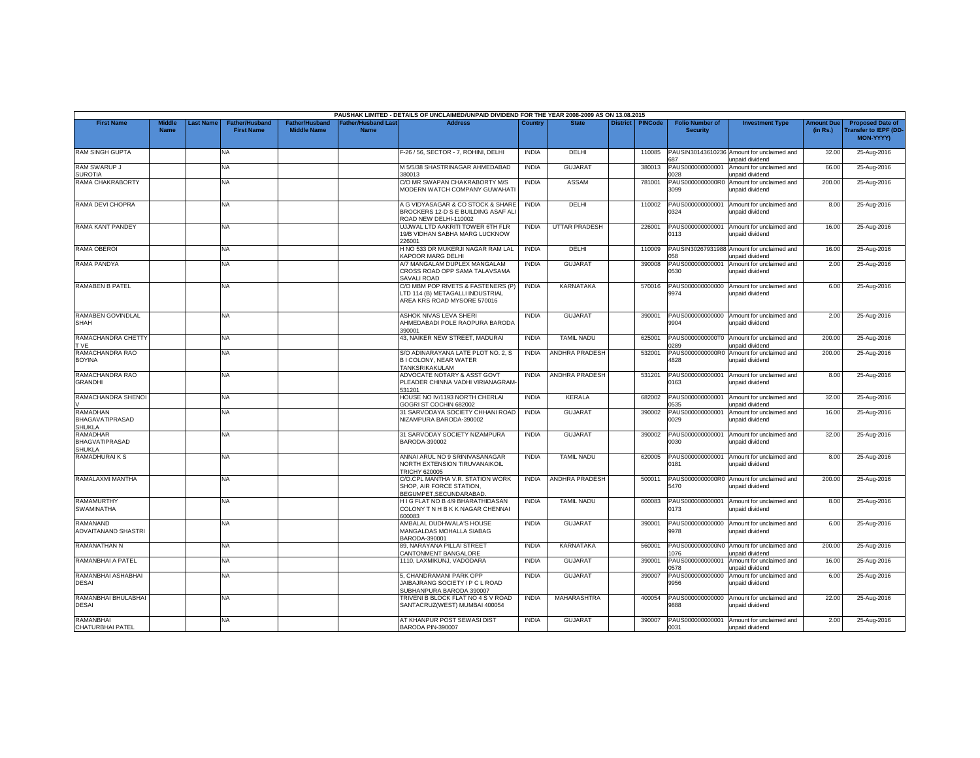|                                              |                              |           |                                            |                                             |                                          | PAUSHAK LIMITED - DETAILS OF UNCLAIMED/UNPAID DIVIDEND FOR THE YEAR 2008-2009 AS ON 13.08.2015        |                |                       |                 |                |                                           |                                                               |                               |                                                                            |
|----------------------------------------------|------------------------------|-----------|--------------------------------------------|---------------------------------------------|------------------------------------------|-------------------------------------------------------------------------------------------------------|----------------|-----------------------|-----------------|----------------|-------------------------------------------|---------------------------------------------------------------|-------------------------------|----------------------------------------------------------------------------|
| <b>First Name</b>                            | <b>Middle</b><br><b>Name</b> | Last Name | <b>Father/Husband</b><br><b>First Name</b> | <b>Father/Husband</b><br><b>Middle Name</b> | <b>Father/Husband Las</b><br><b>Name</b> | <b>Address</b>                                                                                        | <b>Country</b> | <b>State</b>          | <b>District</b> | <b>PINCode</b> | <b>Folio Number of</b><br><b>Security</b> | <b>Investment Type</b>                                        | <b>Amount Due</b><br>(in Rs.) | <b>Proposed Date of</b><br><b>Transfer to IEPF (DD</b><br><b>MON-YYYY)</b> |
| RAM SINGH GUPTA                              |                              |           | NA                                         |                                             |                                          | F-26 / 56, SECTOR - 7, ROHINI, DELHI                                                                  | <b>INDIA</b>   | DELHI                 |                 | 110085         | 387                                       | PAUSIN30143610236 Amount for unclaimed and<br>unpaid dividend | 32.00                         | 25-Aug-2016                                                                |
| RAM SWARUP J<br><b>SUROTIA</b>               |                              |           | <b>NA</b>                                  |                                             |                                          | M 5/5/38 SHASTRINAGAR AHMEDABAD<br>380013                                                             | <b>INDIA</b>   | <b>GUJARAT</b>        |                 | 380013         | PAUS000000000001<br>028                   | Amount for unclaimed and<br>unpaid dividend                   | 66.00                         | 25-Aug-2016                                                                |
| RAMA CHAKRABORTY                             |                              |           | ΝA                                         |                                             |                                          | C/O MR SWAPAN CHAKRABORTY M/S<br>MODERN WATCH COMPANY GUWAHATI                                        | <b>INDIA</b>   | <b>ASSAM</b>          |                 | 781001         | PAUS0000000000R0<br>3099                  | Amount for unclaimed and<br>unpaid dividend                   | 200.00                        | 25-Aug-2016                                                                |
| RAMA DEVI CHOPRA                             |                              |           | NA                                         |                                             |                                          | A G VIDYASAGAR & CO STOCK & SHARE<br>BROCKERS 12-D S E BUILDING ASAF ALI<br>ROAD NEW DELHI-110002     | <b>INDIA</b>   | DELHI                 |                 | 110002         | PAUS000000000001<br>0324                  | Amount for unclaimed and<br>unpaid dividend                   | 8.00                          | 25-Aug-2016                                                                |
| RAMA KANT PANDEY                             |                              |           | <b>NA</b>                                  |                                             |                                          | UJJWAL LTD AAKRITI TOWER 6TH FLR<br>19/B VIDHAN SABHA MARG LUCKNOW<br>226001                          | <b>INDIA</b>   | <b>UTTAR PRADESH</b>  |                 | 226001         | PAUS000000000001<br>0113                  | Amount for unclaimed and<br>unpaid dividend                   | 16.00                         | 25-Aug-2016                                                                |
| RAMA OBEROI                                  |                              |           | <b>NA</b>                                  |                                             |                                          | H NO 533 DR MUKERJI NAGAR RAM LAL<br><b>KAPOOR MARG DELHI</b>                                         | <b>INDIA</b>   | DELHI                 |                 | 110009         | 058                                       | PAUSIN30267931988 Amount for unclaimed and<br>unpaid dividend | 16.00                         | 25-Aug-2016                                                                |
| RAMA PANDYA                                  |                              |           | <b>NA</b>                                  |                                             |                                          | A/7 MANGALAM DUPLEX MANGALAM<br>CROSS ROAD OPP SAMA TALAVSAMA<br><b>SAVALI ROAD</b>                   | <b>INDIA</b>   | <b>GUJARAT</b>        |                 | 390008         | PAUS000000000001<br>0530                  | Amount for unclaimed and<br>unpaid dividend                   | 2.00                          | 25-Aug-2016                                                                |
| <b>RAMABEN B PATEL</b>                       |                              |           | NA                                         |                                             |                                          | C/O MBM POP RIVETS & FASTENERS (P)<br>LTD 114 (B) METAGALLI INDUSTRIAL<br>AREA KRS ROAD MYSORE 570016 | <b>INDIA</b>   | <b>KARNATAKA</b>      |                 | 570016         | PAUS000000000000<br>9974                  | Amount for unclaimed and<br>unpaid dividend                   | 6.00                          | 25-Aug-2016                                                                |
| RAMABEN GOVINDLAL<br>SHAH                    |                              |           | NA                                         |                                             |                                          | ASHOK NIVAS LEVA SHERI<br>AHMEDABADI POLE RAOPURA BARODA<br>390001                                    | <b>INDIA</b>   | <b>GUJARAT</b>        |                 | 390001         | PAUS000000000000<br>9904                  | Amount for unclaimed and<br>unpaid dividend                   | 2.00                          | 25-Aug-2016                                                                |
| RAMACHANDRA CHETTY<br>T VE                   |                              |           | <b>NA</b>                                  |                                             |                                          | 43, NAIKER NEW STREET, MADURAI                                                                        | <b>INDIA</b>   | <b>TAMIL NADU</b>     |                 | 625001         | PAUS0000000000T0<br>1289                  | Amount for unclaimed and<br>unpaid dividend                   | 200.00                        | 25-Aug-2016                                                                |
| RAMACHANDRA RAO<br><b>BOYINA</b>             |                              |           | <b>NA</b>                                  |                                             |                                          | S/O ADINARAYANA LATE PLOT NO. 2, S<br><b>BI COLONY, NEAR WATER</b><br>TANKSRIKAKULAM                  | <b>INDIA</b>   | ANDHRA PRADESH        |                 | 532001         | PAUS0000000000R0<br>4828                  | Amount for unclaimed and<br>unpaid dividend                   | 200.00                        | 25-Aug-2016                                                                |
| RAMACHANDRA RAO<br>GRANDHI                   |                              |           | NA                                         |                                             |                                          | ADVOCATE NOTARY & ASST GOVT<br>PLEADER CHINNA VADHI VIRIANAGRAM<br>531201                             | <b>INDIA</b>   | ANDHRA PRADESH        |                 | 531201         | PAUS000000000001<br>0163                  | Amount for unclaimed and<br>unpaid dividend                   | 8.00                          | 25-Aug-2016                                                                |
| RAMACHANDRA SHENOI                           |                              |           | <b>NA</b>                                  |                                             |                                          | HOUSE NO IV/1193 NORTH CHERLAI<br>GOGRI ST COCHIN 682002                                              | <b>INDIA</b>   | <b>KERALA</b>         |                 | 682002         | PAUS000000000001<br>1535                  | Amount for unclaimed and<br>unpaid dividend                   | 32.00                         | 25-Aug-2016                                                                |
| RAMADHAN<br><b>BHAGAVATIPRASAD</b><br>SHUKLA |                              |           | <b>NA</b>                                  |                                             |                                          | 31 SARVODAYA SOCIETY CHHANI ROAD<br>NIZAMPURA BARODA-390002                                           | <b>INDIA</b>   | <b>GUJARAT</b>        |                 | 390002         | PAUS000000000001<br>0029                  | Amount for unclaimed and<br>unpaid dividend                   | 16.00                         | 25-Aug-2016                                                                |
| RAMADHAR<br><b>BHAGVATIPRASAD</b><br>SHUKLA  |                              |           | <b>NA</b>                                  |                                             |                                          | 31 SARVODAY SOCIETY NIZAMPURA<br>BARODA-390002                                                        | <b>INDIA</b>   | <b>GUJARAT</b>        |                 | 390002         | PAUS000000000001<br>0030                  | Amount for unclaimed and<br>unpaid dividend                   | 32.00                         | 25-Aug-2016                                                                |
| RAMADHURAIKS                                 |                              |           | <b>NA</b>                                  |                                             |                                          | ANNAI ARUL NO 9 SRINIVASANAGAR<br>NORTH EXTENSION TIRUVANAIKOIL<br><b>TRICHY 620005</b>               | <b>INDIA</b>   | <b>TAMIL NADU</b>     |                 | 620005         | PAUS000000000001<br>0181                  | Amount for unclaimed and<br>unpaid dividend                   | 8.00                          | 25-Aug-2016                                                                |
| RAMALAXMI MANTHA                             |                              |           | <b>NA</b>                                  |                                             |                                          | C/O.CPL MANTHA V.R. STATION WORK<br>SHOP, AIR FORCE STATION,<br>BEGUMPET.SECUNDARABAD                 | <b>INDIA</b>   | <b>ANDHRA PRADESH</b> |                 | 500011         | 5470                                      | PAUS0000000000R0 Amount for unclaimed and<br>unpaid dividend  | 200.00                        | 25-Aug-2016                                                                |
| RAMAMURTHY<br>SWAMINATHA                     |                              |           | <b>NA</b>                                  |                                             |                                          | H I G FLAT NO B 4/9 BHARATHIDASAN<br>COLONY T N H B K K NAGAR CHENNAI<br>600083                       | <b>INDIA</b>   | <b>TAMIL NADU</b>     |                 | 600083         | PAUS000000000001<br>0173                  | Amount for unclaimed and<br>unpaid dividend                   | 8.00                          | 25-Aug-2016                                                                |
| RAMANAND<br>ADVAITANAND SHASTRI              |                              |           | NA                                         |                                             |                                          | AMBALAL DUDHWALA'S HOUSE<br>MANGALDAS MOHALLA SIABAG<br>BARODA-390001                                 | <b>INDIA</b>   | <b>GUJARAT</b>        |                 | 390001         | PAUS000000000000<br>9978                  | Amount for unclaimed and<br>unpaid dividend                   | 6.00                          | 25-Aug-2016                                                                |
| RAMANATHAN N                                 |                              |           | <b>NA</b>                                  |                                             |                                          | 89. NARAYANA PILLAI STREET<br>CANTONMENT BANGALORE                                                    | <b>INDIA</b>   | KARNATAKA             |                 | 560001         | 076                                       | PAUS0000000000N0 Amount for unclaimed and<br>unpaid dividend  | 200.00                        | 25-Aug-2016                                                                |
| RAMANBHAI A PATEL                            |                              |           | <b>NA</b>                                  |                                             |                                          | 1110. LAXMIKUNJ, VADODARA                                                                             | <b>INDIA</b>   | <b>GUJARAT</b>        |                 | 390001         | PAUS000000000001<br>0578                  | Amount for unclaimed and<br>unpaid dividend                   | 16.00                         | 25-Aug-2016                                                                |
| RAMANBHAI ASHABHAI<br><b>DESAI</b>           |                              |           | <b>NA</b>                                  |                                             |                                          | 5. CHANDRAMANI PARK OPP<br>JAIBAJRANG SOCIETY I P C L ROAD<br>SUBHANPURA BARODA 390007                | <b>INDIA</b>   | <b>GUJARAT</b>        |                 | 390007         | PAUS000000000000<br>9956                  | Amount for unclaimed and<br>unpaid dividend                   | 6.00                          | 25-Aug-2016                                                                |
| RAMANBHAI BHULABHAI<br><b>DESAI</b>          |                              |           | <b>NA</b>                                  |                                             |                                          | TRIVENI B BLOCK FLAT NO 4 S V ROAD<br>SANTACRUZ(WEST) MUMBAI 400054                                   | <b>INDIA</b>   | MAHARASHTRA           |                 | 400054         | PAUS000000000000<br>9888                  | Amount for unclaimed and<br>unpaid dividend                   | 22.00                         | 25-Aug-2016                                                                |
| RAMANBHAI<br><b>CHATURBHAI PATEL</b>         |                              |           | <b>NA</b>                                  |                                             |                                          | AT KHANPUR POST SEWASI DIST<br>BARODA PIN-390007                                                      | <b>INDIA</b>   | GUJARAT               |                 | 390007         | 0031                                      | PAUS000000000001 Amount for unclaimed and<br>unpaid dividend  | 2.00                          | 25-Aug-2016                                                                |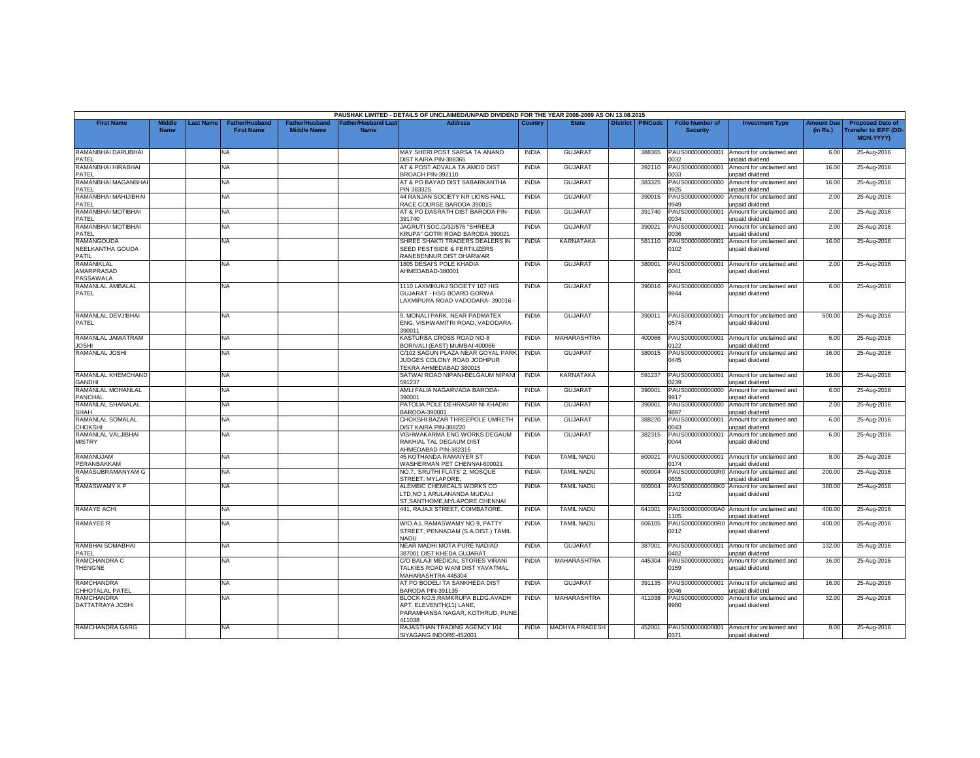|                                         |                              |          |                                            |                                             |                                   | PAUSHAK LIMITED - DETAILS OF UNCLAIMED/UNPAID DIVIDEND FOR THE YEAR 2008-2009 AS ON 13.08.2015           |              |                       |                 |                |                                           |                                                    |                               |                                                                     |
|-----------------------------------------|------------------------------|----------|--------------------------------------------|---------------------------------------------|-----------------------------------|----------------------------------------------------------------------------------------------------------|--------------|-----------------------|-----------------|----------------|-------------------------------------------|----------------------------------------------------|-------------------------------|---------------------------------------------------------------------|
| <b>First Name</b>                       | <b>Middle</b><br><b>Name</b> | ast Name | <b>Father/Husband</b><br><b>First Name</b> | <b>Father/Husband</b><br><b>Middle Name</b> | Father/Husband Las<br><b>Name</b> | <b>Address</b>                                                                                           | Country      | <b>State</b>          | <b>District</b> | <b>PINCode</b> | <b>Folio Number of</b><br><b>Security</b> | <b>Investment Type</b>                             | <b>Amount Due</b><br>(in Rs.) | <b>Proposed Date of</b><br><b>Transfer to IEPF (DD</b><br>MON-YYYY) |
| RAMANBHAI DARUBHAI<br>PATFL             |                              |          | <b>NA</b>                                  |                                             |                                   | MAY SHERI POST SARSA TA ANAND<br>DIST KAIRA PIN-388365                                                   | <b>INDIA</b> | <b>GUJARA1</b>        |                 | 388365         | PAUS000000000001<br>032                   | Amount for unclaimed and<br>unpaid dividend        | 6.00                          | 25-Aug-2016                                                         |
| RAMANBHAI HIRABHAI<br>PATEL             |                              |          | <b>NA</b>                                  |                                             |                                   | AT & POST ADVALA TA AMOD DIST<br>BROACH PIN-392110                                                       | <b>INDIA</b> | <b>GUJARAT</b>        |                 | 392110         | PAUS000000000001<br>033                   | Amount for unclaimed and<br>unpaid dividend        | 16.00                         | 25-Aug-2016                                                         |
| RAMANBHAI MAGANBHAI<br>PATEL            |                              |          | <b>NA</b>                                  |                                             |                                   | AT & PO BAYAD DIST SABARKANTHA<br>PIN 383325                                                             | <b>INDIA</b> | <b>GUJARAT</b>        |                 | 383325         | PAUS000000000000<br>925                   | Amount for unclaimed and<br>unpaid dividend        | 16.00                         | 25-Aug-2016                                                         |
| RAMANBHAI MAHIJIBHAI<br>PATEL           |                              |          | <b>NA</b>                                  |                                             |                                   | 44 RANJAN SOCIETY NR LIONS HALL<br>RACE COURSE BARODA 390015                                             | <b>INDIA</b> | <b>GUJARAT</b>        |                 | 390015         | PAUS000000000000<br>9949                  | Amount for unclaimed and<br>unpaid dividend        | 2.00                          | 25-Aug-2016                                                         |
| RAMANBHAI MOTIBHAI<br>PATEL             |                              |          | <b>NA</b>                                  |                                             |                                   | AT & PO DASRATH DIST BARODA PIN-<br>391740                                                               | <b>INDIA</b> | <b>GUJARAT</b>        |                 | 391740         | PAUS000000000001<br>ነበ34                  | Amount for unclaimed and<br>unpaid dividend        | 2.00                          | 25-Aug-2016                                                         |
| RAMANBHAI MOTIBHAI<br>PATEL             |                              |          | NA                                         |                                             |                                   | JAGRUTI SOC.G/32/576 "SHREEJI<br>KRUPA" GOTRI ROAD BARODA 390021                                         | <b>INDIA</b> | GUJARAT               |                 | 390021         | PAUS000000000001<br>0036                  | Amount for unclaimed and<br>unpaid dividend        | 2.00                          | 25-Aug-2016                                                         |
| RAMANGOUDA<br>NEELKANTHA GOUDA<br>PATIL |                              |          | <b>NA</b>                                  |                                             |                                   | SHREE SHAKTI TRADERS DEALERS IN<br>SEED PESTISIDE & FERTILIZERS<br>RANEBENNUR DIST DHARWAR               | <b>INDIA</b> | <b>KARNATAKA</b>      |                 | 581110         | PAUS000000000001<br>0102                  | Amount for unclaimed and<br>unpaid dividend        | 16.00                         | 25-Aug-2016                                                         |
| RAMANIKLAL<br>AMARPRASAD<br>PASSAWALA   |                              |          | NA                                         |                                             |                                   | 1805 DESAI'S POLE KHADIA<br>AHMEDABAD-380001                                                             | <b>INDIA</b> | <b>GUJARAT</b>        |                 | 380001         | PAUS000000000001<br>0041                  | Amount for unclaimed and<br>unpaid dividend        | 2.00                          | 25-Aug-2016                                                         |
| RAMANLAL AMBALAL<br>PATEL               |                              |          | <b>NA</b>                                  |                                             |                                   | 1110 LAXMIKUNJ SOCIETY 107 HIG<br>GUJARAT - HSG BOARD GORWA<br>LAXMIPURA ROAD VADODARA-390016            | <b>INDIA</b> | <b>GUJARAT</b>        |                 | 390016         | PAUS000000000000<br>9944                  | Amount for unclaimed and<br>unpaid dividend        | 6.00                          | 25-Aug-2016                                                         |
| RAMANLAL DEVJIBHAI<br>PATEL             |                              |          | <b>NA</b>                                  |                                             |                                   | 9. MONALI PARK, NEAR PADMATEX<br>ENG. VISHWAMITRI ROAD, VADODARA-<br>390011                              | <b>INDIA</b> | <b>GUJARAT</b>        |                 | 390011         | PAUS000000000001<br>0574                  | Amount for unclaimed and<br>unpaid dividend        | 500.00                        | 25-Aug-2016                                                         |
| RAMANLAL JAMIATRAM<br><b>JOSHI</b>      |                              |          | NA                                         |                                             |                                   | KASTURBA CROSS ROAD NO-8<br>BORIVALI (EAST) MUMBAI-400066                                                | <b>INDIA</b> | MAHARASHTRA           |                 | 400066         | PAUS000000000001<br>122                   | Amount for unclaimed and<br>unpaid dividend        | 6.00                          | 25-Aug-2016                                                         |
| RAMANLAL JOSHI                          |                              |          | <b>NA</b>                                  |                                             |                                   | C/102 SAGUN PLAZA NEAR GOYAL PARK<br>JUDGES COLONY ROAD JODHPUR<br>TEKRA AHMEDABAD 380015                | <b>INDIA</b> | <b>GUJARAT</b>        |                 | 380015         | PAUS000000000001<br>0445                  | Amount for unclaimed and<br>unpaid dividend        | 16.00                         | 25-Aug-2016                                                         |
| RAMANLAL KHEMCHAND<br><b>GANDHI</b>     |                              |          | <b>NA</b>                                  |                                             |                                   | SATWAI ROAD NIPANI-BELGAUM NIPANI<br>591237                                                              | <b>INDIA</b> | <b>KARNATAKA</b>      |                 | 591237         | PAUS000000000001<br>1239                  | Amount for unclaimed and<br><b>Inpaid dividend</b> | 16.00                         | 25-Aug-2016                                                         |
| RAMANLAL MOHANLAL<br>PANCHAL            |                              |          | NA.                                        |                                             |                                   | AMLI FALIA NAGARVADA BARODA-<br>390001                                                                   | <b>INDIA</b> | GUJARAT               |                 | 390001         | PAUS000000000000<br>9917                  | Amount for unclaimed and<br>unpaid dividend        | 6.00                          | 25-Aug-2016                                                         |
| RAMANLAL SHANALAL<br>SHAH               |                              |          | NA                                         |                                             |                                   | PATOLIA POLE DEHRASAR NI KHADKI<br>BARODA-390001                                                         | <b>INDIA</b> | <b>GUJARAT</b>        |                 | 390001         | PAUS000000000000<br>9897                  | Amount for unclaimed and<br>unpaid dividend        | 2.00                          | 25-Aug-2016                                                         |
| RAMANLAL SOMALAL<br><b>CHOKSHI</b>      |                              |          | NA.                                        |                                             |                                   | CHOKSHI BAZAR THREEPOLE UMRETH<br>DIST KAIRA PIN-388220                                                  | <b>INDIA</b> | <b>GUJARAT</b>        |                 | 388220         | PAUS00000000000<br>0043                   | Amount for unclaimed and<br>unpaid dividend        | 6.00                          | 25-Aug-2016                                                         |
| RAMANLAL VALJIBHAI<br><b>MISTRY</b>     |                              |          | <b>NA</b>                                  |                                             |                                   | VISHWAKARMA ENG WORKS DEGAUM<br>RAKHIAL TAL DEGAUM DIST<br>HMEDABAD PIN-382315                           | <b>INDIA</b> | <b>GUJARAT</b>        |                 | 382315         | PAUS000000000001<br>0044                  | Amount for unclaimed and<br>unpaid dividend        | 6.00                          | 25-Aug-2016                                                         |
| RAMANUJAM<br>PERANBAKKAM                |                              |          | NA.                                        |                                             |                                   | <b>45 KOTHANDA RAMAIYER ST</b><br>WASHERMAN PET CHENNAI-600021                                           | <b>INDIA</b> | <b>TAMIL NADU</b>     |                 | 600021         | PAUS000000000001<br>174                   | Amount for unclaimed and<br>unpaid dividend        | 8.00                          | 25-Aug-2016                                                         |
| RAMASUBRAMANYAM G                       |                              |          | <b>NA</b>                                  |                                             |                                   | NO.7, 'SRUTHI FLATS' 2, MOSQUE<br>STREET, MYLAPORE.                                                      | <b>INDIA</b> | <b>TAMIL NADU</b>     |                 | 600004         | PAUS0000000000R0<br>0655                  | Amount for unclaimed and<br>unpaid dividend        | 200.00                        | 25-Aug-2016                                                         |
| <b>RAMASWAMY KP</b>                     |                              |          | NA.                                        |                                             |                                   | ALEMBIC CHEMICALS WORKS CO<br>LTD.NO 1 ARULANANDA MUDALI<br>ST, SANTHOME, MYLAPORE CHENNAI               | <b>INDIA</b> | <b>TAMIL NADU</b>     |                 | 600004         | PAUS0000000000K0<br>142                   | Amount for unclaimed and<br>unpaid dividend        | 380.00                        | 25-Aug-2016                                                         |
| <b>RAMAYE ACHI</b>                      |                              |          | <b>NA</b>                                  |                                             |                                   | 441, RAJAJI STREET, COIMBATORE.                                                                          | <b>INDIA</b> | <b>TAMIL NADU</b>     |                 | 641001         | PAUS0000000000A0<br>105                   | Amount for unclaimed and<br><b>Inpaid dividend</b> | 400.00                        | 25-Aug-2016                                                         |
| <b>RAMAYEE R</b>                        |                              |          | <b>NA</b>                                  |                                             |                                   | W/O.A.L.RAMASWAMY NO.9, PATTY<br>STREET, PENNADAM (S.A.DIST.) TAMIL<br>NADU                              | <b>INDIA</b> | <b>TAMIL NADU</b>     |                 | 606105         | PAUS0000000000R0<br>0212                  | Amount for unclaimed and<br>unpaid dividend        | 400.00                        | 25-Aug-2016                                                         |
| RAMBHAI SOMABHAI<br>PATEL               |                              |          | <b>NA</b>                                  |                                             |                                   | NEAR MADHI MOTA PURE NADIAD<br>387001 DIST KHEDA GUJARAT                                                 | <b>INDIA</b> | <b>GUJARAT</b>        |                 | 387001         | PAUS000000000001<br>1482                  | Amount for unclaimed and<br>unpaid dividend        | 132.00                        | 25-Aug-2016                                                         |
| RAMCHANDRA C<br><b>THENGNE</b>          |                              |          | NA                                         |                                             |                                   | C/O BALAJI MEDICAL STORES VIRANI<br>TALKIES ROAD WANI DIST YAVATMAL<br>MAHARASHTRA 445304                | <b>INDIA</b> | MAHARASHTRA           |                 | 445304         | PAUS000000000001<br>0159                  | Amount for unclaimed and<br>unpaid dividend        | 16.00                         | 25-Aug-2016                                                         |
| <b>RAMCHANDRA</b><br>CHHOTALAL PATEL    |                              |          | <b>NA</b>                                  |                                             |                                   | AT PO BODELI TA SANKHEDA DIST<br>BARODA PIN-391135                                                       | <b>INDIA</b> | <b>GUJARAT</b>        |                 | 391135         | PAUS000000000001<br>046                   | Amount for unclaimed and<br>unpaid dividend        | 16.00                         | 25-Aug-2016                                                         |
| <b>RAMCHANDRA</b><br>DATTATRAYA JOSHI   |                              |          | NA                                         |                                             |                                   | BLOCK NO.5, RAMKRUPA BLDG.AVADH<br>APT. ELEVENTH(11) LANE,<br>PARAMHANSA NAGAR, KOTHRUD, PUNE-<br>411038 | <b>INDIA</b> | MAHARASHTRA           |                 | 411038         | PAUS000000000000<br>9980                  | Amount for unclaimed and<br>unpaid dividend        | 32.00                         | 25-Aug-2016                                                         |
| RAMCHANDRA GARG                         |                              |          | NA.                                        |                                             |                                   | RAJASTHAN TRADING AGENCY 104<br>SIYAGANG INDORE-452001                                                   | <b>INDIA</b> | <b>MADHYA PRADESH</b> |                 | 452001         | PAUS000000000001<br>0371                  | Amount for unclaimed and<br>unpaid dividend        | 8.00                          | 25-Aug-2016                                                         |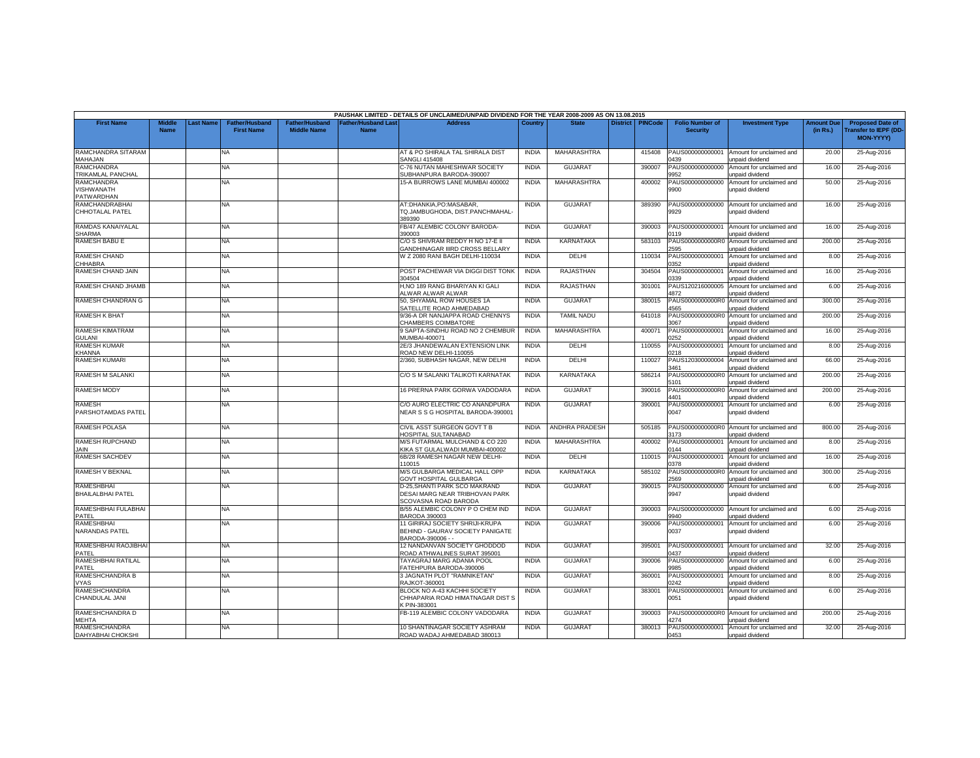|                                 |                              |                  |                                            |                                      |                                           | PAUSHAK LIMITED - DETAILS OF UNCLAIMED/UNPAID DIVIDEND FOR THE YEAR 2008-2009 AS ON 13.08.2015 |              |                       |                 |                |                                           |                                                                     |                               |                                                                     |
|---------------------------------|------------------------------|------------------|--------------------------------------------|--------------------------------------|-------------------------------------------|------------------------------------------------------------------------------------------------|--------------|-----------------------|-----------------|----------------|-------------------------------------------|---------------------------------------------------------------------|-------------------------------|---------------------------------------------------------------------|
| <b>First Name</b>               | <b>Middle</b><br><b>Name</b> | <b>Last Name</b> | <b>Father/Husband</b><br><b>First Name</b> | Father/Husband<br><b>Middle Name</b> | <b>Father/Husband Last</b><br><b>Name</b> | <b>Address</b>                                                                                 | Country      | <b>State</b>          | <b>District</b> | <b>PINCode</b> | <b>Folio Number of</b><br><b>Security</b> | <b>Investment Type</b>                                              | <b>Amount Due</b><br>(in Rs.) | <b>Proposed Date of</b><br><b>Transfer to IEPF (DD</b><br>MON-YYYY) |
| RAMCHANDRA SITARAM              |                              |                  | NA.                                        |                                      |                                           | AT & PO SHIRALA TAL SHIRALA DIST                                                               | <b>INDIA</b> | <b>MAHARASHTRA</b>    |                 | 415408         | PAUS000000000001                          | Amount for unclaimed and                                            | 20.00                         | 25-Aug-2016                                                         |
| MAHAJAN                         |                              |                  |                                            |                                      |                                           | <b>SANGLI 415408</b>                                                                           |              |                       |                 |                | 0439                                      | unpaid dividend                                                     |                               |                                                                     |
| RAMCHANDRA                      |                              |                  | NA                                         |                                      |                                           | C-76 NUTAN MAHESHWAR SOCIETY                                                                   | <b>INDIA</b> | <b>GUJARAT</b>        |                 | 390007         | PAUS000000000000<br>9952                  | Amount for unclaimed and                                            | 16.00                         | 25-Aug-2016                                                         |
| TRIKAMLAL PANCHAL<br>RAMCHANDRA |                              |                  | <b>NA</b>                                  |                                      |                                           | SUBHANPURA BARODA-390007<br>15-A BURROWS LANE MUMBAI 400002                                    | <b>INDIA</b> | MAHARASHTRA           |                 | 400002         | PAUS000000000000                          | unpaid dividend<br>Amount for unclaimed and                         | 50.00                         | 25-Aug-2016                                                         |
| VISHWANATH                      |                              |                  |                                            |                                      |                                           |                                                                                                |              |                       |                 |                | 9900                                      | unpaid dividend                                                     |                               |                                                                     |
| PATWARDHAN                      |                              |                  |                                            |                                      |                                           |                                                                                                |              |                       |                 |                |                                           |                                                                     |                               |                                                                     |
| <b>RAMCHANDRABHAI</b>           |                              |                  | NA                                         |                                      |                                           | AT:DHANKIA.PO:MASABAR.                                                                         | <b>INDIA</b> | <b>GUJARAT</b>        |                 | 389390         | PAUS000000000000                          | Amount for unclaimed and                                            | 16.00                         | 25-Aug-2016                                                         |
| CHHOTALAL PATEL                 |                              |                  |                                            |                                      |                                           | TQ.JAMBUGHODA, DIST.PANCHMAHAL-<br>89390                                                       |              |                       |                 |                | 9929                                      | unpaid dividend                                                     |                               |                                                                     |
| RAMDAS KANAIYALAL               |                              |                  | NA.                                        |                                      |                                           | FB/47 ALEMBIC COLONY BARODA-                                                                   | <b>INDIA</b> | <b>GUJARAT</b>        |                 | 390003         | PAUS000000000001                          | Amount for unclaimed and                                            | 16.00                         | 25-Aug-2016                                                         |
| <b>SHARMA</b>                   |                              |                  |                                            |                                      |                                           | 390003                                                                                         |              |                       |                 |                | 0119                                      | unpaid dividend                                                     |                               |                                                                     |
| RAMESH BABU E                   |                              |                  | NA                                         |                                      |                                           | C/O S SHIVRAM REDDY H NO 17-E II<br><b>GANDHINAGAR IIIRD CROSS BELLARY</b>                     | <b>INDIA</b> | KARNATAKA             |                 | 583103         | :595                                      | PAUS0000000000R0 Amount for unclaimed and<br><b>Inpaid dividend</b> | 200.00                        | 25-Aug-2016                                                         |
| <b>RAMESH CHAND</b>             |                              |                  | NA.                                        |                                      |                                           | W Z 2080 RANI BAGH DELHI-110034                                                                | <b>INDIA</b> | DELHI                 |                 | 110034         | PAUS000000000001                          | Amount for unclaimed and                                            | 8.00                          | 25-Aug-2016                                                         |
| CHHABRA                         |                              |                  |                                            |                                      |                                           |                                                                                                |              |                       |                 |                | 352                                       | unpaid dividend                                                     |                               |                                                                     |
| RAMESH CHAND JAIN               |                              |                  | NA                                         |                                      |                                           | POST PACHEWAR VIA DIGGI DIST TONK                                                              | <b>INDIA</b> | RAJASTHAN             |                 | 304504         | PAUS000000000001                          | Amount for unclaimed and                                            | 16.00                         | 25-Aug-2016                                                         |
|                                 |                              |                  |                                            |                                      |                                           | 304504                                                                                         |              |                       |                 |                | 0339                                      | unpaid dividend                                                     |                               |                                                                     |
| RAMESH CHAND JHAMB              |                              |                  | NA                                         |                                      |                                           | H,NO 189 RANG BHARIYAN KI GALI                                                                 | <b>INDIA</b> | RAJASTHAN             |                 | 301001         | PAUS120216000005                          | Amount for unclaimed and                                            | 6.00                          | 25-Aug-2016                                                         |
|                                 |                              |                  |                                            |                                      |                                           | ALWAR ALWAR ALWAR                                                                              |              |                       |                 |                | 4872                                      | unpaid dividend                                                     |                               |                                                                     |
| RAMESH CHANDRAN G               |                              |                  | NA                                         |                                      |                                           | 50, SHYAMAL ROW HOUSES 1A<br>SATELLITE ROAD AHMEDABAD                                          | <b>INDIA</b> | <b>GUJARAT</b>        |                 | 380015         | PAUS0000000000R0<br>4565                  | Amount for unclaimed and<br>unpaid dividend                         | 300.00                        | 25-Aug-2016                                                         |
| RAMESH K BHAT                   |                              |                  | <b>NA</b>                                  |                                      |                                           | 9/36-A DR NANJAPPA ROAD CHENNYS                                                                | <b>INDIA</b> | <b>TAMIL NADU</b>     |                 | 641018         | PAUS0000000000R0                          | Amount for unclaimed and                                            | 200.00                        | 25-Aug-2016                                                         |
|                                 |                              |                  |                                            |                                      |                                           | <b>CHAMBERS COIMBATORE</b>                                                                     |              |                       |                 |                | 1067                                      | inpaid dividend                                                     |                               |                                                                     |
| RAMESH KIMATRAM                 |                              |                  | NA                                         |                                      |                                           | 9 SAPTA-SINDHU ROAD NO 2 CHEMBUR                                                               | <b>INDIA</b> | <b>MAHARASHTRA</b>    |                 | 400071         | PAUS000000000001                          | Amount for unclaimed and                                            | 16.00                         | 25-Aug-2016                                                         |
| <b>GULANI</b>                   |                              |                  |                                            |                                      |                                           | <b>JUMBAI-400071</b>                                                                           |              |                       |                 |                | )252                                      | unpaid dividend                                                     |                               |                                                                     |
| <b>RAMESH KUMAR</b><br>KHANNA   |                              |                  | NA                                         |                                      |                                           | 2E/3 JHANDEWALAN EXTENSION LINK<br>ROAD NEW DELHI-110055                                       | <b>INDIA</b> | DELHI                 |                 | 110055         | PAUS000000000001<br>0218                  | Amount for unclaimed and<br>unpaid dividend                         | 8.00                          | 25-Aug-2016                                                         |
| <b>RAMESH KUMARI</b>            |                              |                  | <b>NA</b>                                  |                                      |                                           | 2/360. SUBHASH NAGAR. NEW DELHI                                                                | <b>INDIA</b> | DELHI                 |                 | 110027         | PAUS120300000004                          | Amount for unclaimed and                                            | 66.00                         | 25-Aug-2016                                                         |
|                                 |                              |                  |                                            |                                      |                                           |                                                                                                |              |                       |                 |                | 3461                                      | unpaid dividend                                                     |                               |                                                                     |
| RAMESH M SALANKI                |                              |                  | NA                                         |                                      |                                           | C/O S M SALANKI TALIKOTI KARNATAK                                                              | <b>INDIA</b> | KARNATAKA             |                 | 586214         | PAUS0000000000R0                          | Amount for unclaimed and                                            | 200.00                        | 25-Aug-2016                                                         |
|                                 |                              |                  |                                            |                                      |                                           |                                                                                                |              |                       |                 |                | 5101                                      | <b>Inpaid dividend</b>                                              |                               |                                                                     |
| <b>RAMESH MODY</b>              |                              |                  | NA                                         |                                      |                                           | 16 PRERNA PARK GORWA VADODARA                                                                  | <b>INDIA</b> | <b>GUJARAT</b>        |                 | 390016         | PAUS0000000000R0<br>4401                  | Amount for unclaimed and<br>unpaid dividend                         | 200.00                        | 25-Aug-2016                                                         |
| <b>RAMESH</b>                   |                              |                  | NA                                         |                                      |                                           | C/O AURO ELECTRIC CO ANANDPURA                                                                 | <b>INDIA</b> | <b>GUJARAT</b>        |                 | 390001         | PAUS000000000001                          | Amount for unclaimed and                                            | 6.00                          | 25-Aug-2016                                                         |
| PARSHOTAMDAS PATEL              |                              |                  |                                            |                                      |                                           | NEAR S S G HOSPITAL BARODA-390001                                                              |              |                       |                 |                | 0047                                      | unpaid dividend                                                     |                               |                                                                     |
| <b>RAMESH POLASA</b>            |                              |                  | <b>NA</b>                                  |                                      |                                           | CIVIL ASST SURGEON GOVT T B<br><b>IOSPITAL SULTANABAD</b>                                      | <b>INDIA</b> | <b>ANDHRA PRADESH</b> |                 | 505185         | PAUS0000000000R0<br>3173                  | Amount for unclaimed and<br>unpaid dividend                         | 800.00                        | 25-Aug-2016                                                         |
| RAMESH RUPCHAND                 |                              |                  | NA                                         |                                      |                                           | M/S FUTARMAL MULCHAND & CO 220                                                                 | INDIA        | MAHARASHTRA           |                 | 400002         | PAUS000000000001                          | Amount for unclaimed and                                            | 8.00                          | 25-Aug-2016                                                         |
| JAIN                            |                              |                  |                                            |                                      |                                           | KIKA ST GULALWADI MUMBAI-400002                                                                |              |                       |                 |                | 144                                       | unpaid dividend                                                     |                               |                                                                     |
| <b>RAMESH SACHDEV</b>           |                              |                  | NA                                         |                                      |                                           | 6B/28 RAMESH NAGAR NEW DELHI-                                                                  | <b>INDIA</b> | DELHI                 |                 | 110015         | PAUS000000000001                          | Amount for unclaimed and                                            | 16.00                         | 25-Aug-2016                                                         |
|                                 |                              |                  |                                            |                                      |                                           | 10015                                                                                          |              |                       |                 |                | 378                                       | unpaid dividend                                                     |                               |                                                                     |
| RAMESH V BEKNAL                 |                              |                  | ΝA                                         |                                      |                                           | M/S GULBARGA MEDICAL HALL OPP<br><b>GOVT HOSPITAL GULBARGA</b>                                 | <b>INDIA</b> | KARNATAKA             |                 | 585102         | PAUS0000000000R0<br>2569                  | Amount for unclaimed and<br>unpaid dividend                         | 300.00                        | 25-Aug-2016                                                         |
| RAMESHBHAI                      |                              |                  | <b>NA</b>                                  |                                      |                                           | D-25, SHANTI PARK SCO MAKRAND                                                                  | <b>INDIA</b> | <b>GUJARAT</b>        |                 | 390015         | PAUS000000000000                          | Amount for unclaimed and                                            | 6.00                          | 25-Aug-2016                                                         |
| <b>BHAILALBHAI PATEL</b>        |                              |                  |                                            |                                      |                                           | DESAI MARG NEAR TRIBHOVAN PARK                                                                 |              |                       |                 |                | 9947                                      | unpaid dividend                                                     |                               |                                                                     |
|                                 |                              |                  |                                            |                                      |                                           | SCOVASNA ROAD BARODA                                                                           |              |                       |                 |                |                                           |                                                                     |                               |                                                                     |
| RAMESHBHAI FULABHAI             |                              |                  | NA                                         |                                      |                                           | B/55 ALEMBIC COLONY P O CHEM IND                                                               | <b>INDIA</b> | <b>GUJARAT</b>        |                 | 390003         | PAUS000000000000                          | Amount for unclaimed and                                            | 6.00                          | 25-Aug-2016                                                         |
| PATEL                           |                              |                  |                                            |                                      |                                           | BARODA 390003                                                                                  |              |                       |                 |                | 9940                                      | unpaid dividend                                                     |                               |                                                                     |
| <b>RAMESHBHAI</b>               |                              |                  | NA.                                        |                                      |                                           | 11 GIRIRAJ SOCIETY SHRIJI-KRUPA                                                                | <b>INDIA</b> | <b>GUJARAT</b>        |                 | 390006         | PAUS000000000001                          | Amount for unclaimed and                                            | 6.00                          | 25-Aug-2016                                                         |
| <b>NARANDAS PATEL</b>           |                              |                  |                                            |                                      |                                           | BEHIND - GAURAV SOCIETY PANIGATE                                                               |              |                       |                 |                | 0037                                      | unpaid dividend                                                     |                               |                                                                     |
| RAMESHBHAI RAOJIBHAI            |                              |                  | NA                                         |                                      |                                           | BARODA-390006 - -<br>12 NANDANVAN SOCIETY GHODDOD                                              | <b>INDIA</b> | <b>GUJARAT</b>        |                 | 395001         | PAUS000000000001                          | Amount for unclaimed and                                            | 32.00                         | 25-Aug-2016                                                         |
| PATEL                           |                              |                  |                                            |                                      |                                           | ROAD ATHWALINES SURAT 395001                                                                   |              |                       |                 |                | 0437                                      | unpaid dividend                                                     |                               |                                                                     |
| RAMESHBHAI RATILAL              |                              |                  | NA.                                        |                                      |                                           | TAYAGRAJ MARG ADANIA POOL                                                                      | <b>INDIA</b> | <b>GUJARAT</b>        |                 | 390006         | PAUS000000000000                          | Amount for unclaimed and                                            | 6.00                          | 25-Aug-2016                                                         |
| PATEL                           |                              |                  |                                            |                                      |                                           | FATEHPURA BARODA-390006                                                                        |              |                       |                 |                | 9985                                      | unpaid dividend                                                     |                               |                                                                     |
| RAMESHCHANDRA B                 |                              |                  | NA                                         |                                      |                                           | 3 JAGNATH PLOT "RAMNIKETAN"                                                                    | <b>INDIA</b> | <b>GUJARAT</b>        |                 | 360001         | PAUS000000000001                          | Amount for unclaimed and                                            | 8.00                          | 25-Aug-2016                                                         |
| <b>VYAS</b>                     |                              |                  |                                            |                                      |                                           | RAJKOT-360001                                                                                  |              |                       |                 |                | 0242                                      | unpaid dividend                                                     |                               |                                                                     |
| <b>RAMESHCHANDRA</b>            |                              |                  | <b>NA</b>                                  |                                      |                                           | BLOCK NO A-43 KACHHI SOCIETY                                                                   | <b>INDIA</b> | GUJARAT               |                 | 383001         | PAUS000000000001                          | Amount for unclaimed and                                            | 6.00                          | 25-Aug-2016                                                         |
| CHANDULAL JANI                  |                              |                  |                                            |                                      |                                           | CHHAPARIA ROAD HIMATNAGAR DIST S                                                               |              |                       |                 |                | 0051                                      | unpaid dividend                                                     |                               |                                                                     |
| RAMESHCHANDRA D                 |                              |                  | NA                                         |                                      |                                           | PIN-383001<br>FB-119 ALEMBIC COLONY VADODARA                                                   | <b>INDIA</b> | <b>GUJARAT</b>        |                 | 390003         |                                           | PAUS0000000000R0 Amount for unclaimed and                           | 200.00                        | 25-Aug-2016                                                         |
| <b>MEHTA</b>                    |                              |                  |                                            |                                      |                                           |                                                                                                |              |                       |                 |                | 1274                                      | unpaid dividend                                                     |                               |                                                                     |
| <b>RAMESHCHANDRA</b>            |                              |                  | NA.                                        |                                      |                                           | 10 SHANTINAGAR SOCIETY ASHRAM                                                                  | <b>INDIA</b> | <b>GUJARAT</b>        |                 | 380013         | PAUS000000000001                          | Amount for unclaimed and                                            | 32.00                         | 25-Aug-2016                                                         |
| DAHYABHAI CHOKSHI               |                              |                  |                                            |                                      |                                           | ROAD WADAJ AHMEDABAD 380013                                                                    |              |                       |                 |                | 0453                                      | unpaid dividend                                                     |                               |                                                                     |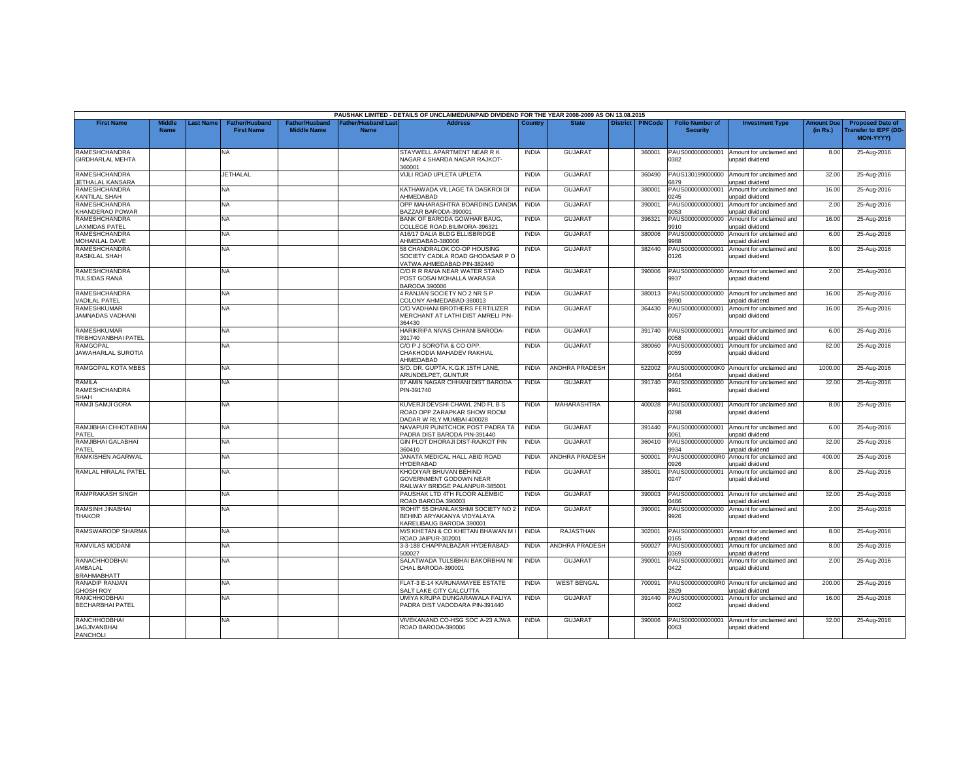|                                                       |                              |           |                                            |                                             |                                          | PAUSHAK LIMITED - DETAILS OF UNCLAIMED/UNPAID DIVIDEND FOR THE YEAR 2008-2009 AS ON 13.08.2015 |              |                       |                 |                |                                           |                                                              |                               |                                                                      |
|-------------------------------------------------------|------------------------------|-----------|--------------------------------------------|---------------------------------------------|------------------------------------------|------------------------------------------------------------------------------------------------|--------------|-----------------------|-----------------|----------------|-------------------------------------------|--------------------------------------------------------------|-------------------------------|----------------------------------------------------------------------|
| <b>First Name</b>                                     | <b>Middle</b><br><b>Name</b> | Last Name | <b>Father/Husband</b><br><b>First Name</b> | <b>Father/Husband</b><br><b>Middle Name</b> | <b>Father/Husband Las</b><br><b>Name</b> | <b>Address</b>                                                                                 | Country      | <b>State</b>          | <b>District</b> | <b>PINCode</b> | <b>Folio Number of</b><br><b>Security</b> | <b>Investment Type</b>                                       | <b>Amount Due</b><br>(in Rs.) | <b>Proposed Date of</b><br><b>Transfer to IEPF (DD-</b><br>MON-YYYY) |
| <b>RAMESHCHANDRA</b><br><b>GIRDHARLAL MEHTA</b>       |                              |           | <b>NA</b>                                  |                                             |                                          | STAYWELL APARTMENT NEAR R K<br>NAGAR 4 SHARDA NAGAR RAJKOT-<br>360001                          | <b>INDIA</b> | <b>GUJARA1</b>        |                 | 360001         | PAUS000000000001<br>382                   | Amount for unclaimed and<br>unpaid dividend                  | 8.00                          | 25-Aug-2016                                                          |
| RAMESHCHANDRA<br>JETHALAL KANSARA                     |                              |           | <b>JETHALAL</b>                            |                                             |                                          | VIJLI ROAD UPLETA UPLETA                                                                       | <b>INDIA</b> | <b>GUJARAT</b>        |                 | 360490         | PAUS130199000000<br>879                   | Amount for unclaimed and<br>inpaid dividend                  | 32.00                         | 25-Aug-2016                                                          |
| RAMESHCHANDRA<br><b>CANTILAL SHAH</b>                 |                              |           | <b>NA</b>                                  |                                             |                                          | KATHAWADA VILLAGE TA DASKROI DI<br>AHMEDABAD                                                   | <b>INDIA</b> | <b>GUJARAT</b>        |                 | 380001         | PAUS000000000001<br>245                   | Amount for unclaimed and<br>unpaid dividend                  | 16.00                         | 25-Aug-2016                                                          |
| <b>RAMESHCHANDRA</b><br>KHANDERAO POWAR               |                              |           | NA                                         |                                             |                                          | OPP MAHARASHTRA BOARDING DANDIA<br>BAZZAR BARODA-390001                                        | <b>INDIA</b> | <b>GUJARAT</b>        |                 | 390001         | PAUS000000000001<br>1053                  | Amount for unclaimed and<br>unpaid dividend                  | 2.00                          | 25-Aug-2016                                                          |
| RAMESHCHANDRA<br>LAXMIDAS PATEL                       |                              |           | NA                                         |                                             |                                          | BANK OF BARODA GOWHAR BAUG,<br>COLLEGE ROAD.BILIMORA-396321                                    | <b>INDIA</b> | <b>GUJARAT</b>        |                 | 396321         | PAUS000000000000<br>9910                  | Amount for unclaimed and<br>unpaid dividend                  | 16.00                         | 25-Aug-2016                                                          |
| RAMESHCHANDRA<br>MOHANLAL DAVE                        |                              |           | NA.                                        |                                             |                                          | 416/17 DALIA BLDG ELLISBRIDGE<br>AHMEDABAD-380006                                              | <b>INDIA</b> | <b>GUJARAT</b>        |                 | 380006         | PAUS000000000000<br>988                   | Amount for unclaimed and<br>unpaid dividend                  | 6.00                          | 25-Aug-2016                                                          |
| <b>RAMESHCHANDRA</b><br><b>RASIKLAL SHAH</b>          |                              |           | <b>NA</b>                                  |                                             |                                          | 58 CHANDRALOK CO-OP HOUSING<br>SOCIETY CADILA ROAD GHODASAR P O<br>VATWA AHMEDABAD PIN-382440  | <b>INDIA</b> | <b>GUJARAT</b>        |                 | 382440         | PAUS000000000001<br>126                   | Amount for unclaimed and<br>unpaid dividend                  | 8.00                          | 25-Aug-2016                                                          |
| RAMESHCHANDRA<br><b>TULSIDAS RANA</b>                 |                              |           | NA                                         |                                             |                                          | C/O R R RANA NEAR WATER STAND<br>POST GOSAI MOHALLA WARASIA<br><b>BARODA 390006</b>            | <b>INDIA</b> | <b>GUJARAT</b>        |                 | 390006         | PAUS000000000000<br>9937                  | Amount for unclaimed and<br>unpaid dividend                  | 2.00                          | 25-Aug-2016                                                          |
| <b>RAMESHCHANDRA</b><br><b>ADILAL PATEL</b>           |                              |           | NA.                                        |                                             |                                          | 4 RANJAN SOCIETY NO 2 NR S P<br>COLONY AHMEDABAD-380013                                        | <b>INDIA</b> | <b>GUJARAT</b>        |                 | 380013         | PAUS000000000000<br>9990                  | Amount for unclaimed and<br>unpaid dividend                  | 16.00                         | 25-Aug-2016                                                          |
| <b>RAMESHKUMAR</b><br>JAMNADAS VADHANI                |                              |           | <b>NA</b>                                  |                                             |                                          | C/O VADHANI BROTHERS FERTILIZER<br>MERCHANT AT LATHI DIST AMRELI PIN<br>364430                 | <b>INDIA</b> | <b>GUJARAT</b>        |                 | 364430         | PAUS000000000001<br>0057                  | Amount for unclaimed and<br>unpaid dividend                  | 16.00                         | 25-Aug-2016                                                          |
| <b>RAMESHKUMAR</b><br>TRIBHOVANBHAI PATEL             |                              |           | NA                                         |                                             |                                          | HARIKRIPA NIVAS CHHANI BARODA-<br>391740                                                       | <b>INDIA</b> | <b>GUJARAT</b>        |                 | 391740         | PAUS000000000001<br>058                   | Amount for unclaimed and<br>unpaid dividend                  | 6.00                          | 25-Aug-2016                                                          |
| <b>RAMGOPAL</b><br>JAWAHARLAL SUROTIA                 |                              |           | NA                                         |                                             |                                          | C/O P J SOROTIA & CO OPP.<br>CHAKHODIA MAHADEV RAKHIAL<br>AHMEDABAD                            | <b>INDIA</b> | <b>GUJARAT</b>        |                 | 380060         | PAUS000000000001<br>0059                  | Amount for unclaimed and<br>unpaid dividend                  | 82.00                         | 25-Aug-2016                                                          |
| RAMGOPAL KOTA MBBS                                    |                              |           | NA.                                        |                                             |                                          | S/O. DR. GUPTA, K.G.K 15TH LANE.<br>ARUNDELPET, GUNTUR                                         | <b>INDIA</b> | <b>ANDHRA PRADESH</b> |                 | 522002         | PAUS0000000000K0<br>1464                  | Amount for unclaimed and<br>unpaid dividend                  | 1000.00                       | 25-Aug-2016                                                          |
| RAMILA<br><b>RAMESHCHANDRA</b><br><b>SHAH</b>         |                              |           | <b>NA</b>                                  |                                             |                                          | 87 AMIN NAGAR CHHANI DIST BARODA<br>PIN-391740                                                 | <b>INDIA</b> | <b>GUJARAT</b>        |                 | 391740         | 9991                                      | PAUS000000000000 Amount for unclaimed and<br>unpaid dividend | 32.00                         | 25-Aug-2016                                                          |
| RAMJI SAMJI GORA                                      |                              |           | NA                                         |                                             |                                          | KUVERJI DEVSHI CHAWL 2ND FL B S<br>ROAD OPP ZARAPKAR SHOW ROOM<br>DADAR W RLY MUMBAI 400028    | <b>INDIA</b> | MAHARASHTRA           |                 | 400028         | PAUS000000000001<br>0298                  | Amount for unclaimed and<br>unpaid dividend                  | 8.00                          | 25-Aug-2016                                                          |
| RAMJIBHAI CHHOTABHAI<br><b>PATFL</b>                  |                              |           | <b>NA</b>                                  |                                             |                                          | NAVAPUR PUNITCHOK POST PADRA TA<br>PADRA DIST BARODA PIN-391440                                | <b>INDIA</b> | <b>GUJARAT</b>        |                 | 391440         | PAUS000000000001<br>0061                  | Amount for unclaimed and<br>unpaid dividend                  | 6.00                          | 25-Aug-2016                                                          |
| RAMJIBHAI GALABHAI<br>PATEL                           |                              |           | <b>NA</b>                                  |                                             |                                          | GIN PLOT DHORAJI DIST-RAJKOT PIN<br>360410                                                     | <b>INDIA</b> | <b>GUJARAT</b>        |                 | 360410         | PAUS000000000000<br>9934                  | Amount for unclaimed and<br>unpaid dividend                  | 32.00                         | 25-Aug-2016                                                          |
| RAMKISHEN AGARWAL                                     |                              |           | NA                                         |                                             |                                          | JANATA MEDICAL HALL ABID ROAD<br><b>HYDERABAD</b>                                              | <b>INDIA</b> | ANDHRA PRADESH        |                 | 500001         | PAUS0000000000R0<br>926                   | Amount for unclaimed and<br>unpaid dividend                  | 400.00                        | 25-Aug-2016                                                          |
| RAMLAL HIRALAL PATEL                                  |                              |           | NA                                         |                                             |                                          | KHODIYAR BHUVAN BEHIND<br>GOVERNMENT GODOWN NEAR<br>RAILWAY BRIDGE PALANPUR-385001             | <b>INDIA</b> | <b>GUJARAT</b>        |                 | 385001         | PAUS000000000001<br>0247                  | Amount for unclaimed and<br>unpaid dividend                  | 8.00                          | 25-Aug-2016                                                          |
| <b>RAMPRAKASH SINGH</b>                               |                              |           | <b>NA</b>                                  |                                             |                                          | PAUSHAK LTD 4TH FLOOR ALEMBIC<br>ROAD BARODA 390003                                            | <b>INDIA</b> | <b>GUJARAT</b>        |                 | 390003         | PAUS000000000001<br>466                   | Amount for unclaimed and<br>unpaid dividend                  | 32.00                         | 25-Aug-2016                                                          |
| RAMSINH JINABHAI<br><b>THAKOR</b>                     |                              |           | <b>NA</b>                                  |                                             |                                          | ROHIT' 55 DHANLAKSHMI SOCIETY NO 2<br>BEHIND ARYAKANYA VIDYALAYA<br>KARELIBAUG BARODA 390001   | <b>INDIA</b> | <b>GUJARAT</b>        |                 | 390001         | PAUS000000000000<br>9926                  | Amount for unclaimed and<br>unpaid dividend                  | 2.00                          | 25-Aug-2016                                                          |
| RAMSWAROOP SHARMA                                     |                              |           | <b>NA</b>                                  |                                             |                                          | M/S KHETAN & CO KHETAN BHAWAN M I<br>ROAD JAIPUR-302001                                        | <b>INDIA</b> | RAJASTHAN             |                 | 302001         | PAUS000000000001<br>165                   | Amount for unclaimed and<br>unpaid dividend                  | 8.00                          | 25-Aug-2016                                                          |
| RAMVILAS MODANI                                       |                              |           | NA                                         |                                             |                                          | 3-3-188 CHAPPALBAZAR HYDERABAD-<br>500027                                                      | <b>INDIA</b> | <b>ANDHRA PRADESH</b> |                 | 500027         | PAUS000000000001<br>0369                  | Amount for unclaimed and<br>unpaid dividend                  | 8.00                          | 25-Aug-2016                                                          |
| <b>RANACHHODBHAI</b><br>AMBALAL<br><b>BRAHMABHATT</b> |                              |           | <b>NA</b>                                  |                                             |                                          | SALATWADA TULSIBHAI BAKORBHAI NI<br>CHAL BARODA-390001                                         | <b>INDIA</b> | <b>GUJARAT</b>        |                 | 390001         | PAUS00000000000<br>)422                   | Amount for unclaimed and<br>unpaid dividend                  | 2.00                          | 25-Aug-2016                                                          |
| RANADIP RANJAN<br><b>GHOSH ROY</b>                    |                              |           | NA                                         |                                             |                                          | FLAT-3 E-14 KARUNAMAYEE ESTATE<br>SALT LAKE CITY CALCUTTA                                      | <b>INDIA</b> | <b>WEST BENGAL</b>    |                 | 700091         | 829                                       | PAUS0000000000R0 Amount for unclaimed and<br>unpaid dividend | 200.00                        | 25-Aug-2016                                                          |
| <b>RANCHHODBHAI</b><br><b>BECHARBHAI PATEL</b>        |                              |           | <b>NA</b>                                  |                                             |                                          | UMIYA KRUPA DUNGARAWALA FALIYA<br>PADRA DIST VADODARA PIN-391440                               | <b>INDIA</b> | <b>GUJARA1</b>        |                 | 391440         | PAUS000000000001<br>062                   | Amount for unclaimed and<br>unpaid dividend                  | 16.00                         | 25-Aug-2016                                                          |
| RANCHHODBHAI<br><b>JAGJIVANBHAI</b><br>PANCHOLI       |                              |           | NA                                         |                                             |                                          | VIVEKANAND CO-HSG SOC A-23 AJWA<br>ROAD BARODA-390006                                          | <b>INDIA</b> | <b>GUJARAT</b>        |                 | 390006         | PAUS000000000001<br>0063                  | Amount for unclaimed and<br>unpaid dividend                  | 32.00                         | 25-Aug-2016                                                          |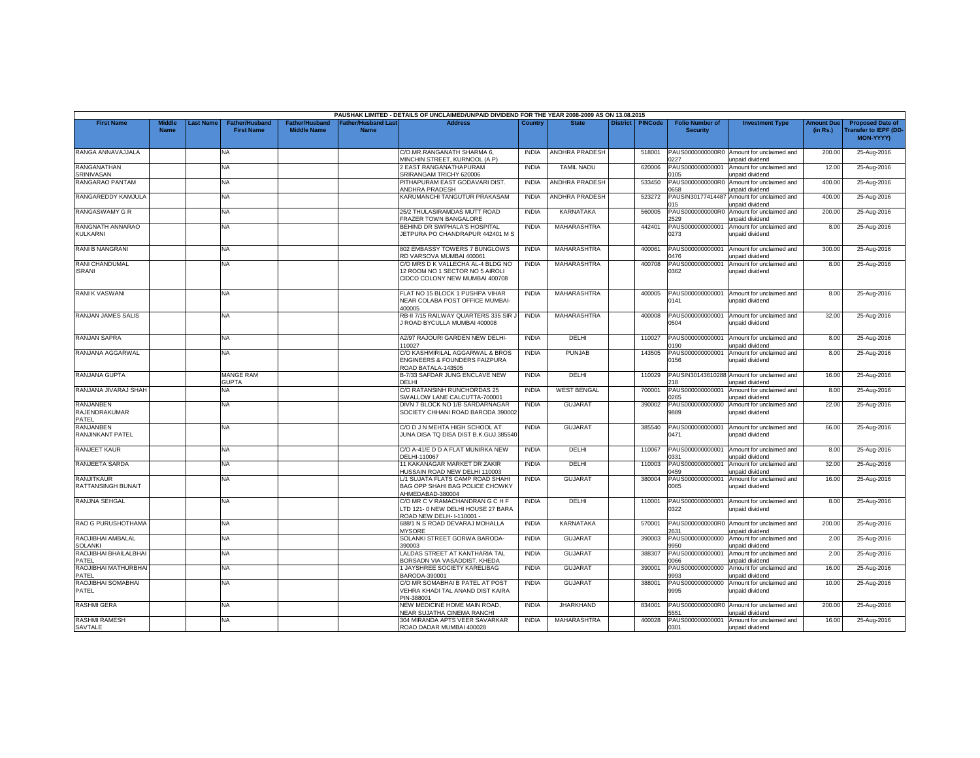|                                            |                              |          |                                            |                                             |                                  | PAUSHAK LIMITED - DETAILS OF UNCLAIMED/UNPAID DIVIDEND FOR THE YEAR 2008-2009 AS ON 13.08.2015         |              |                       |                    |                                           |                                                                |                               |                                                                            |
|--------------------------------------------|------------------------------|----------|--------------------------------------------|---------------------------------------------|----------------------------------|--------------------------------------------------------------------------------------------------------|--------------|-----------------------|--------------------|-------------------------------------------|----------------------------------------------------------------|-------------------------------|----------------------------------------------------------------------------|
| <b>First Name</b>                          | <b>Middle</b><br><b>Name</b> | ast Name | <b>Father/Husband</b><br><b>First Name</b> | <b>Father/Husband</b><br><b>Middle Name</b> | ather/Husband Las<br><b>Name</b> | <b>Address</b>                                                                                         | Country      | <b>State</b>          | District   PINCode | <b>Folio Number of</b><br><b>Security</b> | <b>Investment Type</b>                                         | <b>Amount Due</b><br>(in Rs.) | <b>Proposed Date of</b><br><b>Transfer to IEPF (DD</b><br><b>MON-YYYY)</b> |
| RANGA ANNAVAJJALA                          |                              |          | <b>NA</b>                                  |                                             |                                  | C/O.MR.RANGANATH SHARMA 6,<br>MINCHIN STREET, KURNOOL (A.P)                                            | <b>INDIA</b> | <b>ANDHRA PRADESH</b> | 518001             | 1227                                      | PAUS0000000000R0 Amount for unclaimed and<br>unpaid dividend   | 200.00                        | 25-Aug-2016                                                                |
| <b>RANGANATHAN</b>                         |                              |          | <b>NA</b>                                  |                                             |                                  | 2 EAST RANGANATHAPURAM                                                                                 | <b>INDIA</b> | <b>TAMIL NADU</b>     | 620006             | PAUS000000000001                          | Amount for unclaimed and                                       | 12.00                         | 25-Aug-2016                                                                |
| SRINIVASAN<br>RANGARAO PANTAM              |                              |          | NA                                         |                                             |                                  | SRIRANGAM TRICHY 620006<br>PITHAPURAM EAST GODAVARI DIST.                                              | <b>INDIA</b> | ANDHRA PRADESH        | 533450             | 105<br>PAUS0000000000R0                   | unpaid dividend<br>Amount for unclaimed and                    | 400.00                        | 25-Aug-2016                                                                |
|                                            |                              |          |                                            |                                             |                                  | ANDHRA PRADESH                                                                                         |              |                       |                    | 0658                                      | unpaid dividend                                                |                               |                                                                            |
| RANGAREDDY KAMJULA                         |                              |          | <b>NA</b>                                  |                                             |                                  | KARUMANCHI TANGUTUR PRAKASAM                                                                           | <b>INDIA</b> | ANDHRA PRADESH        | 523272             | PAUSIN30177414487<br>015                  | Amount for unclaimed and<br>unpaid dividend                    | 400.00                        | 25-Aug-2016                                                                |
| RANGASWAMY G R                             |                              |          | NA.                                        |                                             |                                  | 25/2 THULASIRAMDAS MUTT ROAD<br>FRAZER TOWN BANGALORE                                                  | <b>INDIA</b> | <b>KARNATAKA</b>      | 560005             | PAUS0000000000R0<br>2529                  | Amount for unclaimed and<br>unpaid dividend                    | 200.00                        | 25-Aug-2016                                                                |
| RANGNATH ANNARAO<br><b>KULKARNI</b>        |                              |          | <b>NA</b>                                  |                                             |                                  | BEHIND DR SWPHALA'S HOSPITAL<br>JETPURA PO CHANDRAPUR 442401 M S                                       | <b>INDIA</b> | MAHARASHTRA           | 442401             | PAUS000000000001<br>0273                  | Amount for unclaimed and<br>unpaid dividend                    | 8.00                          | 25-Aug-2016                                                                |
| RANI B NANGRANI                            |                              |          | NA                                         |                                             |                                  | 802 EMBASSY TOWERS 7 BUNGLOWS<br>RD VARSOVA MUMBAI 400061                                              | <b>INDIA</b> | MAHARASHTRA           | 400061             | PAUS000000000001<br>0476                  | Amount for unclaimed and<br>unpaid dividend                    | 300.00                        | 25-Aug-2016                                                                |
| RANI CHANDUMAL<br><b>ISRANI</b>            |                              |          | NA                                         |                                             |                                  | C/O MRS D K VALLECHA AL-4 BLDG NO<br>12 ROOM NO 1 SECTOR NO 5 AIROLI<br>CIDCO COLONY NEW MUMBAI 400708 | <b>INDIA</b> | <b>MAHARASHTRA</b>    | 400708             | PAUS00000000000<br>0362                   | Amount for unclaimed and<br>unpaid dividend                    | 8.00                          | 25-Aug-2016                                                                |
| <b>RANIK VASWANI</b>                       |                              |          | NA.                                        |                                             |                                  | FLAT NO 15 BLOCK 1 PUSHPA VIHAR<br>NEAR COLABA POST OFFICE MUMBAI-<br>400005                           | <b>INDIA</b> | MAHARASHTRA           | 400005             | PAUS000000000001<br>0141                  | Amount for unclaimed and<br>unpaid dividend                    | 8.00                          | 25-Aug-2016                                                                |
| RANJAN JAMES SALIS                         |                              |          | <b>NA</b>                                  |                                             |                                  | RB-II 7/15 RAILWAY QUARTERS 335 SIR J<br>I ROAD BYCULLA MUMBAI 400008                                  | <b>INDIA</b> | MAHARASHTRA           | 400008             | PAUS000000000001<br>0504                  | Amount for unclaimed and<br>unpaid dividend                    | 32.00                         | 25-Aug-2016                                                                |
| RANJAN SAPRA                               |                              |          | NA                                         |                                             |                                  | A2/97 RAJOURI GARDEN NEW DELHI-<br>10027                                                               | <b>INDIA</b> | DELHI                 | 110027             | PAUS000000000001<br>0190                  | Amount for unclaimed and<br>unpaid dividend                    | 8.00                          | 25-Aug-2016                                                                |
| RANJANA AGGARWAL                           |                              |          | <b>NA</b>                                  |                                             |                                  | C/O KASHMIRILAL AGGARWAL & BROS<br>ENGINEERS & FOUNDERS FAIZPURA<br>ROAD BATALA-143505                 | <b>INDIA</b> | <b>PUNJAB</b>         | 143505             | PAUS000000000001<br>0156                  | Amount for unclaimed and<br>unpaid dividend                    | 8.00                          | 25-Aug-2016                                                                |
| RANJANA GUPTA                              |                              |          | <b>MANGE RAM</b><br><b>GUPTA</b>           |                                             |                                  | B-7/33 SAFDAR JUNG ENCLAVE NEW<br>DELHI                                                                | <b>INDIA</b> | DELHI                 | 110029             | PAUSIN30143610288<br>18                   | Amount for unclaimed and<br>unpaid dividend                    | 16.00                         | 25-Aug-2016                                                                |
| RANJANA JIVARAJ SHAH                       |                              |          | <b>NA</b>                                  |                                             |                                  | C/O RATANSINH RUNCHORDAS 25<br>SWALLOW LANE CALCUTTA-700001                                            | <b>INDIA</b> | <b>WEST BENGAL</b>    | 700001             | PAUS000000000001<br>0265                  | Amount for unclaimed and<br>unpaid dividend                    | 8.00                          | 25-Aug-2016                                                                |
| <b>RANJANBEN</b><br>RAJENDRAKUMAR<br>PATEL |                              |          | NA                                         |                                             |                                  | DIVN 7 BLOCK NO 1/B SARDARNAGAR<br>SOCIETY CHHANI ROAD BARODA 390002                                   | <b>INDIA</b> | <b>GUJARAT</b>        | 390002             | PAUS000000000000<br>9889                  | Amount for unclaimed and<br>unpaid dividend                    | 22.00                         | 25-Aug-2016                                                                |
| RANJANBEN<br>RANJINKANT PATEL              |                              |          | NA.                                        |                                             |                                  | C/O D J N MEHTA HIGH SCHOOL AT<br>JUNA DISA TQ DISA DIST B.K.GUJ.385540                                | <b>INDIA</b> | <b>GUJARAT</b>        | 385540             | PAUS000000000001<br>0471                  | Amount for unclaimed and<br>unpaid dividend                    | 66.00                         | 25-Aug-2016                                                                |
| <b>RANJEET KAUR</b>                        |                              |          | <b>NA</b>                                  |                                             |                                  | C/O A-41/E D D A FLAT MUNIRKA NEW<br>DELHI-110067                                                      | <b>INDIA</b> | DELHI                 | 110067             | PAUS000000000001<br>1331                  | Amount for unclaimed and<br>unpaid dividend                    | 8.00                          | 25-Aug-2016                                                                |
| RANJEETA SARDA                             |                              |          | NA                                         |                                             |                                  | 11 KAKANAGAR MARKET DR ZAKIR<br>IUSSAIN ROAD NEW DELHI 110003                                          | <b>INDIA</b> | DELHI                 | 110003             | PAUS000000000001<br>0459                  | Amount for unclaimed and<br>unpaid dividend                    | 32.00                         | 25-Aug-2016                                                                |
| <b>RANJITKAUR</b><br>RATTANSINGH BUNAIT    |                              |          | <b>NA</b>                                  |                                             |                                  | L/1 SUJATA FLATS CAMP ROAD SHAHI<br>BAG OPP SHAHI BAG POLICE CHOWKY<br>AHMEDABAD-380004                | <b>INDIA</b> | <b>GUJARA1</b>        | 380004             | PAUS000000000001<br>0065                  | Amount for unclaimed and<br>unpaid dividend                    | 16.00                         | 25-Aug-2016                                                                |
| RANJNA SEHGAL                              |                              |          | <b>NA</b>                                  |                                             |                                  | C/O MR C V RAMACHANDRAN G C H F<br>LTD 121-0 NEW DELHI HOUSE 27 BARA<br>ROAD NEW DELH-1-10001 -        | <b>INDIA</b> | DELHI                 | 110001             | PAUS000000000001<br>0322                  | Amount for unclaimed and<br>unpaid dividend                    | 8.00                          | 25-Aug-2016                                                                |
| RAO G PURUSHOTHAMA                         |                              |          | <b>NA</b>                                  |                                             |                                  | 688/1 N S ROAD DEVARAJ MOHALLA<br><b>MYSORE</b>                                                        | <b>INDIA</b> | <b>KARNATAKA</b>      | 570001             | 2631                                      | PAUS0000000000R0 Amount for unclaimed and<br>unpaid dividend   | 200.00                        | 25-Aug-2016                                                                |
| RAOJIBHAI AMBALAL<br><b>SOLANKI</b>        |                              |          | NA.                                        |                                             |                                  | SOLANKI STREET GORWA BARODA-<br>390003                                                                 | <b>INDIA</b> | <b>GUJARAT</b>        | 390003             | PAUS000000000000<br>9950                  | Amount for unclaimed and<br>unpaid dividend                    | 2.00                          | 25-Aug-2016                                                                |
| RAOJIBHAI BHAILALBHAI<br>PATEL             |                              |          | <b>NA</b>                                  |                                             |                                  | LALDAS STREET AT KANTHARIA TAL<br>BORSADN VIA VASADDIST. KHEDA                                         | <b>INDIA</b> | <b>GUJARAT</b>        | 388307             | PAUS000000000001<br>3900                  | Amount for unclaimed and<br>unpaid dividend                    | 2.00                          | 25-Aug-2016                                                                |
| RAOJIBHAI MATHURBHAI<br>PATEL              |                              |          | NA                                         |                                             |                                  | 1 JAYSHREE SOCIETY KARELIBAG<br>BARODA-390001                                                          | <b>INDIA</b> | <b>GUJARAT</b>        | 390001             | PAUS000000000000<br>9993                  | Amount for unclaimed and<br>unpaid dividend                    | 16.00                         | 25-Aug-2016                                                                |
| RAOJIBHAI SOMABHAI<br>PATEL                |                              |          | NA                                         |                                             |                                  | C/O MR SOMABHAI B PATEL AT POST<br>VEHRA KHADI TAL ANAND DIST KAIRA<br>PIN-388001                      | <b>INDIA</b> | <b>GUJARAT</b>        | 388001             | PAUS000000000000<br>9995                  | Amount for unclaimed and<br>unpaid dividend                    | 10.00                         | 25-Aug-2016                                                                |
| <b>RASHMI GERA</b>                         |                              |          | <b>NA</b>                                  |                                             |                                  | NEW MEDICINE HOME MAIN ROAD.<br><b>VEAR SUJATHA CINEMA RANCHI</b>                                      | <b>INDIA</b> | <b>JHARKHAND</b>      | 834001             | PAUS0000000000R0<br>551                   | Amount for unclaimed and                                       | 200.00                        | 25-Aug-2016                                                                |
| <b>RASHMI RAMESH</b><br>SAVTALE            |                              |          | NA.                                        |                                             |                                  | 304 MIRANDA APTS VEER SAVARKAR<br>ROAD DADAR MUMBAI 400028                                             | <b>INDIA</b> | MAHARASHTRA           | 400028             | PAUS000000000001<br>0301                  | inpaid dividend<br>Amount for unclaimed and<br>unpaid dividend | 16.00                         | 25-Aug-2016                                                                |
|                                            |                              |          |                                            |                                             |                                  |                                                                                                        |              |                       |                    |                                           |                                                                |                               |                                                                            |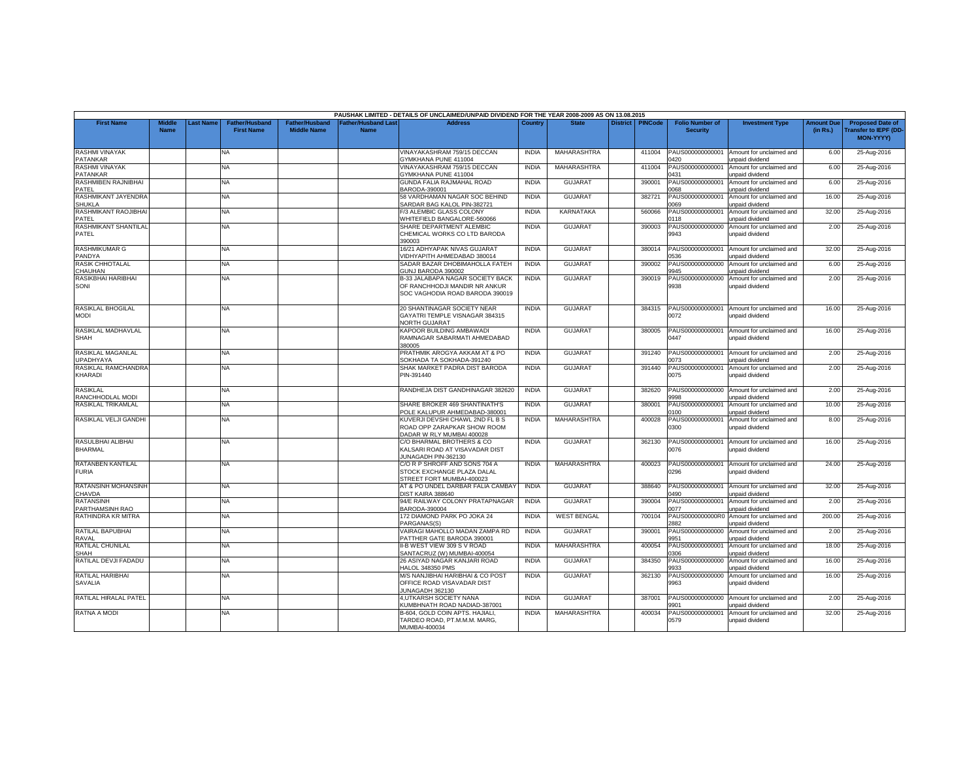|                                         |                              |           |                                            |                                             |                                           | PAUSHAK LIMITED - DETAILS OF UNCLAIMED/UNPAID DIVIDEND FOR THE YEAR 2008-2009 AS ON 13.08.2015              |              |                    |                 |                |                                           |                                                    |                               |                                                                            |
|-----------------------------------------|------------------------------|-----------|--------------------------------------------|---------------------------------------------|-------------------------------------------|-------------------------------------------------------------------------------------------------------------|--------------|--------------------|-----------------|----------------|-------------------------------------------|----------------------------------------------------|-------------------------------|----------------------------------------------------------------------------|
| <b>First Name</b>                       | <b>Middle</b><br><b>Name</b> | Last Name | <b>Father/Husband</b><br><b>First Name</b> | <b>Father/Husband</b><br><b>Middle Name</b> | <b>Father/Husband Last</b><br><b>Name</b> | <b>Address</b>                                                                                              | Country      | <b>State</b>       | <b>District</b> | <b>PINCode</b> | <b>Folio Number of</b><br><b>Security</b> | <b>Investment Type</b>                             | <b>Amount Due</b><br>(in Rs.) | <b>Proposed Date of</b><br><b>Transfer to IEPF (DD</b><br><b>MON-YYYYY</b> |
| <b>RASHMI VINAYAK</b><br>PATANKAR       |                              |           | NA                                         |                                             |                                           | VINAYAKASHRAM 759/15 DECCAN<br><b>GYMKHANA PUNE 411004</b>                                                  | <b>INDIA</b> | <b>MAHARASHTRA</b> |                 | 411004         | PAUS000000000001<br>0420                  | Amount for unclaimed and<br>unpaid dividend        | 6.00                          | 25-Aug-2016                                                                |
| RASHMI VINAYAK<br>PATANKAR              |                              |           | <b>NA</b>                                  |                                             |                                           | VINAYAKASHRAM 759/15 DECCAN<br><b>SYMKHANA PUNE 411004</b>                                                  | <b>INDIA</b> | MAHARASHTRA        |                 | 411004         | PAUS000000000001<br><b>431</b>            | Amount for unclaimed and<br>inpaid dividend        | 6.00                          | 25-Aug-2016                                                                |
| RASHMIBEN RAJNIBHAI<br>PATEL            |                              |           | NA                                         |                                             |                                           | GUNDA FALIA RAJMAHAL ROAD<br>BARODA-390001                                                                  | <b>INDIA</b> | <b>GUJARAT</b>     |                 | 390001         | PAUS000000000001<br>068                   | Amount for unclaimed and<br>unpaid dividend        | 6.00                          | 25-Aug-2016                                                                |
| RASHMIKANT JAYENDRA<br><b>SHUKLA</b>    |                              |           | NA                                         |                                             |                                           | 58 VARDHAMAN NAGAR SOC BEHIND<br>SARDAR BAG KALOL PIN-382721                                                | <b>INDIA</b> | <b>GUJARAT</b>     |                 | 382721         | PAUS000000000001<br>9000                  | Amount for unclaimed and<br>unpaid dividend        | 16.00                         | 25-Aug-2016                                                                |
| RASHMIKANT RAOJIBHA<br>PATEL            |                              |           | NA                                         |                                             |                                           | F/3 ALEMBIC GLASS COLONY<br>WHITEFIELD BANGALORE-560066                                                     | <b>INDIA</b> | <b>KARNATAKA</b>   |                 | 560066         | PAUS000000000001<br>0118                  | Amount for unclaimed and<br>unpaid dividend        | 32.00                         | 25-Aug-2016                                                                |
| <b>RASHMIKANT SHANTILAL</b><br>PATEL    |                              |           | NA                                         |                                             |                                           | SHARE DEPARTMENT ALEMBIC<br>CHEMICAL WORKS CO LTD BARODA<br>390003                                          | <b>INDIA</b> | <b>GUJARAT</b>     |                 | 390003         | PAUS000000000000<br>9943                  | Amount for unclaimed and<br>unpaid dividend        | 2.00                          | 25-Aug-2016                                                                |
| <b>RASHMIKUMAR G</b><br>PANDYA          |                              |           | NA                                         |                                             |                                           | 16/21 ADHYAPAK NIVAS GUJARAT<br><b>IDHYAPITH AHMEDABAD 380014</b>                                           | <b>INDIA</b> | <b>GUJARAT</b>     |                 | 380014         | PAUS000000000001<br>0536                  | Amount for unclaimed and<br>unpaid dividend        | 32.00                         | 25-Aug-2016                                                                |
| <b>RASIK CHHOTALAL</b><br>CHAUHAN       |                              |           | NA                                         |                                             |                                           | SADAR BAZAR DHOBIMAHOLLA FATEH<br>GUNJ BARODA 390002                                                        | <b>INDIA</b> | <b>GUJARAT</b>     |                 | 390002         | PAUS00000000000<br>9945                   | Amount for unclaimed and<br>unpaid dividend        | 6.00                          | 25-Aug-2016                                                                |
| RASIKBHAI HARIBHAI<br>SONI              |                              |           | NA                                         |                                             |                                           | <b>B-33 JALABAPA NAGAR SOCIETY BACK</b><br>OF RANCHHODJI MANDIR NR ANKUR<br>SOC VAGHODIA ROAD BARODA 390019 | <b>INDIA</b> | <b>GUJARAT</b>     |                 | 390019         | PAUS000000000000<br>9938                  | Amount for unclaimed and<br>unpaid dividend        | 2.00                          | 25-Aug-2016                                                                |
| <b>RASIKLAL BHOGILAL</b><br><b>MODI</b> |                              |           | NA.                                        |                                             |                                           | 20 SHANTINAGAR SOCIETY NEAR<br>GAYATRI TEMPLE VISNAGAR 384315<br><b>VORTH GUJARAT</b>                       | <b>INDIA</b> | <b>GUJARAT</b>     |                 | 384315         | PAUS000000000001<br>0072                  | Amount for unclaimed and<br>unpaid dividend        | 16.00                         | 25-Aug-2016                                                                |
| RASIKLAL MADHAVLAL<br><b>SHAH</b>       |                              |           | <b>NA</b>                                  |                                             |                                           | KAPOOR BUILDING AMBAWADI<br>RAMNAGAR SABARMATI AHMEDABAD<br>380005                                          | <b>INDIA</b> | <b>GUJARAT</b>     |                 | 380005         | PAUS000000000001<br>0447                  | Amount for unclaimed and<br>unpaid dividend        | 16.00                         | 25-Aug-2016                                                                |
| RASIKLAL MAGANLAL<br><b>UPADHYAYA</b>   |                              |           | NA                                         |                                             |                                           | PRATHMIK AROGYA AKKAM AT & PO<br>SOKHADA TA SOKHADA-391240                                                  | <b>INDIA</b> | <b>GUJARAT</b>     |                 | 391240         | PAUS000000000001<br>0073                  | Amount for unclaimed and<br>unpaid dividend        | 2.00                          | 25-Aug-2016                                                                |
| RASIKLAL RAMCHANDRA<br>KHARADI          |                              |           | NA.                                        |                                             |                                           | SHAK MARKET PADRA DIST BARODA<br>PIN-391440                                                                 | <b>INDIA</b> | GUJARAT            |                 | 391440         | PAUS000000000001<br>0075                  | Amount for unclaimed and<br>unpaid dividend        | 2.00                          | 25-Aug-2016                                                                |
| <b>RASIKLAL</b><br>RANCHHODLAL MODI     |                              |           | NA.                                        |                                             |                                           | RANDHEJA DIST GANDHINAGAR 382620                                                                            | <b>INDIA</b> | <b>GUJARAT</b>     |                 | 382620         | PAUS000000000000<br>1998                  | Amount for unclaimed and<br>unpaid dividend        | 2.00                          | 25-Aug-2016                                                                |
| RASIKLAL TRIKAMLAL                      |                              |           | NA                                         |                                             |                                           | SHARE BROKER 469 SHANTINATH'S<br>OLE KALUPUR AHMEDABAD-380001                                               | <b>INDIA</b> | <b>GUJARAT</b>     |                 | 380001         | PAUS000000000001<br>0100                  | Amount for unclaimed and<br>unpaid dividend        | 10.00                         | 25-Aug-2016                                                                |
| RASIKLAL VELJI GANDHI                   |                              |           | NA                                         |                                             |                                           | KUVERJI DEVSHI CHAWL 2ND FL B S<br>ROAD OPP ZARAPKAR SHOW ROOM<br>DADAR W RLY MUMBAI 400028                 | <b>INDIA</b> | MAHARASHTRA        |                 | 400028         | PAUS000000000001<br>0300                  | Amount for unclaimed and<br>unpaid dividend        | 8.00                          | 25-Aug-2016                                                                |
| RASULBHAI ALIBHAI<br><b>BHARMAL</b>     |                              |           | NA                                         |                                             |                                           | C/O BHARMAL BROTHERS & CO<br>KALSARI ROAD AT VISAVADAR DIST<br>JUNAGADH PIN-362130                          | <b>INDIA</b> | <b>GUJARAT</b>     |                 | 362130         | PAUS000000000001<br>0076                  | Amount for unclaimed and<br>unpaid dividend        | 16.00                         | 25-Aug-2016                                                                |
| RATANBEN KANTILAL<br><b>FURIA</b>       |                              |           | NA                                         |                                             |                                           | C/O R P SHROFF AND SONS 704 A<br>STOCK EXCHANGE PLAZA DALAL<br>STREET FORT MUMBAI-400023                    | <b>INDIA</b> | <b>MAHARASHTRA</b> |                 | 400023         | PAUS000000000001<br>0296                  | Amount for unclaimed and<br>unpaid dividend        | 24.00                         | 25-Aug-2016                                                                |
| RATANSINH MOHANSINH<br>CHAVDA           |                              |           | <b>NA</b>                                  |                                             |                                           | AT & PO UNDEL DARBAR FALIA CAMBAY<br>DIST KAIRA 388640                                                      | <b>INDIA</b> | <b>GUJARAT</b>     |                 | 388640         | PAUS000000000001<br>490                   | Amount for unclaimed and<br><b>Inpaid dividend</b> | 32.00                         | 25-Aug-2016                                                                |
| <b>RATANSINH</b><br>PARTHAMSINH RAO     |                              |           | NA                                         |                                             |                                           | 94/E RAILWAY COLONY PRATAPNAGAR<br>BARODA-390004                                                            | <b>INDIA</b> | <b>GUJARAT</b>     |                 | 390004         | PAUS000000000001<br>1077                  | Amount for unclaimed and<br>unpaid dividend        | 2.00                          | 25-Aug-2016                                                                |
| RATHINDRA KR MITRA                      |                              |           | NA.                                        |                                             |                                           | 172 DIAMOND PARK PO JOKA 24<br>PARGANAS(S)                                                                  | <b>INDIA</b> | <b>WEST BENGAL</b> |                 | 700104         | PAUS0000000000R0<br>2882                  | Amount for unclaimed and<br>unpaid dividend        | 200.00                        | 25-Aug-2016                                                                |
| RATILAL BAPUBHAI<br>RAVAL               |                              |           | NA                                         |                                             |                                           | VAIRAGI MAHOLLO MADAN ZAMPA RD<br>PATTHER GATE BARODA 390001                                                | <b>INDIA</b> | GUJARAT            |                 | 390001         | PAUS000000000000<br>9951                  | Amount for unclaimed and<br>unpaid dividend        | 2.00                          | 25-Aug-2016                                                                |
| RATILAL CHUNILAL<br>SHAH                |                              |           | <b>NA</b>                                  |                                             |                                           | II-B WEST VIEW 309 S V ROAD<br>SANTACRUZ (W) MUMBAI-400054                                                  | <b>INDIA</b> | <b>MAHARASHTRA</b> |                 | 400054         | PAUS000000000001<br>306                   | Amount for unclaimed and<br>inpaid dividend        | 18.00                         | 25-Aug-2016                                                                |
| RATILAL DEVJI FADADU                    |                              |           | NA                                         |                                             |                                           | 26 ASIYAD NAGAR KANJARI ROAD<br>HALOL 348350 PMS                                                            | <b>INDIA</b> | <b>GUJARAT</b>     |                 | 384350         | PAUS000000000000<br>9933                  | Amount for unclaimed and<br>unpaid dividend        | 16.00                         | 25-Aug-2016                                                                |
| RATILAL HARIBHAI<br><b>SAVALIA</b>      |                              |           | NA                                         |                                             |                                           | M/S NANJIBHAI HARIBHAI & CO POST<br>OFFICE ROAD VISAVADAR DIST<br>UNAGADH 362130                            | <b>INDIA</b> | <b>GUJARAT</b>     |                 | 362130         | PAUS000000000000<br>9963                  | Amount for unclaimed and<br>unpaid dividend        | 16.00                         | 25-Aug-2016                                                                |
| RATILAL HIRALAL PATEL                   |                              |           | <b>NA</b>                                  |                                             |                                           | 4.UTKARSH SOCIETY NANA<br><b>(UMBHNATH ROAD NADIAD-387001</b>                                               | <b>INDIA</b> | <b>GUJARAT</b>     |                 | 387001         | PAUS000000000000<br>9901                  | Amount for unclaimed and<br><b>Inpaid dividend</b> | 2.00                          | 25-Aug-2016                                                                |
| RATNA A MODI                            |                              |           | NA                                         |                                             |                                           | B-604, GOLD COIN APTS, HAJIALI,<br>TARDEO ROAD, PT.M.M.M. MARG,<br>MUMBAI-400034                            | <b>INDIA</b> | MAHARASHTRA        |                 | 400034         | PAUS000000000001<br>0579                  | Amount for unclaimed and<br>unpaid dividend        | 32.00                         | 25-Aug-2016                                                                |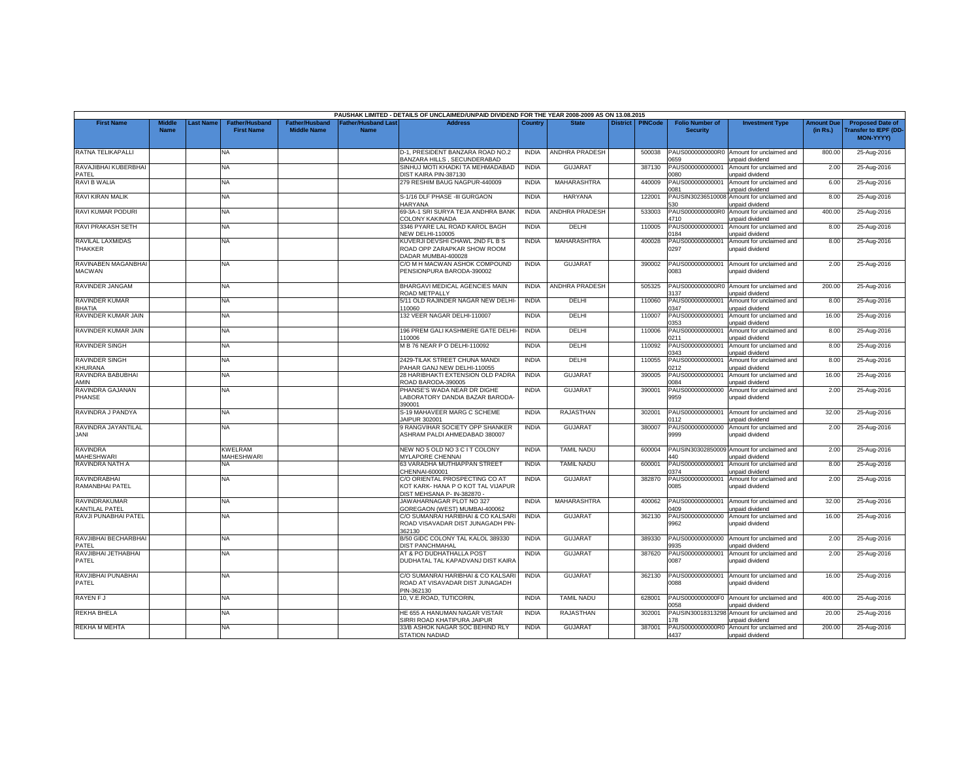|                                               |                              |                 |                                            |                                             |                                   | PAUSHAK LIMITED - DETAILS OF UNCLAIMED/UNPAID DIVIDEND FOR THE YEAR 2008-2009 AS ON 13.08.2015      |              |                       |                 |                |                                           |                                                              |                               |                                                                            |
|-----------------------------------------------|------------------------------|-----------------|--------------------------------------------|---------------------------------------------|-----------------------------------|-----------------------------------------------------------------------------------------------------|--------------|-----------------------|-----------------|----------------|-------------------------------------------|--------------------------------------------------------------|-------------------------------|----------------------------------------------------------------------------|
| <b>First Name</b>                             | <b>Middle</b><br><b>Name</b> | <b>ast Name</b> | <b>Father/Husband</b><br><b>First Name</b> | <b>Father/Husband</b><br><b>Middle Name</b> | <b>Father/Husband Las</b><br>Name | <b>Address</b>                                                                                      | Country      | <b>State</b>          | <b>District</b> | <b>PINCode</b> | <b>Folio Number of</b><br><b>Security</b> | <b>Investment Type</b>                                       | <b>Amount Due</b><br>(in Rs.) | <b>Proposed Date of</b><br><b>Transfer to IEPF (DD</b><br><b>MON-YYYY)</b> |
| RATNA TELIKAPALLI                             |                              |                 | <b>NA</b>                                  |                                             |                                   | D-1. PRESIDENT BANZARA ROAD NO.2<br>BANZARA HILLS, SECUNDERABAD                                     | <b>INDIA</b> | <b>ANDHRA PRADESH</b> |                 | 500038         | 0659                                      | PAUS0000000000R0 Amount for unclaimed and<br>unpaid dividend | 800.00                        | 25-Aug-2016                                                                |
| RAVAJIBHAI KUBERBHAI<br>PATEL                 |                              |                 | <b>NA</b>                                  |                                             |                                   | SINHUJ MOTI KHADKI TA MEHMADABAD<br><b>JIST KAIRA PIN-387130</b>                                    | <b>INDIA</b> | <b>GUJARAT</b>        |                 | 387130         | AUS00000000001<br>080                     | Amount for unclaimed and<br>unpaid dividend                  | 2.00                          | 25-Aug-2016                                                                |
| RAVI B WALIA                                  |                              |                 | <b>NA</b>                                  |                                             |                                   | 279 RESHIM BAUG NAGPUR-440009                                                                       | <b>INDIA</b> | MAHARASHTRA           |                 | 440009         | PAUS000000000001<br>081                   | Amount for unclaimed and<br>unpaid dividend                  | 6.00                          | 25-Aug-2016                                                                |
| RAVI KIRAN MALIK                              |                              |                 | <b>NA</b>                                  |                                             |                                   | S-1/16 DLF PHASE -III GURGAON<br><b>HARYANA</b>                                                     | <b>INDIA</b> | <b>HARYANA</b>        |                 | 122001         | PAUSIN30236510008<br>530                  | Amount for unclaimed and<br>unpaid dividend                  | 8.00                          | 25-Aug-2016                                                                |
| RAVI KUMAR PODURI                             |                              |                 | <b>NA</b>                                  |                                             |                                   | 69-3A-1 SRI SURYA TEJA ANDHRA BANK<br>COLONY KAKINADA                                               | <b>INDIA</b> | <b>ANDHRA PRADESH</b> |                 | 533003         | PAUS0000000000R0<br>4710                  | Amount for unclaimed and<br>unpaid dividend                  | 400.00                        | 25-Aug-2016                                                                |
| RAVI PRAKASH SETH                             |                              |                 | NA.                                        |                                             |                                   | 3346 PYARE LAL ROAD KAROL BAGH<br><b>NEW DELHI-110005</b>                                           | <b>INDIA</b> | DELHI                 |                 | 110005         | PAUS000000000001<br>0184                  | Amount for unclaimed and<br>unpaid dividend                  | 8.00                          | 25-Aug-2016                                                                |
| RAVILAL LAXMIDAS<br><b>THAKKER</b>            |                              |                 | <b>NA</b>                                  |                                             |                                   | KUVERJI DEVSHI CHAWL 2ND FL B S<br>ROAD OPP ZARAPKAR SHOW ROOM<br>DADAR MUMBAI-400028               | <b>INDIA</b> | MAHARASHTRA           |                 | 400028         | PAUS000000000001<br>)297                  | Amount for unclaimed and<br>unpaid dividend                  | 8.00                          | 25-Aug-2016                                                                |
| RAVINABEN MAGANBHAI<br><b>MACWAN</b>          |                              |                 | <b>NA</b>                                  |                                             |                                   | C/O M H MACWAN ASHOK COMPOUND<br>PENSIONPURA BARODA-390002                                          | <b>INDIA</b> | <b>GUJARAT</b>        |                 | 390002         | PAUS000000000001<br>0083                  | Amount for unclaimed and<br>unpaid dividend                  | 2.00                          | 25-Aug-2016                                                                |
| RAVINDER JANGAM                               |                              |                 | <b>NA</b>                                  |                                             |                                   | BHARGAVI MEDICAL AGENCIES MAIN<br>ROAD METPALLY                                                     | <b>INDIA</b> | <b>ANDHRA PRADESH</b> |                 | 505325         | 3137                                      | PAUS0000000000R0 Amount for unclaimed and<br>unpaid dividend | 200.00                        | 25-Aug-2016                                                                |
| RAVINDER KUMAR<br><b>BHATIA</b>               |                              |                 | NA                                         |                                             |                                   | 5/11 OLD RAJINDER NAGAR NEW DELHI-<br>10060                                                         | INDIA        | DELHI                 |                 | 110060         | PAUS000000000001<br>0347                  | Amount for unclaimed and<br>unpaid dividend                  | 8.00                          | 25-Aug-2016                                                                |
| RAVINDER KUMAR JAIN                           |                              |                 | <b>NA</b>                                  |                                             |                                   | 132 VEER NAGAR DELHI-110007                                                                         | <b>INDIA</b> | DELHI                 |                 | 110007         | PAUS000000000001<br>353                   | Amount for unclaimed and<br>unpaid dividend                  | 16.00                         | 25-Aug-2016                                                                |
| RAVINDER KUMAR JAIN                           |                              |                 | NA                                         |                                             |                                   | 196 PREM GALI KASHMERE GATE DELHI<br>110006                                                         | <b>INDIA</b> | DELHI                 |                 | 110006         | PAUS000000000001<br>1211                  | Amount for unclaimed and<br>unpaid dividend                  | 8.00                          | 25-Aug-2016                                                                |
| <b>RAVINDER SINGH</b>                         |                              |                 | <b>NA</b>                                  |                                             |                                   | M B 76 NEAR P O DELHI-110092                                                                        | <b>INDIA</b> | DELHI                 |                 | 110092         | PAUS000000000001<br>0343                  | Amount for unclaimed and<br>unpaid dividend                  | 8.00                          | 25-Aug-2016                                                                |
| <b>RAVINDER SINGH</b><br>KHURANA              |                              |                 | NA.                                        |                                             |                                   | 2429-TILAK STREET CHUNA MANDI<br>PAHAR GANJ NEW DELHI-110055                                        | <b>INDIA</b> | DELHI                 |                 | 110055         | PAUS000000000001<br>0212                  | Amount for unclaimed and<br>unpaid dividend                  | 8.00                          | 25-Aug-2016                                                                |
| RAVINDRA BABUBHAI<br>AMIN                     |                              |                 | NA                                         |                                             |                                   | 28 HARIBHAKTI EXTENSION OLD PADRA<br>ROAD BARODA-390005                                             | <b>INDIA</b> | <b>GUJARAT</b>        |                 | 390005         | PAUS000000000001<br>1084                  | Amount for unclaimed and<br><b>Inpaid dividend</b>           | 16.00                         | 25-Aug-2016                                                                |
| RAVINDRA GAJANAN<br>PHANSE                    |                              |                 | <b>NA</b>                                  |                                             |                                   | PHANSE'S WADA NEAR DR DIGHE<br>LABORATORY DANDIA BAZAR BARODA-<br>390001                            | <b>INDIA</b> | <b>GUJARAT</b>        |                 | 390001         | PAUS000000000000<br>9959                  | Amount for unclaimed and<br>unpaid dividend                  | 2.00                          | 25-Aug-2016                                                                |
| RAVINDRA J PANDYA                             |                              |                 | <b>NA</b>                                  |                                             |                                   | S-19 MAHAVEER MARG C SCHEME<br>JAIPUR 302001                                                        | <b>INDIA</b> | RAJASTHAN             |                 | 302001         | PAUS000000000001<br>0112                  | Amount for unclaimed and<br>unpaid dividend                  | 32.00                         | 25-Aug-2016                                                                |
| RAVINDRA JAYANTILAL<br>JANI                   |                              |                 | NA                                         |                                             |                                   | 9 RANGVIHAR SOCIETY OPP SHANKER<br>ASHRAM PALDI AHMEDABAD 380007                                    | <b>INDIA</b> | <b>GUJARAT</b>        |                 | 380007         | PAUS000000000000<br>9999                  | Amount for unclaimed and<br>unpaid dividend                  | 2.00                          | 25-Aug-2016                                                                |
| <b>RAVINDRA</b><br>MAHESHWARI                 |                              |                 | <b>KWELRAM</b><br>MAHESHWARI               |                                             |                                   | NEW NO 5 OLD NO 3 C IT COLONY<br>MYLAPORE CHENNAI                                                   | <b>INDIA</b> | <b>TAMIL NADU</b>     |                 | 600004         | PAUSIN30302850009<br>40                   | Amount for unclaimed and<br>unpaid dividend                  | 2.00                          | 25-Aug-2016                                                                |
| RAVINDRA NATH A                               |                              |                 | NA                                         |                                             |                                   | 63 VARADHA MUTHIAPPAN STREET<br>CHENNAI-600001                                                      | <b>INDIA</b> | <b>TAMIL NADU</b>     |                 | 600001         | PAUS000000000001<br>1374                  | Amount for unclaimed and<br>unpaid dividend                  | 8.00                          | 25-Aug-2016                                                                |
| <b>RAVINDRABHAI</b><br><b>RAMANBHAI PATEL</b> |                              |                 | <b>NA</b>                                  |                                             |                                   | C/O ORIENTAL PROSPECTING CO AT<br>KOT KARK- HANA P O KOT TAL VIJAPUR<br>DIST MEHSANA P- IN-382870 - | <b>INDIA</b> | <b>GUJARAT</b>        |                 | 382870         | PAUS000000000001<br>0085                  | Amount for unclaimed and<br>unpaid dividend                  | 2.00                          | 25-Aug-2016                                                                |
| RAVINDRAKUMAR<br>KANTILAL PATEL               |                              |                 | NA                                         |                                             |                                   | JAWAHARNAGAR PLOT NO 327<br>GOREGAON (WEST) MUMBAI-400062                                           | <b>INDIA</b> | MAHARASHTRA           |                 | 400062         | PAUS000000000001<br>0409                  | Amount for unclaimed and<br>unpaid dividend                  | 32.00                         | 25-Aug-2016                                                                |
| RAVJI PUNABHAI PATEL                          |                              |                 | <b>NA</b>                                  |                                             |                                   | C/O SUMANRAI HARIBHAI & CO KALSARI<br>ROAD VISAVADAR DIST JUNAGADH PIN-<br>362130                   | <b>INDIA</b> | <b>GUJARAT</b>        |                 | 362130         | PAUS000000000000<br>9962                  | Amount for unclaimed and<br>unpaid dividend                  | 16.00                         | 25-Aug-2016                                                                |
| RAVJIBHAI BECHARBHAI<br>PATEL                 |                              |                 | NA                                         |                                             |                                   | B/50 GIDC COLONY TAL KALOL 389330<br><b>DIST PANCHMAHAL</b>                                         | <b>INDIA</b> | <b>GUJARAT</b>        |                 | 389330         | PAUS000000000000<br>9935                  | Amount for unclaimed and<br>unpaid dividend                  | 2.00                          | 25-Aug-2016                                                                |
| RAVJIBHAI JETHABHAI<br>PATEL                  |                              |                 | <b>NA</b>                                  |                                             |                                   | AT & PO DUDHATHALLA POST<br>DUDHATAL TAL KAPADVANJ DIST KAIRA                                       | <b>INDIA</b> | GUJARAT               |                 | 387620         | PAUS000000000001<br>0087                  | Amount for unclaimed and<br>unpaid dividend                  | 2.00                          | 25-Aug-2016                                                                |
| RAVJIBHAI PUNABHAI<br>PATEL                   |                              |                 | NA                                         |                                             |                                   | C/O SUMANRAI HARIBHAI & CO KALSARI<br>ROAD AT VISAVADAR DIST JUNAGADH<br>PIN-362130                 | <b>INDIA</b> | <b>GUJARAT</b>        |                 | 362130         | PAUS000000000001<br>088                   | Amount for unclaimed and<br>unpaid dividend                  | 16.00                         | 25-Aug-2016                                                                |
| <b>RAYEN FJ</b>                               |                              |                 | <b>NA</b>                                  |                                             |                                   | 10, V.E.ROAD, TUTICORIN,                                                                            | <b>INDIA</b> | <b>TAMIL NADU</b>     |                 | 628001         | PAUS0000000000F0<br>1058                  | Amount for unclaimed and<br>unpaid dividend                  | 400.00                        | 25-Aug-2016                                                                |
| REKHA BHELA                                   |                              |                 | <b>NA</b>                                  |                                             |                                   | HE 655 A HANUMAN NAGAR VISTAR<br>SIRRI ROAD KHATIPURA JAIPUR                                        | <b>INDIA</b> | RAJASTHAN             |                 | 302001         | PAUSIN3001831329<br>178                   | Amount for unclaimed and<br>unpaid dividend                  | 20.00                         | 25-Aug-2016                                                                |
| <b>REKHA M MEHTA</b>                          |                              |                 | NA.                                        |                                             |                                   | 33/B ASHOK NAGAR SOC BEHIND RLY<br>STATION NADIAD                                                   | <b>INDIA</b> | <b>GUJARAT</b>        |                 | 387001         | 4437                                      | PAUS0000000000R0 Amount for unclaimed and<br>unpaid dividend | 200.00                        | 25-Aug-2016                                                                |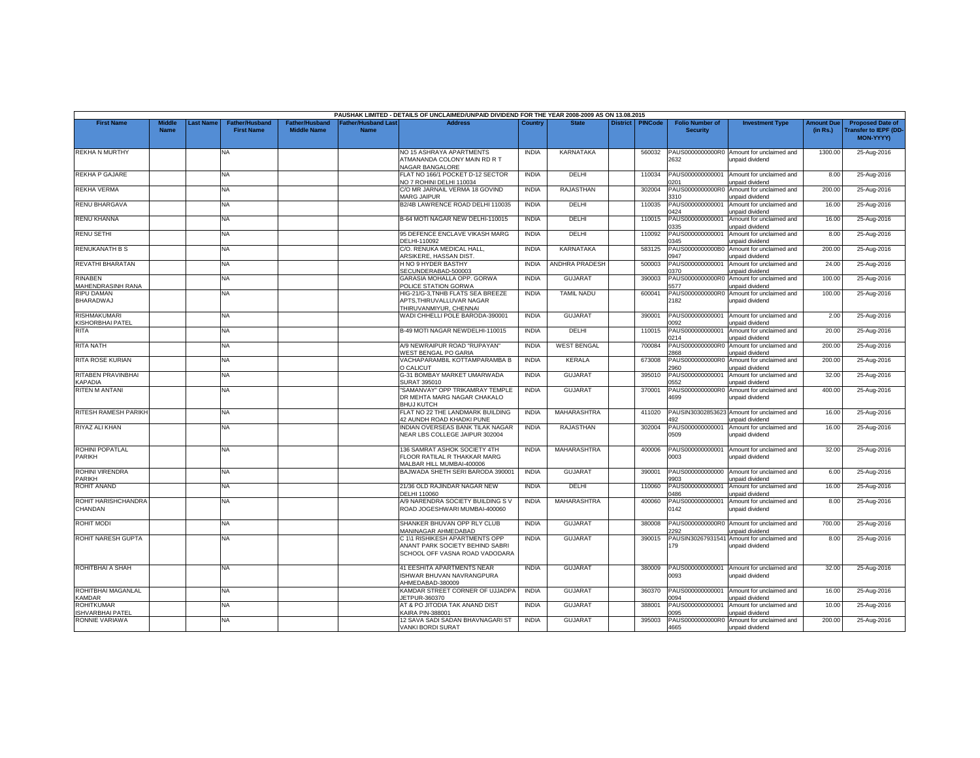|                                              |                              |          |                                            |                                             |                                           | PAUSHAK LIMITED - DETAILS OF UNCLAIMED/UNPAID DIVIDEND FOR THE YEAR 2008-2009 AS ON 13.08.2015      |              |                    |                 |                |                                           |                                                              |                               |                                                                            |
|----------------------------------------------|------------------------------|----------|--------------------------------------------|---------------------------------------------|-------------------------------------------|-----------------------------------------------------------------------------------------------------|--------------|--------------------|-----------------|----------------|-------------------------------------------|--------------------------------------------------------------|-------------------------------|----------------------------------------------------------------------------|
| <b>First Name</b>                            | <b>Middle</b><br><b>Name</b> | ast Name | <b>Father/Husband</b><br><b>First Name</b> | <b>Father/Husband</b><br><b>Middle Name</b> | <b>Father/Husband Last</b><br><b>Name</b> | <b>Address</b>                                                                                      | Country      | <b>State</b>       | <b>District</b> | <b>PINCode</b> | <b>Folio Number of</b><br><b>Security</b> | <b>Investment Type</b>                                       | <b>Amount Due</b><br>(in Rs.) | <b>Proposed Date of</b><br><b>Transfer to IEPF (DD</b><br><b>MON-YYYY)</b> |
| <b>REKHA N MURTHY</b>                        |                              |          | <b>NA</b>                                  |                                             |                                           | NO 15 ASHRAYA APARTMENTS<br>ATMANANDA COLONY MAIN RD R T<br><b>VAGAR BANGALORE</b>                  | <b>INDIA</b> | <b>KARNATAKA</b>   |                 | 560032         | PAUS0000000000R0<br>2632                  | Amount for unclaimed and<br>unpaid dividend                  | 1300.00                       | 25-Aug-2016                                                                |
| REKHA P GAJARE                               |                              |          | NA                                         |                                             |                                           | FLAT NO 166/1 POCKET D-12 SECTOR<br>VO 7 ROHINI DELHI 110034                                        | <b>INDIA</b> | DELHI              |                 | 110034         | PAUS000000000001<br>0201                  | Amount for unclaimed and<br>unpaid dividend                  | 8.00                          | 25-Aug-2016                                                                |
| <b>REKHA VERMA</b>                           |                              |          | <b>NA</b>                                  |                                             |                                           | C/O MR JARNAIL VERMA 18 GOVIND<br>MARG JAIPUR                                                       | <b>INDIA</b> | <b>RAJASTHAN</b>   |                 | 302004         | PAUS0000000000R0<br>3310                  | Amount for unclaimed and<br>unpaid dividend                  | 200.00                        | 25-Aug-2016                                                                |
| <b>RENU BHARGAVA</b>                         |                              |          | NA.                                        |                                             |                                           | B2/4B LAWRENCE ROAD DELHI 110035                                                                    | <b>INDIA</b> | DELHI              |                 | 110035         | PAUS000000000001<br>0424                  | Amount for unclaimed and<br>unpaid dividend                  | 16.00                         | 25-Aug-2016                                                                |
| <b>RENU KHANNA</b>                           |                              |          | <b>NA</b>                                  |                                             |                                           | B-64 MOTI NAGAR NEW DELHI-110015                                                                    | <b>INDIA</b> | DELHI              |                 | 110015         | PAUS000000000001<br>1335                  | Amount for unclaimed and<br>unpaid dividend                  | 16.00                         | 25-Aug-2016                                                                |
| <b>RENU SETHI</b>                            |                              |          | NA                                         |                                             |                                           | 95 DEFENCE ENCLAVE VIKASH MARG<br>DELHI-110092                                                      | <b>INDIA</b> | DELHI              |                 | 110092         | PAUS000000000001<br>0345                  | Amount for unclaimed and<br>unpaid dividend                  | 8.00                          | 25-Aug-2016                                                                |
| <b>RENUKANATH B S</b>                        |                              |          | <b>NA</b>                                  |                                             |                                           | C/O. RENUKA MEDICAL HALL,<br>ARSIKERE, HASSAN DIST                                                  | <b>INDIA</b> | <b>KARNATAKA</b>   |                 | 583125         | PAUS0000000000B0<br>0947                  | Amount for unclaimed and<br>unpaid dividend                  | 200.00                        | 25-Aug-2016                                                                |
| REVATHI BHARATAN                             |                              |          | NA                                         |                                             |                                           | H NO 9 HYDER BASTHY<br>SECUNDERABAD-500003                                                          | <b>INDIA</b> | ANDHRA PRADESH     |                 | 500003         | PAUS000000000001<br>370                   | Amount for unclaimed and<br>unpaid dividend                  | 24.00                         | 25-Aug-2016                                                                |
| <b>RINABEN</b><br>MAHENDRASINH RANA          |                              |          | <b>NA</b>                                  |                                             |                                           | GARASIA MOHALLA OPP. GORWA<br>POLICE STATION GORWA                                                  | <b>INDIA</b> | <b>GUJARAT</b>     |                 | 390003         | PAUS0000000000R0<br>577                   | Amount for unclaimed and<br>unpaid dividend                  | 100.00                        | 25-Aug-2016                                                                |
| <b>RIPU DAMAN</b><br><b>BHARADWAJ</b>        |                              |          | NA                                         |                                             |                                           | HIG-21/G-3,TNHB FLATS SEA BREEZE<br>APTS, THIRUVALLUVAR NAGAR<br>THIRUVANMIYUR, CHENNAI             | <b>INDIA</b> | <b>TAMIL NADU</b>  |                 | 600041         | PAUS0000000000R0<br>2182                  | Amount for unclaimed and<br>unpaid dividend                  | 100.00                        | 25-Aug-2016                                                                |
| <b>RISHMAKUMARI</b><br>KISHORBHAI PATEL      |                              |          | NA.                                        |                                             |                                           | WADI CHHELLI POLE BARODA-390001                                                                     | <b>INDIA</b> | <b>GUJARAT</b>     |                 | 390001         | PAUS000000000001<br>092                   | Amount for unclaimed and<br>unpaid dividend                  | 2.00                          | 25-Aug-2016                                                                |
| <b>RITA</b>                                  |                              |          | <b>NA</b>                                  |                                             |                                           | B-49 MOTI NAGAR NEWDELHI-110015                                                                     | <b>INDIA</b> | DELHI              |                 | 110015         | PAUS000000000001<br>0214                  | Amount for unclaimed and<br>unpaid dividend                  | 20.00                         | 25-Aug-2016                                                                |
| <b>RITA NATH</b>                             |                              |          | NA                                         |                                             |                                           | A/9 NEWRAIPUR ROAD "RUPAYAN"<br>WEST BENGAL PO GARIA                                                | <b>INDIA</b> | <b>WEST BENGAL</b> |                 | 700084         | PAUS0000000000R0<br>2868                  | Amount for unclaimed and<br>unpaid dividend                  | 200.00                        | 25-Aug-2016                                                                |
| <b>RITA ROSE KURIAN</b>                      |                              |          | <b>NA</b>                                  |                                             |                                           | VACHAPARAMBIL KOTTAMPARAMBA B<br>O CALICUT                                                          | <b>INDIA</b> | <b>KERALA</b>      |                 | 673008         | PAUS0000000000R<br>2960                   | Amount for unclaimed and<br>unpaid dividend                  | 200.00                        | 25-Aug-2016                                                                |
| RITABEN PRAVINBHAI<br><b><i>APADIA</i></b>   |                              |          | <b>NA</b>                                  |                                             |                                           | G-31 BOMBAY MARKET UMARWADA<br><b>SURAT 395010</b>                                                  | <b>INDIA</b> | <b>GUJARAT</b>     |                 | 395010         | PAUS000000000001<br>552                   | Amount for unclaimed and<br>unpaid dividend                  | 32.00                         | 25-Aug-2016                                                                |
| RITEN M ANTANI                               |                              |          | <b>NA</b>                                  |                                             |                                           | "SAMANVAY" OPP TRIKAMRAY TEMPLE<br>DR MEHTA MARG NAGAR CHAKALO<br><b>BHUJ KUTCH</b>                 | <b>INDIA</b> | <b>GUJARAT</b>     |                 | 370001         | PAUS0000000000R0<br>4699                  | Amount for unclaimed and<br>unpaid dividend                  | 400.00                        | 25-Aug-2016                                                                |
| RITESH RAMESH PARIKH                         |                              |          | NA                                         |                                             |                                           | FLAT NO 22 THE LANDMARK BUILDING<br>42 AUNDH ROAD KHADKI PUNE                                       | <b>INDIA</b> | MAHARASHTRA        |                 | 411020         | PAUSIN30302853623<br>492                  | Amount for unclaimed and<br>unpaid dividend                  | 16.00                         | 25-Aug-2016                                                                |
| RIYAZ ALI KHAN                               |                              |          | NA                                         |                                             |                                           | INDIAN OVERSEAS BANK TILAK NAGAR<br>NEAR LBS COLLEGE JAIPUR 302004                                  | <b>INDIA</b> | <b>RAJASTHAN</b>   |                 | 302004         | PAUS000000000001<br>0509                  | Amount for unclaimed and<br>unpaid dividend                  | 16.00                         | 25-Aug-2016                                                                |
| ROHINI POPATLAL<br>PARIKH                    |                              |          | NA.                                        |                                             |                                           | 136 SAMRAT ASHOK SOCIETY 4TH<br>FLOOR RATILAL R THAKKAR MARG<br>MALBAR HILL MUMBAI-400006           | <b>INDIA</b> | MAHARASHTRA        |                 | 400006         | PAUS000000000001<br>0003                  | Amount for unclaimed and<br>unpaid dividend                  | 32.00                         | 25-Aug-2016                                                                |
| <b>ROHINI VIRENDRA</b><br><b>PARIKH</b>      |                              |          | <b>NA</b>                                  |                                             |                                           | BAJWADA SHETH SERI BARODA 390001                                                                    | <b>INDIA</b> | <b>GUJARAT</b>     |                 | 390001         | PAUS000000000000<br>9903                  | Amount for unclaimed and<br>unpaid dividend                  | 6.00                          | 25-Aug-2016                                                                |
| <b>ROHIT ANAND</b>                           |                              |          | <b>NA</b>                                  |                                             |                                           | 21/36 OLD RAJINDAR NAGAR NEW<br>DELHI 110060                                                        | <b>INDIA</b> | DELHI              |                 | 110060         | PAUS000000000001<br>486                   | Amount for unclaimed and<br>unpaid dividend                  | 16.00                         | 25-Aug-2016                                                                |
| ROHIT HARISHCHANDRA<br>CHANDAN               |                              |          | NA                                         |                                             |                                           | A/9 NARENDRA SOCIETY BUILDING S V<br>ROAD JOGESHWARI MUMBAI-400060                                  | <b>INDIA</b> | MAHARASHTRA        |                 | 400060         | PAUS000000000001<br>0142                  | Amount for unclaimed and<br>unpaid dividend                  | 8.00                          | 25-Aug-2016                                                                |
| <b>ROHIT MODI</b>                            |                              |          | <b>NA</b>                                  |                                             |                                           | SHANKER BHUVAN OPP RLY CLUB<br>MANINAGAR AHMEDABAD                                                  | <b>INDIA</b> | <b>GUJARAT</b>     |                 | 380008         | 2292                                      | PAUS0000000000R0 Amount for unclaimed and<br>unpaid dividend | 700.00                        | 25-Aug-2016                                                                |
| ROHIT NARESH GUPTA                           |                              |          | <b>NA</b>                                  |                                             |                                           | C 1\1 RISHIKESH APARTMENTS OPP<br>ANANT PARK SOCIETY BEHIND SABRI<br>SCHOOL OFF VASNA ROAD VADODARA | <b>INDIA</b> | <b>GUJARAT</b>     |                 | 390015         | PAUSIN30267931541<br>79                   | Amount for unclaimed and<br>unpaid dividend                  | 8.00                          | 25-Aug-2016                                                                |
| ROHITBHAI A SHAH                             |                              |          | NA                                         |                                             |                                           | 41 EESHITA APARTMENTS NEAR<br>ISHWAR BHUVAN NAVRANGPURA<br>AHMEDABAD-380009                         | <b>INDIA</b> | <b>GUJARAT</b>     |                 | 380009         | PAUS000000000001<br>0093                  | Amount for unclaimed and<br>unpaid dividend                  | 32.00                         | 25-Aug-2016                                                                |
| ROHITBHAI MAGANLAL<br><b>KAMDAR</b>          |                              |          | <b>NA</b>                                  |                                             |                                           | KAMDAR STREET CORNER OF UJJADPA<br><b>IETPUR-360370</b>                                             | <b>INDIA</b> | <b>GUJARAT</b>     |                 | 360370         | PAUS000000000001<br>094                   | Amount for unclaimed and<br>unpaid dividend                  | 16.00                         | 25-Aug-2016                                                                |
| <b>ROHITKUMAR</b><br><b>ISHVARBHAI PATEI</b> |                              |          | <b>NA</b>                                  |                                             |                                           | AT & PO JITODIA TAK ANAND DIST<br><b>CAIRA PIN-388001</b>                                           | <b>INDIA</b> | <b>GUJARAT</b>     |                 | 388001         | PAUS000000000001<br>1095                  | Amount for unclaimed and<br>unpaid dividend                  | 10.00                         | 25-Aug-2016                                                                |
| RONNIE VARIAWA                               |                              |          | <b>NA</b>                                  |                                             |                                           | 12 SAVA SADI SADAN BHAVNAGARI ST<br>VANKI BORDI SURAT                                               | <b>INDIA</b> | <b>GUJARAT</b>     |                 | 395003         | PAUS0000000000R0<br>4665                  | Amount for unclaimed and<br>unpaid dividend                  | 200.00                        | 25-Aug-2016                                                                |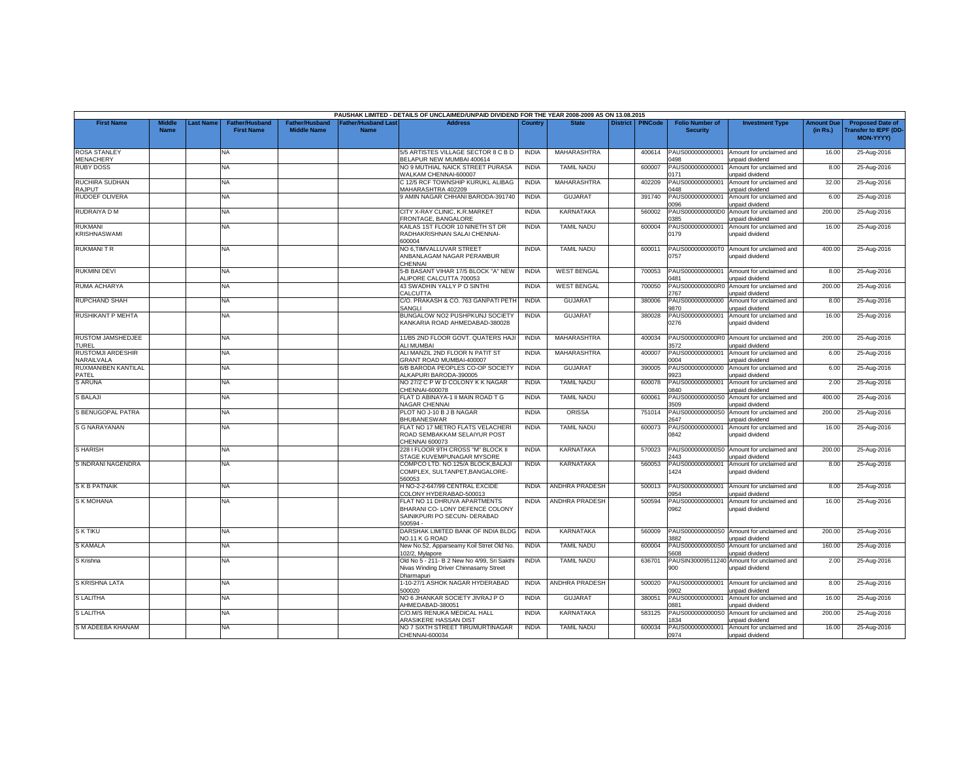|                                          |                              |                  |                                     |                                             |                                           | PAUSHAK LIMITED - DETAILS OF UNCLAIMED/UNPAID DIVIDEND FOR THE YEAR 2008-2009 AS ON 13.08.2015              |              |                       |                    |                                           |                                                              |                               |                                                                     |
|------------------------------------------|------------------------------|------------------|-------------------------------------|---------------------------------------------|-------------------------------------------|-------------------------------------------------------------------------------------------------------------|--------------|-----------------------|--------------------|-------------------------------------------|--------------------------------------------------------------|-------------------------------|---------------------------------------------------------------------|
| <b>First Name</b>                        | <b>Middle</b><br><b>Name</b> | <b>Last Name</b> | Father/Husband<br><b>First Name</b> | <b>Father/Husband</b><br><b>Middle Name</b> | <b>Father/Husband Last</b><br><b>Name</b> | Address                                                                                                     | Country      | <b>State</b>          | District   PINCode | <b>Folio Number of</b><br><b>Security</b> | <b>Investment Type</b>                                       | <b>Amount Due</b><br>(in Rs.) | <b>Proposed Date of</b><br><b>Transfer to IEPF (DD</b><br>MON-YYYY) |
| <b>ROSA STANLEY</b><br>MENACHERY         |                              |                  | <b>NA</b>                           |                                             |                                           | 5/5 ARTISTES VILLAGE SECTOR 8 C B D<br>BELAPUR NEW MUMBAI 400614                                            | <b>INDIA</b> | <b>MAHARASHTRA</b>    | 400614             | PAUS000000000001<br>0498                  | Amount for unclaimed and<br>unpaid dividend                  | 16.00                         | 25-Aug-2016                                                         |
| <b>RUBY DOSS</b>                         |                              |                  | NA                                  |                                             |                                           | NO 9 MUTHIAL NAICK STREET PURASA<br>WALKAM CHENNAI-600007                                                   | <b>INDIA</b> | <b>TAMIL NADU</b>     | 600007             | PAUS000000000001<br>0171                  | Amount for unclaimed and<br>unpaid dividend                  | 8.00                          | 25-Aug-2016                                                         |
| <b>RUCHIRA SUDHAN</b><br><b>RAJPUT</b>   |                              |                  | NA                                  |                                             |                                           | C 12/5 RCF TOWNSHIP KURUKL ALIBAG<br>MAHARASHTRA 402209                                                     | <b>INDIA</b> | MAHARASHTRA           | 402209             | PAUS000000000001<br>1448                  | Amount for unclaimed and<br>unpaid dividend                  | 32.00                         | 25-Aug-2016                                                         |
| <b>RUDOEF OLIVERA</b>                    |                              |                  | NA                                  |                                             |                                           | 9 AMIN NAGAR CHHANI BARODA-391740                                                                           | <b>INDIA</b> | <b>GUJARAT</b>        | 391740             | PAUS000000000001<br>1096                  | Amount for unclaimed and<br>unpaid dividend                  | 6.00                          | 25-Aug-2016                                                         |
| RUDRAIYA D M                             |                              |                  | NA                                  |                                             |                                           | CITY X-RAY CLINIC, K.R.MARKET<br>RONTAGE, BANGALORE                                                         | <b>INDIA</b> | KARNATAKA             | 560002             | PAUS0000000000D0<br>385                   | Amount for unclaimed and<br>unpaid dividend                  | 200.00                        | 25-Aug-2016                                                         |
| <b>RUKMANI</b><br><b>KRISHNASWAMI</b>    |                              |                  | NA                                  |                                             |                                           | KAILAS 1ST FLOOR 10 NINETH ST DR<br>RADHAKRISHNAN SALAI CHENNAI-<br>600004                                  | <b>INDIA</b> | <b>TAMIL NADU</b>     | 600004             | PAUS000000000001<br>0179                  | Amount for unclaimed and<br>unpaid dividend                  | 16.00                         | 25-Aug-2016                                                         |
| <b>RUKMANITR</b>                         |                              |                  | NA                                  |                                             |                                           | NO 6, TIMVALLUVAR STREET<br>ANBANLAGAM NAGAR PERAMBUR<br><b>HENNAL</b>                                      | <b>INDIA</b> | <b>TAMIL NADU</b>     | 600011             | PAUS0000000000T0<br>0757                  | Amount for unclaimed and<br>unpaid dividend                  | 400.00                        | 25-Aug-2016                                                         |
| <b>RUKMINI DEVI</b>                      |                              |                  | NA                                  |                                             |                                           | 5-B BASANT VIHAR 17/5 BLOCK "A" NEW<br>ALIPORE CALCUTTA 700053                                              | <b>INDIA</b> | <b>WEST BENGAL</b>    | 700053             | PAUS000000000001<br>1481                  | Amount for unclaimed and<br>unpaid dividend                  | 8.00                          | 25-Aug-2016                                                         |
| RUMA ACHARYA                             |                              |                  | NA.                                 |                                             |                                           | 43 SWADHIN YALLY P O SINTHI<br>CALCUTTA                                                                     | <b>INDIA</b> | <b>WEST BENGAL</b>    | 700050             | PAUS0000000000R0<br>2767                  | Amount for unclaimed and<br>unpaid dividend                  | 200.00                        | 25-Aug-2016                                                         |
| <b>RUPCHAND SHAH</b>                     |                              |                  | NA                                  |                                             |                                           | C/O. PRAKASH & CO. 763 GANPATI PETH<br>SANGLI                                                               | <b>INDIA</b> | <b>GUJARAT</b>        | 380006             | PAUS000000000000<br>9870                  | Amount for unclaimed and<br>unpaid dividend                  | 8.00                          | 25-Aug-2016                                                         |
| <b>RUSHIKANT P MEHTA</b>                 |                              |                  | NA                                  |                                             |                                           | BUNGALOW NO2 PUSHPKUNJ SOCIETY<br>KANKARIA ROAD AHMEDABAD-380028                                            | <b>INDIA</b> | GUJARAT               | 380028             | PAUS000000000001<br>0276                  | Amount for unclaimed and<br>unpaid dividend                  | 16.00                         | 25-Aug-2016                                                         |
| <b>RUSTOM JAMSHEDJEE</b><br><b>TUREL</b> |                              |                  | NA                                  |                                             |                                           | 11/B5 2ND FLOOR GOVT, QUATERS HAJI<br><b>LI MUMBAI</b>                                                      | <b>INDIA</b> | MAHARASHTRA           | 400034             | PAUS0000000000R0<br>3572                  | Amount for unclaimed and<br>unpaid dividend                  | 200.00                        | 25-Aug-2016                                                         |
| <b>RUSTOMJI ARDESHIR</b><br>NARAILVALA   |                              |                  | NA.                                 |                                             |                                           | ALI MANZIL 2ND FLOOR N PATIT ST<br>GRANT ROAD MUMBAI-400007                                                 | <b>INDIA</b> | <b>MAHARASHTRA</b>    | 400007             | PAUS000000000001<br>0004                  | Amount for unclaimed and<br>unpaid dividend                  | 6.00                          | 25-Aug-2016                                                         |
| RUXMANIBEN KANTILAL<br>PATEL             |                              |                  | NA                                  |                                             |                                           | 6/B BARODA PEOPLES CO-OP SOCIETY<br>ALKAPURI BARODA-390005                                                  | <b>INDIA</b> | <b>GUJARAT</b>        | 390005             | PAUS000000000000<br>9923                  | Amount for unclaimed and<br>unpaid dividend                  | 6.00                          | 25-Aug-2016                                                         |
| <b>S ARUNA</b>                           |                              |                  | NA                                  |                                             |                                           | NO 27/2 C P W D COLONY K K NAGAR<br>CHENNAI-600078                                                          | <b>INDIA</b> | <b>TAMIL NADU</b>     | 600078             | PAUS000000000001<br>0840                  | Amount for unclaimed and<br>unpaid dividend                  | 2.00                          | 25-Aug-2016                                                         |
| S BALAJI                                 |                              |                  | NA.                                 |                                             |                                           | FLAT D ABINAYA-1 II MAIN ROAD T G<br><b>NAGAR CHENNAI</b>                                                   | <b>INDIA</b> | <b>TAMIL NADU</b>     | 600061             | PAUS0000000000S0<br>3509                  | Amount for unclaimed and<br>unpaid dividend                  | 400.00                        | 25-Aug-2016                                                         |
| S BENUGOPAL PATRA                        |                              |                  | NA                                  |                                             |                                           | PLOT NO J-10 B J B NAGAR<br><b>BHUBANESWAR</b>                                                              | <b>INDIA</b> | <b>ORISSA</b>         | 751014             | PAUS0000000000S0<br>2647                  | Amount for unclaimed and<br>unpaid dividend                  | 200.00                        | 25-Aug-2016                                                         |
| <b>S G NARAYANAN</b>                     |                              |                  | NA                                  |                                             |                                           | FLAT NO 17 METRO FLATS VELACHERI<br>ROAD SEMBAKKAM SELAIYUR POST<br>CHENNAI 600073                          | <b>INDIA</b> | <b>TAMIL NADU</b>     | 600073             | PAUS000000000001<br>0842                  | Amount for unclaimed and<br>unpaid dividend                  | 16.00                         | 25-Aug-2016                                                         |
| <b>S HARISH</b>                          |                              |                  | NA                                  |                                             |                                           | 228 I FLOOR 9TH CROSS "M" BLOCK II<br>STAGE KUVEMPUNAGAR MYSORE                                             | <b>INDIA</b> | KARNATAKA             | 570023             | PAUS0000000000S0<br>:443                  | Amount for unclaimed and<br><b>inpaid dividend</b>           | 200.00                        | 25-Aug-2016                                                         |
| S INDRANI NAGENDRA                       |                              |                  | NA.                                 |                                             |                                           | COMPCO LTD. NO.125/A BLOCK.BALAJI<br>COMPLEX, SULTANPET, BANGALORE-<br>560053                               | <b>INDIA</b> | KARNATAKA             | 560053             | PAUS000000000001<br>424                   | Amount for unclaimed and<br>unpaid dividend                  | 8.00                          | 25-Aug-2016                                                         |
| <b>SKB PATNAIK</b>                       |                              |                  | NA                                  |                                             |                                           | H NO-2-2-647/99 CENTRAL EXCIDE<br>COLONY HYDERABAD-500013                                                   | <b>INDIA</b> | <b>ANDHRA PRADESH</b> | 500013             | PAUS000000000001<br>0954                  | Amount for unclaimed and<br>unpaid dividend                  | 8.00                          | 25-Aug-2016                                                         |
| <b>S K MOHANA</b>                        |                              |                  | NA                                  |                                             |                                           | FLAT NO 11 DHRUVA APARTMENTS<br>BHARANI CO- LONY DEFENCE COLONY<br>SAINIKPURI PO SECUN- DERABAD<br>500594 - | <b>INDIA</b> | <b>ANDHRA PRADESH</b> | 500594             | PAUS000000000001<br>0962                  | Amount for unclaimed and<br>unpaid dividend                  | 16.00                         | 25-Aug-2016                                                         |
| <b>S K TIKU</b>                          |                              |                  | NA.                                 |                                             |                                           | DARSHAK LIMITED BANK OF INDIA BLDG<br><b>VO.11 K G ROAD</b>                                                 | <b>INDIA</b> | <b>KARNATAKA</b>      | 560009             | 882                                       | PAUS0000000000S0 Amount for unclaimed and<br>unpaid dividend | 200.00                        | 25-Aug-2016                                                         |
| <b>S KAMALA</b>                          |                              |                  | NA                                  |                                             |                                           | New No.52, Apparseamy Koil Strret Old No<br>102/2, Mylapore                                                 | <b>INDIA</b> | <b>TAMIL NADU</b>     | 600004             | PAUS0000000000S0<br>5608                  | Amount for unclaimed and<br>unpaid dividend                  | 160.00                        | 25-Aug-2016                                                         |
| S Krishna                                |                              |                  | NA                                  |                                             |                                           | Old No 5 - 211- B 2 New No 4/99, Sri Sakth<br>Nivas Winding Driver Chinnasamy Street<br>Dharmapuri          | <b>INDIA</b> | <b>TAMIL NADU</b>     | 636701             | PAUSIN3000951124<br>900                   | Amount for unclaimed and<br>unpaid dividend                  | 2.00                          | 25-Aug-2016                                                         |
| S KRISHNA LATA                           |                              |                  | NA                                  |                                             |                                           | 1-10-27/1 ASHOK NAGAR HYDERABAD<br>500020                                                                   | <b>INDIA</b> | ANDHRA PRADESH        | 500020             | PAUS000000000001<br>1902                  | Amount for unclaimed and<br><b>Inpaid dividend</b>           | 8.00                          | 25-Aug-2016                                                         |
| <b>S LALITHA</b>                         |                              |                  | NA                                  |                                             |                                           | NO 6 JHANKAR SOCIETY JIVRAJ P O<br>HMEDABAD-380051                                                          | <b>INDIA</b> | GUJARAT               | 380051             | PAUS000000000001<br>881                   | Amount for unclaimed and<br>unpaid dividend                  | 16.00                         | 25-Aug-2016                                                         |
| <b>S LALITHA</b>                         |                              |                  | NA                                  |                                             |                                           | C/O.M/S RENUKA MEDICAL HALL<br><b>ARASIKERE HASSAN DIST</b>                                                 | <b>INDIA</b> | KARNATAKA             | 583125             | PAUS0000000000S0<br>834                   | Amount for unclaimed and<br>unpaid dividend                  | 200.00                        | 25-Aug-2016                                                         |
| S M ADEEBA KHANAM                        |                              |                  | NA                                  |                                             |                                           | NO 7 SIXTH STREET TIRUMURTINAGAR<br>CHENNAI-600034                                                          | <b>INDIA</b> | <b>TAMIL NADU</b>     | 600034             | PAUS000000000001<br>0974                  | Amount for unclaimed and<br>unpaid dividend                  | 16.00                         | 25-Aug-2016                                                         |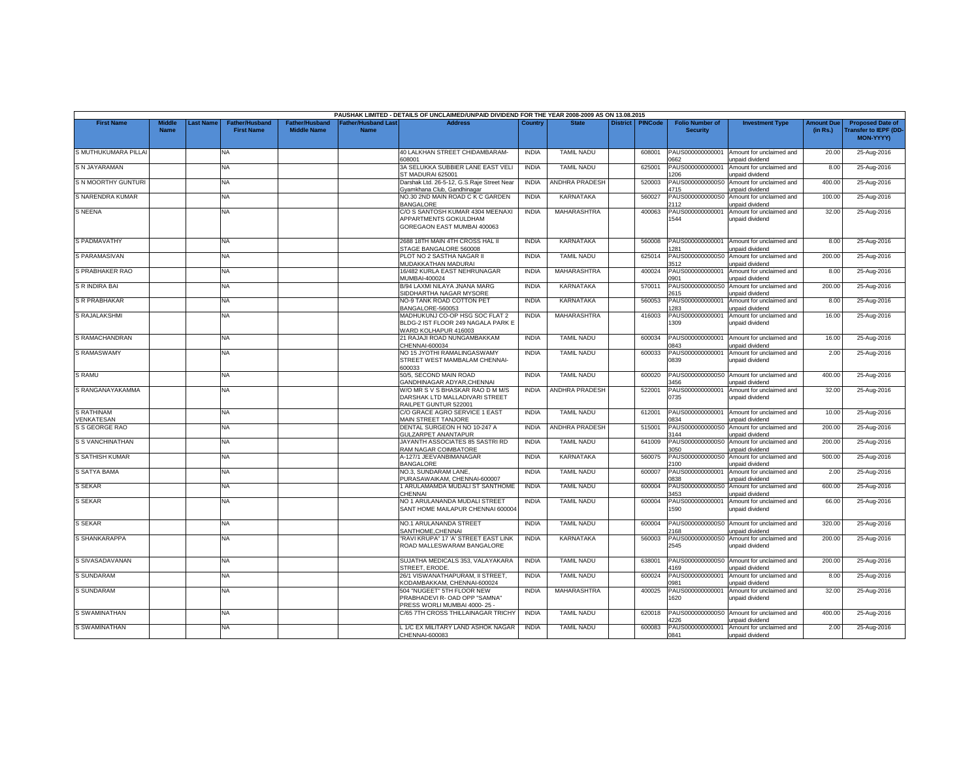|                                 |                              |          |                                            |                                      |                                           | PAUSHAK LIMITED - DETAILS OF UNCLAIMED/UNPAID DIVIDEND FOR THE YEAR 2008-2009 AS ON 13.08.2015  |              |                       |                 |                |                                           |                                                    |                               |                                                                     |
|---------------------------------|------------------------------|----------|--------------------------------------------|--------------------------------------|-------------------------------------------|-------------------------------------------------------------------------------------------------|--------------|-----------------------|-----------------|----------------|-------------------------------------------|----------------------------------------------------|-------------------------------|---------------------------------------------------------------------|
| <b>First Name</b>               | <b>Middle</b><br><b>Name</b> | ast Name | <b>Father/Husband</b><br><b>First Name</b> | Father/Husband<br><b>Middle Name</b> | <b>Father/Husband Last</b><br><b>Name</b> | <b>Address</b>                                                                                  | Country      | <b>State</b>          | <b>District</b> | <b>PINCode</b> | <b>Folio Number of</b><br><b>Security</b> | <b>Investment Type</b>                             | <b>Amount Due</b><br>(in Rs.) | <b>Proposed Date of</b><br><b>Transfer to IEPF (DD</b><br>MON-YYYY) |
| S MUTHUKUMARA PILLAI            |                              |          | NA.                                        |                                      |                                           | 40 LALKHAN STREET CHIDAMBARAM-<br>608001                                                        | <b>INDIA</b> | <b>TAMIL NADU</b>     |                 | 608001         | PAUS000000000001<br>0662                  | Amount for unclaimed and<br>unpaid dividend        | 20.00                         | 25-Aug-2016                                                         |
| S N JAYARAMAN                   |                              |          | NA                                         |                                      |                                           | 3A SELUKKA SUBBIER LANE EAST VELI<br>ST MADURAI 625001                                          | <b>INDIA</b> | <b>TAMIL NADU</b>     |                 | 625001         | PAUS000000000001<br>206                   | Amount for unclaimed and<br>unpaid dividend        | 8.00                          | 25-Aug-2016                                                         |
| S N MOORTHY GUNTURI             |                              |          | NA                                         |                                      |                                           | Darshak Ltd. 26-5-12, G.S.Raje Street Near<br><b>Syamkhana Club, Gandhinagar</b>                | <b>INDIA</b> | ANDHRA PRADESH        |                 | 520003         | PAUS0000000000S0<br>1715                  | Amount for unclaimed and<br>inpaid dividend        | 400.00                        | 25-Aug-2016                                                         |
| S NARENDRA KUMAR                |                              |          | NA                                         |                                      |                                           | <b>VO.30 2ND MAIN ROAD C K C GARDEN</b><br><b>BANGALORE</b>                                     | <b>INDIA</b> | KARNATAKA             |                 | 560027         | PAUS0000000000S0<br>2112                  | Amount for unclaimed and<br>unpaid dividend        | 100.00                        | 25-Aug-2016                                                         |
| <b>S NEENA</b>                  |                              |          | <b>NA</b>                                  |                                      |                                           | C/O S SANTOSH KUMAR 4304 MEENAXI<br><b>APPARTMENTS GOKULDHAM</b><br>GOREGAON EAST MUMBAI 400063 | <b>INDIA</b> | MAHARASHTRA           |                 | 400063         | PAUS000000000001<br>1544                  | Amount for unclaimed and<br>unpaid dividend        | 32.00                         | 25-Aug-2016                                                         |
| S PADMAVATHY                    |                              |          | NA                                         |                                      |                                           | 2688 18TH MAIN 4TH CROSS HAL II<br>STAGE BANGALORE 560008                                       | <b>INDIA</b> | KARNATAKA             |                 | 560008         | PAUS000000000001<br>281                   | Amount for unclaimed and<br><b>Inpaid dividend</b> | 8.00                          | 25-Aug-2016                                                         |
| S PARAMASIVAN                   |                              |          | NA                                         |                                      |                                           | PLOT NO 2 SASTHA NAGAR II<br>MUDAKKATHAN MADURAI                                                | <b>INDIA</b> | <b>TAMIL NADU</b>     |                 | 625014         | PAUS0000000000S0<br>3512                  | Amount for unclaimed and<br>unpaid dividend        | 200.00                        | 25-Aug-2016                                                         |
| S PRABHAKER RAO                 |                              |          | NA                                         |                                      |                                           | 16/482 KURLA EAST NEHRUNAGAR<br>MUMBAI-400024                                                   | <b>INDIA</b> | <b>MAHARASHTRA</b>    |                 | 400024         | PAUS000000000001<br>0901                  | Amount for unclaimed and<br>unpaid dividend        | 8.00                          | 25-Aug-2016                                                         |
| S R INDIRA BAI                  |                              |          | NA.                                        |                                      |                                           | B/94 LAXMI NILAYA JNANA MARG<br>SIDDHARTHA NAGAR MYSORE                                         | <b>INDIA</b> | <b>KARNATAKA</b>      |                 | 570011         | PAUS0000000000S0<br>2615                  | Amount for unclaimed and<br>unpaid dividend        | 200.00                        | 25-Aug-2016                                                         |
| S R PRABHAKAR                   |                              |          | NA                                         |                                      |                                           | NO-9 TANK ROAD COTTON PET<br>BANGALORE-560053                                                   | <b>INDIA</b> | <b>KARNATAKA</b>      |                 | 560053         | PAUS000000000001<br>283                   | Amount for unclaimed and<br>unpaid dividend        | 8.00                          | 25-Aug-2016                                                         |
| S RAJALAKSHMI                   |                              |          | NA.                                        |                                      |                                           | MADHUKUNJ CO-OP HSG SOC FLAT 2<br>BLDG-2 IST FLOOR 249 NAGALA PARK E<br>VARD KOLHAPUR 416003    | <b>INDIA</b> | MAHARASHTRA           |                 | 416003         | PAUS000000000001<br>1309                  | Amount for unclaimed and<br>unpaid dividend        | 16.00                         | 25-Aug-2016                                                         |
| S RAMACHANDRAN                  |                              |          | NA                                         |                                      |                                           | 21 RAJAJI ROAD NUNGAMBAKKAM<br>CHENNAI-600034                                                   | <b>INDIA</b> | <b>TAMIL NADU</b>     |                 | 600034         | PAUS000000000001<br>0843                  | Amount for unclaimed and<br>unpaid dividend        | 16.00                         | 25-Aug-2016                                                         |
| <b>S RAMASWAMY</b>              |                              |          | NA.                                        |                                      |                                           | NO 15 JYOTHI RAMALINGASWAMY<br>STREET WEST MAMBALAM CHENNAI-<br>600033                          | <b>INDIA</b> | <b>TAMIL NADU</b>     |                 | 600033         | PAUS000000000001<br>0839                  | Amount for unclaimed and<br>unpaid dividend        | 2.00                          | 25-Aug-2016                                                         |
| S RAMU                          |                              |          | ΝA                                         |                                      |                                           | 50/5, SECOND MAIN ROAD<br><b>GANDHINAGAR ADYAR, CHENNAI</b>                                     | <b>INDIA</b> | <b>TAMIL NADU</b>     |                 | 600020         | PAUS0000000000S0<br>3456                  | Amount for unclaimed and<br><b>Inpaid dividend</b> | 400.00                        | 25-Aug-2016                                                         |
| S RANGANAYAKAMMA                |                              |          | NA                                         |                                      |                                           | W/O MR S V S BHASKAR RAO D M M/S<br>DARSHAK LTD MALLADIVARI STREET<br>RAILPET GUNTUR 522001     | <b>INDIA</b> | <b>ANDHRA PRADESH</b> |                 | 522001         | PAUS000000000001<br>0735                  | Amount for unclaimed and<br>unpaid dividend        | 32.00                         | 25-Aug-2016                                                         |
| <b>S RATHINAM</b><br>VENKATESAN |                              |          | NA.                                        |                                      |                                           | C/O GRACE AGRO SERVICE 1 EAST<br>MAIN STREET TANJORE                                            | <b>INDIA</b> | <b>TAMIL NADU</b>     |                 | 612001         | PAUS000000000001<br>0834                  | Amount for unclaimed and<br>unpaid dividend        | 10.00                         | 25-Aug-2016                                                         |
| S S GEORGE RAO                  |                              |          | NA                                         |                                      |                                           | DENTAL SURGEON H NO 10-247 A<br>GULZARPET ANANTAPUR                                             | <b>INDIA</b> | <b>ANDHRA PRADESH</b> |                 | 515001         | PAUS0000000000S0<br>3144                  | Amount for unclaimed and<br>unpaid dividend        | 200.00                        | 25-Aug-2016                                                         |
| S S VANCHINATHAN                |                              |          | NA                                         |                                      |                                           | JAYANTH ASSOCIATES 85 SASTRI RD<br>RAM NAGAR COIMBATORE                                         | INDIA        | <b>TAMIL NADU</b>     |                 | 641009         | PAUS0000000000S0<br>050                   | Amount for unclaimed and<br><b>Inpaid dividend</b> | 200.00                        | 25-Aug-2016                                                         |
| S SATHISH KUMAR                 |                              |          | NA                                         |                                      |                                           | <b>A-127/1 JEEVANBIMANAGAR</b><br><b>BANGALORE</b>                                              | <b>INDIA</b> | KARNATAKA             |                 | 560075         | PAUS0000000000S0<br>2100                  | Amount for unclaimed and<br>unpaid dividend        | 500.00                        | 25-Aug-2016                                                         |
| S SATYA BAMA                    |                              |          | NA                                         |                                      |                                           | NO.3, SUNDARAM LANE,<br><b>URASAWAIKAM, CHENNAI-600007</b>                                      | <b>INDIA</b> | <b>TAMIL NADU</b>     |                 | 600007         | PAUS000000000001<br>0838                  | Amount for unclaimed and<br>unpaid dividend        | 2.00                          | 25-Aug-2016                                                         |
| <b>S SEKAR</b>                  |                              |          | NA.                                        |                                      |                                           | 1 ARULAMAMDA MUDALI ST SANTHOME<br>CHENNAI                                                      | <b>INDIA</b> | <b>TAMIL NADU</b>     |                 | 600004         | PAUS0000000000S0<br>3453                  | Amount for unclaimed and<br>unpaid dividend        | 600.00                        | 25-Aug-2016                                                         |
| S SEKAR                         |                              |          | NA                                         |                                      |                                           | NO 1 ARULANANDA MUDALI STREET<br>SANT HOME MAILAPUR CHENNAI 600004                              | <b>INDIA</b> | <b>TAMIL NADU</b>     |                 | 600004         | PAUS000000000001<br>1590                  | Amount for unclaimed and<br>unpaid dividend        | 66.00                         | 25-Aug-2016                                                         |
| <b>S SEKAR</b>                  |                              |          | NA                                         |                                      |                                           | NO.1 ARULANANDA STREET<br>SANTHOME.CHENNAI                                                      | <b>INDIA</b> | <b>TAMIL NADU</b>     |                 | 600004         | PAUS0000000000S0<br>2168                  | Amount for unclaimed and<br>unpaid dividend        | 320.00                        | 25-Aug-2016                                                         |
| S SHANKARAPPA                   |                              |          | NA                                         |                                      |                                           | "RAVI KRUPA" 17 'A' STREET EAST LINK<br>ROAD MALLESWARAM BANGALORE                              | <b>INDIA</b> | KARNATAKA             |                 | 560003         | PAUS0000000000S0<br>2545                  | Amount for unclaimed and<br>unpaid dividend        | 200.00                        | 25-Aug-2016                                                         |
| S SIVASADAVANAN                 |                              |          | <b>NA</b>                                  |                                      |                                           | SUJATHA MEDICALS 353, VALAYAKARA<br>STREET, ERODE                                               | <b>INDIA</b> | <b>TAMIL NADU</b>     |                 | 638001         | PAUS0000000000S0<br>4169                  | Amount for unclaimed and<br>unpaid dividend        | 200.00                        | 25-Aug-2016                                                         |
| S SUNDARAM                      |                              |          | NA                                         |                                      |                                           | 26/1 VISWANATHAPURAM, II STREET,<br>(ODAMBAKKAM, CHENNAI-600024                                 | <b>INDIA</b> | <b>TAMIL NADU</b>     |                 | 600024         | PAUS000000000001<br>1981                  | Amount for unclaimed and<br>inpaid dividend        | 8.00                          | 25-Aug-2016                                                         |
| <b>S SUNDARAM</b>               |                              |          | <b>NA</b>                                  |                                      |                                           | 504 "NUGEET" 5TH FLOOR NEW<br>PRABHADEVI R- OAD OPP "SAMNA"<br>PRESS WORLI MUMBAI 4000-25 -     | <b>INDIA</b> | <b>MAHARASHTRA</b>    |                 | 400025         | PAUS000000000001<br>1620                  | Amount for unclaimed and<br>unpaid dividend        | 32.00                         | 25-Aug-2016                                                         |
| S SWAMINATHAN                   |                              |          | <b>NA</b>                                  |                                      |                                           | C/65 7TH CROSS THILLAINAGAR TRICHY                                                              | <b>INDIA</b> | <b>TAMIL NADU</b>     |                 | 620018         | PAUS0000000000S0<br>4226                  | Amount for unclaimed and<br>unpaid dividend        | 400.00                        | 25-Aug-2016                                                         |
| S SWAMINATHAN                   |                              |          | NA                                         |                                      |                                           | L 1/C EX MILITARY LAND ASHOK NAGAR<br>CHENNAI-600083                                            | <b>INDIA</b> | <b>TAMIL NADU</b>     |                 | 600083         | PAUS000000000001<br>0841                  | Amount for unclaimed and<br>unpaid dividend        | 2.00                          | 25-Aug-2016                                                         |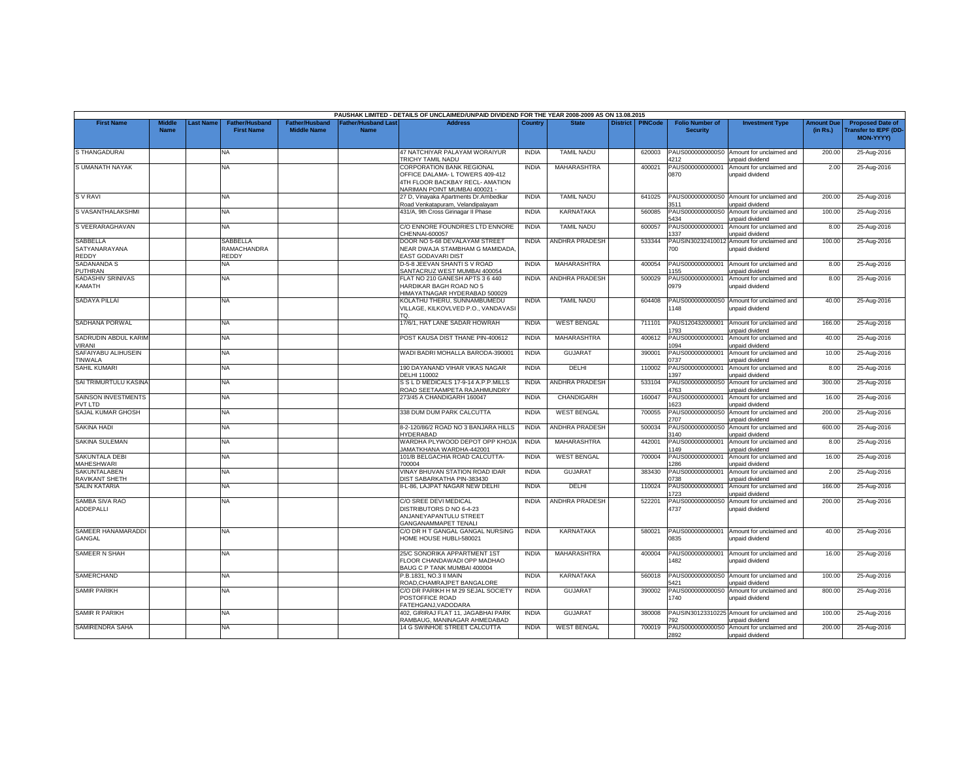|                                           |                              |                 |                                            |                                             |                                          | PAUSHAK LIMITED - DETAILS OF UNCLAIMED/UNPAID DIVIDEND FOR THE YEAR 2008-2009 AS ON 13.08.2015                                                 |              |                       |                 |                |                                           |                                                               |                               |                                                                            |
|-------------------------------------------|------------------------------|-----------------|--------------------------------------------|---------------------------------------------|------------------------------------------|------------------------------------------------------------------------------------------------------------------------------------------------|--------------|-----------------------|-----------------|----------------|-------------------------------------------|---------------------------------------------------------------|-------------------------------|----------------------------------------------------------------------------|
| <b>First Name</b>                         | <b>Middle</b><br><b>Name</b> | <b>ast Name</b> | <b>Father/Husband</b><br><b>First Name</b> | <b>Father/Husband</b><br><b>Middle Name</b> | <b>Father/Husband Las</b><br><b>Name</b> | <b>Address</b>                                                                                                                                 | Country      | <b>State</b>          | <b>District</b> | <b>PINCode</b> | <b>Folio Number of</b><br><b>Security</b> | <b>Investment Type</b>                                        | <b>Amount Due</b><br>(in Rs.) | <b>Proposed Date of</b><br><b>Transfer to IEPF (DD</b><br><b>MON-YYYY)</b> |
| <b>S THANGADURAI</b>                      |                              |                 | <b>NA</b>                                  |                                             |                                          | 47 NATCHIYAR PALAYAM WORAIYUR<br>TRICHY TAMIL NADU                                                                                             | <b>INDIA</b> | <b>TAMIL NADU</b>     |                 | 620003         | PAUS0000000000S0<br>4212                  | Amount for unclaimed and<br>unpaid dividend                   | 200.00                        | 25-Aug-2016                                                                |
| S UMANATH NAYAK                           |                              |                 | <b>NA</b>                                  |                                             |                                          | <b>CORPORATION BANK REGIONAL</b><br>OFFICE DALAMA- L TOWERS 409-412<br>4TH FLOOR BACKBAY RECL- AMATION<br><b>VARIMAN POINT MUMBAI 400021 -</b> | <b>INDIA</b> | MAHARASHTRA           |                 | 400021         | PAUS000000000001<br>0870                  | Amount for unclaimed and<br>unpaid dividend                   | 2.00                          | 25-Aug-2016                                                                |
| <b>SVRAVI</b>                             |                              |                 | <b>NA</b>                                  |                                             |                                          | 27 D, Vinayaka Apartments Dr.Ambedkar<br>Road Venkatapuram, Velandipalayam                                                                     | <b>INDIA</b> | <b>TAMIL NADU</b>     |                 | 641025         | PAUS0000000000S0<br>3511                  | Amount for unclaimed and<br>unpaid dividend                   | 200.00                        | 25-Aug-2016                                                                |
| S VASANTHALAKSHMI                         |                              |                 | <b>NA</b>                                  |                                             |                                          | 431/A, 9th Cross Girinagar II Phase                                                                                                            | <b>INDIA</b> | <b>KARNATAKA</b>      |                 | 560085         | PAUS0000000000S0<br>5434                  | Amount for unclaimed and<br>unpaid dividend                   | 100.00                        | 25-Aug-2016                                                                |
| S VEERARAGHAVAN                           |                              |                 | NA.                                        |                                             |                                          | C/O ENNORE FOUNDRIES LTD ENNORE<br>CHENNAI-600057                                                                                              | <b>INDIA</b> | <b>TAMIL NADU</b>     |                 | 600057         | PAUS000000000001<br>337                   | Amount for unclaimed and<br>unpaid dividend                   | 8.00                          | 25-Aug-2016                                                                |
| SABBELLA<br>SATYANARAYANA<br><b>REDDY</b> |                              |                 | SABBELLA<br>RAMACHANDRA<br><b>REDDY</b>    |                                             |                                          | DOOR NO 5-68 DEVALAYAM STREET<br>NEAR DWAJA STAMBHAM G MAMIDADA.<br>EAST GODAVARI DIST                                                         | <b>INDIA</b> | <b>ANDHRA PRADESH</b> |                 | 533344         | 700                                       | PAUSIN30232410012 Amount for unclaimed and<br>unpaid dividend | 100.00                        | 25-Aug-2016                                                                |
| <b>SADANANDA S</b><br>PUTHRAN             |                              |                 | NA                                         |                                             |                                          | D-5-8 JEEVAN SHANTI S V ROAD<br>SANTACRUZ WEST MUMBAI 400054                                                                                   | <b>INDIA</b> | MAHARASHTRA           |                 | 400054         | PAUS000000000001<br>155                   | Amount for unclaimed and<br>unpaid dividend                   | 8.00                          | 25-Aug-2016                                                                |
| SADASHIV SRINIVAS<br>KAMATH               |                              |                 | <b>NA</b>                                  |                                             |                                          | FLAT NO 210 GANESH APTS 3 6 440<br>HARDIKAR BAGH ROAD NO 5<br>HIMAYATNAGAR HYDERABAD 500029                                                    | <b>INDIA</b> | ANDHRA PRADESH        |                 | 500029         | PAUS000000000001<br>0979                  | Amount for unclaimed and<br>unpaid dividend                   | 8.00                          | 25-Aug-2016                                                                |
| <b>SADAYA PILLAI</b>                      |                              |                 | <b>NA</b>                                  |                                             |                                          | KOLATHU THERU, SUNNAMBUMEDU<br>VILLAGE, KILKOVLVED P.O., VANDAVASI<br>т∩                                                                       | <b>INDIA</b> | <b>TAMIL NADU</b>     |                 | 604408         | PAUS0000000000S0<br>148                   | Amount for unclaimed and<br>unpaid dividend                   | 40.00                         | 25-Aug-2016                                                                |
| SADHANA PORWAL                            |                              |                 | <b>NA</b>                                  |                                             |                                          | 17/6/1. HAT LANE SADAR HOWRAH                                                                                                                  | <b>INDIA</b> | <b>WEST BENGAL</b>    |                 | 711101         | PAUS120432000001<br>793                   | Amount for unclaimed and<br>unpaid dividend                   | 166.00                        | 25-Aug-2016                                                                |
| SADRUDIN ABDUL KARIM<br>/IRANI            |                              |                 | NA                                         |                                             |                                          | POST KAUSA DIST THANE PIN-400612                                                                                                               | <b>INDIA</b> | MAHARASHTRA           |                 | 400612         | PAUS000000000001<br>094                   | Amount for unclaimed and<br>unpaid dividend                   | 40.00                         | 25-Aug-2016                                                                |
| SAFAIYABU ALIHUSEIN<br><b>TINWALA</b>     |                              |                 | NA.                                        |                                             |                                          | WADI BADRI MOHALLA BARODA-39000                                                                                                                | <b>INDIA</b> | <b>GUJARAT</b>        |                 | 390001         | PAUS000000000001<br>)737                  | Amount for unclaimed and<br>unpaid dividend                   | 10.00                         | 25-Aug-2016                                                                |
| <b>SAHIL KUMARI</b>                       |                              |                 | NA.                                        |                                             |                                          | 190 DAYANAND VIHAR VIKAS NAGAR<br>DELHI 110002                                                                                                 | <b>INDIA</b> | DELHI                 |                 | 110002         | PAUS000000000001<br>397                   | Amount for unclaimed and<br>unpaid dividend                   | 8.00                          | 25-Aug-2016                                                                |
| SAI TRIMURTULU KASINA                     |                              |                 | <b>NA</b>                                  |                                             |                                          | S S L D MEDICALS 17-9-14 A.P.P.MILLS<br>ROAD SEETAAMPETA RAJAHMUNDRY                                                                           | <b>INDIA</b> | <b>ANDHRA PRADESH</b> |                 | 533104         | PAUS0000000000S0<br>1763                  | Amount for unclaimed and<br><b>Inpaid dividend</b>            | 300.00                        | 25-Aug-2016                                                                |
| <b>SAINSON INVESTMENTS</b><br>PVT LTD     |                              |                 | NA.                                        |                                             |                                          | 273/45 A CHANDIGARH 160047                                                                                                                     | <b>INDIA</b> | CHANDIGARH            |                 | 160047         | PAUS000000000001<br>623                   | Amount for unclaimed and<br>unpaid dividend                   | 16.00                         | 25-Aug-2016                                                                |
| SAJAL KUMAR GHOSH                         |                              |                 | NA                                         |                                             |                                          | 338 DUM DUM PARK CALCUTTA                                                                                                                      | <b>INDIA</b> | <b>WEST BENGAL</b>    |                 | 700055         | PAUS0000000000S0<br>2707                  | Amount for unclaimed and<br>unpaid dividend                   | 200.00                        | 25-Aug-2016                                                                |
| <b>SAKINA HADI</b>                        |                              |                 | <b>NA</b>                                  |                                             |                                          | 8-2-120/86/2 ROAD NO 3 BANJARA HILLS<br>HYDERABAD                                                                                              | <b>INDIA</b> | <b>ANDHRA PRADESH</b> |                 | 500034         | PAUS0000000000S<br>3140                   | Amount for unclaimed and<br>unpaid dividend                   | 600.00                        | 25-Aug-2016                                                                |
| <b>SAKINA SULEMAN</b>                     |                              |                 | <b>NA</b>                                  |                                             |                                          | WARDHA PLYWOOD DEPOT OPP KHOJA<br>AMATKHANA WARDHA-442001                                                                                      | <b>INDIA</b> | <b>MAHARASHTRA</b>    |                 | 442001         | PAUS000000000001<br>149                   | Amount for unclaimed and<br>unpaid dividend                   | 8.00                          | 25-Aug-2016                                                                |
| SAKUNTALA DEBI<br><b>MAHESHWARI</b>       |                              |                 | <b>NA</b>                                  |                                             |                                          | 101/B BELGACHIA ROAD CALCUTTA-<br>00004                                                                                                        | <b>INDIA</b> | <b>WEST BENGAL</b>    |                 | 700004         | PAUS000000000001<br>286                   | Amount for unclaimed and<br>unpaid dividend                   | 16.00                         | 25-Aug-2016                                                                |
| SAKUNTALABEN<br><b>RAVIKANT SHETH</b>     |                              |                 | <b>NA</b>                                  |                                             |                                          | <b>/INAY BHUVAN STATION ROAD IDAR</b><br><b>DIST SABARKATHA PIN-383430</b>                                                                     | <b>INDIA</b> | <b>GUJARAT</b>        |                 | 383430         | PAUS000000000001<br>)738                  | Amount for unclaimed and<br>unpaid dividend                   | 2.00                          | 25-Aug-2016                                                                |
| <b>SALIN KATARIA</b>                      |                              |                 | <b>NA</b>                                  |                                             |                                          | II-L-86, LAJPAT NAGAR NEW DELHI                                                                                                                | <b>INDIA</b> | DELHI                 |                 | 110024         | PAUS000000000001<br>723                   | Amount for unclaimed and<br>unpaid dividend                   | 166.00                        | 25-Aug-2016                                                                |
| SAMBA SIVA RAO<br>ADDEPALLI               |                              |                 | NA.                                        |                                             |                                          | C/O SREE DEVI MEDICAL<br>DISTRIBUTORS D NO 6-4-23<br>ANJANEYAPANTULU STREET<br>GANGANAMMAPET TENALI                                            | <b>INDIA</b> | <b>ANDHRA PRADESH</b> |                 | 522201         | PAUS0000000000S0<br>4737                  | Amount for unclaimed and<br>unpaid dividend                   | 200.00                        | 25-Aug-2016                                                                |
| SAMEER HANAMARADDI<br>GANGAL              |                              |                 | <b>NA</b>                                  |                                             |                                          | C/O DR H T GANGAL GANGAL NURSING<br>HOME HOUSE HUBLI-580021                                                                                    | <b>INDIA</b> | <b>KARNATAKA</b>      |                 | 580021         | PAUS000000000001<br>0835                  | Amount for unclaimed and<br>unpaid dividend                   | 40.00                         | 25-Aug-2016                                                                |
| <b>SAMEER N SHAH</b>                      |                              |                 | <b>NA</b>                                  |                                             |                                          | 25/C SONORIKA APPARTMENT 1ST<br>FLOOR CHANDAWADI OPP MADHAO<br>BAUG C P TANK MUMBAI 400004                                                     | <b>INDIA</b> | MAHARASHTRA           |                 | 400004         | PAUS000000000001<br>482                   | Amount for unclaimed and<br>unpaid dividend                   | 16.00                         | 25-Aug-2016                                                                |
| SAMERCHAND                                |                              |                 | NA                                         |                                             |                                          | P.B.1831, NO.3 II MAIN<br>ROAD, CHAMRAJPET BANGALORE                                                                                           | <b>INDIA</b> | KARNATAKA             |                 | 560018         | PAUS0000000000S0<br>421                   | Amount for unclaimed and<br>unpaid dividend                   | 100.00                        | 25-Aug-2016                                                                |
| <b>SAMIR PARIKH</b>                       |                              |                 | <b>NA</b>                                  |                                             |                                          | C/O DR PARIKH H M 29 SEJAL SOCIETY<br><b>POSTOFFICE ROAD</b><br>FATEHGANJ, VADODARA                                                            | <b>INDIA</b> | <b>GUJARAT</b>        |                 | 390002         | PAUS0000000000S0<br>740                   | Amount for unclaimed and<br>unpaid dividend                   | 800.00                        | 25-Aug-2016                                                                |
| <b>SAMIR R PARIKH</b>                     |                              |                 | <b>NA</b>                                  |                                             |                                          | 402, GIRIRAJ FLAT 11, JAGABHAI PARK<br>RAMBAUG, MANINAGAR AHMEDABAD                                                                            | <b>INDIA</b> | <b>GUJARAT</b>        |                 | 380008         | 92                                        | PAUSIN30123310225 Amount for unclaimed and<br>unpaid dividend | 100.00                        | 25-Aug-2016                                                                |
| SAMIRENDRA SAHA                           |                              |                 | NA.                                        |                                             |                                          | 14 G SWINHOE STREET CALCUTTA                                                                                                                   | <b>INDIA</b> | <b>WEST BENGAL</b>    |                 | 700019         | PAUS0000000000S0<br>2892                  | Amount for unclaimed and<br>unpaid dividend                   | 200.00                        | 25-Aug-2016                                                                |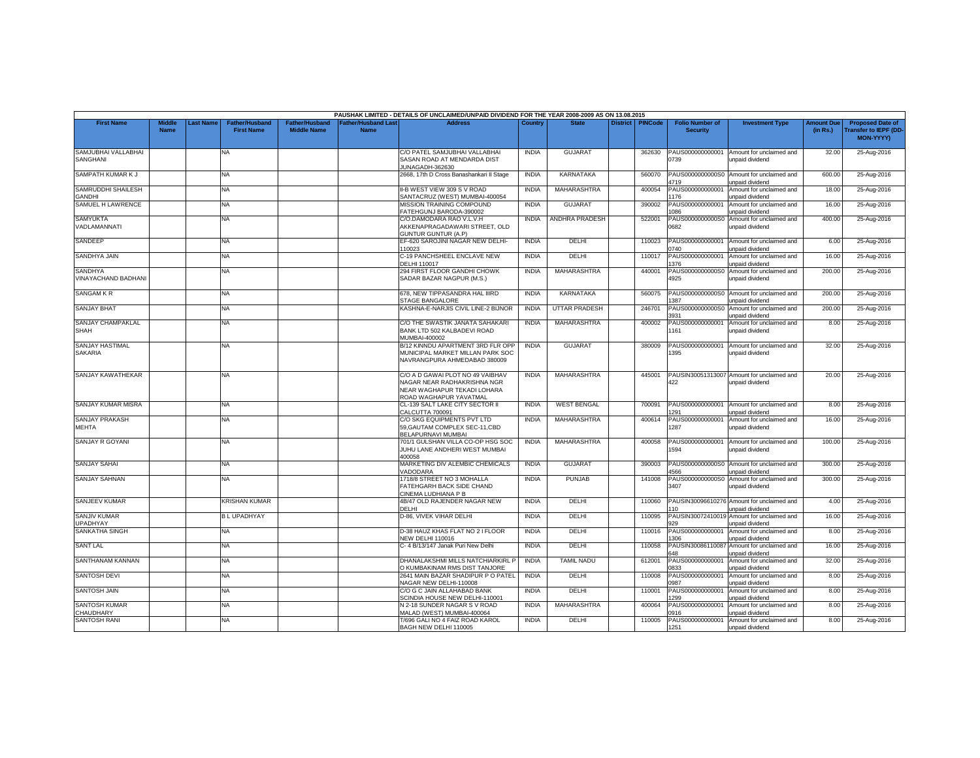|                                        |                              |          |                                            |                                             |                                   | PAUSHAK LIMITED - DETAILS OF UNCLAIMED/UNPAID DIVIDEND FOR THE YEAR 2008-2009 AS ON 13.08.2015                           |              |                    |                 |                |                                           |                                                               |                               |                                                                            |
|----------------------------------------|------------------------------|----------|--------------------------------------------|---------------------------------------------|-----------------------------------|--------------------------------------------------------------------------------------------------------------------------|--------------|--------------------|-----------------|----------------|-------------------------------------------|---------------------------------------------------------------|-------------------------------|----------------------------------------------------------------------------|
| <b>First Name</b>                      | <b>Middle</b><br><b>Name</b> | ast Name | <b>Father/Husband</b><br><b>First Name</b> | <b>Father/Husband</b><br><b>Middle Name</b> | Father/Husband Las<br><b>Name</b> | <b>Address</b>                                                                                                           | Country      | <b>State</b>       | <b>District</b> | <b>PINCode</b> | <b>Folio Number of</b><br><b>Security</b> | <b>Investment Type</b>                                        | <b>Amount Due</b><br>(in Rs.) | <b>Proposed Date of</b><br><b>Transfer to IEPF (DD</b><br><b>MON-YYYY)</b> |
| SAMJUBHAI VALLABHAI<br>SANGHANI        |                              |          | <b>NA</b>                                  |                                             |                                   | C/O PATEL SAMJUBHAI VALLABHAI<br>SASAN ROAD AT MENDARDA DIST<br>UNAGADH-362630                                           | <b>INDIA</b> | <b>GUJARAT</b>     |                 | 362630         | PAUS000000000001<br>0739                  | Amount for unclaimed and<br>unpaid dividend                   | 32.00                         | 25-Aug-2016                                                                |
| SAMPATH KUMAR K J                      |                              |          | <b>NA</b>                                  |                                             |                                   | 2668, 17th D Cross Banashankari II Stage                                                                                 | <b>INDIA</b> | <b>KARNATAKA</b>   |                 | 560070         | PAUS0000000000S0<br>1719                  | Amount for unclaimed and<br>unpaid dividend                   | 600.00                        | 25-Aug-2016                                                                |
| SAMRUDDHI SHAILESH<br>GANDHI           |                              |          | NA                                         |                                             |                                   | II-B WEST VIEW 309 S V ROAD<br>SANTACRUZ (WEST) MUMBAI-400054                                                            | <b>INDIA</b> | <b>MAHARASHTRA</b> |                 | 400054         | PAUS000000000001<br>176                   | Amount for unclaimed and<br>unpaid dividend                   | 18.00                         | 25-Aug-2016                                                                |
| SAMUEL H LAWRENCE                      |                              |          | <b>NA</b>                                  |                                             |                                   | MISSION TRAINING COMPOUND<br>FATEHGUNJ BARODA-390002                                                                     | <b>INDIA</b> | <b>GUJARAT</b>     |                 | 390002         | PAUS000000000001<br>086                   | Amount for unclaimed and<br>unpaid dividend                   | 16.00                         | 25-Aug-2016                                                                |
| <b>SAMYUKTA</b><br>VADLAMANNATI        |                              |          | NA                                         |                                             |                                   | C/O.DAMODARA RAO V.L.V.H<br>AKKENAPRAGADAWARI STREET, OLD<br>GUNTUR GUNTUR (A.P)                                         | <b>INDIA</b> | ANDHRA PRADESH     |                 | 522001         | PAUS0000000000S0<br>0682                  | Amount for unclaimed and<br>unpaid dividend                   | 400.00                        | 25-Aug-2016                                                                |
| SANDEEP                                |                              |          | NA                                         |                                             |                                   | EF-620 SAROJINI NAGAR NEW DELHI-<br>110023                                                                               | <b>INDIA</b> | DELHI              |                 | 110023         | PAUS000000000001<br>0740                  | Amount for unclaimed and<br>unpaid dividend                   | 6.00                          | 25-Aug-2016                                                                |
| <b>SANDHYA JAIN</b>                    |                              |          | <b>NA</b>                                  |                                             |                                   | C-19 PANCHSHEEL ENCLAVE NEW<br>DELHI 110017                                                                              | <b>INDIA</b> | DELHI              |                 | 110017         | PAUS00000000000<br>376                    | Amount for unclaimed and<br>unpaid dividend                   | 16.00                         | 25-Aug-2016                                                                |
| <b>SANDHYA</b><br>VINAYACHAND BADHANI  |                              |          | <b>NA</b>                                  |                                             |                                   | 294 FIRST FLOOR GANDHI CHOWK<br>SADAR BAZAR NAGPUR (M.S.)                                                                | <b>INDIA</b> | MAHARASHTRA        |                 | 440001         | PAUS0000000000S0<br>4925                  | Amount for unclaimed and<br>unpaid dividend                   | 200.00                        | 25-Aug-2016                                                                |
| <b>SANGAM KR</b>                       |                              |          | NA                                         |                                             |                                   | 678, NEW TIPPASANDRA HAL IIIRD<br><b>STAGE BANGALORE</b>                                                                 | <b>INDIA</b> | <b>KARNATAKA</b>   |                 | 560075         | PAUS0000000000S0<br>387                   | Amount for unclaimed and<br>unpaid dividend                   | 200.00                        | 25-Aug-2016                                                                |
| <b>SANJAY BHAT</b>                     |                              |          | <b>NA</b>                                  |                                             |                                   | KASHNA-E-NARJIS CIVIL LINE-2 BIJNOR                                                                                      | <b>INDIA</b> | UTTAR PRADESH      |                 | 246701         | PAUS0000000000S0<br>3931                  | Amount for unclaimed and<br>unpaid dividend                   | 200.00                        | 25-Aug-2016                                                                |
| SANJAY CHAMPAKLAL<br>SHAH              |                              |          | NA                                         |                                             |                                   | C/O THE SWASTIK JANATA SAHAKARI<br>BANK LTD 502 KALBADEVI ROAD<br>MUMBAI-400002                                          | <b>INDIA</b> | MAHARASHTRA        |                 | 400002         | PAUS000000000001<br>161                   | Amount for unclaimed and<br>unpaid dividend                   | 8.00                          | 25-Aug-2016                                                                |
| SANJAY HASTIMAL<br><b>SAKARIA</b>      |                              |          | NA                                         |                                             |                                   | B/12 KINNDU APARTMENT 3RD FLR OPP<br>MUNICIPAL MARKET MILLAN PARK SOC<br>NAVRANGPURA AHMEDABAD 380009                    | <b>INDIA</b> | <b>GUJARAT</b>     |                 | 380009         | PAUS000000000001<br>1395                  | Amount for unclaimed and<br>unpaid dividend                   | 32.00                         | 25-Aug-2016                                                                |
| <b>SANJAY KAWATHEKAR</b>               |                              |          | <b>NA</b>                                  |                                             |                                   | C/O A D GAWAI PLOT NO 49 VAIBHAV<br>NAGAR NEAR RADHAKRISHNA NGR<br>NEAR WAGHAPUR TEKADI LOHARA<br>ROAD WAGHAPUR YAVATMAL | <b>INDIA</b> | MAHARASHTRA        |                 | 445001         | 422                                       | PAUSIN30051313007 Amount for unclaimed and<br>unpaid dividend | 20.00                         | 25-Aug-2016                                                                |
| SANJAY KUMAR MISRA                     |                              |          | NA                                         |                                             |                                   | CL-139 SALT LAKE CITY SECTOR II<br>CALCUTTA 700091                                                                       | <b>INDIA</b> | <b>WEST BENGAL</b> |                 | 700091         | PAUS000000000001<br>291                   | Amount for unclaimed and<br>unpaid dividend                   | 8.00                          | 25-Aug-2016                                                                |
| SANJAY PRAKASH<br><b>MEHTA</b>         |                              |          | <b>NA</b>                                  |                                             |                                   | C/O SKG EQUIPMENTS PVT LTD<br>59, GAUTAM COMPLEX SEC-11, CBD<br>BELAPURNAVI MUMBAI                                       | <b>INDIA</b> | MAHARASHTRA        |                 | 400614         | PAUS000000000001<br>1287                  | Amount for unclaimed and<br>unpaid dividend                   | 16.00                         | 25-Aug-2016                                                                |
| SANJAY R GOYANI                        |                              |          | NA                                         |                                             |                                   | 701/1 GULSHAN VILLA CO-OP HSG SOC<br>JUHU LANE ANDHERI WEST MUMBAI<br>400058                                             | <b>INDIA</b> | MAHARASHTRA        |                 | 400058         | PAUS000000000001<br>1594                  | Amount for unclaimed and<br>unpaid dividend                   | 100.00                        | 25-Aug-2016                                                                |
| <b>SANJAY SAHAI</b>                    |                              |          | NA                                         |                                             |                                   | MARKETING DIV ALEMBIC CHEMICALS<br>VADODARA                                                                              | <b>INDIA</b> | <b>GUJARAT</b>     |                 | 390003         | PAUS0000000000S0<br>1566                  | Amount for unclaimed and<br>unpaid dividend                   | 300.00                        | 25-Aug-2016                                                                |
| <b>SANJAY SAHNAN</b>                   |                              |          | <b>NA</b>                                  |                                             |                                   | 1718/8 STREET NO 3 MOHALLA<br>FATEHGARH BACK SIDE CHAND<br>CINEMA LUDHIANA P B                                           | <b>INDIA</b> | PUNJAB             |                 | 141008         | PAUS0000000000S0<br>3407                  | Amount for unclaimed and<br>unpaid dividend                   | 300.00                        | 25-Aug-2016                                                                |
| SANJEEV KUMAR                          |                              |          | <b>KRISHAN KUMAR</b>                       |                                             |                                   | 4B/47 OLD RAJENDER NAGAR NEW<br>DELHI                                                                                    | <b>INDIA</b> | DELHI              |                 | 110060         | PAUSIN30096610276<br>10                   | Amount for unclaimed and<br>unpaid dividend                   | 4.00                          | 25-Aug-2016                                                                |
| <b>SANJIV KUMAR</b><br><b>JPADHYAY</b> |                              |          | <b>BLUPADHYAY</b>                          |                                             |                                   | D-86. VIVEK VIHAR DELHI                                                                                                  | <b>INDIA</b> | DELHI              |                 | 110095         | PAUSIN30072410019<br>129                  | Amount for unclaimed and<br>unpaid dividend                   | 16.00                         | 25-Aug-2016                                                                |
| SANKATHA SINGH                         |                              |          | <b>NA</b>                                  |                                             |                                   | D-38 HAUZ KHAS FLAT NO 2 I FLOOR<br><b>NEW DELHI 110016</b>                                                              | <b>INDIA</b> | DELHI              |                 | 110016         | PAUS000000000001<br>306                   | Amount for unclaimed and<br>unpaid dividend                   | 8.00                          | 25-Aug-2016                                                                |
| <b>SANT LAL</b>                        |                              |          | NA                                         |                                             |                                   | C- 4 B/13/147 Janak Puri New Delhi                                                                                       | <b>INDIA</b> | DELHI              |                 | 110058         | PAUSIN30086110087<br>648                  | Amount for unclaimed and<br>unpaid dividend                   | 16.00                         | 25-Aug-2016                                                                |
| SANTHANAM KANNAN                       |                              |          | <b>NA</b>                                  |                                             |                                   | DHANALAKSHMI MILLS NATCHIARKIRL P<br>O KUMBAKINAM RMS DIST TANJORE                                                       | <b>INDIA</b> | <b>TAMIL NADU</b>  |                 | 612001         | PAUS000000000001<br>833                   | Amount for unclaimed and<br>unpaid dividend                   | 32.00                         | 25-Aug-2016                                                                |
| <b>SANTOSH DEVI</b>                    |                              |          | NA                                         |                                             |                                   | 2641 MAIN BAZAR SHADIPUR P O PATEL<br>NAGAR NEW DELHI-110008                                                             | <b>INDIA</b> | DELHI              |                 | 110008         | PAUS000000000001<br>0987                  | Amount for unclaimed and<br>unpaid dividend                   | 8.00                          | 25-Aug-2016                                                                |
| <b>SANTOSH JAIN</b>                    |                              |          | <b>NA</b>                                  |                                             |                                   | C/O G C JAIN ALLAHABAD BANK<br>SCINDIA HOUSE NEW DELHI-110001                                                            | <b>INDIA</b> | DELHI              |                 | 110001         | PAUS00000000000<br>299                    | Amount for unclaimed and<br>unpaid dividend                   | 8.00                          | 25-Aug-2016                                                                |
| <b>SANTOSH KUMAR</b><br>CHAUDHARY      |                              |          | <b>NA</b>                                  |                                             |                                   | N 2-18 SUNDER NAGAR S V ROAD<br>MALAD (WEST) MUMBAI-400064                                                               | <b>INDIA</b> | MAHARASHTRA        |                 | 400064         | PAUS000000000001<br>1916                  | Amount for unclaimed and<br>unpaid dividend                   | 8.00                          | 25-Aug-2016                                                                |
| <b>SANTOSH RANI</b>                    |                              |          | <b>NA</b>                                  |                                             |                                   | T/696 GALI NO 4 FAIZ ROAD KAROL<br>BAGH NEW DELHI 110005                                                                 | <b>INDIA</b> | DELHI              |                 | 110005         | PAUS000000000001<br>1251                  | Amount for unclaimed and<br>unpaid dividend                   | 8.00                          | 25-Aug-2016                                                                |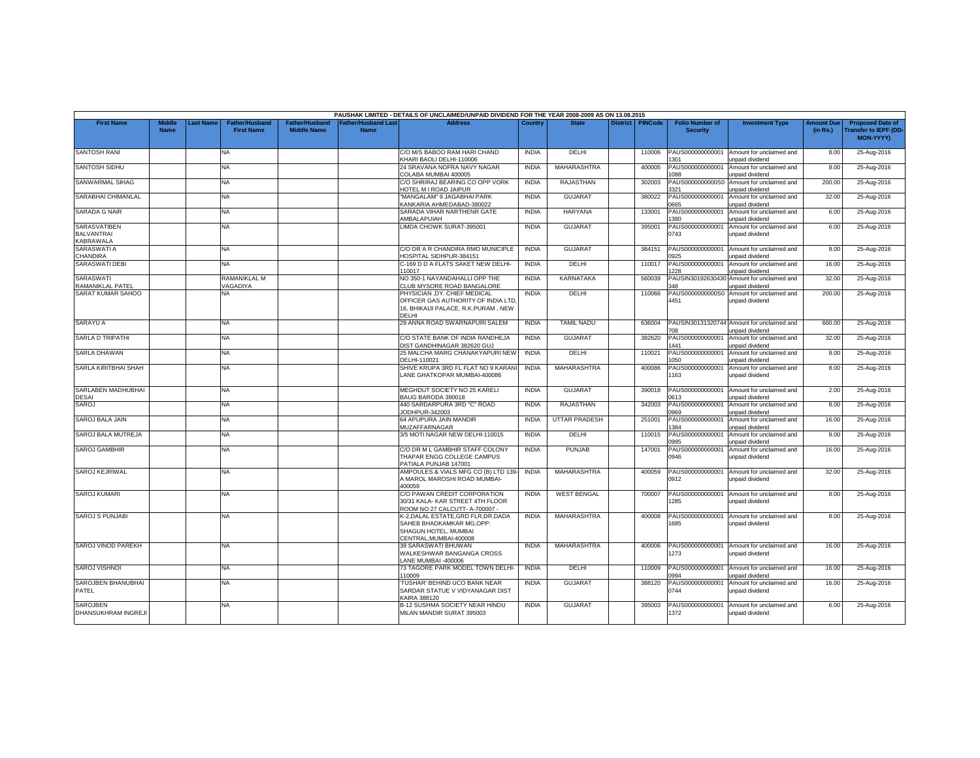|                                                       |                              |          |                                            |                                      |                                           | PAUSHAK LIMITED - DETAILS OF UNCLAIMED/UNPAID DIVIDEND FOR THE YEAR 2008-2009 AS ON 13.08.2015                       |              |                      |                 |                |                                           |                                                                      |                               |                                                                            |
|-------------------------------------------------------|------------------------------|----------|--------------------------------------------|--------------------------------------|-------------------------------------------|----------------------------------------------------------------------------------------------------------------------|--------------|----------------------|-----------------|----------------|-------------------------------------------|----------------------------------------------------------------------|-------------------------------|----------------------------------------------------------------------------|
| <b>First Name</b>                                     | <b>Middle</b><br><b>Name</b> | ast Name | <b>Father/Husband</b><br><b>First Name</b> | Father/Husband<br><b>Middle Name</b> | <b>Father/Husband Last</b><br><b>Name</b> | <b>Address</b>                                                                                                       | Country      | <b>State</b>         | <b>District</b> | <b>PINCode</b> | <b>Folio Number of</b><br><b>Security</b> | <b>Investment Type</b>                                               | <b>Amount Due</b><br>(in Rs.) | <b>Proposed Date of</b><br><b>Transfer to IEPF (DD</b><br><b>MON-YYYYY</b> |
| <b>SANTOSH RANI</b>                                   |                              |          | NA                                         |                                      |                                           | C/O M/S BABOO RAM HARI CHAND<br>KHARI BAOLI DELHI-110006                                                             | <b>INDIA</b> | DELHI                |                 | 110006         | PAUS000000000001<br>301                   | Amount for unclaimed and<br>inpaid dividend                          | 8.00                          | 25-Aug-2016                                                                |
| <b>SANTOSH SIDHU</b>                                  |                              |          | NA.                                        |                                      |                                           | 24 SRAVANA NOFRA NAVY NAGAR<br>COLABA MUMBAI 400005                                                                  | <b>INDIA</b> | <b>MAHARASHTRA</b>   |                 | 400005         | PAUS000000000001<br>880                   | Amount for unclaimed and<br>unpaid dividend                          | 8.00                          | 25-Aug-2016                                                                |
| SANWARMAL SIHAG                                       |                              |          | NA                                         |                                      |                                           | C/O SHRIRAJ BEARING CO OPP VORK<br><b>IOTEL M I ROAD JAIPUR</b>                                                      | <b>INDIA</b> | RAJASTHAN            |                 | 302003         | PAUS0000000000S0<br>3321                  | Amount for unclaimed and<br>unpaid dividend                          | 200.00                        | 25-Aug-2016                                                                |
| SARABHAI CHIMANLAL                                    |                              |          | NA                                         |                                      |                                           | "MANGALAM" 9 JAGABHAI PARK<br>KANKARIA AHMEDABAD-380022                                                              | <b>INDIA</b> | <b>GUJARAT</b>       |                 | 380022         | PAUS000000000001<br>665                   | Amount for unclaimed and<br><b>Inpaid dividend</b>                   | 32.00                         | 25-Aug-2016                                                                |
| <b>SARADA G NAIR</b>                                  |                              |          | NA                                         |                                      |                                           | SARADA VIHAR NARTHENR GATE<br>AMBALAPUIAH                                                                            | <b>INDIA</b> | <b>HARYANA</b>       |                 | 133001         | PAUS000000000001<br>380                   | Amount for unclaimed and<br>unpaid dividend                          | 6.00                          | 25-Aug-2016                                                                |
| <b>SARASVATIBEN</b><br><b>BALVANTRAI</b><br>KABRAWALA |                              |          | NA.                                        |                                      |                                           | LIMDA CHOWK SURAT-395001                                                                                             | <b>INDIA</b> | <b>GUJARAT</b>       |                 | 395001         | PAUS000000000001<br>0743                  | Amount for unclaimed and<br>unpaid dividend                          | 6.00                          | 25-Aug-2016                                                                |
| <b>SARASWATI A</b><br>CHANDIRA                        |                              |          | NA.                                        |                                      |                                           | C/O DR A R CHANDIRA RMO MUNICIPLE<br><b>IOSPITAL SIDHPUR-384151</b>                                                  | <b>INDIA</b> | <b>GUJARAT</b>       |                 | 384151         | PAUS000000000001<br>)925                  | Amount for unclaimed and<br>unpaid dividend                          | 8.00                          | 25-Aug-2016                                                                |
| SARASWATI DEBI                                        |                              |          | NA.                                        |                                      |                                           | C-169 D D A FLATS SAKET NEW DELHI-<br>10017                                                                          | <b>INDIA</b> | <b>DELHI</b>         |                 | 110017         | PAUS000000000001<br>1228                  | Amount for unclaimed and<br>unpaid dividend                          | 16.00                         | 25-Aug-2016                                                                |
| <b>SARASWATI</b><br>RAMANIKLAL PATEL                  |                              |          | RAMANIKLAL M<br><b>/AGADIYA</b>            |                                      |                                           | NO 350-1 NAYANDAHALLI OPP THE<br>CLUB MYSORE ROAD BANGALORE                                                          | <b>INDIA</b> | <b>KARNATAKA</b>     |                 | 560039         | PAUSIN30192630430<br>348                  | Amount for unclaimed and<br>unpaid dividend                          | 32.00                         | 25-Aug-2016                                                                |
| <b>SARAT KUMAR SAHOO</b>                              |                              |          | NA                                         |                                      |                                           | PHYSICIAN .DY. CHIEF MEDICAL<br>OFFICER GAS AUTHORITY OF INDIA LTD,<br>16, BHIKAIJI PALACE, R.K.PURAM , NEW<br>DELHI | <b>INDIA</b> | DELHI                |                 | 110066         | PAUS0000000000S0<br>4451                  | Amount for unclaimed and<br>unpaid dividend                          | 200.00                        | 25-Aug-2016                                                                |
| <b>SARAYU A</b>                                       |                              |          | NA                                         |                                      |                                           | 29 ANNA ROAD SWARNAPURI SALEM                                                                                        | <b>INDIA</b> | <b>TAMIL NADU</b>    |                 | 636004         | 80                                        | PAUSIN30131320744 Amount for unclaimed and<br><b>Inpaid dividend</b> | 600.00                        | 25-Aug-2016                                                                |
| <b>SARLA D TRIPATHI</b>                               |                              |          | NA                                         |                                      |                                           | C/O STATE BANK OF INDIA RANDHEJA<br><b>IST GANDHINAGAR 382620 GUJ</b>                                                | <b>INDIA</b> | GUJARAT              |                 | 382620         | PAUS000000000001<br>1441                  | Amount for unclaimed and<br>unpaid dividend                          | 32.00                         | 25-Aug-2016                                                                |
| <b>SARLA DHAWAN</b>                                   |                              |          | NA.                                        |                                      |                                           | 25 MALCHA MARG CHANAKYAPURI NEW<br>DELHI-110021                                                                      | <b>INDIA</b> | DELHI                |                 | 110021         | PAUS000000000001<br>050                   | Amount for unclaimed and<br>unpaid dividend                          | 8.00                          | 25-Aug-2016                                                                |
| SARLA KIRITBHAI SHAH                                  |                              |          | NA                                         |                                      |                                           | SHIVE KRUPA 3RD FL FLAT NO 9 KARANI<br>LANE GHATKOPAR MUMBAI-400086                                                  | <b>INDIA</b> | MAHARASHTRA          |                 | 400086         | PAUS000000000001<br>1163                  | Amount for unclaimed and<br>unpaid dividend                          | 8.00                          | 25-Aug-2016                                                                |
| SARLABEN MADHUBHAI<br><b>DESAI</b>                    |                              |          | NA.                                        |                                      |                                           | MEGHDUT SOCIETY NO 25 KARELI<br>BAUG BARODA 390018                                                                   | <b>INDIA</b> | GUJARAT              |                 | 390018         | PAUS000000000001<br>0613                  | Amount for unclaimed and<br>unpaid dividend                          | 2.00                          | 25-Aug-2016                                                                |
| SAROJ                                                 |                              |          | NA                                         |                                      |                                           | 440 SARDARPURA 3RD "C" ROAD<br>JODHPUR-342003                                                                        | <b>INDIA</b> | RAJASTHAN            |                 | 342003         | PAUS000000000001<br>1969                  | Amount for unclaimed and<br>unpaid dividend                          | 8.00                          | 25-Aug-2016                                                                |
| SAROJ BALA JAIN                                       |                              |          | NA                                         |                                      |                                           | 64 APUPURA JAIN MANDIR<br><b>MUZAFFARNAGAR</b>                                                                       | <b>INDIA</b> | <b>UTTAR PRADESH</b> |                 | 251001         | PAUS000000000001<br>384                   | Amount for unclaimed and<br>unpaid dividend                          | 16.00                         | 25-Aug-2016                                                                |
| SAROJ BALA MUTREJA                                    |                              |          | NA                                         |                                      |                                           | 3/5 MOTI NAGAR NEW DELHI-110015                                                                                      | <b>INDIA</b> | DELHI                |                 | 110015         | PAUS000000000001<br>0995                  | Amount for unclaimed and<br>unpaid dividend                          | 8.00                          | 25-Aug-2016                                                                |
| <b>SAROJ GAMBHIR</b>                                  |                              |          | NA                                         |                                      |                                           | C/O DR M L GAMBHIR STAFF COLONY<br>THAPAR ENGG COLLEGE CAMPUS<br>PATIALA PUNJAB 147001                               | <b>INDIA</b> | <b>PUNJAB</b>        |                 | 147001         | PAUS000000000001<br>0946                  | Amount for unclaimed and<br>unpaid dividend                          | 16.00                         | 25-Aug-2016                                                                |
| SAROJ KEJRIWAL                                        |                              |          | NA                                         |                                      |                                           | AMPOULES & VIALS MFG CO (B) LTD 139-<br>A MAROL MAROSHI ROAD MUMBAI-<br>400059                                       | <b>INDIA</b> | <b>MAHARASHTRA</b>   |                 | 400059         | PAUS000000000001<br>0912                  | Amount for unclaimed and<br>unpaid dividend                          | 32.00                         | 25-Aug-2016                                                                |
| <b>SAROJ KUMARI</b>                                   |                              |          | NA                                         |                                      |                                           | C/O PAWAN CREDIT CORPORATION<br>30/31 KALA-KAR STREET 4TH FLOOR<br>ROOM NO 27 CALCUTT- A-700007 -                    | <b>INDIA</b> | <b>WEST BENGAL</b>   |                 | 700007         | PAUS000000000001<br>285                   | Amount for unclaimed and<br>unpaid dividend                          | 8.00                          | 25-Aug-2016                                                                |
| <b>SAROJ S PUNJABI</b>                                |                              |          | NA.                                        |                                      |                                           | K-2.DALAL ESTATE.GRD FLR.DR.DADA<br>SAHEB BHADKAMKAR MG.OPP:<br>SHAGUN HOTEL, MUMBAI<br>CENTRAL, MUMBAI-400008       | <b>INDIA</b> | <b>MAHARASHTRA</b>   |                 | 400008         | PAUS000000000001<br>1685                  | Amount for unclaimed and<br>unpaid dividend                          | 8.00                          | 25-Aug-2016                                                                |
| <b>SAROJ VINOD PAREKH</b>                             |                              |          | NA.                                        |                                      |                                           | 39 SARASWATI BHUWAN<br>WALKESHWAR BANGANGA CROSS<br>LANE MUMBAI -400006                                              | <b>INDIA</b> | <b>MAHARASHTRA</b>   |                 | 400006         | 1273                                      | PAUS000000000001 Amount for unclaimed and<br>unpaid dividend         | 16.00                         | 25-Aug-2016                                                                |
| <b>SAROJ VISHNOI</b>                                  |                              |          | ΝA                                         |                                      |                                           | 73 TAGORE PARK MODEL TOWN DELHI-<br>110009                                                                           | <b>INDIA</b> | DELHI                |                 | 110009         | PAUS000000000001<br>1994                  | Amount for unclaimed and<br>unpaid dividend                          | 16.00                         | 25-Aug-2016                                                                |
| SAROJBEN BHANUBHAI<br>PATEL                           |                              |          | <b>NA</b>                                  |                                      |                                           | TUSHAR' BEHIND UCO BANK NEAR<br>SARDAR STATUE V VIDYANAGAR DIST<br><b>KAIRA 388120</b>                               | <b>INDIA</b> | <b>GUJARAT</b>       |                 | 388120         | PAUS000000000001<br>0744                  | Amount for unclaimed and<br>unpaid dividend                          | 16.00                         | 25-Aug-2016                                                                |
| SAROJBEN<br><b>DHANSUKHRAM INGREJ</b>                 |                              |          | NA                                         |                                      |                                           | B-12 SUSHMA SOCIETY NEAR HINDU<br>MILAN MANDIR SURAT 395003                                                          | <b>INDIA</b> | GUJARAT              |                 | 395003         | PAUS000000000001<br>1372                  | Amount for unclaimed and<br>unpaid dividend                          | 6.00                          | 25-Aug-2016                                                                |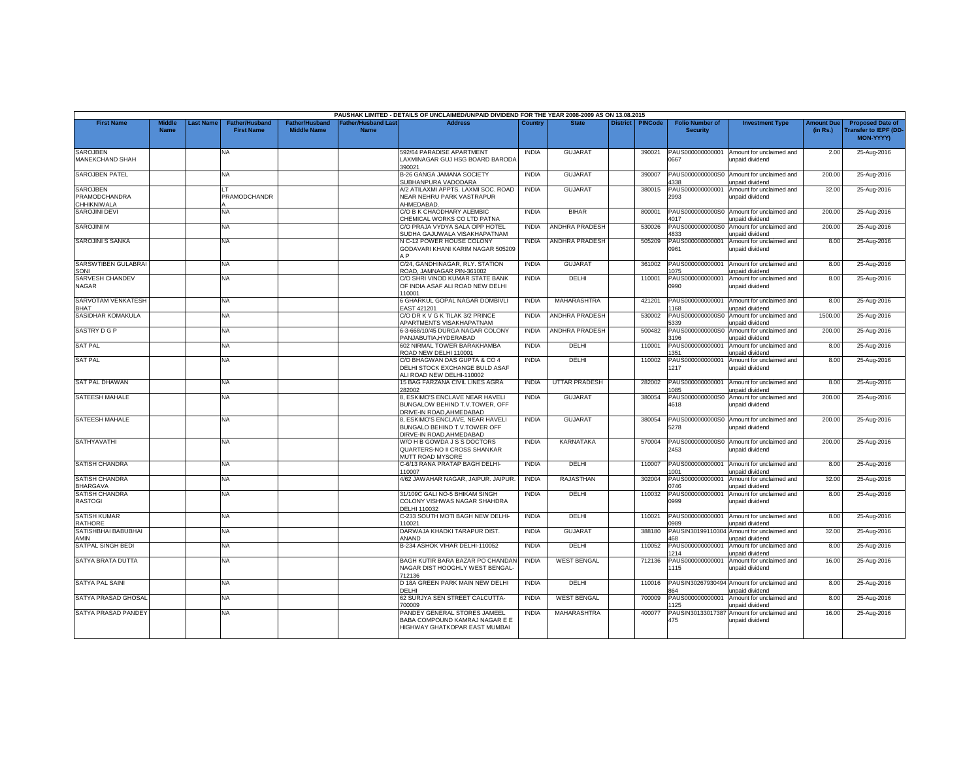|                                                        |                              |                  |                                            |                                             |                                           | PAUSHAK LIMITED - DETAILS OF UNCLAIMED/UNPAID DIVIDEND FOR THE YEAR 2008-2009 AS ON 13.08.2015  |              |                       |                    |                                           |                                                               |                               |                                                                     |
|--------------------------------------------------------|------------------------------|------------------|--------------------------------------------|---------------------------------------------|-------------------------------------------|-------------------------------------------------------------------------------------------------|--------------|-----------------------|--------------------|-------------------------------------------|---------------------------------------------------------------|-------------------------------|---------------------------------------------------------------------|
| <b>First Name</b>                                      | <b>Middle</b><br><b>Name</b> | <b>Last Name</b> | <b>Father/Husband</b><br><b>First Name</b> | <b>Father/Husband</b><br><b>Middle Name</b> | <b>Father/Husband Last</b><br><b>Name</b> | Address                                                                                         | Country      | <b>State</b>          | District   PINCode | <b>Folio Number of</b><br><b>Security</b> | <b>Investment Type</b>                                        | <b>Amount Due</b><br>(in Rs.) | <b>Proposed Date of</b><br><b>Transfer to IEPF (DD</b><br>MON-YYYY) |
| <b>SAROJBEN</b><br>MANEKCHAND SHAH                     |                              |                  | <b>NA</b>                                  |                                             |                                           | 592/64 PARADISE APARTMENT<br>LAXMINAGAR GUJ HSG BOARD BARODA<br>390021                          | <b>INDIA</b> | GUJARAT               | 390021             | PAUS000000000001<br>0667                  | Amount for unclaimed and<br>unpaid dividend                   | 2.00                          | 25-Aug-2016                                                         |
| <b>SAROJBEN PATEL</b>                                  |                              |                  | NA                                         |                                             |                                           | <b>B-26 GANGA JAMANA SOCIETY</b><br>SUBHANPURA VADODARA                                         | <b>INDIA</b> | <b>GUJARAT</b>        | 390007             | PAUS0000000000S0<br>1338                  | Amount for unclaimed and<br>unpaid dividend                   | 200.00                        | 25-Aug-2016                                                         |
| SAROJBEN<br><b>PRAMODCHANDRA</b><br><b>CHHIKNIWALA</b> |                              |                  | PRAMODCHANDR                               |                                             |                                           | A/2 ATILAXMI APPTS. LAXMI SOC. ROAD<br>NEAR NEHRU PARK VASTRAPUR<br>HMEDABAD.                   | INDIA        | GUJARAT               | 380015             | PAUS000000000001<br>2993                  | Amount for unclaimed and<br>unpaid dividend                   | 32.00                         | 25-Aug-2016                                                         |
| <b>SAROJINI DEVI</b>                                   |                              |                  | NA                                         |                                             |                                           | C/O B K CHAODHARY ALEMBIC<br>CHEMICAL WORKS CO LTD PATNA                                        | <b>INDIA</b> | <b>BIHAR</b>          | 800001             | PAUS0000000000S0<br>1017                  | Amount for unclaimed and<br>unpaid dividend                   | 200.00                        | 25-Aug-2016                                                         |
| <b>SAROJINI M</b>                                      |                              |                  | NA                                         |                                             |                                           | C/O PRAJA VYDYA SALA OPP HOTEL<br>SUDHA GAJUWALA VISAKHAPATNAM                                  | <b>INDIA</b> | ANDHRA PRADESH        | 530026             | PAUS0000000000S0<br>4833                  | Amount for unclaimed and<br>unpaid dividend                   | 200.00                        | 25-Aug-2016                                                         |
| <b>SAROJINI S SANKA</b>                                |                              |                  | NA                                         |                                             |                                           | N C-12 POWER HOUSE COLONY<br>GODAVARI KHANI KARIM NAGAR 505209<br>ΔP                            | <b>INDIA</b> | ANDHRA PRADESH        | 505209             | PAUS000000000001<br>0961                  | Amount for unclaimed and<br>unpaid dividend                   | 8.00                          | 25-Aug-2016                                                         |
| SARSWTIBEN GULABRAI<br>SONI                            |                              |                  | NA.                                        |                                             |                                           | C/24, GANDHINAGAR, RLY, STATION<br>ROAD, JAMNAGAR PIN-361002                                    | <b>INDIA</b> | <b>GUJARAT</b>        | 361002             | PAUS000000000001<br>075                   | Amount for unclaimed and<br>unpaid dividend                   | 8.00                          | 25-Aug-2016                                                         |
| <b>SARVESH CHANDEV</b><br><b>NAGAR</b>                 |                              |                  | NA                                         |                                             |                                           | C/O SHRI VINOD KUMAR STATE BANK<br>OF INDIA ASAF ALI ROAD NEW DELHI<br>110001                   | <b>INDIA</b> | DELHI                 | 110001             | PAUS000000000001<br>0990                  | Amount for unclaimed and<br>unpaid dividend                   | 8.00                          | 25-Aug-2016                                                         |
| SARVOTAM VENKATESH<br>RHAT                             |                              |                  | NA.                                        |                                             |                                           | 6 GHARKUL GOPAL NAGAR DOMBIVLI<br>EAST 421201                                                   | <b>INDIA</b> | MAHARASHTRA           | 421201             | PAUS000000000001<br>168                   | Amount for unclaimed and<br>unpaid dividend                   | 8.00                          | 25-Aug-2016                                                         |
| SASIDHAR KOMAKULA                                      |                              |                  | NA                                         |                                             |                                           | C/O DR K V G K TILAK 3/2 PRINCE<br><b>APARTMENTS VISAKHAPATNAM</b>                              | <b>INDIA</b> | <b>ANDHRA PRADESH</b> | 530002             | PAUS0000000000S0<br>339                   | Amount for unclaimed and<br>inpaid dividend                   | 1500.00                       | 25-Aug-2016                                                         |
| <b>SASTRY D G P</b>                                    |                              |                  | NA                                         |                                             |                                           | 5-3-668/10/45 DURGA NAGAR COLONY<br>ANJABUTIA.HYDERABAD                                         | <b>INDIA</b> | <b>ANDHRA PRADESH</b> | 500482             | PAUS0000000000S0<br>196                   | Amount for unclaimed and<br>unpaid dividend                   | 200.00                        | 25-Aug-2016                                                         |
| <b>SAT PAL</b>                                         |                              |                  | NA                                         |                                             |                                           | 602 NIRMAL TOWER BARAKHAMBA<br>ROAD NEW DELHI 110001                                            | <b>INDIA</b> | DELHI                 | 110001             | PAUS000000000001<br>351                   | Amount for unclaimed and<br>unpaid dividend                   | 8.00                          | 25-Aug-2016                                                         |
| <b>SAT PAL</b>                                         |                              |                  | NA                                         |                                             |                                           | C/O BHAGWAN DAS GUPTA & CO 4<br>DELHI STOCK EXCHANGE BULD ASAF<br>ALI ROAD NEW DELHI-110002     | <b>INDIA</b> | DELHI                 | 110002             | PAUS000000000001<br>1217                  | Amount for unclaimed and<br>unpaid dividend                   | 8.00                          | 25-Aug-2016                                                         |
| <b>SAT PAL DHAWAN</b>                                  |                              |                  | NA                                         |                                             |                                           | 15 BAG FARZANA CIVIL LINES AGRA<br>282002                                                       | <b>INDIA</b> | <b>UTTAR PRADESH</b>  | 282002             | PAUS000000000001<br>085                   | Amount for unclaimed and<br>unpaid dividend                   | 8.00                          | 25-Aug-2016                                                         |
| <b>SATEESH MAHALE</b>                                  |                              |                  | NA                                         |                                             |                                           | 8. ESKIMO'S ENCLAVE NEAR HAVELI<br>BUNGALOW BEHIND T.V.TOWER, OFF<br>DRIVE-IN ROAD.AHMEDABAD    | <b>INDIA</b> | <b>GUJARA1</b>        | 380054             | PAUS0000000000S0<br>4618                  | Amount for unclaimed and<br>unpaid dividend                   | 200.00                        | 25-Aug-2016                                                         |
| SATEESH MAHALE                                         |                              |                  | NA.                                        |                                             |                                           | 8, ESKIMO'S ENCLAVE, NEAR HAVELI<br>BUNGALO BEHIND T.V.TOWER OFF<br>DIRVE-IN ROAD.AHMEDABAD     | <b>INDIA</b> | GUJARAT               | 380054             | PAUS0000000000S0<br>5278                  | Amount for unclaimed and<br>unpaid dividend                   | 200.00                        | 25-Aug-2016                                                         |
| <b>SATHYAVATHI</b>                                     |                              |                  | NA                                         |                                             |                                           | W/O H B GOWDA J S S DOCTORS<br>QUARTERS-NO II CROSS SHANKAR<br><b>MUTT ROAD MYSORE</b>          | <b>INDIA</b> | <b>KARNATAKA</b>      | 570004             | PAUS0000000000S0<br>2453                  | Amount for unclaimed and<br>unpaid dividend                   | 200.00                        | 25-Aug-2016                                                         |
| <b>SATISH CHANDRA</b>                                  |                              |                  | NA.                                        |                                             |                                           | C-6/13 RANA PRATAP BAGH DELHI-<br>10007                                                         | <b>INDIA</b> | DELHI                 | 110007             | PAUS000000000001<br>001                   | Amount for unclaimed and<br>unpaid dividend                   | 8.00                          | 25-Aug-2016                                                         |
| <b>SATISH CHANDRA</b><br><b>BHARGAVA</b>               |                              |                  | NA                                         |                                             |                                           | 4/62 JAWAHAR NAGAR, JAIPUR, JAIPUR,                                                             | <b>INDIA</b> | RAJASTHAN             | 302004             | PAUS000000000001<br>0746                  | Amount for unclaimed and<br>unpaid dividend                   | 32.00                         | 25-Aug-2016                                                         |
| <b>SATISH CHANDRA</b><br><b>RASTOGI</b>                |                              |                  | NA                                         |                                             |                                           | 31/109C GALI NO-5 BHIKAM SINGH<br>COLONY VISHWAS NAGAR SHAHDRA<br>DELHI 110032                  | <b>INDIA</b> | DELHI                 | 110032             | PAUS000000000001<br>0999                  | Amount for unclaimed and<br>unpaid dividend                   | 8.00                          | 25-Aug-2016                                                         |
| <b>SATISH KUMAR</b><br><b>RATHORE</b>                  |                              |                  | NA                                         |                                             |                                           | C-233 SOUTH MOTI BAGH NEW DELHI-<br>110021                                                      | <b>INDIA</b> | DELHI                 | 110021             | PAUS000000000001<br>1989                  | Amount for unclaimed and<br>inpaid dividend                   | 8.00                          | 25-Aug-2016                                                         |
| SATISHBHAI BABUBHAI<br>AMIN                            |                              |                  | NA.                                        |                                             |                                           | DARWAJA KHADKI TARAPUR DIST.<br>ANAND                                                           | <b>INDIA</b> | <b>GUJARAT</b>        | 388180             | 88                                        | PAUSIN30199110304 Amount for unclaimed and<br>unpaid dividend | 32.00                         | 25-Aug-2016                                                         |
| SATPAL SINGH BEDI                                      |                              |                  | NA                                         |                                             |                                           | B-234 ASHOK VIHAR DELHI-110052                                                                  | <b>INDIA</b> | DELHI                 | 110052             | PAUS000000000001<br>1214                  | Amount for unclaimed and<br>unpaid dividend                   | 8.00                          | 25-Aug-2016                                                         |
| SATYA BRATA DUTTA                                      |                              |                  | NA                                         |                                             |                                           | BAGH KUTIR BARA BAZAR PO CHANDAN<br>NAGAR DIST HOOGHLY WEST BENGAL<br>712136                    | <b>INDIA</b> | <b>WEST BENGAL</b>    | 712136             | PAUS000000000001<br>1115                  | Amount for unclaimed and<br>unpaid dividend                   | 16.00                         | 25-Aug-2016                                                         |
| <b>SATYA PAL SAINI</b>                                 |                              |                  | NA                                         |                                             |                                           | D 18A GREEN PARK MAIN NEW DELHI<br>DELHI                                                        | <b>INDIA</b> | DELHI                 | 110016             | 364                                       | PAUSIN30267930494 Amount for unclaimed and<br>inpaid dividend | 8.00                          | 25-Aug-2016                                                         |
| SATYA PRASAD GHOSAL                                    |                              |                  | NA                                         |                                             |                                           | 62 SURJYA SEN STREET CALCUTTA-<br>700009                                                        | <b>INDIA</b> | <b>WEST BENGAL</b>    | 700009             | PAUS000000000001<br>125                   | Amount for unclaimed and<br>unpaid dividend                   | 8.00                          | 25-Aug-2016                                                         |
| SATYA PRASAD PANDEY                                    |                              |                  | NA                                         |                                             |                                           | PANDEY GENERAL STORES JAMEEL<br>BABA COMPOUND KAMRAJ NAGAR E E<br>HIGHWAY GHATKOPAR EAST MUMBAI | <b>INDIA</b> | <b>MAHARASHTRA</b>    | 400077             | PAUSIN30133017387<br>475                  | Amount for unclaimed and<br>unpaid dividend                   | 16.00                         | 25-Aug-2016                                                         |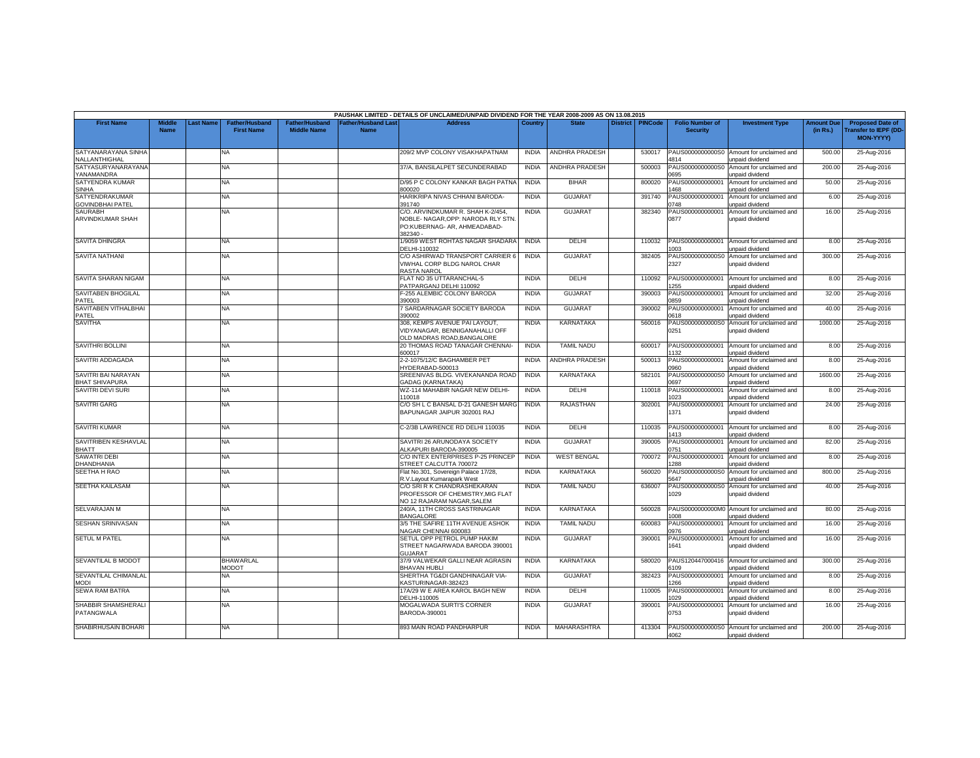|                                              |                              |                 |                                            |                                      |                                           | PAUSHAK LIMITED - DETAILS OF UNCLAIMED/UNPAID DIVIDEND FOR THE YEAR 2008-2009 AS ON 13.08.2015             |              |                       |                 |                |                                           |                                                                |                               |                                                                     |
|----------------------------------------------|------------------------------|-----------------|--------------------------------------------|--------------------------------------|-------------------------------------------|------------------------------------------------------------------------------------------------------------|--------------|-----------------------|-----------------|----------------|-------------------------------------------|----------------------------------------------------------------|-------------------------------|---------------------------------------------------------------------|
| <b>First Name</b>                            | <b>Middle</b><br><b>Name</b> | <b>ast Name</b> | <b>Father/Husband</b><br><b>First Name</b> | Father/Husband<br><b>Middle Name</b> | <b>Father/Husband Last</b><br><b>Name</b> | <b>Address</b>                                                                                             | Country      | <b>State</b>          | <b>District</b> | <b>PINCode</b> | <b>Folio Number of</b><br><b>Security</b> | <b>Investment Type</b>                                         | <b>Amount Due</b><br>(in Rs.) | <b>Proposed Date of</b><br><b>Transfer to IEPF (DD</b><br>MON-YYYY) |
| SATYANARAYANA SINHA<br>NALLANTHIGHAL         |                              |                 | NA.                                        |                                      |                                           | 209/2 MVP COLONY VISAKHAPATNAM                                                                             | <b>INDIA</b> | ANDHRA PRADESH        |                 | 530017         | PAUS0000000000S0<br>4814                  | Amount for unclaimed and<br>unpaid dividend                    | 500.00                        | 25-Aug-2016                                                         |
| SATYASURYANARAYANA<br>YANAMANDRA             |                              |                 | NA                                         |                                      |                                           | 37/A, BANSILALPET SECUNDERABAD                                                                             | <b>INDIA</b> | ANDHRA PRADESH        |                 | 500003         | PAUS0000000000S0<br>0695                  | Amount for unclaimed and<br>unpaid dividend                    | 200.00                        | 25-Aug-2016                                                         |
| SATYENDRA KUMAR<br><b>SINHA</b>              |                              |                 | <b>NA</b>                                  |                                      |                                           | D/95 P C COLONY KANKAR BAGH PATNA<br>300020                                                                | <b>INDIA</b> | <b>BIHAR</b>          |                 | 800020         | PAUS000000000001<br>468                   | Amount for unclaimed and<br>unpaid dividend                    | 50.00                         | 25-Aug-2016                                                         |
| SATYENDRAKUMAR<br><b>GOVINDBHAI PATEL</b>    |                              |                 | NA                                         |                                      |                                           | HARIKRIPA NIVAS CHHANI BARODA-<br>391740                                                                   | <b>INDIA</b> | <b>GUJARAT</b>        |                 | 391740         | PAUS000000000001<br>1748                  | Amount for unclaimed and<br>unpaid dividend                    | 6.00                          | 25-Aug-2016                                                         |
| <b>SAURABH</b><br>ARVINDKUMAR SHAH           |                              |                 | <b>NA</b>                                  |                                      |                                           | C/O. ARVINDKUMAR R. SHAH K-2/454.<br><b>NOBLE- NAGAR, OPP: NARODA RLY STN.</b>                             | <b>INDIA</b> | <b>GUJARAT</b>        |                 | 382340         | PAUS000000000001<br>0877                  | Amount for unclaimed and<br>unpaid dividend                    | 16.00                         | 25-Aug-2016                                                         |
|                                              |                              |                 |                                            |                                      |                                           | PO:KUBERNAG- AR. AHMEADABAD-<br>382340 -                                                                   |              |                       |                 |                |                                           |                                                                |                               |                                                                     |
| <b>SAVITA DHINGRA</b>                        |                              |                 | NA                                         |                                      |                                           | 1/9059 WEST ROHTAS NAGAR SHADARA<br>DELHI-110032                                                           | <b>INDIA</b> | DELHI                 |                 | 110032         | PAUS000000000001<br>003                   | Amount for unclaimed and<br>unpaid dividend                    | 8.00                          | 25-Aug-2016                                                         |
| <b>SAVITA NATHANI</b>                        |                              |                 | NA                                         |                                      |                                           | C/O ASHIRWAD TRANSPORT CARRIER 6<br>VIWHAL CORP BLDG NAROL CHAR<br>RASTA NAROL                             | <b>INDIA</b> | <b>GUJARAT</b>        |                 | 382405         | PAUS0000000000S0<br>2327                  | Amount for unclaimed and<br>unpaid dividend                    | 300.00                        | 25-Aug-2016                                                         |
| SAVITA SHARAN NIGAM                          |                              |                 | NA                                         |                                      |                                           | FLAT NO 35 UTTARANCHAL-5<br>PATPARGANJ DELHI 110092                                                        | <b>INDIA</b> | DELHI                 |                 | 110092         | PAUS000000000001<br>255                   | Amount for unclaimed and<br>unpaid dividend                    | 8.00                          | 25-Aug-2016                                                         |
| <b>SAVITABEN BHOGILAL</b><br>PATEL           |                              |                 | NA                                         |                                      |                                           | -255 ALEMBIC COLONY BARODA<br>390003                                                                       | <b>INDIA</b> | <b>GUJARAT</b>        |                 | 390003         | PAUS00000000000<br>0859                   | Amount for unclaimed and<br>unpaid dividend                    | 32.00                         | 25-Aug-2016                                                         |
| SAVITABEN VITHALBHAI<br>PATEL                |                              |                 | NA                                         |                                      |                                           | 7 SARDARNAGAR SOCIETY BARODA<br>390002                                                                     | <b>INDIA</b> | <b>GUJARAT</b>        |                 | 390002         | PAUS000000000001<br>0618                  | Amount for unclaimed and<br>Inpaid dividend                    | 40.00                         | 25-Aug-2016                                                         |
| <b>SAVITHA</b>                               |                              |                 | NA.                                        |                                      |                                           | 308. KEMPS AVENUE PAI LAYOUT.<br><b>IDYANAGAR, BENNIGANAHALLI OFF</b><br><b>DLD MADRAS ROAD, BANGALORE</b> | <b>INDIA</b> | <b>KARNATAKA</b>      |                 | 560016         | PAUS0000000000S0<br>0251                  | Amount for unclaimed and<br>unpaid dividend                    | 1000.00                       | 25-Aug-2016                                                         |
| <b>SAVITHRI BOLLINI</b>                      |                              |                 | NA                                         |                                      |                                           | 20 THOMAS ROAD TANAGAR CHENNAI-<br>600017                                                                  | <b>INDIA</b> | <b>TAMIL NADU</b>     |                 | 600017         | PAUS000000000001<br>132                   | Amount for unclaimed and<br>unpaid dividend                    | 8.00                          | 25-Aug-2016                                                         |
| SAVITRI ADDAGADA                             |                              |                 | <b>NA</b>                                  |                                      |                                           | 2-2-1075/12/C BAGHAMBER PET<br>IYDERABAD-500013                                                            | <b>INDIA</b> | <b>ANDHRA PRADESH</b> |                 | 500013         | PAUS000000000001<br>2960                  | Amount for unclaimed and<br>unpaid dividend                    | 8.00                          | 25-Aug-2016                                                         |
| SAVITRI BAI NARAYAN<br><b>BHAT SHIVAPURA</b> |                              |                 | NA                                         |                                      |                                           | SREENIVAS BLDG. VIVEKANANDA ROAD<br><b>GADAG (KARNATAKA)</b>                                               | <b>INDIA</b> | KARNATAKA             |                 | 582101         | PAUS0000000000S0<br>1697                  | Amount for unclaimed and<br>unpaid dividend                    | 1600.00                       | 25-Aug-2016                                                         |
| <b>SAVITRI DEVI SURI</b>                     |                              |                 | NA                                         |                                      |                                           | WZ-114 MAHABIR NAGAR NEW DELHI-<br>10018                                                                   | <b>INDIA</b> | DELHI                 |                 | 110018         | PAUS000000000001<br>023                   | Amount for unclaimed and<br>unpaid dividend                    | 8.00                          | 25-Aug-2016                                                         |
| <b>SAVITRI GARG</b>                          |                              |                 | NA                                         |                                      |                                           | C/O SH L C BANSAL D-21 GANESH MARG<br>BAPUNAGAR JAIPUR 302001 RAJ                                          | <b>INDIA</b> | RAJASTHAN             |                 | 302001         | PAUS000000000001<br>1371                  | Amount for unclaimed and<br>unpaid dividend                    | 24.00                         | 25-Aug-2016                                                         |
| <b>SAVITRI KUMAR</b>                         |                              |                 | NA.                                        |                                      |                                           | C-2/3B LAWRENCE RD DELHI 110035                                                                            | <b>INDIA</b> | DELHI                 |                 | 110035         | PAUS000000000001<br>1413                  | Amount for unclaimed and<br>unpaid dividend                    | 8.00                          | 25-Aug-2016                                                         |
| SAVITRIBEN KESHAVLAL<br>BHATT                |                              |                 | NA                                         |                                      |                                           | SAVITRI 26 ARUNODAYA SOCIETY<br>ALKAPURI BARODA-390005                                                     | <b>INDIA</b> | <b>GUJARAT</b>        |                 | 390005         | PAUS000000000001<br>)751                  | Amount for unclaimed and<br>unpaid dividend                    | 82.00                         | 25-Aug-2016                                                         |
| <b>SAWATRI DEBI</b><br>DHANDHANIA            |                              |                 | NA                                         |                                      |                                           | C/O INTEX ENTERPRISES P-25 PRINCEP<br><b>STREET CALCUTTA 700072</b>                                        | <b>INDIA</b> | <b>WEST BENGAL</b>    |                 | 700072         | PAUS000000000001<br>288                   | Amount for unclaimed and<br>unpaid dividend                    | 8.00                          | 25-Aug-2016                                                         |
| <b>SEETHA H RAO</b>                          |                              |                 | ΝA                                         |                                      |                                           | Flat No.301, Sovereign Palace 17/28,<br>R.V.Layout Kumarapark West                                         | <b>INDIA</b> | <b>KARNATAKA</b>      |                 | 560020         | PAUS0000000000S0<br>5647                  | Amount for unclaimed and<br>unpaid dividend                    | 800.00                        | 25-Aug-2016                                                         |
| <b>SEETHA KAILASAM</b>                       |                              |                 | <b>NA</b>                                  |                                      |                                           | C/O SRI R K CHANDRASHEKARAN<br>PROFESSOR OF CHEMISTRY.MIG FLAT                                             | <b>INDIA</b> | <b>TAMIL NADU</b>     |                 | 636007         | PAUS0000000000S0<br>1029                  | Amount for unclaimed and<br>unpaid dividend                    | 40.00                         | 25-Aug-2016                                                         |
| SELVARAJAN M                                 |                              |                 | NA                                         |                                      |                                           | <b>VO 12 RAJARAM NAGAR.SALEM</b><br>240/A, 11TH CROSS SASTRINAGAR<br>BANGALORE                             | <b>INDIA</b> | KARNATAKA             |                 | 560028         | PAUS0000000000M0<br>COR                   | Amount for unclaimed and                                       | 80.00                         | 25-Aug-2016                                                         |
| SESHAN SRINIVASAN                            |                              |                 | NA.                                        |                                      |                                           | 3/5 THE SAFIRE 11TH AVENUE ASHOK<br><b>NAGAR CHENNAI 600083</b>                                            | <b>INDIA</b> | <b>TAMIL NADU</b>     |                 | 600083         | PAUS000000000001<br>0976                  | unpaid dividend<br>Amount for unclaimed and                    | 16.00                         | 25-Aug-2016                                                         |
| <b>SETUL M PATEL</b>                         |                              |                 | NA                                         |                                      |                                           | SETUL OPP PETROL PUMP HAKIM<br>STREET NAGARWADA BARODA 390001                                              | <b>INDIA</b> | <b>GUJARAT</b>        |                 | 390001         | PAUS000000000001<br>1641                  | inpaid dividend<br>Amount for unclaimed and<br>unpaid dividend | 16.00                         | 25-Aug-2016                                                         |
| SEVANTILAL B MODOT                           |                              |                 | <b>BHAWARLAL</b><br><b>TOOOM</b>           |                                      |                                           | <b>GUJARAT</b><br>37/9 VALWEKAR GALLI NEAR AGRASIN                                                         | <b>INDIA</b> | <b>KARNATAKA</b>      |                 | 580020         | 6109                                      | PAUS120447000416 Amount for unclaimed and                      | 300.00                        | 25-Aug-2016                                                         |
| SEVANTILAL CHIMANLAL<br><b>MODI</b>          |                              |                 | NA                                         |                                      |                                           | BHAVAN HUBLI<br>SHERTHA TG&DI GANDHINAGAR VIA-<br><b>KASTURINAGAR-382423</b>                               | <b>INDIA</b> | <b>GUJARAT</b>        |                 | 382423         | PAUS000000000001<br>266                   | unpaid dividend<br>Amount for unclaimed and<br>unpaid dividend | 8.00                          | 25-Aug-2016                                                         |
| <b>SEWA RAM BATRA</b>                        |                              |                 | NA.                                        |                                      |                                           | 17A/29 W E AREA KAROL BAGH NEW<br>DELHI-110005                                                             | <b>INDIA</b> | DELHI                 |                 | 110005         | PAUS000000000001<br>029                   | Amount for unclaimed and<br>Inpaid dividend                    | 8.00                          | 25-Aug-2016                                                         |
| SHABBIR SHAMSHERALI<br>PATANGWALA            |                              |                 | NA                                         |                                      |                                           | MOGALWADA SURTI'S CORNER<br>BARODA-390001                                                                  | <b>INDIA</b> | <b>GUJARAT</b>        |                 | 390001         | PAUS000000000001<br>0753                  | Amount for unclaimed and<br>unpaid dividend                    | 16.00                         | 25-Aug-2016                                                         |
| SHABIRHUSAIN BOHARI                          |                              |                 | NA                                         |                                      |                                           | 893 MAIN ROAD PANDHARPUR                                                                                   | <b>INDIA</b> | MAHARASHTRA           |                 | 413304         | 4062                                      | PAUS0000000000S0 Amount for unclaimed and<br>unpaid dividend   | 200.00                        | 25-Aug-2016                                                         |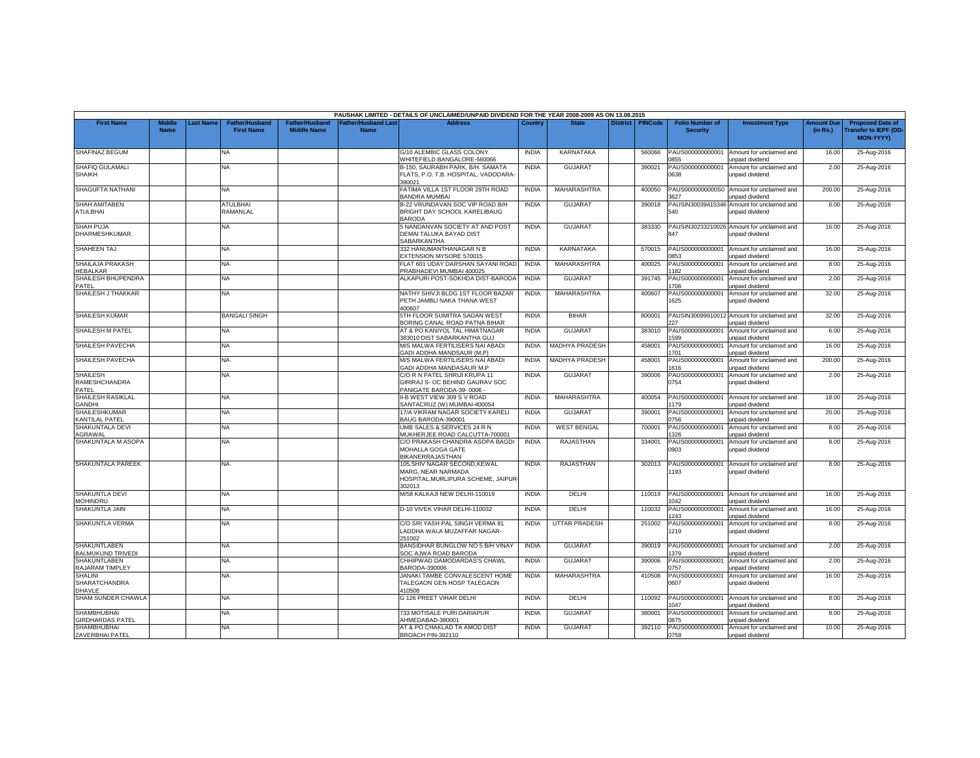|                                                         |                              |                 |                                            |                                             |                                          | PAUSHAK LIMITED - DETAILS OF UNCLAIMED/UNPAID DIVIDEND FOR THE YEAR 2008-2009 AS ON 13.08.2015     |              |                       |                 |                |                                           |                                                               |                               |                                                                            |
|---------------------------------------------------------|------------------------------|-----------------|--------------------------------------------|---------------------------------------------|------------------------------------------|----------------------------------------------------------------------------------------------------|--------------|-----------------------|-----------------|----------------|-------------------------------------------|---------------------------------------------------------------|-------------------------------|----------------------------------------------------------------------------|
| <b>First Name</b>                                       | <b>Middle</b><br><b>Name</b> | <b>ast Name</b> | <b>Father/Husband</b><br><b>First Name</b> | <b>Father/Husband</b><br><b>Middle Name</b> | <b>Father/Husband Las</b><br><b>Name</b> | <b>Address</b>                                                                                     | Country      | <b>State</b>          | <b>District</b> | <b>PINCode</b> | <b>Folio Number of</b><br><b>Security</b> | <b>Investment Type</b>                                        | <b>Amount Due</b><br>(in Rs.) | <b>Proposed Date of</b><br><b>Transfer to IEPF (DD</b><br><b>MON-YYYY)</b> |
| <b>SHAFINAZ BEGUM</b>                                   |                              |                 | <b>NA</b>                                  |                                             |                                          | G/10 ALEMBIC GLASS COLONY<br>WHITEFIELD BANGALORE-560066                                           | <b>INDIA</b> | <b>KARNATAKA</b>      |                 | 560066         | PAUS000000000001<br>855                   | Amount for unclaimed and<br>unpaid dividend                   | 16.00                         | 25-Aug-2016                                                                |
| SHAFIQ GULAMALI<br><b>SHAIKH</b>                        |                              |                 | <b>NA</b>                                  |                                             |                                          | B-150, SAURABH PARK, B/H. SAMATA<br>FLATS, P.O. T.B. HOSPITAL, VADODARA-<br>390021                 | <b>INDIA</b> | <b>GUJARAT</b>        |                 | 390021         | AUS00000000001<br>0638                    | Amount for unclaimed and<br>unpaid dividend                   | 2.00                          | 25-Aug-2016                                                                |
| SHAGUFTA NATHANI                                        |                              |                 | <b>NA</b>                                  |                                             |                                          | ATIMA VILLA 1ST FLOOR 29TH ROAD<br><b>BANDRA MUMBAI</b>                                            | <b>INDIA</b> | MAHARASHTRA           |                 | 400050         | PAUS0000000000S0<br>627                   | Amount for unclaimed and<br>unpaid dividend                   | 200.00                        | 25-Aug-2016                                                                |
| SHAH AMITABEN<br><b>ATULBHAI</b>                        |                              |                 | ATULBHAI<br>RAMANLAL                       |                                             |                                          | B-22 VRUNDAVAN SOC VIP ROAD B/H<br>BRIGHT DAY SCHOOL KARELIBAUG<br><b>BARODA</b>                   | <b>INDIA</b> | <b>GUJARAT</b>        |                 | 390018         | PAUSIN30039415346<br>540                  | Amount for unclaimed and<br>unpaid dividend                   | 6.00                          | 25-Aug-2016                                                                |
| <b>SHAH PUJA</b><br><b>DHARMESHKUMAR</b>                |                              |                 | NA.                                        |                                             |                                          | 5 NANDANVAN SOCIETY AT AND POST<br>DEMAI TALUKA BAYAD DIST<br>SABARKANTHA                          | <b>INDIA</b> | <b>GUJARAT</b>        |                 | 383330         | 847                                       | PAUSIN30233210026 Amount for unclaimed and<br>unpaid dividend | 16.00                         | 25-Aug-2016                                                                |
| SHAHEEN TAJ                                             |                              |                 | <b>NA</b>                                  |                                             |                                          | 332 HANUMANTHANAGAR N B<br><b>EXTENSION MYSORE 570015</b>                                          | <b>INDIA</b> | <b>KARNATAKA</b>      |                 | 570015         | PAUS000000000001<br>853                   | Amount for unclaimed and<br>unpaid dividend                   | 16.00                         | 25-Aug-2016                                                                |
| <b>SHAILAJA PRAKASH</b><br>HEBALKAR                     |                              |                 | NA.                                        |                                             |                                          | FLAT 601 UDAY DARSHAN SAYANI ROAD<br>PRABHADEVI MUMBAI 400025                                      | <b>INDIA</b> | <b>MAHARASHTRA</b>    |                 | 400025         | PAUS000000000001<br>182                   | Amount for unclaimed and<br>unpaid dividend                   | 8.00                          | 25-Aug-2016                                                                |
| SHAILESH BHUPENDRA<br>PATEL                             |                              |                 | NA                                         |                                             |                                          | ALKAPURI POST-SOKHDA DIST-BARODA                                                                   | <b>INDIA</b> | <b>GUJARAT</b>        |                 | 391745         | PAUS000000000001<br>1706                  | Amount for unclaimed and<br>unpaid dividend                   | 2.00                          | 25-Aug-2016                                                                |
| SHAILESH J THAKKAR                                      |                              |                 | <b>NA</b>                                  |                                             |                                          | NATHY SHIVJI BLDG 1ST FLOOR BAZAR<br>PETH JAMBLI NAKA THANA WEST<br>400607                         | <b>INDIA</b> | MAHARASHTRA           |                 | 400607         | AUS00000000000<br>1625                    | Amount for unclaimed and<br>unpaid dividend                   | 32.00                         | 25-Aug-2016                                                                |
| <b>SHAILESH KUMAR</b>                                   |                              |                 | <b>BANGALI SINGH</b>                       |                                             |                                          | 5TH FLOOR SUMITRA SADAN WEST<br>BORING CANAL ROAD PATNA BIHAR                                      | <b>INDIA</b> | <b>BIHAR</b>          |                 | 800001         | PAUSIN30099910012<br>27                   | Amount for unclaimed and<br>unpaid dividend                   | 32.00                         | 25-Aug-2016                                                                |
| SHAILESH M PATEL                                        |                              |                 | NA                                         |                                             |                                          | AT & PO KANIYOL TAL HIMATNAGAR<br>83010 DIST SABARKANTHA GUJ                                       | <b>INDIA</b> | <b>GUJARAT</b>        |                 | 383010         | PAUS000000000001<br>599                   | Amount for unclaimed and<br>unpaid dividend                   | 6.00                          | 25-Aug-2016                                                                |
| SHAILESH PAVECHA                                        |                              |                 | <b>NA</b>                                  |                                             |                                          | M/S MALWA FERTILISERS NAI ABADI<br>GADI ADDHA MANDSAUR (M.P)                                       | <b>INDIA</b> | MADHYA PRADESH        |                 | 458001         | PAUS000000000001<br>1701                  | Amount for unclaimed and<br>unpaid dividend                   | 16.00                         | 25-Aug-2016                                                                |
| <b>SHAILESH PAVECHA</b>                                 |                              |                 | <b>NA</b>                                  |                                             |                                          | M/S MALWA FERTILISERS NAI ABADI<br>GADI ADDHA MANDASAUR M.P                                        | <b>INDIA</b> | <b>MADHYA PRADESH</b> |                 | 458001         | PAUS000000000001<br>1616                  | Amount for unclaimed and<br>unpaid dividend                   | 200.00                        | 25-Aug-2016                                                                |
| <b>SHAILESH</b><br><b>RAMESHCHANDRA</b><br>PATEL        |                              |                 | <b>NA</b>                                  |                                             |                                          | C/O R N PATEL SHRIJI KRUPA 11<br>GIRIRAJ S- OC BEHIND GAURAV SOC<br>PANIGATE BARODA-39-0006        | <b>INDIA</b> | <b>GUJARAT</b>        |                 | 390006         | PAUS000000000001<br>0754                  | Amount for unclaimed and<br>unpaid dividend                   | 2.00                          | 25-Aug-2016                                                                |
| SHAILESH RASIKLAL<br>GANDHI                             |                              |                 | NA.                                        |                                             |                                          | II-B WEST VIEW 309 S V ROAD<br>SANTACRUZ (W) MUMBAI-400054                                         | <b>INDIA</b> | MAHARASHTRA           |                 | 400054         | PAUS000000000001<br>179                   | Amount for unclaimed and<br>unpaid dividend                   | 18.00                         | 25-Aug-2016                                                                |
| <b>SHAILESHKUMAR</b><br><b>KANTILAL PATEL</b>           |                              |                 | NA                                         |                                             |                                          | 17/A VIKRAM NAGAR SOCIETY KARELI<br>BAUG BARODA-390001                                             | <b>INDIA</b> | <b>GUJARAT</b>        |                 | 390001         | PAUS000000000001<br>0756                  | Amount for unclaimed and<br>unpaid dividend                   | 20.00                         | 25-Aug-2016                                                                |
| SHAKUNTALA DEVI<br>AGRAWAL                              |                              |                 | <b>NA</b>                                  |                                             |                                          | UMB SALES & SERVICES 24 R N<br>MUKHERJEE ROAD CALCUTTA-700001                                      | <b>INDIA</b> | <b>WEST BENGAL</b>    |                 | 700001         | PAUS00000000000<br>326                    | Amount for unclaimed and<br>unpaid dividend                   | 8.00                          | 25-Aug-2016                                                                |
| SHAKUNTALA M ASOPA                                      |                              |                 | <b>NA</b>                                  |                                             |                                          | C/O PRAKASH CHANDRA ASOPA BAGDI<br>MOHALLA GOGA GATE<br>BIKANERRAJASTHAN                           | <b>INDIA</b> | RAJASTHAN             |                 | 334001         | PAUS000000000001<br>0903                  | Amount for unclaimed and<br>unpaid dividend                   | 8.00                          | 25-Aug-2016                                                                |
| <b>SHAKUNTALA PAREEK</b>                                |                              |                 | NA.                                        |                                             |                                          | 105.SHIV NAGAR SECOND.KEWAL<br>MARG. NEAR NARMADA<br>HOSPITAL, MURLIPURA SCHEME, JAIPUR-<br>302013 | <b>INDIA</b> | <b>RAJASTHAN</b>      |                 | 302013         | PAUS000000000001<br>193                   | Amount for unclaimed and<br>unpaid dividend                   | 8.00                          | 25-Aug-2016                                                                |
| <b>SHAKUNTLA DEVI</b><br><b>MOHINDRU</b>                |                              |                 | <b>NA</b>                                  |                                             |                                          | M/58 KALKAJI NEW DELHI-110019                                                                      | <b>INDIA</b> | DELHI                 |                 | 110019         | PAUS000000000001<br>042                   | Amount for unclaimed and<br>unpaid dividend                   | 16.00                         | 25-Aug-2016                                                                |
| SHAKUNTLA JAIN                                          |                              |                 | NA                                         |                                             |                                          | D-10 VIVEK VIHAR DELHI-110032                                                                      | <b>INDIA</b> | DELHI                 |                 | 110032         | PAUS000000000001<br>243                   | Amount for unclaimed and<br>unpaid dividend                   | 16.00                         | 25-Aug-2016                                                                |
| SHAKUNTLA VERMA                                         |                              |                 | <b>NA</b>                                  |                                             |                                          | C/O SRI YASH PAL SINGH VERMA 81<br>LADDHA WALA MUZAFFAR NAGAR-<br>251002                           | <b>INDIA</b> | UTTAR PRADESH         |                 | 251002         | PAUS000000000001<br>1219                  | Amount for unclaimed and<br>unpaid dividend                   | 8.00                          | 25-Aug-2016                                                                |
| SHAKUNTLABEN<br>BALMUKUND TRIVEDI                       |                              |                 | <b>NA</b>                                  |                                             |                                          | BANSIDHAR BUNGLOW NO 5 B/H VINAY<br>SOC AJWA ROAD BARODA                                           | <b>INDIA</b> | <b>GUJARAT</b>        |                 | 390019         | PAUS000000000001<br>379                   | Amount for unclaimed and<br>unpaid dividend                   | 2.00                          | 25-Aug-2016                                                                |
| <b>SHAKUNTLABEN</b><br>RAJARAM TIMPLEY                  |                              |                 | <b>NA</b>                                  |                                             |                                          | CHHIPWAD DAMODARDAS'S CHAWL<br>BARODA-390006                                                       | <b>INDIA</b> | <b>GUJARAT</b>        |                 | 390006         | AUS00000000000<br>0757                    | Amount for unclaimed and<br>unpaid dividend                   | 2.00                          | 25-Aug-2016                                                                |
| <b>SHALINI</b><br><b>SHARATCHANDRA</b><br><b>DHAVLE</b> |                              |                 | NA                                         |                                             |                                          | JANAKI TAMBE CONVALESCENT HOME<br>TALEGAON GEN HOSP TALEGAON<br>110508                             | <b>INDIA</b> | MAHARASHTRA           |                 | 410508         | AUS00000000001<br>0607                    | Amount for unclaimed and<br>unpaid dividend                   | 16.00                         | 25-Aug-2016                                                                |
| SHAM SUNDER CHAWLA                                      |                              |                 | <b>NA</b>                                  |                                             |                                          | G 126 PREET VIHAR DELHI                                                                            | <b>INDIA</b> | DELHI                 |                 | 110092         | PAUS000000000001<br>047                   | Amount for unclaimed and<br>unpaid dividend                   | 8.00                          | 25-Aug-2016                                                                |
| <b>SHAMBHUBHAI</b><br><b>GIRDHARDAS PATEL</b>           |                              |                 | <b>NA</b>                                  |                                             |                                          | 733 MOTISALE PURI DARIAPUR<br>HMEDABAD-380001                                                      | <b>INDIA</b> | <b>GUJARAT</b>        |                 | 380001         | PAUS000000000001<br>)875                  | Amount for unclaimed and<br>unpaid dividend                   | 8.00                          | 25-Aug-2016                                                                |
| <b>SHAMBHUBHAI</b><br>ZAVERBHAI PATEL                   |                              |                 | NA.                                        |                                             |                                          | AT & PO CHAKLAD TA AMOD DIST<br>BROACH PIN-392110                                                  | <b>INDIA</b> | <b>GUJARAT</b>        |                 | 392110         | PAUS000000000001<br>0758                  | Amount for unclaimed and<br>unpaid dividend                   | 10.00                         | 25-Aug-2016                                                                |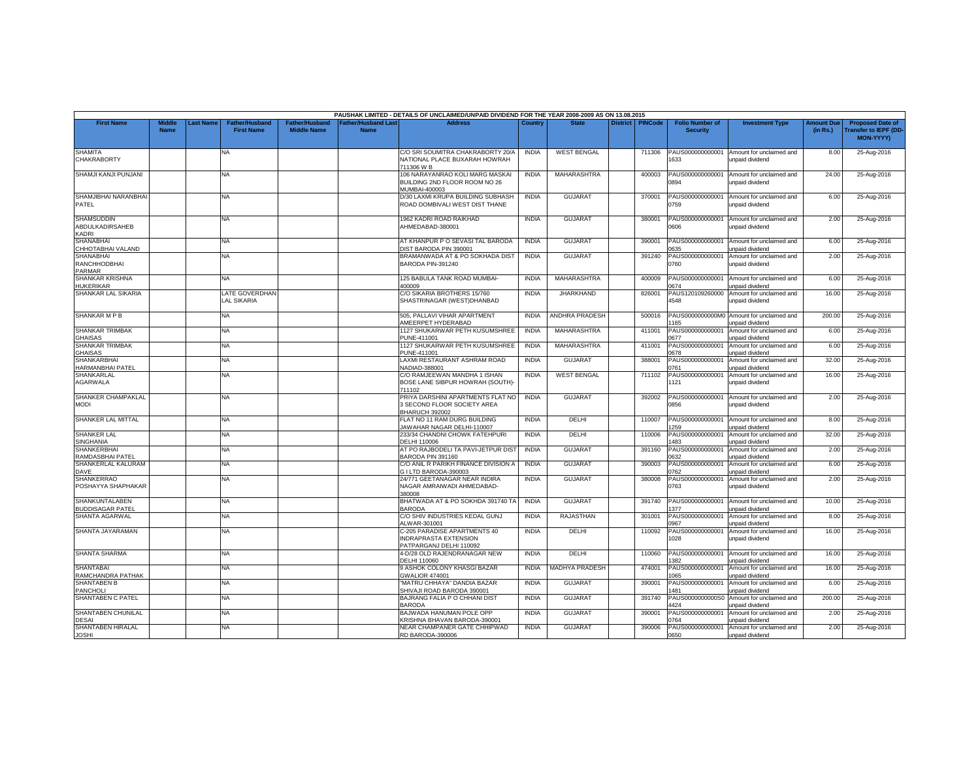|                                                          |                              |          |                                            |                                             |                                           | PAUSHAK LIMITED - DETAILS OF UNCLAIMED/UNPAID DIVIDEND FOR THE YEAR 2008-2009 AS ON 13.08.2015 |              |                       |                 |                |                                           |                                                                     |                               |                                                                      |
|----------------------------------------------------------|------------------------------|----------|--------------------------------------------|---------------------------------------------|-------------------------------------------|------------------------------------------------------------------------------------------------|--------------|-----------------------|-----------------|----------------|-------------------------------------------|---------------------------------------------------------------------|-------------------------------|----------------------------------------------------------------------|
| <b>First Name</b>                                        | <b>Middle</b><br><b>Name</b> | ast Name | <b>Father/Husband</b><br><b>First Name</b> | <b>Father/Husband</b><br><b>Middle Name</b> | <b>Father/Husband Last</b><br><b>Name</b> | <b>Address</b>                                                                                 | Country      | <b>State</b>          | <b>District</b> | <b>PINCode</b> | <b>Folio Number of</b><br><b>Security</b> | <b>Investment Type</b>                                              | <b>Amount Due</b><br>(in Rs.) | <b>Proposed Date of</b><br><b>Transfer to IEPF (DD-</b><br>MON-YYYY) |
| <b>SHAMITA</b><br><b>CHAKRABORTY</b>                     |                              |          | NA.                                        |                                             |                                           | C/O SRI SOUMITRA CHAKRABORTY 20/A<br>NATIONAL PLACE BUXARAH HOWRAH<br>711306 W B               | <b>INDIA</b> | <b>WEST BENGAL</b>    |                 | 711306         | PAUS000000000001<br>1633                  | Amount for unclaimed and<br>unpaid dividend                         | 8.00                          | 25-Aug-2016                                                          |
| SHAMJI KANJI PUNJANI                                     |                              |          | NA                                         |                                             |                                           | 106 NARAYANRAO KOLI MARG MASKAI<br>BUILDING 2ND FLOOR ROOM NO 26<br>MUMBAI-400003              | <b>INDIA</b> | <b>MAHARASHTRA</b>    |                 | 400003         | PAUS000000000001<br>0894                  | Amount for unclaimed and<br>unpaid dividend                         | 24.00                         | 25-Aug-2016                                                          |
| SHAMJIBHAI NARANBHAI<br>PATEL                            |                              |          | NA                                         |                                             |                                           | D/30 LAXMI KRUPA BUILDING SUBHASH<br>ROAD DOMBIVALI WEST DIST THANE                            | <b>INDIA</b> | <b>GUJARAT</b>        |                 | 370001         | 0759                                      | PAUS000000000001 Amount for unclaimed and<br>unpaid dividend        | 6.00                          | 25-Aug-2016                                                          |
| <b>SHAMSUDDIN</b><br>ABDULKADIRSAHEB<br>KADRI            |                              |          | NA                                         |                                             |                                           | 1962 KADRI ROAD RAIKHAD<br>AHMEDABAD-380001                                                    | <b>INDIA</b> | <b>GUJARAT</b>        |                 | 380001         | PAUS000000000001<br>3060                  | Amount for unclaimed and<br>unpaid dividend                         | 2.00                          | 25-Aug-2016                                                          |
| <b>SHANABHAI</b><br>CHHOTABHAI VALAND                    |                              |          | <b>NA</b>                                  |                                             |                                           | AT KHANPUR P O SEVASI TAL BARODA<br>DIST BARODA PIN 390001                                     | <b>INDIA</b> | <b>GUJARAT</b>        |                 | 390001         | 0635                                      | PAUS000000000001 Amount for unclaimed and<br>unpaid dividend        | 6.00                          | 25-Aug-2016                                                          |
| <b>SHANABHAI</b><br><b>RANCHHODBHAI</b><br><b>PARMAR</b> |                              |          | NA.                                        |                                             |                                           | BRAMANWADA AT & PO SOKHADA DIST<br>BARODA PIN-391240                                           | <b>INDIA</b> | <b>GUJARAT</b>        |                 | 391240         | 3760                                      | PAUS000000000001 Amount for unclaimed and<br>unpaid dividend        | 2.00                          | 25-Aug-2016                                                          |
| SHANKAR KRISHNA<br><b>HUKERIKAR</b>                      |                              |          | NA                                         |                                             |                                           | 125 BABULA TANK ROAD MUMBAI-<br>400009                                                         | <b>INDIA</b> | MAHARASHTRA           |                 | 400009         | PAUS000000000001<br>0674                  | Amount for unclaimed and<br>unpaid dividend                         | 6.00                          | 25-Aug-2016                                                          |
| <b>SHANKAR LAL SIKARIA</b>                               |                              |          | LATE GOVERDHAN<br><b>LAL SIKARIA</b>       |                                             |                                           | C/O SIKARIA BROTHERS 15/760<br>SHASTRINAGAR (WEST)DHANBAD                                      | <b>INDIA</b> | <b>JHARKHAND</b>      |                 | 826001         | PAUS120109260000<br>4548                  | Amount for unclaimed and<br>unpaid dividend                         | 16.00                         | 25-Aug-2016                                                          |
| <b>SHANKAR M P B</b>                                     |                              |          | NA.                                        |                                             |                                           | 505. PALLAVI VIHAR APARTMENT<br>AMEERPET HYDERABAD                                             | <b>INDIA</b> | <b>ANDHRA PRADESH</b> |                 | 500016         | 165                                       | PAUS0000000000M0 Amount for unclaimed and<br><b>Inpaid dividend</b> | 200.00                        | 25-Aug-2016                                                          |
| <b>SHANKAR TRIMBAK</b><br><b>GHAISAS</b>                 |                              |          | NA                                         |                                             |                                           | 1127 SHUKARWAR PETH KUSUMSHREE<br>PUNE-411001                                                  | <b>INDIA</b> | MAHARASHTRA           |                 | 411001         | PAUS000000000001<br>0677                  | Amount for unclaimed and<br>unpaid dividend                         | 6.00                          | 25-Aug-2016                                                          |
| SHANKAR TRIMBAK<br><b>GHAISAS</b>                        |                              |          | NA                                         |                                             |                                           | 1127 SHUKARWAR PETH KUSUMSHREE<br>PUNE-411001                                                  | <b>INDIA</b> | MAHARASHTRA           |                 | 411001         | PAUS000000000001<br>0678                  | Amount for unclaimed and<br>unpaid dividend                         | 6.00                          | 25-Aug-2016                                                          |
| <b>SHANKARBHA</b><br>HARMANBHAI PATEL                    |                              |          | NA.                                        |                                             |                                           | LAXMI RESTAURANT ASHRAM ROAD<br>NADIAD-388001                                                  | <b>INDIA</b> | <b>GUJARAT</b>        |                 | 388001         | PAUS000000000001<br>1761                  | Amount for unclaimed and<br>unpaid dividend                         | 32.00                         | 25-Aug-2016                                                          |
| SHANKARLAL<br>AGARWALA                                   |                              |          | <b>NA</b>                                  |                                             |                                           | C/O RAMJEEWAN MANDHA 1 ISHAN<br>BOSE LANE SIBPUR HOWRAH (SOUTH)<br>711102                      | <b>INDIA</b> | <b>WEST BENGAL</b>    |                 | 711102         | PAUS000000000001<br>121                   | Amount for unclaimed and<br>unpaid dividend                         | 16.00                         | 25-Aug-2016                                                          |
| SHANKER CHAMPAKLAL<br><b>MODI</b>                        |                              |          | NA                                         |                                             |                                           | PRIYA DARSHINI APARTMENTS FLAT NO<br>3 SECOND FLOOR SOCIETY AREA<br><b>BHARUCH 392002</b>      | <b>INDIA</b> | <b>GUJARAT</b>        |                 | 392002         | 0856                                      | PAUS000000000001 Amount for unclaimed and<br>unpaid dividend        | 2.00                          | 25-Aug-2016                                                          |
| SHANKER LAL MITTAL                                       |                              |          | <b>NA</b>                                  |                                             |                                           | FLAT NO 11 RAM DURG BUILDING<br>JAWAHAR NAGAR DELHI-110007                                     | <b>INDIA</b> | DELHI                 |                 | 110007         | PAUS000000000001<br>1259                  | Amount for unclaimed and<br>unpaid dividend                         | 8.00                          | 25-Aug-2016                                                          |
| <b>SHANKER LAL</b><br><b>SINGHANIA</b>                   |                              |          | NA                                         |                                             |                                           | 233/34 CHANDNI CHOWK FATEHPURI<br>DELHI 110006                                                 | <b>INDIA</b> | DELHI                 |                 | 110006         | PAUS00000000000<br>483                    | Amount for unclaimed and<br>unpaid dividend                         | 32.00                         | 25-Aug-2016                                                          |
| <b>SHANKERBHAI</b><br>RAMDASBHAI PATEL                   |                              |          | ΝA                                         |                                             |                                           | AT PO RAJBODELI TA PAVI-JETPUR DIST<br>BARODA PIN 391160                                       | <b>INDIA</b> | <b>GUJARAT</b>        |                 | 391160         | PAUS000000000001<br>632                   | Amount for unclaimed and<br>npaid dividend                          | 2.00                          | 25-Aug-2016                                                          |
| SHANKERLAL KALURAM<br>DAVE                               |                              |          | NA                                         |                                             |                                           | C/O ANIL R PARIKH FINANCE DIVISION A<br>G I LTD BARODA-390003                                  | <b>INDIA</b> | <b>GUJARAT</b>        |                 | 390003         | PAUS000000000001<br>1762                  | Amount for unclaimed and<br>unpaid dividend                         | 6.00                          | 25-Aug-2016                                                          |
| <b>SHANKERRAO</b><br>POSHAYYA SHAPHAKAR                  |                              |          | ΝA                                         |                                             |                                           | 24/771 GEETANAGAR NEAR INDIRA<br>NAGAR AMRAIWADI AHMEDABAD-<br>380008                          | <b>INDIA</b> | <b>GUJARAT</b>        |                 | 380008         | PAUS000000000001<br>0763                  | Amount for unclaimed and<br>unpaid dividend                         | 2.00                          | 25-Aug-2016                                                          |
| SHANKUNTALABEN<br><b>BUDDISAGAR PATEL</b>                |                              |          | NA                                         |                                             |                                           | BHATWADA AT & PO SOKHDA 391740 TA<br><b>BARODA</b>                                             | <b>INDIA</b> | <b>GUJARAT</b>        |                 | 391740         | PAUS000000000001<br>377                   | Amount for unclaimed and<br>unpaid dividend                         | 10.00                         | 25-Aug-2016                                                          |
| SHANTA AGARWAL                                           |                              |          | ΝA                                         |                                             |                                           | C/O SHIV INDUSTRIES KEDAL GUNJ<br>ALWAR-301001                                                 | <b>INDIA</b> | RAJASTHAN             |                 | 301001         | 0967                                      | PAUS000000000001 Amount for unclaimed and<br><b>Inpaid dividend</b> | 8.00                          | 25-Aug-2016                                                          |
| SHANTA JAYARAMAN                                         |                              |          | NA.                                        |                                             |                                           | C-205 PARADISE APARTMENTS 40<br><b>INDRAPRASTA EXTENSION</b><br>PATPARGANJ DELHI 110092        | <b>INDIA</b> | DELHI                 |                 | 110092         | 1028                                      | PAUS000000000001 Amount for unclaimed and<br>unpaid dividend        | 16.00                         | 25-Aug-2016                                                          |
| <b>SHANTA SHARMA</b>                                     |                              |          | <b>NA</b>                                  |                                             |                                           | 4-D/28 OLD RAJENDRANAGAR NEW<br>DELHI 110060                                                   | <b>INDIA</b> | DELHI                 |                 | 110060         | PAUS000000000001<br>1382                  | Amount for unclaimed and<br>unpaid dividend                         | 16.00                         | 25-Aug-2016                                                          |
| <b>SHANTABAI</b><br>RAMCHANDRA PATHAK                    |                              |          | NA                                         |                                             |                                           | 9 ASHOK COLONY KHASGI BAZAR<br><b>GWALIOR 474001</b>                                           | <b>INDIA</b> | <b>MADHYA PRADESH</b> |                 | 474001         | PAUS000000000001<br>1065                  | Amount for unclaimed and<br>unpaid dividend                         | 16.00                         | 25-Aug-2016                                                          |
| <b>SHANTABEN B</b><br><b>PANCHOLI</b>                    |                              |          | NA                                         |                                             |                                           | "MATRU CHHAYA" DANDIA BAZAR<br>SHIVAJI ROAD BARODA 390001                                      | <b>INDIA</b> | <b>GUJARAT</b>        |                 | 390001         | PAUS000000000001<br>481                   | Amount for unclaimed and<br>inpaid dividend                         | 6.00                          | 25-Aug-2016                                                          |
| <b>SHANTABEN C PATEL</b>                                 |                              |          | NA.                                        |                                             |                                           | BAJRANG FALIA P O CHHANI DIST<br><b>BARODA</b>                                                 | <b>INDIA</b> | <b>GUJARAT</b>        |                 | 391740         | PAUS0000000000S0<br>424                   | Amount for unclaimed and<br>unpaid dividend                         | 200.00                        | 25-Aug-2016                                                          |
| SHANTABEN CHUNILAL<br><b>DESAI</b>                       |                              |          | NA.                                        |                                             |                                           | BAJWADA HANUMAN POLE OPF<br><b>KRISHNA BHAVAN BARODA-390001</b>                                | <b>INDIA</b> | <b>GUJARAT</b>        |                 | 390001         | PAUS000000000001<br>1764                  | Amount for unclaimed and<br>unpaid dividend                         | 2.00                          | 25-Aug-2016                                                          |
| SHANTABEN HIRALAL<br><b>JOSHI</b>                        |                              |          | NA                                         |                                             |                                           | NEAR CHAMPANER GATE CHHIPWAD<br>RD BARODA-390006                                               | <b>INDIA</b> | <b>GUJARAT</b>        |                 | 390006         | PAUS000000000001<br>0650                  | Amount for unclaimed and<br>unpaid dividend                         | 2.00                          | 25-Aug-2016                                                          |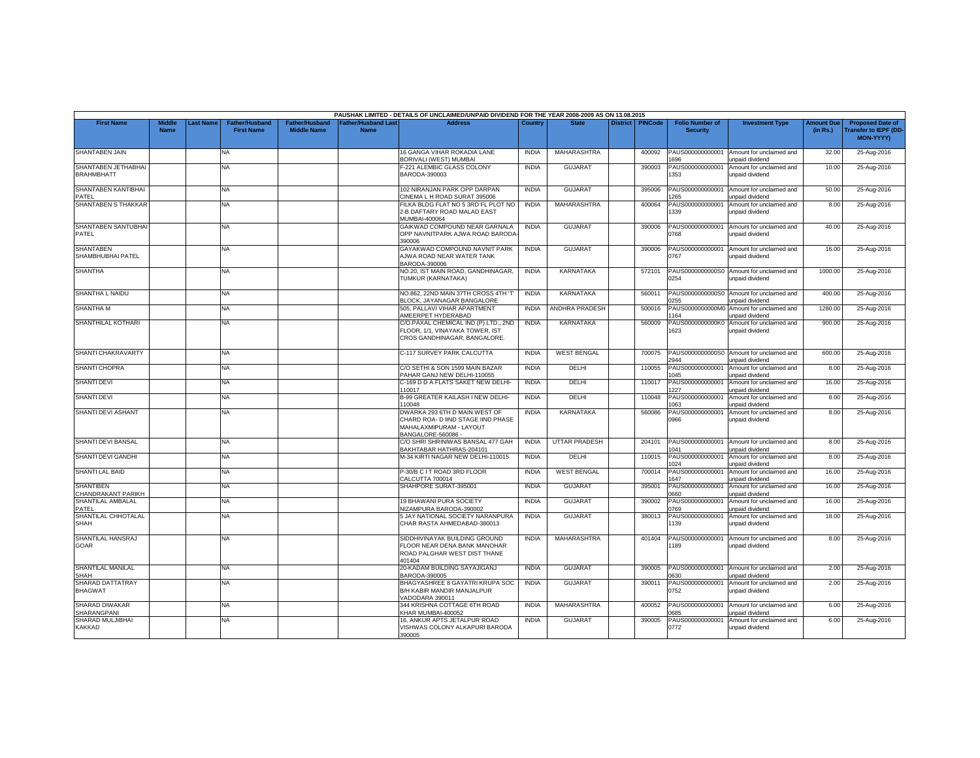|                                          |                              |                  |                                            |                                             |                                          | PAUSHAK LIMITED - DETAILS OF UNCLAIMED/UNPAID DIVIDEND FOR THE YEAR 2008-2009 AS ON 13.08.2015                     |              |                       |                 |                |                                           |                                                              |                               |                                                                     |
|------------------------------------------|------------------------------|------------------|--------------------------------------------|---------------------------------------------|------------------------------------------|--------------------------------------------------------------------------------------------------------------------|--------------|-----------------------|-----------------|----------------|-------------------------------------------|--------------------------------------------------------------|-------------------------------|---------------------------------------------------------------------|
| <b>First Name</b>                        | <b>Middle</b><br><b>Name</b> | <b>Last Name</b> | <b>Father/Husband</b><br><b>First Name</b> | <b>Father/Husband</b><br><b>Middle Name</b> | <b>Father/Husband Las</b><br><b>Name</b> | <b>Address</b>                                                                                                     | Country      | <b>State</b>          | <b>District</b> | <b>PINCode</b> | <b>Folio Number of</b><br><b>Security</b> | <b>Investment Type</b>                                       | <b>Amount Due</b><br>(in Rs.) | <b>Proposed Date of</b><br><b>Transfer to IEPF (DD</b><br>MON-YYYY) |
| <b>SHANTABEN JAIN</b>                    |                              |                  | <b>NA</b>                                  |                                             |                                          | 16 GANGA VIHAR ROKADIA LANE<br>BORIVALI (WEST) MUMBAI                                                              | <b>INDIA</b> | MAHARASHTRA           |                 | 400092         | PAUS000000000001<br>696                   | Amount for unclaimed and<br>unpaid dividend                  | 32.00                         | 25-Aug-2016                                                         |
| SHANTABEN JETHABHAI<br><b>BRAHMBHATT</b> |                              |                  | NA                                         |                                             |                                          | F-221 ALEMBIC GLASS COLONY<br>BARODA-390003                                                                        | <b>INDIA</b> | <b>GUJARAT</b>        |                 | 390003         | PAUS000000000001<br>353                   | Amount for unclaimed and<br>unpaid dividend                  | 10.00                         | 25-Aug-2016                                                         |
| <b>SHANTABEN KANTIBHAI</b><br>PATFL      |                              |                  | <b>NA</b>                                  |                                             |                                          | 102 NIRANJAN PARK OPP DARPAN<br>CINEMA L H ROAD SURAT 395006                                                       | <b>INDIA</b> | <b>GUJARAT</b>        |                 | 395006         | PAUS00000000000<br>265                    | Amount for unclaimed and<br>unpaid dividend                  | 50.00                         | 25-Aug-2016                                                         |
| SHANTABEN S THAKKAR                      |                              |                  | NA                                         |                                             |                                          | FILKA BLDG FLAT NO 5 3RD FL PLOT NO<br>2-B DAFTARY ROAD MALAD EAST<br>MUMBAI-400064                                | <b>INDIA</b> | MAHARASHTRA           |                 | 400064         | PAUS000000000001<br>1339                  | Amount for unclaimed and<br>unpaid dividend                  | 8.00                          | 25-Aug-2016                                                         |
| SHANTABEN SANTUBHA<br>PATEL              |                              |                  | <b>NA</b>                                  |                                             |                                          | GAIKWAD COMPOUND NEAR GARNALA<br>OPP NAVNITPARK AJWA ROAD BARODA<br>390006                                         | <b>INDIA</b> | <b>GUJARAT</b>        |                 | 390006         | PAUS000000000001<br>0768                  | Amount for unclaimed and<br>unpaid dividend                  | 40.00                         | 25-Aug-2016                                                         |
| SHANTABEN<br>SHAMBHUBHAI PATEL           |                              |                  | NA.                                        |                                             |                                          | GAYAKWAD COMPOUND NAVNIT PARK<br>AJWA ROAD NEAR WATER TANK<br>BARODA-390006                                        | <b>INDIA</b> | <b>GUJARAT</b>        |                 | 390006         | PAUS000000000001<br>0767                  | Amount for unclaimed and<br>unpaid dividend                  | 16.00                         | 25-Aug-2016                                                         |
| <b>SHANTHA</b>                           |                              |                  | NA                                         |                                             |                                          | NO.20, IST MAIN ROAD, GANDHINAGAR,<br>TUMKUR (KARNATAKA)                                                           | <b>INDIA</b> | KARNATAKA             |                 | 572101         | PAUS0000000000S0<br>0254                  | Amount for unclaimed and<br>unpaid dividend                  | 1000.00                       | 25-Aug-2016                                                         |
| SHANTHA L NAIDU                          |                              |                  | <b>NA</b>                                  |                                             |                                          | NO.862, 22ND MAIN 37TH CROSS 4TH 'T<br>BLOCK, JAYANAGAR BANGALORE                                                  | <b>INDIA</b> | <b>KARNATAKA</b>      |                 | 560011         | PAUS0000000000S0<br>255                   | Amount for unclaimed and<br>unpaid dividend                  | 400.00                        | 25-Aug-2016                                                         |
| SHANTHA M                                |                              |                  | <b>NA</b>                                  |                                             |                                          | 505. PALLAVI VIHAR APARTMENT<br>AMEERPET HYDERABAD                                                                 | <b>INDIA</b> | <b>ANDHRA PRADESH</b> |                 | 500016         | 164                                       | PAUS0000000000M0 Amount for unclaimed and<br>unpaid dividend | 1280.00                       | 25-Aug-2016                                                         |
| SHANTHILAL KOTHARI                       |                              |                  | <b>NA</b>                                  |                                             |                                          | C/O.PAXAL CHEMICAL IND (P) LTD., 2ND<br>FLOOR, 1/1, VINAYAKA TOWER, IST<br>CROS GANDHINAGAR, BANGALORE.            | <b>INDIA</b> | <b>KARNATAKA</b>      |                 | 560009         | PAUS0000000000K0<br>1623                  | Amount for unclaimed and<br>unpaid dividend                  | 900.00                        | 25-Aug-2016                                                         |
| SHANTI CHAKRAVARTY                       |                              |                  | <b>NA</b>                                  |                                             |                                          | C-117 SURVEY PARK CALCUTTA                                                                                         | <b>INDIA</b> | <b>WEST BENGAL</b>    |                 | 700075         | 2944                                      | PAUS0000000000S0 Amount for unclaimed and<br>unpaid dividend | 600.00                        | 25-Aug-2016                                                         |
| <b>SHANTI CHOPRA</b>                     |                              |                  | NA                                         |                                             |                                          | C/O SETHI & SON 1599 MAIN BAZAR<br>PAHAR GANJ NEW DELHI-110055                                                     | <b>INDIA</b> | DELHI                 |                 | 110055         | PAUS000000000001<br>045                   | Amount for unclaimed and<br>unpaid dividend                  | 8.00                          | 25-Aug-2016                                                         |
| <b>SHANTI DEVI</b>                       |                              |                  | <b>NA</b>                                  |                                             |                                          | C-169 D D A FLATS SAKET NEW DELHI-<br>110017                                                                       | <b>INDIA</b> | DELHI                 |                 | 110017         | PAUS000000000001<br>227                   | Amount for unclaimed and<br>unpaid dividend                  | 16.00                         | 25-Aug-2016                                                         |
| <b>SHANTI DEVI</b>                       |                              |                  | <b>NA</b>                                  |                                             |                                          | B-99 GREATER KAILASH I NEW DELHI-<br>110048                                                                        | <b>INDIA</b> | DELHI                 |                 | 110048         | PAUS000000000001<br>063                   | Amount for unclaimed and<br>unpaid dividend                  | 8.00                          | 25-Aug-2016                                                         |
| SHANTI DEVI ASHANT                       |                              |                  | <b>NA</b>                                  |                                             |                                          | DWARKA 293 6TH D MAIN WEST OF<br>CHARD ROA- D IIND STAGE IIND PHASE<br>MAHALAXMIPURAM - LAYOUT<br>BANGALORE-560086 | <b>INDIA</b> | KARNATAKA             |                 | 560086         | PAUS000000000001<br>0966                  | Amount for unclaimed and<br>unpaid dividend                  | 8.00                          | 25-Aug-2016                                                         |
| <b>SHANTI DEVI BANSAL</b>                |                              |                  | <b>NA</b>                                  |                                             |                                          | C/O SHRI SHRINIWAS BANSAL 477 GAH<br>BAKHTABAR HATHRAS-204101                                                      | <b>INDIA</b> | <b>UTTAR PRADESH</b>  |                 | 204101         | PAUS000000000001<br>041                   | Amount for unclaimed and<br>unpaid dividend                  | 8.00                          | 25-Aug-2016                                                         |
| SHANTI DEVI GANDHI                       |                              |                  | NA                                         |                                             |                                          | M-34 KIRTI NAGAR NEW DELHI-110015                                                                                  | <b>INDIA</b> | DELHI                 |                 | 110015         | PAUS000000000001<br>024                   | Amount for unclaimed and<br>unpaid dividend                  | 8.00                          | 25-Aug-2016                                                         |
| SHANTI LAL BAID                          |                              |                  | <b>NA</b>                                  |                                             |                                          | P-30/B C I T ROAD 3RD FLOOR<br>CALCUTTA 700014                                                                     | <b>INDIA</b> | <b>WEST BENGAL</b>    |                 | 700014         | PAUS000000000001<br>647                   | Amount for unclaimed and<br>unpaid dividend                  | 16.00                         | 25-Aug-2016                                                         |
| <b>SHANTIBEN</b><br>CHANDRAKANT PARIKH   |                              |                  | <b>NA</b>                                  |                                             |                                          | SHAHPORE SURAT-395001                                                                                              | <b>INDIA</b> | <b>GUJARAT</b>        |                 | 395001         | PAUS000000000001<br>0660                  | Amount for unclaimed and<br>unpaid dividend                  | 16.00                         | 25-Aug-2016                                                         |
| SHANTILAL AMBALAL<br>PATEL               |                              |                  | <b>NA</b>                                  |                                             |                                          | <b>19 BHAWANI PURA SOCIETY</b><br>NIZAMPURA BARODA-390002                                                          | <b>INDIA</b> | <b>GUJARAT</b>        |                 | 390002         | PAUS000000000001<br>0769                  | Amount for unclaimed and<br>unpaid dividend                  | 16.00                         | 25-Aug-2016                                                         |
| SHANTILAL CHHOTALAL<br>SHAH              |                              |                  | NA                                         |                                             |                                          | 5 JAY NATIONAL SOCIETY NARANPURA<br>CHAR RASTA AHMEDABAD-380013                                                    | <b>INDIA</b> | <b>GUJARAT</b>        |                 | 380013         | PAUS000000000001<br>1139                  | Amount for unclaimed and<br>unpaid dividend                  | 18.00                         | 25-Aug-2016                                                         |
| SHANTILAL HANSRAJ<br><b>GOAR</b>         |                              |                  | NA.                                        |                                             |                                          | SIDDHIVINAYAK BUILDING GROUND<br>FLOOR NEAR DENA BANK MANOHAR<br>ROAD PALGHAR WEST DIST THANE<br>401404            | <b>INDIA</b> | MAHARASHTRA           |                 | 401404         | PAUS000000000001<br>189                   | Amount for unclaimed and<br>unpaid dividend                  | 8.00                          | 25-Aug-2016                                                         |
| SHANTILAL MANILAL<br>SHAH                |                              |                  | <b>NA</b>                                  |                                             |                                          | 20-KADAM BUILDING SAYAJIGANJ<br>BARODA-390005                                                                      | <b>INDIA</b> | <b>GUJARAT</b>        |                 | 390005         | PAUS000000000001<br>0630                  | Amount for unclaimed and<br>unpaid dividend                  | 2.00                          | 25-Aug-2016                                                         |
| SHARAD DATTATRAY<br><b>BHAGWAT</b>       |                              |                  | NA                                         |                                             |                                          | BHAGYASHREE 8 GAYATRI KRUPA SOC<br>B/H KABIR MANDIR MANJALPUR<br>VADODARA 390011                                   | <b>INDIA</b> | <b>GUJARAT</b>        |                 | 390011         | PAUS000000000001<br>0752                  | Amount for unclaimed and<br>unpaid dividend                  | 2.00                          | 25-Aug-2016                                                         |
| <b>SHARAD DIWAKAR</b><br>SHARANGPANI     |                              |                  | <b>NA</b>                                  |                                             |                                          | 344 KRISHNA COTTAGE 6TH ROAD<br>KHAR MUMBAI-400052                                                                 | <b>INDIA</b> | MAHARASHTRA           |                 | 400052         | PAUS000000000001<br><b>GR5</b>            | Amount for unclaimed and<br>unpaid dividend                  | 6.00                          | 25-Aug-2016                                                         |
| SHARAD MULJIBHAI<br>KAKKAD               |                              |                  | <b>NA</b>                                  |                                             |                                          | 16, ANKUR APTS JETALPUR ROAD<br>VISHWAS COLONY ALKAPURI BARODA<br>390005                                           | <b>INDIA</b> | <b>GUJARAT</b>        |                 | 390005         | PAUS000000000001<br>0772                  | Amount for unclaimed and<br>unpaid dividend                  | 6.00                          | 25-Aug-2016                                                         |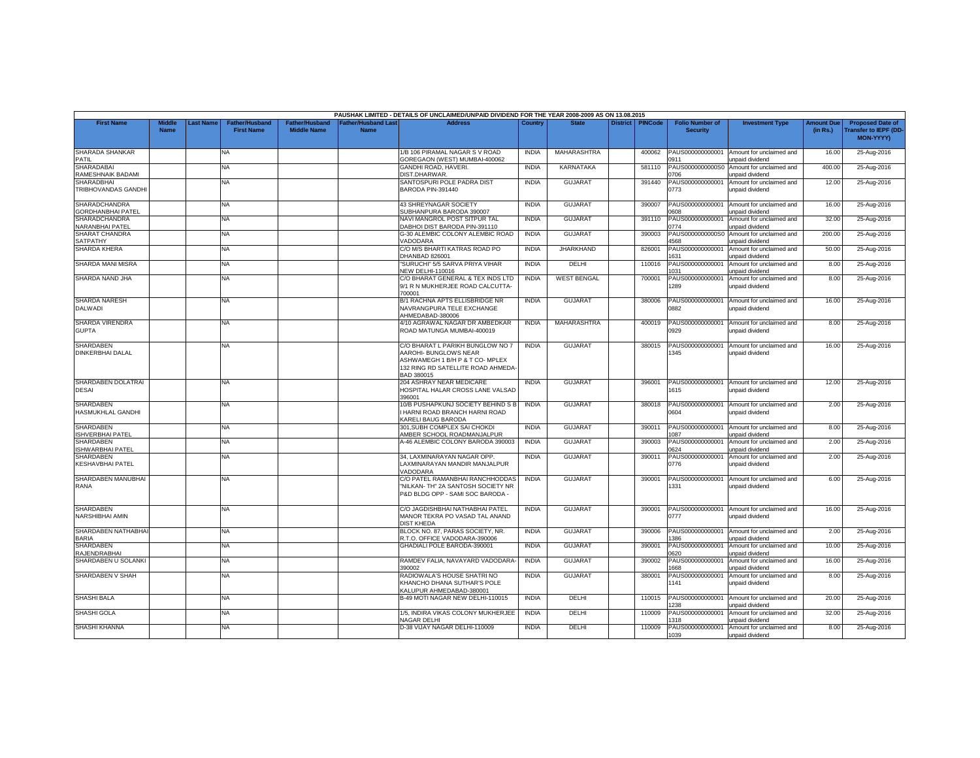|                                                  |                              |           |                                            |                                             |                                    | PAUSHAK LIMITED - DETAILS OF UNCLAIMED/UNPAID DIVIDEND FOR THE YEAR 2008-2009 AS ON 13.08.2015                                                  |              |                    |                 |                |                                           |                                                    |                               |                                                                     |
|--------------------------------------------------|------------------------------|-----------|--------------------------------------------|---------------------------------------------|------------------------------------|-------------------------------------------------------------------------------------------------------------------------------------------------|--------------|--------------------|-----------------|----------------|-------------------------------------------|----------------------------------------------------|-------------------------------|---------------------------------------------------------------------|
| <b>First Name</b>                                | <b>Middle</b><br><b>Name</b> | Last Name | <b>Father/Husband</b><br><b>First Name</b> | <b>Father/Husband</b><br><b>Middle Name</b> | <b>Father/Husband Last</b><br>Name | <b>Address</b>                                                                                                                                  | Country      | <b>State</b>       | <b>District</b> | <b>PINCode</b> | <b>Folio Number of</b><br><b>Security</b> | <b>Investment Type</b>                             | <b>Amount Due</b><br>(in Rs.) | <b>Proposed Date of</b><br><b>Transfer to IEPF (DD</b><br>MON-YYYY) |
| SHARADA SHANKAR<br><b>PATIL</b>                  |                              |           | NA.                                        |                                             |                                    | 1/B 106 PIRAMAL NAGAR S V ROAD<br>GOREGAON (WEST) MUMBAI-400062                                                                                 | <b>INDIA</b> | <b>MAHARASHTRA</b> |                 | 400062         | PAUS000000000001<br>0911                  | Amount for unclaimed and<br>unpaid dividend        | 16.00                         | 25-Aug-2016                                                         |
| <b>SHARADABAI</b><br>RAMESHNAIK BADAMI           |                              |           | NA                                         |                                             |                                    | GANDHI ROAD, HAVERI<br>DIST.DHARWAR                                                                                                             | <b>INDIA</b> | KARNATAKA          |                 | 581110         | PAUS0000000000S0<br>1706                  | Amount for unclaimed and<br>unpaid dividend        | 400.00                        | 25-Aug-2016                                                         |
| <b>SHARADBHAI</b><br>TRIBHOVANDAS GANDHI         |                              |           | NA                                         |                                             |                                    | SANTOSPURI POLE PADRA DIST<br>BARODA PIN-391440                                                                                                 | <b>INDIA</b> | <b>GUJARAT</b>     |                 | 391440         | PAUS000000000001<br>0773                  | Amount for unclaimed and<br>unpaid dividend        | 12.00                         | 25-Aug-2016                                                         |
| <b>SHARADCHANDRA</b><br><b>GORDHANBHAI PATEL</b> |                              |           | NA                                         |                                             |                                    | 43 SHREYNAGAR SOCIETY<br>SUBHANPURA BARODA 390007                                                                                               | <b>INDIA</b> | <b>GUJARAT</b>     |                 | 390007         | PAUS000000000001<br>8060                  | Amount for unclaimed and<br>unpaid dividend        | 16.00                         | 25-Aug-2016                                                         |
| <b>SHARADCHANDRA</b><br>NARANBHAI PATEL          |                              |           | <b>NA</b>                                  |                                             |                                    | NAVI MANGROL POST SITPUR TAL<br>DABHOI DIST BARODA PIN-391110                                                                                   | <b>INDIA</b> | <b>GUJARAT</b>     |                 | 391110         | PAUS000000000001<br>1774                  | Amount for unclaimed and<br>unpaid dividend        | 32.00                         | 25-Aug-2016                                                         |
| SHARAT CHANDRA<br>SATPATHY                       |                              |           | NA                                         |                                             |                                    | G-30 ALEMBIC COLONY ALEMBIC ROAD<br>VADODARA                                                                                                    | <b>INDIA</b> | <b>GUJARAT</b>     |                 | 390003         | PAUS0000000000S0<br>1568                  | Amount for unclaimed and<br><b>Inpaid dividend</b> | 200.00                        | 25-Aug-2016                                                         |
| SHARDA KHERA                                     |                              |           | NA                                         |                                             |                                    | C/O M/S BHARTI KATRAS ROAD PO<br><b>DHANBAD 826001</b>                                                                                          | <b>INDIA</b> | <b>JHARKHAND</b>   |                 | 826001         | PAUS000000000001<br>631                   | Amount for unclaimed and<br>unpaid dividend        | 50.00                         | 25-Aug-2016                                                         |
| SHARDA MANI MISRA                                |                              |           | NA                                         |                                             |                                    | "SURUCHI" 5/5 SARVA PRIYA VIHAR<br><b>NEW DELHI-110016</b>                                                                                      | <b>INDIA</b> | DELHI              |                 | 110016         | PAUS000000000001<br>031                   | Amount for unclaimed and<br>unpaid dividend        | 8.00                          | 25-Aug-2016                                                         |
| SHARDA NAND JHA                                  |                              |           | NA                                         |                                             |                                    | C/O BHARAT GENERAL & TEX INDS LTD<br>9/1 R N MUKHERJEE ROAD CALCUTTA-<br>700001                                                                 | <b>INDIA</b> | <b>WEST BENGAL</b> |                 | 700001         | PAUS000000000001<br>1289                  | Amount for unclaimed and<br>unpaid dividend        | 8.00                          | 25-Aug-2016                                                         |
| SHARDA NARESH<br>DALWADI                         |                              |           | NA                                         |                                             |                                    | B/1 RACHNA APTS ELLISBRIDGE NR<br>NAVRANGPURA TELE EXCHANGE<br>HMEDABAD-380006                                                                  | <b>INDIA</b> | GUJARAT            |                 | 380006         | PAUS000000000001<br>0882                  | Amount for unclaimed and<br>unpaid dividend        | 16.00                         | 25-Aug-2016                                                         |
| SHARDA VIRENDRA<br><b>GUPTA</b>                  |                              |           | NA                                         |                                             |                                    | 4/10 AGRAWAL NAGAR DR AMBEDKAR<br>ROAD MATUNGA MUMBAI-400019                                                                                    | <b>INDIA</b> | MAHARASHTRA        |                 | 400019         | PAUS000000000001<br>0929                  | Amount for unclaimed and<br>unpaid dividend        | 8.00                          | 25-Aug-2016                                                         |
| <b>SHARDABEN</b><br><b>DINKERBHAI DALAL</b>      |                              |           | NA                                         |                                             |                                    | C/O BHARAT L PARIKH BUNGLOW NO 7<br>AAROHI- BUNGLOWS NEAR<br>ASHWAMEGH 1 B/H P & T CO-MPLEX<br>132 RING RD SATELLITE ROAD AHMEDA-<br>BAD 380015 | <b>INDIA</b> | <b>GUJARAT</b>     |                 | 380015         | PAUS000000000001<br>1345                  | Amount for unclaimed and<br>unpaid dividend        | 16.00                         | 25-Aug-2016                                                         |
| SHARDABEN DOLATRAI<br><b>DESAI</b>               |                              |           | NA.                                        |                                             |                                    | 204 ASHRAY NEAR MEDICARE<br>HOSPITAL HALAR CROSS LANE VALSAD<br>396001                                                                          | <b>INDIA</b> | <b>GUJARAT</b>     |                 | 396001         | PAUS000000000001<br>1615                  | Amount for unclaimed and<br>unpaid dividend        | 12.00                         | 25-Aug-2016                                                         |
| <b>SHARDABEN</b><br>HASMUKHLAL GANDHI            |                              |           | NA                                         |                                             |                                    | 10/B PUSHAPKUNJ SOCIETY BEHIND S B<br>HARNI ROAD BRANCH HARNI ROAD<br>KARELI BAUG BARODA                                                        | <b>INDIA</b> | <b>GUJARAT</b>     |                 | 380018         | PAUS000000000001<br>0604                  | Amount for unclaimed and<br>unpaid dividend        | 2.00                          | 25-Aug-2016                                                         |
| <b>SHARDABEN</b><br><b>ISHVERBHAI PATEL</b>      |                              |           | NA                                         |                                             |                                    | 301, SUBH COMPLEX SAI CHOKDI<br>AMBER SCHOOL ROADMANJALPUR                                                                                      | <b>INDIA</b> | <b>GUJARAT</b>     |                 | 390011         | PAUS000000000001<br>087                   | Amount for unclaimed and<br>unpaid dividend        | 8.00                          | 25-Aug-2016                                                         |
| SHARDABEN<br><b>ISHWARBHAI PATEL</b>             |                              |           | <b>NA</b>                                  |                                             |                                    | A-46 ALEMBIC COLONY BARODA 390003                                                                                                               | <b>INDIA</b> | GUJARAT            |                 | 390003         | PAUS000000000001<br>624                   | Amount for unclaimed and<br>inpaid dividend        | 2.00                          | 25-Aug-2016                                                         |
| <b>SHARDABEN</b><br><b>KESHAVBHAI PATEL</b>      |                              |           | NA                                         |                                             |                                    | 34, LAXMINARAYAN NAGAR OPP.<br>LAXMINARAYAN MANDIR MANJALPUR<br>/ADODARA                                                                        | <b>INDIA</b> | <b>GUJARAT</b>     |                 | 390011         | PAUS000000000001<br>0776                  | Amount for unclaimed and<br>unpaid dividend        | 2.00                          | 25-Aug-2016                                                         |
| SHARDABEN MANUBHAI<br>RANA                       |                              |           | NA                                         |                                             |                                    | C/O PATEL RAMANBHAI RANCHHODDAS<br>'NILKAN- TH" 2A SANTOSH SOCIETY NR<br>P&D BLDG OPP - SAMI SOC BARODA -                                       | <b>INDIA</b> | <b>GUJARAT</b>     |                 | 390001         | PAUS000000000001<br>1331                  | Amount for unclaimed and<br>unpaid dividend        | 6.00                          | 25-Aug-2016                                                         |
| <b>SHARDABEN</b><br>NARSHIBHAI AMIN              |                              |           | <b>NA</b>                                  |                                             |                                    | C/O JAGDISHBHAI NATHABHAI PATEL<br>MANOR TEKRA PO VASAD TAL ANAND<br>DIST KHEDA                                                                 | <b>INDIA</b> | <b>GUJARAT</b>     |                 | 390001         | PAUS000000000001<br>0777                  | Amount for unclaimed and<br>unpaid dividend        | 16.00                         | 25-Aug-2016                                                         |
| SHARDABEN NATHABHA<br><b>BARIA</b>               |                              |           | NA                                         |                                             |                                    | BLOCK NO. 87, PARAS SOCIETY, NR.<br>R.T.O. OFFICE VADODARA-390006                                                                               | <b>INDIA</b> | <b>GUJARAT</b>     |                 | 390006         | PAUS000000000001<br>386                   | Amount for unclaimed and<br>unpaid dividend        | 2.00                          | 25-Aug-2016                                                         |
| <b>SHARDABEN</b><br>RAJENDRABHAI                 |                              |           | NA.                                        |                                             |                                    | GHADIALI POLE BARODA-390001                                                                                                                     | <b>INDIA</b> | <b>GUJARAT</b>     |                 | 390001         | PAUS000000000001<br>0620                  | Amount for unclaimed and<br>unpaid dividend        | 10.00                         | 25-Aug-2016                                                         |
| SHARDABEN U SOLANKI                              |                              |           | NA                                         |                                             |                                    | RAMDEV FALIA, NAVAYARD VADODARA<br>390002                                                                                                       | india        | <b>GUJARAT</b>     |                 | 390002         | PAUS000000000001<br>668                   | Amount for unclaimed and<br>unpaid dividend        | 16.00                         | 25-Aug-2016                                                         |
| SHARDABEN V SHAH                                 |                              |           | NA                                         |                                             |                                    | RADIOWALA'S HOUSE SHATRI NO<br>KHANCHO DHANA SUTHAR'S POLE<br><b>KALUPUR AHMEDABAD-380001</b>                                                   | <b>INDIA</b> | GUJARAT            |                 | 380001         | PAUS000000000001<br>141                   | Amount for unclaimed and<br>unpaid dividend        | 8.00                          | 25-Aug-2016                                                         |
| <b>SHASHI BALA</b>                               |                              |           | NA                                         |                                             |                                    | B-49 MOTI NAGAR NEW DELHI-110015                                                                                                                | <b>INDIA</b> | DELHI              |                 | 110015         | PAUS000000000001<br>238                   | Amount for unclaimed and<br>unpaid dividend        | 20.00                         | 25-Aug-2016                                                         |
| SHASHI GOLA                                      |                              |           | NA.                                        |                                             |                                    | 1/5. INDIRA VIKAS COLONY MUKHERJEE<br><b>NAGAR DELHI</b>                                                                                        | <b>INDIA</b> | DELHI              |                 | 110009         | PAUS000000000001<br>318                   | Amount for unclaimed and<br>unpaid dividend        | 32.00                         | 25-Aug-2016                                                         |
| SHASHI KHANNA                                    |                              |           | NA                                         |                                             |                                    | D-38 VIJAY NAGAR DELHI-110009                                                                                                                   | <b>INDIA</b> | DELHI              |                 | 110009         | PAUS000000000001<br>1039                  | Amount for unclaimed and<br>unpaid dividend        | 8.00                          | 25-Aug-2016                                                         |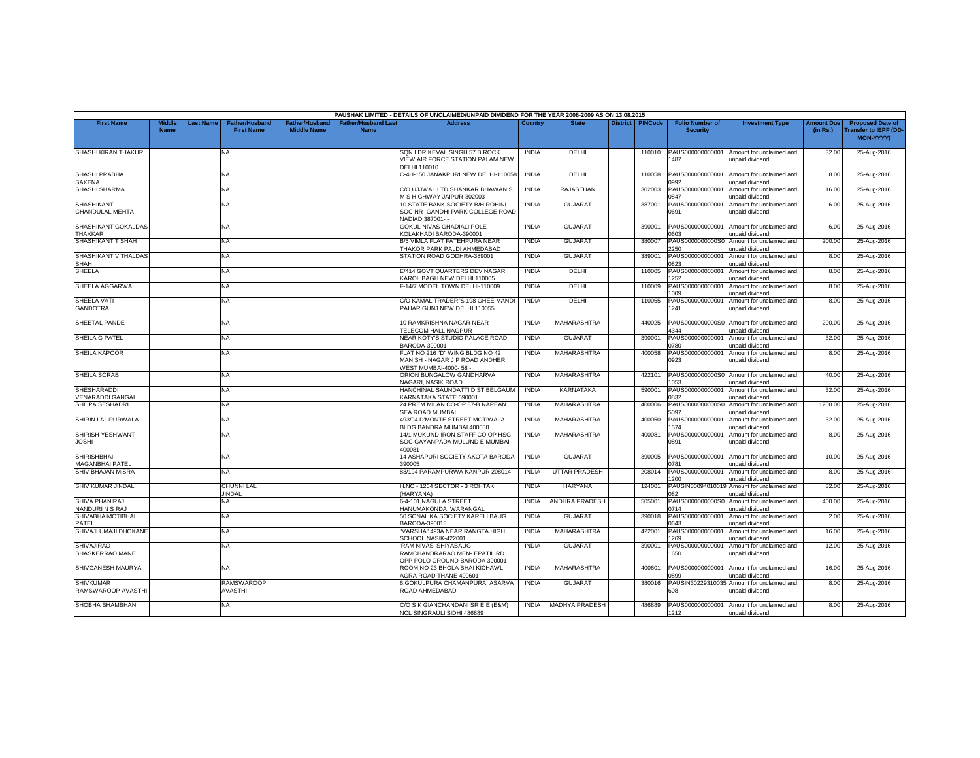|                                             |                              |                 |                                     |                                      |                                               | PAUSHAK LIMITED - DETAILS OF UNCLAIMED/UNPAID DIVIDEND FOR THE YEAR 2008-2009 AS ON 13.08.2015 |              |                       |                 |                |                                           |                                             |                               |                                                                            |
|---------------------------------------------|------------------------------|-----------------|-------------------------------------|--------------------------------------|-----------------------------------------------|------------------------------------------------------------------------------------------------|--------------|-----------------------|-----------------|----------------|-------------------------------------------|---------------------------------------------|-------------------------------|----------------------------------------------------------------------------|
| <b>First Name</b>                           | <b>Middle</b><br><b>Name</b> | <b>ast Name</b> | Father/Husband<br><b>First Name</b> | Father/Husband<br><b>Middle Name</b> | ather/Husband Las <sup>®</sup><br><b>Name</b> | <b>Address</b>                                                                                 | Country      | <b>State</b>          | <b>District</b> | <b>PINCode</b> | <b>Folio Number of</b><br><b>Security</b> | <b>Investment Type</b>                      | <b>Amount Due</b><br>(in Rs.) | <b>Proposed Date of</b><br><b>Transfer to IEPF (DD</b><br><b>MON-YYYY)</b> |
| SHASHI KIRAN THAKUR                         |                              |                 | <b>NA</b>                           |                                      |                                               | SQN LDR KEVAL SINGH 57 B ROCK<br><b>/IEW AIR FORCE STATION PALAM NEW</b><br>DELHI 110010       | <b>INDIA</b> | DELHI                 |                 | 110010         | PAUS000000000001<br>487                   | Amount for unclaimed and<br>unpaid dividend | 32.00                         | 25-Aug-2016                                                                |
| <b>SHASHI PRABHA</b><br>SAXENA              |                              |                 | <b>NA</b>                           |                                      |                                               | C-4H-150 JANAKPURI NEW DELHI-110058                                                            | <b>INDIA</b> | <b>DELHI</b>          |                 | 110058         | PAUS000000000001<br>1992                  | Amount for unclaimed and<br>unpaid dividend | 8.00                          | 25-Aug-2016                                                                |
| <b>SHASHI SHARMA</b>                        |                              |                 | <b>NA</b>                           |                                      |                                               | C/O UJJWAL LTD SHANKAR BHAWAN S<br>M S HIGHWAY JAIPUR-302003                                   | <b>INDIA</b> | RAJASTHAN             |                 | 302003         | PAUS000000000001<br>847                   | Amount for unclaimed and<br>unpaid dividend | 16.00                         | 25-Aug-2016                                                                |
| <b>SHASHIKANT</b><br>CHANDULAL MEHTA        |                              |                 | NA                                  |                                      |                                               | 10 STATE BANK SOCIETY B/H ROHINI<br>SOC NR- GANDHI PARK COLLEGE ROAD<br>NADIAD 387001--        | <b>INDIA</b> | <b>GUJARAT</b>        |                 | 387001         | PAUS000000000001<br>0691                  | Amount for unclaimed and<br>unpaid dividend | 6.00                          | 25-Aug-2016                                                                |
| SHASHIKANT GOKALDAS<br>THAKKAR              |                              |                 | <b>NA</b>                           |                                      |                                               | GOKUL NIVAS GHADIALI POLE<br>COLAKHADI BARODA-390001                                           | <b>INDIA</b> | <b>GUJARAT</b>        |                 | 390001         | PAUS000000000001<br>8030                  | Amount for unclaimed and<br>unpaid dividend | 6.00                          | 25-Aug-2016                                                                |
| SHASHIKANT T SHAH                           |                              |                 | NA                                  |                                      |                                               | B/5 VIMLA FLAT FATEHPURA NEAR<br>THAKOR PARK PALDI AHMEDABAD                                   | <b>INDIA</b> | <b>GUJARAT</b>        |                 | 380007         | PAUS0000000000S0<br>2250                  | Amount for unclaimed and<br>unpaid dividend | 200.00                        | 25-Aug-2016                                                                |
| SHASHIKANT VITHALDAS<br><b>SHAH</b>         |                              |                 | NA.                                 |                                      |                                               | STATION ROAD GODHRA-389001                                                                     | <b>INDIA</b> | <b>GUJARAT</b>        |                 | 389001         | PAUS000000000001<br>0823                  | Amount for unclaimed and<br>unpaid dividend | 8.00                          | 25-Aug-2016                                                                |
| <b>SHEELA</b>                               |                              |                 | NA.                                 |                                      |                                               | E/414 GOVT QUARTERS DEV NAGAR<br><b>KAROL BAGH NEW DELHI 110005</b>                            | <b>INDIA</b> | <b>DELHI</b>          |                 | 110005         | PAUS000000000001<br>252                   | Amount for unclaimed and<br>unpaid dividend | 8.00                          | 25-Aug-2016                                                                |
| SHEELA AGGARWAL                             |                              |                 | <b>NA</b>                           |                                      |                                               | F-14/7 MODEL TOWN DELHI-110009                                                                 | <b>INDIA</b> | DELHI                 |                 | 110009         | AUS00000000000<br>009                     | Amount for unclaimed and<br>unpaid dividend | 8.00                          | 25-Aug-2016                                                                |
| SHEELA VATI<br><b>GANDOTRA</b>              |                              |                 | <b>NA</b>                           |                                      |                                               | C/O KAMAL TRADER"S 198 GHEE MANDI<br>PAHAR GUNJ NEW DELHI 110055                               | <b>INDIA</b> | DELHI                 |                 | 110055         | PAUS000000000001<br>1241                  | Amount for unclaimed and<br>unpaid dividend | 8.00                          | 25-Aug-2016                                                                |
| SHEETAL PANDE                               |                              |                 | <b>NA</b>                           |                                      |                                               | 10 RAMKRISHNA NAGAR NEAR<br>TELECOM HALL NAGPUR                                                | <b>INDIA</b> | MAHARASHTRA           |                 | 440025         | PAUS0000000000S0<br>1344                  | Amount for unclaimed and<br>unpaid dividend | 200.00                        | 25-Aug-2016                                                                |
| SHEILA G PATEL                              |                              |                 | NA.                                 |                                      |                                               | NEAR KOTY'S STUDIO PALACE ROAD<br>BARODA-390001                                                | <b>INDIA</b> | GUJARAT               |                 | 390001         | PAUS000000000001<br>0780                  | Amount for unclaimed and<br>unpaid dividend | 32.00                         | 25-Aug-2016                                                                |
| <b>SHEILA KAPOOR</b>                        |                              |                 | <b>NA</b>                           |                                      |                                               | FLAT NO 216 "D" WING BLDG NO 42<br>MANISH - NAGAR J P ROAD ANDHERI<br>WEST MUMBAI-4000-58 -    | <b>INDIA</b> | MAHARASHTRA           |                 | 400058         | PAUS000000000001<br>0923                  | Amount for unclaimed and<br>unpaid dividend | 8.00                          | 25-Aug-2016                                                                |
| SHEILA SORAB                                |                              |                 | <b>NA</b>                           |                                      |                                               | ORION BUNGALOW GANDHARVA<br><b>VAGARI, NASIK ROAD</b>                                          | <b>INDIA</b> | MAHARASHTRA           |                 | 422101         | PAUS0000000000S0<br>053                   | Amount for unclaimed and<br>unpaid dividend | 40.00                         | 25-Aug-2016                                                                |
| <b>SHESHARADDI</b><br>/ENARADDI GANGAL      |                              |                 | <b>NA</b>                           |                                      |                                               | HANCHINAL SAUNDATTI DIST BELGAUM<br><b>KARNATAKA STATE 590001</b>                              | <b>INDIA</b> | <b>KARNATAKA</b>      |                 | 590001         | PAUS000000000001<br>1832                  | Amount for unclaimed and<br>unpaid dividend | 32.00                         | 25-Aug-2016                                                                |
| SHILPA SESHADRI                             |                              |                 | <b>NA</b>                           |                                      |                                               | 24 PREM MILAN CO-OP 87-B NAPEAN<br>SEA ROAD MUMBAI                                             | <b>INDIA</b> | MAHARASHTRA           |                 | 400006         | PAUS0000000000S0<br>6097                  | Amount for unclaimed and<br>unpaid dividend | 1200.00                       | 25-Aug-2016                                                                |
| <b>SHIRIN LALIPURWALA</b>                   |                              |                 | <b>NA</b>                           |                                      |                                               | 493/94 D'MONTE STREET MOTIWALA<br>BLDG BANDRA MUMBAI 400050                                    | <b>INDIA</b> | MAHARASHTRA           |                 | 400050         | PAUS000000000001<br>1574                  | Amount for unclaimed and<br>unpaid dividend | 32.00                         | 25-Aug-2016                                                                |
| SHIRISH YESHWANT<br><b>JOSHI</b>            |                              |                 | <b>NA</b>                           |                                      |                                               | 14/1 MUKUND IRON STAFF CO OP HSG<br>SOC GAYANPADA MULUND E MUMBAI<br>400081                    | <b>INDIA</b> | MAHARASHTRA           |                 | 400081         | PAUS00000000000<br>0891                   | Amount for unclaimed and<br>unpaid dividend | 8.00                          | 25-Aug-2016                                                                |
| <b>SHIRISHBHAI</b><br>MAGANBHAI PATEL       |                              |                 | NA.                                 |                                      |                                               | 14 ASHAPURI SOCIETY AKOTA BARODA<br>390005                                                     | <b>INDIA</b> | <b>GUJARAT</b>        |                 | 390005         | PAUS000000000001<br>0781                  | Amount for unclaimed and<br>unpaid dividend | 10.00                         | 25-Aug-2016                                                                |
| <b>SHIV BHAJAN MISRA</b>                    |                              |                 | NA                                  |                                      |                                               | 83/194 PARAMPURWA KANPUR 208014                                                                | <b>INDIA</b> | <b>UTTAR PRADESH</b>  |                 | 208014         | PAUS000000000001<br>200                   | Amount for unclaimed and<br>unpaid dividend | 8.00                          | 25-Aug-2016                                                                |
| SHIV KUMAR JINDAL                           |                              |                 | CHUNNI LAL<br><b>IINDAL</b>         |                                      |                                               | H.NO - 1264 SECTOR - 3 ROHTAK<br>HARYANA)                                                      | <b>INDIA</b> | <b>HARYANA</b>        |                 | 124001         | PAUSIN30094010019<br><b>082</b>           | Amount for unclaimed and<br>unpaid dividend | 32.00                         | 25-Aug-2016                                                                |
| SHIVA PHANIRAJ<br>NANDURINS RAJ             |                              |                 | <b>NA</b>                           |                                      |                                               | 6-4-101.NAGULA STREET.<br>HANUMAKONDA, WARANGAL                                                | <b>INDIA</b> | <b>ANDHRA PRADESH</b> |                 | 505001         | PAUS0000000000S0<br>0714                  | Amount for unclaimed and<br>unpaid dividend | 400.00                        | 25-Aug-2016                                                                |
| <b>SHIVABHAIMOTIBHAI</b><br>PATEL           |                              |                 | <b>NA</b>                           |                                      |                                               | 50 SONALIKA SOCIETY KARELI BAUG<br>BARODA-390018                                               | <b>INDIA</b> | <b>GUJARAT</b>        |                 | 390018         | PAUS000000000001<br>0643                  | Amount for unclaimed and<br>unpaid dividend | 2.00                          | 25-Aug-2016                                                                |
| SHIVAJI UMAJI DHOKANE                       |                              |                 | NA                                  |                                      |                                               | "VARSHA" 493A NEAR RANGTA HIGH<br>SCHOOL NASIK-422001                                          | <b>INDIA</b> | MAHARASHTRA           |                 | 422001         | PAUS000000000001<br>269                   | Amount for unclaimed and<br>unpaid dividend | 16.00                         | 25-Aug-2016                                                                |
| <b>SHIVAJIRAO</b><br><b>BHASKERRAO MANE</b> |                              |                 | NA.                                 |                                      |                                               | RAM NIVAS' SHIYABAUG<br>RAMCHANDRARAO MEN- EPATIL RD<br>OPP POLO GROUND BARODA 390001-         | <b>INDIA</b> | <b>GUJARAT</b>        |                 | 390001         | PAUS000000000001<br>1650                  | Amount for unclaimed and<br>unpaid dividend | 12.00                         | 25-Aug-2016                                                                |
| SHIVGANESH MAURYA                           |                              |                 | <b>NA</b>                           |                                      |                                               | ROOM NO 23 BHOLA BHAI KICHAWL<br>AGRA ROAD THANE 400601                                        | <b>INDIA</b> | MAHARASHTRA           |                 | 400601         | PAUS000000000001<br>1899                  | Amount for unclaimed and<br>unpaid dividend | 16.00                         | 25-Aug-2016                                                                |
| <b>SHIVKUMAR</b><br>RAMSWAROOP AVASTHI      |                              |                 | <b>RAMSWAROOP</b><br>AVASTHI        |                                      |                                               | 6,GOKULPURA CHAMANPURA, ASARVA<br>ROAD AHMEDABAD                                               | <b>INDIA</b> | GUJARAT               |                 | 380016         | AUSIN30229310039<br>608                   | Amount for unclaimed and<br>unpaid dividend | 8.00                          | 25-Aug-2016                                                                |
| SHOBHA BHAMBHANI                            |                              |                 | NA.                                 |                                      |                                               | C/O S K GIANCHANDANI SR E E (E&M)<br>NCL SINGRAULI SIDHI 486889                                | <b>INDIA</b> | <b>MADHYA PRADESH</b> |                 | 486889         | PAUS000000000001<br>1212                  | Amount for unclaimed and<br>unpaid dividend | 8.00                          | 25-Aug-2016                                                                |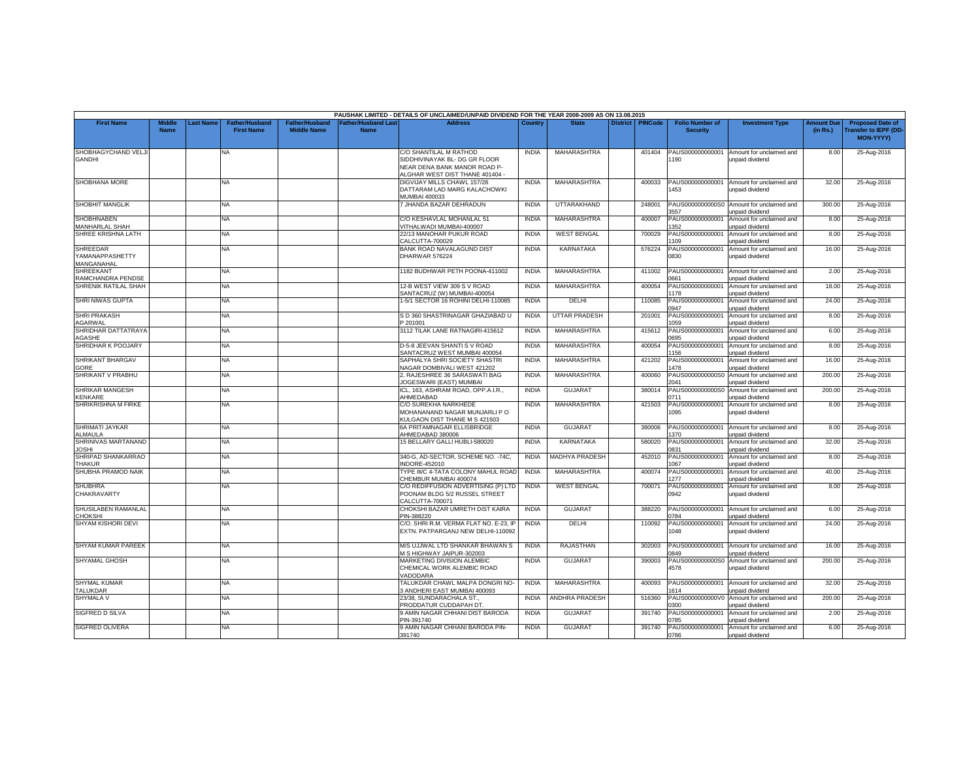|                                                  |                              |           |                                            |                                             |                                          | PAUSHAK LIMITED - DETAILS OF UNCLAIMED/UNPAID DIVIDEND FOR THE YEAR 2008-2009 AS ON 13.08.2015                             |              |                       |                 |                |                                           |                                                              |                               |                                                                      |
|--------------------------------------------------|------------------------------|-----------|--------------------------------------------|---------------------------------------------|------------------------------------------|----------------------------------------------------------------------------------------------------------------------------|--------------|-----------------------|-----------------|----------------|-------------------------------------------|--------------------------------------------------------------|-------------------------------|----------------------------------------------------------------------|
| <b>First Name</b>                                | <b>Middle</b><br><b>Name</b> | Last Name | <b>Father/Husband</b><br><b>First Name</b> | <b>Father/Husband</b><br><b>Middle Name</b> | <b>Father/Husband Las</b><br><b>Name</b> | <b>Address</b>                                                                                                             | Country      | <b>State</b>          | <b>District</b> | <b>PINCode</b> | <b>Folio Number of</b><br><b>Security</b> | <b>Investment Type</b>                                       | <b>Amount Due</b><br>(in Rs.) | <b>Proposed Date of</b><br><b>Transfer to IEPF (DD-</b><br>MON-YYYY) |
| SHOBHAGYCHAND VELJI<br><b>GANDHI</b>             |                              |           | <b>NA</b>                                  |                                             |                                          | C/O SHANTILAL M RATHOD<br>SIDDHIVINAYAK BL- DG GR FLOOR<br>NEAR DENA BANK MANOR ROAD P-<br>ALGHAR WEST DIST THANE 401404 - | <b>INDIA</b> | MAHARASHTRA           |                 | 401404         | PAUS000000000001<br>190                   | Amount for unclaimed and<br>unpaid dividend                  | 8.00                          | 25-Aug-2016                                                          |
| <b>SHOBHANA MORE</b>                             |                              |           | NA                                         |                                             |                                          | DIGVIJAY MILLS CHAWL 157/28<br>DATTARAM LAD MARG KALACHOWKI<br>MUMBAI 400033                                               | <b>INDIA</b> | MAHARASHTRA           |                 | 400033         | PAUS000000000001<br>453                   | Amount for unclaimed and<br>unpaid dividend                  | 32.00                         | 25-Aug-2016                                                          |
| <b>SHOBHIT MANGLIK</b>                           |                              |           | NA                                         |                                             |                                          | 7 JHANDA BAZAR DEHRADUN                                                                                                    | <b>INDIA</b> | <b>UTTARAKHAND</b>    |                 | 248001         | PAUS0000000000S0<br>557                   | Amount for unclaimed and<br>unpaid dividend                  | 300.00                        | 25-Aug-2016                                                          |
| <b>SHOBHNABEN</b><br><b>MANHARLAL SHAH</b>       |                              |           | NA.                                        |                                             |                                          | C/O KESHAVLAL MOHANLAL 51<br>VITHALWADI MUMBAI-400007                                                                      | <b>INDIA</b> | <b>MAHARASHTRA</b>    |                 | 400007         | PAUS000000000001<br>352                   | Amount for unclaimed and<br>unpaid dividend                  | 8.00                          | 25-Aug-2016                                                          |
| SHREE KRISHNA LATH                               |                              |           | <b>NA</b>                                  |                                             |                                          | 22/13 MANOHAR PUKUR ROAD<br>CALCUTTA-700029                                                                                | <b>INDIA</b> | <b>WEST BENGAL</b>    |                 | 700029         | PAUS000000000001<br>109                   | Amount for unclaimed and<br>unpaid dividend                  | 8.00                          | 25-Aug-2016                                                          |
| <b>SHREEDAR</b><br>YAMANAPPASHETTY<br>MANGANAHAL |                              |           | <b>NA</b>                                  |                                             |                                          | <b>BANK ROAD NAVALAGUND DIST</b><br>DHARWAR 576224                                                                         | <b>INDIA</b> | KARNATAKA             |                 | 576224         | PAUS000000000001<br>0830                  | Amount for unclaimed and<br>unpaid dividend                  | 16.00                         | 25-Aug-2016                                                          |
| <b>SHREEKANT</b><br>RAMCHANDRA PENDSE            |                              |           | NA                                         |                                             |                                          | 1182 BUDHWAR PETH POONA-411002                                                                                             | <b>INDIA</b> | MAHARASHTRA           |                 | 411002         | PAUS000000000001<br>0661                  | Amount for unclaimed and<br>unpaid dividend                  | 2.00                          | 25-Aug-2016                                                          |
| SHRENIK RATILAL SHAH                             |                              |           | <b>NA</b>                                  |                                             |                                          | 12-B WEST VIEW 309 S V ROAD<br>SANTACRUZ (W) MUMBAI-400054                                                                 | <b>INDIA</b> | <b>MAHARASHTRA</b>    |                 | 400054         | PAUS000000000001<br>1178                  | Amount for unclaimed and<br>unpaid dividend                  | 18.00                         | 25-Aug-2016                                                          |
| <b>SHRI NIWAS GUPTA</b>                          |                              |           | NA.                                        |                                             |                                          | 1-5/1 SECTOR 16 ROHINI DELHI-110085                                                                                        | <b>INDIA</b> | <b>DFLHI</b>          |                 | 110085         | PAUS00000000000<br>0947                   | Amount for unclaimed and<br>unpaid dividend                  | 24.00                         | 25-Aug-2016                                                          |
| <b>SHRI PRAKASH</b><br>AGARWAL                   |                              |           | NA                                         |                                             |                                          | S D 360 SHASTRINAGAR GHAZIABAD U<br>201001                                                                                 | <b>INDIA</b> | <b>UTTAR PRADESH</b>  |                 | 201001         | PAUS000000000001<br>1059                  | Amount for unclaimed and<br><b>Inpaid dividend</b>           | 8.00                          | 25-Aug-2016                                                          |
| SHRIDHAR DATTATRAYA<br><b>AGASHE</b>             |                              |           | <b>NA</b>                                  |                                             |                                          | 3112 TILAK LANE RATNAGIRI-415612                                                                                           | <b>INDIA</b> | MAHARASHTRA           |                 | 415612         | PAUS000000000001<br>695                   | Amount for unclaimed and<br>unpaid dividend                  | 6.00                          | 25-Aug-2016                                                          |
| SHRIDHAR K POOJARY                               |                              |           | NA                                         |                                             |                                          | D-5-8 JEEVAN SHANTI S V ROAD<br>SANTACRUZ WEST MUMBAI 400054                                                               | <b>INDIA</b> | MAHARASHTRA           |                 | 400054         | PAUS000000000001<br>156                   | Amount for unclaimed and<br>unpaid dividend                  | 8.00                          | 25-Aug-2016                                                          |
| <b>SHRIKANT BHARGAV</b><br>GORE                  |                              |           | NA                                         |                                             |                                          | SAPHALYA SHRI SOCIETY SHASTRI<br>NAGAR DOMBIVALI WEST 421202                                                               | <b>INDIA</b> | MAHARASHTRA           |                 | 421202         | PAUS000000000001<br>478                   | Amount for unclaimed and<br>unpaid dividend                  | 16.00                         | 25-Aug-2016                                                          |
| SHRIKANT V PRABHU                                |                              |           | NA.                                        |                                             |                                          | 2, RAJESHREE 36 SARASWATI BAG<br>JOGESWARI (EAST) MUMBAI                                                                   | <b>INDIA</b> | MAHARASHTRA           |                 | 400060         | PAUS0000000000S0<br>2041                  | Amount for unclaimed and<br>unpaid dividend                  | 200.00                        | 25-Aug-2016                                                          |
| <b>SHRIKAR MANGESH</b><br>KENKARE                |                              |           | <b>NA</b>                                  |                                             |                                          | ICL, 163, ASHRAM ROAD, OPP.A.I.R.,<br>AHMEDABAD                                                                            | <b>INDIA</b> | <b>GUJARAT</b>        |                 | 380014         | 0711                                      | PAUS0000000000S0 Amount for unclaimed and<br>unpaid dividend | 200.00                        | 25-Aug-2016                                                          |
| <b>SHRIKRISHNA M FIRKE</b>                       |                              |           | NA.                                        |                                             |                                          | C/O SUREKHA NARKHEDE<br>MOHANANAND NAGAR MUNJARLI P O<br>KULGAON DIST THANE M S 421503                                     | <b>INDIA</b> | <b>MAHARASHTRA</b>    |                 | 421503         | PAUS000000000001<br>1095                  | Amount for unclaimed and<br>unpaid dividend                  | 8.00                          | 25-Aug-2016                                                          |
| <b>SHRIMATI JAYKAR</b><br><b>ALMAULA</b>         |                              |           | NA                                         |                                             |                                          | 6A PRITAMNAGAR ELLISBRIDGE<br>AHMEDABAD 380006                                                                             | <b>INDIA</b> | <b>GUJARAT</b>        |                 | 380006         | PAUS000000000001<br>1370                  | Amount for unclaimed and<br>unpaid dividend                  | 8.00                          | 25-Aug-2016                                                          |
| SHRINIVAS MARTANAND<br><b>JOSHI</b>              |                              |           | <b>NA</b>                                  |                                             |                                          | 15 BELLARY GALLI HUBLI-580020                                                                                              | <b>INDIA</b> | <b>KARNATAKA</b>      |                 | 580020         | PAUS00000000000<br>0831                   | Amount for unclaimed and<br>unpaid dividend                  | 32.00                         | 25-Aug-2016                                                          |
| SHRIPAD SHANKARRAO<br><b>THAKUR</b>              |                              |           | <b>NA</b>                                  |                                             |                                          | 340-G. AD-SECTOR. SCHEME NO. -74C.<br>NDORE-452010                                                                         | <b>INDIA</b> | <b>MADHYA PRADESH</b> |                 | 452010         | PAUS000000000001<br>067                   | Amount for unclaimed and<br>unpaid dividend                  | 8.00                          | 25-Aug-2016                                                          |
| SHUBHA PRAMOD NAIK                               |                              |           | NA                                         |                                             |                                          | YPE III/C 4-TATA COLONY MAHUL ROAD<br>CHEMBUR MUMBAI 400074                                                                | <b>INDIA</b> | MAHARASHTRA           |                 | 400074         | PAUS00000000000<br>277                    | Amount for unclaimed and<br>unpaid dividend                  | 40.00                         | 25-Aug-2016                                                          |
| <b>SHUBHRA</b><br>CHAKRAVARTY                    |                              |           | NA                                         |                                             |                                          | C/O REDIFFUSION ADVERTISING (P) LTD<br>POONAM BLDG 5/2 RUSSEL STREET<br>CALCUTTA-700071                                    | <b>INDIA</b> | <b>WEST BENGAL</b>    |                 | 700071         | PAUS00000000000<br>0942                   | Amount for unclaimed and<br>unpaid dividend                  | 8.00                          | 25-Aug-2016                                                          |
| SHUSILABEN RAMANLAL<br>CHOKSHI                   |                              |           | NA                                         |                                             |                                          | CHOKSHI BAZAR UMRETH DIST KAIRA<br>PIN-388220                                                                              | <b>INDIA</b> | <b>GUJARAT</b>        |                 | 388220         | PAUS000000000001<br>1784                  | Amount for unclaimed and<br>unpaid dividend                  | 6.00                          | 25-Aug-2016                                                          |
| SHYAM KISHORI DEVI                               |                              |           | NA.                                        |                                             |                                          | C/O. SHRI R.M. VERMA FLAT NO. E-23, IP<br>EXTN. PATPARGANJ NEW DELHI-110092                                                | <b>INDIA</b> | DELHI                 |                 | 110092         | 1048                                      | PAUS000000000001 Amount for unclaimed and<br>unpaid dividend | 24.00                         | 25-Aug-2016                                                          |
| <b>SHYAM KUMAR PAREEK</b>                        |                              |           | NA.                                        |                                             |                                          | M/S UJJWAL LTD SHANKAR BHAWAN S<br>M S HIGHWAY JAIPUR-302003                                                               | <b>INDIA</b> | RAJASTHAN             |                 | 302003         | PAUS000000000001<br>1849                  | Amount for unclaimed and<br>unpaid dividend                  | 16.00                         | 25-Aug-2016                                                          |
| <b>SHYAMAL GHOSH</b>                             |                              |           | <b>NA</b>                                  |                                             |                                          | MARKETING DIVISION ALEMBIC<br>CHEMICAL WORK ALEMBIC ROAD<br>VADODARA                                                       | <b>INDIA</b> | <b>GUJARAT</b>        |                 | 390003         | PAUS0000000000S0<br>4578                  | Amount for unclaimed and<br>unpaid dividend                  | 200.00                        | 25-Aug-2016                                                          |
| <b>SHYMAL KUMAR</b><br>TALUKDAR                  |                              |           | NA.                                        |                                             |                                          | TALUKDAR CHAWL MALPA DONGRI NO-<br>3 ANDHERI EAST MUMBAI 400093                                                            | <b>INDIA</b> | MAHARASHTRA           |                 | 400093         | PAUS000000000001<br>1614                  | Amount for unclaimed and<br>unpaid dividend                  | 32.00                         | 25-Aug-2016                                                          |
| SHYMALA V                                        |                              |           | <b>NA</b>                                  |                                             |                                          | 23/38, SUNDARACHALA ST.,<br>PRODDATUR CUDDAPAH DT                                                                          | <b>INDIA</b> | ANDHRA PRADESH        |                 | 516360         | PAUS0000000000V0<br>300                   | Amount for unclaimed and<br>unpaid dividend                  | 200.00                        | 25-Aug-2016                                                          |
| <b>SIGFRED D SILVA</b>                           |                              |           | NA.                                        |                                             |                                          | <b>9 AMIN NAGAR CHHANI DIST BARODA</b><br>PIN-391740                                                                       | <b>INDIA</b> | <b>GUJARAT</b>        |                 | 391740         | PAUS000000000001<br>785                   | Amount for unclaimed and<br>unpaid dividend                  | 2.00                          | 25-Aug-2016                                                          |
| SIGFRED OLIVERA                                  |                              |           | NA                                         |                                             |                                          | 9 AMIN NAGAR CHHANI BARODA PIN-<br>391740                                                                                  | <b>INDIA</b> | <b>GUJARAT</b>        |                 | 391740         | PAUS000000000001<br>0786                  | Amount for unclaimed and<br>unpaid dividend                  | 6.00                          | 25-Aug-2016                                                          |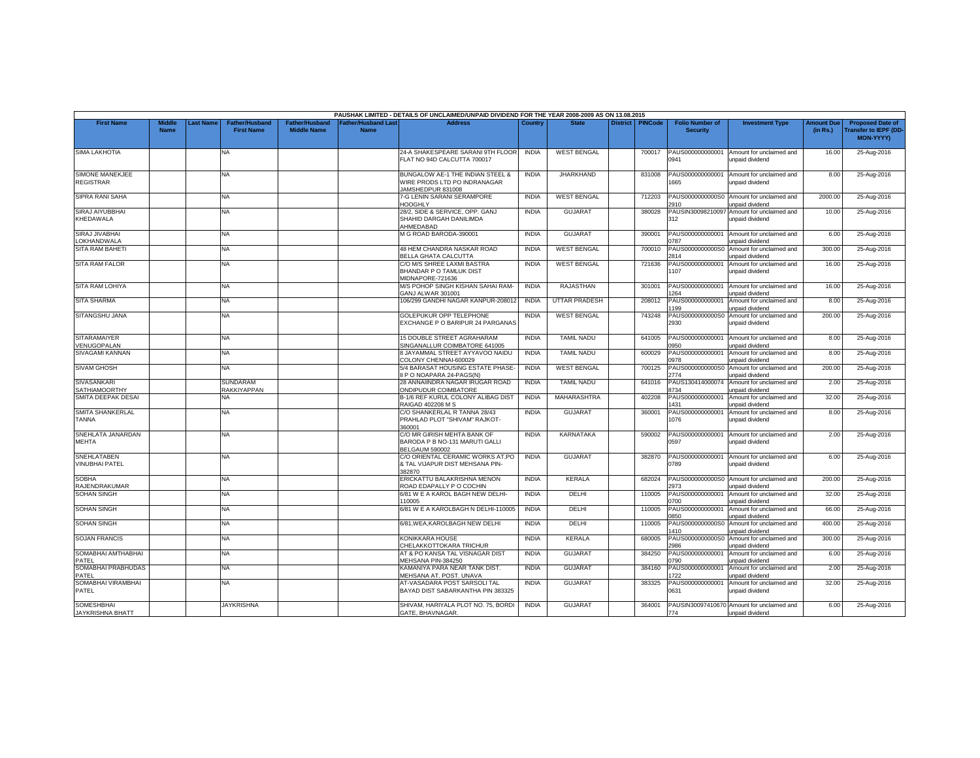|                                              |                       |          |                                            |                                             |                                          | PAUSHAK LIMITED - DETAILS OF UNCLAIMED/UNPAID DIVIDEND FOR THE YEAR 2008-2009 AS ON 13.08.2015 |              |                      |                 |                |                                           |                                                               |                               |                                                                     |
|----------------------------------------------|-----------------------|----------|--------------------------------------------|---------------------------------------------|------------------------------------------|------------------------------------------------------------------------------------------------|--------------|----------------------|-----------------|----------------|-------------------------------------------|---------------------------------------------------------------|-------------------------------|---------------------------------------------------------------------|
| <b>First Name</b>                            | Middle<br><b>Name</b> | ast Name | <b>Father/Husband</b><br><b>First Name</b> | <b>Father/Husband</b><br><b>Middle Name</b> | <b>Father/Husband Las</b><br><b>Name</b> | <b>Address</b>                                                                                 | Country      | <b>State</b>         | <b>District</b> | <b>PINCode</b> | <b>Folio Number of</b><br><b>Security</b> | <b>Investment Type</b>                                        | <b>Amount Due</b><br>(in Rs.) | <b>Proposed Date of</b><br><b>Transfer to IEPF (DD</b><br>MON-YYYY) |
| <b>SIMA LAKHOTIA</b>                         |                       |          | <b>NA</b>                                  |                                             |                                          | 24-A SHAKESPEARE SARANI 9TH FLOOR<br>FLAT NO 94D CALCUTTA 700017                               | <b>INDIA</b> | <b>WEST BENGAL</b>   |                 | 700017         | PAUS000000000001<br>0941                  | Amount for unclaimed and<br>unpaid dividend                   | 16.00                         | 25-Aug-2016                                                         |
| <b>SIMONE MANEKJEE</b><br><b>REGISTRAR</b>   |                       |          | NA                                         |                                             |                                          | BUNGALOW AE-1 THE INDIAN STEEL 8<br>WIRE PRODS LTD PO INDRANAGAR<br>JAMSHEDPUR 831008          | <b>INDIA</b> | <b>JHARKHAND</b>     |                 | 831008         | PAUS000000000001<br>1665                  | Amount for unclaimed and<br>unpaid dividend                   | 8.00                          | 25-Aug-2016                                                         |
| SIPRA RANI SAHA                              |                       |          | <b>NA</b>                                  |                                             |                                          | 7-G LENIN SARANI SERAMPORE<br><b>HOOGHLY</b>                                                   | <b>INDIA</b> | <b>WEST BENGAL</b>   |                 | 712203         | PAUS0000000000S0<br>2910                  | Amount for unclaimed and<br>unpaid dividend                   | 2000.00                       | 25-Aug-2016                                                         |
| SIRAJ AIYUBBHAI<br>KHEDAWALA                 |                       |          | NA.                                        |                                             |                                          | 28/2, SIDE & SERVICE, OPP. GANJ<br>SHAHID DARGAH DANILIMDA<br>AHMEDABAD                        | <b>INDIA</b> | <b>GUJARAT</b>       |                 | 380028         | PAUSIN3009821009<br>312                   | Amount for unclaimed and<br>unpaid dividend                   | 10.00                         | 25-Aug-2016                                                         |
| SIRAJ JIVABHAI<br>LOKHANDWALA                |                       |          | NA.                                        |                                             |                                          | M G ROAD BARODA-390001                                                                         | <b>INDIA</b> | <b>GUJARAT</b>       |                 | 390001         | PAUS000000000001<br>)787                  | Amount for unclaimed and<br>unpaid dividend                   | 6.00                          | 25-Aug-2016                                                         |
| SITA RAM BAHETI                              |                       |          | NA.                                        |                                             |                                          | 48 HEM CHANDRA NASKAR ROAD<br>BELLA GHATA CALCUTTA                                             | <b>INDIA</b> | <b>WEST BENGAL</b>   |                 | 700010         | PAUS0000000000S0<br>2814                  | Amount for unclaimed and<br>unpaid dividend                   | 300.00                        | 25-Aug-2016                                                         |
| <b>SITA RAM FALOR</b>                        |                       |          | <b>NA</b>                                  |                                             |                                          | C/O M/S SHREE LAXMI BASTRA<br>BHANDAR P O TAMLUK DIST<br>MIDNAPORE-721636                      | <b>INDIA</b> | <b>WEST BENGAL</b>   |                 | 721636         | PAUS000000000001<br>107                   | Amount for unclaimed and<br>unpaid dividend                   | 16.00                         | 25-Aug-2016                                                         |
| SITA RAM LOHIYA                              |                       |          | NA.                                        |                                             |                                          | M/S POHOP SINGH KISHAN SAHAI RAM-<br>GANJ ALWAR 301001                                         | <b>INDIA</b> | <b>RAJASTHAN</b>     |                 | 301001         | PAUS000000000001<br>264                   | Amount for unclaimed and<br>unpaid dividend                   | 16.00                         | 25-Aug-2016                                                         |
| <b>SITA SHARMA</b>                           |                       |          | <b>NA</b>                                  |                                             |                                          | 106/299 GANDHI NAGAR KANPUR-208012                                                             | <b>INDIA</b> | <b>UTTAR PRADESH</b> |                 | 208012         | PAUS000000000001<br>199                   | Amount for unclaimed and<br>unpaid dividend                   | 8.00                          | 25-Aug-2016                                                         |
| SITANGSHU JANA                               |                       |          | <b>NA</b>                                  |                                             |                                          | GOLEPUKUR OPP TELEPHONE<br>EXCHANGE P O BARIPUR 24 PARGANAS                                    | <b>INDIA</b> | <b>WEST BENGAL</b>   |                 | 743248         | PAUS0000000000S0<br>2930                  | Amount for unclaimed and<br>unpaid dividend                   | 200.00                        | 25-Aug-2016                                                         |
| <b>SITARAMAIYER</b><br>VENUGOPALAN           |                       |          | <b>NA</b>                                  |                                             |                                          | 15 DOUBLE STREET AGRAHARAM<br>SINGANALLUR COIMBATORE 641005                                    | <b>INDIA</b> | <b>TAMIL NADU</b>    |                 | 641005         | PAUS000000000001<br>0950                  | Amount for unclaimed and<br>unpaid dividend                   | 8.00                          | 25-Aug-2016                                                         |
| SIVAGAMI KANNAN                              |                       |          | <b>NA</b>                                  |                                             |                                          | 8 JAYAMMAL STREET AYYAVOO NAIDU<br>COLONY CHENNAI-600029                                       | <b>INDIA</b> | <b>TAMIL NADU</b>    |                 | 600029         | PAUS000000000001<br>0978                  | Amount for unclaimed and<br>unpaid dividend                   | 8.00                          | 25-Aug-2016                                                         |
| <b>SIVAM GHOSH</b>                           |                       |          | <b>NA</b>                                  |                                             |                                          | 5/4 BARASAT HOUSING ESTATE PHASE-<br>II P O NOAPARA 24-PAGS(N)                                 | <b>INDIA</b> | <b>WEST BENGAL</b>   |                 | 700125         | PAUS0000000000S0<br>2774                  | Amount for unclaimed and<br>unpaid dividend                   | 200.00                        | 25-Aug-2016                                                         |
| <b>SIVASANKARI</b><br><b>SATHIAMOORTHY</b>   |                       |          | SUNDARAM<br>RAKKIYAPPAN                    |                                             |                                          | 28 ANNAIINDRA NAGAR IRUGAR ROAD<br>ONDIPUDUR COIMBATORE                                        | <b>INDIA</b> | <b>TAMIL NADU</b>    |                 | 641016         | PAUS130414000074<br>8734                  | Amount for unclaimed and<br>unpaid dividend                   | 2.00                          | 25-Aug-2016                                                         |
| SMITA DEEPAK DESAI                           |                       |          | NA                                         |                                             |                                          | B-1/6 REF KURUL COLONY ALIBAG DIST<br>RAIGAD 402208 M S                                        | <b>INDIA</b> | MAHARASHTRA          |                 | 402208         | PAUS000000000001<br>1431                  | Amount for unclaimed and<br>unpaid dividend                   | 32.00                         | 25-Aug-2016                                                         |
| SMITA SHANKERLAL<br><b>TANNA</b>             |                       |          | <b>NA</b>                                  |                                             |                                          | C/O SHANKERLAL R TANNA 28/43<br>PRAHLAD PLOT "SHIVAM" RAJKOT-<br>360001                        | <b>INDIA</b> | <b>GUJARAT</b>       |                 | 360001         | PAUS000000000001<br>1076                  | Amount for unclaimed and<br>unpaid dividend                   | 8.00                          | 25-Aug-2016                                                         |
| SNEHLATA JANARDAN<br><b>MEHTA</b>            |                       |          | <b>NA</b>                                  |                                             |                                          | C/O MR GIRISH MEHTA BANK OF<br>BARODA P B NO-131 MARUTI GALLI<br><b>BELGAUM 590002</b>         | <b>INDIA</b> | <b>KARNATAKA</b>     |                 | 590002         | PAUS000000000001<br>0597                  | Amount for unclaimed and<br>unpaid dividend                   | 2.00                          | 25-Aug-2016                                                         |
| SNEHLATABEN<br><b>VINUBHAI PATEL</b>         |                       |          | <b>NA</b>                                  |                                             |                                          | C/O ORIENTAL CERAMIC WORKS AT, PO<br>& TAL VIJAPUR DIST MEHSANA PIN-<br>382870                 | <b>INDIA</b> | <b>GUJARAT</b>       |                 | 382870         | PAUS000000000001<br>0789                  | Amount for unclaimed and<br>unpaid dividend                   | 6.00                          | 25-Aug-2016                                                         |
| <b>SOBHA</b><br>RAJENDRAKUMAR                |                       |          | <b>NA</b>                                  |                                             |                                          | ERICKATTU BALAKRISHNA MENON<br>ROAD EDAPALLY PO COCHIN                                         | <b>INDIA</b> | <b>KERALA</b>        |                 | 682024         | PAUS0000000000S0<br>2973                  | Amount for unclaimed and<br>unpaid dividend                   | 200.00                        | 25-Aug-2016                                                         |
| <b>SOHAN SINGH</b>                           |                       |          | NA                                         |                                             |                                          | 6/81 W E A KAROL BAGH NEW DELHI-<br>110005                                                     | <b>INDIA</b> | DELHI                |                 | 110005         | PAUS000000000001<br>0700                  | Amount for unclaimed and<br>unpaid dividend                   | 32.00                         | 25-Aug-2016                                                         |
| <b>SOHAN SINGH</b>                           |                       |          | NA                                         |                                             |                                          | 6/81 W E A KAROLBAGH N DELHI-110005                                                            | <b>INDIA</b> | DELHI                |                 | 110005         | PAUS000000000001<br>850                   | Amount for unclaimed and<br>unpaid dividend                   | 66.00                         | 25-Aug-2016                                                         |
| <b>SOHAN SINGH</b>                           |                       |          | NA.                                        |                                             |                                          | 6/81.WEA.KAROLBAGH NEW DELHI                                                                   | <b>INDIA</b> | DELHI                |                 | 110005         | PAUS0000000000S0<br>1410                  | Amount for unclaimed and<br>unpaid dividend                   | 400.00                        | 25-Aug-2016                                                         |
| <b>SOJAN FRANCIS</b>                         |                       |          | <b>NA</b>                                  |                                             |                                          | <b>KONIKKARA HOUSE</b><br>CHELAKKOTTOKARA TRICHUR                                              | <b>INDIA</b> | <b>KERALA</b>        |                 | 680005         | PAUS0000000000S0<br>2986                  | Amount for unclaimed and<br>unpaid dividend                   | 300.00                        | 25-Aug-2016                                                         |
| SOMABHAI AMTHABHAI<br>PATFL                  |                       |          | <b>NA</b>                                  |                                             |                                          | AT & PO KANSA TAL VISNAGAR DIST<br>MEHSANA PIN-384250                                          | <b>INDIA</b> | <b>GUJARAT</b>       |                 | 384250         | PAUS000000000001<br>1790                  | Amount for unclaimed and<br>unpaid dividend                   | 6.00                          | 25-Aug-2016                                                         |
| SOMABHAI PRABHUDAS<br>PATEL                  |                       |          | NA                                         |                                             |                                          | KAMANIYA PARA NEAR TANK DIST.<br>MEHSANA AT. POST. UNAVA                                       | <b>INDIA</b> | <b>GUJARAT</b>       |                 | 384160         | PAUS000000000001<br>722                   | Amount for unclaimed and<br>unpaid dividend                   | 2.00                          | 25-Aug-2016                                                         |
| SOMABHAI VIRAMBHAI<br>PATEL                  |                       |          | <b>NA</b>                                  |                                             |                                          | AT-VASADARA POST SARSOLI TAL<br>BAYAD DIST SABARKANTHA PIN 383325                              | <b>INDIA</b> | <b>GUJARAT</b>       |                 | 383325         | PAUS000000000001<br>0631                  | Amount for unclaimed and<br>unpaid dividend                   | 32.00                         | 25-Aug-2016                                                         |
| <b>SOMESHBHAI</b><br><b>JAYKRISHNA BHATT</b> |                       |          | <b>JAYKRISHNA</b>                          |                                             |                                          | SHIVAM, HARIYALA PLOT NO. 75, BORDI<br>GATE, BHAVNAGAR                                         | <b>INDIA</b> | <b>GUJARAT</b>       |                 | 364001         | 774                                       | PAUSIN30097410670 Amount for unclaimed and<br>unpaid dividend | 6.00                          | 25-Aug-2016                                                         |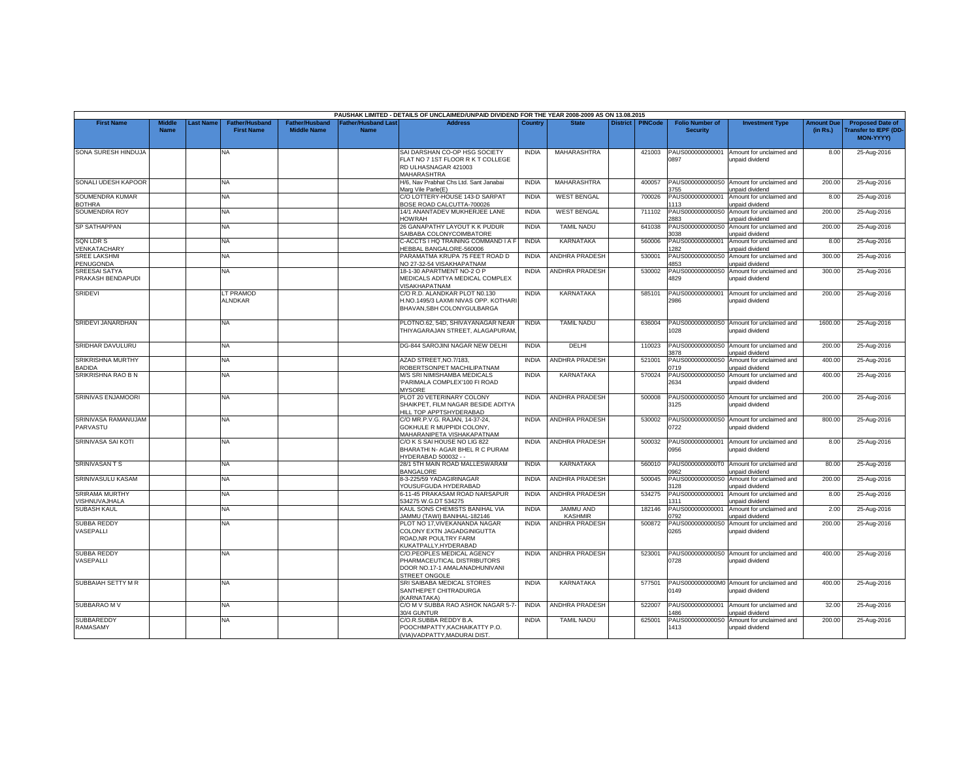|                                              |                              |                 |                                            |                                      |                                                | PAUSHAK LIMITED - DETAILS OF UNCLAIMED/UNPAID DIVIDEND FOR THE YEAR 2008-2009 AS ON 13.08.2015              |              |                             |                 |                |                                           |                                                              |                               |                                                              |
|----------------------------------------------|------------------------------|-----------------|--------------------------------------------|--------------------------------------|------------------------------------------------|-------------------------------------------------------------------------------------------------------------|--------------|-----------------------------|-----------------|----------------|-------------------------------------------|--------------------------------------------------------------|-------------------------------|--------------------------------------------------------------|
| <b>First Name</b>                            | <b>Middle</b><br><b>Name</b> | <b>ast Name</b> | <b>Father/Husband</b><br><b>First Name</b> | Father/Husband<br><b>Middle Name</b> | ather/Husband Last <sup>-</sup><br><b>Name</b> | <b>Address</b>                                                                                              | Country      | <b>State</b>                | <b>District</b> | <b>PINCode</b> | <b>Folio Number of</b><br><b>Security</b> | <b>Investment Type</b>                                       | <b>Amount Due</b><br>(in Rs.) | <b>Proposed Date of</b><br>ransfer to IEPF (DD-<br>MON-YYYY) |
| SONA SURESH HINDUJA                          |                              |                 | <b>NA</b>                                  |                                      |                                                | SAI DARSHAN CO-OP HSG SOCIETY<br>FLAT NO 7 1ST FLOOR R K T COLLEGE<br>RD ULHASNAGAR 421003<br>MAHARASHTRA   | <b>INDIA</b> | MAHARASHTRA                 |                 | 421003         | PAUS000000000001<br>0897                  | Amount for unclaimed and<br>unpaid dividend                  | 8.00                          | 25-Aug-2016                                                  |
| SONALI UDESH KAPOOR                          |                              |                 | <b>NA</b>                                  |                                      |                                                | H/6, Nav Prabhat Chs Ltd. Sant Janabai<br>Marg Vile Parle(E)                                                | <b>INDIA</b> | MAHARASHTRA                 |                 | 400057         | 755                                       | PAUS0000000000S0 Amount for unclaimed and<br>unpaid dividend | 200.00                        | 25-Aug-2016                                                  |
| SOUMENDRA KUMAR<br><b>BOTHRA</b>             |                              |                 | NA.                                        |                                      |                                                | C/O LOTTERY-HOUSE 143-D SARPAT<br>BOSE ROAD CALCUTTA-700026                                                 | <b>INDIA</b> | <b>WEST BENGAL</b>          |                 | 700026         | PAUS000000000001<br>113                   | Amount for unclaimed and<br>unpaid dividend                  | 8.00                          | 25-Aug-2016                                                  |
| SOUMENDRA ROY                                |                              |                 | <b>NA</b>                                  |                                      |                                                | 14/1 ANANTADEV MUKHERJEE LANE<br><b>HOWRAH</b>                                                              | <b>INDIA</b> | <b>WEST BENGAL</b>          |                 | 711102         | PAUS0000000000S0<br>883                   | Amount for unclaimed and<br>unpaid dividend                  | 200.00                        | 25-Aug-2016                                                  |
| <b>SP SATHAPPAN</b>                          |                              |                 | NA.                                        |                                      |                                                | 26 GANAPATHY LAYOUT K K PUDUR<br>SAIBABA COLONYCOIMBATORE                                                   | <b>INDIA</b> | <b>TAMIL NADU</b>           |                 | 641038         | PAUS0000000000S0<br>3038                  | Amount for unclaimed and<br>unpaid dividend                  | 200.00                        | 25-Aug-2016                                                  |
| <b>SQN LDR S</b><br>VENKATACHARY             |                              |                 | <b>NA</b>                                  |                                      |                                                | C-ACCTS I HQ TRAINING COMMAND I A F<br>HEBBAL BANGALORE-560006                                              | <b>INDIA</b> | KARNATAKA                   |                 | 560006         | PAUS000000000001<br>282                   | Amount for unclaimed and<br>inpaid dividend                  | 8.00                          | 25-Aug-2016                                                  |
| <b>SREE LAKSHMI</b><br>PENUGONDA             |                              |                 | <b>NA</b>                                  |                                      |                                                | PARAMATMA KRUPA 75 FEET ROAD D<br>NO 27-32-54 VISAKHAPATNAM                                                 | <b>INDIA</b> | <b>ANDHRA PRADESH</b>       |                 | 530001         | PAUS0000000000S0<br>853                   | Amount for unclaimed and<br>unpaid dividend                  | 300.00                        | 25-Aug-2016                                                  |
| <b>SREESAI SATYA</b><br>PRAKASH BENDAPUDI    |                              |                 | <b>NA</b>                                  |                                      |                                                | 18-1-30 APARTMENT NO-2 O P<br>MEDICALS ADITYA MEDICAL COMPLEX<br>VISAKHAPATNAM                              | <b>INDIA</b> | <b>ANDHRA PRADESH</b>       |                 | 530002         | PAUS0000000000S0<br>4829                  | Amount for unclaimed and<br>unpaid dividend                  | 300.00                        | 25-Aug-2016                                                  |
| <b>SRIDEVI</b>                               |                              |                 | LT PRAMOD<br><b>ALNDKAR</b>                |                                      |                                                | C/O R.D. ALANDKAR PLOT N0.130<br>H.NO.1495/3 LAXMI NIVAS OPP. KOTHARI<br>BHAVAN, SBH COLONYGULBARGA         | <b>INDIA</b> | <b>KARNATAKA</b>            |                 | 585101         | PAUS00000000000<br>2986                   | Amount for unclaimed and<br>unpaid dividend                  | 200.00                        | 25-Aug-2016                                                  |
| SRIDEVI JANARDHAN                            |                              |                 | <b>NA</b>                                  |                                      |                                                | PLOTNO.62, 54D, SHIVAYANAGAR NEAR<br>THIYAGARAJAN STREET, ALAGAPURAM                                        | <b>INDIA</b> | <b>TAMIL NADU</b>           |                 | 636004         | 028                                       | PAUS0000000000S0 Amount for unclaimed and<br>unpaid dividend | 1600.00                       | 25-Aug-2016                                                  |
| SRIDHAR DAVULURU                             |                              |                 | NA                                         |                                      |                                                | DG-844 SAROJINI NAGAR NEW DELHI                                                                             | <b>INDIA</b> | DELHI                       |                 | 110023         | 3878                                      | PAUS0000000000S0 Amount for unclaimed and<br>unpaid dividend | 200.00                        | 25-Aug-2016                                                  |
| <b>SRIKRISHNA MURTHY</b><br>BADIDA           |                              |                 | <b>NA</b>                                  |                                      |                                                | AZAD STREET.NO.7/183.<br>ROBERTSONPET MACHILIPATNAM                                                         | <b>INDIA</b> | <b>ANDHRA PRADESH</b>       |                 | 521001         | PAUS0000000000S0<br>1719                  | Amount for unclaimed and<br>unpaid dividend                  | 400.00                        | 25-Aug-2016                                                  |
| SRIKRISHNA RAO B N                           |                              |                 | <b>NA</b>                                  |                                      |                                                | M/S SRI NIMISHAMBA MEDICALS<br>'PARIMALA COMPLEX'100 FI ROAD<br><b>MYSORE</b>                               | <b>INDIA</b> | KARNATAKA                   |                 | 570024         | 2634                                      | PAUS0000000000S0 Amount for unclaimed and<br>unpaid dividend | 400.00                        | 25-Aug-2016                                                  |
| SRINIVAS ENJAMOORI                           |                              |                 | NA                                         |                                      |                                                | PLOT 20 VETERINARY COLONY<br>SHAIKPET, FILM NAGAR BESIDE ADITYA<br>HILL TOP APPTSHYDERABAD                  | <b>INDIA</b> | <b>ANDHRA PRADESH</b>       |                 | 500008         | 3125                                      | PAUS0000000000S0 Amount for unclaimed and<br>unpaid dividend | 200.00                        | 25-Aug-2016                                                  |
| SRINIVASA RAMANUJAM<br>PARVASTU              |                              |                 | <b>NA</b>                                  |                                      |                                                | C/O MR.P.V.G. RAJAN, 14-37-24,<br>GOKHULE R MUPPIDI COLONY.<br>MAHARANIPETA VISHAKAPATNAM                   | <b>INDIA</b> | ANDHRA PRADESH              |                 | 530002         | 0722                                      | PAUS0000000000S0 Amount for unclaimed and<br>unpaid dividend | 800.00                        | 25-Aug-2016                                                  |
| SRINIVASA SAI KOTI                           |                              |                 | <b>NA</b>                                  |                                      |                                                | C/O K S SAI HOUSE NO LIG 822<br>BHARATHI N- AGAR BHEL R C PURAM<br>HYDERABAD 500032 - -                     | <b>INDIA</b> | <b>ANDHRA PRADESH</b>       |                 | 500032         | PAUS000000000001<br>0956                  | Amount for unclaimed and<br>unpaid dividend                  | 8.00                          | 25-Aug-2016                                                  |
| <b>SRINIVASANTS</b>                          |                              |                 | NA                                         |                                      |                                                | 28/1 5TH MAIN ROAD MALLESWARAM<br><b>BANGALORE</b>                                                          | <b>INDIA</b> | KARNATAKA                   |                 | 560010         | 962                                       | PAUS0000000000T0 Amount for unclaimed and<br>unpaid dividend | 80.00                         | 25-Aug-2016                                                  |
| SRINIVASULU KASAM                            |                              |                 | NA                                         |                                      |                                                | 8-3-225/59 YADAGIRINAGAR<br>YOUSUFGUDA HYDERABAD                                                            | <b>INDIA</b> | <b>ANDHRA PRADESH</b>       |                 | 500045         | PAUS0000000000S0<br>128                   | Amount for unclaimed and<br>unpaid dividend                  | 200.00                        | 25-Aug-2016                                                  |
| <b>SRIRAMA MURTHY</b><br><b>ISHNUVAJHALA</b> |                              |                 | <b>NA</b>                                  |                                      |                                                | 6-11-45 PRAKASAM ROAD NARSAPUR<br>534275 W.G.DT 534275                                                      | <b>INDIA</b> | ANDHRA PRADESH              |                 | 534275         | PAUS000000000001<br>311                   | Amount for unclaimed and<br>unpaid dividend                  | 8.00                          | 25-Aug-2016                                                  |
| <b>SUBASH KAUL</b>                           |                              |                 | NA.                                        |                                      |                                                | KAUL SONS CHEMISTS BANIHAL VIA<br>JAMMU (TAWI) BANIHAL-182146                                               | <b>INDIA</b> | JAMMU AND<br><b>KASHMIR</b> |                 | 182146         | PAUS000000000001<br>792                   | Amount for unclaimed and<br>unpaid dividend                  | 2.00                          | 25-Aug-2016                                                  |
| <b>SUBBA REDDY</b><br>VASEPALLI              |                              |                 | <b>NA</b>                                  |                                      |                                                | PLOT NO 17, VIVEKANANDA NAGAR<br>COLONY EXTN JAGADGINIGUTTA<br>ROAD.NR POULTRY FARM<br>KUKATPALLY.HYDERABAD | <b>INDIA</b> | ANDHRA PRADESH              |                 | 500872         | 0265                                      | PAUS0000000000S0 Amount for unclaimed and<br>unpaid dividend | 200.00                        | 25-Aug-2016                                                  |
| <b>SUBBA REDDY</b><br>VASEPALLI              |                              |                 | <b>NA</b>                                  |                                      |                                                | C/O.PEOPLES MEDICAL AGENCY<br>PHARMACEUTICAL DISTRIBUTORS<br>DOOR NO.17-1 AMALANADHUNIVANI<br>STREET ONGOLE | <b>INDIA</b> | ANDHRA PRADESH              |                 | 523001         | 0728                                      | PAUS0000000000S0 Amount for unclaimed and<br>unpaid dividend | 400.00                        | 25-Aug-2016                                                  |
| SUBBAIAH SETTY M R                           |                              |                 | NA                                         |                                      |                                                | SRI SAIBABA MEDICAL STORES<br>SANTHEPET CHITRADURGA<br>KARNATAKA)                                           | <b>INDIA</b> | KARNATAKA                   |                 | 577501         | 0149                                      | PAUS0000000000M0 Amount for unclaimed and<br>unpaid dividend | 400.00                        | 25-Aug-2016                                                  |
| SUBBARAO M V                                 |                              |                 | NA                                         |                                      |                                                | C/O M V SUBBA RAO ASHOK NAGAR 5-7-<br>30/4 GUNTUR                                                           | <b>INDIA</b> | <b>ANDHRA PRADESH</b>       |                 | 522007         | PAUS000000000001<br>486                   | Amount for unclaimed and<br>unpaid dividend                  | 32.00                         | 25-Aug-2016                                                  |
| SUBBAREDDY<br>RAMASAMY                       |                              |                 | NA                                         |                                      |                                                | C/O.R.SUBBA REDDY B.A.<br>POOCHMPATTY, KACHAIKATTY P.O.<br>(VIA) VADPATTY, MADURAI DIST.                    | <b>INDIA</b> | <b>TAMIL NADU</b>           |                 | 625001         | 1413                                      | PAUS0000000000S0 Amount for unclaimed and<br>unpaid dividend | 200.00                        | 25-Aug-2016                                                  |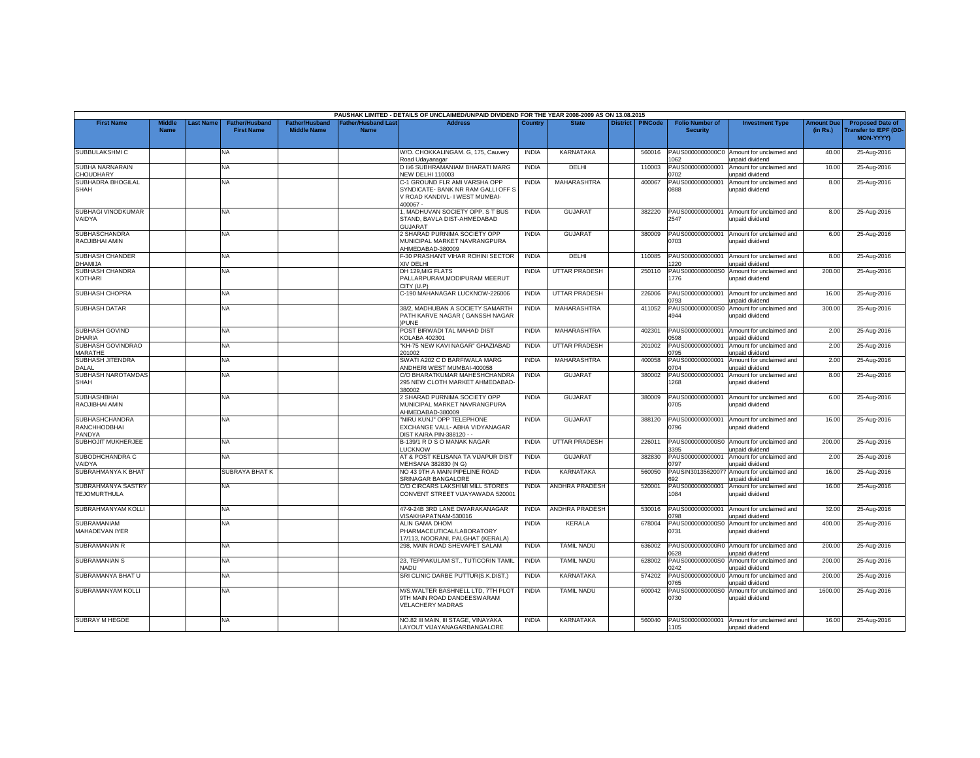|                                                 |                       |                 |                                            |                                             |                                           | PAUSHAK LIMITED - DETAILS OF UNCLAIMED/UNPAID DIVIDEND FOR THE YEAR 2008-2009 AS ON 13.08.2015                      |              |                      |                 |                |                                           |                                                              |                               |                                                                            |
|-------------------------------------------------|-----------------------|-----------------|--------------------------------------------|---------------------------------------------|-------------------------------------------|---------------------------------------------------------------------------------------------------------------------|--------------|----------------------|-----------------|----------------|-------------------------------------------|--------------------------------------------------------------|-------------------------------|----------------------------------------------------------------------------|
| <b>First Name</b>                               | Middle<br><b>Name</b> | <b>ast Name</b> | <b>Father/Husband</b><br><b>First Name</b> | <b>Father/Husband</b><br><b>Middle Name</b> | <b>Father/Husband Last</b><br><b>Name</b> | <b>Address</b>                                                                                                      | Country      | <b>State</b>         | <b>District</b> | <b>PINCode</b> | <b>Folio Number of</b><br><b>Security</b> | <b>Investment Type</b>                                       | <b>Amount Due</b><br>(in Rs.) | <b>Proposed Date of</b><br><b>Transfer to IEPF (DD</b><br><b>MON-YYYYY</b> |
| SUBBULAKSHMI C                                  |                       |                 | NA                                         |                                             |                                           | W/O. CHOKKALINGAM. G, 175, Cauvery<br>Road Udayanagar                                                               | <b>INDIA</b> | KARNATAKA            |                 | 560016         | PAUS0000000000C0<br>062                   | Amount for unclaimed and<br>unpaid dividend                  | 40.00                         | 25-Aug-2016                                                                |
| <b>SUBHA NARNARAIN</b><br>CHOUDHARY             |                       |                 | <b>NA</b>                                  |                                             |                                           | D II/6 SUBHRAMANIAM BHARATI MARG<br><b>NEW DELHI 110003</b>                                                         | <b>INDIA</b> | DELHI                |                 | 110003         | PAUS000000000001<br>0702                  | Amount for unclaimed and<br>unpaid dividend                  | 10.00                         | 25-Aug-2016                                                                |
| SUBHADRA BHOGILAL<br><b>SHAH</b>                |                       |                 | NA                                         |                                             |                                           | C-1 GROUND FLR AMI VARSHA OPP<br>SYNDICATE- BANK NR RAM GALLI OFF S<br>V ROAD KANDIVL- I WEST MUMBAI-<br>$100067 -$ | <b>INDIA</b> | MAHARASHTRA          |                 | 400067         | PAUS000000000001<br>0888                  | Amount for unclaimed and<br>unpaid dividend                  | 8.00                          | 25-Aug-2016                                                                |
| SUBHAGI VINODKUMAR<br>VAIDYA                    |                       |                 | NA                                         |                                             |                                           | 1, MADHUVAN SOCIETY OPP. S T BUS<br>STAND, BAVLA DIST-AHMEDABAD<br><b>GUJARAT</b>                                   | <b>INDIA</b> | <b>GUJARAT</b>       |                 | 382220         | PAUS000000000001<br>2547                  | Amount for unclaimed and<br>unpaid dividend                  | 8.00                          | 25-Aug-2016                                                                |
| <b>SUBHASCHANDRA</b><br>RAOJIBHAI AMIN          |                       |                 | ΝA                                         |                                             |                                           | 2 SHARAD PURNIMA SOCIETY OPP<br>MUNICIPAL MARKET NAVRANGPURA<br>AHMEDABAD-380009                                    | <b>INDIA</b> | <b>GUJARA1</b>       |                 | 380009         | PAUS000000000001<br>0703                  | Amount for unclaimed and<br>unpaid dividend                  | 6.00                          | 25-Aug-2016                                                                |
| <b>SUBHASH CHANDER</b><br>DHAMIJA               |                       |                 | NA                                         |                                             |                                           | F-30 PRASHANT VIHAR ROHINI SECTOR<br>XIV DELHI                                                                      | <b>INDIA</b> | DELHI                |                 | 110085         | PAUS000000000001<br>220                   | Amount for unclaimed and<br>unpaid dividend                  | 8.00                          | 25-Aug-2016                                                                |
| <b>SUBHASH CHANDRA</b><br>KOTHARI               |                       |                 | NA.                                        |                                             |                                           | DH 129.MIG FLATS<br>PALLARPURAM.MODIPURAM MEERUT<br>CITY (U.P)                                                      | <b>INDIA</b> | UTTAR PRADESH        |                 | 250110         | PAUS0000000000S0<br>776                   | Amount for unclaimed and<br>inpaid dividend                  | 200.00                        | 25-Aug-2016                                                                |
| SUBHASH CHOPRA                                  |                       |                 | NA                                         |                                             |                                           | C-190 MAHANAGAR LUCKNOW-226006                                                                                      | <b>INDIA</b> | <b>UTTAR PRADESH</b> |                 | 226006         | PAUS000000000001<br>0793                  | Amount for unclaimed and<br>unpaid dividend                  | 16.00                         | 25-Aug-2016                                                                |
| <b>SUBHASH DATAR</b>                            |                       |                 | NA                                         |                                             |                                           | 38/2, MADHUBAN A SOCIETY SAMARTH<br>PATH KARVE NAGAR ( GANSSH NAGAR<br><b>PUNE</b>                                  | <b>INDIA</b> | <b>MAHARASHTRA</b>   |                 | 411052         | PAUS0000000000S0<br>4944                  | Amount for unclaimed and<br>unpaid dividend                  | 300.00                        | 25-Aug-2016                                                                |
| <b>SUBHASH GOVIND</b><br><b>DHARIA</b>          |                       |                 | NA.                                        |                                             |                                           | POST BIRWADI TAL MAHAD DIST<br><b>KOLABA 402301</b>                                                                 | <b>INDIA</b> | <b>MAHARASHTRA</b>   |                 | 402301         | PAUS000000000001<br>0598                  | Amount for unclaimed and<br>unpaid dividend                  | 2.00                          | 25-Aug-2016                                                                |
| SUBHASH GOVINDRAO<br><b>MARATHE</b>             |                       |                 | NA                                         |                                             |                                           | "KH-75 NEW KAVI NAGAR" GHAZIABAD<br>201002                                                                          | <b>INDIA</b> | <b>UTTAR PRADESH</b> |                 | 201002         | PAUS000000000001<br>0795                  | Amount for unclaimed and<br>unpaid dividend                  | 2.00                          | 25-Aug-2016                                                                |
| SUBHASH JITENDRA<br>DALAL                       |                       |                 | NA.                                        |                                             |                                           | SWATI A202 C D BARFIWALA MARG<br>ANDHERI WEST MUMBAI-400058                                                         | <b>INDIA</b> | MAHARASHTRA          |                 | 400058         | PAUS000000000001<br>0704                  | Amount for unclaimed and<br>unpaid dividend                  | 2.00                          | 25-Aug-2016                                                                |
| SUBHASH NAROTAMDAS<br>SHAH                      |                       |                 | NA                                         |                                             |                                           | C/O BHARATKUMAR MAHESHCHANDRA<br>295 NEW CLOTH MARKET AHMEDABAD-<br>80002                                           | <b>INDIA</b> | <b>GUJARAT</b>       |                 | 380002         | PAUS000000000001<br>268                   | Amount for unclaimed and<br>unpaid dividend                  | 8.00                          | 25-Aug-2016                                                                |
| <b>SUBHASHBHAI</b><br>RAOJIBHAI AMIN            |                       |                 | NA                                         |                                             |                                           | 2 SHARAD PURNIMA SOCIETY OPP<br>MUNICIPAL MARKET NAVRANGPURA<br>AHMEDABAD-380009                                    | <b>INDIA</b> | <b>GUJARAT</b>       |                 | 380009         | PAUS000000000001<br>0705                  | Amount for unclaimed and<br>unpaid dividend                  | 6.00                          | 25-Aug-2016                                                                |
| <b>SUBHASHCHANDRA</b><br>RANCHHODBHAI<br>PANDYA |                       |                 | NA                                         |                                             |                                           | 'NIRU KUNJ" OPP TELEPHONE<br>EXCHANGE VALL- ABHA VIDYANAGAR<br>DIST KAIRA PIN-388120 - -                            | <b>INDIA</b> | <b>GUJARAT</b>       |                 | 388120         | PAUS000000000001<br>0796                  | Amount for unclaimed and<br>unpaid dividend                  | 16.00                         | 25-Aug-2016                                                                |
| SUBHOJIT MUKHERJEE                              |                       |                 | NA.                                        |                                             |                                           | B-139/1 R D S O MANAK NAGAR<br>LUCKNOW                                                                              | <b>INDIA</b> | <b>UTTAR PRADESH</b> |                 | 226011         | PAUS0000000000S0<br>3395                  | Amount for unclaimed and<br>unpaid dividend                  | 200.00                        | 25-Aug-2016                                                                |
| SUBODHCHANDRA C<br>VAIDYA                       |                       |                 | NA.                                        |                                             |                                           | AT & POST KELISANA TA VIJAPUR DIST<br>MEHSANA 382830 (N G)                                                          | <b>INDIA</b> | <b>GUJARAT</b>       |                 | 382830         | PAUS000000000001<br>0797                  | Amount for unclaimed and<br>unpaid dividend                  | 2.00                          | 25-Aug-2016                                                                |
| SUBRAHMANYA K BHAT                              |                       |                 | <b>SUBRAYA BHAT K</b>                      |                                             |                                           | NO 43 9TH A MAIN PIPELINE ROAD<br>SRINAGAR BANGALORE                                                                | <b>INDIA</b> | <b>KARNATAKA</b>     |                 | 560050         | PAUSIN3013562007<br>692                   | Amount for unclaimed and<br>unpaid dividend                  | 16.00                         | 25-Aug-2016                                                                |
| SUBRAHMANYA SASTRY<br><b>TEJOMURTHULA</b>       |                       |                 | <b>NA</b>                                  |                                             |                                           | C/O CIRCARS LAKSHIMI MILL STORES<br>CONVENT STREET VIJAYAWADA 520001                                                | <b>INDIA</b> | ANDHRA PRADESH       |                 | 520001         | PAUS000000000001<br>1084                  | Amount for unclaimed and<br>unpaid dividend                  | 16.00                         | 25-Aug-2016                                                                |
| SUBRAHMANYAM KOLLI                              |                       |                 | NA                                         |                                             |                                           | 47-9-24B 3RD LANE DWARAKANAGAR<br>/ISAKHAPATNAM-530016                                                              | <b>INDIA</b> | ANDHRA PRADESH       |                 | 530016         | PAUS000000000001<br>0798                  | Amount for unclaimed and<br>unpaid dividend                  | 32.00                         | 25-Aug-2016                                                                |
| <b>SUBRAMANIAM</b><br>MAHADEVAN IYER            |                       |                 | NA                                         |                                             |                                           | ALIN GAMA DHOM<br>PHARMACEUTICAL/LABORATORY<br>17/113, NOORANI, PALGHAT (KERALA)                                    | <b>INDIA</b> | <b>KERALA</b>        |                 | 678004         | PAUS0000000000S0<br>0731                  | Amount for unclaimed and<br>unpaid dividend                  | 400.00                        | 25-Aug-2016                                                                |
| <b>SUBRAMANIAN R</b>                            |                       |                 | NA                                         |                                             |                                           | 298. MAIN ROAD SHEVAPET SALAM                                                                                       | <b>INDIA</b> | <b>TAMIL NADU</b>    |                 | 636002         | 0628                                      | PAUS0000000000R0 Amount for unclaimed and<br>unpaid dividend | 200.00                        | 25-Aug-2016                                                                |
| <b>SUBRAMANIAN S</b>                            |                       |                 | NA                                         |                                             |                                           | 23, TEPPAKULAM ST., TUTICORIN TAMIL<br>NADU                                                                         | <b>INDIA</b> | <b>TAMIL NADU</b>    |                 | 628002         | PAUS0000000000S0<br>0242                  | Amount for unclaimed and<br>unpaid dividend                  | 200.00                        | 25-Aug-2016                                                                |
| SUBRAMANYA BHAT U                               |                       |                 | NA.                                        |                                             |                                           | SRI CLINIC DARBE PUTTUR(S.K.DIST.)                                                                                  | <b>INDIA</b> | KARNATAKA            |                 | 574202         | PAUS0000000000U<br>0765                   | Amount for unclaimed and<br>unpaid dividend                  | 200.00                        | 25-Aug-2016                                                                |
| SUBRAMANYAM KOLLI                               |                       |                 | NA.                                        |                                             |                                           | M/S.WALTER BASHNELL LTD. 7TH PLOT<br>9TH MAIN ROAD DANDEESWARAM<br><b>VELACHERY MADRAS</b>                          | <b>INDIA</b> | <b>TAMIL NADU</b>    |                 | 600042         | PAUS0000000000S0<br>0730                  | Amount for unclaimed and<br>unpaid dividend                  | 1600.00                       | 25-Aug-2016                                                                |
| <b>SUBRAY M HEGDE</b>                           |                       |                 | <b>NA</b>                                  |                                             |                                           | NO.82 III MAIN. III STAGE, VINAYAKA<br>LAYOUT VIJAYANAGARBANGALORE                                                  | <b>INDIA</b> | KARNATAKA            |                 | 560040         | 1105                                      | PAUS000000000001 Amount for unclaimed and<br>unpaid dividend | 16.00                         | 25-Aug-2016                                                                |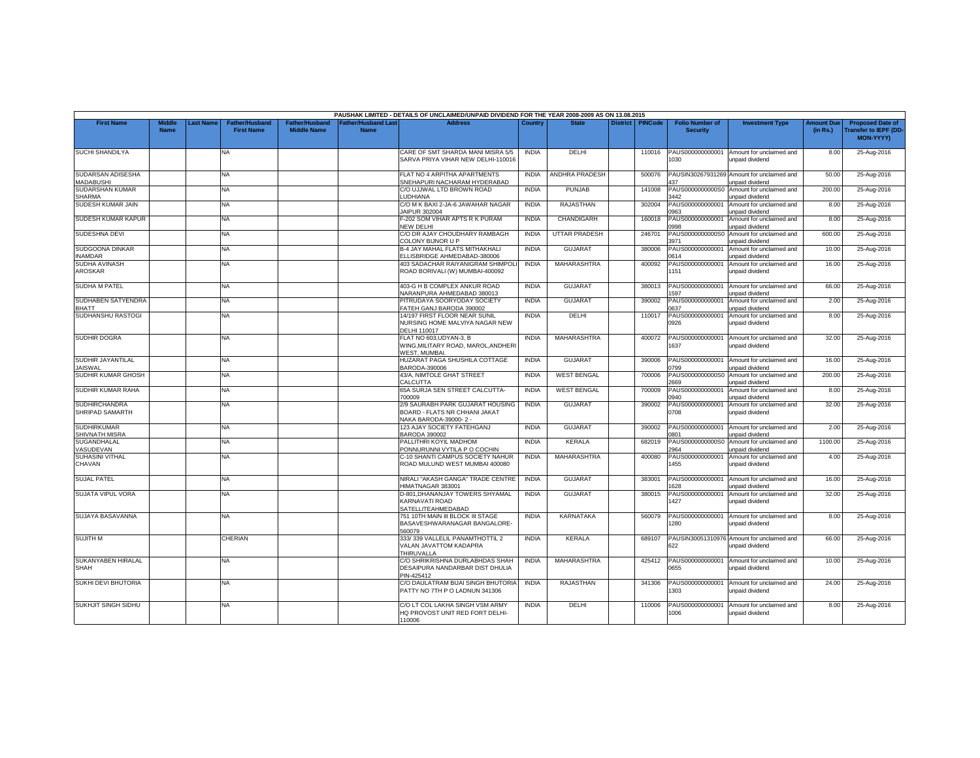|                                             |                              |           |                                            |                                             |                                           | PAUSHAK LIMITED - DETAILS OF UNCLAIMED/UNPAID DIVIDEND FOR THE YEAR 2008-2009 AS ON 13.08.2015 |              |                      |                 |                |                                           |                                                               |                               |                                                                     |
|---------------------------------------------|------------------------------|-----------|--------------------------------------------|---------------------------------------------|-------------------------------------------|------------------------------------------------------------------------------------------------|--------------|----------------------|-----------------|----------------|-------------------------------------------|---------------------------------------------------------------|-------------------------------|---------------------------------------------------------------------|
| <b>First Name</b>                           | <b>Middle</b><br><b>Name</b> | Last Name | <b>Father/Husband</b><br><b>First Name</b> | <b>Father/Husband</b><br><b>Middle Name</b> | <b>Father/Husband Last</b><br><b>Name</b> | <b>Address</b>                                                                                 | Country      | <b>State</b>         | <b>District</b> | <b>PINCode</b> | <b>Folio Number of</b><br><b>Security</b> | <b>Investment Type</b>                                        | <b>Amount Due</b><br>(in Rs.) | <b>Proposed Date of</b><br><b>Transfer to IEPF (DD</b><br>MON-YYYY) |
| <b>SUCHI SHANDILYA</b>                      |                              |           | NA                                         |                                             |                                           | CARE OF SMT SHARDA MANI MISRA 5/5<br>SARVA PRIYA VIHAR NEW DELHI-110016                        | <b>INDIA</b> | DELHI                |                 | 110016         | PAUS000000000001<br>030                   | Amount for unclaimed and<br>unpaid dividend                   | 8.00                          | 25-Aug-2016                                                         |
| SUDARSAN ADISESHA<br><b>MADABUSHI</b>       |                              |           | <b>NA</b>                                  |                                             |                                           | FLAT NO 4 ARPITHA APARTMENTS<br>SNEHAPURI NACHARAM HYDERABAD                                   | <b>INDIA</b> | ANDHRA PRADESH       |                 | 500076         | PAUSIN30267931269<br>437                  | Amount for unclaimed and<br>unpaid dividend                   | 50.00                         | 25-Aug-2016                                                         |
| SUDARSHAN KUMAR<br><b>SHARMA</b>            |                              |           | NA                                         |                                             |                                           | C/O UJJWAL LTD BROWN ROAD<br><b>UDHIANA</b>                                                    | <b>INDIA</b> | <b>PUNJAB</b>        |                 | 141008         | PAUS0000000000S0<br>3442                  | Amount for unclaimed and<br>inpaid dividend                   | 200.00                        | 25-Aug-2016                                                         |
| SUDESH KUMAR JAIN                           |                              |           | NA                                         |                                             |                                           | C/O M K BAXI 2-JA-6 JAWAHAR NAGAR<br>JAIPUR 302004                                             | <b>INDIA</b> | <b>RAJASTHAN</b>     |                 | 302004         | PAUS000000000001<br>0963                  | Amount for unclaimed and<br>unpaid dividend                   | 8.00                          | 25-Aug-2016                                                         |
| SUDESH KUMAR KAPUR                          |                              |           | NA                                         |                                             |                                           | -202 SOM VIHAR APTS R K PURAM<br>NEW DELHI                                                     | <b>INDIA</b> | CHANDIGARH           |                 | 160018         | PAUS000000000001<br>0998                  | Amount for unclaimed and<br>unpaid dividend                   | 8.00                          | 25-Aug-2016                                                         |
| SUDESHNA DEVI                               |                              |           | NA                                         |                                             |                                           | C/O DR AJAY CHOUDHARY RAMBAGH<br>COLONY BIJNOR U P                                             | <b>INDIA</b> | <b>UTTAR PRADESH</b> |                 | 246701         | PAUS0000000000S0<br>3971                  | Amount for unclaimed and<br>unpaid dividend                   | 600.00                        | 25-Aug-2016                                                         |
| SUDGOONA DINKAR<br><b>INAMDAR</b>           |                              |           | ΝA                                         |                                             |                                           | <b>B-4 JAY MAHAL FLATS MITHAKHALI</b><br>LLISBRIDGE AHMEDABAD-380006                           | <b>INDIA</b> | <b>GUJARAT</b>       |                 | 380006         | PAUS000000000001<br>0614                  | Amount for unclaimed and<br>unpaid dividend                   | 10.00                         | 25-Aug-2016                                                         |
| <b>SUDHA AVINASH</b><br><b>AROSKAR</b>      |                              |           | NA                                         |                                             |                                           | 403 SADACHAR RAIYANIGRAM SHIMPOLI<br>ROAD BORIVALI (W) MUMBAI-400092                           | <b>INDIA</b> | MAHARASHTRA          |                 | 400092         | PAUS000000000001<br>1151                  | Amount for unclaimed and<br>unpaid dividend                   | 16.00                         | 25-Aug-2016                                                         |
| <b>SUDHA M PATEL</b>                        |                              |           | NA                                         |                                             |                                           | 403-G H B COMPLEX ANKUR ROAD<br>JARANPURA AHMEDABAD 380013                                     | <b>INDIA</b> | <b>GUJARAT</b>       |                 | 380013         | PAUS000000000001<br>597                   | Amount for unclaimed and<br>unpaid dividend                   | 66.00                         | 25-Aug-2016                                                         |
| SUDHABEN SATYENDRA<br><b>BHATT</b>          |                              |           | NA                                         |                                             |                                           | PITRUDAYA SOORYODAY SOCIETY<br>FATEH GANJ BARODA 390002                                        | <b>INDIA</b> | <b>GUJARAT</b>       |                 | 390002         | PAUS000000000001<br>0637                  | Amount for unclaimed and<br>unpaid dividend                   | 2.00                          | 25-Aug-2016                                                         |
| SUDHANSHU RASTOGI                           |                              |           | NA.                                        |                                             |                                           | 14/197 FIRST FLOOR NEAR SUNIL<br>NURSING HOME MALVIYA NAGAR NEW<br><b>DELHI 110017</b>         | <b>INDIA</b> | DELHI                |                 | 110017         | PAUS00000000000<br>0926                   | Amount for unclaimed and<br>unpaid dividend                   | 8.00                          | 25-Aug-2016                                                         |
| SUDHIR DOGRA                                |                              |           | NA                                         |                                             |                                           | FLAT NO 603, UDYAN-3, B<br>WING, MILITARY ROAD, MAROL, ANDHERI<br>WEST, MUMBAI,                | <b>INDIA</b> | <b>MAHARASHTRA</b>   |                 | 400072         | PAUS000000000001<br>1637                  | Amount for unclaimed and<br>unpaid dividend                   | 32.00                         | 25-Aug-2016                                                         |
| SUDHIR JAYANTILAL<br><b>JAISWAL</b>         |                              |           | NA.                                        |                                             |                                           | HUZARAT PAGA SHUSHILA COTTAGE<br>BARODA-390006                                                 | <b>INDIA</b> | <b>GUJARAT</b>       |                 | 390006         | PAUS000000000001<br>799                   | Amount for unclaimed and<br>unpaid dividend                   | 16.00                         | 25-Aug-2016                                                         |
| SUDHIR KUMAR GHOSH                          |                              |           | NA.                                        |                                             |                                           | 43/A, NIMTOLE GHAT STREET<br>CALCUTTA                                                          | <b>INDIA</b> | <b>WEST BENGAL</b>   |                 | 700006         | PAUS0000000000S0<br>2669                  | Amount for unclaimed and<br>unpaid dividend                   | 200.00                        | 25-Aug-2016                                                         |
| SUDHIR KUMAR RAHA                           |                              |           | NA.                                        |                                             |                                           | 65A SURJA SEN STREET CALCUTTA-<br>700009                                                       | <b>INDIA</b> | <b>WEST BENGAL</b>   |                 | 700009         | PAUS000000000001<br>0940                  | Amount for unclaimed and<br>unpaid dividend                   | 8.00                          | 25-Aug-2016                                                         |
| <b>SUDHIRCHANDRA</b><br>SHRIPAD SAMARTH     |                              |           | NA                                         |                                             |                                           | 2/9 SAURABH PARK GUJARAT HOUSING<br>BOARD - FLATS NR CHHANI JAKAT<br>VAKA BARODA-39000-2-      | <b>INDIA</b> | <b>GUJARAT</b>       |                 | 390002         | PAUS000000000001<br>0708                  | Amount for unclaimed and<br>unpaid dividend                   | 32.00                         | 25-Aug-2016                                                         |
| <b>SUDHIRKUMAR</b><br><b>SHIVNATH MISRA</b> |                              |           | NA                                         |                                             |                                           | 123 AJAY SOCIETY FATEHGANJ<br>BARODA 390002                                                    | <b>INDIA</b> | <b>GUJARAT</b>       |                 | 390002         | PAUS000000000001<br>0801                  | Amount for unclaimed and<br>unpaid dividend                   | 2.00                          | 25-Aug-2016                                                         |
| SUGANDHALAL<br>VASUDEVAN                    |                              |           | NA.                                        |                                             |                                           | PALLITHRI KOYIL MADHOM<br>PONNURUNNI VYTILA P O COCHIN                                         | <b>INDIA</b> | <b>KERALA</b>        |                 | 682019         | PAUS0000000000S0<br>2964                  | Amount for unclaimed and<br>unpaid dividend                   | 1100.00                       | 25-Aug-2016                                                         |
| <b>SUHASINI VITHAL</b><br>CHAVAN            |                              |           | NA.                                        |                                             |                                           | C-10 SHANTI CAMPUS SOCIETY NAHUR<br>ROAD MULUND WEST MUMBAI 400080                             | INDIA        | MAHARASHTRA          |                 | 400080         | PAUS000000000001<br>1455                  | Amount for unclaimed and<br>unpaid dividend                   | 4.00                          | 25-Aug-2016                                                         |
| <b>SUJAL PATEL</b>                          |                              |           | NA                                         |                                             |                                           | NIRALI "AKASH GANGA" TRADE CENTRE<br>HIMATNAGAR 383001                                         | <b>INDIA</b> | GUJARAT              |                 | 383001         | PAUS000000000001<br>1628                  | Amount for unclaimed and<br>unpaid dividend                   | 16.00                         | 25-Aug-2016                                                         |
| <b>SUJATA VIPUL VORA</b>                    |                              |           | NA                                         |                                             |                                           | D-801, DHANANJAY TOWERS SHYAMAL<br>KARNAVATI ROAD<br>SATELLITEAHMEDABAD                        | <b>INDIA</b> | <b>GUJARAT</b>       |                 | 380015         | PAUS000000000001<br>427                   | Amount for unclaimed and<br>unpaid dividend                   | 32.00                         | 25-Aug-2016                                                         |
| SUJAYA BASAVANNA                            |                              |           | NA                                         |                                             |                                           | 751 10TH MAIN III BLOCK III STAGE<br>BASAVESHWARANAGAR BANGALORE-<br>560079                    | <b>INDIA</b> | KARNATAKA            |                 | 560079         | PAUS000000000001<br>1280                  | Amount for unclaimed and<br>unpaid dividend                   | 8.00                          | 25-Aug-2016                                                         |
| <b>SUJITH M</b>                             |                              |           | CHERIAN                                    |                                             |                                           | 333/339 VALLELIL PANAMTHOTTIL 2<br>VALAN JAVATTOM KADAPRA<br>THIRUVALLA                        | <b>INDIA</b> | KERALA               |                 | 689107         | 622                                       | PAUSIN30051310976 Amount for unclaimed and<br>unpaid dividend | 66.00                         | 25-Aug-2016                                                         |
| SUKANYABEN HIRALAL<br><b>SHAH</b>           |                              |           | NA                                         |                                             |                                           | C/O SHRIKRISHNA DURLABHDAS SHAH<br>DESAIPURA NANDARBAR DIST DHULIA<br>PIN-425412               | <b>INDIA</b> | MAHARASHTRA          |                 | 425412         | PAUS000000000001<br>0655                  | Amount for unclaimed and<br>unpaid dividend                   | 10.00                         | 25-Aug-2016                                                         |
| SUKHI DEVI BHUTORIA                         |                              |           | NA                                         |                                             |                                           | C/O DAULATRAM BIJAI SINGH BHUTORIA<br>PATTY NO 7TH P O LADNUN 341306                           | <b>INDIA</b> | RAJASTHAN            |                 | 341306         | PAUS000000000001<br>1303                  | Amount for unclaimed and<br>unpaid dividend                   | 24.00                         | 25-Aug-2016                                                         |
| <b>SUKHJIT SINGH SIDHU</b>                  |                              |           | <b>NA</b>                                  |                                             |                                           | C/O LT COL LAKHA SINGH VSM ARMY<br>HQ PROVOST UNIT RED FORT DELHI-<br>110006                   | <b>INDIA</b> | DELHI                |                 | 110006         | PAUS000000000001<br>1006                  | Amount for unclaimed and<br>unpaid dividend                   | 8.00                          | 25-Aug-2016                                                         |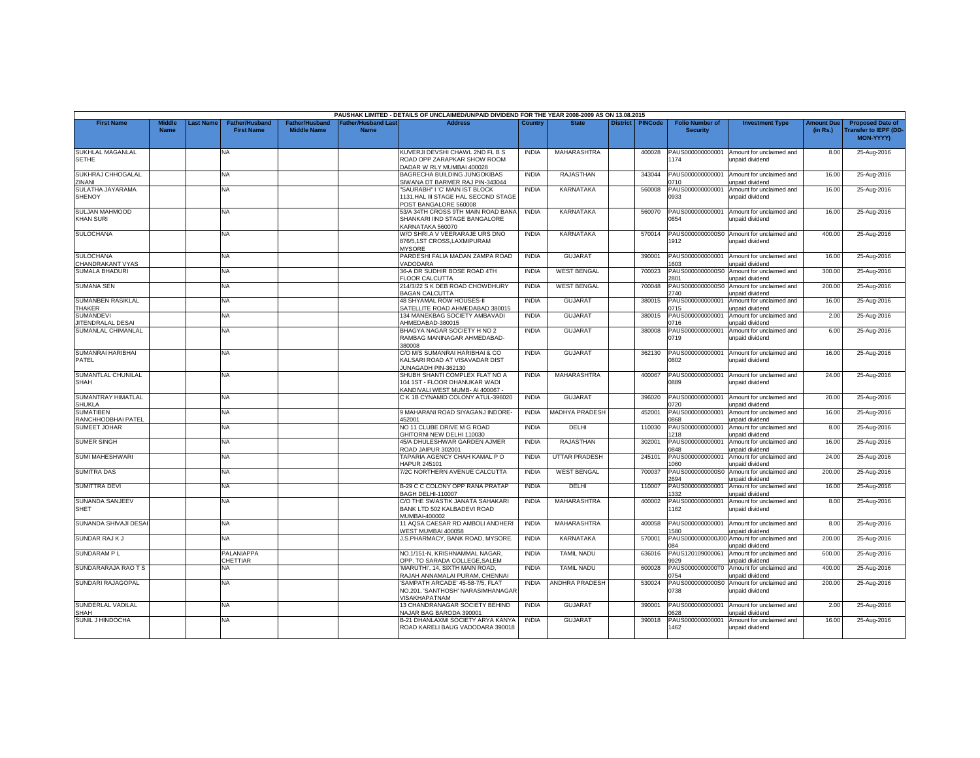|                                              |                              |          |                                            |                                      |                                          | PAUSHAK LIMITED - DETAILS OF UNCLAIMED/UNPAID DIVIDEND FOR THE YEAR 2008-2009 AS ON 13.08.2015      |              |                       |                 |                |                                           |                                             |                               |                                                              |
|----------------------------------------------|------------------------------|----------|--------------------------------------------|--------------------------------------|------------------------------------------|-----------------------------------------------------------------------------------------------------|--------------|-----------------------|-----------------|----------------|-------------------------------------------|---------------------------------------------|-------------------------------|--------------------------------------------------------------|
| <b>First Name</b>                            | <b>Middle</b><br><b>Name</b> | ast Name | <b>Father/Husband</b><br><b>First Name</b> | Father/Husband<br><b>Middle Name</b> | <b>Father/Husband Las</b><br><b>Name</b> | <b>Address</b>                                                                                      | Country      | <b>State</b>          | <b>District</b> | <b>PINCode</b> | <b>Folio Number of</b><br><b>Security</b> | <b>Investment Type</b>                      | <b>Amount Due</b><br>(in Rs.) | <b>Proposed Date of</b><br>ransfer to IEPF (DD-<br>MON-YYYY) |
| <b>SUKHLAL MAGANLAL</b><br><b>SETHE</b>      |                              |          | NA.                                        |                                      |                                          | KUVERJI DEVSHI CHAWL 2ND FL B S<br>ROAD OPP ZARAPKAR SHOW ROOM<br>DADAR W RLY MUMBAI 400028         | <b>INDIA</b> | MAHARASHTRA           |                 | 400028         | PAUS000000000001<br>1174                  | Amount for unclaimed and<br>unpaid dividend | 8.00                          | 25-Aug-2016                                                  |
| SUKHRAJ CHHOGALAL<br>ZINANI                  |                              |          | NA                                         |                                      |                                          | BAGRECHA BUILDING JUNGOKIBAS<br>SIWANA DT BARMER RAJ PIN-343044                                     | <b>INDIA</b> | RAJASTHAN             |                 | 343044         | PAUS000000000001<br>0710                  | Amount for unclaimed and<br>inpaid dividend | 16.00                         | 25-Aug-2016                                                  |
| SULATHA JAYARAMA<br><b>SHENOY</b>            |                              |          | NA.                                        |                                      |                                          | SAURABH" I 'C' MAIN IST BLOCK<br>1131.HAL III STAGE HAL SECOND STAGE<br>POST BANGALORE 560008       | <b>INDIA</b> | KARNATAKA             |                 | 560008         | PAUS000000000001<br>0933                  | Amount for unclaimed and<br>unpaid dividend | 16.00                         | 25-Aug-2016                                                  |
| SULJAN MAHMOOD<br><b>KHAN SURI</b>           |                              |          | <b>NA</b>                                  |                                      |                                          | 53/A 34TH CROSS 9TH MAIN ROAD BANA<br>SHANKARI IIND STAGE BANGALORE<br><b>KARNATAKA 560070</b>      | <b>INDIA</b> | <b>KARNATAKA</b>      |                 | 560070         | PAUS000000000001<br>0854                  | Amount for unclaimed and<br>unpaid dividend | 16.00                         | 25-Aug-2016                                                  |
| <b>SULOCHANA</b>                             |                              |          | NA                                         |                                      |                                          | W/O SHRI.A V VEERARAJE URS DNO<br>876/5,1ST CROSS,LAXMIPURAM<br><b>MYSORE</b>                       | <b>INDIA</b> | KARNATAKA             |                 | 570014         | PAUS0000000000S0<br>1912                  | Amount for unclaimed and<br>unpaid dividend | 400.00                        | 25-Aug-2016                                                  |
| <b>SULOCHANA</b><br>CHANDRAKANT VYAS         |                              |          | NA                                         |                                      |                                          | PARDESHI FALIA MADAN ZAMPA ROAD<br>/ADODARA                                                         | <b>INDIA</b> | <b>GUJARAT</b>        |                 | 390001         | PAUS000000000001<br>603                   | Amount for unclaimed and<br>unpaid dividend | 16.00                         | 25-Aug-2016                                                  |
| <b>SUMALA BHADURI</b>                        |                              |          | <b>NA</b>                                  |                                      |                                          | 36-A DR SUDHIR BOSE ROAD 4TH<br><b>LOOR CALCUTTA</b>                                                | <b>INDIA</b> | <b>WEST BENGAL</b>    |                 | 700023         | PAUS0000000000S0<br>2801                  | Amount for unclaimed and<br>unpaid dividend | 300.00                        | 25-Aug-2016                                                  |
| <b>SUMANA SEN</b>                            |                              |          | NA                                         |                                      |                                          | 214/3/22 S K DEB ROAD CHOWDHURY<br><b>BAGAN CALCUTTA</b>                                            | <b>INDIA</b> | <b>WEST BENGAL</b>    |                 | 700048         | PAUS0000000000S<br>2740                   | Amount for unclaimed and<br>unpaid dividend | 200.00                        | 25-Aug-2016                                                  |
| <b>SUMANBEN RASIKLAL</b><br><b>THAKER</b>    |                              |          | NA                                         |                                      |                                          | <b>48 SHYAMAL ROW HOUSES-II</b><br>SATELLITE ROAD AHMEDABAD 380015                                  | <b>INDIA</b> | <b>GUJARAT</b>        |                 | 380015         | PAUS00000000000<br>0715                   | Amount for unclaimed and<br>unpaid dividend | 16.00                         | 25-Aug-2016                                                  |
| <b>SUMANDEVI</b><br><b>JITENDRALAL DESAI</b> |                              |          | <b>NA</b>                                  |                                      |                                          | 134 MANEKBAG SOCIETY AMBAVADI<br>AHMEDABAD-380015                                                   | <b>INDIA</b> | <b>GUJARAT</b>        |                 | 380015         | PAUS000000000001<br>0716                  | Amount for unclaimed and<br>unpaid dividend | 2.00                          | 25-Aug-2016                                                  |
| SUMANLAL CHIMANLAL                           |                              |          | NA                                         |                                      |                                          | BHAGYA NAGAR SOCIETY H NO 2<br>RAMBAG MANINAGAR AHMEDABAD-<br>80008                                 | <b>INDIA</b> | <b>GUJARAT</b>        |                 | 380008         | PAUS00000000000<br>0719                   | Amount for unclaimed and<br>unpaid dividend | 6.00                          | 25-Aug-2016                                                  |
| SUMANRAI HARIBHAI<br>PATEL                   |                              |          | NA                                         |                                      |                                          | C/O M/S SUMANRAI HARIBHAI & CO<br>KALSARI ROAD AT VISAVADAR DIST<br><b>JUNAGADH PIN-362130</b>      | <b>INDIA</b> | <b>GUJARAT</b>        |                 | 362130         | PAUS000000000001<br>0802                  | Amount for unclaimed and<br>unpaid dividend | 16.00                         | 25-Aug-2016                                                  |
| SUMANTLAL CHUNILAL<br><b>SHAH</b>            |                              |          | <b>NA</b>                                  |                                      |                                          | SHUBH SHANTI COMPLEX FLAT NO A<br>104 1ST - FLOOR DHANUKAR WADI<br>KANDIVALI WEST MUMB- AI 400067 - | <b>INDIA</b> | MAHARASHTRA           |                 | 400067         | PAUS000000000001<br>0889                  | Amount for unclaimed and<br>unpaid dividend | 24.00                         | 25-Aug-2016                                                  |
| SUMANTRAY HIMATLAL<br><b>SHUKLA</b>          |                              |          | NA                                         |                                      |                                          | C K 1B CYNAMID COLONY ATUL-396020                                                                   | <b>INDIA</b> | <b>GUJARAT</b>        |                 | 396020         | PAUS000000000001<br>720                   | Amount for unclaimed and<br>unpaid dividend | 20.00                         | 25-Aug-2016                                                  |
| <b>SUMATIBEN</b><br>RANCHHODBHAI PATEL       |                              |          | <b>NA</b>                                  |                                      |                                          | 9 MAHARANI ROAD SIYAGANJ INDORE-<br>152001                                                          | <b>INDIA</b> | <b>MADHYA PRADESH</b> |                 | 452001         | PAUS00000000000<br>3860                   | Amount for unclaimed and<br>unpaid dividend | 16.00                         | 25-Aug-2016                                                  |
| <b>SUMEET JOHAR</b>                          |                              |          | NA                                         |                                      |                                          | NO 11 CLUBE DRIVE M G ROAD<br>GHITORNI NEW DELHI 110030                                             | <b>INDIA</b> | DELHI                 |                 | 110030         | PAUS00000000000<br>1218                   | Amount for unclaimed and<br>unpaid dividend | 8.00                          | 25-Aug-2016                                                  |
| <b>SUMER SINGH</b>                           |                              |          | <b>NA</b>                                  |                                      |                                          | 45/A DHULESHWAR GARDEN AJMER<br>ROAD JAIPUR 302001                                                  | <b>INDIA</b> | <b>RAJASTHAN</b>      |                 | 302001         | PAUS00000000000<br>0848                   | Amount for unclaimed and<br>unpaid dividend | 16.00                         | 25-Aug-2016                                                  |
| <b>SUMI MAHESHWARI</b>                       |                              |          | NA                                         |                                      |                                          | TAPARIA AGENCY CHAH KAMAL P O<br><b>IAPUR 245101</b>                                                | <b>INDIA</b> | <b>UTTAR PRADESH</b>  |                 | 245101         | PAUS000000000001<br>060                   | Amount for unclaimed and<br>unpaid dividend | 24.00                         | 25-Aug-2016                                                  |
| <b>SUMITRA DAS</b>                           |                              |          | ΝA                                         |                                      |                                          | 7/2C NORTHERN AVENUE CALCUTTA                                                                       | <b>INDIA</b> | <b>WEST BENGAL</b>    |                 | 700037         | PAUS0000000000S0<br>2694                  | Amount for unclaimed and<br>unpaid dividend | 200.00                        | 25-Aug-2016                                                  |
| <b>SUMITTRA DEVI</b>                         |                              |          | <b>NA</b>                                  |                                      |                                          | B-29 C C COLONY OPP RANA PRATAP<br>BAGH DELHI-110007                                                | <b>INDIA</b> | DELHI                 |                 | 110007         | PAUS00000000000<br>332                    | Amount for unclaimed and<br>unpaid dividend | 16.00                         | 25-Aug-2016                                                  |
| <b>SUNANDA SANJEEV</b><br><b>SHET</b>        |                              |          | NA                                         |                                      |                                          | C/O THE SWASTIK JANATA SAHAKARI<br>BANK LTD 502 KALBADEVI ROAD<br>MUMBAI-400002                     | <b>INDIA</b> | MAHARASHTRA           |                 | 400002         | PAUS000000000001<br>162                   | Amount for unclaimed and<br>unpaid dividend | 8.00                          | 25-Aug-2016                                                  |
| SUNANDA SHIVAJI DESA                         |                              |          | NA                                         |                                      |                                          | 11 AQSA CAESAR RD AMBOLI ANDHERI<br><b>NEST MUMBAI 400058</b>                                       | <b>INDIA</b> | MAHARASHTRA           |                 | 400058         | PAUS000000000001<br>580                   | Amount for unclaimed and<br>unpaid dividend | 8.00                          | 25-Aug-2016                                                  |
| SUNDAR RAJ K J                               |                              |          | NA                                         |                                      |                                          | J.S.PHARMACY, BANK ROAD, MYSORE,                                                                    | <b>INDIA</b> | KARNATAKA             |                 | 570001         | PAUS0000000000J00<br>ng A                 | Amount for unclaimed and<br>unpaid dividend | 200.00                        | 25-Aug-2016                                                  |
| SUNDARAM PL                                  |                              |          | PALANIAPPA<br>CHETTIAR                     |                                      |                                          | NO.1/151-N. KRISHNAMMAL NAGAR.<br>OPP. TO SARADA COLLEGE.SALEM                                      | <b>INDIA</b> | <b>TAMIL NADU</b>     |                 | 636016         | PAUS120109000061<br>9929                  | Amount for unclaimed and<br>unpaid dividend | 600.00                        | 25-Aug-2016                                                  |
| SUNDARARAJA RAO T S                          |                              |          | NA                                         |                                      |                                          | 'MARUTHI', 14, SIXTH MAIN ROAD,<br>RAJAH ANNAMALAI PURAM, CHENNAI                                   | <b>INDIA</b> | <b>TAMIL NADU</b>     |                 | 600028         | PAUS0000000000T<br>0754                   | Amount for unclaimed and<br>unpaid dividend | 400.00                        | 25-Aug-2016                                                  |
| SUNDARI RAJAGOPAL                            |                              |          | NA                                         |                                      |                                          | SAMPATH ARCADE' 45-58-7/5, FLAT<br>NO.201, 'SANTHOSH' NARASIMHANAGAR<br><b>ISAKHAPATNAM</b>         | <b>INDIA</b> | ANDHRA PRADESH        |                 | 530024         | PAUS0000000000S0<br>0738                  | Amount for unclaimed and<br>unpaid dividend | 200.00                        | 25-Aug-2016                                                  |
| SUNDERLAL VADILAL<br>SHAH                    |                              |          | NA                                         |                                      |                                          | 13 CHANDRANAGAR SOCIETY BEHIND<br>VAJAR BAG BARODA 390001                                           | <b>INDIA</b> | <b>GUJARAT</b>        |                 | 390001         | PAUS000000000001<br><b>1628</b>           | Amount for unclaimed and<br>unpaid dividend | 2.00                          | 25-Aug-2016                                                  |
| SUNIL J HINDOCHA                             |                              |          | <b>NA</b>                                  |                                      |                                          | B-21 DHANLAXMI SOCIETY ARYA KANYA<br>ROAD KARELI BAUG VADODARA 390018                               | <b>INDIA</b> | <b>GUJARAT</b>        |                 | 390018         | PAUS000000000001<br>1462                  | Amount for unclaimed and<br>unpaid dividend | 16.00                         | 25-Aug-2016                                                  |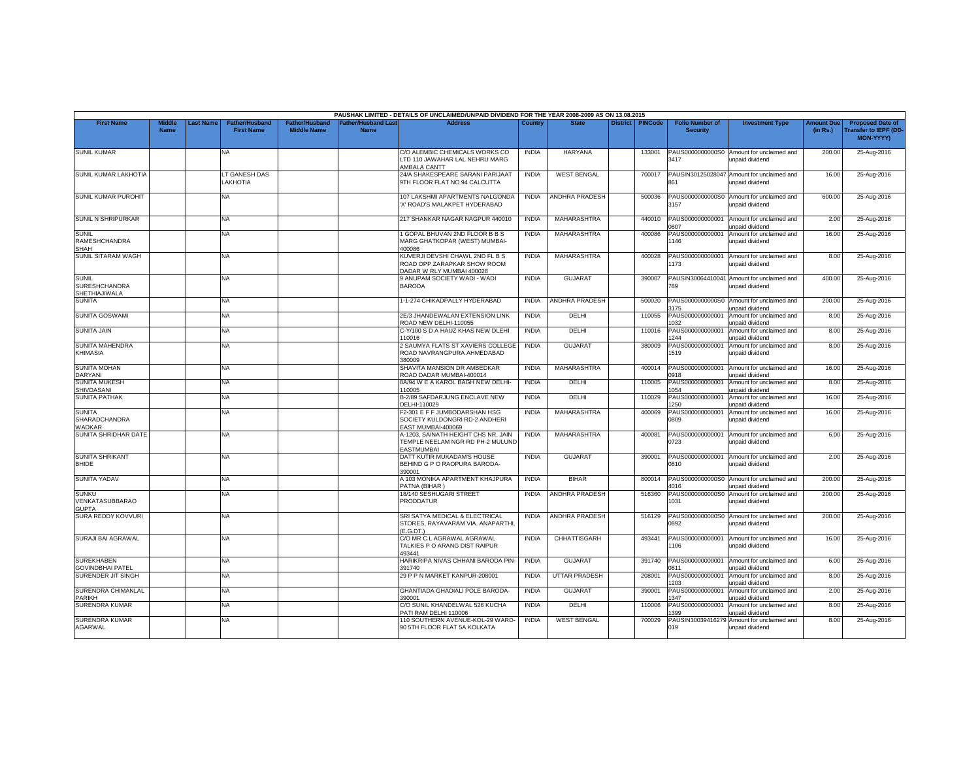|                                                       |                              |                  |                                            |                                             |                                   | PAUSHAK LIMITED - DETAILS OF UNCLAIMED/UNPAID DIVIDEND FOR THE YEAR 2008-2009 AS ON 13.08.2015 |              |                       |                    |                                           |                                                               |                               |                                                                     |
|-------------------------------------------------------|------------------------------|------------------|--------------------------------------------|---------------------------------------------|-----------------------------------|------------------------------------------------------------------------------------------------|--------------|-----------------------|--------------------|-------------------------------------------|---------------------------------------------------------------|-------------------------------|---------------------------------------------------------------------|
| <b>First Name</b>                                     | <b>Middle</b><br><b>Name</b> | <b>Last Name</b> | <b>Father/Husband</b><br><b>First Name</b> | <b>Father/Husband</b><br><b>Middle Name</b> | ather/Husband Last<br><b>Name</b> | <b>Address</b>                                                                                 | Country      | <b>State</b>          | District   PINCode | <b>Folio Number of</b><br><b>Security</b> | <b>Investment Type</b>                                        | <b>Amount Due</b><br>(in Rs.) | <b>Proposed Date of</b><br><b>Transfer to IEPF (DD</b><br>MON-YYYY) |
| <b>SUNIL KUMAR</b>                                    |                              |                  | <b>NA</b>                                  |                                             |                                   | C/O ALEMBIC CHEMICALS WORKS CO<br>LTD 110 JAWAHAR LAL NEHRU MARG<br>AMBALA CANTT               | <b>INDIA</b> | <b>HARYANA</b>        | 133001             | 3417                                      | PAUS0000000000S0 Amount for unclaimed and<br>unpaid dividend  | 200.00                        | 25-Aug-2016                                                         |
| SUNIL KUMAR LAKHOTIA                                  |                              |                  | LT GANESH DAS<br>LAKHOTIA                  |                                             |                                   | 24/A SHAKESPEARE SARANI PARIJAAT<br>9TH FLOOR FLAT NO 94 CALCUTTA                              | <b>INDIA</b> | <b>WEST BENGAL</b>    | 700017             | PAUSIN30125028047<br>861                  | Amount for unclaimed and<br>unpaid dividend                   | 16.00                         | 25-Aug-2016                                                         |
| <b>SUNIL KUMAR PUROHIT</b>                            |                              |                  | <b>NA</b>                                  |                                             |                                   | 107 LAKSHMI APARTMENTS NALGONDA<br>X' ROAD'S MALAKPET HYDERABAD                                | <b>INDIA</b> | <b>ANDHRA PRADESH</b> | 500036             | 3157                                      | PAUS0000000000S0 Amount for unclaimed and<br>unpaid dividend  | 600.00                        | 25-Aug-2016                                                         |
| SUNIL N SHRIPURKAR                                    |                              |                  | <b>NA</b>                                  |                                             |                                   | 217 SHANKAR NAGAR NAGPUR 440010                                                                | <b>INDIA</b> | MAHARASHTRA           | 440010             | PAUS000000000001<br>807                   | Amount for unclaimed and<br>unpaid dividend                   | 2.00                          | 25-Aug-2016                                                         |
| <b>SUNIL</b><br>RAMESHCHANDRA<br>SHAH                 |                              |                  | NA.                                        |                                             |                                   | 1 GOPAL BHUVAN 2ND FLOOR B B S<br>MARG GHATKOPAR (WEST) MUMBAI-<br>400086                      | <b>INDIA</b> | <b>MAHARASHTRA</b>    | 400086             | PAUS000000000001<br>146                   | Amount for unclaimed and<br>unpaid dividend                   | 16.00                         | 25-Aug-2016                                                         |
| SUNIL SITARAM WAGH                                    |                              |                  | <b>NA</b>                                  |                                             |                                   | KUVERJI DEVSHI CHAWL 2ND FL B S<br>ROAD OPP ZARAPKAR SHOW ROOM<br>DADAR W RLY MUMBAI 400028    | <b>INDIA</b> | <b>MAHARASHTRA</b>    | 400028             | 173                                       | PAUS000000000001 Amount for unclaimed and<br>unpaid dividend  | 8.00                          | 25-Aug-2016                                                         |
| <b>SUNIL</b><br><b>SURESHCHANDRA</b><br>SHETHIAJIWALA |                              |                  | <b>NA</b>                                  |                                             |                                   | 9 ANUPAM SOCIETY WADI - WADI<br><b>BARODA</b>                                                  | <b>INDIA</b> | <b>GUJARAT</b>        | 390007             | 789                                       | PAUSIN30064410041 Amount for unclaimed and<br>unpaid dividend | 400.00                        | 25-Aug-2016                                                         |
| <b>SUNITA</b>                                         |                              |                  | NA.                                        |                                             |                                   | 1-1-274 CHIKADPALLY HYDERABAD                                                                  | <b>INDIA</b> | ANDHRA PRADESH        | 500020             | PAUS0000000000S0<br>3175                  | Amount for unclaimed and<br>unpaid dividend                   | 200.00                        | 25-Aug-2016                                                         |
| SUNITA GOSWAMI                                        |                              |                  | NA                                         |                                             |                                   | 2E/3 JHANDEWALAN EXTENSION LINK<br>ROAD NEW DELHI-110055                                       | <b>INDIA</b> | DELHI                 | 110055             | PAUS000000000001<br>032                   | Amount for unclaimed and<br>inpaid dividend                   | 8.00                          | 25-Aug-2016                                                         |
| <b>SUNITA JAIN</b>                                    |                              |                  | <b>NA</b>                                  |                                             |                                   | C-Y/100 S D A HAUZ KHAS NEW DLEHI<br>10016                                                     | <b>INDIA</b> | DELHI                 | 110016             | PAUS00000000000<br>244                    | Amount for unclaimed and<br>unpaid dividend                   | 8.00                          | 25-Aug-2016                                                         |
| SUNITA MAHENDRA<br>KHIMASIA                           |                              |                  | <b>NA</b>                                  |                                             |                                   | 2 SAUMYA FLATS ST XAVIERS COLLEGE<br>ROAD NAVRANGPURA AHMEDABAD<br>380009                      | <b>INDIA</b> | <b>GUJARAT</b>        | 380009             | PAUS000000000001<br>1519                  | Amount for unclaimed and<br>unpaid dividend                   | 8.00                          | 25-Aug-2016                                                         |
| <b>SUNITA MOHAN</b><br>DARYANI                        |                              |                  | NA.                                        |                                             |                                   | SHAVITA MANSION DR AMBEDKAR<br>ROAD DADAR MUMBAI-400014                                        | <b>INDIA</b> | MAHARASHTRA           | 400014             | PAUS000000000001<br>0918                  | Amount for unclaimed and<br>unpaid dividend                   | 16.00                         | 25-Aug-2016                                                         |
| <b>SUNITA MUKESH</b><br>SHIVDASANI                    |                              |                  | NA.                                        |                                             |                                   | 8A/94 W E A KAROL BAGH NEW DELHI-<br>110005                                                    | <b>INDIA</b> | DELHI                 | 110005             | PAUS000000000001<br>054                   | Amount for unclaimed and<br>inpaid dividend                   | 8.00                          | 25-Aug-2016                                                         |
| <b>SUNITA PATHAK</b>                                  |                              |                  | NA.                                        |                                             |                                   | <b>B-2/89 SAFDARJUNG ENCLAVE NEW</b><br>DELHI-110029                                           | <b>INDIA</b> | DELHI                 | 110029             | PAUS00000000000<br>250                    | Amount for unclaimed and<br>unpaid dividend                   | 16.00                         | 25-Aug-2016                                                         |
| <b>SUNITA</b><br><b>SHARADCHANDRA</b><br>WADKAR       |                              |                  | <b>NA</b>                                  |                                             |                                   | F2-301 E F F JUMBODARSHAN HSG<br>SOCIETY KULDONGRI RD-2 ANDHERI<br>EAST MUMBAI-400069          | <b>INDIA</b> | MAHARASHTRA           | 400069             | PAUS000000000001<br>0809                  | Amount for unclaimed and<br>unpaid dividend                   | 16.00                         | 25-Aug-2016                                                         |
| SUNITA SHRIDHAR DATE                                  |                              |                  | NA.                                        |                                             |                                   | A-1203, SAINATH HEIGHT CHS NR. JAIN<br>TEMPLE NEELAM NGR RD PH-2 MULUND<br><b>EASTMUMBAI</b>   | <b>INDIA</b> | MAHARASHTRA           | 400081             | PAUS000000000001<br>0723                  | Amount for unclaimed and<br>unpaid dividend                   | 6.00                          | 25-Aug-2016                                                         |
| <b>SUNITA SHRIKANT</b><br><b>BHIDE</b>                |                              |                  | <b>NA</b>                                  |                                             |                                   | DATT KUTIR MUKADAM'S HOUSE<br>BEHIND G P O RAOPURA BARODA-<br>390001                           | <b>INDIA</b> | <b>GUJARAT</b>        | 390001             | PAUS000000000001<br>0810                  | Amount for unclaimed and<br>unpaid dividend                   | 2.00                          | 25-Aug-2016                                                         |
| <b>SUNITA YADAV</b>                                   |                              |                  | <b>NA</b>                                  |                                             |                                   | A 103 MONIKA APARTMENT KHAJPURA<br>PATNA (BIHAR)                                               | <b>INDIA</b> | <b>BIHAR</b>          | 800014             | PAUS0000000000S0<br>4016                  | Amount for unclaimed and<br>unpaid dividend                   | 200.00                        | 25-Aug-2016                                                         |
| <b>SUNKU</b><br>VENKATASUBBARAO<br><b>GUPTA</b>       |                              |                  | NA                                         |                                             |                                   | 18/140 SESHUGARI STREET<br>PRODDATUR                                                           | <b>INDIA</b> | ANDHRA PRADESH        | 516360             | 1031                                      | PAUS0000000000S0 Amount for unclaimed and<br>unpaid dividend  | 200.00                        | 25-Aug-2016                                                         |
| SURA REDDY KOVVURI                                    |                              |                  | <b>NA</b>                                  |                                             |                                   | SRI SATYA MEDICAL & ELECTRICAL<br>STORES, RAYAVARAM VIA. ANAPARTHI,<br>E.G.DT.)                | <b>INDIA</b> | ANDHRA PRADESH        | 516129             | 0892                                      | PAUS0000000000S0 Amount for unclaimed and<br>unpaid dividend  | 200.00                        | 25-Aug-2016                                                         |
| SURAJI BAI AGRAWAL                                    |                              |                  | NA.                                        |                                             |                                   | C/O MR C L AGRAWAL AGRAWAL<br>TALKIES P O ARANG DIST RAIPUR<br>493441                          | <b>INDIA</b> | <b>CHHATTISGARH</b>   | 493441             | 106                                       | PAUS000000000001 Amount for unclaimed and<br>unpaid dividend  | 16.00                         | 25-Aug-2016                                                         |
| <b>SUREKHABEN</b><br><b>GOVINDBHAI PATEL</b>          |                              |                  | NA                                         |                                             |                                   | HARIKRIPA NIVAS CHHANI BARODA PIN-<br>391740                                                   | <b>INDIA</b> | <b>GUJARAT</b>        | 391740             | PAUS000000000001<br>0811                  | Amount for unclaimed and<br>unpaid dividend                   | 6.00                          | 25-Aug-2016                                                         |
| SURENDER JIT SINGH                                    |                              |                  | NA.                                        |                                             |                                   | 29 P P N MARKET KANPUR-208001                                                                  | <b>INDIA</b> | <b>UTTAR PRADESH</b>  | 208001             | PAUS000000000001<br>203                   | Amount for unclaimed and<br>unpaid dividend                   | 8.00                          | 25-Aug-2016                                                         |
| SURENDRA CHIMANLAL<br><b>PARIKH</b>                   |                              |                  | <b>NA</b>                                  |                                             |                                   | GHANTIADA GHADIALI POLE BARODA-<br>390001                                                      | <b>INDIA</b> | <b>GUJARAT</b>        | 390001             | PAUS000000000001<br>347                   | Amount for unclaimed and<br>unpaid dividend                   | 2.00                          | 25-Aug-2016                                                         |
| <b>SURENDRA KUMAR</b>                                 |                              |                  | NA.                                        |                                             |                                   | C/O SUNIL KHANDELWAL 526 KUCHA<br>PATI RAM DELHI 110006                                        | <b>INDIA</b> | DELHI                 | 110006             | PAUS000000000001<br>399                   | Amount for unclaimed and<br>unpaid dividend                   | 8.00                          | 25-Aug-2016                                                         |
| <b>SURENDRA KUMAR</b><br><b>AGARWAL</b>               |                              |                  | NA                                         |                                             |                                   | 110 SOUTHERN AVENUE-KOL-29 WARD-<br>90 5TH FLOOR FLAT 5A KOLKATA                               | <b>INDIA</b> | <b>WEST BENGAL</b>    | 700029             | PAUSIN30039416279<br>019                  | Amount for unclaimed and<br>unpaid dividend                   | 8.00                          | 25-Aug-2016                                                         |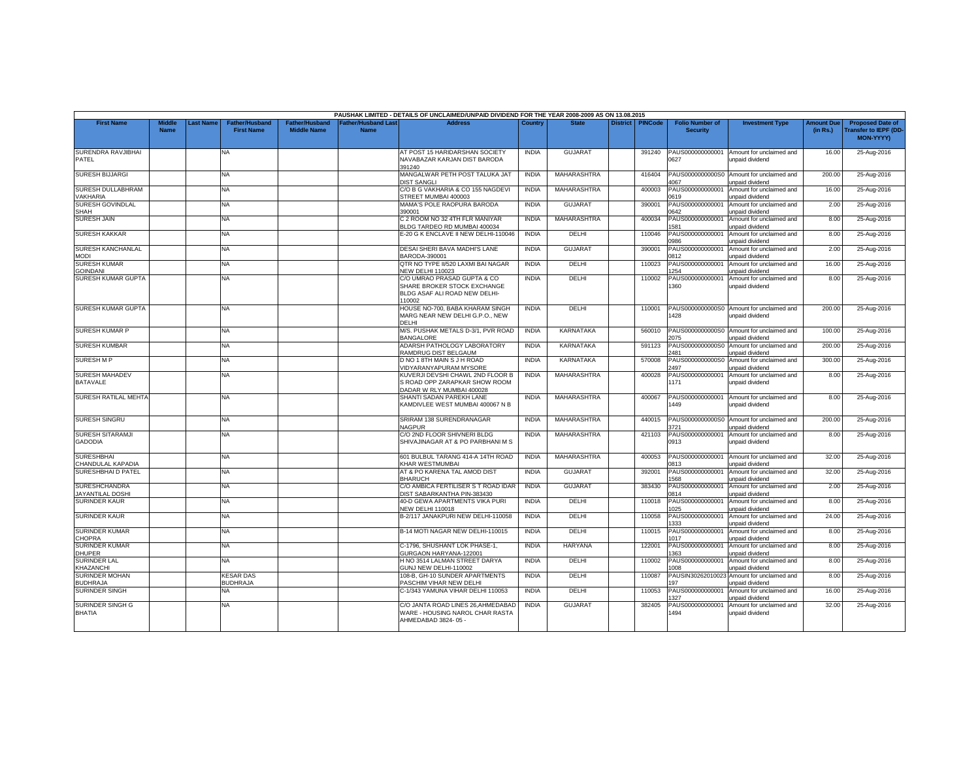|                                                 |                              |          |                                            |                                             |                                   | PAUSHAK LIMITED - DETAILS OF UNCLAIMED/UNPAID DIVIDEND FOR THE YEAR 2008-2009 AS ON 13.08.2015        |              |                    |                 |                |                                           |                                                    |                               |                                                                            |
|-------------------------------------------------|------------------------------|----------|--------------------------------------------|---------------------------------------------|-----------------------------------|-------------------------------------------------------------------------------------------------------|--------------|--------------------|-----------------|----------------|-------------------------------------------|----------------------------------------------------|-------------------------------|----------------------------------------------------------------------------|
| <b>First Name</b>                               | <b>Middle</b><br><b>Name</b> | ast Name | <b>Father/Husband</b><br><b>First Name</b> | <b>Father/Husband</b><br><b>Middle Name</b> | Father/Husband Las<br><b>Name</b> | <b>Address</b>                                                                                        | Country      | <b>State</b>       | <b>District</b> | <b>PINCode</b> | <b>Folio Number of</b><br><b>Security</b> | <b>Investment Type</b>                             | <b>Amount Due</b><br>(in Rs.) | <b>Proposed Date of</b><br><b>Transfer to IEPF (DD</b><br><b>MON-YYYY)</b> |
| SURENDRA RAVJIBHAI<br>PATEL                     |                              |          | <b>NA</b>                                  |                                             |                                   | AT POST 15 HARIDARSHAN SOCIETY<br>NAVABAZAR KARJAN DIST BARODA<br>391240                              | <b>INDIA</b> | <b>GUJARAT</b>     |                 | 391240         | PAUS000000000001<br>0627                  | Amount for unclaimed and<br>unpaid dividend        | 16.00                         | 25-Aug-2016                                                                |
| <b>SURESH BIJJARGI</b>                          |                              |          | NA.                                        |                                             |                                   | MANGALWAR PETH POST TALUKA JAT<br><b>DIST SANGLI</b>                                                  | <b>INDIA</b> | MAHARASHTRA        |                 | 416404         | PAUS0000000000S0<br>1067                  | Amount for unclaimed and<br>unpaid dividend        | 200.00                        | 25-Aug-2016                                                                |
| <b>SURESH DULLABHRAM</b><br><b>/AKHARIA</b>     |                              |          | <b>NA</b>                                  |                                             |                                   | C/O B G VAKHARIA & CO 155 NAGDEVI<br>STREET MUMBAI 400003                                             | <b>INDIA</b> | MAHARASHTRA        |                 | 400003         | PAUS000000000001<br>0619                  | Amount for unclaimed and<br>unpaid dividend        | 16.00                         | 25-Aug-2016                                                                |
| SURESH GOVINDLAL<br>SHAH                        |                              |          | NA.                                        |                                             |                                   | MAMA'S POLE RAOPURA BARODA<br>390001                                                                  | <b>INDIA</b> | <b>GUJARAT</b>     |                 | 390001         | PAUS000000000001<br>0642                  | Amount for unclaimed and<br>unpaid dividend        | 2.00                          | 25-Aug-2016                                                                |
| <b>SURESH JAIN</b>                              |                              |          | <b>NA</b>                                  |                                             |                                   | C 2 ROOM NO 32 4TH FLR MANIYAR<br>BLDG TARDEO RD MUMBAI 400034                                        | <b>INDIA</b> | <b>MAHARASHTRA</b> |                 | 400034         | PAUS000000000001<br>581                   | Amount for unclaimed and<br>unpaid dividend        | 8.00                          | 25-Aug-2016                                                                |
| <b>SURESH KAKKAR</b>                            |                              |          | NA                                         |                                             |                                   | E-20 G K ENCLAVE II NEW DELHI-110046                                                                  | <b>INDIA</b> | DELHI              |                 | 110046         | PAUS000000000001<br>)986                  | Amount for unclaimed and<br>unpaid dividend        | 8.00                          | 25-Aug-2016                                                                |
| SURESH KANCHANLAL<br><b>MODI</b>                |                              |          | NA                                         |                                             |                                   | DESAI SHERI BAVA MADHI'S LANE<br>BARODA-390001                                                        | <b>INDIA</b> | <b>GUJARAT</b>     |                 | 390001         | PAUS00000000000<br>0812                   | Amount for unclaimed and<br>unpaid dividend        | 2.00                          | 25-Aug-2016                                                                |
| <b>SURESH KUMAR</b><br><b>GOINDANI</b>          |                              |          | <b>NA</b>                                  |                                             |                                   | QTR NO TYPE II/520 LAXMI BAI NAGAR<br><b>NEW DELHI 110023</b>                                         | <b>INDIA</b> | DELHI              |                 | 110023         | PAUS000000000001<br>254                   | Amount for unclaimed and<br>unpaid dividend        | 16.00                         | 25-Aug-2016                                                                |
| <b>SURESH KUMAR GUPTA</b>                       |                              |          | <b>NA</b>                                  |                                             |                                   | C/O UMRAO PRASAD GUPTA & CO<br>SHARE BROKER STOCK EXCHANGE<br>BLDG ASAF ALI ROAD NEW DELHI-<br>110002 | <b>INDIA</b> | DELHI              |                 | 110002         | PAUS000000000001<br>360                   | Amount for unclaimed and<br>unpaid dividend        | 8.00                          | 25-Aug-2016                                                                |
| SURESH KUMAR GUPTA                              |                              |          | NA.                                        |                                             |                                   | HOUSE NO-700, BABA KHARAM SINGH<br>MARG NEAR NEW DELHI G.P.O., NEW<br>DELHI                           | <b>INDIA</b> | DELHI              |                 | 110001         | PAUS0000000000S0<br>428                   | Amount for unclaimed and<br>unpaid dividend        | 200.00                        | 25-Aug-2016                                                                |
| <b>SURESH KUMAR P</b>                           |                              |          | <b>NA</b>                                  |                                             |                                   | M/S. PUSHAK METALS D-3/1, PVR ROAD<br><b>BANGALORE</b>                                                | <b>INDIA</b> | <b>KARNATAKA</b>   |                 | 560010         | PAUS0000000000S0<br>2075                  | Amount for unclaimed and<br>unpaid dividend        | 100.00                        | 25-Aug-2016                                                                |
| <b>SURESH KUMBAR</b>                            |                              |          | NA                                         |                                             |                                   | ADARSH PATHOLOGY LABORATORY<br>RAMDRUG DIST BELGAUM                                                   | <b>INDIA</b> | KARNATAKA          |                 | 591123         | PAUS0000000000S0<br>2481                  | Amount for unclaimed and<br>unpaid dividend        | 200.00                        | 25-Aug-2016                                                                |
| <b>SURESHMP</b>                                 |                              |          | <b>NA</b>                                  |                                             |                                   | D NO 1 8TH MAIN S J H ROAD<br>/IDYARANYAPURAM MYSORE                                                  | <b>INDIA</b> | <b>KARNATAKA</b>   |                 | 570008         | AUS0000000000S<br>2497                    | Amount for unclaimed and<br>unpaid dividend        | 300.00                        | 25-Aug-2016                                                                |
| <b>SURESH MAHADEV</b><br><b>BATAVALE</b>        |                              |          | NA                                         |                                             |                                   | KUVERJI DEVSHI CHAWL 2ND FLOOR B<br>S ROAD OPP ZARAPKAR SHOW ROOM<br>DADAR W RLY MUMBAI 400028        | <b>INDIA</b> | MAHARASHTRA        |                 | 400028         | PAUS000000000001<br>171                   | Amount for unclaimed and<br>unpaid dividend        | 8.00                          | 25-Aug-2016                                                                |
| SURESH RATILAL MEHTA                            |                              |          | <b>NA</b>                                  |                                             |                                   | SHANTI SADAN PAREKH LANE<br>KAMDIVLEE WEST MUMBAI 400067 N B                                          | <b>INDIA</b> | MAHARASHTRA        |                 | 400067         | PAUS000000000001<br>1449                  | Amount for unclaimed and<br>unpaid dividend        | 8.00                          | 25-Aug-2016                                                                |
| <b>SURESH SINGRU</b>                            |                              |          | NA.                                        |                                             |                                   | SRIRAM 138 SURENDRANAGAR<br>NAGPUR                                                                    | <b>INDIA</b> | MAHARASHTRA        |                 | 440015         | PAUS0000000000S0<br>3721                  | Amount for unclaimed and<br>unpaid dividend        | 200.00                        | 25-Aug-2016                                                                |
| <b>SURESH SITARAMJI</b><br><b>GADODIA</b>       |                              |          | <b>NA</b>                                  |                                             |                                   | C/O 2ND FLOOR SHIVNERI BLDG<br>SHIVAJINAGAR AT & PO PARBHANI M S                                      | <b>INDIA</b> | MAHARASHTRA        |                 | 421103         | PAUS000000000001<br>0913                  | Amount for unclaimed and<br>unpaid dividend        | 8.00                          | 25-Aug-2016                                                                |
| <b>SURESHBHAI</b><br>CHANDULAL KAPADIA          |                              |          | <b>NA</b>                                  |                                             |                                   | 601 BULBUL TARANG 414-A 14TH ROAD<br><b>KHAR WESTMUMBAI</b>                                           | <b>INDIA</b> | MAHARASHTRA        |                 | 400053         | PAUS000000000001<br>0813                  | Amount for unclaimed and<br>unpaid dividend        | 32.00                         | 25-Aug-2016                                                                |
| <b>SURESHBHAID PATEL</b>                        |                              |          | NA.                                        |                                             |                                   | AT & PO KARENA TAL AMOD DIST<br><b>BHARUCH</b>                                                        | <b>INDIA</b> | <b>GUJARAT</b>     |                 | 392001         | PAUS00000000000<br>568                    | Amount for unclaimed and<br>unpaid dividend        | 32.00                         | 25-Aug-2016                                                                |
| <b>SURESHCHANDRA</b><br><b>JAYANTILAL DOSHI</b> |                              |          | <b>NA</b>                                  |                                             |                                   | C/O AMBICA FERTILISER S T ROAD IDAR<br>DIST SABARKANTHA PIN-383430                                    | <b>INDIA</b> | <b>GUJARAT</b>     |                 | 383430         | PAUS000000000001<br>0814                  | Amount for unclaimed and<br>unpaid dividend        | 2.00                          | 25-Aug-2016                                                                |
| <b>SURINDER KAUR</b>                            |                              |          | NA                                         |                                             |                                   | 40-D GEWA APARTMENTS VIKA PURI<br><b>NEW DELHI 110018</b>                                             | <b>INDIA</b> | DELHI              |                 | 110018         | PAUS000000000001<br>025                   | Amount for unclaimed and<br>unpaid dividend        | 8.00                          | 25-Aug-2016                                                                |
| <b>SURINDER KAUR</b>                            |                              |          | NA                                         |                                             |                                   | B-2/117 JANAKPURI NEW DELHI-110058                                                                    | <b>INDIA</b> | DELHI              |                 | 110058         | PAUS000000000001<br>333                   | Amount for unclaimed and<br>unpaid dividend        | 24.00                         | 25-Aug-2016                                                                |
| <b>SURINDER KUMAR</b><br><b>CHOPRA</b>          |                              |          | NA.                                        |                                             |                                   | B-14 MOTI NAGAR NEW DELHI-110015                                                                      | <b>INDIA</b> | <b>DELHI</b>       |                 | 110015         | PAUS000000000001<br>017                   | Amount for unclaimed and<br>unpaid dividend        | 8.00                          | 25-Aug-2016                                                                |
| <b>SURINDER KUMAR</b><br><b>DHUPER</b>          |                              |          | <b>NA</b>                                  |                                             |                                   | C-1796. SHUSHANT LOK PHASE-1.<br>GURGAON HARYANA-122001                                               | <b>INDIA</b> | <b>HARYANA</b>     |                 | 122001         | PAUS000000000001<br>363                   | Amount for unclaimed and<br>unpaid dividend        | 8.00                          | 25-Aug-2016                                                                |
| <b>SURINDER LAL</b><br>KHAZANCHI                |                              |          | NA.                                        |                                             |                                   | H NO 3514 LALMAN STREET DARYA<br>GUNJ NEW DELHI-110002                                                | <b>INDIA</b> | DELHI              |                 | 110002         | PAUS000000000001<br>008                   | Amount for unclaimed and<br>unpaid dividend        | 8.00                          | 25-Aug-2016                                                                |
| <b>SURINDER MOHAN</b><br><b>BUDHRAJA</b>        |                              |          | <b>KESAR DAS</b><br><b>BUDHRAJA</b>        |                                             |                                   | 108-B, GH-10 SUNDER APARTMENTS<br>PASCHIM VIHAR NEW DELHI                                             | <b>INDIA</b> | <b>DELHI</b>       |                 | 110087         | AUSIN3026201002<br>197                    | Amount for unclaimed and<br>unpaid dividend        | 8.00                          | 25-Aug-2016                                                                |
| <b>SURINDER SINGH</b>                           |                              |          | <b>NA</b>                                  |                                             |                                   | C-1/343 YAMUNA VIHAR DELHI 110053                                                                     | <b>INDIA</b> | <b>DELHI</b>       |                 | 110053         | PAUS000000000001<br>327                   | Amount for unclaimed and<br><b>Inpaid dividend</b> | 16.00                         | 25-Aug-2016                                                                |
| <b>SURINDER SINGH G</b><br><b>BHATIA</b>        |                              |          | <b>NA</b>                                  |                                             |                                   | C/O JANTA ROAD LINES 26.AHMEDABAD<br>WARE - HOUSING NAROL CHAR RASTA<br>AHMEDABAD 3824-05 -           | <b>INDIA</b> | <b>GUJARAT</b>     |                 | 382405         | PAUS000000000001<br>1494                  | Amount for unclaimed and<br>unpaid dividend        | 32.00                         | 25-Aug-2016                                                                |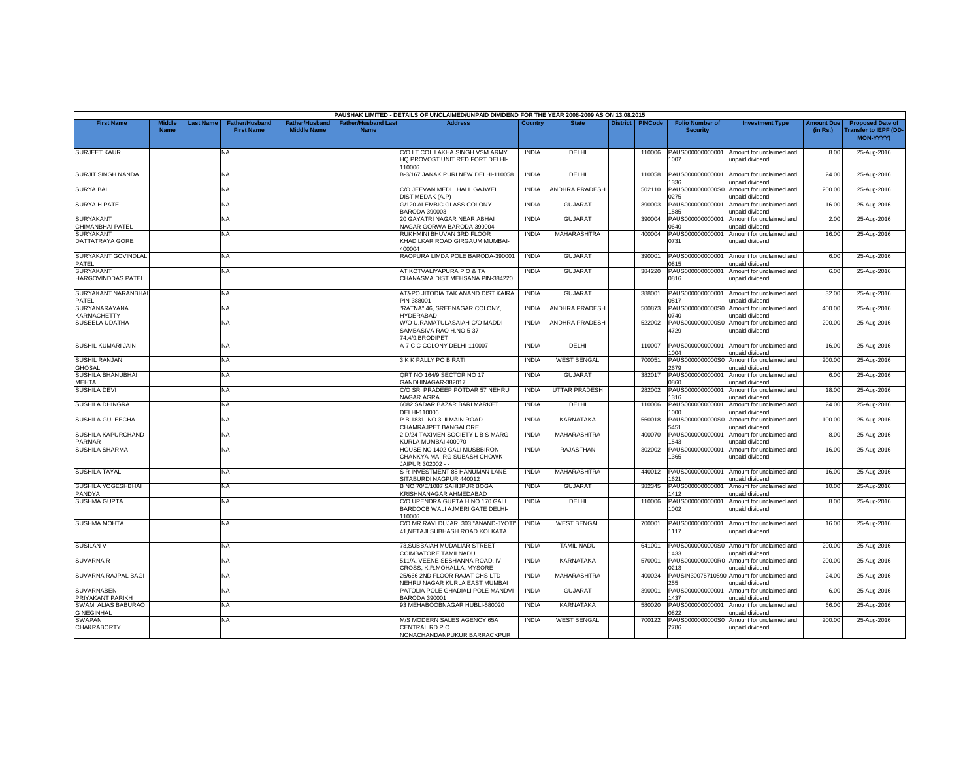|                                                 |                              |                 |                                            |                                             |                                          | PAUSHAK LIMITED - DETAILS OF UNCLAIMED/UNPAID DIVIDEND FOR THE YEAR 2008-2009 AS ON 13.08.2015 |              |                       |                 |                |                                           |                                                    |                               |                                                                     |
|-------------------------------------------------|------------------------------|-----------------|--------------------------------------------|---------------------------------------------|------------------------------------------|------------------------------------------------------------------------------------------------|--------------|-----------------------|-----------------|----------------|-------------------------------------------|----------------------------------------------------|-------------------------------|---------------------------------------------------------------------|
| <b>First Name</b>                               | <b>Middle</b><br><b>Name</b> | <b>ast Name</b> | <b>Father/Husband</b><br><b>First Name</b> | <b>Father/Husband</b><br><b>Middle Name</b> | <b>Father/Husband Las</b><br><b>Name</b> | <b>Address</b>                                                                                 | Country      | <b>State</b>          | <b>District</b> | <b>PINCode</b> | <b>Folio Number of</b><br><b>Security</b> | <b>Investment Type</b>                             | <b>Amount Due</b><br>(in Rs.) | <b>Proposed Date of</b><br><b>Transfer to IEPF (DD</b><br>MON-YYYY) |
| <b>SURJEET KAUR</b>                             |                              |                 | NA                                         |                                             |                                          | C/O LT COL LAKHA SINGH VSM ARMY<br>HQ PROVOST UNIT RED FORT DELHI-<br>110006                   | <b>INDIA</b> | DELHI                 |                 | 110006         | PAUS000000000001<br>1007                  | Amount for unclaimed and<br>unpaid dividend        | 8.00                          | 25-Aug-2016                                                         |
| SURJIT SINGH NANDA                              |                              |                 | <b>NA</b>                                  |                                             |                                          | B-3/167 JANAK PURI NEW DELHI-110058                                                            | <b>INDIA</b> | DELHI                 |                 | 110058         | PAUS000000000001<br>336                   | Amount for unclaimed and<br><b>inpaid dividend</b> | 24.00                         | 25-Aug-2016                                                         |
| <b>SURYA BAI</b>                                |                              |                 | <b>NA</b>                                  |                                             |                                          | C/O.JEEVAN MEDL, HALL GAJWEL<br><b>JIST.MEDAK (A.P)</b>                                        | <b>INDIA</b> | <b>ANDHRA PRADESH</b> |                 | 502110         | PAUS0000000000S0<br>275                   | Amount for unclaimed and<br>unpaid dividend        | 200.00                        | 25-Aug-2016                                                         |
| <b>SURYA H PATEL</b>                            |                              |                 | NA                                         |                                             |                                          | G/120 ALEMBIC GLASS COLONY<br><b>BARODA 390003</b>                                             | <b>INDIA</b> | <b>GUJARAT</b>        |                 | 390003         | PAUS000000000001<br>585                   | Amount for unclaimed and<br>unpaid dividend        | 16.00                         | 25-Aug-2016                                                         |
| <b>SURYAKANT</b><br>CHIMANBHAI PATEL            |                              |                 | NA                                         |                                             |                                          | 20 GAYATRI NAGAR NEAR ABHAI<br>VAGAR GORWA BARODA 390004                                       | <b>INDIA</b> | <b>GUJARAT</b>        |                 | 390004         | PAUS000000000001<br>0640                  | Amount for unclaimed and<br>unpaid dividend        | 2.00                          | 25-Aug-2016                                                         |
| <b>SURYAKANT</b><br>DATTATRAYA GORE             |                              |                 | <b>NA</b>                                  |                                             |                                          | RUKHMINI BHUVAN 3RD FLOOR<br>KHADILKAR ROAD GIRGAUM MUMBAI-<br>400004                          | <b>INDIA</b> | <b>MAHARASHTRA</b>    |                 | 400004         | PAUS000000000001<br>0731                  | Amount for unclaimed and<br>unpaid dividend        | 16.00                         | 25-Aug-2016                                                         |
| SURYAKANT GOVINDLAL<br>PATEL                    |                              |                 | NA                                         |                                             |                                          | RAOPURA LIMDA POLE BARODA-390001                                                               | <b>INDIA</b> | <b>GUJARAT</b>        |                 | 390001         | PAUS000000000001<br>0815                  | Amount for unclaimed and<br>unpaid dividend        | 6.00                          | 25-Aug-2016                                                         |
| <b>SURYAKANT</b><br>HARGOVINDDAS PATEL          |                              |                 | <b>NA</b>                                  |                                             |                                          | AT KOTVALIYAPURA P O & TA<br>CHANASMA DIST MEHSANA PIN-384220                                  | <b>INDIA</b> | <b>GUJARAT</b>        |                 | 384220         | PAUS000000000001<br>0816                  | Amount for unclaimed and<br>unpaid dividend        | 6.00                          | 25-Aug-2016                                                         |
| SURYAKANT NARANBHA<br>PATFL                     |                              |                 | <b>NA</b>                                  |                                             |                                          | AT&PO JITODIA TAK ANAND DIST KAIRA<br>PIN-388001                                               | <b>INDIA</b> | <b>GUJARAT</b>        |                 | 388001         | PAUS000000000001<br>1817                  | Amount for unclaimed and<br>unpaid dividend        | 32.00                         | 25-Aug-2016                                                         |
| SURYANARAYANA<br><b><i>CARMACHETTY</i></b>      |                              |                 | NA                                         |                                             |                                          | "RATNA" 46, SREENAGAR COLONY,<br><b>IYDERABAD</b>                                              | <b>INDIA</b> | ANDHRA PRADESH        |                 | 500873         | PAUS0000000000S0<br>)740                  | Amount for unclaimed and<br>unpaid dividend        | 400.00                        | 25-Aug-2016                                                         |
| SUSEELA UDATHA                                  |                              |                 | <b>NA</b>                                  |                                             |                                          | W/O U.RAMATULASAIAH C/O MADDI<br>SAMBASIVA RAO H.NO.5-37-<br>4.4/9.BRODIPFT                    | <b>INDIA</b> | ANDHRA PRADESH        |                 | 522002         | PAUS0000000000S0<br>4729                  | Amount for unclaimed and<br>unpaid dividend        | 200.00                        | 25-Aug-2016                                                         |
| SUSHIL KUMARI JAIN                              |                              |                 | <b>NA</b>                                  |                                             |                                          | A-7 C C COLONY DELHI-110007                                                                    | <b>INDIA</b> | DELHI                 |                 | 110007         | PAUS000000000001<br>004                   | Amount for unclaimed and<br>unpaid dividend        | 16.00                         | 25-Aug-2016                                                         |
| <b>SUSHIL RANJAN</b><br>GHOSAL                  |                              |                 | NA                                         |                                             |                                          | 3 K K PALLY PO BIRATI                                                                          | <b>INDIA</b> | <b>WEST BENGAL</b>    |                 | 700051         | PAUS0000000000S0<br>2679                  | Amount for unclaimed and<br>unpaid dividend        | 200.00                        | 25-Aug-2016                                                         |
| SUSHILA BHANUBHAI<br>MEHTA                      |                              |                 | NA.                                        |                                             |                                          | QRT NO 164/9 SECTOR NO 17<br>GANDHINAGAR-382017                                                | <b>INDIA</b> | <b>GUJARAT</b>        |                 | 382017         | PAUS000000000001<br>0380                  | Amount for unclaimed and<br>unpaid dividend        | 6.00                          | 25-Aug-2016                                                         |
| SUSHILA DEVI                                    |                              |                 | <b>NA</b>                                  |                                             |                                          | C/O SRI PRADEEP POTDAR 57 NEHRU<br>NAGAR AGRA                                                  | <b>INDIA</b> | <b>UTTAR PRADESH</b>  |                 | 282002         | PAUS000000000001<br>1316                  | Amount for unclaimed and<br>unpaid dividend        | 18.00                         | 25-Aug-2016                                                         |
| <b>SUSHILA DHINGRA</b>                          |                              |                 | NA.                                        |                                             |                                          | 6082 SADAR BAZAR BARI MARKET<br>DELHI-110006                                                   | <b>INDIA</b> | <b>DELHI</b>          |                 | 110006         | PAUS000000000001<br>000                   | Amount for unclaimed and<br>unpaid dividend        | 24.00                         | 25-Aug-2016                                                         |
| SUSHILA GULEECHA                                |                              |                 | NA                                         |                                             |                                          | P.B.1831, NO.3, II MAIN ROAD<br>CHAMRAJPET BANGALORE                                           | <b>INDIA</b> | KARNATAKA             |                 | 560018         | PAUS0000000000S0<br>5451                  | Amount for unclaimed and<br>unpaid dividend        | 100.00                        | 25-Aug-2016                                                         |
| SUSHILA KAPURCHAND<br><b>PARMAR</b>             |                              |                 | <b>NA</b>                                  |                                             |                                          | 2-D/24 TAXIMEN SOCIETY L B S MARG<br>KURLA MUMBAI 400070                                       | <b>INDIA</b> | MAHARASHTRA           |                 | 400070         | PAUS00000000000<br>1543                   | Amount for unclaimed and<br>unpaid dividend        | 8.00                          | 25-Aug-2016                                                         |
| <b>SUSHILA SHARMA</b>                           |                              |                 | NA                                         |                                             |                                          | HOUSE NO 1402 GALI MUSBBIRON<br>CHANKYA MA- RG SUBASH CHOWK<br>JAIPUR 302002 - -               | <b>INDIA</b> | <b>RAJASTHAN</b>      |                 | 302002         | PAUS000000000001<br>365                   | Amount for unclaimed and<br>unpaid dividend        | 16.00                         | 25-Aug-2016                                                         |
| <b>SUSHILA TAYAL</b>                            |                              |                 | NA                                         |                                             |                                          | S R INVESTMENT 88 HANUMAN LANE<br>SITABURDI NAGPUR 440012                                      | <b>INDIA</b> | MAHARASHTRA           |                 | 440012         | PAUS000000000001<br>621                   | Amount for unclaimed and<br>unpaid dividend        | 16.00                         | 25-Aug-2016                                                         |
| SUSHILA YOGESHBHAI<br>PANDYA                    |                              |                 | <b>NA</b>                                  |                                             |                                          | B NO 70/E/1087 SAHIJPUR BOGA<br><b>KRISHNANAGAR AHMEDABAD</b>                                  | <b>INDIA</b> | <b>GUJARAT</b>        |                 | 382345         | PAUS000000000001<br>1412                  | Amount for unclaimed and<br>unpaid dividend        | 10.00                         | 25-Aug-2016                                                         |
| <b>SUSHMA GUPTA</b>                             |                              |                 | <b>NA</b>                                  |                                             |                                          | C/O UPENDRA GUPTA H NO 170 GALI<br>BARDOOB WALI AJMERI GATE DELHI-<br>110006                   | <b>INDIA</b> | DELHI                 |                 | 110006         | PAUS000000000001<br>1002                  | Amount for unclaimed and<br>unpaid dividend        | 8.00                          | 25-Aug-2016                                                         |
| <b>SUSHMA MOHTA</b>                             |                              |                 | <b>NA</b>                                  |                                             |                                          | C/O MR RAVI DUJARI 303,"ANAND-JYOTI"<br>41, NETAJI SUBHASH ROAD KOLKATA                        | <b>INDIA</b> | <b>WEST BENGAL</b>    |                 | 700001         | PAUS000000000001<br>1117                  | Amount for unclaimed and<br>unpaid dividend        | 16.00                         | 25-Aug-2016                                                         |
| <b>SUSILAN V</b>                                |                              |                 | <b>NA</b>                                  |                                             |                                          | 73, SUBBAIAH MUDALIAR STREET<br>COIMBATORE TAMILNADU                                           | <b>INDIA</b> | <b>TAMIL NADU</b>     |                 | 641001         | PAUS0000000000S0<br>1433                  | Amount for unclaimed and<br>unpaid dividend        | 200.00                        | 25-Aug-2016                                                         |
| <b>SUVARNA R</b>                                |                              |                 | <b>NA</b>                                  |                                             |                                          | 511/A, VEENE SESHANNA ROAD, IV<br>CROSS, K.R.MOHALLA, MYSORE                                   | <b>INDIA</b> | <b>KARNATAKA</b>      |                 | 570001         | PAUS0000000000R0<br>0213                  | Amount for unclaimed and<br>unpaid dividend        | 200.00                        | 25-Aug-2016                                                         |
| SUVARNA RAJPAL BAGI                             |                              |                 | <b>NA</b>                                  |                                             |                                          | 25/666 2ND FLOOR RAJAT CHS LTD<br>NEHRU NAGAR KURLA EAST MUMBAI                                | <b>INDIA</b> | <b>MAHARASHTRA</b>    |                 | 400024         | PAUSIN3007571059<br>255                   | Amount for unclaimed and<br>unpaid dividend        | 24.00                         | 25-Aug-2016                                                         |
| <b>SUVARNABEN</b><br>PRIYAKANT PARIKH           |                              |                 | <b>NA</b>                                  |                                             |                                          | PATOLIA POLE GHADIALI POLE MANDVI<br><b>BARODA 390001</b>                                      | <b>INDIA</b> | GUJARAT               |                 | 390001         | PAUS000000000001<br>437                   | Amount for unclaimed and<br>unpaid dividend        | 6.00                          | 25-Aug-2016                                                         |
| <b>SWAMI ALIAS BABURAO</b><br><b>G NEGINHAL</b> |                              |                 | <b>NA</b>                                  |                                             |                                          | 93 MEHABOOBNAGAR HUBLI-580020                                                                  | <b>INDIA</b> | KARNATAKA             |                 | 580020         | PAUS000000000001<br>822                   | Amount for unclaimed and<br>unpaid dividend        | 66.00                         | 25-Aug-2016                                                         |
| <b>SWAPAN</b><br><b>CHAKRABORTY</b>             |                              |                 | <b>NA</b>                                  |                                             |                                          | M/S MODERN SALES AGENCY 65A<br>CENTRAL RD PO<br>NONACHANDANPUKUR BARRACKPUR                    | <b>INDIA</b> | <b>WEST BENGAL</b>    |                 | 700122         | PAUS0000000000S0<br>2786                  | Amount for unclaimed and<br>unpaid dividend        | 200.00                        | 25-Aug-2016                                                         |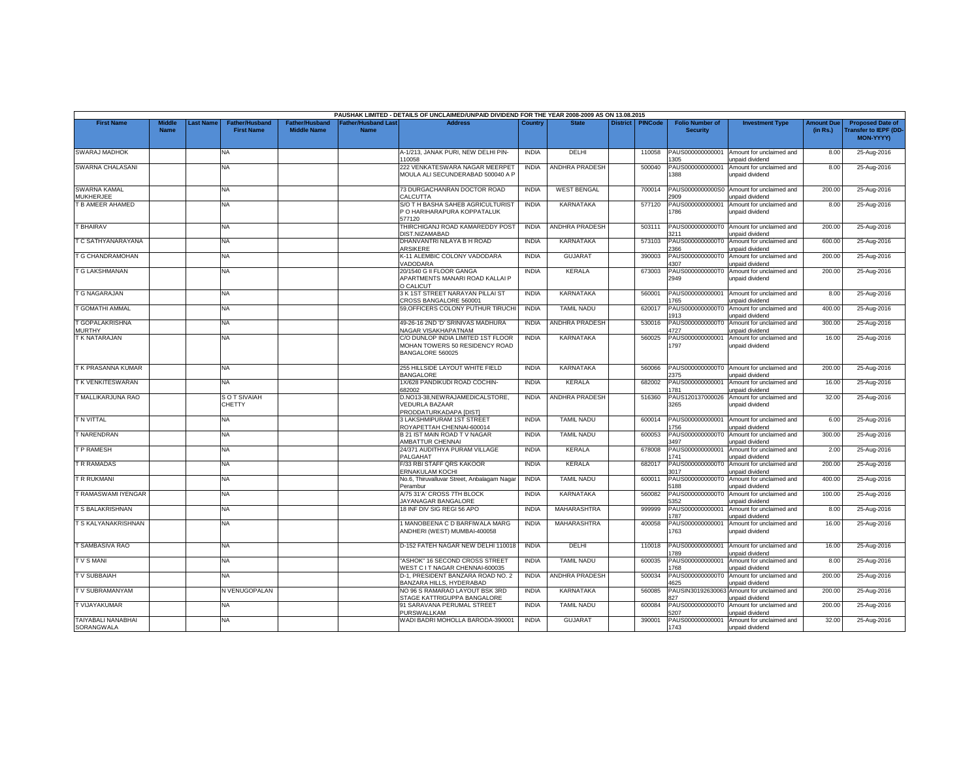|                                         |                       |          |                                            |                                             |                                           | PAUSHAK LIMITED - DETAILS OF UNCLAIMED/UNPAID DIVIDEND FOR THE YEAR 2008-2009 AS ON 13.08.2015 |              |                       |                 |                |                                           |                                                    |                              |                                                                             |
|-----------------------------------------|-----------------------|----------|--------------------------------------------|---------------------------------------------|-------------------------------------------|------------------------------------------------------------------------------------------------|--------------|-----------------------|-----------------|----------------|-------------------------------------------|----------------------------------------------------|------------------------------|-----------------------------------------------------------------------------|
| <b>First Name</b>                       | Middle<br><b>Name</b> | ast Name | <b>Father/Husband</b><br><b>First Name</b> | <b>Father/Husband</b><br><b>Middle Name</b> | <b>Father/Husband Last</b><br><b>Name</b> | <b>Address</b>                                                                                 | Country      | <b>State</b>          | <b>District</b> | <b>PINCode</b> | <b>Folio Number of</b><br><b>Security</b> | <b>Investment Type</b>                             | <b>Amount Du</b><br>(in Rs.) | <b>Proposed Date of</b><br><b>Transfer to IEPF (DD-</b><br><b>MON-YYYY)</b> |
| <b>SWARAJ MADHOK</b>                    |                       |          | NA                                         |                                             |                                           | A-1/213, JANAK PURI, NEW DELHI PIN-<br>110058                                                  | <b>INDIA</b> | DELHI                 |                 | 110058         | PAUS000000000001<br>305                   | Amount for unclaimed and<br>unpaid dividend        | 8.00                         | 25-Aug-2016                                                                 |
| SWARNA CHALASANI                        |                       |          | NA                                         |                                             |                                           | 222 VENKATESWARA NAGAR MEERPET<br>MOULA ALI SECUNDERABAD 500040 A P                            | <b>INDIA</b> | ANDHRA PRADESH        |                 | 500040         | PAUS000000000001<br>388                   | Amount for unclaimed and<br>unpaid dividend        | 8.00                         | 25-Aug-2016                                                                 |
| SWARNA KAMAL<br>MUKHERJEE               |                       |          | NA                                         |                                             |                                           | 73 DURGACHANRAN DOCTOR ROAD<br>CALCUTTA                                                        | <b>INDIA</b> | <b>WEST BENGAL</b>    |                 | 700014         | PAUS0000000000S0<br>2909                  | Amount for unclaimed and<br>unpaid dividend        | 200.00                       | 25-Aug-2016                                                                 |
| T B AMEER AHAMED                        |                       |          | NA                                         |                                             |                                           | S/O T H BASHA SAHEB AGRICULTURIS'<br>P O HARIHARAPURA KOPPATALUK<br>577120                     | <b>INDIA</b> | <b>KARNATAKA</b>      |                 | 577120         | PAUS000000000001<br>1786                  | Amount for unclaimed and<br>unpaid dividend        | 8.00                         | 25-Aug-2016                                                                 |
| <b>T BHAIRAV</b>                        |                       |          | NA                                         |                                             |                                           | THIRCHIGANJ ROAD KAMAREDDY POST<br>DIST.NIZAMABAD                                              | <b>INDIA</b> | <b>ANDHRA PRADESH</b> |                 | 503111         | PAUS0000000000T0<br>3211                  | Amount for unclaimed and<br>unpaid dividend        | 200.00                       | 25-Aug-2016                                                                 |
| T C SATHYANARAYANA                      |                       |          | NA                                         |                                             |                                           | DHANVANTRI NILAYA B H ROAD<br><b>ARSIKERE</b>                                                  | <b>INDIA</b> | KARNATAKA             |                 | 573103         | PAUS0000000000T0<br>2366                  | Amount for unclaimed and<br>unpaid dividend        | 600.00                       | 25-Aug-2016                                                                 |
| T G CHANDRAMOHAN                        |                       |          | <b>NA</b>                                  |                                             |                                           | K-11 ALEMBIC COLONY VADODARA<br>VADODARA                                                       | <b>INDIA</b> | <b>GUJARAT</b>        |                 | 390003         | PAUS0000000000T<br>4307                   | Amount for unclaimed and<br>unpaid dividend        | 200.00                       | 25-Aug-2016                                                                 |
| <b>T G LAKSHMANAN</b>                   |                       |          | NA                                         |                                             |                                           | 20/1540 G II FLOOR GANGA<br>APARTMENTS MANARI ROAD KALLAI P<br>O CALICUT                       | <b>INDIA</b> | KERALA                |                 | 673003         | PAUS0000000000T0<br>2949                  | Amount for unclaimed and<br>unpaid dividend        | 200.00                       | 25-Aug-2016                                                                 |
| <b>T G NAGARAJAN</b>                    |                       |          | NA                                         |                                             |                                           | 3 K 1ST STREET NARAYAN PILLAI ST<br>CROSS BANGALORE 560001                                     | <b>INDIA</b> | KARNATAKA             |                 | 560001         | PAUS000000000001<br>765                   | Amount for unclaimed and<br>unpaid dividend        | 8.00                         | 25-Aug-2016                                                                 |
| <b>GOMATHI AMMAL</b>                    |                       |          | <b>NA</b>                                  |                                             |                                           | 59.OFFICERS COLONY PUTHUR TIRUCHI                                                              | <b>INDIA</b> | <b>TAMIL NADU</b>     |                 | 620017         | PAUS0000000000T0<br>913                   | Amount for unclaimed and<br>unpaid dividend        | 400.00                       | 25-Aug-2016                                                                 |
| T GOPALAKRISHNA<br><b>MURTHY</b>        |                       |          | NA                                         |                                             |                                           | 49-26-16 2ND 'D' SRINIVAS MADHURA<br>NAGAR VISAKHAPATNAM                                       | <b>INDIA</b> | <b>ANDHRA PRADESH</b> |                 | 530016         | PAUS0000000000T0<br>4727                  | Amount for unclaimed and<br>unpaid dividend        | 300.00                       | 25-Aug-2016                                                                 |
| <b>TK NATARAJAN</b>                     |                       |          | NA                                         |                                             |                                           | C/O DUNLOP INDIA LIMITED 1ST FLOOR<br>MOHAN TOWERS 50 RESIDENCY ROAD<br>BANGALORE 560025       | <b>INDIA</b> | KARNATAKA             |                 | 560025         | PAUS000000000001<br>1797                  | Amount for unclaimed and<br>unpaid dividend        | 16.00                        | 25-Aug-2016                                                                 |
| T K PRASANNA KUMAR                      |                       |          | NA.                                        |                                             |                                           | 255 HILLSIDE LAYOUT WHITE FIELD<br><b>BANGALORE</b>                                            | <b>INDIA</b> | <b>KARNATAKA</b>      |                 | 560066         | PAUS0000000000T0<br>2375                  | Amount for unclaimed and<br>unpaid dividend        | 200.00                       | 25-Aug-2016                                                                 |
| T K VENKITESWARAN                       |                       |          | <b>NA</b>                                  |                                             |                                           | 1X/628 PANDIKUDI ROAD COCHIN-<br>682002                                                        | <b>INDIA</b> | KERALA                |                 | 682002         | PAUS000000000001<br>781                   | Amount for unclaimed and<br>inpaid dividend        | 16.00                        | 25-Aug-2016                                                                 |
| T MALLIKARJUNA RAO                      |                       |          | <b>SOT SIVAIAH</b><br><b>CHETTY</b>        |                                             |                                           | D.NO13-38,NEWRAJAMEDICALSTORE,<br>VEDURLA BAZAAR<br>PRODDATURKADAPA [DIST]                     | <b>INDIA</b> | <b>ANDHRA PRADESH</b> |                 | 516360         | PAUS120137000026<br>3265                  | Amount for unclaimed and<br>unpaid dividend        | 32.00                        | 25-Aug-2016                                                                 |
| T N VITTAL                              |                       |          | NA                                         |                                             |                                           | 3 LAKSHMIPURAM 1ST STREET<br>ROYAPETTAH CHENNAI-600014                                         | <b>INDIA</b> | <b>TAMIL NADU</b>     |                 | 600014         | PAUS000000000001<br>756                   | Amount for unclaimed and<br>unpaid dividend        | 6.00                         | 25-Aug-2016                                                                 |
| <b>T NARENDRAN</b>                      |                       |          | NA                                         |                                             |                                           | B 21 IST MAIN ROAD TV NAGAR<br>AMBATTUR CHENNAI                                                | <b>INDIA</b> | <b>TAMIL NADU</b>     |                 | 600053         | PAUS0000000000T0<br>3497                  | Amount for unclaimed and<br>unpaid dividend        | 300.00                       | 25-Aug-2016                                                                 |
| T P RAMESH                              |                       |          | NA                                         |                                             |                                           | 24/371 AUDITHYA PURAM VILLAGE<br>PALGAHAT                                                      | <b>INDIA</b> | <b>KERALA</b>         |                 | 678008         | PAUS000000000001<br>1741                  | Amount for unclaimed and<br>unpaid dividend        | 2.00                         | 25-Aug-2016                                                                 |
| T R RAMADAS                             |                       |          | NA                                         |                                             |                                           | F/33 RBI STAFF QRS KAKOOR<br>ERNAKULAM KOCHI                                                   | <b>INDIA</b> | KERALA                |                 | 682017         | PAUS0000000000T0<br>3017                  | Amount for unclaimed and<br>unpaid dividend        | 200.00                       | 25-Aug-2016                                                                 |
| T R RUKMANI                             |                       |          | NA                                         |                                             |                                           | No.6, Thiruvalluvar Street, Anbalagam Nagar<br>Perambur                                        | <b>INDIA</b> | <b>TAMIL NADU</b>     |                 | 600011         | PAUS0000000000T0<br>5188                  | Amount for unclaimed and<br>unpaid dividend        | 400.00                       | 25-Aug-2016                                                                 |
| T RAMASWAMI IYENGAR                     |                       |          | NA                                         |                                             |                                           | A/75 31'A' CROSS 7TH BLOCK<br>JAYANAGAR BANGALORE                                              | <b>INDIA</b> | KARNATAKA             |                 | 560082         | PAUS0000000000T0<br>352                   | Amount for unclaimed and<br>unpaid dividend        | 100.00                       | 25-Aug-2016                                                                 |
| <b>T S BALAKRISHNAN</b>                 |                       |          | NA                                         |                                             |                                           | 18 INF DIV SIG REGI 56 APO                                                                     | <b>INDIA</b> | <b>MAHARASHTRA</b>    |                 | 999999         | PAUS000000000001<br>787                   | Amount for unclaimed and<br>unpaid dividend        | 8.00                         | 25-Aug-2016                                                                 |
| T S KALYANAKRISHNAN                     |                       |          | NA.                                        |                                             |                                           | 1 MANOBEENA C D BARFIWALA MARG<br>ANDHERI (WEST) MUMBAI-400058                                 | <b>INDIA</b> | MAHARASHTRA           |                 | 400058         | PAUS000000000001<br>763                   | Amount for unclaimed and<br>unpaid dividend        | 16.00                        | 25-Aug-2016                                                                 |
| T SAMBASIVA RAO                         |                       |          | <b>NA</b>                                  |                                             |                                           | D-152 FATEH NAGAR NEW DELHI 110018                                                             | <b>INDIA</b> | DELHI                 |                 | 110018         | PAUS000000000001<br>789                   | Amount for unclaimed and<br><b>Inpaid dividend</b> | 16.00                        | 25-Aug-2016                                                                 |
| <b>TVSMANI</b>                          |                       |          | NA                                         |                                             |                                           | 'ASHOK" 16 SECOND CROSS STREET<br>WEST C I T NAGAR CHENNAI-600035                              | <b>INDIA</b> | <b>TAMIL NADU</b>     |                 | 600035         | PAUS000000000001<br>768                   | Amount for unclaimed and<br>unpaid dividend        | 8.00                         | 25-Aug-2016                                                                 |
| <b>TV SUBBAIAH</b>                      |                       |          | NA                                         |                                             |                                           | D-1, PRESIDENT BANZARA ROAD NO. 2<br>BANZARA HILLS, HYDERABAD                                  | <b>INDIA</b> | <b>ANDHRA PRADESH</b> |                 | 500034         | PAUS0000000000T<br>4625                   | Amount for unclaimed and<br>unpaid dividend        | 200.00                       | 25-Aug-2016                                                                 |
| T V SUBRAMANYAM                         |                       |          | N VENUGOPALAN                              |                                             |                                           | NO 96 S RAMARAO LAYOUT BSK 3RD<br>STAGE KATTRIGUPPA BANGALORE                                  | <b>INDIA</b> | KARNATAKA             |                 | 560085         | PAUSIN30192630063<br>127                  | Amount for unclaimed and<br>inpaid dividend        | 200.00                       | 25-Aug-2016                                                                 |
| <b>T VIJAYAKUMAR</b>                    |                       |          | <b>NA</b>                                  |                                             |                                           | 91 SARAVANA PERUMAL STREET<br>PURSWALLKAM                                                      | <b>INDIA</b> | <b>TAMIL NADU</b>     |                 | 600084         | PAUS0000000000T0<br>5207                  | Amount for unclaimed and<br>unpaid dividend        | 200.00                       | 25-Aug-2016                                                                 |
| <b>TAIYABALI NANABHAI</b><br>SORANGWALA |                       |          | ΝA                                         |                                             |                                           | WADI BADRI MOHOLLA BARODA-39000                                                                | <b>INDIA</b> | <b>GUJARAT</b>        |                 | 390001         | PAUS000000000001<br>1743                  | Amount for unclaimed and<br>unpaid dividend        | 32.00                        | 25-Aug-2016                                                                 |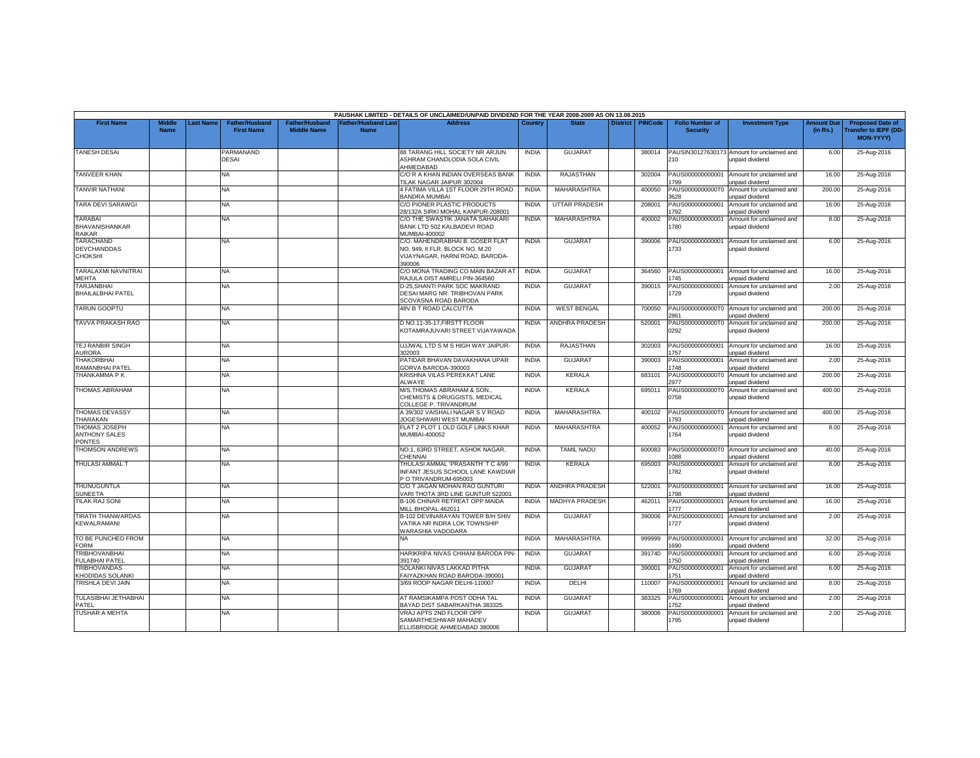|                                                               |                              |                 |                                            |                                             |                                           | PAUSHAK LIMITED - DETAILS OF UNCLAIMED/UNPAID DIVIDEND FOR THE YEAR 2008-2009 AS ON 13.08.2015                  |              |                       |                 |                |                                           |                                                              |                               |                                                                            |
|---------------------------------------------------------------|------------------------------|-----------------|--------------------------------------------|---------------------------------------------|-------------------------------------------|-----------------------------------------------------------------------------------------------------------------|--------------|-----------------------|-----------------|----------------|-------------------------------------------|--------------------------------------------------------------|-------------------------------|----------------------------------------------------------------------------|
| <b>First Name</b>                                             | <b>Middle</b><br><b>Name</b> | <b>ast Name</b> | <b>Father/Husband</b><br><b>First Name</b> | <b>Father/Husband</b><br><b>Middle Name</b> | <b>Father/Husband Last</b><br><b>Name</b> | <b>Address</b>                                                                                                  | Country      | <b>State</b>          | <b>District</b> | <b>PINCode</b> | <b>Folio Number of</b><br><b>Security</b> | <b>Investment Type</b>                                       | <b>Amount Due</b><br>(in Rs.) | <b>Proposed Date of</b><br><b>Transfer to IEPF (DD</b><br><b>MON-YYYY)</b> |
| <b>TANESH DESAI</b>                                           |                              |                 | PARMANAND<br>DESAI                         |                                             |                                           | <b>88 TARANG HILL SOCIETY NR ARJUN</b><br>ASHRAM CHANDLODIA SOLA CIVIL<br>AHMEDABAD                             | <b>INDIA</b> | GUJARAT               |                 | 380014         | PAUSIN30127630173<br>210                  | Amount for unclaimed and<br>unpaid dividend                  | 6.00                          | 25-Aug-2016                                                                |
| <b>TANVEER KHAN</b>                                           |                              |                 | NA.                                        |                                             |                                           | C/O R A KHAN INDIAN OVERSEAS BANK<br>TILAK NAGAR JAIPUR 302004                                                  | <b>INDIA</b> | RAJASTHAN             |                 | 302004         | PAUS000000000001<br>799                   | Amount for unclaimed and<br>unpaid dividend                  | 16.00                         | 25-Aug-2016                                                                |
| <b>TANVIR NATHANI</b>                                         |                              |                 | NA                                         |                                             |                                           | 4 FATIMA VILLA 1ST FLOOR 29TH ROAD<br>BANDRA MUMBAI                                                             | <b>INDIA</b> | MAHARASHTRA           |                 | 400050         | PAUS0000000000T0<br>3628                  | Amount for unclaimed and<br>unpaid dividend                  | 200.00                        | 25-Aug-2016                                                                |
| TARA DEVI SARAWGI                                             |                              |                 | NA                                         |                                             |                                           | C/O PIONER PLASTIC PRODUCTS<br>28/132A SIRKI MOHAL KANPUR-208001                                                | <b>INDIA</b> | <b>UTTAR PRADESH</b>  |                 | 208001         | PAUS000000000001<br>1792                  | Amount for unclaimed and<br>unpaid dividend                  | 16.00                         | 25-Aug-2016                                                                |
| <b>TARABAI</b><br><b>BHAVANISHANKAR</b><br><b>RAIKAR</b>      |                              |                 | NA.                                        |                                             |                                           | C/O THE SWASTIK JANATA SAHAKARI<br>BANK LTD 502 KALBADEVI ROAD<br>MUMBAI-400002                                 | <b>INDIA</b> | <b>MAHARASHTRA</b>    |                 | 400002         | PAUS000000000001<br>1780                  | Amount for unclaimed and<br>unpaid dividend                  | 8.00                          | 25-Aug-2016                                                                |
| <b>TARACHAND</b><br><b>DEVCHANDDAS</b><br><b>CHOKSHI</b>      |                              |                 | NA                                         |                                             |                                           | C/O. MAHENDRABHAI B. GOSER FLAT<br>NO. 949, II FLR, BLOCK NO. M.20<br>VIJAYNAGAR, HARNI ROAD, BARODA-<br>390006 | <b>INDIA</b> | <b>GUJARA1</b>        |                 | 390006         | PAUS000000000001<br>733                   | Amount for unclaimed and<br>unpaid dividend                  | 6.00                          | 25-Aug-2016                                                                |
| TARALAXMI NAVNITRAI<br>MEHTA                                  |                              |                 | NA                                         |                                             |                                           | C/O MONA TRADING CO MAIN BAZAR AT<br>RAJULA DIST AMRELI PIN-364560                                              | <b>INDIA</b> | <b>GUJARAT</b>        |                 | 364560         | PAUS000000000001<br>745                   | Amount for unclaimed and<br><b>Inpaid dividend</b>           | 16.00                         | 25-Aug-2016                                                                |
| <b>TARJANBHAI</b><br><b>BHAILALBHAI PATEL</b>                 |                              |                 | NA                                         |                                             |                                           | D-25. SHANTI PARK SOC MAKRAND<br>DESAI MARG NR. TRIBHOVAN PARK<br>SCOVASNA ROAD BARODA                          | <b>INDIA</b> | <b>GUJARAT</b>        |                 | 390015         | PAUS000000000001<br>729                   | Amount for unclaimed and<br>unpaid dividend                  | 2.00                          | 25-Aug-2016                                                                |
| <b>TARUN GOOPTU</b>                                           |                              |                 | NA.                                        |                                             |                                           | <b>48V B T ROAD CALCUTTA</b>                                                                                    | <b>INDIA</b> | <b>WEST BENGAL</b>    |                 | 700050         | 2861                                      | PAUS0000000000T0 Amount for unclaimed and<br>unpaid dividend | 200.00                        | 25-Aug-2016                                                                |
| TAVVA PRAKASH RAO                                             |                              |                 | NA                                         |                                             |                                           | D NO.11-35-17.FIRSTT FLOOR<br>KOTAMRAJUVARI STREET VIJAYAWADA                                                   | <b>INDIA</b> | <b>ANDHRA PRADESH</b> |                 | 520001         | PAUS0000000000T0<br>0292                  | Amount for unclaimed and<br>unpaid dividend                  | 200.00                        | 25-Aug-2016                                                                |
| <b>TEJ RANBIR SINGH</b><br><b>AURORA</b>                      |                              |                 | NA                                         |                                             |                                           | UJJWAL LTD S M S HIGH WAY JAIPUR-<br>302003                                                                     | <b>INDIA</b> | <b>RAJASTHAN</b>      |                 | 302003         | PAUS000000000001<br>757                   | Amount for unclaimed and<br>unpaid dividend                  | 16.00                         | 25-Aug-2016                                                                |
| <b>THAKORBHAI</b><br>RAMANBHAI PATEL                          |                              |                 | NA                                         |                                             |                                           | PATIDAR BHAVAN DAVAKHANA UPAR<br>GORVA BARODA-390003                                                            | <b>INDIA</b> | GUJARAT               |                 | 390003         | PAUS000000000001<br>1748                  | Amount for unclaimed and<br>unpaid dividend                  | 2.00                          | 25-Aug-2016                                                                |
| THANKAMMA P K                                                 |                              |                 | NA                                         |                                             |                                           | KRISHNA VILAS PEREKKAT LANE<br>ALWAYE                                                                           | <b>INDIA</b> | KERALA                |                 | 683101         | PAUS0000000000T0<br>2977                  | Amount for unclaimed and<br>unpaid dividend                  | 200.00                        | 25-Aug-2016                                                                |
| <b>THOMAS ABRAHAM</b>                                         |                              |                 | NA                                         |                                             |                                           | M/S.THOMAS ABRAHAM & SON.,<br>CHEMISTS & DRUGGISTS, MEDICAL<br>COLLEGE P. TRIVANDRUM                            | <b>INDIA</b> | <b>KERALA</b>         |                 | 695011         | PAUS0000000000T0<br>0758                  | Amount for unclaimed and<br>unpaid dividend                  | 400.00                        | 25-Aug-2016                                                                |
| <b>THOMAS DEVASSY</b><br>THARAKAN                             |                              |                 | NA                                         |                                             |                                           | A 39/302 VAISHALI NAGAR S V ROAD<br><b>IOGESHWARI WEST MUMBAI</b>                                               | <b>INDIA</b> | MAHARASHTRA           |                 | 400102         | PAUS0000000000T0<br>793                   | Amount for unclaimed and<br>unpaid dividend                  | 400.00                        | 25-Aug-2016                                                                |
| <b>THOMAS JOSEPH</b><br><b>ANTHONY SALES</b><br><b>PONTES</b> |                              |                 | NA                                         |                                             |                                           | FLAT 2 PLOT 1 OLD GOLF LINKS KHAR<br>MUMBAI-400052                                                              | <b>INDIA</b> | <b>MAHARASHTRA</b>    |                 | 400052         | PAUS000000000001<br>1764                  | Amount for unclaimed and<br>unpaid dividend                  | 8.00                          | 25-Aug-2016                                                                |
| <b>THOMSON ANDREWS</b>                                        |                              |                 | NA                                         |                                             |                                           | NO.1, 63RD STREET, ASHOK NAGAR,<br><b>HENNAI</b>                                                                | <b>INDIA</b> | <b>TAMIL NADU</b>     |                 | 600083         | 088                                       | PAUS0000000000T0 Amount for unclaimed and<br>unpaid dividend | 40.00                         | 25-Aug-2016                                                                |
| THULASI AMMAL T                                               |                              |                 | NA                                         |                                             |                                           | THULASI AMMAL 'PRASANTH' T C 4/99<br>INFANT JESUS SCHOOL LANE KAWDIAR<br>P O TRIVANDRUM-695003                  | <b>INDIA</b> | KERALA                |                 | 695003         | PAUS000000000001<br>1782                  | Amount for unclaimed and<br>unpaid dividend                  | 8.00                          | 25-Aug-2016                                                                |
| <b>THUNUGUNTLA</b><br><b>SUNEETA</b>                          |                              |                 | NA                                         |                                             |                                           | C/O T JAGAN MOHAN RAO GUNTURI<br>/ARI THOTA 3RD LINE GUNTUR 522001                                              | <b>INDIA</b> | <b>ANDHRA PRADESH</b> |                 | 522001         | PAUS000000000001<br>798                   | Amount for unclaimed and<br>unpaid dividend                  | 16.00                         | 25-Aug-2016                                                                |
| <b>TILAK RAJ SONI</b>                                         |                              |                 | NA.                                        |                                             |                                           | <b>B-106 CHINAR RETREAT OPP MAIDA</b><br>MILL BHOPAL 462011                                                     | <b>INDIA</b> | <b>MADHYA PRADESH</b> |                 | 462011         | PAUS000000000001<br>777                   | Amount for unclaimed and<br>unpaid dividend                  | 16.00                         | 25-Aug-2016                                                                |
| <b>TIRATH THANWARDAS</b><br>KEWALRAMANI                       |                              |                 | NA                                         |                                             |                                           | B-102 DEVINARAYAN TOWER B/H SHIV<br>VATIKA NR INDRA LOK TOWNSHIP<br>WARASHIA VADODARA                           | <b>INDIA</b> | <b>GUJARA1</b>        |                 | 390006         | PAUS000000000001<br>727                   | Amount for unclaimed and<br>unpaid dividend                  | 2.00                          | 25-Aug-2016                                                                |
| TO BE PUNCHED FROM<br><b>FORM</b>                             |                              |                 | NA                                         |                                             |                                           | NА                                                                                                              | <b>INDIA</b> | <b>MAHARASHTRA</b>    |                 | 999999         | PAUS000000000001<br>690                   | Amount for unclaimed and<br>unpaid dividend                  | 32.00                         | 25-Aug-2016                                                                |
| <b>TRIBHOVANBHAI</b><br><b>FULABHAI PATEL</b>                 |                              |                 | <b>NA</b>                                  |                                             |                                           | HARIKRIPA NIVAS CHHANI BARODA PIN-<br>391740                                                                    | <b>INDIA</b> | <b>GUJARAT</b>        |                 | 391740         | PAUS000000000001<br>750                   | Amount for unclaimed and<br>unpaid dividend                  | 6.00                          | 25-Aug-2016                                                                |
| <b>TRIBHOVANDAS</b><br>KHODIDAS SOLANKI                       |                              |                 | NA                                         |                                             |                                           | SOLANKI NIVAS LAKKAD PITHA<br>FAIYAZKHAN ROAD BARODA-390001                                                     | <b>INDIA</b> | <b>GUJARAT</b>        |                 | 390001         | PAUS000000000001<br>1751                  | Amount for unclaimed and<br>unpaid dividend                  | 6.00                          | 25-Aug-2016                                                                |
| <b>TRISHLA DEVI JAIN</b>                                      |                              |                 | NA.                                        |                                             |                                           | 3/69 ROOP NAGAR DELHI-110007                                                                                    | <b>INDIA</b> | DELHI                 |                 | 110007         | PAUS00000000000<br>1769                   | Amount for unclaimed and<br>unpaid dividend                  | 8.00                          | 25-Aug-2016                                                                |
| <b>TULASIBHAI JETHABHAI</b><br>PATEL                          |                              |                 | NA                                         |                                             |                                           | AT RAMSIKAMPA POST ODHA TAL<br>BAYAD DIST SABARKANTHA 383325                                                    | <b>INDIA</b> | <b>GUJARAT</b>        |                 | 383325         | PAUS000000000001<br>752                   | Amount for unclaimed and<br>Inpaid dividend                  | 2.00                          | 25-Aug-2016                                                                |
| <b>TUSHAR A MEHTA</b>                                         |                              |                 | NA.                                        |                                             |                                           | VRAJ APTS 2ND FLOOR OPP<br>SAMARTHESHWAR MAHADEV<br>LLISBRIDGE AHMEDABAD 380006                                 | <b>INDIA</b> | <b>GUJARAT</b>        |                 | 380006         | PAUS000000000001<br>795                   | Amount for unclaimed and<br>unpaid dividend                  | 2.00                          | 25-Aug-2016                                                                |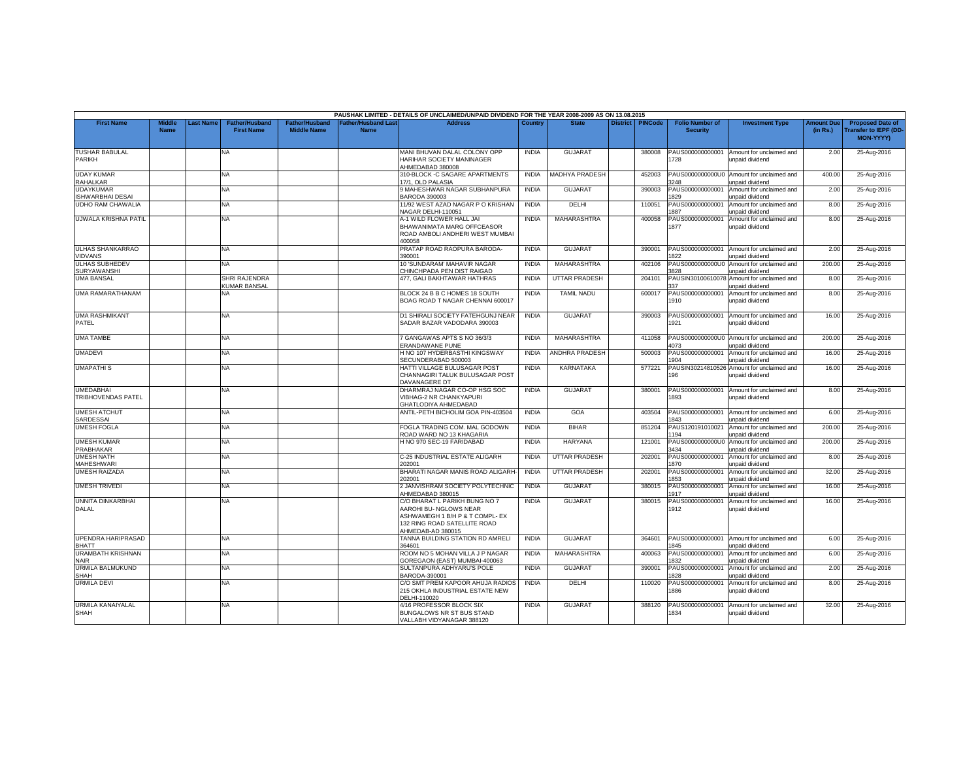|                                               |                              |           |                                            |                                             |                                           | PAUSHAK LIMITED - DETAILS OF UNCLAIMED/UNPAID DIVIDEND FOR THE YEAR 2008-2009 AS ON 13.08.2015                                                  |              |                      |                 |                |                                           |                                                              |                               |                                                                     |
|-----------------------------------------------|------------------------------|-----------|--------------------------------------------|---------------------------------------------|-------------------------------------------|-------------------------------------------------------------------------------------------------------------------------------------------------|--------------|----------------------|-----------------|----------------|-------------------------------------------|--------------------------------------------------------------|-------------------------------|---------------------------------------------------------------------|
| <b>First Name</b>                             | <b>Middle</b><br><b>Name</b> | Last Name | <b>Father/Husband</b><br><b>First Name</b> | <b>Father/Husband</b><br><b>Middle Name</b> | <b>Father/Husband Last</b><br><b>Name</b> | <b>Address</b>                                                                                                                                  | Country      | <b>State</b>         | <b>District</b> | <b>PINCode</b> | <b>Folio Number of</b><br><b>Security</b> | <b>Investment Type</b>                                       | <b>Amount Due</b><br>(in Rs.) | <b>Proposed Date of</b><br><b>Transfer to IEPF (DD</b><br>MON-YYYY) |
| <b>TUSHAR BABULAL</b><br><b>PARIKH</b>        |                              |           | NA                                         |                                             |                                           | MANI BHUVAN DALAL COLONY OPP<br>HARIHAR SOCIETY MANINAGER<br>AHMEDABAD 380008                                                                   | <b>INDIA</b> | <b>GUJARAT</b>       |                 | 380008         | PAUS000000000001<br>728                   | Amount for unclaimed and<br>unpaid dividend                  | 2.00                          | 25-Aug-2016                                                         |
| <b>UDAY KUMAR</b><br><b>RAHALKAR</b>          |                              |           | NA                                         |                                             |                                           | 310-BLOCK -C SAGARE APARTMENTS<br>17/1, OLD PALASIA                                                                                             | <b>INDIA</b> | MADHYA PRADESH       |                 | 452003         | 3248                                      | PAUS0000000000U0 Amount for unclaimed and<br>unpaid dividend | 400.00                        | 25-Aug-2016                                                         |
| <b>UDAYKUMAR</b><br><b>ISHWARBHAI DESAI</b>   |                              |           | NA                                         |                                             |                                           | 9 MAHESHWAR NAGAR SUBHANPURA<br><b>BARODA 390003</b>                                                                                            | <b>INDIA</b> | <b>GUJARAT</b>       |                 | 390003         | PAUS000000000001<br>829                   | Amount for unclaimed and<br>unpaid dividend                  | 2.00                          | 25-Aug-2016                                                         |
| <b>UDHO RAM CHAWALIA</b>                      |                              |           | NA                                         |                                             |                                           | 11/92 WEST AZAD NAGAR P O KRISHAN<br>NAGAR DELHI-110051                                                                                         | <b>INDIA</b> | <b>DELHI</b>         |                 | 110051         | PAUS000000000001<br>887                   | Amount for unclaimed and<br>unpaid dividend                  | 8.00                          | 25-Aug-2016                                                         |
| UJWALA KRISHNA PATIL                          |                              |           | NA                                         |                                             |                                           | A-1 WILD FLOWER HALL JAI<br>BHAWANIMATA MARG OFFCEASOR<br>ROAD AMBOLI ANDHERI WEST MUMBAI<br>400058                                             | <b>INDIA</b> | <b>MAHARASHTRA</b>   |                 | 400058         | PAUS000000000001<br>1877                  | Amount for unclaimed and<br>unpaid dividend                  | 8.00                          | 25-Aug-2016                                                         |
| <b>ULHAS SHANKARRAO</b><br><b>VIDVANS</b>     |                              |           | <b>NA</b>                                  |                                             |                                           | PRATAP ROAD RAOPURA BARODA-<br>390001                                                                                                           | <b>INDIA</b> | <b>GUJARAT</b>       |                 | 390001         | PAUS000000000001<br>822                   | Amount for unclaimed and<br>unpaid dividend                  | 2.00                          | 25-Aug-2016                                                         |
| <b>ULHAS SUBHEDEV</b><br><b>SURYAWANSHI</b>   |                              |           | NA.                                        |                                             |                                           | 10 'SUNDARAM' MAHAVIR NAGAR<br>CHINCHPADA PEN DIST RAIGAD                                                                                       | <b>INDIA</b> | MAHARASHTRA          |                 | 402106         | 3828                                      | PAUS0000000000U0 Amount for unclaimed and<br>unpaid dividend | 200.00                        | 25-Aug-2016                                                         |
| <b>UMA BANSAL</b>                             |                              |           | SHRI RAJENDRA<br><b>KUMAR BANSAL</b>       |                                             |                                           | 477. GALI BAKHTAWAR HATHRAS                                                                                                                     | <b>INDIA</b> | <b>UTTAR PRADESH</b> |                 | 204101         | PAUSIN30100610078<br>127                  | Amount for unclaimed and<br>unpaid dividend                  | 8.00                          | 25-Aug-2016                                                         |
| UMA RAMARATHANAM                              |                              |           | NA                                         |                                             |                                           | BLOCK 24 B B C HOMES 18 SOUTH<br>BOAG ROAD T NAGAR CHENNAI 600017                                                                               | <b>INDIA</b> | <b>TAMIL NADU</b>    |                 | 600017         | PAUS000000000001<br>1910                  | Amount for unclaimed and<br>unpaid dividend                  | 8.00                          | 25-Aug-2016                                                         |
| <b>UMA RASHMIKANT</b><br>PATEL                |                              |           | NA.                                        |                                             |                                           | D1 SHIRALI SOCIETY FATEHGUNJ NEAR<br>SADAR BAZAR VADODARA 390003                                                                                | <b>INDIA</b> | GUJARAT              |                 | 390003         | PAUS000000000001<br>1921                  | Amount for unclaimed and<br>unpaid dividend                  | 16.00                         | 25-Aug-2016                                                         |
| <b>UMA TAMBE</b>                              |                              |           | ΝA                                         |                                             |                                           | 7 GANGAWAS APTS S NO 36/3/3<br><b>ERANDAWANE PUNE</b>                                                                                           | <b>INDIA</b> | MAHARASHTRA          |                 | 411058         | 1073                                      | PAUS0000000000U0 Amount for unclaimed and<br>unpaid dividend | 200.00                        | 25-Aug-2016                                                         |
| <b>UMADEVI</b>                                |                              |           | NA                                         |                                             |                                           | H NO 107 HYDERBASTHI KINGSWAY<br>SECUNDERABAD 500003                                                                                            | <b>INDIA</b> | ANDHRA PRADESH       |                 | 500003         | PAUS000000000001<br>1904                  | Amount for unclaimed and<br>unpaid dividend                  | 16.00                         | 25-Aug-2016                                                         |
| <b>UMAPATHIS</b>                              |                              |           | NA                                         |                                             |                                           | HATTI VILLAGE BULUSAGAR POST<br>CHANNAGIRI TALUK BULUSAGAR POST<br>DAVANAGERE DT                                                                | <b>INDIA</b> | <b>KARNATAKA</b>     |                 | 577221         | PAUSIN30214810526<br>196                  | Amount for unclaimed and<br>unpaid dividend                  | 16.00                         | 25-Aug-2016                                                         |
| <b>UMEDABHAI</b><br><b>TRIBHOVENDAS PATEL</b> |                              |           | NA                                         |                                             |                                           | DHARMRAJ NAGAR CO-OP HSG SOC<br>VIBHAG-2 NR CHANKYAPURI<br>GHATLODIYA AHMEDABAD                                                                 | <b>INDIA</b> | <b>GUJARA1</b>       |                 | 380001         | PAUS000000000001<br>1893                  | Amount for unclaimed and<br>unpaid dividend                  | 8.00                          | 25-Aug-2016                                                         |
| <b>UMESH ATCHUT</b><br>SARDESSAI              |                              |           | NA                                         |                                             |                                           | ANTIL-PETH BICHOLIM GOA PIN-403504                                                                                                              | <b>INDIA</b> | GOA                  |                 | 403504         | PAUS000000000001<br>1843                  | Amount for unclaimed and<br>unpaid dividend                  | 6.00                          | 25-Aug-2016                                                         |
| <b>UMESH FOGLA</b>                            |                              |           | NA                                         |                                             |                                           | FOGLA TRADING COM, MAL GODOWN<br>ROAD WARD NO 13 KHAGARIA                                                                                       | <b>INDIA</b> | <b>BIHAR</b>         |                 | 851204         | PAUS120191010021<br>194                   | Amount for unclaimed and<br>unpaid dividend                  | 200.00                        | 25-Aug-2016                                                         |
| <b>UMESH KUMAR</b><br>PRABHAKAR               |                              |           | NA                                         |                                             |                                           | H NO 970 SEC-19 FARIDABAD                                                                                                                       | <b>INDIA</b> | <b>HARYANA</b>       |                 | 121001         | 3434                                      | PAUS0000000000U0 Amount for unclaimed and<br>unpaid dividend | 200.00                        | 25-Aug-2016                                                         |
| <b>UMESH NATH</b><br><b>MAHESHWARI</b>        |                              |           | NA                                         |                                             |                                           | C-25 INDUSTRIAL ESTATE ALIGARH<br>202001                                                                                                        | <b>INDIA</b> | <b>UTTAR PRADESH</b> |                 | 202001         | PAUS000000000001<br>870                   | Amount for unclaimed and<br>unpaid dividend                  | 8.00                          | 25-Aug-2016                                                         |
| <b>UMESH RAIZADA</b>                          |                              |           | NA                                         |                                             |                                           | BHARATI NAGAR MANIS ROAD ALIGARH<br>202001                                                                                                      | <b>INDIA</b> | <b>UTTAR PRADESH</b> |                 | 202001         | PAUS000000000001<br>1853                  | Amount for unclaimed and<br>unpaid dividend                  | 32.00                         | 25-Aug-2016                                                         |
| <b>UMESH TRIVEDI</b>                          |                              |           | NA.                                        |                                             |                                           | 2 JANVISHRAM SOCIETY POLYTECHNIC<br>AHMEDABAD 380015                                                                                            | <b>INDIA</b> | GUJARAT              |                 | 380015         | PAUS000000000001<br>1917                  | Amount for unclaimed and<br>unpaid dividend                  | 16.00                         | 25-Aug-2016                                                         |
| UNNITA DINKARBHAI<br><b>DALAL</b>             |                              |           | NA                                         |                                             |                                           | C/O BHARAT L PARIKH BUNG NO 7<br>AAROHI BU- NGLOWS NEAR<br>ASHWAMEGH 1 B/H P & T COMPL- EX<br>132 RING ROAD SATELLITE ROAD<br>AHMEDAB-AD 380015 | <b>INDIA</b> | <b>GUJARAT</b>       |                 | 380015         | PAUS000000000001<br>1912                  | Amount for unclaimed and<br>unpaid dividend                  | 16.00                         | 25-Aug-2016                                                         |
| UPENDRA HARIPRASAD<br><b>BHATT</b>            |                              |           | NA                                         |                                             |                                           | TANNA BUILDING STATION RD AMRELI<br>364601                                                                                                      | <b>INDIA</b> | <b>GUJARAT</b>       |                 | 364601         | PAUS000000000001<br>1845                  | Amount for unclaimed and<br>unpaid dividend                  | 6.00                          | 25-Aug-2016                                                         |
| <b>URAMBATH KRISHNAN</b><br><b>NAIR</b>       |                              |           | NA                                         |                                             |                                           | ROOM NO 5 MOHAN VILLA J P NAGAR<br>GOREGAON (EAST) MUMBAI-400063                                                                                | <b>INDIA</b> | MAHARASHTRA          |                 | 400063         | PAUS000000000001<br>832                   | Amount for unclaimed and<br>unpaid dividend                  | 6.00                          | 25-Aug-2016                                                         |
| URMILA BALMUKUND<br><b>SHAH</b>               |                              |           | NA.                                        |                                             |                                           | SULTANPURA ADHYARU'S POLE<br>BARODA-390001                                                                                                      | <b>INDIA</b> | GUJARAT              |                 | 390001         | PAUS000000000001<br>1828                  | Amount for unclaimed and<br>unpaid dividend                  | 2.00                          | 25-Aug-2016                                                         |
| <b>URMILA DEVI</b>                            |                              |           | NA                                         |                                             |                                           | C/O SMT PREM KAPOOR AHUJA RADIOS<br>215 OKHLA INDUSTRIAL ESTATE NEW<br>DELHI-110020                                                             | <b>INDIA</b> | DELHI                |                 | 110020         | PAUS000000000001<br>1886                  | Amount for unclaimed and<br>unpaid dividend                  | 8.00                          | 25-Aug-2016                                                         |
| URMILA KANAIYALAL<br><b>SHAH</b>              |                              |           | NA                                         |                                             |                                           | 4/16 PROFESSOR BLOCK SIX<br>BUNGALOWS NR ST BUS STAND<br>VALLABH VIDYANAGAR 388120                                                              | <b>INDIA</b> | <b>GUJARAT</b>       |                 | 388120         | PAUS000000000001<br>1834                  | Amount for unclaimed and<br>unpaid dividend                  | 32.00                         | 25-Aug-2016                                                         |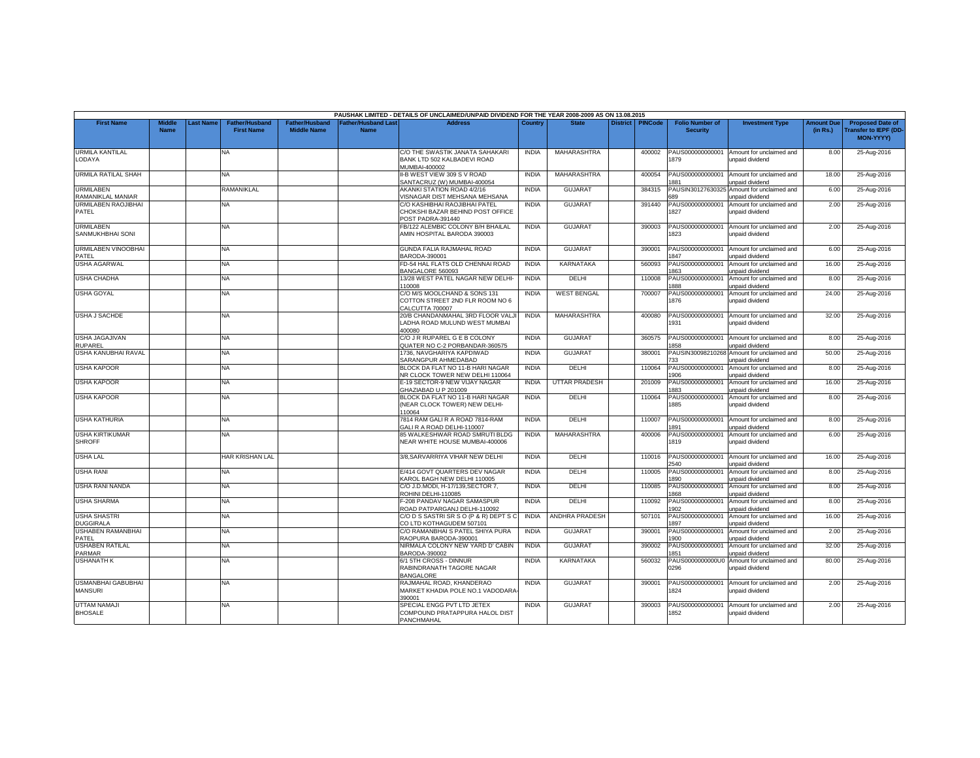|                                             |                              |                 |                                     |                                      |                                  | PAUSHAK LIMITED - DETAILS OF UNCLAIMED/UNPAID DIVIDEND FOR THE YEAR 2008-2009 AS ON 13.08.2015 |              |                       |                 |         |                                           |                                             |                               |                                                                            |
|---------------------------------------------|------------------------------|-----------------|-------------------------------------|--------------------------------------|----------------------------------|------------------------------------------------------------------------------------------------|--------------|-----------------------|-----------------|---------|-------------------------------------------|---------------------------------------------|-------------------------------|----------------------------------------------------------------------------|
| <b>First Name</b>                           | <b>Middle</b><br><b>Name</b> | <b>ast Name</b> | Father/Husband<br><b>First Name</b> | Father/Husband<br><b>Middle Name</b> | ather/Husband Las<br><b>Name</b> | <b>Address</b>                                                                                 | Country      | <b>State</b>          | <b>District</b> | PINCode | <b>Folio Number of</b><br><b>Security</b> | <b>Investment Type</b>                      | <b>Amount Due</b><br>(in Rs.) | <b>Proposed Date of</b><br><b>Transfer to IEPF (DD</b><br><b>MON-YYYYY</b> |
| <b>URMILA KANTILAL</b><br>LODAYA            |                              |                 | <b>NA</b>                           |                                      |                                  | C/O THE SWASTIK JANATA SAHAKARI<br>BANK LTD 502 KALBADEVI ROAD<br>MUMBAI-400002                | <b>INDIA</b> | MAHARASHTRA           |                 | 400002  | PAUS000000000001<br>879                   | Amount for unclaimed and<br>unpaid dividend | 8.00                          | 25-Aug-2016                                                                |
| <b>URMILA RATILAL SHAH</b>                  |                              |                 | <b>NA</b>                           |                                      |                                  | II-B WEST VIEW 309 S V ROAD<br>SANTACRUZ (W) MUMBAI-400054                                     | <b>INDIA</b> | MAHARASHTRA           |                 | 400054  | PAUS000000000001<br>881                   | Amount for unclaimed and<br>unpaid dividend | 18.00                         | 25-Aug-2016                                                                |
| <b>URMILABEN</b><br>RAMANIKLAL MANIAR       |                              |                 | RAMANIKLAL                          |                                      |                                  | AKANKI STATION ROAD 4/2/16<br>/ISNAGAR DIST MEHSANA MEHSANA                                    | <b>INDIA</b> | <b>GUJARAT</b>        |                 | 384315  | PAUSIN3012763032<br>689                   | Amount for unclaimed and<br>unpaid dividend | 6.00                          | 25-Aug-2016                                                                |
| URMILABEN RAOJIBHAI<br>PATEL                |                              |                 | <b>NA</b>                           |                                      |                                  | C/O KASHIBHAI RAOJIBHAI PATEL<br>CHOKSHI BAZAR BEHIND POST OFFICE<br>POST PADRA-391440         | <b>INDIA</b> | <b>GUJARAT</b>        |                 | 391440  | PAUS000000000001<br>1827                  | Amount for unclaimed and<br>unpaid dividend | 2.00                          | 25-Aug-2016                                                                |
| <b>URMILABEN</b><br><b>SANMUKHBHAI SONI</b> |                              |                 | <b>NA</b>                           |                                      |                                  | FB/122 ALEMBIC COLONY B/H BHAILAL<br>AMIN HOSPITAL BARODA 390003                               | <b>INDIA</b> | <b>GUJARAT</b>        |                 | 390003  | PAUS000000000001<br>823                   | Amount for unclaimed and<br>unpaid dividend | 2.00                          | 25-Aug-2016                                                                |
| URMILABEN VINOOBHAI<br>PATFL                |                              |                 | <b>NA</b>                           |                                      |                                  | GUNDA FALIA RAJMAHAL ROAD<br>3ARODA-390001                                                     | <b>INDIA</b> | <b>GUJARAT</b>        |                 | 390001  | PAUS000000000001<br>847                   | Amount for unclaimed and<br>unpaid dividend | 6.00                          | 25-Aug-2016                                                                |
| <b>USHA AGARWAL</b>                         |                              |                 | <b>NA</b>                           |                                      |                                  | FD-54 HAL FLATS OLD CHENNAI ROAD<br>BANGALORE 560093                                           | <b>INDIA</b> | KARNATAKA             |                 | 560093  | PAUS000000000001<br>863                   | Amount for unclaimed and<br>unpaid dividend | 16.00                         | 25-Aug-2016                                                                |
| <b>USHA CHADHA</b>                          |                              |                 | NA                                  |                                      |                                  | 13/28 WEST PATEL NAGAR NEW DELHI<br>10008                                                      | <b>INDIA</b> | DELHI                 |                 | 110008  | AUS000000000001<br>888                    | Amount for unclaimed and<br>unpaid dividend | 8.00                          | 25-Aug-2016                                                                |
| <b>USHA GOYAL</b>                           |                              |                 | <b>NA</b>                           |                                      |                                  | C/O M/S MOOLCHAND & SONS 131<br>COTTON STREET 2ND FLR ROOM NO 6<br>CALCUTTA 700007             | <b>INDIA</b> | <b>WEST BENGAL</b>    |                 | 700007  | PAUS000000000001<br>1876                  | Amount for unclaimed and<br>unpaid dividend | 24.00                         | 25-Aug-2016                                                                |
| <b>USHA J SACHDE</b>                        |                              |                 | <b>NA</b>                           |                                      |                                  | 20/B CHANDANMAHAL 3RD FLOOR VALJ<br>LADHA ROAD MULUND WEST MUMBAI<br>400080                    | <b>INDIA</b> | MAHARASHTRA           |                 | 400080  | PAUS000000000001<br>1931                  | Amount for unclaimed and<br>unpaid dividend | 32.00                         | 25-Aug-2016                                                                |
| USHA JAGAJIVAN<br>RUPAREL                   |                              |                 | <b>NA</b>                           |                                      |                                  | C/O J R RUPAREL G E B COLONY<br>QUATER NO C-2 PORBANDAR-360575                                 | <b>INDIA</b> | <b>GUJARAT</b>        |                 | 360575  | PAUS000000000001<br>858                   | Amount for unclaimed and<br>unpaid dividend | 8.00                          | 25-Aug-2016                                                                |
| USHA KANUBHAI RAVAL                         |                              |                 | <b>NA</b>                           |                                      |                                  | 1736, NAVGHARIYA KAPDIWAD<br>SARANGPUR AHMEDABAD                                               | <b>INDIA</b> | <b>GUJARAT</b>        |                 | 380001  | PAUSIN3009821026<br>733                   | Amount for unclaimed and<br>unpaid dividend | 50.00                         | 25-Aug-2016                                                                |
| <b>USHA KAPOOR</b>                          |                              |                 | <b>NA</b>                           |                                      |                                  | BLOCK DA FLAT NO 11-B HARI NAGAR<br>NR CLOCK TOWER NEW DELHI 110064                            | <b>INDIA</b> | DELHI                 |                 | 110064  | PAUS000000000001<br>906                   | Amount for unclaimed and<br>unpaid dividend | 8.00                          | 25-Aug-2016                                                                |
| <b>USHA KAPOOR</b>                          |                              |                 | <b>NA</b>                           |                                      |                                  | E-19 SECTOR-9 NEW VIJAY NAGAR<br>GHAZIABAD U P 201009                                          | <b>INDIA</b> | <b>UTTAR PRADESH</b>  |                 | 201009  | PAUS000000000001<br>883                   | Amount for unclaimed and<br>unpaid dividend | 16.00                         | 25-Aug-2016                                                                |
| <b>USHA KAPOOR</b>                          |                              |                 | <b>NA</b>                           |                                      |                                  | BLOCK DA FLAT NO 11-B HARI NAGAR<br>(NEAR CLOCK TOWER) NEW DELHI-<br>10064                     | <b>INDIA</b> | DELHI                 |                 | 110064  | PAUS000000000001<br>1885                  | Amount for unclaimed and<br>unpaid dividend | 8.00                          | 25-Aug-2016                                                                |
| <b>USHA KATHURIA</b>                        |                              |                 | <b>NA</b>                           |                                      |                                  | 7814 RAM GALI R A ROAD 7814-RAM<br><b>GALI R A ROAD DELHI-110007</b>                           | <b>INDIA</b> | <b>DELHI</b>          |                 | 110007  | PAUS000000000001<br>891                   | Amount for unclaimed and<br>unpaid dividend | 8.00                          | 25-Aug-2016                                                                |
| <b>USHA KIRTIKUMAR</b><br><b>SHROFF</b>     |                              |                 | <b>NA</b>                           |                                      |                                  | 85 WALKESHWAR ROAD SMRUTI BLDG<br>NEAR WHITE HOUSE MUMBAI-400006                               | <b>INDIA</b> | MAHARASHTRA           |                 | 400006  | PAUS000000000001<br>1819                  | Amount for unclaimed and<br>unpaid dividend | 6.00                          | 25-Aug-2016                                                                |
| <b>USHA LAL</b>                             |                              |                 | HAR KRISHAN LAL                     |                                      |                                  | 3/8, SARVARRIYA VIHAR NEW DELHI                                                                | <b>INDIA</b> | <b>DELHI</b>          |                 | 110016  | PAUS000000000001<br>540                   | Amount for unclaimed and<br>unpaid dividend | 16.00                         | 25-Aug-2016                                                                |
| <b>USHA RANI</b>                            |                              |                 | NA.                                 |                                      |                                  | E/414 GOVT QUARTERS DEV NAGAR<br>KAROL BAGH NEW DELHI 110005                                   | <b>INDIA</b> | <b>DELHI</b>          |                 | 110005  | PAUS000000000001<br>890                   | Amount for unclaimed and<br>unpaid dividend | 8.00                          | 25-Aug-2016                                                                |
| USHA RANI NANDA                             |                              |                 | <b>NA</b>                           |                                      |                                  | C/O J.D.MODI, H-17/139, SECTOR 7,<br>ROHINI DELHI-110085                                       | <b>INDIA</b> | DELHI                 |                 | 110085  | PAUS000000000001<br>868                   | Amount for unclaimed and<br>unpaid dividend | 8.00                          | 25-Aug-2016                                                                |
| <b>USHA SHARMA</b>                          |                              |                 | <b>NA</b>                           |                                      |                                  | F-208 PANDAV NAGAR SAMASPUR<br>ROAD PATPARGANJ DELHI-110092                                    | <b>INDIA</b> | <b>DELHI</b>          |                 | 110092  | PAUS000000000001<br>902                   | Amount for unclaimed and<br>unpaid dividend | 8.00                          | 25-Aug-2016                                                                |
| <b>USHA SHASTRI</b><br><b>DUGGIRALA</b>     |                              |                 | <b>NA</b>                           |                                      |                                  | C/ODS SASTRISRS O (P & R) DEPTS C<br>CO LTD KOTHAGUDEM 507101                                  | <b>INDIA</b> | <b>ANDHRA PRADESH</b> |                 | 507101  | PAUS000000000001<br>897                   | Amount for unclaimed and<br>unpaid dividend | 16.00                         | 25-Aug-2016                                                                |
| <b>USHABEN RAMANBHAI</b><br>PATEL           |                              |                 | <b>NA</b>                           |                                      |                                  | C/O RAMANBHAI S PATEL SHIYA PURA<br>RAOPURA BARODA-390001                                      | <b>INDIA</b> | <b>GUJARAT</b>        |                 | 390001  | PAUS000000000001<br>900                   | Amount for unclaimed and<br>unpaid dividend | 2.00                          | 25-Aug-2016                                                                |
| <b>USHABEN RATILAL</b><br><b>PARMAR</b>     |                              |                 | <b>NA</b>                           |                                      |                                  | NIRMALA COLONY NEW YARD D' CABIN<br>BARODA-390002                                              | <b>INDIA</b> | <b>GUJARAT</b>        |                 | 390002  | PAUS000000000001<br>1851                  | Amount for unclaimed and<br>unpaid dividend | 32.00                         | 25-Aug-2016                                                                |
| <b>USHANATH K</b>                           |                              |                 | <b>NA</b>                           |                                      |                                  | 6/1 5TH CROSS - DINNUR<br>RABINDRANATH TAGORE NAGAR<br><b>BANGALORE</b>                        | <b>INDIA</b> | <b>KARNATAKA</b>      |                 | 560032  | PAUS0000000000U0<br>0296                  | Amount for unclaimed and<br>unpaid dividend | 80.00                         | 25-Aug-2016                                                                |
| USMANBHAI GABUBHAI<br><b>MANSURI</b>        |                              |                 | <b>NA</b>                           |                                      |                                  | RAJMAHAL ROAD, KHANDERAO<br>MARKET KHADIA POLE NO.1 VADODARA<br>390001                         | <b>INDIA</b> | <b>GUJARAT</b>        |                 | 390001  | PAUS000000000001<br>1824                  | Amount for unclaimed and<br>unpaid dividend | 2.00                          | 25-Aug-2016                                                                |
| UTTAM NAMAJI<br><b>BHOSALE</b>              |                              |                 | NA                                  |                                      |                                  | SPECIAL ENGG PVT LTD JETEX<br>COMPOUND PRATAPPURA HALOL DIST<br>PANCHMAHAL                     | <b>INDIA</b> | <b>GUJARAT</b>        |                 | 390003  | PAUS000000000001<br>1852                  | Amount for unclaimed and<br>unpaid dividend | 2.00                          | 25-Aug-2016                                                                |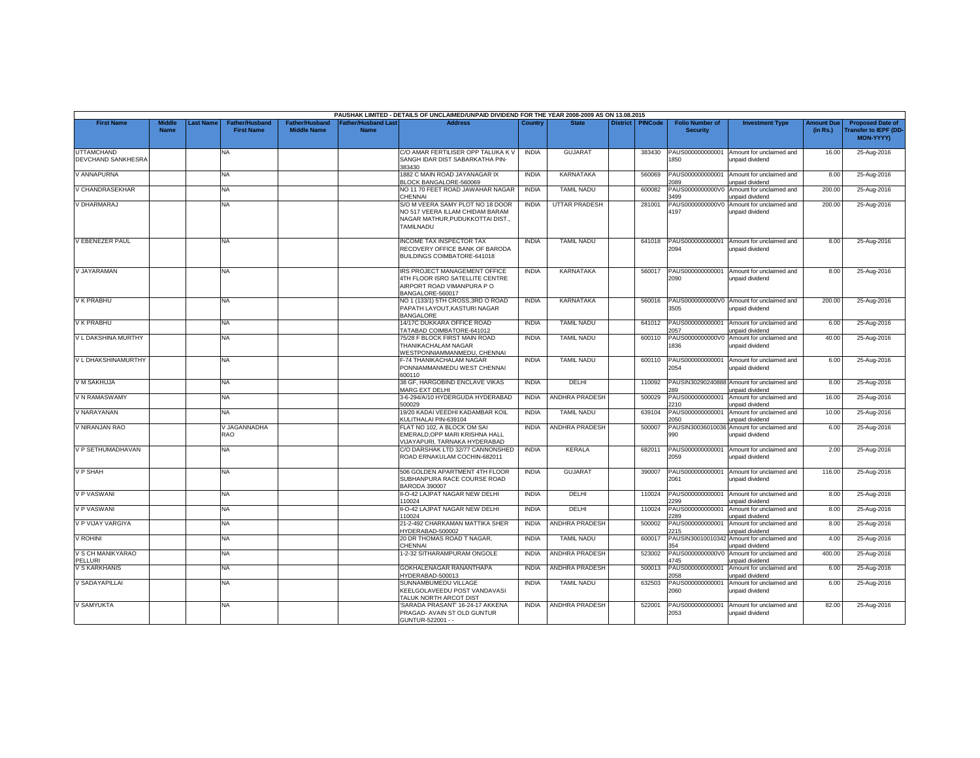|                                                |                              |                  |                                            |                                             |                                           | PAUSHAK LIMITED - DETAILS OF UNCLAIMED/UNPAID DIVIDEND FOR THE YEAR 2008-2009 AS ON 13.08.2015                              |              |                       |                 |                |                                           |                                                               |                               |                                                                            |
|------------------------------------------------|------------------------------|------------------|--------------------------------------------|---------------------------------------------|-------------------------------------------|-----------------------------------------------------------------------------------------------------------------------------|--------------|-----------------------|-----------------|----------------|-------------------------------------------|---------------------------------------------------------------|-------------------------------|----------------------------------------------------------------------------|
| <b>First Name</b>                              | <b>Middle</b><br><b>Name</b> | <b>Last Name</b> | <b>Father/Husband</b><br><b>First Name</b> | <b>Father/Husband</b><br><b>Middle Name</b> | <b>Father/Husband Last</b><br><b>Name</b> | <b>Address</b>                                                                                                              | Country      | <b>State</b>          | <b>District</b> | <b>PINCode</b> | <b>Folio Number of</b><br><b>Security</b> | <b>Investment Type</b>                                        | <b>Amount Due</b><br>(in Rs.) | <b>Proposed Date of</b><br><b>Transfer to IEPF (DD</b><br><b>MON-YYYY)</b> |
| <b>UTTAMCHAND</b><br><b>DEVCHAND SANKHESRA</b> |                              |                  | <b>NA</b>                                  |                                             |                                           | C/O AMAR FERTILISER OPP TALUKA K V<br>SANGH IDAR DIST SABARKATHA PIN-<br>383430                                             | <b>INDIA</b> | <b>GUJARAT</b>        |                 | 383430         | PAUS000000000001<br>1850                  | Amount for unclaimed and<br>unpaid dividend                   | 16.00                         | 25-Aug-2016                                                                |
| V ANNAPURNA                                    |                              |                  | <b>NA</b>                                  |                                             |                                           | 1882 C MAIN ROAD JAYANAGAR IX<br>BLOCK BANGALORE-560069                                                                     | <b>INDIA</b> | KARNATAKA             |                 | 560069         | PAUS000000000001<br>ngq                   | Amount for unclaimed and<br>unpaid dividend                   | 8.00                          | 25-Aug-2016                                                                |
| V CHANDRASEKHAR                                |                              |                  | NA.                                        |                                             |                                           | NO 11 70 FEET ROAD JAWAHAR NAGAR<br>CHENNAI                                                                                 | <b>INDIA</b> | <b>TAMIL NADU</b>     |                 | 600082         | PAUS0000000000V0<br>3499                  | Amount for unclaimed and<br>unpaid dividend                   | 200.00                        | 25-Aug-2016                                                                |
| V DHARMARAJ                                    |                              |                  | <b>NA</b>                                  |                                             |                                           | S/O M VEERA SAMY PLOT NO 18 DOOR<br>NO 517 VEERA ILLAM CHIDAM BARAM<br>NAGAR MATHUR, PUDUKKOTTAI DIST.,<br><b>TAMILNADU</b> | <b>INDIA</b> | <b>UTTAR PRADESH</b>  |                 | 281001         | PAUS0000000000V0<br>4197                  | Amount for unclaimed and<br>unpaid dividend                   | 200.00                        | 25-Aug-2016                                                                |
| V EBENEZER PAUL                                |                              |                  | <b>NA</b>                                  |                                             |                                           | <b>INCOME TAX INSPECTOR TAX</b><br>RECOVERY OFFICE BANK OF BARODA<br>BUILDINGS COIMBATORE-641018                            | <b>INDIA</b> | <b>TAMIL NADU</b>     |                 | 641018         | PAUS000000000001<br>2094                  | Amount for unclaimed and<br>unpaid dividend                   | 8.00                          | 25-Aug-2016                                                                |
| V JAYARAMAN                                    |                              |                  | <b>NA</b>                                  |                                             |                                           | <b>IRS PROJECT MANAGEMENT OFFICE</b><br>4TH FLOOR ISRO SATELLITE CENTRE<br>AIRPORT ROAD VIMANPURA PO<br>BANGALORE-560017    | <b>INDIA</b> | <b>KARNATAKA</b>      |                 | 560017         | PAUS000000000001<br>2090                  | Amount for unclaimed and<br>unpaid dividend                   | 8.00                          | 25-Aug-2016                                                                |
| V K PRABHU                                     |                              |                  | NA                                         |                                             |                                           | NO 1 (133/1) 5TH CROSS,3RD O ROAD<br>PAPATH LAYOUT, KASTURI NAGAR<br><b>BANGALORE</b>                                       | <b>INDIA</b> | <b>KARNATAKA</b>      |                 | 560016         | 3505                                      | PAUS0000000000V0 Amount for unclaimed and<br>unpaid dividend  | 200.00                        | 25-Aug-2016                                                                |
| V K PRABHU                                     |                              |                  | NA                                         |                                             |                                           | 14/17C DUKKARA OFFICE ROAD<br>TATABAD COIMBATORE-641012                                                                     | <b>INDIA</b> | <b>TAMIL NADU</b>     |                 | 641012         | PAUS000000000001<br>057                   | Amount for unclaimed and<br>unpaid dividend                   | 6.00                          | 25-Aug-2016                                                                |
| V L DAKSHINA MURTHY                            |                              |                  | <b>NA</b>                                  |                                             |                                           | 75/28 F BLOCK FIRST MAIN ROAD<br>THANIKACHALAM NAGAR<br>WESTPONNIAMMANMEDU, CHENNAI                                         | <b>INDIA</b> | <b>TAMIL NADU</b>     |                 | 600110         | PAUS0000000000V0<br>1836                  | Amount for unclaimed and<br>unpaid dividend                   | 40.00                         | 25-Aug-2016                                                                |
| V L DHAKSHINAMURTHY                            |                              |                  | <b>NA</b>                                  |                                             |                                           | F-74 THANIKACHALAM NAGAR<br>PONNIAMMANMEDU WEST CHENNAI<br>600110                                                           | <b>INDIA</b> | <b>TAMIL NADU</b>     |                 | 600110         | PAUS000000000001<br>2054                  | Amount for unclaimed and<br>unpaid dividend                   | 6.00                          | 25-Aug-2016                                                                |
| V M SAKHUJA                                    |                              |                  | <b>NA</b>                                  |                                             |                                           | 38 GF, HARGOBIND ENCLAVE VIKAS<br><b>MARG EXT DELHI</b>                                                                     | <b>INDIA</b> | DELHI                 |                 | 110092         | 28 Q                                      | PAUSIN30290240888 Amount for unclaimed and<br>unpaid dividend | 8.00                          | 25-Aug-2016                                                                |
| V N RAMASWAMY                                  |                              |                  | <b>NA</b>                                  |                                             |                                           | 3-6-294/A/10 HYDERGUDA HYDERABAD<br>500029                                                                                  | <b>INDIA</b> | <b>ANDHRA PRADESH</b> |                 | 500029         | PAUS000000000001<br>2210                  | Amount for unclaimed and<br>unpaid dividend                   | 16.00                         | 25-Aug-2016                                                                |
| V NARAYANAN                                    |                              |                  | NA                                         |                                             |                                           | 19/20 KADAI VEEDHI KADAMBAR KOIL<br>KULITHALAI PIN-639104                                                                   | <b>INDIA</b> | <b>TAMIL NADU</b>     |                 | 639104         | PAUS000000000001<br>050                   | Amount for unclaimed and<br>unpaid dividend                   | 10.00                         | 25-Aug-2016                                                                |
| V NIRANJAN RAO                                 |                              |                  | V JAGANNADHA<br>RAO                        |                                             |                                           | FLAT NO 102. A BLOCK OM SAI<br>EMERALD, OPP MARI KRISHNA HALL<br>/IJAYAPURI, TARNAKA HYDERABAD                              | <b>INDIA</b> | <b>ANDHRA PRADESH</b> |                 | 500007         | PAUSIN30036010036<br>990                  | Amount for unclaimed and<br>unpaid dividend                   | 6.00                          | 25-Aug-2016                                                                |
| V P SETHUMADHAVAN                              |                              |                  | <b>NA</b>                                  |                                             |                                           | C/O DARSHAK LTD 32/77 CANNONSHED<br>ROAD ERNAKULAM COCHIN-682011                                                            | <b>INDIA</b> | <b>KERALA</b>         |                 | 682011         | PAUS000000000001<br>2059                  | Amount for unclaimed and<br>unpaid dividend                   | 2.00                          | 25-Aug-2016                                                                |
| V P SHAH                                       |                              |                  | <b>NA</b>                                  |                                             |                                           | 506 GOLDEN APARTMENT 4TH FLOOR<br>SUBHANPURA RACE COURSE ROAD<br><b>BARODA 390007</b>                                       | <b>INDIA</b> | <b>GUJARAT</b>        |                 | 390007         | PAUS000000000001<br>2061                  | Amount for unclaimed and<br>unpaid dividend                   | 116.00                        | 25-Aug-2016                                                                |
| V P VASWANI                                    |                              |                  | <b>NA</b>                                  |                                             |                                           | II-O-42 LAJPAT NAGAR NEW DELHI<br>10024                                                                                     | <b>INDIA</b> | DELHI                 |                 | 110024         | PAUS000000000001<br>299                   | Amount for unclaimed and<br>unpaid dividend                   | 8.00                          | 25-Aug-2016                                                                |
| V P VASWANI                                    |                              |                  | <b>NA</b>                                  |                                             |                                           | II-O-42 LAJPAT NAGAR NEW DELHI<br>10024                                                                                     | <b>INDIA</b> | DELHI                 |                 | 110024         | PAUS000000000001<br>289                   | Amount for unclaimed and<br>unpaid dividend                   | 8.00                          | 25-Aug-2016                                                                |
| V P VIJAY VARGIYA                              |                              |                  | NA.                                        |                                             |                                           | 21-2-492 CHARKAMAN MATTIKA SHER<br>IYDERABAD-500002                                                                         | <b>INDIA</b> | <b>ANDHRA PRADESH</b> |                 | 500002         | PAUS000000000001<br>2215                  | Amount for unclaimed and<br>unpaid dividend                   | 8.00                          | 25-Aug-2016                                                                |
| <b>V ROHINI</b>                                |                              |                  | <b>NA</b>                                  |                                             |                                           | 20 DR THOMAS ROAD T NAGAR.<br>CHENNAI                                                                                       | <b>INDIA</b> | <b>TAMIL NADU</b>     |                 | 600017         | PAUSIN30010010342<br>354                  | Amount for unclaimed and<br>unpaid dividend                   | 4.00                          | 25-Aug-2016                                                                |
| V S CH MANIKYARAO<br>PELLURI                   |                              |                  | <b>NA</b>                                  |                                             |                                           | 1-2-32 SITHARAMPURAM ONGOLE                                                                                                 | <b>INDIA</b> | ANDHRA PRADESH        |                 | 523002         | PAUS0000000000V0<br>4745                  | Amount for unclaimed and<br>unpaid dividend                   | 400.00                        | 25-Aug-2016                                                                |
| V S KARKHANIS                                  |                              |                  | NA.                                        |                                             |                                           | GOKHALENAGAR RANANTHAPA<br>HYDERABAD-500013                                                                                 | <b>INDIA</b> | <b>ANDHRA PRADESH</b> |                 | 500013         | PAUS000000000001<br>058                   | Amount for unclaimed and<br>unpaid dividend                   | 6.00                          | 25-Aug-2016                                                                |
| V SADAYAPILLA                                  |                              |                  | <b>NA</b>                                  |                                             |                                           | SUNNAMBUMEDU VILLAGE<br>KEELGOLAVEEDU POST VANDAVASI<br>TALUK NORTH ARCOT DIST                                              | <b>INDIA</b> | <b>TAMIL NADU</b>     |                 | 632503         | PAUS000000000001<br>2060                  | Amount for unclaimed and<br>unpaid dividend                   | 6.00                          | 25-Aug-2016                                                                |
| V SAMYUKTA                                     |                              |                  | <b>NA</b>                                  |                                             |                                           | SARADA PRASANT' 16-24-17 AKKENA<br>PRAGAD- AVAIN ST OLD GUNTUR<br>GUNTUR-522001 - -                                         | <b>INDIA</b> | ANDHRA PRADESH        |                 | 522001         | PAUS000000000001<br>2053                  | Amount for unclaimed and<br>unpaid dividend                   | 82.00                         | 25-Aug-2016                                                                |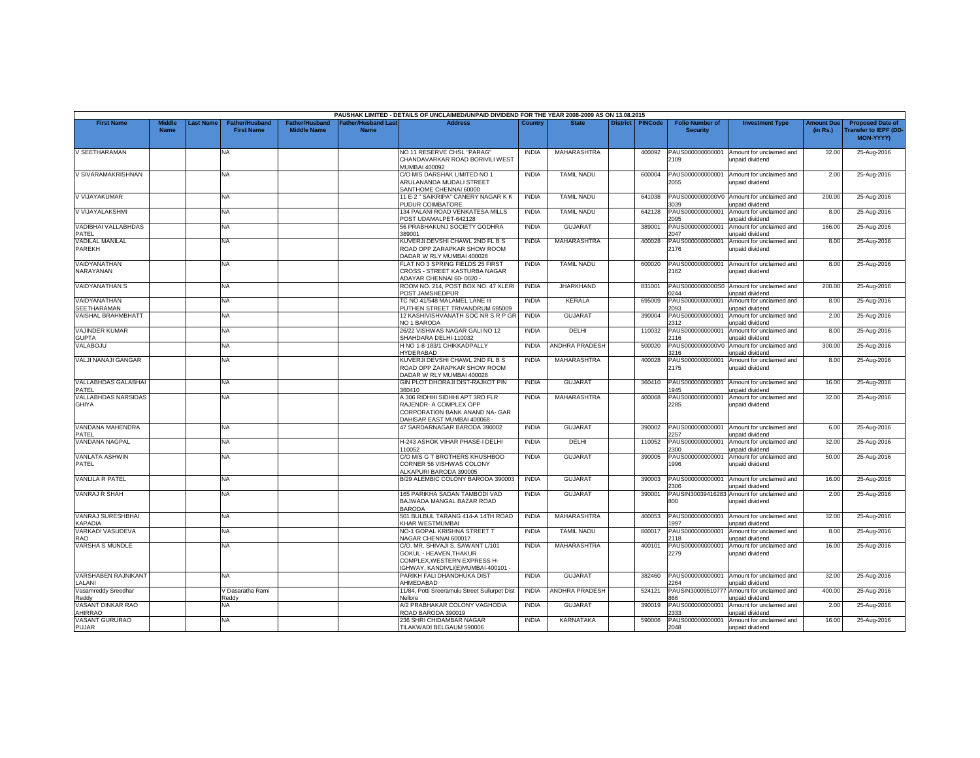|                                            |                              |           |                                            |                                             |                                           | PAUSHAK LIMITED - DETAILS OF UNCLAIMED/UNPAID DIVIDEND FOR THE YEAR 2008-2009 AS ON 13.08.2015                                 |              |                       |                 |                |                                           |                                                              |                               |                                                                            |
|--------------------------------------------|------------------------------|-----------|--------------------------------------------|---------------------------------------------|-------------------------------------------|--------------------------------------------------------------------------------------------------------------------------------|--------------|-----------------------|-----------------|----------------|-------------------------------------------|--------------------------------------------------------------|-------------------------------|----------------------------------------------------------------------------|
| <b>First Name</b>                          | <b>Middle</b><br><b>Name</b> | Last Name | <b>Father/Husband</b><br><b>First Name</b> | <b>Father/Husband</b><br><b>Middle Name</b> | <b>Father/Husband Last</b><br><b>Name</b> | <b>Address</b>                                                                                                                 | Country      | <b>State</b>          | <b>District</b> | <b>PINCode</b> | <b>Folio Number of</b><br><b>Security</b> | <b>Investment Type</b>                                       | <b>Amount Due</b><br>(in Rs.) | <b>Proposed Date of</b><br><b>Transfer to IEPF (DD</b><br><b>MON-YYYYY</b> |
| V SEETHARAMAN                              |                              |           | NA                                         |                                             |                                           | NO 11 RESERVE CHSL "PARAG"<br>CHANDAVARKAR ROAD BORIVILI WEST<br><b>JUMBAI 400092</b>                                          | <b>INDIA</b> | MAHARASHTRA           |                 | 400092         | PAUS000000000001<br>2109                  | Amount for unclaimed and<br>unpaid dividend                  | 32.00                         | 25-Aug-2016                                                                |
| V SIVARAMAKRISHNAN                         |                              |           | <b>NA</b>                                  |                                             |                                           | C/O M/S DARSHAK LIMITED NO 1<br>ARULANANDA MUDALI STREET<br>SANTHOME CHENNAI 60000                                             | <b>INDIA</b> | <b>TAMIL NADU</b>     |                 | 600004         | PAUS000000000001<br>2055                  | Amount for unclaimed and<br>unpaid dividend                  | 2.00                          | 25-Aug-2016                                                                |
| V VIJAYAKUMAR                              |                              |           | NA                                         |                                             |                                           | 11 E-2 " SAIKRIPA" CANERY NAGAR K K<br>PUDUR COIMBATORE                                                                        | <b>INDIA</b> | <b>TAMIL NADU</b>     |                 | 641038         | 3039                                      | PAUS0000000000V0 Amount for unclaimed and<br>unpaid dividend | 200.00                        | 25-Aug-2016                                                                |
| V VIJAYALAKSHMI                            |                              |           | NA                                         |                                             |                                           | 134 PALANI ROAD VENKATESA MILLS<br>POST UDAMALPET-642128                                                                       | <b>INDIA</b> | <b>TAMIL NADU</b>     |                 | 642128         | PAUS000000000001<br>2095                  | Amount for unclaimed and<br>unpaid dividend                  | 8.00                          | 25-Aug-2016                                                                |
| VADIBHAI VALLABHDAS<br>PATEL               |                              |           | NA                                         |                                             |                                           | 56 PRABHAKUNJ SOCIETY GODHRA<br>389001                                                                                         | <b>INDIA</b> | <b>GUJARAT</b>        |                 | 389001         | PAUS000000000001<br>2047                  | Amount for unclaimed and<br>unpaid dividend                  | 166.00                        | 25-Aug-2016                                                                |
| <b>VADILAL MANILAL</b><br><b>PAREKH</b>    |                              |           | NA                                         |                                             |                                           | KUVERJI DEVSHI CHAWL 2ND FL B S<br>ROAD OPP ZARAPKAR SHOW ROOM<br>DADAR W RLY MUMBAI 400028                                    | <b>INDIA</b> | <b>MAHARASHTRA</b>    |                 | 400028         | PAUS000000000001<br>2176                  | Amount for unclaimed and<br>unpaid dividend                  | 8.00                          | 25-Aug-2016                                                                |
| VAIDYANATHAN<br>NARAYANAN                  |                              |           | NA.                                        |                                             |                                           | FLAT NO 3 SPRING FIELDS 25 FIRST<br>CROSS - STREET KASTURBA NAGAR<br>ADAYAR CHENNAI 60-0020 -                                  | <b>INDIA</b> | <b>TAMIL NADU</b>     |                 | 600020         | PAUS000000000001<br>2162                  | Amount for unclaimed and<br>unpaid dividend                  | 8.00                          | 25-Aug-2016                                                                |
| <b>VAIDYANATHAN S</b>                      |                              |           | NA.                                        |                                             |                                           | ROOM NO. 214, POST BOX NO. 47 XLERI<br>OST JAMSHEDPUR                                                                          | <b>INDIA</b> | <b>JHARKHAND</b>      |                 | 831001         | PAUS0000000000S0<br>1244                  | Amount for unclaimed and<br>unpaid dividend                  | 200.00                        | 25-Aug-2016                                                                |
| VAIDYANATHAN<br><b>SEETHARAMAN</b>         |                              |           | NA                                         |                                             |                                           | TC NO 41/548 MALAMEL LANE III<br>PUTHEN STREET TRIVANDRUM 695009                                                               | <b>INDIA</b> | KERALA                |                 | 695009         | PAUS000000000001<br>2093                  | Amount for unclaimed and<br>unpaid dividend                  | 8.00                          | 25-Aug-2016                                                                |
| VAISHAL BRAHMBHATT                         |                              |           | NA                                         |                                             |                                           | 12 KASHIVISHVANATH SOC NR S R P GR<br>NO 1 BARODA                                                                              | <b>INDIA</b> | <b>GUJARAT</b>        |                 | 390004         | PAUS000000000001<br>2312                  | Amount for unclaimed and<br>unpaid dividend                  | 2.00                          | 25-Aug-2016                                                                |
| <b>VAJINDER KUMAR</b><br><b>GUPTA</b>      |                              |           | NA                                         |                                             |                                           | 26/22 VISHWAS NAGAR GALI NO 12<br>SHAHDARA DELHI-110032                                                                        | <b>INDIA</b> | DELHI                 |                 | 110032         | PAUS000000000001<br>2116                  | Amount for unclaimed and<br>unpaid dividend                  | 8.00                          | 25-Aug-2016                                                                |
| VALABOJU                                   |                              |           | ΝA                                         |                                             |                                           | H NO 1-8-183/1 CHIKKADPALLY<br><b>HYDERABAD</b>                                                                                | <b>INDIA</b> | ANDHRA PRADESH        |                 | 500020         | PAUS0000000000V0<br>3216                  | Amount for unclaimed and<br>unpaid dividend                  | 300.00                        | 25-Aug-2016                                                                |
| VALJI NANAJI GANGAR                        |                              |           | NA.                                        |                                             |                                           | KUVERJI DEVSHI CHAWL 2ND FL B S<br>ROAD OPP ZARAPKAR SHOW ROOM<br>DADAR W RLY MUMBAI 400028                                    | <b>INDIA</b> | <b>MAHARASHTRA</b>    |                 | 400028         | PAUS000000000001<br>2175                  | Amount for unclaimed and<br>unpaid dividend                  | 8.00                          | 25-Aug-2016                                                                |
| VALLABHDAS GALABHAI<br>PATEL               |                              |           | NA                                         |                                             |                                           | GIN PLOT DHORAJI DIST-RAJKOT PIN<br>360410                                                                                     | <b>INDIA</b> | <b>GUJARAT</b>        |                 | 360410         | PAUS000000000001<br>945                   | Amount for unclaimed and<br>unpaid dividend                  | 16.00                         | 25-Aug-2016                                                                |
| <b>VALLABHDAS NARSIDAS</b><br><b>GHIYA</b> |                              |           | <b>NA</b>                                  |                                             |                                           | A 306 RIDHHI SIDHHI APT 3RD FLR<br>RAJENDR- A COMPLEX OPP<br>CORPORATION BANK ANAND NA- GAR<br>DAHISAR EAST MUMBAI 400068 -    | <b>INDIA</b> | <b>MAHARASHTRA</b>    |                 | 400068         | PAUS000000000001<br>2285                  | Amount for unclaimed and<br>unpaid dividend                  | 32.00                         | 25-Aug-2016                                                                |
| VANDANA MAHENDRA<br>PATEL                  |                              |           | NA                                         |                                             |                                           | 47 SARDARNAGAR BARODA 390002                                                                                                   | <b>INDIA</b> | <b>GUJARAT</b>        |                 | 390002         | PAUS000000000001<br>2257                  | Amount for unclaimed and<br>unpaid dividend                  | 6.00                          | 25-Aug-2016                                                                |
| VANDANA NAGPAL                             |                              |           | NA                                         |                                             |                                           | H-243 ASHOK VIHAR PHASE-I DELHI<br>110052                                                                                      | <b>INDIA</b> | DELHI                 |                 | 110052         | PAUS000000000001<br>2300                  | Amount for unclaimed and<br><b>Inpaid dividend</b>           | 32.00                         | 25-Aug-2016                                                                |
| <b>VANLATA ASHWIN</b><br>PATEL             |                              |           | NA                                         |                                             |                                           | C/O M/S G T BROTHERS KHUSHBOO<br>CORNER 56 VISHWAS COLONY<br>ALKAPURI BARODA 390005                                            | <b>INDIA</b> | <b>GUJARAT</b>        |                 | 390005         | PAUS000000000001<br>1996                  | Amount for unclaimed and<br>unpaid dividend                  | 50.00                         | 25-Aug-2016                                                                |
| <b>VANLILA R PATEL</b>                     |                              |           | NA.                                        |                                             |                                           | B/29 ALEMBIC COLONY BARODA 390003                                                                                              | <b>INDIA</b> | <b>GUJARAT</b>        |                 | 390003         | PAUS000000000001<br>2306                  | Amount for unclaimed and<br>unpaid dividend                  | 16.00                         | 25-Aug-2016                                                                |
| <b>VANRAJ R SHAH</b>                       |                              |           | NA                                         |                                             |                                           | 165 PARIKHA SADAN TAMBODI VAD<br>BAJWADA MANGAL BAZAR ROAD<br><b>BARODA</b>                                                    | <b>INDIA</b> | <b>GUJARAT</b>        |                 | 390001         | PAUSIN30039416283<br>800                  | Amount for unclaimed and<br><b>Inpaid dividend</b>           | 2.00                          | 25-Aug-2016                                                                |
| VANRAJ SURESHBHAI<br><b>KAPADIA</b>        |                              |           | NA                                         |                                             |                                           | 501 BULBUL TARANG 414-A 14TH ROAD<br>KHAR WESTMUMBAI                                                                           | <b>INDIA</b> | MAHARASHTRA           |                 | 400053         | PAUS000000000001<br>997                   | Amount for unclaimed and<br>unpaid dividend                  | 32.00                         | 25-Aug-2016                                                                |
| VARKADI VASUDEVA<br>RAO                    |                              |           | NA                                         |                                             |                                           | NO-1 GOPAL KRISHNA STREET T<br>VAGAR CHENNAI 600017                                                                            | <b>INDIA</b> | <b>TAMIL NADU</b>     |                 | 600017         | PAUS000000000001<br>2118                  | Amount for unclaimed and<br>unpaid dividend                  | 8.00                          | 25-Aug-2016                                                                |
| VARSHA S MUNDLE                            |                              |           | ΝA                                         |                                             |                                           | C/O. MR. SHIVAJI S. SAWANT L/101<br>GOKUL - HEAVEN, THAKUR<br>COMPLEX, WESTERN EXPRESS H-<br>GHWAY, KANDIVLI(E)MUMBAI-400101 - | <b>INDIA</b> | <b>MAHARASHTRA</b>    |                 | 400101         | PAUS000000000001<br>2279                  | Amount for unclaimed and<br>unpaid dividend                  | 16.00                         | 25-Aug-2016                                                                |
| VARSHABEN RAJNIKANT<br>LALANI              |                              |           | NA                                         |                                             |                                           | PARIKH FALI DHANDHUKA DIST<br>AHMEDABAD                                                                                        | <b>INDIA</b> | <b>GUJARAT</b>        |                 | 382460         | PAUS000000000001<br>2264                  | Amount for unclaimed and<br>unpaid dividend                  | 32.00                         | 25-Aug-2016                                                                |
| Vasamreddy Sreedhar<br>Reddy               |                              |           | V Dasaratha Rami<br>Reddy                  |                                             |                                           | 11/84, Potti Sreeramulu Street Sullurpet Dist<br>Vellore                                                                       | <b>INDIA</b> | <b>ANDHRA PRADESH</b> |                 | 524121         | PAUSIN3000951077<br>866                   | Amount for unclaimed and<br>unpaid dividend                  | 400.00                        | 25-Aug-2016                                                                |
| VASANT DINKAR RAO<br>AHIRRAO               |                              |           | NA                                         |                                             |                                           | A/2 PRABHAKAR COLONY VAGHODIA<br>ROAD BARODA 390019                                                                            | <b>INDIA</b> | GUJARAT               |                 | 390019         | PAUS000000000001<br>333                   | Amount for unclaimed and<br>unpaid dividend                  | 2.00                          | 25-Aug-2016                                                                |
| VASANT GURURAO<br>PUJAR                    |                              |           | <b>NA</b>                                  |                                             |                                           | 236 SHRI CHIDAMBAR NAGAR<br>TILAKWADI BELGAUM 590006                                                                           | <b>INDIA</b> | <b>KARNATAKA</b>      |                 | 590006         | PAUS000000000001<br>2048                  | Amount for unclaimed and<br>unpaid dividend                  | 16.00                         | 25-Aug-2016                                                                |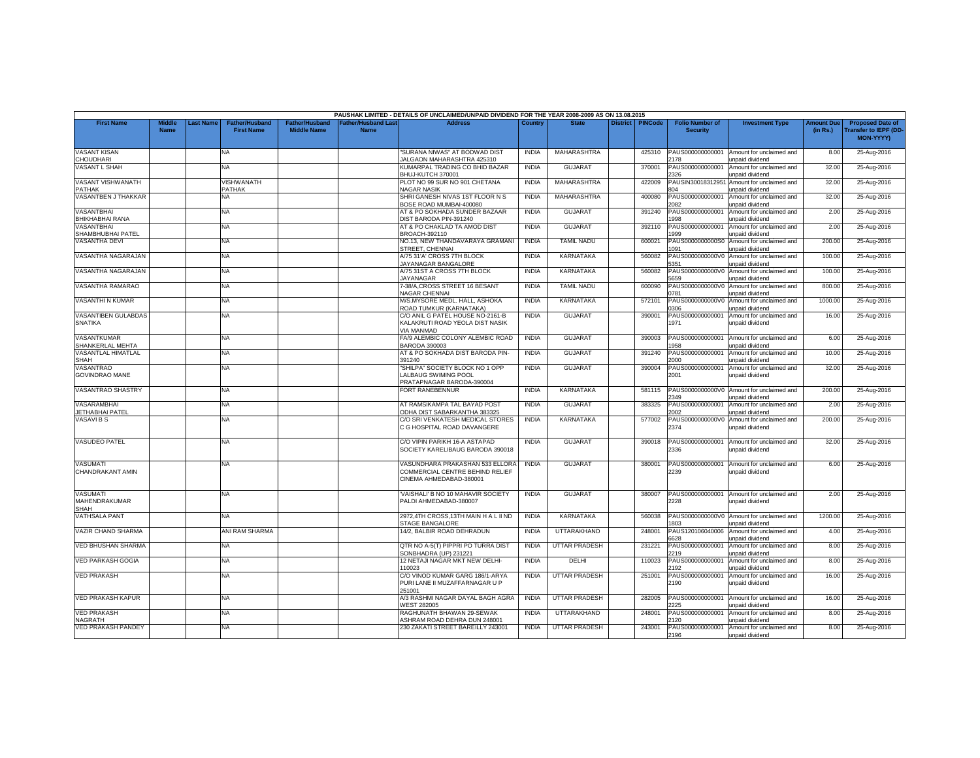|                                           |                              |                  |                                            |                                             |                                           | PAUSHAK LIMITED - DETAILS OF UNCLAIMED/UNPAID DIVIDEND FOR THE YEAR 2008-2009 AS ON 13.08.2015 |              |                      |                    |                                           |                                                              |                               |                                                                     |
|-------------------------------------------|------------------------------|------------------|--------------------------------------------|---------------------------------------------|-------------------------------------------|------------------------------------------------------------------------------------------------|--------------|----------------------|--------------------|-------------------------------------------|--------------------------------------------------------------|-------------------------------|---------------------------------------------------------------------|
| <b>First Name</b>                         | <b>Middle</b><br><b>Name</b> | <b>Last Name</b> | <b>Father/Husband</b><br><b>First Name</b> | <b>Father/Husband</b><br><b>Middle Name</b> | <b>Father/Husband Last</b><br><b>Name</b> | <b>Address</b>                                                                                 | Country      | <b>State</b>         | District   PINCode | <b>Folio Number of</b><br><b>Security</b> | <b>Investment Type</b>                                       | <b>Amount Due</b><br>(in Rs.) | <b>Proposed Date of</b><br><b>Transfer to IEPF (DD</b><br>MON-YYYY) |
| <b>VASANT KISAN</b><br><b>CHOUDHARI</b>   |                              |                  | <b>NA</b>                                  |                                             |                                           | "SURANA NIWAS" AT BODWAD DIST<br><b>IALGAON MAHARASHTRA 425310</b>                             | <b>INDIA</b> | <b>MAHARASHTRA</b>   | 425310             | PAUS000000000001<br>2178                  | Amount for unclaimed and<br>unpaid dividend                  | 8.00                          | 25-Aug-2016                                                         |
| <b>VASANT L SHAH</b>                      |                              |                  | NA                                         |                                             |                                           | KUMARPAL TRADING CO BHID BAZAR<br>BHUJ-KUTCH 370001                                            | <b>INDIA</b> | <b>GUJARAT</b>       | 370001             | PAUS000000000001<br>2326                  | Amount for unclaimed and<br>unpaid dividend                  | 32.00                         | 25-Aug-2016                                                         |
| VASANT VISHWANATH<br>PATHAK               |                              |                  | VISHWANATH<br>PATHAK                       |                                             |                                           | PLOT NO 99 SUR NO 901 CHETANA<br><b>VAGAR NASIK</b>                                            | <b>INDIA</b> | MAHARASHTRA          | 422009             | PAUSIN3001831295<br>304                   | Amount for unclaimed and<br><b>Inpaid dividend</b>           | 32.00                         | 25-Aug-2016                                                         |
| VASANTBEN J THAKKAR                       |                              |                  | NA.                                        |                                             |                                           | SHRI GANESH NIVAS 1ST FLOOR N S<br>GOSE ROAD MUMBAI-400080                                     | <b>INDIA</b> | MAHARASHTRA          | 400080             | PAUS000000000001<br>082                   | Amount for unclaimed and<br>unpaid dividend                  | 32.00                         | 25-Aug-2016                                                         |
| VASANTBHAI<br>BHIKHABHAI RANA             |                              |                  | NA                                         |                                             |                                           | AT & PO SOKHADA SUNDER BAZAAR<br>DIST BARODA PIN-391240                                        | <b>INDIA</b> | <b>GUJARAT</b>       | 391240             | PAUS000000000001<br>998                   | Amount for unclaimed and<br>unpaid dividend                  | 2.00                          | 25-Aug-2016                                                         |
| VASANTBHAI<br>SHAMBHUBHAI PATEL           |                              |                  | <b>NA</b>                                  |                                             |                                           | AT & PO CHAKLAD TA AMOD DIST<br>BROACH-392110                                                  | <b>INDIA</b> | <b>GUJARAT</b>       | 392110             | PAUS000000000001<br>999                   | Amount for unclaimed and<br>unpaid dividend                  | 2.00                          | 25-Aug-2016                                                         |
| <b>VASANTHA DEVI</b>                      |                              |                  | NA                                         |                                             |                                           | NO.13, NEW THANDAVARAYA GRAMANI<br>STREET, CHENNAI                                             | <b>INDIA</b> | <b>TAMIL NADU</b>    | 600021             | PAUS0000000000S0<br>091                   | Amount for unclaimed and<br>inpaid dividend                  | 200.00                        | 25-Aug-2016                                                         |
| VASANTHA NAGARAJAN                        |                              |                  | NA                                         |                                             |                                           | A/75 31'A' CROSS 7TH BLOCK<br>JAYANAGAR BANGALORE                                              | <b>INDIA</b> | <b>KARNATAKA</b>     | 560082             | PAUS0000000000V0<br>351                   | Amount for unclaimed and<br>unpaid dividend                  | 100.00                        | 25-Aug-2016                                                         |
| VASANTHA NAGARAJAN                        |                              |                  | NA                                         |                                             |                                           | A/75 31ST A CROSS 7TH BLOCK<br><b>JAYANAGAR</b>                                                | <b>INDIA</b> | KARNATAKA            | 560082             | PAUS0000000000V0<br>5659                  | Amount for unclaimed and<br>unpaid dividend                  | 100.00                        | 25-Aug-2016                                                         |
| VASANTHA RAMARAO                          |                              |                  | NA                                         |                                             |                                           | 7-38/A, CROSS STREET 16 BESANT<br>NAGAR CHENNAI                                                | <b>INDIA</b> | <b>TAMIL NADU</b>    | 600090             | PAUS0000000000V0<br>0781                  | Amount for unclaimed and<br>unpaid dividend                  | 800.00                        | 25-Aug-2016                                                         |
| <b>VASANTHI N KUMAR</b>                   |                              |                  | NA                                         |                                             |                                           | M/S.MYSORE MEDL. HALL, ASHOKA<br>ROAD TUMKUR (KARNATAKA)                                       | <b>INDIA</b> | KARNATAKA            | 572101             | PAUS0000000000V0<br>0306                  | Amount for unclaimed and<br>unpaid dividend                  | 1000.00                       | 25-Aug-2016                                                         |
| VASANTIBEN GULABDAS<br><b>SNATIKA</b>     |                              |                  | <b>NA</b>                                  |                                             |                                           | C/O ANIL G PATEL HOUSE NO-2161-B<br>KALAKRUTI ROAD YEOLA DIST NASIK<br><b>IA MANMAD</b>        | <b>INDIA</b> | <b>GUJARAT</b>       | 390001             | PAUS000000000001<br>1971                  | Amount for unclaimed and<br>unpaid dividend                  | 16.00                         | 25-Aug-2016                                                         |
| VASANTKUMAR<br>SHANKERLAL MEHTA           |                              |                  | NA                                         |                                             |                                           | FA/9 ALEMBIC COLONY ALEMBIC ROAD<br>BARODA 390003                                              | <b>INDIA</b> | <b>GUJARA1</b>       | 390003             | PAUS000000000001<br>958                   | Amount for unclaimed and<br>unpaid dividend                  | 6.00                          | 25-Aug-2016                                                         |
| VASANTLAL HIMATLAL<br>SHAH                |                              |                  | NA.                                        |                                             |                                           | AT & PO SOKHADA DIST BARODA PIN-<br>391240                                                     | <b>INDIA</b> | GUJARAT              | 391240             | PAUS000000000001<br>2000                  | Amount for unclaimed and<br>unpaid dividend                  | 10.00                         | 25-Aug-2016                                                         |
| <b>VASANTRAO</b><br><b>GOVINDRAO MANE</b> |                              |                  | NA                                         |                                             |                                           | "SHILPA" SOCIETY BLOCK NO 1 OPP<br>LALBAUG SWIMING POOL<br>PRATAPNAGAR BARODA-390004           | <b>INDIA</b> | GUJARAT              | 390004             | PAUS000000000001<br>2001                  | Amount for unclaimed and<br>unpaid dividend                  | 32.00                         | 25-Aug-2016                                                         |
| VASANTRAO SHASTRY                         |                              |                  | NA                                         |                                             |                                           | FORT RANEBENNUR                                                                                | <b>INDIA</b> | KARNATAKA            | 581115             | PAUS0000000000V0<br>2349                  | Amount for unclaimed and<br>unpaid dividend                  | 200.00                        | 25-Aug-2016                                                         |
| VASARAMBHAI<br><b>JETHABHAI PATEL</b>     |                              |                  | NA                                         |                                             |                                           | AT RAMSIKAMPA TAL BAYAD POST<br>ODHA DIST SABARKANTHA 383325                                   | <b>INDIA</b> | <b>GUJARAT</b>       | 383325             | PAUS000000000001<br>2002                  | Amount for unclaimed and<br>unpaid dividend                  | 2.00                          | 25-Aug-2016                                                         |
| <b>VASAVIBS</b>                           |                              |                  | NA.                                        |                                             |                                           | C/O SRI VENKATESH MEDICAL STORES<br>C G HOSPITAL ROAD DAVANGERE                                | <b>INDIA</b> | <b>KARNATAKA</b>     | 577002             | PAUS0000000000V0<br>2374                  | Amount for unclaimed and<br>unpaid dividend                  | 200.00                        | 25-Aug-2016                                                         |
| <b>VASUDEO PATEL</b>                      |                              |                  | <b>NA</b>                                  |                                             |                                           | C/O VIPIN PARIKH 16-A ASTAPAD<br>SOCIETY KARELIBAUG BARODA 390018                              | <b>INDIA</b> | <b>GUJARAT</b>       | 390018             | PAUS000000000001<br>2336                  | Amount for unclaimed and<br>unpaid dividend                  | 32.00                         | 25-Aug-2016                                                         |
| VASUMATI<br>CHANDRAKANT AMIN              |                              |                  | NA                                         |                                             |                                           | VASUNDHARA PRAKASHAN 533 ELLORA<br>COMMERCIAL CENTRE BEHIND RELIEF<br>CINEMA AHMEDABAD-380001  | <b>INDIA</b> | <b>GUJARAT</b>       | 380001             | PAUS000000000001<br>2239                  | Amount for unclaimed and<br>unpaid dividend                  | 6.00                          | 25-Aug-2016                                                         |
| <b>VASUMATI</b><br>MAHENDRAKUMAR<br>SHAH  |                              |                  | NA                                         |                                             |                                           | VAISHALI' B NO 10 MAHAVIR SOCIETY<br>PALDI AHMEDABAD-380007                                    | <b>INDIA</b> | <b>GUJARAT</b>       | 380007             | PAUS000000000001<br>2228                  | Amount for unclaimed and<br>unpaid dividend                  | 2.00                          | 25-Aug-2016                                                         |
| <b>VATHSALA PANT</b>                      |                              |                  | NA                                         |                                             |                                           | 2972.4TH CROSS.13TH MAIN HAL II ND<br><b>STAGE BANGALORE</b>                                   | <b>INDIA</b> | <b>KARNATAKA</b>     | 560038             | 803                                       | PAUS0000000000V0 Amount for unclaimed and<br>unpaid dividend | 1200.00                       | 25-Aug-2016                                                         |
| VAZIR CHAND SHARMA                        |                              |                  | ANI RAM SHARMA                             |                                             |                                           | 14/2, BALBIR ROAD DEHRADUN                                                                     | <b>INDIA</b> | UTTARAKHAND          | 248001             | PAUS120106040006<br>6628                  | Amount for unclaimed and<br>unpaid dividend                  | 4.00                          | 25-Aug-2016                                                         |
| <b>VED BHUSHAN SHARMA</b>                 |                              |                  | NA                                         |                                             |                                           | QTR NO A-5(T) PIPPRI PO TURRA DIST<br>SONBHADRA (UP) 231221                                    | <b>INDIA</b> | <b>UTTAR PRADESH</b> | 231221             | PAUS000000000001<br>2219                  | Amount for unclaimed and<br>unpaid dividend                  | 8.00                          | 25-Aug-2016                                                         |
| <b>VED PARKASH GOGIA</b>                  |                              |                  | NA                                         |                                             |                                           | 12 NETAJI NAGAR MKT NEW DELHI-<br>110023                                                       | <b>INDIA</b> | DELHI                | 110023             | PAUS00000000000<br>192                    | Amount for unclaimed and<br>unpaid dividend                  | 8.00                          | 25-Aug-2016                                                         |
| <b>VED PRAKASH</b>                        |                              |                  | <b>NA</b>                                  |                                             |                                           | C/O VINOD KUMAR GARG 186/1-ARYA<br>PURI LANE II MUZAFFARNAGAR U P<br>51001                     | <b>INDIA</b> | UTTAR PRADESH        | 251001             | PAUS000000000001<br>2190                  | Amount for unclaimed and<br>unpaid dividend                  | 16.00                         | 25-Aug-2016                                                         |
| <b>VED PRAKASH KAPUR</b>                  |                              |                  | NA                                         |                                             |                                           | A/3 RASHMI NAGAR DAYAL BAGH AGRA<br>VEST 282005                                                | <b>INDIA</b> | <b>UTTAR PRADESH</b> | 282005             | PAUS000000000001<br>225                   | Amount for unclaimed and<br>unpaid dividend                  | 16.00                         | 25-Aug-2016                                                         |
| <b>VED PRAKASH</b><br><b>NAGRATH</b>      |                              |                  | NA.                                        |                                             |                                           | RAGHUNATH BHAWAN 29-SEWAK<br>ASHRAM ROAD DEHRA DUN 248001                                      | <b>INDIA</b> | UTTARAKHAND          | 248001             | PAUS000000000001<br>2120                  | Amount for unclaimed and<br>unpaid dividend                  | 8.00                          | 25-Aug-2016                                                         |
| <b>VED PRAKASH PANDEY</b>                 |                              |                  | NA                                         |                                             |                                           | 230 ZAKATI STREET BAREILLY 243001                                                              | <b>INDIA</b> | <b>UTTAR PRADESH</b> | 243001             | PAUS000000000001<br>2196                  | Amount for unclaimed and<br>unpaid dividend                  | 8.00                          | 25-Aug-2016                                                         |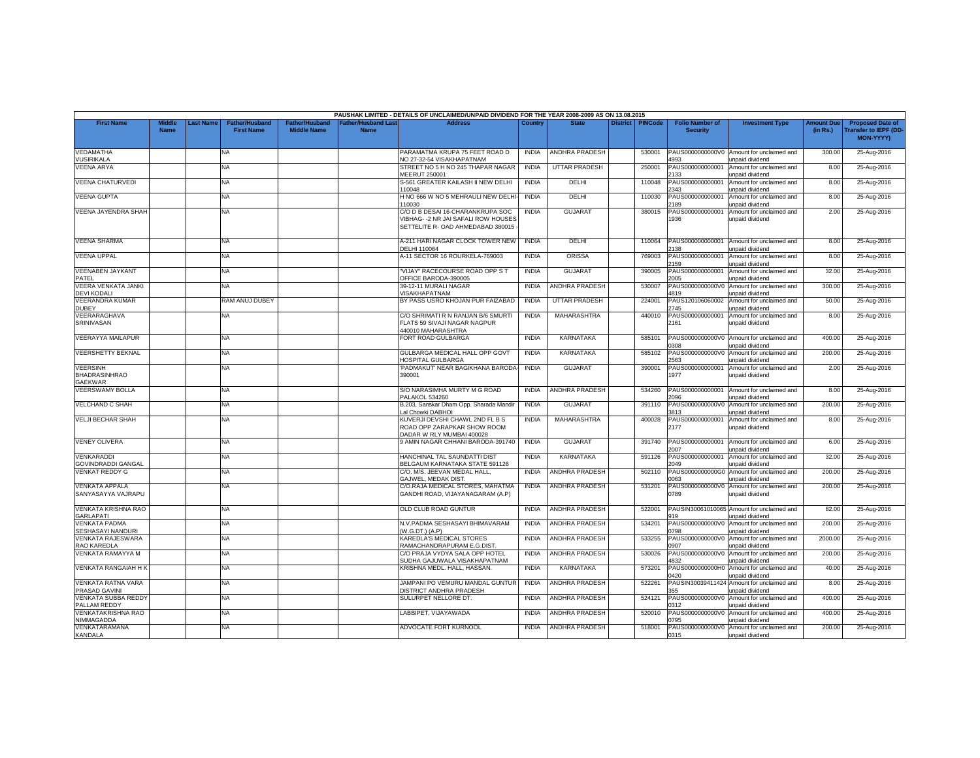|                                                           |                              |                  |                                            |                                      |                                           | PAUSHAK LIMITED - DETAILS OF UNCLAIMED/UNPAID DIVIDEND FOR THE YEAR 2008-2009 AS ON 13.08.2015              |              |                       |                 |                |                                           |                                                               |                               |                                                                     |
|-----------------------------------------------------------|------------------------------|------------------|--------------------------------------------|--------------------------------------|-------------------------------------------|-------------------------------------------------------------------------------------------------------------|--------------|-----------------------|-----------------|----------------|-------------------------------------------|---------------------------------------------------------------|-------------------------------|---------------------------------------------------------------------|
| <b>First Name</b>                                         | <b>Middle</b><br><b>Name</b> | <b>Last Name</b> | <b>Father/Husband</b><br><b>First Name</b> | Father/Husband<br><b>Middle Name</b> | <b>Father/Husband Last</b><br><b>Name</b> | <b>Address</b>                                                                                              | Country      | <b>State</b>          | <b>District</b> | <b>PINCode</b> | <b>Folio Number of</b><br><b>Security</b> | <b>Investment Type</b>                                        | <b>Amount Due</b><br>(in Rs.) | <b>Proposed Date of</b><br><b>Transfer to IEPF (DD</b><br>MON-YYYY) |
| VEDAMATHA<br><b>VUSIRIKALA</b>                            |                              |                  | NA.                                        |                                      |                                           | PARAMATMA KRUPA 75 FEET ROAD D<br><b>VO 27-32-54 VISAKHAPATNAM</b>                                          | <b>INDIA</b> | <b>ANDHRA PRADESH</b> |                 | 530001         | PAUS0000000000V0<br>4993                  | Amount for unclaimed and<br>unpaid dividend                   | 300.00                        | 25-Aug-2016                                                         |
| <b>VEENA ARYA</b>                                         |                              |                  | NA                                         |                                      |                                           | STREET NO 5 H NO 245 THAPAR NAGAR<br>MEERUT 250001                                                          | <b>INDIA</b> | <b>UTTAR PRADESH</b>  |                 | 250001         | PAUS000000000001<br>133                   | Amount for unclaimed and<br>unpaid dividend                   | 8.00                          | 25-Aug-2016                                                         |
| <b>VEENA CHATURVEDI</b>                                   |                              |                  | NA.                                        |                                      |                                           | S-561 GREATER KAILASH II NEW DELHI<br>10048                                                                 | <b>INDIA</b> | DELHI                 |                 | 110048         | PAUS000000000001<br>343                   | Amount for unclaimed and<br>inpaid dividend                   | 8.00                          | 25-Aug-2016                                                         |
| <b>VEENA GUPTA</b>                                        |                              |                  | NA                                         |                                      |                                           | H NO 666 W NO 5 MEHRAULI NEW DELHI<br>10030                                                                 | <b>INDIA</b> | DELHI                 |                 | 110030         | PAUS000000000001<br>180                   | Amount for unclaimed and<br>unpaid dividend                   | 8.00                          | 25-Aug-2016                                                         |
| VEENA JAYENDRA SHAH                                       |                              |                  | <b>NA</b>                                  |                                      |                                           | C/O D B DESAI 16-CHARANKRUPA SOC<br>/IBHAG--2 NR JAI SAFALI ROW HOUSES<br>SETTELITE R- OAD AHMEDABAD 380015 | <b>INDIA</b> | <b>GUJARAT</b>        |                 | 380015         | PAUS000000000001<br>1936                  | Amount for unclaimed and<br>unpaid dividend                   | 2.00                          | 25-Aug-2016                                                         |
| <b>VEENA SHARMA</b>                                       |                              |                  | NA                                         |                                      |                                           | A-211 HARI NAGAR CLOCK TOWER NEW                                                                            | <b>INDIA</b> | DELHI                 |                 | 110064         | PAUS000000000001                          | Amount for unclaimed and                                      | 8.00                          | 25-Aug-2016                                                         |
| <b>VEENA UPPAL</b>                                        |                              |                  | NA                                         |                                      |                                           | <b>DELHI 110064</b><br>A-11 SECTOR 16 ROURKELA-769003                                                       | <b>INDIA</b> | <b>ORISSA</b>         |                 | 769003         | 138<br>PAUS000000000001                   | <b>unpaid dividend</b><br>Amount for unclaimed and            | 8.00                          | 25-Aug-2016                                                         |
| <b>VEENABEN JAYKANT</b>                                   |                              |                  | NA                                         |                                      |                                           | "VIJAY" RACECOURSE ROAD OPP S T                                                                             | <b>INDIA</b> | <b>GUJARAT</b>        |                 | 390005         | 2159<br>PAUS000000000001                  | unpaid dividend<br>Amount for unclaimed and                   | 32.00                         | 25-Aug-2016                                                         |
| PATEL                                                     |                              |                  |                                            |                                      |                                           | OFFICE BARODA-390005                                                                                        |              |                       |                 |                | 2005                                      | unpaid dividend                                               |                               |                                                                     |
| VEERA VENKATA JANKI<br><b>DEVI KODALI</b>                 |                              |                  | NA                                         |                                      |                                           | 39-12-11 MURALI NAGAR<br><b>VISAKHAPATNAM</b>                                                               | <b>INDIA</b> | <b>ANDHRA PRADESH</b> |                 | 530007         | PAUS0000000000V<br>4819                   | Amount for unclaimed and<br>unpaid dividend                   | 300.00                        | 25-Aug-2016                                                         |
| VEERANDRA KUMAR<br><b>DUBEY</b>                           |                              |                  | RAM ANUJ DUBEY                             |                                      |                                           | BY PASS USRO KHOJAN PUR FAIZABAD                                                                            | <b>INDIA</b> | <b>UTTAR PRADESH</b>  |                 | 224001         | PAUS120106060002<br>2745                  | Amount for unclaimed and<br>unpaid dividend                   | 50.00                         | 25-Aug-2016                                                         |
| VEERARAGHAVA<br><b>SRINIVASAN</b>                         |                              |                  | <b>NA</b>                                  |                                      |                                           | C/O SHRIMATI R N RANJAN B/6 SMURTI<br>FLATS 59 SIVAJI NAGAR NAGPUR<br>440010 MAHARASHTRA                    | <b>INDIA</b> | MAHARASHTRA           |                 | 440010         | PAUS000000000001<br>2161                  | Amount for unclaimed and<br>unpaid dividend                   | 8.00                          | 25-Aug-2016                                                         |
| VEERAYYA MAILAPUR                                         |                              |                  | ΝA                                         |                                      |                                           | FORT ROAD GULBARGA                                                                                          | <b>INDIA</b> | KARNATAKA             |                 | 585101         | PAUS0000000000V0<br>1308                  | Amount for unclaimed and<br>unpaid dividend                   | 400.00                        | 25-Aug-2016                                                         |
| <b>VEERSHETTY BEKNAL</b>                                  |                              |                  | NA                                         |                                      |                                           | <b>GULBARGA MEDICAL HALL OPP GOVT</b><br><b>IOSPITAL GULBARGA</b>                                           | <b>INDIA</b> | KARNATAKA             |                 | 585102         | PAUS0000000000V0<br>2563                  | Amount for unclaimed and<br>unpaid dividend                   | 200.00                        | 25-Aug-2016                                                         |
| <b>VEERSINH</b><br><b>BHADRASINHRAO</b><br><b>SAEKWAR</b> |                              |                  | NA.                                        |                                      |                                           | PADMAKUT' NEAR BAGIKHANA BARODA<br>390001                                                                   | <b>INDIA</b> | <b>GUJARAT</b>        |                 | 390001         | PAUS000000000001<br>1977                  | Amount for unclaimed and<br>unpaid dividend                   | 2.00                          | 25-Aug-2016                                                         |
| <b>VEERSWAMY BOLLA</b>                                    |                              |                  | NA                                         |                                      |                                           | S/O NARASIMHA MURTY M G ROAD<br>PALAKOL 534260                                                              | <b>INDIA</b> | <b>ANDHRA PRADESH</b> |                 | 534260         | PAUS000000000001<br>096                   | Amount for unclaimed and<br>unpaid dividend                   | 8.00                          | 25-Aug-2016                                                         |
| <b>VELCHAND C SHAH</b>                                    |                              |                  | NA                                         |                                      |                                           | B.203, Sanskar Dham Opp. Sharada Mandir<br>al Chowki DABHOI.                                                | <b>INDIA</b> | <b>GUJARAT</b>        |                 | 391110         | PAUS0000000000V0<br>3813                  | Amount for unclaimed and<br>unpaid dividend                   | 200.00                        | 25-Aug-2016                                                         |
| <b>VELJI BECHAR SHAH</b>                                  |                              |                  | NA                                         |                                      |                                           | KUVERJI DEVSHI CHAWL 2ND FL B S<br>ROAD OPP ZARAPKAR SHOW ROOM<br>DADAR W RLY MUMBAI 400028                 | <b>INDIA</b> | MAHARASHTRA           |                 | 400028         | PAUS000000000001<br>2177                  | Amount for unclaimed and<br>unpaid dividend                   | 8.00                          | 25-Aug-2016                                                         |
| <b>VENEY OLIVERA</b>                                      |                              |                  | NA                                         |                                      |                                           | 9 AMIN NAGAR CHHANI BARODA-391740                                                                           | INDIA        | <b>GUJARAT</b>        |                 | 391740         | PAUS000000000001<br>007                   | Amount for unclaimed and<br>unpaid dividend                   | 6.00                          | 25-Aug-2016                                                         |
| VENKARADDI<br><b>GOVINDRADDI GANGAL</b>                   |                              |                  | NA                                         |                                      |                                           | HANCHINAL TAL SAUNDATTI DIST<br>BELGAUM KARNATAKA STATE 591126                                              | <b>INDIA</b> | KARNATAKA             |                 | 591126         | PAUS000000000001<br>049                   | Amount for unclaimed and<br>unpaid dividend                   | 32.00                         | 25-Aug-2016                                                         |
| <b>VENKAT REDDY G</b>                                     |                              |                  | ΝA                                         |                                      |                                           | C/O. M/S. JEEVAN MEDAL HALL.<br>GAJWEL, MEDAK DIST                                                          | <b>INDIA</b> | <b>ANDHRA PRADESH</b> |                 | 502110         | PAUS0000000000G0<br>063                   | Amount for unclaimed and<br>unpaid dividend                   | 200.00                        | 25-Aug-2016                                                         |
| <b>VENKATA APPALA</b><br>SANYASAYYA VAJRAPU               |                              |                  | <b>NA</b>                                  |                                      |                                           | C/O.RAJA MEDICAL STORES, MAHATMA<br>GANDHI ROAD, VIJAYANAGARAM (A.P)                                        | <b>INDIA</b> | ANDHRA PRADESH        |                 | 531201         | PAUS0000000000V0<br>0789                  | Amount for unclaimed and<br>unpaid dividend                   | 200.00                        | 25-Aug-2016                                                         |
| VENKATA KRISHNA RAO<br><b>GARLAPATI</b>                   |                              |                  | NA                                         |                                      |                                           | OLD CLUB ROAD GUNTUR                                                                                        | <b>INDIA</b> | ANDHRA PRADESH        |                 | 522001         | 919                                       | PAUSIN30061010065 Amount for unclaimed and<br>unpaid dividend | 82.00                         | 25-Aug-2016                                                         |
| <b>VENKATA PADMA</b><br>SESHASAYI NANDURI                 |                              |                  | NA.                                        |                                      |                                           | N.V.PADMA SESHASAYI BHIMAVARAM<br>W.G.DT.) (A.P)                                                            | <b>INDIA</b> | ANDHRA PRADESH        |                 | 534201         | PAUS0000000000V0<br>0798                  | Amount for unclaimed and<br>inpaid dividend                   | 200.00                        | 25-Aug-2016                                                         |
| <b>VENKATA RAJESWARA</b><br>RAO KAREDLA                   |                              |                  | NA                                         |                                      |                                           | KAREDLA'S MEDICAL STORES<br>RAMACHANDRAPURAM E.G.DIST                                                       | <b>INDIA</b> | <b>ANDHRA PRADESH</b> |                 | 533255         | PAUS0000000000V0<br>0907                  | Amount for unclaimed and<br>unpaid dividend                   | 2000.00                       | 25-Aug-2016                                                         |
| VENKATA RAMAYYA M                                         |                              |                  | NA                                         |                                      |                                           | C/O PRAJA VYDYA SALA OPP HOTEL<br>SUDHA GAJUWALA VISAKHAPATNAM                                              | <b>INDIA</b> | <b>ANDHRA PRADESH</b> |                 | 530026         | PAUS0000000000V0<br>4832                  | Amount for unclaimed and<br>unpaid dividend                   | 200.00                        | 25-Aug-2016                                                         |
| <b>VENKATA RANGAIAH H K</b>                               |                              |                  | NA                                         |                                      |                                           | KRISHNA MEDL. HALL, HASSAN.                                                                                 | <b>INDIA</b> | KARNATAKA             |                 | 573201         | PAUS0000000000H0<br>0420                  | Amount for unclaimed and<br>unpaid dividend                   | 40.00                         | 25-Aug-2016                                                         |
| VENKATA RATNA VARA<br>PRASAD GAVINI                       |                              |                  | NA                                         |                                      |                                           | JAMPANI PO VEMURU MANDAL GUNTUR<br><b>DISTRICT ANDHRA PRADESH</b>                                           | <b>INDIA</b> | ANDHRA PRADESH        |                 | 522261         | PAUSIN30039411424<br>55                   | Amount for unclaimed and<br><b>Inpaid dividend</b>            | 8.00                          | 25-Aug-2016                                                         |
| <b>VENKATA SUBBA REDDY</b><br>PALLAM REDDY                |                              |                  | NA                                         |                                      |                                           | SULURPET NELLORE DT.                                                                                        | <b>INDIA</b> | <b>ANDHRA PRADESH</b> |                 | 524121         | PAUS0000000000V0<br>312                   | Amount for unclaimed and<br>unpaid dividend                   | 400.00                        | 25-Aug-2016                                                         |
| VENKATAKRISHNA RAO<br>NIMMAGADDA                          |                              |                  | NA                                         |                                      |                                           | LABBIPET. VIJAYAWADA                                                                                        | <b>INDIA</b> | <b>ANDHRA PRADESH</b> |                 | 520010         | PAUS0000000000V0<br>1795                  | Amount for unclaimed and<br>unpaid dividend                   | 400.00                        | 25-Aug-2016                                                         |
| VENKATARAMANA<br>KANDALA                                  |                              |                  | NA.                                        |                                      |                                           | <b>ADVOCATE FORT KURNOOL</b>                                                                                | <b>INDIA</b> | ANDHRA PRADESH        |                 | 518001         | PAUS0000000000V0<br>0315                  | Amount for unclaimed and<br>unpaid dividend                   | 200.00                        | 25-Aug-2016                                                         |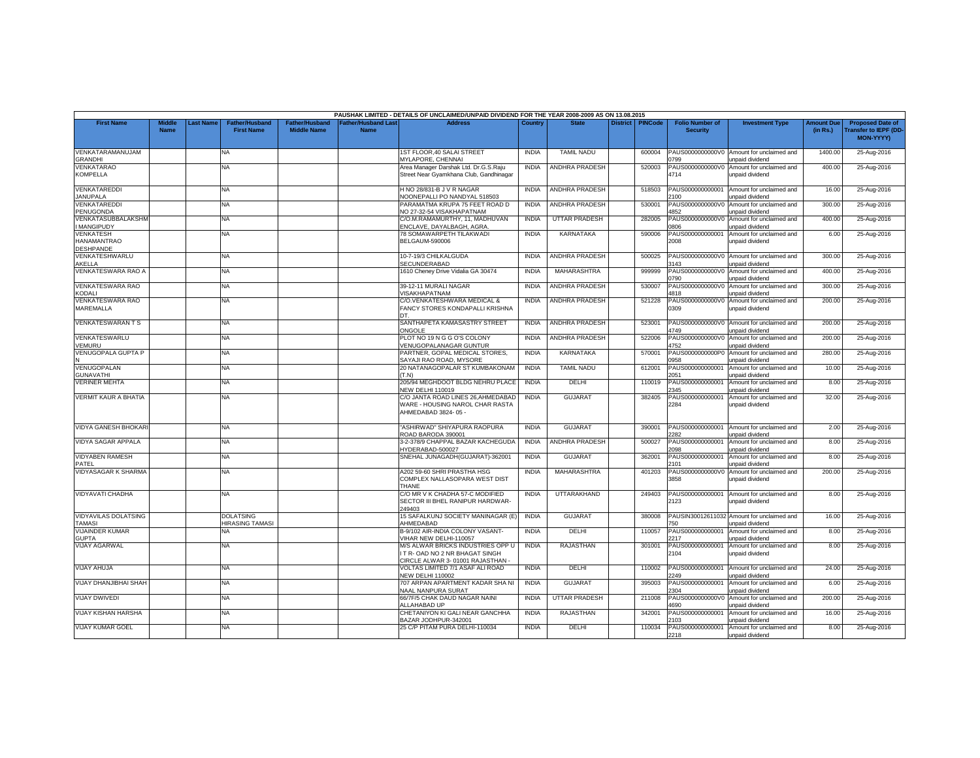|                                              |                       |                 |                                            |                                      |                                           | PAUSHAK LIMITED - DETAILS OF UNCLAIMED/UNPAID DIVIDEND FOR THE YEAR 2008-2009 AS ON 13.08.2015        |              |                       |                 |                |                                           |                                                                      |                               |                                                                     |
|----------------------------------------------|-----------------------|-----------------|--------------------------------------------|--------------------------------------|-------------------------------------------|-------------------------------------------------------------------------------------------------------|--------------|-----------------------|-----------------|----------------|-------------------------------------------|----------------------------------------------------------------------|-------------------------------|---------------------------------------------------------------------|
| <b>First Name</b>                            | Middle<br><b>Name</b> | <b>ast Name</b> | <b>Father/Husband</b><br><b>First Name</b> | Father/Husband<br><b>Middle Name</b> | <b>Father/Husband Last</b><br><b>Name</b> | <b>Address</b>                                                                                        | Country      | <b>State</b>          | <b>District</b> | <b>PINCode</b> | <b>Folio Number of</b><br><b>Security</b> | <b>Investment Type</b>                                               | <b>Amount Due</b><br>(in Rs.) | <b>Proposed Date of</b><br><b>Transfer to IEPF (DD</b><br>MON-YYYY) |
| VENKATARAMANUJAM<br><b>GRANDHI</b>           |                       |                 | NA.                                        |                                      |                                           | <b>1ST FLOOR.40 SALAI STREET</b><br>MYLAPORE, CHENNAI                                                 | <b>INDIA</b> | <b>TAMIL NADU</b>     |                 | 600004         | PAUS0000000000V0<br>0799                  | Amount for unclaimed and<br>unpaid dividend                          | 1400.00                       | 25-Aug-2016                                                         |
| VENKATARAO<br><b>KOMPELLA</b>                |                       |                 | NA                                         |                                      |                                           | Area Manager Darshak Ltd. Dr.G.S.Raju<br>Street Near Gyamkhana Club, Gandhinagar                      | <b>INDIA</b> | ANDHRA PRADESH        |                 | 520003         | PAUS0000000000V0<br>4714                  | Amount for unclaimed and<br>unpaid dividend                          | 400.00                        | 25-Aug-2016                                                         |
| VENKATAREDDI<br><b>JANUPALA</b>              |                       |                 | NA.                                        |                                      |                                           | H NO 28/831-B J V R NAGAR<br><b>JOONEPALLI PO NANDYAL 518503</b>                                      | <b>INDIA</b> | ANDHRA PRADESH        |                 | 518503         | PAUS000000000001<br>100                   | Amount for unclaimed and<br>unpaid dividend                          | 16.00                         | 25-Aug-2016                                                         |
| VENKATAREDDI<br>PENUGONDA                    |                       |                 | NA                                         |                                      |                                           | PARAMATMA KRUPA 75 FEET ROAD D<br>NO 27-32-54 VISAKHAPATNAM                                           | <b>INDIA</b> | <b>ANDHRA PRADESH</b> |                 | 530001         | PAUS0000000000V0<br>1852                  | Amount for unclaimed and<br>unpaid dividend                          | 300.00                        | 25-Aug-2016                                                         |
| VENKATASUBBALAKSHM<br><b>MANGIPUDY</b>       |                       |                 | NA.                                        |                                      |                                           | C/O.M.RAMAMURTHY, 11, MADHUVAN<br><b>NCLAVE, DAYALBAGH, AGRA</b>                                      | <b>INDIA</b> | <b>UTTAR PRADESH</b>  |                 | 282005         | PAUS0000000000V0<br>3080                  | Amount for unclaimed and<br>unpaid dividend                          | 400.00                        | 25-Aug-2016                                                         |
| VENKATESH<br><b>HANAMANTRAO</b><br>DESHPANDE |                       |                 | NA                                         |                                      |                                           | 78 SOMAWARPETH TILAKWADI<br><b>BELGAUM-590006</b>                                                     | <b>INDIA</b> | <b>KARNATAKA</b>      |                 | 590006         | PAUS000000000001<br>2008                  | Amount for unclaimed and<br>unpaid dividend                          | 6.00                          | 25-Aug-2016                                                         |
| VENKATESHWARLU<br>AKELLA                     |                       |                 | NA                                         |                                      |                                           | 10-7-19/3 CHILKALGUDA<br>SECUNDERABAD                                                                 | <b>INDIA</b> | ANDHRA PRADESH        |                 | 500025         | 143                                       | PAUS0000000000V0 Amount for unclaimed and<br>unpaid dividend         | 300.00                        | 25-Aug-2016                                                         |
| VENKATESWARA RAO A                           |                       |                 | NA                                         |                                      |                                           | 1610 Cheney Drive Vidalia GA 30474                                                                    | <b>INDIA</b> | MAHARASHTRA           |                 | 999999         | PAUS0000000000V0<br>0790                  | Amount for unclaimed and<br>unpaid dividend                          | 400.00                        | 25-Aug-2016                                                         |
| VENKATESWARA RAO<br>KODALI                   |                       |                 | NA.                                        |                                      |                                           | 39-12-11 MURALI NAGAR<br>/ISAKHAPATNAM                                                                | <b>INDIA</b> | <b>ANDHRA PRADESH</b> |                 | 530007         | PAUS0000000000V<br>4818                   | Amount for unclaimed and<br>unpaid dividend                          | 300.00                        | 25-Aug-2016                                                         |
| VENKATESWARA RAO<br>MAREMALLA                |                       |                 | NA                                         |                                      |                                           | C/O.VENKATESHWARA MEDICAL &<br>FANCY STORES KONDAPALLI KRISHNA                                        | <b>INDIA</b> | ANDHRA PRADESH        |                 | 521228         | PAUS0000000000V0<br>0309                  | Amount for unclaimed and<br>unpaid dividend                          | 200.00                        | 25-Aug-2016                                                         |
| <b>VENKATESWARAN T S</b>                     |                       |                 | <b>NA</b>                                  |                                      |                                           | SANTHAPETA KAMASASTRY STREET<br><b>DNGOLE</b>                                                         | <b>INDIA</b> | ANDHRA PRADESH        |                 | 523001         | PAUS0000000000V0<br>749                   | Amount for unclaimed and<br>unpaid dividend                          | 200.00                        | 25-Aug-2016                                                         |
| VENKATESWARLU<br>VEMURU                      |                       |                 | NA                                         |                                      |                                           | PLOT NO 19 N G G O'S COLONY<br>/ENUGOPALANAGAR GUNTUR                                                 | <b>INDIA</b> | <b>ANDHRA PRADESH</b> |                 | 522006         | PAUS0000000000V0<br>1752                  | Amount for unclaimed and<br>unpaid dividend                          | 200.00                        | 25-Aug-2016                                                         |
| <b>VENUGOPALA GUPTA P</b>                    |                       |                 | NA.                                        |                                      |                                           | PARTNER, GOPAL MEDICAL STORES.<br>SAYAJI RAO ROAD, MYSORE                                             | <b>INDIA</b> | <b>KARNATAKA</b>      |                 | 570001         | PAUS0000000000P0<br>0958                  | Amount for unclaimed and<br>unpaid dividend                          | 280.00                        | 25-Aug-2016                                                         |
| VENUGOPALAN<br><b>GUNAVATHI</b>              |                       |                 | NA                                         |                                      |                                           | 20 NATANAGOPALAR ST KUMBAKONAM<br>(T.N)                                                               | <b>INDIA</b> | <b>TAMIL NADU</b>     |                 | 612001         | PAUS000000000001<br>2051                  | Amount for unclaimed and<br>unpaid dividend                          | 10.00                         | 25-Aug-2016                                                         |
| <b>VERINER MEHTA</b>                         |                       |                 | NA                                         |                                      |                                           | 205/94 MEGHDOOT BLDG NEHRU PLACE<br><b>NEW DELHI 110019</b>                                           | <b>INDIA</b> | DELHI                 |                 | 110019         | PAUS000000000001<br>2345                  | Amount for unclaimed and<br><b>Inpaid dividend</b>                   | 8.00                          | 25-Aug-2016                                                         |
| <b>VERMIT KAUR A BHATIA</b>                  |                       |                 | NA                                         |                                      |                                           | C/O JANTA ROAD LINES 26, AHMEDABAD<br>WARE - HOUSING NAROL CHAR RASTA<br>AHMEDABAD 3824-05 -          | <b>INDIA</b> | <b>GUJARAT</b>        |                 | 382405         | PAUS000000000001<br>2284                  | Amount for unclaimed and<br>unpaid dividend                          | 32.00                         | 25-Aug-2016                                                         |
| <b>VIDYA GANESH BHOKAR</b>                   |                       |                 | NA.                                        |                                      |                                           | 'ASHIRWAD" SHIYAPURA RAOPURA<br>ROAD BARODA 390001                                                    | <b>INDIA</b> | <b>GUJARAT</b>        |                 | 390001         | PAUS000000000001<br>2282                  | Amount for unclaimed and<br>unpaid dividend                          | 2.00                          | 25-Aug-2016                                                         |
| <b>VIDYA SAGAR APPALA</b>                    |                       |                 | NA                                         |                                      |                                           | 3-2-378/9 CHAPPAL BAZAR KACHEGUDA<br>IYDERABAD-500027                                                 | <b>INDIA</b> | ANDHRA PRADESH        |                 | 500027         | PAUS000000000001<br>098                   | Amount for unclaimed and<br><b>Inpaid dividend</b>                   | 8.00                          | 25-Aug-2016                                                         |
| <b>VIDYABEN RAMESH</b><br>PATFL              |                       |                 | NA                                         |                                      |                                           | SNEHAL JUNAGADH(GUJARAT)-362001                                                                       | <b>INDIA</b> | <b>GUJARAT</b>        |                 | 362001         | PAUS000000000001<br>2101                  | Amount for unclaimed and<br>unpaid dividend                          | 8.00                          | 25-Aug-2016                                                         |
| <b>VIDYASAGAR K SHARMA</b>                   |                       |                 | NA                                         |                                      |                                           | A202 59-60 SHRI PRASTHA HSG<br>COMPLEX NALLASOPARA WEST DIST<br>THANE                                 | <b>INDIA</b> | MAHARASHTRA           |                 | 401203         | PAUS0000000000V0<br>3858                  | Amount for unclaimed and<br>unpaid dividend                          | 200.00                        | 25-Aug-2016                                                         |
| VIDYAVATI CHADHA                             |                       |                 | NA                                         |                                      |                                           | C/O MR V K CHADHA 57-C MODIFIED<br>SECTOR III BHEL RANIPUR HARDWAR-<br>249403                         | <b>INDIA</b> | UTTARAKHAND           |                 | 249403         | PAUS000000000001<br>2123                  | Amount for unclaimed and<br>unpaid dividend                          | 8.00                          | 25-Aug-2016                                                         |
| <b>VIDYAVILAS DOLATSING</b><br><b>TAMASI</b> |                       |                 | <b>DOLATSING</b><br><b>HIRASING TAMASI</b> |                                      |                                           | 15 SAFALKUNJ SOCIETY MANINAGAR (E)<br>AHMEDABAD                                                       | <b>INDIA</b> | <b>GUJARAT</b>        |                 | 380008         | 50                                        | PAUSIN30012611032 Amount for unclaimed and<br><b>Inpaid dividend</b> | 16.00                         | 25-Aug-2016                                                         |
| <b>VIJAINDER KUMAR</b><br><b>GUPTA</b>       |                       |                 | NA.                                        |                                      |                                           | B-9/102 AIR-INDIA COLONY VASANT-<br>VIHAR NEW DELHI-110057                                            | <b>INDIA</b> | DELHI                 |                 | 110057         | PAUS000000000001<br>2217                  | Amount for unclaimed and<br>unpaid dividend                          | 8.00                          | 25-Aug-2016                                                         |
| <b>VIJAY AGARWAL</b>                         |                       |                 | NA.                                        |                                      |                                           | M/S ALWAR BRICKS INDUSTRIES OPP U<br>T R-OAD NO 2 NR BHAGAT SINGH<br>CIRCLE ALWAR 3-01001 RAJASTHAN - | <b>INDIA</b> | RAJASTHAN             |                 | 301001         | PAUS000000000001<br>2104                  | Amount for unclaimed and<br>unpaid dividend                          | 8.00                          | 25-Aug-2016                                                         |
| <b>VIJAY AHUJA</b>                           |                       |                 | NA                                         |                                      |                                           | VOLTAS LIMITED 7/1 ASAF ALI ROAD<br><b>NEW DELHI 110002</b>                                           | <b>INDIA</b> | DELHI                 |                 | 110002         | PAUS000000000001<br>2249                  | Amount for unclaimed and<br>unpaid dividend                          | 24.00                         | 25-Aug-2016                                                         |
| VIJAY DHANJIBHAI SHAH                        |                       |                 | NA.                                        |                                      |                                           | 707 ARPAN APARTMENT KADAR SHA NI<br><b>JAAL NANPURA SURAT</b>                                         | <b>INDIA</b> | <b>GUJARAT</b>        |                 | 395003         | PAUS000000000001<br>304                   | Amount for unclaimed and<br>inpaid dividend                          | 6.00                          | 25-Aug-2016                                                         |
| <b>VIJAY DWIVEDI</b>                         |                       |                 | NA                                         |                                      |                                           | 66/7F/5 CHAK DAUD NAGAR NAINI<br>ALLAHABAD UP                                                         | <b>INDIA</b> | <b>UTTAR PRADESH</b>  |                 | 211008         | PAUS0000000000V0<br>1690                  | Amount for unclaimed and<br>unpaid dividend                          | 200.00                        | 25-Aug-2016                                                         |
| <b>VIJAY KISHAN HARSHA</b>                   |                       |                 | <b>NA</b>                                  |                                      |                                           | CHETANIYON KI GALI NEAR GANCHHA<br>BAZAR JODHPUR-342001                                               | <b>INDIA</b> | RAJASTHAN             |                 | 342001         | PAUS000000000001<br>2103                  | Amount for unclaimed and<br>unpaid dividend                          | 16.00                         | 25-Aug-2016                                                         |
| <b>VIJAY KUMAR GOEL</b>                      |                       |                 | NA                                         |                                      |                                           | 25 C/P PITAM PURA DELHI-110034                                                                        | <b>INDIA</b> | DELHI                 |                 | 110034         | PAUS000000000001<br>2218                  | Amount for unclaimed and<br>unpaid dividend                          | 8.00                          | 25-Aug-2016                                                         |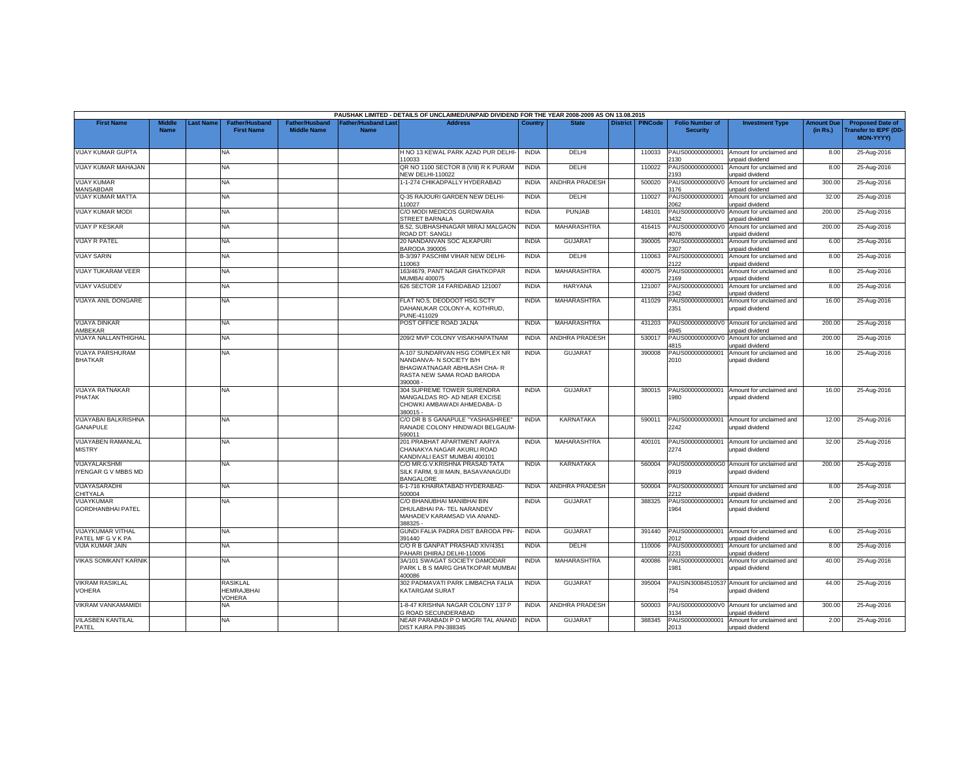|                                               |                              |          |                                               |                                             |                                   | PAUSHAK LIMITED - DETAILS OF UNCLAIMED/UNPAID DIVIDEND FOR THE YEAR 2008-2009 AS ON 13.08.2015                                   |              |                       |                 |                |                                           |                                                               |                               |                                                                            |
|-----------------------------------------------|------------------------------|----------|-----------------------------------------------|---------------------------------------------|-----------------------------------|----------------------------------------------------------------------------------------------------------------------------------|--------------|-----------------------|-----------------|----------------|-------------------------------------------|---------------------------------------------------------------|-------------------------------|----------------------------------------------------------------------------|
| <b>First Name</b>                             | <b>Middle</b><br><b>Name</b> | ast Name | <b>Father/Husband</b><br><b>First Name</b>    | <b>Father/Husband</b><br><b>Middle Name</b> | Father/Husband Las<br><b>Name</b> | <b>Address</b>                                                                                                                   | Country      | <b>State</b>          | <b>District</b> | <b>PINCode</b> | <b>Folio Number of</b><br><b>Security</b> | <b>Investment Type</b>                                        | <b>Amount Due</b><br>(in Rs.) | <b>Proposed Date of</b><br><b>Transfer to IEPF (DD</b><br><b>MON-YYYY)</b> |
| <b>VIJAY KUMAR GUPTA</b>                      |                              |          | <b>NA</b>                                     |                                             |                                   | H NO 13 KEWAL PARK AZAD PUR DELHI-<br>10033                                                                                      | <b>INDIA</b> | DELHI                 |                 | 110033         | PAUS000000000001<br>130                   | Amount for unclaimed and<br>unpaid dividend                   | 8.00                          | 25-Aug-2016                                                                |
| VIJAY KUMAR MAHAJAN                           |                              |          | <b>NA</b>                                     |                                             |                                   | QR NO 1100 SECTOR 8 (VIII) R K PURAM<br><b>VEW DELHI-110022</b>                                                                  | <b>INDIA</b> | DELHI                 |                 | 110022         | PAUS000000000001<br>193                   | Amount for unclaimed and<br>unpaid dividend                   | 8.00                          | 25-Aug-2016                                                                |
| <b>VIJAY KUMAR</b><br><b>MANSABDAR</b>        |                              |          | <b>NA</b>                                     |                                             |                                   | 1-1-274 CHIKADPALLY HYDERABAD                                                                                                    | <b>INDIA</b> | <b>ANDHRA PRADESH</b> |                 | 500020         | PAUS0000000000V0<br>3176                  | Amount for unclaimed and<br>unpaid dividend                   | 300.00                        | 25-Aug-2016                                                                |
| <b>VIJAY KUMAR MATTA</b>                      |                              |          | <b>NA</b>                                     |                                             |                                   | Q-35 RAJOURI GARDEN NEW DELHI-<br>10027                                                                                          | <b>INDIA</b> | DELHI                 |                 | 110027         | PAUS000000000001<br>2062                  | Amount for unclaimed and<br>unpaid dividend                   | 32.00                         | 25-Aug-2016                                                                |
| VIJAY KUMAR MODI                              |                              |          | <b>NA</b>                                     |                                             |                                   | C/O MODI MEDICOS GURDWARA<br><b>STREET BARNALA</b>                                                                               | <b>INDIA</b> | <b>PUNJAB</b>         |                 | 148101         | PAUS0000000000V0<br>432                   | Amount for unclaimed and<br>unpaid dividend                   | 200.00                        | 25-Aug-2016                                                                |
| <b>VIJAY P KESKAR</b>                         |                              |          | <b>NA</b>                                     |                                             |                                   | B.52, SUBHASHNAGAR MIRAJ MALGAON<br>ROAD DT: SANGLI                                                                              | <b>INDIA</b> | <b>MAHARASHTRA</b>    |                 | 416415         | PAUS0000000000V0<br>1076                  | Amount for unclaimed and<br>unpaid dividend                   | 200.00                        | 25-Aug-2016                                                                |
| <b>VIJAY R PATEL</b>                          |                              |          | <b>NA</b>                                     |                                             |                                   | 20 NANDANVAN SOC ALKAPURI<br><b>BARODA 390005</b>                                                                                | <b>INDIA</b> | <b>GUJARAT</b>        |                 | 390005         | PAUS000000000001<br>2307                  | Amount for unclaimed and<br>unpaid dividend                   | 6.00                          | 25-Aug-2016                                                                |
| <b>VIJAY SARIN</b>                            |                              |          | <b>NA</b>                                     |                                             |                                   | B-3/397 PASCHIM VIHAR NEW DELHI-<br>110063                                                                                       | <b>INDIA</b> | DELHI                 |                 | 110063         | AUS00000000000<br>122                     | Amount for unclaimed and<br>unpaid dividend                   | 8.00                          | 25-Aug-2016                                                                |
| VIJAY TUKARAM VEER                            |                              |          | <b>NA</b>                                     |                                             |                                   | 163/4679, PANT NAGAR GHATKOPAR<br>MUMBAI 400075                                                                                  | <b>INDIA</b> | <b>MAHARASHTRA</b>    |                 | 400075         | PAUS000000000001<br>169                   | Amount for unclaimed and<br>unpaid dividend                   | 8.00                          | 25-Aug-2016                                                                |
| <b>VIJAY VASUDEV</b>                          |                              |          | NA                                            |                                             |                                   | 626 SECTOR 14 FARIDABAD 121007                                                                                                   | <b>INDIA</b> | <b>HARYANA</b>        |                 | 121007         | PAUS000000000001<br>2342                  | Amount for unclaimed and<br>unpaid dividend                   | 8.00                          | 25-Aug-2016                                                                |
| VIJAYA ANIL DONGARE                           |                              |          | <b>NA</b>                                     |                                             |                                   | FLAT NO.5, DEODOOT HSG.SCTY<br>DAHANUKAR COLONY-A, KOTHRUD,<br>PUNE-411029                                                       | <b>INDIA</b> | MAHARASHTRA           |                 | 411029         | PAUS000000000001<br>2351                  | Amount for unclaimed and<br>unpaid dividend                   | 16.00                         | 25-Aug-2016                                                                |
| <b>VIJAYA DINKAR</b><br>AMBEKAR               |                              |          | <b>NA</b>                                     |                                             |                                   | POST OFFICE ROAD JALNA                                                                                                           | <b>INDIA</b> | MAHARASHTRA           |                 | 431203         | PAUS0000000000V0<br>4945                  | Amount for unclaimed and<br><b>Inpaid dividend</b>            | 200.00                        | 25-Aug-2016                                                                |
| <b>VIJAYA NALLANTHIGHAL</b>                   |                              |          | NA.                                           |                                             |                                   | 209/2 MVP COLONY VISAKHAPATNAM                                                                                                   | <b>INDIA</b> | <b>ANDHRA PRADESH</b> |                 | 530017         | PAUS0000000000V0<br>4815                  | Amount for unclaimed and<br>unpaid dividend                   | 200.00                        | 25-Aug-2016                                                                |
| <b>VIJAYA PARSHURAM</b><br><b>BHATKAR</b>     |                              |          | <b>NA</b>                                     |                                             |                                   | A-107 SUNDARVAN HSG COMPLEX NR<br>NANDANVA- N SOCIETY B/H<br>BHAGWATNAGAR ABHILASH CHA-R<br>RASTA NEW SAMA ROAD BARODA<br>390008 | <b>INDIA</b> | <b>GUJARAT</b>        |                 | 390008         | PAUS000000000001<br>2010                  | Amount for unclaimed and<br>unpaid dividend                   | 16.00                         | 25-Aug-2016                                                                |
| <b>VIJAYA RATNAKAR</b><br><b>PHATAK</b>       |                              |          | <b>NA</b>                                     |                                             |                                   | 304 SUPREME TOWER SURENDRA<br>MANGALDAS RO- AD NEAR EXCISE<br>CHOWKI AMBAWADI AHMEDABA- D<br>380015 -                            | <b>INDIA</b> | <b>GUJARAT</b>        |                 | 380015         | PAUS000000000001<br>980                   | Amount for unclaimed and<br>unpaid dividend                   | 16.00                         | 25-Aug-2016                                                                |
| VIJAYABAI BALKRISHNA<br><b>GANAPULE</b>       |                              |          | NA.                                           |                                             |                                   | C/O DR B S GANAPULE "YASHASHREE"<br>RANADE COLONY HINDWADI BELGAUM-<br>590011                                                    | <b>INDIA</b> | <b>KARNATAKA</b>      |                 | 590011         | PAUS000000000001<br>2242                  | Amount for unclaimed and<br>unpaid dividend                   | 12.00                         | 25-Aug-2016                                                                |
| VIJAYABEN RAMANLAL<br><b>MISTRY</b>           |                              |          | NA.                                           |                                             |                                   | 201 PRABHAT APARTMENT AARYA<br>CHANAKYA NAGAR AKURLI ROAD<br><b>KANDIVALI EAST MUMBAI 400101</b>                                 | <b>INDIA</b> | MAHARASHTRA           |                 | 400101         | PAUS000000000001<br>2274                  | Amount for unclaimed and<br>unpaid dividend                   | 32.00                         | 25-Aug-2016                                                                |
| VIJAYALAKSHMI<br>IYENGAR G V MBBS MD          |                              |          | <b>NA</b>                                     |                                             |                                   | C/O MR.G.V.KRISHNA PRASAD TATA<br>SILK FARM, 9,III MAIN, BASAVANAGUDI<br><b>BANGALORE</b>                                        | <b>INDIA</b> | <b>KARNATAKA</b>      |                 | 560004         | 0919                                      | PAUS0000000000G0 Amount for unclaimed and<br>unpaid dividend  | 200.00                        | 25-Aug-2016                                                                |
| VIJAYASARADHI<br><b>CHITYALA</b>              |                              |          | <b>NA</b>                                     |                                             |                                   | 6-1-716 KHAIRATABAD HYDERABAD-<br>500004                                                                                         | <b>INDIA</b> | ANDHRA PRADESH        |                 | 500004         | PAUS000000000001<br>212                   | Amount for unclaimed and<br>unpaid dividend                   | 8.00                          | 25-Aug-2016                                                                |
| VIJAYKUMAR<br><b>GORDHANBHAI PATEL</b>        |                              |          | NA                                            |                                             |                                   | C/O BHANUBHAI MANIBHAI BIN<br>DHULABHAI PA- TEL NARANDEV<br>MAHADEV KARAMSAD VIA ANAND-<br>388325 -                              | <b>INDIA</b> | <b>GUJARA1</b>        |                 | 388325         | PAUS000000000001<br>1964                  | Amount for unclaimed and<br>unpaid dividend                   | 2.00                          | 25-Aug-2016                                                                |
| <b>VIJAYKUMAR VITHAL</b><br>PATEL MF G V K PA |                              |          | <b>NA</b>                                     |                                             |                                   | GUNDI FALIA PADRA DIST BARODA PIN-<br>391440                                                                                     | <b>INDIA</b> | <b>GUJARAT</b>        |                 | 391440         | PAUS000000000001<br>2012                  | Amount for unclaimed and<br>unpaid dividend                   | 6.00                          | 25-Aug-2016                                                                |
| <b>VIJIA KUMAR JAIN</b>                       |                              |          | <b>NA</b>                                     |                                             |                                   | C/O R B GANPAT PRASHAD XIV/4351<br>PAHARI DHIRAJ DELHI-110006                                                                    | <b>INDIA</b> | DELHI                 |                 | 110006         | PAUS000000000001<br>231                   | Amount for unclaimed and<br>unpaid dividend                   | 8.00                          | 25-Aug-2016                                                                |
| <b>VIKAS SOMKANT KARNIK</b>                   |                              |          | NA                                            |                                             |                                   | 3A/101 SWAGAT SOCIETY DAMODAR<br>PARK L B S MARG GHATKOPAR MUMBAI<br>400086                                                      | <b>INDIA</b> | MAHARASHTRA           |                 | 400086         | PAUS000000000001<br>1981                  | Amount for unclaimed and<br>unpaid dividend                   | 40.00                         | 25-Aug-2016                                                                |
| <b>VIKRAM RASIKLAL</b><br><b>VOHERA</b>       |                              |          | <b>RASIKLAL</b><br>HEMRAJBHAI<br><b>OHERA</b> |                                             |                                   | 302 PADMAVATI PARK LIMBACHA FALIA<br>KATARGAM SURAT                                                                              | <b>INDIA</b> | <b>GUJARAT</b>        |                 | 395004         | '54                                       | PAUSIN30084510537 Amount for unclaimed and<br>unpaid dividend | 44.00                         | 25-Aug-2016                                                                |
| <b>VIKRAM VANKAMAMIDI</b>                     |                              |          | NA                                            |                                             |                                   | 1-8-47 KRISHNA NAGAR COLONY 137 P<br><b>GROAD SECUNDERABAD</b>                                                                   | <b>INDIA</b> | <b>ANDHRA PRADESH</b> |                 | 500003         | PAUS0000000000V0<br>134                   | Amount for unclaimed and<br>unpaid dividend                   | 300.00                        | 25-Aug-2016                                                                |
| <b>VILASBEN KANTILAL</b><br>PATEL             |                              |          | <b>NA</b>                                     |                                             |                                   | NEAR PARABADI P O MOGRI TAL ANAND<br>DIST KAIRA PIN-388345                                                                       | <b>INDIA</b> | GUJARAT               |                 | 388345         | PAUS000000000001<br>2013                  | Amount for unclaimed and<br>unpaid dividend                   | 2.00                          | 25-Aug-2016                                                                |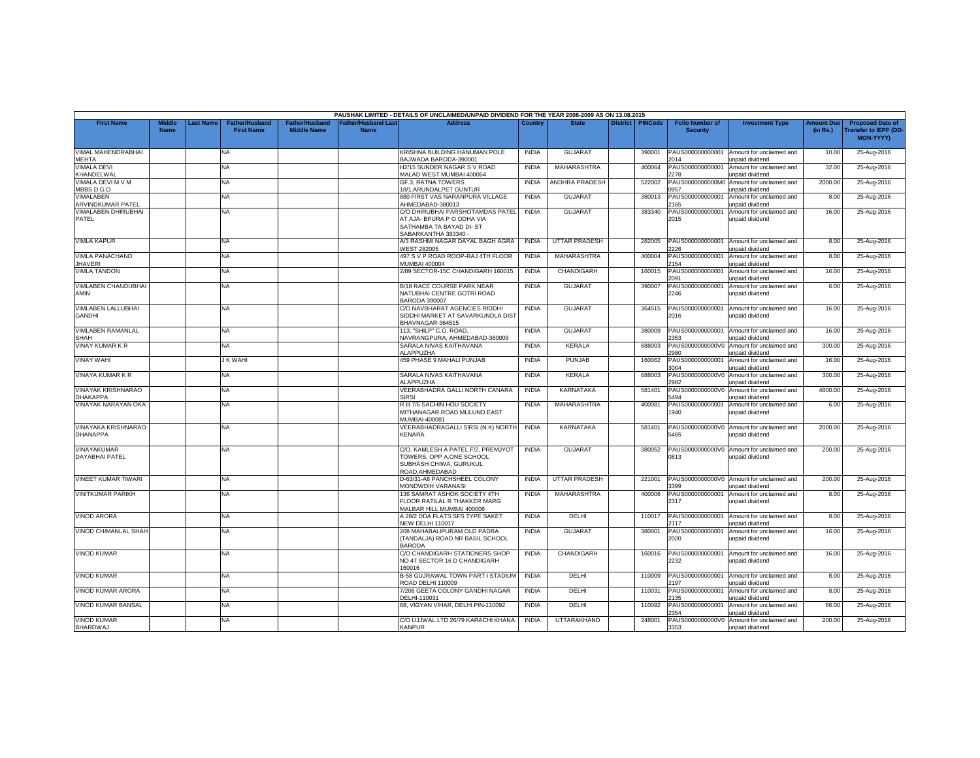|                                              |                              |          |                                            |                                             |                                   | PAUSHAK LIMITED - DETAILS OF UNCLAIMED/UNPAID DIVIDEND FOR THE YEAR 2008-2009 AS ON 13.08.2015                   |              |                       |                 |                |                                           |                                                    |                               |                                                                            |
|----------------------------------------------|------------------------------|----------|--------------------------------------------|---------------------------------------------|-----------------------------------|------------------------------------------------------------------------------------------------------------------|--------------|-----------------------|-----------------|----------------|-------------------------------------------|----------------------------------------------------|-------------------------------|----------------------------------------------------------------------------|
| <b>First Name</b>                            | <b>Middle</b><br><b>Name</b> | ast Name | <b>Father/Husband</b><br><b>First Name</b> | <b>Father/Husband</b><br><b>Middle Name</b> | Father/Husband Las<br><b>Name</b> | <b>Address</b>                                                                                                   | Country      | <b>State</b>          | <b>District</b> | <b>PINCode</b> | <b>Folio Number of</b><br><b>Security</b> | <b>Investment Type</b>                             | <b>Amount Due</b><br>(in Rs.) | <b>Proposed Date of</b><br><b>Transfer to IEPF (DD</b><br><b>MON-YYYY)</b> |
| <b>VIMAL MAHENDRABHAI</b><br><b>MEHTA</b>    |                              |          | <b>NA</b>                                  |                                             |                                   | KRISHNA BUILDING HANUMAN POLE<br>BAJWADA BARODA-390001                                                           | <b>INDIA</b> | <b>GUJARAT</b>        |                 | 390001         | PAUS000000000001<br>2014                  | Amount for unclaimed and<br>unpaid dividend        | 10.00                         | 25-Aug-2016                                                                |
| <b>VIMALA DEVI</b><br>KHANDELWAL             |                              |          | <b>NA</b>                                  |                                             |                                   | 12/15 SUNDER NAGAR S V ROAD<br>MALAD WEST MUMBAI 400064                                                          | <b>INDIA</b> | MAHARASHTRA           |                 | 400064         | PAUS000000000001<br>278                   | Amount for unclaimed and<br>unpaid dividend        | 32.00                         | 25-Aug-2016                                                                |
| VIMALA DEVI M V M<br>MBBSDGO                 |                              |          | NA.                                        |                                             |                                   | <b>GF.3. RATNA TOWERS</b><br>18/1, ARUNDALPET GUNTUR                                                             | <b>INDIA</b> | <b>ANDHRA PRADESH</b> |                 | 522002         | PAUS0000000000M<br>)957                   | Amount for unclaimed and<br>unpaid dividend        | 2000.00                       | 25-Aug-2016                                                                |
| <b>VIMALABEN</b><br>ARVINDKUMAR PATEL        |                              |          | <b>NA</b>                                  |                                             |                                   | 880 FIRST VAS NARANPURA VILLAGE<br>AHMEDABAD-380013                                                              | <b>INDIA</b> | GUJARAT               |                 | 380013         | PAUS000000000001<br>165                   | Amount for unclaimed and<br>unpaid dividend        | 8.00                          | 25-Aug-2016                                                                |
| VIMALABEN DHIRUBHAI<br>PATEL                 |                              |          | <b>NA</b>                                  |                                             |                                   | C/O DHIRUBHAI PARSHOTAMDAS PATEL<br>AT AJA- BPURA P O ODHA VIA<br>SATHAMBA TA BAYAD DI- ST<br>SABARKANTHA 383340 | <b>INDIA</b> | <b>GUJARAT</b>        |                 | 383340         | PAUS000000000001<br>2015                  | Amount for unclaimed and<br>unpaid dividend        | 16.00                         | 25-Aug-2016                                                                |
| <b>VIMLA KAPUR</b>                           |                              |          | NA                                         |                                             |                                   | A/3 RASHMI NAGAR DAYAL BAGH AGRA<br><b>WEST 282005</b>                                                           | <b>INDIA</b> | <b>UTTAR PRADESH</b>  |                 | 282005         | PAUS000000000001<br>226                   | Amount for unclaimed and<br>unpaid dividend        | 8.00                          | 25-Aug-2016                                                                |
| <b>VIMLA PANACHAND</b><br><b>JHAVERI</b>     |                              |          | <b>NA</b>                                  |                                             |                                   | 497 S V P ROAD ROOP-RAJ 4TH FLOOR<br>MUMBAI 400004                                                               | <b>INDIA</b> | MAHARASHTRA           |                 | 400004         | AUS00000000000<br>154                     | Amount for unclaimed and<br>unpaid dividend        | 8.00                          | 25-Aug-2016                                                                |
| <b>VIMLA TANDON</b>                          |                              |          | <b>NA</b>                                  |                                             |                                   | 2/89 SECTOR-15C CHANDIGARH 160015                                                                                | <b>INDIA</b> | CHANDIGARH            |                 | 160015         | PAUS000000000001<br>091                   | Amount for unclaimed and<br>unpaid dividend        | 16.00                         | 25-Aug-2016                                                                |
| VIMLABEN CHANDUBHAI<br>AMIN                  |                              |          | <b>NA</b>                                  |                                             |                                   | B/18 RACE COURSE PARK NEAR<br>NATUBHAI CENTRE GOTRI ROAD<br><b>BARODA 390007</b>                                 | <b>INDIA</b> | <b>GUJARAT</b>        |                 | 390007         | PAUS000000000001<br>2246                  | Amount for unclaimed and<br>unpaid dividend        | 6.00                          | 25-Aug-2016                                                                |
| VIMLABEN LALLUBHAI<br><b>GANDHI</b>          |                              |          | <b>NA</b>                                  |                                             |                                   | C/O NAVBHARAT AGENCIES RIDDHI<br>SIDDHI MARKET AT SAVARKUNDLA DIST<br>BHAVNAGAR-364515                           | <b>INDIA</b> | <b>GUJARAT</b>        |                 | 364515         | PAUS000000000001<br>2016                  | Amount for unclaimed and<br>unpaid dividend        | 16.00                         | 25-Aug-2016                                                                |
| VIMLABEN RAMANLAL<br><b>SHAH</b>             |                              |          | <b>NA</b>                                  |                                             |                                   | 113, "SHILP" C.G. ROAD,<br>NAVRANGPURA, AHMEDABAD-380009                                                         | <b>INDIA</b> | <b>GUJARAT</b>        |                 | 380009         | PAUS000000000001<br>353                   | Amount for unclaimed and<br><b>Inpaid dividend</b> | 16.00                         | 25-Aug-2016                                                                |
| <b>VINAY KUMAR K R</b>                       |                              |          | NA                                         |                                             |                                   | SARALA NIVAS KAITHAVANA<br>ALAPPUZHA                                                                             | <b>INDIA</b> | KERALA                |                 | 688003         | PAUS0000000000V0<br>2980                  | Amount for unclaimed and<br>unpaid dividend        | 300.00                        | 25-Aug-2016                                                                |
| <b>VINAY WAHI</b>                            |                              |          | <b>JKWAHI</b>                              |                                             |                                   | 459 PHASE 9 MAHALI PUNJAB                                                                                        | <b>INDIA</b> | PUNJAB                |                 | 160062         | PAUS000000000001<br>3004                  | Amount for unclaimed and<br>unpaid dividend        | 16.00                         | 25-Aug-2016                                                                |
| VINAYA KUMAR K R                             |                              |          | NA.                                        |                                             |                                   | SARALA NIVAS KAITHAVANA<br>ALAPPUZHA                                                                             | <b>INDIA</b> | <b>KERALA</b>         |                 | 688003         | PAUS0000000000V<br>982                    | Amount for unclaimed and<br>unpaid dividend        | 300.00                        | 25-Aug-2016                                                                |
| <b>VINAYAK KRISHNARAO</b><br><b>DHAKAPPA</b> |                              |          | <b>NA</b>                                  |                                             |                                   | VEERABHADRA GALLI NORTH CANARA<br><b>SIRSI</b>                                                                   | <b>INDIA</b> | KARNATAKA             |                 | 581401         | PAUS0000000000V0<br>5494                  | Amount for unclaimed and<br>unpaid dividend        | 4800.00                       | 25-Aug-2016                                                                |
| VINAYAK NARAYAN OKA                          |                              |          | NA                                         |                                             |                                   | R III 7/6 SACHIN HOU SOCIETY<br>MITHANAGAR ROAD MULUND EAST<br>MUMBAI-400081                                     | <b>INDIA</b> | MAHARASHTRA           |                 | 400081         | PAUS000000000001<br>1940                  | Amount for unclaimed and<br>unpaid dividend        | 6.00                          | 25-Aug-2016                                                                |
| VINAYAKA KRISHNARAO<br><b>DHANAPPA</b>       |                              |          | <b>NA</b>                                  |                                             |                                   | VEERABHADRAGALLI SIRSI (N.K) NORTH<br>KENARA                                                                     | <b>INDIA</b> | <b>KARNATAKA</b>      |                 | 581401         | PAUS0000000000V0<br>5465                  | Amount for unclaimed and<br>unpaid dividend        | 2000.00                       | 25-Aug-2016                                                                |
| VINAYAKUMAR<br>DAYABHAI PATEL                |                              |          | <b>NA</b>                                  |                                             |                                   | C/O. KAMLESH A PATEL F/2, PREMJYOT<br>TOWERS, OPP A.ONE SCHOOL<br>SUBHASH CHIWA, GURUKUL<br>ROAD.AHMEDABAD       | <b>INDIA</b> | <b>GUJARAT</b>        |                 | 380052         | PAUS0000000000V0<br>0813                  | Amount for unclaimed and<br>unpaid dividend        | 200.00                        | 25-Aug-2016                                                                |
| <b>VINEET KUMAR TIWARI</b>                   |                              |          | <b>NA</b>                                  |                                             |                                   | D-63/31-A8 PANCHSHEEL COLONY<br>MONDWDIH VARANASI                                                                | <b>INDIA</b> | <b>UTTAR PRADESH</b>  |                 | 221001         | PAUS0000000000V0<br>3399                  | Amount for unclaimed and<br>unpaid dividend        | 200.00                        | 25-Aug-2016                                                                |
| <b>VINITKUMAR PARIKH</b>                     |                              |          | <b>NA</b>                                  |                                             |                                   | 136 SAMRAT ASHOK SOCIETY 4TH<br>FLOOR RATILAL R THAKKER MARG<br>MALBAR HILL MUMBAI 400006                        | <b>INDIA</b> | <b>MAHARASHTRA</b>    |                 | 400006         | PAUS000000000001<br>2317                  | Amount for unclaimed and<br>unpaid dividend        | 8.00                          | 25-Aug-2016                                                                |
| <b>VINOD ARORA</b>                           |                              |          | NA                                         |                                             |                                   | A 28/2 DDA FLATS SFS TYPE SAKET<br><b>VEW DELHI 110017</b>                                                       | <b>INDIA</b> | DELHI                 |                 | 110017         | PAUS000000000001<br>2117                  | Amount for unclaimed and<br>unpaid dividend        | 8.00                          | 25-Aug-2016                                                                |
| VINOD CHIMANLAL SHAH                         |                              |          | <b>NA</b>                                  |                                             |                                   | 208 MAHABALIPURAM OLD PADRA<br>(TANDALJA) ROAD NR BASIL SCHOOL<br><b>BARODA</b>                                  | <b>INDIA</b> | <b>GUJARAT</b>        |                 | 380001         | PAUS000000000001<br>2020                  | Amount for unclaimed and<br>unpaid dividend        | 16.00                         | 25-Aug-2016                                                                |
| <b>VINOD KUMAR</b>                           |                              |          | <b>NA</b>                                  |                                             |                                   | C/O CHANDIGARH STATIONERS SHOP<br>NO 47 SECTOR 16 D CHANDIGARH<br>160016                                         | <b>INDIA</b> | CHANDIGARH            |                 | 160016         | PAUS000000000001<br>2232                  | Amount for unclaimed and<br>unpaid dividend        | 16.00                         | 25-Aug-2016                                                                |
| <b>VINOD KUMAR</b>                           |                              |          | NA                                         |                                             |                                   | B-58 GUJRAWAL TOWN PART I STADIUM<br>ROAD DELHI 110009                                                           | <b>INDIA</b> | DELHI                 |                 | 110009         | PAUS000000000001<br>197                   | Amount for unclaimed and<br>unpaid dividend        | 8.00                          | 25-Aug-2016                                                                |
| <b>VINOD KUMAR ARORA</b>                     |                              |          | <b>NA</b>                                  |                                             |                                   | 7/206 GEETA COLONY GANDHI NAGAR<br>DELHI-110031                                                                  | <b>INDIA</b> | DELHI                 |                 | 110031         | PAUS00000000000<br>2135                   | Amount for unclaimed and<br>unpaid dividend        | 8.00                          | 25-Aug-2016                                                                |
| VINOD KUMAR BANSAL                           |                              |          | <b>NA</b>                                  |                                             |                                   | 68, VIGYAN VIHAR, DELHI PIN-110092                                                                               | <b>INDIA</b> | DELHI                 |                 | 110092         | PAUS000000000001<br>354                   | Amount for unclaimed and<br>unpaid dividend        | 66.00                         | 25-Aug-2016                                                                |
| <b>VINOD KUMAR</b><br>BHARDWAJ               |                              |          | <b>NA</b>                                  |                                             |                                   | C/O UJJWAL LTD 26/79 KARACHI KHANA<br><b>KANPUR</b>                                                              | <b>INDIA</b> | UTTARAKHAND           |                 | 248001         | PAUS0000000000V0<br>3353                  | Amount for unclaimed and<br>unpaid dividend        | 200.00                        | 25-Aug-2016                                                                |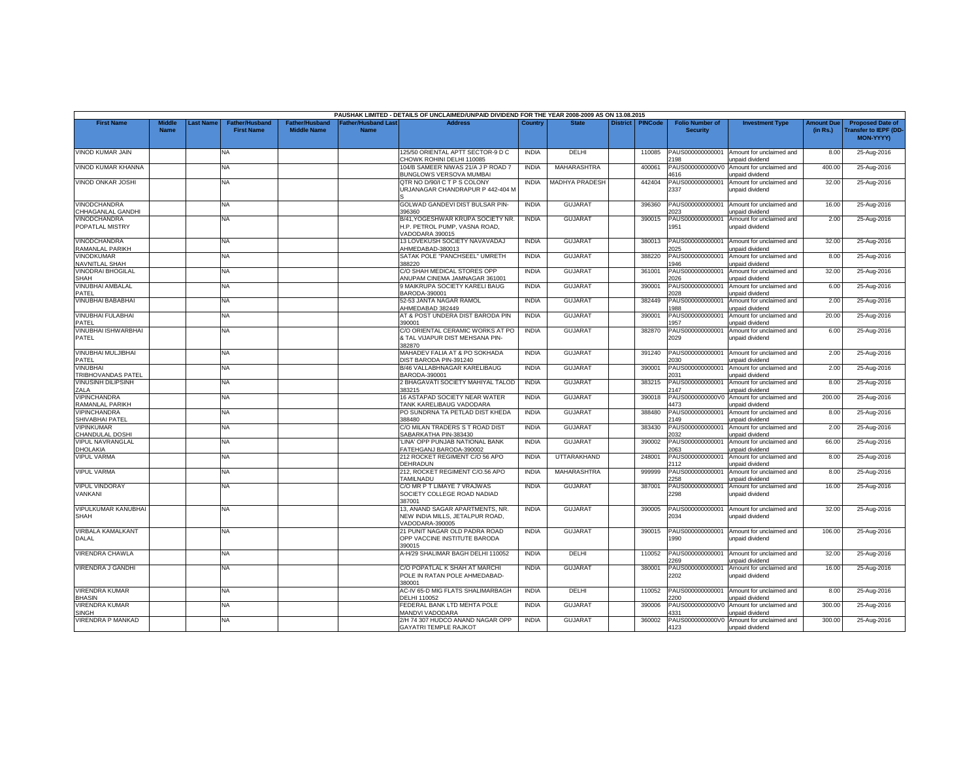|                                          |                              |           |                                            |                                             |                                           | PAUSHAK LIMITED - DETAILS OF UNCLAIMED/UNPAID DIVIDEND FOR THE YEAR 2008-2009 AS ON 13.08.2015 |              |                       |                 |                |                                           |                                                    |                               |                                                                            |
|------------------------------------------|------------------------------|-----------|--------------------------------------------|---------------------------------------------|-------------------------------------------|------------------------------------------------------------------------------------------------|--------------|-----------------------|-----------------|----------------|-------------------------------------------|----------------------------------------------------|-------------------------------|----------------------------------------------------------------------------|
| <b>First Name</b>                        | <b>Middle</b><br><b>Name</b> | Last Name | <b>Father/Husband</b><br><b>First Name</b> | <b>Father/Husband</b><br><b>Middle Name</b> | <b>Father/Husband Last</b><br><b>Name</b> | <b>Address</b>                                                                                 | Country      | <b>State</b>          | <b>District</b> | <b>PINCode</b> | <b>Folio Number of</b><br><b>Security</b> | <b>Investment Type</b>                             | <b>Amount Due</b><br>(in Rs.) | <b>Proposed Date of</b><br><b>Transfer to IEPF (DD</b><br><b>MON-YYYYY</b> |
| VINOD KUMAR JAIN                         |                              |           | NA                                         |                                             |                                           | 125/50 ORIENTAL APTT SECTOR-9 D C<br>HOWK ROHINI DELHI 110085                                  | <b>INDIA</b> | DELHI                 |                 | 110085         | PAUS000000000001<br>198                   | Amount for unclaimed and<br>unpaid dividend        | 8.00                          | 25-Aug-2016                                                                |
| VINOD KUMAR KHANNA                       |                              |           | <b>NA</b>                                  |                                             |                                           | 104/B SAMEER NIWAS 21/A J P ROAD 7<br><b>BUNGLOWS VERSOVA MUMBAI</b>                           | <b>INDIA</b> | MAHARASHTRA           |                 | 400061         | PAUS0000000000V0<br>4616                  | Amount for unclaimed and<br>inpaid dividend        | 400.00                        | 25-Aug-2016                                                                |
| VINOD ONKAR JOSHI                        |                              |           | NA                                         |                                             |                                           | QTR NO D/90/I C T P S COLONY<br>JRJANAGAR CHANDRAPUR P 442-404 M                               | <b>INDIA</b> | <b>MADHYA PRADESH</b> |                 | 442404         | PAUS000000000001<br>2337                  | Amount for unclaimed and<br>unpaid dividend        | 32.00                         | 25-Aug-2016                                                                |
| <b>VINODCHANDRA</b><br>CHHAGANLAL GANDHI |                              |           | NA                                         |                                             |                                           | GOLWAD GANDEVI DIST BULSAR PIN-<br>396360                                                      | <b>INDIA</b> | GUJARAT               |                 | 396360         | PAUS000000000001<br>2023                  | Amount for unclaimed and<br>unpaid dividend        | 16.00                         | 25-Aug-2016                                                                |
| VINODCHANDRA<br>POPATLAL MISTRY          |                              |           | NA.                                        |                                             |                                           | B/41, YOGESHWAR KRUPA SOCIETY NR.<br>H.P. PETROL PUMP. VASNA ROAD.<br>/ADODARA 390015          | <b>INDIA</b> | <b>GUJARAT</b>        |                 | 390015         | PAUS000000000001<br>1951                  | Amount for unclaimed and<br>unpaid dividend        | 2.00                          | 25-Aug-2016                                                                |
| VINODCHANDRA<br>RAMANLAL PARIKH          |                              |           | NA                                         |                                             |                                           | 13 LOVEKUSH SOCIETY NAVAVADAJ<br>AHMEDABAD-380013                                              | <b>INDIA</b> | <b>GUJARAT</b>        |                 | 380013         | PAUS000000000001<br>2025                  | Amount for unclaimed and<br>unpaid dividend        | 32.00                         | 25-Aug-2016                                                                |
| <b>VINODKUMAR</b><br>NAVNITLAL SHAH      |                              |           | <b>NA</b>                                  |                                             |                                           | SATAK POLE "PANCHSEEL" UMRETH<br>388220                                                        | <b>INDIA</b> | <b>GUJARAT</b>        |                 | 388220         | PAUS000000000001<br>1946                  | Amount for unclaimed and<br>unpaid dividend        | 8.00                          | 25-Aug-2016                                                                |
| VINODRAI BHOGILAL<br><b>SHAH</b>         |                              |           | NA                                         |                                             |                                           | C/O SHAH MEDICAL STORES OPP<br>ANUPAM CINEMA JAMNAGAR 361001                                   | <b>INDIA</b> | <b>GUJARAT</b>        |                 | 361001         | PAUS000000000001<br>026                   | Amount for unclaimed and<br><b>Inpaid dividend</b> | 32.00                         | 25-Aug-2016                                                                |
| <b>VINUBHAI AMBALAL</b><br>PATEL         |                              |           | NA                                         |                                             |                                           | <b>MAIKRUPA SOCIETY KARELI BAUG</b><br>BARODA-390001                                           | <b>INDIA</b> | <b>GUJARAT</b>        |                 | 390001         | PAUS000000000001<br>2028                  | Amount for unclaimed and<br>unpaid dividend        | 6.00                          | 25-Aug-2016                                                                |
| VINUBHAI BABABHAI                        |                              |           | <b>NA</b>                                  |                                             |                                           | 52-53 JANTA NAGAR RAMOL<br>HMEDABAD 382449                                                     | <b>INDIA</b> | <b>GUJARAT</b>        |                 | 382449         | PAUS000000000001<br>1988                  | Amount for unclaimed and<br>unpaid dividend        | 2.00                          | 25-Aug-2016                                                                |
| VINUBHAI FULABHAI<br>PATEL               |                              |           | NA                                         |                                             |                                           | AT & POST UNDERA DIST BARODA PIN<br>390001                                                     | <b>INDIA</b> | <b>GUJARAT</b>        |                 | 390001         | PAUS000000000001<br>1957                  | Amount for unclaimed and<br>unpaid dividend        | 20.00                         | 25-Aug-2016                                                                |
| <b>VINUBHAI ISHWARBHAI</b><br>PATEL      |                              |           | <b>NA</b>                                  |                                             |                                           | C/O ORIENTAL CERAMIC WORKS AT PO<br>& TAL VIJAPUR DIST MEHSANA PIN-<br>382870                  | <b>INDIA</b> | <b>GUJARAT</b>        |                 | 382870         | PAUS000000000001<br>2029                  | Amount for unclaimed and<br>unpaid dividend        | 6.00                          | 25-Aug-2016                                                                |
| VINUBHAI MULJIBHAI<br>PATEL              |                              |           | NA                                         |                                             |                                           | MAHADEV FALIA AT & PO SOKHADA<br>DIST BARODA PIN-391240                                        | <b>INDIA</b> | <b>GUJARAT</b>        |                 | 391240         | PAUS000000000001<br>2030                  | Amount for unclaimed and<br>unpaid dividend        | 2.00                          | 25-Aug-2016                                                                |
| <b>VINUBHAI</b><br>TRIBHOVANDAS PATEL    |                              |           | NA.                                        |                                             |                                           | <b>B/46 VALLABHNAGAR KARELIBAUG</b><br>BARODA-390001                                           | <b>INDIA</b> | <b>GUJARAT</b>        |                 | 390001         | PAUS000000000001<br>2031                  | Amount for unclaimed and<br>unpaid dividend        | 2.00                          | 25-Aug-2016                                                                |
| VINUSINH DILIPSINH<br>ZALA               |                              |           | <b>NA</b>                                  |                                             |                                           | 2 BHAGAVATI SOCIETY MAHIYAL TALOD<br>83215                                                     | <b>INDIA</b> | GUJARAT               |                 | 383215         | PAUS000000000001<br>2147                  | Amount for unclaimed and<br>Inpaid dividend        | 8.00                          | 25-Aug-2016                                                                |
| VIPINCHANDRA<br>RAMANLAL PARIKH          |                              |           | NA                                         |                                             |                                           | 16 ASTAPAD SOCIETY NEAR WATER<br><b>TANK KARELIBAUG VADODARA</b>                               | <b>INDIA</b> | <b>GUJARAT</b>        |                 | 390018         | PAUS0000000000V0<br>4473                  | Amount for unclaimed and<br>unpaid dividend        | 200.00                        | 25-Aug-2016                                                                |
| VIPINCHANDRA<br>SHIVABHAI PATEL          |                              |           | NA                                         |                                             |                                           | PO SUNDRNA TA PETLAD DIST KHEDA<br>388480                                                      | <b>INDIA</b> | <b>GUJARAT</b>        |                 | 388480         | PAUS000000000001<br>2149                  | Amount for unclaimed and<br>unpaid dividend        | 8.00                          | 25-Aug-2016                                                                |
| VIPINKUMAR<br>CHANDULAL DOSHI            |                              |           | NA                                         |                                             |                                           | C/O MILAN TRADERS S T ROAD DIST<br>SABARKATHA PIN-383430                                       | <b>INDIA</b> | <b>GUJARAT</b>        |                 | 383430         | PAUS000000000001<br>032                   | Amount for unclaimed and<br><b>Inpaid dividend</b> | 2.00                          | 25-Aug-2016                                                                |
| <b>VIPUL NAVRANGLAL</b><br>DHOLAKIA      |                              |           | NA.                                        |                                             |                                           | LINA' OPP PUNJAB NATIONAL BANK<br>FATEHGANJ BARODA-390002                                      | <b>INDIA</b> | <b>GUJARAT</b>        |                 | 390002         | PAUS000000000001<br>063                   | Amount for unclaimed and<br>unpaid dividend        | 66.00                         | 25-Aug-2016                                                                |
| <b>VIPUL VARMA</b>                       |                              |           | NA                                         |                                             |                                           | 212 ROCKET REGIMENT C/O 56 APO<br>DEHRADUN                                                     | <b>INDIA</b> | UTTARAKHAND           |                 | 248001         | PAUS000000000001<br>2112                  | Amount for unclaimed and<br>unpaid dividend        | 8.00                          | 25-Aug-2016                                                                |
| <b>VIPUL VARMA</b>                       |                              |           | <b>NA</b>                                  |                                             |                                           | 212, ROCKET REGIMENT C/O.56 APO<br>TAMILNADU                                                   | <b>INDIA</b> | <b>MAHARASHTRA</b>    |                 | 999999         | PAUS00000000000<br>2258                   | Amount for unclaimed and<br>unpaid dividend        | 8.00                          | 25-Aug-2016                                                                |
| <b>VIPUL VINDORAY</b><br>VANKANI         |                              |           | NA                                         |                                             |                                           | C/O MR P T LIMAYE 7 VRAJWAS<br>SOCIETY COLLEGE ROAD NADIAD<br>87001                            | <b>INDIA</b> | GUJARAT               |                 | 387001         | PAUS000000000001<br>2298                  | Amount for unclaimed and<br>unpaid dividend        | 16.00                         | 25-Aug-2016                                                                |
| VIPULKUMAR KANUBHAI<br>SHAH              |                              |           | NA                                         |                                             |                                           | 13, ANAND SAGAR APARTMENTS, NR<br>NEW INDIA MILLS, JETALPUR ROAD,<br>VADODARA-390005           | <b>INDIA</b> | <b>GUJARA1</b>        |                 | 390005         | PAUS000000000001<br>2034                  | Amount for unclaimed and<br>unpaid dividend        | 32.00                         | 25-Aug-2016                                                                |
| <b>VIRBALA KAMALKANT</b><br>DALAL        |                              |           | NA                                         |                                             |                                           | 21 PUNIT NAGAR OLD PADRA ROAD<br>OPP VACCINE INSTITUTE BARODA<br>390015                        | <b>INDIA</b> | <b>GUJARAT</b>        |                 | 390015         | PAUS000000000001<br>1990                  | Amount for unclaimed and<br>unpaid dividend        | 106.00                        | 25-Aug-2016                                                                |
| VIRENDRA CHAWLA                          |                              |           | <b>NA</b>                                  |                                             |                                           | A-H/29 SHALIMAR BAGH DELHI 110052                                                              | <b>INDIA</b> | DELHI                 |                 | 110052         | PAUS000000000001<br>2269                  | Amount for unclaimed and<br>unpaid dividend        | 32.00                         | 25-Aug-2016                                                                |
| VIRENDRA J GANDHI                        |                              |           | NA                                         |                                             |                                           | C/O POPATLAL K SHAH AT MARCHI<br>POLE IN RATAN POLE AHMEDABAD-<br>380001                       | <b>INDIA</b> | <b>GUJARAT</b>        |                 | 380001         | PAUS000000000001<br>2202                  | Amount for unclaimed and<br>unpaid dividend        | 16.00                         | 25-Aug-2016                                                                |
| <b>VIRENDRA KUMAR</b><br><b>HASIN</b>    |                              |           | NA                                         |                                             |                                           | AC-IV 65-D MIG FLATS SHALIMARBAGH<br><b>DELHI 110052</b>                                       | <b>INDIA</b> | <b>DELHI</b>          |                 | 110052         | PAUS000000000001<br>200                   | Amount for unclaimed and<br>unpaid dividend        | 8.00                          | 25-Aug-2016                                                                |
| <b>VIRENDRA KUMAR</b><br><b>SINGH</b>    |                              |           | NA                                         |                                             |                                           | FEDERAL BANK LTD MEHTA POLE<br><b>MANDVI VADODARA</b>                                          | <b>INDIA</b> | <b>GUJARAT</b>        |                 | 390006         | PAUS0000000000V0<br>331                   | Amount for unclaimed and<br>unpaid dividend        | 300.00                        | 25-Aug-2016                                                                |
| VIRENDRA P MANKAD                        |                              |           | ΝA                                         |                                             |                                           | 2/H 74 307 HUDCO ANAND NAGAR OPP<br><b>GAYATRI TEMPLE RAJKOT</b>                               | <b>INDIA</b> | <b>GUJARA1</b>        |                 | 360002         | PAUS0000000000V0<br>4123                  | Amount for unclaimed and<br>unpaid dividend        | 300.00                        | 25-Aug-2016                                                                |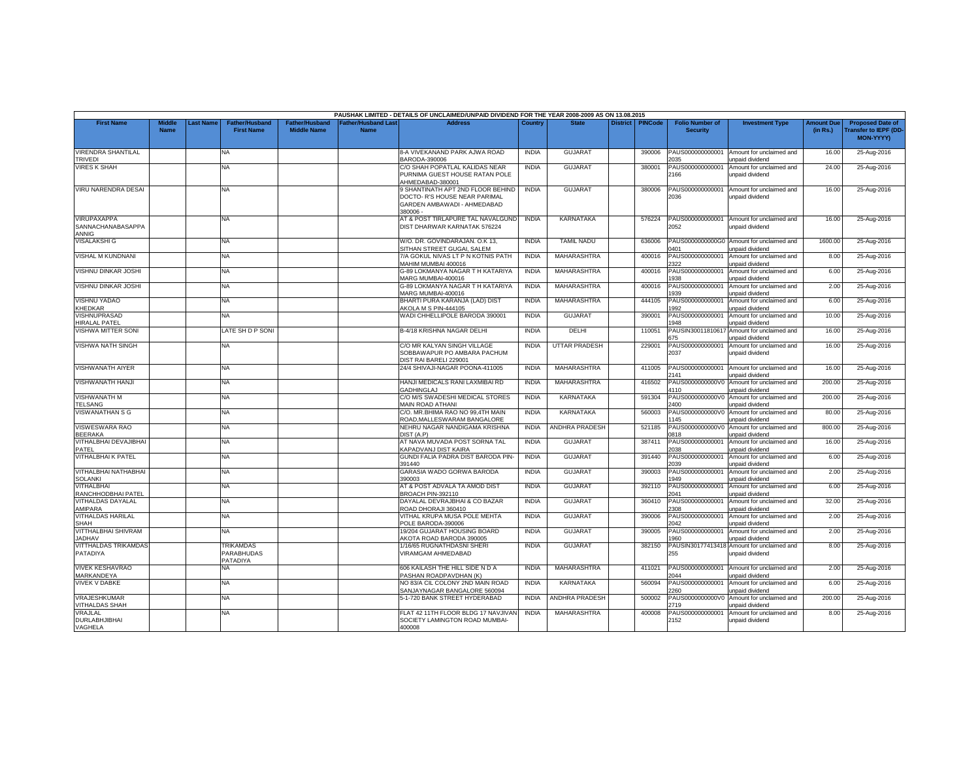|                                                  |                              |           |                                            |                                             |                                           | PAUSHAK LIMITED - DETAILS OF UNCLAIMED/UNPAID DIVIDEND FOR THE YEAR 2008-2009 AS ON 13.08.2015               |              |                       |                 |                |                                           |                                                               |                               |                                                                            |
|--------------------------------------------------|------------------------------|-----------|--------------------------------------------|---------------------------------------------|-------------------------------------------|--------------------------------------------------------------------------------------------------------------|--------------|-----------------------|-----------------|----------------|-------------------------------------------|---------------------------------------------------------------|-------------------------------|----------------------------------------------------------------------------|
| <b>First Name</b>                                | <b>Middle</b><br><b>Name</b> | Last Name | <b>Father/Husband</b><br><b>First Name</b> | <b>Father/Husband</b><br><b>Middle Name</b> | <b>Father/Husband Last</b><br><b>Name</b> | <b>Address</b>                                                                                               | Country      | <b>State</b>          | <b>District</b> | <b>PINCode</b> | <b>Folio Number of</b><br><b>Security</b> | <b>Investment Type</b>                                        | <b>Amount Due</b><br>(in Rs.) | <b>Proposed Date of</b><br><b>Transfer to IEPF (DD</b><br><b>MON-YYYY)</b> |
| <b>VIRENDRA SHANTILAL</b><br><b>TRIVEDI</b>      |                              |           | NA                                         |                                             |                                           | 8-A VIVEKANAND PARK AJWA ROAD<br>BARODA-390006                                                               | <b>INDIA</b> | <b>GUJARAT</b>        |                 | 390006         | PAUS000000000001<br>2035                  | Amount for unclaimed and<br>unpaid dividend                   | 16.00                         | 25-Aug-2016                                                                |
| <b>VIRES K SHAH</b>                              |                              |           | <b>NA</b>                                  |                                             |                                           | C/O SHAH POPATLAL KALIDAS NEAR<br>PURNIMA GUEST HOUSE RATAN POLE<br>AHMEDABAD-380001                         | <b>INDIA</b> | <b>GUJARAT</b>        |                 | 380001         | PAUS000000000001<br>2166                  | Amount for unclaimed and<br>unpaid dividend                   | 24.00                         | 25-Aug-2016                                                                |
| <b>VIRU NARENDRA DESAI</b>                       |                              |           | NA                                         |                                             |                                           | 9 SHANTINATH APT 2ND FLOOR BEHIND<br>DOCTO- R'S HOUSE NEAR PARIMAL<br>GARDEN AMBAWADI - AHMEDABAD<br>380006- | <b>INDIA</b> | <b>GUJARAT</b>        |                 | 380006         | PAUS000000000001<br>2036                  | Amount for unclaimed and<br>unpaid dividend                   | 16.00                         | 25-Aug-2016                                                                |
| VIRUPAXAPPA<br>SANNACHANABASAPPA<br><b>ANNIG</b> |                              |           | <b>NA</b>                                  |                                             |                                           | AT & POST TIRLAPURE TAL NAVALGUND<br>DIST DHARWAR KARNATAK 576224                                            | <b>INDIA</b> | KARNATAKA             |                 | 576224         | PAUS000000000001<br>2052                  | Amount for unclaimed and<br>unpaid dividend                   | 16.00                         | 25-Aug-2016                                                                |
| <b>VISALAKSHI G</b>                              |                              |           | NA                                         |                                             |                                           | W/O. DR. GOVINDARAJAN. O.K 13,<br>SITHAN STREET GUGAI, SALEM                                                 | <b>INDIA</b> | <b>TAMIL NADU</b>     |                 | 636006         | PAUS0000000000G0<br>0401                  | Amount for unclaimed and<br>unpaid dividend                   | 1600.00                       | 25-Aug-2016                                                                |
| VISHAL M KUNDNANI                                |                              |           | <b>NA</b>                                  |                                             |                                           | 7/A GOKUL NIVAS LT P N KOTNIS PATH<br>MAHIM MUMBAI 400016                                                    | <b>INDIA</b> | <b>MAHARASHTRA</b>    |                 | 400016         | PAUS000000000001<br>322                   | Amount for unclaimed and<br>unpaid dividend                   | 8.00                          | 25-Aug-2016                                                                |
| VISHNU DINKAR JOSHI                              |                              |           | NA                                         |                                             |                                           | G-89 LOKMANYA NAGAR T H KATARIYA<br>MARG MUMBAI-400016                                                       | <b>INDIA</b> | MAHARASHTRA           |                 | 400016         | PAUS000000000001<br>938                   | Amount for unclaimed and<br><b>Inpaid dividend</b>            | 6.00                          | 25-Aug-2016                                                                |
| <b>VISHNU DINKAR JOSHI</b>                       |                              |           | NA                                         |                                             |                                           | G-89 LOKMANYA NAGAR T H KATARIYA<br>MARG MUMBAI-400016                                                       | <b>INDIA</b> | MAHARASHTRA           |                 | 400016         | PAUS000000000001<br>939                   | Amount for unclaimed and<br>unpaid dividend                   | 2.00                          | 25-Aug-2016                                                                |
| VISHNU YADAO<br>KHEDKAR                          |                              |           | <b>NA</b>                                  |                                             |                                           | BHARTI PURA KARANJA (LAD) DIST<br>AKOLA M S PIN-444105                                                       | <b>INDIA</b> | MAHARASHTRA           |                 | 444105         | PAUS000000000001<br>1992                  | Amount for unclaimed and<br>unpaid dividend                   | 6.00                          | 25-Aug-2016                                                                |
| <b>/ISHNUPRASAD</b><br>HIRALAL PATEL             |                              |           | NA                                         |                                             |                                           | WADI CHHELLIPOLE BARODA 390001                                                                               | <b>INDIA</b> | <b>GUJARAT</b>        |                 | 390001         | PAUS000000000001<br>1948                  | Amount for unclaimed and<br>unpaid dividend                   | 10.00                         | 25-Aug-2016                                                                |
| VISHWA MITTER SONI                               |                              |           | ATE SH D P SONI                            |                                             |                                           | B-4/18 KRISHNA NAGAR DELHI                                                                                   | <b>INDIA</b> | DELHI                 |                 | 110051         | PAUSIN30011810617<br>675                  | Amount for unclaimed and<br>unpaid dividend                   | 16.00                         | 25-Aug-2016                                                                |
| VISHWA NATH SINGH                                |                              |           | NA                                         |                                             |                                           | C/O MR KALYAN SINGH VILLAGE<br>SOBBAWAPUR PO AMBARA PACHUM<br>DIST RAI BARELI 229001                         | <b>INDIA</b> | <b>UTTAR PRADESH</b>  |                 | 229001         | PAUS000000000001<br>2037                  | Amount for unclaimed and<br>unpaid dividend                   | 16.00                         | 25-Aug-2016                                                                |
| <b>VISHWANATH AIYER</b>                          |                              |           | NA                                         |                                             |                                           | 24/4 SHIVAJI-NAGAR POONA-411005                                                                              | <b>INDIA</b> | MAHARASHTRA           |                 | 411005         | PAUS000000000001<br>2141                  | Amount for unclaimed and<br>unpaid dividend                   | 16.00                         | 25-Aug-2016                                                                |
| VISHWANATH HANJI                                 |                              |           | <b>NA</b>                                  |                                             |                                           | HANJI MEDICALS RANI LAXMIBAI RD<br><b>GADHINGLAJ</b>                                                         | <b>INDIA</b> | MAHARASHTRA           |                 | 416502         | PAUS0000000000V0<br>1110                  | Amount for unclaimed and<br>Inpaid dividend                   | 200.00                        | 25-Aug-2016                                                                |
| <b>VISHWANATH M</b><br><b>TELSANG</b>            |                              |           | NA                                         |                                             |                                           | C/O M/S SWADESHI MEDICAL STORES<br>MAIN ROAD ATHANI                                                          | <b>INDIA</b> | KARNATAKA             |                 | 591304         | PAUS0000000000V0<br>2400                  | Amount for unclaimed and<br>unpaid dividend                   | 200.00                        | 25-Aug-2016                                                                |
| <b>VISWANATHAN S G</b>                           |                              |           | NA                                         |                                             |                                           | C/O. MR.BHIMA RAO NO 99,4TH MAIN<br>ROAD, MALLESWARAM BANGALORE                                              | <b>INDIA</b> | KARNATAKA             |                 | 560003         | PAUS0000000000V0<br>1145                  | Amount for unclaimed and<br>unpaid dividend                   | 80.00                         | 25-Aug-2016                                                                |
| VISWESWARA RAO<br><b>BEERAKA</b>                 |                              |           | NA                                         |                                             |                                           | NEHRU NAGAR NANDIGAMA KRISHNA<br>DIST (A.P)                                                                  | <b>INDIA</b> | <b>ANDHRA PRADESH</b> |                 | 521185         | PAUS0000000000V0<br>1818                  | Amount for unclaimed and<br>unpaid dividend                   | 800.00                        | 25-Aug-2016                                                                |
| VITHALBHAI DEVAJIBHAI<br>PATFL                   |                              |           | NA.                                        |                                             |                                           | AT NAVA MUVADA POST SORNA TAL<br><b>KAPADVANJ DIST KAIRA</b>                                                 | <b>INDIA</b> | GUJARAT               |                 | 387411         | PAUS000000000001<br>2038                  | Amount for unclaimed and<br>unpaid dividend                   | 16.00                         | 25-Aug-2016                                                                |
| VITHALBHAI K PATEL                               |                              |           | NA                                         |                                             |                                           | GUNDI FALIA PADRA DIST BARODA PIN<br>391440                                                                  | <b>INDIA</b> | <b>GUJARAT</b>        |                 | 391440         | PAUS000000000001<br>2039                  | Amount for unclaimed and<br>unpaid dividend                   | 6.00                          | 25-Aug-2016                                                                |
| <b>VITHALBHAI NATHABHAI</b><br><b>SOLANKI</b>    |                              |           | <b>NA</b>                                  |                                             |                                           | GARASIA WADO GORWA BARODA<br>390003                                                                          | <b>INDIA</b> | <b>GUJARAT</b>        |                 | 390003         | PAUS00000000000<br>1949                   | Amount for unclaimed and<br>unpaid dividend                   | 2.00                          | 25-Aug-2016                                                                |
| VITHALBHAI<br>RANCHHODBHAI PATEL                 |                              |           | NA                                         |                                             |                                           | AT & POST ADVALA TA AMOD DIST<br>BROACH PIN-392110                                                           | <b>INDIA</b> | <b>GUJARAT</b>        |                 | 392110         | PAUS000000000001<br>041                   | Amount for unclaimed and<br><b>Inpaid dividend</b>            | 6.00                          | 25-Aug-2016                                                                |
| VITHALDAS DAYALAL<br><b>MIPARA</b>               |                              |           | NA                                         |                                             |                                           | DAYALAL DEVRAJBHAI & CO BAZAR<br>ROAD DHORAJI 360410                                                         | <b>INDIA</b> | <b>GUJARAT</b>        |                 | 360410         | PAUS000000000001<br>308                   | Amount for unclaimed and<br>unpaid dividend                   | 32.00                         | 25-Aug-2016                                                                |
| VITHALDAS HARILAL<br>SHAH                        |                              |           | NA                                         |                                             |                                           | VITHAL KRUPA MUSA POLE MEHTA<br>OLE BARODA-390006                                                            | <b>INDIA</b> | <b>GUJARAT</b>        |                 | 390006         | PAUS000000000001<br>2042                  | Amount for unclaimed and<br>unpaid dividend                   | 2.00                          | 25-Aug-2016                                                                |
| VITTHALBHAI SHIVRAM<br><b>JADHAV</b>             |                              |           | NA                                         |                                             |                                           | 19/204 GUJARAT HOUSING BOARD<br>AKOTA ROAD BARODA 390005                                                     | <b>INDIA</b> | <b>GUJARAT</b>        |                 | 390005         | PAUS000000000001<br>960                   | Amount for unclaimed and<br>unpaid dividend                   | 2.00                          | 25-Aug-2016                                                                |
| <b>VITTHALDAS TRIKAMDAS</b><br>PATADIYA          |                              |           | <b>TRIKAMDAS</b><br>PARABHUDAS<br>PATADIYA |                                             |                                           | 1/16/65 RUGNATHDASNI SHERI<br><b>VIRAMGAM AHMEDABAD</b>                                                      | <b>INDIA</b> | <b>GUJARAT</b>        |                 | 382150         | 255                                       | PAUSIN30177413418 Amount for unclaimed and<br>unpaid dividend | 8.00                          | 25-Aug-2016                                                                |
| <b>VIVEK KESHAVRAO</b><br>MARKANDEYA             |                              |           | NA                                         |                                             |                                           | 606 KAILASH THE HILL SIDE N D A<br>PASHAN ROADPAVDHAN (K)                                                    | <b>INDIA</b> | <b>MAHARASHTRA</b>    |                 | 411021         | PAUS000000000001<br>2044                  | Amount for unclaimed and<br>unpaid dividend                   | 2.00                          | 25-Aug-2016                                                                |
| <b>VIVEK V DABKE</b>                             |                              |           | NA                                         |                                             |                                           | NO 83/A CIL COLONY 2ND MAIN ROAD<br>SANJAYNAGAR BANGALORE 560094                                             | <b>INDIA</b> | <b>KARNATAKA</b>      |                 | 560094         | PAUS00000000000<br>2260                   | Amount for unclaimed and<br>unpaid dividend                   | 6.00                          | 25-Aug-2016                                                                |
| VRAJESHKUMAR<br><b>VITHALDAS SHAH</b>            |                              |           | <b>NA</b>                                  |                                             |                                           | 5-1-720 BANK STREET HYDERABAD                                                                                | <b>INDIA</b> | <b>ANDHRA PRADESH</b> |                 | 500002         | PAUS0000000000V<br>719                    | Amount for unclaimed and<br><b>Inpaid dividend</b>            | 200.00                        | 25-Aug-2016                                                                |
| VRAJLAL<br><b>DURLABHJIBHAI</b><br>VAGHELA       |                              |           | NA                                         |                                             |                                           | FLAT 42 11TH FLOOR BLDG 17 NAVJIVAN<br>SOCIETY LAMINGTON ROAD MUMBAI-<br>400008                              | <b>INDIA</b> | MAHARASHTRA           |                 | 400008         | PAUS000000000001<br>2152                  | Amount for unclaimed and<br>unpaid dividend                   | 8.00                          | 25-Aug-2016                                                                |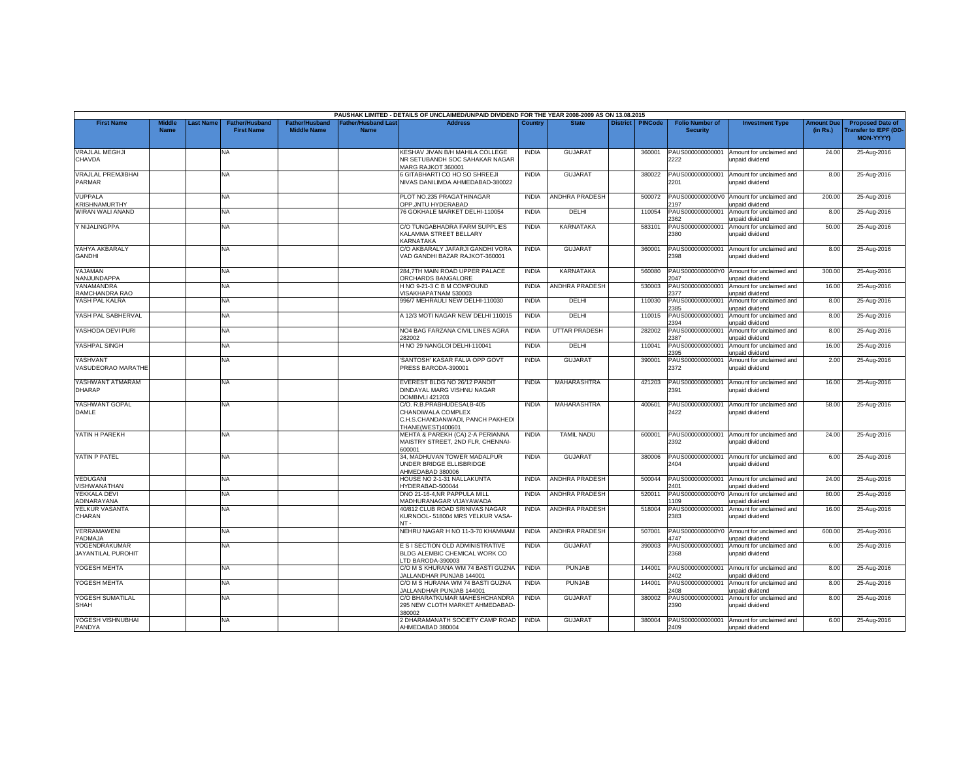|                                     |                              |          |                                            |                                             |                                           | PAUSHAK LIMITED - DETAILS OF UNCLAIMED/UNPAID DIVIDEND FOR THE YEAR 2008-2009 AS ON 13.08.2015             |              |                       |                 |                |                                           |                                                              |                               |                                                                     |
|-------------------------------------|------------------------------|----------|--------------------------------------------|---------------------------------------------|-------------------------------------------|------------------------------------------------------------------------------------------------------------|--------------|-----------------------|-----------------|----------------|-------------------------------------------|--------------------------------------------------------------|-------------------------------|---------------------------------------------------------------------|
| <b>First Name</b>                   | <b>Middle</b><br><b>Name</b> | ast Name | <b>Father/Husband</b><br><b>First Name</b> | <b>Father/Husband</b><br><b>Middle Name</b> | <b>Father/Husband Last</b><br><b>Name</b> | <b>Address</b>                                                                                             | Country      | <b>State</b>          | <b>District</b> | <b>PINCode</b> | <b>Folio Number of</b><br><b>Security</b> | <b>Investment Type</b>                                       | <b>Amount Due</b><br>(in Rs.) | <b>Proposed Date of</b><br>ransfer to IEPF (DD-<br><b>MON-YYYY)</b> |
| <b>VRAJLAL MEGHJI</b><br>CHAVDA     |                              |          | <b>NA</b>                                  |                                             |                                           | KESHAV JIVAN B/H MAHILA COLLEGE<br>NR SETUBANDH SOC SAHAKAR NAGAR<br>MARG RAJKOT 360001                    | <b>INDIA</b> | <b>GUJARAT</b>        |                 | 360001         | PAUS000000000001<br>2222                  | Amount for unclaimed and<br>unpaid dividend                  | 24.00                         | 25-Aug-2016                                                         |
| <b>VRAJLAL PREMJIBHAI</b><br>PARMAR |                              |          | NA                                         |                                             |                                           | 6 GITABHARTI CO HO SO SHREEJI<br>NIVAS DANILIMDA AHMEDABAD-380022                                          | <b>INDIA</b> | <b>GUJARAT</b>        |                 | 380022         | PAUS000000000001<br>2201                  | Amount for unclaimed and<br>unpaid dividend                  | 8.00                          | 25-Aug-2016                                                         |
| <b>VUPPALA</b><br>KRISHNAMURTHY     |                              |          | <b>NA</b>                                  |                                             |                                           | PLOT NO.235 PRAGATHINAGAR<br>OPP.JNTU HYDERABAD                                                            | <b>INDIA</b> | ANDHRA PRADESH        |                 | 500072         | 197                                       | PAUS0000000000V0 Amount for unclaimed and<br>unpaid dividend | 200.00                        | 25-Aug-2016                                                         |
| WIRAN WALI ANAND                    |                              |          | NA.                                        |                                             |                                           | 76 GOKHALE MARKET DELHI-110054                                                                             | <b>INDIA</b> | DELHI                 |                 | 110054         | PAUS000000000001<br>362                   | Amount for unclaimed and<br>unpaid dividend                  | 8.00                          | 25-Aug-2016                                                         |
| Y NIJALINGPPA                       |                              |          | <b>NA</b>                                  |                                             |                                           | C/O TUNGABHADRA FARM SUPPLIES<br>KALAMMA STREET BELLARY<br>KARNATAKA                                       | <b>INDIA</b> | <b>KARNATAKA</b>      |                 | 583101         | PAUS000000000001<br>2380                  | Amount for unclaimed and<br>unpaid dividend                  | 50.00                         | 25-Aug-2016                                                         |
| YAHYA AKBARALY<br><b>GANDHI</b>     |                              |          | NA                                         |                                             |                                           | C/O AKBARALY JAFARJI GANDHI VORA<br>VAD GANDHI BAZAR RAJKOT-360001                                         | <b>INDIA</b> | <b>GUJARAT</b>        |                 | 360001         | PAUS000000000001<br>2398                  | Amount for unclaimed and<br>unpaid dividend                  | 8.00                          | 25-Aug-2016                                                         |
| YAJAMAN<br>NANJUNDAPPA              |                              |          | <b>NA</b>                                  |                                             |                                           | 284.7TH MAIN ROAD UPPER PALACE<br>ORCHARDS BANGALORE                                                       | <b>INDIA</b> | KARNATAKA             |                 | 560080         | 2047                                      | PAUS0000000000Y0 Amount for unclaimed and<br>unpaid dividend | 300.00                        | 25-Aug-2016                                                         |
| YANAMANDRA<br>RAMCHANDRA RAO        |                              |          | NA                                         |                                             |                                           | H NO 9-21-3 C B M COMPOUND<br>VISAKHAPATNAM 530003                                                         | <b>INDIA</b> | ANDHRA PRADESH        |                 | 530003         | PAUS000000000001<br>2377                  | Amount for unclaimed and<br>unpaid dividend                  | 16.00                         | 25-Aug-2016                                                         |
| YASH PAL KALRA                      |                              |          | NA                                         |                                             |                                           | 996/7 MEHRAULI NEW DELHI-110030                                                                            | <b>INDIA</b> | DELHI                 |                 | 110030         | PAUS000000000001<br>2385                  | Amount for unclaimed and<br>unpaid dividend                  | 8.00                          | 25-Aug-2016                                                         |
| YASH PAL SABHERVAL                  |                              |          | NA                                         |                                             |                                           | A 12/3 MOTI NAGAR NEW DELHI 110015                                                                         | <b>INDIA</b> | DELHI                 |                 | 110015         | PAUS000000000001<br>394                   | Amount for unclaimed and<br>unpaid dividend                  | 8.00                          | 25-Aug-2016                                                         |
| YASHODA DEVI PURI                   |                              |          | NA.                                        |                                             |                                           | NO4 BAG FARZANA CIVIL LINES AGRA<br>282002                                                                 | <b>INDIA</b> | <b>UTTAR PRADESH</b>  |                 | 282002         | PAUS000000000001<br>387                   | Amount for unclaimed and<br>unpaid dividend                  | 8.00                          | 25-Aug-2016                                                         |
| YASHPAL SINGH                       |                              |          | NA                                         |                                             |                                           | H NO 29 NANGLOI DELHI-110041                                                                               | <b>INDIA</b> | DELHI                 |                 | 110041         | PAUS00000000000<br>2395                   | Amount for unclaimed and<br>unpaid dividend                  | 16.00                         | 25-Aug-2016                                                         |
| YASHVANT<br>VASUDEORAO MARATHE      |                              |          | <b>NA</b>                                  |                                             |                                           | 'SANTOSH' KASAR FALIA OPP GOVT<br>PRESS BARODA-390001                                                      | <b>INDIA</b> | <b>GUJARAT</b>        |                 | 390001         | PAUS00000000000<br>2372                   | Amount for unclaimed and<br>unpaid dividend                  | 2.00                          | 25-Aug-2016                                                         |
| YASHWANT ATMARAM<br><b>DHARAP</b>   |                              |          | <b>NA</b>                                  |                                             |                                           | EVEREST BLDG NO 26/12 PANDIT<br>DINDAYAL MARG VISHNU NAGAR<br><b>DOMBIVLI 421203</b>                       | <b>INDIA</b> | MAHARASHTRA           |                 | 421203         | PAUS000000000001<br>2391                  | Amount for unclaimed and<br>unpaid dividend                  | 16.00                         | 25-Aug-2016                                                         |
| YASHWANT GOPAL<br><b>DAMLE</b>      |                              |          | <b>NA</b>                                  |                                             |                                           | C/O. R.B.PRABHUDESAI, B-405<br>CHANDIWALA COMPLEX<br>C.H.S.CHANDANWADI, PANCH PAKHEDI<br>THANE(WEST)400601 | <b>INDIA</b> | <b>MAHARASHTRA</b>    |                 | 400601         | 2422                                      | PAUS000000000001 Amount for unclaimed and<br>unpaid dividend | 58.00                         | 25-Aug-2016                                                         |
| YATIN H PAREKH                      |                              |          | <b>NA</b>                                  |                                             |                                           | MEHTA & PAREKH (CA) 2-A PERIANNA<br>MAISTRY STREET, 2ND FLR, CHENNAI-<br>600001                            | <b>INDIA</b> | <b>TAMIL NADU</b>     |                 | 600001         | 2392                                      | PAUS000000000001 Amount for unclaimed and<br>unpaid dividend | 24.00                         | 25-Aug-2016                                                         |
| YATIN P PATEL                       |                              |          | <b>NA</b>                                  |                                             |                                           | 34, MADHUVAN TOWER MADALPUR<br>UNDER BRIDGE ELLISBRIDGE<br>AHMEDABAD 380006                                | <b>INDIA</b> | GUJARAT               |                 | 380006         | PAUS000000000001<br>2404                  | Amount for unclaimed and<br>unpaid dividend                  | 6.00                          | 25-Aug-2016                                                         |
| YEDUGANI<br><b>VISHWANATHAN</b>     |                              |          | <b>NA</b>                                  |                                             |                                           | HOUSE NO 2-1-31 NALLAKUNTA<br>HYDERABAD-500044                                                             | <b>INDIA</b> | ANDHRA PRADESH        |                 | 500044         | PAUS000000000001<br>2401                  | Amount for unclaimed and<br>unpaid dividend                  | 24.00                         | 25-Aug-2016                                                         |
| YEKKALA DEVI<br>ADINARAYANA         |                              |          | <b>NA</b>                                  |                                             |                                           | DNO 21-16-4.NR PAPPULA MILL<br>MADHURANAGAR VIJAYAWADA                                                     | <b>INDIA</b> | ANDHRA PRADESH        |                 | 520011         | PAUS0000000000Y0<br>109                   | Amount for unclaimed and<br>unpaid dividend                  | 80.00                         | 25-Aug-2016                                                         |
| YELKUR VASANTA<br>CHARAN            |                              |          | NA                                         |                                             |                                           | 40/812 CLUB ROAD SRINIVAS NAGAR<br>KURNOOL- 518004 MRS YELKUR VASA-<br>NT-                                 | <b>INDIA</b> | ANDHRA PRADESH        |                 | 518004         | PAUS000000000001<br>2383                  | Amount for unclaimed and<br>unpaid dividend                  | 16.00                         | 25-Aug-2016                                                         |
| YERRAMAWENI<br>PADMAJA              |                              |          | NA.                                        |                                             |                                           | NEHRU NAGAR H NO 11-3-70 KHAMMAM                                                                           | <b>INDIA</b> | <b>ANDHRA PRADESH</b> |                 | 507001         | PAUS0000000000Y0<br>4747                  | Amount for unclaimed and<br>unpaid dividend                  | 600.00                        | 25-Aug-2016                                                         |
| YOGENDRAKUMAR<br>JAYANTILAL PUROHIT |                              |          | <b>NA</b>                                  |                                             |                                           | E S I SECTION OLD ADMINISTRATIVE<br>BLDG ALEMBIC CHEMICAL WORK CO<br>LTD BARODA-390003                     | <b>INDIA</b> | <b>GUJARAT</b>        |                 | 390003         | PAUS000000000001<br>2368                  | Amount for unclaimed and<br>unpaid dividend                  | 6.00                          | 25-Aug-2016                                                         |
| YOGESH MEHTA                        |                              |          | NA                                         |                                             |                                           | C/O M S KHURANA WM 74 BASTI GUZNA<br>JALLANDHAR PUNJAB 144001                                              | <b>INDIA</b> | <b>PUNJAB</b>         |                 | 144001         | PAUS000000000001<br>2402                  | Amount for unclaimed and<br>unpaid dividend                  | 8.00                          | 25-Aug-2016                                                         |
| YOGESH MEHTA                        |                              |          | NA                                         |                                             |                                           | C/O M S HURANA WM 74 BASTI GUZNA<br>JALLANDHAR PUNJAB 144001                                               | <b>INDIA</b> | PUNJAB                |                 | 144001         | PAUS000000000001<br>408                   | Amount for unclaimed and<br>Inpaid dividend                  | 8.00                          | 25-Aug-2016                                                         |
| YOGESH SUMATILAL<br><b>SHAH</b>     |                              |          | <b>NA</b>                                  |                                             |                                           | C/O BHARATKUMAR MAHESHCHANDRA<br>295 NEW CLOTH MARKET AHMEDABAD-<br>380002                                 | <b>INDIA</b> | <b>GUJARAT</b>        |                 | 380002         | PAUS000000000001<br>2390                  | Amount for unclaimed and<br>unpaid dividend                  | 8.00                          | 25-Aug-2016                                                         |
| YOGESH VISHNUBHAI<br>PANDYA         |                              |          | <b>NA</b>                                  |                                             |                                           | 2 DHARAMANATH SOCIETY CAMP ROAD<br>AHMEDABAD 380004                                                        | <b>INDIA</b> | GUJARAT               |                 | 380004         | 2409                                      | PAUS000000000001 Amount for unclaimed and<br>unpaid dividend | 6.00                          | 25-Aug-2016                                                         |